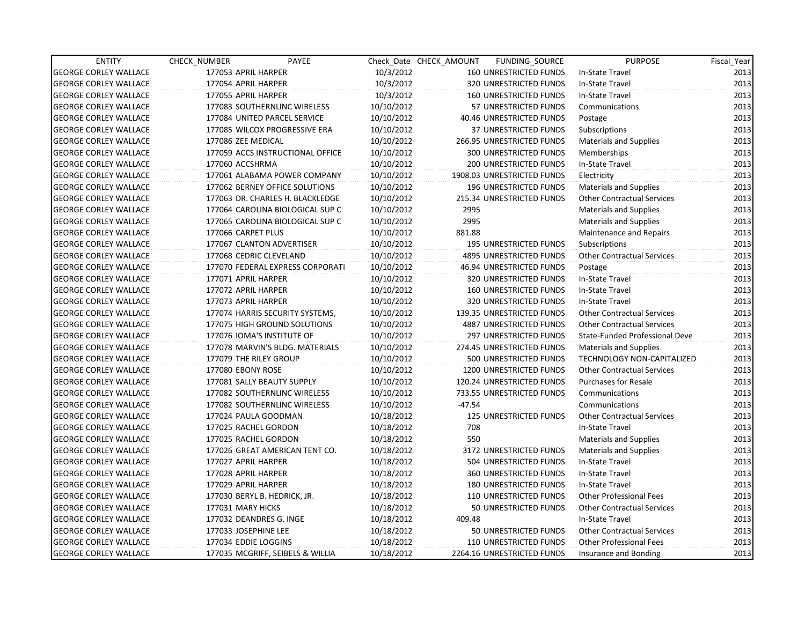| <b>ENTITY</b>                | CHECK_NUMBER      | PAYEE                            |            | Check Date CHECK AMOUNT | FUNDING_SOURCE                 | <b>PURPOSE</b>                    | Fiscal_Year |
|------------------------------|-------------------|----------------------------------|------------|-------------------------|--------------------------------|-----------------------------------|-------------|
| <b>GEORGE CORLEY WALLACE</b> |                   | 177053 APRIL HARPER              | 10/3/2012  |                         | 160 UNRESTRICTED FUNDS         | In-State Travel                   | 2013        |
| <b>GEORGE CORLEY WALLACE</b> |                   | 177054 APRIL HARPER              | 10/3/2012  |                         | 320 UNRESTRICTED FUNDS         | In-State Travel                   | 2013        |
| <b>GEORGE CORLEY WALLACE</b> |                   | 177055 APRIL HARPER              | 10/3/2012  |                         | 160 UNRESTRICTED FUNDS         | In-State Travel                   | 2013        |
| <b>GEORGE CORLEY WALLACE</b> |                   | 177083 SOUTHERNLINC WIRELESS     | 10/10/2012 |                         | 57 UNRESTRICTED FUNDS          | Communications                    | 2013        |
| <b>GEORGE CORLEY WALLACE</b> |                   | 177084 UNITED PARCEL SERVICE     | 10/10/2012 |                         | 40.46 UNRESTRICTED FUNDS       | Postage                           | 2013        |
| <b>GEORGE CORLEY WALLACE</b> |                   | 177085 WILCOX PROGRESSIVE ERA    | 10/10/2012 |                         | <b>37 UNRESTRICTED FUNDS</b>   | Subscriptions                     | 2013        |
| <b>GEORGE CORLEY WALLACE</b> |                   | 177086 ZEE MEDICAL               | 10/10/2012 |                         | 266.95 UNRESTRICTED FUNDS      | <b>Materials and Supplies</b>     | 2013        |
| <b>GEORGE CORLEY WALLACE</b> |                   | 177059 ACCS INSTRUCTIONAL OFFICE | 10/10/2012 |                         | <b>300 UNRESTRICTED FUNDS</b>  | Memberships                       | 2013        |
| <b>GEORGE CORLEY WALLACE</b> | 177060 ACCSHRMA   |                                  | 10/10/2012 |                         | 200 UNRESTRICTED FUNDS         | In-State Travel                   | 2013        |
| <b>GEORGE CORLEY WALLACE</b> |                   | 177061 ALABAMA POWER COMPANY     | 10/10/2012 |                         | 1908.03 UNRESTRICTED FUNDS     | Electricity                       | 2013        |
| <b>GEORGE CORLEY WALLACE</b> |                   | 177062 BERNEY OFFICE SOLUTIONS   | 10/10/2012 |                         | 196 UNRESTRICTED FUNDS         | <b>Materials and Supplies</b>     | 2013        |
| <b>GEORGE CORLEY WALLACE</b> |                   | 177063 DR. CHARLES H. BLACKLEDGE | 10/10/2012 |                         | 215.34 UNRESTRICTED FUNDS      | <b>Other Contractual Services</b> | 2013        |
| <b>GEORGE CORLEY WALLACE</b> |                   | 177064 CAROLINA BIOLOGICAL SUP C | 10/10/2012 | 2995                    |                                | <b>Materials and Supplies</b>     | 2013        |
| <b>GEORGE CORLEY WALLACE</b> |                   | 177065 CAROLINA BIOLOGICAL SUP C | 10/10/2012 | 2995                    |                                | <b>Materials and Supplies</b>     | 2013        |
| <b>GEORGE CORLEY WALLACE</b> |                   | 177066 CARPET PLUS               | 10/10/2012 | 881.88                  |                                | Maintenance and Repairs           | 2013        |
| <b>GEORGE CORLEY WALLACE</b> |                   | 177067 CLANTON ADVERTISER        | 10/10/2012 |                         | <b>195 UNRESTRICTED FUNDS</b>  | Subscriptions                     | 2013        |
| <b>GEORGE CORLEY WALLACE</b> |                   | 177068 CEDRIC CLEVELAND          | 10/10/2012 |                         | <b>4895 UNRESTRICTED FUNDS</b> | <b>Other Contractual Services</b> | 2013        |
| <b>GEORGE CORLEY WALLACE</b> |                   | 177070 FEDERAL EXPRESS CORPORATI | 10/10/2012 |                         | 46.94 UNRESTRICTED FUNDS       | Postage                           | 2013        |
| <b>GEORGE CORLEY WALLACE</b> |                   | 177071 APRIL HARPER              | 10/10/2012 |                         | 320 UNRESTRICTED FUNDS         | In-State Travel                   | 2013        |
| <b>GEORGE CORLEY WALLACE</b> |                   | 177072 APRIL HARPER              | 10/10/2012 |                         | 160 UNRESTRICTED FUNDS         | In-State Travel                   | 2013        |
| <b>GEORGE CORLEY WALLACE</b> |                   | 177073 APRIL HARPER              | 10/10/2012 |                         | 320 UNRESTRICTED FUNDS         | In-State Travel                   | 2013        |
| <b>GEORGE CORLEY WALLACE</b> |                   | 177074 HARRIS SECURITY SYSTEMS,  | 10/10/2012 |                         | 139.35 UNRESTRICTED FUNDS      | <b>Other Contractual Services</b> | 2013        |
| <b>GEORGE CORLEY WALLACE</b> |                   | 177075 HIGH GROUND SOLUTIONS     | 10/10/2012 |                         | <b>4887 UNRESTRICTED FUNDS</b> | <b>Other Contractual Services</b> | 2013        |
| <b>GEORGE CORLEY WALLACE</b> |                   | 177076 IOMA'S INSTITUTE OF       | 10/10/2012 |                         | 297 UNRESTRICTED FUNDS         | State-Funded Professional Deve    | 2013        |
| <b>GEORGE CORLEY WALLACE</b> |                   | 177078 MARVIN'S BLDG. MATERIALS  | 10/10/2012 |                         | 274.45 UNRESTRICTED FUNDS      | <b>Materials and Supplies</b>     | 2013        |
| <b>GEORGE CORLEY WALLACE</b> |                   | 177079 THE RILEY GROUP           | 10/10/2012 |                         | 500 UNRESTRICTED FUNDS         | TECHNOLOGY NON-CAPITALIZED        | 2013        |
| <b>GEORGE CORLEY WALLACE</b> | 177080 EBONY ROSE |                                  | 10/10/2012 |                         | 1200 UNRESTRICTED FUNDS        | <b>Other Contractual Services</b> | 2013        |
| <b>GEORGE CORLEY WALLACE</b> |                   | 177081 SALLY BEAUTY SUPPLY       | 10/10/2012 |                         | 120.24 UNRESTRICTED FUNDS      | <b>Purchases for Resale</b>       | 2013        |
| <b>GEORGE CORLEY WALLACE</b> |                   | 177082 SOUTHERNLINC WIRELESS     | 10/10/2012 |                         | 733.55 UNRESTRICTED FUNDS      | Communications                    | 2013        |
| <b>GEORGE CORLEY WALLACE</b> |                   | 177082 SOUTHERNLINC WIRELESS     | 10/10/2012 | $-47.54$                |                                | Communications                    | 2013        |
| <b>GEORGE CORLEY WALLACE</b> |                   | 177024 PAULA GOODMAN             | 10/18/2012 |                         | 125 UNRESTRICTED FUNDS         | <b>Other Contractual Services</b> | 2013        |
| <b>GEORGE CORLEY WALLACE</b> |                   | 177025 RACHEL GORDON             | 10/18/2012 | 708                     |                                | In-State Travel                   | 2013        |
| <b>GEORGE CORLEY WALLACE</b> |                   | 177025 RACHEL GORDON             | 10/18/2012 | 550                     |                                | <b>Materials and Supplies</b>     | 2013        |
| <b>GEORGE CORLEY WALLACE</b> |                   | 177026 GREAT AMERICAN TENT CO.   | 10/18/2012 |                         | 3172 UNRESTRICTED FUNDS        | <b>Materials and Supplies</b>     | 2013        |
| <b>GEORGE CORLEY WALLACE</b> |                   | 177027 APRIL HARPER              | 10/18/2012 |                         | 504 UNRESTRICTED FUNDS         | In-State Travel                   | 2013        |
| <b>GEORGE CORLEY WALLACE</b> |                   | 177028 APRIL HARPER              | 10/18/2012 |                         | <b>360 UNRESTRICTED FUNDS</b>  | In-State Travel                   | 2013        |
| <b>GEORGE CORLEY WALLACE</b> |                   | 177029 APRIL HARPER              | 10/18/2012 |                         | <b>180 UNRESTRICTED FUNDS</b>  | In-State Travel                   | 2013        |
| <b>GEORGE CORLEY WALLACE</b> |                   | 177030 BERYL B. HEDRICK, JR.     | 10/18/2012 |                         | 110 UNRESTRICTED FUNDS         | <b>Other Professional Fees</b>    | 2013        |
| <b>GEORGE CORLEY WALLACE</b> | 177031 MARY HICKS |                                  | 10/18/2012 |                         | 50 UNRESTRICTED FUNDS          | <b>Other Contractual Services</b> | 2013        |
| <b>GEORGE CORLEY WALLACE</b> |                   | 177032 DEANDRES G. INGE          | 10/18/2012 | 409.48                  |                                | In-State Travel                   | 2013        |
| <b>GEORGE CORLEY WALLACE</b> |                   | 177033 JOSEPHINE LEE             | 10/18/2012 |                         | 50 UNRESTRICTED FUNDS          | <b>Other Contractual Services</b> | 2013        |
| <b>GEORGE CORLEY WALLACE</b> |                   | 177034 EDDIE LOGGINS             | 10/18/2012 |                         | 110 UNRESTRICTED FUNDS         | <b>Other Professional Fees</b>    | 2013        |
| <b>GEORGE CORLEY WALLACE</b> |                   | 177035 MCGRIFF, SEIBELS & WILLIA | 10/18/2012 |                         | 2264.16 UNRESTRICTED FUNDS     | Insurance and Bonding             | 2013        |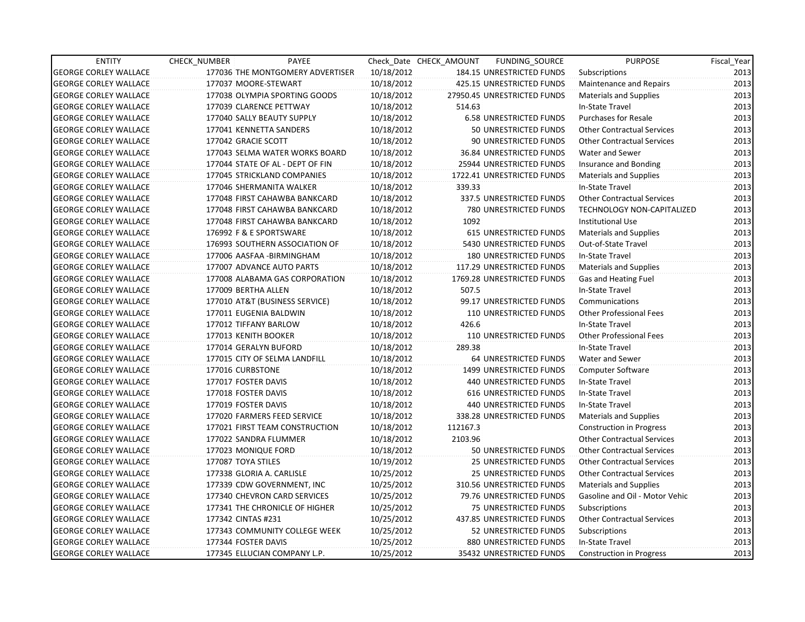| <b>ENTITY</b>                | CHECK_NUMBER       | PAYEE                            |            | Check Date CHECK AMOUNT | FUNDING_SOURCE                 | <b>PURPOSE</b>                    | Fiscal_Year |
|------------------------------|--------------------|----------------------------------|------------|-------------------------|--------------------------------|-----------------------------------|-------------|
| <b>GEORGE CORLEY WALLACE</b> |                    | 177036 THE MONTGOMERY ADVERTISER | 10/18/2012 |                         | 184.15 UNRESTRICTED FUNDS      | Subscriptions                     | 2013        |
| <b>GEORGE CORLEY WALLACE</b> |                    | 177037 MOORE-STEWART             | 10/18/2012 |                         | 425.15 UNRESTRICTED FUNDS      | Maintenance and Repairs           | 2013        |
| <b>GEORGE CORLEY WALLACE</b> |                    | 177038 OLYMPIA SPORTING GOODS    | 10/18/2012 |                         | 27950.45 UNRESTRICTED FUNDS    | <b>Materials and Supplies</b>     | 2013        |
| <b>GEORGE CORLEY WALLACE</b> |                    | 177039 CLARENCE PETTWAY          | 10/18/2012 | 514.63                  |                                | In-State Travel                   | 2013        |
| <b>GEORGE CORLEY WALLACE</b> |                    | 177040 SALLY BEAUTY SUPPLY       | 10/18/2012 |                         | <b>6.58 UNRESTRICTED FUNDS</b> | <b>Purchases for Resale</b>       | 2013        |
| <b>GEORGE CORLEY WALLACE</b> |                    | 177041 KENNETTA SANDERS          | 10/18/2012 |                         | 50 UNRESTRICTED FUNDS          | <b>Other Contractual Services</b> | 2013        |
| <b>GEORGE CORLEY WALLACE</b> |                    | 177042 GRACIE SCOTT              | 10/18/2012 |                         | 90 UNRESTRICTED FUNDS          | <b>Other Contractual Services</b> | 2013        |
| <b>GEORGE CORLEY WALLACE</b> |                    | 177043 SELMA WATER WORKS BOARD   | 10/18/2012 |                         | 36.84 UNRESTRICTED FUNDS       | Water and Sewer                   | 2013        |
| <b>GEORGE CORLEY WALLACE</b> |                    | 177044 STATE OF AL - DEPT OF FIN | 10/18/2012 |                         | 25944 UNRESTRICTED FUNDS       | Insurance and Bonding             | 2013        |
| <b>GEORGE CORLEY WALLACE</b> |                    | 177045 STRICKLAND COMPANIES      | 10/18/2012 |                         | 1722.41 UNRESTRICTED FUNDS     | <b>Materials and Supplies</b>     | 2013        |
| <b>GEORGE CORLEY WALLACE</b> |                    | 177046 SHERMANITA WALKER         | 10/18/2012 | 339.33                  |                                | In-State Travel                   | 2013        |
| <b>GEORGE CORLEY WALLACE</b> |                    | 177048 FIRST CAHAWBA BANKCARD    | 10/18/2012 |                         | 337.5 UNRESTRICTED FUNDS       | <b>Other Contractual Services</b> | 2013        |
| <b>GEORGE CORLEY WALLACE</b> |                    | 177048 FIRST CAHAWBA BANKCARD    | 10/18/2012 |                         | 780 UNRESTRICTED FUNDS         | <b>TECHNOLOGY NON-CAPITALIZED</b> | 2013        |
| <b>GEORGE CORLEY WALLACE</b> |                    | 177048 FIRST CAHAWBA BANKCARD    | 10/18/2012 | 1092                    |                                | <b>Institutional Use</b>          | 2013        |
| <b>GEORGE CORLEY WALLACE</b> |                    | 176992 F & E SPORTSWARE          | 10/18/2012 |                         | <b>615 UNRESTRICTED FUNDS</b>  | <b>Materials and Supplies</b>     | 2013        |
| <b>GEORGE CORLEY WALLACE</b> |                    | 176993 SOUTHERN ASSOCIATION OF   | 10/18/2012 |                         | 5430 UNRESTRICTED FUNDS        | Out-of-State Travel               | 2013        |
| <b>GEORGE CORLEY WALLACE</b> |                    | 177006 AASFAA - BIRMINGHAM       | 10/18/2012 |                         | <b>180 UNRESTRICTED FUNDS</b>  | In-State Travel                   | 2013        |
| <b>GEORGE CORLEY WALLACE</b> |                    | 177007 ADVANCE AUTO PARTS        | 10/18/2012 |                         | 117.29 UNRESTRICTED FUNDS      | <b>Materials and Supplies</b>     | 2013        |
| <b>GEORGE CORLEY WALLACE</b> |                    | 177008 ALABAMA GAS CORPORATION   | 10/18/2012 |                         | 1769.28 UNRESTRICTED FUNDS     | Gas and Heating Fuel              | 2013        |
| <b>GEORGE CORLEY WALLACE</b> |                    | 177009 BERTHA ALLEN              | 10/18/2012 | 507.5                   |                                | In-State Travel                   | 2013        |
| <b>GEORGE CORLEY WALLACE</b> |                    | 177010 AT&T (BUSINESS SERVICE)   | 10/18/2012 |                         | 99.17 UNRESTRICTED FUNDS       | Communications                    | 2013        |
| <b>GEORGE CORLEY WALLACE</b> |                    | 177011 EUGENIA BALDWIN           | 10/18/2012 |                         | <b>110 UNRESTRICTED FUNDS</b>  | <b>Other Professional Fees</b>    | 2013        |
| <b>GEORGE CORLEY WALLACE</b> |                    | 177012 TIFFANY BARLOW            | 10/18/2012 | 426.6                   |                                | In-State Travel                   | 2013        |
| <b>GEORGE CORLEY WALLACE</b> |                    | 177013 KENITH BOOKER             | 10/18/2012 |                         | 110 UNRESTRICTED FUNDS         | <b>Other Professional Fees</b>    | 2013        |
| <b>GEORGE CORLEY WALLACE</b> |                    | 177014 GERALYN BUFORD            | 10/18/2012 | 289.38                  |                                | In-State Travel                   | 2013        |
| <b>GEORGE CORLEY WALLACE</b> |                    | 177015 CITY OF SELMA LANDFILL    | 10/18/2012 |                         | 64 UNRESTRICTED FUNDS          | Water and Sewer                   | 2013        |
| <b>GEORGE CORLEY WALLACE</b> | 177016 CURBSTONE   |                                  | 10/18/2012 |                         | 1499 UNRESTRICTED FUNDS        | Computer Software                 | 2013        |
| <b>GEORGE CORLEY WALLACE</b> |                    | 177017 FOSTER DAVIS              | 10/18/2012 |                         | <b>440 UNRESTRICTED FUNDS</b>  | In-State Travel                   | 2013        |
| <b>GEORGE CORLEY WALLACE</b> |                    | 177018 FOSTER DAVIS              | 10/18/2012 |                         | <b>616 UNRESTRICTED FUNDS</b>  | In-State Travel                   | 2013        |
| <b>GEORGE CORLEY WALLACE</b> |                    | 177019 FOSTER DAVIS              | 10/18/2012 |                         | 440 UNRESTRICTED FUNDS         | In-State Travel                   | 2013        |
| <b>GEORGE CORLEY WALLACE</b> |                    | 177020 FARMERS FEED SERVICE      | 10/18/2012 |                         | 338.28 UNRESTRICTED FUNDS      | <b>Materials and Supplies</b>     | 2013        |
| <b>GEORGE CORLEY WALLACE</b> |                    | 177021 FIRST TEAM CONSTRUCTION   | 10/18/2012 | 112167.3                |                                | <b>Construction in Progress</b>   | 2013        |
| <b>GEORGE CORLEY WALLACE</b> |                    | 177022 SANDRA FLUMMER            | 10/18/2012 | 2103.96                 |                                | <b>Other Contractual Services</b> | 2013        |
| <b>GEORGE CORLEY WALLACE</b> |                    | 177023 MONIQUE FORD              | 10/18/2012 |                         | 50 UNRESTRICTED FUNDS          | Other Contractual Services        | 2013        |
| <b>GEORGE CORLEY WALLACE</b> | 177087 TOYA STILES |                                  | 10/19/2012 |                         | <b>25 UNRESTRICTED FUNDS</b>   | <b>Other Contractual Services</b> | 2013        |
| <b>GEORGE CORLEY WALLACE</b> |                    | 177338 GLORIA A. CARLISLE        | 10/25/2012 |                         | <b>25 UNRESTRICTED FUNDS</b>   | <b>Other Contractual Services</b> | 2013        |
| <b>GEORGE CORLEY WALLACE</b> |                    | 177339 CDW GOVERNMENT, INC       | 10/25/2012 |                         | 310.56 UNRESTRICTED FUNDS      | <b>Materials and Supplies</b>     | 2013        |
| <b>GEORGE CORLEY WALLACE</b> |                    | 177340 CHEVRON CARD SERVICES     | 10/25/2012 |                         | 79.76 UNRESTRICTED FUNDS       | Gasoline and Oil - Motor Vehic    | 2013        |
| <b>GEORGE CORLEY WALLACE</b> |                    | 177341 THE CHRONICLE OF HIGHER   | 10/25/2012 |                         | 75 UNRESTRICTED FUNDS          | Subscriptions                     | 2013        |
| <b>GEORGE CORLEY WALLACE</b> | 177342 CINTAS #231 |                                  | 10/25/2012 |                         | 437.85 UNRESTRICTED FUNDS      | <b>Other Contractual Services</b> | 2013        |
| <b>GEORGE CORLEY WALLACE</b> |                    | 177343 COMMUNITY COLLEGE WEEK    | 10/25/2012 |                         | 52 UNRESTRICTED FUNDS          | Subscriptions                     | 2013        |
| <b>GEORGE CORLEY WALLACE</b> |                    | 177344 FOSTER DAVIS              | 10/25/2012 |                         | 880 UNRESTRICTED FUNDS         | In-State Travel                   | 2013        |
| <b>GEORGE CORLEY WALLACE</b> |                    | 177345 ELLUCIAN COMPANY L.P.     | 10/25/2012 |                         | 35432 UNRESTRICTED FUNDS       | Construction in Progress          | 2013        |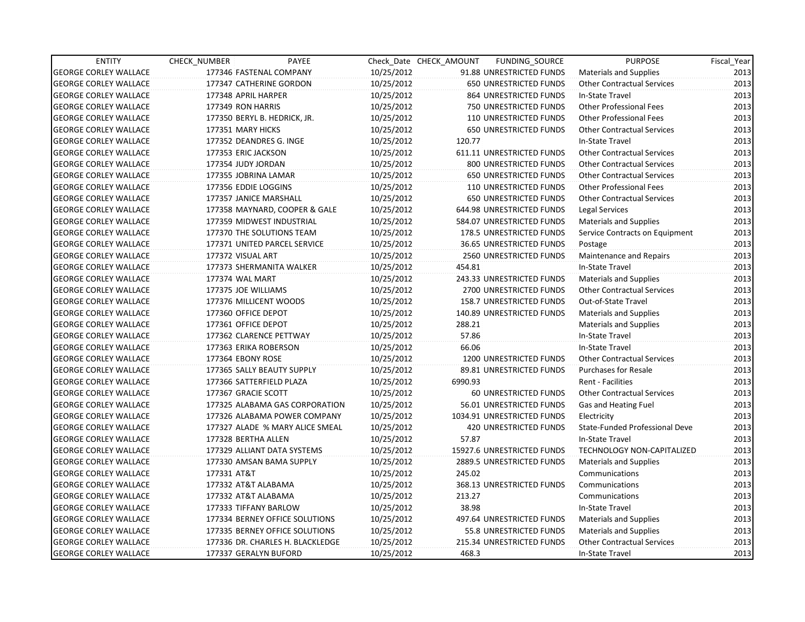| <b>ENTITY</b>                | CHECK_NUMBER         | PAYEE                            |            | Check Date CHECK AMOUNT | FUNDING SOURCE                | <b>PURPOSE</b>                    | Fiscal_Year |
|------------------------------|----------------------|----------------------------------|------------|-------------------------|-------------------------------|-----------------------------------|-------------|
| <b>GEORGE CORLEY WALLACE</b> |                      | 177346 FASTENAL COMPANY          | 10/25/2012 |                         | 91.88 UNRESTRICTED FUNDS      | Materials and Supplies            | 2013        |
| <b>GEORGE CORLEY WALLACE</b> |                      | 177347 CATHERINE GORDON          | 10/25/2012 |                         | 650 UNRESTRICTED FUNDS        | <b>Other Contractual Services</b> | 2013        |
| <b>GEORGE CORLEY WALLACE</b> | 177348 APRIL HARPER  |                                  | 10/25/2012 |                         | 864 UNRESTRICTED FUNDS        | In-State Travel                   | 2013        |
| <b>GEORGE CORLEY WALLACE</b> | 177349 RON HARRIS    |                                  | 10/25/2012 |                         | 750 UNRESTRICTED FUNDS        | <b>Other Professional Fees</b>    | 2013        |
| <b>GEORGE CORLEY WALLACE</b> |                      | 177350 BERYL B. HEDRICK, JR.     | 10/25/2012 |                         | 110 UNRESTRICTED FUNDS        | <b>Other Professional Fees</b>    | 2013        |
| <b>GEORGE CORLEY WALLACE</b> | 177351 MARY HICKS    |                                  | 10/25/2012 |                         | <b>650 UNRESTRICTED FUNDS</b> | <b>Other Contractual Services</b> | 2013        |
| <b>GEORGE CORLEY WALLACE</b> |                      | 177352 DEANDRES G. INGE          | 10/25/2012 | 120.77                  |                               | In-State Travel                   | 2013        |
| <b>GEORGE CORLEY WALLACE</b> | 177353 ERIC JACKSON  |                                  | 10/25/2012 |                         | 611.11 UNRESTRICTED FUNDS     | <b>Other Contractual Services</b> | 2013        |
| <b>GEORGE CORLEY WALLACE</b> | 177354 JUDY JORDAN   |                                  | 10/25/2012 |                         | 800 UNRESTRICTED FUNDS        | <b>Other Contractual Services</b> | 2013        |
| <b>GEORGE CORLEY WALLACE</b> | 177355 JOBRINA LAMAR |                                  | 10/25/2012 |                         | 650 UNRESTRICTED FUNDS        | Other Contractual Services        | 2013        |
| <b>GEORGE CORLEY WALLACE</b> | 177356 EDDIE LOGGINS |                                  | 10/25/2012 |                         | 110 UNRESTRICTED FUNDS        | <b>Other Professional Fees</b>    | 2013        |
| <b>GEORGE CORLEY WALLACE</b> |                      | 177357 JANICE MARSHALL           | 10/25/2012 |                         | 650 UNRESTRICTED FUNDS        | <b>Other Contractual Services</b> | 2013        |
| <b>GEORGE CORLEY WALLACE</b> |                      | 177358 MAYNARD, COOPER & GALE    | 10/25/2012 |                         | 644.98 UNRESTRICTED FUNDS     | Legal Services                    | 2013        |
| <b>GEORGE CORLEY WALLACE</b> |                      | 177359 MIDWEST INDUSTRIAL        | 10/25/2012 |                         | 584.07 UNRESTRICTED FUNDS     | Materials and Supplies            | 2013        |
| <b>GEORGE CORLEY WALLACE</b> |                      | 177370 THE SOLUTIONS TEAM        | 10/25/2012 |                         | 178.5 UNRESTRICTED FUNDS      | Service Contracts on Equipment    | 2013        |
| <b>GEORGE CORLEY WALLACE</b> |                      | 177371 UNITED PARCEL SERVICE     | 10/25/2012 |                         | 36.65 UNRESTRICTED FUNDS      | Postage                           | 2013        |
| <b>GEORGE CORLEY WALLACE</b> | 177372 VISUAL ART    |                                  | 10/25/2012 |                         | 2560 UNRESTRICTED FUNDS       | <b>Maintenance and Repairs</b>    | 2013        |
| <b>GEORGE CORLEY WALLACE</b> |                      | 177373 SHERMANITA WALKER         | 10/25/2012 | 454.81                  |                               | In-State Travel                   | 2013        |
| <b>GEORGE CORLEY WALLACE</b> | 177374 WAL MART      |                                  | 10/25/2012 |                         | 243.33 UNRESTRICTED FUNDS     | Materials and Supplies            | 2013        |
| <b>GEORGE CORLEY WALLACE</b> | 177375 JOE WILLIAMS  |                                  | 10/25/2012 |                         | 2700 UNRESTRICTED FUNDS       | <b>Other Contractual Services</b> | 2013        |
| <b>GEORGE CORLEY WALLACE</b> |                      | 177376 MILLICENT WOODS           | 10/25/2012 |                         | 158.7 UNRESTRICTED FUNDS      | Out-of-State Travel               | 2013        |
| <b>GEORGE CORLEY WALLACE</b> | 177360 OFFICE DEPOT  |                                  | 10/25/2012 |                         | 140.89 UNRESTRICTED FUNDS     | <b>Materials and Supplies</b>     | 2013        |
| <b>GEORGE CORLEY WALLACE</b> | 177361 OFFICE DEPOT  |                                  | 10/25/2012 | 288.21                  |                               | <b>Materials and Supplies</b>     | 2013        |
| <b>GEORGE CORLEY WALLACE</b> |                      | 177362 CLARENCE PETTWAY          | 10/25/2012 | 57.86                   |                               | In-State Travel                   | 2013        |
| <b>GEORGE CORLEY WALLACE</b> |                      | 177363 ERIKA ROBERSON            | 10/25/2012 | 66.06                   |                               | In-State Travel                   | 2013        |
| <b>GEORGE CORLEY WALLACE</b> | 177364 EBONY ROSE    |                                  | 10/25/2012 |                         | 1200 UNRESTRICTED FUNDS       | <b>Other Contractual Services</b> | 2013        |
| <b>GEORGE CORLEY WALLACE</b> |                      | 177365 SALLY BEAUTY SUPPLY       | 10/25/2012 |                         | 89.81 UNRESTRICTED FUNDS      | Purchases for Resale              | 2013        |
| <b>GEORGE CORLEY WALLACE</b> |                      | 177366 SATTERFIELD PLAZA         | 10/25/2012 | 6990.93                 |                               | Rent - Facilities                 | 2013        |
| <b>GEORGE CORLEY WALLACE</b> | 177367 GRACIE SCOTT  |                                  | 10/25/2012 |                         | 60 UNRESTRICTED FUNDS         | <b>Other Contractual Services</b> | 2013        |
| <b>GEORGE CORLEY WALLACE</b> |                      | 177325 ALABAMA GAS CORPORATION   | 10/25/2012 |                         | 56.01 UNRESTRICTED FUNDS      | Gas and Heating Fuel              | 2013        |
| <b>GEORGE CORLEY WALLACE</b> |                      | 177326 ALABAMA POWER COMPANY     | 10/25/2012 |                         | 1034.91 UNRESTRICTED FUNDS    | Electricity                       | 2013        |
| <b>GEORGE CORLEY WALLACE</b> |                      | 177327 ALADE % MARY ALICE SMEAL  | 10/25/2012 |                         | 420 UNRESTRICTED FUNDS        | State-Funded Professional Deve    | 2013        |
| <b>GEORGE CORLEY WALLACE</b> | 177328 BERTHA ALLEN  |                                  | 10/25/2012 | 57.87                   |                               | In-State Travel                   | 2013        |
| <b>GEORGE CORLEY WALLACE</b> |                      | 177329 ALLIANT DATA SYSTEMS      | 10/25/2012 |                         | 15927.6 UNRESTRICTED FUNDS    | TECHNOLOGY NON-CAPITALIZED        | 2013        |
| <b>GEORGE CORLEY WALLACE</b> |                      | 177330 AMSAN BAMA SUPPLY         | 10/25/2012 |                         | 2889.5 UNRESTRICTED FUNDS     | <b>Materials and Supplies</b>     | 2013        |
| <b>GEORGE CORLEY WALLACE</b> | 177331 AT&T          |                                  | 10/25/2012 | 245.02                  |                               | Communications                    | 2013        |
| <b>GEORGE CORLEY WALLACE</b> | 177332 AT&T ALABAMA  |                                  | 10/25/2012 |                         | 368.13 UNRESTRICTED FUNDS     | Communications                    | 2013        |
| <b>GEORGE CORLEY WALLACE</b> | 177332 AT&T ALABAMA  |                                  | 10/25/2012 | 213.27                  |                               | Communications                    | 2013        |
| <b>GEORGE CORLEY WALLACE</b> |                      | 177333 TIFFANY BARLOW            | 10/25/2012 | 38.98                   |                               | In-State Travel                   | 2013        |
| <b>GEORGE CORLEY WALLACE</b> |                      | 177334 BERNEY OFFICE SOLUTIONS   | 10/25/2012 |                         | 497.64 UNRESTRICTED FUNDS     | <b>Materials and Supplies</b>     | 2013        |
| <b>GEORGE CORLEY WALLACE</b> |                      | 177335 BERNEY OFFICE SOLUTIONS   | 10/25/2012 |                         | 55.8 UNRESTRICTED FUNDS       | <b>Materials and Supplies</b>     | 2013        |
| <b>GEORGE CORLEY WALLACE</b> |                      | 177336 DR. CHARLES H. BLACKLEDGE | 10/25/2012 |                         | 215.34 UNRESTRICTED FUNDS     | <b>Other Contractual Services</b> | 2013        |
| <b>GEORGE CORLEY WALLACE</b> |                      | 177337 GERALYN BUFORD            | 10/25/2012 | 468.3                   |                               | In-State Travel                   | 2013        |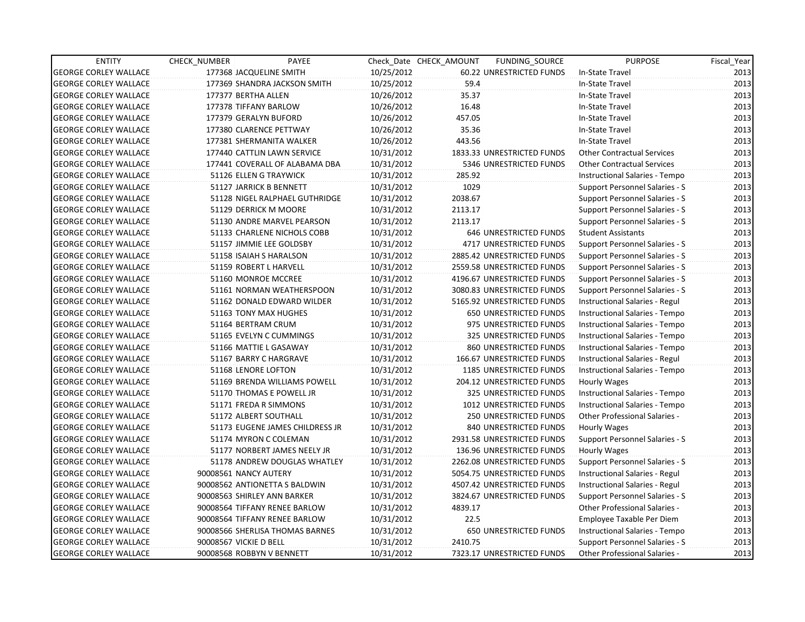| <b>ENTITY</b>                | CHECK NUMBER                  | PAYEE                           |            | Check Date CHECK AMOUNT | FUNDING SOURCE                 | <b>PURPOSE</b>                       | Fiscal_Year |
|------------------------------|-------------------------------|---------------------------------|------------|-------------------------|--------------------------------|--------------------------------------|-------------|
| <b>GEORGE CORLEY WALLACE</b> | 177368 JACQUELINE SMITH       |                                 | 10/25/2012 |                         | 60.22 UNRESTRICTED FUNDS       | In-State Travel                      | 2013        |
| <b>GEORGE CORLEY WALLACE</b> |                               | 177369 SHANDRA JACKSON SMITH    | 10/25/2012 | 59.4                    |                                | In-State Travel                      | 2013        |
| <b>GEORGE CORLEY WALLACE</b> | 177377 BERTHA ALLEN           |                                 | 10/26/2012 | 35.37                   |                                | In-State Travel                      | 2013        |
| <b>GEORGE CORLEY WALLACE</b> | 177378 TIFFANY BARLOW         |                                 | 10/26/2012 | 16.48                   |                                | In-State Travel                      | 2013        |
| <b>GEORGE CORLEY WALLACE</b> | 177379 GERALYN BUFORD         |                                 | 10/26/2012 | 457.05                  |                                | In-State Travel                      | 2013        |
| <b>GEORGE CORLEY WALLACE</b> | 177380 CLARENCE PETTWAY       |                                 | 10/26/2012 | 35.36                   |                                | In-State Travel                      | 2013        |
| <b>GEORGE CORLEY WALLACE</b> | 177381 SHERMANITA WALKER      |                                 | 10/26/2012 | 443.56                  |                                | In-State Travel                      | 2013        |
| <b>GEORGE CORLEY WALLACE</b> |                               | 177440 CATTLIN LAWN SERVICE     | 10/31/2012 |                         | 1833.33 UNRESTRICTED FUNDS     | <b>Other Contractual Services</b>    | 2013        |
| <b>GEORGE CORLEY WALLACE</b> |                               | 177441 COVERALL OF ALABAMA DBA  | 10/31/2012 |                         | 5346 UNRESTRICTED FUNDS        | <b>Other Contractual Services</b>    | 2013        |
| <b>GEORGE CORLEY WALLACE</b> | 51126 ELLEN G TRAYWICK        |                                 | 10/31/2012 | 285.92                  |                                | Instructional Salaries - Tempo       | 2013        |
| <b>GEORGE CORLEY WALLACE</b> | 51127 JARRICK B BENNETT       |                                 | 10/31/2012 | 1029                    |                                | Support Personnel Salaries - S       | 2013        |
| <b>GEORGE CORLEY WALLACE</b> |                               | 51128 NIGEL RALPHAEL GUTHRIDGE  | 10/31/2012 | 2038.67                 |                                | Support Personnel Salaries - S       | 2013        |
| <b>GEORGE CORLEY WALLACE</b> | 51129 DERRICK M MOORE         |                                 | 10/31/2012 | 2113.17                 |                                | Support Personnel Salaries - S       | 2013        |
| <b>GEORGE CORLEY WALLACE</b> |                               | 51130 ANDRE MARVEL PEARSON      | 10/31/2012 | 2113.17                 |                                | Support Personnel Salaries - S       | 2013        |
| <b>GEORGE CORLEY WALLACE</b> |                               | 51133 CHARLENE NICHOLS COBB     | 10/31/2012 |                         | 646 UNRESTRICTED FUNDS         | <b>Student Assistants</b>            | 2013        |
| <b>GEORGE CORLEY WALLACE</b> | 51157 JIMMIE LEE GOLDSBY      |                                 | 10/31/2012 |                         | 4717 UNRESTRICTED FUNDS        | Support Personnel Salaries - S       | 2013        |
| <b>GEORGE CORLEY WALLACE</b> | 51158 ISAIAH S HARALSON       |                                 | 10/31/2012 |                         | 2885.42 UNRESTRICTED FUNDS     | Support Personnel Salaries - S       | 2013        |
| <b>GEORGE CORLEY WALLACE</b> | 51159 ROBERT L HARVELL        |                                 | 10/31/2012 |                         | 2559.58 UNRESTRICTED FUNDS     | Support Personnel Salaries - S       | 2013        |
| <b>GEORGE CORLEY WALLACE</b> | 51160 MONROE MCCREE           |                                 | 10/31/2012 |                         | 4196.67 UNRESTRICTED FUNDS     | Support Personnel Salaries - S       | 2013        |
| <b>GEORGE CORLEY WALLACE</b> |                               | 51161 NORMAN WEATHERSPOON       | 10/31/2012 |                         | 3080.83 UNRESTRICTED FUNDS     | Support Personnel Salaries - S       | 2013        |
| <b>GEORGE CORLEY WALLACE</b> |                               | 51162 DONALD EDWARD WILDER      | 10/31/2012 |                         | 5165.92 UNRESTRICTED FUNDS     | Instructional Salaries - Regul       | 2013        |
| <b>GEORGE CORLEY WALLACE</b> | 51163 TONY MAX HUGHES         |                                 | 10/31/2012 |                         | 650 UNRESTRICTED FUNDS         | Instructional Salaries - Tempo       | 2013        |
| <b>GEORGE CORLEY WALLACE</b> | 51164 BERTRAM CRUM            |                                 | 10/31/2012 |                         | 975 UNRESTRICTED FUNDS         | Instructional Salaries - Tempo       | 2013        |
| <b>GEORGE CORLEY WALLACE</b> |                               | 51165 EVELYN C CUMMINGS         | 10/31/2012 |                         | 325 UNRESTRICTED FUNDS         | Instructional Salaries - Tempo       | 2013        |
| <b>GEORGE CORLEY WALLACE</b> | 51166 MATTIE L GASAWAY        |                                 | 10/31/2012 |                         | 860 UNRESTRICTED FUNDS         | Instructional Salaries - Tempo       | 2013        |
| <b>GEORGE CORLEY WALLACE</b> | 51167 BARRY C HARGRAVE        |                                 | 10/31/2012 |                         | 166.67 UNRESTRICTED FUNDS      | Instructional Salaries - Regul       | 2013        |
| <b>GEORGE CORLEY WALLACE</b> | 51168 LENORE LOFTON           |                                 | 10/31/2012 |                         | <b>1185 UNRESTRICTED FUNDS</b> | Instructional Salaries - Tempo       | 2013        |
| <b>GEORGE CORLEY WALLACE</b> |                               | 51169 BRENDA WILLIAMS POWELL    | 10/31/2012 |                         | 204.12 UNRESTRICTED FUNDS      | Hourly Wages                         | 2013        |
| <b>GEORGE CORLEY WALLACE</b> |                               | 51170 THOMAS E POWELL JR        | 10/31/2012 |                         | 325 UNRESTRICTED FUNDS         | Instructional Salaries - Tempo       | 2013        |
| <b>GEORGE CORLEY WALLACE</b> | 51171 FREDA R SIMMONS         |                                 | 10/31/2012 |                         | 1012 UNRESTRICTED FUNDS        | Instructional Salaries - Tempo       | 2013        |
| <b>GEORGE CORLEY WALLACE</b> | 51172 ALBERT SOUTHALL         |                                 | 10/31/2012 |                         | 250 UNRESTRICTED FUNDS         | Other Professional Salaries -        | 2013        |
| <b>GEORGE CORLEY WALLACE</b> |                               | 51173 EUGENE JAMES CHILDRESS JR | 10/31/2012 |                         | 840 UNRESTRICTED FUNDS         | Hourly Wages                         | 2013        |
| <b>GEORGE CORLEY WALLACE</b> | 51174 MYRON C COLEMAN         |                                 | 10/31/2012 |                         | 2931.58 UNRESTRICTED FUNDS     | Support Personnel Salaries - S       | 2013        |
| <b>GEORGE CORLEY WALLACE</b> |                               | 51177 NORBERT JAMES NEELY JR    | 10/31/2012 |                         | 136.96 UNRESTRICTED FUNDS      | Hourly Wages                         | 2013        |
| <b>GEORGE CORLEY WALLACE</b> |                               | 51178 ANDREW DOUGLAS WHATLEY    | 10/31/2012 |                         | 2262.08 UNRESTRICTED FUNDS     | Support Personnel Salaries - S       | 2013        |
| <b>GEORGE CORLEY WALLACE</b> | 90008561 NANCY AUTERY         |                                 | 10/31/2012 |                         | 5054.75 UNRESTRICTED FUNDS     | Instructional Salaries - Regul       | 2013        |
| <b>GEORGE CORLEY WALLACE</b> |                               | 90008562 ANTIONETTA S BALDWIN   | 10/31/2012 |                         | 4507.42 UNRESTRICTED FUNDS     | Instructional Salaries - Regul       | 2013        |
| <b>GEORGE CORLEY WALLACE</b> | 90008563 SHIRLEY ANN BARKER   |                                 | 10/31/2012 |                         | 3824.67 UNRESTRICTED FUNDS     | Support Personnel Salaries - S       | 2013        |
| <b>GEORGE CORLEY WALLACE</b> | 90008564 TIFFANY RENEE BARLOW |                                 | 10/31/2012 | 4839.17                 |                                | Other Professional Salaries -        | 2013        |
| <b>GEORGE CORLEY WALLACE</b> |                               | 90008564 TIFFANY RENEE BARLOW   | 10/31/2012 | 22.5                    |                                | Employee Taxable Per Diem            | 2013        |
| <b>GEORGE CORLEY WALLACE</b> |                               | 90008566 SHERLISA THOMAS BARNES | 10/31/2012 |                         | 650 UNRESTRICTED FUNDS         | Instructional Salaries - Tempo       | 2013        |
| <b>GEORGE CORLEY WALLACE</b> | 90008567 VICKIE D BELL        |                                 | 10/31/2012 | 2410.75                 |                                | Support Personnel Salaries - S       | 2013        |
| <b>GEORGE CORLEY WALLACE</b> | 90008568 ROBBYN V BENNETT     |                                 | 10/31/2012 |                         | 7323.17 UNRESTRICTED FUNDS     | <b>Other Professional Salaries -</b> | 2013        |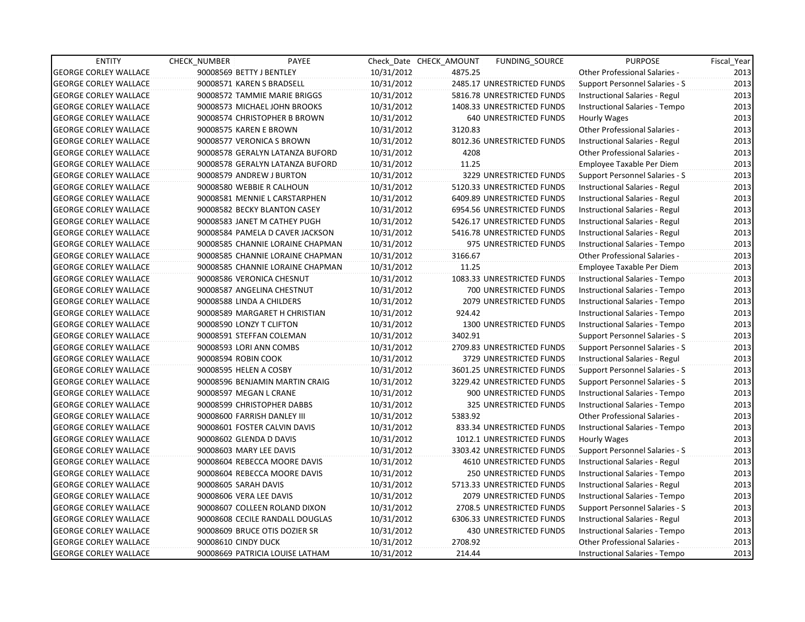| <b>GEORGE CORLEY WALLACE</b><br>90008569 BETTY J BENTLEY<br>10/31/2012<br>4875.25<br><b>Other Professional Salaries -</b><br>2013<br>2485.17 UNRESTRICTED FUNDS<br>2013<br><b>GEORGE CORLEY WALLACE</b><br>90008571 KAREN S BRADSELL<br>10/31/2012<br>Support Personnel Salaries - S<br>2013<br><b>GEORGE CORLEY WALLACE</b><br>90008572 TAMMIE MARIE BRIGGS<br>10/31/2012<br>5816.78 UNRESTRICTED FUNDS<br>Instructional Salaries - Regul<br>2013<br>10/31/2012<br>1408.33 UNRESTRICTED FUNDS<br><b>GEORGE CORLEY WALLACE</b><br>90008573 MICHAEL JOHN BROOKS<br>Instructional Salaries - Tempo<br>2013<br><b>GEORGE CORLEY WALLACE</b><br>90008574 CHRISTOPHER B BROWN<br>10/31/2012<br>640 UNRESTRICTED FUNDS<br>Hourly Wages<br><b>GEORGE CORLEY WALLACE</b><br>90008575 KAREN E BROWN<br>10/31/2012<br>3120.83<br><b>Other Professional Salaries -</b><br><b>GEORGE CORLEY WALLACE</b><br>90008577 VERONICA S BROWN<br>10/31/2012<br>8012.36 UNRESTRICTED FUNDS<br>Instructional Salaries - Regul<br>4208<br><b>GEORGE CORLEY WALLACE</b><br>90008578 GERALYN LATANZA BUFORD<br>10/31/2012<br>Other Professional Salaries -<br>11.25<br><b>GEORGE CORLEY WALLACE</b><br>90008578 GERALYN LATANZA BUFORD<br>10/31/2012<br>Employee Taxable Per Diem<br><b>GEORGE CORLEY WALLACE</b><br>90008579 ANDREW J BURTON<br>10/31/2012<br>3229 UNRESTRICTED FUNDS<br>Support Personnel Salaries - S<br><b>GEORGE CORLEY WALLACE</b><br>90008580 WEBBIE R CALHOUN<br>10/31/2012<br>5120.33 UNRESTRICTED FUNDS<br>Instructional Salaries - Regul<br><b>GEORGE CORLEY WALLACE</b><br>90008581 MENNIE L CARSTARPHEN<br>10/31/2012<br>6409.89 UNRESTRICTED FUNDS<br>Instructional Salaries - Regul<br><b>GEORGE CORLEY WALLACE</b><br>10/31/2012<br>6954.56 UNRESTRICTED FUNDS<br>90008582 BECKY BLANTON CASEY<br>Instructional Salaries - Regul<br>5426.17 UNRESTRICTED FUNDS<br><b>GEORGE CORLEY WALLACE</b><br>90008583 JANET M CATHEY PUGH<br>10/31/2012<br>Instructional Salaries - Regul<br><b>GEORGE CORLEY WALLACE</b><br>90008584 PAMELA D CAVER JACKSON<br>10/31/2012<br>5416.78 UNRESTRICTED FUNDS<br>Instructional Salaries - Regul<br><b>GEORGE CORLEY WALLACE</b><br>90008585 CHANNIE LORAINE CHAPMAN<br>10/31/2012<br>975 UNRESTRICTED FUNDS<br>Instructional Salaries - Tempo<br><b>GEORGE CORLEY WALLACE</b><br>90008585 CHANNIE LORAINE CHAPMAN<br>10/31/2012<br>3166.67<br>Other Professional Salaries -<br>11.25<br><b>GEORGE CORLEY WALLACE</b><br>90008585 CHANNIE LORAINE CHAPMAN<br>10/31/2012<br>Employee Taxable Per Diem<br>1083.33 UNRESTRICTED FUNDS<br><b>GEORGE CORLEY WALLACE</b><br>90008586 VERONICA CHESNUT<br>10/31/2012<br>Instructional Salaries - Tempo<br><b>GEORGE CORLEY WALLACE</b><br>90008587 ANGELINA CHESTNUT<br>10/31/2012<br>700 UNRESTRICTED FUNDS<br>Instructional Salaries - Tempo<br><b>GEORGE CORLEY WALLACE</b><br>90008588 LINDA A CHILDERS<br>10/31/2012<br>2079 UNRESTRICTED FUNDS<br>Instructional Salaries - Tempo<br>924.42<br><b>GEORGE CORLEY WALLACE</b><br>90008589 MARGARET H CHRISTIAN<br>10/31/2012<br>Instructional Salaries - Tempo<br><b>GEORGE CORLEY WALLACE</b><br>90008590 LONZY T CLIFTON<br>10/31/2012<br>1300 UNRESTRICTED FUNDS<br>Instructional Salaries - Tempo<br>3402.91<br><b>GEORGE CORLEY WALLACE</b><br>90008591 STEFFAN COLEMAN<br>10/31/2012<br>Support Personnel Salaries - S<br><b>GEORGE CORLEY WALLACE</b><br>90008593 LORI ANN COMBS<br>10/31/2012<br>2709.83 UNRESTRICTED FUNDS<br>Support Personnel Salaries - S<br><b>GEORGE CORLEY WALLACE</b><br>90008594 ROBIN COOK<br>10/31/2012<br>3729 UNRESTRICTED FUNDS<br>Instructional Salaries - Regul<br><b>GEORGE CORLEY WALLACE</b><br>10/31/2012<br>3601.25 UNRESTRICTED FUNDS<br>90008595 HELEN A COSBY<br>Support Personnel Salaries - S<br><b>GEORGE CORLEY WALLACE</b><br>3229.42 UNRESTRICTED FUNDS<br>90008596 BENJAMIN MARTIN CRAIG<br>10/31/2012<br>Support Personnel Salaries - S<br><b>GEORGE CORLEY WALLACE</b><br>90008597 MEGAN L CRANE<br>10/31/2012<br>900 UNRESTRICTED FUNDS<br>Instructional Salaries - Tempo<br>90008599 CHRISTOPHER DABBS<br>10/31/2012<br>325 UNRESTRICTED FUNDS<br><b>GEORGE CORLEY WALLACE</b><br>Instructional Salaries - Tempo<br><b>GEORGE CORLEY WALLACE</b><br>10/31/2012<br>5383.92<br>90008600 FARRISH DANLEY III<br><b>Other Professional Salaries -</b><br><b>GEORGE CORLEY WALLACE</b><br>10/31/2012<br>833.34 UNRESTRICTED FUNDS<br>90008601 FOSTER CALVIN DAVIS<br>Instructional Salaries - Tempo<br><b>GEORGE CORLEY WALLACE</b><br>90008602 GLENDA D DAVIS<br>10/31/2012<br>1012.1 UNRESTRICTED FUNDS<br>Hourly Wages<br><b>GEORGE CORLEY WALLACE</b><br>90008603 MARY LEE DAVIS<br>10/31/2012<br>3303.42 UNRESTRICTED FUNDS<br>Support Personnel Salaries - S<br><b>GEORGE CORLEY WALLACE</b><br>90008604 REBECCA MOORE DAVIS<br><b>4610 UNRESTRICTED FUNDS</b><br>10/31/2012<br>Instructional Salaries - Regul<br><b>GEORGE CORLEY WALLACE</b><br>90008604 REBECCA MOORE DAVIS<br>10/31/2012<br><b>250 UNRESTRICTED FUNDS</b><br>Instructional Salaries - Tempo<br><b>GEORGE CORLEY WALLACE</b><br>90008605 SARAH DAVIS<br>10/31/2012<br>5713.33 UNRESTRICTED FUNDS<br>Instructional Salaries - Regul<br><b>GEORGE CORLEY WALLACE</b><br>90008606 VERA LEE DAVIS<br>10/31/2012<br>2079 UNRESTRICTED FUNDS<br>Instructional Salaries - Tempo<br><b>GEORGE CORLEY WALLACE</b><br>90008607 COLLEEN ROLAND DIXON<br>10/31/2012<br>2708.5 UNRESTRICTED FUNDS<br>Support Personnel Salaries - S<br><b>GEORGE CORLEY WALLACE</b><br>90008608 CECILE RANDALL DOUGLAS<br>10/31/2012<br>6306.33 UNRESTRICTED FUNDS<br>Instructional Salaries - Regul<br><b>GEORGE CORLEY WALLACE</b><br>90008609 BRUCE OTIS DOZIER SR<br>10/31/2012<br>430 UNRESTRICTED FUNDS<br>Instructional Salaries - Tempo | <b>ENTITY</b>                | <b>CHECK NUMBER</b> | PAYEE |            | Check Date CHECK AMOUNT | <b>FUNDING SOURCE</b> | <b>PURPOSE</b>                       | Fiscal Year |
|-----------------------------------------------------------------------------------------------------------------------------------------------------------------------------------------------------------------------------------------------------------------------------------------------------------------------------------------------------------------------------------------------------------------------------------------------------------------------------------------------------------------------------------------------------------------------------------------------------------------------------------------------------------------------------------------------------------------------------------------------------------------------------------------------------------------------------------------------------------------------------------------------------------------------------------------------------------------------------------------------------------------------------------------------------------------------------------------------------------------------------------------------------------------------------------------------------------------------------------------------------------------------------------------------------------------------------------------------------------------------------------------------------------------------------------------------------------------------------------------------------------------------------------------------------------------------------------------------------------------------------------------------------------------------------------------------------------------------------------------------------------------------------------------------------------------------------------------------------------------------------------------------------------------------------------------------------------------------------------------------------------------------------------------------------------------------------------------------------------------------------------------------------------------------------------------------------------------------------------------------------------------------------------------------------------------------------------------------------------------------------------------------------------------------------------------------------------------------------------------------------------------------------------------------------------------------------------------------------------------------------------------------------------------------------------------------------------------------------------------------------------------------------------------------------------------------------------------------------------------------------------------------------------------------------------------------------------------------------------------------------------------------------------------------------------------------------------------------------------------------------------------------------------------------------------------------------------------------------------------------------------------------------------------------------------------------------------------------------------------------------------------------------------------------------------------------------------------------------------------------------------------------------------------------------------------------------------------------------------------------------------------------------------------------------------------------------------------------------------------------------------------------------------------------------------------------------------------------------------------------------------------------------------------------------------------------------------------------------------------------------------------------------------------------------------------------------------------------------------------------------------------------------------------------------------------------------------------------------------------------------------------------------------------------------------------------------------------------------------------------------------------------------------------------------------------------------------------------------------------------------------------------------------------------------------------------------------------------------------------------------------------------------------------------------------------------------------------------------------------------------------------------------------------------------------------------------------------------------------------------------------------------------------------------------------------------------------------------------------------------------------------------------------------------------------------------------------------------------------------------------------------------------------------------------------------------------------------------------------------------------------------------------------------------------------------------------------------------------------------------------------------------------------------------------------------------------------------------------------------------------------------------------------------------------------------------------------------------------------------------------------------------------------------------------------------------------------------------------------------------------------------------------------|------------------------------|---------------------|-------|------------|-------------------------|-----------------------|--------------------------------------|-------------|
|                                                                                                                                                                                                                                                                                                                                                                                                                                                                                                                                                                                                                                                                                                                                                                                                                                                                                                                                                                                                                                                                                                                                                                                                                                                                                                                                                                                                                                                                                                                                                                                                                                                                                                                                                                                                                                                                                                                                                                                                                                                                                                                                                                                                                                                                                                                                                                                                                                                                                                                                                                                                                                                                                                                                                                                                                                                                                                                                                                                                                                                                                                                                                                                                                                                                                                                                                                                                                                                                                                                                                                                                                                                                                                                                                                                                                                                                                                                                                                                                                                                                                                                                                                                                                                                                                                                                                                                                                                                                                                                                                                                                                                                                                                                                                                                                                                                                                                                                                                                                                                                                                                                                                                                                                                                                                                                                                                                                                                                                                                                                                                                                                                                                                                                                                                                   |                              |                     |       |            |                         |                       |                                      |             |
|                                                                                                                                                                                                                                                                                                                                                                                                                                                                                                                                                                                                                                                                                                                                                                                                                                                                                                                                                                                                                                                                                                                                                                                                                                                                                                                                                                                                                                                                                                                                                                                                                                                                                                                                                                                                                                                                                                                                                                                                                                                                                                                                                                                                                                                                                                                                                                                                                                                                                                                                                                                                                                                                                                                                                                                                                                                                                                                                                                                                                                                                                                                                                                                                                                                                                                                                                                                                                                                                                                                                                                                                                                                                                                                                                                                                                                                                                                                                                                                                                                                                                                                                                                                                                                                                                                                                                                                                                                                                                                                                                                                                                                                                                                                                                                                                                                                                                                                                                                                                                                                                                                                                                                                                                                                                                                                                                                                                                                                                                                                                                                                                                                                                                                                                                                                   |                              |                     |       |            |                         |                       |                                      |             |
|                                                                                                                                                                                                                                                                                                                                                                                                                                                                                                                                                                                                                                                                                                                                                                                                                                                                                                                                                                                                                                                                                                                                                                                                                                                                                                                                                                                                                                                                                                                                                                                                                                                                                                                                                                                                                                                                                                                                                                                                                                                                                                                                                                                                                                                                                                                                                                                                                                                                                                                                                                                                                                                                                                                                                                                                                                                                                                                                                                                                                                                                                                                                                                                                                                                                                                                                                                                                                                                                                                                                                                                                                                                                                                                                                                                                                                                                                                                                                                                                                                                                                                                                                                                                                                                                                                                                                                                                                                                                                                                                                                                                                                                                                                                                                                                                                                                                                                                                                                                                                                                                                                                                                                                                                                                                                                                                                                                                                                                                                                                                                                                                                                                                                                                                                                                   |                              |                     |       |            |                         |                       |                                      |             |
|                                                                                                                                                                                                                                                                                                                                                                                                                                                                                                                                                                                                                                                                                                                                                                                                                                                                                                                                                                                                                                                                                                                                                                                                                                                                                                                                                                                                                                                                                                                                                                                                                                                                                                                                                                                                                                                                                                                                                                                                                                                                                                                                                                                                                                                                                                                                                                                                                                                                                                                                                                                                                                                                                                                                                                                                                                                                                                                                                                                                                                                                                                                                                                                                                                                                                                                                                                                                                                                                                                                                                                                                                                                                                                                                                                                                                                                                                                                                                                                                                                                                                                                                                                                                                                                                                                                                                                                                                                                                                                                                                                                                                                                                                                                                                                                                                                                                                                                                                                                                                                                                                                                                                                                                                                                                                                                                                                                                                                                                                                                                                                                                                                                                                                                                                                                   |                              |                     |       |            |                         |                       |                                      |             |
|                                                                                                                                                                                                                                                                                                                                                                                                                                                                                                                                                                                                                                                                                                                                                                                                                                                                                                                                                                                                                                                                                                                                                                                                                                                                                                                                                                                                                                                                                                                                                                                                                                                                                                                                                                                                                                                                                                                                                                                                                                                                                                                                                                                                                                                                                                                                                                                                                                                                                                                                                                                                                                                                                                                                                                                                                                                                                                                                                                                                                                                                                                                                                                                                                                                                                                                                                                                                                                                                                                                                                                                                                                                                                                                                                                                                                                                                                                                                                                                                                                                                                                                                                                                                                                                                                                                                                                                                                                                                                                                                                                                                                                                                                                                                                                                                                                                                                                                                                                                                                                                                                                                                                                                                                                                                                                                                                                                                                                                                                                                                                                                                                                                                                                                                                                                   |                              |                     |       |            |                         |                       |                                      |             |
| 2013<br>2013<br>2013<br>2013<br>2013<br>2013<br>2013<br>2013<br>2013<br>2013<br>2013<br>2013<br>2013<br>2013<br>2013<br>2013<br>2013<br>2013<br>2013<br>2013<br>2013<br>2013<br>2013<br>2013<br>2013<br>2013<br>2013<br>2013<br>2013<br>2013<br>2013<br>2013<br>2013<br>2013<br>2013                                                                                                                                                                                                                                                                                                                                                                                                                                                                                                                                                                                                                                                                                                                                                                                                                                                                                                                                                                                                                                                                                                                                                                                                                                                                                                                                                                                                                                                                                                                                                                                                                                                                                                                                                                                                                                                                                                                                                                                                                                                                                                                                                                                                                                                                                                                                                                                                                                                                                                                                                                                                                                                                                                                                                                                                                                                                                                                                                                                                                                                                                                                                                                                                                                                                                                                                                                                                                                                                                                                                                                                                                                                                                                                                                                                                                                                                                                                                                                                                                                                                                                                                                                                                                                                                                                                                                                                                                                                                                                                                                                                                                                                                                                                                                                                                                                                                                                                                                                                                                                                                                                                                                                                                                                                                                                                                                                                                                                                                                              |                              |                     |       |            |                         |                       |                                      | 2013        |
|                                                                                                                                                                                                                                                                                                                                                                                                                                                                                                                                                                                                                                                                                                                                                                                                                                                                                                                                                                                                                                                                                                                                                                                                                                                                                                                                                                                                                                                                                                                                                                                                                                                                                                                                                                                                                                                                                                                                                                                                                                                                                                                                                                                                                                                                                                                                                                                                                                                                                                                                                                                                                                                                                                                                                                                                                                                                                                                                                                                                                                                                                                                                                                                                                                                                                                                                                                                                                                                                                                                                                                                                                                                                                                                                                                                                                                                                                                                                                                                                                                                                                                                                                                                                                                                                                                                                                                                                                                                                                                                                                                                                                                                                                                                                                                                                                                                                                                                                                                                                                                                                                                                                                                                                                                                                                                                                                                                                                                                                                                                                                                                                                                                                                                                                                                                   |                              |                     |       |            |                         |                       |                                      |             |
|                                                                                                                                                                                                                                                                                                                                                                                                                                                                                                                                                                                                                                                                                                                                                                                                                                                                                                                                                                                                                                                                                                                                                                                                                                                                                                                                                                                                                                                                                                                                                                                                                                                                                                                                                                                                                                                                                                                                                                                                                                                                                                                                                                                                                                                                                                                                                                                                                                                                                                                                                                                                                                                                                                                                                                                                                                                                                                                                                                                                                                                                                                                                                                                                                                                                                                                                                                                                                                                                                                                                                                                                                                                                                                                                                                                                                                                                                                                                                                                                                                                                                                                                                                                                                                                                                                                                                                                                                                                                                                                                                                                                                                                                                                                                                                                                                                                                                                                                                                                                                                                                                                                                                                                                                                                                                                                                                                                                                                                                                                                                                                                                                                                                                                                                                                                   |                              |                     |       |            |                         |                       |                                      |             |
|                                                                                                                                                                                                                                                                                                                                                                                                                                                                                                                                                                                                                                                                                                                                                                                                                                                                                                                                                                                                                                                                                                                                                                                                                                                                                                                                                                                                                                                                                                                                                                                                                                                                                                                                                                                                                                                                                                                                                                                                                                                                                                                                                                                                                                                                                                                                                                                                                                                                                                                                                                                                                                                                                                                                                                                                                                                                                                                                                                                                                                                                                                                                                                                                                                                                                                                                                                                                                                                                                                                                                                                                                                                                                                                                                                                                                                                                                                                                                                                                                                                                                                                                                                                                                                                                                                                                                                                                                                                                                                                                                                                                                                                                                                                                                                                                                                                                                                                                                                                                                                                                                                                                                                                                                                                                                                                                                                                                                                                                                                                                                                                                                                                                                                                                                                                   |                              |                     |       |            |                         |                       |                                      |             |
|                                                                                                                                                                                                                                                                                                                                                                                                                                                                                                                                                                                                                                                                                                                                                                                                                                                                                                                                                                                                                                                                                                                                                                                                                                                                                                                                                                                                                                                                                                                                                                                                                                                                                                                                                                                                                                                                                                                                                                                                                                                                                                                                                                                                                                                                                                                                                                                                                                                                                                                                                                                                                                                                                                                                                                                                                                                                                                                                                                                                                                                                                                                                                                                                                                                                                                                                                                                                                                                                                                                                                                                                                                                                                                                                                                                                                                                                                                                                                                                                                                                                                                                                                                                                                                                                                                                                                                                                                                                                                                                                                                                                                                                                                                                                                                                                                                                                                                                                                                                                                                                                                                                                                                                                                                                                                                                                                                                                                                                                                                                                                                                                                                                                                                                                                                                   |                              |                     |       |            |                         |                       |                                      |             |
|                                                                                                                                                                                                                                                                                                                                                                                                                                                                                                                                                                                                                                                                                                                                                                                                                                                                                                                                                                                                                                                                                                                                                                                                                                                                                                                                                                                                                                                                                                                                                                                                                                                                                                                                                                                                                                                                                                                                                                                                                                                                                                                                                                                                                                                                                                                                                                                                                                                                                                                                                                                                                                                                                                                                                                                                                                                                                                                                                                                                                                                                                                                                                                                                                                                                                                                                                                                                                                                                                                                                                                                                                                                                                                                                                                                                                                                                                                                                                                                                                                                                                                                                                                                                                                                                                                                                                                                                                                                                                                                                                                                                                                                                                                                                                                                                                                                                                                                                                                                                                                                                                                                                                                                                                                                                                                                                                                                                                                                                                                                                                                                                                                                                                                                                                                                   |                              |                     |       |            |                         |                       |                                      |             |
|                                                                                                                                                                                                                                                                                                                                                                                                                                                                                                                                                                                                                                                                                                                                                                                                                                                                                                                                                                                                                                                                                                                                                                                                                                                                                                                                                                                                                                                                                                                                                                                                                                                                                                                                                                                                                                                                                                                                                                                                                                                                                                                                                                                                                                                                                                                                                                                                                                                                                                                                                                                                                                                                                                                                                                                                                                                                                                                                                                                                                                                                                                                                                                                                                                                                                                                                                                                                                                                                                                                                                                                                                                                                                                                                                                                                                                                                                                                                                                                                                                                                                                                                                                                                                                                                                                                                                                                                                                                                                                                                                                                                                                                                                                                                                                                                                                                                                                                                                                                                                                                                                                                                                                                                                                                                                                                                                                                                                                                                                                                                                                                                                                                                                                                                                                                   |                              |                     |       |            |                         |                       |                                      |             |
|                                                                                                                                                                                                                                                                                                                                                                                                                                                                                                                                                                                                                                                                                                                                                                                                                                                                                                                                                                                                                                                                                                                                                                                                                                                                                                                                                                                                                                                                                                                                                                                                                                                                                                                                                                                                                                                                                                                                                                                                                                                                                                                                                                                                                                                                                                                                                                                                                                                                                                                                                                                                                                                                                                                                                                                                                                                                                                                                                                                                                                                                                                                                                                                                                                                                                                                                                                                                                                                                                                                                                                                                                                                                                                                                                                                                                                                                                                                                                                                                                                                                                                                                                                                                                                                                                                                                                                                                                                                                                                                                                                                                                                                                                                                                                                                                                                                                                                                                                                                                                                                                                                                                                                                                                                                                                                                                                                                                                                                                                                                                                                                                                                                                                                                                                                                   |                              |                     |       |            |                         |                       |                                      |             |
|                                                                                                                                                                                                                                                                                                                                                                                                                                                                                                                                                                                                                                                                                                                                                                                                                                                                                                                                                                                                                                                                                                                                                                                                                                                                                                                                                                                                                                                                                                                                                                                                                                                                                                                                                                                                                                                                                                                                                                                                                                                                                                                                                                                                                                                                                                                                                                                                                                                                                                                                                                                                                                                                                                                                                                                                                                                                                                                                                                                                                                                                                                                                                                                                                                                                                                                                                                                                                                                                                                                                                                                                                                                                                                                                                                                                                                                                                                                                                                                                                                                                                                                                                                                                                                                                                                                                                                                                                                                                                                                                                                                                                                                                                                                                                                                                                                                                                                                                                                                                                                                                                                                                                                                                                                                                                                                                                                                                                                                                                                                                                                                                                                                                                                                                                                                   |                              |                     |       |            |                         |                       |                                      |             |
|                                                                                                                                                                                                                                                                                                                                                                                                                                                                                                                                                                                                                                                                                                                                                                                                                                                                                                                                                                                                                                                                                                                                                                                                                                                                                                                                                                                                                                                                                                                                                                                                                                                                                                                                                                                                                                                                                                                                                                                                                                                                                                                                                                                                                                                                                                                                                                                                                                                                                                                                                                                                                                                                                                                                                                                                                                                                                                                                                                                                                                                                                                                                                                                                                                                                                                                                                                                                                                                                                                                                                                                                                                                                                                                                                                                                                                                                                                                                                                                                                                                                                                                                                                                                                                                                                                                                                                                                                                                                                                                                                                                                                                                                                                                                                                                                                                                                                                                                                                                                                                                                                                                                                                                                                                                                                                                                                                                                                                                                                                                                                                                                                                                                                                                                                                                   |                              |                     |       |            |                         |                       |                                      |             |
|                                                                                                                                                                                                                                                                                                                                                                                                                                                                                                                                                                                                                                                                                                                                                                                                                                                                                                                                                                                                                                                                                                                                                                                                                                                                                                                                                                                                                                                                                                                                                                                                                                                                                                                                                                                                                                                                                                                                                                                                                                                                                                                                                                                                                                                                                                                                                                                                                                                                                                                                                                                                                                                                                                                                                                                                                                                                                                                                                                                                                                                                                                                                                                                                                                                                                                                                                                                                                                                                                                                                                                                                                                                                                                                                                                                                                                                                                                                                                                                                                                                                                                                                                                                                                                                                                                                                                                                                                                                                                                                                                                                                                                                                                                                                                                                                                                                                                                                                                                                                                                                                                                                                                                                                                                                                                                                                                                                                                                                                                                                                                                                                                                                                                                                                                                                   |                              |                     |       |            |                         |                       |                                      |             |
|                                                                                                                                                                                                                                                                                                                                                                                                                                                                                                                                                                                                                                                                                                                                                                                                                                                                                                                                                                                                                                                                                                                                                                                                                                                                                                                                                                                                                                                                                                                                                                                                                                                                                                                                                                                                                                                                                                                                                                                                                                                                                                                                                                                                                                                                                                                                                                                                                                                                                                                                                                                                                                                                                                                                                                                                                                                                                                                                                                                                                                                                                                                                                                                                                                                                                                                                                                                                                                                                                                                                                                                                                                                                                                                                                                                                                                                                                                                                                                                                                                                                                                                                                                                                                                                                                                                                                                                                                                                                                                                                                                                                                                                                                                                                                                                                                                                                                                                                                                                                                                                                                                                                                                                                                                                                                                                                                                                                                                                                                                                                                                                                                                                                                                                                                                                   |                              |                     |       |            |                         |                       |                                      |             |
|                                                                                                                                                                                                                                                                                                                                                                                                                                                                                                                                                                                                                                                                                                                                                                                                                                                                                                                                                                                                                                                                                                                                                                                                                                                                                                                                                                                                                                                                                                                                                                                                                                                                                                                                                                                                                                                                                                                                                                                                                                                                                                                                                                                                                                                                                                                                                                                                                                                                                                                                                                                                                                                                                                                                                                                                                                                                                                                                                                                                                                                                                                                                                                                                                                                                                                                                                                                                                                                                                                                                                                                                                                                                                                                                                                                                                                                                                                                                                                                                                                                                                                                                                                                                                                                                                                                                                                                                                                                                                                                                                                                                                                                                                                                                                                                                                                                                                                                                                                                                                                                                                                                                                                                                                                                                                                                                                                                                                                                                                                                                                                                                                                                                                                                                                                                   |                              |                     |       |            |                         |                       |                                      |             |
|                                                                                                                                                                                                                                                                                                                                                                                                                                                                                                                                                                                                                                                                                                                                                                                                                                                                                                                                                                                                                                                                                                                                                                                                                                                                                                                                                                                                                                                                                                                                                                                                                                                                                                                                                                                                                                                                                                                                                                                                                                                                                                                                                                                                                                                                                                                                                                                                                                                                                                                                                                                                                                                                                                                                                                                                                                                                                                                                                                                                                                                                                                                                                                                                                                                                                                                                                                                                                                                                                                                                                                                                                                                                                                                                                                                                                                                                                                                                                                                                                                                                                                                                                                                                                                                                                                                                                                                                                                                                                                                                                                                                                                                                                                                                                                                                                                                                                                                                                                                                                                                                                                                                                                                                                                                                                                                                                                                                                                                                                                                                                                                                                                                                                                                                                                                   |                              |                     |       |            |                         |                       |                                      |             |
|                                                                                                                                                                                                                                                                                                                                                                                                                                                                                                                                                                                                                                                                                                                                                                                                                                                                                                                                                                                                                                                                                                                                                                                                                                                                                                                                                                                                                                                                                                                                                                                                                                                                                                                                                                                                                                                                                                                                                                                                                                                                                                                                                                                                                                                                                                                                                                                                                                                                                                                                                                                                                                                                                                                                                                                                                                                                                                                                                                                                                                                                                                                                                                                                                                                                                                                                                                                                                                                                                                                                                                                                                                                                                                                                                                                                                                                                                                                                                                                                                                                                                                                                                                                                                                                                                                                                                                                                                                                                                                                                                                                                                                                                                                                                                                                                                                                                                                                                                                                                                                                                                                                                                                                                                                                                                                                                                                                                                                                                                                                                                                                                                                                                                                                                                                                   |                              |                     |       |            |                         |                       |                                      |             |
|                                                                                                                                                                                                                                                                                                                                                                                                                                                                                                                                                                                                                                                                                                                                                                                                                                                                                                                                                                                                                                                                                                                                                                                                                                                                                                                                                                                                                                                                                                                                                                                                                                                                                                                                                                                                                                                                                                                                                                                                                                                                                                                                                                                                                                                                                                                                                                                                                                                                                                                                                                                                                                                                                                                                                                                                                                                                                                                                                                                                                                                                                                                                                                                                                                                                                                                                                                                                                                                                                                                                                                                                                                                                                                                                                                                                                                                                                                                                                                                                                                                                                                                                                                                                                                                                                                                                                                                                                                                                                                                                                                                                                                                                                                                                                                                                                                                                                                                                                                                                                                                                                                                                                                                                                                                                                                                                                                                                                                                                                                                                                                                                                                                                                                                                                                                   |                              |                     |       |            |                         |                       |                                      |             |
|                                                                                                                                                                                                                                                                                                                                                                                                                                                                                                                                                                                                                                                                                                                                                                                                                                                                                                                                                                                                                                                                                                                                                                                                                                                                                                                                                                                                                                                                                                                                                                                                                                                                                                                                                                                                                                                                                                                                                                                                                                                                                                                                                                                                                                                                                                                                                                                                                                                                                                                                                                                                                                                                                                                                                                                                                                                                                                                                                                                                                                                                                                                                                                                                                                                                                                                                                                                                                                                                                                                                                                                                                                                                                                                                                                                                                                                                                                                                                                                                                                                                                                                                                                                                                                                                                                                                                                                                                                                                                                                                                                                                                                                                                                                                                                                                                                                                                                                                                                                                                                                                                                                                                                                                                                                                                                                                                                                                                                                                                                                                                                                                                                                                                                                                                                                   |                              |                     |       |            |                         |                       |                                      |             |
|                                                                                                                                                                                                                                                                                                                                                                                                                                                                                                                                                                                                                                                                                                                                                                                                                                                                                                                                                                                                                                                                                                                                                                                                                                                                                                                                                                                                                                                                                                                                                                                                                                                                                                                                                                                                                                                                                                                                                                                                                                                                                                                                                                                                                                                                                                                                                                                                                                                                                                                                                                                                                                                                                                                                                                                                                                                                                                                                                                                                                                                                                                                                                                                                                                                                                                                                                                                                                                                                                                                                                                                                                                                                                                                                                                                                                                                                                                                                                                                                                                                                                                                                                                                                                                                                                                                                                                                                                                                                                                                                                                                                                                                                                                                                                                                                                                                                                                                                                                                                                                                                                                                                                                                                                                                                                                                                                                                                                                                                                                                                                                                                                                                                                                                                                                                   |                              |                     |       |            |                         |                       |                                      |             |
|                                                                                                                                                                                                                                                                                                                                                                                                                                                                                                                                                                                                                                                                                                                                                                                                                                                                                                                                                                                                                                                                                                                                                                                                                                                                                                                                                                                                                                                                                                                                                                                                                                                                                                                                                                                                                                                                                                                                                                                                                                                                                                                                                                                                                                                                                                                                                                                                                                                                                                                                                                                                                                                                                                                                                                                                                                                                                                                                                                                                                                                                                                                                                                                                                                                                                                                                                                                                                                                                                                                                                                                                                                                                                                                                                                                                                                                                                                                                                                                                                                                                                                                                                                                                                                                                                                                                                                                                                                                                                                                                                                                                                                                                                                                                                                                                                                                                                                                                                                                                                                                                                                                                                                                                                                                                                                                                                                                                                                                                                                                                                                                                                                                                                                                                                                                   |                              |                     |       |            |                         |                       |                                      |             |
|                                                                                                                                                                                                                                                                                                                                                                                                                                                                                                                                                                                                                                                                                                                                                                                                                                                                                                                                                                                                                                                                                                                                                                                                                                                                                                                                                                                                                                                                                                                                                                                                                                                                                                                                                                                                                                                                                                                                                                                                                                                                                                                                                                                                                                                                                                                                                                                                                                                                                                                                                                                                                                                                                                                                                                                                                                                                                                                                                                                                                                                                                                                                                                                                                                                                                                                                                                                                                                                                                                                                                                                                                                                                                                                                                                                                                                                                                                                                                                                                                                                                                                                                                                                                                                                                                                                                                                                                                                                                                                                                                                                                                                                                                                                                                                                                                                                                                                                                                                                                                                                                                                                                                                                                                                                                                                                                                                                                                                                                                                                                                                                                                                                                                                                                                                                   |                              |                     |       |            |                         |                       |                                      |             |
|                                                                                                                                                                                                                                                                                                                                                                                                                                                                                                                                                                                                                                                                                                                                                                                                                                                                                                                                                                                                                                                                                                                                                                                                                                                                                                                                                                                                                                                                                                                                                                                                                                                                                                                                                                                                                                                                                                                                                                                                                                                                                                                                                                                                                                                                                                                                                                                                                                                                                                                                                                                                                                                                                                                                                                                                                                                                                                                                                                                                                                                                                                                                                                                                                                                                                                                                                                                                                                                                                                                                                                                                                                                                                                                                                                                                                                                                                                                                                                                                                                                                                                                                                                                                                                                                                                                                                                                                                                                                                                                                                                                                                                                                                                                                                                                                                                                                                                                                                                                                                                                                                                                                                                                                                                                                                                                                                                                                                                                                                                                                                                                                                                                                                                                                                                                   |                              |                     |       |            |                         |                       |                                      |             |
|                                                                                                                                                                                                                                                                                                                                                                                                                                                                                                                                                                                                                                                                                                                                                                                                                                                                                                                                                                                                                                                                                                                                                                                                                                                                                                                                                                                                                                                                                                                                                                                                                                                                                                                                                                                                                                                                                                                                                                                                                                                                                                                                                                                                                                                                                                                                                                                                                                                                                                                                                                                                                                                                                                                                                                                                                                                                                                                                                                                                                                                                                                                                                                                                                                                                                                                                                                                                                                                                                                                                                                                                                                                                                                                                                                                                                                                                                                                                                                                                                                                                                                                                                                                                                                                                                                                                                                                                                                                                                                                                                                                                                                                                                                                                                                                                                                                                                                                                                                                                                                                                                                                                                                                                                                                                                                                                                                                                                                                                                                                                                                                                                                                                                                                                                                                   |                              |                     |       |            |                         |                       |                                      |             |
|                                                                                                                                                                                                                                                                                                                                                                                                                                                                                                                                                                                                                                                                                                                                                                                                                                                                                                                                                                                                                                                                                                                                                                                                                                                                                                                                                                                                                                                                                                                                                                                                                                                                                                                                                                                                                                                                                                                                                                                                                                                                                                                                                                                                                                                                                                                                                                                                                                                                                                                                                                                                                                                                                                                                                                                                                                                                                                                                                                                                                                                                                                                                                                                                                                                                                                                                                                                                                                                                                                                                                                                                                                                                                                                                                                                                                                                                                                                                                                                                                                                                                                                                                                                                                                                                                                                                                                                                                                                                                                                                                                                                                                                                                                                                                                                                                                                                                                                                                                                                                                                                                                                                                                                                                                                                                                                                                                                                                                                                                                                                                                                                                                                                                                                                                                                   |                              |                     |       |            |                         |                       |                                      |             |
|                                                                                                                                                                                                                                                                                                                                                                                                                                                                                                                                                                                                                                                                                                                                                                                                                                                                                                                                                                                                                                                                                                                                                                                                                                                                                                                                                                                                                                                                                                                                                                                                                                                                                                                                                                                                                                                                                                                                                                                                                                                                                                                                                                                                                                                                                                                                                                                                                                                                                                                                                                                                                                                                                                                                                                                                                                                                                                                                                                                                                                                                                                                                                                                                                                                                                                                                                                                                                                                                                                                                                                                                                                                                                                                                                                                                                                                                                                                                                                                                                                                                                                                                                                                                                                                                                                                                                                                                                                                                                                                                                                                                                                                                                                                                                                                                                                                                                                                                                                                                                                                                                                                                                                                                                                                                                                                                                                                                                                                                                                                                                                                                                                                                                                                                                                                   |                              |                     |       |            |                         |                       |                                      |             |
|                                                                                                                                                                                                                                                                                                                                                                                                                                                                                                                                                                                                                                                                                                                                                                                                                                                                                                                                                                                                                                                                                                                                                                                                                                                                                                                                                                                                                                                                                                                                                                                                                                                                                                                                                                                                                                                                                                                                                                                                                                                                                                                                                                                                                                                                                                                                                                                                                                                                                                                                                                                                                                                                                                                                                                                                                                                                                                                                                                                                                                                                                                                                                                                                                                                                                                                                                                                                                                                                                                                                                                                                                                                                                                                                                                                                                                                                                                                                                                                                                                                                                                                                                                                                                                                                                                                                                                                                                                                                                                                                                                                                                                                                                                                                                                                                                                                                                                                                                                                                                                                                                                                                                                                                                                                                                                                                                                                                                                                                                                                                                                                                                                                                                                                                                                                   |                              |                     |       |            |                         |                       |                                      |             |
|                                                                                                                                                                                                                                                                                                                                                                                                                                                                                                                                                                                                                                                                                                                                                                                                                                                                                                                                                                                                                                                                                                                                                                                                                                                                                                                                                                                                                                                                                                                                                                                                                                                                                                                                                                                                                                                                                                                                                                                                                                                                                                                                                                                                                                                                                                                                                                                                                                                                                                                                                                                                                                                                                                                                                                                                                                                                                                                                                                                                                                                                                                                                                                                                                                                                                                                                                                                                                                                                                                                                                                                                                                                                                                                                                                                                                                                                                                                                                                                                                                                                                                                                                                                                                                                                                                                                                                                                                                                                                                                                                                                                                                                                                                                                                                                                                                                                                                                                                                                                                                                                                                                                                                                                                                                                                                                                                                                                                                                                                                                                                                                                                                                                                                                                                                                   |                              |                     |       |            |                         |                       |                                      |             |
|                                                                                                                                                                                                                                                                                                                                                                                                                                                                                                                                                                                                                                                                                                                                                                                                                                                                                                                                                                                                                                                                                                                                                                                                                                                                                                                                                                                                                                                                                                                                                                                                                                                                                                                                                                                                                                                                                                                                                                                                                                                                                                                                                                                                                                                                                                                                                                                                                                                                                                                                                                                                                                                                                                                                                                                                                                                                                                                                                                                                                                                                                                                                                                                                                                                                                                                                                                                                                                                                                                                                                                                                                                                                                                                                                                                                                                                                                                                                                                                                                                                                                                                                                                                                                                                                                                                                                                                                                                                                                                                                                                                                                                                                                                                                                                                                                                                                                                                                                                                                                                                                                                                                                                                                                                                                                                                                                                                                                                                                                                                                                                                                                                                                                                                                                                                   |                              |                     |       |            |                         |                       |                                      |             |
|                                                                                                                                                                                                                                                                                                                                                                                                                                                                                                                                                                                                                                                                                                                                                                                                                                                                                                                                                                                                                                                                                                                                                                                                                                                                                                                                                                                                                                                                                                                                                                                                                                                                                                                                                                                                                                                                                                                                                                                                                                                                                                                                                                                                                                                                                                                                                                                                                                                                                                                                                                                                                                                                                                                                                                                                                                                                                                                                                                                                                                                                                                                                                                                                                                                                                                                                                                                                                                                                                                                                                                                                                                                                                                                                                                                                                                                                                                                                                                                                                                                                                                                                                                                                                                                                                                                                                                                                                                                                                                                                                                                                                                                                                                                                                                                                                                                                                                                                                                                                                                                                                                                                                                                                                                                                                                                                                                                                                                                                                                                                                                                                                                                                                                                                                                                   |                              |                     |       |            |                         |                       |                                      |             |
|                                                                                                                                                                                                                                                                                                                                                                                                                                                                                                                                                                                                                                                                                                                                                                                                                                                                                                                                                                                                                                                                                                                                                                                                                                                                                                                                                                                                                                                                                                                                                                                                                                                                                                                                                                                                                                                                                                                                                                                                                                                                                                                                                                                                                                                                                                                                                                                                                                                                                                                                                                                                                                                                                                                                                                                                                                                                                                                                                                                                                                                                                                                                                                                                                                                                                                                                                                                                                                                                                                                                                                                                                                                                                                                                                                                                                                                                                                                                                                                                                                                                                                                                                                                                                                                                                                                                                                                                                                                                                                                                                                                                                                                                                                                                                                                                                                                                                                                                                                                                                                                                                                                                                                                                                                                                                                                                                                                                                                                                                                                                                                                                                                                                                                                                                                                   |                              |                     |       |            |                         |                       |                                      |             |
|                                                                                                                                                                                                                                                                                                                                                                                                                                                                                                                                                                                                                                                                                                                                                                                                                                                                                                                                                                                                                                                                                                                                                                                                                                                                                                                                                                                                                                                                                                                                                                                                                                                                                                                                                                                                                                                                                                                                                                                                                                                                                                                                                                                                                                                                                                                                                                                                                                                                                                                                                                                                                                                                                                                                                                                                                                                                                                                                                                                                                                                                                                                                                                                                                                                                                                                                                                                                                                                                                                                                                                                                                                                                                                                                                                                                                                                                                                                                                                                                                                                                                                                                                                                                                                                                                                                                                                                                                                                                                                                                                                                                                                                                                                                                                                                                                                                                                                                                                                                                                                                                                                                                                                                                                                                                                                                                                                                                                                                                                                                                                                                                                                                                                                                                                                                   |                              |                     |       |            |                         |                       |                                      |             |
|                                                                                                                                                                                                                                                                                                                                                                                                                                                                                                                                                                                                                                                                                                                                                                                                                                                                                                                                                                                                                                                                                                                                                                                                                                                                                                                                                                                                                                                                                                                                                                                                                                                                                                                                                                                                                                                                                                                                                                                                                                                                                                                                                                                                                                                                                                                                                                                                                                                                                                                                                                                                                                                                                                                                                                                                                                                                                                                                                                                                                                                                                                                                                                                                                                                                                                                                                                                                                                                                                                                                                                                                                                                                                                                                                                                                                                                                                                                                                                                                                                                                                                                                                                                                                                                                                                                                                                                                                                                                                                                                                                                                                                                                                                                                                                                                                                                                                                                                                                                                                                                                                                                                                                                                                                                                                                                                                                                                                                                                                                                                                                                                                                                                                                                                                                                   |                              |                     |       |            |                         |                       |                                      |             |
|                                                                                                                                                                                                                                                                                                                                                                                                                                                                                                                                                                                                                                                                                                                                                                                                                                                                                                                                                                                                                                                                                                                                                                                                                                                                                                                                                                                                                                                                                                                                                                                                                                                                                                                                                                                                                                                                                                                                                                                                                                                                                                                                                                                                                                                                                                                                                                                                                                                                                                                                                                                                                                                                                                                                                                                                                                                                                                                                                                                                                                                                                                                                                                                                                                                                                                                                                                                                                                                                                                                                                                                                                                                                                                                                                                                                                                                                                                                                                                                                                                                                                                                                                                                                                                                                                                                                                                                                                                                                                                                                                                                                                                                                                                                                                                                                                                                                                                                                                                                                                                                                                                                                                                                                                                                                                                                                                                                                                                                                                                                                                                                                                                                                                                                                                                                   |                              |                     |       |            |                         |                       |                                      |             |
|                                                                                                                                                                                                                                                                                                                                                                                                                                                                                                                                                                                                                                                                                                                                                                                                                                                                                                                                                                                                                                                                                                                                                                                                                                                                                                                                                                                                                                                                                                                                                                                                                                                                                                                                                                                                                                                                                                                                                                                                                                                                                                                                                                                                                                                                                                                                                                                                                                                                                                                                                                                                                                                                                                                                                                                                                                                                                                                                                                                                                                                                                                                                                                                                                                                                                                                                                                                                                                                                                                                                                                                                                                                                                                                                                                                                                                                                                                                                                                                                                                                                                                                                                                                                                                                                                                                                                                                                                                                                                                                                                                                                                                                                                                                                                                                                                                                                                                                                                                                                                                                                                                                                                                                                                                                                                                                                                                                                                                                                                                                                                                                                                                                                                                                                                                                   |                              |                     |       |            |                         |                       |                                      |             |
|                                                                                                                                                                                                                                                                                                                                                                                                                                                                                                                                                                                                                                                                                                                                                                                                                                                                                                                                                                                                                                                                                                                                                                                                                                                                                                                                                                                                                                                                                                                                                                                                                                                                                                                                                                                                                                                                                                                                                                                                                                                                                                                                                                                                                                                                                                                                                                                                                                                                                                                                                                                                                                                                                                                                                                                                                                                                                                                                                                                                                                                                                                                                                                                                                                                                                                                                                                                                                                                                                                                                                                                                                                                                                                                                                                                                                                                                                                                                                                                                                                                                                                                                                                                                                                                                                                                                                                                                                                                                                                                                                                                                                                                                                                                                                                                                                                                                                                                                                                                                                                                                                                                                                                                                                                                                                                                                                                                                                                                                                                                                                                                                                                                                                                                                                                                   |                              |                     |       |            |                         |                       |                                      |             |
|                                                                                                                                                                                                                                                                                                                                                                                                                                                                                                                                                                                                                                                                                                                                                                                                                                                                                                                                                                                                                                                                                                                                                                                                                                                                                                                                                                                                                                                                                                                                                                                                                                                                                                                                                                                                                                                                                                                                                                                                                                                                                                                                                                                                                                                                                                                                                                                                                                                                                                                                                                                                                                                                                                                                                                                                                                                                                                                                                                                                                                                                                                                                                                                                                                                                                                                                                                                                                                                                                                                                                                                                                                                                                                                                                                                                                                                                                                                                                                                                                                                                                                                                                                                                                                                                                                                                                                                                                                                                                                                                                                                                                                                                                                                                                                                                                                                                                                                                                                                                                                                                                                                                                                                                                                                                                                                                                                                                                                                                                                                                                                                                                                                                                                                                                                                   |                              |                     |       |            |                         |                       |                                      |             |
|                                                                                                                                                                                                                                                                                                                                                                                                                                                                                                                                                                                                                                                                                                                                                                                                                                                                                                                                                                                                                                                                                                                                                                                                                                                                                                                                                                                                                                                                                                                                                                                                                                                                                                                                                                                                                                                                                                                                                                                                                                                                                                                                                                                                                                                                                                                                                                                                                                                                                                                                                                                                                                                                                                                                                                                                                                                                                                                                                                                                                                                                                                                                                                                                                                                                                                                                                                                                                                                                                                                                                                                                                                                                                                                                                                                                                                                                                                                                                                                                                                                                                                                                                                                                                                                                                                                                                                                                                                                                                                                                                                                                                                                                                                                                                                                                                                                                                                                                                                                                                                                                                                                                                                                                                                                                                                                                                                                                                                                                                                                                                                                                                                                                                                                                                                                   |                              |                     |       |            |                         |                       |                                      |             |
| 90008610 CINDY DUCK                                                                                                                                                                                                                                                                                                                                                                                                                                                                                                                                                                                                                                                                                                                                                                                                                                                                                                                                                                                                                                                                                                                                                                                                                                                                                                                                                                                                                                                                                                                                                                                                                                                                                                                                                                                                                                                                                                                                                                                                                                                                                                                                                                                                                                                                                                                                                                                                                                                                                                                                                                                                                                                                                                                                                                                                                                                                                                                                                                                                                                                                                                                                                                                                                                                                                                                                                                                                                                                                                                                                                                                                                                                                                                                                                                                                                                                                                                                                                                                                                                                                                                                                                                                                                                                                                                                                                                                                                                                                                                                                                                                                                                                                                                                                                                                                                                                                                                                                                                                                                                                                                                                                                                                                                                                                                                                                                                                                                                                                                                                                                                                                                                                                                                                                                               | <b>GEORGE CORLEY WALLACE</b> |                     |       | 10/31/2012 | 2708.92                 |                       | <b>Other Professional Salaries -</b> | 2013        |
| 2013<br><b>GEORGE CORLEY WALLACE</b><br>90008669 PATRICIA LOUISE LATHAM<br>10/31/2012<br>214.44<br>Instructional Salaries - Tempo                                                                                                                                                                                                                                                                                                                                                                                                                                                                                                                                                                                                                                                                                                                                                                                                                                                                                                                                                                                                                                                                                                                                                                                                                                                                                                                                                                                                                                                                                                                                                                                                                                                                                                                                                                                                                                                                                                                                                                                                                                                                                                                                                                                                                                                                                                                                                                                                                                                                                                                                                                                                                                                                                                                                                                                                                                                                                                                                                                                                                                                                                                                                                                                                                                                                                                                                                                                                                                                                                                                                                                                                                                                                                                                                                                                                                                                                                                                                                                                                                                                                                                                                                                                                                                                                                                                                                                                                                                                                                                                                                                                                                                                                                                                                                                                                                                                                                                                                                                                                                                                                                                                                                                                                                                                                                                                                                                                                                                                                                                                                                                                                                                                 |                              |                     |       |            |                         |                       |                                      |             |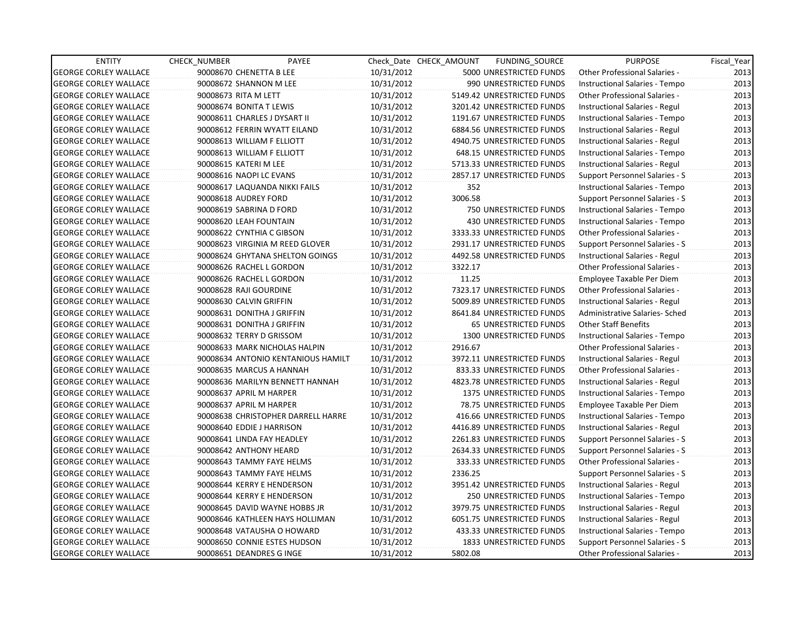| <b>ENTITY</b>                | CHECK_NUMBER               | PAYEE                              |            | Check Date CHECK AMOUNT | FUNDING_SOURCE                   | <b>PURPOSE</b>                       | Fiscal_Year |
|------------------------------|----------------------------|------------------------------------|------------|-------------------------|----------------------------------|--------------------------------------|-------------|
| <b>GEORGE CORLEY WALLACE</b> | 90008670 CHENETTA B LEE    |                                    | 10/31/2012 |                         | 5000 UNRESTRICTED FUNDS          | Other Professional Salaries -        | 2013        |
| <b>GEORGE CORLEY WALLACE</b> | 90008672 SHANNON M LEE     |                                    | 10/31/2012 |                         | 990 UNRESTRICTED FUNDS           | Instructional Salaries - Tempo       | 2013        |
| <b>GEORGE CORLEY WALLACE</b> | 90008673 RITA M LETT       |                                    | 10/31/2012 |                         | 5149.42 UNRESTRICTED FUNDS       | Other Professional Salaries -        | 2013        |
| <b>GEORGE CORLEY WALLACE</b> | 90008674 BONITA T LEWIS    |                                    | 10/31/2012 |                         | 3201.42 UNRESTRICTED FUNDS       | Instructional Salaries - Regul       | 2013        |
| <b>GEORGE CORLEY WALLACE</b> |                            | 90008611 CHARLES J DYSART II       | 10/31/2012 |                         | 1191.67 UNRESTRICTED FUNDS       | Instructional Salaries - Tempo       | 2013        |
| <b>GEORGE CORLEY WALLACE</b> |                            | 90008612 FERRIN WYATT EILAND       | 10/31/2012 |                         | 6884.56 UNRESTRICTED FUNDS       | Instructional Salaries - Regul       | 2013        |
| <b>GEORGE CORLEY WALLACE</b> | 90008613 WILLIAM F ELLIOTT |                                    | 10/31/2012 |                         | 4940.75 UNRESTRICTED FUNDS       | Instructional Salaries - Regul       | 2013        |
| <b>GEORGE CORLEY WALLACE</b> | 90008613 WILLIAM F ELLIOTT |                                    | 10/31/2012 |                         | <b>648.15 UNRESTRICTED FUNDS</b> | Instructional Salaries - Tempo       | 2013        |
| <b>GEORGE CORLEY WALLACE</b> | 90008615 KATERI M LEE      |                                    | 10/31/2012 |                         | 5713.33 UNRESTRICTED FUNDS       | Instructional Salaries - Regul       | 2013        |
| <b>GEORGE CORLEY WALLACE</b> | 90008616 NAOPI LC EVANS    |                                    | 10/31/2012 |                         | 2857.17 UNRESTRICTED FUNDS       | Support Personnel Salaries - S       | 2013        |
| <b>GEORGE CORLEY WALLACE</b> |                            | 90008617 LAQUANDA NIKKI FAILS      | 10/31/2012 | 352                     |                                  | Instructional Salaries - Tempo       | 2013        |
| <b>GEORGE CORLEY WALLACE</b> | 90008618 AUDREY FORD       |                                    | 10/31/2012 | 3006.58                 |                                  | Support Personnel Salaries - S       | 2013        |
| <b>GEORGE CORLEY WALLACE</b> | 90008619 SABRINA D FORD    |                                    | 10/31/2012 |                         | 750 UNRESTRICTED FUNDS           | Instructional Salaries - Tempo       | 2013        |
| <b>GEORGE CORLEY WALLACE</b> | 90008620 LEAH FOUNTAIN     |                                    | 10/31/2012 |                         | <b>430 UNRESTRICTED FUNDS</b>    | Instructional Salaries - Tempo       | 2013        |
| <b>GEORGE CORLEY WALLACE</b> | 90008622 CYNTHIA C GIBSON  |                                    | 10/31/2012 |                         | 3333.33 UNRESTRICTED FUNDS       | <b>Other Professional Salaries -</b> | 2013        |
| <b>GEORGE CORLEY WALLACE</b> |                            | 90008623 VIRGINIA M REED GLOVER    | 10/31/2012 |                         | 2931.17 UNRESTRICTED FUNDS       | Support Personnel Salaries - S       | 2013        |
| <b>GEORGE CORLEY WALLACE</b> |                            | 90008624 GHYTANA SHELTON GOINGS    | 10/31/2012 |                         | 4492.58 UNRESTRICTED FUNDS       | Instructional Salaries - Regul       | 2013        |
| <b>GEORGE CORLEY WALLACE</b> | 90008626 RACHEL L GORDON   |                                    | 10/31/2012 | 3322.17                 |                                  | Other Professional Salaries -        | 2013        |
| <b>GEORGE CORLEY WALLACE</b> | 90008626 RACHEL L GORDON   |                                    | 10/31/2012 | 11.25                   |                                  | Employee Taxable Per Diem            | 2013        |
| <b>GEORGE CORLEY WALLACE</b> | 90008628 RAJI GOURDINE     |                                    | 10/31/2012 |                         | 7323.17 UNRESTRICTED FUNDS       | Other Professional Salaries -        | 2013        |
| <b>GEORGE CORLEY WALLACE</b> | 90008630 CALVIN GRIFFIN    |                                    | 10/31/2012 |                         | 5009.89 UNRESTRICTED FUNDS       | Instructional Salaries - Regul       | 2013        |
| <b>GEORGE CORLEY WALLACE</b> | 90008631 DONITHA J GRIFFIN |                                    | 10/31/2012 |                         | 8641.84 UNRESTRICTED FUNDS       | Administrative Salaries- Sched       | 2013        |
| <b>GEORGE CORLEY WALLACE</b> | 90008631 DONITHA J GRIFFIN |                                    | 10/31/2012 |                         | 65 UNRESTRICTED FUNDS            | <b>Other Staff Benefits</b>          | 2013        |
| <b>GEORGE CORLEY WALLACE</b> | 90008632 TERRY D GRISSOM   |                                    | 10/31/2012 |                         | <b>1300 UNRESTRICTED FUNDS</b>   | Instructional Salaries - Tempo       | 2013        |
| <b>GEORGE CORLEY WALLACE</b> |                            | 90008633 MARK NICHOLAS HALPIN      | 10/31/2012 | 2916.67                 |                                  | Other Professional Salaries -        | 2013        |
| <b>GEORGE CORLEY WALLACE</b> |                            | 90008634 ANTONIO KENTANIOUS HAMILT | 10/31/2012 |                         | 3972.11 UNRESTRICTED FUNDS       | Instructional Salaries - Regul       | 2013        |
| <b>GEORGE CORLEY WALLACE</b> | 90008635 MARCUS A HANNAH   |                                    | 10/31/2012 |                         | 833.33 UNRESTRICTED FUNDS        | Other Professional Salaries -        | 2013        |
| <b>GEORGE CORLEY WALLACE</b> |                            | 90008636 MARILYN BENNETT HANNAH    | 10/31/2012 |                         | 4823.78 UNRESTRICTED FUNDS       | Instructional Salaries - Regul       | 2013        |
| <b>GEORGE CORLEY WALLACE</b> | 90008637 APRIL M HARPER    |                                    | 10/31/2012 |                         | 1375 UNRESTRICTED FUNDS          | Instructional Salaries - Tempo       | 2013        |
| <b>GEORGE CORLEY WALLACE</b> | 90008637 APRIL M HARPER    |                                    | 10/31/2012 |                         | 78.75 UNRESTRICTED FUNDS         | Employee Taxable Per Diem            | 2013        |
| <b>GEORGE CORLEY WALLACE</b> |                            | 90008638 CHRISTOPHER DARRELL HARRE | 10/31/2012 |                         | 416.66 UNRESTRICTED FUNDS        | Instructional Salaries - Tempo       | 2013        |
| <b>GEORGE CORLEY WALLACE</b> | 90008640 EDDIE J HARRISON  |                                    | 10/31/2012 |                         | 4416.89 UNRESTRICTED FUNDS       | Instructional Salaries - Regul       | 2013        |
| <b>GEORGE CORLEY WALLACE</b> | 90008641 LINDA FAY HEADLEY |                                    | 10/31/2012 |                         | 2261.83 UNRESTRICTED FUNDS       | Support Personnel Salaries - S       | 2013        |
| <b>GEORGE CORLEY WALLACE</b> | 90008642 ANTHONY HEARD     |                                    | 10/31/2012 |                         | 2634.33 UNRESTRICTED FUNDS       | Support Personnel Salaries - S       | 2013        |
| <b>GEORGE CORLEY WALLACE</b> |                            | 90008643 TAMMY FAYE HELMS          | 10/31/2012 |                         | 333.33 UNRESTRICTED FUNDS        | Other Professional Salaries -        | 2013        |
| <b>GEORGE CORLEY WALLACE</b> |                            | 90008643 TAMMY FAYE HELMS          | 10/31/2012 | 2336.25                 |                                  | Support Personnel Salaries - S       | 2013        |
| <b>GEORGE CORLEY WALLACE</b> |                            | 90008644 KERRY E HENDERSON         | 10/31/2012 |                         | 3951.42 UNRESTRICTED FUNDS       | Instructional Salaries - Regul       | 2013        |
| <b>GEORGE CORLEY WALLACE</b> |                            | 90008644 KERRY E HENDERSON         | 10/31/2012 |                         | 250 UNRESTRICTED FUNDS           | Instructional Salaries - Tempo       | 2013        |
| <b>GEORGE CORLEY WALLACE</b> |                            | 90008645 DAVID WAYNE HOBBS JR      | 10/31/2012 |                         | 3979.75 UNRESTRICTED FUNDS       | Instructional Salaries - Regul       | 2013        |
| <b>GEORGE CORLEY WALLACE</b> |                            | 90008646 KATHLEEN HAYS HOLLIMAN    | 10/31/2012 |                         | 6051.75 UNRESTRICTED FUNDS       | Instructional Salaries - Regul       | 2013        |
| <b>GEORGE CORLEY WALLACE</b> |                            | 90008648 VATAUSHA O HOWARD         | 10/31/2012 |                         | 433.33 UNRESTRICTED FUNDS        | Instructional Salaries - Tempo       | 2013        |
| <b>GEORGE CORLEY WALLACE</b> |                            | 90008650 CONNIE ESTES HUDSON       | 10/31/2012 |                         | 1833 UNRESTRICTED FUNDS          | Support Personnel Salaries - S       | 2013        |
| <b>GEORGE CORLEY WALLACE</b> | 90008651 DEANDRES G INGE   |                                    | 10/31/2012 | 5802.08                 |                                  | <b>Other Professional Salaries -</b> | 2013        |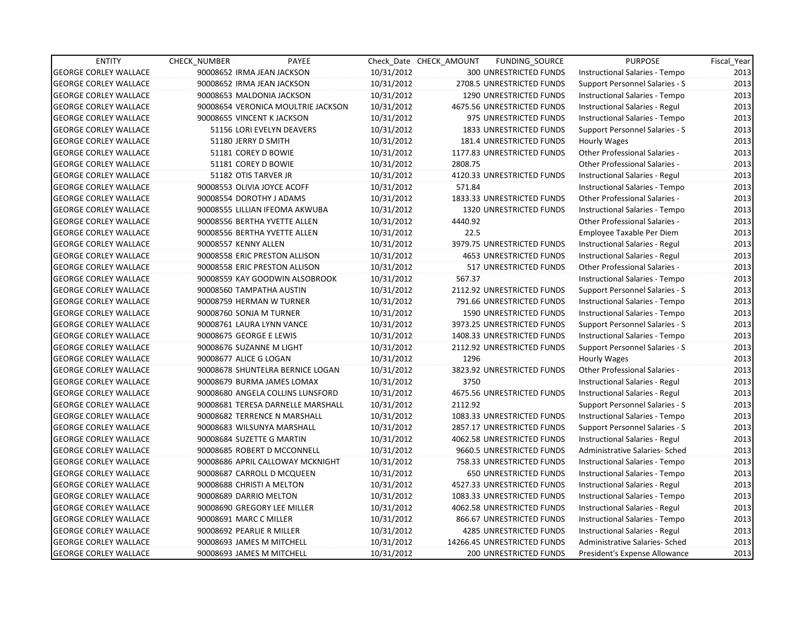| <b>ENTITY</b>                | <b>CHECK NUMBER</b>  | PAYEE                              |            | Check_Date CHECK_AMOUNT | FUNDING_SOURCE                 | <b>PURPOSE</b>                 | Fiscal Year |
|------------------------------|----------------------|------------------------------------|------------|-------------------------|--------------------------------|--------------------------------|-------------|
| <b>GEORGE CORLEY WALLACE</b> |                      | 90008652 IRMA JEAN JACKSON         | 10/31/2012 |                         | 300 UNRESTRICTED FUNDS         | Instructional Salaries - Tempo | 2013        |
| <b>GEORGE CORLEY WALLACE</b> |                      | 90008652 IRMA JEAN JACKSON         | 10/31/2012 |                         | 2708.5 UNRESTRICTED FUNDS      | Support Personnel Salaries - S | 2013        |
| <b>GEORGE CORLEY WALLACE</b> |                      | 90008653 MALDONIA JACKSON          | 10/31/2012 |                         | 1290 UNRESTRICTED FUNDS        | Instructional Salaries - Tempo | 2013        |
| <b>GEORGE CORLEY WALLACE</b> |                      | 90008654 VERONICA MOULTRIE JACKSON | 10/31/2012 |                         | 4675.56 UNRESTRICTED FUNDS     | Instructional Salaries - Regul | 2013        |
| <b>GEORGE CORLEY WALLACE</b> |                      | 90008655 VINCENT K JACKSON         | 10/31/2012 |                         | 975 UNRESTRICTED FUNDS         | Instructional Salaries - Tempo | 2013        |
| <b>GEORGE CORLEY WALLACE</b> |                      | 51156 LORI EVELYN DEAVERS          | 10/31/2012 |                         | 1833 UNRESTRICTED FUNDS        | Support Personnel Salaries - S | 2013        |
| <b>GEORGE CORLEY WALLACE</b> |                      | 51180 JERRY D SMITH                | 10/31/2012 |                         | 181.4 UNRESTRICTED FUNDS       | Hourly Wages                   | 2013        |
| <b>GEORGE CORLEY WALLACE</b> |                      | 51181 COREY D BOWIE                | 10/31/2012 |                         | 1177.83 UNRESTRICTED FUNDS     | Other Professional Salaries -  | 2013        |
| <b>GEORGE CORLEY WALLACE</b> |                      | 51181 COREY D BOWIE                | 10/31/2012 | 2808.75                 |                                | Other Professional Salaries -  | 2013        |
| <b>GEORGE CORLEY WALLACE</b> |                      | 51182 OTIS TARVER JR               | 10/31/2012 |                         | 4120.33 UNRESTRICTED FUNDS     | Instructional Salaries - Regul | 2013        |
| <b>GEORGE CORLEY WALLACE</b> |                      | 90008553 OLIVIA JOYCE ACOFF        | 10/31/2012 | 571.84                  |                                | Instructional Salaries - Tempo | 2013        |
| <b>GEORGE CORLEY WALLACE</b> |                      | 90008554 DOROTHY J ADAMS           | 10/31/2012 |                         | 1833.33 UNRESTRICTED FUNDS     | Other Professional Salaries -  | 2013        |
| <b>GEORGE CORLEY WALLACE</b> |                      | 90008555 LILLIAN IFEOMA AKWUBA     | 10/31/2012 |                         | 1320 UNRESTRICTED FUNDS        | Instructional Salaries - Tempo | 2013        |
| <b>GEORGE CORLEY WALLACE</b> |                      | 90008556 BERTHA YVETTE ALLEN       | 10/31/2012 | 4440.92                 |                                | Other Professional Salaries -  | 2013        |
| <b>GEORGE CORLEY WALLACE</b> |                      | 90008556 BERTHA YVETTE ALLEN       | 10/31/2012 | 22.5                    |                                | Employee Taxable Per Diem      | 2013        |
| <b>GEORGE CORLEY WALLACE</b> | 90008557 KENNY ALLEN |                                    | 10/31/2012 |                         | 3979.75 UNRESTRICTED FUNDS     | Instructional Salaries - Regul | 2013        |
| <b>GEORGE CORLEY WALLACE</b> |                      | 90008558 ERIC PRESTON ALLISON      | 10/31/2012 |                         | <b>4653 UNRESTRICTED FUNDS</b> | Instructional Salaries - Regul | 2013        |
| <b>GEORGE CORLEY WALLACE</b> |                      | 90008558 ERIC PRESTON ALLISON      | 10/31/2012 |                         | 517 UNRESTRICTED FUNDS         | Other Professional Salaries -  | 2013        |
| <b>GEORGE CORLEY WALLACE</b> |                      | 90008559 KAY GOODWIN ALSOBROOK     | 10/31/2012 | 567.37                  |                                | Instructional Salaries - Tempo | 2013        |
| <b>GEORGE CORLEY WALLACE</b> |                      | 90008560 TAMPATHA AUSTIN           | 10/31/2012 |                         | 2112.92 UNRESTRICTED FUNDS     | Support Personnel Salaries - S | 2013        |
| <b>GEORGE CORLEY WALLACE</b> |                      | 90008759 HERMAN W TURNER           | 10/31/2012 |                         | 791.66 UNRESTRICTED FUNDS      | Instructional Salaries - Tempo | 2013        |
| <b>GEORGE CORLEY WALLACE</b> |                      | 90008760 SONJA M TURNER            | 10/31/2012 |                         | 1590 UNRESTRICTED FUNDS        | Instructional Salaries - Tempo | 2013        |
| <b>GEORGE CORLEY WALLACE</b> |                      | 90008761 LAURA LYNN VANCE          | 10/31/2012 |                         | 3973.25 UNRESTRICTED FUNDS     | Support Personnel Salaries - S | 2013        |
| <b>GEORGE CORLEY WALLACE</b> |                      | 90008675 GEORGE E LEWIS            | 10/31/2012 |                         | 1408.33 UNRESTRICTED FUNDS     | Instructional Salaries - Tempo | 2013        |
| <b>GEORGE CORLEY WALLACE</b> |                      | 90008676 SUZANNE M LIGHT           | 10/31/2012 |                         | 2112.92 UNRESTRICTED FUNDS     | Support Personnel Salaries - S | 2013        |
| <b>GEORGE CORLEY WALLACE</b> |                      | 90008677 ALICE G LOGAN             | 10/31/2012 | 1296                    |                                | Hourly Wages                   | 2013        |
| <b>GEORGE CORLEY WALLACE</b> |                      | 90008678 SHUNTELRA BERNICE LOGAN   | 10/31/2012 |                         | 3823.92 UNRESTRICTED FUNDS     | Other Professional Salaries -  | 2013        |
| <b>GEORGE CORLEY WALLACE</b> |                      | 90008679 BURMA JAMES LOMAX         | 10/31/2012 | 3750                    |                                | Instructional Salaries - Regul | 2013        |
| <b>GEORGE CORLEY WALLACE</b> |                      | 90008680 ANGELA COLLINS LUNSFORD   | 10/31/2012 |                         | 4675.56 UNRESTRICTED FUNDS     | Instructional Salaries - Regul | 2013        |
| <b>GEORGE CORLEY WALLACE</b> |                      | 90008681 TERESA DARNELLE MARSHALL  | 10/31/2012 | 2112.92                 |                                | Support Personnel Salaries - S | 2013        |
| <b>GEORGE CORLEY WALLACE</b> |                      | 90008682 TERRENCE N MARSHALL       | 10/31/2012 |                         | 1083.33 UNRESTRICTED FUNDS     | Instructional Salaries - Tempo | 2013        |
| <b>GEORGE CORLEY WALLACE</b> |                      | 90008683 WILSUNYA MARSHALL         | 10/31/2012 |                         | 2857.17 UNRESTRICTED FUNDS     | Support Personnel Salaries - S | 2013        |
| <b>GEORGE CORLEY WALLACE</b> |                      | 90008684 SUZETTE G MARTIN          | 10/31/2012 |                         | 4062.58 UNRESTRICTED FUNDS     | Instructional Salaries - Regul | 2013        |
| <b>GEORGE CORLEY WALLACE</b> |                      | 90008685 ROBERT D MCCONNELL        | 10/31/2012 |                         | 9660.5 UNRESTRICTED FUNDS      | Administrative Salaries- Sched | 2013        |
| <b>GEORGE CORLEY WALLACE</b> |                      | 90008686 APRIL CALLOWAY MCKNIGHT   | 10/31/2012 |                         | 758.33 UNRESTRICTED FUNDS      | Instructional Salaries - Tempo | 2013        |
| <b>GEORGE CORLEY WALLACE</b> |                      | 90008687 CARROLL D MCQUEEN         | 10/31/2012 |                         | 650 UNRESTRICTED FUNDS         | Instructional Salaries - Tempo | 2013        |
| <b>GEORGE CORLEY WALLACE</b> |                      | 90008688 CHRISTI A MELTON          | 10/31/2012 |                         | 4527.33 UNRESTRICTED FUNDS     | Instructional Salaries - Regul | 2013        |
| <b>GEORGE CORLEY WALLACE</b> |                      | 90008689 DARRIO MELTON             | 10/31/2012 |                         | 1083.33 UNRESTRICTED FUNDS     | Instructional Salaries - Tempo | 2013        |
| <b>GEORGE CORLEY WALLACE</b> |                      | 90008690 GREGORY LEE MILLER        | 10/31/2012 |                         | 4062.58 UNRESTRICTED FUNDS     | Instructional Salaries - Regul | 2013        |
| <b>GEORGE CORLEY WALLACE</b> |                      | 90008691 MARC C MILLER             | 10/31/2012 |                         | 866.67 UNRESTRICTED FUNDS      | Instructional Salaries - Tempo | 2013        |
| <b>GEORGE CORLEY WALLACE</b> |                      | 90008692 PEARLIE R MILLER          | 10/31/2012 |                         | 4285 UNRESTRICTED FUNDS        | Instructional Salaries - Regul | 2013        |
| <b>GEORGE CORLEY WALLACE</b> |                      | 90008693 JAMES M MITCHELL          | 10/31/2012 |                         | 14266.45 UNRESTRICTED FUNDS    | Administrative Salaries- Sched | 2013        |
| <b>GEORGE CORLEY WALLACE</b> |                      | 90008693 JAMES M MITCHELL          | 10/31/2012 |                         | <b>200 UNRESTRICTED FUNDS</b>  | President's Expense Allowance  | 2013        |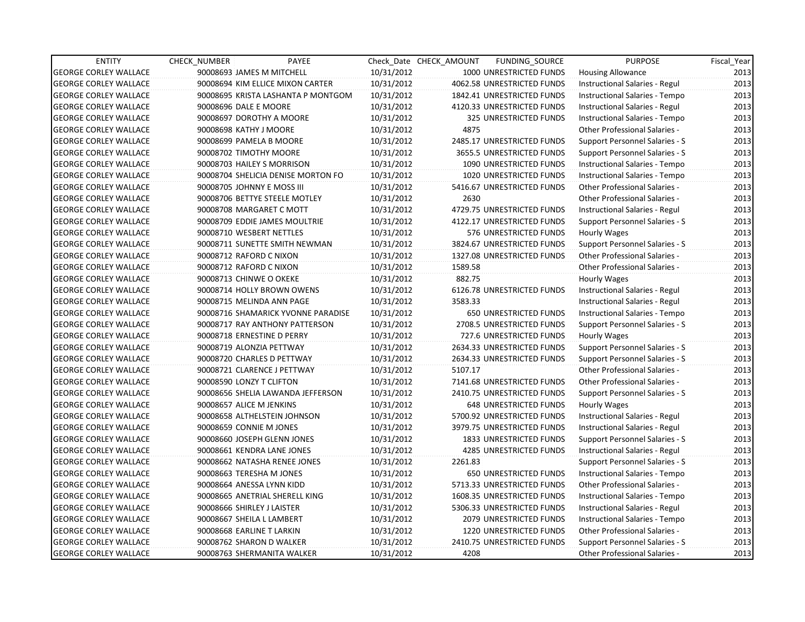| <b>ENTITY</b>                | <b>CHECK NUMBER</b>            | PAYEE                              |            | Check Date CHECK AMOUNT | FUNDING_SOURCE                | <b>PURPOSE</b>                       | Fiscal_Year |
|------------------------------|--------------------------------|------------------------------------|------------|-------------------------|-------------------------------|--------------------------------------|-------------|
| <b>GEORGE CORLEY WALLACE</b> | 90008693 JAMES M MITCHELL      |                                    | 10/31/2012 |                         | 1000 UNRESTRICTED FUNDS       | <b>Housing Allowance</b>             | 2013        |
| <b>GEORGE CORLEY WALLACE</b> |                                | 90008694 KIM ELLICE MIXON CARTER   | 10/31/2012 |                         | 4062.58 UNRESTRICTED FUNDS    | Instructional Salaries - Regul       | 2013        |
| <b>GEORGE CORLEY WALLACE</b> |                                | 90008695 KRISTA LASHANTA P MONTGOM | 10/31/2012 |                         | 1842.41 UNRESTRICTED FUNDS    | Instructional Salaries - Tempo       | 2013        |
| <b>GEORGE CORLEY WALLACE</b> | 90008696 DALE E MOORE          |                                    | 10/31/2012 |                         | 4120.33 UNRESTRICTED FUNDS    | Instructional Salaries - Regul       | 2013        |
| <b>GEORGE CORLEY WALLACE</b> | 90008697 DOROTHY A MOORE       |                                    | 10/31/2012 |                         | 325 UNRESTRICTED FUNDS        | Instructional Salaries - Tempo       | 2013        |
| <b>GEORGE CORLEY WALLACE</b> | 90008698 KATHY J MOORE         |                                    | 10/31/2012 | 4875                    |                               | <b>Other Professional Salaries -</b> | 2013        |
| <b>GEORGE CORLEY WALLACE</b> | 90008699 PAMELA B MOORE        |                                    | 10/31/2012 |                         | 2485.17 UNRESTRICTED FUNDS    | Support Personnel Salaries - S       | 2013        |
| <b>GEORGE CORLEY WALLACE</b> | 90008702 TIMOTHY MOORE         |                                    | 10/31/2012 |                         | 3655.5 UNRESTRICTED FUNDS     | Support Personnel Salaries - S       | 2013        |
| <b>GEORGE CORLEY WALLACE</b> | 90008703 HAILEY S MORRISON     |                                    | 10/31/2012 |                         | 1090 UNRESTRICTED FUNDS       | Instructional Salaries - Tempo       | 2013        |
| <b>GEORGE CORLEY WALLACE</b> |                                | 90008704 SHELICIA DENISE MORTON FO | 10/31/2012 |                         | 1020 UNRESTRICTED FUNDS       | Instructional Salaries - Tempo       | 2013        |
| <b>GEORGE CORLEY WALLACE</b> | 90008705 JOHNNY E MOSS III     |                                    | 10/31/2012 |                         | 5416.67 UNRESTRICTED FUNDS    | <b>Other Professional Salaries -</b> | 2013        |
| <b>GEORGE CORLEY WALLACE</b> | 90008706 BETTYE STEELE MOTLEY  |                                    | 10/31/2012 | 2630                    |                               | Other Professional Salaries -        | 2013        |
| <b>GEORGE CORLEY WALLACE</b> | 90008708 MARGARET C MOTT       |                                    | 10/31/2012 |                         | 4729.75 UNRESTRICTED FUNDS    | Instructional Salaries - Regul       | 2013        |
| <b>GEORGE CORLEY WALLACE</b> | 90008709 EDDIE JAMES MOULTRIE  |                                    | 10/31/2012 |                         | 4122.17 UNRESTRICTED FUNDS    | Support Personnel Salaries - S       | 2013        |
| <b>GEORGE CORLEY WALLACE</b> | 90008710 WESBERT NETTLES       |                                    | 10/31/2012 |                         | 576 UNRESTRICTED FUNDS        | Hourly Wages                         | 2013        |
| <b>GEORGE CORLEY WALLACE</b> |                                | 90008711 SUNETTE SMITH NEWMAN      | 10/31/2012 |                         | 3824.67 UNRESTRICTED FUNDS    | Support Personnel Salaries - S       | 2013        |
| <b>GEORGE CORLEY WALLACE</b> | 90008712 RAFORD C NIXON        |                                    | 10/31/2012 |                         | 1327.08 UNRESTRICTED FUNDS    | Other Professional Salaries -        | 2013        |
| <b>GEORGE CORLEY WALLACE</b> | 90008712 RAFORD C NIXON        |                                    | 10/31/2012 | 1589.58                 |                               | Other Professional Salaries -        | 2013        |
| <b>GEORGE CORLEY WALLACE</b> | 90008713 CHINWE O OKEKE        |                                    | 10/31/2012 | 882.75                  |                               | Hourly Wages                         | 2013        |
| <b>GEORGE CORLEY WALLACE</b> | 90008714 HOLLY BROWN OWENS     |                                    | 10/31/2012 |                         | 6126.78 UNRESTRICTED FUNDS    | Instructional Salaries - Regul       | 2013        |
| <b>GEORGE CORLEY WALLACE</b> | 90008715 MELINDA ANN PAGE      |                                    | 10/31/2012 | 3583.33                 |                               | Instructional Salaries - Regul       | 2013        |
| <b>GEORGE CORLEY WALLACE</b> |                                | 90008716 SHAMARICK YVONNE PARADISE | 10/31/2012 |                         | 650 UNRESTRICTED FUNDS        | Instructional Salaries - Tempo       | 2013        |
| <b>GEORGE CORLEY WALLACE</b> |                                | 90008717 RAY ANTHONY PATTERSON     | 10/31/2012 |                         | 2708.5 UNRESTRICTED FUNDS     | Support Personnel Salaries - S       | 2013        |
| <b>GEORGE CORLEY WALLACE</b> | 90008718 ERNESTINE D PERRY     |                                    | 10/31/2012 |                         | 727.6 UNRESTRICTED FUNDS      | Hourly Wages                         | 2013        |
| <b>GEORGE CORLEY WALLACE</b> | 90008719 ALONZIA PETTWAY       |                                    | 10/31/2012 |                         | 2634.33 UNRESTRICTED FUNDS    | Support Personnel Salaries - S       | 2013        |
| <b>GEORGE CORLEY WALLACE</b> | 90008720 CHARLES D PETTWAY     |                                    | 10/31/2012 |                         | 2634.33 UNRESTRICTED FUNDS    | Support Personnel Salaries - S       | 2013        |
| <b>GEORGE CORLEY WALLACE</b> | 90008721 CLARENCE J PETTWAY    |                                    | 10/31/2012 | 5107.17                 |                               | <b>Other Professional Salaries -</b> | 2013        |
| <b>GEORGE CORLEY WALLACE</b> | 90008590 LONZY T CLIFTON       |                                    | 10/31/2012 |                         | 7141.68 UNRESTRICTED FUNDS    | Other Professional Salaries -        | 2013        |
| <b>GEORGE CORLEY WALLACE</b> |                                | 90008656 SHELIA LAWANDA JEFFERSON  | 10/31/2012 |                         | 2410.75 UNRESTRICTED FUNDS    | Support Personnel Salaries - S       | 2013        |
| <b>GEORGE CORLEY WALLACE</b> | 90008657 ALICE M JENKINS       |                                    | 10/31/2012 |                         | 648 UNRESTRICTED FUNDS        | Hourly Wages                         | 2013        |
| <b>GEORGE CORLEY WALLACE</b> | 90008658 ALTHELSTEIN JOHNSON   |                                    | 10/31/2012 |                         | 5700.92 UNRESTRICTED FUNDS    | Instructional Salaries - Regul       | 2013        |
| <b>GEORGE CORLEY WALLACE</b> | 90008659 CONNIE M JONES        |                                    | 10/31/2012 |                         | 3979.75 UNRESTRICTED FUNDS    | Instructional Salaries - Regul       | 2013        |
| <b>GEORGE CORLEY WALLACE</b> | 90008660 JOSEPH GLENN JONES    |                                    | 10/31/2012 |                         | 1833 UNRESTRICTED FUNDS       | Support Personnel Salaries - S       | 2013        |
| <b>GEORGE CORLEY WALLACE</b> | 90008661 KENDRA LANE JONES     |                                    | 10/31/2012 |                         | 4285 UNRESTRICTED FUNDS       | Instructional Salaries - Regul       | 2013        |
| <b>GEORGE CORLEY WALLACE</b> | 90008662 NATASHA RENEE JONES   |                                    | 10/31/2012 | 2261.83                 |                               | Support Personnel Salaries - S       | 2013        |
| <b>GEORGE CORLEY WALLACE</b> | 90008663 TERESHA M JONES       |                                    | 10/31/2012 |                         | <b>650 UNRESTRICTED FUNDS</b> | Instructional Salaries - Tempo       | 2013        |
| <b>GEORGE CORLEY WALLACE</b> | 90008664 ANESSA LYNN KIDD      |                                    | 10/31/2012 |                         | 5713.33 UNRESTRICTED FUNDS    | Other Professional Salaries -        | 2013        |
| <b>GEORGE CORLEY WALLACE</b> | 90008665 ANETRIAL SHERELL KING |                                    | 10/31/2012 |                         | 1608.35 UNRESTRICTED FUNDS    | Instructional Salaries - Tempo       | 2013        |
| <b>GEORGE CORLEY WALLACE</b> | 90008666 SHIRLEY J LAISTER     |                                    | 10/31/2012 |                         | 5306.33 UNRESTRICTED FUNDS    | Instructional Salaries - Regul       | 2013        |
| <b>GEORGE CORLEY WALLACE</b> | 90008667 SHEILA L LAMBERT      |                                    | 10/31/2012 |                         | 2079 UNRESTRICTED FUNDS       | Instructional Salaries - Tempo       | 2013        |
| <b>GEORGE CORLEY WALLACE</b> | 90008668 EARLINE T LARKIN      |                                    | 10/31/2012 |                         | 1220 UNRESTRICTED FUNDS       | Other Professional Salaries -        | 2013        |
| <b>GEORGE CORLEY WALLACE</b> | 90008762 SHARON D WALKER       |                                    | 10/31/2012 |                         | 2410.75 UNRESTRICTED FUNDS    | Support Personnel Salaries - S       | 2013        |
| <b>GEORGE CORLEY WALLACE</b> | 90008763 SHERMANITA WALKER     |                                    | 10/31/2012 | 4208                    |                               | <b>Other Professional Salaries -</b> | 2013        |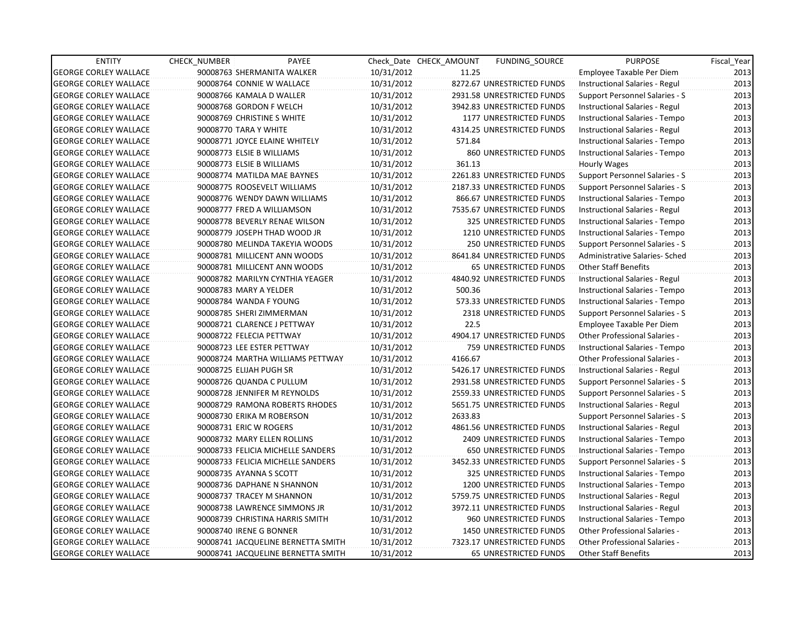| <b>ENTITY</b>                | <b>CHECK NUMBER</b> | PAYEE                              |            | Check Date CHECK AMOUNT | FUNDING_SOURCE                | <b>PURPOSE</b>                        | Fiscal_Year |
|------------------------------|---------------------|------------------------------------|------------|-------------------------|-------------------------------|---------------------------------------|-------------|
| <b>GEORGE CORLEY WALLACE</b> |                     | 90008763 SHERMANITA WALKER         | 10/31/2012 | 11.25                   |                               | Employee Taxable Per Diem             | 2013        |
| <b>GEORGE CORLEY WALLACE</b> |                     | 90008764 CONNIE W WALLACE          | 10/31/2012 |                         | 8272.67 UNRESTRICTED FUNDS    | Instructional Salaries - Regul        | 2013        |
| <b>GEORGE CORLEY WALLACE</b> |                     | 90008766 KAMALA D WALLER           | 10/31/2012 |                         | 2931.58 UNRESTRICTED FUNDS    | Support Personnel Salaries - S        | 2013        |
| <b>GEORGE CORLEY WALLACE</b> |                     | 90008768 GORDON F WELCH            | 10/31/2012 |                         | 3942.83 UNRESTRICTED FUNDS    | Instructional Salaries - Regul        | 2013        |
| <b>GEORGE CORLEY WALLACE</b> |                     | 90008769 CHRISTINE S WHITE         | 10/31/2012 |                         | 1177 UNRESTRICTED FUNDS       | Instructional Salaries - Tempo        | 2013        |
| <b>GEORGE CORLEY WALLACE</b> |                     | 90008770 TARA Y WHITE              | 10/31/2012 |                         | 4314.25 UNRESTRICTED FUNDS    | Instructional Salaries - Regul        | 2013        |
| <b>GEORGE CORLEY WALLACE</b> |                     | 90008771 JOYCE ELAINE WHITELY      | 10/31/2012 | 571.84                  |                               | Instructional Salaries - Tempo        | 2013        |
| <b>GEORGE CORLEY WALLACE</b> |                     | 90008773 ELSIE B WILLIAMS          | 10/31/2012 |                         | 860 UNRESTRICTED FUNDS        | Instructional Salaries - Tempo        | 2013        |
| <b>GEORGE CORLEY WALLACE</b> |                     | 90008773 ELSIE B WILLIAMS          | 10/31/2012 | 361.13                  |                               | Hourly Wages                          | 2013        |
| <b>GEORGE CORLEY WALLACE</b> |                     | 90008774 MATILDA MAE BAYNES        | 10/31/2012 |                         | 2261.83 UNRESTRICTED FUNDS    | <b>Support Personnel Salaries - S</b> | 2013        |
| <b>GEORGE CORLEY WALLACE</b> |                     | 90008775 ROOSEVELT WILLIAMS        | 10/31/2012 |                         | 2187.33 UNRESTRICTED FUNDS    | Support Personnel Salaries - S        | 2013        |
| <b>GEORGE CORLEY WALLACE</b> |                     | 90008776 WENDY DAWN WILLIAMS       | 10/31/2012 |                         | 866.67 UNRESTRICTED FUNDS     | Instructional Salaries - Tempo        | 2013        |
| <b>GEORGE CORLEY WALLACE</b> |                     | 90008777 FRED A WILLIAMSON         | 10/31/2012 |                         | 7535.67 UNRESTRICTED FUNDS    | Instructional Salaries - Regul        | 2013        |
| <b>GEORGE CORLEY WALLACE</b> |                     | 90008778 BEVERLY RENAE WILSON      | 10/31/2012 |                         | 325 UNRESTRICTED FUNDS        | Instructional Salaries - Tempo        | 2013        |
| <b>GEORGE CORLEY WALLACE</b> |                     | 90008779 JOSEPH THAD WOOD JR       | 10/31/2012 |                         | 1210 UNRESTRICTED FUNDS       | Instructional Salaries - Tempo        | 2013        |
| <b>GEORGE CORLEY WALLACE</b> |                     | 90008780 MELINDA TAKEYIA WOODS     | 10/31/2012 |                         | <b>250 UNRESTRICTED FUNDS</b> | Support Personnel Salaries - S        | 2013        |
| <b>GEORGE CORLEY WALLACE</b> |                     | 90008781 MILLICENT ANN WOODS       | 10/31/2012 |                         | 8641.84 UNRESTRICTED FUNDS    | Administrative Salaries- Sched        | 2013        |
| <b>GEORGE CORLEY WALLACE</b> |                     | 90008781 MILLICENT ANN WOODS       | 10/31/2012 |                         | <b>65 UNRESTRICTED FUNDS</b>  | <b>Other Staff Benefits</b>           | 2013        |
| <b>GEORGE CORLEY WALLACE</b> |                     | 90008782 MARILYN CYNTHIA YEAGER    | 10/31/2012 |                         | 4840.92 UNRESTRICTED FUNDS    | Instructional Salaries - Regul        | 2013        |
| <b>GEORGE CORLEY WALLACE</b> |                     | 90008783 MARY A YELDER             | 10/31/2012 | 500.36                  |                               | Instructional Salaries - Tempo        | 2013        |
| <b>GEORGE CORLEY WALLACE</b> |                     | 90008784 WANDA F YOUNG             | 10/31/2012 |                         | 573.33 UNRESTRICTED FUNDS     | Instructional Salaries - Tempo        | 2013        |
| <b>GEORGE CORLEY WALLACE</b> |                     | 90008785 SHERI ZIMMERMAN           | 10/31/2012 |                         | 2318 UNRESTRICTED FUNDS       | Support Personnel Salaries - S        | 2013        |
| <b>GEORGE CORLEY WALLACE</b> |                     | 90008721 CLARENCE J PETTWAY        | 10/31/2012 | 22.5                    |                               | Employee Taxable Per Diem             | 2013        |
| <b>GEORGE CORLEY WALLACE</b> |                     | 90008722 FELECIA PETTWAY           | 10/31/2012 |                         | 4904.17 UNRESTRICTED FUNDS    | <b>Other Professional Salaries -</b>  | 2013        |
| <b>GEORGE CORLEY WALLACE</b> |                     | 90008723 LEE ESTER PETTWAY         | 10/31/2012 |                         | 759 UNRESTRICTED FUNDS        | Instructional Salaries - Tempo        | 2013        |
| <b>GEORGE CORLEY WALLACE</b> |                     | 90008724 MARTHA WILLIAMS PETTWAY   | 10/31/2012 | 4166.67                 |                               | <b>Other Professional Salaries -</b>  | 2013        |
| <b>GEORGE CORLEY WALLACE</b> |                     | 90008725 ELIJAH PUGH SR            | 10/31/2012 |                         | 5426.17 UNRESTRICTED FUNDS    | Instructional Salaries - Regul        | 2013        |
| <b>GEORGE CORLEY WALLACE</b> |                     | 90008726 QUANDA C PULLUM           | 10/31/2012 |                         | 2931.58 UNRESTRICTED FUNDS    | Support Personnel Salaries - S        | 2013        |
| <b>GEORGE CORLEY WALLACE</b> |                     | 90008728 JENNIFER M REYNOLDS       | 10/31/2012 |                         | 2559.33 UNRESTRICTED FUNDS    | Support Personnel Salaries - S        | 2013        |
| <b>GEORGE CORLEY WALLACE</b> |                     | 90008729 RAMONA ROBERTS RHODES     | 10/31/2012 |                         | 5651.75 UNRESTRICTED FUNDS    | Instructional Salaries - Regul        | 2013        |
| <b>GEORGE CORLEY WALLACE</b> |                     | 90008730 ERIKA M ROBERSON          | 10/31/2012 | 2633.83                 |                               | Support Personnel Salaries - S        | 2013        |
| <b>GEORGE CORLEY WALLACE</b> |                     | 90008731 ERIC W ROGERS             | 10/31/2012 |                         | 4861.56 UNRESTRICTED FUNDS    | Instructional Salaries - Regul        | 2013        |
| <b>GEORGE CORLEY WALLACE</b> |                     | 90008732 MARY ELLEN ROLLINS        | 10/31/2012 |                         | 2409 UNRESTRICTED FUNDS       | Instructional Salaries - Tempo        | 2013        |
| <b>GEORGE CORLEY WALLACE</b> |                     | 90008733 FELICIA MICHELLE SANDERS  | 10/31/2012 |                         | <b>650 UNRESTRICTED FUNDS</b> | Instructional Salaries - Tempo        | 2013        |
| <b>GEORGE CORLEY WALLACE</b> |                     | 90008733 FELICIA MICHELLE SANDERS  | 10/31/2012 |                         | 3452.33 UNRESTRICTED FUNDS    | Support Personnel Salaries - S        | 2013        |
| <b>GEORGE CORLEY WALLACE</b> |                     | 90008735 AYANNA S SCOTT            | 10/31/2012 |                         | 325 UNRESTRICTED FUNDS        | Instructional Salaries - Tempo        | 2013        |
| <b>GEORGE CORLEY WALLACE</b> |                     | 90008736 DAPHANE N SHANNON         | 10/31/2012 |                         | 1200 UNRESTRICTED FUNDS       | Instructional Salaries - Tempo        | 2013        |
| <b>GEORGE CORLEY WALLACE</b> |                     | 90008737 TRACEY M SHANNON          | 10/31/2012 |                         | 5759.75 UNRESTRICTED FUNDS    | Instructional Salaries - Regul        | 2013        |
| <b>GEORGE CORLEY WALLACE</b> |                     | 90008738 LAWRENCE SIMMONS JR       | 10/31/2012 |                         | 3972.11 UNRESTRICTED FUNDS    | Instructional Salaries - Regul        | 2013        |
| <b>GEORGE CORLEY WALLACE</b> |                     | 90008739 CHRISTINA HARRIS SMITH    | 10/31/2012 |                         | 960 UNRESTRICTED FUNDS        | Instructional Salaries - Tempo        | 2013        |
| <b>GEORGE CORLEY WALLACE</b> |                     | 90008740 IRENE G BONNER            | 10/31/2012 |                         | 1450 UNRESTRICTED FUNDS       | <b>Other Professional Salaries -</b>  | 2013        |
| <b>GEORGE CORLEY WALLACE</b> |                     | 90008741 JACQUELINE BERNETTA SMITH | 10/31/2012 |                         | 7323.17 UNRESTRICTED FUNDS    | <b>Other Professional Salaries -</b>  | 2013        |
| <b>GEORGE CORLEY WALLACE</b> |                     | 90008741 JACQUELINE BERNETTA SMITH | 10/31/2012 |                         | <b>65 UNRESTRICTED FUNDS</b>  | Other Staff Benefits                  | 2013        |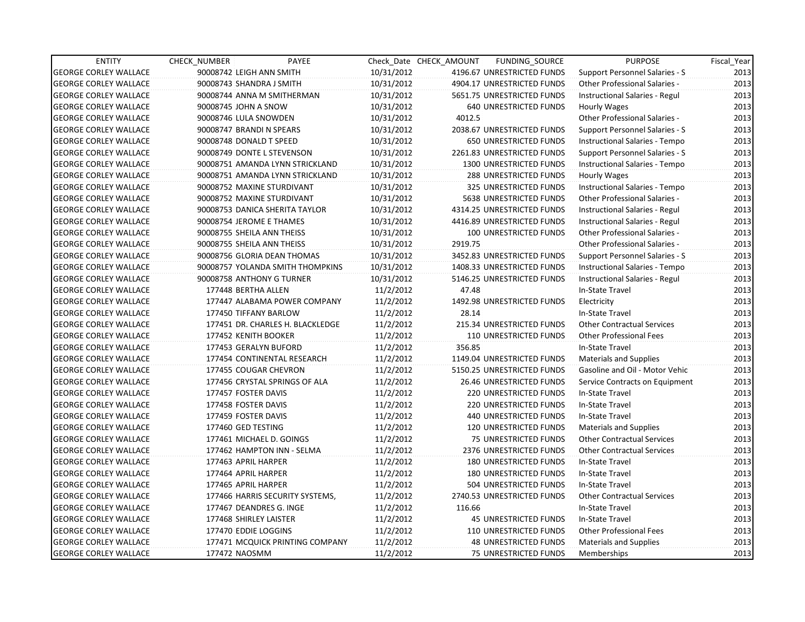| <b>ENTITY</b>                | CHECK_NUMBER               | PAYEE                            |            | Check Date CHECK AMOUNT | FUNDING_SOURCE                | <b>PURPOSE</b>                       | Fiscal_Year |
|------------------------------|----------------------------|----------------------------------|------------|-------------------------|-------------------------------|--------------------------------------|-------------|
| <b>GEORGE CORLEY WALLACE</b> | 90008742 LEIGH ANN SMITH   |                                  | 10/31/2012 |                         | 4196.67 UNRESTRICTED FUNDS    | Support Personnel Salaries - S       | 2013        |
| <b>GEORGE CORLEY WALLACE</b> | 90008743 SHANDRA J SMITH   |                                  | 10/31/2012 |                         | 4904.17 UNRESTRICTED FUNDS    | Other Professional Salaries -        | 2013        |
| <b>GEORGE CORLEY WALLACE</b> |                            | 90008744 ANNA M SMITHERMAN       | 10/31/2012 |                         | 5651.75 UNRESTRICTED FUNDS    | Instructional Salaries - Regul       | 2013        |
| <b>GEORGE CORLEY WALLACE</b> | 90008745 JOHN A SNOW       |                                  | 10/31/2012 |                         | <b>640 UNRESTRICTED FUNDS</b> | Hourly Wages                         | 2013        |
| <b>GEORGE CORLEY WALLACE</b> | 90008746 LULA SNOWDEN      |                                  | 10/31/2012 | 4012.5                  |                               | <b>Other Professional Salaries -</b> | 2013        |
| <b>GEORGE CORLEY WALLACE</b> | 90008747 BRANDI N SPEARS   |                                  | 10/31/2012 |                         | 2038.67 UNRESTRICTED FUNDS    | Support Personnel Salaries - S       | 2013        |
| <b>GEORGE CORLEY WALLACE</b> | 90008748 DONALD T SPEED    |                                  | 10/31/2012 |                         | <b>650 UNRESTRICTED FUNDS</b> | Instructional Salaries - Tempo       | 2013        |
| <b>GEORGE CORLEY WALLACE</b> |                            | 90008749 DONTE L STEVENSON       | 10/31/2012 |                         | 2261.83 UNRESTRICTED FUNDS    | Support Personnel Salaries - S       | 2013        |
| <b>GEORGE CORLEY WALLACE</b> |                            | 90008751 AMANDA LYNN STRICKLAND  | 10/31/2012 |                         | 1300 UNRESTRICTED FUNDS       | Instructional Salaries - Tempo       | 2013        |
| <b>GEORGE CORLEY WALLACE</b> |                            | 90008751 AMANDA LYNN STRICKLAND  | 10/31/2012 |                         | 288 UNRESTRICTED FUNDS        | <b>Hourly Wages</b>                  | 2013        |
| <b>GEORGE CORLEY WALLACE</b> |                            | 90008752 MAXINE STURDIVANT       | 10/31/2012 |                         | 325 UNRESTRICTED FUNDS        | Instructional Salaries - Tempo       | 2013        |
| <b>GEORGE CORLEY WALLACE</b> |                            | 90008752 MAXINE STURDIVANT       | 10/31/2012 |                         | 5638 UNRESTRICTED FUNDS       | Other Professional Salaries -        | 2013        |
| <b>GEORGE CORLEY WALLACE</b> |                            | 90008753 DANICA SHERITA TAYLOR   | 10/31/2012 |                         | 4314.25 UNRESTRICTED FUNDS    | Instructional Salaries - Regul       | 2013        |
| <b>GEORGE CORLEY WALLACE</b> | 90008754 JEROME E THAMES   |                                  | 10/31/2012 |                         | 4416.89 UNRESTRICTED FUNDS    | Instructional Salaries - Regul       | 2013        |
| <b>GEORGE CORLEY WALLACE</b> | 90008755 SHEILA ANN THEISS |                                  | 10/31/2012 |                         | 100 UNRESTRICTED FUNDS        | <b>Other Professional Salaries -</b> | 2013        |
| <b>GEORGE CORLEY WALLACE</b> | 90008755 SHEILA ANN THEISS |                                  | 10/31/2012 | 2919.75                 |                               | <b>Other Professional Salaries -</b> | 2013        |
| <b>GEORGE CORLEY WALLACE</b> |                            | 90008756 GLORIA DEAN THOMAS      | 10/31/2012 |                         | 3452.83 UNRESTRICTED FUNDS    | Support Personnel Salaries - S       | 2013        |
| <b>GEORGE CORLEY WALLACE</b> |                            | 90008757 YOLANDA SMITH THOMPKINS | 10/31/2012 |                         | 1408.33 UNRESTRICTED FUNDS    | Instructional Salaries - Tempo       | 2013        |
| <b>GEORGE CORLEY WALLACE</b> |                            | 90008758 ANTHONY G TURNER        | 10/31/2012 |                         | 5146.25 UNRESTRICTED FUNDS    | Instructional Salaries - Regul       | 2013        |
| <b>GEORGE CORLEY WALLACE</b> | 177448 BERTHA ALLEN        |                                  | 11/2/2012  | 47.48                   |                               | In-State Travel                      | 2013        |
| <b>GEORGE CORLEY WALLACE</b> |                            | 177447 ALABAMA POWER COMPANY     | 11/2/2012  |                         | 1492.98 UNRESTRICTED FUNDS    | Electricity                          | 2013        |
| <b>GEORGE CORLEY WALLACE</b> | 177450 TIFFANY BARLOW      |                                  | 11/2/2012  | 28.14                   |                               | In-State Travel                      | 2013        |
| <b>GEORGE CORLEY WALLACE</b> |                            | 177451 DR. CHARLES H. BLACKLEDGE | 11/2/2012  |                         | 215.34 UNRESTRICTED FUNDS     | <b>Other Contractual Services</b>    | 2013        |
| <b>GEORGE CORLEY WALLACE</b> | 177452 KENITH BOOKER       |                                  | 11/2/2012  |                         | 110 UNRESTRICTED FUNDS        | <b>Other Professional Fees</b>       | 2013        |
| <b>GEORGE CORLEY WALLACE</b> | 177453 GERALYN BUFORD      |                                  | 11/2/2012  | 356.85                  |                               | In-State Travel                      | 2013        |
| <b>GEORGE CORLEY WALLACE</b> |                            | 177454 CONTINENTAL RESEARCH      | 11/2/2012  |                         | 1149.04 UNRESTRICTED FUNDS    | Materials and Supplies               | 2013        |
| <b>GEORGE CORLEY WALLACE</b> |                            | 177455 COUGAR CHEVRON            | 11/2/2012  |                         | 5150.25 UNRESTRICTED FUNDS    | Gasoline and Oil - Motor Vehic       | 2013        |
| <b>GEORGE CORLEY WALLACE</b> |                            | 177456 CRYSTAL SPRINGS OF ALA    | 11/2/2012  |                         | 26.46 UNRESTRICTED FUNDS      | Service Contracts on Equipment       | 2013        |
| <b>GEORGE CORLEY WALLACE</b> | 177457 FOSTER DAVIS        |                                  | 11/2/2012  |                         | <b>220 UNRESTRICTED FUNDS</b> | In-State Travel                      | 2013        |
| <b>GEORGE CORLEY WALLACE</b> | 177458 FOSTER DAVIS        |                                  | 11/2/2012  |                         | 220 UNRESTRICTED FUNDS        | In-State Travel                      | 2013        |
| <b>GEORGE CORLEY WALLACE</b> | 177459 FOSTER DAVIS        |                                  | 11/2/2012  |                         | 440 UNRESTRICTED FUNDS        | In-State Travel                      | 2013        |
| <b>GEORGE CORLEY WALLACE</b> | 177460 GED TESTING         |                                  | 11/2/2012  |                         | 120 UNRESTRICTED FUNDS        | <b>Materials and Supplies</b>        | 2013        |
| <b>GEORGE CORLEY WALLACE</b> |                            | 177461 MICHAEL D. GOINGS         | 11/2/2012  |                         | 75 UNRESTRICTED FUNDS         | <b>Other Contractual Services</b>    | 2013        |
| <b>GEORGE CORLEY WALLACE</b> |                            | 177462 HAMPTON INN - SELMA       | 11/2/2012  |                         | 2376 UNRESTRICTED FUNDS       | <b>Other Contractual Services</b>    | 2013        |
| <b>GEORGE CORLEY WALLACE</b> | 177463 APRIL HARPER        |                                  | 11/2/2012  |                         | <b>180 UNRESTRICTED FUNDS</b> | In-State Travel                      | 2013        |
| <b>GEORGE CORLEY WALLACE</b> | 177464 APRIL HARPER        |                                  | 11/2/2012  |                         | <b>180 UNRESTRICTED FUNDS</b> | In-State Travel                      | 2013        |
| <b>GEORGE CORLEY WALLACE</b> | 177465 APRIL HARPER        |                                  | 11/2/2012  |                         | 504 UNRESTRICTED FUNDS        | In-State Travel                      | 2013        |
| <b>GEORGE CORLEY WALLACE</b> |                            | 177466 HARRIS SECURITY SYSTEMS,  | 11/2/2012  |                         | 2740.53 UNRESTRICTED FUNDS    | <b>Other Contractual Services</b>    | 2013        |
| <b>GEORGE CORLEY WALLACE</b> |                            | 177467 DEANDRES G. INGE          | 11/2/2012  | 116.66                  |                               | In-State Travel                      | 2013        |
| <b>GEORGE CORLEY WALLACE</b> | 177468 SHIRLEY LAISTER     |                                  | 11/2/2012  |                         | 45 UNRESTRICTED FUNDS         | In-State Travel                      | 2013        |
| <b>GEORGE CORLEY WALLACE</b> | 177470 EDDIE LOGGINS       |                                  | 11/2/2012  |                         | 110 UNRESTRICTED FUNDS        | <b>Other Professional Fees</b>       | 2013        |
| <b>GEORGE CORLEY WALLACE</b> |                            | 177471 MCQUICK PRINTING COMPANY  | 11/2/2012  |                         | <b>48 UNRESTRICTED FUNDS</b>  | <b>Materials and Supplies</b>        | 2013        |
| <b>GEORGE CORLEY WALLACE</b> | 177472 NAOSMM              |                                  | 11/2/2012  |                         | <b>75 UNRESTRICTED FUNDS</b>  | Memberships                          | 2013        |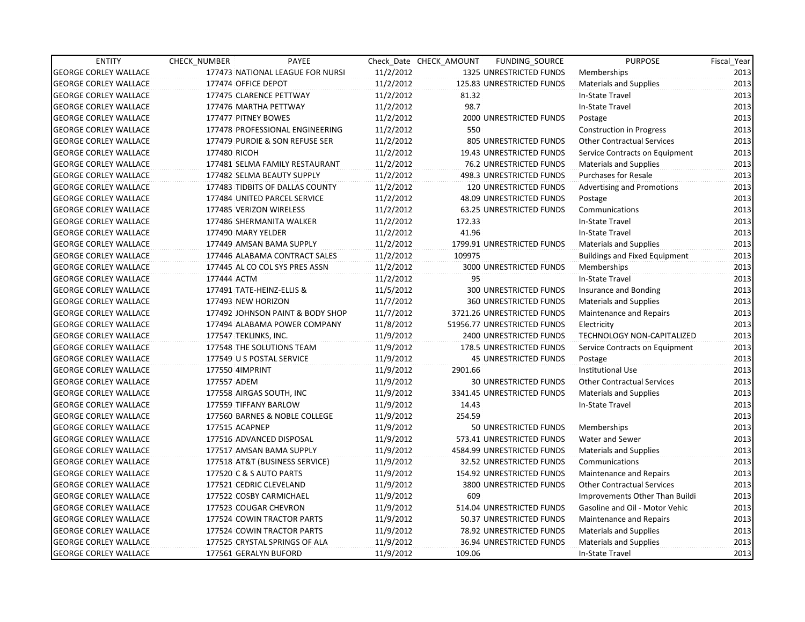| <b>ENTITY</b>                | CHECK NUMBER              | PAYEE                            |           | Check Date CHECK AMOUNT | FUNDING_SOURCE                 | <b>PURPOSE</b>                       | Fiscal_Year |
|------------------------------|---------------------------|----------------------------------|-----------|-------------------------|--------------------------------|--------------------------------------|-------------|
| <b>GEORGE CORLEY WALLACE</b> |                           | 177473 NATIONAL LEAGUE FOR NURSI | 11/2/2012 |                         | 1325 UNRESTRICTED FUNDS        | Memberships                          | 2013        |
| <b>GEORGE CORLEY WALLACE</b> | 177474 OFFICE DEPOT       |                                  | 11/2/2012 |                         | 125.83 UNRESTRICTED FUNDS      | <b>Materials and Supplies</b>        | 2013        |
| <b>GEORGE CORLEY WALLACE</b> | 177475 CLARENCE PETTWAY   |                                  | 11/2/2012 | 81.32                   |                                | In-State Travel                      | 2013        |
| <b>GEORGE CORLEY WALLACE</b> | 177476 MARTHA PETTWAY     |                                  | 11/2/2012 | 98.7                    |                                | In-State Travel                      | 2013        |
| <b>GEORGE CORLEY WALLACE</b> | 177477 PITNEY BOWES       |                                  | 11/2/2012 |                         | 2000 UNRESTRICTED FUNDS        | Postage                              | 2013        |
| <b>GEORGE CORLEY WALLACE</b> |                           | 177478 PROFESSIONAL ENGINEERING  | 11/2/2012 | 550                     |                                | <b>Construction in Progress</b>      | 2013        |
| <b>GEORGE CORLEY WALLACE</b> |                           | 177479 PURDIE & SON REFUSE SER   | 11/2/2012 |                         | 805 UNRESTRICTED FUNDS         | <b>Other Contractual Services</b>    | 2013        |
| <b>GEORGE CORLEY WALLACE</b> | 177480 RICOH              |                                  | 11/2/2012 |                         | 19.43 UNRESTRICTED FUNDS       | Service Contracts on Equipment       | 2013        |
| <b>GEORGE CORLEY WALLACE</b> |                           | 177481 SELMA FAMILY RESTAURANT   | 11/2/2012 |                         | 76.2 UNRESTRICTED FUNDS        | <b>Materials and Supplies</b>        | 2013        |
| <b>GEORGE CORLEY WALLACE</b> |                           | 177482 SELMA BEAUTY SUPPLY       | 11/2/2012 |                         | 498.3 UNRESTRICTED FUNDS       | <b>Purchases for Resale</b>          | 2013        |
| <b>GEORGE CORLEY WALLACE</b> |                           | 177483 TIDBITS OF DALLAS COUNTY  | 11/2/2012 |                         | 120 UNRESTRICTED FUNDS         | <b>Advertising and Promotions</b>    | 2013        |
| <b>GEORGE CORLEY WALLACE</b> |                           | 177484 UNITED PARCEL SERVICE     | 11/2/2012 |                         | 48.09 UNRESTRICTED FUNDS       | Postage                              | 2013        |
| <b>GEORGE CORLEY WALLACE</b> | 177485 VERIZON WIRELESS   |                                  | 11/2/2012 |                         | 63.25 UNRESTRICTED FUNDS       | Communications                       | 2013        |
| <b>GEORGE CORLEY WALLACE</b> | 177486 SHERMANITA WALKER  |                                  | 11/2/2012 | 172.33                  |                                | In-State Travel                      | 2013        |
| <b>GEORGE CORLEY WALLACE</b> | 177490 MARY YELDER        |                                  | 11/2/2012 | 41.96                   |                                | In-State Travel                      | 2013        |
| <b>GEORGE CORLEY WALLACE</b> | 177449 AMSAN BAMA SUPPLY  |                                  | 11/2/2012 |                         | 1799.91 UNRESTRICTED FUNDS     | <b>Materials and Supplies</b>        | 2013        |
| <b>GEORGE CORLEY WALLACE</b> |                           | 177446 ALABAMA CONTRACT SALES    | 11/2/2012 | 109975                  |                                | <b>Buildings and Fixed Equipment</b> | 2013        |
| <b>GEORGE CORLEY WALLACE</b> |                           | 177445 AL CO COL SYS PRES ASSN   | 11/2/2012 |                         | 3000 UNRESTRICTED FUNDS        | Memberships                          | 2013        |
| <b>GEORGE CORLEY WALLACE</b> | 177444 ACTM               |                                  | 11/2/2012 | 95                      |                                | In-State Travel                      | 2013        |
| <b>GEORGE CORLEY WALLACE</b> | 177491 TATE-HEINZ-ELLIS & |                                  | 11/5/2012 |                         | 300 UNRESTRICTED FUNDS         | Insurance and Bonding                | 2013        |
| <b>GEORGE CORLEY WALLACE</b> | 177493 NEW HORIZON        |                                  | 11/7/2012 |                         | 360 UNRESTRICTED FUNDS         | Materials and Supplies               | 2013        |
| <b>GEORGE CORLEY WALLACE</b> |                           | 177492 JOHNSON PAINT & BODY SHOP | 11/7/2012 |                         | 3721.26 UNRESTRICTED FUNDS     | Maintenance and Repairs              | 2013        |
| <b>GEORGE CORLEY WALLACE</b> |                           | 177494 ALABAMA POWER COMPANY     | 11/8/2012 |                         | 51956.77 UNRESTRICTED FUNDS    | Electricity                          | 2013        |
| <b>GEORGE CORLEY WALLACE</b> | 177547 TEKLINKS, INC.     |                                  | 11/9/2012 |                         | <b>2400 UNRESTRICTED FUNDS</b> | TECHNOLOGY NON-CAPITALIZED           | 2013        |
| <b>GEORGE CORLEY WALLACE</b> | 177548 THE SOLUTIONS TEAM |                                  | 11/9/2012 |                         | 178.5 UNRESTRICTED FUNDS       | Service Contracts on Equipment       | 2013        |
| <b>GEORGE CORLEY WALLACE</b> | 177549 U S POSTAL SERVICE |                                  | 11/9/2012 |                         | <b>45 UNRESTRICTED FUNDS</b>   | Postage                              | 2013        |
| <b>GEORGE CORLEY WALLACE</b> | 177550 4IMPRINT           |                                  | 11/9/2012 | 2901.66                 |                                | <b>Institutional Use</b>             | 2013        |
| <b>GEORGE CORLEY WALLACE</b> | 177557 ADEM               |                                  | 11/9/2012 |                         | <b>30 UNRESTRICTED FUNDS</b>   | <b>Other Contractual Services</b>    | 2013        |
| <b>GEORGE CORLEY WALLACE</b> | 177558 AIRGAS SOUTH, INC  |                                  | 11/9/2012 |                         | 3341.45 UNRESTRICTED FUNDS     | Materials and Supplies               | 2013        |
| <b>GEORGE CORLEY WALLACE</b> | 177559 TIFFANY BARLOW     |                                  | 11/9/2012 | 14.43                   |                                | In-State Travel                      | 2013        |
| <b>GEORGE CORLEY WALLACE</b> |                           | 177560 BARNES & NOBLE COLLEGE    | 11/9/2012 | 254.59                  |                                |                                      | 2013        |
| <b>GEORGE CORLEY WALLACE</b> | 177515 ACAPNEP            |                                  | 11/9/2012 |                         | 50 UNRESTRICTED FUNDS          | Memberships                          | 2013        |
| <b>GEORGE CORLEY WALLACE</b> | 177516 ADVANCED DISPOSAL  |                                  | 11/9/2012 |                         | 573.41 UNRESTRICTED FUNDS      | Water and Sewer                      | 2013        |
| <b>GEORGE CORLEY WALLACE</b> | 177517 AMSAN BAMA SUPPLY  |                                  | 11/9/2012 |                         | 4584.99 UNRESTRICTED FUNDS     | <b>Materials and Supplies</b>        | 2013        |
| <b>GEORGE CORLEY WALLACE</b> |                           | 177518 AT&T (BUSINESS SERVICE)   | 11/9/2012 |                         | 32.52 UNRESTRICTED FUNDS       | Communications                       | 2013        |
| <b>GEORGE CORLEY WALLACE</b> | 177520 C & S AUTO PARTS   |                                  | 11/9/2012 |                         | 154.92 UNRESTRICTED FUNDS      | Maintenance and Repairs              | 2013        |
| <b>GEORGE CORLEY WALLACE</b> | 177521 CEDRIC CLEVELAND   |                                  | 11/9/2012 |                         | 3800 UNRESTRICTED FUNDS        | <b>Other Contractual Services</b>    | 2013        |
| <b>GEORGE CORLEY WALLACE</b> | 177522 COSBY CARMICHAEL   |                                  | 11/9/2012 | 609                     |                                | Improvements Other Than Buildi       | 2013        |
| <b>GEORGE CORLEY WALLACE</b> | 177523 COUGAR CHEVRON     |                                  | 11/9/2012 |                         | 514.04 UNRESTRICTED FUNDS      | Gasoline and Oil - Motor Vehic       | 2013        |
| <b>GEORGE CORLEY WALLACE</b> |                           | 177524 COWIN TRACTOR PARTS       | 11/9/2012 |                         | 50.37 UNRESTRICTED FUNDS       | Maintenance and Repairs              | 2013        |
| <b>GEORGE CORLEY WALLACE</b> |                           | 177524 COWIN TRACTOR PARTS       | 11/9/2012 |                         | 78.92 UNRESTRICTED FUNDS       | Materials and Supplies               | 2013        |
| <b>GEORGE CORLEY WALLACE</b> |                           | 177525 CRYSTAL SPRINGS OF ALA    | 11/9/2012 |                         | 36.94 UNRESTRICTED FUNDS       | Materials and Supplies               | 2013        |
| <b>GEORGE CORLEY WALLACE</b> | 177561 GERALYN BUFORD     |                                  | 11/9/2012 | 109.06                  |                                | In-State Travel                      | 2013        |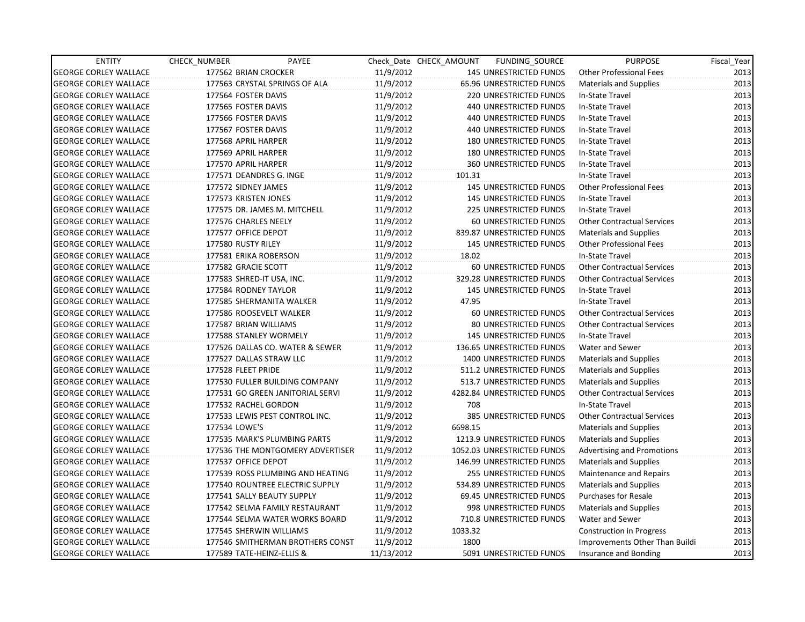| <b>ENTITY</b>                | CHECK_NUMBER          | PAYEE                            |            | Check Date CHECK AMOUNT | FUNDING_SOURCE                | <b>PURPOSE</b>                    | Fiscal_Year |
|------------------------------|-----------------------|----------------------------------|------------|-------------------------|-------------------------------|-----------------------------------|-------------|
| <b>GEORGE CORLEY WALLACE</b> | 177562 BRIAN CROCKER  |                                  | 11/9/2012  |                         | 145 UNRESTRICTED FUNDS        | Other Professional Fees           | 2013        |
| <b>GEORGE CORLEY WALLACE</b> |                       | 177563 CRYSTAL SPRINGS OF ALA    | 11/9/2012  |                         | 65.96 UNRESTRICTED FUNDS      | <b>Materials and Supplies</b>     | 2013        |
| <b>GEORGE CORLEY WALLACE</b> | 177564 FOSTER DAVIS   |                                  | 11/9/2012  |                         | 220 UNRESTRICTED FUNDS        | In-State Travel                   | 2013        |
| <b>GEORGE CORLEY WALLACE</b> | 177565 FOSTER DAVIS   |                                  | 11/9/2012  |                         | 440 UNRESTRICTED FUNDS        | In-State Travel                   | 2013        |
| <b>GEORGE CORLEY WALLACE</b> | 177566 FOSTER DAVIS   |                                  | 11/9/2012  |                         | 440 UNRESTRICTED FUNDS        | In-State Travel                   | 2013        |
| <b>GEORGE CORLEY WALLACE</b> | 177567 FOSTER DAVIS   |                                  | 11/9/2012  |                         | 440 UNRESTRICTED FUNDS        | In-State Travel                   | 2013        |
| <b>GEORGE CORLEY WALLACE</b> | 177568 APRIL HARPER   |                                  | 11/9/2012  |                         | <b>180 UNRESTRICTED FUNDS</b> | In-State Travel                   | 2013        |
| <b>GEORGE CORLEY WALLACE</b> | 177569 APRIL HARPER   |                                  | 11/9/2012  |                         | <b>180 UNRESTRICTED FUNDS</b> | In-State Travel                   | 2013        |
| <b>GEORGE CORLEY WALLACE</b> | 177570 APRIL HARPER   |                                  | 11/9/2012  |                         | <b>360 UNRESTRICTED FUNDS</b> | In-State Travel                   | 2013        |
| <b>GEORGE CORLEY WALLACE</b> |                       | 177571 DEANDRES G. INGE          | 11/9/2012  | 101.31                  |                               | In-State Travel                   | 2013        |
| <b>GEORGE CORLEY WALLACE</b> | 177572 SIDNEY JAMES   |                                  | 11/9/2012  |                         | <b>145 UNRESTRICTED FUNDS</b> | <b>Other Professional Fees</b>    | 2013        |
| <b>GEORGE CORLEY WALLACE</b> | 177573 KRISTEN JONES  |                                  | 11/9/2012  |                         | 145 UNRESTRICTED FUNDS        | In-State Travel                   | 2013        |
| <b>GEORGE CORLEY WALLACE</b> |                       | 177575 DR. JAMES M. MITCHELL     | 11/9/2012  |                         | 225 UNRESTRICTED FUNDS        | In-State Travel                   | 2013        |
| <b>GEORGE CORLEY WALLACE</b> | 177576 CHARLES NEELY  |                                  | 11/9/2012  |                         | 60 UNRESTRICTED FUNDS         | <b>Other Contractual Services</b> | 2013        |
| <b>GEORGE CORLEY WALLACE</b> | 177577 OFFICE DEPOT   |                                  | 11/9/2012  |                         | 839.87 UNRESTRICTED FUNDS     | <b>Materials and Supplies</b>     | 2013        |
| <b>GEORGE CORLEY WALLACE</b> | 177580 RUSTY RILEY    |                                  | 11/9/2012  |                         | 145 UNRESTRICTED FUNDS        | <b>Other Professional Fees</b>    | 2013        |
| <b>GEORGE CORLEY WALLACE</b> | 177581 ERIKA ROBERSON |                                  | 11/9/2012  | 18.02                   |                               | In-State Travel                   | 2013        |
| <b>GEORGE CORLEY WALLACE</b> | 177582 GRACIE SCOTT   |                                  | 11/9/2012  |                         | 60 UNRESTRICTED FUNDS         | <b>Other Contractual Services</b> | 2013        |
| <b>GEORGE CORLEY WALLACE</b> |                       | 177583 SHRED-IT USA, INC.        | 11/9/2012  |                         | 329.28 UNRESTRICTED FUNDS     | <b>Other Contractual Services</b> | 2013        |
| <b>GEORGE CORLEY WALLACE</b> | 177584 RODNEY TAYLOR  |                                  | 11/9/2012  |                         | <b>145 UNRESTRICTED FUNDS</b> | In-State Travel                   | 2013        |
| <b>GEORGE CORLEY WALLACE</b> |                       | 177585 SHERMANITA WALKER         | 11/9/2012  | 47.95                   |                               | In-State Travel                   | 2013        |
| <b>GEORGE CORLEY WALLACE</b> |                       | 177586 ROOSEVELT WALKER          | 11/9/2012  |                         | 60 UNRESTRICTED FUNDS         | <b>Other Contractual Services</b> | 2013        |
| <b>GEORGE CORLEY WALLACE</b> | 177587 BRIAN WILLIAMS |                                  | 11/9/2012  |                         | 80 UNRESTRICTED FUNDS         | <b>Other Contractual Services</b> | 2013        |
| <b>GEORGE CORLEY WALLACE</b> |                       | 177588 STANLEY WORMELY           | 11/9/2012  |                         | 145 UNRESTRICTED FUNDS        | In-State Travel                   | 2013        |
| <b>GEORGE CORLEY WALLACE</b> |                       | 177526 DALLAS CO. WATER & SEWER  | 11/9/2012  |                         | 136.65 UNRESTRICTED FUNDS     | Water and Sewer                   | 2013        |
| <b>GEORGE CORLEY WALLACE</b> |                       | 177527 DALLAS STRAW LLC          | 11/9/2012  |                         | 1400 UNRESTRICTED FUNDS       | <b>Materials and Supplies</b>     | 2013        |
| <b>GEORGE CORLEY WALLACE</b> | 177528 FLEET PRIDE    |                                  | 11/9/2012  |                         | 511.2 UNRESTRICTED FUNDS      | <b>Materials and Supplies</b>     | 2013        |
| <b>GEORGE CORLEY WALLACE</b> |                       | 177530 FULLER BUILDING COMPANY   | 11/9/2012  |                         | 513.7 UNRESTRICTED FUNDS      | <b>Materials and Supplies</b>     | 2013        |
| <b>GEORGE CORLEY WALLACE</b> |                       | 177531 GO GREEN JANITORIAL SERVI | 11/9/2012  |                         | 4282.84 UNRESTRICTED FUNDS    | <b>Other Contractual Services</b> | 2013        |
| <b>GEORGE CORLEY WALLACE</b> | 177532 RACHEL GORDON  |                                  | 11/9/2012  | 708                     |                               | In-State Travel                   | 2013        |
| <b>GEORGE CORLEY WALLACE</b> |                       | 177533 LEWIS PEST CONTROL INC.   | 11/9/2012  |                         | 385 UNRESTRICTED FUNDS        | <b>Other Contractual Services</b> | 2013        |
| <b>GEORGE CORLEY WALLACE</b> | 177534 LOWE'S         |                                  | 11/9/2012  | 6698.15                 |                               | <b>Materials and Supplies</b>     | 2013        |
| <b>GEORGE CORLEY WALLACE</b> |                       | 177535 MARK'S PLUMBING PARTS     | 11/9/2012  |                         | 1213.9 UNRESTRICTED FUNDS     | <b>Materials and Supplies</b>     | 2013        |
| <b>GEORGE CORLEY WALLACE</b> |                       | 177536 THE MONTGOMERY ADVERTISER | 11/9/2012  |                         | 1052.03 UNRESTRICTED FUNDS    | Advertising and Promotions        | 2013        |
| <b>GEORGE CORLEY WALLACE</b> | 177537 OFFICE DEPOT   |                                  | 11/9/2012  |                         | 146.99 UNRESTRICTED FUNDS     | <b>Materials and Supplies</b>     | 2013        |
| <b>GEORGE CORLEY WALLACE</b> |                       | 177539 ROSS PLUMBING AND HEATING | 11/9/2012  |                         | 255 UNRESTRICTED FUNDS        | <b>Maintenance and Repairs</b>    | 2013        |
| <b>GEORGE CORLEY WALLACE</b> |                       | 177540 ROUNTREE ELECTRIC SUPPLY  | 11/9/2012  |                         | 534.89 UNRESTRICTED FUNDS     | <b>Materials and Supplies</b>     | 2013        |
| <b>GEORGE CORLEY WALLACE</b> |                       | 177541 SALLY BEAUTY SUPPLY       | 11/9/2012  |                         | 69.45 UNRESTRICTED FUNDS      | <b>Purchases for Resale</b>       | 2013        |
| <b>GEORGE CORLEY WALLACE</b> |                       | 177542 SELMA FAMILY RESTAURANT   | 11/9/2012  |                         | 998 UNRESTRICTED FUNDS        | <b>Materials and Supplies</b>     | 2013        |
| <b>GEORGE CORLEY WALLACE</b> |                       | 177544 SELMA WATER WORKS BOARD   | 11/9/2012  |                         | 710.8 UNRESTRICTED FUNDS      | Water and Sewer                   | 2013        |
| <b>GEORGE CORLEY WALLACE</b> |                       | 177545 SHERWIN WILLIAMS          | 11/9/2012  | 1033.32                 |                               | <b>Construction in Progress</b>   | 2013        |
| <b>GEORGE CORLEY WALLACE</b> |                       | 177546 SMITHERMAN BROTHERS CONST | 11/9/2012  | 1800                    |                               | Improvements Other Than Buildi    | 2013        |
| <b>GEORGE CORLEY WALLACE</b> |                       | 177589 TATE-HEINZ-ELLIS &        | 11/13/2012 |                         | 5091 UNRESTRICTED FUNDS       | Insurance and Bonding             | 2013        |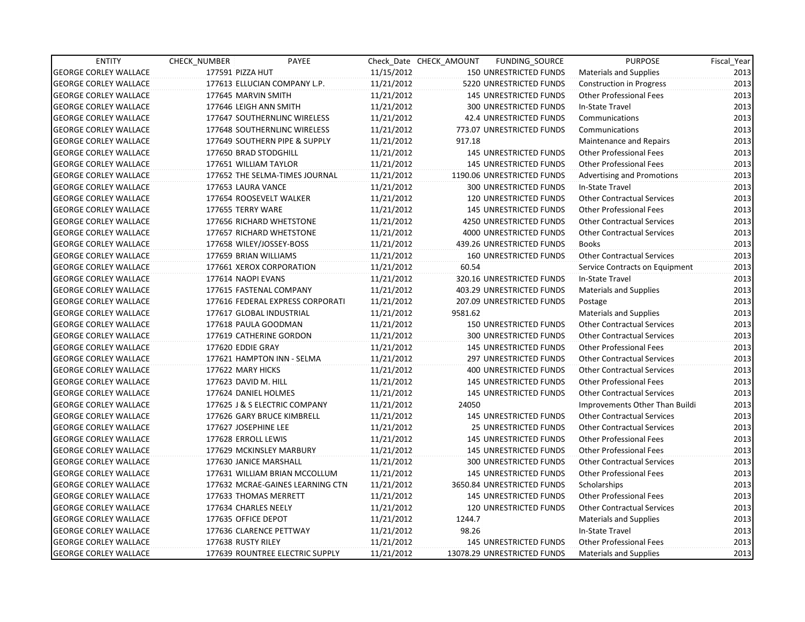| <b>ENTITY</b>                | CHECK_NUMBER             | PAYEE                            |            | Check Date CHECK AMOUNT | FUNDING_SOURCE                | <b>PURPOSE</b>                    | Fiscal_Year |
|------------------------------|--------------------------|----------------------------------|------------|-------------------------|-------------------------------|-----------------------------------|-------------|
| <b>GEORGE CORLEY WALLACE</b> | 177591 PIZZA HUT         |                                  | 11/15/2012 |                         | 150 UNRESTRICTED FUNDS        | Materials and Supplies            | 2013        |
| <b>GEORGE CORLEY WALLACE</b> |                          | 177613 ELLUCIAN COMPANY L.P.     | 11/21/2012 |                         | 5220 UNRESTRICTED FUNDS       | <b>Construction in Progress</b>   | 2013        |
| <b>GEORGE CORLEY WALLACE</b> | 177645 MARVIN SMITH      |                                  | 11/21/2012 |                         | <b>145 UNRESTRICTED FUNDS</b> | Other Professional Fees           | 2013        |
| <b>GEORGE CORLEY WALLACE</b> | 177646 LEIGH ANN SMITH   |                                  | 11/21/2012 |                         | <b>300 UNRESTRICTED FUNDS</b> | In-State Travel                   | 2013        |
| <b>GEORGE CORLEY WALLACE</b> |                          | 177647 SOUTHERNLINC WIRELESS     | 11/21/2012 |                         | 42.4 UNRESTRICTED FUNDS       | Communications                    | 2013        |
| <b>GEORGE CORLEY WALLACE</b> |                          | 177648 SOUTHERNLINC WIRELESS     | 11/21/2012 |                         | 773.07 UNRESTRICTED FUNDS     | Communications                    | 2013        |
| <b>GEORGE CORLEY WALLACE</b> |                          | 177649 SOUTHERN PIPE & SUPPLY    | 11/21/2012 | 917.18                  |                               | Maintenance and Repairs           | 2013        |
| <b>GEORGE CORLEY WALLACE</b> | 177650 BRAD STODGHILL    |                                  | 11/21/2012 |                         | 145 UNRESTRICTED FUNDS        | <b>Other Professional Fees</b>    | 2013        |
| <b>GEORGE CORLEY WALLACE</b> | 177651 WILLIAM TAYLOR    |                                  | 11/21/2012 |                         | <b>145 UNRESTRICTED FUNDS</b> | <b>Other Professional Fees</b>    | 2013        |
| <b>GEORGE CORLEY WALLACE</b> |                          | 177652 THE SELMA-TIMES JOURNAL   | 11/21/2012 |                         | 1190.06 UNRESTRICTED FUNDS    | <b>Advertising and Promotions</b> | 2013        |
| <b>GEORGE CORLEY WALLACE</b> | 177653 LAURA VANCE       |                                  | 11/21/2012 |                         | 300 UNRESTRICTED FUNDS        | In-State Travel                   | 2013        |
| <b>GEORGE CORLEY WALLACE</b> | 177654 ROOSEVELT WALKER  |                                  | 11/21/2012 |                         | 120 UNRESTRICTED FUNDS        | <b>Other Contractual Services</b> | 2013        |
| <b>GEORGE CORLEY WALLACE</b> | 177655 TERRY WARE        |                                  | 11/21/2012 |                         | 145 UNRESTRICTED FUNDS        | <b>Other Professional Fees</b>    | 2013        |
| <b>GEORGE CORLEY WALLACE</b> |                          | 177656 RICHARD WHETSTONE         | 11/21/2012 |                         | 4250 UNRESTRICTED FUNDS       | <b>Other Contractual Services</b> | 2013        |
| <b>GEORGE CORLEY WALLACE</b> |                          | 177657 RICHARD WHETSTONE         | 11/21/2012 |                         | 4000 UNRESTRICTED FUNDS       | <b>Other Contractual Services</b> | 2013        |
| <b>GEORGE CORLEY WALLACE</b> | 177658 WILEY/JOSSEY-BOSS |                                  | 11/21/2012 |                         | 439.26 UNRESTRICTED FUNDS     | <b>Books</b>                      | 2013        |
| <b>GEORGE CORLEY WALLACE</b> | 177659 BRIAN WILLIAMS    |                                  | 11/21/2012 |                         | <b>160 UNRESTRICTED FUNDS</b> | <b>Other Contractual Services</b> | 2013        |
| <b>GEORGE CORLEY WALLACE</b> |                          | 177661 XEROX CORPORATION         | 11/21/2012 | 60.54                   |                               | Service Contracts on Equipment    | 2013        |
| <b>GEORGE CORLEY WALLACE</b> | 177614 NAOPI EVANS       |                                  | 11/21/2012 |                         | 320.16 UNRESTRICTED FUNDS     | In-State Travel                   | 2013        |
| <b>GEORGE CORLEY WALLACE</b> | 177615 FASTENAL COMPANY  |                                  | 11/21/2012 |                         | 403.29 UNRESTRICTED FUNDS     | <b>Materials and Supplies</b>     | 2013        |
| <b>GEORGE CORLEY WALLACE</b> |                          | 177616 FEDERAL EXPRESS CORPORATI | 11/21/2012 |                         | 207.09 UNRESTRICTED FUNDS     | Postage                           | 2013        |
| <b>GEORGE CORLEY WALLACE</b> | 177617 GLOBAL INDUSTRIAL |                                  | 11/21/2012 | 9581.62                 |                               | <b>Materials and Supplies</b>     | 2013        |
| <b>GEORGE CORLEY WALLACE</b> | 177618 PAULA GOODMAN     |                                  | 11/21/2012 |                         | 150 UNRESTRICTED FUNDS        | <b>Other Contractual Services</b> | 2013        |
| <b>GEORGE CORLEY WALLACE</b> | 177619 CATHERINE GORDON  |                                  | 11/21/2012 |                         | <b>300 UNRESTRICTED FUNDS</b> | <b>Other Contractual Services</b> | 2013        |
| <b>GEORGE CORLEY WALLACE</b> | 177620 EDDIE GRAY        |                                  | 11/21/2012 |                         | <b>145 UNRESTRICTED FUNDS</b> | <b>Other Professional Fees</b>    | 2013        |
| <b>GEORGE CORLEY WALLACE</b> |                          | 177621 HAMPTON INN - SELMA       | 11/21/2012 |                         | <b>297 UNRESTRICTED FUNDS</b> | Other Contractual Services        | 2013        |
| <b>GEORGE CORLEY WALLACE</b> | 177622 MARY HICKS        |                                  | 11/21/2012 |                         | 400 UNRESTRICTED FUNDS        | <b>Other Contractual Services</b> | 2013        |
| <b>GEORGE CORLEY WALLACE</b> | 177623 DAVID M. HILL     |                                  | 11/21/2012 |                         | <b>145 UNRESTRICTED FUNDS</b> | <b>Other Professional Fees</b>    | 2013        |
| <b>GEORGE CORLEY WALLACE</b> | 177624 DANIEL HOLMES     |                                  | 11/21/2012 |                         | <b>145 UNRESTRICTED FUNDS</b> | <b>Other Contractual Services</b> | 2013        |
| <b>GEORGE CORLEY WALLACE</b> |                          | 177625 J & S ELECTRIC COMPANY    | 11/21/2012 | 24050                   |                               | Improvements Other Than Buildi    | 2013        |
| <b>GEORGE CORLEY WALLACE</b> |                          | 177626 GARY BRUCE KIMBRELL       | 11/21/2012 |                         | 145 UNRESTRICTED FUNDS        | <b>Other Contractual Services</b> | 2013        |
| <b>GEORGE CORLEY WALLACE</b> | 177627 JOSEPHINE LEE     |                                  | 11/21/2012 |                         | 25 UNRESTRICTED FUNDS         | <b>Other Contractual Services</b> | 2013        |
| <b>GEORGE CORLEY WALLACE</b> | 177628 ERROLL LEWIS      |                                  | 11/21/2012 |                         | 145 UNRESTRICTED FUNDS        | Other Professional Fees           | 2013        |
| <b>GEORGE CORLEY WALLACE</b> |                          | 177629 MCKINSLEY MARBURY         | 11/21/2012 |                         | <b>145 UNRESTRICTED FUNDS</b> | <b>Other Professional Fees</b>    | 2013        |
| <b>GEORGE CORLEY WALLACE</b> | 177630 JANICE MARSHALL   |                                  | 11/21/2012 |                         | <b>300 UNRESTRICTED FUNDS</b> | <b>Other Contractual Services</b> | 2013        |
| <b>GEORGE CORLEY WALLACE</b> |                          | 177631 WILLIAM BRIAN MCCOLLUM    | 11/21/2012 |                         | <b>145 UNRESTRICTED FUNDS</b> | Other Professional Fees           | 2013        |
| <b>GEORGE CORLEY WALLACE</b> |                          | 177632 MCRAE-GAINES LEARNING CTN | 11/21/2012 |                         | 3650.84 UNRESTRICTED FUNDS    | Scholarships                      | 2013        |
| <b>GEORGE CORLEY WALLACE</b> | 177633 THOMAS MERRETT    |                                  | 11/21/2012 |                         | 145 UNRESTRICTED FUNDS        | <b>Other Professional Fees</b>    | 2013        |
| <b>GEORGE CORLEY WALLACE</b> | 177634 CHARLES NEELY     |                                  | 11/21/2012 |                         | 120 UNRESTRICTED FUNDS        | <b>Other Contractual Services</b> | 2013        |
| <b>GEORGE CORLEY WALLACE</b> | 177635 OFFICE DEPOT      |                                  | 11/21/2012 | 1244.7                  |                               | <b>Materials and Supplies</b>     | 2013        |
| <b>GEORGE CORLEY WALLACE</b> | 177636 CLARENCE PETTWAY  |                                  | 11/21/2012 | 98.26                   |                               | In-State Travel                   | 2013        |
| <b>GEORGE CORLEY WALLACE</b> | 177638 RUSTY RILEY       |                                  | 11/21/2012 |                         | 145 UNRESTRICTED FUNDS        | <b>Other Professional Fees</b>    | 2013        |
| <b>GEORGE CORLEY WALLACE</b> |                          | 177639 ROUNTREE ELECTRIC SUPPLY  | 11/21/2012 |                         | 13078.29 UNRESTRICTED FUNDS   | Materials and Supplies            | 2013        |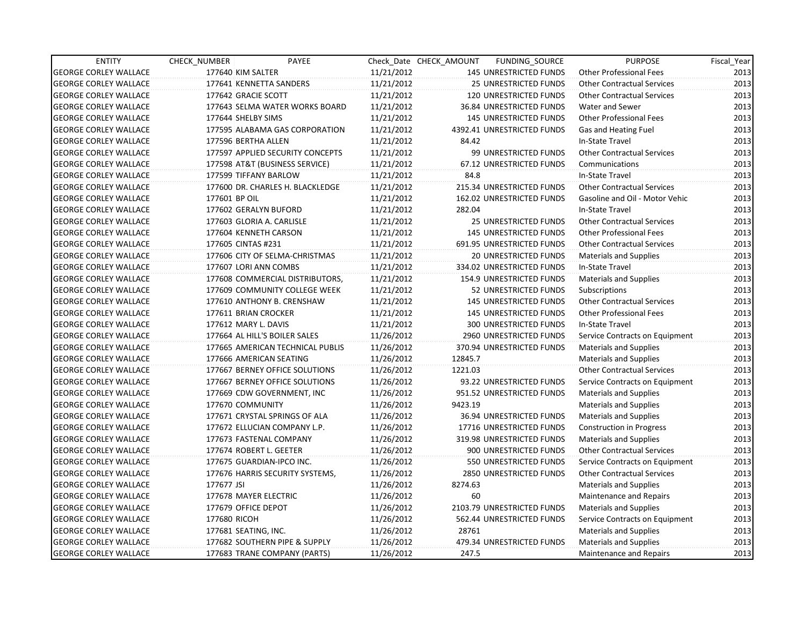| <b>ENTITY</b>                | CHECK_NUMBER              | PAYEE                            |            | Check Date CHECK AMOUNT | FUNDING_SOURCE                  | <b>PURPOSE</b>                    | Fiscal_Year |
|------------------------------|---------------------------|----------------------------------|------------|-------------------------|---------------------------------|-----------------------------------|-------------|
| <b>GEORGE CORLEY WALLACE</b> | 177640 KIM SALTER         |                                  | 11/21/2012 |                         | 145 UNRESTRICTED FUNDS          | <b>Other Professional Fees</b>    | 2013        |
| <b>GEORGE CORLEY WALLACE</b> | 177641 KENNETTA SANDERS   |                                  | 11/21/2012 |                         | 25 UNRESTRICTED FUNDS           | <b>Other Contractual Services</b> | 2013        |
| <b>GEORGE CORLEY WALLACE</b> | 177642 GRACIE SCOTT       |                                  | 11/21/2012 |                         | <b>120 UNRESTRICTED FUNDS</b>   | <b>Other Contractual Services</b> | 2013        |
| <b>GEORGE CORLEY WALLACE</b> |                           | 177643 SELMA WATER WORKS BOARD   | 11/21/2012 |                         | 36.84 UNRESTRICTED FUNDS        | Water and Sewer                   | 2013        |
| <b>GEORGE CORLEY WALLACE</b> | 177644 SHELBY SIMS        |                                  | 11/21/2012 |                         | <b>145 UNRESTRICTED FUNDS</b>   | <b>Other Professional Fees</b>    | 2013        |
| <b>GEORGE CORLEY WALLACE</b> |                           | 177595 ALABAMA GAS CORPORATION   | 11/21/2012 |                         | 4392.41 UNRESTRICTED FUNDS      | Gas and Heating Fuel              | 2013        |
| <b>GEORGE CORLEY WALLACE</b> | 177596 BERTHA ALLEN       |                                  | 11/21/2012 | 84.42                   |                                 | In-State Travel                   | 2013        |
| <b>GEORGE CORLEY WALLACE</b> |                           | 177597 APPLIED SECURITY CONCEPTS | 11/21/2012 |                         | 99 UNRESTRICTED FUNDS           | <b>Other Contractual Services</b> | 2013        |
| <b>GEORGE CORLEY WALLACE</b> |                           | 177598 AT&T (BUSINESS SERVICE)   | 11/21/2012 |                         | 67.12 UNRESTRICTED FUNDS        | Communications                    | 2013        |
| <b>GEORGE CORLEY WALLACE</b> | 177599 TIFFANY BARLOW     |                                  | 11/21/2012 | 84.8                    |                                 | In-State Travel                   | 2013        |
| <b>GEORGE CORLEY WALLACE</b> |                           | 177600 DR. CHARLES H. BLACKLEDGE | 11/21/2012 |                         | 215.34 UNRESTRICTED FUNDS       | <b>Other Contractual Services</b> | 2013        |
| <b>GEORGE CORLEY WALLACE</b> | 177601 BP OIL             |                                  | 11/21/2012 |                         | 162.02 UNRESTRICTED FUNDS       | Gasoline and Oil - Motor Vehic    | 2013        |
| <b>GEORGE CORLEY WALLACE</b> | 177602 GERALYN BUFORD     |                                  | 11/21/2012 | 282.04                  |                                 | In-State Travel                   | 2013        |
| <b>GEORGE CORLEY WALLACE</b> | 177603 GLORIA A. CARLISLE |                                  | 11/21/2012 |                         | 25 UNRESTRICTED FUNDS           | <b>Other Contractual Services</b> | 2013        |
| <b>GEORGE CORLEY WALLACE</b> | 177604 KENNETH CARSON     |                                  | 11/21/2012 |                         | <b>145 UNRESTRICTED FUNDS</b>   | <b>Other Professional Fees</b>    | 2013        |
| <b>GEORGE CORLEY WALLACE</b> | 177605 CINTAS #231        |                                  | 11/21/2012 |                         | 691.95 UNRESTRICTED FUNDS       | <b>Other Contractual Services</b> | 2013        |
| <b>GEORGE CORLEY WALLACE</b> |                           | 177606 CITY OF SELMA-CHRISTMAS   | 11/21/2012 |                         | 20 UNRESTRICTED FUNDS           | <b>Materials and Supplies</b>     | 2013        |
| <b>GEORGE CORLEY WALLACE</b> | 177607 LORI ANN COMBS     |                                  | 11/21/2012 |                         | 334.02 UNRESTRICTED FUNDS       | In-State Travel                   | 2013        |
| <b>GEORGE CORLEY WALLACE</b> |                           | 177608 COMMERCIAL DISTRIBUTORS,  | 11/21/2012 |                         | <b>154.9 UNRESTRICTED FUNDS</b> | <b>Materials and Supplies</b>     | 2013        |
| <b>GEORGE CORLEY WALLACE</b> |                           | 177609 COMMUNITY COLLEGE WEEK    | 11/21/2012 |                         | 52 UNRESTRICTED FUNDS           | Subscriptions                     | 2013        |
| <b>GEORGE CORLEY WALLACE</b> |                           | 177610 ANTHONY B. CRENSHAW       | 11/21/2012 |                         | <b>145 UNRESTRICTED FUNDS</b>   | <b>Other Contractual Services</b> | 2013        |
| <b>GEORGE CORLEY WALLACE</b> | 177611 BRIAN CROCKER      |                                  | 11/21/2012 |                         | <b>145 UNRESTRICTED FUNDS</b>   | <b>Other Professional Fees</b>    | 2013        |
| <b>GEORGE CORLEY WALLACE</b> | 177612 MARY L. DAVIS      |                                  | 11/21/2012 |                         | 300 UNRESTRICTED FUNDS          | In-State Travel                   | 2013        |
| <b>GEORGE CORLEY WALLACE</b> |                           | 177664 AL HILL'S BOILER SALES    | 11/26/2012 |                         | 2960 UNRESTRICTED FUNDS         | Service Contracts on Equipment    | 2013        |
| <b>GEORGE CORLEY WALLACE</b> |                           | 177665 AMERICAN TECHNICAL PUBLIS | 11/26/2012 |                         | 370.94 UNRESTRICTED FUNDS       | <b>Materials and Supplies</b>     | 2013        |
| <b>GEORGE CORLEY WALLACE</b> | 177666 AMERICAN SEATING   |                                  | 11/26/2012 | 12845.7                 |                                 | <b>Materials and Supplies</b>     | 2013        |
| <b>GEORGE CORLEY WALLACE</b> |                           | 177667 BERNEY OFFICE SOLUTIONS   | 11/26/2012 | 1221.03                 |                                 | <b>Other Contractual Services</b> | 2013        |
| <b>GEORGE CORLEY WALLACE</b> |                           | 177667 BERNEY OFFICE SOLUTIONS   | 11/26/2012 |                         | 93.22 UNRESTRICTED FUNDS        | Service Contracts on Equipment    | 2013        |
| <b>GEORGE CORLEY WALLACE</b> |                           | 177669 CDW GOVERNMENT, INC       | 11/26/2012 |                         | 951.52 UNRESTRICTED FUNDS       | <b>Materials and Supplies</b>     | 2013        |
| <b>GEORGE CORLEY WALLACE</b> | 177670 COMMUNITY          |                                  | 11/26/2012 | 9423.19                 |                                 | <b>Materials and Supplies</b>     | 2013        |
| <b>GEORGE CORLEY WALLACE</b> |                           | 177671 CRYSTAL SPRINGS OF ALA    | 11/26/2012 |                         | 36.94 UNRESTRICTED FUNDS        | <b>Materials and Supplies</b>     | 2013        |
| <b>GEORGE CORLEY WALLACE</b> |                           | 177672 ELLUCIAN COMPANY L.P.     | 11/26/2012 |                         | 17716 UNRESTRICTED FUNDS        | <b>Construction in Progress</b>   | 2013        |
| <b>GEORGE CORLEY WALLACE</b> | 177673 FASTENAL COMPANY   |                                  | 11/26/2012 |                         | 319.98 UNRESTRICTED FUNDS       | Materials and Supplies            | 2013        |
| <b>GEORGE CORLEY WALLACE</b> | 177674 ROBERT L. GEETER   |                                  | 11/26/2012 |                         | 900 UNRESTRICTED FUNDS          | <b>Other Contractual Services</b> | 2013        |
| <b>GEORGE CORLEY WALLACE</b> | 177675 GUARDIAN-IPCO INC. |                                  | 11/26/2012 |                         | 550 UNRESTRICTED FUNDS          | Service Contracts on Equipment    | 2013        |
| <b>GEORGE CORLEY WALLACE</b> |                           | 177676 HARRIS SECURITY SYSTEMS,  | 11/26/2012 |                         | 2850 UNRESTRICTED FUNDS         | <b>Other Contractual Services</b> | 2013        |
| <b>GEORGE CORLEY WALLACE</b> | 177677 JSI                |                                  | 11/26/2012 | 8274.63                 |                                 | <b>Materials and Supplies</b>     | 2013        |
| <b>GEORGE CORLEY WALLACE</b> | 177678 MAYER ELECTRIC     |                                  | 11/26/2012 | 60                      |                                 | Maintenance and Repairs           | 2013        |
| <b>GEORGE CORLEY WALLACE</b> | 177679 OFFICE DEPOT       |                                  | 11/26/2012 |                         | 2103.79 UNRESTRICTED FUNDS      | <b>Materials and Supplies</b>     | 2013        |
| <b>GEORGE CORLEY WALLACE</b> | 177680 RICOH              |                                  | 11/26/2012 |                         | 562.44 UNRESTRICTED FUNDS       | Service Contracts on Equipment    | 2013        |
| <b>GEORGE CORLEY WALLACE</b> | 177681 SEATING, INC.      |                                  | 11/26/2012 | 28761                   |                                 | <b>Materials and Supplies</b>     | 2013        |
| <b>GEORGE CORLEY WALLACE</b> |                           | 177682 SOUTHERN PIPE & SUPPLY    | 11/26/2012 |                         | 479.34 UNRESTRICTED FUNDS       | <b>Materials and Supplies</b>     | 2013        |
| <b>GEORGE CORLEY WALLACE</b> |                           | 177683 TRANE COMPANY (PARTS)     | 11/26/2012 | 247.5                   |                                 | Maintenance and Repairs           | 2013        |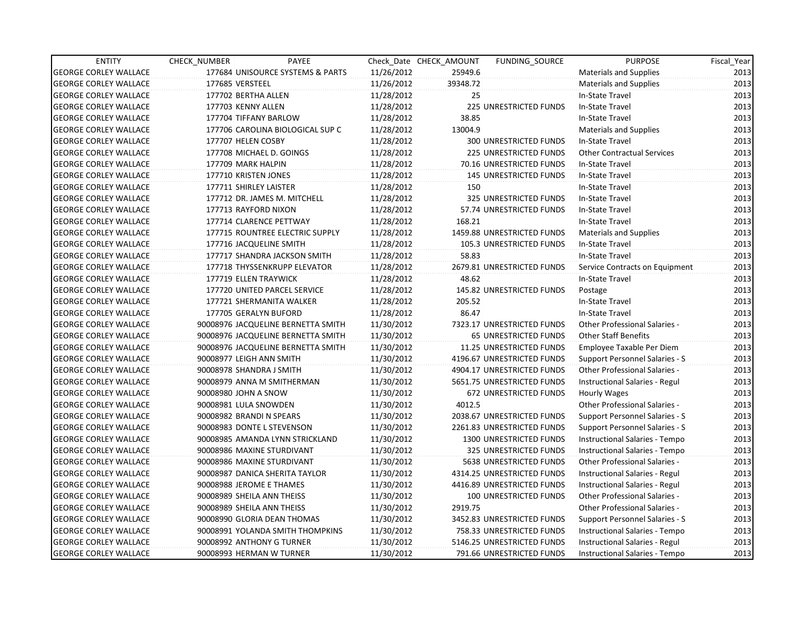| <b>ENTITY</b>                | CHECK_NUMBER               | PAYEE                              |            | Check Date CHECK AMOUNT | FUNDING SOURCE                | <b>PURPOSE</b>                       | Fiscal Year |
|------------------------------|----------------------------|------------------------------------|------------|-------------------------|-------------------------------|--------------------------------------|-------------|
| <b>GEORGE CORLEY WALLACE</b> |                            | 177684 UNISOURCE SYSTEMS & PARTS   | 11/26/2012 | 25949.6                 |                               | <b>Materials and Supplies</b>        | 2013        |
| <b>GEORGE CORLEY WALLACE</b> | 177685 VERSTEEL            |                                    | 11/26/2012 | 39348.72                |                               | <b>Materials and Supplies</b>        | 2013        |
| <b>GEORGE CORLEY WALLACE</b> | 177702 BERTHA ALLEN        |                                    | 11/28/2012 | 25                      |                               | In-State Travel                      | 2013        |
| <b>GEORGE CORLEY WALLACE</b> | 177703 KENNY ALLEN         |                                    | 11/28/2012 |                         | <b>225 UNRESTRICTED FUNDS</b> | In-State Travel                      | 2013        |
| <b>GEORGE CORLEY WALLACE</b> | 177704 TIFFANY BARLOW      |                                    | 11/28/2012 | 38.85                   |                               | In-State Travel                      | 2013        |
| <b>GEORGE CORLEY WALLACE</b> |                            | 177706 CAROLINA BIOLOGICAL SUP C   | 11/28/2012 | 13004.9                 |                               | <b>Materials and Supplies</b>        | 2013        |
| <b>GEORGE CORLEY WALLACE</b> | 177707 HELEN COSBY         |                                    | 11/28/2012 |                         | 300 UNRESTRICTED FUNDS        | In-State Travel                      | 2013        |
| <b>GEORGE CORLEY WALLACE</b> | 177708 MICHAEL D. GOINGS   |                                    | 11/28/2012 |                         | 225 UNRESTRICTED FUNDS        | <b>Other Contractual Services</b>    | 2013        |
| <b>GEORGE CORLEY WALLACE</b> | 177709 MARK HALPIN         |                                    | 11/28/2012 |                         | 70.16 UNRESTRICTED FUNDS      | In-State Travel                      | 2013        |
| <b>GEORGE CORLEY WALLACE</b> | 177710 KRISTEN JONES       |                                    | 11/28/2012 |                         | <b>145 UNRESTRICTED FUNDS</b> | In-State Travel                      | 2013        |
| <b>GEORGE CORLEY WALLACE</b> | 177711 SHIRLEY LAISTER     |                                    | 11/28/2012 | 150                     |                               | In-State Travel                      | 2013        |
| <b>GEORGE CORLEY WALLACE</b> |                            | 177712 DR. JAMES M. MITCHELL       | 11/28/2012 |                         | 325 UNRESTRICTED FUNDS        | In-State Travel                      | 2013        |
| <b>GEORGE CORLEY WALLACE</b> | 177713 RAYFORD NIXON       |                                    | 11/28/2012 |                         | 57.74 UNRESTRICTED FUNDS      | In-State Travel                      | 2013        |
| <b>GEORGE CORLEY WALLACE</b> | 177714 CLARENCE PETTWAY    |                                    | 11/28/2012 | 168.21                  |                               | In-State Travel                      | 2013        |
| <b>GEORGE CORLEY WALLACE</b> |                            | 177715 ROUNTREE ELECTRIC SUPPLY    | 11/28/2012 |                         | 1459.88 UNRESTRICTED FUNDS    | <b>Materials and Supplies</b>        | 2013        |
| <b>GEORGE CORLEY WALLACE</b> | 177716 JACQUELINE SMITH    |                                    | 11/28/2012 |                         | 105.3 UNRESTRICTED FUNDS      | In-State Travel                      | 2013        |
| <b>GEORGE CORLEY WALLACE</b> |                            | 177717 SHANDRA JACKSON SMITH       | 11/28/2012 | 58.83                   |                               | In-State Travel                      | 2013        |
| <b>GEORGE CORLEY WALLACE</b> |                            | 177718 THYSSENKRUPP ELEVATOR       | 11/28/2012 |                         | 2679.81 UNRESTRICTED FUNDS    | Service Contracts on Equipment       | 2013        |
| <b>GEORGE CORLEY WALLACE</b> | 177719 ELLEN TRAYWICK      |                                    | 11/28/2012 | 48.62                   |                               | In-State Travel                      | 2013        |
| <b>GEORGE CORLEY WALLACE</b> |                            | 177720 UNITED PARCEL SERVICE       | 11/28/2012 |                         | 145.82 UNRESTRICTED FUNDS     | Postage                              | 2013        |
| <b>GEORGE CORLEY WALLACE</b> |                            | 177721 SHERMANITA WALKER           | 11/28/2012 | 205.52                  |                               | In-State Travel                      | 2013        |
| <b>GEORGE CORLEY WALLACE</b> | 177705 GERALYN BUFORD      |                                    | 11/28/2012 | 86.47                   |                               | In-State Travel                      | 2013        |
| <b>GEORGE CORLEY WALLACE</b> |                            | 90008976 JACQUELINE BERNETTA SMITH | 11/30/2012 |                         | 7323.17 UNRESTRICTED FUNDS    | Other Professional Salaries -        | 2013        |
| <b>GEORGE CORLEY WALLACE</b> |                            | 90008976 JACQUELINE BERNETTA SMITH | 11/30/2012 |                         | 65 UNRESTRICTED FUNDS         | <b>Other Staff Benefits</b>          | 2013        |
| <b>GEORGE CORLEY WALLACE</b> |                            | 90008976 JACQUELINE BERNETTA SMITH | 11/30/2012 |                         | 11.25 UNRESTRICTED FUNDS      | Employee Taxable Per Diem            | 2013        |
| <b>GEORGE CORLEY WALLACE</b> | 90008977 LEIGH ANN SMITH   |                                    | 11/30/2012 |                         | 4196.67 UNRESTRICTED FUNDS    | Support Personnel Salaries - S       | 2013        |
| <b>GEORGE CORLEY WALLACE</b> | 90008978 SHANDRA J SMITH   |                                    | 11/30/2012 |                         | 4904.17 UNRESTRICTED FUNDS    | Other Professional Salaries -        | 2013        |
| <b>GEORGE CORLEY WALLACE</b> |                            | 90008979 ANNA M SMITHERMAN         | 11/30/2012 |                         | 5651.75 UNRESTRICTED FUNDS    | Instructional Salaries - Regul       | 2013        |
| <b>GEORGE CORLEY WALLACE</b> | 90008980 JOHN A SNOW       |                                    | 11/30/2012 |                         | 672 UNRESTRICTED FUNDS        | Hourly Wages                         | 2013        |
| <b>GEORGE CORLEY WALLACE</b> | 90008981 LULA SNOWDEN      |                                    | 11/30/2012 | 4012.5                  |                               | Other Professional Salaries -        | 2013        |
| <b>GEORGE CORLEY WALLACE</b> | 90008982 BRANDI N SPEARS   |                                    | 11/30/2012 |                         | 2038.67 UNRESTRICTED FUNDS    | Support Personnel Salaries - S       | 2013        |
| <b>GEORGE CORLEY WALLACE</b> | 90008983 DONTE L STEVENSON |                                    | 11/30/2012 |                         | 2261.83 UNRESTRICTED FUNDS    | Support Personnel Salaries - S       | 2013        |
| <b>GEORGE CORLEY WALLACE</b> |                            | 90008985 AMANDA LYNN STRICKLAND    | 11/30/2012 |                         | 1300 UNRESTRICTED FUNDS       | Instructional Salaries - Tempo       | 2013        |
| <b>GEORGE CORLEY WALLACE</b> | 90008986 MAXINE STURDIVANT |                                    | 11/30/2012 |                         | 325 UNRESTRICTED FUNDS        | Instructional Salaries - Tempo       | 2013        |
| <b>GEORGE CORLEY WALLACE</b> | 90008986 MAXINE STURDIVANT |                                    | 11/30/2012 |                         | 5638 UNRESTRICTED FUNDS       | <b>Other Professional Salaries -</b> | 2013        |
| <b>GEORGE CORLEY WALLACE</b> |                            | 90008987 DANICA SHERITA TAYLOR     | 11/30/2012 |                         | 4314.25 UNRESTRICTED FUNDS    | Instructional Salaries - Regul       | 2013        |
| <b>GEORGE CORLEY WALLACE</b> | 90008988 JEROME E THAMES   |                                    | 11/30/2012 |                         | 4416.89 UNRESTRICTED FUNDS    | Instructional Salaries - Regul       | 2013        |
| <b>GEORGE CORLEY WALLACE</b> | 90008989 SHEILA ANN THEISS |                                    | 11/30/2012 |                         | 100 UNRESTRICTED FUNDS        | Other Professional Salaries -        | 2013        |
| <b>GEORGE CORLEY WALLACE</b> | 90008989 SHEILA ANN THEISS |                                    | 11/30/2012 | 2919.75                 |                               | Other Professional Salaries -        | 2013        |
| <b>GEORGE CORLEY WALLACE</b> |                            | 90008990 GLORIA DEAN THOMAS        | 11/30/2012 |                         | 3452.83 UNRESTRICTED FUNDS    | Support Personnel Salaries - S       | 2013        |
| <b>GEORGE CORLEY WALLACE</b> |                            | 90008991 YOLANDA SMITH THOMPKINS   | 11/30/2012 |                         | 758.33 UNRESTRICTED FUNDS     | Instructional Salaries - Tempo       | 2013        |
| <b>GEORGE CORLEY WALLACE</b> | 90008992 ANTHONY G TURNER  |                                    | 11/30/2012 |                         | 5146.25 UNRESTRICTED FUNDS    | Instructional Salaries - Regul       | 2013        |
| <b>GEORGE CORLEY WALLACE</b> | 90008993 HERMAN W TURNER   |                                    | 11/30/2012 |                         | 791.66 UNRESTRICTED FUNDS     | Instructional Salaries - Tempo       | 2013        |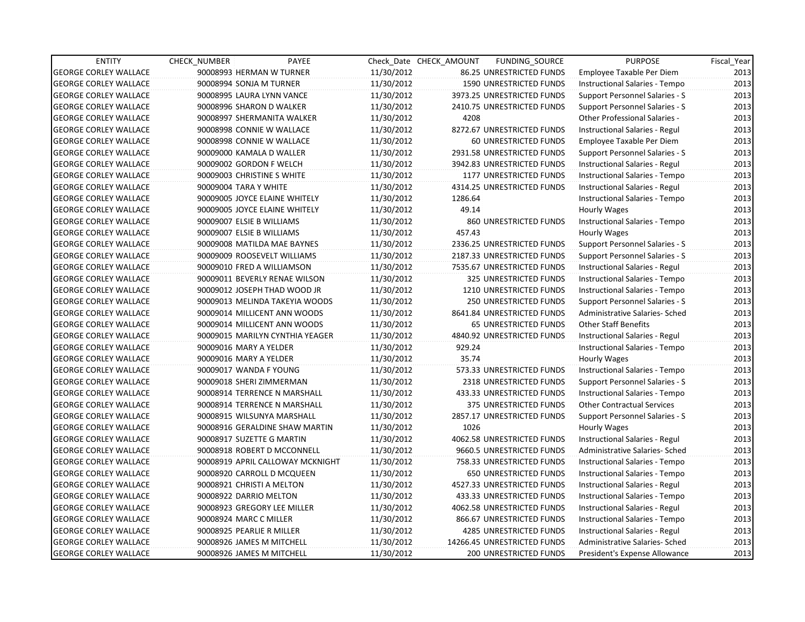| <b>ENTITY</b>                | <b>CHECK NUMBER</b>             | PAYEE                            |            | Check_Date CHECK_AMOUNT | FUNDING SOURCE                | <b>PURPOSE</b>                    | Fiscal Year |
|------------------------------|---------------------------------|----------------------------------|------------|-------------------------|-------------------------------|-----------------------------------|-------------|
| <b>GEORGE CORLEY WALLACE</b> | 90008993 HERMAN W TURNER        |                                  | 11/30/2012 |                         | 86.25 UNRESTRICTED FUNDS      | Employee Taxable Per Diem         | 2013        |
| <b>GEORGE CORLEY WALLACE</b> | 90008994 SONJA M TURNER         |                                  | 11/30/2012 |                         | 1590 UNRESTRICTED FUNDS       | Instructional Salaries - Tempo    | 2013        |
| <b>GEORGE CORLEY WALLACE</b> | 90008995 LAURA LYNN VANCE       |                                  | 11/30/2012 |                         | 3973.25 UNRESTRICTED FUNDS    | Support Personnel Salaries - S    | 2013        |
| <b>GEORGE CORLEY WALLACE</b> | 90008996 SHARON D WALKER        |                                  | 11/30/2012 |                         | 2410.75 UNRESTRICTED FUNDS    | Support Personnel Salaries - S    | 2013        |
| <b>GEORGE CORLEY WALLACE</b> | 90008997 SHERMANITA WALKER      |                                  | 11/30/2012 | 4208                    |                               | Other Professional Salaries -     | 2013        |
| <b>GEORGE CORLEY WALLACE</b> | 90008998 CONNIE W WALLACE       |                                  | 11/30/2012 |                         | 8272.67 UNRESTRICTED FUNDS    | Instructional Salaries - Regul    | 2013        |
| <b>GEORGE CORLEY WALLACE</b> | 90008998 CONNIE W WALLACE       |                                  | 11/30/2012 |                         | <b>60 UNRESTRICTED FUNDS</b>  | Employee Taxable Per Diem         | 2013        |
| <b>GEORGE CORLEY WALLACE</b> | 90009000 KAMALA D WALLER        |                                  | 11/30/2012 |                         | 2931.58 UNRESTRICTED FUNDS    | Support Personnel Salaries - S    | 2013        |
| <b>GEORGE CORLEY WALLACE</b> | 90009002 GORDON F WELCH         |                                  | 11/30/2012 |                         | 3942.83 UNRESTRICTED FUNDS    | Instructional Salaries - Regul    | 2013        |
| <b>GEORGE CORLEY WALLACE</b> | 90009003 CHRISTINE S WHITE      |                                  | 11/30/2012 |                         | 1177 UNRESTRICTED FUNDS       | Instructional Salaries - Tempo    | 2013        |
| <b>GEORGE CORLEY WALLACE</b> | 90009004 TARA Y WHITE           |                                  | 11/30/2012 |                         | 4314.25 UNRESTRICTED FUNDS    | Instructional Salaries - Regul    | 2013        |
| <b>GEORGE CORLEY WALLACE</b> | 90009005 JOYCE ELAINE WHITELY   |                                  | 11/30/2012 | 1286.64                 |                               | Instructional Salaries - Tempo    | 2013        |
| <b>GEORGE CORLEY WALLACE</b> | 90009005 JOYCE ELAINE WHITELY   |                                  | 11/30/2012 | 49.14                   |                               | Hourly Wages                      | 2013        |
| <b>GEORGE CORLEY WALLACE</b> | 90009007 ELSIE B WILLIAMS       |                                  | 11/30/2012 |                         | 860 UNRESTRICTED FUNDS        | Instructional Salaries - Tempo    | 2013        |
| <b>GEORGE CORLEY WALLACE</b> | 90009007 ELSIE B WILLIAMS       |                                  | 11/30/2012 | 457.43                  |                               | Hourly Wages                      | 2013        |
| <b>GEORGE CORLEY WALLACE</b> | 90009008 MATILDA MAE BAYNES     |                                  | 11/30/2012 |                         | 2336.25 UNRESTRICTED FUNDS    | Support Personnel Salaries - S    | 2013        |
| <b>GEORGE CORLEY WALLACE</b> | 90009009 ROOSEVELT WILLIAMS     |                                  | 11/30/2012 |                         | 2187.33 UNRESTRICTED FUNDS    | Support Personnel Salaries - S    | 2013        |
| <b>GEORGE CORLEY WALLACE</b> | 90009010 FRED A WILLIAMSON      |                                  | 11/30/2012 |                         | 7535.67 UNRESTRICTED FUNDS    | Instructional Salaries - Regul    | 2013        |
| <b>GEORGE CORLEY WALLACE</b> | 90009011 BEVERLY RENAE WILSON   |                                  | 11/30/2012 |                         | 325 UNRESTRICTED FUNDS        | Instructional Salaries - Tempo    | 2013        |
| <b>GEORGE CORLEY WALLACE</b> | 90009012 JOSEPH THAD WOOD JR    |                                  | 11/30/2012 |                         | 1210 UNRESTRICTED FUNDS       | Instructional Salaries - Tempo    | 2013        |
| <b>GEORGE CORLEY WALLACE</b> | 90009013 MELINDA TAKEYIA WOODS  |                                  | 11/30/2012 |                         | 250 UNRESTRICTED FUNDS        | Support Personnel Salaries - S    | 2013        |
| <b>GEORGE CORLEY WALLACE</b> | 90009014 MILLICENT ANN WOODS    |                                  | 11/30/2012 |                         | 8641.84 UNRESTRICTED FUNDS    | Administrative Salaries- Sched    | 2013        |
| <b>GEORGE CORLEY WALLACE</b> | 90009014 MILLICENT ANN WOODS    |                                  | 11/30/2012 |                         | 65 UNRESTRICTED FUNDS         | <b>Other Staff Benefits</b>       | 2013        |
| <b>GEORGE CORLEY WALLACE</b> | 90009015 MARILYN CYNTHIA YEAGER |                                  | 11/30/2012 |                         | 4840.92 UNRESTRICTED FUNDS    | Instructional Salaries - Regul    | 2013        |
| <b>GEORGE CORLEY WALLACE</b> | 90009016 MARY A YELDER          |                                  | 11/30/2012 | 929.24                  |                               | Instructional Salaries - Tempo    | 2013        |
| <b>GEORGE CORLEY WALLACE</b> | 90009016 MARY A YELDER          |                                  | 11/30/2012 | 35.74                   |                               | Hourly Wages                      | 2013        |
| <b>GEORGE CORLEY WALLACE</b> | 90009017 WANDA F YOUNG          |                                  | 11/30/2012 |                         | 573.33 UNRESTRICTED FUNDS     | Instructional Salaries - Tempo    | 2013        |
| <b>GEORGE CORLEY WALLACE</b> | 90009018 SHERI ZIMMERMAN        |                                  | 11/30/2012 |                         | 2318 UNRESTRICTED FUNDS       | Support Personnel Salaries - S    | 2013        |
| <b>GEORGE CORLEY WALLACE</b> | 90008914 TERRENCE N MARSHALL    |                                  | 11/30/2012 |                         | 433.33 UNRESTRICTED FUNDS     | Instructional Salaries - Tempo    | 2013        |
| <b>GEORGE CORLEY WALLACE</b> | 90008914 TERRENCE N MARSHALL    |                                  | 11/30/2012 |                         | 375 UNRESTRICTED FUNDS        | <b>Other Contractual Services</b> | 2013        |
| <b>GEORGE CORLEY WALLACE</b> | 90008915 WILSUNYA MARSHALL      |                                  | 11/30/2012 |                         | 2857.17 UNRESTRICTED FUNDS    | Support Personnel Salaries - S    | 2013        |
| <b>GEORGE CORLEY WALLACE</b> | 90008916 GERALDINE SHAW MARTIN  |                                  | 11/30/2012 | 1026                    |                               | Hourly Wages                      | 2013        |
| <b>GEORGE CORLEY WALLACE</b> | 90008917 SUZETTE G MARTIN       |                                  | 11/30/2012 |                         | 4062.58 UNRESTRICTED FUNDS    | Instructional Salaries - Regul    | 2013        |
| <b>GEORGE CORLEY WALLACE</b> | 90008918 ROBERT D MCCONNELL     |                                  | 11/30/2012 |                         | 9660.5 UNRESTRICTED FUNDS     | Administrative Salaries- Sched    | 2013        |
| <b>GEORGE CORLEY WALLACE</b> |                                 | 90008919 APRIL CALLOWAY MCKNIGHT | 11/30/2012 |                         | 758.33 UNRESTRICTED FUNDS     | Instructional Salaries - Tempo    | 2013        |
| <b>GEORGE CORLEY WALLACE</b> | 90008920 CARROLL D MCQUEEN      |                                  | 11/30/2012 |                         | 650 UNRESTRICTED FUNDS        | Instructional Salaries - Tempo    | 2013        |
| <b>GEORGE CORLEY WALLACE</b> | 90008921 CHRISTI A MELTON       |                                  | 11/30/2012 |                         | 4527.33 UNRESTRICTED FUNDS    | Instructional Salaries - Regul    | 2013        |
| <b>GEORGE CORLEY WALLACE</b> | 90008922 DARRIO MELTON          |                                  | 11/30/2012 |                         | 433.33 UNRESTRICTED FUNDS     | Instructional Salaries - Tempo    | 2013        |
| <b>GEORGE CORLEY WALLACE</b> | 90008923 GREGORY LEE MILLER     |                                  | 11/30/2012 |                         | 4062.58 UNRESTRICTED FUNDS    | Instructional Salaries - Regul    | 2013        |
| <b>GEORGE CORLEY WALLACE</b> | 90008924 MARC C MILLER          |                                  | 11/30/2012 |                         | 866.67 UNRESTRICTED FUNDS     | Instructional Salaries - Tempo    | 2013        |
| <b>GEORGE CORLEY WALLACE</b> | 90008925 PEARLIE R MILLER       |                                  | 11/30/2012 |                         | 4285 UNRESTRICTED FUNDS       | Instructional Salaries - Regul    | 2013        |
| <b>GEORGE CORLEY WALLACE</b> | 90008926 JAMES M MITCHELL       |                                  | 11/30/2012 |                         | 14266.45 UNRESTRICTED FUNDS   | Administrative Salaries- Sched    | 2013        |
| <b>GEORGE CORLEY WALLACE</b> | 90008926 JAMES M MITCHELL       |                                  | 11/30/2012 |                         | <b>200 UNRESTRICTED FUNDS</b> | President's Expense Allowance     | 2013        |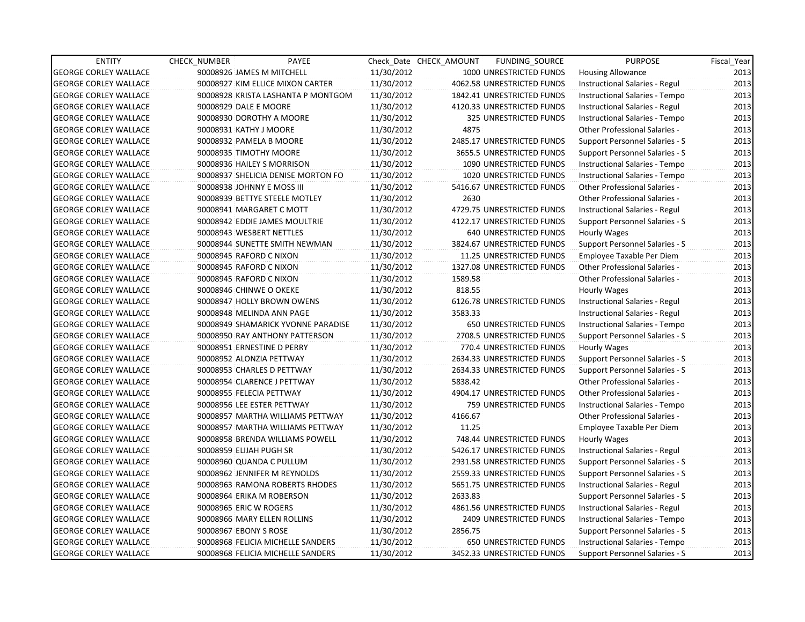| <b>ENTITY</b>                | <b>CHECK NUMBER</b>           | PAYEE                              |            | Check Date CHECK AMOUNT | FUNDING_SOURCE                 | <b>PURPOSE</b>                       | Fiscal_Year |
|------------------------------|-------------------------------|------------------------------------|------------|-------------------------|--------------------------------|--------------------------------------|-------------|
| <b>GEORGE CORLEY WALLACE</b> | 90008926 JAMES M MITCHELL     |                                    | 11/30/2012 |                         | 1000 UNRESTRICTED FUNDS        | <b>Housing Allowance</b>             | 2013        |
| <b>GEORGE CORLEY WALLACE</b> |                               | 90008927 KIM ELLICE MIXON CARTER   | 11/30/2012 |                         | 4062.58 UNRESTRICTED FUNDS     | Instructional Salaries - Regul       | 2013        |
| <b>GEORGE CORLEY WALLACE</b> |                               | 90008928 KRISTA LASHANTA P MONTGOM | 11/30/2012 |                         | 1842.41 UNRESTRICTED FUNDS     | Instructional Salaries - Tempo       | 2013        |
| <b>GEORGE CORLEY WALLACE</b> | 90008929 DALE E MOORE         |                                    | 11/30/2012 |                         | 4120.33 UNRESTRICTED FUNDS     | Instructional Salaries - Regul       | 2013        |
| <b>GEORGE CORLEY WALLACE</b> | 90008930 DOROTHY A MOORE      |                                    | 11/30/2012 |                         | 325 UNRESTRICTED FUNDS         | Instructional Salaries - Tempo       | 2013        |
| <b>GEORGE CORLEY WALLACE</b> | 90008931 KATHY J MOORE        |                                    | 11/30/2012 | 4875                    |                                | <b>Other Professional Salaries -</b> | 2013        |
| <b>GEORGE CORLEY WALLACE</b> | 90008932 PAMELA B MOORE       |                                    | 11/30/2012 |                         | 2485.17 UNRESTRICTED FUNDS     | Support Personnel Salaries - S       | 2013        |
| <b>GEORGE CORLEY WALLACE</b> | 90008935 TIMOTHY MOORE        |                                    | 11/30/2012 |                         | 3655.5 UNRESTRICTED FUNDS      | Support Personnel Salaries - S       | 2013        |
| <b>GEORGE CORLEY WALLACE</b> | 90008936 HAILEY S MORRISON    |                                    | 11/30/2012 |                         | 1090 UNRESTRICTED FUNDS        | Instructional Salaries - Tempo       | 2013        |
| <b>GEORGE CORLEY WALLACE</b> |                               | 90008937 SHELICIA DENISE MORTON FO | 11/30/2012 |                         | 1020 UNRESTRICTED FUNDS        | Instructional Salaries - Tempo       | 2013        |
| <b>GEORGE CORLEY WALLACE</b> | 90008938 JOHNNY E MOSS III    |                                    | 11/30/2012 |                         | 5416.67 UNRESTRICTED FUNDS     | <b>Other Professional Salaries -</b> | 2013        |
| <b>GEORGE CORLEY WALLACE</b> | 90008939 BETTYE STEELE MOTLEY |                                    | 11/30/2012 | 2630                    |                                | Other Professional Salaries -        | 2013        |
| <b>GEORGE CORLEY WALLACE</b> | 90008941 MARGARET C MOTT      |                                    | 11/30/2012 |                         | 4729.75 UNRESTRICTED FUNDS     | Instructional Salaries - Regul       | 2013        |
| <b>GEORGE CORLEY WALLACE</b> |                               | 90008942 EDDIE JAMES MOULTRIE      | 11/30/2012 |                         | 4122.17 UNRESTRICTED FUNDS     | Support Personnel Salaries - S       | 2013        |
| <b>GEORGE CORLEY WALLACE</b> | 90008943 WESBERT NETTLES      |                                    | 11/30/2012 |                         | 640 UNRESTRICTED FUNDS         | Hourly Wages                         | 2013        |
| <b>GEORGE CORLEY WALLACE</b> |                               | 90008944 SUNETTE SMITH NEWMAN      | 11/30/2012 |                         | 3824.67 UNRESTRICTED FUNDS     | Support Personnel Salaries - S       | 2013        |
| <b>GEORGE CORLEY WALLACE</b> | 90008945 RAFORD C NIXON       |                                    | 11/30/2012 |                         | 11.25 UNRESTRICTED FUNDS       | Employee Taxable Per Diem            | 2013        |
| <b>GEORGE CORLEY WALLACE</b> | 90008945 RAFORD C NIXON       |                                    | 11/30/2012 |                         | 1327.08 UNRESTRICTED FUNDS     | <b>Other Professional Salaries -</b> | 2013        |
| <b>GEORGE CORLEY WALLACE</b> | 90008945 RAFORD C NIXON       |                                    | 11/30/2012 | 1589.58                 |                                | Other Professional Salaries -        | 2013        |
| <b>GEORGE CORLEY WALLACE</b> | 90008946 CHINWE O OKEKE       |                                    | 11/30/2012 | 818.55                  |                                | Hourly Wages                         | 2013        |
| <b>GEORGE CORLEY WALLACE</b> | 90008947 HOLLY BROWN OWENS    |                                    | 11/30/2012 |                         | 6126.78 UNRESTRICTED FUNDS     | Instructional Salaries - Regul       | 2013        |
| <b>GEORGE CORLEY WALLACE</b> | 90008948 MELINDA ANN PAGE     |                                    | 11/30/2012 | 3583.33                 |                                | Instructional Salaries - Regul       | 2013        |
| <b>GEORGE CORLEY WALLACE</b> |                               | 90008949 SHAMARICK YVONNE PARADISE | 11/30/2012 |                         | 650 UNRESTRICTED FUNDS         | Instructional Salaries - Tempo       | 2013        |
| <b>GEORGE CORLEY WALLACE</b> |                               | 90008950 RAY ANTHONY PATTERSON     | 11/30/2012 |                         | 2708.5 UNRESTRICTED FUNDS      | Support Personnel Salaries - S       | 2013        |
| <b>GEORGE CORLEY WALLACE</b> | 90008951 ERNESTINE D PERRY    |                                    | 11/30/2012 |                         | 770.4 UNRESTRICTED FUNDS       | Hourly Wages                         | 2013        |
| <b>GEORGE CORLEY WALLACE</b> | 90008952 ALONZIA PETTWAY      |                                    | 11/30/2012 |                         | 2634.33 UNRESTRICTED FUNDS     | Support Personnel Salaries - S       | 2013        |
| <b>GEORGE CORLEY WALLACE</b> | 90008953 CHARLES D PETTWAY    |                                    | 11/30/2012 |                         | 2634.33 UNRESTRICTED FUNDS     | Support Personnel Salaries - S       | 2013        |
| <b>GEORGE CORLEY WALLACE</b> | 90008954 CLARENCE J PETTWAY   |                                    | 11/30/2012 | 5838.42                 |                                | <b>Other Professional Salaries -</b> | 2013        |
| <b>GEORGE CORLEY WALLACE</b> | 90008955 FELECIA PETTWAY      |                                    | 11/30/2012 |                         | 4904.17 UNRESTRICTED FUNDS     | <b>Other Professional Salaries -</b> | 2013        |
| <b>GEORGE CORLEY WALLACE</b> | 90008956 LEE ESTER PETTWAY    |                                    | 11/30/2012 |                         | 759 UNRESTRICTED FUNDS         | Instructional Salaries - Tempo       | 2013        |
| <b>GEORGE CORLEY WALLACE</b> |                               | 90008957 MARTHA WILLIAMS PETTWAY   | 11/30/2012 | 4166.67                 |                                | Other Professional Salaries -        | 2013        |
| <b>GEORGE CORLEY WALLACE</b> |                               | 90008957 MARTHA WILLIAMS PETTWAY   | 11/30/2012 | 11.25                   |                                | Employee Taxable Per Diem            | 2013        |
| <b>GEORGE CORLEY WALLACE</b> |                               | 90008958 BRENDA WILLIAMS POWELL    | 11/30/2012 |                         | 748.44 UNRESTRICTED FUNDS      | Hourly Wages                         | 2013        |
| <b>GEORGE CORLEY WALLACE</b> | 90008959 ELIJAH PUGH SR       |                                    | 11/30/2012 |                         | 5426.17 UNRESTRICTED FUNDS     | Instructional Salaries - Regul       | 2013        |
| <b>GEORGE CORLEY WALLACE</b> | 90008960 QUANDA C PULLUM      |                                    | 11/30/2012 |                         | 2931.58 UNRESTRICTED FUNDS     | Support Personnel Salaries - S       | 2013        |
| <b>GEORGE CORLEY WALLACE</b> | 90008962 JENNIFER M REYNOLDS  |                                    | 11/30/2012 |                         | 2559.33 UNRESTRICTED FUNDS     | Support Personnel Salaries - S       | 2013        |
| <b>GEORGE CORLEY WALLACE</b> |                               | 90008963 RAMONA ROBERTS RHODES     | 11/30/2012 |                         | 5651.75 UNRESTRICTED FUNDS     | Instructional Salaries - Regul       | 2013        |
| <b>GEORGE CORLEY WALLACE</b> | 90008964 ERIKA M ROBERSON     |                                    | 11/30/2012 | 2633.83                 |                                | Support Personnel Salaries - S       | 2013        |
| <b>GEORGE CORLEY WALLACE</b> | 90008965 ERIC W ROGERS        |                                    | 11/30/2012 |                         | 4861.56 UNRESTRICTED FUNDS     | Instructional Salaries - Regul       | 2013        |
| <b>GEORGE CORLEY WALLACE</b> | 90008966 MARY ELLEN ROLLINS   |                                    | 11/30/2012 |                         | <b>2409 UNRESTRICTED FUNDS</b> | Instructional Salaries - Tempo       | 2013        |
| <b>GEORGE CORLEY WALLACE</b> | 90008967 EBONY S ROSE         |                                    | 11/30/2012 | 2856.75                 |                                | Support Personnel Salaries - S       | 2013        |
| <b>GEORGE CORLEY WALLACE</b> |                               | 90008968 FELICIA MICHELLE SANDERS  | 11/30/2012 |                         | 650 UNRESTRICTED FUNDS         | Instructional Salaries - Tempo       | 2013        |
| <b>GEORGE CORLEY WALLACE</b> |                               | 90008968 FELICIA MICHELLE SANDERS  | 11/30/2012 |                         | 3452.33 UNRESTRICTED FUNDS     | Support Personnel Salaries - S       | 2013        |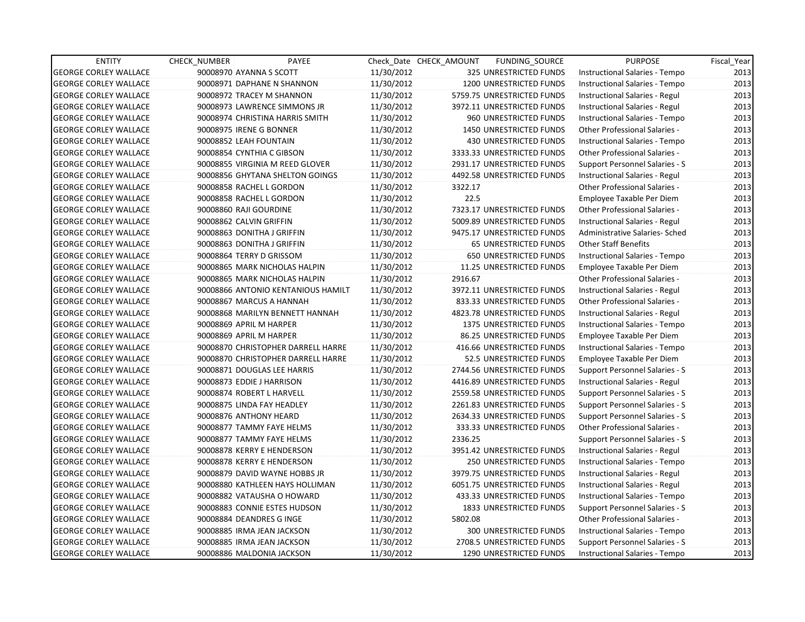| <b>ENTITY</b>                | CHECK_NUMBER | PAYEE                              |            | Check Date CHECK AMOUNT | FUNDING_SOURCE                 | <b>PURPOSE</b>                 | Fiscal_Year |
|------------------------------|--------------|------------------------------------|------------|-------------------------|--------------------------------|--------------------------------|-------------|
| <b>GEORGE CORLEY WALLACE</b> |              | 90008970 AYANNA S SCOTT            | 11/30/2012 |                         | 325 UNRESTRICTED FUNDS         | Instructional Salaries - Tempo | 2013        |
| <b>GEORGE CORLEY WALLACE</b> |              | 90008971 DAPHANE N SHANNON         | 11/30/2012 |                         | 1200 UNRESTRICTED FUNDS        | Instructional Salaries - Tempo | 2013        |
| <b>GEORGE CORLEY WALLACE</b> |              | 90008972 TRACEY M SHANNON          | 11/30/2012 |                         | 5759.75 UNRESTRICTED FUNDS     | Instructional Salaries - Regul | 2013        |
| <b>GEORGE CORLEY WALLACE</b> |              | 90008973 LAWRENCE SIMMONS JR       | 11/30/2012 |                         | 3972.11 UNRESTRICTED FUNDS     | Instructional Salaries - Regul | 2013        |
| <b>GEORGE CORLEY WALLACE</b> |              | 90008974 CHRISTINA HARRIS SMITH    | 11/30/2012 |                         | 960 UNRESTRICTED FUNDS         | Instructional Salaries - Tempo | 2013        |
| <b>GEORGE CORLEY WALLACE</b> |              | 90008975 IRENE G BONNER            | 11/30/2012 |                         | 1450 UNRESTRICTED FUNDS        | Other Professional Salaries -  | 2013        |
| <b>GEORGE CORLEY WALLACE</b> |              | 90008852 LEAH FOUNTAIN             | 11/30/2012 |                         | <b>430 UNRESTRICTED FUNDS</b>  | Instructional Salaries - Tempo | 2013        |
| <b>GEORGE CORLEY WALLACE</b> |              | 90008854 CYNTHIA C GIBSON          | 11/30/2012 |                         | 3333.33 UNRESTRICTED FUNDS     | Other Professional Salaries -  | 2013        |
| <b>GEORGE CORLEY WALLACE</b> |              | 90008855 VIRGINIA M REED GLOVER    | 11/30/2012 |                         | 2931.17 UNRESTRICTED FUNDS     | Support Personnel Salaries - S | 2013        |
| <b>GEORGE CORLEY WALLACE</b> |              | 90008856 GHYTANA SHELTON GOINGS    | 11/30/2012 |                         | 4492.58 UNRESTRICTED FUNDS     | Instructional Salaries - Regul | 2013        |
| <b>GEORGE CORLEY WALLACE</b> |              | 90008858 RACHEL L GORDON           | 11/30/2012 | 3322.17                 |                                | Other Professional Salaries -  | 2013        |
| <b>GEORGE CORLEY WALLACE</b> |              | 90008858 RACHEL L GORDON           | 11/30/2012 | 22.5                    |                                | Employee Taxable Per Diem      | 2013        |
| <b>GEORGE CORLEY WALLACE</b> |              | 90008860 RAJI GOURDINE             | 11/30/2012 |                         | 7323.17 UNRESTRICTED FUNDS     | Other Professional Salaries -  | 2013        |
| <b>GEORGE CORLEY WALLACE</b> |              | 90008862 CALVIN GRIFFIN            | 11/30/2012 |                         | 5009.89 UNRESTRICTED FUNDS     | Instructional Salaries - Regul | 2013        |
| <b>GEORGE CORLEY WALLACE</b> |              | 90008863 DONITHA J GRIFFIN         | 11/30/2012 |                         | 9475.17 UNRESTRICTED FUNDS     | Administrative Salaries- Sched | 2013        |
| <b>GEORGE CORLEY WALLACE</b> |              | 90008863 DONITHA J GRIFFIN         | 11/30/2012 |                         | <b>65 UNRESTRICTED FUNDS</b>   | Other Staff Benefits           | 2013        |
| <b>GEORGE CORLEY WALLACE</b> |              | 90008864 TERRY D GRISSOM           | 11/30/2012 |                         | <b>650 UNRESTRICTED FUNDS</b>  | Instructional Salaries - Tempo | 2013        |
| <b>GEORGE CORLEY WALLACE</b> |              | 90008865 MARK NICHOLAS HALPIN      | 11/30/2012 |                         | 11.25 UNRESTRICTED FUNDS       | Employee Taxable Per Diem      | 2013        |
| <b>GEORGE CORLEY WALLACE</b> |              | 90008865 MARK NICHOLAS HALPIN      | 11/30/2012 | 2916.67                 |                                | Other Professional Salaries -  | 2013        |
| <b>GEORGE CORLEY WALLACE</b> |              | 90008866 ANTONIO KENTANIOUS HAMILT | 11/30/2012 |                         | 3972.11 UNRESTRICTED FUNDS     | Instructional Salaries - Regul | 2013        |
| <b>GEORGE CORLEY WALLACE</b> |              | 90008867 MARCUS A HANNAH           | 11/30/2012 |                         | 833.33 UNRESTRICTED FUNDS      | Other Professional Salaries -  | 2013        |
| <b>GEORGE CORLEY WALLACE</b> |              | 90008868 MARILYN BENNETT HANNAH    | 11/30/2012 |                         | 4823.78 UNRESTRICTED FUNDS     | Instructional Salaries - Regul | 2013        |
| <b>GEORGE CORLEY WALLACE</b> |              | 90008869 APRIL M HARPER            | 11/30/2012 |                         | 1375 UNRESTRICTED FUNDS        | Instructional Salaries - Tempo | 2013        |
| <b>GEORGE CORLEY WALLACE</b> |              | 90008869 APRIL M HARPER            | 11/30/2012 |                         | 86.25 UNRESTRICTED FUNDS       | Employee Taxable Per Diem      | 2013        |
| <b>GEORGE CORLEY WALLACE</b> |              | 90008870 CHRISTOPHER DARRELL HARRE | 11/30/2012 |                         | 416.66 UNRESTRICTED FUNDS      | Instructional Salaries - Tempo | 2013        |
| <b>GEORGE CORLEY WALLACE</b> |              | 90008870 CHRISTOPHER DARRELL HARRE | 11/30/2012 |                         | 52.5 UNRESTRICTED FUNDS        | Employee Taxable Per Diem      | 2013        |
| <b>GEORGE CORLEY WALLACE</b> |              | 90008871 DOUGLAS LEE HARRIS        | 11/30/2012 |                         | 2744.56 UNRESTRICTED FUNDS     | Support Personnel Salaries - S | 2013        |
| <b>GEORGE CORLEY WALLACE</b> |              | 90008873 EDDIE J HARRISON          | 11/30/2012 |                         | 4416.89 UNRESTRICTED FUNDS     | Instructional Salaries - Regul | 2013        |
| <b>GEORGE CORLEY WALLACE</b> |              | 90008874 ROBERT L HARVELL          | 11/30/2012 |                         | 2559.58 UNRESTRICTED FUNDS     | Support Personnel Salaries - S | 2013        |
| <b>GEORGE CORLEY WALLACE</b> |              | 90008875 LINDA FAY HEADLEY         | 11/30/2012 |                         | 2261.83 UNRESTRICTED FUNDS     | Support Personnel Salaries - S | 2013        |
| <b>GEORGE CORLEY WALLACE</b> |              | 90008876 ANTHONY HEARD             | 11/30/2012 |                         | 2634.33 UNRESTRICTED FUNDS     | Support Personnel Salaries - S | 2013        |
| <b>GEORGE CORLEY WALLACE</b> |              | 90008877 TAMMY FAYE HELMS          | 11/30/2012 |                         | 333.33 UNRESTRICTED FUNDS      | Other Professional Salaries -  | 2013        |
| <b>GEORGE CORLEY WALLACE</b> |              | 90008877 TAMMY FAYE HELMS          | 11/30/2012 | 2336.25                 |                                | Support Personnel Salaries - S | 2013        |
| <b>GEORGE CORLEY WALLACE</b> |              | 90008878 KERRY E HENDERSON         | 11/30/2012 |                         | 3951.42 UNRESTRICTED FUNDS     | Instructional Salaries - Regul | 2013        |
| <b>GEORGE CORLEY WALLACE</b> |              | 90008878 KERRY E HENDERSON         | 11/30/2012 |                         | <b>250 UNRESTRICTED FUNDS</b>  | Instructional Salaries - Tempo | 2013        |
| <b>GEORGE CORLEY WALLACE</b> |              | 90008879 DAVID WAYNE HOBBS JR      | 11/30/2012 |                         | 3979.75 UNRESTRICTED FUNDS     | Instructional Salaries - Regul | 2013        |
| <b>GEORGE CORLEY WALLACE</b> |              | 90008880 KATHLEEN HAYS HOLLIMAN    | 11/30/2012 |                         | 6051.75 UNRESTRICTED FUNDS     | Instructional Salaries - Regul | 2013        |
| <b>GEORGE CORLEY WALLACE</b> |              | 90008882 VATAUSHA O HOWARD         | 11/30/2012 |                         | 433.33 UNRESTRICTED FUNDS      | Instructional Salaries - Tempo | 2013        |
| <b>GEORGE CORLEY WALLACE</b> |              | 90008883 CONNIE ESTES HUDSON       | 11/30/2012 |                         | 1833 UNRESTRICTED FUNDS        | Support Personnel Salaries - S | 2013        |
| <b>GEORGE CORLEY WALLACE</b> |              | 90008884 DEANDRES G INGE           | 11/30/2012 | 5802.08                 |                                | Other Professional Salaries -  | 2013        |
| <b>GEORGE CORLEY WALLACE</b> |              | 90008885 IRMA JEAN JACKSON         | 11/30/2012 |                         | 300 UNRESTRICTED FUNDS         | Instructional Salaries - Tempo | 2013        |
| <b>GEORGE CORLEY WALLACE</b> |              | 90008885 IRMA JEAN JACKSON         | 11/30/2012 |                         | 2708.5 UNRESTRICTED FUNDS      | Support Personnel Salaries - S | 2013        |
| <b>GEORGE CORLEY WALLACE</b> |              | 90008886 MALDONIA JACKSON          | 11/30/2012 |                         | <b>1290 UNRESTRICTED FUNDS</b> | Instructional Salaries - Tempo | 2013        |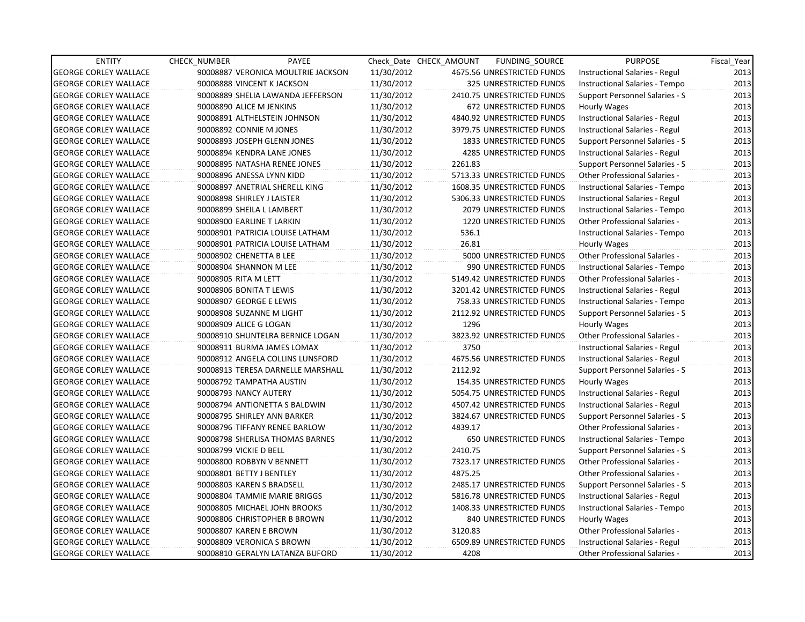| <b>ENTITY</b>                | CHECK_NUMBER           | PAYEE                              |            | Check Date CHECK AMOUNT | FUNDING_SOURCE                 | <b>PURPOSE</b>                        | Fiscal_Year |
|------------------------------|------------------------|------------------------------------|------------|-------------------------|--------------------------------|---------------------------------------|-------------|
| <b>GEORGE CORLEY WALLACE</b> |                        | 90008887 VERONICA MOULTRIE JACKSON | 11/30/2012 |                         | 4675.56 UNRESTRICTED FUNDS     | Instructional Salaries - Regul        | 2013        |
| <b>GEORGE CORLEY WALLACE</b> |                        | 90008888 VINCENT K JACKSON         | 11/30/2012 |                         | 325 UNRESTRICTED FUNDS         | Instructional Salaries - Tempo        | 2013        |
| <b>GEORGE CORLEY WALLACE</b> |                        | 90008889 SHELIA LAWANDA JEFFERSON  | 11/30/2012 |                         | 2410.75 UNRESTRICTED FUNDS     | Support Personnel Salaries - S        | 2013        |
| <b>GEORGE CORLEY WALLACE</b> |                        | 90008890 ALICE M JENKINS           | 11/30/2012 |                         | 672 UNRESTRICTED FUNDS         | Hourly Wages                          | 2013        |
| <b>GEORGE CORLEY WALLACE</b> |                        | 90008891 ALTHELSTEIN JOHNSON       | 11/30/2012 |                         | 4840.92 UNRESTRICTED FUNDS     | Instructional Salaries - Regul        | 2013        |
| <b>GEORGE CORLEY WALLACE</b> |                        | 90008892 CONNIE M JONES            | 11/30/2012 |                         | 3979.75 UNRESTRICTED FUNDS     | Instructional Salaries - Regul        | 2013        |
| <b>GEORGE CORLEY WALLACE</b> |                        | 90008893 JOSEPH GLENN JONES        | 11/30/2012 |                         | 1833 UNRESTRICTED FUNDS        | Support Personnel Salaries - S        | 2013        |
| <b>GEORGE CORLEY WALLACE</b> |                        | 90008894 KENDRA LANE JONES         | 11/30/2012 |                         | <b>4285 UNRESTRICTED FUNDS</b> | Instructional Salaries - Regul        | 2013        |
| <b>GEORGE CORLEY WALLACE</b> |                        | 90008895 NATASHA RENEE JONES       | 11/30/2012 | 2261.83                 |                                | Support Personnel Salaries - S        | 2013        |
| <b>GEORGE CORLEY WALLACE</b> |                        | 90008896 ANESSA LYNN KIDD          | 11/30/2012 |                         | 5713.33 UNRESTRICTED FUNDS     | Other Professional Salaries -         | 2013        |
| <b>GEORGE CORLEY WALLACE</b> |                        | 90008897 ANETRIAL SHERELL KING     | 11/30/2012 |                         | 1608.35 UNRESTRICTED FUNDS     | Instructional Salaries - Tempo        | 2013        |
| <b>GEORGE CORLEY WALLACE</b> |                        | 90008898 SHIRLEY J LAISTER         | 11/30/2012 |                         | 5306.33 UNRESTRICTED FUNDS     | Instructional Salaries - Regul        | 2013        |
| <b>GEORGE CORLEY WALLACE</b> |                        | 90008899 SHEILA L LAMBERT          | 11/30/2012 |                         | 2079 UNRESTRICTED FUNDS        | Instructional Salaries - Tempo        | 2013        |
| <b>GEORGE CORLEY WALLACE</b> |                        | 90008900 EARLINE T LARKIN          | 11/30/2012 |                         | 1220 UNRESTRICTED FUNDS        | Other Professional Salaries -         | 2013        |
| <b>GEORGE CORLEY WALLACE</b> |                        | 90008901 PATRICIA LOUISE LATHAM    | 11/30/2012 | 536.1                   |                                | Instructional Salaries - Tempo        | 2013        |
| <b>GEORGE CORLEY WALLACE</b> |                        | 90008901 PATRICIA LOUISE LATHAM    | 11/30/2012 | 26.81                   |                                | Hourly Wages                          | 2013        |
| <b>GEORGE CORLEY WALLACE</b> |                        | 90008902 CHENETTA B LEE            | 11/30/2012 |                         | 5000 UNRESTRICTED FUNDS        | Other Professional Salaries -         | 2013        |
| <b>GEORGE CORLEY WALLACE</b> |                        | 90008904 SHANNON M LEE             | 11/30/2012 |                         | 990 UNRESTRICTED FUNDS         | Instructional Salaries - Tempo        | 2013        |
| <b>GEORGE CORLEY WALLACE</b> | 90008905 RITA M LETT   |                                    | 11/30/2012 |                         | 5149.42 UNRESTRICTED FUNDS     | Other Professional Salaries -         | 2013        |
| <b>GEORGE CORLEY WALLACE</b> |                        | 90008906 BONITA T LEWIS            | 11/30/2012 |                         | 3201.42 UNRESTRICTED FUNDS     | Instructional Salaries - Regul        | 2013        |
| <b>GEORGE CORLEY WALLACE</b> |                        | 90008907 GEORGE E LEWIS            | 11/30/2012 |                         | 758.33 UNRESTRICTED FUNDS      | Instructional Salaries - Tempo        | 2013        |
| <b>GEORGE CORLEY WALLACE</b> |                        | 90008908 SUZANNE M LIGHT           | 11/30/2012 |                         | 2112.92 UNRESTRICTED FUNDS     | Support Personnel Salaries - S        | 2013        |
| <b>GEORGE CORLEY WALLACE</b> |                        | 90008909 ALICE G LOGAN             | 11/30/2012 | 1296                    |                                | Hourly Wages                          | 2013        |
| <b>GEORGE CORLEY WALLACE</b> |                        | 90008910 SHUNTELRA BERNICE LOGAN   | 11/30/2012 |                         | 3823.92 UNRESTRICTED FUNDS     | Other Professional Salaries -         | 2013        |
| <b>GEORGE CORLEY WALLACE</b> |                        | 90008911 BURMA JAMES LOMAX         | 11/30/2012 | 3750                    |                                | Instructional Salaries - Regul        | 2013        |
| <b>GEORGE CORLEY WALLACE</b> |                        | 90008912 ANGELA COLLINS LUNSFORD   | 11/30/2012 |                         | 4675.56 UNRESTRICTED FUNDS     | Instructional Salaries - Regul        | 2013        |
| <b>GEORGE CORLEY WALLACE</b> |                        | 90008913 TERESA DARNELLE MARSHALL  | 11/30/2012 | 2112.92                 |                                | Support Personnel Salaries - S        | 2013        |
| <b>GEORGE CORLEY WALLACE</b> |                        | 90008792 TAMPATHA AUSTIN           | 11/30/2012 |                         | 154.35 UNRESTRICTED FUNDS      | Hourly Wages                          | 2013        |
| <b>GEORGE CORLEY WALLACE</b> |                        | 90008793 NANCY AUTERY              | 11/30/2012 |                         | 5054.75 UNRESTRICTED FUNDS     | Instructional Salaries - Regul        | 2013        |
| <b>GEORGE CORLEY WALLACE</b> |                        | 90008794 ANTIONETTA S BALDWIN      | 11/30/2012 |                         | 4507.42 UNRESTRICTED FUNDS     | Instructional Salaries - Regul        | 2013        |
| <b>GEORGE CORLEY WALLACE</b> |                        | 90008795 SHIRLEY ANN BARKER        | 11/30/2012 |                         | 3824.67 UNRESTRICTED FUNDS     | <b>Support Personnel Salaries - S</b> | 2013        |
| <b>GEORGE CORLEY WALLACE</b> |                        | 90008796 TIFFANY RENEE BARLOW      | 11/30/2012 | 4839.17                 |                                | <b>Other Professional Salaries -</b>  | 2013        |
| <b>GEORGE CORLEY WALLACE</b> |                        | 90008798 SHERLISA THOMAS BARNES    | 11/30/2012 |                         | <b>650 UNRESTRICTED FUNDS</b>  | Instructional Salaries - Tempo        | 2013        |
| <b>GEORGE CORLEY WALLACE</b> | 90008799 VICKIE D BELL |                                    | 11/30/2012 | 2410.75                 |                                | Support Personnel Salaries - S        | 2013        |
| <b>GEORGE CORLEY WALLACE</b> |                        | 90008800 ROBBYN V BENNETT          | 11/30/2012 |                         | 7323.17 UNRESTRICTED FUNDS     | Other Professional Salaries -         | 2013        |
| <b>GEORGE CORLEY WALLACE</b> |                        | 90008801 BETTY J BENTLEY           | 11/30/2012 | 4875.25                 |                                | Other Professional Salaries -         | 2013        |
| <b>GEORGE CORLEY WALLACE</b> |                        | 90008803 KAREN S BRADSELL          | 11/30/2012 |                         | 2485.17 UNRESTRICTED FUNDS     | Support Personnel Salaries - S        | 2013        |
| <b>GEORGE CORLEY WALLACE</b> |                        | 90008804 TAMMIE MARIE BRIGGS       | 11/30/2012 |                         | 5816.78 UNRESTRICTED FUNDS     | Instructional Salaries - Regul        | 2013        |
| <b>GEORGE CORLEY WALLACE</b> |                        | 90008805 MICHAEL JOHN BROOKS       | 11/30/2012 |                         | 1408.33 UNRESTRICTED FUNDS     | Instructional Salaries - Tempo        | 2013        |
| <b>GEORGE CORLEY WALLACE</b> |                        | 90008806 CHRISTOPHER B BROWN       | 11/30/2012 |                         | <b>840 UNRESTRICTED FUNDS</b>  | Hourly Wages                          | 2013        |
| <b>GEORGE CORLEY WALLACE</b> |                        | 90008807 KAREN E BROWN             | 11/30/2012 | 3120.83                 |                                | <b>Other Professional Salaries -</b>  | 2013        |
| <b>GEORGE CORLEY WALLACE</b> |                        | 90008809 VERONICA S BROWN          | 11/30/2012 |                         | 6509.89 UNRESTRICTED FUNDS     | Instructional Salaries - Regul        | 2013        |
| <b>GEORGE CORLEY WALLACE</b> |                        | 90008810 GERALYN LATANZA BUFORD    | 11/30/2012 | 4208                    |                                | Other Professional Salaries -         | 2013        |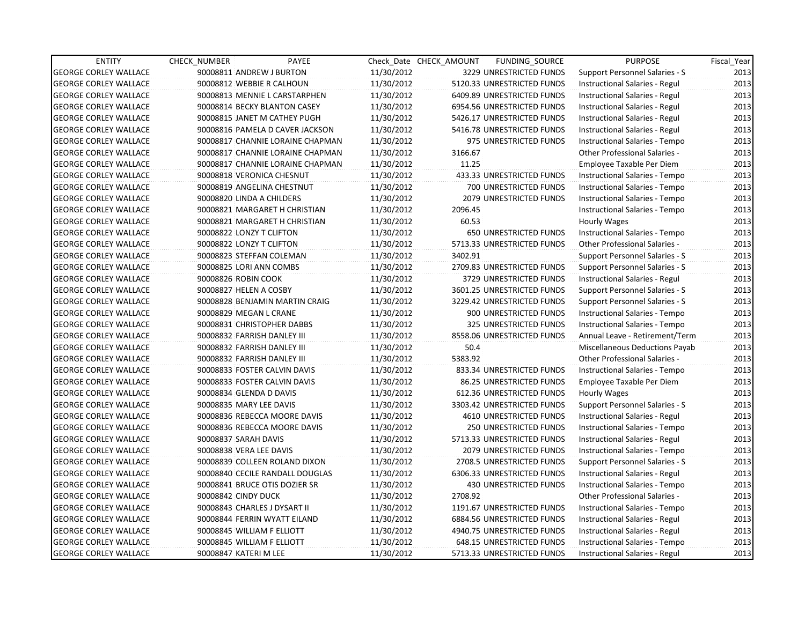| <b>ENTITY</b>                | CHECK_NUMBER                 | PAYEE                            |            | Check Date CHECK AMOUNT | FUNDING_SOURCE                 | <b>PURPOSE</b>                        | Fiscal_Year |
|------------------------------|------------------------------|----------------------------------|------------|-------------------------|--------------------------------|---------------------------------------|-------------|
| <b>GEORGE CORLEY WALLACE</b> | 90008811 ANDREW J BURTON     |                                  | 11/30/2012 |                         | 3229 UNRESTRICTED FUNDS        | Support Personnel Salaries - S        | 2013        |
| <b>GEORGE CORLEY WALLACE</b> | 90008812 WEBBIE R CALHOUN    |                                  | 11/30/2012 |                         | 5120.33 UNRESTRICTED FUNDS     | Instructional Salaries - Regul        | 2013        |
| <b>GEORGE CORLEY WALLACE</b> |                              | 90008813 MENNIE L CARSTARPHEN    | 11/30/2012 |                         | 6409.89 UNRESTRICTED FUNDS     | Instructional Salaries - Regul        | 2013        |
| <b>GEORGE CORLEY WALLACE</b> |                              | 90008814 BECKY BLANTON CASEY     | 11/30/2012 |                         | 6954.56 UNRESTRICTED FUNDS     | Instructional Salaries - Regul        | 2013        |
| <b>GEORGE CORLEY WALLACE</b> |                              | 90008815 JANET M CATHEY PUGH     | 11/30/2012 |                         | 5426.17 UNRESTRICTED FUNDS     | Instructional Salaries - Regul        | 2013        |
| <b>GEORGE CORLEY WALLACE</b> |                              | 90008816 PAMELA D CAVER JACKSON  | 11/30/2012 |                         | 5416.78 UNRESTRICTED FUNDS     | Instructional Salaries - Regul        | 2013        |
| <b>GEORGE CORLEY WALLACE</b> |                              | 90008817 CHANNIE LORAINE CHAPMAN | 11/30/2012 |                         | 975 UNRESTRICTED FUNDS         | Instructional Salaries - Tempo        | 2013        |
| <b>GEORGE CORLEY WALLACE</b> |                              | 90008817 CHANNIE LORAINE CHAPMAN | 11/30/2012 | 3166.67                 |                                | Other Professional Salaries -         | 2013        |
| <b>GEORGE CORLEY WALLACE</b> |                              | 90008817 CHANNIE LORAINE CHAPMAN | 11/30/2012 | 11.25                   |                                | Employee Taxable Per Diem             | 2013        |
| <b>GEORGE CORLEY WALLACE</b> | 90008818 VERONICA CHESNUT    |                                  | 11/30/2012 |                         | 433.33 UNRESTRICTED FUNDS      | Instructional Salaries - Tempo        | 2013        |
| <b>GEORGE CORLEY WALLACE</b> | 90008819 ANGELINA CHESTNUT   |                                  | 11/30/2012 |                         | 700 UNRESTRICTED FUNDS         | Instructional Salaries - Tempo        | 2013        |
| <b>GEORGE CORLEY WALLACE</b> | 90008820 LINDA A CHILDERS    |                                  | 11/30/2012 |                         | 2079 UNRESTRICTED FUNDS        | Instructional Salaries - Tempo        | 2013        |
| <b>GEORGE CORLEY WALLACE</b> |                              | 90008821 MARGARET H CHRISTIAN    | 11/30/2012 | 2096.45                 |                                | Instructional Salaries - Tempo        | 2013        |
| <b>GEORGE CORLEY WALLACE</b> |                              | 90008821 MARGARET H CHRISTIAN    | 11/30/2012 | 60.53                   |                                | Hourly Wages                          | 2013        |
| <b>GEORGE CORLEY WALLACE</b> | 90008822 LONZY T CLIFTON     |                                  | 11/30/2012 |                         | <b>650 UNRESTRICTED FUNDS</b>  | Instructional Salaries - Tempo        | 2013        |
| <b>GEORGE CORLEY WALLACE</b> | 90008822 LONZY T CLIFTON     |                                  | 11/30/2012 |                         | 5713.33 UNRESTRICTED FUNDS     | <b>Other Professional Salaries -</b>  | 2013        |
| <b>GEORGE CORLEY WALLACE</b> | 90008823 STEFFAN COLEMAN     |                                  | 11/30/2012 | 3402.91                 |                                | Support Personnel Salaries - S        | 2013        |
| <b>GEORGE CORLEY WALLACE</b> | 90008825 LORI ANN COMBS      |                                  | 11/30/2012 |                         | 2709.83 UNRESTRICTED FUNDS     | <b>Support Personnel Salaries - S</b> | 2013        |
| <b>GEORGE CORLEY WALLACE</b> | 90008826 ROBIN COOK          |                                  | 11/30/2012 |                         | 3729 UNRESTRICTED FUNDS        | Instructional Salaries - Regul        | 2013        |
| <b>GEORGE CORLEY WALLACE</b> | 90008827 HELEN A COSBY       |                                  | 11/30/2012 |                         | 3601.25 UNRESTRICTED FUNDS     | Support Personnel Salaries - S        | 2013        |
| <b>GEORGE CORLEY WALLACE</b> |                              | 90008828 BENJAMIN MARTIN CRAIG   | 11/30/2012 |                         | 3229.42 UNRESTRICTED FUNDS     | Support Personnel Salaries - S        | 2013        |
| <b>GEORGE CORLEY WALLACE</b> | 90008829 MEGAN L CRANE       |                                  | 11/30/2012 |                         | 900 UNRESTRICTED FUNDS         | Instructional Salaries - Tempo        | 2013        |
| <b>GEORGE CORLEY WALLACE</b> | 90008831 CHRISTOPHER DABBS   |                                  | 11/30/2012 |                         | 325 UNRESTRICTED FUNDS         | Instructional Salaries - Tempo        | 2013        |
| <b>GEORGE CORLEY WALLACE</b> | 90008832 FARRISH DANLEY III  |                                  | 11/30/2012 |                         | 8558.06 UNRESTRICTED FUNDS     | Annual Leave - Retirement/Term        | 2013        |
| <b>GEORGE CORLEY WALLACE</b> | 90008832 FARRISH DANLEY III  |                                  | 11/30/2012 | 50.4                    |                                | Miscellaneous Deductions Payab        | 2013        |
| <b>GEORGE CORLEY WALLACE</b> | 90008832 FARRISH DANLEY III  |                                  | 11/30/2012 | 5383.92                 |                                | <b>Other Professional Salaries -</b>  | 2013        |
| <b>GEORGE CORLEY WALLACE</b> |                              | 90008833 FOSTER CALVIN DAVIS     | 11/30/2012 |                         | 833.34 UNRESTRICTED FUNDS      | Instructional Salaries - Tempo        | 2013        |
| <b>GEORGE CORLEY WALLACE</b> | 90008833 FOSTER CALVIN DAVIS |                                  | 11/30/2012 |                         | 86.25 UNRESTRICTED FUNDS       | Employee Taxable Per Diem             | 2013        |
| <b>GEORGE CORLEY WALLACE</b> | 90008834 GLENDA D DAVIS      |                                  | 11/30/2012 |                         | 612.36 UNRESTRICTED FUNDS      | <b>Hourly Wages</b>                   | 2013        |
| <b>GEORGE CORLEY WALLACE</b> | 90008835 MARY LEE DAVIS      |                                  | 11/30/2012 |                         | 3303.42 UNRESTRICTED FUNDS     | Support Personnel Salaries - S        | 2013        |
| <b>GEORGE CORLEY WALLACE</b> |                              | 90008836 REBECCA MOORE DAVIS     | 11/30/2012 |                         | 4610 UNRESTRICTED FUNDS        | Instructional Salaries - Regul        | 2013        |
| <b>GEORGE CORLEY WALLACE</b> |                              | 90008836 REBECCA MOORE DAVIS     | 11/30/2012 |                         | 250 UNRESTRICTED FUNDS         | Instructional Salaries - Tempo        | 2013        |
| <b>GEORGE CORLEY WALLACE</b> | 90008837 SARAH DAVIS         |                                  | 11/30/2012 |                         | 5713.33 UNRESTRICTED FUNDS     | Instructional Salaries - Regul        | 2013        |
| <b>GEORGE CORLEY WALLACE</b> | 90008838 VERA LEE DAVIS      |                                  | 11/30/2012 |                         | <b>2079 UNRESTRICTED FUNDS</b> | Instructional Salaries - Tempo        | 2013        |
| <b>GEORGE CORLEY WALLACE</b> |                              | 90008839 COLLEEN ROLAND DIXON    | 11/30/2012 |                         | 2708.5 UNRESTRICTED FUNDS      | Support Personnel Salaries - S        | 2013        |
| <b>GEORGE CORLEY WALLACE</b> |                              | 90008840 CECILE RANDALL DOUGLAS  | 11/30/2012 |                         | 6306.33 UNRESTRICTED FUNDS     | Instructional Salaries - Regul        | 2013        |
| <b>GEORGE CORLEY WALLACE</b> |                              | 90008841 BRUCE OTIS DOZIER SR    | 11/30/2012 |                         | 430 UNRESTRICTED FUNDS         | Instructional Salaries - Tempo        | 2013        |
| <b>GEORGE CORLEY WALLACE</b> | 90008842 CINDY DUCK          |                                  | 11/30/2012 | 2708.92                 |                                | Other Professional Salaries -         | 2013        |
| <b>GEORGE CORLEY WALLACE</b> | 90008843 CHARLES J DYSART II |                                  | 11/30/2012 |                         | 1191.67 UNRESTRICTED FUNDS     | Instructional Salaries - Tempo        | 2013        |
| <b>GEORGE CORLEY WALLACE</b> |                              | 90008844 FERRIN WYATT EILAND     | 11/30/2012 |                         | 6884.56 UNRESTRICTED FUNDS     | Instructional Salaries - Regul        | 2013        |
| <b>GEORGE CORLEY WALLACE</b> | 90008845 WILLIAM F ELLIOTT   |                                  | 11/30/2012 |                         | 4940.75 UNRESTRICTED FUNDS     | Instructional Salaries - Regul        | 2013        |
| <b>GEORGE CORLEY WALLACE</b> | 90008845 WILLIAM F ELLIOTT   |                                  | 11/30/2012 |                         | 648.15 UNRESTRICTED FUNDS      | Instructional Salaries - Tempo        | 2013        |
| <b>GEORGE CORLEY WALLACE</b> | 90008847 KATERI M LEE        |                                  | 11/30/2012 |                         | 5713.33 UNRESTRICTED FUNDS     | Instructional Salaries - Regul        | 2013        |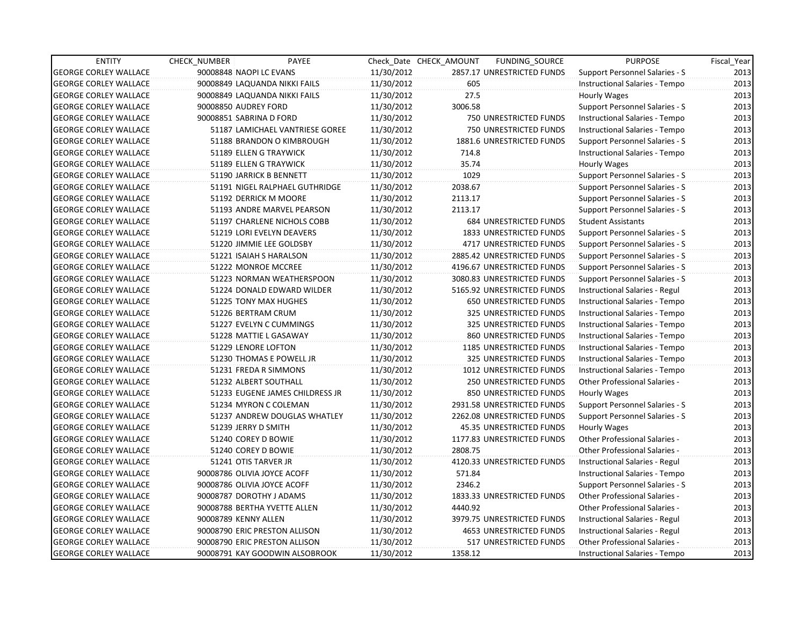| <b>ENTITY</b>                | CHECK NUMBER | PAYEE                           |            | Check Date CHECK AMOUNT | FUNDING_SOURCE                | <b>PURPOSE</b>                        | Fiscal_Year |
|------------------------------|--------------|---------------------------------|------------|-------------------------|-------------------------------|---------------------------------------|-------------|
| <b>GEORGE CORLEY WALLACE</b> |              | 90008848 NAOPI LC EVANS         | 11/30/2012 |                         | 2857.17 UNRESTRICTED FUNDS    | Support Personnel Salaries - S        | 2013        |
| <b>GEORGE CORLEY WALLACE</b> |              | 90008849 LAQUANDA NIKKI FAILS   | 11/30/2012 | 605                     |                               | Instructional Salaries - Tempo        | 2013        |
| <b>GEORGE CORLEY WALLACE</b> |              | 90008849 LAQUANDA NIKKI FAILS   | 11/30/2012 | 27.5                    |                               | Hourly Wages                          | 2013        |
| <b>GEORGE CORLEY WALLACE</b> |              | 90008850 AUDREY FORD            | 11/30/2012 | 3006.58                 |                               | Support Personnel Salaries - S        | 2013        |
| <b>GEORGE CORLEY WALLACE</b> |              | 90008851 SABRINA D FORD         | 11/30/2012 |                         | 750 UNRESTRICTED FUNDS        | Instructional Salaries - Tempo        | 2013        |
| <b>GEORGE CORLEY WALLACE</b> |              | 51187 LAMICHAEL VANTRIESE GOREE | 11/30/2012 |                         | 750 UNRESTRICTED FUNDS        | Instructional Salaries - Tempo        | 2013        |
| <b>GEORGE CORLEY WALLACE</b> |              | 51188 BRANDON O KIMBROUGH       | 11/30/2012 |                         | 1881.6 UNRESTRICTED FUNDS     | Support Personnel Salaries - S        | 2013        |
| <b>GEORGE CORLEY WALLACE</b> |              | 51189 ELLEN G TRAYWICK          | 11/30/2012 | 714.8                   |                               | Instructional Salaries - Tempo        | 2013        |
| <b>GEORGE CORLEY WALLACE</b> |              | 51189 ELLEN G TRAYWICK          | 11/30/2012 | 35.74                   |                               | Hourly Wages                          | 2013        |
| <b>GEORGE CORLEY WALLACE</b> |              | 51190 JARRICK B BENNETT         | 11/30/2012 | 1029                    |                               | Support Personnel Salaries - S        | 2013        |
| <b>GEORGE CORLEY WALLACE</b> |              | 51191 NIGEL RALPHAEL GUTHRIDGE  | 11/30/2012 | 2038.67                 |                               | Support Personnel Salaries - S        | 2013        |
| <b>GEORGE CORLEY WALLACE</b> |              | 51192 DERRICK M MOORE           | 11/30/2012 | 2113.17                 |                               | Support Personnel Salaries - S        | 2013        |
| <b>GEORGE CORLEY WALLACE</b> |              | 51193 ANDRE MARVEL PEARSON      | 11/30/2012 | 2113.17                 |                               | Support Personnel Salaries - S        | 2013        |
| <b>GEORGE CORLEY WALLACE</b> |              | 51197 CHARLENE NICHOLS COBB     | 11/30/2012 |                         | <b>684 UNRESTRICTED FUNDS</b> | <b>Student Assistants</b>             | 2013        |
| <b>GEORGE CORLEY WALLACE</b> |              | 51219 LORI EVELYN DEAVERS       | 11/30/2012 |                         | 1833 UNRESTRICTED FUNDS       | Support Personnel Salaries - S        | 2013        |
| <b>GEORGE CORLEY WALLACE</b> |              | 51220 JIMMIE LEE GOLDSBY        | 11/30/2012 |                         | 4717 UNRESTRICTED FUNDS       | Support Personnel Salaries - S        | 2013        |
| <b>GEORGE CORLEY WALLACE</b> |              | 51221 ISAIAH S HARALSON         | 11/30/2012 |                         | 2885.42 UNRESTRICTED FUNDS    | Support Personnel Salaries - S        | 2013        |
| <b>GEORGE CORLEY WALLACE</b> |              | 51222 MONROE MCCREE             | 11/30/2012 |                         | 4196.67 UNRESTRICTED FUNDS    | <b>Support Personnel Salaries - S</b> | 2013        |
| <b>GEORGE CORLEY WALLACE</b> |              | 51223 NORMAN WEATHERSPOON       | 11/30/2012 |                         | 3080.83 UNRESTRICTED FUNDS    | <b>Support Personnel Salaries - S</b> | 2013        |
| <b>GEORGE CORLEY WALLACE</b> |              | 51224 DONALD EDWARD WILDER      | 11/30/2012 |                         | 5165.92 UNRESTRICTED FUNDS    | Instructional Salaries - Regul        | 2013        |
| <b>GEORGE CORLEY WALLACE</b> |              | 51225 TONY MAX HUGHES           | 11/30/2012 |                         | 650 UNRESTRICTED FUNDS        | Instructional Salaries - Tempo        | 2013        |
| <b>GEORGE CORLEY WALLACE</b> |              | 51226 BERTRAM CRUM              | 11/30/2012 |                         | 325 UNRESTRICTED FUNDS        | Instructional Salaries - Tempo        | 2013        |
| <b>GEORGE CORLEY WALLACE</b> |              | 51227 EVELYN C CUMMINGS         | 11/30/2012 |                         | 325 UNRESTRICTED FUNDS        | Instructional Salaries - Tempo        | 2013        |
| <b>GEORGE CORLEY WALLACE</b> |              | 51228 MATTIE L GASAWAY          | 11/30/2012 |                         | 860 UNRESTRICTED FUNDS        | Instructional Salaries - Tempo        | 2013        |
| <b>GEORGE CORLEY WALLACE</b> |              | 51229 LENORE LOFTON             | 11/30/2012 |                         | 1185 UNRESTRICTED FUNDS       | Instructional Salaries - Tempo        | 2013        |
| <b>GEORGE CORLEY WALLACE</b> |              | 51230 THOMAS E POWELL JR        | 11/30/2012 |                         | 325 UNRESTRICTED FUNDS        | Instructional Salaries - Tempo        | 2013        |
| <b>GEORGE CORLEY WALLACE</b> |              | 51231 FREDA R SIMMONS           | 11/30/2012 |                         | 1012 UNRESTRICTED FUNDS       | Instructional Salaries - Tempo        | 2013        |
| <b>GEORGE CORLEY WALLACE</b> |              | 51232 ALBERT SOUTHALL           | 11/30/2012 |                         | <b>250 UNRESTRICTED FUNDS</b> | Other Professional Salaries -         | 2013        |
| <b>GEORGE CORLEY WALLACE</b> |              | 51233 EUGENE JAMES CHILDRESS JR | 11/30/2012 |                         | 850 UNRESTRICTED FUNDS        | Hourly Wages                          | 2013        |
| <b>GEORGE CORLEY WALLACE</b> |              | 51234 MYRON C COLEMAN           | 11/30/2012 |                         | 2931.58 UNRESTRICTED FUNDS    | Support Personnel Salaries - S        | 2013        |
| <b>GEORGE CORLEY WALLACE</b> |              | 51237 ANDREW DOUGLAS WHATLEY    | 11/30/2012 |                         | 2262.08 UNRESTRICTED FUNDS    | Support Personnel Salaries - S        | 2013        |
| <b>GEORGE CORLEY WALLACE</b> |              | 51239 JERRY D SMITH             | 11/30/2012 |                         | 45.35 UNRESTRICTED FUNDS      | Hourly Wages                          | 2013        |
| <b>GEORGE CORLEY WALLACE</b> |              | 51240 COREY D BOWIE             | 11/30/2012 |                         | 1177.83 UNRESTRICTED FUNDS    | Other Professional Salaries -         | 2013        |
| <b>GEORGE CORLEY WALLACE</b> |              | 51240 COREY D BOWIE             | 11/30/2012 | 2808.75                 |                               | <b>Other Professional Salaries -</b>  | 2013        |
| <b>GEORGE CORLEY WALLACE</b> |              | 51241 OTIS TARVER JR            | 11/30/2012 |                         | 4120.33 UNRESTRICTED FUNDS    | Instructional Salaries - Regul        | 2013        |
| <b>GEORGE CORLEY WALLACE</b> |              | 90008786 OLIVIA JOYCE ACOFF     | 11/30/2012 | 571.84                  |                               | Instructional Salaries - Tempo        | 2013        |
| <b>GEORGE CORLEY WALLACE</b> |              | 90008786 OLIVIA JOYCE ACOFF     | 11/30/2012 | 2346.2                  |                               | <b>Support Personnel Salaries - S</b> | 2013        |
| <b>GEORGE CORLEY WALLACE</b> |              | 90008787 DOROTHY J ADAMS        | 11/30/2012 |                         | 1833.33 UNRESTRICTED FUNDS    | Other Professional Salaries -         | 2013        |
| <b>GEORGE CORLEY WALLACE</b> |              | 90008788 BERTHA YVETTE ALLEN    | 11/30/2012 | 4440.92                 |                               | Other Professional Salaries -         | 2013        |
| <b>GEORGE CORLEY WALLACE</b> |              | 90008789 KENNY ALLEN            | 11/30/2012 |                         | 3979.75 UNRESTRICTED FUNDS    | Instructional Salaries - Regul        | 2013        |
| <b>GEORGE CORLEY WALLACE</b> |              | 90008790 ERIC PRESTON ALLISON   | 11/30/2012 |                         | 4653 UNRESTRICTED FUNDS       | Instructional Salaries - Regul        | 2013        |
| <b>GEORGE CORLEY WALLACE</b> |              | 90008790 ERIC PRESTON ALLISON   | 11/30/2012 |                         | 517 UNRESTRICTED FUNDS        | <b>Other Professional Salaries -</b>  | 2013        |
| <b>GEORGE CORLEY WALLACE</b> |              | 90008791 KAY GOODWIN ALSOBROOK  | 11/30/2012 | 1358.12                 |                               | Instructional Salaries - Tempo        | 2013        |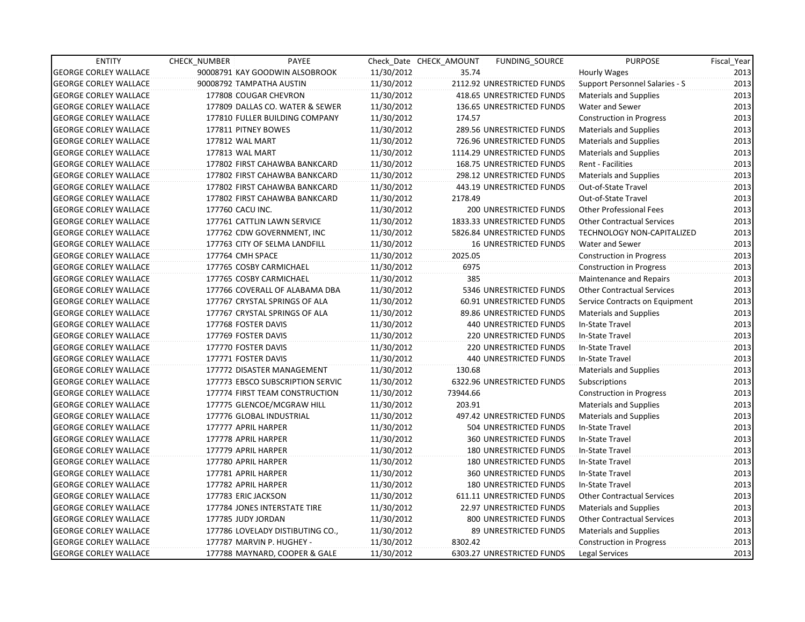| <b>ENTITY</b>                | CHECK_NUMBER             | PAYEE                            |            | Check Date CHECK AMOUNT | FUNDING SOURCE                | <b>PURPOSE</b>                    | Fiscal_Year |
|------------------------------|--------------------------|----------------------------------|------------|-------------------------|-------------------------------|-----------------------------------|-------------|
| <b>GEORGE CORLEY WALLACE</b> |                          | 90008791 KAY GOODWIN ALSOBROOK   | 11/30/2012 | 35.74                   |                               | Hourly Wages                      | 2013        |
| <b>GEORGE CORLEY WALLACE</b> | 90008792 TAMPATHA AUSTIN |                                  | 11/30/2012 |                         | 2112.92 UNRESTRICTED FUNDS    | Support Personnel Salaries - S    | 2013        |
| <b>GEORGE CORLEY WALLACE</b> |                          | 177808 COUGAR CHEVRON            | 11/30/2012 |                         | 418.65 UNRESTRICTED FUNDS     | <b>Materials and Supplies</b>     | 2013        |
| <b>GEORGE CORLEY WALLACE</b> |                          | 177809 DALLAS CO. WATER & SEWER  | 11/30/2012 |                         | 136.65 UNRESTRICTED FUNDS     | Water and Sewer                   | 2013        |
| <b>GEORGE CORLEY WALLACE</b> |                          | 177810 FULLER BUILDING COMPANY   | 11/30/2012 | 174.57                  |                               | <b>Construction in Progress</b>   | 2013        |
| <b>GEORGE CORLEY WALLACE</b> | 177811 PITNEY BOWES      |                                  | 11/30/2012 |                         | 289.56 UNRESTRICTED FUNDS     | <b>Materials and Supplies</b>     | 2013        |
| <b>GEORGE CORLEY WALLACE</b> | 177812 WAL MART          |                                  | 11/30/2012 |                         | 726.96 UNRESTRICTED FUNDS     | <b>Materials and Supplies</b>     | 2013        |
| <b>GEORGE CORLEY WALLACE</b> | 177813 WAL MART          |                                  | 11/30/2012 |                         | 1114.29 UNRESTRICTED FUNDS    | <b>Materials and Supplies</b>     | 2013        |
| <b>GEORGE CORLEY WALLACE</b> |                          | 177802 FIRST CAHAWBA BANKCARD    | 11/30/2012 |                         | 168.75 UNRESTRICTED FUNDS     | Rent - Facilities                 | 2013        |
| <b>GEORGE CORLEY WALLACE</b> |                          | 177802 FIRST CAHAWBA BANKCARD    | 11/30/2012 |                         | 298.12 UNRESTRICTED FUNDS     | <b>Materials and Supplies</b>     | 2013        |
| <b>GEORGE CORLEY WALLACE</b> |                          | 177802 FIRST CAHAWBA BANKCARD    | 11/30/2012 |                         | 443.19 UNRESTRICTED FUNDS     | Out-of-State Travel               | 2013        |
| <b>GEORGE CORLEY WALLACE</b> |                          | 177802 FIRST CAHAWBA BANKCARD    | 11/30/2012 | 2178.49                 |                               | Out-of-State Travel               | 2013        |
| <b>GEORGE CORLEY WALLACE</b> | 177760 CACU INC.         |                                  | 11/30/2012 |                         | 200 UNRESTRICTED FUNDS        | <b>Other Professional Fees</b>    | 2013        |
| <b>GEORGE CORLEY WALLACE</b> |                          | 177761 CATTLIN LAWN SERVICE      | 11/30/2012 |                         | 1833.33 UNRESTRICTED FUNDS    | <b>Other Contractual Services</b> | 2013        |
| <b>GEORGE CORLEY WALLACE</b> |                          | 177762 CDW GOVERNMENT, INC       | 11/30/2012 |                         | 5826.84 UNRESTRICTED FUNDS    | <b>TECHNOLOGY NON-CAPITALIZED</b> | 2013        |
| <b>GEORGE CORLEY WALLACE</b> |                          | 177763 CITY OF SELMA LANDFILL    | 11/30/2012 |                         | <b>16 UNRESTRICTED FUNDS</b>  | Water and Sewer                   | 2013        |
| <b>GEORGE CORLEY WALLACE</b> | 177764 CMH SPACE         |                                  | 11/30/2012 | 2025.05                 |                               | <b>Construction in Progress</b>   | 2013        |
| <b>GEORGE CORLEY WALLACE</b> |                          | 177765 COSBY CARMICHAEL          | 11/30/2012 | 6975                    |                               | <b>Construction in Progress</b>   | 2013        |
| <b>GEORGE CORLEY WALLACE</b> |                          | 177765 COSBY CARMICHAEL          | 11/30/2012 | 385                     |                               | Maintenance and Repairs           | 2013        |
| <b>GEORGE CORLEY WALLACE</b> |                          | 177766 COVERALL OF ALABAMA DBA   | 11/30/2012 |                         | 5346 UNRESTRICTED FUNDS       | <b>Other Contractual Services</b> | 2013        |
| <b>GEORGE CORLEY WALLACE</b> |                          | 177767 CRYSTAL SPRINGS OF ALA    | 11/30/2012 |                         | 60.91 UNRESTRICTED FUNDS      | Service Contracts on Equipment    | 2013        |
| <b>GEORGE CORLEY WALLACE</b> |                          | 177767 CRYSTAL SPRINGS OF ALA    | 11/30/2012 |                         | 89.86 UNRESTRICTED FUNDS      | <b>Materials and Supplies</b>     | 2013        |
| <b>GEORGE CORLEY WALLACE</b> | 177768 FOSTER DAVIS      |                                  | 11/30/2012 |                         | <b>440 UNRESTRICTED FUNDS</b> | In-State Travel                   | 2013        |
| <b>GEORGE CORLEY WALLACE</b> | 177769 FOSTER DAVIS      |                                  | 11/30/2012 |                         | 220 UNRESTRICTED FUNDS        | In-State Travel                   | 2013        |
| <b>GEORGE CORLEY WALLACE</b> | 177770 FOSTER DAVIS      |                                  | 11/30/2012 |                         | 220 UNRESTRICTED FUNDS        | In-State Travel                   | 2013        |
| <b>GEORGE CORLEY WALLACE</b> | 177771 FOSTER DAVIS      |                                  | 11/30/2012 |                         | <b>440 UNRESTRICTED FUNDS</b> | In-State Travel                   | 2013        |
| <b>GEORGE CORLEY WALLACE</b> |                          | 177772 DISASTER MANAGEMENT       | 11/30/2012 | 130.68                  |                               | <b>Materials and Supplies</b>     | 2013        |
| <b>GEORGE CORLEY WALLACE</b> |                          | 177773 EBSCO SUBSCRIPTION SERVIC | 11/30/2012 |                         | 6322.96 UNRESTRICTED FUNDS    | Subscriptions                     | 2013        |
| <b>GEORGE CORLEY WALLACE</b> |                          | 177774 FIRST TEAM CONSTRUCTION   | 11/30/2012 | 73944.66                |                               | <b>Construction in Progress</b>   | 2013        |
| <b>GEORGE CORLEY WALLACE</b> |                          | 177775 GLENCOE/MCGRAW HILL       | 11/30/2012 | 203.91                  |                               | <b>Materials and Supplies</b>     | 2013        |
| <b>GEORGE CORLEY WALLACE</b> |                          | 177776 GLOBAL INDUSTRIAL         | 11/30/2012 |                         | 497.42 UNRESTRICTED FUNDS     | <b>Materials and Supplies</b>     | 2013        |
| <b>GEORGE CORLEY WALLACE</b> | 177777 APRIL HARPER      |                                  | 11/30/2012 |                         | 504 UNRESTRICTED FUNDS        | In-State Travel                   | 2013        |
| <b>GEORGE CORLEY WALLACE</b> | 177778 APRIL HARPER      |                                  | 11/30/2012 |                         | 360 UNRESTRICTED FUNDS        | In-State Travel                   | 2013        |
| <b>GEORGE CORLEY WALLACE</b> | 177779 APRIL HARPER      |                                  | 11/30/2012 |                         | <b>180 UNRESTRICTED FUNDS</b> | In-State Travel                   | 2013        |
| <b>GEORGE CORLEY WALLACE</b> | 177780 APRIL HARPER      |                                  | 11/30/2012 |                         | <b>180 UNRESTRICTED FUNDS</b> | In-State Travel                   | 2013        |
| <b>GEORGE CORLEY WALLACE</b> | 177781 APRIL HARPER      |                                  | 11/30/2012 |                         | <b>360 UNRESTRICTED FUNDS</b> | In-State Travel                   | 2013        |
| <b>GEORGE CORLEY WALLACE</b> | 177782 APRIL HARPER      |                                  | 11/30/2012 |                         | <b>180 UNRESTRICTED FUNDS</b> | In-State Travel                   | 2013        |
| <b>GEORGE CORLEY WALLACE</b> | 177783 ERIC JACKSON      |                                  | 11/30/2012 |                         | 611.11 UNRESTRICTED FUNDS     | <b>Other Contractual Services</b> | 2013        |
| <b>GEORGE CORLEY WALLACE</b> |                          | 177784 JONES INTERSTATE TIRE     | 11/30/2012 |                         | 22.97 UNRESTRICTED FUNDS      | <b>Materials and Supplies</b>     | 2013        |
| <b>GEORGE CORLEY WALLACE</b> | 177785 JUDY JORDAN       |                                  | 11/30/2012 |                         | 800 UNRESTRICTED FUNDS        | <b>Other Contractual Services</b> | 2013        |
| <b>GEORGE CORLEY WALLACE</b> |                          | 177786 LOVELADY DISTIBUTING CO., | 11/30/2012 |                         | 89 UNRESTRICTED FUNDS         | <b>Materials and Supplies</b>     | 2013        |
| <b>GEORGE CORLEY WALLACE</b> |                          | 177787 MARVIN P. HUGHEY -        | 11/30/2012 | 8302.42                 |                               | <b>Construction in Progress</b>   | 2013        |
| <b>GEORGE CORLEY WALLACE</b> |                          | 177788 MAYNARD, COOPER & GALE    | 11/30/2012 |                         | 6303.27 UNRESTRICTED FUNDS    | Legal Services                    | 2013        |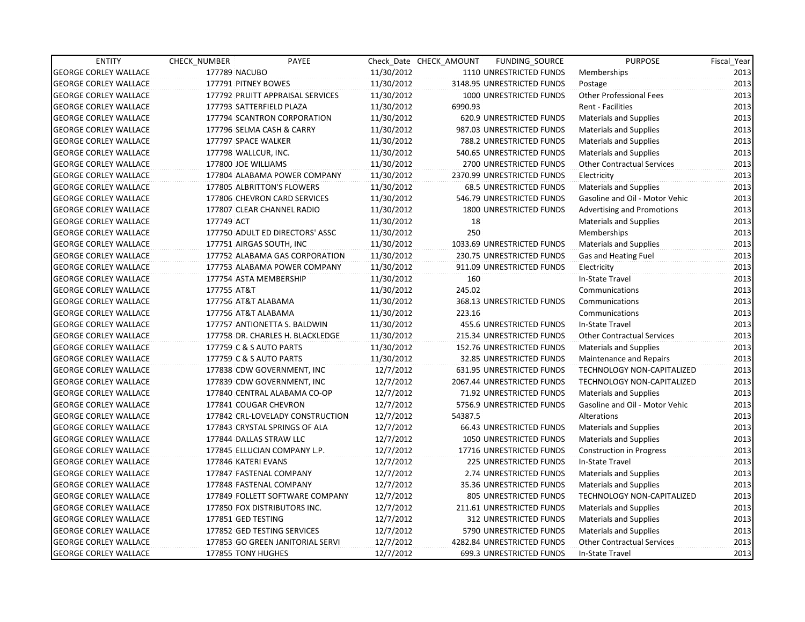| <b>ENTITY</b>                | CHECK_NUMBER                 | <b>PAYEE</b>                     |            | Check Date CHECK AMOUNT | FUNDING_SOURCE                 | <b>PURPOSE</b>                    | Fiscal Year |
|------------------------------|------------------------------|----------------------------------|------------|-------------------------|--------------------------------|-----------------------------------|-------------|
| <b>GEORGE CORLEY WALLACE</b> | 177789 NACUBO                |                                  | 11/30/2012 |                         | 1110 UNRESTRICTED FUNDS        | Memberships                       | 2013        |
| <b>GEORGE CORLEY WALLACE</b> | 177791 PITNEY BOWES          |                                  | 11/30/2012 |                         | 3148.95 UNRESTRICTED FUNDS     | Postage                           | 2013        |
| <b>GEORGE CORLEY WALLACE</b> |                              | 177792 PRUITT APPRAISAL SERVICES | 11/30/2012 |                         | 1000 UNRESTRICTED FUNDS        | <b>Other Professional Fees</b>    | 2013        |
| <b>GEORGE CORLEY WALLACE</b> | 177793 SATTERFIELD PLAZA     |                                  | 11/30/2012 | 6990.93                 |                                | Rent - Facilities                 | 2013        |
| <b>GEORGE CORLEY WALLACE</b> |                              | 177794 SCANTRON CORPORATION      | 11/30/2012 |                         | 620.9 UNRESTRICTED FUNDS       | <b>Materials and Supplies</b>     | 2013        |
| <b>GEORGE CORLEY WALLACE</b> | 177796 SELMA CASH & CARRY    |                                  | 11/30/2012 |                         | 987.03 UNRESTRICTED FUNDS      | <b>Materials and Supplies</b>     | 2013        |
| <b>GEORGE CORLEY WALLACE</b> | 177797 SPACE WALKER          |                                  | 11/30/2012 |                         | 788.2 UNRESTRICTED FUNDS       | <b>Materials and Supplies</b>     | 2013        |
| <b>GEORGE CORLEY WALLACE</b> | 177798 WALLCUR, INC.         |                                  | 11/30/2012 |                         | 540.65 UNRESTRICTED FUNDS      | <b>Materials and Supplies</b>     | 2013        |
| <b>GEORGE CORLEY WALLACE</b> | 177800 JOE WILLIAMS          |                                  | 11/30/2012 |                         | 2700 UNRESTRICTED FUNDS        | <b>Other Contractual Services</b> | 2013        |
| <b>GEORGE CORLEY WALLACE</b> |                              | 177804 ALABAMA POWER COMPANY     | 11/30/2012 |                         | 2370.99 UNRESTRICTED FUNDS     | Electricity                       | 2013        |
| <b>GEORGE CORLEY WALLACE</b> | 177805 ALBRITTON'S FLOWERS   |                                  | 11/30/2012 |                         | <b>68.5 UNRESTRICTED FUNDS</b> | Materials and Supplies            | 2013        |
| <b>GEORGE CORLEY WALLACE</b> |                              | 177806 CHEVRON CARD SERVICES     | 11/30/2012 |                         | 546.79 UNRESTRICTED FUNDS      | Gasoline and Oil - Motor Vehic    | 2013        |
| <b>GEORGE CORLEY WALLACE</b> | 177807 CLEAR CHANNEL RADIO   |                                  | 11/30/2012 |                         | 1800 UNRESTRICTED FUNDS        | <b>Advertising and Promotions</b> | 2013        |
| <b>GEORGE CORLEY WALLACE</b> | 177749 ACT                   |                                  | 11/30/2012 | 18                      |                                | <b>Materials and Supplies</b>     | 2013        |
| <b>GEORGE CORLEY WALLACE</b> |                              | 177750 ADULT ED DIRECTORS' ASSC  | 11/30/2012 | 250                     |                                | Memberships                       | 2013        |
| <b>GEORGE CORLEY WALLACE</b> | 177751 AIRGAS SOUTH, INC     |                                  | 11/30/2012 |                         | 1033.69 UNRESTRICTED FUNDS     | <b>Materials and Supplies</b>     | 2013        |
| <b>GEORGE CORLEY WALLACE</b> |                              | 177752 ALABAMA GAS CORPORATION   | 11/30/2012 |                         | 230.75 UNRESTRICTED FUNDS      | Gas and Heating Fuel              | 2013        |
| <b>GEORGE CORLEY WALLACE</b> |                              | 177753 ALABAMA POWER COMPANY     | 11/30/2012 |                         | 911.09 UNRESTRICTED FUNDS      | Electricity                       | 2013        |
| <b>GEORGE CORLEY WALLACE</b> | 177754 ASTA MEMBERSHIP       |                                  | 11/30/2012 | 160                     |                                | In-State Travel                   | 2013        |
| <b>GEORGE CORLEY WALLACE</b> | 177755 AT&T                  |                                  | 11/30/2012 | 245.02                  |                                | Communications                    | 2013        |
| <b>GEORGE CORLEY WALLACE</b> | 177756 AT&T ALABAMA          |                                  | 11/30/2012 |                         | 368.13 UNRESTRICTED FUNDS      | Communications                    | 2013        |
| <b>GEORGE CORLEY WALLACE</b> | 177756 AT&T ALABAMA          |                                  | 11/30/2012 | 223.16                  |                                | Communications                    | 2013        |
| <b>GEORGE CORLEY WALLACE</b> |                              | 177757 ANTIONETTA S. BALDWIN     | 11/30/2012 |                         | 455.6 UNRESTRICTED FUNDS       | In-State Travel                   | 2013        |
| <b>GEORGE CORLEY WALLACE</b> |                              | 177758 DR. CHARLES H. BLACKLEDGE | 11/30/2012 |                         | 215.34 UNRESTRICTED FUNDS      | <b>Other Contractual Services</b> | 2013        |
| <b>GEORGE CORLEY WALLACE</b> | 177759 C & S AUTO PARTS      |                                  | 11/30/2012 |                         | 152.76 UNRESTRICTED FUNDS      | <b>Materials and Supplies</b>     | 2013        |
| <b>GEORGE CORLEY WALLACE</b> | 177759 C & S AUTO PARTS      |                                  | 11/30/2012 |                         | 32.85 UNRESTRICTED FUNDS       | Maintenance and Repairs           | 2013        |
| <b>GEORGE CORLEY WALLACE</b> |                              | 177838 CDW GOVERNMENT, INC       | 12/7/2012  |                         | 631.95 UNRESTRICTED FUNDS      | <b>TECHNOLOGY NON-CAPITALIZED</b> | 2013        |
| <b>GEORGE CORLEY WALLACE</b> |                              | 177839 CDW GOVERNMENT, INC       | 12/7/2012  |                         | 2067.44 UNRESTRICTED FUNDS     | <b>TECHNOLOGY NON-CAPITALIZED</b> | 2013        |
| <b>GEORGE CORLEY WALLACE</b> |                              | 177840 CENTRAL ALABAMA CO-OP     | 12/7/2012  |                         | 71.92 UNRESTRICTED FUNDS       | <b>Materials and Supplies</b>     | 2013        |
| <b>GEORGE CORLEY WALLACE</b> | 177841 COUGAR CHEVRON        |                                  | 12/7/2012  |                         | 5756.9 UNRESTRICTED FUNDS      | Gasoline and Oil - Motor Vehic    | 2013        |
| <b>GEORGE CORLEY WALLACE</b> |                              | 177842 CRL-LOVELADY CONSTRUCTION | 12/7/2012  | 54387.5                 |                                | Alterations                       | 2013        |
| <b>GEORGE CORLEY WALLACE</b> |                              | 177843 CRYSTAL SPRINGS OF ALA    | 12/7/2012  |                         | 66.43 UNRESTRICTED FUNDS       | <b>Materials and Supplies</b>     | 2013        |
| <b>GEORGE CORLEY WALLACE</b> | 177844 DALLAS STRAW LLC      |                                  | 12/7/2012  |                         | 1050 UNRESTRICTED FUNDS        | <b>Materials and Supplies</b>     | 2013        |
| <b>GEORGE CORLEY WALLACE</b> | 177845 ELLUCIAN COMPANY L.P. |                                  | 12/7/2012  |                         | 17716 UNRESTRICTED FUNDS       | Construction in Progress          | 2013        |
| <b>GEORGE CORLEY WALLACE</b> | 177846 KATERI EVANS          |                                  | 12/7/2012  |                         | 225 UNRESTRICTED FUNDS         | In-State Travel                   | 2013        |
| <b>GEORGE CORLEY WALLACE</b> | 177847 FASTENAL COMPANY      |                                  | 12/7/2012  |                         | 2.74 UNRESTRICTED FUNDS        | <b>Materials and Supplies</b>     | 2013        |
| <b>GEORGE CORLEY WALLACE</b> | 177848 FASTENAL COMPANY      |                                  | 12/7/2012  |                         | 35.36 UNRESTRICTED FUNDS       | Materials and Supplies            | 2013        |
| <b>GEORGE CORLEY WALLACE</b> |                              | 177849 FOLLETT SOFTWARE COMPANY  | 12/7/2012  |                         | 805 UNRESTRICTED FUNDS         | <b>TECHNOLOGY NON-CAPITALIZED</b> | 2013        |
| <b>GEORGE CORLEY WALLACE</b> | 177850 FOX DISTRIBUTORS INC. |                                  | 12/7/2012  |                         | 211.61 UNRESTRICTED FUNDS      | Materials and Supplies            | 2013        |
| <b>GEORGE CORLEY WALLACE</b> | 177851 GED TESTING           |                                  | 12/7/2012  |                         | 312 UNRESTRICTED FUNDS         | <b>Materials and Supplies</b>     | 2013        |
| <b>GEORGE CORLEY WALLACE</b> | 177852 GED TESTING SERVICES  |                                  | 12/7/2012  |                         | 5790 UNRESTRICTED FUNDS        | <b>Materials and Supplies</b>     | 2013        |
| <b>GEORGE CORLEY WALLACE</b> |                              | 177853 GO GREEN JANITORIAL SERVI | 12/7/2012  |                         | 4282.84 UNRESTRICTED FUNDS     | <b>Other Contractual Services</b> | 2013        |
| <b>GEORGE CORLEY WALLACE</b> | 177855 TONY HUGHES           |                                  | 12/7/2012  |                         | 699.3 UNRESTRICTED FUNDS       | In-State Travel                   | 2013        |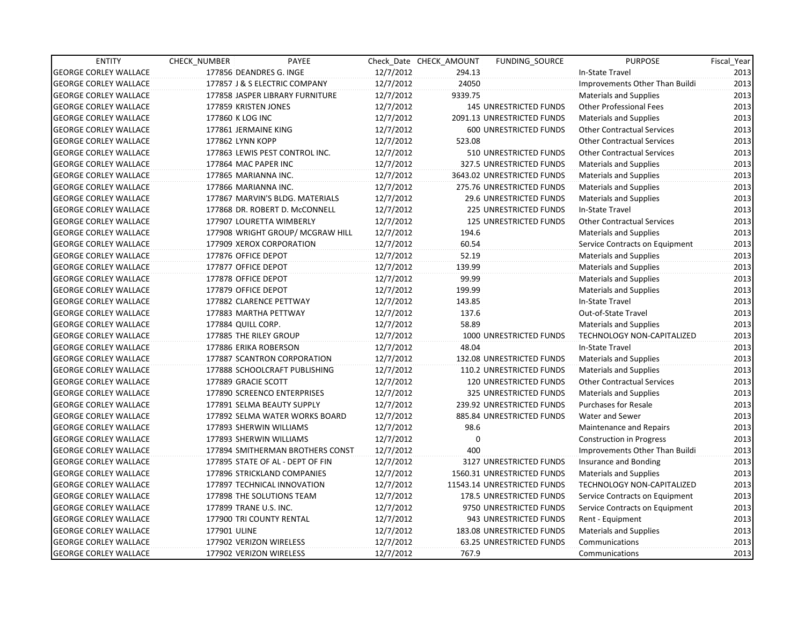| <b>ENTITY</b>                | CHECK NUMBER             | PAYEE                            |           | Check Date CHECK AMOUNT | FUNDING SOURCE                | <b>PURPOSE</b>                    | Fiscal_Year |
|------------------------------|--------------------------|----------------------------------|-----------|-------------------------|-------------------------------|-----------------------------------|-------------|
| <b>GEORGE CORLEY WALLACE</b> | 177856 DEANDRES G. INGE  |                                  | 12/7/2012 | 294.13                  |                               | In-State Travel                   | 2013        |
| <b>GEORGE CORLEY WALLACE</b> |                          | 177857 J & S ELECTRIC COMPANY    | 12/7/2012 | 24050                   |                               | Improvements Other Than Buildi    | 2013        |
| <b>GEORGE CORLEY WALLACE</b> |                          | 177858 JASPER LIBRARY FURNITURE  | 12/7/2012 | 9339.75                 |                               | <b>Materials and Supplies</b>     | 2013        |
| <b>GEORGE CORLEY WALLACE</b> | 177859 KRISTEN JONES     |                                  | 12/7/2012 |                         | <b>145 UNRESTRICTED FUNDS</b> | <b>Other Professional Fees</b>    | 2013        |
| <b>GEORGE CORLEY WALLACE</b> | 177860 K LOG INC         |                                  | 12/7/2012 |                         | 2091.13 UNRESTRICTED FUNDS    | <b>Materials and Supplies</b>     | 2013        |
| <b>GEORGE CORLEY WALLACE</b> | 177861 JERMAINE KING     |                                  | 12/7/2012 |                         | 600 UNRESTRICTED FUNDS        | <b>Other Contractual Services</b> | 2013        |
| <b>GEORGE CORLEY WALLACE</b> | 177862 LYNN KOPP         |                                  | 12/7/2012 | 523.08                  |                               | <b>Other Contractual Services</b> | 2013        |
| <b>GEORGE CORLEY WALLACE</b> |                          | 177863 LEWIS PEST CONTROL INC.   | 12/7/2012 |                         | 510 UNRESTRICTED FUNDS        | <b>Other Contractual Services</b> | 2013        |
| <b>GEORGE CORLEY WALLACE</b> | 177864 MAC PAPER INC     |                                  | 12/7/2012 |                         | 327.5 UNRESTRICTED FUNDS      | <b>Materials and Supplies</b>     | 2013        |
| <b>GEORGE CORLEY WALLACE</b> | 177865 MARIANNA INC.     |                                  | 12/7/2012 |                         | 3643.02 UNRESTRICTED FUNDS    | Materials and Supplies            | 2013        |
| <b>GEORGE CORLEY WALLACE</b> | 177866 MARIANNA INC.     |                                  | 12/7/2012 |                         | 275.76 UNRESTRICTED FUNDS     | <b>Materials and Supplies</b>     | 2013        |
| <b>GEORGE CORLEY WALLACE</b> |                          | 177867 MARVIN'S BLDG. MATERIALS  | 12/7/2012 |                         | 29.6 UNRESTRICTED FUNDS       | Materials and Supplies            | 2013        |
| <b>GEORGE CORLEY WALLACE</b> |                          | 177868 DR. ROBERT D. McCONNELL   | 12/7/2012 |                         | <b>225 UNRESTRICTED FUNDS</b> | In-State Travel                   | 2013        |
| <b>GEORGE CORLEY WALLACE</b> |                          | 177907 LOURETTA WIMBERLY         | 12/7/2012 |                         | <b>125 UNRESTRICTED FUNDS</b> | <b>Other Contractual Services</b> | 2013        |
| <b>GEORGE CORLEY WALLACE</b> |                          | 177908 WRIGHT GROUP/ MCGRAW HILL | 12/7/2012 | 194.6                   |                               | <b>Materials and Supplies</b>     | 2013        |
| <b>GEORGE CORLEY WALLACE</b> |                          | 177909 XEROX CORPORATION         | 12/7/2012 | 60.54                   |                               | Service Contracts on Equipment    | 2013        |
| <b>GEORGE CORLEY WALLACE</b> | 177876 OFFICE DEPOT      |                                  | 12/7/2012 | 52.19                   |                               | Materials and Supplies            | 2013        |
| <b>GEORGE CORLEY WALLACE</b> | 177877 OFFICE DEPOT      |                                  | 12/7/2012 | 139.99                  |                               | <b>Materials and Supplies</b>     | 2013        |
| <b>GEORGE CORLEY WALLACE</b> | 177878 OFFICE DEPOT      |                                  | 12/7/2012 | 99.99                   |                               | <b>Materials and Supplies</b>     | 2013        |
| <b>GEORGE CORLEY WALLACE</b> | 177879 OFFICE DEPOT      |                                  | 12/7/2012 | 199.99                  |                               | <b>Materials and Supplies</b>     | 2013        |
| <b>GEORGE CORLEY WALLACE</b> | 177882 CLARENCE PETTWAY  |                                  | 12/7/2012 | 143.85                  |                               | In-State Travel                   | 2013        |
| <b>GEORGE CORLEY WALLACE</b> | 177883 MARTHA PETTWAY    |                                  | 12/7/2012 | 137.6                   |                               | Out-of-State Travel               | 2013        |
| <b>GEORGE CORLEY WALLACE</b> | 177884 QUILL CORP.       |                                  | 12/7/2012 | 58.89                   |                               | <b>Materials and Supplies</b>     | 2013        |
| <b>GEORGE CORLEY WALLACE</b> | 177885 THE RILEY GROUP   |                                  | 12/7/2012 |                         | 1000 UNRESTRICTED FUNDS       | <b>TECHNOLOGY NON-CAPITALIZED</b> | 2013        |
| <b>GEORGE CORLEY WALLACE</b> | 177886 ERIKA ROBERSON    |                                  | 12/7/2012 | 48.04                   |                               | In-State Travel                   | 2013        |
| <b>GEORGE CORLEY WALLACE</b> |                          | 177887 SCANTRON CORPORATION      | 12/7/2012 |                         | 132.08 UNRESTRICTED FUNDS     | Materials and Supplies            | 2013        |
| <b>GEORGE CORLEY WALLACE</b> |                          | 177888 SCHOOLCRAFT PUBLISHING    | 12/7/2012 |                         | 110.2 UNRESTRICTED FUNDS      | Materials and Supplies            | 2013        |
| <b>GEORGE CORLEY WALLACE</b> | 177889 GRACIE SCOTT      |                                  | 12/7/2012 |                         | 120 UNRESTRICTED FUNDS        | <b>Other Contractual Services</b> | 2013        |
| <b>GEORGE CORLEY WALLACE</b> |                          | 177890 SCREENCO ENTERPRISES      | 12/7/2012 |                         | 325 UNRESTRICTED FUNDS        | <b>Materials and Supplies</b>     | 2013        |
| <b>GEORGE CORLEY WALLACE</b> |                          | 177891 SELMA BEAUTY SUPPLY       | 12/7/2012 |                         | 239.92 UNRESTRICTED FUNDS     | <b>Purchases for Resale</b>       | 2013        |
| <b>GEORGE CORLEY WALLACE</b> |                          | 177892 SELMA WATER WORKS BOARD   | 12/7/2012 |                         | 885.84 UNRESTRICTED FUNDS     | Water and Sewer                   | 2013        |
| <b>GEORGE CORLEY WALLACE</b> | 177893 SHERWIN WILLIAMS  |                                  | 12/7/2012 | 98.6                    |                               | <b>Maintenance and Repairs</b>    | 2013        |
| <b>GEORGE CORLEY WALLACE</b> | 177893 SHERWIN WILLIAMS  |                                  | 12/7/2012 | $\mathbf{0}$            |                               | Construction in Progress          | 2013        |
| <b>GEORGE CORLEY WALLACE</b> |                          | 177894 SMITHERMAN BROTHERS CONST | 12/7/2012 | 400                     |                               | Improvements Other Than Buildi    | 2013        |
| <b>GEORGE CORLEY WALLACE</b> |                          | 177895 STATE OF AL - DEPT OF FIN | 12/7/2012 |                         | 3127 UNRESTRICTED FUNDS       | Insurance and Bonding             | 2013        |
| <b>GEORGE CORLEY WALLACE</b> |                          | 177896 STRICKLAND COMPANIES      | 12/7/2012 |                         | 1560.31 UNRESTRICTED FUNDS    | <b>Materials and Supplies</b>     | 2013        |
| <b>GEORGE CORLEY WALLACE</b> |                          | 177897 TECHNICAL INNOVATION      | 12/7/2012 |                         | 11543.14 UNRESTRICTED FUNDS   | TECHNOLOGY NON-CAPITALIZED        | 2013        |
| <b>GEORGE CORLEY WALLACE</b> |                          | 177898 THE SOLUTIONS TEAM        | 12/7/2012 |                         | 178.5 UNRESTRICTED FUNDS      | Service Contracts on Equipment    | 2013        |
| <b>GEORGE CORLEY WALLACE</b> | 177899 TRANE U.S. INC.   |                                  | 12/7/2012 |                         | 9750 UNRESTRICTED FUNDS       | Service Contracts on Equipment    | 2013        |
| <b>GEORGE CORLEY WALLACE</b> | 177900 TRI COUNTY RENTAL |                                  | 12/7/2012 |                         | 943 UNRESTRICTED FUNDS        | Rent - Equipment                  | 2013        |
| <b>GEORGE CORLEY WALLACE</b> | 177901 ULINE             |                                  | 12/7/2012 |                         | 183.08 UNRESTRICTED FUNDS     | <b>Materials and Supplies</b>     | 2013        |
| <b>GEORGE CORLEY WALLACE</b> | 177902 VERIZON WIRELESS  |                                  | 12/7/2012 |                         | 63.25 UNRESTRICTED FUNDS      | Communications                    | 2013        |
| <b>GEORGE CORLEY WALLACE</b> | 177902 VERIZON WIRELESS  |                                  | 12/7/2012 | 767.9                   |                               | Communications                    | 2013        |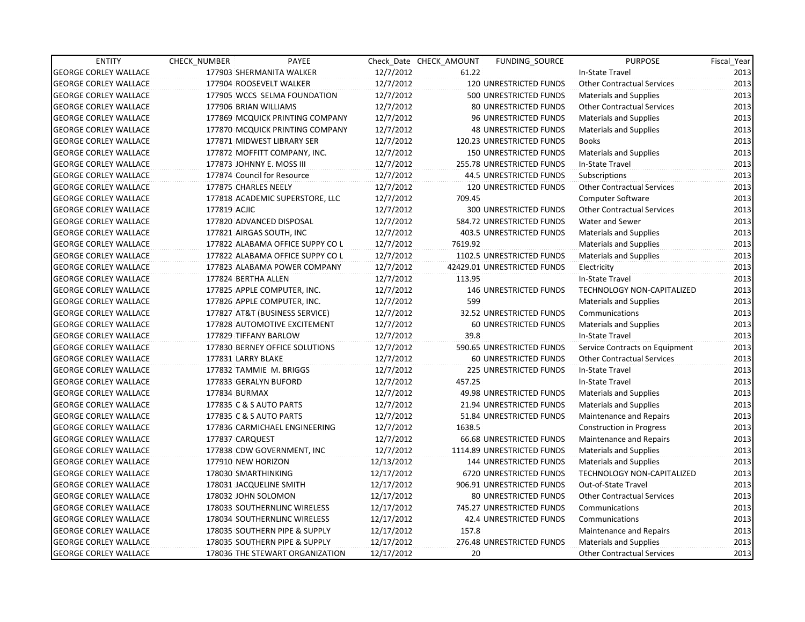| <b>ENTITY</b>                | CHECK_NUMBER            | PAYEE                            |            | Check Date CHECK AMOUNT | <b>FUNDING SOURCE</b>          | <b>PURPOSE</b>                    | Fiscal_Year |
|------------------------------|-------------------------|----------------------------------|------------|-------------------------|--------------------------------|-----------------------------------|-------------|
| <b>GEORGE CORLEY WALLACE</b> |                         | 177903 SHERMANITA WALKER         | 12/7/2012  | 61.22                   |                                | In-State Travel                   | 2013        |
| <b>GEORGE CORLEY WALLACE</b> |                         | 177904 ROOSEVELT WALKER          | 12/7/2012  |                         | 120 UNRESTRICTED FUNDS         | <b>Other Contractual Services</b> | 2013        |
| <b>GEORGE CORLEY WALLACE</b> |                         | 177905 WCCS SELMA FOUNDATION     | 12/7/2012  |                         | 500 UNRESTRICTED FUNDS         | <b>Materials and Supplies</b>     | 2013        |
| <b>GEORGE CORLEY WALLACE</b> | 177906 BRIAN WILLIAMS   |                                  | 12/7/2012  |                         | <b>80 UNRESTRICTED FUNDS</b>   | <b>Other Contractual Services</b> | 2013        |
| <b>GEORGE CORLEY WALLACE</b> |                         | 177869 MCQUICK PRINTING COMPANY  | 12/7/2012  |                         | 96 UNRESTRICTED FUNDS          | <b>Materials and Supplies</b>     | 2013        |
| <b>GEORGE CORLEY WALLACE</b> |                         | 177870 MCQUICK PRINTING COMPANY  | 12/7/2012  |                         | <b>48 UNRESTRICTED FUNDS</b>   | <b>Materials and Supplies</b>     | 2013        |
| <b>GEORGE CORLEY WALLACE</b> |                         | 177871 MIDWEST LIBRARY SER       | 12/7/2012  |                         | 120.23 UNRESTRICTED FUNDS      | <b>Books</b>                      | 2013        |
| <b>GEORGE CORLEY WALLACE</b> |                         | 177872 MOFFITT COMPANY, INC.     | 12/7/2012  |                         | <b>150 UNRESTRICTED FUNDS</b>  | <b>Materials and Supplies</b>     | 2013        |
| <b>GEORGE CORLEY WALLACE</b> |                         | 177873 JOHNNY E. MOSS III        | 12/7/2012  |                         | 255.78 UNRESTRICTED FUNDS      | In-State Travel                   | 2013        |
| <b>GEORGE CORLEY WALLACE</b> |                         | 177874 Council for Resource      | 12/7/2012  |                         | 44.5 UNRESTRICTED FUNDS        | Subscriptions                     | 2013        |
| <b>GEORGE CORLEY WALLACE</b> | 177875 CHARLES NEELY    |                                  | 12/7/2012  |                         | 120 UNRESTRICTED FUNDS         | <b>Other Contractual Services</b> | 2013        |
| <b>GEORGE CORLEY WALLACE</b> |                         | 177818 ACADEMIC SUPERSTORE, LLC  | 12/7/2012  | 709.45                  |                                | <b>Computer Software</b>          | 2013        |
| <b>GEORGE CORLEY WALLACE</b> | 177819 ACJIC            |                                  | 12/7/2012  |                         | 300 UNRESTRICTED FUNDS         | <b>Other Contractual Services</b> | 2013        |
| <b>GEORGE CORLEY WALLACE</b> |                         | 177820 ADVANCED DISPOSAL         | 12/7/2012  |                         | 584.72 UNRESTRICTED FUNDS      | Water and Sewer                   | 2013        |
| <b>GEORGE CORLEY WALLACE</b> |                         | 177821 AIRGAS SOUTH, INC         | 12/7/2012  |                         | 403.5 UNRESTRICTED FUNDS       | <b>Materials and Supplies</b>     | 2013        |
| <b>GEORGE CORLEY WALLACE</b> |                         | 177822 ALABAMA OFFICE SUPPY CO L | 12/7/2012  | 7619.92                 |                                | <b>Materials and Supplies</b>     | 2013        |
| <b>GEORGE CORLEY WALLACE</b> |                         | 177822 ALABAMA OFFICE SUPPY CO L | 12/7/2012  |                         | 1102.5 UNRESTRICTED FUNDS      | <b>Materials and Supplies</b>     | 2013        |
| <b>GEORGE CORLEY WALLACE</b> |                         | 177823 ALABAMA POWER COMPANY     | 12/7/2012  |                         | 42429.01 UNRESTRICTED FUNDS    | Electricity                       | 2013        |
| <b>GEORGE CORLEY WALLACE</b> | 177824 BERTHA ALLEN     |                                  | 12/7/2012  | 113.95                  |                                | In-State Travel                   | 2013        |
| <b>GEORGE CORLEY WALLACE</b> |                         | 177825 APPLE COMPUTER, INC.      | 12/7/2012  |                         | 146 UNRESTRICTED FUNDS         | TECHNOLOGY NON-CAPITALIZED        | 2013        |
| <b>GEORGE CORLEY WALLACE</b> |                         | 177826 APPLE COMPUTER, INC.      | 12/7/2012  | 599                     |                                | <b>Materials and Supplies</b>     | 2013        |
| <b>GEORGE CORLEY WALLACE</b> |                         | 177827 AT&T (BUSINESS SERVICE)   | 12/7/2012  |                         | 32.52 UNRESTRICTED FUNDS       | Communications                    | 2013        |
| <b>GEORGE CORLEY WALLACE</b> |                         | 177828 AUTOMOTIVE EXCITEMENT     | 12/7/2012  |                         | 60 UNRESTRICTED FUNDS          | <b>Materials and Supplies</b>     | 2013        |
| <b>GEORGE CORLEY WALLACE</b> | 177829 TIFFANY BARLOW   |                                  | 12/7/2012  | 39.8                    |                                | In-State Travel                   | 2013        |
| <b>GEORGE CORLEY WALLACE</b> |                         | 177830 BERNEY OFFICE SOLUTIONS   | 12/7/2012  |                         | 590.65 UNRESTRICTED FUNDS      | Service Contracts on Equipment    | 2013        |
| <b>GEORGE CORLEY WALLACE</b> | 177831 LARRY BLAKE      |                                  | 12/7/2012  |                         | <b>60 UNRESTRICTED FUNDS</b>   | <b>Other Contractual Services</b> | 2013        |
| <b>GEORGE CORLEY WALLACE</b> |                         | 177832 TAMMIE M. BRIGGS          | 12/7/2012  |                         | <b>225 UNRESTRICTED FUNDS</b>  | In-State Travel                   | 2013        |
| <b>GEORGE CORLEY WALLACE</b> | 177833 GERALYN BUFORD   |                                  | 12/7/2012  | 457.25                  |                                | In-State Travel                   | 2013        |
| <b>GEORGE CORLEY WALLACE</b> | 177834 BURMAX           |                                  | 12/7/2012  |                         | 49.98 UNRESTRICTED FUNDS       | <b>Materials and Supplies</b>     | 2013        |
| <b>GEORGE CORLEY WALLACE</b> | 177835 C & S AUTO PARTS |                                  | 12/7/2012  |                         | 21.94 UNRESTRICTED FUNDS       | <b>Materials and Supplies</b>     | 2013        |
| <b>GEORGE CORLEY WALLACE</b> | 177835 C & S AUTO PARTS |                                  | 12/7/2012  |                         | 51.84 UNRESTRICTED FUNDS       | Maintenance and Repairs           | 2013        |
| <b>GEORGE CORLEY WALLACE</b> |                         | 177836 CARMICHAEL ENGINEERING    | 12/7/2012  | 1638.5                  |                                | <b>Construction in Progress</b>   | 2013        |
| <b>GEORGE CORLEY WALLACE</b> | 177837 CARQUEST         |                                  | 12/7/2012  |                         | 66.68 UNRESTRICTED FUNDS       | Maintenance and Repairs           | 2013        |
| <b>GEORGE CORLEY WALLACE</b> |                         | 177838 CDW GOVERNMENT, INC       | 12/7/2012  |                         | 1114.89 UNRESTRICTED FUNDS     | <b>Materials and Supplies</b>     | 2013        |
| <b>GEORGE CORLEY WALLACE</b> | 177910 NEW HORIZON      |                                  | 12/13/2012 |                         | 144 UNRESTRICTED FUNDS         | Materials and Supplies            | 2013        |
| <b>GEORGE CORLEY WALLACE</b> | 178030 SMARTHINKING     |                                  | 12/17/2012 |                         | <b>6720 UNRESTRICTED FUNDS</b> | <b>TECHNOLOGY NON-CAPITALIZED</b> | 2013        |
| <b>GEORGE CORLEY WALLACE</b> | 178031 JACQUELINE SMITH |                                  | 12/17/2012 |                         | 906.91 UNRESTRICTED FUNDS      | Out-of-State Travel               | 2013        |
| <b>GEORGE CORLEY WALLACE</b> | 178032 JOHN SOLOMON     |                                  | 12/17/2012 |                         | 80 UNRESTRICTED FUNDS          | <b>Other Contractual Services</b> | 2013        |
| <b>GEORGE CORLEY WALLACE</b> |                         | 178033 SOUTHERNLINC WIRELESS     | 12/17/2012 |                         | 745.27 UNRESTRICTED FUNDS      | Communications                    | 2013        |
| <b>GEORGE CORLEY WALLACE</b> |                         | 178034 SOUTHERNLINC WIRELESS     | 12/17/2012 |                         | 42.4 UNRESTRICTED FUNDS        | Communications                    | 2013        |
| <b>GEORGE CORLEY WALLACE</b> |                         | 178035 SOUTHERN PIPE & SUPPLY    | 12/17/2012 | 157.8                   |                                | Maintenance and Repairs           | 2013        |
| <b>GEORGE CORLEY WALLACE</b> |                         | 178035 SOUTHERN PIPE & SUPPLY    | 12/17/2012 |                         | 276.48 UNRESTRICTED FUNDS      | Materials and Supplies            | 2013        |
| <b>GEORGE CORLEY WALLACE</b> |                         | 178036 THE STEWART ORGANIZATION  | 12/17/2012 | 20 <sup>2</sup>         |                                | <b>Other Contractual Services</b> | 2013        |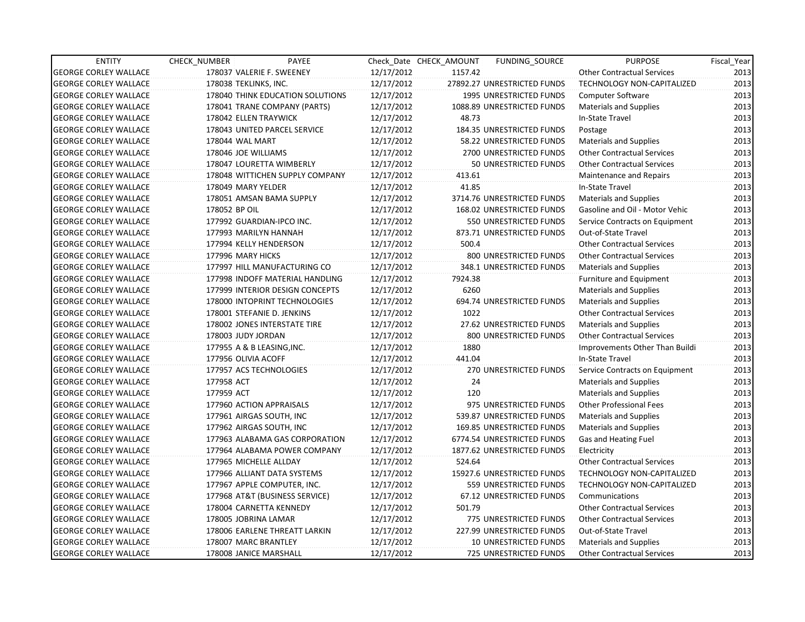| <b>ENTITY</b>                | CHECK NUMBER          | PAYEE                            |            | Check Date CHECK AMOUNT | <b>FUNDING SOURCE</b>          | <b>PURPOSE</b>                    | Fiscal_Year |
|------------------------------|-----------------------|----------------------------------|------------|-------------------------|--------------------------------|-----------------------------------|-------------|
| <b>GEORGE CORLEY WALLACE</b> |                       | 178037 VALERIE F. SWEENEY        | 12/17/2012 | 1157.42                 |                                | <b>Other Contractual Services</b> | 2013        |
| <b>GEORGE CORLEY WALLACE</b> | 178038 TEKLINKS, INC. |                                  | 12/17/2012 |                         | 27892.27 UNRESTRICTED FUNDS    | TECHNOLOGY NON-CAPITALIZED        | 2013        |
| <b>GEORGE CORLEY WALLACE</b> |                       | 178040 THINK EDUCATION SOLUTIONS | 12/17/2012 |                         | <b>1995 UNRESTRICTED FUNDS</b> | Computer Software                 | 2013        |
| <b>GEORGE CORLEY WALLACE</b> |                       | 178041 TRANE COMPANY (PARTS)     | 12/17/2012 |                         | 1088.89 UNRESTRICTED FUNDS     | Materials and Supplies            | 2013        |
| <b>GEORGE CORLEY WALLACE</b> |                       | 178042 ELLEN TRAYWICK            | 12/17/2012 | 48.73                   |                                | In-State Travel                   | 2013        |
| <b>GEORGE CORLEY WALLACE</b> |                       | 178043 UNITED PARCEL SERVICE     | 12/17/2012 |                         | 184.35 UNRESTRICTED FUNDS      | Postage                           | 2013        |
| <b>GEORGE CORLEY WALLACE</b> | 178044 WAL MART       |                                  | 12/17/2012 |                         | 58.22 UNRESTRICTED FUNDS       | Materials and Supplies            | 2013        |
| <b>GEORGE CORLEY WALLACE</b> | 178046 JOE WILLIAMS   |                                  | 12/17/2012 |                         | 2700 UNRESTRICTED FUNDS        | <b>Other Contractual Services</b> | 2013        |
| <b>GEORGE CORLEY WALLACE</b> |                       | 178047 LOURETTA WIMBERLY         | 12/17/2012 |                         | 50 UNRESTRICTED FUNDS          | <b>Other Contractual Services</b> | 2013        |
| <b>GEORGE CORLEY WALLACE</b> |                       | 178048 WITTICHEN SUPPLY COMPANY  | 12/17/2012 | 413.61                  |                                | Maintenance and Repairs           | 2013        |
| <b>GEORGE CORLEY WALLACE</b> | 178049 MARY YELDER    |                                  | 12/17/2012 | 41.85                   |                                | In-State Travel                   | 2013        |
| <b>GEORGE CORLEY WALLACE</b> |                       | 178051 AMSAN BAMA SUPPLY         | 12/17/2012 |                         | 3714.76 UNRESTRICTED FUNDS     | Materials and Supplies            | 2013        |
| <b>GEORGE CORLEY WALLACE</b> | 178052 BP OIL         |                                  | 12/17/2012 |                         | 168.02 UNRESTRICTED FUNDS      | Gasoline and Oil - Motor Vehic    | 2013        |
| <b>GEORGE CORLEY WALLACE</b> |                       | 177992 GUARDIAN-IPCO INC.        | 12/17/2012 |                         | <b>550 UNRESTRICTED FUNDS</b>  | Service Contracts on Equipment    | 2013        |
| <b>GEORGE CORLEY WALLACE</b> |                       | 177993 MARILYN HANNAH            | 12/17/2012 |                         | 873.71 UNRESTRICTED FUNDS      | Out-of-State Travel               | 2013        |
| <b>GEORGE CORLEY WALLACE</b> |                       | 177994 KELLY HENDERSON           | 12/17/2012 | 500.4                   |                                | <b>Other Contractual Services</b> | 2013        |
| <b>GEORGE CORLEY WALLACE</b> | 177996 MARY HICKS     |                                  | 12/17/2012 |                         | 800 UNRESTRICTED FUNDS         | <b>Other Contractual Services</b> | 2013        |
| <b>GEORGE CORLEY WALLACE</b> |                       | 177997 HILL MANUFACTURING CO     | 12/17/2012 |                         | 348.1 UNRESTRICTED FUNDS       | <b>Materials and Supplies</b>     | 2013        |
| <b>GEORGE CORLEY WALLACE</b> |                       | 177998 INDOFF MATERIAL HANDLING  | 12/17/2012 | 7924.38                 |                                | <b>Furniture and Equipment</b>    | 2013        |
| <b>GEORGE CORLEY WALLACE</b> |                       | 177999 INTERIOR DESIGN CONCEPTS  | 12/17/2012 | 6260                    |                                | <b>Materials and Supplies</b>     | 2013        |
| <b>GEORGE CORLEY WALLACE</b> |                       | 178000 INTOPRINT TECHNOLOGIES    | 12/17/2012 |                         | 694.74 UNRESTRICTED FUNDS      | <b>Materials and Supplies</b>     | 2013        |
| <b>GEORGE CORLEY WALLACE</b> |                       | 178001 STEFANIE D. JENKINS       | 12/17/2012 | 1022                    |                                | <b>Other Contractual Services</b> | 2013        |
| <b>GEORGE CORLEY WALLACE</b> |                       | 178002 JONES INTERSTATE TIRE     | 12/17/2012 |                         | 27.62 UNRESTRICTED FUNDS       | <b>Materials and Supplies</b>     | 2013        |
| <b>GEORGE CORLEY WALLACE</b> | 178003 JUDY JORDAN    |                                  | 12/17/2012 |                         | 800 UNRESTRICTED FUNDS         | <b>Other Contractual Services</b> | 2013        |
| <b>GEORGE CORLEY WALLACE</b> |                       | 177955 A & B LEASING, INC.       | 12/17/2012 | 1880                    |                                | Improvements Other Than Buildi    | 2013        |
| <b>GEORGE CORLEY WALLACE</b> | 177956 OLIVIA ACOFF   |                                  | 12/17/2012 | 441.04                  |                                | In-State Travel                   | 2013        |
| <b>GEORGE CORLEY WALLACE</b> |                       | 177957 ACS TECHNOLOGIES          | 12/17/2012 |                         | 270 UNRESTRICTED FUNDS         | Service Contracts on Equipment    | 2013        |
| <b>GEORGE CORLEY WALLACE</b> | 177958 ACT            |                                  | 12/17/2012 | 24                      |                                | <b>Materials and Supplies</b>     | 2013        |
| <b>GEORGE CORLEY WALLACE</b> | 177959 ACT            |                                  | 12/17/2012 | 120                     |                                | <b>Materials and Supplies</b>     | 2013        |
| <b>GEORGE CORLEY WALLACE</b> |                       | 177960 ACTION APPRAISALS         | 12/17/2012 |                         | 975 UNRESTRICTED FUNDS         | <b>Other Professional Fees</b>    | 2013        |
| <b>GEORGE CORLEY WALLACE</b> |                       | 177961 AIRGAS SOUTH, INC         | 12/17/2012 |                         | 539.87 UNRESTRICTED FUNDS      | <b>Materials and Supplies</b>     | 2013        |
| <b>GEORGE CORLEY WALLACE</b> |                       | 177962 AIRGAS SOUTH, INC         | 12/17/2012 |                         | 169.85 UNRESTRICTED FUNDS      | <b>Materials and Supplies</b>     | 2013        |
| <b>GEORGE CORLEY WALLACE</b> |                       | 177963 ALABAMA GAS CORPORATION   | 12/17/2012 |                         | 6774.54 UNRESTRICTED FUNDS     | Gas and Heating Fuel              | 2013        |
| <b>GEORGE CORLEY WALLACE</b> |                       | 177964 ALABAMA POWER COMPANY     | 12/17/2012 |                         | 1877.62 UNRESTRICTED FUNDS     | Electricity                       | 2013        |
| <b>GEORGE CORLEY WALLACE</b> |                       | 177965 MICHELLE ALLDAY           | 12/17/2012 | 524.64                  |                                | <b>Other Contractual Services</b> | 2013        |
| <b>GEORGE CORLEY WALLACE</b> |                       | 177966 ALLIANT DATA SYSTEMS      | 12/17/2012 |                         | 15927.6 UNRESTRICTED FUNDS     | <b>TECHNOLOGY NON-CAPITALIZED</b> | 2013        |
| <b>GEORGE CORLEY WALLACE</b> |                       | 177967 APPLE COMPUTER, INC.      | 12/17/2012 |                         | 559 UNRESTRICTED FUNDS         | TECHNOLOGY NON-CAPITALIZED        | 2013        |
| <b>GEORGE CORLEY WALLACE</b> |                       | 177968 AT&T (BUSINESS SERVICE)   | 12/17/2012 |                         | 67.12 UNRESTRICTED FUNDS       | Communications                    | 2013        |
| <b>GEORGE CORLEY WALLACE</b> |                       | 178004 CARNETTA KENNEDY          | 12/17/2012 | 501.79                  |                                | <b>Other Contractual Services</b> | 2013        |
| <b>GEORGE CORLEY WALLACE</b> | 178005 JOBRINA LAMAR  |                                  | 12/17/2012 |                         | 775 UNRESTRICTED FUNDS         | <b>Other Contractual Services</b> | 2013        |
| <b>GEORGE CORLEY WALLACE</b> |                       | 178006 EARLENE THREATT LARKIN    | 12/17/2012 |                         | 227.99 UNRESTRICTED FUNDS      | Out-of-State Travel               | 2013        |
| <b>GEORGE CORLEY WALLACE</b> | 178007 MARC BRANTLEY  |                                  | 12/17/2012 |                         | 10 UNRESTRICTED FUNDS          | <b>Materials and Supplies</b>     | 2013        |
| <b>GEORGE CORLEY WALLACE</b> |                       | 178008 JANICE MARSHALL           | 12/17/2012 |                         | <b>725 UNRESTRICTED FUNDS</b>  | Other Contractual Services        | 2013        |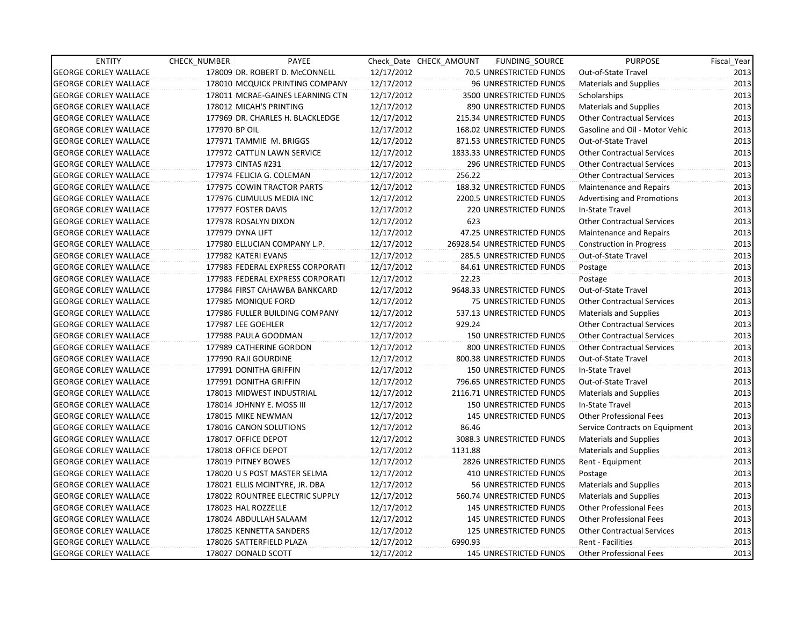| <b>ENTITY</b>                | <b>CHECK NUMBER</b>    | PAYEE                            |            | Check Date CHECK AMOUNT | FUNDING_SOURCE                | <b>PURPOSE</b>                    | Fiscal_Year |
|------------------------------|------------------------|----------------------------------|------------|-------------------------|-------------------------------|-----------------------------------|-------------|
| <b>GEORGE CORLEY WALLACE</b> |                        | 178009 DR. ROBERT D. McCONNELL   | 12/17/2012 |                         | 70.5 UNRESTRICTED FUNDS       | Out-of-State Travel               | 2013        |
| <b>GEORGE CORLEY WALLACE</b> |                        | 178010 MCQUICK PRINTING COMPANY  | 12/17/2012 |                         | 96 UNRESTRICTED FUNDS         | <b>Materials and Supplies</b>     | 2013        |
| <b>GEORGE CORLEY WALLACE</b> |                        | 178011 MCRAE-GAINES LEARNING CTN | 12/17/2012 |                         | 3500 UNRESTRICTED FUNDS       | Scholarships                      | 2013        |
| <b>GEORGE CORLEY WALLACE</b> |                        | 178012 MICAH'S PRINTING          | 12/17/2012 |                         | 890 UNRESTRICTED FUNDS        | <b>Materials and Supplies</b>     | 2013        |
| <b>GEORGE CORLEY WALLACE</b> |                        | 177969 DR. CHARLES H. BLACKLEDGE | 12/17/2012 |                         | 215.34 UNRESTRICTED FUNDS     | <b>Other Contractual Services</b> | 2013        |
| <b>GEORGE CORLEY WALLACE</b> | 177970 BP OIL          |                                  | 12/17/2012 |                         | 168.02 UNRESTRICTED FUNDS     | Gasoline and Oil - Motor Vehic    | 2013        |
| <b>GEORGE CORLEY WALLACE</b> |                        | 177971 TAMMIE M. BRIGGS          | 12/17/2012 |                         | 871.53 UNRESTRICTED FUNDS     | Out-of-State Travel               | 2013        |
| <b>GEORGE CORLEY WALLACE</b> |                        | 177972 CATTLIN LAWN SERVICE      | 12/17/2012 |                         | 1833.33 UNRESTRICTED FUNDS    | <b>Other Contractual Services</b> | 2013        |
| <b>GEORGE CORLEY WALLACE</b> | 177973 CINTAS #231     |                                  | 12/17/2012 |                         | 296 UNRESTRICTED FUNDS        | <b>Other Contractual Services</b> | 2013        |
| <b>GEORGE CORLEY WALLACE</b> |                        | 177974 FELICIA G. COLEMAN        | 12/17/2012 | 256.22                  |                               | <b>Other Contractual Services</b> | 2013        |
| <b>GEORGE CORLEY WALLACE</b> |                        | 177975 COWIN TRACTOR PARTS       | 12/17/2012 |                         | 188.32 UNRESTRICTED FUNDS     | Maintenance and Repairs           | 2013        |
| <b>GEORGE CORLEY WALLACE</b> |                        | 177976 CUMULUS MEDIA INC         | 12/17/2012 |                         | 2200.5 UNRESTRICTED FUNDS     | <b>Advertising and Promotions</b> | 2013        |
| <b>GEORGE CORLEY WALLACE</b> | 177977 FOSTER DAVIS    |                                  | 12/17/2012 |                         | 220 UNRESTRICTED FUNDS        | In-State Travel                   | 2013        |
| <b>GEORGE CORLEY WALLACE</b> | 177978 ROSALYN DIXON   |                                  | 12/17/2012 | 623                     |                               | <b>Other Contractual Services</b> | 2013        |
| <b>GEORGE CORLEY WALLACE</b> | 177979 DYNA LIFT       |                                  | 12/17/2012 |                         | 47.25 UNRESTRICTED FUNDS      | Maintenance and Repairs           | 2013        |
| <b>GEORGE CORLEY WALLACE</b> |                        | 177980 ELLUCIAN COMPANY L.P.     | 12/17/2012 |                         | 26928.54 UNRESTRICTED FUNDS   | Construction in Progress          | 2013        |
| <b>GEORGE CORLEY WALLACE</b> | 177982 KATERI EVANS    |                                  | 12/17/2012 |                         | 285.5 UNRESTRICTED FUNDS      | Out-of-State Travel               | 2013        |
| <b>GEORGE CORLEY WALLACE</b> |                        | 177983 FEDERAL EXPRESS CORPORATI | 12/17/2012 |                         | 84.61 UNRESTRICTED FUNDS      | Postage                           | 2013        |
| <b>GEORGE CORLEY WALLACE</b> |                        | 177983 FEDERAL EXPRESS CORPORATI | 12/17/2012 | 22.23                   |                               | Postage                           | 2013        |
| <b>GEORGE CORLEY WALLACE</b> |                        | 177984 FIRST CAHAWBA BANKCARD    | 12/17/2012 |                         | 9648.33 UNRESTRICTED FUNDS    | Out-of-State Travel               | 2013        |
| <b>GEORGE CORLEY WALLACE</b> | 177985 MONIQUE FORD    |                                  | 12/17/2012 |                         | 75 UNRESTRICTED FUNDS         | <b>Other Contractual Services</b> | 2013        |
| <b>GEORGE CORLEY WALLACE</b> |                        | 177986 FULLER BUILDING COMPANY   | 12/17/2012 |                         | 537.13 UNRESTRICTED FUNDS     | <b>Materials and Supplies</b>     | 2013        |
| <b>GEORGE CORLEY WALLACE</b> | 177987 LEE GOEHLER     |                                  | 12/17/2012 | 929.24                  |                               | <b>Other Contractual Services</b> | 2013        |
| <b>GEORGE CORLEY WALLACE</b> |                        | 177988 PAULA GOODMAN             | 12/17/2012 |                         | 150 UNRESTRICTED FUNDS        | <b>Other Contractual Services</b> | 2013        |
| <b>GEORGE CORLEY WALLACE</b> |                        | 177989 CATHERINE GORDON          | 12/17/2012 |                         | 800 UNRESTRICTED FUNDS        | <b>Other Contractual Services</b> | 2013        |
| <b>GEORGE CORLEY WALLACE</b> | 177990 RAJI GOURDINE   |                                  | 12/17/2012 |                         | 800.38 UNRESTRICTED FUNDS     | Out-of-State Travel               | 2013        |
| <b>GEORGE CORLEY WALLACE</b> | 177991 DONITHA GRIFFIN |                                  | 12/17/2012 |                         | 150 UNRESTRICTED FUNDS        | In-State Travel                   | 2013        |
| <b>GEORGE CORLEY WALLACE</b> | 177991 DONITHA GRIFFIN |                                  | 12/17/2012 |                         | 796.65 UNRESTRICTED FUNDS     | Out-of-State Travel               | 2013        |
| <b>GEORGE CORLEY WALLACE</b> |                        | 178013 MIDWEST INDUSTRIAL        | 12/17/2012 |                         | 2116.71 UNRESTRICTED FUNDS    | <b>Materials and Supplies</b>     | 2013        |
| <b>GEORGE CORLEY WALLACE</b> |                        | 178014 JOHNNY E. MOSS III        | 12/17/2012 |                         | <b>150 UNRESTRICTED FUNDS</b> | In-State Travel                   | 2013        |
| <b>GEORGE CORLEY WALLACE</b> | 178015 MIKE NEWMAN     |                                  | 12/17/2012 |                         | <b>145 UNRESTRICTED FUNDS</b> | <b>Other Professional Fees</b>    | 2013        |
| <b>GEORGE CORLEY WALLACE</b> |                        | 178016 CANON SOLUTIONS           | 12/17/2012 | 86.46                   |                               | Service Contracts on Equipment    | 2013        |
| <b>GEORGE CORLEY WALLACE</b> | 178017 OFFICE DEPOT    |                                  | 12/17/2012 |                         | 3088.3 UNRESTRICTED FUNDS     | <b>Materials and Supplies</b>     | 2013        |
| <b>GEORGE CORLEY WALLACE</b> | 178018 OFFICE DEPOT    |                                  | 12/17/2012 | 1131.88                 |                               | <b>Materials and Supplies</b>     | 2013        |
| <b>GEORGE CORLEY WALLACE</b> | 178019 PITNEY BOWES    |                                  | 12/17/2012 |                         | 2826 UNRESTRICTED FUNDS       | Rent - Equipment                  | 2013        |
| <b>GEORGE CORLEY WALLACE</b> |                        | 178020 U S POST MASTER SELMA     | 12/17/2012 |                         | <b>410 UNRESTRICTED FUNDS</b> | Postage                           | 2013        |
| <b>GEORGE CORLEY WALLACE</b> |                        | 178021 ELLIS MCINTYRE, JR. DBA   | 12/17/2012 |                         | 56 UNRESTRICTED FUNDS         | <b>Materials and Supplies</b>     | 2013        |
| <b>GEORGE CORLEY WALLACE</b> |                        | 178022 ROUNTREE ELECTRIC SUPPLY  | 12/17/2012 |                         | 560.74 UNRESTRICTED FUNDS     | <b>Materials and Supplies</b>     | 2013        |
| <b>GEORGE CORLEY WALLACE</b> | 178023 HAL ROZZELLE    |                                  | 12/17/2012 |                         | <b>145 UNRESTRICTED FUNDS</b> | <b>Other Professional Fees</b>    | 2013        |
| <b>GEORGE CORLEY WALLACE</b> |                        | 178024 ABDULLAH SALAAM           | 12/17/2012 |                         | 145 UNRESTRICTED FUNDS        | <b>Other Professional Fees</b>    | 2013        |
| <b>GEORGE CORLEY WALLACE</b> |                        | 178025 KENNETTA SANDERS          | 12/17/2012 |                         | 125 UNRESTRICTED FUNDS        | <b>Other Contractual Services</b> | 2013        |
| <b>GEORGE CORLEY WALLACE</b> |                        | 178026 SATTERFIELD PLAZA         | 12/17/2012 | 6990.93                 |                               | Rent - Facilities                 | 2013        |
| <b>GEORGE CORLEY WALLACE</b> | 178027 DONALD SCOTT    |                                  | 12/17/2012 |                         | 145 UNRESTRICTED FUNDS        | Other Professional Fees           | 2013        |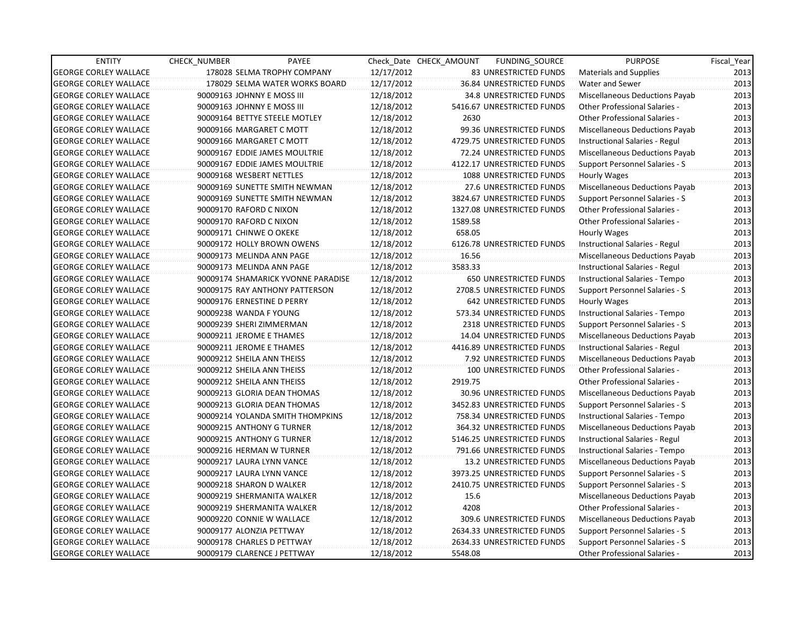| <b>ENTITY</b>                | CHECK_NUMBER               | PAYEE                              |            | Check Date CHECK AMOUNT | FUNDING_SOURCE                 | <b>PURPOSE</b>                       | Fiscal_Year |
|------------------------------|----------------------------|------------------------------------|------------|-------------------------|--------------------------------|--------------------------------------|-------------|
| <b>GEORGE CORLEY WALLACE</b> |                            | 178028 SELMA TROPHY COMPANY        | 12/17/2012 |                         | 83 UNRESTRICTED FUNDS          | Materials and Supplies               | 2013        |
| <b>GEORGE CORLEY WALLACE</b> |                            | 178029 SELMA WATER WORKS BOARD     | 12/17/2012 |                         | 36.84 UNRESTRICTED FUNDS       | Water and Sewer                      | 2013        |
| <b>GEORGE CORLEY WALLACE</b> | 90009163 JOHNNY E MOSS III |                                    | 12/18/2012 |                         | <b>34.8 UNRESTRICTED FUNDS</b> | Miscellaneous Deductions Payab       | 2013        |
| <b>GEORGE CORLEY WALLACE</b> | 90009163 JOHNNY E MOSS III |                                    | 12/18/2012 |                         | 5416.67 UNRESTRICTED FUNDS     | <b>Other Professional Salaries -</b> | 2013        |
| <b>GEORGE CORLEY WALLACE</b> |                            | 90009164 BETTYE STEELE MOTLEY      | 12/18/2012 | 2630                    |                                | <b>Other Professional Salaries -</b> | 2013        |
| <b>GEORGE CORLEY WALLACE</b> |                            | 90009166 MARGARET C MOTT           | 12/18/2012 |                         | 99.36 UNRESTRICTED FUNDS       | Miscellaneous Deductions Payab       | 2013        |
| <b>GEORGE CORLEY WALLACE</b> |                            | 90009166 MARGARET C MOTT           | 12/18/2012 |                         | 4729.75 UNRESTRICTED FUNDS     | Instructional Salaries - Regul       | 2013        |
| <b>GEORGE CORLEY WALLACE</b> |                            | 90009167 EDDIE JAMES MOULTRIE      | 12/18/2012 |                         | 72.24 UNRESTRICTED FUNDS       | Miscellaneous Deductions Payab       | 2013        |
| <b>GEORGE CORLEY WALLACE</b> |                            | 90009167 EDDIE JAMES MOULTRIE      | 12/18/2012 |                         | 4122.17 UNRESTRICTED FUNDS     | Support Personnel Salaries - S       | 2013        |
| <b>GEORGE CORLEY WALLACE</b> | 90009168 WESBERT NETTLES   |                                    | 12/18/2012 |                         | 1088 UNRESTRICTED FUNDS        | <b>Hourly Wages</b>                  | 2013        |
| <b>GEORGE CORLEY WALLACE</b> |                            | 90009169 SUNETTE SMITH NEWMAN      | 12/18/2012 |                         | 27.6 UNRESTRICTED FUNDS        | Miscellaneous Deductions Payab       | 2013        |
| <b>GEORGE CORLEY WALLACE</b> |                            | 90009169 SUNETTE SMITH NEWMAN      | 12/18/2012 |                         | 3824.67 UNRESTRICTED FUNDS     | Support Personnel Salaries - S       | 2013        |
| <b>GEORGE CORLEY WALLACE</b> | 90009170 RAFORD C NIXON    |                                    | 12/18/2012 |                         | 1327.08 UNRESTRICTED FUNDS     | <b>Other Professional Salaries -</b> | 2013        |
| <b>GEORGE CORLEY WALLACE</b> | 90009170 RAFORD C NIXON    |                                    | 12/18/2012 | 1589.58                 |                                | <b>Other Professional Salaries -</b> | 2013        |
| <b>GEORGE CORLEY WALLACE</b> | 90009171 CHINWE O OKEKE    |                                    | 12/18/2012 | 658.05                  |                                | Hourly Wages                         | 2013        |
| <b>GEORGE CORLEY WALLACE</b> |                            | 90009172 HOLLY BROWN OWENS         | 12/18/2012 |                         | 6126.78 UNRESTRICTED FUNDS     | Instructional Salaries - Regul       | 2013        |
| <b>GEORGE CORLEY WALLACE</b> |                            | 90009173 MELINDA ANN PAGE          | 12/18/2012 | 16.56                   |                                | Miscellaneous Deductions Payab       | 2013        |
| <b>GEORGE CORLEY WALLACE</b> |                            | 90009173 MELINDA ANN PAGE          | 12/18/2012 | 3583.33                 |                                | Instructional Salaries - Regul       | 2013        |
| <b>GEORGE CORLEY WALLACE</b> |                            | 90009174 SHAMARICK YVONNE PARADISE | 12/18/2012 |                         | 650 UNRESTRICTED FUNDS         | Instructional Salaries - Tempo       | 2013        |
| <b>GEORGE CORLEY WALLACE</b> |                            | 90009175 RAY ANTHONY PATTERSON     | 12/18/2012 |                         | 2708.5 UNRESTRICTED FUNDS      | Support Personnel Salaries - S       | 2013        |
| <b>GEORGE CORLEY WALLACE</b> |                            | 90009176 ERNESTINE D PERRY         | 12/18/2012 |                         | 642 UNRESTRICTED FUNDS         | Hourly Wages                         | 2013        |
| <b>GEORGE CORLEY WALLACE</b> | 90009238 WANDA F YOUNG     |                                    | 12/18/2012 |                         | 573.34 UNRESTRICTED FUNDS      | Instructional Salaries - Tempo       | 2013        |
| <b>GEORGE CORLEY WALLACE</b> | 90009239 SHERI ZIMMERMAN   |                                    | 12/18/2012 |                         | 2318 UNRESTRICTED FUNDS        | Support Personnel Salaries - S       | 2013        |
| <b>GEORGE CORLEY WALLACE</b> | 90009211 JEROME E THAMES   |                                    | 12/18/2012 |                         | 14.04 UNRESTRICTED FUNDS       | Miscellaneous Deductions Payab       | 2013        |
| <b>GEORGE CORLEY WALLACE</b> | 90009211 JEROME E THAMES   |                                    | 12/18/2012 |                         | 4416.89 UNRESTRICTED FUNDS     | Instructional Salaries - Regul       | 2013        |
| <b>GEORGE CORLEY WALLACE</b> | 90009212 SHEILA ANN THEISS |                                    | 12/18/2012 |                         | 7.92 UNRESTRICTED FUNDS        | Miscellaneous Deductions Payab       | 2013        |
| <b>GEORGE CORLEY WALLACE</b> | 90009212 SHEILA ANN THEISS |                                    | 12/18/2012 |                         | <b>100 UNRESTRICTED FUNDS</b>  | Other Professional Salaries -        | 2013        |
| <b>GEORGE CORLEY WALLACE</b> | 90009212 SHEILA ANN THEISS |                                    | 12/18/2012 | 2919.75                 |                                | Other Professional Salaries -        | 2013        |
| <b>GEORGE CORLEY WALLACE</b> |                            | 90009213 GLORIA DEAN THOMAS        | 12/18/2012 |                         | 30.96 UNRESTRICTED FUNDS       | Miscellaneous Deductions Payab       | 2013        |
| <b>GEORGE CORLEY WALLACE</b> |                            | 90009213 GLORIA DEAN THOMAS        | 12/18/2012 |                         | 3452.83 UNRESTRICTED FUNDS     | Support Personnel Salaries - S       | 2013        |
| <b>GEORGE CORLEY WALLACE</b> |                            | 90009214 YOLANDA SMITH THOMPKINS   | 12/18/2012 |                         | 758.34 UNRESTRICTED FUNDS      | Instructional Salaries - Tempo       | 2013        |
| <b>GEORGE CORLEY WALLACE</b> |                            | 90009215 ANTHONY G TURNER          | 12/18/2012 |                         | 364.32 UNRESTRICTED FUNDS      | Miscellaneous Deductions Payab       | 2013        |
| <b>GEORGE CORLEY WALLACE</b> |                            | 90009215 ANTHONY G TURNER          | 12/18/2012 |                         | 5146.25 UNRESTRICTED FUNDS     | Instructional Salaries - Regul       | 2013        |
| <b>GEORGE CORLEY WALLACE</b> |                            | 90009216 HERMAN W TURNER           | 12/18/2012 |                         | 791.66 UNRESTRICTED FUNDS      | Instructional Salaries - Tempo       | 2013        |
| <b>GEORGE CORLEY WALLACE</b> |                            | 90009217 LAURA LYNN VANCE          | 12/18/2012 |                         | 13.2 UNRESTRICTED FUNDS        | Miscellaneous Deductions Payab       | 2013        |
| <b>GEORGE CORLEY WALLACE</b> |                            | 90009217 LAURA LYNN VANCE          | 12/18/2012 |                         | 3973.25 UNRESTRICTED FUNDS     | Support Personnel Salaries - S       | 2013        |
| <b>GEORGE CORLEY WALLACE</b> | 90009218 SHARON D WALKER   |                                    | 12/18/2012 |                         | 2410.75 UNRESTRICTED FUNDS     | Support Personnel Salaries - S       | 2013        |
| <b>GEORGE CORLEY WALLACE</b> |                            | 90009219 SHERMANITA WALKER         | 12/18/2012 | 15.6                    |                                | Miscellaneous Deductions Payab       | 2013        |
| <b>GEORGE CORLEY WALLACE</b> |                            | 90009219 SHERMANITA WALKER         | 12/18/2012 | 4208                    |                                | Other Professional Salaries -        | 2013        |
| <b>GEORGE CORLEY WALLACE</b> |                            | 90009220 CONNIE W WALLACE          | 12/18/2012 |                         | 309.6 UNRESTRICTED FUNDS       | Miscellaneous Deductions Payab       | 2013        |
| <b>GEORGE CORLEY WALLACE</b> | 90009177 ALONZIA PETTWAY   |                                    | 12/18/2012 |                         | 2634.33 UNRESTRICTED FUNDS     | Support Personnel Salaries - S       | 2013        |
| <b>GEORGE CORLEY WALLACE</b> |                            | 90009178 CHARLES D PETTWAY         | 12/18/2012 |                         | 2634.33 UNRESTRICTED FUNDS     | Support Personnel Salaries - S       | 2013        |
| <b>GEORGE CORLEY WALLACE</b> |                            | 90009179 CLARENCE J PETTWAY        | 12/18/2012 | 5548.08                 |                                | <b>Other Professional Salaries -</b> | 2013        |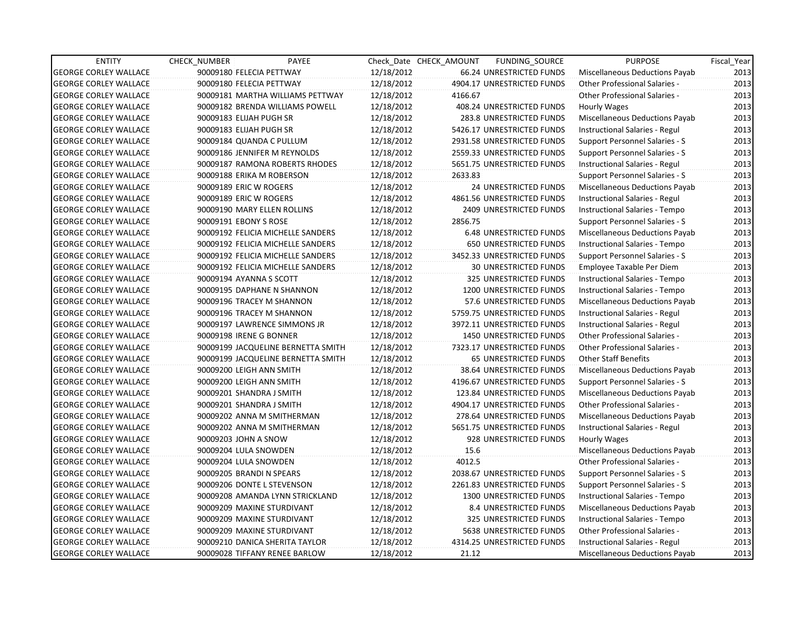| <b>ENTITY</b>                | CHECK_NUMBER              | PAYEE                              |            | Check Date CHECK AMOUNT | FUNDING_SOURCE                 | <b>PURPOSE</b>                        | Fiscal_Year |
|------------------------------|---------------------------|------------------------------------|------------|-------------------------|--------------------------------|---------------------------------------|-------------|
| <b>GEORGE CORLEY WALLACE</b> | 90009180 FELECIA PETTWAY  |                                    | 12/18/2012 |                         | 66.24 UNRESTRICTED FUNDS       | Miscellaneous Deductions Payab        | 2013        |
| <b>GEORGE CORLEY WALLACE</b> | 90009180 FELECIA PETTWAY  |                                    | 12/18/2012 |                         | 4904.17 UNRESTRICTED FUNDS     | <b>Other Professional Salaries -</b>  | 2013        |
| <b>GEORGE CORLEY WALLACE</b> |                           | 90009181 MARTHA WILLIAMS PETTWAY   | 12/18/2012 | 4166.67                 |                                | <b>Other Professional Salaries -</b>  | 2013        |
| <b>GEORGE CORLEY WALLACE</b> |                           | 90009182 BRENDA WILLIAMS POWELL    | 12/18/2012 |                         | 408.24 UNRESTRICTED FUNDS      | Hourly Wages                          | 2013        |
| <b>GEORGE CORLEY WALLACE</b> | 90009183 ELIJAH PUGH SR   |                                    | 12/18/2012 |                         | 283.8 UNRESTRICTED FUNDS       | Miscellaneous Deductions Payab        | 2013        |
| <b>GEORGE CORLEY WALLACE</b> | 90009183 ELIJAH PUGH SR   |                                    | 12/18/2012 |                         | 5426.17 UNRESTRICTED FUNDS     | Instructional Salaries - Regul        | 2013        |
| <b>GEORGE CORLEY WALLACE</b> | 90009184 QUANDA C PULLUM  |                                    | 12/18/2012 |                         | 2931.58 UNRESTRICTED FUNDS     | Support Personnel Salaries - S        | 2013        |
| <b>GEORGE CORLEY WALLACE</b> |                           | 90009186 JENNIFER M REYNOLDS       | 12/18/2012 |                         | 2559.33 UNRESTRICTED FUNDS     | Support Personnel Salaries - S        | 2013        |
| <b>GEORGE CORLEY WALLACE</b> |                           | 90009187 RAMONA ROBERTS RHODES     | 12/18/2012 |                         | 5651.75 UNRESTRICTED FUNDS     | Instructional Salaries - Regul        | 2013        |
| <b>GEORGE CORLEY WALLACE</b> | 90009188 ERIKA M ROBERSON |                                    | 12/18/2012 | 2633.83                 |                                | Support Personnel Salaries - S        | 2013        |
| <b>GEORGE CORLEY WALLACE</b> | 90009189 ERIC W ROGERS    |                                    | 12/18/2012 |                         | 24 UNRESTRICTED FUNDS          | Miscellaneous Deductions Payab        | 2013        |
| <b>GEORGE CORLEY WALLACE</b> | 90009189 ERIC W ROGERS    |                                    | 12/18/2012 |                         | 4861.56 UNRESTRICTED FUNDS     | Instructional Salaries - Regul        | 2013        |
| <b>GEORGE CORLEY WALLACE</b> |                           | 90009190 MARY ELLEN ROLLINS        | 12/18/2012 |                         | <b>2409 UNRESTRICTED FUNDS</b> | Instructional Salaries - Tempo        | 2013        |
| <b>GEORGE CORLEY WALLACE</b> | 90009191 EBONY S ROSE     |                                    | 12/18/2012 | 2856.75                 |                                | Support Personnel Salaries - S        | 2013        |
| <b>GEORGE CORLEY WALLACE</b> |                           | 90009192 FELICIA MICHELLE SANDERS  | 12/18/2012 |                         | <b>6.48 UNRESTRICTED FUNDS</b> | Miscellaneous Deductions Payab        | 2013        |
| <b>GEORGE CORLEY WALLACE</b> |                           | 90009192 FELICIA MICHELLE SANDERS  | 12/18/2012 |                         | <b>650 UNRESTRICTED FUNDS</b>  | Instructional Salaries - Tempo        | 2013        |
| <b>GEORGE CORLEY WALLACE</b> |                           | 90009192 FELICIA MICHELLE SANDERS  | 12/18/2012 |                         | 3452.33 UNRESTRICTED FUNDS     | Support Personnel Salaries - S        | 2013        |
| <b>GEORGE CORLEY WALLACE</b> |                           | 90009192 FELICIA MICHELLE SANDERS  | 12/18/2012 |                         | <b>30 UNRESTRICTED FUNDS</b>   | Employee Taxable Per Diem             | 2013        |
| <b>GEORGE CORLEY WALLACE</b> | 90009194 AYANNA S SCOTT   |                                    | 12/18/2012 |                         | 325 UNRESTRICTED FUNDS         | Instructional Salaries - Tempo        | 2013        |
| <b>GEORGE CORLEY WALLACE</b> |                           | 90009195 DAPHANE N SHANNON         | 12/18/2012 |                         | 1200 UNRESTRICTED FUNDS        | Instructional Salaries - Tempo        | 2013        |
| <b>GEORGE CORLEY WALLACE</b> |                           | 90009196 TRACEY M SHANNON          | 12/18/2012 |                         | 57.6 UNRESTRICTED FUNDS        | Miscellaneous Deductions Payab        | 2013        |
| <b>GEORGE CORLEY WALLACE</b> |                           | 90009196 TRACEY M SHANNON          | 12/18/2012 |                         | 5759.75 UNRESTRICTED FUNDS     | Instructional Salaries - Regul        | 2013        |
| <b>GEORGE CORLEY WALLACE</b> |                           | 90009197 LAWRENCE SIMMONS JR       | 12/18/2012 |                         | 3972.11 UNRESTRICTED FUNDS     | Instructional Salaries - Regul        | 2013        |
| <b>GEORGE CORLEY WALLACE</b> | 90009198 IRENE G BONNER   |                                    | 12/18/2012 |                         | 1450 UNRESTRICTED FUNDS        | Other Professional Salaries -         | 2013        |
| <b>GEORGE CORLEY WALLACE</b> |                           | 90009199 JACQUELINE BERNETTA SMITH | 12/18/2012 |                         | 7323.17 UNRESTRICTED FUNDS     | <b>Other Professional Salaries -</b>  | 2013        |
| <b>GEORGE CORLEY WALLACE</b> |                           | 90009199 JACQUELINE BERNETTA SMITH | 12/18/2012 |                         | <b>65 UNRESTRICTED FUNDS</b>   | Other Staff Benefits                  | 2013        |
| <b>GEORGE CORLEY WALLACE</b> | 90009200 LEIGH ANN SMITH  |                                    | 12/18/2012 |                         | 38.64 UNRESTRICTED FUNDS       | Miscellaneous Deductions Payab        | 2013        |
| <b>GEORGE CORLEY WALLACE</b> | 90009200 LEIGH ANN SMITH  |                                    | 12/18/2012 |                         | 4196.67 UNRESTRICTED FUNDS     | <b>Support Personnel Salaries - S</b> | 2013        |
| <b>GEORGE CORLEY WALLACE</b> | 90009201 SHANDRA J SMITH  |                                    | 12/18/2012 |                         | 123.84 UNRESTRICTED FUNDS      | Miscellaneous Deductions Payab        | 2013        |
| <b>GEORGE CORLEY WALLACE</b> | 90009201 SHANDRA J SMITH  |                                    | 12/18/2012 |                         | 4904.17 UNRESTRICTED FUNDS     | Other Professional Salaries -         | 2013        |
| <b>GEORGE CORLEY WALLACE</b> |                           | 90009202 ANNA M SMITHERMAN         | 12/18/2012 |                         | 278.64 UNRESTRICTED FUNDS      | Miscellaneous Deductions Payab        | 2013        |
| <b>GEORGE CORLEY WALLACE</b> |                           | 90009202 ANNA M SMITHERMAN         | 12/18/2012 |                         | 5651.75 UNRESTRICTED FUNDS     | Instructional Salaries - Regul        | 2013        |
| <b>GEORGE CORLEY WALLACE</b> | 90009203 JOHN A SNOW      |                                    | 12/18/2012 |                         | 928 UNRESTRICTED FUNDS         | Hourly Wages                          | 2013        |
| <b>GEORGE CORLEY WALLACE</b> | 90009204 LULA SNOWDEN     |                                    | 12/18/2012 | 15.6                    |                                | Miscellaneous Deductions Payab        | 2013        |
| <b>GEORGE CORLEY WALLACE</b> | 90009204 LULA SNOWDEN     |                                    | 12/18/2012 | 4012.5                  |                                | Other Professional Salaries -         | 2013        |
| <b>GEORGE CORLEY WALLACE</b> | 90009205 BRANDI N SPEARS  |                                    | 12/18/2012 |                         | 2038.67 UNRESTRICTED FUNDS     | Support Personnel Salaries - S        | 2013        |
| <b>GEORGE CORLEY WALLACE</b> |                           | 90009206 DONTE L STEVENSON         | 12/18/2012 |                         | 2261.83 UNRESTRICTED FUNDS     | Support Personnel Salaries - S        | 2013        |
| <b>GEORGE CORLEY WALLACE</b> |                           | 90009208 AMANDA LYNN STRICKLAND    | 12/18/2012 |                         | 1300 UNRESTRICTED FUNDS        | Instructional Salaries - Tempo        | 2013        |
| <b>GEORGE CORLEY WALLACE</b> |                           | 90009209 MAXINE STURDIVANT         | 12/18/2012 |                         | 8.4 UNRESTRICTED FUNDS         | Miscellaneous Deductions Payab        | 2013        |
| <b>GEORGE CORLEY WALLACE</b> |                           | 90009209 MAXINE STURDIVANT         | 12/18/2012 |                         | 325 UNRESTRICTED FUNDS         | Instructional Salaries - Tempo        | 2013        |
| <b>GEORGE CORLEY WALLACE</b> |                           | 90009209 MAXINE STURDIVANT         | 12/18/2012 |                         | 5638 UNRESTRICTED FUNDS        | Other Professional Salaries -         | 2013        |
| <b>GEORGE CORLEY WALLACE</b> |                           | 90009210 DANICA SHERITA TAYLOR     | 12/18/2012 |                         | 4314.25 UNRESTRICTED FUNDS     | Instructional Salaries - Regul        | 2013        |
| <b>GEORGE CORLEY WALLACE</b> |                           | 90009028 TIFFANY RENEE BARLOW      | 12/18/2012 | 21.12                   |                                | Miscellaneous Deductions Payab        | 2013        |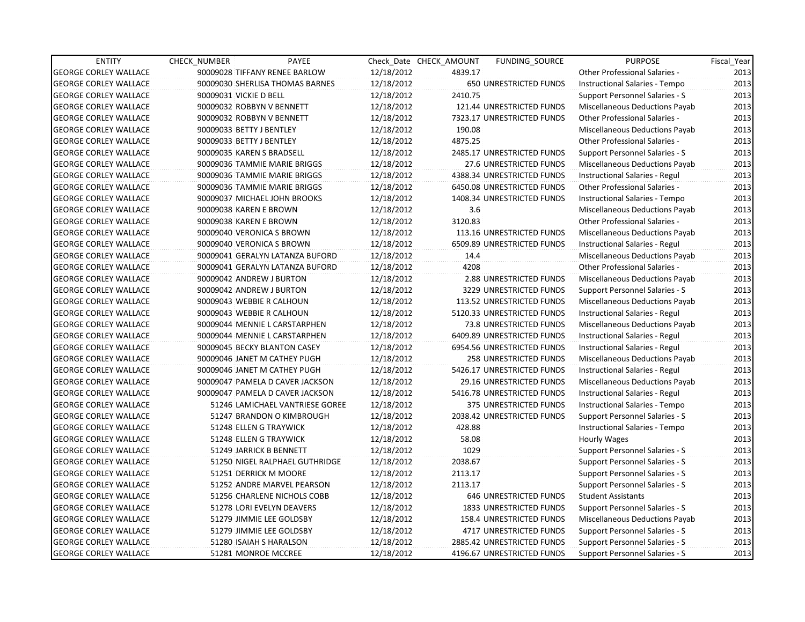| <b>ENTITY</b>                | <b>CHECK NUMBER</b> | PAYEE                           |            | Check Date CHECK AMOUNT | <b>FUNDING SOURCE</b>         | <b>PURPOSE</b>                        | Fiscal Year |
|------------------------------|---------------------|---------------------------------|------------|-------------------------|-------------------------------|---------------------------------------|-------------|
| <b>GEORGE CORLEY WALLACE</b> |                     | 90009028 TIFFANY RENEE BARLOW   | 12/18/2012 | 4839.17                 |                               | <b>Other Professional Salaries -</b>  | 2013        |
| <b>GEORGE CORLEY WALLACE</b> |                     | 90009030 SHERLISA THOMAS BARNES | 12/18/2012 |                         | <b>650 UNRESTRICTED FUNDS</b> | Instructional Salaries - Tempo        | 2013        |
| <b>GEORGE CORLEY WALLACE</b> |                     | 90009031 VICKIE D BELL          | 12/18/2012 | 2410.75                 |                               | Support Personnel Salaries - S        | 2013        |
| <b>GEORGE CORLEY WALLACE</b> |                     | 90009032 ROBBYN V BENNETT       | 12/18/2012 |                         | 121.44 UNRESTRICTED FUNDS     | <b>Miscellaneous Deductions Payab</b> | 2013        |
| GEORGE CORLEY WALLACE        |                     | 90009032 ROBBYN V BENNETT       | 12/18/2012 |                         | 7323.17 UNRESTRICTED FUNDS    | Other Professional Salaries -         | 2013        |
| <b>GEORGE CORLEY WALLACE</b> |                     | 90009033 BETTY J BENTLEY        | 12/18/2012 | 190.08                  |                               | <b>Miscellaneous Deductions Payab</b> | 2013        |
| <b>GEORGE CORLEY WALLACE</b> |                     | 90009033 BETTY J BENTLEY        | 12/18/2012 | 4875.25                 |                               | <b>Other Professional Salaries -</b>  | 2013        |
| <b>GEORGE CORLEY WALLACE</b> |                     | 90009035 KAREN S BRADSELL       | 12/18/2012 |                         | 2485.17 UNRESTRICTED FUNDS    | Support Personnel Salaries - S        | 2013        |
| <b>GEORGE CORLEY WALLACE</b> |                     | 90009036 TAMMIE MARIE BRIGGS    | 12/18/2012 |                         | 27.6 UNRESTRICTED FUNDS       | Miscellaneous Deductions Payab        | 2013        |
| <b>GEORGE CORLEY WALLACE</b> |                     | 90009036 TAMMIE MARIE BRIGGS    | 12/18/2012 |                         | 4388.34 UNRESTRICTED FUNDS    | Instructional Salaries - Regul        | 2013        |
| <b>GEORGE CORLEY WALLACE</b> |                     | 90009036 TAMMIE MARIE BRIGGS    | 12/18/2012 |                         | 6450.08 UNRESTRICTED FUNDS    | <b>Other Professional Salaries -</b>  | 2013        |
| <b>GEORGE CORLEY WALLACE</b> |                     | 90009037 MICHAEL JOHN BROOKS    | 12/18/2012 |                         | 1408.34 UNRESTRICTED FUNDS    | Instructional Salaries - Tempo        | 2013        |
| <b>GEORGE CORLEY WALLACE</b> |                     | 90009038 KAREN E BROWN          | 12/18/2012 | 3.6                     |                               | Miscellaneous Deductions Payab        | 2013        |
| <b>GEORGE CORLEY WALLACE</b> |                     | 90009038 KAREN E BROWN          | 12/18/2012 | 3120.83                 |                               | Other Professional Salaries -         | 2013        |
| <b>GEORGE CORLEY WALLACE</b> |                     | 90009040 VERONICA S BROWN       | 12/18/2012 |                         | 113.16 UNRESTRICTED FUNDS     | Miscellaneous Deductions Payab        | 2013        |
| <b>GEORGE CORLEY WALLACE</b> |                     | 90009040 VERONICA S BROWN       | 12/18/2012 |                         | 6509.89 UNRESTRICTED FUNDS    | Instructional Salaries - Regul        | 2013        |
| <b>GEORGE CORLEY WALLACE</b> |                     | 90009041 GERALYN LATANZA BUFORD | 12/18/2012 | 14.4                    |                               | Miscellaneous Deductions Payab        | 2013        |
| <b>GEORGE CORLEY WALLACE</b> |                     | 90009041 GERALYN LATANZA BUFORD | 12/18/2012 | 4208                    |                               | Other Professional Salaries -         | 2013        |
| <b>GEORGE CORLEY WALLACE</b> |                     | 90009042 ANDREW J BURTON        | 12/18/2012 |                         | 2.88 UNRESTRICTED FUNDS       | Miscellaneous Deductions Payab        | 2013        |
| <b>GEORGE CORLEY WALLACE</b> |                     | 90009042 ANDREW J BURTON        | 12/18/2012 |                         | 3229 UNRESTRICTED FUNDS       | Support Personnel Salaries - S        | 2013        |
| <b>GEORGE CORLEY WALLACE</b> |                     | 90009043 WEBBIE R CALHOUN       | 12/18/2012 |                         | 113.52 UNRESTRICTED FUNDS     | Miscellaneous Deductions Payab        | 2013        |
| <b>GEORGE CORLEY WALLACE</b> |                     | 90009043 WEBBIE R CALHOUN       | 12/18/2012 |                         | 5120.33 UNRESTRICTED FUNDS    | Instructional Salaries - Regul        | 2013        |
| <b>GEORGE CORLEY WALLACE</b> |                     | 90009044 MENNIE L CARSTARPHEN   | 12/18/2012 |                         | 73.8 UNRESTRICTED FUNDS       | <b>Miscellaneous Deductions Payab</b> | 2013        |
| <b>GEORGE CORLEY WALLACE</b> |                     | 90009044 MENNIE L CARSTARPHEN   | 12/18/2012 |                         | 6409.89 UNRESTRICTED FUNDS    | Instructional Salaries - Regul        | 2013        |
| <b>GEORGE CORLEY WALLACE</b> |                     | 90009045 BECKY BLANTON CASEY    | 12/18/2012 |                         | 6954.56 UNRESTRICTED FUNDS    | Instructional Salaries - Regul        | 2013        |
| <b>GEORGE CORLEY WALLACE</b> |                     | 90009046 JANET M CATHEY PUGH    | 12/18/2012 |                         | 258 UNRESTRICTED FUNDS        | Miscellaneous Deductions Payab        | 2013        |
| <b>GEORGE CORLEY WALLACE</b> |                     | 90009046 JANET M CATHEY PUGH    | 12/18/2012 |                         | 5426.17 UNRESTRICTED FUNDS    | Instructional Salaries - Regul        | 2013        |
| <b>GEORGE CORLEY WALLACE</b> |                     | 90009047 PAMELA D CAVER JACKSON | 12/18/2012 |                         | 29.16 UNRESTRICTED FUNDS      | Miscellaneous Deductions Payab        | 2013        |
| <b>GEORGE CORLEY WALLACE</b> |                     | 90009047 PAMELA D CAVER JACKSON | 12/18/2012 |                         | 5416.78 UNRESTRICTED FUNDS    | Instructional Salaries - Regul        | 2013        |
| <b>GEORGE CORLEY WALLACE</b> |                     | 51246 LAMICHAEL VANTRIESE GOREE | 12/18/2012 |                         | 375 UNRESTRICTED FUNDS        | Instructional Salaries - Tempo        | 2013        |
| <b>GEORGE CORLEY WALLACE</b> |                     | 51247 BRANDON O KIMBROUGH       | 12/18/2012 |                         | 2038.42 UNRESTRICTED FUNDS    | <b>Support Personnel Salaries - S</b> | 2013        |
| <b>GEORGE CORLEY WALLACE</b> |                     | 51248 ELLEN G TRAYWICK          | 12/18/2012 | 428.88                  |                               | Instructional Salaries - Tempo        | 2013        |
| <b>GEORGE CORLEY WALLACE</b> |                     | 51248 ELLEN G TRAYWICK          | 12/18/2012 | 58.08                   |                               | Hourly Wages                          | 2013        |
| <b>GEORGE CORLEY WALLACE</b> |                     | 51249 JARRICK B BENNETT         | 12/18/2012 | 1029                    |                               | Support Personnel Salaries - S        | 2013        |
| <b>GEORGE CORLEY WALLACE</b> |                     | 51250 NIGEL RALPHAEL GUTHRIDGE  | 12/18/2012 | 2038.67                 |                               | Support Personnel Salaries - S        | 2013        |
| <b>GEORGE CORLEY WALLACE</b> |                     | 51251 DERRICK M MOORE           | 12/18/2012 | 2113.17                 |                               | Support Personnel Salaries - S        | 2013        |
| <b>GEORGE CORLEY WALLACE</b> |                     | 51252 ANDRE MARVEL PEARSON      | 12/18/2012 | 2113.17                 |                               | Support Personnel Salaries - S        | 2013        |
| <b>GEORGE CORLEY WALLACE</b> |                     | 51256 CHARLENE NICHOLS COBB     | 12/18/2012 |                         | <b>646 UNRESTRICTED FUNDS</b> | <b>Student Assistants</b>             | 2013        |
| <b>GEORGE CORLEY WALLACE</b> |                     | 51278 LORI EVELYN DEAVERS       | 12/18/2012 |                         | 1833 UNRESTRICTED FUNDS       | Support Personnel Salaries - S        | 2013        |
| <b>GEORGE CORLEY WALLACE</b> |                     | 51279 JIMMIE LEE GOLDSBY        | 12/18/2012 |                         | 158.4 UNRESTRICTED FUNDS      | Miscellaneous Deductions Payab        | 2013        |
| <b>GEORGE CORLEY WALLACE</b> |                     | 51279 JIMMIE LEE GOLDSBY        | 12/18/2012 |                         | 4717 UNRESTRICTED FUNDS       | Support Personnel Salaries - S        | 2013        |
| <b>GEORGE CORLEY WALLACE</b> |                     | 51280 ISAIAH S HARALSON         | 12/18/2012 |                         | 2885.42 UNRESTRICTED FUNDS    | Support Personnel Salaries - S        | 2013        |
| <b>GEORGE CORLEY WALLACE</b> |                     | 51281 MONROE MCCREE             | 12/18/2012 |                         | 4196.67 UNRESTRICTED FUNDS    | Support Personnel Salaries - S        | 2013        |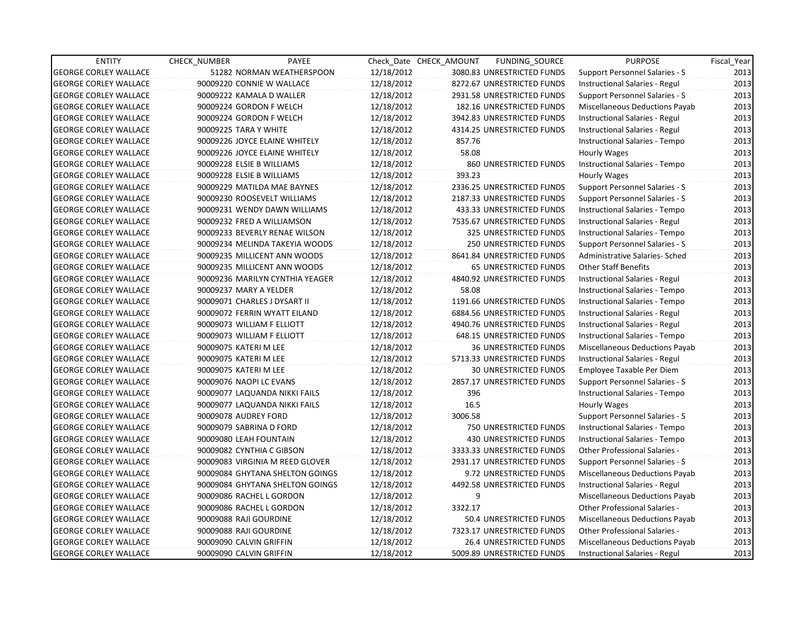| <b>ENTITY</b>                | <b>CHECK NUMBER</b>          | PAYEE                           |            | Check Date CHECK AMOUNT | FUNDING_SOURCE                | <b>PURPOSE</b>                        | Fiscal_Year |
|------------------------------|------------------------------|---------------------------------|------------|-------------------------|-------------------------------|---------------------------------------|-------------|
| <b>GEORGE CORLEY WALLACE</b> |                              | 51282 NORMAN WEATHERSPOON       | 12/18/2012 |                         | 3080.83 UNRESTRICTED FUNDS    | Support Personnel Salaries - S        | 2013        |
| <b>GEORGE CORLEY WALLACE</b> | 90009220 CONNIE W WALLACE    |                                 | 12/18/2012 |                         | 8272.67 UNRESTRICTED FUNDS    | Instructional Salaries - Regul        | 2013        |
| <b>GEORGE CORLEY WALLACE</b> | 90009222 KAMALA D WALLER     |                                 | 12/18/2012 |                         | 2931.58 UNRESTRICTED FUNDS    | Support Personnel Salaries - S        | 2013        |
| <b>GEORGE CORLEY WALLACE</b> | 90009224 GORDON F WELCH      |                                 | 12/18/2012 |                         | 182.16 UNRESTRICTED FUNDS     | Miscellaneous Deductions Payab        | 2013        |
| <b>GEORGE CORLEY WALLACE</b> | 90009224 GORDON F WELCH      |                                 | 12/18/2012 |                         | 3942.83 UNRESTRICTED FUNDS    | Instructional Salaries - Regul        | 2013        |
| <b>GEORGE CORLEY WALLACE</b> | 90009225 TARA Y WHITE        |                                 | 12/18/2012 |                         | 4314.25 UNRESTRICTED FUNDS    | Instructional Salaries - Regul        | 2013        |
| <b>GEORGE CORLEY WALLACE</b> |                              | 90009226 JOYCE ELAINE WHITELY   | 12/18/2012 | 857.76                  |                               | Instructional Salaries - Tempo        | 2013        |
| <b>GEORGE CORLEY WALLACE</b> |                              | 90009226 JOYCE ELAINE WHITELY   | 12/18/2012 | 58.08                   |                               | Hourly Wages                          | 2013        |
| <b>GEORGE CORLEY WALLACE</b> | 90009228 ELSIE B WILLIAMS    |                                 | 12/18/2012 |                         | 860 UNRESTRICTED FUNDS        | Instructional Salaries - Tempo        | 2013        |
| <b>GEORGE CORLEY WALLACE</b> | 90009228 ELSIE B WILLIAMS    |                                 | 12/18/2012 | 393.23                  |                               | Hourly Wages                          | 2013        |
| <b>GEORGE CORLEY WALLACE</b> |                              | 90009229 MATILDA MAE BAYNES     | 12/18/2012 |                         | 2336.25 UNRESTRICTED FUNDS    | Support Personnel Salaries - S        | 2013        |
| <b>GEORGE CORLEY WALLACE</b> |                              | 90009230 ROOSEVELT WILLIAMS     | 12/18/2012 |                         | 2187.33 UNRESTRICTED FUNDS    | Support Personnel Salaries - S        | 2013        |
| <b>GEORGE CORLEY WALLACE</b> |                              | 90009231 WENDY DAWN WILLIAMS    | 12/18/2012 |                         | 433.33 UNRESTRICTED FUNDS     | Instructional Salaries - Tempo        | 2013        |
| <b>GEORGE CORLEY WALLACE</b> | 90009232 FRED A WILLIAMSON   |                                 | 12/18/2012 |                         | 7535.67 UNRESTRICTED FUNDS    | Instructional Salaries - Regul        | 2013        |
| <b>GEORGE CORLEY WALLACE</b> |                              | 90009233 BEVERLY RENAE WILSON   | 12/18/2012 |                         | 325 UNRESTRICTED FUNDS        | Instructional Salaries - Tempo        | 2013        |
| <b>GEORGE CORLEY WALLACE</b> |                              | 90009234 MELINDA TAKEYIA WOODS  | 12/18/2012 |                         | <b>250 UNRESTRICTED FUNDS</b> | Support Personnel Salaries - S        | 2013        |
| <b>GEORGE CORLEY WALLACE</b> |                              | 90009235 MILLICENT ANN WOODS    | 12/18/2012 |                         | 8641.84 UNRESTRICTED FUNDS    | Administrative Salaries- Sched        | 2013        |
| <b>GEORGE CORLEY WALLACE</b> |                              | 90009235 MILLICENT ANN WOODS    | 12/18/2012 |                         | 65 UNRESTRICTED FUNDS         | <b>Other Staff Benefits</b>           | 2013        |
| <b>GEORGE CORLEY WALLACE</b> |                              | 90009236 MARILYN CYNTHIA YEAGER | 12/18/2012 |                         | 4840.92 UNRESTRICTED FUNDS    | Instructional Salaries - Regul        | 2013        |
| <b>GEORGE CORLEY WALLACE</b> | 90009237 MARY A YELDER       |                                 | 12/18/2012 | 58.08                   |                               | Instructional Salaries - Tempo        | 2013        |
| <b>GEORGE CORLEY WALLACE</b> | 90009071 CHARLES J DYSART II |                                 | 12/18/2012 |                         | 1191.66 UNRESTRICTED FUNDS    | Instructional Salaries - Tempo        | 2013        |
| <b>GEORGE CORLEY WALLACE</b> |                              | 90009072 FERRIN WYATT EILAND    | 12/18/2012 |                         | 6884.56 UNRESTRICTED FUNDS    | Instructional Salaries - Regul        | 2013        |
| <b>GEORGE CORLEY WALLACE</b> | 90009073 WILLIAM F ELLIOTT   |                                 | 12/18/2012 |                         | 4940.76 UNRESTRICTED FUNDS    | Instructional Salaries - Regul        | 2013        |
| <b>GEORGE CORLEY WALLACE</b> | 90009073 WILLIAM F ELLIOTT   |                                 | 12/18/2012 |                         | 648.15 UNRESTRICTED FUNDS     | Instructional Salaries - Tempo        | 2013        |
| <b>GEORGE CORLEY WALLACE</b> | 90009075 KATERI M LEE        |                                 | 12/18/2012 |                         | <b>36 UNRESTRICTED FUNDS</b>  | Miscellaneous Deductions Payab        | 2013        |
| <b>GEORGE CORLEY WALLACE</b> | 90009075 KATERI M LEE        |                                 | 12/18/2012 |                         | 5713.33 UNRESTRICTED FUNDS    | Instructional Salaries - Regul        | 2013        |
| <b>GEORGE CORLEY WALLACE</b> | 90009075 KATERI M LEE        |                                 | 12/18/2012 |                         | <b>30 UNRESTRICTED FUNDS</b>  | Employee Taxable Per Diem             | 2013        |
| <b>GEORGE CORLEY WALLACE</b> | 90009076 NAOPI LC EVANS      |                                 | 12/18/2012 |                         | 2857.17 UNRESTRICTED FUNDS    | Support Personnel Salaries - S        | 2013        |
| <b>GEORGE CORLEY WALLACE</b> |                              | 90009077 LAQUANDA NIKKI FAILS   | 12/18/2012 | 396                     |                               | Instructional Salaries - Tempo        | 2013        |
| <b>GEORGE CORLEY WALLACE</b> |                              | 90009077 LAQUANDA NIKKI FAILS   | 12/18/2012 | 16.5                    |                               | Hourly Wages                          | 2013        |
| <b>GEORGE CORLEY WALLACE</b> | 90009078 AUDREY FORD         |                                 | 12/18/2012 | 3006.58                 |                               | Support Personnel Salaries - S        | 2013        |
| <b>GEORGE CORLEY WALLACE</b> | 90009079 SABRINA D FORD      |                                 | 12/18/2012 |                         | 750 UNRESTRICTED FUNDS        | Instructional Salaries - Tempo        | 2013        |
| <b>GEORGE CORLEY WALLACE</b> | 90009080 LEAH FOUNTAIN       |                                 | 12/18/2012 |                         | 430 UNRESTRICTED FUNDS        | Instructional Salaries - Tempo        | 2013        |
| <b>GEORGE CORLEY WALLACE</b> | 90009082 CYNTHIA C GIBSON    |                                 | 12/18/2012 |                         | 3333.33 UNRESTRICTED FUNDS    | Other Professional Salaries -         | 2013        |
| <b>GEORGE CORLEY WALLACE</b> |                              | 90009083 VIRGINIA M REED GLOVER | 12/18/2012 |                         | 2931.17 UNRESTRICTED FUNDS    | Support Personnel Salaries - S        | 2013        |
| <b>GEORGE CORLEY WALLACE</b> |                              | 90009084 GHYTANA SHELTON GOINGS | 12/18/2012 |                         | 9.72 UNRESTRICTED FUNDS       | Miscellaneous Deductions Payab        | 2013        |
| <b>GEORGE CORLEY WALLACE</b> |                              | 90009084 GHYTANA SHELTON GOINGS | 12/18/2012 |                         | 4492.58 UNRESTRICTED FUNDS    | <b>Instructional Salaries - Regul</b> | 2013        |
| <b>GEORGE CORLEY WALLACE</b> | 90009086 RACHEL L GORDON     |                                 | 12/18/2012 | 9                       |                               | Miscellaneous Deductions Payab        | 2013        |
| <b>GEORGE CORLEY WALLACE</b> | 90009086 RACHEL L GORDON     |                                 | 12/18/2012 | 3322.17                 |                               | Other Professional Salaries -         | 2013        |
| <b>GEORGE CORLEY WALLACE</b> | 90009088 RAJI GOURDINE       |                                 | 12/18/2012 |                         | 50.4 UNRESTRICTED FUNDS       | Miscellaneous Deductions Payab        | 2013        |
| <b>GEORGE CORLEY WALLACE</b> | 90009088 RAJI GOURDINE       |                                 | 12/18/2012 |                         | 7323.17 UNRESTRICTED FUNDS    | Other Professional Salaries -         | 2013        |
| <b>GEORGE CORLEY WALLACE</b> | 90009090 CALVIN GRIFFIN      |                                 | 12/18/2012 |                         | 26.4 UNRESTRICTED FUNDS       | Miscellaneous Deductions Payab        | 2013        |
| <b>GEORGE CORLEY WALLACE</b> | 90009090 CALVIN GRIFFIN      |                                 | 12/18/2012 |                         | 5009.89 UNRESTRICTED FUNDS    | Instructional Salaries - Regul        | 2013        |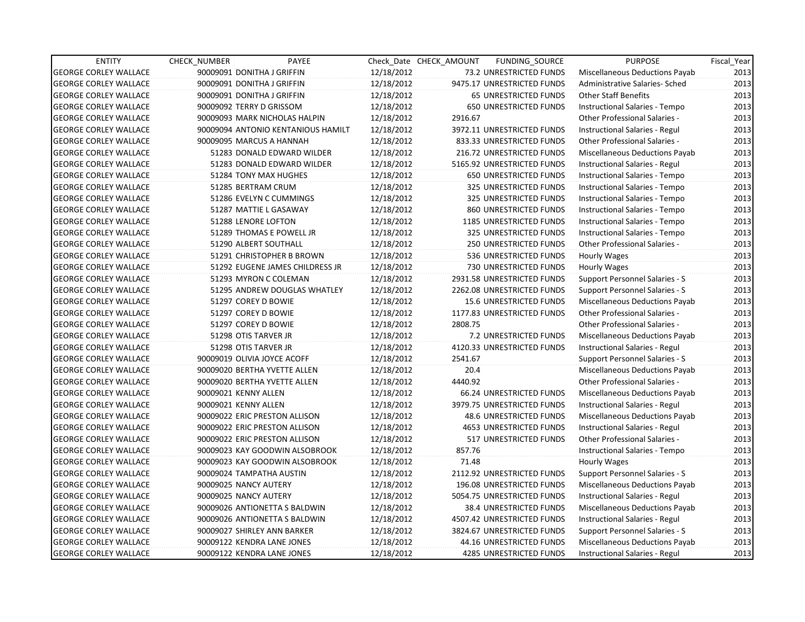| <b>ENTITY</b>                | <b>CHECK NUMBER</b>  | PAYEE                              |            | Check Date CHECK AMOUNT | FUNDING SOURCE                 | <b>PURPOSE</b>                        | Fiscal_Year |
|------------------------------|----------------------|------------------------------------|------------|-------------------------|--------------------------------|---------------------------------------|-------------|
| <b>GEORGE CORLEY WALLACE</b> |                      | 90009091 DONITHA J GRIFFIN         | 12/18/2012 |                         | 73.2 UNRESTRICTED FUNDS        | Miscellaneous Deductions Payab        | 2013        |
| <b>GEORGE CORLEY WALLACE</b> |                      | 90009091 DONITHA J GRIFFIN         | 12/18/2012 |                         | 9475.17 UNRESTRICTED FUNDS     | Administrative Salaries- Sched        | 2013        |
| <b>GEORGE CORLEY WALLACE</b> |                      | 90009091 DONITHA J GRIFFIN         | 12/18/2012 |                         | <b>65 UNRESTRICTED FUNDS</b>   | <b>Other Staff Benefits</b>           | 2013        |
| <b>GEORGE CORLEY WALLACE</b> |                      | 90009092 TERRY D GRISSOM           | 12/18/2012 |                         | <b>650 UNRESTRICTED FUNDS</b>  | Instructional Salaries - Tempo        | 2013        |
| <b>GEORGE CORLEY WALLACE</b> |                      | 90009093 MARK NICHOLAS HALPIN      | 12/18/2012 | 2916.67                 |                                | <b>Other Professional Salaries -</b>  | 2013        |
| <b>GEORGE CORLEY WALLACE</b> |                      | 90009094 ANTONIO KENTANIOUS HAMILT | 12/18/2012 |                         | 3972.11 UNRESTRICTED FUNDS     | Instructional Salaries - Regul        | 2013        |
| GEORGE CORLEY WALLACE        |                      | 90009095 MARCUS A HANNAH           | 12/18/2012 |                         | 833.33 UNRESTRICTED FUNDS      | Other Professional Salaries -         | 2013        |
| <b>GEORGE CORLEY WALLACE</b> |                      | 51283 DONALD EDWARD WILDER         | 12/18/2012 |                         | 216.72 UNRESTRICTED FUNDS      | Miscellaneous Deductions Payab        | 2013        |
| <b>GEORGE CORLEY WALLACE</b> |                      | 51283 DONALD EDWARD WILDER         | 12/18/2012 |                         | 5165.92 UNRESTRICTED FUNDS     | Instructional Salaries - Regul        | 2013        |
| <b>GEORGE CORLEY WALLACE</b> |                      | 51284 TONY MAX HUGHES              | 12/18/2012 |                         | 650 UNRESTRICTED FUNDS         | Instructional Salaries - Tempo        | 2013        |
| <b>GEORGE CORLEY WALLACE</b> |                      | 51285 BERTRAM CRUM                 | 12/18/2012 |                         | 325 UNRESTRICTED FUNDS         | Instructional Salaries - Tempo        | 2013        |
| <b>GEORGE CORLEY WALLACE</b> |                      | 51286 EVELYN C CUMMINGS            | 12/18/2012 |                         | 325 UNRESTRICTED FUNDS         | Instructional Salaries - Tempo        | 2013        |
| <b>GEORGE CORLEY WALLACE</b> |                      | 51287 MATTIE L GASAWAY             | 12/18/2012 |                         | 860 UNRESTRICTED FUNDS         | Instructional Salaries - Tempo        | 2013        |
| <b>GEORGE CORLEY WALLACE</b> |                      | 51288 LENORE LOFTON                | 12/18/2012 |                         | 1185 UNRESTRICTED FUNDS        | Instructional Salaries - Tempo        | 2013        |
| <b>GEORGE CORLEY WALLACE</b> |                      | 51289 THOMAS E POWELL JR           | 12/18/2012 |                         | 325 UNRESTRICTED FUNDS         | Instructional Salaries - Tempo        | 2013        |
| <b>GEORGE CORLEY WALLACE</b> |                      | 51290 ALBERT SOUTHALL              | 12/18/2012 |                         | <b>250 UNRESTRICTED FUNDS</b>  | <b>Other Professional Salaries -</b>  | 2013        |
| GEORGE CORLEY WALLACE        |                      | 51291 CHRISTOPHER B BROWN          | 12/18/2012 |                         | 536 UNRESTRICTED FUNDS         | Hourly Wages                          | 2013        |
| <b>GEORGE CORLEY WALLACE</b> |                      | 51292 EUGENE JAMES CHILDRESS JR    | 12/18/2012 |                         | 730 UNRESTRICTED FUNDS         | Hourly Wages                          | 2013        |
| <b>GEORGE CORLEY WALLACE</b> |                      | 51293 MYRON C COLEMAN              | 12/18/2012 |                         | 2931.58 UNRESTRICTED FUNDS     | <b>Support Personnel Salaries - S</b> | 2013        |
| <b>GEORGE CORLEY WALLACE</b> |                      | 51295 ANDREW DOUGLAS WHATLEY       | 12/18/2012 |                         | 2262.08 UNRESTRICTED FUNDS     | Support Personnel Salaries - S        | 2013        |
| <b>GEORGE CORLEY WALLACE</b> |                      | 51297 COREY D BOWIE                | 12/18/2012 |                         | 15.6 UNRESTRICTED FUNDS        | Miscellaneous Deductions Payab        | 2013        |
| <b>GEORGE CORLEY WALLACE</b> |                      | 51297 COREY D BOWIE                | 12/18/2012 |                         | 1177.83 UNRESTRICTED FUNDS     | Other Professional Salaries -         | 2013        |
| <b>GEORGE CORLEY WALLACE</b> |                      | 51297 COREY D BOWIE                | 12/18/2012 | 2808.75                 |                                | <b>Other Professional Salaries -</b>  | 2013        |
| <b>GEORGE CORLEY WALLACE</b> |                      | 51298 OTIS TARVER JR               | 12/18/2012 |                         | 7.2 UNRESTRICTED FUNDS         | Miscellaneous Deductions Payab        | 2013        |
| <b>GEORGE CORLEY WALLACE</b> |                      | 51298 OTIS TARVER JR               | 12/18/2012 |                         | 4120.33 UNRESTRICTED FUNDS     | Instructional Salaries - Regul        | 2013        |
| <b>GEORGE CORLEY WALLACE</b> |                      | 90009019 OLIVIA JOYCE ACOFF        | 12/18/2012 | 2541.67                 |                                | Support Personnel Salaries - S        | 2013        |
| GEORGE CORLEY WALLACE        |                      | 90009020 BERTHA YVETTE ALLEN       | 12/18/2012 | 20.4                    |                                | Miscellaneous Deductions Payab        | 2013        |
| <b>GEORGE CORLEY WALLACE</b> |                      | 90009020 BERTHA YVETTE ALLEN       | 12/18/2012 | 4440.92                 |                                | Other Professional Salaries -         | 2013        |
| <b>GEORGE CORLEY WALLACE</b> | 90009021 KENNY ALLEN |                                    | 12/18/2012 |                         | 66.24 UNRESTRICTED FUNDS       | Miscellaneous Deductions Payab        | 2013        |
| <b>GEORGE CORLEY WALLACE</b> | 90009021 KENNY ALLEN |                                    | 12/18/2012 |                         | 3979.75 UNRESTRICTED FUNDS     | Instructional Salaries - Regul        | 2013        |
| <b>GEORGE CORLEY WALLACE</b> |                      | 90009022 ERIC PRESTON ALLISON      | 12/18/2012 |                         | 48.6 UNRESTRICTED FUNDS        | Miscellaneous Deductions Payab        | 2013        |
| <b>GEORGE CORLEY WALLACE</b> |                      | 90009022 ERIC PRESTON ALLISON      | 12/18/2012 |                         | <b>4653 UNRESTRICTED FUNDS</b> | Instructional Salaries - Regul        | 2013        |
| <b>GEORGE CORLEY WALLACE</b> |                      | 90009022 ERIC PRESTON ALLISON      | 12/18/2012 |                         | 517 UNRESTRICTED FUNDS         | Other Professional Salaries -         | 2013        |
| <b>GEORGE CORLEY WALLACE</b> |                      | 90009023 KAY GOODWIN ALSOBROOK     | 12/18/2012 | 857.76                  |                                | Instructional Salaries - Tempo        | 2013        |
| <b>GEORGE CORLEY WALLACE</b> |                      | 90009023 KAY GOODWIN ALSOBROOK     | 12/18/2012 | 71.48                   |                                | Hourly Wages                          | 2013        |
| <b>GEORGE CORLEY WALLACE</b> |                      | 90009024 TAMPATHA AUSTIN           | 12/18/2012 |                         | 2112.92 UNRESTRICTED FUNDS     | Support Personnel Salaries - S        | 2013        |
| <b>GEORGE CORLEY WALLACE</b> |                      | 90009025 NANCY AUTERY              | 12/18/2012 |                         | 196.08 UNRESTRICTED FUNDS      | Miscellaneous Deductions Payab        | 2013        |
| <b>GEORGE CORLEY WALLACE</b> |                      | 90009025 NANCY AUTERY              | 12/18/2012 |                         | 5054.75 UNRESTRICTED FUNDS     | Instructional Salaries - Regul        | 2013        |
| <b>GEORGE CORLEY WALLACE</b> |                      | 90009026 ANTIONETTA S BALDWIN      | 12/18/2012 |                         | 38.4 UNRESTRICTED FUNDS        | Miscellaneous Deductions Payab        | 2013        |
| <b>GEORGE CORLEY WALLACE</b> |                      | 90009026 ANTIONETTA S BALDWIN      | 12/18/2012 |                         | 4507.42 UNRESTRICTED FUNDS     | Instructional Salaries - Regul        | 2013        |
| <b>GEORGE CORLEY WALLACE</b> |                      | 90009027 SHIRLEY ANN BARKER        | 12/18/2012 |                         | 3824.67 UNRESTRICTED FUNDS     | Support Personnel Salaries - S        | 2013        |
| <b>GEORGE CORLEY WALLACE</b> |                      | 90009122 KENDRA LANE JONES         | 12/18/2012 |                         | 44.16 UNRESTRICTED FUNDS       | Miscellaneous Deductions Payab        | 2013        |
| <b>GEORGE CORLEY WALLACE</b> |                      | 90009122 KENDRA LANE JONES         | 12/18/2012 |                         | <b>4285 UNRESTRICTED FUNDS</b> | Instructional Salaries - Regul        | 2013        |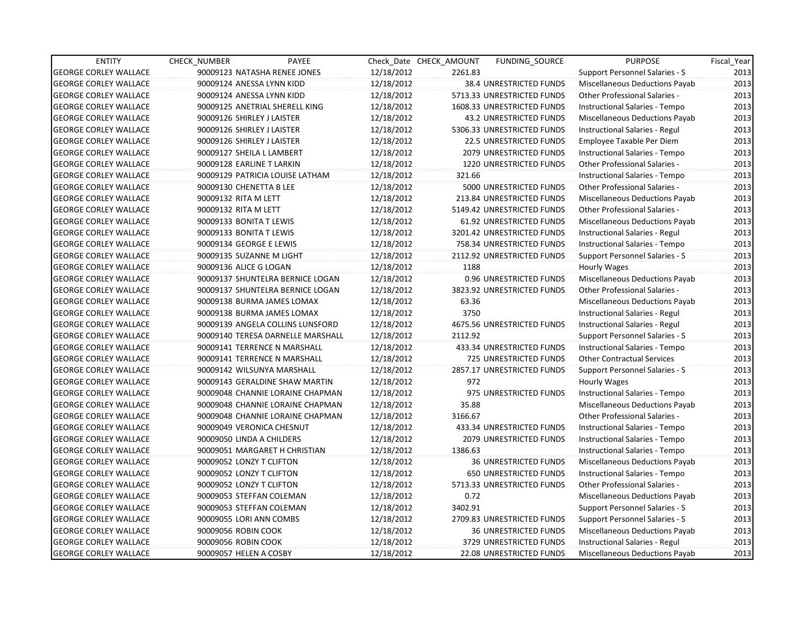| <b>ENTITY</b>                | <b>CHECK NUMBER</b>        | PAYEE                             |            | Check Date CHECK AMOUNT | <b>FUNDING SOURCE</b>           | <b>PURPOSE</b>                        | Fiscal_Year |
|------------------------------|----------------------------|-----------------------------------|------------|-------------------------|---------------------------------|---------------------------------------|-------------|
| <b>GEORGE CORLEY WALLACE</b> |                            | 90009123 NATASHA RENEE JONES      | 12/18/2012 | 2261.83                 |                                 | Support Personnel Salaries - S        | 2013        |
| <b>GEORGE CORLEY WALLACE</b> | 90009124 ANESSA LYNN KIDD  |                                   | 12/18/2012 |                         | 38.4 UNRESTRICTED FUNDS         | Miscellaneous Deductions Payab        | 2013        |
| <b>GEORGE CORLEY WALLACE</b> | 90009124 ANESSA LYNN KIDD  |                                   | 12/18/2012 |                         | 5713.33 UNRESTRICTED FUNDS      | <b>Other Professional Salaries -</b>  | 2013        |
| <b>GEORGE CORLEY WALLACE</b> |                            | 90009125 ANETRIAL SHERELL KING    | 12/18/2012 |                         | 1608.33 UNRESTRICTED FUNDS      | Instructional Salaries - Tempo        | 2013        |
| <b>GEORGE CORLEY WALLACE</b> | 90009126 SHIRLEY J LAISTER |                                   | 12/18/2012 |                         | 43.2 UNRESTRICTED FUNDS         | Miscellaneous Deductions Payab        | 2013        |
| <b>GEORGE CORLEY WALLACE</b> | 90009126 SHIRLEY J LAISTER |                                   | 12/18/2012 |                         | 5306.33 UNRESTRICTED FUNDS      | Instructional Salaries - Regul        | 2013        |
| GEORGE CORLEY WALLACE        | 90009126 SHIRLEY J LAISTER |                                   | 12/18/2012 |                         | 22.5 UNRESTRICTED FUNDS         | Employee Taxable Per Diem             | 2013        |
| <b>GEORGE CORLEY WALLACE</b> | 90009127 SHEILA L LAMBERT  |                                   | 12/18/2012 |                         | <b>2079 UNRESTRICTED FUNDS</b>  | Instructional Salaries - Tempo        | 2013        |
| <b>GEORGE CORLEY WALLACE</b> | 90009128 EARLINE T LARKIN  |                                   | 12/18/2012 |                         | 1220 UNRESTRICTED FUNDS         | <b>Other Professional Salaries -</b>  | 2013        |
| <b>GEORGE CORLEY WALLACE</b> |                            | 90009129 PATRICIA LOUISE LATHAM   | 12/18/2012 | 321.66                  |                                 | Instructional Salaries - Tempo        | 2013        |
| <b>GEORGE CORLEY WALLACE</b> | 90009130 CHENETTA B LEE    |                                   | 12/18/2012 |                         | 5000 UNRESTRICTED FUNDS         | Other Professional Salaries -         | 2013        |
| <b>GEORGE CORLEY WALLACE</b> | 90009132 RITA M LETT       |                                   | 12/18/2012 |                         | 213.84 UNRESTRICTED FUNDS       | Miscellaneous Deductions Payab        | 2013        |
| <b>GEORGE CORLEY WALLACE</b> | 90009132 RITA M LETT       |                                   | 12/18/2012 |                         | 5149.42 UNRESTRICTED FUNDS      | Other Professional Salaries -         | 2013        |
| <b>GEORGE CORLEY WALLACE</b> | 90009133 BONITA T LEWIS    |                                   | 12/18/2012 |                         | 61.92 UNRESTRICTED FUNDS        | <b>Miscellaneous Deductions Payab</b> | 2013        |
| <b>GEORGE CORLEY WALLACE</b> | 90009133 BONITA T LEWIS    |                                   | 12/18/2012 |                         | 3201.42 UNRESTRICTED FUNDS      | Instructional Salaries - Regul        | 2013        |
| <b>GEORGE CORLEY WALLACE</b> | 90009134 GEORGE E LEWIS    |                                   | 12/18/2012 |                         | 758.34 UNRESTRICTED FUNDS       | Instructional Salaries - Tempo        | 2013        |
| GEORGE CORLEY WALLACE        | 90009135 SUZANNE M LIGHT   |                                   | 12/18/2012 |                         | 2112.92 UNRESTRICTED FUNDS      | Support Personnel Salaries - S        | 2013        |
| <b>GEORGE CORLEY WALLACE</b> | 90009136 ALICE G LOGAN     |                                   | 12/18/2012 | 1188                    |                                 | Hourly Wages                          | 2013        |
| <b>GEORGE CORLEY WALLACE</b> |                            | 90009137 SHUNTELRA BERNICE LOGAN  | 12/18/2012 |                         | 0.96 UNRESTRICTED FUNDS         | Miscellaneous Deductions Payab        | 2013        |
| <b>GEORGE CORLEY WALLACE</b> |                            | 90009137 SHUNTELRA BERNICE LOGAN  | 12/18/2012 |                         | 3823.92 UNRESTRICTED FUNDS      | Other Professional Salaries -         | 2013        |
| <b>GEORGE CORLEY WALLACE</b> |                            | 90009138 BURMA JAMES LOMAX        | 12/18/2012 | 63.36                   |                                 | Miscellaneous Deductions Payab        | 2013        |
| <b>GEORGE CORLEY WALLACE</b> |                            | 90009138 BURMA JAMES LOMAX        | 12/18/2012 | 3750                    |                                 | Instructional Salaries - Regul        | 2013        |
| <b>GEORGE CORLEY WALLACE</b> |                            | 90009139 ANGELA COLLINS LUNSFORD  | 12/18/2012 |                         | 4675.56 UNRESTRICTED FUNDS      | Instructional Salaries - Regul        | 2013        |
| <b>GEORGE CORLEY WALLACE</b> |                            | 90009140 TERESA DARNELLE MARSHALL | 12/18/2012 | 2112.92                 |                                 | Support Personnel Salaries - S        | 2013        |
| <b>GEORGE CORLEY WALLACE</b> |                            | 90009141 TERRENCE N MARSHALL      | 12/18/2012 |                         | 433.34 UNRESTRICTED FUNDS       | Instructional Salaries - Tempo        | 2013        |
| <b>GEORGE CORLEY WALLACE</b> |                            | 90009141 TERRENCE N MARSHALL      | 12/18/2012 |                         | 725 UNRESTRICTED FUNDS          | <b>Other Contractual Services</b>     | 2013        |
| <b>GEORGE CORLEY WALLACE</b> |                            | 90009142 WILSUNYA MARSHALL        | 12/18/2012 |                         | 2857.17 UNRESTRICTED FUNDS      | Support Personnel Salaries - S        | 2013        |
| <b>GEORGE CORLEY WALLACE</b> |                            | 90009143 GERALDINE SHAW MARTIN    | 12/18/2012 | 972                     |                                 | Hourly Wages                          | 2013        |
| <b>GEORGE CORLEY WALLACE</b> |                            | 90009048 CHANNIE LORAINE CHAPMAN  | 12/18/2012 |                         | 975 UNRESTRICTED FUNDS          | Instructional Salaries - Tempo        | 2013        |
| <b>GEORGE CORLEY WALLACE</b> |                            | 90009048 CHANNIE LORAINE CHAPMAN  | 12/18/2012 | 35.88                   |                                 | Miscellaneous Deductions Payab        | 2013        |
| <b>GEORGE CORLEY WALLACE</b> |                            | 90009048 CHANNIE LORAINE CHAPMAN  | 12/18/2012 | 3166.67                 |                                 | <b>Other Professional Salaries -</b>  | 2013        |
| <b>GEORGE CORLEY WALLACE</b> | 90009049 VERONICA CHESNUT  |                                   | 12/18/2012 |                         | 433.34 UNRESTRICTED FUNDS       | Instructional Salaries - Tempo        | 2013        |
| <b>GEORGE CORLEY WALLACE</b> | 90009050 LINDA A CHILDERS  |                                   | 12/18/2012 |                         | 2079 UNRESTRICTED FUNDS         | Instructional Salaries - Tempo        | 2013        |
| <b>GEORGE CORLEY WALLACE</b> |                            | 90009051 MARGARET H CHRISTIAN     | 12/18/2012 | 1386.63                 |                                 | Instructional Salaries - Tempo        | 2013        |
| <b>GEORGE CORLEY WALLACE</b> | 90009052 LONZY T CLIFTON   |                                   | 12/18/2012 |                         | <b>36 UNRESTRICTED FUNDS</b>    | Miscellaneous Deductions Payab        | 2013        |
| <b>GEORGE CORLEY WALLACE</b> | 90009052 LONZY T CLIFTON   |                                   | 12/18/2012 |                         | <b>650 UNRESTRICTED FUNDS</b>   | Instructional Salaries - Tempo        | 2013        |
| <b>GEORGE CORLEY WALLACE</b> | 90009052 LONZY T CLIFTON   |                                   | 12/18/2012 |                         | 5713.33 UNRESTRICTED FUNDS      | Other Professional Salaries -         | 2013        |
| <b>GEORGE CORLEY WALLACE</b> | 90009053 STEFFAN COLEMAN   |                                   | 12/18/2012 | 0.72                    |                                 | Miscellaneous Deductions Payab        | 2013        |
| <b>GEORGE CORLEY WALLACE</b> | 90009053 STEFFAN COLEMAN   |                                   | 12/18/2012 | 3402.91                 |                                 | Support Personnel Salaries - S        | 2013        |
| <b>GEORGE CORLEY WALLACE</b> | 90009055 LORI ANN COMBS    |                                   | 12/18/2012 |                         | 2709.83 UNRESTRICTED FUNDS      | Support Personnel Salaries - S        | 2013        |
| <b>GEORGE CORLEY WALLACE</b> | 90009056 ROBIN COOK        |                                   | 12/18/2012 |                         | <b>36 UNRESTRICTED FUNDS</b>    | Miscellaneous Deductions Payab        | 2013        |
| <b>GEORGE CORLEY WALLACE</b> | 90009056 ROBIN COOK        |                                   | 12/18/2012 |                         | 3729 UNRESTRICTED FUNDS         | Instructional Salaries - Regul        | 2013        |
| <b>GEORGE CORLEY WALLACE</b> | 90009057 HELEN A COSBY     |                                   | 12/18/2012 |                         | <b>22.08 UNRESTRICTED FUNDS</b> | <b>Miscellaneous Deductions Payab</b> | 2013        |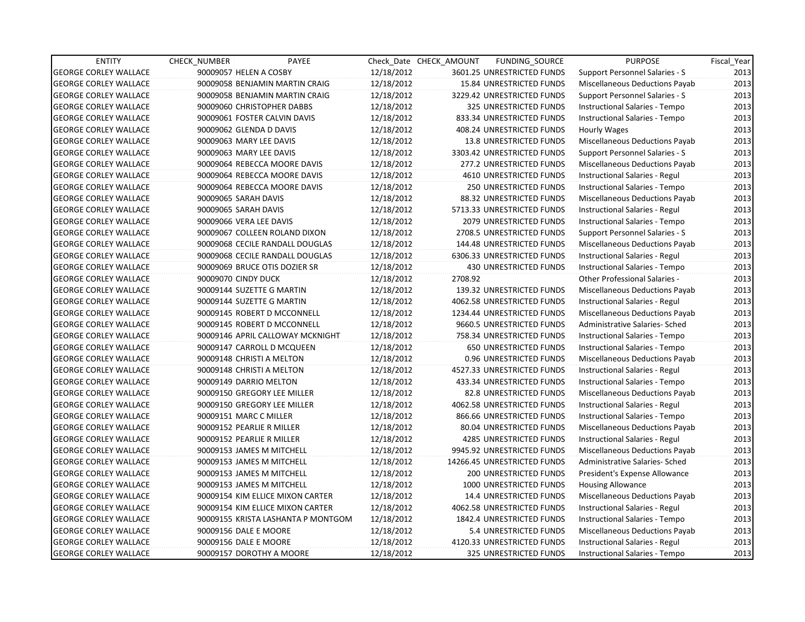| <b>ENTITY</b>                | <b>CHECK NUMBER</b>       | PAYEE                              |            | Check Date CHECK AMOUNT | FUNDING_SOURCE                 | <b>PURPOSE</b>                       | Fiscal Year |
|------------------------------|---------------------------|------------------------------------|------------|-------------------------|--------------------------------|--------------------------------------|-------------|
| <b>GEORGE CORLEY WALLACE</b> | 90009057 HELEN A COSBY    |                                    | 12/18/2012 |                         | 3601.25 UNRESTRICTED FUNDS     | Support Personnel Salaries - S       | 2013        |
| <b>GEORGE CORLEY WALLACE</b> |                           | 90009058 BENJAMIN MARTIN CRAIG     | 12/18/2012 |                         | 15.84 UNRESTRICTED FUNDS       | Miscellaneous Deductions Payab       | 2013        |
| <b>GEORGE CORLEY WALLACE</b> |                           | 90009058 BENJAMIN MARTIN CRAIG     | 12/18/2012 |                         | 3229.42 UNRESTRICTED FUNDS     | Support Personnel Salaries - S       | 2013        |
| <b>GEORGE CORLEY WALLACE</b> |                           | 90009060 CHRISTOPHER DABBS         | 12/18/2012 |                         | 325 UNRESTRICTED FUNDS         | Instructional Salaries - Tempo       | 2013        |
| <b>GEORGE CORLEY WALLACE</b> |                           | 90009061 FOSTER CALVIN DAVIS       | 12/18/2012 |                         | 833.34 UNRESTRICTED FUNDS      | Instructional Salaries - Tempo       | 2013        |
| <b>GEORGE CORLEY WALLACE</b> | 90009062 GLENDA D DAVIS   |                                    | 12/18/2012 |                         | 408.24 UNRESTRICTED FUNDS      | <b>Hourly Wages</b>                  | 2013        |
| <b>GEORGE CORLEY WALLACE</b> | 90009063 MARY LEE DAVIS   |                                    | 12/18/2012 |                         | <b>13.8 UNRESTRICTED FUNDS</b> | Miscellaneous Deductions Payab       | 2013        |
| <b>GEORGE CORLEY WALLACE</b> | 90009063 MARY LEE DAVIS   |                                    | 12/18/2012 |                         | 3303.42 UNRESTRICTED FUNDS     | Support Personnel Salaries - S       | 2013        |
| <b>GEORGE CORLEY WALLACE</b> |                           | 90009064 REBECCA MOORE DAVIS       | 12/18/2012 |                         | 277.2 UNRESTRICTED FUNDS       | Miscellaneous Deductions Payab       | 2013        |
| <b>GEORGE CORLEY WALLACE</b> |                           | 90009064 REBECCA MOORE DAVIS       | 12/18/2012 |                         | 4610 UNRESTRICTED FUNDS        | Instructional Salaries - Regul       | 2013        |
| <b>GEORGE CORLEY WALLACE</b> |                           | 90009064 REBECCA MOORE DAVIS       | 12/18/2012 |                         | <b>250 UNRESTRICTED FUNDS</b>  | Instructional Salaries - Tempo       | 2013        |
| <b>GEORGE CORLEY WALLACE</b> | 90009065 SARAH DAVIS      |                                    | 12/18/2012 |                         | 88.32 UNRESTRICTED FUNDS       | Miscellaneous Deductions Payab       | 2013        |
| <b>GEORGE CORLEY WALLACE</b> | 90009065 SARAH DAVIS      |                                    | 12/18/2012 |                         | 5713.33 UNRESTRICTED FUNDS     | Instructional Salaries - Regul       | 2013        |
| <b>GEORGE CORLEY WALLACE</b> | 90009066 VERA LEE DAVIS   |                                    | 12/18/2012 |                         | 2079 UNRESTRICTED FUNDS        | Instructional Salaries - Tempo       | 2013        |
| <b>GEORGE CORLEY WALLACE</b> |                           | 90009067 COLLEEN ROLAND DIXON      | 12/18/2012 |                         | 2708.5 UNRESTRICTED FUNDS      | Support Personnel Salaries - S       | 2013        |
| <b>GEORGE CORLEY WALLACE</b> |                           | 90009068 CECILE RANDALL DOUGLAS    | 12/18/2012 |                         | 144.48 UNRESTRICTED FUNDS      | Miscellaneous Deductions Payab       | 2013        |
| <b>GEORGE CORLEY WALLACE</b> |                           | 90009068 CECILE RANDALL DOUGLAS    | 12/18/2012 |                         | 6306.33 UNRESTRICTED FUNDS     | Instructional Salaries - Regul       | 2013        |
| <b>GEORGE CORLEY WALLACE</b> |                           | 90009069 BRUCE OTIS DOZIER SR      | 12/18/2012 |                         | 430 UNRESTRICTED FUNDS         | Instructional Salaries - Tempo       | 2013        |
| <b>GEORGE CORLEY WALLACE</b> | 90009070 CINDY DUCK       |                                    | 12/18/2012 | 2708.92                 |                                | <b>Other Professional Salaries -</b> | 2013        |
| <b>GEORGE CORLEY WALLACE</b> |                           | 90009144 SUZETTE G MARTIN          | 12/18/2012 |                         | 139.32 UNRESTRICTED FUNDS      | Miscellaneous Deductions Payab       | 2013        |
| <b>GEORGE CORLEY WALLACE</b> |                           | 90009144 SUZETTE G MARTIN          | 12/18/2012 |                         | 4062.58 UNRESTRICTED FUNDS     | Instructional Salaries - Regul       | 2013        |
| <b>GEORGE CORLEY WALLACE</b> |                           | 90009145 ROBERT D MCCONNELL        | 12/18/2012 |                         | 1234.44 UNRESTRICTED FUNDS     | Miscellaneous Deductions Payab       | 2013        |
| <b>GEORGE CORLEY WALLACE</b> |                           | 90009145 ROBERT D MCCONNELL        | 12/18/2012 |                         | 9660.5 UNRESTRICTED FUNDS      | Administrative Salaries- Sched       | 2013        |
| <b>GEORGE CORLEY WALLACE</b> |                           | 90009146 APRIL CALLOWAY MCKNIGHT   | 12/18/2012 |                         | 758.34 UNRESTRICTED FUNDS      | Instructional Salaries - Tempo       | 2013        |
| <b>GEORGE CORLEY WALLACE</b> |                           | 90009147 CARROLL D MCQUEEN         | 12/18/2012 |                         | 650 UNRESTRICTED FUNDS         | Instructional Salaries - Tempo       | 2013        |
| <b>GEORGE CORLEY WALLACE</b> |                           | 90009148 CHRISTI A MELTON          | 12/18/2012 |                         | 0.96 UNRESTRICTED FUNDS        | Miscellaneous Deductions Payab       | 2013        |
| <b>GEORGE CORLEY WALLACE</b> |                           | 90009148 CHRISTI A MELTON          | 12/18/2012 |                         | 4527.33 UNRESTRICTED FUNDS     | Instructional Salaries - Regul       | 2013        |
| <b>GEORGE CORLEY WALLACE</b> | 90009149 DARRIO MELTON    |                                    | 12/18/2012 |                         | 433.34 UNRESTRICTED FUNDS      | Instructional Salaries - Tempo       | 2013        |
| <b>GEORGE CORLEY WALLACE</b> |                           | 90009150 GREGORY LEE MILLER        | 12/18/2012 |                         | 82.8 UNRESTRICTED FUNDS        | Miscellaneous Deductions Payab       | 2013        |
| <b>GEORGE CORLEY WALLACE</b> |                           | 90009150 GREGORY LEE MILLER        | 12/18/2012 |                         | 4062.58 UNRESTRICTED FUNDS     | Instructional Salaries - Regul       | 2013        |
| <b>GEORGE CORLEY WALLACE</b> | 90009151 MARC C MILLER    |                                    | 12/18/2012 |                         | 866.66 UNRESTRICTED FUNDS      | Instructional Salaries - Tempo       | 2013        |
| <b>GEORGE CORLEY WALLACE</b> | 90009152 PEARLIE R MILLER |                                    | 12/18/2012 |                         | 80.04 UNRESTRICTED FUNDS       | Miscellaneous Deductions Payab       | 2013        |
| <b>GEORGE CORLEY WALLACE</b> | 90009152 PEARLIE R MILLER |                                    | 12/18/2012 |                         | 4285 UNRESTRICTED FUNDS        | Instructional Salaries - Regul       | 2013        |
| <b>GEORGE CORLEY WALLACE</b> |                           | 90009153 JAMES M MITCHELL          | 12/18/2012 |                         | 9945.92 UNRESTRICTED FUNDS     | Miscellaneous Deductions Payab       | 2013        |
| <b>GEORGE CORLEY WALLACE</b> |                           | 90009153 JAMES M MITCHELL          | 12/18/2012 |                         | 14266.45 UNRESTRICTED FUNDS    | Administrative Salaries- Sched       | 2013        |
| <b>GEORGE CORLEY WALLACE</b> |                           | 90009153 JAMES M MITCHELL          | 12/18/2012 |                         | 200 UNRESTRICTED FUNDS         | President's Expense Allowance        | 2013        |
| <b>GEORGE CORLEY WALLACE</b> |                           | 90009153 JAMES M MITCHELL          | 12/18/2012 |                         | 1000 UNRESTRICTED FUNDS        | <b>Housing Allowance</b>             | 2013        |
| <b>GEORGE CORLEY WALLACE</b> |                           | 90009154 KIM ELLICE MIXON CARTER   | 12/18/2012 |                         | 14.4 UNRESTRICTED FUNDS        | Miscellaneous Deductions Payab       | 2013        |
| <b>GEORGE CORLEY WALLACE</b> |                           | 90009154 KIM ELLICE MIXON CARTER   | 12/18/2012 |                         | 4062.58 UNRESTRICTED FUNDS     | Instructional Salaries - Regul       | 2013        |
| <b>GEORGE CORLEY WALLACE</b> |                           | 90009155 KRISTA LASHANTA P MONTGOM | 12/18/2012 |                         | 1842.4 UNRESTRICTED FUNDS      | Instructional Salaries - Tempo       | 2013        |
| <b>GEORGE CORLEY WALLACE</b> | 90009156 DALE E MOORE     |                                    | 12/18/2012 |                         | 5.4 UNRESTRICTED FUNDS         | Miscellaneous Deductions Payab       | 2013        |
| <b>GEORGE CORLEY WALLACE</b> | 90009156 DALE E MOORE     |                                    | 12/18/2012 |                         | 4120.33 UNRESTRICTED FUNDS     | Instructional Salaries - Regul       | 2013        |
| <b>GEORGE CORLEY WALLACE</b> |                           | 90009157 DOROTHY A MOORE           | 12/18/2012 |                         | <b>325 UNRESTRICTED FUNDS</b>  | Instructional Salaries - Tempo       | 2013        |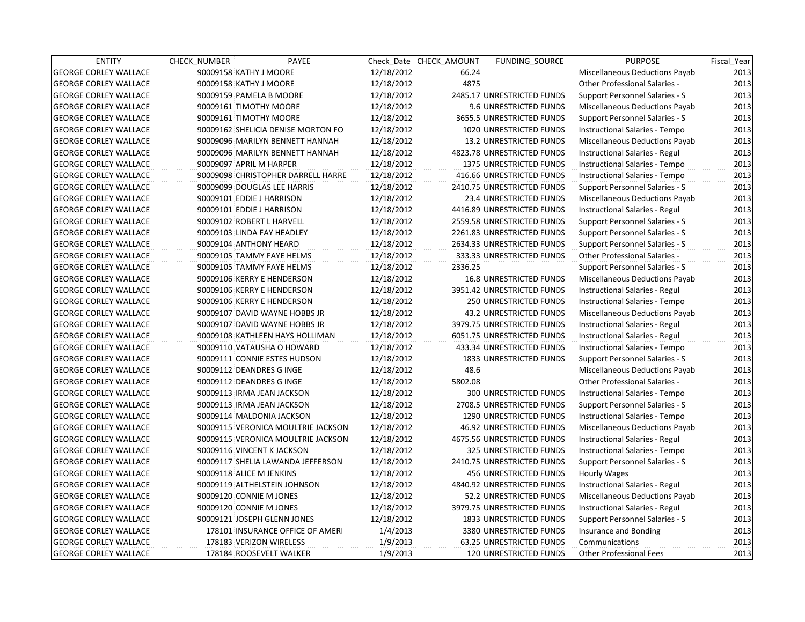| <b>ENTITY</b>                | CHECK NUMBER | PAYEE                              |            | Check Date CHECK AMOUNT | FUNDING SOURCE                 | <b>PURPOSE</b>                        | Fiscal_Year |
|------------------------------|--------------|------------------------------------|------------|-------------------------|--------------------------------|---------------------------------------|-------------|
| <b>GEORGE CORLEY WALLACE</b> |              | 90009158 KATHY J MOORE             | 12/18/2012 | 66.24                   |                                | Miscellaneous Deductions Payab        | 2013        |
| <b>GEORGE CORLEY WALLACE</b> |              | 90009158 KATHY J MOORE             | 12/18/2012 | 4875                    |                                | Other Professional Salaries -         | 2013        |
| <b>GEORGE CORLEY WALLACE</b> |              | 90009159 PAMELA B MOORE            | 12/18/2012 |                         | 2485.17 UNRESTRICTED FUNDS     | Support Personnel Salaries - S        | 2013        |
| <b>GEORGE CORLEY WALLACE</b> |              | 90009161 TIMOTHY MOORE             | 12/18/2012 |                         | 9.6 UNRESTRICTED FUNDS         | Miscellaneous Deductions Payab        | 2013        |
| <b>GEORGE CORLEY WALLACE</b> |              | 90009161 TIMOTHY MOORE             | 12/18/2012 |                         | 3655.5 UNRESTRICTED FUNDS      | Support Personnel Salaries - S        | 2013        |
| <b>GEORGE CORLEY WALLACE</b> |              | 90009162 SHELICIA DENISE MORTON FO | 12/18/2012 |                         | 1020 UNRESTRICTED FUNDS        | Instructional Salaries - Tempo        | 2013        |
| <b>GEORGE CORLEY WALLACE</b> |              | 90009096 MARILYN BENNETT HANNAH    | 12/18/2012 |                         | 13.2 UNRESTRICTED FUNDS        | Miscellaneous Deductions Payab        | 2013        |
| <b>GEORGE CORLEY WALLACE</b> |              | 90009096 MARILYN BENNETT HANNAH    | 12/18/2012 |                         | 4823.78 UNRESTRICTED FUNDS     | Instructional Salaries - Regul        | 2013        |
| <b>GEORGE CORLEY WALLACE</b> |              | 90009097 APRIL M HARPER            | 12/18/2012 |                         | 1375 UNRESTRICTED FUNDS        | Instructional Salaries - Tempo        | 2013        |
| GEORGE CORLEY WALLACE        |              | 90009098 CHRISTOPHER DARRELL HARRE | 12/18/2012 |                         | 416.66 UNRESTRICTED FUNDS      | Instructional Salaries - Tempo        | 2013        |
| <b>GEORGE CORLEY WALLACE</b> |              | 90009099 DOUGLAS LEE HARRIS        | 12/18/2012 |                         | 2410.75 UNRESTRICTED FUNDS     | <b>Support Personnel Salaries - S</b> | 2013        |
| <b>GEORGE CORLEY WALLACE</b> |              | 90009101 EDDIE J HARRISON          | 12/18/2012 |                         | 23.4 UNRESTRICTED FUNDS        | Miscellaneous Deductions Payab        | 2013        |
| <b>GEORGE CORLEY WALLACE</b> |              | 90009101 EDDIE J HARRISON          | 12/18/2012 |                         | 4416.89 UNRESTRICTED FUNDS     | Instructional Salaries - Regul        | 2013        |
| <b>GEORGE CORLEY WALLACE</b> |              | 90009102 ROBERT L HARVELL          | 12/18/2012 |                         | 2559.58 UNRESTRICTED FUNDS     | <b>Support Personnel Salaries - S</b> | 2013        |
| <b>GEORGE CORLEY WALLACE</b> |              | 90009103 LINDA FAY HEADLEY         | 12/18/2012 |                         | 2261.83 UNRESTRICTED FUNDS     | Support Personnel Salaries - S        | 2013        |
| <b>GEORGE CORLEY WALLACE</b> |              | 90009104 ANTHONY HEARD             | 12/18/2012 |                         | 2634.33 UNRESTRICTED FUNDS     | Support Personnel Salaries - S        | 2013        |
| <b>GEORGE CORLEY WALLACE</b> |              | 90009105 TAMMY FAYE HELMS          | 12/18/2012 |                         | 333.33 UNRESTRICTED FUNDS      | <b>Other Professional Salaries -</b>  | 2013        |
| <b>GEORGE CORLEY WALLACE</b> |              | 90009105 TAMMY FAYE HELMS          | 12/18/2012 | 2336.25                 |                                | <b>Support Personnel Salaries - S</b> | 2013        |
| <b>GEORGE CORLEY WALLACE</b> |              | 90009106 KERRY E HENDERSON         | 12/18/2012 |                         | <b>16.8 UNRESTRICTED FUNDS</b> | Miscellaneous Deductions Payab        | 2013        |
| <b>GEORGE CORLEY WALLACE</b> |              | 90009106 KERRY E HENDERSON         | 12/18/2012 |                         | 3951.42 UNRESTRICTED FUNDS     | Instructional Salaries - Regul        | 2013        |
| <b>GEORGE CORLEY WALLACE</b> |              | 90009106 KERRY E HENDERSON         | 12/18/2012 |                         | 250 UNRESTRICTED FUNDS         | Instructional Salaries - Tempo        | 2013        |
| <b>GEORGE CORLEY WALLACE</b> |              | 90009107 DAVID WAYNE HOBBS JR      | 12/18/2012 |                         | <b>43.2 UNRESTRICTED FUNDS</b> | Miscellaneous Deductions Payab        | 2013        |
| <b>GEORGE CORLEY WALLACE</b> |              | 90009107 DAVID WAYNE HOBBS JR      | 12/18/2012 |                         | 3979.75 UNRESTRICTED FUNDS     | Instructional Salaries - Regul        | 2013        |
| <b>GEORGE CORLEY WALLACE</b> |              | 90009108 KATHLEEN HAYS HOLLIMAN    | 12/18/2012 |                         | 6051.75 UNRESTRICTED FUNDS     | Instructional Salaries - Regul        | 2013        |
| GEORGE CORLEY WALLACE        |              | 90009110 VATAUSHA O HOWARD         | 12/18/2012 |                         | 433.34 UNRESTRICTED FUNDS      | Instructional Salaries - Tempo        | 2013        |
| <b>GEORGE CORLEY WALLACE</b> |              | 90009111 CONNIE ESTES HUDSON       | 12/18/2012 |                         | 1833 UNRESTRICTED FUNDS        | <b>Support Personnel Salaries - S</b> | 2013        |
| <b>GEORGE CORLEY WALLACE</b> |              | 90009112 DEANDRES G INGE           | 12/18/2012 | 48.6                    |                                | Miscellaneous Deductions Payab        | 2013        |
| <b>GEORGE CORLEY WALLACE</b> |              | 90009112 DEANDRES G INGE           | 12/18/2012 | 5802.08                 |                                | Other Professional Salaries -         | 2013        |
| <b>GEORGE CORLEY WALLACE</b> |              | 90009113 IRMA JEAN JACKSON         | 12/18/2012 |                         | 300 UNRESTRICTED FUNDS         | Instructional Salaries - Tempo        | 2013        |
| <b>GEORGE CORLEY WALLACE</b> |              | 90009113 IRMA JEAN JACKSON         | 12/18/2012 |                         | 2708.5 UNRESTRICTED FUNDS      | Support Personnel Salaries - S        | 2013        |
| <b>GEORGE CORLEY WALLACE</b> |              | 90009114 MALDONIA JACKSON          | 12/18/2012 |                         | 1290 UNRESTRICTED FUNDS        | Instructional Salaries - Tempo        | 2013        |
| <b>GEORGE CORLEY WALLACE</b> |              | 90009115 VERONICA MOULTRIE JACKSON | 12/18/2012 |                         | 46.92 UNRESTRICTED FUNDS       | <b>Miscellaneous Deductions Payab</b> | 2013        |
| <b>GEORGE CORLEY WALLACE</b> |              | 90009115 VERONICA MOULTRIE JACKSON | 12/18/2012 |                         | 4675.56 UNRESTRICTED FUNDS     | Instructional Salaries - Regul        | 2013        |
| <b>GEORGE CORLEY WALLACE</b> |              | 90009116 VINCENT K JACKSON         | 12/18/2012 |                         | 325 UNRESTRICTED FUNDS         | Instructional Salaries - Tempo        | 2013        |
| <b>GEORGE CORLEY WALLACE</b> |              | 90009117 SHELIA LAWANDA JEFFERSON  | 12/18/2012 |                         | 2410.75 UNRESTRICTED FUNDS     | Support Personnel Salaries - S        | 2013        |
| <b>GEORGE CORLEY WALLACE</b> |              | 90009118 ALICE M JENKINS           | 12/18/2012 |                         | <b>456 UNRESTRICTED FUNDS</b>  | Hourly Wages                          | 2013        |
| <b>GEORGE CORLEY WALLACE</b> |              | 90009119 ALTHELSTEIN JOHNSON       | 12/18/2012 |                         | 4840.92 UNRESTRICTED FUNDS     | Instructional Salaries - Regul        | 2013        |
| <b>GEORGE CORLEY WALLACE</b> |              | 90009120 CONNIE M JONES            | 12/18/2012 |                         | 52.2 UNRESTRICTED FUNDS        | Miscellaneous Deductions Payab        | 2013        |
| <b>GEORGE CORLEY WALLACE</b> |              | 90009120 CONNIE M JONES            | 12/18/2012 |                         | 3979.75 UNRESTRICTED FUNDS     | Instructional Salaries - Regul        | 2013        |
| <b>GEORGE CORLEY WALLACE</b> |              | 90009121 JOSEPH GLENN JONES        | 12/18/2012 |                         | 1833 UNRESTRICTED FUNDS        | Support Personnel Salaries - S        | 2013        |
| <b>GEORGE CORLEY WALLACE</b> |              | 178101 INSURANCE OFFICE OF AMERI   | 1/4/2013   |                         | 3380 UNRESTRICTED FUNDS        | Insurance and Bonding                 | 2013        |
| <b>GEORGE CORLEY WALLACE</b> |              | 178183 VERIZON WIRELESS            | 1/9/2013   |                         | 63.25 UNRESTRICTED FUNDS       | Communications                        | 2013        |
| <b>GEORGE CORLEY WALLACE</b> |              | 178184 ROOSEVELT WALKER            | 1/9/2013   |                         | <b>120 UNRESTRICTED FUNDS</b>  | Other Professional Fees               | 2013        |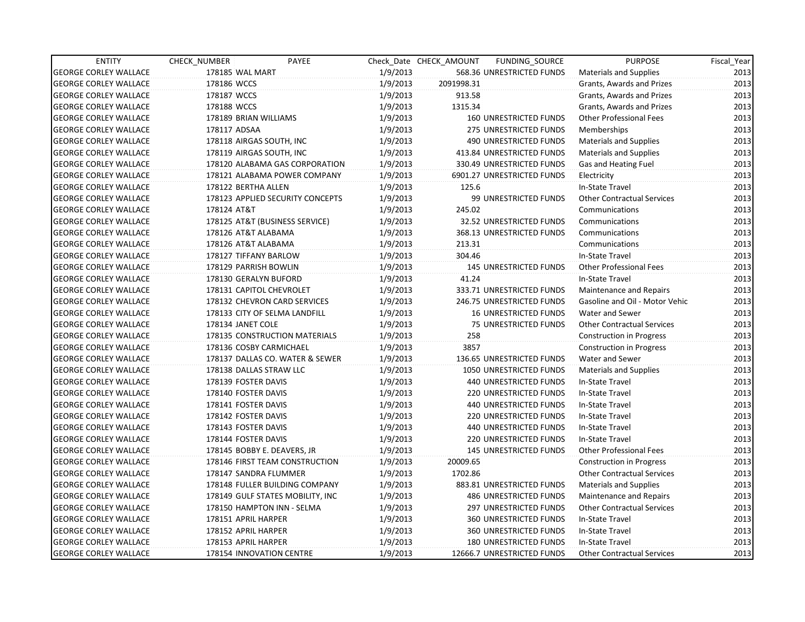| <b>ENTITY</b>                | CHECK NUMBER | PAYEE                            |          | Check Date CHECK AMOUNT | FUNDING_SOURCE                | <b>PURPOSE</b>                    | Fiscal_Year |
|------------------------------|--------------|----------------------------------|----------|-------------------------|-------------------------------|-----------------------------------|-------------|
| <b>GEORGE CORLEY WALLACE</b> |              | 178185 WAL MART                  | 1/9/2013 |                         | 568.36 UNRESTRICTED FUNDS     | <b>Materials and Supplies</b>     | 2013        |
| <b>GEORGE CORLEY WALLACE</b> | 178186 WCCS  |                                  | 1/9/2013 | 2091998.31              |                               | Grants, Awards and Prizes         | 2013        |
| <b>GEORGE CORLEY WALLACE</b> | 178187 WCCS  |                                  | 1/9/2013 | 913.58                  |                               | Grants, Awards and Prizes         | 2013        |
| <b>GEORGE CORLEY WALLACE</b> | 178188 WCCS  |                                  | 1/9/2013 | 1315.34                 |                               | Grants, Awards and Prizes         | 2013        |
| <b>GEORGE CORLEY WALLACE</b> |              | 178189 BRIAN WILLIAMS            | 1/9/2013 |                         | <b>160 UNRESTRICTED FUNDS</b> | <b>Other Professional Fees</b>    | 2013        |
| <b>GEORGE CORLEY WALLACE</b> | 178117 ADSAA |                                  | 1/9/2013 |                         | 275 UNRESTRICTED FUNDS        | Memberships                       | 2013        |
| <b>GEORGE CORLEY WALLACE</b> |              | 178118 AIRGAS SOUTH, INC         | 1/9/2013 |                         | 490 UNRESTRICTED FUNDS        | <b>Materials and Supplies</b>     | 2013        |
| <b>GEORGE CORLEY WALLACE</b> |              | 178119 AIRGAS SOUTH, INC         | 1/9/2013 |                         | 413.84 UNRESTRICTED FUNDS     | <b>Materials and Supplies</b>     | 2013        |
| <b>GEORGE CORLEY WALLACE</b> |              | 178120 ALABAMA GAS CORPORATION   | 1/9/2013 |                         | 330.49 UNRESTRICTED FUNDS     | Gas and Heating Fuel              | 2013        |
| <b>GEORGE CORLEY WALLACE</b> |              | 178121 ALABAMA POWER COMPANY     | 1/9/2013 |                         | 6901.27 UNRESTRICTED FUNDS    | Electricity                       | 2013        |
| <b>GEORGE CORLEY WALLACE</b> |              | 178122 BERTHA ALLEN              | 1/9/2013 | 125.6                   |                               | In-State Travel                   | 2013        |
| <b>GEORGE CORLEY WALLACE</b> |              | 178123 APPLIED SECURITY CONCEPTS | 1/9/2013 |                         | 99 UNRESTRICTED FUNDS         | <b>Other Contractual Services</b> | 2013        |
| <b>GEORGE CORLEY WALLACE</b> | 178124 AT&T  |                                  | 1/9/2013 | 245.02                  |                               | Communications                    | 2013        |
| <b>GEORGE CORLEY WALLACE</b> |              | 178125 AT&T (BUSINESS SERVICE)   | 1/9/2013 |                         | 32.52 UNRESTRICTED FUNDS      | Communications                    | 2013        |
| <b>GEORGE CORLEY WALLACE</b> |              | 178126 AT&T ALABAMA              | 1/9/2013 |                         | 368.13 UNRESTRICTED FUNDS     | Communications                    | 2013        |
| <b>GEORGE CORLEY WALLACE</b> |              | 178126 AT&T ALABAMA              | 1/9/2013 | 213.31                  |                               | Communications                    | 2013        |
| <b>GEORGE CORLEY WALLACE</b> |              | 178127 TIFFANY BARLOW            | 1/9/2013 | 304.46                  |                               | In-State Travel                   | 2013        |
| <b>GEORGE CORLEY WALLACE</b> |              | 178129 PARRISH BOWLIN            | 1/9/2013 |                         | <b>145 UNRESTRICTED FUNDS</b> | <b>Other Professional Fees</b>    | 2013        |
| <b>GEORGE CORLEY WALLACE</b> |              | 178130 GERALYN BUFORD            | 1/9/2013 | 41.24                   |                               | In-State Travel                   | 2013        |
| <b>GEORGE CORLEY WALLACE</b> |              | 178131 CAPITOL CHEVROLET         | 1/9/2013 |                         | 333.71 UNRESTRICTED FUNDS     | <b>Maintenance and Repairs</b>    | 2013        |
| <b>GEORGE CORLEY WALLACE</b> |              | 178132 CHEVRON CARD SERVICES     | 1/9/2013 |                         | 246.75 UNRESTRICTED FUNDS     | Gasoline and Oil - Motor Vehic    | 2013        |
| <b>GEORGE CORLEY WALLACE</b> |              | 178133 CITY OF SELMA LANDFILL    | 1/9/2013 |                         | <b>16 UNRESTRICTED FUNDS</b>  | Water and Sewer                   | 2013        |
| <b>GEORGE CORLEY WALLACE</b> |              | 178134 JANET COLE                | 1/9/2013 |                         | 75 UNRESTRICTED FUNDS         | <b>Other Contractual Services</b> | 2013        |
| <b>GEORGE CORLEY WALLACE</b> |              | 178135 CONSTRUCTION MATERIALS    | 1/9/2013 | 258                     |                               | <b>Construction in Progress</b>   | 2013        |
| <b>GEORGE CORLEY WALLACE</b> |              | 178136 COSBY CARMICHAEL          | 1/9/2013 | 3857                    |                               | <b>Construction in Progress</b>   | 2013        |
| <b>GEORGE CORLEY WALLACE</b> |              | 178137 DALLAS CO. WATER & SEWER  | 1/9/2013 |                         | 136.65 UNRESTRICTED FUNDS     | Water and Sewer                   | 2013        |
| <b>GEORGE CORLEY WALLACE</b> |              | 178138 DALLAS STRAW LLC          | 1/9/2013 |                         | 1050 UNRESTRICTED FUNDS       | <b>Materials and Supplies</b>     | 2013        |
| <b>GEORGE CORLEY WALLACE</b> |              | 178139 FOSTER DAVIS              | 1/9/2013 |                         | <b>440 UNRESTRICTED FUNDS</b> | In-State Travel                   | 2013        |
| <b>GEORGE CORLEY WALLACE</b> |              | 178140 FOSTER DAVIS              | 1/9/2013 |                         | <b>220 UNRESTRICTED FUNDS</b> | In-State Travel                   | 2013        |
| <b>GEORGE CORLEY WALLACE</b> |              | 178141 FOSTER DAVIS              | 1/9/2013 |                         | 440 UNRESTRICTED FUNDS        | In-State Travel                   | 2013        |
| <b>GEORGE CORLEY WALLACE</b> |              | 178142 FOSTER DAVIS              | 1/9/2013 |                         | 220 UNRESTRICTED FUNDS        | In-State Travel                   | 2013        |
| <b>GEORGE CORLEY WALLACE</b> |              | 178143 FOSTER DAVIS              | 1/9/2013 |                         | 440 UNRESTRICTED FUNDS        | In-State Travel                   | 2013        |
| <b>GEORGE CORLEY WALLACE</b> |              | 178144 FOSTER DAVIS              | 1/9/2013 |                         | <b>220 UNRESTRICTED FUNDS</b> | In-State Travel                   | 2013        |
| <b>GEORGE CORLEY WALLACE</b> |              | 178145 BOBBY E. DEAVERS, JR      | 1/9/2013 |                         | <b>145 UNRESTRICTED FUNDS</b> | <b>Other Professional Fees</b>    | 2013        |
| <b>GEORGE CORLEY WALLACE</b> |              | 178146 FIRST TEAM CONSTRUCTION   | 1/9/2013 | 20009.65                |                               | <b>Construction in Progress</b>   | 2013        |
| <b>GEORGE CORLEY WALLACE</b> |              | 178147 SANDRA FLUMMER            | 1/9/2013 | 1702.86                 |                               | <b>Other Contractual Services</b> | 2013        |
| <b>GEORGE CORLEY WALLACE</b> |              | 178148 FULLER BUILDING COMPANY   | 1/9/2013 |                         | 883.81 UNRESTRICTED FUNDS     | <b>Materials and Supplies</b>     | 2013        |
| <b>GEORGE CORLEY WALLACE</b> |              | 178149 GULF STATES MOBILITY, INC | 1/9/2013 |                         | <b>486 UNRESTRICTED FUNDS</b> | Maintenance and Repairs           | 2013        |
| <b>GEORGE CORLEY WALLACE</b> |              | 178150 HAMPTON INN - SELMA       | 1/9/2013 |                         | 297 UNRESTRICTED FUNDS        | <b>Other Contractual Services</b> | 2013        |
| <b>GEORGE CORLEY WALLACE</b> |              | 178151 APRIL HARPER              | 1/9/2013 |                         | 360 UNRESTRICTED FUNDS        | In-State Travel                   | 2013        |
| <b>GEORGE CORLEY WALLACE</b> |              | 178152 APRIL HARPER              | 1/9/2013 |                         | 360 UNRESTRICTED FUNDS        | In-State Travel                   | 2013        |
| <b>GEORGE CORLEY WALLACE</b> |              | 178153 APRIL HARPER              | 1/9/2013 |                         | 180 UNRESTRICTED FUNDS        | In-State Travel                   | 2013        |
| <b>GEORGE CORLEY WALLACE</b> |              | 178154 INNOVATION CENTRE         | 1/9/2013 |                         | 12666.7 UNRESTRICTED FUNDS    | <b>Other Contractual Services</b> | 2013        |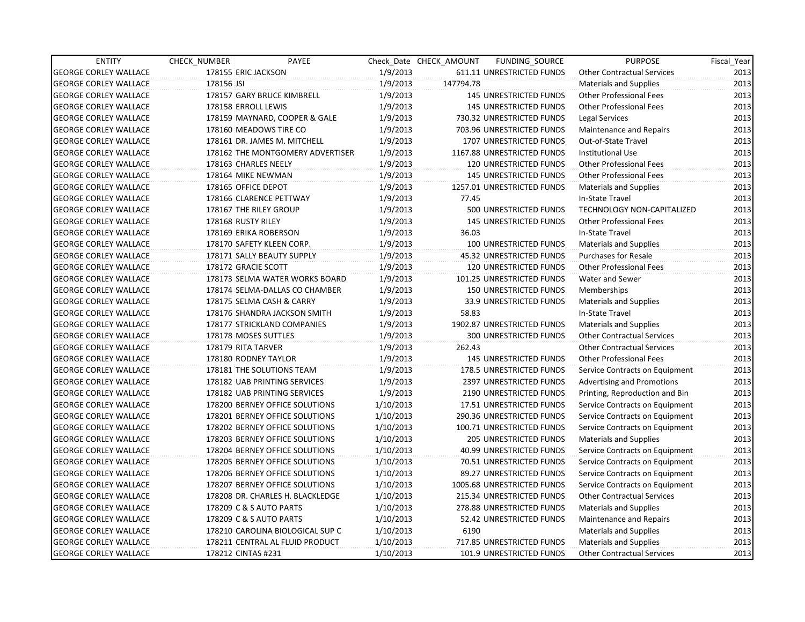| <b>ENTITY</b>                | CHECK_NUMBER       | PAYEE                            |           | Check Date CHECK AMOUNT | FUNDING_SOURCE                  | <b>PURPOSE</b>                    | Fiscal_Year |
|------------------------------|--------------------|----------------------------------|-----------|-------------------------|---------------------------------|-----------------------------------|-------------|
| <b>GEORGE CORLEY WALLACE</b> |                    | 178155 ERIC JACKSON              | 1/9/2013  |                         | 611.11 UNRESTRICTED FUNDS       | <b>Other Contractual Services</b> | 2013        |
| <b>GEORGE CORLEY WALLACE</b> | 178156 JSI         |                                  | 1/9/2013  | 147794.78               |                                 | <b>Materials and Supplies</b>     | 2013        |
| <b>GEORGE CORLEY WALLACE</b> |                    | 178157 GARY BRUCE KIMBRELL       | 1/9/2013  |                         | 145 UNRESTRICTED FUNDS          | <b>Other Professional Fees</b>    | 2013        |
| <b>GEORGE CORLEY WALLACE</b> |                    | 178158 ERROLL LEWIS              | 1/9/2013  |                         | <b>145 UNRESTRICTED FUNDS</b>   | <b>Other Professional Fees</b>    | 2013        |
| <b>GEORGE CORLEY WALLACE</b> |                    | 178159 MAYNARD, COOPER & GALE    | 1/9/2013  |                         | 730.32 UNRESTRICTED FUNDS       | Legal Services                    | 2013        |
| <b>GEORGE CORLEY WALLACE</b> |                    | 178160 MEADOWS TIRE CO           | 1/9/2013  |                         | 703.96 UNRESTRICTED FUNDS       | Maintenance and Repairs           | 2013        |
| <b>GEORGE CORLEY WALLACE</b> |                    | 178161 DR. JAMES M. MITCHELL     | 1/9/2013  |                         | 1707 UNRESTRICTED FUNDS         | Out-of-State Travel               | 2013        |
| <b>GEORGE CORLEY WALLACE</b> |                    | 178162 THE MONTGOMERY ADVERTISER | 1/9/2013  |                         | 1167.88 UNRESTRICTED FUNDS      | <b>Institutional Use</b>          | 2013        |
| <b>GEORGE CORLEY WALLACE</b> |                    | 178163 CHARLES NEELY             | 1/9/2013  |                         | <b>120 UNRESTRICTED FUNDS</b>   | <b>Other Professional Fees</b>    | 2013        |
| <b>GEORGE CORLEY WALLACE</b> |                    | 178164 MIKE NEWMAN               | 1/9/2013  |                         | 145 UNRESTRICTED FUNDS          | Other Professional Fees           | 2013        |
| <b>GEORGE CORLEY WALLACE</b> |                    | 178165 OFFICE DEPOT              | 1/9/2013  |                         | 1257.01 UNRESTRICTED FUNDS      | <b>Materials and Supplies</b>     | 2013        |
| <b>GEORGE CORLEY WALLACE</b> |                    | 178166 CLARENCE PETTWAY          | 1/9/2013  | 77.45                   |                                 | In-State Travel                   | 2013        |
| <b>GEORGE CORLEY WALLACE</b> |                    | 178167 THE RILEY GROUP           | 1/9/2013  |                         | 500 UNRESTRICTED FUNDS          | TECHNOLOGY NON-CAPITALIZED        | 2013        |
| <b>GEORGE CORLEY WALLACE</b> | 178168 RUSTY RILEY |                                  | 1/9/2013  |                         | <b>145 UNRESTRICTED FUNDS</b>   | <b>Other Professional Fees</b>    | 2013        |
| <b>GEORGE CORLEY WALLACE</b> |                    | 178169 ERIKA ROBERSON            | 1/9/2013  | 36.03                   |                                 | In-State Travel                   | 2013        |
| <b>GEORGE CORLEY WALLACE</b> |                    | 178170 SAFETY KLEEN CORP.        | 1/9/2013  |                         | <b>100 UNRESTRICTED FUNDS</b>   | Materials and Supplies            | 2013        |
| <b>GEORGE CORLEY WALLACE</b> |                    | 178171 SALLY BEAUTY SUPPLY       | 1/9/2013  |                         | 45.32 UNRESTRICTED FUNDS        | <b>Purchases for Resale</b>       | 2013        |
| <b>GEORGE CORLEY WALLACE</b> |                    | 178172 GRACIE SCOTT              | 1/9/2013  |                         | 120 UNRESTRICTED FUNDS          | <b>Other Professional Fees</b>    | 2013        |
| <b>GEORGE CORLEY WALLACE</b> |                    | 178173 SELMA WATER WORKS BOARD   | 1/9/2013  |                         | 101.25 UNRESTRICTED FUNDS       | Water and Sewer                   | 2013        |
| <b>GEORGE CORLEY WALLACE</b> |                    | 178174 SELMA-DALLAS CO CHAMBER   | 1/9/2013  |                         | <b>150 UNRESTRICTED FUNDS</b>   | Memberships                       | 2013        |
| <b>GEORGE CORLEY WALLACE</b> |                    | 178175 SELMA CASH & CARRY        | 1/9/2013  |                         | 33.9 UNRESTRICTED FUNDS         | <b>Materials and Supplies</b>     | 2013        |
| <b>GEORGE CORLEY WALLACE</b> |                    | 178176 SHANDRA JACKSON SMITH     | 1/9/2013  | 58.83                   |                                 | In-State Travel                   | 2013        |
| <b>GEORGE CORLEY WALLACE</b> |                    | 178177 STRICKLAND COMPANIES      | 1/9/2013  |                         | 1902.87 UNRESTRICTED FUNDS      | <b>Materials and Supplies</b>     | 2013        |
| <b>GEORGE CORLEY WALLACE</b> |                    | 178178 MOSES SUTTLES             | 1/9/2013  |                         | <b>300 UNRESTRICTED FUNDS</b>   | <b>Other Contractual Services</b> | 2013        |
| <b>GEORGE CORLEY WALLACE</b> |                    | 178179 RITA TARVER               | 1/9/2013  | 262.43                  |                                 | <b>Other Contractual Services</b> | 2013        |
| <b>GEORGE CORLEY WALLACE</b> |                    | 178180 RODNEY TAYLOR             | 1/9/2013  |                         | <b>145 UNRESTRICTED FUNDS</b>   | Other Professional Fees           | 2013        |
| <b>GEORGE CORLEY WALLACE</b> |                    | 178181 THE SOLUTIONS TEAM        | 1/9/2013  |                         | 178.5 UNRESTRICTED FUNDS        | Service Contracts on Equipment    | 2013        |
| <b>GEORGE CORLEY WALLACE</b> |                    | 178182 UAB PRINTING SERVICES     | 1/9/2013  |                         | 2397 UNRESTRICTED FUNDS         | <b>Advertising and Promotions</b> | 2013        |
| <b>GEORGE CORLEY WALLACE</b> |                    | 178182 UAB PRINTING SERVICES     | 1/9/2013  |                         | 2190 UNRESTRICTED FUNDS         | Printing, Reproduction and Bin    | 2013        |
| <b>GEORGE CORLEY WALLACE</b> |                    | 178200 BERNEY OFFICE SOLUTIONS   | 1/10/2013 |                         | 17.51 UNRESTRICTED FUNDS        | Service Contracts on Equipment    | 2013        |
| <b>GEORGE CORLEY WALLACE</b> |                    | 178201 BERNEY OFFICE SOLUTIONS   | 1/10/2013 |                         | 290.36 UNRESTRICTED FUNDS       | Service Contracts on Equipment    | 2013        |
| <b>GEORGE CORLEY WALLACE</b> |                    | 178202 BERNEY OFFICE SOLUTIONS   | 1/10/2013 |                         | 100.71 UNRESTRICTED FUNDS       | Service Contracts on Equipment    | 2013        |
| <b>GEORGE CORLEY WALLACE</b> |                    | 178203 BERNEY OFFICE SOLUTIONS   | 1/10/2013 |                         | 205 UNRESTRICTED FUNDS          | <b>Materials and Supplies</b>     | 2013        |
| <b>GEORGE CORLEY WALLACE</b> |                    | 178204 BERNEY OFFICE SOLUTIONS   | 1/10/2013 |                         | 40.99 UNRESTRICTED FUNDS        | Service Contracts on Equipment    | 2013        |
| <b>GEORGE CORLEY WALLACE</b> |                    | 178205 BERNEY OFFICE SOLUTIONS   | 1/10/2013 |                         | 70.51 UNRESTRICTED FUNDS        | Service Contracts on Equipment    | 2013        |
| <b>GEORGE CORLEY WALLACE</b> |                    | 178206 BERNEY OFFICE SOLUTIONS   | 1/10/2013 |                         | 89.27 UNRESTRICTED FUNDS        | Service Contracts on Equipment    | 2013        |
| <b>GEORGE CORLEY WALLACE</b> |                    | 178207 BERNEY OFFICE SOLUTIONS   | 1/10/2013 |                         | 1005.68 UNRESTRICTED FUNDS      | Service Contracts on Equipment    | 2013        |
| <b>GEORGE CORLEY WALLACE</b> |                    | 178208 DR. CHARLES H. BLACKLEDGE | 1/10/2013 |                         | 215.34 UNRESTRICTED FUNDS       | <b>Other Contractual Services</b> | 2013        |
| <b>GEORGE CORLEY WALLACE</b> |                    | 178209 C & S AUTO PARTS          | 1/10/2013 |                         | 278.88 UNRESTRICTED FUNDS       | <b>Materials and Supplies</b>     | 2013        |
| <b>GEORGE CORLEY WALLACE</b> |                    | 178209 C & S AUTO PARTS          | 1/10/2013 |                         | 52.42 UNRESTRICTED FUNDS        | Maintenance and Repairs           | 2013        |
| <b>GEORGE CORLEY WALLACE</b> |                    | 178210 CAROLINA BIOLOGICAL SUP C | 1/10/2013 | 6190                    |                                 | <b>Materials and Supplies</b>     | 2013        |
| <b>GEORGE CORLEY WALLACE</b> |                    | 178211 CENTRAL AL FLUID PRODUCT  | 1/10/2013 |                         | 717.85 UNRESTRICTED FUNDS       | <b>Materials and Supplies</b>     | 2013        |
| <b>GEORGE CORLEY WALLACE</b> |                    | 178212 CINTAS #231               | 1/10/2013 |                         | <b>101.9 UNRESTRICTED FUNDS</b> | <b>Other Contractual Services</b> | 2013        |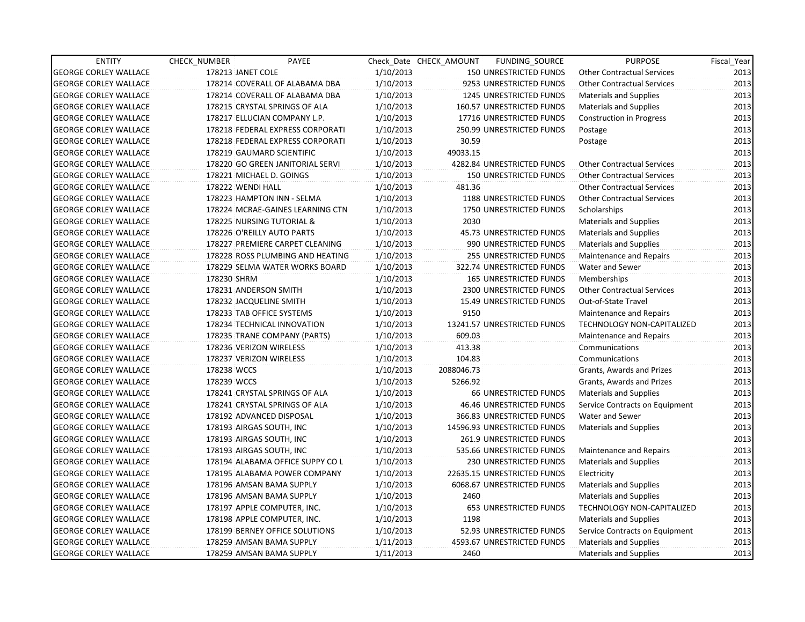| <b>ENTITY</b>                | CHECK NUMBER                 | PAYEE                            |           | Check Date CHECK AMOUNT | FUNDING_SOURCE                  | <b>PURPOSE</b>                    | Fiscal_Year |
|------------------------------|------------------------------|----------------------------------|-----------|-------------------------|---------------------------------|-----------------------------------|-------------|
| <b>GEORGE CORLEY WALLACE</b> | 178213 JANET COLE            |                                  | 1/10/2013 |                         | 150 UNRESTRICTED FUNDS          | <b>Other Contractual Services</b> | 2013        |
| <b>GEORGE CORLEY WALLACE</b> |                              | 178214 COVERALL OF ALABAMA DBA   | 1/10/2013 |                         | 9253 UNRESTRICTED FUNDS         | <b>Other Contractual Services</b> | 2013        |
| <b>GEORGE CORLEY WALLACE</b> |                              | 178214 COVERALL OF ALABAMA DBA   | 1/10/2013 |                         | 1245 UNRESTRICTED FUNDS         | <b>Materials and Supplies</b>     | 2013        |
| <b>GEORGE CORLEY WALLACE</b> |                              | 178215 CRYSTAL SPRINGS OF ALA    | 1/10/2013 |                         | 160.57 UNRESTRICTED FUNDS       | Materials and Supplies            | 2013        |
| <b>GEORGE CORLEY WALLACE</b> | 178217 ELLUCIAN COMPANY L.P. |                                  | 1/10/2013 |                         | 17716 UNRESTRICTED FUNDS        | <b>Construction in Progress</b>   | 2013        |
| <b>GEORGE CORLEY WALLACE</b> |                              | 178218 FEDERAL EXPRESS CORPORATI | 1/10/2013 |                         | 250.99 UNRESTRICTED FUNDS       | Postage                           | 2013        |
| <b>GEORGE CORLEY WALLACE</b> |                              | 178218 FEDERAL EXPRESS CORPORATI | 1/10/2013 | 30.59                   |                                 | Postage                           | 2013        |
| <b>GEORGE CORLEY WALLACE</b> | 178219 GAUMARD SCIENTIFIC    |                                  | 1/10/2013 | 49033.15                |                                 |                                   | 2013        |
| <b>GEORGE CORLEY WALLACE</b> |                              | 178220 GO GREEN JANITORIAL SERVI | 1/10/2013 |                         | 4282.84 UNRESTRICTED FUNDS      | <b>Other Contractual Services</b> | 2013        |
| <b>GEORGE CORLEY WALLACE</b> | 178221 MICHAEL D. GOINGS     |                                  | 1/10/2013 |                         | <b>150 UNRESTRICTED FUNDS</b>   | <b>Other Contractual Services</b> | 2013        |
| <b>GEORGE CORLEY WALLACE</b> | 178222 WENDI HALL            |                                  | 1/10/2013 | 481.36                  |                                 | <b>Other Contractual Services</b> | 2013        |
| <b>GEORGE CORLEY WALLACE</b> | 178223 HAMPTON INN - SELMA   |                                  | 1/10/2013 |                         | 1188 UNRESTRICTED FUNDS         | <b>Other Contractual Services</b> | 2013        |
| <b>GEORGE CORLEY WALLACE</b> |                              | 178224 MCRAE-GAINES LEARNING CTN | 1/10/2013 |                         | 1750 UNRESTRICTED FUNDS         | Scholarships                      | 2013        |
| <b>GEORGE CORLEY WALLACE</b> | 178225 NURSING TUTORIAL &    |                                  | 1/10/2013 | 2030                    |                                 | <b>Materials and Supplies</b>     | 2013        |
| <b>GEORGE CORLEY WALLACE</b> | 178226 O'REILLY AUTO PARTS   |                                  | 1/10/2013 |                         | 45.73 UNRESTRICTED FUNDS        | <b>Materials and Supplies</b>     | 2013        |
| <b>GEORGE CORLEY WALLACE</b> |                              | 178227 PREMIERE CARPET CLEANING  | 1/10/2013 |                         | 990 UNRESTRICTED FUNDS          | <b>Materials and Supplies</b>     | 2013        |
| <b>GEORGE CORLEY WALLACE</b> |                              | 178228 ROSS PLUMBING AND HEATING | 1/10/2013 |                         | 255 UNRESTRICTED FUNDS          | Maintenance and Repairs           | 2013        |
| <b>GEORGE CORLEY WALLACE</b> |                              | 178229 SELMA WATER WORKS BOARD   | 1/10/2013 |                         | 322.74 UNRESTRICTED FUNDS       | Water and Sewer                   | 2013        |
| <b>GEORGE CORLEY WALLACE</b> | 178230 SHRM                  |                                  | 1/10/2013 |                         | <b>165 UNRESTRICTED FUNDS</b>   | Memberships                       | 2013        |
| <b>GEORGE CORLEY WALLACE</b> | 178231 ANDERSON SMITH        |                                  | 1/10/2013 |                         | 2300 UNRESTRICTED FUNDS         | <b>Other Contractual Services</b> | 2013        |
| <b>GEORGE CORLEY WALLACE</b> | 178232 JACQUELINE SMITH      |                                  | 1/10/2013 |                         | <b>15.49 UNRESTRICTED FUNDS</b> | Out-of-State Travel               | 2013        |
| <b>GEORGE CORLEY WALLACE</b> | 178233 TAB OFFICE SYSTEMS    |                                  | 1/10/2013 | 9150                    |                                 | Maintenance and Repairs           | 2013        |
| <b>GEORGE CORLEY WALLACE</b> | 178234 TECHNICAL INNOVATION  |                                  | 1/10/2013 |                         | 13241.57 UNRESTRICTED FUNDS     | <b>TECHNOLOGY NON-CAPITALIZED</b> | 2013        |
| <b>GEORGE CORLEY WALLACE</b> |                              | 178235 TRANE COMPANY (PARTS)     | 1/10/2013 | 609.03                  |                                 | Maintenance and Repairs           | 2013        |
| <b>GEORGE CORLEY WALLACE</b> | 178236 VERIZON WIRELESS      |                                  | 1/10/2013 | 413.38                  |                                 | Communications                    | 2013        |
| <b>GEORGE CORLEY WALLACE</b> | 178237 VERIZON WIRELESS      |                                  | 1/10/2013 | 104.83                  |                                 | Communications                    | 2013        |
| <b>GEORGE CORLEY WALLACE</b> | 178238 WCCS                  |                                  | 1/10/2013 | 2088046.73              |                                 | Grants, Awards and Prizes         | 2013        |
| <b>GEORGE CORLEY WALLACE</b> | 178239 WCCS                  |                                  | 1/10/2013 | 5266.92                 |                                 | Grants, Awards and Prizes         | 2013        |
| <b>GEORGE CORLEY WALLACE</b> |                              | 178241 CRYSTAL SPRINGS OF ALA    | 1/10/2013 |                         | <b>66 UNRESTRICTED FUNDS</b>    | <b>Materials and Supplies</b>     | 2013        |
| <b>GEORGE CORLEY WALLACE</b> |                              | 178241 CRYSTAL SPRINGS OF ALA    | 1/10/2013 |                         | 46.46 UNRESTRICTED FUNDS        | Service Contracts on Equipment    | 2013        |
| <b>GEORGE CORLEY WALLACE</b> | 178192 ADVANCED DISPOSAL     |                                  | 1/10/2013 |                         | 366.83 UNRESTRICTED FUNDS       | Water and Sewer                   | 2013        |
| <b>GEORGE CORLEY WALLACE</b> | 178193 AIRGAS SOUTH, INC     |                                  | 1/10/2013 |                         | 14596.93 UNRESTRICTED FUNDS     | Materials and Supplies            | 2013        |
| <b>GEORGE CORLEY WALLACE</b> | 178193 AIRGAS SOUTH, INC     |                                  | 1/10/2013 |                         | 261.9 UNRESTRICTED FUNDS        |                                   | 2013        |
| <b>GEORGE CORLEY WALLACE</b> | 178193 AIRGAS SOUTH, INC     |                                  | 1/10/2013 |                         | 535.66 UNRESTRICTED FUNDS       | Maintenance and Repairs           | 2013        |
| <b>GEORGE CORLEY WALLACE</b> |                              | 178194 ALABAMA OFFICE SUPPY CO L | 1/10/2013 |                         | <b>230 UNRESTRICTED FUNDS</b>   | Materials and Supplies            | 2013        |
| <b>GEORGE CORLEY WALLACE</b> |                              | 178195 ALABAMA POWER COMPANY     | 1/10/2013 |                         | 22635.15 UNRESTRICTED FUNDS     | Electricity                       | 2013        |
| <b>GEORGE CORLEY WALLACE</b> | 178196 AMSAN BAMA SUPPLY     |                                  | 1/10/2013 |                         | 6068.67 UNRESTRICTED FUNDS      | <b>Materials and Supplies</b>     | 2013        |
| <b>GEORGE CORLEY WALLACE</b> | 178196 AMSAN BAMA SUPPLY     |                                  | 1/10/2013 | 2460                    |                                 | <b>Materials and Supplies</b>     | 2013        |
| <b>GEORGE CORLEY WALLACE</b> | 178197 APPLE COMPUTER, INC.  |                                  | 1/10/2013 |                         | <b>653 UNRESTRICTED FUNDS</b>   | <b>TECHNOLOGY NON-CAPITALIZED</b> | 2013        |
| <b>GEORGE CORLEY WALLACE</b> | 178198 APPLE COMPUTER, INC.  |                                  | 1/10/2013 | 1198                    |                                 | <b>Materials and Supplies</b>     | 2013        |
| <b>GEORGE CORLEY WALLACE</b> |                              | 178199 BERNEY OFFICE SOLUTIONS   | 1/10/2013 |                         | 52.93 UNRESTRICTED FUNDS        | Service Contracts on Equipment    | 2013        |
| <b>GEORGE CORLEY WALLACE</b> | 178259 AMSAN BAMA SUPPLY     |                                  | 1/11/2013 |                         | 4593.67 UNRESTRICTED FUNDS      | Materials and Supplies            | 2013        |
| <b>GEORGE CORLEY WALLACE</b> | 178259 AMSAN BAMA SUPPLY     |                                  | 1/11/2013 | 2460                    |                                 | <b>Materials and Supplies</b>     | 2013        |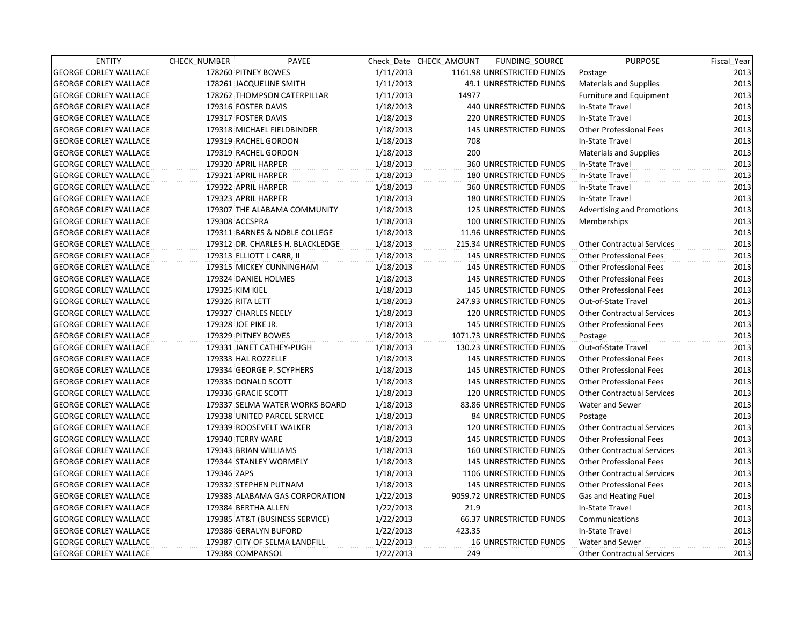| <b>ENTITY</b>                | CHECK_NUMBER         | PAYEE                            |           | Check Date CHECK AMOUNT | FUNDING_SOURCE                | <b>PURPOSE</b>                    | Fiscal_Year |
|------------------------------|----------------------|----------------------------------|-----------|-------------------------|-------------------------------|-----------------------------------|-------------|
| <b>GEORGE CORLEY WALLACE</b> | 178260 PITNEY BOWES  |                                  | 1/11/2013 |                         | 1161.98 UNRESTRICTED FUNDS    | Postage                           | 2013        |
| <b>GEORGE CORLEY WALLACE</b> |                      | 178261 JACQUELINE SMITH          | 1/11/2013 |                         | 49.1 UNRESTRICTED FUNDS       | <b>Materials and Supplies</b>     | 2013        |
| <b>GEORGE CORLEY WALLACE</b> |                      | 178262 THOMPSON CATERPILLAR      | 1/11/2013 | 14977                   |                               | Furniture and Equipment           | 2013        |
| <b>GEORGE CORLEY WALLACE</b> | 179316 FOSTER DAVIS  |                                  | 1/18/2013 |                         | 440 UNRESTRICTED FUNDS        | In-State Travel                   | 2013        |
| <b>GEORGE CORLEY WALLACE</b> | 179317 FOSTER DAVIS  |                                  | 1/18/2013 |                         | 220 UNRESTRICTED FUNDS        | In-State Travel                   | 2013        |
| <b>GEORGE CORLEY WALLACE</b> |                      | 179318 MICHAEL FIELDBINDER       | 1/18/2013 |                         | <b>145 UNRESTRICTED FUNDS</b> | <b>Other Professional Fees</b>    | 2013        |
| <b>GEORGE CORLEY WALLACE</b> |                      | 179319 RACHEL GORDON             | 1/18/2013 | 708                     |                               | In-State Travel                   | 2013        |
| <b>GEORGE CORLEY WALLACE</b> |                      | 179319 RACHEL GORDON             | 1/18/2013 | 200                     |                               | <b>Materials and Supplies</b>     | 2013        |
| <b>GEORGE CORLEY WALLACE</b> | 179320 APRIL HARPER  |                                  | 1/18/2013 |                         | <b>360 UNRESTRICTED FUNDS</b> | In-State Travel                   | 2013        |
| <b>GEORGE CORLEY WALLACE</b> | 179321 APRIL HARPER  |                                  | 1/18/2013 |                         | <b>180 UNRESTRICTED FUNDS</b> | In-State Travel                   | 2013        |
| <b>GEORGE CORLEY WALLACE</b> | 179322 APRIL HARPER  |                                  | 1/18/2013 |                         | 360 UNRESTRICTED FUNDS        | In-State Travel                   | 2013        |
| <b>GEORGE CORLEY WALLACE</b> | 179323 APRIL HARPER  |                                  | 1/18/2013 |                         | <b>180 UNRESTRICTED FUNDS</b> | In-State Travel                   | 2013        |
| <b>GEORGE CORLEY WALLACE</b> |                      | 179307 THE ALABAMA COMMUNITY     | 1/18/2013 |                         | 125 UNRESTRICTED FUNDS        | <b>Advertising and Promotions</b> | 2013        |
| <b>GEORGE CORLEY WALLACE</b> | 179308 ACCSPRA       |                                  | 1/18/2013 |                         | 100 UNRESTRICTED FUNDS        | Memberships                       | 2013        |
| <b>GEORGE CORLEY WALLACE</b> |                      | 179311 BARNES & NOBLE COLLEGE    | 1/18/2013 |                         | 11.96 UNRESTRICTED FUNDS      |                                   | 2013        |
| <b>GEORGE CORLEY WALLACE</b> |                      | 179312 DR. CHARLES H. BLACKLEDGE | 1/18/2013 |                         | 215.34 UNRESTRICTED FUNDS     | <b>Other Contractual Services</b> | 2013        |
| <b>GEORGE CORLEY WALLACE</b> |                      | 179313 ELLIOTT L CARR, II        | 1/18/2013 |                         | 145 UNRESTRICTED FUNDS        | <b>Other Professional Fees</b>    | 2013        |
| <b>GEORGE CORLEY WALLACE</b> |                      | 179315 MICKEY CUNNINGHAM         | 1/18/2013 |                         | <b>145 UNRESTRICTED FUNDS</b> | <b>Other Professional Fees</b>    | 2013        |
| <b>GEORGE CORLEY WALLACE</b> |                      | 179324 DANIEL HOLMES             | 1/18/2013 |                         | <b>145 UNRESTRICTED FUNDS</b> | <b>Other Professional Fees</b>    | 2013        |
| <b>GEORGE CORLEY WALLACE</b> | 179325 KIM KIEL      |                                  | 1/18/2013 |                         | <b>145 UNRESTRICTED FUNDS</b> | Other Professional Fees           | 2013        |
| <b>GEORGE CORLEY WALLACE</b> | 179326 RITA LETT     |                                  | 1/18/2013 |                         | 247.93 UNRESTRICTED FUNDS     | Out-of-State Travel               | 2013        |
| <b>GEORGE CORLEY WALLACE</b> | 179327 CHARLES NEELY |                                  | 1/18/2013 |                         | 120 UNRESTRICTED FUNDS        | <b>Other Contractual Services</b> | 2013        |
| <b>GEORGE CORLEY WALLACE</b> | 179328 JOE PIKE JR.  |                                  | 1/18/2013 |                         | <b>145 UNRESTRICTED FUNDS</b> | <b>Other Professional Fees</b>    | 2013        |
| <b>GEORGE CORLEY WALLACE</b> | 179329 PITNEY BOWES  |                                  | 1/18/2013 |                         | 1071.73 UNRESTRICTED FUNDS    | Postage                           | 2013        |
| <b>GEORGE CORLEY WALLACE</b> |                      | 179331 JANET CATHEY-PUGH         | 1/18/2013 |                         | 130.23 UNRESTRICTED FUNDS     | Out-of-State Travel               | 2013        |
| <b>GEORGE CORLEY WALLACE</b> | 179333 HAL ROZZELLE  |                                  | 1/18/2013 |                         | 145 UNRESTRICTED FUNDS        | <b>Other Professional Fees</b>    | 2013        |
| <b>GEORGE CORLEY WALLACE</b> |                      | 179334 GEORGE P. SCYPHERS        | 1/18/2013 |                         | <b>145 UNRESTRICTED FUNDS</b> | <b>Other Professional Fees</b>    | 2013        |
| <b>GEORGE CORLEY WALLACE</b> | 179335 DONALD SCOTT  |                                  | 1/18/2013 |                         | <b>145 UNRESTRICTED FUNDS</b> | <b>Other Professional Fees</b>    | 2013        |
| <b>GEORGE CORLEY WALLACE</b> | 179336 GRACIE SCOTT  |                                  | 1/18/2013 |                         | 120 UNRESTRICTED FUNDS        | <b>Other Contractual Services</b> | 2013        |
| <b>GEORGE CORLEY WALLACE</b> |                      | 179337 SELMA WATER WORKS BOARD   | 1/18/2013 |                         | 83.86 UNRESTRICTED FUNDS      | Water and Sewer                   | 2013        |
| <b>GEORGE CORLEY WALLACE</b> |                      | 179338 UNITED PARCEL SERVICE     | 1/18/2013 |                         | 84 UNRESTRICTED FUNDS         | Postage                           | 2013        |
| <b>GEORGE CORLEY WALLACE</b> |                      | 179339 ROOSEVELT WALKER          | 1/18/2013 |                         | <b>120 UNRESTRICTED FUNDS</b> | <b>Other Contractual Services</b> | 2013        |
| <b>GEORGE CORLEY WALLACE</b> | 179340 TERRY WARE    |                                  | 1/18/2013 |                         | <b>145 UNRESTRICTED FUNDS</b> | <b>Other Professional Fees</b>    | 2013        |
| <b>GEORGE CORLEY WALLACE</b> |                      | 179343 BRIAN WILLIAMS            | 1/18/2013 |                         | <b>160 UNRESTRICTED FUNDS</b> | Other Contractual Services        | 2013        |
| <b>GEORGE CORLEY WALLACE</b> |                      | 179344 STANLEY WORMELY           | 1/18/2013 |                         | <b>145 UNRESTRICTED FUNDS</b> | <b>Other Professional Fees</b>    | 2013        |
| <b>GEORGE CORLEY WALLACE</b> | 179346 ZAPS          |                                  | 1/18/2013 |                         | 1106 UNRESTRICTED FUNDS       | <b>Other Contractual Services</b> | 2013        |
| <b>GEORGE CORLEY WALLACE</b> |                      | 179332 STEPHEN PUTNAM            | 1/18/2013 |                         | <b>145 UNRESTRICTED FUNDS</b> | <b>Other Professional Fees</b>    | 2013        |
| <b>GEORGE CORLEY WALLACE</b> |                      | 179383 ALABAMA GAS CORPORATION   | 1/22/2013 |                         | 9059.72 UNRESTRICTED FUNDS    | Gas and Heating Fuel              | 2013        |
| <b>GEORGE CORLEY WALLACE</b> | 179384 BERTHA ALLEN  |                                  | 1/22/2013 | 21.9                    |                               | In-State Travel                   | 2013        |
| <b>GEORGE CORLEY WALLACE</b> |                      | 179385 AT&T (BUSINESS SERVICE)   | 1/22/2013 |                         | 66.37 UNRESTRICTED FUNDS      | Communications                    | 2013        |
| <b>GEORGE CORLEY WALLACE</b> |                      | 179386 GERALYN BUFORD            | 1/22/2013 | 423.35                  |                               | In-State Travel                   | 2013        |
| <b>GEORGE CORLEY WALLACE</b> |                      | 179387 CITY OF SELMA LANDFILL    | 1/22/2013 |                         | <b>16 UNRESTRICTED FUNDS</b>  | Water and Sewer                   | 2013        |
| <b>GEORGE CORLEY WALLACE</b> | 179388 COMPANSOL     |                                  | 1/22/2013 | 249                     |                               | <b>Other Contractual Services</b> | 2013        |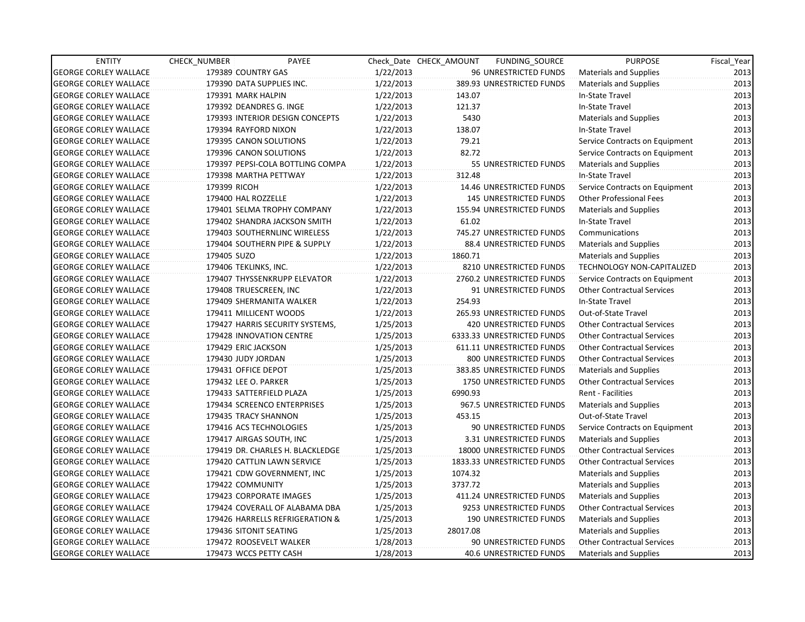| <b>ENTITY</b>                | CHECK NUMBER              | PAYEE                            |           | Check Date CHECK AMOUNT | FUNDING_SOURCE                  | <b>PURPOSE</b>                    | Fiscal_Year |
|------------------------------|---------------------------|----------------------------------|-----------|-------------------------|---------------------------------|-----------------------------------|-------------|
| <b>GEORGE CORLEY WALLACE</b> | 179389 COUNTRY GAS        |                                  | 1/22/2013 |                         | 96 UNRESTRICTED FUNDS           | <b>Materials and Supplies</b>     | 2013        |
| <b>GEORGE CORLEY WALLACE</b> | 179390 DATA SUPPLIES INC. |                                  | 1/22/2013 |                         | 389.93 UNRESTRICTED FUNDS       | <b>Materials and Supplies</b>     | 2013        |
| <b>GEORGE CORLEY WALLACE</b> | 179391 MARK HALPIN        |                                  | 1/22/2013 | 143.07                  |                                 | In-State Travel                   | 2013        |
| <b>GEORGE CORLEY WALLACE</b> | 179392 DEANDRES G. INGE   |                                  | 1/22/2013 | 121.37                  |                                 | In-State Travel                   | 2013        |
| <b>GEORGE CORLEY WALLACE</b> |                           | 179393 INTERIOR DESIGN CONCEPTS  | 1/22/2013 | 5430                    |                                 | <b>Materials and Supplies</b>     | 2013        |
| <b>GEORGE CORLEY WALLACE</b> | 179394 RAYFORD NIXON      |                                  | 1/22/2013 | 138.07                  |                                 | In-State Travel                   | 2013        |
| <b>GEORGE CORLEY WALLACE</b> | 179395 CANON SOLUTIONS    |                                  | 1/22/2013 | 79.21                   |                                 | Service Contracts on Equipment    | 2013        |
| <b>GEORGE CORLEY WALLACE</b> | 179396 CANON SOLUTIONS    |                                  | 1/22/2013 | 82.72                   |                                 | Service Contracts on Equipment    | 2013        |
| <b>GEORGE CORLEY WALLACE</b> |                           | 179397 PEPSI-COLA BOTTLING COMPA | 1/22/2013 |                         | 55 UNRESTRICTED FUNDS           | <b>Materials and Supplies</b>     | 2013        |
| <b>GEORGE CORLEY WALLACE</b> | 179398 MARTHA PETTWAY     |                                  | 1/22/2013 | 312.48                  |                                 | In-State Travel                   | 2013        |
| <b>GEORGE CORLEY WALLACE</b> | 179399 RICOH              |                                  | 1/22/2013 |                         | 14.46 UNRESTRICTED FUNDS        | Service Contracts on Equipment    | 2013        |
| <b>GEORGE CORLEY WALLACE</b> | 179400 HAL ROZZELLE       |                                  | 1/22/2013 |                         | 145 UNRESTRICTED FUNDS          | <b>Other Professional Fees</b>    | 2013        |
| <b>GEORGE CORLEY WALLACE</b> |                           | 179401 SELMA TROPHY COMPANY      | 1/22/2013 |                         | 155.94 UNRESTRICTED FUNDS       | <b>Materials and Supplies</b>     | 2013        |
| <b>GEORGE CORLEY WALLACE</b> |                           | 179402 SHANDRA JACKSON SMITH     | 1/22/2013 | 61.02                   |                                 | In-State Travel                   | 2013        |
| <b>GEORGE CORLEY WALLACE</b> |                           | 179403 SOUTHERNLINC WIRELESS     | 1/22/2013 |                         | 745.27 UNRESTRICTED FUNDS       | Communications                    | 2013        |
| <b>GEORGE CORLEY WALLACE</b> |                           | 179404 SOUTHERN PIPE & SUPPLY    | 1/22/2013 |                         | 88.4 UNRESTRICTED FUNDS         | <b>Materials and Supplies</b>     | 2013        |
| <b>GEORGE CORLEY WALLACE</b> | 179405 SUZO               |                                  | 1/22/2013 | 1860.71                 |                                 | Materials and Supplies            | 2013        |
| <b>GEORGE CORLEY WALLACE</b> | 179406 TEKLINKS, INC.     |                                  | 1/22/2013 |                         | 8210 UNRESTRICTED FUNDS         | TECHNOLOGY NON-CAPITALIZED        | 2013        |
| <b>GEORGE CORLEY WALLACE</b> |                           | 179407 THYSSENKRUPP ELEVATOR     | 1/22/2013 |                         | 2760.2 UNRESTRICTED FUNDS       | Service Contracts on Equipment    | 2013        |
| <b>GEORGE CORLEY WALLACE</b> | 179408 TRUESCREEN, INC    |                                  | 1/22/2013 |                         | 91 UNRESTRICTED FUNDS           | <b>Other Contractual Services</b> | 2013        |
| <b>GEORGE CORLEY WALLACE</b> |                           | 179409 SHERMANITA WALKER         | 1/22/2013 | 254.93                  |                                 | In-State Travel                   | 2013        |
| <b>GEORGE CORLEY WALLACE</b> | 179411 MILLICENT WOODS    |                                  | 1/22/2013 |                         | 265.93 UNRESTRICTED FUNDS       | Out-of-State Travel               | 2013        |
| <b>GEORGE CORLEY WALLACE</b> |                           | 179427 HARRIS SECURITY SYSTEMS,  | 1/25/2013 |                         | 420 UNRESTRICTED FUNDS          | <b>Other Contractual Services</b> | 2013        |
| <b>GEORGE CORLEY WALLACE</b> | 179428 INNOVATION CENTRE  |                                  | 1/25/2013 |                         | 6333.33 UNRESTRICTED FUNDS      | <b>Other Contractual Services</b> | 2013        |
| <b>GEORGE CORLEY WALLACE</b> | 179429 ERIC JACKSON       |                                  | 1/25/2013 |                         | 611.11 UNRESTRICTED FUNDS       | <b>Other Contractual Services</b> | 2013        |
| <b>GEORGE CORLEY WALLACE</b> | 179430 JUDY JORDAN        |                                  | 1/25/2013 |                         | 800 UNRESTRICTED FUNDS          | <b>Other Contractual Services</b> | 2013        |
| <b>GEORGE CORLEY WALLACE</b> | 179431 OFFICE DEPOT       |                                  | 1/25/2013 |                         | 383.85 UNRESTRICTED FUNDS       | <b>Materials and Supplies</b>     | 2013        |
| <b>GEORGE CORLEY WALLACE</b> | 179432 LEE O. PARKER      |                                  | 1/25/2013 |                         | 1750 UNRESTRICTED FUNDS         | <b>Other Contractual Services</b> | 2013        |
| <b>GEORGE CORLEY WALLACE</b> | 179433 SATTERFIELD PLAZA  |                                  | 1/25/2013 | 6990.93                 |                                 | Rent - Facilities                 | 2013        |
| <b>GEORGE CORLEY WALLACE</b> |                           | 179434 SCREENCO ENTERPRISES      | 1/25/2013 |                         | 967.5 UNRESTRICTED FUNDS        | Materials and Supplies            | 2013        |
| <b>GEORGE CORLEY WALLACE</b> | 179435 TRACY SHANNON      |                                  | 1/25/2013 | 453.15                  |                                 | Out-of-State Travel               | 2013        |
| <b>GEORGE CORLEY WALLACE</b> | 179416 ACS TECHNOLOGIES   |                                  | 1/25/2013 |                         | 90 UNRESTRICTED FUNDS           | Service Contracts on Equipment    | 2013        |
| <b>GEORGE CORLEY WALLACE</b> | 179417 AIRGAS SOUTH, INC  |                                  | 1/25/2013 |                         | 3.31 UNRESTRICTED FUNDS         | <b>Materials and Supplies</b>     | 2013        |
| <b>GEORGE CORLEY WALLACE</b> |                           | 179419 DR. CHARLES H. BLACKLEDGE | 1/25/2013 |                         | <b>18000 UNRESTRICTED FUNDS</b> | <b>Other Contractual Services</b> | 2013        |
| <b>GEORGE CORLEY WALLACE</b> |                           | 179420 CATTLIN LAWN SERVICE      | 1/25/2013 |                         | 1833.33 UNRESTRICTED FUNDS      | <b>Other Contractual Services</b> | 2013        |
| <b>GEORGE CORLEY WALLACE</b> |                           | 179421 CDW GOVERNMENT, INC       | 1/25/2013 | 1074.32                 |                                 | <b>Materials and Supplies</b>     | 2013        |
| <b>GEORGE CORLEY WALLACE</b> | 179422 COMMUNITY          |                                  | 1/25/2013 | 3737.72                 |                                 | <b>Materials and Supplies</b>     | 2013        |
| <b>GEORGE CORLEY WALLACE</b> | 179423 CORPORATE IMAGES   |                                  | 1/25/2013 |                         | 411.24 UNRESTRICTED FUNDS       | <b>Materials and Supplies</b>     | 2013        |
| <b>GEORGE CORLEY WALLACE</b> |                           | 179424 COVERALL OF ALABAMA DBA   | 1/25/2013 |                         | 9253 UNRESTRICTED FUNDS         | <b>Other Contractual Services</b> | 2013        |
| <b>GEORGE CORLEY WALLACE</b> |                           | 179426 HARRELLS REFRIGERATION &  | 1/25/2013 |                         | 190 UNRESTRICTED FUNDS          | Materials and Supplies            | 2013        |
| <b>GEORGE CORLEY WALLACE</b> | 179436 SITONIT SEATING    |                                  | 1/25/2013 | 28017.08                |                                 | <b>Materials and Supplies</b>     | 2013        |
| <b>GEORGE CORLEY WALLACE</b> | 179472 ROOSEVELT WALKER   |                                  | 1/28/2013 |                         | 90 UNRESTRICTED FUNDS           | <b>Other Contractual Services</b> | 2013        |
| <b>GEORGE CORLEY WALLACE</b> | 179473 WCCS PETTY CASH    |                                  | 1/28/2013 |                         | <b>40.6 UNRESTRICTED FUNDS</b>  | <b>Materials and Supplies</b>     | 2013        |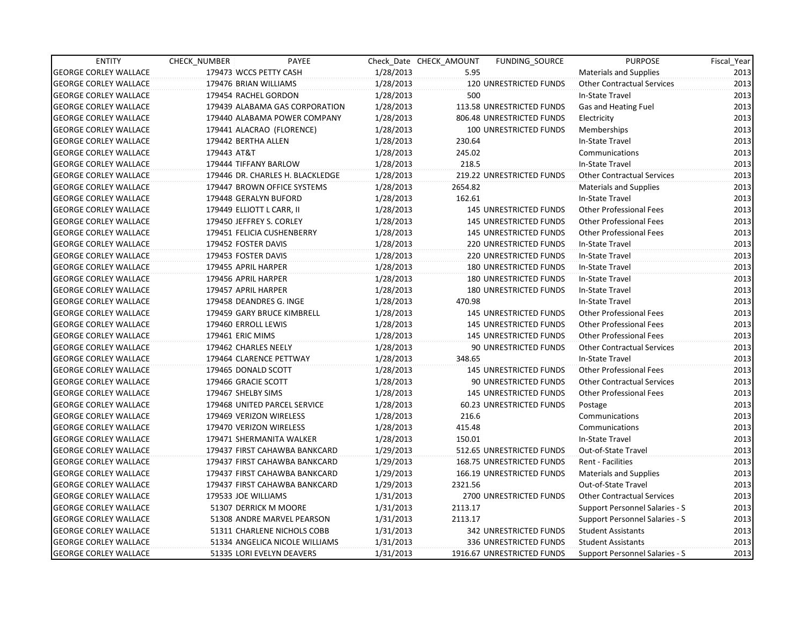| <b>ENTITY</b>                | CHECK NUMBER     | PAYEE                            |           | Check Date CHECK AMOUNT | FUNDING_SOURCE                | <b>PURPOSE</b>                    | Fiscal_Year |
|------------------------------|------------------|----------------------------------|-----------|-------------------------|-------------------------------|-----------------------------------|-------------|
| <b>GEORGE CORLEY WALLACE</b> |                  | 179473 WCCS PETTY CASH           | 1/28/2013 | 5.95                    |                               | <b>Materials and Supplies</b>     | 2013        |
| <b>GEORGE CORLEY WALLACE</b> |                  | 179476 BRIAN WILLIAMS            | 1/28/2013 |                         | 120 UNRESTRICTED FUNDS        | <b>Other Contractual Services</b> | 2013        |
| <b>GEORGE CORLEY WALLACE</b> |                  | 179454 RACHEL GORDON             | 1/28/2013 | 500                     |                               | In-State Travel                   | 2013        |
| <b>GEORGE CORLEY WALLACE</b> |                  | 179439 ALABAMA GAS CORPORATION   | 1/28/2013 |                         | 113.58 UNRESTRICTED FUNDS     | Gas and Heating Fuel              | 2013        |
| <b>GEORGE CORLEY WALLACE</b> |                  | 179440 ALABAMA POWER COMPANY     | 1/28/2013 |                         | 806.48 UNRESTRICTED FUNDS     | Electricity                       | 2013        |
| <b>GEORGE CORLEY WALLACE</b> |                  | 179441 ALACRAO (FLORENCE)        | 1/28/2013 |                         | 100 UNRESTRICTED FUNDS        | Memberships                       | 2013        |
| <b>GEORGE CORLEY WALLACE</b> |                  | 179442 BERTHA ALLEN              | 1/28/2013 | 230.64                  |                               | In-State Travel                   | 2013        |
| <b>GEORGE CORLEY WALLACE</b> | 179443 AT&T      |                                  | 1/28/2013 | 245.02                  |                               | Communications                    | 2013        |
| <b>GEORGE CORLEY WALLACE</b> |                  | 179444 TIFFANY BARLOW            | 1/28/2013 | 218.5                   |                               | In-State Travel                   | 2013        |
| <b>GEORGE CORLEY WALLACE</b> |                  | 179446 DR. CHARLES H. BLACKLEDGE | 1/28/2013 |                         | 219.22 UNRESTRICTED FUNDS     | <b>Other Contractual Services</b> | 2013        |
| <b>GEORGE CORLEY WALLACE</b> |                  | 179447 BROWN OFFICE SYSTEMS      | 1/28/2013 | 2654.82                 |                               | <b>Materials and Supplies</b>     | 2013        |
| <b>GEORGE CORLEY WALLACE</b> |                  | 179448 GERALYN BUFORD            | 1/28/2013 | 162.61                  |                               | In-State Travel                   | 2013        |
| <b>GEORGE CORLEY WALLACE</b> |                  | 179449 ELLIOTT L CARR, II        | 1/28/2013 |                         | <b>145 UNRESTRICTED FUNDS</b> | <b>Other Professional Fees</b>    | 2013        |
| <b>GEORGE CORLEY WALLACE</b> |                  | 179450 JEFFREY S. CORLEY         | 1/28/2013 |                         | <b>145 UNRESTRICTED FUNDS</b> | <b>Other Professional Fees</b>    | 2013        |
| <b>GEORGE CORLEY WALLACE</b> |                  | 179451 FELICIA CUSHENBERRY       | 1/28/2013 |                         | <b>145 UNRESTRICTED FUNDS</b> | <b>Other Professional Fees</b>    | 2013        |
| <b>GEORGE CORLEY WALLACE</b> |                  | 179452 FOSTER DAVIS              | 1/28/2013 |                         | <b>220 UNRESTRICTED FUNDS</b> | In-State Travel                   | 2013        |
| GEORGE CORLEY WALLACE        |                  | 179453 FOSTER DAVIS              | 1/28/2013 |                         | <b>220 UNRESTRICTED FUNDS</b> | In-State Travel                   | 2013        |
| <b>GEORGE CORLEY WALLACE</b> |                  | 179455 APRIL HARPER              | 1/28/2013 |                         | <b>180 UNRESTRICTED FUNDS</b> | In-State Travel                   | 2013        |
| <b>GEORGE CORLEY WALLACE</b> |                  | 179456 APRIL HARPER              | 1/28/2013 |                         | <b>180 UNRESTRICTED FUNDS</b> | In-State Travel                   | 2013        |
| <b>GEORGE CORLEY WALLACE</b> |                  | 179457 APRIL HARPER              | 1/28/2013 |                         | <b>180 UNRESTRICTED FUNDS</b> | In-State Travel                   | 2013        |
| <b>GEORGE CORLEY WALLACE</b> |                  | 179458 DEANDRES G. INGE          | 1/28/2013 | 470.98                  |                               | In-State Travel                   | 2013        |
| <b>GEORGE CORLEY WALLACE</b> |                  | 179459 GARY BRUCE KIMBRELL       | 1/28/2013 |                         | 145 UNRESTRICTED FUNDS        | <b>Other Professional Fees</b>    | 2013        |
| <b>GEORGE CORLEY WALLACE</b> |                  | 179460 ERROLL LEWIS              | 1/28/2013 |                         | 145 UNRESTRICTED FUNDS        | <b>Other Professional Fees</b>    | 2013        |
| <b>GEORGE CORLEY WALLACE</b> | 179461 ERIC MIMS |                                  | 1/28/2013 |                         | 145 UNRESTRICTED FUNDS        | <b>Other Professional Fees</b>    | 2013        |
| <b>GEORGE CORLEY WALLACE</b> |                  | 179462 CHARLES NEELY             | 1/28/2013 |                         | 90 UNRESTRICTED FUNDS         | <b>Other Contractual Services</b> | 2013        |
| <b>GEORGE CORLEY WALLACE</b> |                  | 179464 CLARENCE PETTWAY          | 1/28/2013 | 348.65                  |                               | In-State Travel                   | 2013        |
| <b>GEORGE CORLEY WALLACE</b> |                  | 179465 DONALD SCOTT              | 1/28/2013 |                         | <b>145 UNRESTRICTED FUNDS</b> | <b>Other Professional Fees</b>    | 2013        |
| <b>GEORGE CORLEY WALLACE</b> |                  | 179466 GRACIE SCOTT              | 1/28/2013 |                         | 90 UNRESTRICTED FUNDS         | <b>Other Contractual Services</b> | 2013        |
| <b>GEORGE CORLEY WALLACE</b> |                  | 179467 SHELBY SIMS               | 1/28/2013 |                         | <b>145 UNRESTRICTED FUNDS</b> | <b>Other Professional Fees</b>    | 2013        |
| <b>GEORGE CORLEY WALLACE</b> |                  | 179468 UNITED PARCEL SERVICE     | 1/28/2013 |                         | 60.23 UNRESTRICTED FUNDS      | Postage                           | 2013        |
| <b>GEORGE CORLEY WALLACE</b> |                  | 179469 VERIZON WIRELESS          | 1/28/2013 | 216.6                   |                               | Communications                    | 2013        |
| <b>GEORGE CORLEY WALLACE</b> |                  | 179470 VERIZON WIRELESS          | 1/28/2013 | 415.48                  |                               | Communications                    | 2013        |
| <b>GEORGE CORLEY WALLACE</b> |                  | 179471 SHERMANITA WALKER         | 1/28/2013 | 150.01                  |                               | In-State Travel                   | 2013        |
| <b>GEORGE CORLEY WALLACE</b> |                  | 179437 FIRST CAHAWBA BANKCARD    | 1/29/2013 |                         | 512.65 UNRESTRICTED FUNDS     | Out-of-State Travel               | 2013        |
| GEORGE CORLEY WALLACE        |                  | 179437 FIRST CAHAWBA BANKCARD    | 1/29/2013 |                         | 168.75 UNRESTRICTED FUNDS     | <b>Rent - Facilities</b>          | 2013        |
| <b>GEORGE CORLEY WALLACE</b> |                  | 179437 FIRST CAHAWBA BANKCARD    | 1/29/2013 |                         | 166.19 UNRESTRICTED FUNDS     | <b>Materials and Supplies</b>     | 2013        |
| <b>GEORGE CORLEY WALLACE</b> |                  | 179437 FIRST CAHAWBA BANKCARD    | 1/29/2013 | 2321.56                 |                               | Out-of-State Travel               | 2013        |
| <b>GEORGE CORLEY WALLACE</b> |                  | 179533 JOE WILLIAMS              | 1/31/2013 |                         | 2700 UNRESTRICTED FUNDS       | <b>Other Contractual Services</b> | 2013        |
| <b>GEORGE CORLEY WALLACE</b> |                  | 51307 DERRICK M MOORE            | 1/31/2013 | 2113.17                 |                               | Support Personnel Salaries - S    | 2013        |
| <b>GEORGE CORLEY WALLACE</b> |                  | 51308 ANDRE MARVEL PEARSON       | 1/31/2013 | 2113.17                 |                               | Support Personnel Salaries - S    | 2013        |
| <b>GEORGE CORLEY WALLACE</b> |                  | 51311 CHARLENE NICHOLS COBB      | 1/31/2013 |                         | 342 UNRESTRICTED FUNDS        | <b>Student Assistants</b>         | 2013        |
| <b>GEORGE CORLEY WALLACE</b> |                  | 51334 ANGELICA NICOLE WILLIAMS   | 1/31/2013 |                         | 336 UNRESTRICTED FUNDS        | <b>Student Assistants</b>         | 2013        |
| <b>GEORGE CORLEY WALLACE</b> |                  | 51335 LORI EVELYN DEAVERS        | 1/31/2013 |                         | 1916.67 UNRESTRICTED FUNDS    | Support Personnel Salaries - S    | 2013        |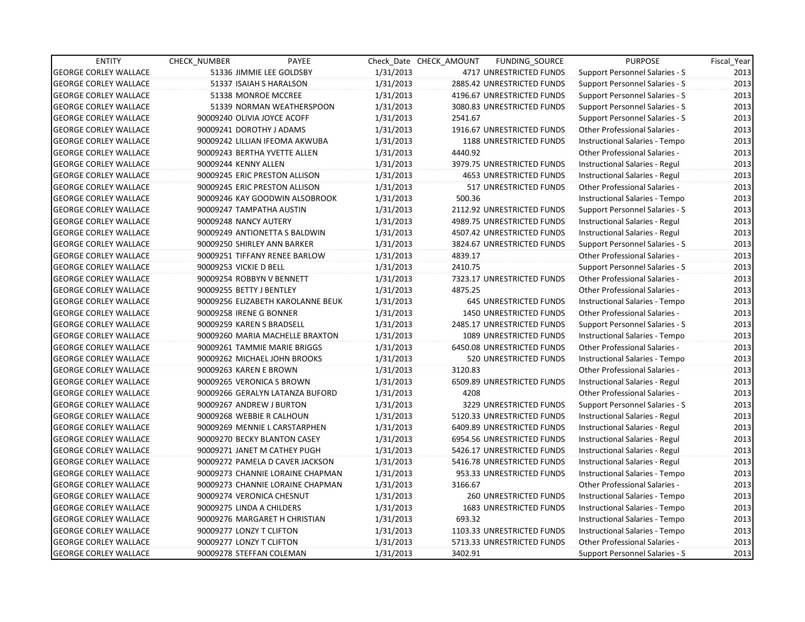| <b>ENTITY</b>                | CHECK_NUMBER           | PAYEE                             |           | Check Date CHECK AMOUNT | FUNDING_SOURCE                 | <b>PURPOSE</b>                       | Fiscal_Year |
|------------------------------|------------------------|-----------------------------------|-----------|-------------------------|--------------------------------|--------------------------------------|-------------|
| <b>GEORGE CORLEY WALLACE</b> |                        | 51336 JIMMIE LEE GOLDSBY          | 1/31/2013 |                         | 4717 UNRESTRICTED FUNDS        | Support Personnel Salaries - S       | 2013        |
| <b>GEORGE CORLEY WALLACE</b> |                        | 51337 ISAIAH S HARALSON           | 1/31/2013 |                         | 2885.42 UNRESTRICTED FUNDS     | Support Personnel Salaries - S       | 2013        |
| <b>GEORGE CORLEY WALLACE</b> |                        | 51338 MONROE MCCREE               | 1/31/2013 |                         | 4196.67 UNRESTRICTED FUNDS     | Support Personnel Salaries - S       | 2013        |
| <b>GEORGE CORLEY WALLACE</b> |                        | 51339 NORMAN WEATHERSPOON         | 1/31/2013 |                         | 3080.83 UNRESTRICTED FUNDS     | Support Personnel Salaries - S       | 2013        |
| <b>GEORGE CORLEY WALLACE</b> |                        | 90009240 OLIVIA JOYCE ACOFF       | 1/31/2013 | 2541.67                 |                                | Support Personnel Salaries - S       | 2013        |
| <b>GEORGE CORLEY WALLACE</b> |                        | 90009241 DOROTHY J ADAMS          | 1/31/2013 |                         | 1916.67 UNRESTRICTED FUNDS     | Other Professional Salaries -        | 2013        |
| <b>GEORGE CORLEY WALLACE</b> |                        | 90009242 LILLIAN IFEOMA AKWUBA    | 1/31/2013 |                         | 1188 UNRESTRICTED FUNDS        | Instructional Salaries - Tempo       | 2013        |
| <b>GEORGE CORLEY WALLACE</b> |                        | 90009243 BERTHA YVETTE ALLEN      | 1/31/2013 | 4440.92                 |                                | Other Professional Salaries -        | 2013        |
| <b>GEORGE CORLEY WALLACE</b> | 90009244 KENNY ALLEN   |                                   | 1/31/2013 |                         | 3979.75 UNRESTRICTED FUNDS     | Instructional Salaries - Regul       | 2013        |
| <b>GEORGE CORLEY WALLACE</b> |                        | 90009245 ERIC PRESTON ALLISON     | 1/31/2013 |                         | <b>4653 UNRESTRICTED FUNDS</b> | Instructional Salaries - Regul       | 2013        |
| <b>GEORGE CORLEY WALLACE</b> |                        | 90009245 ERIC PRESTON ALLISON     | 1/31/2013 |                         | 517 UNRESTRICTED FUNDS         | Other Professional Salaries -        | 2013        |
| <b>GEORGE CORLEY WALLACE</b> |                        | 90009246 KAY GOODWIN ALSOBROOK    | 1/31/2013 | 500.36                  |                                | Instructional Salaries - Tempo       | 2013        |
| <b>GEORGE CORLEY WALLACE</b> |                        | 90009247 TAMPATHA AUSTIN          | 1/31/2013 |                         | 2112.92 UNRESTRICTED FUNDS     | Support Personnel Salaries - S       | 2013        |
| <b>GEORGE CORLEY WALLACE</b> |                        | 90009248 NANCY AUTERY             | 1/31/2013 |                         | 4989.75 UNRESTRICTED FUNDS     | Instructional Salaries - Regul       | 2013        |
| <b>GEORGE CORLEY WALLACE</b> |                        | 90009249 ANTIONETTA S BALDWIN     | 1/31/2013 |                         | 4507.42 UNRESTRICTED FUNDS     | Instructional Salaries - Regul       | 2013        |
| <b>GEORGE CORLEY WALLACE</b> |                        | 90009250 SHIRLEY ANN BARKER       | 1/31/2013 |                         | 3824.67 UNRESTRICTED FUNDS     | Support Personnel Salaries - S       | 2013        |
| <b>GEORGE CORLEY WALLACE</b> |                        | 90009251 TIFFANY RENEE BARLOW     | 1/31/2013 | 4839.17                 |                                | Other Professional Salaries -        | 2013        |
| <b>GEORGE CORLEY WALLACE</b> | 90009253 VICKIE D BELL |                                   | 1/31/2013 | 2410.75                 |                                | Support Personnel Salaries - S       | 2013        |
| <b>GEORGE CORLEY WALLACE</b> |                        | 90009254 ROBBYN V BENNETT         | 1/31/2013 |                         | 7323.17 UNRESTRICTED FUNDS     | <b>Other Professional Salaries -</b> | 2013        |
| <b>GEORGE CORLEY WALLACE</b> |                        | 90009255 BETTY J BENTLEY          | 1/31/2013 | 4875.25                 |                                | <b>Other Professional Salaries -</b> | 2013        |
| <b>GEORGE CORLEY WALLACE</b> |                        | 90009256 ELIZABETH KAROLANNE BEUK | 1/31/2013 |                         | 645 UNRESTRICTED FUNDS         | Instructional Salaries - Tempo       | 2013        |
| <b>GEORGE CORLEY WALLACE</b> |                        | 90009258 IRENE G BONNER           | 1/31/2013 |                         | 1450 UNRESTRICTED FUNDS        | Other Professional Salaries -        | 2013        |
| <b>GEORGE CORLEY WALLACE</b> |                        | 90009259 KAREN S BRADSELL         | 1/31/2013 |                         | 2485.17 UNRESTRICTED FUNDS     | Support Personnel Salaries - S       | 2013        |
| <b>GEORGE CORLEY WALLACE</b> |                        | 90009260 MARIA MACHELLE BRAXTON   | 1/31/2013 |                         | 1089 UNRESTRICTED FUNDS        | Instructional Salaries - Tempo       | 2013        |
| <b>GEORGE CORLEY WALLACE</b> |                        | 90009261 TAMMIE MARIE BRIGGS      | 1/31/2013 |                         | 6450.08 UNRESTRICTED FUNDS     | Other Professional Salaries -        | 2013        |
| <b>GEORGE CORLEY WALLACE</b> |                        | 90009262 MICHAEL JOHN BROOKS      | 1/31/2013 |                         | 520 UNRESTRICTED FUNDS         | Instructional Salaries - Tempo       | 2013        |
| <b>GEORGE CORLEY WALLACE</b> |                        | 90009263 KAREN E BROWN            | 1/31/2013 | 3120.83                 |                                | <b>Other Professional Salaries -</b> | 2013        |
| <b>GEORGE CORLEY WALLACE</b> |                        | 90009265 VERONICA S BROWN         | 1/31/2013 |                         | 6509.89 UNRESTRICTED FUNDS     | Instructional Salaries - Regul       | 2013        |
| <b>GEORGE CORLEY WALLACE</b> |                        | 90009266 GERALYN LATANZA BUFORD   | 1/31/2013 | 4208                    |                                | <b>Other Professional Salaries -</b> | 2013        |
| <b>GEORGE CORLEY WALLACE</b> |                        | 90009267 ANDREW J BURTON          | 1/31/2013 |                         | 3229 UNRESTRICTED FUNDS        | Support Personnel Salaries - S       | 2013        |
| <b>GEORGE CORLEY WALLACE</b> |                        | 90009268 WEBBIE R CALHOUN         | 1/31/2013 |                         | 5120.33 UNRESTRICTED FUNDS     | Instructional Salaries - Regul       | 2013        |
| <b>GEORGE CORLEY WALLACE</b> |                        | 90009269 MENNIE L CARSTARPHEN     | 1/31/2013 |                         | 6409.89 UNRESTRICTED FUNDS     | Instructional Salaries - Regul       | 2013        |
| <b>GEORGE CORLEY WALLACE</b> |                        | 90009270 BECKY BLANTON CASEY      | 1/31/2013 |                         | 6954.56 UNRESTRICTED FUNDS     | Instructional Salaries - Regul       | 2013        |
| <b>GEORGE CORLEY WALLACE</b> |                        | 90009271 JANET M CATHEY PUGH      | 1/31/2013 |                         | 5426.17 UNRESTRICTED FUNDS     | Instructional Salaries - Regul       | 2013        |
| <b>GEORGE CORLEY WALLACE</b> |                        | 90009272 PAMELA D CAVER JACKSON   | 1/31/2013 |                         | 5416.78 UNRESTRICTED FUNDS     | Instructional Salaries - Regul       | 2013        |
| <b>GEORGE CORLEY WALLACE</b> |                        | 90009273 CHANNIE LORAINE CHAPMAN  | 1/31/2013 |                         | 953.33 UNRESTRICTED FUNDS      | Instructional Salaries - Tempo       | 2013        |
| <b>GEORGE CORLEY WALLACE</b> |                        | 90009273 CHANNIE LORAINE CHAPMAN  | 1/31/2013 | 3166.67                 |                                | <b>Other Professional Salaries -</b> | 2013        |
| <b>GEORGE CORLEY WALLACE</b> |                        | 90009274 VERONICA CHESNUT         | 1/31/2013 |                         | 260 UNRESTRICTED FUNDS         | Instructional Salaries - Tempo       | 2013        |
| <b>GEORGE CORLEY WALLACE</b> |                        | 90009275 LINDA A CHILDERS         | 1/31/2013 |                         | 1683 UNRESTRICTED FUNDS        | Instructional Salaries - Tempo       | 2013        |
| <b>GEORGE CORLEY WALLACE</b> |                        | 90009276 MARGARET H CHRISTIAN     | 1/31/2013 | 693.32                  |                                | Instructional Salaries - Tempo       | 2013        |
| <b>GEORGE CORLEY WALLACE</b> |                        | 90009277 LONZY T CLIFTON          | 1/31/2013 |                         | 1103.33 UNRESTRICTED FUNDS     | Instructional Salaries - Tempo       | 2013        |
| <b>GEORGE CORLEY WALLACE</b> |                        | 90009277 LONZY T CLIFTON          | 1/31/2013 |                         | 5713.33 UNRESTRICTED FUNDS     | Other Professional Salaries -        | 2013        |
| <b>GEORGE CORLEY WALLACE</b> |                        | 90009278 STEFFAN COLEMAN          | 1/31/2013 | 3402.91                 |                                | Support Personnel Salaries - S       | 2013        |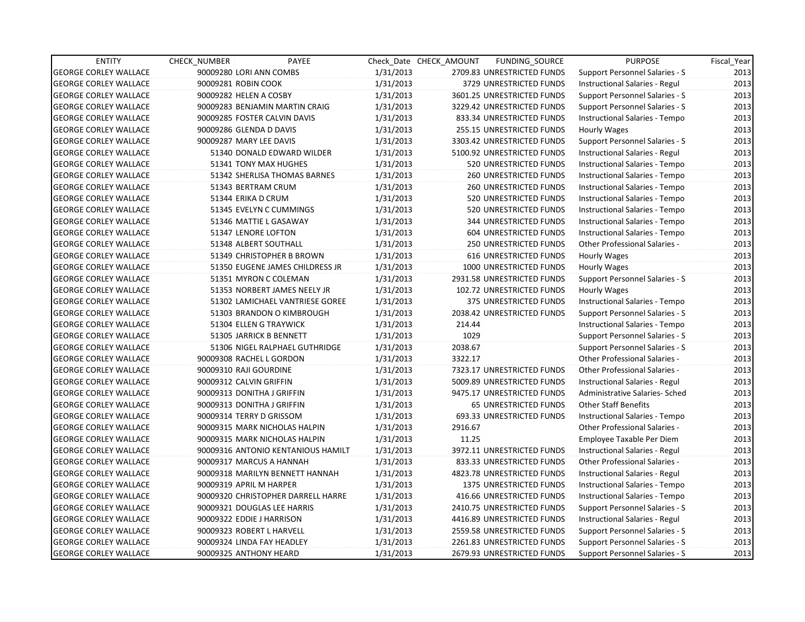| <b>ENTITY</b>                | CHECK_NUMBER               | PAYEE                              |           | Check Date CHECK AMOUNT | FUNDING_SOURCE                | <b>PURPOSE</b>                       | Fiscal_Year |
|------------------------------|----------------------------|------------------------------------|-----------|-------------------------|-------------------------------|--------------------------------------|-------------|
| <b>GEORGE CORLEY WALLACE</b> | 90009280 LORI ANN COMBS    |                                    | 1/31/2013 |                         | 2709.83 UNRESTRICTED FUNDS    | Support Personnel Salaries - S       | 2013        |
| <b>GEORGE CORLEY WALLACE</b> | 90009281 ROBIN COOK        |                                    | 1/31/2013 |                         | 3729 UNRESTRICTED FUNDS       | Instructional Salaries - Regul       | 2013        |
| <b>GEORGE CORLEY WALLACE</b> | 90009282 HELEN A COSBY     |                                    | 1/31/2013 |                         | 3601.25 UNRESTRICTED FUNDS    | Support Personnel Salaries - S       | 2013        |
| <b>GEORGE CORLEY WALLACE</b> |                            | 90009283 BENJAMIN MARTIN CRAIG     | 1/31/2013 |                         | 3229.42 UNRESTRICTED FUNDS    | Support Personnel Salaries - S       | 2013        |
| <b>GEORGE CORLEY WALLACE</b> |                            | 90009285 FOSTER CALVIN DAVIS       | 1/31/2013 |                         | 833.34 UNRESTRICTED FUNDS     | Instructional Salaries - Tempo       | 2013        |
| <b>GEORGE CORLEY WALLACE</b> | 90009286 GLENDA D DAVIS    |                                    | 1/31/2013 |                         | 255.15 UNRESTRICTED FUNDS     | Hourly Wages                         | 2013        |
| <b>GEORGE CORLEY WALLACE</b> | 90009287 MARY LEE DAVIS    |                                    | 1/31/2013 |                         | 3303.42 UNRESTRICTED FUNDS    | Support Personnel Salaries - S       | 2013        |
| <b>GEORGE CORLEY WALLACE</b> |                            | 51340 DONALD EDWARD WILDER         | 1/31/2013 |                         | 5100.92 UNRESTRICTED FUNDS    | Instructional Salaries - Regul       | 2013        |
| <b>GEORGE CORLEY WALLACE</b> |                            | 51341 TONY MAX HUGHES              | 1/31/2013 |                         | 520 UNRESTRICTED FUNDS        | Instructional Salaries - Tempo       | 2013        |
| <b>GEORGE CORLEY WALLACE</b> |                            | 51342 SHERLISA THOMAS BARNES       | 1/31/2013 |                         | <b>260 UNRESTRICTED FUNDS</b> | Instructional Salaries - Tempo       | 2013        |
| <b>GEORGE CORLEY WALLACE</b> |                            | 51343 BERTRAM CRUM                 | 1/31/2013 |                         | <b>260 UNRESTRICTED FUNDS</b> | Instructional Salaries - Tempo       | 2013        |
| <b>GEORGE CORLEY WALLACE</b> | 51344 ERIKA D CRUM         |                                    | 1/31/2013 |                         | 520 UNRESTRICTED FUNDS        | Instructional Salaries - Tempo       | 2013        |
| <b>GEORGE CORLEY WALLACE</b> |                            | 51345 EVELYN C CUMMINGS            | 1/31/2013 |                         | 520 UNRESTRICTED FUNDS        | Instructional Salaries - Tempo       | 2013        |
| <b>GEORGE CORLEY WALLACE</b> |                            | 51346 MATTIE L GASAWAY             | 1/31/2013 |                         | 344 UNRESTRICTED FUNDS        | Instructional Salaries - Tempo       | 2013        |
| <b>GEORGE CORLEY WALLACE</b> |                            | 51347 LENORE LOFTON                | 1/31/2013 |                         | 604 UNRESTRICTED FUNDS        | Instructional Salaries - Tempo       | 2013        |
| <b>GEORGE CORLEY WALLACE</b> |                            | 51348 ALBERT SOUTHALL              | 1/31/2013 |                         | <b>250 UNRESTRICTED FUNDS</b> | Other Professional Salaries -        | 2013        |
| <b>GEORGE CORLEY WALLACE</b> |                            | 51349 CHRISTOPHER B BROWN          | 1/31/2013 |                         | <b>616 UNRESTRICTED FUNDS</b> | Hourly Wages                         | 2013        |
| <b>GEORGE CORLEY WALLACE</b> |                            | 51350 EUGENE JAMES CHILDRESS JR    | 1/31/2013 |                         | 1000 UNRESTRICTED FUNDS       | Hourly Wages                         | 2013        |
| <b>GEORGE CORLEY WALLACE</b> |                            | 51351 MYRON C COLEMAN              | 1/31/2013 |                         | 2931.58 UNRESTRICTED FUNDS    | Support Personnel Salaries - S       | 2013        |
| <b>GEORGE CORLEY WALLACE</b> |                            | 51353 NORBERT JAMES NEELY JR       | 1/31/2013 |                         | 102.72 UNRESTRICTED FUNDS     | Hourly Wages                         | 2013        |
| <b>GEORGE CORLEY WALLACE</b> |                            | 51302 LAMICHAEL VANTRIESE GOREE    | 1/31/2013 |                         | 375 UNRESTRICTED FUNDS        | Instructional Salaries - Tempo       | 2013        |
| <b>GEORGE CORLEY WALLACE</b> |                            | 51303 BRANDON O KIMBROUGH          | 1/31/2013 |                         | 2038.42 UNRESTRICTED FUNDS    | Support Personnel Salaries - S       | 2013        |
| <b>GEORGE CORLEY WALLACE</b> |                            | 51304 ELLEN G TRAYWICK             | 1/31/2013 | 214.44                  |                               | Instructional Salaries - Tempo       | 2013        |
| <b>GEORGE CORLEY WALLACE</b> |                            | 51305 JARRICK B BENNETT            | 1/31/2013 | 1029                    |                               | Support Personnel Salaries - S       | 2013        |
| <b>GEORGE CORLEY WALLACE</b> |                            | 51306 NIGEL RALPHAEL GUTHRIDGE     | 1/31/2013 | 2038.67                 |                               | Support Personnel Salaries - S       | 2013        |
| <b>GEORGE CORLEY WALLACE</b> | 90009308 RACHEL L GORDON   |                                    | 1/31/2013 | 3322.17                 |                               | <b>Other Professional Salaries -</b> | 2013        |
| <b>GEORGE CORLEY WALLACE</b> | 90009310 RAJI GOURDINE     |                                    | 1/31/2013 |                         | 7323.17 UNRESTRICTED FUNDS    | Other Professional Salaries -        | 2013        |
| <b>GEORGE CORLEY WALLACE</b> | 90009312 CALVIN GRIFFIN    |                                    | 1/31/2013 |                         | 5009.89 UNRESTRICTED FUNDS    | Instructional Salaries - Regul       | 2013        |
| <b>GEORGE CORLEY WALLACE</b> | 90009313 DONITHA J GRIFFIN |                                    | 1/31/2013 |                         | 9475.17 UNRESTRICTED FUNDS    | Administrative Salaries- Sched       | 2013        |
| <b>GEORGE CORLEY WALLACE</b> | 90009313 DONITHA J GRIFFIN |                                    | 1/31/2013 |                         | <b>65 UNRESTRICTED FUNDS</b>  | Other Staff Benefits                 | 2013        |
| <b>GEORGE CORLEY WALLACE</b> | 90009314 TERRY D GRISSOM   |                                    | 1/31/2013 |                         | 693.33 UNRESTRICTED FUNDS     | Instructional Salaries - Tempo       | 2013        |
| <b>GEORGE CORLEY WALLACE</b> |                            | 90009315 MARK NICHOLAS HALPIN      | 1/31/2013 | 2916.67                 |                               | Other Professional Salaries -        | 2013        |
| <b>GEORGE CORLEY WALLACE</b> |                            | 90009315 MARK NICHOLAS HALPIN      | 1/31/2013 | 11.25                   |                               | Employee Taxable Per Diem            | 2013        |
| <b>GEORGE CORLEY WALLACE</b> |                            | 90009316 ANTONIO KENTANIOUS HAMILT | 1/31/2013 |                         | 3972.11 UNRESTRICTED FUNDS    | Instructional Salaries - Regul       | 2013        |
| <b>GEORGE CORLEY WALLACE</b> |                            | 90009317 MARCUS A HANNAH           | 1/31/2013 |                         | 833.33 UNRESTRICTED FUNDS     | Other Professional Salaries -        | 2013        |
| <b>GEORGE CORLEY WALLACE</b> |                            | 90009318 MARILYN BENNETT HANNAH    | 1/31/2013 |                         | 4823.78 UNRESTRICTED FUNDS    | Instructional Salaries - Regul       | 2013        |
| <b>GEORGE CORLEY WALLACE</b> | 90009319 APRIL M HARPER    |                                    | 1/31/2013 |                         | 1375 UNRESTRICTED FUNDS       | Instructional Salaries - Tempo       | 2013        |
| <b>GEORGE CORLEY WALLACE</b> |                            | 90009320 CHRISTOPHER DARRELL HARRE | 1/31/2013 |                         | 416.66 UNRESTRICTED FUNDS     | Instructional Salaries - Tempo       | 2013        |
| <b>GEORGE CORLEY WALLACE</b> |                            | 90009321 DOUGLAS LEE HARRIS        | 1/31/2013 |                         | 2410.75 UNRESTRICTED FUNDS    | Support Personnel Salaries - S       | 2013        |
| <b>GEORGE CORLEY WALLACE</b> | 90009322 EDDIE J HARRISON  |                                    | 1/31/2013 |                         | 4416.89 UNRESTRICTED FUNDS    | Instructional Salaries - Regul       | 2013        |
| <b>GEORGE CORLEY WALLACE</b> | 90009323 ROBERT L HARVELL  |                                    | 1/31/2013 |                         | 2559.58 UNRESTRICTED FUNDS    | Support Personnel Salaries - S       | 2013        |
| <b>GEORGE CORLEY WALLACE</b> |                            | 90009324 LINDA FAY HEADLEY         | 1/31/2013 |                         | 2261.83 UNRESTRICTED FUNDS    | Support Personnel Salaries - S       | 2013        |
| <b>GEORGE CORLEY WALLACE</b> | 90009325 ANTHONY HEARD     |                                    | 1/31/2013 |                         | 2679.93 UNRESTRICTED FUNDS    | Support Personnel Salaries - S       | 2013        |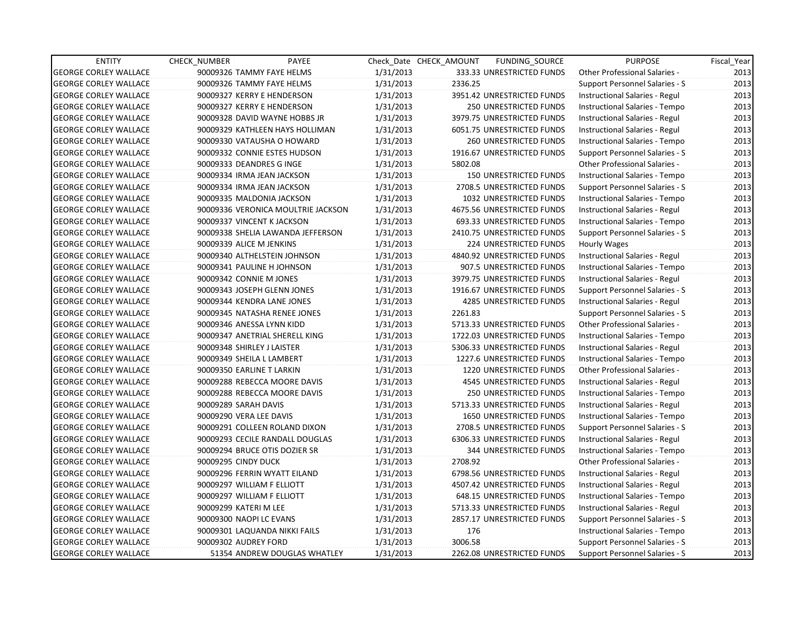| <b>ENTITY</b>                | <b>CHECK NUMBER</b>         | PAYEE                              |           | Check Date CHECK AMOUNT | FUNDING_SOURCE                 | <b>PURPOSE</b>                       | Fiscal_Year |
|------------------------------|-----------------------------|------------------------------------|-----------|-------------------------|--------------------------------|--------------------------------------|-------------|
| <b>GEORGE CORLEY WALLACE</b> | 90009326 TAMMY FAYE HELMS   |                                    | 1/31/2013 |                         | 333.33 UNRESTRICTED FUNDS      | Other Professional Salaries -        | 2013        |
| <b>GEORGE CORLEY WALLACE</b> | 90009326 TAMMY FAYE HELMS   |                                    | 1/31/2013 | 2336.25                 |                                | Support Personnel Salaries - S       | 2013        |
| <b>GEORGE CORLEY WALLACE</b> | 90009327 KERRY E HENDERSON  |                                    | 1/31/2013 |                         | 3951.42 UNRESTRICTED FUNDS     | Instructional Salaries - Regul       | 2013        |
| <b>GEORGE CORLEY WALLACE</b> | 90009327 KERRY E HENDERSON  |                                    | 1/31/2013 |                         | <b>250 UNRESTRICTED FUNDS</b>  | Instructional Salaries - Tempo       | 2013        |
| <b>GEORGE CORLEY WALLACE</b> |                             | 90009328 DAVID WAYNE HOBBS JR      | 1/31/2013 |                         | 3979.75 UNRESTRICTED FUNDS     | Instructional Salaries - Regul       | 2013        |
| <b>GEORGE CORLEY WALLACE</b> |                             | 90009329 KATHLEEN HAYS HOLLIMAN    | 1/31/2013 |                         | 6051.75 UNRESTRICTED FUNDS     | Instructional Salaries - Regul       | 2013        |
| <b>GEORGE CORLEY WALLACE</b> |                             | 90009330 VATAUSHA O HOWARD         | 1/31/2013 |                         | 260 UNRESTRICTED FUNDS         | Instructional Salaries - Tempo       | 2013        |
| <b>GEORGE CORLEY WALLACE</b> |                             | 90009332 CONNIE ESTES HUDSON       | 1/31/2013 |                         | 1916.67 UNRESTRICTED FUNDS     | Support Personnel Salaries - S       | 2013        |
| <b>GEORGE CORLEY WALLACE</b> | 90009333 DEANDRES G INGE    |                                    | 1/31/2013 | 5802.08                 |                                | Other Professional Salaries -        | 2013        |
| <b>GEORGE CORLEY WALLACE</b> | 90009334 IRMA JEAN JACKSON  |                                    | 1/31/2013 |                         | 150 UNRESTRICTED FUNDS         | Instructional Salaries - Tempo       | 2013        |
| <b>GEORGE CORLEY WALLACE</b> | 90009334 IRMA JEAN JACKSON  |                                    | 1/31/2013 |                         | 2708.5 UNRESTRICTED FUNDS      | Support Personnel Salaries - S       | 2013        |
| <b>GEORGE CORLEY WALLACE</b> | 90009335 MALDONIA JACKSON   |                                    | 1/31/2013 |                         | 1032 UNRESTRICTED FUNDS        | Instructional Salaries - Tempo       | 2013        |
| <b>GEORGE CORLEY WALLACE</b> |                             | 90009336 VERONICA MOULTRIE JACKSON | 1/31/2013 |                         | 4675.56 UNRESTRICTED FUNDS     | Instructional Salaries - Regul       | 2013        |
| <b>GEORGE CORLEY WALLACE</b> | 90009337 VINCENT K JACKSON  |                                    | 1/31/2013 |                         | 693.33 UNRESTRICTED FUNDS      | Instructional Salaries - Tempo       | 2013        |
| <b>GEORGE CORLEY WALLACE</b> |                             | 90009338 SHELIA LAWANDA JEFFERSON  | 1/31/2013 |                         | 2410.75 UNRESTRICTED FUNDS     | Support Personnel Salaries - S       | 2013        |
| <b>GEORGE CORLEY WALLACE</b> | 90009339 ALICE M JENKINS    |                                    | 1/31/2013 |                         | <b>224 UNRESTRICTED FUNDS</b>  | <b>Hourly Wages</b>                  | 2013        |
| <b>GEORGE CORLEY WALLACE</b> |                             | 90009340 ALTHELSTEIN JOHNSON       | 1/31/2013 |                         | 4840.92 UNRESTRICTED FUNDS     | Instructional Salaries - Regul       | 2013        |
| <b>GEORGE CORLEY WALLACE</b> | 90009341 PAULINE H JOHNSON  |                                    | 1/31/2013 |                         | 907.5 UNRESTRICTED FUNDS       | Instructional Salaries - Tempo       | 2013        |
| <b>GEORGE CORLEY WALLACE</b> | 90009342 CONNIE M JONES     |                                    | 1/31/2013 |                         | 3979.75 UNRESTRICTED FUNDS     | Instructional Salaries - Regul       | 2013        |
| <b>GEORGE CORLEY WALLACE</b> | 90009343 JOSEPH GLENN JONES |                                    | 1/31/2013 |                         | 1916.67 UNRESTRICTED FUNDS     | Support Personnel Salaries - S       | 2013        |
| <b>GEORGE CORLEY WALLACE</b> | 90009344 KENDRA LANE JONES  |                                    | 1/31/2013 |                         | 4285 UNRESTRICTED FUNDS        | Instructional Salaries - Regul       | 2013        |
| <b>GEORGE CORLEY WALLACE</b> |                             | 90009345 NATASHA RENEE JONES       | 1/31/2013 | 2261.83                 |                                | Support Personnel Salaries - S       | 2013        |
| <b>GEORGE CORLEY WALLACE</b> | 90009346 ANESSA LYNN KIDD   |                                    | 1/31/2013 |                         | 5713.33 UNRESTRICTED FUNDS     | <b>Other Professional Salaries -</b> | 2013        |
| <b>GEORGE CORLEY WALLACE</b> |                             | 90009347 ANETRIAL SHERELL KING     | 1/31/2013 |                         | 1722.03 UNRESTRICTED FUNDS     | Instructional Salaries - Tempo       | 2013        |
| <b>GEORGE CORLEY WALLACE</b> | 90009348 SHIRLEY J LAISTER  |                                    | 1/31/2013 |                         | 5306.33 UNRESTRICTED FUNDS     | Instructional Salaries - Regul       | 2013        |
| <b>GEORGE CORLEY WALLACE</b> | 90009349 SHEILA L LAMBERT   |                                    | 1/31/2013 |                         | 1227.6 UNRESTRICTED FUNDS      | Instructional Salaries - Tempo       | 2013        |
| <b>GEORGE CORLEY WALLACE</b> | 90009350 EARLINE T LARKIN   |                                    | 1/31/2013 |                         | 1220 UNRESTRICTED FUNDS        | Other Professional Salaries -        | 2013        |
| <b>GEORGE CORLEY WALLACE</b> |                             | 90009288 REBECCA MOORE DAVIS       | 1/31/2013 |                         | <b>4545 UNRESTRICTED FUNDS</b> | Instructional Salaries - Regul       | 2013        |
| <b>GEORGE CORLEY WALLACE</b> |                             | 90009288 REBECCA MOORE DAVIS       | 1/31/2013 |                         | <b>250 UNRESTRICTED FUNDS</b>  | Instructional Salaries - Tempo       | 2013        |
| <b>GEORGE CORLEY WALLACE</b> | 90009289 SARAH DAVIS        |                                    | 1/31/2013 |                         | 5713.33 UNRESTRICTED FUNDS     | Instructional Salaries - Regul       | 2013        |
| <b>GEORGE CORLEY WALLACE</b> | 90009290 VERA LEE DAVIS     |                                    | 1/31/2013 |                         | 1650 UNRESTRICTED FUNDS        | Instructional Salaries - Tempo       | 2013        |
| <b>GEORGE CORLEY WALLACE</b> |                             | 90009291 COLLEEN ROLAND DIXON      | 1/31/2013 |                         | 2708.5 UNRESTRICTED FUNDS      | Support Personnel Salaries - S       | 2013        |
| <b>GEORGE CORLEY WALLACE</b> |                             | 90009293 CECILE RANDALL DOUGLAS    | 1/31/2013 |                         | 6306.33 UNRESTRICTED FUNDS     | Instructional Salaries - Regul       | 2013        |
| <b>GEORGE CORLEY WALLACE</b> |                             | 90009294 BRUCE OTIS DOZIER SR      | 1/31/2013 |                         | <b>344 UNRESTRICTED FUNDS</b>  | Instructional Salaries - Tempo       | 2013        |
| <b>GEORGE CORLEY WALLACE</b> | 90009295 CINDY DUCK         |                                    | 1/31/2013 | 2708.92                 |                                | Other Professional Salaries -        | 2013        |
| <b>GEORGE CORLEY WALLACE</b> |                             | 90009296 FERRIN WYATT EILAND       | 1/31/2013 |                         | 6798.56 UNRESTRICTED FUNDS     | Instructional Salaries - Regul       | 2013        |
| <b>GEORGE CORLEY WALLACE</b> | 90009297 WILLIAM F ELLIOTT  |                                    | 1/31/2013 |                         | 4507.42 UNRESTRICTED FUNDS     | Instructional Salaries - Regul       | 2013        |
| <b>GEORGE CORLEY WALLACE</b> | 90009297 WILLIAM F ELLIOTT  |                                    | 1/31/2013 |                         | 648.15 UNRESTRICTED FUNDS      | Instructional Salaries - Tempo       | 2013        |
| <b>GEORGE CORLEY WALLACE</b> | 90009299 KATERI M LEE       |                                    | 1/31/2013 |                         | 5713.33 UNRESTRICTED FUNDS     | Instructional Salaries - Regul       | 2013        |
| <b>GEORGE CORLEY WALLACE</b> | 90009300 NAOPI LC EVANS     |                                    | 1/31/2013 |                         | 2857.17 UNRESTRICTED FUNDS     | Support Personnel Salaries - S       | 2013        |
| <b>GEORGE CORLEY WALLACE</b> |                             | 90009301 LAQUANDA NIKKI FAILS      | 1/31/2013 | 176                     |                                | Instructional Salaries - Tempo       | 2013        |
| <b>GEORGE CORLEY WALLACE</b> | 90009302 AUDREY FORD        |                                    | 1/31/2013 | 3006.58                 |                                | Support Personnel Salaries - S       | 2013        |
| <b>GEORGE CORLEY WALLACE</b> |                             | 51354 ANDREW DOUGLAS WHATLEY       | 1/31/2013 |                         | 2262.08 UNRESTRICTED FUNDS     | Support Personnel Salaries - S       | 2013        |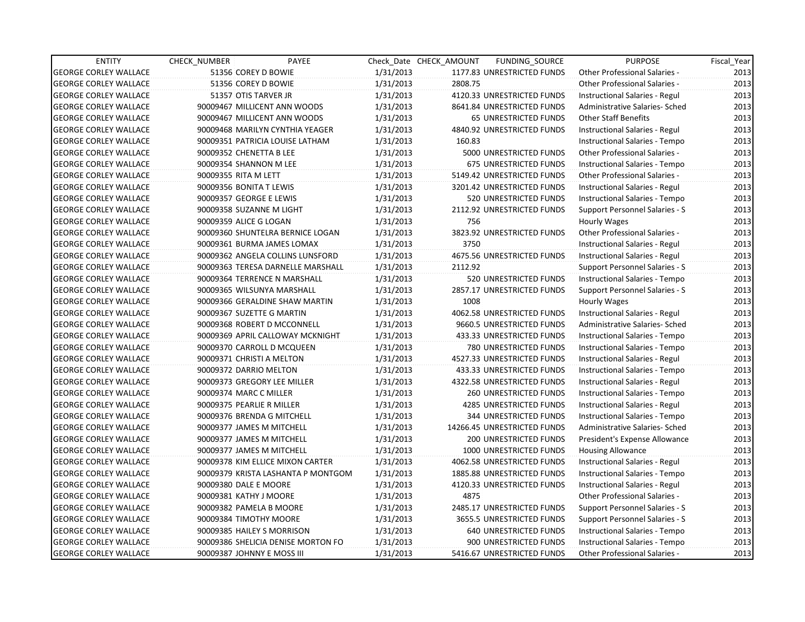| <b>ENTITY</b>                | <b>CHECK NUMBER</b>    | PAYEE                              |           | Check Date CHECK AMOUNT | FUNDING_SOURCE                | <b>PURPOSE</b>                       | Fiscal_Year |
|------------------------------|------------------------|------------------------------------|-----------|-------------------------|-------------------------------|--------------------------------------|-------------|
| <b>GEORGE CORLEY WALLACE</b> |                        | 51356 COREY D BOWIE                | 1/31/2013 |                         | 1177.83 UNRESTRICTED FUNDS    | Other Professional Salaries -        | 2013        |
| <b>GEORGE CORLEY WALLACE</b> |                        | 51356 COREY D BOWIE                | 1/31/2013 | 2808.75                 |                               | <b>Other Professional Salaries -</b> | 2013        |
| <b>GEORGE CORLEY WALLACE</b> |                        | 51357 OTIS TARVER JR               | 1/31/2013 |                         | 4120.33 UNRESTRICTED FUNDS    | Instructional Salaries - Regul       | 2013        |
| <b>GEORGE CORLEY WALLACE</b> |                        | 90009467 MILLICENT ANN WOODS       | 1/31/2013 |                         | 8641.84 UNRESTRICTED FUNDS    | Administrative Salaries- Sched       | 2013        |
| <b>GEORGE CORLEY WALLACE</b> |                        | 90009467 MILLICENT ANN WOODS       | 1/31/2013 |                         | 65 UNRESTRICTED FUNDS         | <b>Other Staff Benefits</b>          | 2013        |
| <b>GEORGE CORLEY WALLACE</b> |                        | 90009468 MARILYN CYNTHIA YEAGER    | 1/31/2013 |                         | 4840.92 UNRESTRICTED FUNDS    | Instructional Salaries - Regul       | 2013        |
| <b>GEORGE CORLEY WALLACE</b> |                        | 90009351 PATRICIA LOUISE LATHAM    | 1/31/2013 | 160.83                  |                               | Instructional Salaries - Tempo       | 2013        |
| <b>GEORGE CORLEY WALLACE</b> |                        | 90009352 CHENETTA B LEE            | 1/31/2013 |                         | 5000 UNRESTRICTED FUNDS       | Other Professional Salaries -        | 2013        |
| <b>GEORGE CORLEY WALLACE</b> |                        | 90009354 SHANNON M LEE             | 1/31/2013 |                         | 675 UNRESTRICTED FUNDS        | Instructional Salaries - Tempo       | 2013        |
| <b>GEORGE CORLEY WALLACE</b> | 90009355 RITA M LETT   |                                    | 1/31/2013 |                         | 5149.42 UNRESTRICTED FUNDS    | Other Professional Salaries -        | 2013        |
| <b>GEORGE CORLEY WALLACE</b> |                        | 90009356 BONITA T LEWIS            | 1/31/2013 |                         | 3201.42 UNRESTRICTED FUNDS    | Instructional Salaries - Regul       | 2013        |
| <b>GEORGE CORLEY WALLACE</b> |                        | 90009357 GEORGE E LEWIS            | 1/31/2013 |                         | 520 UNRESTRICTED FUNDS        | Instructional Salaries - Tempo       | 2013        |
| <b>GEORGE CORLEY WALLACE</b> |                        | 90009358 SUZANNE M LIGHT           | 1/31/2013 |                         | 2112.92 UNRESTRICTED FUNDS    | Support Personnel Salaries - S       | 2013        |
| <b>GEORGE CORLEY WALLACE</b> | 90009359 ALICE G LOGAN |                                    | 1/31/2013 | 756                     |                               | Hourly Wages                         | 2013        |
| <b>GEORGE CORLEY WALLACE</b> |                        | 90009360 SHUNTELRA BERNICE LOGAN   | 1/31/2013 |                         | 3823.92 UNRESTRICTED FUNDS    | <b>Other Professional Salaries -</b> | 2013        |
| <b>GEORGE CORLEY WALLACE</b> |                        | 90009361 BURMA JAMES LOMAX         | 1/31/2013 | 3750                    |                               | Instructional Salaries - Regul       | 2013        |
| <b>GEORGE CORLEY WALLACE</b> |                        | 90009362 ANGELA COLLINS LUNSFORD   | 1/31/2013 |                         | 4675.56 UNRESTRICTED FUNDS    | Instructional Salaries - Regul       | 2013        |
| <b>GEORGE CORLEY WALLACE</b> |                        | 90009363 TERESA DARNELLE MARSHALL  | 1/31/2013 | 2112.92                 |                               | Support Personnel Salaries - S       | 2013        |
| <b>GEORGE CORLEY WALLACE</b> |                        | 90009364 TERRENCE N MARSHALL       | 1/31/2013 |                         | 520 UNRESTRICTED FUNDS        | Instructional Salaries - Tempo       | 2013        |
| <b>GEORGE CORLEY WALLACE</b> |                        | 90009365 WILSUNYA MARSHALL         | 1/31/2013 |                         | 2857.17 UNRESTRICTED FUNDS    | Support Personnel Salaries - S       | 2013        |
| <b>GEORGE CORLEY WALLACE</b> |                        | 90009366 GERALDINE SHAW MARTIN     | 1/31/2013 | 1008                    |                               | Hourly Wages                         | 2013        |
| <b>GEORGE CORLEY WALLACE</b> |                        | 90009367 SUZETTE G MARTIN          | 1/31/2013 |                         | 4062.58 UNRESTRICTED FUNDS    | Instructional Salaries - Regul       | 2013        |
| <b>GEORGE CORLEY WALLACE</b> |                        | 90009368 ROBERT D MCCONNELL        | 1/31/2013 |                         | 9660.5 UNRESTRICTED FUNDS     | Administrative Salaries- Sched       | 2013        |
| <b>GEORGE CORLEY WALLACE</b> |                        | 90009369 APRIL CALLOWAY MCKNIGHT   | 1/31/2013 |                         | 433.33 UNRESTRICTED FUNDS     | Instructional Salaries - Tempo       | 2013        |
| <b>GEORGE CORLEY WALLACE</b> |                        | 90009370 CARROLL D MCQUEEN         | 1/31/2013 |                         | 780 UNRESTRICTED FUNDS        | Instructional Salaries - Tempo       | 2013        |
| <b>GEORGE CORLEY WALLACE</b> |                        | 90009371 CHRISTI A MELTON          | 1/31/2013 |                         | 4527.33 UNRESTRICTED FUNDS    | Instructional Salaries - Regul       | 2013        |
| <b>GEORGE CORLEY WALLACE</b> |                        | 90009372 DARRIO MELTON             | 1/31/2013 |                         | 433.33 UNRESTRICTED FUNDS     | Instructional Salaries - Tempo       | 2013        |
| <b>GEORGE CORLEY WALLACE</b> |                        | 90009373 GREGORY LEE MILLER        | 1/31/2013 |                         | 4322.58 UNRESTRICTED FUNDS    | Instructional Salaries - Regul       | 2013        |
| <b>GEORGE CORLEY WALLACE</b> |                        | 90009374 MARC C MILLER             | 1/31/2013 |                         | <b>260 UNRESTRICTED FUNDS</b> | Instructional Salaries - Tempo       | 2013        |
| <b>GEORGE CORLEY WALLACE</b> |                        | 90009375 PEARLIE R MILLER          | 1/31/2013 |                         | 4285 UNRESTRICTED FUNDS       | Instructional Salaries - Regul       | 2013        |
| <b>GEORGE CORLEY WALLACE</b> |                        | 90009376 BRENDA G MITCHELL         | 1/31/2013 |                         | 344 UNRESTRICTED FUNDS        | Instructional Salaries - Tempo       | 2013        |
| <b>GEORGE CORLEY WALLACE</b> |                        | 90009377 JAMES M MITCHELL          | 1/31/2013 |                         | 14266.45 UNRESTRICTED FUNDS   | Administrative Salaries- Sched       | 2013        |
| <b>GEORGE CORLEY WALLACE</b> |                        | 90009377 JAMES M MITCHELL          | 1/31/2013 |                         | 200 UNRESTRICTED FUNDS        | President's Expense Allowance        | 2013        |
| <b>GEORGE CORLEY WALLACE</b> |                        | 90009377 JAMES M MITCHELL          | 1/31/2013 |                         | 1000 UNRESTRICTED FUNDS       | <b>Housing Allowance</b>             | 2013        |
| <b>GEORGE CORLEY WALLACE</b> |                        | 90009378 KIM ELLICE MIXON CARTER   | 1/31/2013 |                         | 4062.58 UNRESTRICTED FUNDS    | Instructional Salaries - Regul       | 2013        |
| <b>GEORGE CORLEY WALLACE</b> |                        | 90009379 KRISTA LASHANTA P MONTGOM | 1/31/2013 |                         | 1885.88 UNRESTRICTED FUNDS    | Instructional Salaries - Tempo       | 2013        |
| <b>GEORGE CORLEY WALLACE</b> | 90009380 DALE E MOORE  |                                    | 1/31/2013 |                         | 4120.33 UNRESTRICTED FUNDS    | Instructional Salaries - Regul       | 2013        |
| <b>GEORGE CORLEY WALLACE</b> |                        | 90009381 KATHY J MOORE             | 1/31/2013 | 4875                    |                               | Other Professional Salaries -        | 2013        |
| <b>GEORGE CORLEY WALLACE</b> |                        | 90009382 PAMELA B MOORE            | 1/31/2013 |                         | 2485.17 UNRESTRICTED FUNDS    | Support Personnel Salaries - S       | 2013        |
| <b>GEORGE CORLEY WALLACE</b> |                        | 90009384 TIMOTHY MOORE             | 1/31/2013 |                         | 3655.5 UNRESTRICTED FUNDS     | Support Personnel Salaries - S       | 2013        |
| <b>GEORGE CORLEY WALLACE</b> |                        | 90009385 HAILEY S MORRISON         | 1/31/2013 |                         | 640 UNRESTRICTED FUNDS        | Instructional Salaries - Tempo       | 2013        |
| <b>GEORGE CORLEY WALLACE</b> |                        | 90009386 SHELICIA DENISE MORTON FO | 1/31/2013 |                         | 900 UNRESTRICTED FUNDS        | Instructional Salaries - Tempo       | 2013        |
| <b>GEORGE CORLEY WALLACE</b> |                        | 90009387 JOHNNY E MOSS III         | 1/31/2013 |                         | 5416.67 UNRESTRICTED FUNDS    | <b>Other Professional Salaries -</b> | 2013        |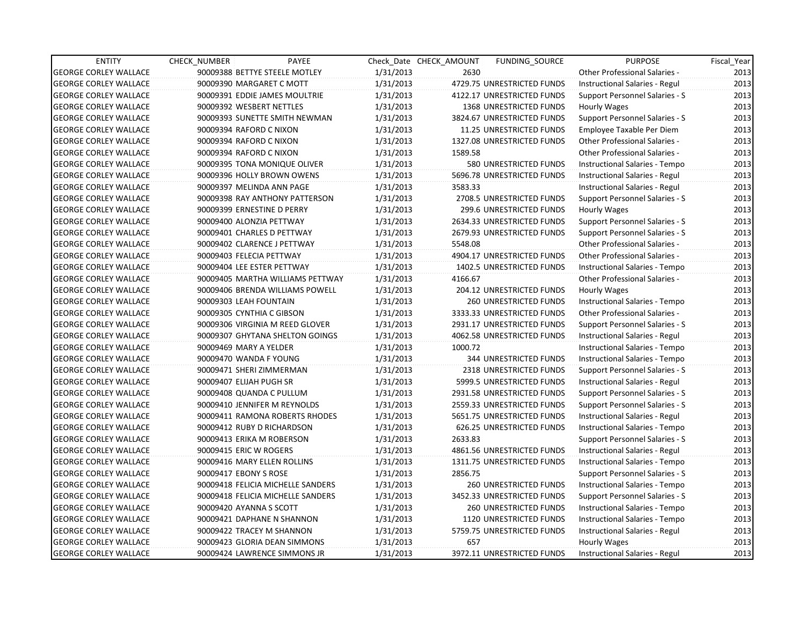| <b>ENTITY</b>                | <b>CHECK NUMBER</b>           | PAYEE                             |           | Check Date CHECK AMOUNT | <b>FUNDING SOURCE</b>         | <b>PURPOSE</b>                       | Fiscal_Year |
|------------------------------|-------------------------------|-----------------------------------|-----------|-------------------------|-------------------------------|--------------------------------------|-------------|
| <b>GEORGE CORLEY WALLACE</b> | 90009388 BETTYE STEELE MOTLEY |                                   | 1/31/2013 | 2630                    |                               | <b>Other Professional Salaries -</b> | 2013        |
| <b>GEORGE CORLEY WALLACE</b> | 90009390 MARGARET C MOTT      |                                   | 1/31/2013 |                         | 4729.75 UNRESTRICTED FUNDS    | Instructional Salaries - Regul       | 2013        |
| <b>GEORGE CORLEY WALLACE</b> |                               | 90009391 EDDIE JAMES MOULTRIE     | 1/31/2013 |                         | 4122.17 UNRESTRICTED FUNDS    | Support Personnel Salaries - S       | 2013        |
| <b>GEORGE CORLEY WALLACE</b> | 90009392 WESBERT NETTLES      |                                   | 1/31/2013 |                         | 1368 UNRESTRICTED FUNDS       | Hourly Wages                         | 2013        |
| <b>GEORGE CORLEY WALLACE</b> |                               | 90009393 SUNETTE SMITH NEWMAN     | 1/31/2013 |                         | 3824.67 UNRESTRICTED FUNDS    | Support Personnel Salaries - S       | 2013        |
| <b>GEORGE CORLEY WALLACE</b> | 90009394 RAFORD C NIXON       |                                   | 1/31/2013 |                         | 11.25 UNRESTRICTED FUNDS      | Employee Taxable Per Diem            | 2013        |
| <b>GEORGE CORLEY WALLACE</b> | 90009394 RAFORD C NIXON       |                                   | 1/31/2013 |                         | 1327.08 UNRESTRICTED FUNDS    | <b>Other Professional Salaries -</b> | 2013        |
| <b>GEORGE CORLEY WALLACE</b> | 90009394 RAFORD C NIXON       |                                   | 1/31/2013 | 1589.58                 |                               | <b>Other Professional Salaries -</b> | 2013        |
| <b>GEORGE CORLEY WALLACE</b> |                               | 90009395 TONA MONIQUE OLIVER      | 1/31/2013 |                         | 580 UNRESTRICTED FUNDS        | Instructional Salaries - Tempo       | 2013        |
| <b>GEORGE CORLEY WALLACE</b> | 90009396 HOLLY BROWN OWENS    |                                   | 1/31/2013 |                         | 5696.78 UNRESTRICTED FUNDS    | Instructional Salaries - Regul       | 2013        |
| <b>GEORGE CORLEY WALLACE</b> | 90009397 MELINDA ANN PAGE     |                                   | 1/31/2013 | 3583.33                 |                               | Instructional Salaries - Regul       | 2013        |
| <b>GEORGE CORLEY WALLACE</b> |                               | 90009398 RAY ANTHONY PATTERSON    | 1/31/2013 |                         | 2708.5 UNRESTRICTED FUNDS     | Support Personnel Salaries - S       | 2013        |
| <b>GEORGE CORLEY WALLACE</b> | 90009399 ERNESTINE D PERRY    |                                   | 1/31/2013 |                         | 299.6 UNRESTRICTED FUNDS      | Hourly Wages                         | 2013        |
| <b>GEORGE CORLEY WALLACE</b> | 90009400 ALONZIA PETTWAY      |                                   | 1/31/2013 |                         | 2634.33 UNRESTRICTED FUNDS    | Support Personnel Salaries - S       | 2013        |
| <b>GEORGE CORLEY WALLACE</b> | 90009401 CHARLES D PETTWAY    |                                   | 1/31/2013 |                         | 2679.93 UNRESTRICTED FUNDS    | Support Personnel Salaries - S       | 2013        |
| <b>GEORGE CORLEY WALLACE</b> | 90009402 CLARENCE J PETTWAY   |                                   | 1/31/2013 | 5548.08                 |                               | <b>Other Professional Salaries -</b> | 2013        |
| <b>GEORGE CORLEY WALLACE</b> | 90009403 FELECIA PETTWAY      |                                   | 1/31/2013 |                         | 4904.17 UNRESTRICTED FUNDS    | <b>Other Professional Salaries -</b> | 2013        |
| <b>GEORGE CORLEY WALLACE</b> | 90009404 LEE ESTER PETTWAY    |                                   | 1/31/2013 |                         | 1402.5 UNRESTRICTED FUNDS     | Instructional Salaries - Tempo       | 2013        |
| <b>GEORGE CORLEY WALLACE</b> |                               | 90009405 MARTHA WILLIAMS PETTWAY  | 1/31/2013 | 4166.67                 |                               | Other Professional Salaries -        | 2013        |
| <b>GEORGE CORLEY WALLACE</b> |                               | 90009406 BRENDA WILLIAMS POWELL   | 1/31/2013 |                         | 204.12 UNRESTRICTED FUNDS     | Hourly Wages                         | 2013        |
| <b>GEORGE CORLEY WALLACE</b> | 90009303 LEAH FOUNTAIN        |                                   | 1/31/2013 |                         | 260 UNRESTRICTED FUNDS        | Instructional Salaries - Tempo       | 2013        |
| <b>GEORGE CORLEY WALLACE</b> | 90009305 CYNTHIA C GIBSON     |                                   | 1/31/2013 |                         | 3333.33 UNRESTRICTED FUNDS    | Other Professional Salaries -        | 2013        |
| <b>GEORGE CORLEY WALLACE</b> |                               | 90009306 VIRGINIA M REED GLOVER   | 1/31/2013 |                         | 2931.17 UNRESTRICTED FUNDS    | Support Personnel Salaries - S       | 2013        |
| <b>GEORGE CORLEY WALLACE</b> |                               | 90009307 GHYTANA SHELTON GOINGS   | 1/31/2013 |                         | 4062.58 UNRESTRICTED FUNDS    | Instructional Salaries - Regul       | 2013        |
| <b>GEORGE CORLEY WALLACE</b> | 90009469 MARY A YELDER        |                                   | 1/31/2013 | 1000.72                 |                               | Instructional Salaries - Tempo       | 2013        |
| <b>GEORGE CORLEY WALLACE</b> | 90009470 WANDA F YOUNG        |                                   | 1/31/2013 |                         | 344 UNRESTRICTED FUNDS        | Instructional Salaries - Tempo       | 2013        |
| <b>GEORGE CORLEY WALLACE</b> | 90009471 SHERI ZIMMERMAN      |                                   | 1/31/2013 |                         | 2318 UNRESTRICTED FUNDS       | Support Personnel Salaries - S       | 2013        |
| <b>GEORGE CORLEY WALLACE</b> | 90009407 ELIJAH PUGH SR       |                                   | 1/31/2013 |                         | 5999.5 UNRESTRICTED FUNDS     | Instructional Salaries - Regul       | 2013        |
| <b>GEORGE CORLEY WALLACE</b> | 90009408 QUANDA C PULLUM      |                                   | 1/31/2013 |                         | 2931.58 UNRESTRICTED FUNDS    | Support Personnel Salaries - S       | 2013        |
| <b>GEORGE CORLEY WALLACE</b> | 90009410 JENNIFER M REYNOLDS  |                                   | 1/31/2013 |                         | 2559.33 UNRESTRICTED FUNDS    | Support Personnel Salaries - S       | 2013        |
| <b>GEORGE CORLEY WALLACE</b> |                               | 90009411 RAMONA ROBERTS RHODES    | 1/31/2013 |                         | 5651.75 UNRESTRICTED FUNDS    | Instructional Salaries - Regul       | 2013        |
| <b>GEORGE CORLEY WALLACE</b> | 90009412 RUBY D RICHARDSON    |                                   | 1/31/2013 |                         | 626.25 UNRESTRICTED FUNDS     | Instructional Salaries - Tempo       | 2013        |
| <b>GEORGE CORLEY WALLACE</b> | 90009413 ERIKA M ROBERSON     |                                   | 1/31/2013 | 2633.83                 |                               | Support Personnel Salaries - S       | 2013        |
| <b>GEORGE CORLEY WALLACE</b> | 90009415 ERIC W ROGERS        |                                   | 1/31/2013 |                         | 4861.56 UNRESTRICTED FUNDS    | Instructional Salaries - Regul       | 2013        |
| <b>GEORGE CORLEY WALLACE</b> | 90009416 MARY ELLEN ROLLINS   |                                   | 1/31/2013 |                         | 1311.75 UNRESTRICTED FUNDS    | Instructional Salaries - Tempo       | 2013        |
| <b>GEORGE CORLEY WALLACE</b> | 90009417 EBONY S ROSE         |                                   | 1/31/2013 | 2856.75                 |                               | Support Personnel Salaries - S       | 2013        |
| <b>GEORGE CORLEY WALLACE</b> |                               | 90009418 FELICIA MICHELLE SANDERS | 1/31/2013 |                         | 260 UNRESTRICTED FUNDS        | Instructional Salaries - Tempo       | 2013        |
| <b>GEORGE CORLEY WALLACE</b> |                               | 90009418 FELICIA MICHELLE SANDERS | 1/31/2013 |                         | 3452.33 UNRESTRICTED FUNDS    | Support Personnel Salaries - S       | 2013        |
| <b>GEORGE CORLEY WALLACE</b> | 90009420 AYANNA S SCOTT       |                                   | 1/31/2013 |                         | <b>260 UNRESTRICTED FUNDS</b> | Instructional Salaries - Tempo       | 2013        |
| <b>GEORGE CORLEY WALLACE</b> | 90009421 DAPHANE N SHANNON    |                                   | 1/31/2013 |                         | 1120 UNRESTRICTED FUNDS       | Instructional Salaries - Tempo       | 2013        |
| <b>GEORGE CORLEY WALLACE</b> | 90009422 TRACEY M SHANNON     |                                   | 1/31/2013 |                         | 5759.75 UNRESTRICTED FUNDS    | Instructional Salaries - Regul       | 2013        |
| <b>GEORGE CORLEY WALLACE</b> |                               | 90009423 GLORIA DEAN SIMMONS      | 1/31/2013 | 657                     |                               | Hourly Wages                         | 2013        |
| <b>GEORGE CORLEY WALLACE</b> |                               | 90009424 LAWRENCE SIMMONS JR      | 1/31/2013 |                         | 3972.11 UNRESTRICTED FUNDS    | Instructional Salaries - Regul       | 2013        |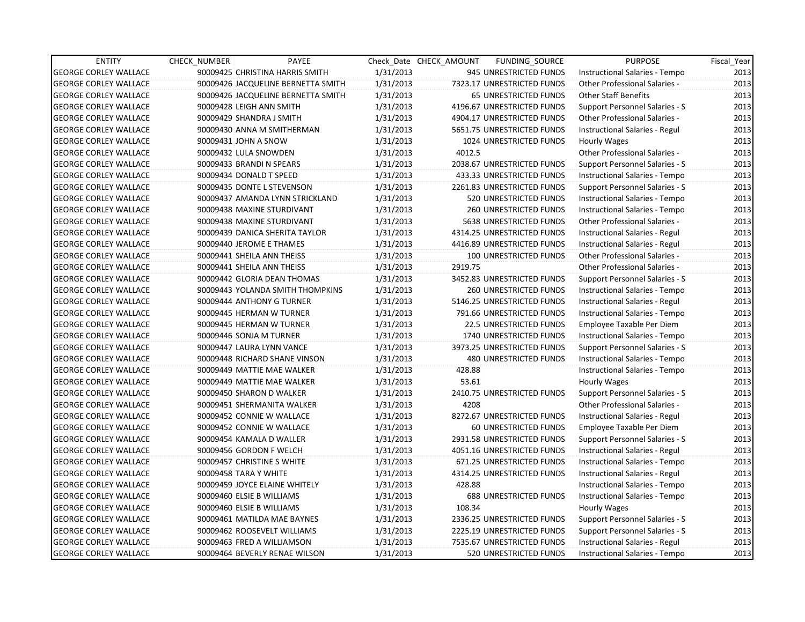| <b>ENTITY</b>                | <b>CHECK NUMBER</b>   | PAYEE                              |           | Check Date CHECK AMOUNT | FUNDING_SOURCE                | <b>PURPOSE</b>                        | Fiscal Year |
|------------------------------|-----------------------|------------------------------------|-----------|-------------------------|-------------------------------|---------------------------------------|-------------|
| <b>GEORGE CORLEY WALLACE</b> |                       | 90009425 CHRISTINA HARRIS SMITH    | 1/31/2013 |                         | 945 UNRESTRICTED FUNDS        | Instructional Salaries - Tempo        | 2013        |
| <b>GEORGE CORLEY WALLACE</b> |                       | 90009426 JACQUELINE BERNETTA SMITH | 1/31/2013 |                         | 7323.17 UNRESTRICTED FUNDS    | <b>Other Professional Salaries -</b>  | 2013        |
| <b>GEORGE CORLEY WALLACE</b> |                       | 90009426 JACQUELINE BERNETTA SMITH | 1/31/2013 |                         | <b>65 UNRESTRICTED FUNDS</b>  | <b>Other Staff Benefits</b>           | 2013        |
| <b>GEORGE CORLEY WALLACE</b> |                       | 90009428 LEIGH ANN SMITH           | 1/31/2013 |                         | 4196.67 UNRESTRICTED FUNDS    | Support Personnel Salaries - S        | 2013        |
| <b>GEORGE CORLEY WALLACE</b> |                       | 90009429 SHANDRA J SMITH           | 1/31/2013 |                         | 4904.17 UNRESTRICTED FUNDS    | Other Professional Salaries -         | 2013        |
| <b>GEORGE CORLEY WALLACE</b> |                       | 90009430 ANNA M SMITHERMAN         | 1/31/2013 |                         | 5651.75 UNRESTRICTED FUNDS    | Instructional Salaries - Regul        | 2013        |
| <b>GEORGE CORLEY WALLACE</b> | 90009431 JOHN A SNOW  |                                    | 1/31/2013 |                         | 1024 UNRESTRICTED FUNDS       | Hourly Wages                          | 2013        |
| <b>GEORGE CORLEY WALLACE</b> | 90009432 LULA SNOWDEN |                                    | 1/31/2013 | 4012.5                  |                               | <b>Other Professional Salaries -</b>  | 2013        |
| <b>GEORGE CORLEY WALLACE</b> |                       | 90009433 BRANDI N SPEARS           | 1/31/2013 |                         | 2038.67 UNRESTRICTED FUNDS    | <b>Support Personnel Salaries - S</b> | 2013        |
| <b>GEORGE CORLEY WALLACE</b> |                       | 90009434 DONALD T SPEED            | 1/31/2013 |                         | 433.33 UNRESTRICTED FUNDS     | Instructional Salaries - Tempo        | 2013        |
| <b>GEORGE CORLEY WALLACE</b> |                       | 90009435 DONTE L STEVENSON         | 1/31/2013 |                         | 2261.83 UNRESTRICTED FUNDS    | Support Personnel Salaries - S        | 2013        |
| <b>GEORGE CORLEY WALLACE</b> |                       | 90009437 AMANDA LYNN STRICKLAND    | 1/31/2013 |                         | 520 UNRESTRICTED FUNDS        | Instructional Salaries - Tempo        | 2013        |
| <b>GEORGE CORLEY WALLACE</b> |                       | 90009438 MAXINE STURDIVANT         | 1/31/2013 |                         | 260 UNRESTRICTED FUNDS        | Instructional Salaries - Tempo        | 2013        |
| <b>GEORGE CORLEY WALLACE</b> |                       | 90009438 MAXINE STURDIVANT         | 1/31/2013 |                         | 5638 UNRESTRICTED FUNDS       | <b>Other Professional Salaries -</b>  | 2013        |
| <b>GEORGE CORLEY WALLACE</b> |                       | 90009439 DANICA SHERITA TAYLOR     | 1/31/2013 |                         | 4314.25 UNRESTRICTED FUNDS    | Instructional Salaries - Regul        | 2013        |
| <b>GEORGE CORLEY WALLACE</b> |                       | 90009440 JEROME E THAMES           | 1/31/2013 |                         | 4416.89 UNRESTRICTED FUNDS    | Instructional Salaries - Regul        | 2013        |
| <b>GEORGE CORLEY WALLACE</b> |                       | 90009441 SHEILA ANN THEISS         | 1/31/2013 |                         | 100 UNRESTRICTED FUNDS        | Other Professional Salaries -         | 2013        |
| <b>GEORGE CORLEY WALLACE</b> |                       | 90009441 SHEILA ANN THEISS         | 1/31/2013 | 2919.75                 |                               | Other Professional Salaries -         | 2013        |
| <b>GEORGE CORLEY WALLACE</b> |                       | 90009442 GLORIA DEAN THOMAS        | 1/31/2013 |                         | 3452.83 UNRESTRICTED FUNDS    | Support Personnel Salaries - S        | 2013        |
| <b>GEORGE CORLEY WALLACE</b> |                       | 90009443 YOLANDA SMITH THOMPKINS   | 1/31/2013 |                         | <b>260 UNRESTRICTED FUNDS</b> | Instructional Salaries - Tempo        | 2013        |
| <b>GEORGE CORLEY WALLACE</b> |                       | 90009444 ANTHONY G TURNER          | 1/31/2013 |                         | 5146.25 UNRESTRICTED FUNDS    | Instructional Salaries - Regul        | 2013        |
| <b>GEORGE CORLEY WALLACE</b> |                       | 90009445 HERMAN W TURNER           | 1/31/2013 |                         | 791.66 UNRESTRICTED FUNDS     | Instructional Salaries - Tempo        | 2013        |
| <b>GEORGE CORLEY WALLACE</b> |                       | 90009445 HERMAN W TURNER           | 1/31/2013 |                         | 22.5 UNRESTRICTED FUNDS       | Employee Taxable Per Diem             | 2013        |
| <b>GEORGE CORLEY WALLACE</b> |                       | 90009446 SONJA M TURNER            | 1/31/2013 |                         | 1740 UNRESTRICTED FUNDS       | Instructional Salaries - Tempo        | 2013        |
| <b>GEORGE CORLEY WALLACE</b> |                       | 90009447 LAURA LYNN VANCE          | 1/31/2013 |                         | 3973.25 UNRESTRICTED FUNDS    | Support Personnel Salaries - S        | 2013        |
| <b>GEORGE CORLEY WALLACE</b> |                       | 90009448 RICHARD SHANE VINSON      | 1/31/2013 |                         | 480 UNRESTRICTED FUNDS        | Instructional Salaries - Tempo        | 2013        |
| <b>GEORGE CORLEY WALLACE</b> |                       | 90009449 MATTIE MAE WALKER         | 1/31/2013 | 428.88                  |                               | Instructional Salaries - Tempo        | 2013        |
| <b>GEORGE CORLEY WALLACE</b> |                       | 90009449 MATTIE MAE WALKER         | 1/31/2013 | 53.61                   |                               | Hourly Wages                          | 2013        |
| <b>GEORGE CORLEY WALLACE</b> |                       | 90009450 SHARON D WALKER           | 1/31/2013 |                         | 2410.75 UNRESTRICTED FUNDS    | Support Personnel Salaries - S        | 2013        |
| <b>GEORGE CORLEY WALLACE</b> |                       | 90009451 SHERMANITA WALKER         | 1/31/2013 | 4208                    |                               | <b>Other Professional Salaries -</b>  | 2013        |
| <b>GEORGE CORLEY WALLACE</b> |                       | 90009452 CONNIE W WALLACE          | 1/31/2013 |                         | 8272.67 UNRESTRICTED FUNDS    | Instructional Salaries - Regul        | 2013        |
| <b>GEORGE CORLEY WALLACE</b> |                       | 90009452 CONNIE W WALLACE          | 1/31/2013 |                         | 60 UNRESTRICTED FUNDS         | Employee Taxable Per Diem             | 2013        |
| <b>GEORGE CORLEY WALLACE</b> |                       | 90009454 KAMALA D WALLER           | 1/31/2013 |                         | 2931.58 UNRESTRICTED FUNDS    | Support Personnel Salaries - S        | 2013        |
| <b>GEORGE CORLEY WALLACE</b> |                       | 90009456 GORDON F WELCH            | 1/31/2013 |                         | 4051.16 UNRESTRICTED FUNDS    | Instructional Salaries - Regul        | 2013        |
| <b>GEORGE CORLEY WALLACE</b> |                       | 90009457 CHRISTINE S WHITE         | 1/31/2013 |                         | 671.25 UNRESTRICTED FUNDS     | Instructional Salaries - Tempo        | 2013        |
| <b>GEORGE CORLEY WALLACE</b> | 90009458 TARA Y WHITE |                                    | 1/31/2013 |                         | 4314.25 UNRESTRICTED FUNDS    | Instructional Salaries - Regul        | 2013        |
| <b>GEORGE CORLEY WALLACE</b> |                       | 90009459 JOYCE ELAINE WHITELY      | 1/31/2013 | 428.88                  |                               | Instructional Salaries - Tempo        | 2013        |
| <b>GEORGE CORLEY WALLACE</b> |                       | 90009460 ELSIE B WILLIAMS          | 1/31/2013 |                         | 688 UNRESTRICTED FUNDS        | Instructional Salaries - Tempo        | 2013        |
| <b>GEORGE CORLEY WALLACE</b> |                       | 90009460 ELSIE B WILLIAMS          | 1/31/2013 | 108.34                  |                               | Hourly Wages                          | 2013        |
| <b>GEORGE CORLEY WALLACE</b> |                       | 90009461 MATILDA MAE BAYNES        | 1/31/2013 |                         | 2336.25 UNRESTRICTED FUNDS    | Support Personnel Salaries - S        | 2013        |
| <b>GEORGE CORLEY WALLACE</b> |                       | 90009462 ROOSEVELT WILLIAMS        | 1/31/2013 |                         | 2225.19 UNRESTRICTED FUNDS    | Support Personnel Salaries - S        | 2013        |
| <b>GEORGE CORLEY WALLACE</b> |                       | 90009463 FRED A WILLIAMSON         | 1/31/2013 |                         | 7535.67 UNRESTRICTED FUNDS    | Instructional Salaries - Regul        | 2013        |
| <b>GEORGE CORLEY WALLACE</b> |                       | 90009464 BEVERLY RENAE WILSON      | 1/31/2013 |                         | <b>520 UNRESTRICTED FUNDS</b> | Instructional Salaries - Tempo        | 2013        |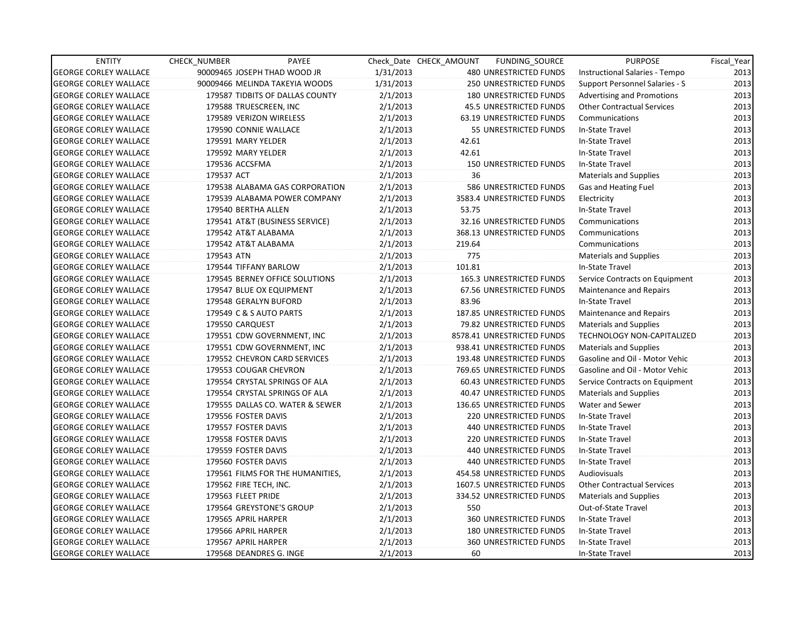| <b>ENTITY</b>                | <b>CHECK NUMBER</b>      | PAYEE                            |           | Check Date CHECK AMOUNT | FUNDING_SOURCE                 | <b>PURPOSE</b>                    | Fiscal_Year |
|------------------------------|--------------------------|----------------------------------|-----------|-------------------------|--------------------------------|-----------------------------------|-------------|
| <b>GEORGE CORLEY WALLACE</b> |                          | 90009465 JOSEPH THAD WOOD JR     | 1/31/2013 |                         | 480 UNRESTRICTED FUNDS         | Instructional Salaries - Tempo    | 2013        |
| <b>GEORGE CORLEY WALLACE</b> |                          | 90009466 MELINDA TAKEYIA WOODS   | 1/31/2013 |                         | 250 UNRESTRICTED FUNDS         | Support Personnel Salaries - S    | 2013        |
| <b>GEORGE CORLEY WALLACE</b> |                          | 179587 TIDBITS OF DALLAS COUNTY  | 2/1/2013  |                         | 180 UNRESTRICTED FUNDS         | <b>Advertising and Promotions</b> | 2013        |
| <b>GEORGE CORLEY WALLACE</b> | 179588 TRUESCREEN, INC   |                                  | 2/1/2013  |                         | <b>45.5 UNRESTRICTED FUNDS</b> | <b>Other Contractual Services</b> | 2013        |
| <b>GEORGE CORLEY WALLACE</b> | 179589 VERIZON WIRELESS  |                                  | 2/1/2013  |                         | 63.19 UNRESTRICTED FUNDS       | Communications                    | 2013        |
| <b>GEORGE CORLEY WALLACE</b> | 179590 CONNIE WALLACE    |                                  | 2/1/2013  |                         | 55 UNRESTRICTED FUNDS          | In-State Travel                   | 2013        |
| <b>GEORGE CORLEY WALLACE</b> | 179591 MARY YELDER       |                                  | 2/1/2013  | 42.61                   |                                | In-State Travel                   | 2013        |
| <b>GEORGE CORLEY WALLACE</b> | 179592 MARY YELDER       |                                  | 2/1/2013  | 42.61                   |                                | In-State Travel                   | 2013        |
| <b>GEORGE CORLEY WALLACE</b> | 179536 ACCSFMA           |                                  | 2/1/2013  |                         | <b>150 UNRESTRICTED FUNDS</b>  | In-State Travel                   | 2013        |
| <b>GEORGE CORLEY WALLACE</b> | 179537 ACT               |                                  | 2/1/2013  | 36                      |                                | Materials and Supplies            | 2013        |
| <b>GEORGE CORLEY WALLACE</b> |                          | 179538 ALABAMA GAS CORPORATION   | 2/1/2013  |                         | 586 UNRESTRICTED FUNDS         | Gas and Heating Fuel              | 2013        |
| <b>GEORGE CORLEY WALLACE</b> |                          | 179539 ALABAMA POWER COMPANY     | 2/1/2013  |                         | 3583.4 UNRESTRICTED FUNDS      | Electricity                       | 2013        |
| <b>GEORGE CORLEY WALLACE</b> | 179540 BERTHA ALLEN      |                                  | 2/1/2013  | 53.75                   |                                | In-State Travel                   | 2013        |
| <b>GEORGE CORLEY WALLACE</b> |                          | 179541 AT&T (BUSINESS SERVICE)   | 2/1/2013  |                         | 32.16 UNRESTRICTED FUNDS       | Communications                    | 2013        |
| <b>GEORGE CORLEY WALLACE</b> | 179542 AT&T ALABAMA      |                                  | 2/1/2013  |                         | 368.13 UNRESTRICTED FUNDS      | Communications                    | 2013        |
| <b>GEORGE CORLEY WALLACE</b> | 179542 AT&T ALABAMA      |                                  | 2/1/2013  | 219.64                  |                                | Communications                    | 2013        |
| <b>GEORGE CORLEY WALLACE</b> | 179543 ATN               |                                  | 2/1/2013  | 775                     |                                | <b>Materials and Supplies</b>     | 2013        |
| <b>GEORGE CORLEY WALLACE</b> | 179544 TIFFANY BARLOW    |                                  | 2/1/2013  | 101.81                  |                                | In-State Travel                   | 2013        |
| <b>GEORGE CORLEY WALLACE</b> |                          | 179545 BERNEY OFFICE SOLUTIONS   | 2/1/2013  |                         | 165.3 UNRESTRICTED FUNDS       | Service Contracts on Equipment    | 2013        |
| <b>GEORGE CORLEY WALLACE</b> | 179547 BLUE OX EQUIPMENT |                                  | 2/1/2013  |                         | 67.56 UNRESTRICTED FUNDS       | <b>Maintenance and Repairs</b>    | 2013        |
| <b>GEORGE CORLEY WALLACE</b> | 179548 GERALYN BUFORD    |                                  | 2/1/2013  | 83.96                   |                                | In-State Travel                   | 2013        |
| <b>GEORGE CORLEY WALLACE</b> | 179549 C & S AUTO PARTS  |                                  | 2/1/2013  |                         | 187.85 UNRESTRICTED FUNDS      | Maintenance and Repairs           | 2013        |
| <b>GEORGE CORLEY WALLACE</b> | 179550 CARQUEST          |                                  | 2/1/2013  |                         | 79.82 UNRESTRICTED FUNDS       | <b>Materials and Supplies</b>     | 2013        |
| <b>GEORGE CORLEY WALLACE</b> |                          | 179551 CDW GOVERNMENT, INC       | 2/1/2013  |                         | 8578.41 UNRESTRICTED FUNDS     | <b>TECHNOLOGY NON-CAPITALIZED</b> | 2013        |
| <b>GEORGE CORLEY WALLACE</b> |                          | 179551 CDW GOVERNMENT, INC       | 2/1/2013  |                         | 938.41 UNRESTRICTED FUNDS      | <b>Materials and Supplies</b>     | 2013        |
| <b>GEORGE CORLEY WALLACE</b> |                          | 179552 CHEVRON CARD SERVICES     | 2/1/2013  |                         | 193.48 UNRESTRICTED FUNDS      | Gasoline and Oil - Motor Vehic    | 2013        |
| <b>GEORGE CORLEY WALLACE</b> | 179553 COUGAR CHEVRON    |                                  | 2/1/2013  |                         | 769.65 UNRESTRICTED FUNDS      | Gasoline and Oil - Motor Vehic    | 2013        |
| <b>GEORGE CORLEY WALLACE</b> |                          | 179554 CRYSTAL SPRINGS OF ALA    | 2/1/2013  |                         | 60.43 UNRESTRICTED FUNDS       | Service Contracts on Equipment    | 2013        |
| <b>GEORGE CORLEY WALLACE</b> |                          | 179554 CRYSTAL SPRINGS OF ALA    | 2/1/2013  |                         | 40.47 UNRESTRICTED FUNDS       | <b>Materials and Supplies</b>     | 2013        |
| <b>GEORGE CORLEY WALLACE</b> |                          | 179555 DALLAS CO. WATER & SEWER  | 2/1/2013  |                         | 136.65 UNRESTRICTED FUNDS      | Water and Sewer                   | 2013        |
| <b>GEORGE CORLEY WALLACE</b> | 179556 FOSTER DAVIS      |                                  | 2/1/2013  |                         | 220 UNRESTRICTED FUNDS         | In-State Travel                   | 2013        |
| <b>GEORGE CORLEY WALLACE</b> | 179557 FOSTER DAVIS      |                                  | 2/1/2013  |                         | 440 UNRESTRICTED FUNDS         | In-State Travel                   | 2013        |
| <b>GEORGE CORLEY WALLACE</b> | 179558 FOSTER DAVIS      |                                  | 2/1/2013  |                         | 220 UNRESTRICTED FUNDS         | In-State Travel                   | 2013        |
| <b>GEORGE CORLEY WALLACE</b> | 179559 FOSTER DAVIS      |                                  | 2/1/2013  |                         | 440 UNRESTRICTED FUNDS         | In-State Travel                   | 2013        |
| <b>GEORGE CORLEY WALLACE</b> | 179560 FOSTER DAVIS      |                                  | 2/1/2013  |                         | 440 UNRESTRICTED FUNDS         | In-State Travel                   | 2013        |
| <b>GEORGE CORLEY WALLACE</b> |                          | 179561 FILMS FOR THE HUMANITIES, | 2/1/2013  |                         | 454.58 UNRESTRICTED FUNDS      | Audiovisuals                      | 2013        |
| <b>GEORGE CORLEY WALLACE</b> | 179562 FIRE TECH, INC.   |                                  | 2/1/2013  |                         | 1607.5 UNRESTRICTED FUNDS      | <b>Other Contractual Services</b> | 2013        |
| <b>GEORGE CORLEY WALLACE</b> | 179563 FLEET PRIDE       |                                  | 2/1/2013  |                         | 334.52 UNRESTRICTED FUNDS      | <b>Materials and Supplies</b>     | 2013        |
| <b>GEORGE CORLEY WALLACE</b> | 179564 GREYSTONE'S GROUP |                                  | 2/1/2013  | 550                     |                                | Out-of-State Travel               | 2013        |
| <b>GEORGE CORLEY WALLACE</b> | 179565 APRIL HARPER      |                                  | 2/1/2013  |                         | 360 UNRESTRICTED FUNDS         | In-State Travel                   | 2013        |
| <b>GEORGE CORLEY WALLACE</b> | 179566 APRIL HARPER      |                                  | 2/1/2013  |                         | 180 UNRESTRICTED FUNDS         | In-State Travel                   | 2013        |
| <b>GEORGE CORLEY WALLACE</b> | 179567 APRIL HARPER      |                                  | 2/1/2013  |                         | 360 UNRESTRICTED FUNDS         | In-State Travel                   | 2013        |
| <b>GEORGE CORLEY WALLACE</b> | 179568 DEANDRES G. INGE  |                                  | 2/1/2013  | 60                      |                                | In-State Travel                   | 2013        |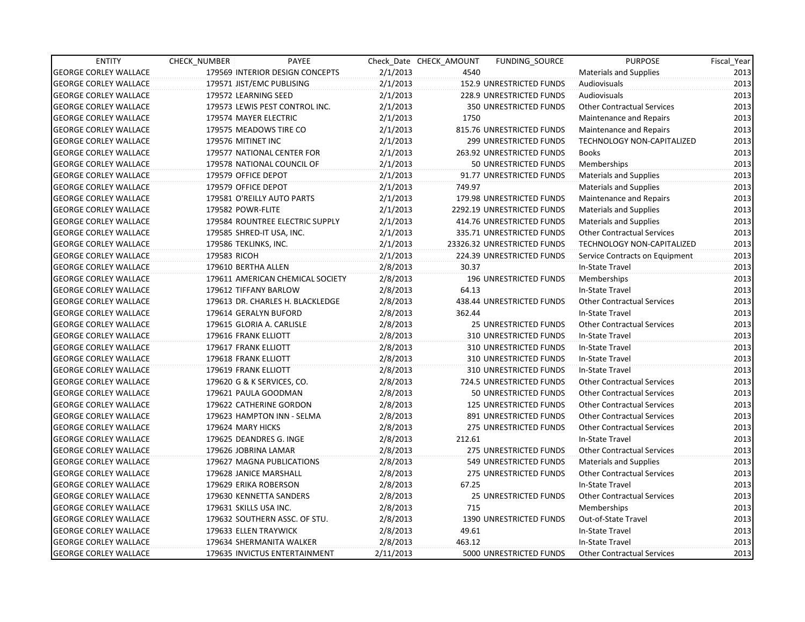| <b>ENTITY</b>                | CHECK_NUMBER           | PAYEE                            |           | Check Date CHECK AMOUNT | <b>FUNDING SOURCE</b>           | <b>PURPOSE</b>                    | Fiscal_Year |
|------------------------------|------------------------|----------------------------------|-----------|-------------------------|---------------------------------|-----------------------------------|-------------|
| <b>GEORGE CORLEY WALLACE</b> |                        | 179569 INTERIOR DESIGN CONCEPTS  | 2/1/2013  | 4540                    |                                 | Materials and Supplies            | 2013        |
| <b>GEORGE CORLEY WALLACE</b> |                        | 179571 JIST/EMC PUBLISING        | 2/1/2013  |                         | 152.9 UNRESTRICTED FUNDS        | Audiovisuals                      | 2013        |
| <b>GEORGE CORLEY WALLACE</b> |                        | 179572 LEARNING SEED             | 2/1/2013  |                         | <b>228.9 UNRESTRICTED FUNDS</b> | <b>Audiovisuals</b>               | 2013        |
| <b>GEORGE CORLEY WALLACE</b> |                        | 179573 LEWIS PEST CONTROL INC.   | 2/1/2013  |                         | 350 UNRESTRICTED FUNDS          | <b>Other Contractual Services</b> | 2013        |
| <b>GEORGE CORLEY WALLACE</b> |                        | 179574 MAYER ELECTRIC            | 2/1/2013  | 1750                    |                                 | <b>Maintenance and Repairs</b>    | 2013        |
| <b>GEORGE CORLEY WALLACE</b> |                        | 179575 MEADOWS TIRE CO           | 2/1/2013  |                         | 815.76 UNRESTRICTED FUNDS       | Maintenance and Repairs           | 2013        |
| <b>GEORGE CORLEY WALLACE</b> | 179576 MITINET INC     |                                  | 2/1/2013  |                         | 299 UNRESTRICTED FUNDS          | TECHNOLOGY NON-CAPITALIZED        | 2013        |
| <b>GEORGE CORLEY WALLACE</b> |                        | 179577 NATIONAL CENTER FOR       | 2/1/2013  |                         | 263.92 UNRESTRICTED FUNDS       | <b>Books</b>                      | 2013        |
| <b>GEORGE CORLEY WALLACE</b> |                        | 179578 NATIONAL COUNCIL OF       | 2/1/2013  |                         | 50 UNRESTRICTED FUNDS           | Memberships                       | 2013        |
| <b>GEORGE CORLEY WALLACE</b> | 179579 OFFICE DEPOT    |                                  | 2/1/2013  |                         | 91.77 UNRESTRICTED FUNDS        | <b>Materials and Supplies</b>     | 2013        |
| <b>GEORGE CORLEY WALLACE</b> | 179579 OFFICE DEPOT    |                                  | 2/1/2013  | 749.97                  |                                 | <b>Materials and Supplies</b>     | 2013        |
| <b>GEORGE CORLEY WALLACE</b> |                        | 179581 O'REILLY AUTO PARTS       | 2/1/2013  |                         | 179.98 UNRESTRICTED FUNDS       | Maintenance and Repairs           | 2013        |
| <b>GEORGE CORLEY WALLACE</b> | 179582 POWR-FLITE      |                                  | 2/1/2013  |                         | 2292.19 UNRESTRICTED FUNDS      | <b>Materials and Supplies</b>     | 2013        |
| <b>GEORGE CORLEY WALLACE</b> |                        | 179584 ROUNTREE ELECTRIC SUPPLY  | 2/1/2013  |                         | 414.76 UNRESTRICTED FUNDS       | Materials and Supplies            | 2013        |
| <b>GEORGE CORLEY WALLACE</b> |                        | 179585 SHRED-IT USA, INC.        | 2/1/2013  |                         | 335.71 UNRESTRICTED FUNDS       | <b>Other Contractual Services</b> | 2013        |
| <b>GEORGE CORLEY WALLACE</b> | 179586 TEKLINKS, INC.  |                                  | 2/1/2013  |                         | 23326.32 UNRESTRICTED FUNDS     | <b>TECHNOLOGY NON-CAPITALIZED</b> | 2013        |
| <b>GEORGE CORLEY WALLACE</b> | 179583 RICOH           |                                  | 2/1/2013  |                         | 224.39 UNRESTRICTED FUNDS       | Service Contracts on Equipment    | 2013        |
| <b>GEORGE CORLEY WALLACE</b> | 179610 BERTHA ALLEN    |                                  | 2/8/2013  | 30.37                   |                                 | In-State Travel                   | 2013        |
| <b>GEORGE CORLEY WALLACE</b> |                        | 179611 AMERICAN CHEMICAL SOCIETY | 2/8/2013  |                         | 196 UNRESTRICTED FUNDS          | Memberships                       | 2013        |
| <b>GEORGE CORLEY WALLACE</b> |                        | 179612 TIFFANY BARLOW            | 2/8/2013  | 64.13                   |                                 | In-State Travel                   | 2013        |
| <b>GEORGE CORLEY WALLACE</b> |                        | 179613 DR. CHARLES H. BLACKLEDGE | 2/8/2013  |                         | 438.44 UNRESTRICTED FUNDS       | <b>Other Contractual Services</b> | 2013        |
| <b>GEORGE CORLEY WALLACE</b> |                        | 179614 GERALYN BUFORD            | 2/8/2013  | 362.44                  |                                 | In-State Travel                   | 2013        |
| <b>GEORGE CORLEY WALLACE</b> |                        | 179615 GLORIA A. CARLISLE        | 2/8/2013  |                         | <b>25 UNRESTRICTED FUNDS</b>    | <b>Other Contractual Services</b> | 2013        |
| <b>GEORGE CORLEY WALLACE</b> | 179616 FRANK ELLIOTT   |                                  | 2/8/2013  |                         | 310 UNRESTRICTED FUNDS          | In-State Travel                   | 2013        |
| <b>GEORGE CORLEY WALLACE</b> | 179617 FRANK ELLIOTT   |                                  | 2/8/2013  |                         | 310 UNRESTRICTED FUNDS          | In-State Travel                   | 2013        |
| <b>GEORGE CORLEY WALLACE</b> | 179618 FRANK ELLIOTT   |                                  | 2/8/2013  |                         | 310 UNRESTRICTED FUNDS          | In-State Travel                   | 2013        |
| <b>GEORGE CORLEY WALLACE</b> | 179619 FRANK ELLIOTT   |                                  | 2/8/2013  |                         | 310 UNRESTRICTED FUNDS          | In-State Travel                   | 2013        |
| <b>GEORGE CORLEY WALLACE</b> |                        | 179620 G & K SERVICES, CO.       | 2/8/2013  |                         | 724.5 UNRESTRICTED FUNDS        | <b>Other Contractual Services</b> | 2013        |
| <b>GEORGE CORLEY WALLACE</b> |                        | 179621 PAULA GOODMAN             | 2/8/2013  |                         | 50 UNRESTRICTED FUNDS           | <b>Other Contractual Services</b> | 2013        |
| <b>GEORGE CORLEY WALLACE</b> |                        | 179622 CATHERINE GORDON          | 2/8/2013  |                         | 125 UNRESTRICTED FUNDS          | <b>Other Contractual Services</b> | 2013        |
| <b>GEORGE CORLEY WALLACE</b> |                        | 179623 HAMPTON INN - SELMA       | 2/8/2013  |                         | 891 UNRESTRICTED FUNDS          | <b>Other Contractual Services</b> | 2013        |
| <b>GEORGE CORLEY WALLACE</b> | 179624 MARY HICKS      |                                  | 2/8/2013  |                         | 275 UNRESTRICTED FUNDS          | <b>Other Contractual Services</b> | 2013        |
| <b>GEORGE CORLEY WALLACE</b> |                        | 179625 DEANDRES G. INGE          | 2/8/2013  | 212.61                  |                                 | In-State Travel                   | 2013        |
| <b>GEORGE CORLEY WALLACE</b> |                        | 179626 JOBRINA LAMAR             | 2/8/2013  |                         | 275 UNRESTRICTED FUNDS          | <b>Other Contractual Services</b> | 2013        |
| <b>GEORGE CORLEY WALLACE</b> |                        | 179627 MAGNA PUBLICATIONS        | 2/8/2013  |                         | 549 UNRESTRICTED FUNDS          | <b>Materials and Supplies</b>     | 2013        |
| <b>GEORGE CORLEY WALLACE</b> |                        | 179628 JANICE MARSHALL           | 2/8/2013  |                         | 275 UNRESTRICTED FUNDS          | <b>Other Contractual Services</b> | 2013        |
| <b>GEORGE CORLEY WALLACE</b> |                        | 179629 ERIKA ROBERSON            | 2/8/2013  | 67.25                   |                                 | In-State Travel                   | 2013        |
| <b>GEORGE CORLEY WALLACE</b> |                        | 179630 KENNETTA SANDERS          | 2/8/2013  |                         | 25 UNRESTRICTED FUNDS           | <b>Other Contractual Services</b> | 2013        |
| <b>GEORGE CORLEY WALLACE</b> | 179631 SKILLS USA INC. |                                  | 2/8/2013  | 715                     |                                 | Memberships                       | 2013        |
| <b>GEORGE CORLEY WALLACE</b> |                        | 179632 SOUTHERN ASSC. OF STU.    | 2/8/2013  |                         | 1390 UNRESTRICTED FUNDS         | Out-of-State Travel               | 2013        |
| <b>GEORGE CORLEY WALLACE</b> |                        | 179633 ELLEN TRAYWICK            | 2/8/2013  | 49.61                   |                                 | In-State Travel                   | 2013        |
| <b>GEORGE CORLEY WALLACE</b> |                        | 179634 SHERMANITA WALKER         | 2/8/2013  | 463.12                  |                                 | In-State Travel                   | 2013        |
| <b>GEORGE CORLEY WALLACE</b> |                        | 179635 INVICTUS ENTERTAINMENT    | 2/11/2013 |                         | 5000 UNRESTRICTED FUNDS         | Other Contractual Services        | 2013        |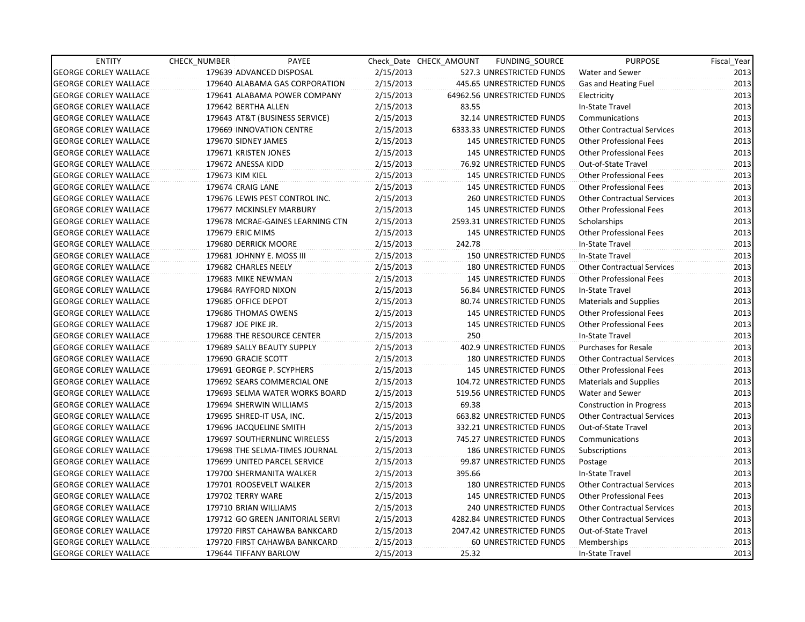| <b>ENTITY</b>                | CHECK_NUMBER         | PAYEE                            |           | Check Date CHECK AMOUNT | FUNDING SOURCE                | <b>PURPOSE</b>                    | Fiscal_Year |
|------------------------------|----------------------|----------------------------------|-----------|-------------------------|-------------------------------|-----------------------------------|-------------|
| <b>GEORGE CORLEY WALLACE</b> |                      | 179639 ADVANCED DISPOSAL         | 2/15/2013 |                         | 527.3 UNRESTRICTED FUNDS      | <b>Water and Sewer</b>            | 2013        |
| <b>GEORGE CORLEY WALLACE</b> |                      | 179640 ALABAMA GAS CORPORATION   | 2/15/2013 |                         | 445.65 UNRESTRICTED FUNDS     | Gas and Heating Fuel              | 2013        |
| <b>GEORGE CORLEY WALLACE</b> |                      | 179641 ALABAMA POWER COMPANY     | 2/15/2013 |                         | 64962.56 UNRESTRICTED FUNDS   | Electricity                       | 2013        |
| <b>GEORGE CORLEY WALLACE</b> | 179642 BERTHA ALLEN  |                                  | 2/15/2013 | 83.55                   |                               | In-State Travel                   | 2013        |
| <b>GEORGE CORLEY WALLACE</b> |                      | 179643 AT&T (BUSINESS SERVICE)   | 2/15/2013 |                         | 32.14 UNRESTRICTED FUNDS      | Communications                    | 2013        |
| <b>GEORGE CORLEY WALLACE</b> |                      | 179669 INNOVATION CENTRE         | 2/15/2013 |                         | 6333.33 UNRESTRICTED FUNDS    | <b>Other Contractual Services</b> | 2013        |
| <b>GEORGE CORLEY WALLACE</b> | 179670 SIDNEY JAMES  |                                  | 2/15/2013 |                         | <b>145 UNRESTRICTED FUNDS</b> | <b>Other Professional Fees</b>    | 2013        |
| <b>GEORGE CORLEY WALLACE</b> | 179671 KRISTEN JONES |                                  | 2/15/2013 |                         | <b>145 UNRESTRICTED FUNDS</b> | <b>Other Professional Fees</b>    | 2013        |
| <b>GEORGE CORLEY WALLACE</b> | 179672 ANESSA KIDD   |                                  | 2/15/2013 |                         | 76.92 UNRESTRICTED FUNDS      | Out-of-State Travel               | 2013        |
| <b>GEORGE CORLEY WALLACE</b> | 179673 KIM KIEL      |                                  | 2/15/2013 |                         | <b>145 UNRESTRICTED FUNDS</b> | <b>Other Professional Fees</b>    | 2013        |
| <b>GEORGE CORLEY WALLACE</b> | 179674 CRAIG LANE    |                                  | 2/15/2013 |                         | <b>145 UNRESTRICTED FUNDS</b> | <b>Other Professional Fees</b>    | 2013        |
| <b>GEORGE CORLEY WALLACE</b> |                      | 179676 LEWIS PEST CONTROL INC.   | 2/15/2013 |                         | <b>260 UNRESTRICTED FUNDS</b> | <b>Other Contractual Services</b> | 2013        |
| <b>GEORGE CORLEY WALLACE</b> |                      | 179677 MCKINSLEY MARBURY         | 2/15/2013 |                         | <b>145 UNRESTRICTED FUNDS</b> | <b>Other Professional Fees</b>    | 2013        |
| <b>GEORGE CORLEY WALLACE</b> |                      | 179678 MCRAE-GAINES LEARNING CTN | 2/15/2013 |                         | 2593.31 UNRESTRICTED FUNDS    | Scholarships                      | 2013        |
| <b>GEORGE CORLEY WALLACE</b> | 179679 ERIC MIMS     |                                  | 2/15/2013 |                         | 145 UNRESTRICTED FUNDS        | <b>Other Professional Fees</b>    | 2013        |
| <b>GEORGE CORLEY WALLACE</b> |                      | 179680 DERRICK MOORE             | 2/15/2013 | 242.78                  |                               | In-State Travel                   | 2013        |
| <b>GEORGE CORLEY WALLACE</b> |                      | 179681 JOHNNY E. MOSS III        | 2/15/2013 |                         | 150 UNRESTRICTED FUNDS        | In-State Travel                   | 2013        |
| <b>GEORGE CORLEY WALLACE</b> | 179682 CHARLES NEELY |                                  | 2/15/2013 |                         | 180 UNRESTRICTED FUNDS        | <b>Other Contractual Services</b> | 2013        |
| <b>GEORGE CORLEY WALLACE</b> | 179683 MIKE NEWMAN   |                                  | 2/15/2013 |                         | <b>145 UNRESTRICTED FUNDS</b> | <b>Other Professional Fees</b>    | 2013        |
| <b>GEORGE CORLEY WALLACE</b> |                      | 179684 RAYFORD NIXON             | 2/15/2013 |                         | 56.84 UNRESTRICTED FUNDS      | In-State Travel                   | 2013        |
| <b>GEORGE CORLEY WALLACE</b> | 179685 OFFICE DEPOT  |                                  | 2/15/2013 |                         | 80.74 UNRESTRICTED FUNDS      | Materials and Supplies            | 2013        |
| <b>GEORGE CORLEY WALLACE</b> |                      | 179686 THOMAS OWENS              | 2/15/2013 |                         | <b>145 UNRESTRICTED FUNDS</b> | <b>Other Professional Fees</b>    | 2013        |
| <b>GEORGE CORLEY WALLACE</b> | 179687 JOE PIKE JR.  |                                  | 2/15/2013 |                         | <b>145 UNRESTRICTED FUNDS</b> | <b>Other Professional Fees</b>    | 2013        |
| <b>GEORGE CORLEY WALLACE</b> |                      | 179688 THE RESOURCE CENTER       | 2/15/2013 | 250                     |                               | In-State Travel                   | 2013        |
| <b>GEORGE CORLEY WALLACE</b> |                      | 179689 SALLY BEAUTY SUPPLY       | 2/15/2013 |                         | 402.9 UNRESTRICTED FUNDS      | <b>Purchases for Resale</b>       | 2013        |
| <b>GEORGE CORLEY WALLACE</b> | 179690 GRACIE SCOTT  |                                  | 2/15/2013 |                         | 180 UNRESTRICTED FUNDS        | <b>Other Contractual Services</b> | 2013        |
| <b>GEORGE CORLEY WALLACE</b> |                      | 179691 GEORGE P. SCYPHERS        | 2/15/2013 |                         | <b>145 UNRESTRICTED FUNDS</b> | <b>Other Professional Fees</b>    | 2013        |
| <b>GEORGE CORLEY WALLACE</b> |                      | 179692 SEARS COMMERCIAL ONE      | 2/15/2013 |                         | 104.72 UNRESTRICTED FUNDS     | <b>Materials and Supplies</b>     | 2013        |
| <b>GEORGE CORLEY WALLACE</b> |                      | 179693 SELMA WATER WORKS BOARD   | 2/15/2013 |                         | 519.56 UNRESTRICTED FUNDS     | Water and Sewer                   | 2013        |
| <b>GEORGE CORLEY WALLACE</b> |                      | 179694 SHERWIN WILLIAMS          | 2/15/2013 | 69.38                   |                               | <b>Construction in Progress</b>   | 2013        |
| <b>GEORGE CORLEY WALLACE</b> |                      | 179695 SHRED-IT USA, INC.        | 2/15/2013 |                         | 663.82 UNRESTRICTED FUNDS     | <b>Other Contractual Services</b> | 2013        |
| <b>GEORGE CORLEY WALLACE</b> |                      | 179696 JACQUELINE SMITH          | 2/15/2013 |                         | 332.21 UNRESTRICTED FUNDS     | Out-of-State Travel               | 2013        |
| <b>GEORGE CORLEY WALLACE</b> |                      | 179697 SOUTHERNLINC WIRELESS     | 2/15/2013 |                         | 745.27 UNRESTRICTED FUNDS     | Communications                    | 2013        |
| <b>GEORGE CORLEY WALLACE</b> |                      | 179698 THE SELMA-TIMES JOURNAL   | 2/15/2013 |                         | <b>186 UNRESTRICTED FUNDS</b> | Subscriptions                     | 2013        |
| <b>GEORGE CORLEY WALLACE</b> |                      | 179699 UNITED PARCEL SERVICE     | 2/15/2013 |                         | 99.87 UNRESTRICTED FUNDS      | Postage                           | 2013        |
| <b>GEORGE CORLEY WALLACE</b> |                      | 179700 SHERMANITA WALKER         | 2/15/2013 | 395.66                  |                               | In-State Travel                   | 2013        |
| <b>GEORGE CORLEY WALLACE</b> |                      | 179701 ROOSEVELT WALKER          | 2/15/2013 |                         | 180 UNRESTRICTED FUNDS        | <b>Other Contractual Services</b> | 2013        |
| <b>GEORGE CORLEY WALLACE</b> | 179702 TERRY WARE    |                                  | 2/15/2013 |                         | <b>145 UNRESTRICTED FUNDS</b> | <b>Other Professional Fees</b>    | 2013        |
| <b>GEORGE CORLEY WALLACE</b> |                      | 179710 BRIAN WILLIAMS            | 2/15/2013 |                         | 240 UNRESTRICTED FUNDS        | <b>Other Contractual Services</b> | 2013        |
| <b>GEORGE CORLEY WALLACE</b> |                      | 179712 GO GREEN JANITORIAL SERVI | 2/15/2013 |                         | 4282.84 UNRESTRICTED FUNDS    | <b>Other Contractual Services</b> | 2013        |
| <b>GEORGE CORLEY WALLACE</b> |                      | 179720 FIRST CAHAWBA BANKCARD    | 2/15/2013 |                         | 2047.42 UNRESTRICTED FUNDS    | Out-of-State Travel               | 2013        |
| <b>GEORGE CORLEY WALLACE</b> |                      | 179720 FIRST CAHAWBA BANKCARD    | 2/15/2013 |                         | 60 UNRESTRICTED FUNDS         | Memberships                       | 2013        |
| <b>GEORGE CORLEY WALLACE</b> |                      | 179644 TIFFANY BARLOW            | 2/15/2013 | 25.32                   |                               | In-State Travel                   | 2013        |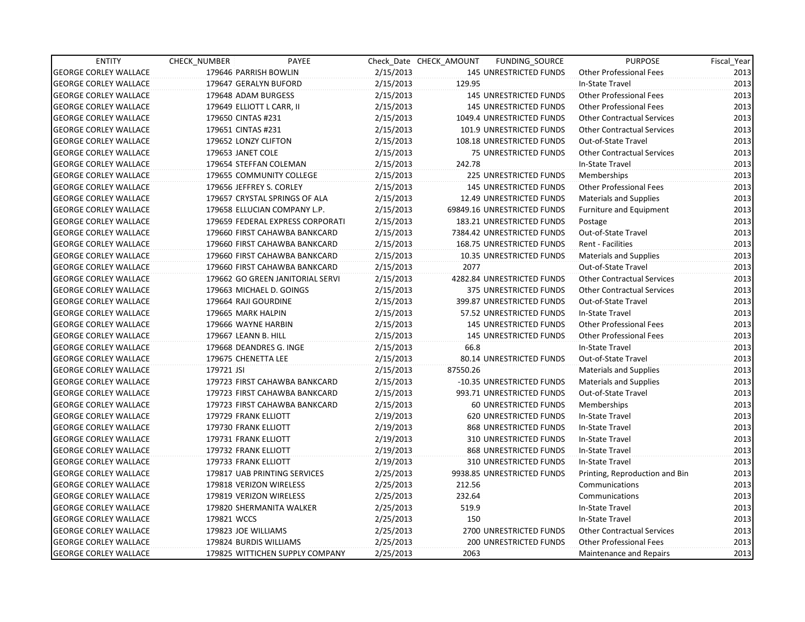| <b>ENTITY</b>                | CHECK_NUMBER         | PAYEE                            |           | Check Date CHECK AMOUNT | FUNDING SOURCE                | <b>PURPOSE</b>                    | Fiscal_Year |
|------------------------------|----------------------|----------------------------------|-----------|-------------------------|-------------------------------|-----------------------------------|-------------|
| <b>GEORGE CORLEY WALLACE</b> |                      | 179646 PARRISH BOWLIN            | 2/15/2013 |                         | 145 UNRESTRICTED FUNDS        | Other Professional Fees           | 2013        |
| <b>GEORGE CORLEY WALLACE</b> |                      | 179647 GERALYN BUFORD            | 2/15/2013 | 129.95                  |                               | In-State Travel                   | 2013        |
| <b>GEORGE CORLEY WALLACE</b> |                      | 179648 ADAM BURGESS              | 2/15/2013 |                         | <b>145 UNRESTRICTED FUNDS</b> | <b>Other Professional Fees</b>    | 2013        |
| <b>GEORGE CORLEY WALLACE</b> |                      | 179649 ELLIOTT L CARR, II        | 2/15/2013 |                         | <b>145 UNRESTRICTED FUNDS</b> | <b>Other Professional Fees</b>    | 2013        |
| <b>GEORGE CORLEY WALLACE</b> | 179650 CINTAS #231   |                                  | 2/15/2013 |                         | 1049.4 UNRESTRICTED FUNDS     | <b>Other Contractual Services</b> | 2013        |
| <b>GEORGE CORLEY WALLACE</b> | 179651 CINTAS #231   |                                  | 2/15/2013 |                         | 101.9 UNRESTRICTED FUNDS      | <b>Other Contractual Services</b> | 2013        |
| <b>GEORGE CORLEY WALLACE</b> | 179652 LONZY CLIFTON |                                  | 2/15/2013 |                         | 108.18 UNRESTRICTED FUNDS     | Out-of-State Travel               | 2013        |
| <b>GEORGE CORLEY WALLACE</b> | 179653 JANET COLE    |                                  | 2/15/2013 |                         | 75 UNRESTRICTED FUNDS         | <b>Other Contractual Services</b> | 2013        |
| <b>GEORGE CORLEY WALLACE</b> |                      | 179654 STEFFAN COLEMAN           | 2/15/2013 | 242.78                  |                               | In-State Travel                   | 2013        |
| <b>GEORGE CORLEY WALLACE</b> |                      | 179655 COMMUNITY COLLEGE         | 2/15/2013 |                         | 225 UNRESTRICTED FUNDS        | Memberships                       | 2013        |
| <b>GEORGE CORLEY WALLACE</b> |                      | 179656 JEFFREY S. CORLEY         | 2/15/2013 |                         | <b>145 UNRESTRICTED FUNDS</b> | <b>Other Professional Fees</b>    | 2013        |
| <b>GEORGE CORLEY WALLACE</b> |                      | 179657 CRYSTAL SPRINGS OF ALA    | 2/15/2013 |                         | 12.49 UNRESTRICTED FUNDS      | <b>Materials and Supplies</b>     | 2013        |
| <b>GEORGE CORLEY WALLACE</b> |                      | 179658 ELLUCIAN COMPANY L.P.     | 2/15/2013 |                         | 69849.16 UNRESTRICTED FUNDS   | Furniture and Equipment           | 2013        |
| <b>GEORGE CORLEY WALLACE</b> |                      | 179659 FEDERAL EXPRESS CORPORATI | 2/15/2013 |                         | 183.21 UNRESTRICTED FUNDS     | Postage                           | 2013        |
| <b>GEORGE CORLEY WALLACE</b> |                      | 179660 FIRST CAHAWBA BANKCARD    | 2/15/2013 |                         | 7384.42 UNRESTRICTED FUNDS    | Out-of-State Travel               | 2013        |
| <b>GEORGE CORLEY WALLACE</b> |                      | 179660 FIRST CAHAWBA BANKCARD    | 2/15/2013 |                         | 168.75 UNRESTRICTED FUNDS     | Rent - Facilities                 | 2013        |
| <b>GEORGE CORLEY WALLACE</b> |                      | 179660 FIRST CAHAWBA BANKCARD    | 2/15/2013 |                         | 10.35 UNRESTRICTED FUNDS      | <b>Materials and Supplies</b>     | 2013        |
| <b>GEORGE CORLEY WALLACE</b> |                      | 179660 FIRST CAHAWBA BANKCARD    | 2/15/2013 | 2077                    |                               | Out-of-State Travel               | 2013        |
| <b>GEORGE CORLEY WALLACE</b> |                      | 179662 GO GREEN JANITORIAL SERVI | 2/15/2013 |                         | 4282.84 UNRESTRICTED FUNDS    | <b>Other Contractual Services</b> | 2013        |
| <b>GEORGE CORLEY WALLACE</b> |                      | 179663 MICHAEL D. GOINGS         | 2/15/2013 |                         | 375 UNRESTRICTED FUNDS        | <b>Other Contractual Services</b> | 2013        |
| <b>GEORGE CORLEY WALLACE</b> | 179664 RAJI GOURDINE |                                  | 2/15/2013 |                         | 399.87 UNRESTRICTED FUNDS     | Out-of-State Travel               | 2013        |
| <b>GEORGE CORLEY WALLACE</b> | 179665 MARK HALPIN   |                                  | 2/15/2013 |                         | 57.52 UNRESTRICTED FUNDS      | In-State Travel                   | 2013        |
| <b>GEORGE CORLEY WALLACE</b> | 179666 WAYNE HARBIN  |                                  | 2/15/2013 |                         | <b>145 UNRESTRICTED FUNDS</b> | <b>Other Professional Fees</b>    | 2013        |
| <b>GEORGE CORLEY WALLACE</b> | 179667 LEANN B. HILL |                                  | 2/15/2013 |                         | <b>145 UNRESTRICTED FUNDS</b> | <b>Other Professional Fees</b>    | 2013        |
| <b>GEORGE CORLEY WALLACE</b> |                      | 179668 DEANDRES G. INGE          | 2/15/2013 | 66.8                    |                               | In-State Travel                   | 2013        |
| <b>GEORGE CORLEY WALLACE</b> | 179675 CHENETTA LEE  |                                  | 2/15/2013 |                         | 80.14 UNRESTRICTED FUNDS      | Out-of-State Travel               | 2013        |
| <b>GEORGE CORLEY WALLACE</b> | 179721 JSI           |                                  | 2/15/2013 | 87550.26                |                               | <b>Materials and Supplies</b>     | 2013        |
| <b>GEORGE CORLEY WALLACE</b> |                      | 179723 FIRST CAHAWBA BANKCARD    | 2/15/2013 |                         | -10.35 UNRESTRICTED FUNDS     | <b>Materials and Supplies</b>     | 2013        |
| <b>GEORGE CORLEY WALLACE</b> |                      | 179723 FIRST CAHAWBA BANKCARD    | 2/15/2013 |                         | 993.71 UNRESTRICTED FUNDS     | Out-of-State Travel               | 2013        |
| <b>GEORGE CORLEY WALLACE</b> |                      | 179723 FIRST CAHAWBA BANKCARD    | 2/15/2013 |                         | 60 UNRESTRICTED FUNDS         | Memberships                       | 2013        |
| <b>GEORGE CORLEY WALLACE</b> | 179729 FRANK ELLIOTT |                                  | 2/19/2013 |                         | 620 UNRESTRICTED FUNDS        | In-State Travel                   | 2013        |
| <b>GEORGE CORLEY WALLACE</b> | 179730 FRANK ELLIOTT |                                  | 2/19/2013 |                         | 868 UNRESTRICTED FUNDS        | In-State Travel                   | 2013        |
| <b>GEORGE CORLEY WALLACE</b> | 179731 FRANK ELLIOTT |                                  | 2/19/2013 |                         | 310 UNRESTRICTED FUNDS        | In-State Travel                   | 2013        |
| <b>GEORGE CORLEY WALLACE</b> | 179732 FRANK ELLIOTT |                                  | 2/19/2013 |                         | 868 UNRESTRICTED FUNDS        | In-State Travel                   | 2013        |
| <b>GEORGE CORLEY WALLACE</b> | 179733 FRANK ELLIOTT |                                  | 2/19/2013 |                         | <b>310 UNRESTRICTED FUNDS</b> | In-State Travel                   | 2013        |
| <b>GEORGE CORLEY WALLACE</b> |                      | 179817 UAB PRINTING SERVICES     | 2/25/2013 |                         | 9938.85 UNRESTRICTED FUNDS    | Printing, Reproduction and Bin    | 2013        |
| <b>GEORGE CORLEY WALLACE</b> |                      | 179818 VERIZON WIRELESS          | 2/25/2013 | 212.56                  |                               | Communications                    | 2013        |
| <b>GEORGE CORLEY WALLACE</b> |                      | 179819 VERIZON WIRELESS          | 2/25/2013 | 232.64                  |                               | Communications                    | 2013        |
| <b>GEORGE CORLEY WALLACE</b> |                      | 179820 SHERMANITA WALKER         | 2/25/2013 | 519.9                   |                               | In-State Travel                   | 2013        |
| <b>GEORGE CORLEY WALLACE</b> | 179821 WCCS          |                                  | 2/25/2013 | 150                     |                               | In-State Travel                   | 2013        |
| <b>GEORGE CORLEY WALLACE</b> | 179823 JOE WILLIAMS  |                                  | 2/25/2013 |                         | 2700 UNRESTRICTED FUNDS       | <b>Other Contractual Services</b> | 2013        |
| <b>GEORGE CORLEY WALLACE</b> |                      | 179824 BURDIS WILLIAMS           | 2/25/2013 |                         | <b>200 UNRESTRICTED FUNDS</b> | Other Professional Fees           | 2013        |
| <b>GEORGE CORLEY WALLACE</b> |                      | 179825 WITTICHEN SUPPLY COMPANY  | 2/25/2013 | 2063                    |                               | Maintenance and Repairs           | 2013        |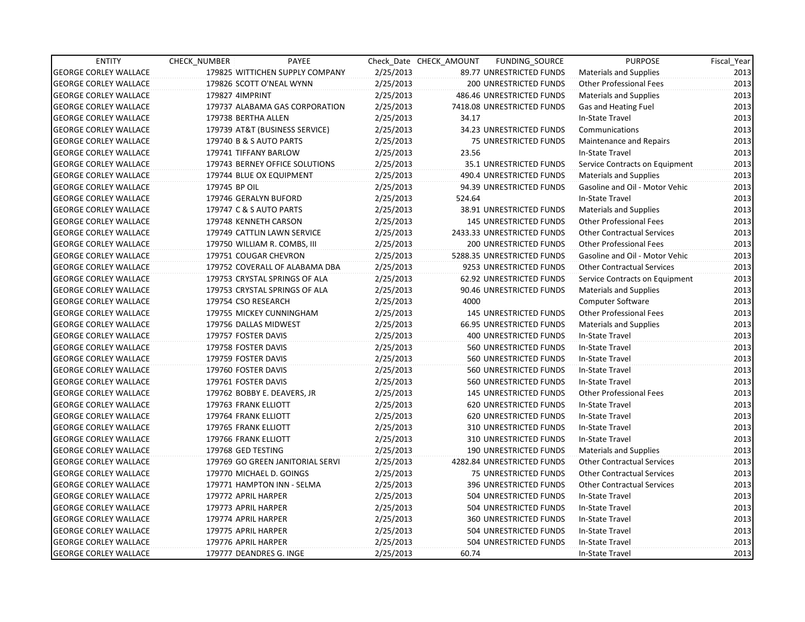| <b>ENTITY</b>                | CHECK_NUMBER        | PAYEE                            |           | Check Date CHECK AMOUNT | FUNDING SOURCE                | <b>PURPOSE</b>                    | Fiscal_Year |
|------------------------------|---------------------|----------------------------------|-----------|-------------------------|-------------------------------|-----------------------------------|-------------|
| <b>GEORGE CORLEY WALLACE</b> |                     | 179825 WITTICHEN SUPPLY COMPANY  | 2/25/2013 |                         | 89.77 UNRESTRICTED FUNDS      | <b>Materials and Supplies</b>     | 2013        |
| <b>GEORGE CORLEY WALLACE</b> |                     | 179826 SCOTT O'NEAL WYNN         | 2/25/2013 |                         | 200 UNRESTRICTED FUNDS        | <b>Other Professional Fees</b>    | 2013        |
| <b>GEORGE CORLEY WALLACE</b> | 179827 4IMPRINT     |                                  | 2/25/2013 |                         | 486.46 UNRESTRICTED FUNDS     | <b>Materials and Supplies</b>     | 2013        |
| <b>GEORGE CORLEY WALLACE</b> |                     | 179737 ALABAMA GAS CORPORATION   | 2/25/2013 |                         | 7418.08 UNRESTRICTED FUNDS    | Gas and Heating Fuel              | 2013        |
| <b>GEORGE CORLEY WALLACE</b> |                     | 179738 BERTHA ALLEN              | 2/25/2013 | 34.17                   |                               | In-State Travel                   | 2013        |
| <b>GEORGE CORLEY WALLACE</b> |                     | 179739 AT&T (BUSINESS SERVICE)   | 2/25/2013 |                         | 34.23 UNRESTRICTED FUNDS      | Communications                    | 2013        |
| <b>GEORGE CORLEY WALLACE</b> |                     | 179740 B & S AUTO PARTS          | 2/25/2013 |                         | 75 UNRESTRICTED FUNDS         | Maintenance and Repairs           | 2013        |
| <b>GEORGE CORLEY WALLACE</b> |                     | 179741 TIFFANY BARLOW            | 2/25/2013 | 23.56                   |                               | In-State Travel                   | 2013        |
| <b>GEORGE CORLEY WALLACE</b> |                     | 179743 BERNEY OFFICE SOLUTIONS   | 2/25/2013 |                         | 35.1 UNRESTRICTED FUNDS       | Service Contracts on Equipment    | 2013        |
| <b>GEORGE CORLEY WALLACE</b> |                     | 179744 BLUE OX EQUIPMENT         | 2/25/2013 |                         | 490.4 UNRESTRICTED FUNDS      | <b>Materials and Supplies</b>     | 2013        |
| <b>GEORGE CORLEY WALLACE</b> | 179745 BP OIL       |                                  | 2/25/2013 |                         | 94.39 UNRESTRICTED FUNDS      | Gasoline and Oil - Motor Vehic    | 2013        |
| <b>GEORGE CORLEY WALLACE</b> |                     | 179746 GERALYN BUFORD            | 2/25/2013 | 524.64                  |                               | In-State Travel                   | 2013        |
| <b>GEORGE CORLEY WALLACE</b> |                     | 179747 C & S AUTO PARTS          | 2/25/2013 |                         | 38.91 UNRESTRICTED FUNDS      | <b>Materials and Supplies</b>     | 2013        |
| <b>GEORGE CORLEY WALLACE</b> |                     | 179748 KENNETH CARSON            | 2/25/2013 |                         | <b>145 UNRESTRICTED FUNDS</b> | <b>Other Professional Fees</b>    | 2013        |
| <b>GEORGE CORLEY WALLACE</b> |                     | 179749 CATTLIN LAWN SERVICE      | 2/25/2013 |                         | 2433.33 UNRESTRICTED FUNDS    | <b>Other Contractual Services</b> | 2013        |
| <b>GEORGE CORLEY WALLACE</b> |                     | 179750 WILLIAM R. COMBS, III     | 2/25/2013 |                         | <b>200 UNRESTRICTED FUNDS</b> | <b>Other Professional Fees</b>    | 2013        |
| <b>GEORGE CORLEY WALLACE</b> |                     | 179751 COUGAR CHEVRON            | 2/25/2013 |                         | 5288.35 UNRESTRICTED FUNDS    | Gasoline and Oil - Motor Vehic    | 2013        |
| <b>GEORGE CORLEY WALLACE</b> |                     | 179752 COVERALL OF ALABAMA DBA   | 2/25/2013 |                         | 9253 UNRESTRICTED FUNDS       | <b>Other Contractual Services</b> | 2013        |
| <b>GEORGE CORLEY WALLACE</b> |                     | 179753 CRYSTAL SPRINGS OF ALA    | 2/25/2013 |                         | 62.92 UNRESTRICTED FUNDS      | Service Contracts on Equipment    | 2013        |
| <b>GEORGE CORLEY WALLACE</b> |                     | 179753 CRYSTAL SPRINGS OF ALA    | 2/25/2013 |                         | 90.46 UNRESTRICTED FUNDS      | <b>Materials and Supplies</b>     | 2013        |
| <b>GEORGE CORLEY WALLACE</b> |                     | 179754 CSO RESEARCH              | 2/25/2013 | 4000                    |                               | <b>Computer Software</b>          | 2013        |
| <b>GEORGE CORLEY WALLACE</b> |                     | 179755 MICKEY CUNNINGHAM         | 2/25/2013 |                         | 145 UNRESTRICTED FUNDS        | <b>Other Professional Fees</b>    | 2013        |
| <b>GEORGE CORLEY WALLACE</b> |                     | 179756 DALLAS MIDWEST            | 2/25/2013 |                         | 66.95 UNRESTRICTED FUNDS      | <b>Materials and Supplies</b>     | 2013        |
| <b>GEORGE CORLEY WALLACE</b> | 179757 FOSTER DAVIS |                                  | 2/25/2013 |                         | 400 UNRESTRICTED FUNDS        | In-State Travel                   | 2013        |
| <b>GEORGE CORLEY WALLACE</b> |                     | 179758 FOSTER DAVIS              | 2/25/2013 |                         | 560 UNRESTRICTED FUNDS        | In-State Travel                   | 2013        |
| <b>GEORGE CORLEY WALLACE</b> | 179759 FOSTER DAVIS |                                  | 2/25/2013 |                         | <b>560 UNRESTRICTED FUNDS</b> | In-State Travel                   | 2013        |
| <b>GEORGE CORLEY WALLACE</b> |                     | 179760 FOSTER DAVIS              | 2/25/2013 |                         | 560 UNRESTRICTED FUNDS        | In-State Travel                   | 2013        |
| <b>GEORGE CORLEY WALLACE</b> |                     | 179761 FOSTER DAVIS              | 2/25/2013 |                         | 560 UNRESTRICTED FUNDS        | In-State Travel                   | 2013        |
| <b>GEORGE CORLEY WALLACE</b> |                     | 179762 BOBBY E. DEAVERS, JR      | 2/25/2013 |                         | <b>145 UNRESTRICTED FUNDS</b> | <b>Other Professional Fees</b>    | 2013        |
| <b>GEORGE CORLEY WALLACE</b> |                     | 179763 FRANK ELLIOTT             | 2/25/2013 |                         | 620 UNRESTRICTED FUNDS        | In-State Travel                   | 2013        |
| <b>GEORGE CORLEY WALLACE</b> |                     | 179764 FRANK ELLIOTT             | 2/25/2013 |                         | 620 UNRESTRICTED FUNDS        | In-State Travel                   | 2013        |
| <b>GEORGE CORLEY WALLACE</b> |                     | 179765 FRANK ELLIOTT             | 2/25/2013 |                         | 310 UNRESTRICTED FUNDS        | In-State Travel                   | 2013        |
| <b>GEORGE CORLEY WALLACE</b> |                     | 179766 FRANK ELLIOTT             | 2/25/2013 |                         | 310 UNRESTRICTED FUNDS        | In-State Travel                   | 2013        |
| <b>GEORGE CORLEY WALLACE</b> | 179768 GED TESTING  |                                  | 2/25/2013 |                         | <b>190 UNRESTRICTED FUNDS</b> | <b>Materials and Supplies</b>     | 2013        |
| <b>GEORGE CORLEY WALLACE</b> |                     | 179769 GO GREEN JANITORIAL SERVI | 2/25/2013 |                         | 4282.84 UNRESTRICTED FUNDS    | <b>Other Contractual Services</b> | 2013        |
| <b>GEORGE CORLEY WALLACE</b> |                     | 179770 MICHAEL D. GOINGS         | 2/25/2013 |                         | 75 UNRESTRICTED FUNDS         | <b>Other Contractual Services</b> | 2013        |
| <b>GEORGE CORLEY WALLACE</b> |                     | 179771 HAMPTON INN - SELMA       | 2/25/2013 |                         | 396 UNRESTRICTED FUNDS        | <b>Other Contractual Services</b> | 2013        |
| <b>GEORGE CORLEY WALLACE</b> |                     | 179772 APRIL HARPER              | 2/25/2013 |                         | 504 UNRESTRICTED FUNDS        | In-State Travel                   | 2013        |
| <b>GEORGE CORLEY WALLACE</b> |                     | 179773 APRIL HARPER              | 2/25/2013 |                         | 504 UNRESTRICTED FUNDS        | In-State Travel                   | 2013        |
| <b>GEORGE CORLEY WALLACE</b> |                     | 179774 APRIL HARPER              | 2/25/2013 |                         | 360 UNRESTRICTED FUNDS        | In-State Travel                   | 2013        |
| <b>GEORGE CORLEY WALLACE</b> |                     | 179775 APRIL HARPER              | 2/25/2013 |                         | 504 UNRESTRICTED FUNDS        | In-State Travel                   | 2013        |
| <b>GEORGE CORLEY WALLACE</b> | 179776 APRIL HARPER |                                  | 2/25/2013 |                         | 504 UNRESTRICTED FUNDS        | In-State Travel                   | 2013        |
| <b>GEORGE CORLEY WALLACE</b> |                     | 179777 DEANDRES G. INGE          | 2/25/2013 | 60.74                   |                               | In-State Travel                   | 2013        |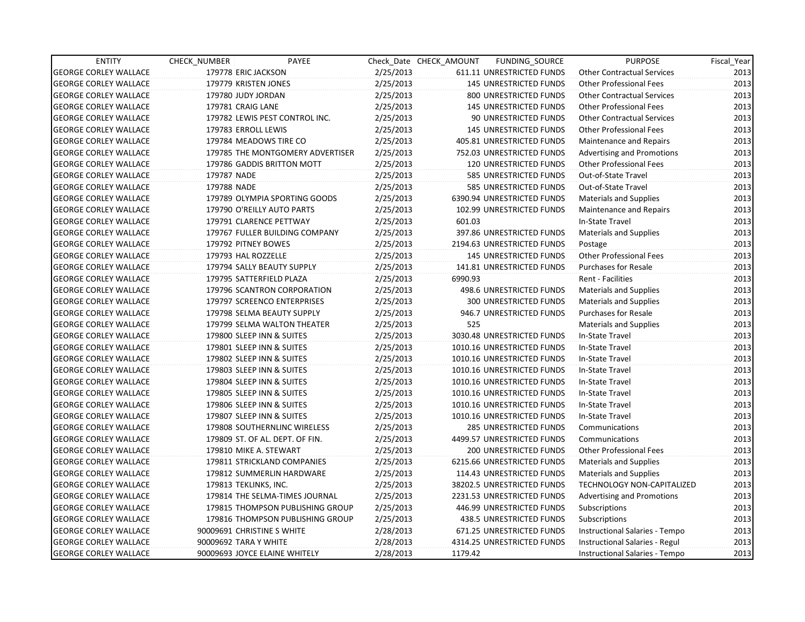| <b>ENTITY</b>                | CHECK_NUMBER                  | PAYEE                            |           | Check Date CHECK AMOUNT | FUNDING_SOURCE                | <b>PURPOSE</b>                    | Fiscal_Year |
|------------------------------|-------------------------------|----------------------------------|-----------|-------------------------|-------------------------------|-----------------------------------|-------------|
| <b>GEORGE CORLEY WALLACE</b> | 179778 ERIC JACKSON           |                                  | 2/25/2013 |                         | 611.11 UNRESTRICTED FUNDS     | <b>Other Contractual Services</b> | 2013        |
| <b>GEORGE CORLEY WALLACE</b> | 179779 KRISTEN JONES          |                                  | 2/25/2013 |                         | <b>145 UNRESTRICTED FUNDS</b> | <b>Other Professional Fees</b>    | 2013        |
| <b>GEORGE CORLEY WALLACE</b> | 179780 JUDY JORDAN            |                                  | 2/25/2013 |                         | 800 UNRESTRICTED FUNDS        | <b>Other Contractual Services</b> | 2013        |
| <b>GEORGE CORLEY WALLACE</b> | 179781 CRAIG LANE             |                                  | 2/25/2013 |                         | <b>145 UNRESTRICTED FUNDS</b> | <b>Other Professional Fees</b>    | 2013        |
| <b>GEORGE CORLEY WALLACE</b> |                               | 179782 LEWIS PEST CONTROL INC.   | 2/25/2013 |                         | 90 UNRESTRICTED FUNDS         | <b>Other Contractual Services</b> | 2013        |
| <b>GEORGE CORLEY WALLACE</b> | 179783 ERROLL LEWIS           |                                  | 2/25/2013 |                         | <b>145 UNRESTRICTED FUNDS</b> | <b>Other Professional Fees</b>    | 2013        |
| <b>GEORGE CORLEY WALLACE</b> | 179784 MEADOWS TIRE CO        |                                  | 2/25/2013 |                         | 405.81 UNRESTRICTED FUNDS     | Maintenance and Repairs           | 2013        |
| <b>GEORGE CORLEY WALLACE</b> |                               | 179785 THE MONTGOMERY ADVERTISER | 2/25/2013 |                         | 752.03 UNRESTRICTED FUNDS     | <b>Advertising and Promotions</b> | 2013        |
| <b>GEORGE CORLEY WALLACE</b> |                               | 179786 GADDIS BRITTON MOTT       | 2/25/2013 |                         | 120 UNRESTRICTED FUNDS        | <b>Other Professional Fees</b>    | 2013        |
| <b>GEORGE CORLEY WALLACE</b> | 179787 NADE                   |                                  | 2/25/2013 |                         | 585 UNRESTRICTED FUNDS        | Out-of-State Travel               | 2013        |
| <b>GEORGE CORLEY WALLACE</b> | 179788 NADE                   |                                  | 2/25/2013 |                         | 585 UNRESTRICTED FUNDS        | Out-of-State Travel               | 2013        |
| <b>GEORGE CORLEY WALLACE</b> |                               | 179789 OLYMPIA SPORTING GOODS    | 2/25/2013 |                         | 6390.94 UNRESTRICTED FUNDS    | <b>Materials and Supplies</b>     | 2013        |
| <b>GEORGE CORLEY WALLACE</b> |                               | 179790 O'REILLY AUTO PARTS       | 2/25/2013 |                         | 102.99 UNRESTRICTED FUNDS     | Maintenance and Repairs           | 2013        |
| <b>GEORGE CORLEY WALLACE</b> | 179791 CLARENCE PETTWAY       |                                  | 2/25/2013 | 601.03                  |                               | In-State Travel                   | 2013        |
| <b>GEORGE CORLEY WALLACE</b> |                               | 179767 FULLER BUILDING COMPANY   | 2/25/2013 |                         | 397.86 UNRESTRICTED FUNDS     | <b>Materials and Supplies</b>     | 2013        |
| <b>GEORGE CORLEY WALLACE</b> | 179792 PITNEY BOWES           |                                  | 2/25/2013 |                         | 2194.63 UNRESTRICTED FUNDS    | Postage                           | 2013        |
| <b>GEORGE CORLEY WALLACE</b> | 179793 HAL ROZZELLE           |                                  | 2/25/2013 |                         | 145 UNRESTRICTED FUNDS        | <b>Other Professional Fees</b>    | 2013        |
| <b>GEORGE CORLEY WALLACE</b> |                               | 179794 SALLY BEAUTY SUPPLY       | 2/25/2013 |                         | 141.81 UNRESTRICTED FUNDS     | <b>Purchases for Resale</b>       | 2013        |
| <b>GEORGE CORLEY WALLACE</b> | 179795 SATTERFIELD PLAZA      |                                  | 2/25/2013 | 6990.93                 |                               | Rent - Facilities                 | 2013        |
| <b>GEORGE CORLEY WALLACE</b> |                               | 179796 SCANTRON CORPORATION      | 2/25/2013 |                         | 498.6 UNRESTRICTED FUNDS      | <b>Materials and Supplies</b>     | 2013        |
| <b>GEORGE CORLEY WALLACE</b> |                               | 179797 SCREENCO ENTERPRISES      | 2/25/2013 |                         | <b>300 UNRESTRICTED FUNDS</b> | <b>Materials and Supplies</b>     | 2013        |
| <b>GEORGE CORLEY WALLACE</b> |                               | 179798 SELMA BEAUTY SUPPLY       | 2/25/2013 |                         | 946.7 UNRESTRICTED FUNDS      | <b>Purchases for Resale</b>       | 2013        |
| <b>GEORGE CORLEY WALLACE</b> |                               | 179799 SELMA WALTON THEATER      | 2/25/2013 | 525                     |                               | <b>Materials and Supplies</b>     | 2013        |
| <b>GEORGE CORLEY WALLACE</b> | 179800 SLEEP INN & SUITES     |                                  | 2/25/2013 |                         | 3030.48 UNRESTRICTED FUNDS    | In-State Travel                   | 2013        |
| <b>GEORGE CORLEY WALLACE</b> | 179801 SLEEP INN & SUITES     |                                  | 2/25/2013 |                         | 1010.16 UNRESTRICTED FUNDS    | In-State Travel                   | 2013        |
| <b>GEORGE CORLEY WALLACE</b> | 179802 SLEEP INN & SUITES     |                                  | 2/25/2013 |                         | 1010.16 UNRESTRICTED FUNDS    | In-State Travel                   | 2013        |
| <b>GEORGE CORLEY WALLACE</b> | 179803 SLEEP INN & SUITES     |                                  | 2/25/2013 |                         | 1010.16 UNRESTRICTED FUNDS    | In-State Travel                   | 2013        |
| <b>GEORGE CORLEY WALLACE</b> | 179804 SLEEP INN & SUITES     |                                  | 2/25/2013 |                         | 1010.16 UNRESTRICTED FUNDS    | In-State Travel                   | 2013        |
| <b>GEORGE CORLEY WALLACE</b> | 179805 SLEEP INN & SUITES     |                                  | 2/25/2013 |                         | 1010.16 UNRESTRICTED FUNDS    | In-State Travel                   | 2013        |
| <b>GEORGE CORLEY WALLACE</b> | 179806 SLEEP INN & SUITES     |                                  | 2/25/2013 |                         | 1010.16 UNRESTRICTED FUNDS    | In-State Travel                   | 2013        |
| <b>GEORGE CORLEY WALLACE</b> | 179807 SLEEP INN & SUITES     |                                  | 2/25/2013 |                         | 1010.16 UNRESTRICTED FUNDS    | In-State Travel                   | 2013        |
| <b>GEORGE CORLEY WALLACE</b> |                               | 179808 SOUTHERNLINC WIRELESS     | 2/25/2013 |                         | 285 UNRESTRICTED FUNDS        | Communications                    | 2013        |
| <b>GEORGE CORLEY WALLACE</b> |                               | 179809 ST. OF AL. DEPT. OF FIN.  | 2/25/2013 |                         | 4499.57 UNRESTRICTED FUNDS    | Communications                    | 2013        |
| <b>GEORGE CORLEY WALLACE</b> | 179810 MIKE A. STEWART        |                                  | 2/25/2013 |                         | 200 UNRESTRICTED FUNDS        | <b>Other Professional Fees</b>    | 2013        |
| <b>GEORGE CORLEY WALLACE</b> |                               | 179811 STRICKLAND COMPANIES      | 2/25/2013 |                         | 6215.66 UNRESTRICTED FUNDS    | <b>Materials and Supplies</b>     | 2013        |
| <b>GEORGE CORLEY WALLACE</b> |                               | 179812 SUMMERLIN HARDWARE        | 2/25/2013 |                         | 114.43 UNRESTRICTED FUNDS     | Materials and Supplies            | 2013        |
| <b>GEORGE CORLEY WALLACE</b> | 179813 TEKLINKS, INC.         |                                  | 2/25/2013 |                         | 38202.5 UNRESTRICTED FUNDS    | TECHNOLOGY NON-CAPITALIZED        | 2013        |
| <b>GEORGE CORLEY WALLACE</b> |                               | 179814 THE SELMA-TIMES JOURNAL   | 2/25/2013 |                         | 2231.53 UNRESTRICTED FUNDS    | <b>Advertising and Promotions</b> | 2013        |
| <b>GEORGE CORLEY WALLACE</b> |                               | 179815 THOMPSON PUBLISHING GROUP | 2/25/2013 |                         | 446.99 UNRESTRICTED FUNDS     | Subscriptions                     | 2013        |
| <b>GEORGE CORLEY WALLACE</b> |                               | 179816 THOMPSON PUBLISHING GROUP | 2/25/2013 |                         | 438.5 UNRESTRICTED FUNDS      | Subscriptions                     | 2013        |
| <b>GEORGE CORLEY WALLACE</b> | 90009691 CHRISTINE S WHITE    |                                  | 2/28/2013 |                         | 671.25 UNRESTRICTED FUNDS     | Instructional Salaries - Tempo    | 2013        |
| <b>GEORGE CORLEY WALLACE</b> | 90009692 TARA Y WHITE         |                                  | 2/28/2013 |                         | 4314.25 UNRESTRICTED FUNDS    | Instructional Salaries - Regul    | 2013        |
| <b>GEORGE CORLEY WALLACE</b> | 90009693 JOYCE ELAINE WHITELY |                                  | 2/28/2013 | 1179.42                 |                               | Instructional Salaries - Tempo    | 2013        |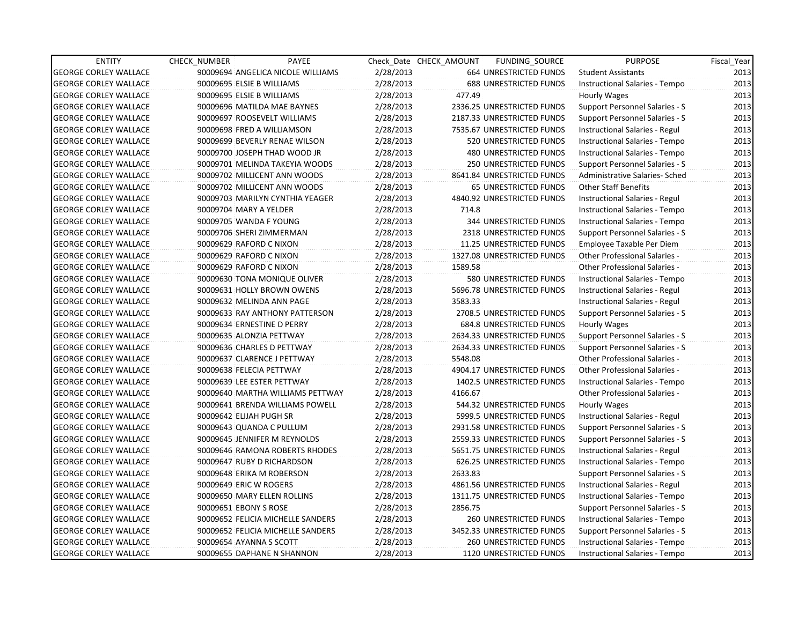| <b>ENTITY</b>                | <b>CHECK NUMBER</b>   | PAYEE                             |           | Check Date CHECK AMOUNT | FUNDING_SOURCE                 | <b>PURPOSE</b>                       | Fiscal_Year |
|------------------------------|-----------------------|-----------------------------------|-----------|-------------------------|--------------------------------|--------------------------------------|-------------|
| <b>GEORGE CORLEY WALLACE</b> |                       | 90009694 ANGELICA NICOLE WILLIAMS | 2/28/2013 |                         | 664 UNRESTRICTED FUNDS         | <b>Student Assistants</b>            | 2013        |
| <b>GEORGE CORLEY WALLACE</b> |                       | 90009695 ELSIE B WILLIAMS         | 2/28/2013 |                         | <b>688 UNRESTRICTED FUNDS</b>  | Instructional Salaries - Tempo       | 2013        |
| <b>GEORGE CORLEY WALLACE</b> |                       | 90009695 ELSIE B WILLIAMS         | 2/28/2013 | 477.49                  |                                | Hourly Wages                         | 2013        |
| <b>GEORGE CORLEY WALLACE</b> |                       | 90009696 MATILDA MAE BAYNES       | 2/28/2013 |                         | 2336.25 UNRESTRICTED FUNDS     | Support Personnel Salaries - S       | 2013        |
| <b>GEORGE CORLEY WALLACE</b> |                       | 90009697 ROOSEVELT WILLIAMS       | 2/28/2013 |                         | 2187.33 UNRESTRICTED FUNDS     | Support Personnel Salaries - S       | 2013        |
| <b>GEORGE CORLEY WALLACE</b> |                       | 90009698 FRED A WILLIAMSON        | 2/28/2013 |                         | 7535.67 UNRESTRICTED FUNDS     | Instructional Salaries - Regul       | 2013        |
| <b>GEORGE CORLEY WALLACE</b> |                       | 90009699 BEVERLY RENAE WILSON     | 2/28/2013 |                         | 520 UNRESTRICTED FUNDS         | Instructional Salaries - Tempo       | 2013        |
| <b>GEORGE CORLEY WALLACE</b> |                       | 90009700 JOSEPH THAD WOOD JR      | 2/28/2013 |                         | <b>480 UNRESTRICTED FUNDS</b>  | Instructional Salaries - Tempo       | 2013        |
| <b>GEORGE CORLEY WALLACE</b> |                       | 90009701 MELINDA TAKEYIA WOODS    | 2/28/2013 |                         | <b>250 UNRESTRICTED FUNDS</b>  | Support Personnel Salaries - S       | 2013        |
| <b>GEORGE CORLEY WALLACE</b> |                       | 90009702 MILLICENT ANN WOODS      | 2/28/2013 |                         | 8641.84 UNRESTRICTED FUNDS     | Administrative Salaries- Sched       | 2013        |
| <b>GEORGE CORLEY WALLACE</b> |                       | 90009702 MILLICENT ANN WOODS      | 2/28/2013 |                         | <b>65 UNRESTRICTED FUNDS</b>   | <b>Other Staff Benefits</b>          | 2013        |
| <b>GEORGE CORLEY WALLACE</b> |                       | 90009703 MARILYN CYNTHIA YEAGER   | 2/28/2013 |                         | 4840.92 UNRESTRICTED FUNDS     | Instructional Salaries - Regul       | 2013        |
| <b>GEORGE CORLEY WALLACE</b> |                       | 90009704 MARY A YELDER            | 2/28/2013 | 714.8                   |                                | Instructional Salaries - Tempo       | 2013        |
| <b>GEORGE CORLEY WALLACE</b> |                       | 90009705 WANDA F YOUNG            | 2/28/2013 |                         | 344 UNRESTRICTED FUNDS         | Instructional Salaries - Tempo       | 2013        |
| <b>GEORGE CORLEY WALLACE</b> |                       | 90009706 SHERI ZIMMERMAN          | 2/28/2013 |                         | 2318 UNRESTRICTED FUNDS        | Support Personnel Salaries - S       | 2013        |
| <b>GEORGE CORLEY WALLACE</b> |                       | 90009629 RAFORD C NIXON           | 2/28/2013 |                         | 11.25 UNRESTRICTED FUNDS       | Employee Taxable Per Diem            | 2013        |
| <b>GEORGE CORLEY WALLACE</b> |                       | 90009629 RAFORD C NIXON           | 2/28/2013 |                         | 1327.08 UNRESTRICTED FUNDS     | <b>Other Professional Salaries -</b> | 2013        |
| <b>GEORGE CORLEY WALLACE</b> |                       | 90009629 RAFORD C NIXON           | 2/28/2013 | 1589.58                 |                                | Other Professional Salaries -        | 2013        |
| <b>GEORGE CORLEY WALLACE</b> |                       | 90009630 TONA MONIQUE OLIVER      | 2/28/2013 |                         | 580 UNRESTRICTED FUNDS         | Instructional Salaries - Tempo       | 2013        |
| <b>GEORGE CORLEY WALLACE</b> |                       | 90009631 HOLLY BROWN OWENS        | 2/28/2013 |                         | 5696.78 UNRESTRICTED FUNDS     | Instructional Salaries - Regul       | 2013        |
| <b>GEORGE CORLEY WALLACE</b> |                       | 90009632 MELINDA ANN PAGE         | 2/28/2013 | 3583.33                 |                                | Instructional Salaries - Regul       | 2013        |
| <b>GEORGE CORLEY WALLACE</b> |                       | 90009633 RAY ANTHONY PATTERSON    | 2/28/2013 |                         | 2708.5 UNRESTRICTED FUNDS      | Support Personnel Salaries - S       | 2013        |
| <b>GEORGE CORLEY WALLACE</b> |                       | 90009634 ERNESTINE D PERRY        | 2/28/2013 |                         | 684.8 UNRESTRICTED FUNDS       | Hourly Wages                         | 2013        |
| <b>GEORGE CORLEY WALLACE</b> |                       | 90009635 ALONZIA PETTWAY          | 2/28/2013 |                         | 2634.33 UNRESTRICTED FUNDS     | Support Personnel Salaries - S       | 2013        |
| <b>GEORGE CORLEY WALLACE</b> |                       | 90009636 CHARLES D PETTWAY        | 2/28/2013 |                         | 2634.33 UNRESTRICTED FUNDS     | Support Personnel Salaries - S       | 2013        |
| <b>GEORGE CORLEY WALLACE</b> |                       | 90009637 CLARENCE J PETTWAY       | 2/28/2013 | 5548.08                 |                                | <b>Other Professional Salaries -</b> | 2013        |
| <b>GEORGE CORLEY WALLACE</b> |                       | 90009638 FELECIA PETTWAY          | 2/28/2013 |                         | 4904.17 UNRESTRICTED FUNDS     | Other Professional Salaries -        | 2013        |
| <b>GEORGE CORLEY WALLACE</b> |                       | 90009639 LEE ESTER PETTWAY        | 2/28/2013 |                         | 1402.5 UNRESTRICTED FUNDS      | Instructional Salaries - Tempo       | 2013        |
| <b>GEORGE CORLEY WALLACE</b> |                       | 90009640 MARTHA WILLIAMS PETTWAY  | 2/28/2013 | 4166.67                 |                                | Other Professional Salaries -        | 2013        |
| <b>GEORGE CORLEY WALLACE</b> |                       | 90009641 BRENDA WILLIAMS POWELL   | 2/28/2013 |                         | 544.32 UNRESTRICTED FUNDS      | Hourly Wages                         | 2013        |
| <b>GEORGE CORLEY WALLACE</b> |                       | 90009642 ELIJAH PUGH SR           | 2/28/2013 |                         | 5999.5 UNRESTRICTED FUNDS      | Instructional Salaries - Regul       | 2013        |
| <b>GEORGE CORLEY WALLACE</b> |                       | 90009643 QUANDA C PULLUM          | 2/28/2013 |                         | 2931.58 UNRESTRICTED FUNDS     | Support Personnel Salaries - S       | 2013        |
| <b>GEORGE CORLEY WALLACE</b> |                       | 90009645 JENNIFER M REYNOLDS      | 2/28/2013 |                         | 2559.33 UNRESTRICTED FUNDS     | Support Personnel Salaries - S       | 2013        |
| <b>GEORGE CORLEY WALLACE</b> |                       | 90009646 RAMONA ROBERTS RHODES    | 2/28/2013 |                         | 5651.75 UNRESTRICTED FUNDS     | Instructional Salaries - Regul       | 2013        |
| <b>GEORGE CORLEY WALLACE</b> |                       | 90009647 RUBY D RICHARDSON        | 2/28/2013 |                         | 626.25 UNRESTRICTED FUNDS      | Instructional Salaries - Tempo       | 2013        |
| <b>GEORGE CORLEY WALLACE</b> |                       | 90009648 ERIKA M ROBERSON         | 2/28/2013 | 2633.83                 |                                | Support Personnel Salaries - S       | 2013        |
| <b>GEORGE CORLEY WALLACE</b> |                       | 90009649 ERIC W ROGERS            | 2/28/2013 |                         | 4861.56 UNRESTRICTED FUNDS     | Instructional Salaries - Regul       | 2013        |
| <b>GEORGE CORLEY WALLACE</b> |                       | 90009650 MARY ELLEN ROLLINS       | 2/28/2013 |                         | 1311.75 UNRESTRICTED FUNDS     | Instructional Salaries - Tempo       | 2013        |
| <b>GEORGE CORLEY WALLACE</b> | 90009651 EBONY S ROSE |                                   | 2/28/2013 | 2856.75                 |                                | Support Personnel Salaries - S       | 2013        |
| <b>GEORGE CORLEY WALLACE</b> |                       | 90009652 FELICIA MICHELLE SANDERS | 2/28/2013 |                         | 260 UNRESTRICTED FUNDS         | Instructional Salaries - Tempo       | 2013        |
| <b>GEORGE CORLEY WALLACE</b> |                       | 90009652 FELICIA MICHELLE SANDERS | 2/28/2013 |                         | 3452.33 UNRESTRICTED FUNDS     | Support Personnel Salaries - S       | 2013        |
| <b>GEORGE CORLEY WALLACE</b> |                       | 90009654 AYANNA S SCOTT           | 2/28/2013 |                         | 260 UNRESTRICTED FUNDS         | Instructional Salaries - Tempo       | 2013        |
| <b>GEORGE CORLEY WALLACE</b> |                       | 90009655 DAPHANE N SHANNON        | 2/28/2013 |                         | <b>1120 UNRESTRICTED FUNDS</b> | Instructional Salaries - Tempo       | 2013        |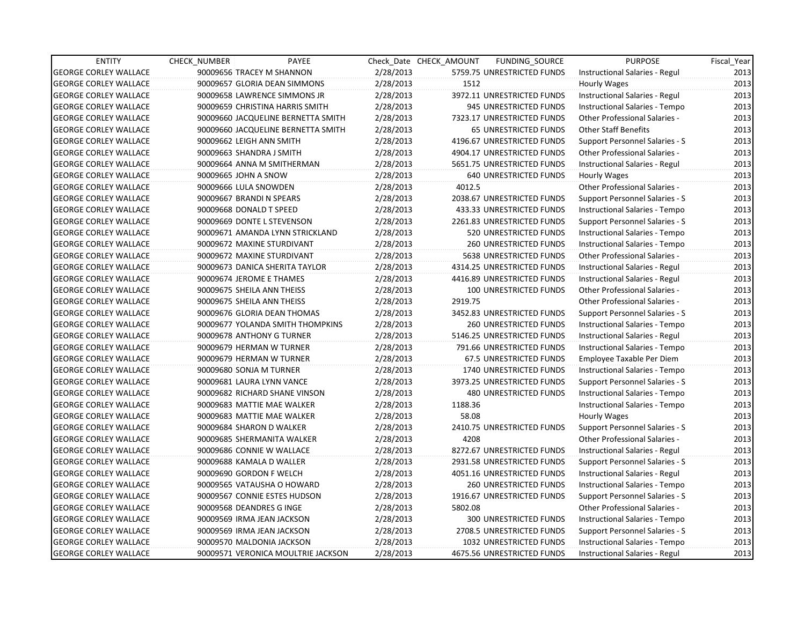| <b>ENTITY</b>                | <b>CHECK NUMBER</b>  | PAYEE                              |           | Check Date CHECK AMOUNT | FUNDING_SOURCE                 | <b>PURPOSE</b>                        | Fiscal_Year |
|------------------------------|----------------------|------------------------------------|-----------|-------------------------|--------------------------------|---------------------------------------|-------------|
| <b>GEORGE CORLEY WALLACE</b> |                      | 90009656 TRACEY M SHANNON          | 2/28/2013 |                         | 5759.75 UNRESTRICTED FUNDS     | Instructional Salaries - Regul        | 2013        |
| <b>GEORGE CORLEY WALLACE</b> |                      | 90009657 GLORIA DEAN SIMMONS       | 2/28/2013 | 1512                    |                                | Hourly Wages                          | 2013        |
| <b>GEORGE CORLEY WALLACE</b> |                      | 90009658 LAWRENCE SIMMONS JR       | 2/28/2013 |                         | 3972.11 UNRESTRICTED FUNDS     | Instructional Salaries - Regul        | 2013        |
| <b>GEORGE CORLEY WALLACE</b> |                      | 90009659 CHRISTINA HARRIS SMITH    | 2/28/2013 |                         | 945 UNRESTRICTED FUNDS         | Instructional Salaries - Tempo        | 2013        |
| <b>GEORGE CORLEY WALLACE</b> |                      | 90009660 JACQUELINE BERNETTA SMITH | 2/28/2013 |                         | 7323.17 UNRESTRICTED FUNDS     | <b>Other Professional Salaries -</b>  | 2013        |
| <b>GEORGE CORLEY WALLACE</b> |                      | 90009660 JACQUELINE BERNETTA SMITH | 2/28/2013 |                         | <b>65 UNRESTRICTED FUNDS</b>   | <b>Other Staff Benefits</b>           | 2013        |
| <b>GEORGE CORLEY WALLACE</b> |                      | 90009662 LEIGH ANN SMITH           | 2/28/2013 |                         | 4196.67 UNRESTRICTED FUNDS     | Support Personnel Salaries - S        | 2013        |
| <b>GEORGE CORLEY WALLACE</b> |                      | 90009663 SHANDRA J SMITH           | 2/28/2013 |                         | 4904.17 UNRESTRICTED FUNDS     | <b>Other Professional Salaries -</b>  | 2013        |
| <b>GEORGE CORLEY WALLACE</b> |                      | 90009664 ANNA M SMITHERMAN         | 2/28/2013 |                         | 5651.75 UNRESTRICTED FUNDS     | Instructional Salaries - Regul        | 2013        |
| <b>GEORGE CORLEY WALLACE</b> | 90009665 JOHN A SNOW |                                    | 2/28/2013 |                         | <b>640 UNRESTRICTED FUNDS</b>  | <b>Hourly Wages</b>                   | 2013        |
| <b>GEORGE CORLEY WALLACE</b> |                      | 90009666 LULA SNOWDEN              | 2/28/2013 | 4012.5                  |                                | Other Professional Salaries -         | 2013        |
| <b>GEORGE CORLEY WALLACE</b> |                      | 90009667 BRANDI N SPEARS           | 2/28/2013 |                         | 2038.67 UNRESTRICTED FUNDS     | Support Personnel Salaries - S        | 2013        |
| <b>GEORGE CORLEY WALLACE</b> |                      | 90009668 DONALD T SPEED            | 2/28/2013 |                         | 433.33 UNRESTRICTED FUNDS      | Instructional Salaries - Tempo        | 2013        |
| <b>GEORGE CORLEY WALLACE</b> |                      | 90009669 DONTE L STEVENSON         | 2/28/2013 |                         | 2261.83 UNRESTRICTED FUNDS     | Support Personnel Salaries - S        | 2013        |
| <b>GEORGE CORLEY WALLACE</b> |                      | 90009671 AMANDA LYNN STRICKLAND    | 2/28/2013 |                         | 520 UNRESTRICTED FUNDS         | Instructional Salaries - Tempo        | 2013        |
| <b>GEORGE CORLEY WALLACE</b> |                      | 90009672 MAXINE STURDIVANT         | 2/28/2013 |                         | <b>260 UNRESTRICTED FUNDS</b>  | Instructional Salaries - Tempo        | 2013        |
| <b>GEORGE CORLEY WALLACE</b> |                      | 90009672 MAXINE STURDIVANT         | 2/28/2013 |                         | 5638 UNRESTRICTED FUNDS        | <b>Other Professional Salaries -</b>  | 2013        |
| <b>GEORGE CORLEY WALLACE</b> |                      | 90009673 DANICA SHERITA TAYLOR     | 2/28/2013 |                         | 4314.25 UNRESTRICTED FUNDS     | Instructional Salaries - Regul        | 2013        |
| <b>GEORGE CORLEY WALLACE</b> |                      | 90009674 JEROME E THAMES           | 2/28/2013 |                         | 4416.89 UNRESTRICTED FUNDS     | Instructional Salaries - Regul        | 2013        |
| <b>GEORGE CORLEY WALLACE</b> |                      | 90009675 SHEILA ANN THEISS         | 2/28/2013 |                         | 100 UNRESTRICTED FUNDS         | Other Professional Salaries -         | 2013        |
| <b>GEORGE CORLEY WALLACE</b> |                      | 90009675 SHEILA ANN THEISS         | 2/28/2013 | 2919.75                 |                                | Other Professional Salaries -         | 2013        |
| <b>GEORGE CORLEY WALLACE</b> |                      | 90009676 GLORIA DEAN THOMAS        | 2/28/2013 |                         | 3452.83 UNRESTRICTED FUNDS     | Support Personnel Salaries - S        | 2013        |
| <b>GEORGE CORLEY WALLACE</b> |                      | 90009677 YOLANDA SMITH THOMPKINS   | 2/28/2013 |                         | 260 UNRESTRICTED FUNDS         | Instructional Salaries - Tempo        | 2013        |
| <b>GEORGE CORLEY WALLACE</b> |                      | 90009678 ANTHONY G TURNER          | 2/28/2013 |                         | 5146.25 UNRESTRICTED FUNDS     | Instructional Salaries - Regul        | 2013        |
| <b>GEORGE CORLEY WALLACE</b> |                      | 90009679 HERMAN W TURNER           | 2/28/2013 |                         | 791.66 UNRESTRICTED FUNDS      | Instructional Salaries - Tempo        | 2013        |
| <b>GEORGE CORLEY WALLACE</b> |                      | 90009679 HERMAN W TURNER           | 2/28/2013 |                         | <b>67.5 UNRESTRICTED FUNDS</b> | Employee Taxable Per Diem             | 2013        |
| <b>GEORGE CORLEY WALLACE</b> |                      | 90009680 SONJA M TURNER            | 2/28/2013 |                         | 1740 UNRESTRICTED FUNDS        | Instructional Salaries - Tempo        | 2013        |
| <b>GEORGE CORLEY WALLACE</b> |                      | 90009681 LAURA LYNN VANCE          | 2/28/2013 |                         | 3973.25 UNRESTRICTED FUNDS     | Support Personnel Salaries - S        | 2013        |
| <b>GEORGE CORLEY WALLACE</b> |                      | 90009682 RICHARD SHANE VINSON      | 2/28/2013 |                         | <b>480 UNRESTRICTED FUNDS</b>  | Instructional Salaries - Tempo        | 2013        |
| <b>GEORGE CORLEY WALLACE</b> |                      | 90009683 MATTIE MAE WALKER         | 2/28/2013 | 1188.36                 |                                | Instructional Salaries - Tempo        | 2013        |
| <b>GEORGE CORLEY WALLACE</b> |                      | 90009683 MATTIE MAE WALKER         | 2/28/2013 | 58.08                   |                                | Hourly Wages                          | 2013        |
| <b>GEORGE CORLEY WALLACE</b> |                      | 90009684 SHARON D WALKER           | 2/28/2013 |                         | 2410.75 UNRESTRICTED FUNDS     | Support Personnel Salaries - S        | 2013        |
| <b>GEORGE CORLEY WALLACE</b> |                      | 90009685 SHERMANITA WALKER         | 2/28/2013 | 4208                    |                                | Other Professional Salaries -         | 2013        |
| <b>GEORGE CORLEY WALLACE</b> |                      | 90009686 CONNIE W WALLACE          | 2/28/2013 |                         | 8272.67 UNRESTRICTED FUNDS     | Instructional Salaries - Regul        | 2013        |
| <b>GEORGE CORLEY WALLACE</b> |                      | 90009688 KAMALA D WALLER           | 2/28/2013 |                         | 2931.58 UNRESTRICTED FUNDS     | Support Personnel Salaries - S        | 2013        |
| <b>GEORGE CORLEY WALLACE</b> |                      | 90009690 GORDON F WELCH            | 2/28/2013 |                         | 4051.16 UNRESTRICTED FUNDS     | Instructional Salaries - Regul        | 2013        |
| <b>GEORGE CORLEY WALLACE</b> |                      | 90009565 VATAUSHA O HOWARD         | 2/28/2013 |                         | 260 UNRESTRICTED FUNDS         | Instructional Salaries - Tempo        | 2013        |
| <b>GEORGE CORLEY WALLACE</b> |                      | 90009567 CONNIE ESTES HUDSON       | 2/28/2013 |                         | 1916.67 UNRESTRICTED FUNDS     | <b>Support Personnel Salaries - S</b> | 2013        |
| <b>GEORGE CORLEY WALLACE</b> |                      | 90009568 DEANDRES G INGE           | 2/28/2013 | 5802.08                 |                                | Other Professional Salaries -         | 2013        |
| <b>GEORGE CORLEY WALLACE</b> |                      | 90009569 IRMA JEAN JACKSON         | 2/28/2013 |                         | 300 UNRESTRICTED FUNDS         | Instructional Salaries - Tempo        | 2013        |
| <b>GEORGE CORLEY WALLACE</b> |                      | 90009569 IRMA JEAN JACKSON         | 2/28/2013 |                         | 2708.5 UNRESTRICTED FUNDS      | Support Personnel Salaries - S        | 2013        |
| <b>GEORGE CORLEY WALLACE</b> |                      | 90009570 MALDONIA JACKSON          | 2/28/2013 |                         | 1032 UNRESTRICTED FUNDS        | Instructional Salaries - Tempo        | 2013        |
| <b>GEORGE CORLEY WALLACE</b> |                      | 90009571 VERONICA MOULTRIE JACKSON | 2/28/2013 |                         | 4675.56 UNRESTRICTED FUNDS     | Instructional Salaries - Regul        | 2013        |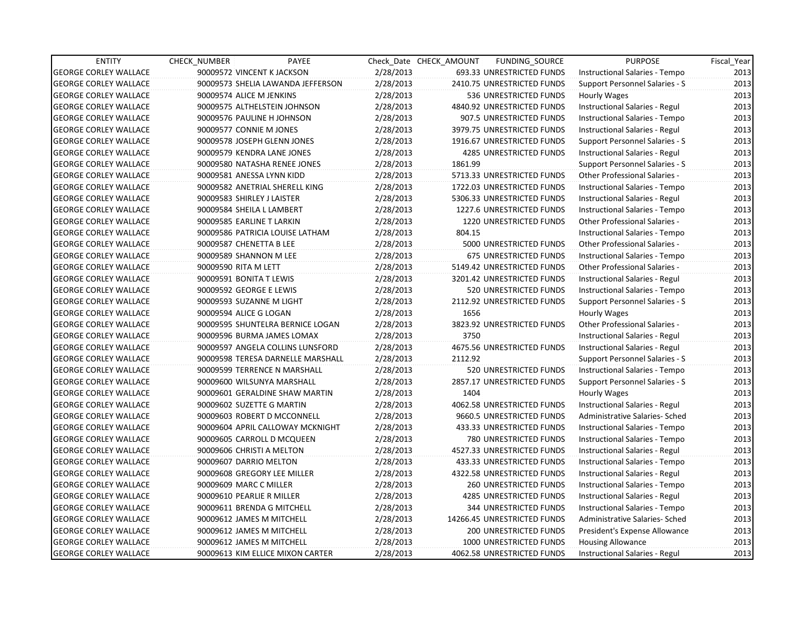| <b>ENTITY</b>                | <b>CHECK NUMBER</b>            | PAYEE                             |           | Check Date CHECK AMOUNT | FUNDING_SOURCE                 | <b>PURPOSE</b>                       | Fiscal Year |
|------------------------------|--------------------------------|-----------------------------------|-----------|-------------------------|--------------------------------|--------------------------------------|-------------|
| <b>GEORGE CORLEY WALLACE</b> | 90009572 VINCENT K JACKSON     |                                   | 2/28/2013 |                         | 693.33 UNRESTRICTED FUNDS      | Instructional Salaries - Tempo       | 2013        |
| <b>GEORGE CORLEY WALLACE</b> |                                | 90009573 SHELIA LAWANDA JEFFERSON | 2/28/2013 |                         | 2410.75 UNRESTRICTED FUNDS     | Support Personnel Salaries - S       | 2013        |
| <b>GEORGE CORLEY WALLACE</b> | 90009574 ALICE M JENKINS       |                                   | 2/28/2013 |                         | 536 UNRESTRICTED FUNDS         | <b>Hourly Wages</b>                  | 2013        |
| <b>GEORGE CORLEY WALLACE</b> | 90009575 ALTHELSTEIN JOHNSON   |                                   | 2/28/2013 |                         | 4840.92 UNRESTRICTED FUNDS     | Instructional Salaries - Regul       | 2013        |
| <b>GEORGE CORLEY WALLACE</b> | 90009576 PAULINE H JOHNSON     |                                   | 2/28/2013 |                         | 907.5 UNRESTRICTED FUNDS       | Instructional Salaries - Tempo       | 2013        |
| <b>GEORGE CORLEY WALLACE</b> | 90009577 CONNIE M JONES        |                                   | 2/28/2013 |                         | 3979.75 UNRESTRICTED FUNDS     | Instructional Salaries - Regul       | 2013        |
| <b>GEORGE CORLEY WALLACE</b> | 90009578 JOSEPH GLENN JONES    |                                   | 2/28/2013 |                         | 1916.67 UNRESTRICTED FUNDS     | Support Personnel Salaries - S       | 2013        |
| <b>GEORGE CORLEY WALLACE</b> | 90009579 KENDRA LANE JONES     |                                   | 2/28/2013 |                         | <b>4285 UNRESTRICTED FUNDS</b> | Instructional Salaries - Regul       | 2013        |
| <b>GEORGE CORLEY WALLACE</b> | 90009580 NATASHA RENEE JONES   |                                   | 2/28/2013 | 1861.99                 |                                | Support Personnel Salaries - S       | 2013        |
| <b>GEORGE CORLEY WALLACE</b> | 90009581 ANESSA LYNN KIDD      |                                   | 2/28/2013 |                         | 5713.33 UNRESTRICTED FUNDS     | Other Professional Salaries -        | 2013        |
| <b>GEORGE CORLEY WALLACE</b> | 90009582 ANETRIAL SHERELL KING |                                   | 2/28/2013 |                         | 1722.03 UNRESTRICTED FUNDS     | Instructional Salaries - Tempo       | 2013        |
| <b>GEORGE CORLEY WALLACE</b> | 90009583 SHIRLEY J LAISTER     |                                   | 2/28/2013 |                         | 5306.33 UNRESTRICTED FUNDS     | Instructional Salaries - Regul       | 2013        |
| <b>GEORGE CORLEY WALLACE</b> | 90009584 SHEILA L LAMBERT      |                                   | 2/28/2013 |                         | 1227.6 UNRESTRICTED FUNDS      | Instructional Salaries - Tempo       | 2013        |
| <b>GEORGE CORLEY WALLACE</b> | 90009585 EARLINE T LARKIN      |                                   | 2/28/2013 |                         | 1220 UNRESTRICTED FUNDS        | <b>Other Professional Salaries -</b> | 2013        |
| <b>GEORGE CORLEY WALLACE</b> |                                | 90009586 PATRICIA LOUISE LATHAM   | 2/28/2013 | 804.15                  |                                | Instructional Salaries - Tempo       | 2013        |
| <b>GEORGE CORLEY WALLACE</b> | 90009587 CHENETTA B LEE        |                                   | 2/28/2013 |                         | 5000 UNRESTRICTED FUNDS        | Other Professional Salaries -        | 2013        |
| <b>GEORGE CORLEY WALLACE</b> | 90009589 SHANNON M LEE         |                                   | 2/28/2013 |                         | 675 UNRESTRICTED FUNDS         | Instructional Salaries - Tempo       | 2013        |
| <b>GEORGE CORLEY WALLACE</b> | 90009590 RITA M LETT           |                                   | 2/28/2013 |                         | 5149.42 UNRESTRICTED FUNDS     | Other Professional Salaries -        | 2013        |
| <b>GEORGE CORLEY WALLACE</b> | 90009591 BONITA T LEWIS        |                                   | 2/28/2013 |                         | 3201.42 UNRESTRICTED FUNDS     | Instructional Salaries - Regul       | 2013        |
| <b>GEORGE CORLEY WALLACE</b> | 90009592 GEORGE E LEWIS        |                                   | 2/28/2013 |                         | 520 UNRESTRICTED FUNDS         | Instructional Salaries - Tempo       | 2013        |
| <b>GEORGE CORLEY WALLACE</b> | 90009593 SUZANNE M LIGHT       |                                   | 2/28/2013 |                         | 2112.92 UNRESTRICTED FUNDS     | Support Personnel Salaries - S       | 2013        |
| <b>GEORGE CORLEY WALLACE</b> | 90009594 ALICE G LOGAN         |                                   | 2/28/2013 | 1656                    |                                | Hourly Wages                         | 2013        |
| <b>GEORGE CORLEY WALLACE</b> |                                | 90009595 SHUNTELRA BERNICE LOGAN  | 2/28/2013 |                         | 3823.92 UNRESTRICTED FUNDS     | Other Professional Salaries -        | 2013        |
| <b>GEORGE CORLEY WALLACE</b> | 90009596 BURMA JAMES LOMAX     |                                   | 2/28/2013 | 3750                    |                                | Instructional Salaries - Regul       | 2013        |
| <b>GEORGE CORLEY WALLACE</b> |                                | 90009597 ANGELA COLLINS LUNSFORD  | 2/28/2013 |                         | 4675.56 UNRESTRICTED FUNDS     | Instructional Salaries - Regul       | 2013        |
| <b>GEORGE CORLEY WALLACE</b> |                                | 90009598 TERESA DARNELLE MARSHALL | 2/28/2013 | 2112.92                 |                                | Support Personnel Salaries - S       | 2013        |
| <b>GEORGE CORLEY WALLACE</b> | 90009599 TERRENCE N MARSHALL   |                                   | 2/28/2013 |                         | 520 UNRESTRICTED FUNDS         | Instructional Salaries - Tempo       | 2013        |
| <b>GEORGE CORLEY WALLACE</b> | 90009600 WILSUNYA MARSHALL     |                                   | 2/28/2013 |                         | 2857.17 UNRESTRICTED FUNDS     | Support Personnel Salaries - S       | 2013        |
| <b>GEORGE CORLEY WALLACE</b> |                                | 90009601 GERALDINE SHAW MARTIN    | 2/28/2013 | 1404                    |                                | Hourly Wages                         | 2013        |
| <b>GEORGE CORLEY WALLACE</b> | 90009602 SUZETTE G MARTIN      |                                   | 2/28/2013 |                         | 4062.58 UNRESTRICTED FUNDS     | Instructional Salaries - Regul       | 2013        |
| <b>GEORGE CORLEY WALLACE</b> | 90009603 ROBERT D MCCONNELL    |                                   | 2/28/2013 |                         | 9660.5 UNRESTRICTED FUNDS      | Administrative Salaries- Sched       | 2013        |
| <b>GEORGE CORLEY WALLACE</b> |                                | 90009604 APRIL CALLOWAY MCKNIGHT  | 2/28/2013 |                         | 433.33 UNRESTRICTED FUNDS      | Instructional Salaries - Tempo       | 2013        |
| <b>GEORGE CORLEY WALLACE</b> | 90009605 CARROLL D MCQUEEN     |                                   | 2/28/2013 |                         | 780 UNRESTRICTED FUNDS         | Instructional Salaries - Tempo       | 2013        |
| <b>GEORGE CORLEY WALLACE</b> | 90009606 CHRISTI A MELTON      |                                   | 2/28/2013 |                         | 4527.33 UNRESTRICTED FUNDS     | Instructional Salaries - Regul       | 2013        |
| <b>GEORGE CORLEY WALLACE</b> | 90009607 DARRIO MELTON         |                                   | 2/28/2013 |                         | 433.33 UNRESTRICTED FUNDS      | Instructional Salaries - Tempo       | 2013        |
| <b>GEORGE CORLEY WALLACE</b> | 90009608 GREGORY LEE MILLER    |                                   | 2/28/2013 |                         | 4322.58 UNRESTRICTED FUNDS     | Instructional Salaries - Regul       | 2013        |
| <b>GEORGE CORLEY WALLACE</b> | 90009609 MARC C MILLER         |                                   | 2/28/2013 |                         | <b>260 UNRESTRICTED FUNDS</b>  | Instructional Salaries - Tempo       | 2013        |
| <b>GEORGE CORLEY WALLACE</b> | 90009610 PEARLIE R MILLER      |                                   | 2/28/2013 |                         | <b>4285 UNRESTRICTED FUNDS</b> | Instructional Salaries - Regul       | 2013        |
| <b>GEORGE CORLEY WALLACE</b> | 90009611 BRENDA G MITCHELL     |                                   | 2/28/2013 |                         | 344 UNRESTRICTED FUNDS         | Instructional Salaries - Tempo       | 2013        |
| <b>GEORGE CORLEY WALLACE</b> | 90009612 JAMES M MITCHELL      |                                   | 2/28/2013 |                         | 14266.45 UNRESTRICTED FUNDS    | Administrative Salaries- Sched       | 2013        |
| <b>GEORGE CORLEY WALLACE</b> | 90009612 JAMES M MITCHELL      |                                   | 2/28/2013 |                         | 200 UNRESTRICTED FUNDS         | President's Expense Allowance        | 2013        |
| <b>GEORGE CORLEY WALLACE</b> | 90009612 JAMES M MITCHELL      |                                   | 2/28/2013 |                         | 1000 UNRESTRICTED FUNDS        | <b>Housing Allowance</b>             | 2013        |
| <b>GEORGE CORLEY WALLACE</b> |                                | 90009613 KIM ELLICE MIXON CARTER  | 2/28/2013 |                         | 4062.58 UNRESTRICTED FUNDS     | Instructional Salaries - Regul       | 2013        |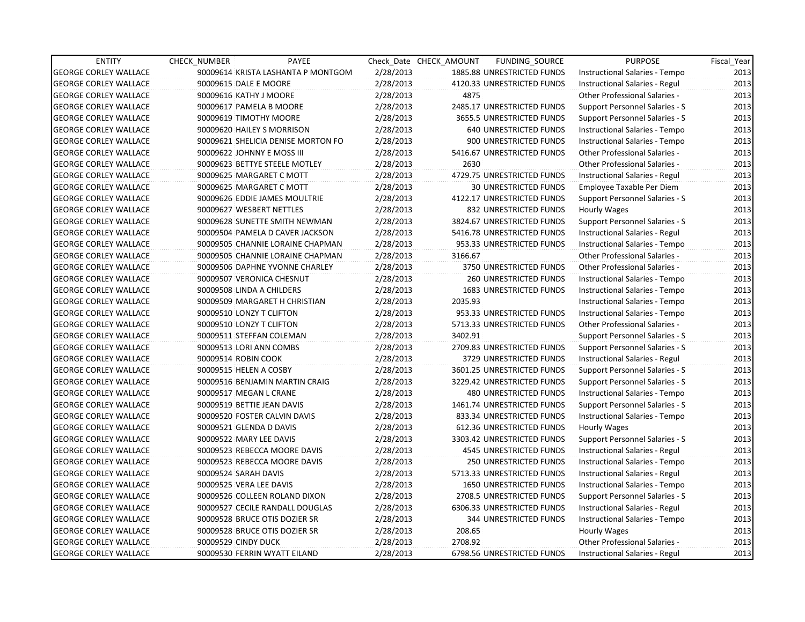| <b>ENTITY</b>                | <b>CHECK NUMBER</b>       | PAYEE                              |           | Check Date CHECK AMOUNT | FUNDING_SOURCE                 | <b>PURPOSE</b>                        | Fiscal_Year |
|------------------------------|---------------------------|------------------------------------|-----------|-------------------------|--------------------------------|---------------------------------------|-------------|
| <b>GEORGE CORLEY WALLACE</b> |                           | 90009614 KRISTA LASHANTA P MONTGOM | 2/28/2013 |                         | 1885.88 UNRESTRICTED FUNDS     | Instructional Salaries - Tempo        | 2013        |
| <b>GEORGE CORLEY WALLACE</b> | 90009615 DALE E MOORE     |                                    | 2/28/2013 |                         | 4120.33 UNRESTRICTED FUNDS     | Instructional Salaries - Regul        | 2013        |
| <b>GEORGE CORLEY WALLACE</b> | 90009616 KATHY J MOORE    |                                    | 2/28/2013 | 4875                    |                                | <b>Other Professional Salaries -</b>  | 2013        |
| <b>GEORGE CORLEY WALLACE</b> |                           | 90009617 PAMELA B MOORE            | 2/28/2013 |                         | 2485.17 UNRESTRICTED FUNDS     | Support Personnel Salaries - S        | 2013        |
| <b>GEORGE CORLEY WALLACE</b> | 90009619 TIMOTHY MOORE    |                                    | 2/28/2013 |                         | 3655.5 UNRESTRICTED FUNDS      | Support Personnel Salaries - S        | 2013        |
| <b>GEORGE CORLEY WALLACE</b> |                           | 90009620 HAILEY S MORRISON         | 2/28/2013 |                         | <b>640 UNRESTRICTED FUNDS</b>  | Instructional Salaries - Tempo        | 2013        |
| <b>GEORGE CORLEY WALLACE</b> |                           | 90009621 SHELICIA DENISE MORTON FO | 2/28/2013 |                         | 900 UNRESTRICTED FUNDS         | Instructional Salaries - Tempo        | 2013        |
| <b>GEORGE CORLEY WALLACE</b> |                           | 90009622 JOHNNY E MOSS III         | 2/28/2013 |                         | 5416.67 UNRESTRICTED FUNDS     | Other Professional Salaries -         | 2013        |
| <b>GEORGE CORLEY WALLACE</b> |                           | 90009623 BETTYE STEELE MOTLEY      | 2/28/2013 | 2630                    |                                | <b>Other Professional Salaries -</b>  | 2013        |
| <b>GEORGE CORLEY WALLACE</b> |                           | 90009625 MARGARET C MOTT           | 2/28/2013 |                         | 4729.75 UNRESTRICTED FUNDS     | Instructional Salaries - Regul        | 2013        |
| <b>GEORGE CORLEY WALLACE</b> |                           | 90009625 MARGARET C MOTT           | 2/28/2013 |                         | <b>30 UNRESTRICTED FUNDS</b>   | Employee Taxable Per Diem             | 2013        |
| <b>GEORGE CORLEY WALLACE</b> |                           | 90009626 EDDIE JAMES MOULTRIE      | 2/28/2013 |                         | 4122.17 UNRESTRICTED FUNDS     | Support Personnel Salaries - S        | 2013        |
| <b>GEORGE CORLEY WALLACE</b> |                           | 90009627 WESBERT NETTLES           | 2/28/2013 |                         | 832 UNRESTRICTED FUNDS         | Hourly Wages                          | 2013        |
| <b>GEORGE CORLEY WALLACE</b> |                           | 90009628 SUNETTE SMITH NEWMAN      | 2/28/2013 |                         | 3824.67 UNRESTRICTED FUNDS     | Support Personnel Salaries - S        | 2013        |
| <b>GEORGE CORLEY WALLACE</b> |                           | 90009504 PAMELA D CAVER JACKSON    | 2/28/2013 |                         | 5416.78 UNRESTRICTED FUNDS     | Instructional Salaries - Regul        | 2013        |
| <b>GEORGE CORLEY WALLACE</b> |                           | 90009505 CHANNIE LORAINE CHAPMAN   | 2/28/2013 |                         | 953.33 UNRESTRICTED FUNDS      | Instructional Salaries - Tempo        | 2013        |
| <b>GEORGE CORLEY WALLACE</b> |                           | 90009505 CHANNIE LORAINE CHAPMAN   | 2/28/2013 | 3166.67                 |                                | Other Professional Salaries -         | 2013        |
| <b>GEORGE CORLEY WALLACE</b> |                           | 90009506 DAPHNE YVONNE CHARLEY     | 2/28/2013 |                         | 3750 UNRESTRICTED FUNDS        | Other Professional Salaries -         | 2013        |
| <b>GEORGE CORLEY WALLACE</b> |                           | 90009507 VERONICA CHESNUT          | 2/28/2013 |                         | 260 UNRESTRICTED FUNDS         | Instructional Salaries - Tempo        | 2013        |
| <b>GEORGE CORLEY WALLACE</b> | 90009508 LINDA A CHILDERS |                                    | 2/28/2013 |                         | <b>1683 UNRESTRICTED FUNDS</b> | Instructional Salaries - Tempo        | 2013        |
| <b>GEORGE CORLEY WALLACE</b> |                           | 90009509 MARGARET H CHRISTIAN      | 2/28/2013 | 2035.93                 |                                | Instructional Salaries - Tempo        | 2013        |
| <b>GEORGE CORLEY WALLACE</b> | 90009510 LONZY T CLIFTON  |                                    | 2/28/2013 |                         | 953.33 UNRESTRICTED FUNDS      | Instructional Salaries - Tempo        | 2013        |
| <b>GEORGE CORLEY WALLACE</b> | 90009510 LONZY T CLIFTON  |                                    | 2/28/2013 |                         | 5713.33 UNRESTRICTED FUNDS     | Other Professional Salaries -         | 2013        |
| <b>GEORGE CORLEY WALLACE</b> |                           | 90009511 STEFFAN COLEMAN           | 2/28/2013 | 3402.91                 |                                | Support Personnel Salaries - S        | 2013        |
| <b>GEORGE CORLEY WALLACE</b> | 90009513 LORI ANN COMBS   |                                    | 2/28/2013 |                         | 2709.83 UNRESTRICTED FUNDS     | Support Personnel Salaries - S        | 2013        |
| <b>GEORGE CORLEY WALLACE</b> | 90009514 ROBIN COOK       |                                    | 2/28/2013 |                         | 3729 UNRESTRICTED FUNDS        | Instructional Salaries - Regul        | 2013        |
| <b>GEORGE CORLEY WALLACE</b> | 90009515 HELEN A COSBY    |                                    | 2/28/2013 |                         | 3601.25 UNRESTRICTED FUNDS     | Support Personnel Salaries - S        | 2013        |
| <b>GEORGE CORLEY WALLACE</b> |                           | 90009516 BENJAMIN MARTIN CRAIG     | 2/28/2013 |                         | 3229.42 UNRESTRICTED FUNDS     | Support Personnel Salaries - S        | 2013        |
| <b>GEORGE CORLEY WALLACE</b> | 90009517 MEGAN L CRANE    |                                    | 2/28/2013 |                         | <b>480 UNRESTRICTED FUNDS</b>  | Instructional Salaries - Tempo        | 2013        |
| <b>GEORGE CORLEY WALLACE</b> |                           | 90009519 BETTIE JEAN DAVIS         | 2/28/2013 |                         | 1461.74 UNRESTRICTED FUNDS     | Support Personnel Salaries - S        | 2013        |
| <b>GEORGE CORLEY WALLACE</b> |                           | 90009520 FOSTER CALVIN DAVIS       | 2/28/2013 |                         | 833.34 UNRESTRICTED FUNDS      | Instructional Salaries - Tempo        | 2013        |
| <b>GEORGE CORLEY WALLACE</b> | 90009521 GLENDA D DAVIS   |                                    | 2/28/2013 |                         | 612.36 UNRESTRICTED FUNDS      | Hourly Wages                          | 2013        |
| <b>GEORGE CORLEY WALLACE</b> | 90009522 MARY LEE DAVIS   |                                    | 2/28/2013 |                         | 3303.42 UNRESTRICTED FUNDS     | Support Personnel Salaries - S        | 2013        |
| <b>GEORGE CORLEY WALLACE</b> |                           | 90009523 REBECCA MOORE DAVIS       | 2/28/2013 |                         | 4545 UNRESTRICTED FUNDS        | Instructional Salaries - Regul        | 2013        |
| <b>GEORGE CORLEY WALLACE</b> |                           | 90009523 REBECCA MOORE DAVIS       | 2/28/2013 |                         | <b>250 UNRESTRICTED FUNDS</b>  | Instructional Salaries - Tempo        | 2013        |
| <b>GEORGE CORLEY WALLACE</b> | 90009524 SARAH DAVIS      |                                    | 2/28/2013 |                         | 5713.33 UNRESTRICTED FUNDS     | Instructional Salaries - Regul        | 2013        |
| <b>GEORGE CORLEY WALLACE</b> | 90009525 VERA LEE DAVIS   |                                    | 2/28/2013 |                         | 1650 UNRESTRICTED FUNDS        | Instructional Salaries - Tempo        | 2013        |
| <b>GEORGE CORLEY WALLACE</b> |                           | 90009526 COLLEEN ROLAND DIXON      | 2/28/2013 |                         | 2708.5 UNRESTRICTED FUNDS      | <b>Support Personnel Salaries - S</b> | 2013        |
| <b>GEORGE CORLEY WALLACE</b> |                           | 90009527 CECILE RANDALL DOUGLAS    | 2/28/2013 |                         | 6306.33 UNRESTRICTED FUNDS     | Instructional Salaries - Regul        | 2013        |
| <b>GEORGE CORLEY WALLACE</b> |                           | 90009528 BRUCE OTIS DOZIER SR      | 2/28/2013 |                         | 344 UNRESTRICTED FUNDS         | Instructional Salaries - Tempo        | 2013        |
| <b>GEORGE CORLEY WALLACE</b> |                           | 90009528 BRUCE OTIS DOZIER SR      | 2/28/2013 | 208.65                  |                                | Hourly Wages                          | 2013        |
| <b>GEORGE CORLEY WALLACE</b> | 90009529 CINDY DUCK       |                                    | 2/28/2013 | 2708.92                 |                                | Other Professional Salaries -         | 2013        |
| <b>GEORGE CORLEY WALLACE</b> |                           | 90009530 FERRIN WYATT EILAND       | 2/28/2013 |                         | 6798.56 UNRESTRICTED FUNDS     | Instructional Salaries - Regul        | 2013        |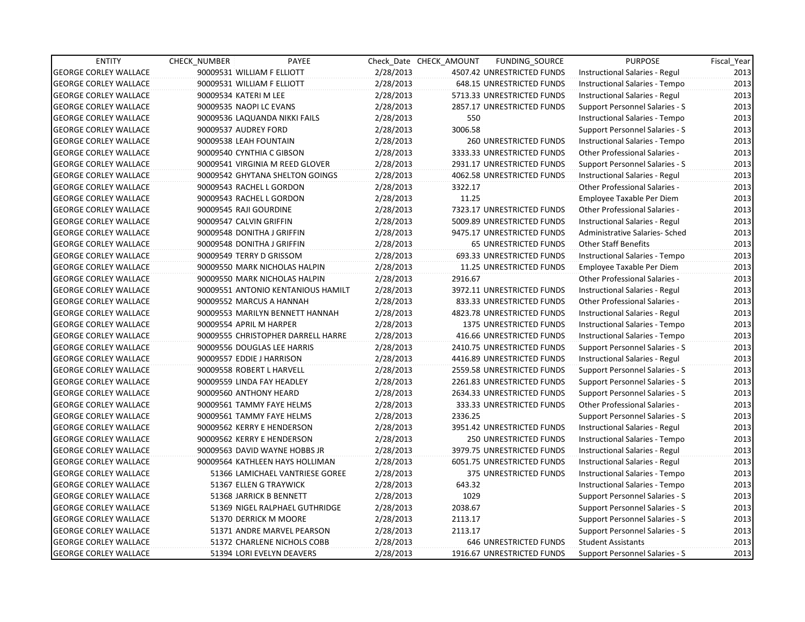| <b>ENTITY</b>                | CHECK_NUMBER               | PAYEE                              |           | Check Date CHECK AMOUNT | FUNDING_SOURCE                | <b>PURPOSE</b>                       | Fiscal_Year |
|------------------------------|----------------------------|------------------------------------|-----------|-------------------------|-------------------------------|--------------------------------------|-------------|
| <b>GEORGE CORLEY WALLACE</b> | 90009531 WILLIAM F ELLIOTT |                                    | 2/28/2013 |                         | 4507.42 UNRESTRICTED FUNDS    | Instructional Salaries - Regul       | 2013        |
| <b>GEORGE CORLEY WALLACE</b> | 90009531 WILLIAM F ELLIOTT |                                    | 2/28/2013 |                         | 648.15 UNRESTRICTED FUNDS     | Instructional Salaries - Tempo       | 2013        |
| <b>GEORGE CORLEY WALLACE</b> | 90009534 KATERI M LEE      |                                    | 2/28/2013 |                         | 5713.33 UNRESTRICTED FUNDS    | Instructional Salaries - Regul       | 2013        |
| <b>GEORGE CORLEY WALLACE</b> | 90009535 NAOPI LC EVANS    |                                    | 2/28/2013 |                         | 2857.17 UNRESTRICTED FUNDS    | Support Personnel Salaries - S       | 2013        |
| <b>GEORGE CORLEY WALLACE</b> |                            | 90009536 LAQUANDA NIKKI FAILS      | 2/28/2013 | 550                     |                               | Instructional Salaries - Tempo       | 2013        |
| <b>GEORGE CORLEY WALLACE</b> | 90009537 AUDREY FORD       |                                    | 2/28/2013 | 3006.58                 |                               | Support Personnel Salaries - S       | 2013        |
| <b>GEORGE CORLEY WALLACE</b> | 90009538 LEAH FOUNTAIN     |                                    | 2/28/2013 |                         | <b>260 UNRESTRICTED FUNDS</b> | Instructional Salaries - Tempo       | 2013        |
| <b>GEORGE CORLEY WALLACE</b> | 90009540 CYNTHIA C GIBSON  |                                    | 2/28/2013 |                         | 3333.33 UNRESTRICTED FUNDS    | <b>Other Professional Salaries -</b> | 2013        |
| <b>GEORGE CORLEY WALLACE</b> |                            | 90009541 VIRGINIA M REED GLOVER    | 2/28/2013 |                         | 2931.17 UNRESTRICTED FUNDS    | Support Personnel Salaries - S       | 2013        |
| <b>GEORGE CORLEY WALLACE</b> |                            | 90009542 GHYTANA SHELTON GOINGS    | 2/28/2013 |                         | 4062.58 UNRESTRICTED FUNDS    | Instructional Salaries - Regul       | 2013        |
| <b>GEORGE CORLEY WALLACE</b> | 90009543 RACHEL L GORDON   |                                    | 2/28/2013 | 3322.17                 |                               | <b>Other Professional Salaries -</b> | 2013        |
| <b>GEORGE CORLEY WALLACE</b> | 90009543 RACHEL L GORDON   |                                    | 2/28/2013 | 11.25                   |                               | Employee Taxable Per Diem            | 2013        |
| <b>GEORGE CORLEY WALLACE</b> | 90009545 RAJI GOURDINE     |                                    | 2/28/2013 |                         | 7323.17 UNRESTRICTED FUNDS    | Other Professional Salaries -        | 2013        |
| <b>GEORGE CORLEY WALLACE</b> | 90009547 CALVIN GRIFFIN    |                                    | 2/28/2013 |                         | 5009.89 UNRESTRICTED FUNDS    | Instructional Salaries - Regul       | 2013        |
| <b>GEORGE CORLEY WALLACE</b> | 90009548 DONITHA J GRIFFIN |                                    | 2/28/2013 |                         | 9475.17 UNRESTRICTED FUNDS    | Administrative Salaries- Sched       | 2013        |
| <b>GEORGE CORLEY WALLACE</b> | 90009548 DONITHA J GRIFFIN |                                    | 2/28/2013 |                         | <b>65 UNRESTRICTED FUNDS</b>  | Other Staff Benefits                 | 2013        |
| <b>GEORGE CORLEY WALLACE</b> | 90009549 TERRY D GRISSOM   |                                    | 2/28/2013 |                         | 693.33 UNRESTRICTED FUNDS     | Instructional Salaries - Tempo       | 2013        |
| <b>GEORGE CORLEY WALLACE</b> |                            | 90009550 MARK NICHOLAS HALPIN      | 2/28/2013 |                         | 11.25 UNRESTRICTED FUNDS      | Employee Taxable Per Diem            | 2013        |
| <b>GEORGE CORLEY WALLACE</b> |                            | 90009550 MARK NICHOLAS HALPIN      | 2/28/2013 | 2916.67                 |                               | Other Professional Salaries -        | 2013        |
| <b>GEORGE CORLEY WALLACE</b> |                            | 90009551 ANTONIO KENTANIOUS HAMILT | 2/28/2013 |                         | 3972.11 UNRESTRICTED FUNDS    | Instructional Salaries - Regul       | 2013        |
| <b>GEORGE CORLEY WALLACE</b> | 90009552 MARCUS A HANNAH   |                                    | 2/28/2013 |                         | 833.33 UNRESTRICTED FUNDS     | Other Professional Salaries -        | 2013        |
| <b>GEORGE CORLEY WALLACE</b> |                            | 90009553 MARILYN BENNETT HANNAH    | 2/28/2013 |                         | 4823.78 UNRESTRICTED FUNDS    | Instructional Salaries - Regul       | 2013        |
| <b>GEORGE CORLEY WALLACE</b> | 90009554 APRIL M HARPER    |                                    | 2/28/2013 |                         | 1375 UNRESTRICTED FUNDS       | Instructional Salaries - Tempo       | 2013        |
| <b>GEORGE CORLEY WALLACE</b> |                            | 90009555 CHRISTOPHER DARRELL HARRE | 2/28/2013 |                         | 416.66 UNRESTRICTED FUNDS     | Instructional Salaries - Tempo       | 2013        |
| <b>GEORGE CORLEY WALLACE</b> |                            | 90009556 DOUGLAS LEE HARRIS        | 2/28/2013 |                         | 2410.75 UNRESTRICTED FUNDS    | Support Personnel Salaries - S       | 2013        |
| <b>GEORGE CORLEY WALLACE</b> | 90009557 EDDIE J HARRISON  |                                    | 2/28/2013 |                         | 4416.89 UNRESTRICTED FUNDS    | Instructional Salaries - Regul       | 2013        |
| <b>GEORGE CORLEY WALLACE</b> | 90009558 ROBERT L HARVELL  |                                    | 2/28/2013 |                         | 2559.58 UNRESTRICTED FUNDS    | Support Personnel Salaries - S       | 2013        |
| <b>GEORGE CORLEY WALLACE</b> | 90009559 LINDA FAY HEADLEY |                                    | 2/28/2013 |                         | 2261.83 UNRESTRICTED FUNDS    | Support Personnel Salaries - S       | 2013        |
| <b>GEORGE CORLEY WALLACE</b> | 90009560 ANTHONY HEARD     |                                    | 2/28/2013 |                         | 2634.33 UNRESTRICTED FUNDS    | Support Personnel Salaries - S       | 2013        |
| <b>GEORGE CORLEY WALLACE</b> |                            | 90009561 TAMMY FAYE HELMS          | 2/28/2013 |                         | 333.33 UNRESTRICTED FUNDS     | Other Professional Salaries -        | 2013        |
| <b>GEORGE CORLEY WALLACE</b> |                            | 90009561 TAMMY FAYE HELMS          | 2/28/2013 | 2336.25                 |                               | Support Personnel Salaries - S       | 2013        |
| <b>GEORGE CORLEY WALLACE</b> |                            | 90009562 KERRY E HENDERSON         | 2/28/2013 |                         | 3951.42 UNRESTRICTED FUNDS    | Instructional Salaries - Regul       | 2013        |
| <b>GEORGE CORLEY WALLACE</b> |                            | 90009562 KERRY E HENDERSON         | 2/28/2013 |                         | 250 UNRESTRICTED FUNDS        | Instructional Salaries - Tempo       | 2013        |
| <b>GEORGE CORLEY WALLACE</b> |                            | 90009563 DAVID WAYNE HOBBS JR      | 2/28/2013 |                         | 3979.75 UNRESTRICTED FUNDS    | Instructional Salaries - Regul       | 2013        |
| <b>GEORGE CORLEY WALLACE</b> |                            | 90009564 KATHLEEN HAYS HOLLIMAN    | 2/28/2013 |                         | 6051.75 UNRESTRICTED FUNDS    | Instructional Salaries - Regul       | 2013        |
| <b>GEORGE CORLEY WALLACE</b> |                            | 51366 LAMICHAEL VANTRIESE GOREE    | 2/28/2013 |                         | 375 UNRESTRICTED FUNDS        | Instructional Salaries - Tempo       | 2013        |
| <b>GEORGE CORLEY WALLACE</b> |                            | 51367 ELLEN G TRAYWICK             | 2/28/2013 | 643.32                  |                               | Instructional Salaries - Tempo       | 2013        |
| <b>GEORGE CORLEY WALLACE</b> |                            | 51368 JARRICK B BENNETT            | 2/28/2013 | 1029                    |                               | Support Personnel Salaries - S       | 2013        |
| <b>GEORGE CORLEY WALLACE</b> |                            | 51369 NIGEL RALPHAEL GUTHRIDGE     | 2/28/2013 | 2038.67                 |                               | Support Personnel Salaries - S       | 2013        |
| <b>GEORGE CORLEY WALLACE</b> |                            | 51370 DERRICK M MOORE              | 2/28/2013 | 2113.17                 |                               | Support Personnel Salaries - S       | 2013        |
| <b>GEORGE CORLEY WALLACE</b> |                            | 51371 ANDRE MARVEL PEARSON         | 2/28/2013 | 2113.17                 |                               | Support Personnel Salaries - S       | 2013        |
| <b>GEORGE CORLEY WALLACE</b> |                            | 51372 CHARLENE NICHOLS COBB        | 2/28/2013 |                         | 646 UNRESTRICTED FUNDS        | <b>Student Assistants</b>            | 2013        |
| <b>GEORGE CORLEY WALLACE</b> |                            | 51394 LORI EVELYN DEAVERS          | 2/28/2013 |                         | 1916.67 UNRESTRICTED FUNDS    | Support Personnel Salaries - S       | 2013        |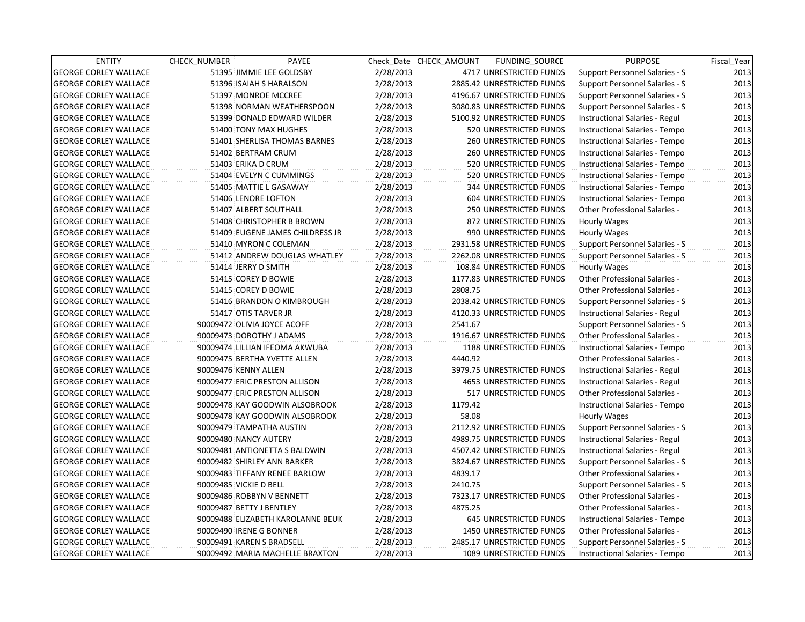| <b>ENTITY</b>                | <b>CHECK NUMBER</b>    | PAYEE                             |           | Check Date CHECK AMOUNT | FUNDING_SOURCE                | <b>PURPOSE</b>                       | Fiscal Year |
|------------------------------|------------------------|-----------------------------------|-----------|-------------------------|-------------------------------|--------------------------------------|-------------|
| <b>GEORGE CORLEY WALLACE</b> |                        | 51395 JIMMIE LEE GOLDSBY          | 2/28/2013 |                         | 4717 UNRESTRICTED FUNDS       | Support Personnel Salaries - S       | 2013        |
| <b>GEORGE CORLEY WALLACE</b> |                        | 51396 ISAIAH S HARALSON           | 2/28/2013 |                         | 2885.42 UNRESTRICTED FUNDS    | Support Personnel Salaries - S       | 2013        |
| <b>GEORGE CORLEY WALLACE</b> |                        | 51397 MONROE MCCREE               | 2/28/2013 |                         | 4196.67 UNRESTRICTED FUNDS    | Support Personnel Salaries - S       | 2013        |
| <b>GEORGE CORLEY WALLACE</b> |                        | 51398 NORMAN WEATHERSPOON         | 2/28/2013 |                         | 3080.83 UNRESTRICTED FUNDS    | Support Personnel Salaries - S       | 2013        |
| <b>GEORGE CORLEY WALLACE</b> |                        | 51399 DONALD EDWARD WILDER        | 2/28/2013 |                         | 5100.92 UNRESTRICTED FUNDS    | Instructional Salaries - Regul       | 2013        |
| <b>GEORGE CORLEY WALLACE</b> |                        | 51400 TONY MAX HUGHES             | 2/28/2013 |                         | 520 UNRESTRICTED FUNDS        | Instructional Salaries - Tempo       | 2013        |
| <b>GEORGE CORLEY WALLACE</b> |                        | 51401 SHERLISA THOMAS BARNES      | 2/28/2013 |                         | <b>260 UNRESTRICTED FUNDS</b> | Instructional Salaries - Tempo       | 2013        |
| <b>GEORGE CORLEY WALLACE</b> |                        | 51402 BERTRAM CRUM                | 2/28/2013 |                         | <b>260 UNRESTRICTED FUNDS</b> | Instructional Salaries - Tempo       | 2013        |
| <b>GEORGE CORLEY WALLACE</b> |                        | 51403 ERIKA D CRUM                | 2/28/2013 |                         | 520 UNRESTRICTED FUNDS        | Instructional Salaries - Tempo       | 2013        |
| <b>GEORGE CORLEY WALLACE</b> |                        | 51404 EVELYN C CUMMINGS           | 2/28/2013 |                         | 520 UNRESTRICTED FUNDS        | Instructional Salaries - Tempo       | 2013        |
| <b>GEORGE CORLEY WALLACE</b> |                        | 51405 MATTIE L GASAWAY            | 2/28/2013 |                         | <b>344 UNRESTRICTED FUNDS</b> | Instructional Salaries - Tempo       | 2013        |
| <b>GEORGE CORLEY WALLACE</b> |                        | 51406 LENORE LOFTON               | 2/28/2013 |                         | 604 UNRESTRICTED FUNDS        | Instructional Salaries - Tempo       | 2013        |
| <b>GEORGE CORLEY WALLACE</b> |                        | 51407 ALBERT SOUTHALL             | 2/28/2013 |                         | 250 UNRESTRICTED FUNDS        | Other Professional Salaries -        | 2013        |
| <b>GEORGE CORLEY WALLACE</b> |                        | 51408 CHRISTOPHER B BROWN         | 2/28/2013 |                         | 872 UNRESTRICTED FUNDS        | Hourly Wages                         | 2013        |
| <b>GEORGE CORLEY WALLACE</b> |                        | 51409 EUGENE JAMES CHILDRESS JR   | 2/28/2013 |                         | 990 UNRESTRICTED FUNDS        | Hourly Wages                         | 2013        |
| <b>GEORGE CORLEY WALLACE</b> |                        | 51410 MYRON C COLEMAN             | 2/28/2013 |                         | 2931.58 UNRESTRICTED FUNDS    | Support Personnel Salaries - S       | 2013        |
| <b>GEORGE CORLEY WALLACE</b> |                        | 51412 ANDREW DOUGLAS WHATLEY      | 2/28/2013 |                         | 2262.08 UNRESTRICTED FUNDS    | Support Personnel Salaries - S       | 2013        |
| <b>GEORGE CORLEY WALLACE</b> |                        | 51414 JERRY D SMITH               | 2/28/2013 |                         | 108.84 UNRESTRICTED FUNDS     | Hourly Wages                         | 2013        |
| <b>GEORGE CORLEY WALLACE</b> |                        | 51415 COREY D BOWIE               | 2/28/2013 |                         | 1177.83 UNRESTRICTED FUNDS    | Other Professional Salaries -        | 2013        |
| <b>GEORGE CORLEY WALLACE</b> |                        | 51415 COREY D BOWIE               | 2/28/2013 | 2808.75                 |                               | <b>Other Professional Salaries -</b> | 2013        |
| <b>GEORGE CORLEY WALLACE</b> |                        | 51416 BRANDON O KIMBROUGH         | 2/28/2013 |                         | 2038.42 UNRESTRICTED FUNDS    | Support Personnel Salaries - S       | 2013        |
| <b>GEORGE CORLEY WALLACE</b> |                        | 51417 OTIS TARVER JR              | 2/28/2013 |                         | 4120.33 UNRESTRICTED FUNDS    | Instructional Salaries - Regul       | 2013        |
| <b>GEORGE CORLEY WALLACE</b> |                        | 90009472 OLIVIA JOYCE ACOFF       | 2/28/2013 | 2541.67                 |                               | Support Personnel Salaries - S       | 2013        |
| <b>GEORGE CORLEY WALLACE</b> |                        | 90009473 DOROTHY J ADAMS          | 2/28/2013 |                         | 1916.67 UNRESTRICTED FUNDS    | Other Professional Salaries -        | 2013        |
| <b>GEORGE CORLEY WALLACE</b> |                        | 90009474 LILLIAN IFEOMA AKWUBA    | 2/28/2013 |                         | 1188 UNRESTRICTED FUNDS       | Instructional Salaries - Tempo       | 2013        |
| <b>GEORGE CORLEY WALLACE</b> |                        | 90009475 BERTHA YVETTE ALLEN      | 2/28/2013 | 4440.92                 |                               | Other Professional Salaries -        | 2013        |
| <b>GEORGE CORLEY WALLACE</b> | 90009476 KENNY ALLEN   |                                   | 2/28/2013 |                         | 3979.75 UNRESTRICTED FUNDS    | Instructional Salaries - Regul       | 2013        |
| <b>GEORGE CORLEY WALLACE</b> |                        | 90009477 ERIC PRESTON ALLISON     | 2/28/2013 |                         | 4653 UNRESTRICTED FUNDS       | Instructional Salaries - Regul       | 2013        |
| <b>GEORGE CORLEY WALLACE</b> |                        | 90009477 ERIC PRESTON ALLISON     | 2/28/2013 |                         | <b>517 UNRESTRICTED FUNDS</b> | Other Professional Salaries -        | 2013        |
| <b>GEORGE CORLEY WALLACE</b> |                        | 90009478 KAY GOODWIN ALSOBROOK    | 2/28/2013 | 1179.42                 |                               | Instructional Salaries - Tempo       | 2013        |
| <b>GEORGE CORLEY WALLACE</b> |                        | 90009478 KAY GOODWIN ALSOBROOK    | 2/28/2013 | 58.08                   |                               | Hourly Wages                         | 2013        |
| <b>GEORGE CORLEY WALLACE</b> |                        | 90009479 TAMPATHA AUSTIN          | 2/28/2013 |                         | 2112.92 UNRESTRICTED FUNDS    | Support Personnel Salaries - S       | 2013        |
| <b>GEORGE CORLEY WALLACE</b> | 90009480 NANCY AUTERY  |                                   | 2/28/2013 |                         | 4989.75 UNRESTRICTED FUNDS    | Instructional Salaries - Regul       | 2013        |
| <b>GEORGE CORLEY WALLACE</b> |                        | 90009481 ANTIONETTA S BALDWIN     | 2/28/2013 |                         | 4507.42 UNRESTRICTED FUNDS    | Instructional Salaries - Regul       | 2013        |
| <b>GEORGE CORLEY WALLACE</b> |                        | 90009482 SHIRLEY ANN BARKER       | 2/28/2013 |                         | 3824.67 UNRESTRICTED FUNDS    | Support Personnel Salaries - S       | 2013        |
| <b>GEORGE CORLEY WALLACE</b> |                        | 90009483 TIFFANY RENEE BARLOW     | 2/28/2013 | 4839.17                 |                               | <b>Other Professional Salaries -</b> | 2013        |
| <b>GEORGE CORLEY WALLACE</b> | 90009485 VICKIE D BELL |                                   | 2/28/2013 | 2410.75                 |                               | Support Personnel Salaries - S       | 2013        |
| <b>GEORGE CORLEY WALLACE</b> |                        | 90009486 ROBBYN V BENNETT         | 2/28/2013 |                         | 7323.17 UNRESTRICTED FUNDS    | Other Professional Salaries -        | 2013        |
| <b>GEORGE CORLEY WALLACE</b> |                        | 90009487 BETTY J BENTLEY          | 2/28/2013 | 4875.25                 |                               | <b>Other Professional Salaries -</b> | 2013        |
| <b>GEORGE CORLEY WALLACE</b> |                        | 90009488 ELIZABETH KAROLANNE BEUK | 2/28/2013 |                         | <b>645 UNRESTRICTED FUNDS</b> | Instructional Salaries - Tempo       | 2013        |
| <b>GEORGE CORLEY WALLACE</b> |                        | 90009490 IRENE G BONNER           | 2/28/2013 |                         | 1450 UNRESTRICTED FUNDS       | Other Professional Salaries -        | 2013        |
| <b>GEORGE CORLEY WALLACE</b> |                        | 90009491 KAREN S BRADSELL         | 2/28/2013 |                         | 2485.17 UNRESTRICTED FUNDS    | Support Personnel Salaries - S       | 2013        |
| <b>GEORGE CORLEY WALLACE</b> |                        | 90009492 MARIA MACHELLE BRAXTON   | 2/28/2013 |                         | 1089 UNRESTRICTED FUNDS       | Instructional Salaries - Tempo       | 2013        |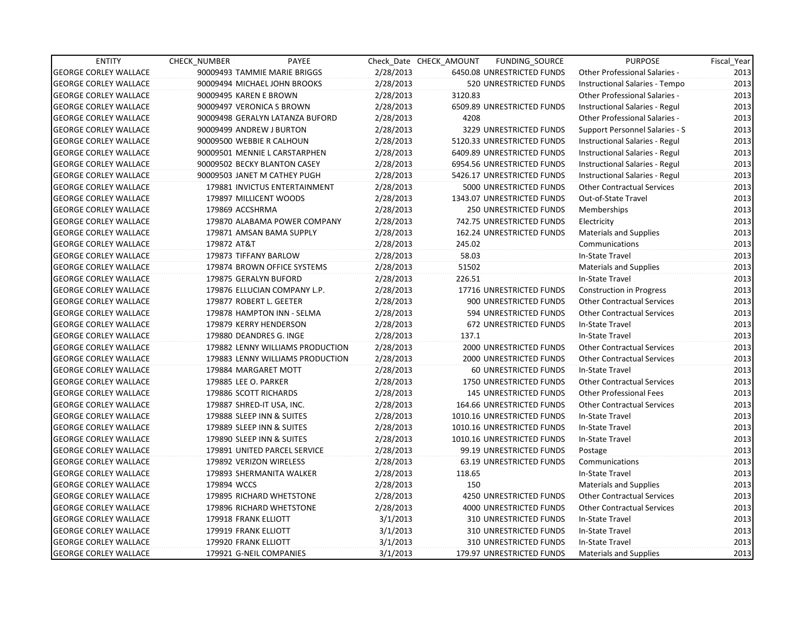| <b>ENTITY</b>                | CHECK_NUMBER                 | PAYEE                            |           | Check Date CHECK AMOUNT | FUNDING SOURCE                | <b>PURPOSE</b>                    | Fiscal_Year |
|------------------------------|------------------------------|----------------------------------|-----------|-------------------------|-------------------------------|-----------------------------------|-------------|
| <b>GEORGE CORLEY WALLACE</b> | 90009493 TAMMIE MARIE BRIGGS |                                  | 2/28/2013 |                         | 6450.08 UNRESTRICTED FUNDS    | Other Professional Salaries -     | 2013        |
| <b>GEORGE CORLEY WALLACE</b> | 90009494 MICHAEL JOHN BROOKS |                                  | 2/28/2013 |                         | 520 UNRESTRICTED FUNDS        | Instructional Salaries - Tempo    | 2013        |
| <b>GEORGE CORLEY WALLACE</b> | 90009495 KAREN E BROWN       |                                  | 2/28/2013 | 3120.83                 |                               | Other Professional Salaries -     | 2013        |
| <b>GEORGE CORLEY WALLACE</b> | 90009497 VERONICA S BROWN    |                                  | 2/28/2013 |                         | 6509.89 UNRESTRICTED FUNDS    | Instructional Salaries - Regul    | 2013        |
| <b>GEORGE CORLEY WALLACE</b> |                              | 90009498 GERALYN LATANZA BUFORD  | 2/28/2013 | 4208                    |                               | Other Professional Salaries -     | 2013        |
| <b>GEORGE CORLEY WALLACE</b> | 90009499 ANDREW J BURTON     |                                  | 2/28/2013 |                         | 3229 UNRESTRICTED FUNDS       | Support Personnel Salaries - S    | 2013        |
| <b>GEORGE CORLEY WALLACE</b> | 90009500 WEBBIE R CALHOUN    |                                  | 2/28/2013 |                         | 5120.33 UNRESTRICTED FUNDS    | Instructional Salaries - Regul    | 2013        |
| <b>GEORGE CORLEY WALLACE</b> |                              | 90009501 MENNIE L CARSTARPHEN    | 2/28/2013 |                         | 6409.89 UNRESTRICTED FUNDS    | Instructional Salaries - Regul    | 2013        |
| <b>GEORGE CORLEY WALLACE</b> | 90009502 BECKY BLANTON CASEY |                                  | 2/28/2013 |                         | 6954.56 UNRESTRICTED FUNDS    | Instructional Salaries - Regul    | 2013        |
| <b>GEORGE CORLEY WALLACE</b> | 90009503 JANET M CATHEY PUGH |                                  | 2/28/2013 |                         | 5426.17 UNRESTRICTED FUNDS    | Instructional Salaries - Regul    | 2013        |
| <b>GEORGE CORLEY WALLACE</b> |                              | 179881 INVICTUS ENTERTAINMENT    | 2/28/2013 |                         | 5000 UNRESTRICTED FUNDS       | Other Contractual Services        | 2013        |
| <b>GEORGE CORLEY WALLACE</b> | 179897 MILLICENT WOODS       |                                  | 2/28/2013 |                         | 1343.07 UNRESTRICTED FUNDS    | Out-of-State Travel               | 2013        |
| <b>GEORGE CORLEY WALLACE</b> | 179869 ACCSHRMA              |                                  | 2/28/2013 |                         | 250 UNRESTRICTED FUNDS        | Memberships                       | 2013        |
| <b>GEORGE CORLEY WALLACE</b> |                              | 179870 ALABAMA POWER COMPANY     | 2/28/2013 |                         | 742.75 UNRESTRICTED FUNDS     | Electricity                       | 2013        |
| <b>GEORGE CORLEY WALLACE</b> | 179871 AMSAN BAMA SUPPLY     |                                  | 2/28/2013 |                         | 162.24 UNRESTRICTED FUNDS     | <b>Materials and Supplies</b>     | 2013        |
| <b>GEORGE CORLEY WALLACE</b> | 179872 AT&T                  |                                  | 2/28/2013 | 245.02                  |                               | Communications                    | 2013        |
| <b>GEORGE CORLEY WALLACE</b> | 179873 TIFFANY BARLOW        |                                  | 2/28/2013 | 58.03                   |                               | In-State Travel                   | 2013        |
| <b>GEORGE CORLEY WALLACE</b> |                              | 179874 BROWN OFFICE SYSTEMS      | 2/28/2013 | 51502                   |                               | <b>Materials and Supplies</b>     | 2013        |
| <b>GEORGE CORLEY WALLACE</b> | 179875 GERALYN BUFORD        |                                  | 2/28/2013 | 226.51                  |                               | In-State Travel                   | 2013        |
| <b>GEORGE CORLEY WALLACE</b> |                              | 179876 ELLUCIAN COMPANY L.P.     | 2/28/2013 |                         | 17716 UNRESTRICTED FUNDS      | <b>Construction in Progress</b>   | 2013        |
| <b>GEORGE CORLEY WALLACE</b> | 179877 ROBERT L. GEETER      |                                  | 2/28/2013 |                         | 900 UNRESTRICTED FUNDS        | <b>Other Contractual Services</b> | 2013        |
| <b>GEORGE CORLEY WALLACE</b> |                              | 179878 HAMPTON INN - SELMA       | 2/28/2013 |                         | 594 UNRESTRICTED FUNDS        | <b>Other Contractual Services</b> | 2013        |
| <b>GEORGE CORLEY WALLACE</b> | 179879 KERRY HENDERSON       |                                  | 2/28/2013 |                         | 672 UNRESTRICTED FUNDS        | In-State Travel                   | 2013        |
| <b>GEORGE CORLEY WALLACE</b> | 179880 DEANDRES G. INGE      |                                  | 2/28/2013 | 137.1                   |                               | In-State Travel                   | 2013        |
| <b>GEORGE CORLEY WALLACE</b> |                              | 179882 LENNY WILLIAMS PRODUCTION | 2/28/2013 |                         | 2000 UNRESTRICTED FUNDS       | <b>Other Contractual Services</b> | 2013        |
| <b>GEORGE CORLEY WALLACE</b> |                              | 179883 LENNY WILLIAMS PRODUCTION | 2/28/2013 |                         | 2000 UNRESTRICTED FUNDS       | <b>Other Contractual Services</b> | 2013        |
| <b>GEORGE CORLEY WALLACE</b> | 179884 MARGARET MOTT         |                                  | 2/28/2013 |                         | 60 UNRESTRICTED FUNDS         | In-State Travel                   | 2013        |
| <b>GEORGE CORLEY WALLACE</b> | 179885 LEE O. PARKER         |                                  | 2/28/2013 |                         | 1750 UNRESTRICTED FUNDS       | <b>Other Contractual Services</b> | 2013        |
| <b>GEORGE CORLEY WALLACE</b> | 179886 SCOTT RICHARDS        |                                  | 2/28/2013 |                         | <b>145 UNRESTRICTED FUNDS</b> | <b>Other Professional Fees</b>    | 2013        |
| <b>GEORGE CORLEY WALLACE</b> | 179887 SHRED-IT USA, INC.    |                                  | 2/28/2013 |                         | 164.66 UNRESTRICTED FUNDS     | <b>Other Contractual Services</b> | 2013        |
| <b>GEORGE CORLEY WALLACE</b> | 179888 SLEEP INN & SUITES    |                                  | 2/28/2013 |                         | 1010.16 UNRESTRICTED FUNDS    | In-State Travel                   | 2013        |
| <b>GEORGE CORLEY WALLACE</b> | 179889 SLEEP INN & SUITES    |                                  | 2/28/2013 |                         | 1010.16 UNRESTRICTED FUNDS    | In-State Travel                   | 2013        |
| <b>GEORGE CORLEY WALLACE</b> | 179890 SLEEP INN & SUITES    |                                  | 2/28/2013 |                         | 1010.16 UNRESTRICTED FUNDS    | In-State Travel                   | 2013        |
| <b>GEORGE CORLEY WALLACE</b> |                              | 179891 UNITED PARCEL SERVICE     | 2/28/2013 |                         | 99.19 UNRESTRICTED FUNDS      | Postage                           | 2013        |
| <b>GEORGE CORLEY WALLACE</b> | 179892 VERIZON WIRELESS      |                                  | 2/28/2013 |                         | 63.19 UNRESTRICTED FUNDS      | Communications                    | 2013        |
| <b>GEORGE CORLEY WALLACE</b> | 179893 SHERMANITA WALKER     |                                  | 2/28/2013 | 118.65                  |                               | In-State Travel                   | 2013        |
| <b>GEORGE CORLEY WALLACE</b> | 179894 WCCS                  |                                  | 2/28/2013 | 150                     |                               | Materials and Supplies            | 2013        |
| <b>GEORGE CORLEY WALLACE</b> | 179895 RICHARD WHETSTONE     |                                  | 2/28/2013 |                         | 4250 UNRESTRICTED FUNDS       | <b>Other Contractual Services</b> | 2013        |
| <b>GEORGE CORLEY WALLACE</b> | 179896 RICHARD WHETSTONE     |                                  | 2/28/2013 |                         | 4000 UNRESTRICTED FUNDS       | <b>Other Contractual Services</b> | 2013        |
| <b>GEORGE CORLEY WALLACE</b> | 179918 FRANK ELLIOTT         |                                  | 3/1/2013  |                         | 310 UNRESTRICTED FUNDS        | In-State Travel                   | 2013        |
| <b>GEORGE CORLEY WALLACE</b> | 179919 FRANK ELLIOTT         |                                  | 3/1/2013  |                         | 310 UNRESTRICTED FUNDS        | In-State Travel                   | 2013        |
| <b>GEORGE CORLEY WALLACE</b> | 179920 FRANK ELLIOTT         |                                  | 3/1/2013  |                         | 310 UNRESTRICTED FUNDS        | In-State Travel                   | 2013        |
| <b>GEORGE CORLEY WALLACE</b> | 179921 G-NEIL COMPANIES      |                                  | 3/1/2013  |                         | 179.97 UNRESTRICTED FUNDS     | Materials and Supplies            | 2013        |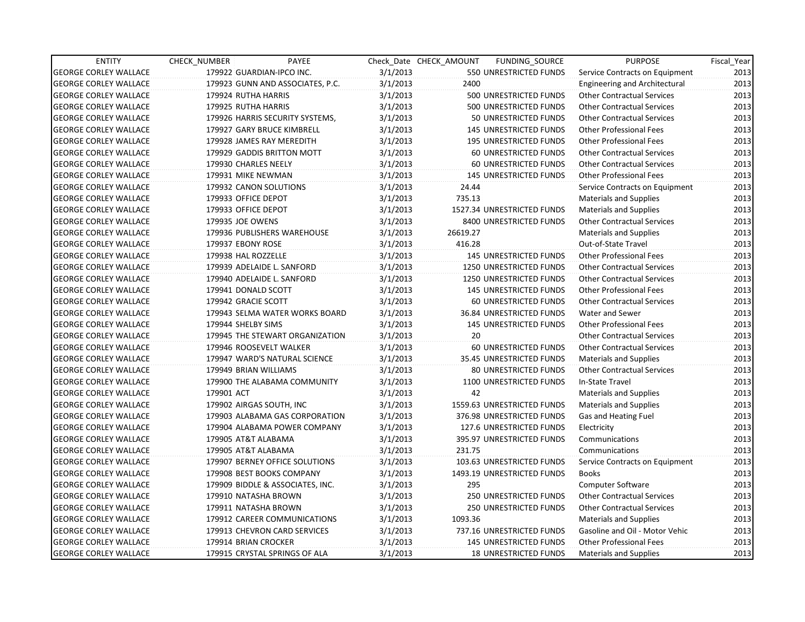| <b>ENTITY</b>                | CHECK_NUMBER          | PAYEE                            |          | Check Date CHECK AMOUNT | FUNDING_SOURCE                | <b>PURPOSE</b>                       | Fiscal_Year |
|------------------------------|-----------------------|----------------------------------|----------|-------------------------|-------------------------------|--------------------------------------|-------------|
| <b>GEORGE CORLEY WALLACE</b> |                       | 179922 GUARDIAN-IPCO INC.        | 3/1/2013 |                         | 550 UNRESTRICTED FUNDS        | Service Contracts on Equipment       | 2013        |
| <b>GEORGE CORLEY WALLACE</b> |                       | 179923 GUNN AND ASSOCIATES, P.C. | 3/1/2013 | 2400                    |                               | <b>Engineering and Architectural</b> | 2013        |
| <b>GEORGE CORLEY WALLACE</b> | 179924 RUTHA HARRIS   |                                  | 3/1/2013 |                         | 500 UNRESTRICTED FUNDS        | <b>Other Contractual Services</b>    | 2013        |
| <b>GEORGE CORLEY WALLACE</b> | 179925 RUTHA HARRIS   |                                  | 3/1/2013 |                         | 500 UNRESTRICTED FUNDS        | <b>Other Contractual Services</b>    | 2013        |
| <b>GEORGE CORLEY WALLACE</b> |                       | 179926 HARRIS SECURITY SYSTEMS,  | 3/1/2013 |                         | 50 UNRESTRICTED FUNDS         | <b>Other Contractual Services</b>    | 2013        |
| <b>GEORGE CORLEY WALLACE</b> |                       | 179927 GARY BRUCE KIMBRELL       | 3/1/2013 |                         | <b>145 UNRESTRICTED FUNDS</b> | <b>Other Professional Fees</b>       | 2013        |
| <b>GEORGE CORLEY WALLACE</b> |                       | 179928 JAMES RAY MEREDITH        | 3/1/2013 |                         | 195 UNRESTRICTED FUNDS        | Other Professional Fees              | 2013        |
| <b>GEORGE CORLEY WALLACE</b> |                       | 179929 GADDIS BRITTON MOTT       | 3/1/2013 |                         | 60 UNRESTRICTED FUNDS         | <b>Other Contractual Services</b>    | 2013        |
| <b>GEORGE CORLEY WALLACE</b> | 179930 CHARLES NEELY  |                                  | 3/1/2013 |                         | <b>60 UNRESTRICTED FUNDS</b>  | <b>Other Contractual Services</b>    | 2013        |
| <b>GEORGE CORLEY WALLACE</b> | 179931 MIKE NEWMAN    |                                  | 3/1/2013 |                         | <b>145 UNRESTRICTED FUNDS</b> | Other Professional Fees              | 2013        |
| <b>GEORGE CORLEY WALLACE</b> |                       | 179932 CANON SOLUTIONS           | 3/1/2013 | 24.44                   |                               | Service Contracts on Equipment       | 2013        |
| <b>GEORGE CORLEY WALLACE</b> | 179933 OFFICE DEPOT   |                                  | 3/1/2013 | 735.13                  |                               | <b>Materials and Supplies</b>        | 2013        |
| <b>GEORGE CORLEY WALLACE</b> | 179933 OFFICE DEPOT   |                                  | 3/1/2013 |                         | 1527.34 UNRESTRICTED FUNDS    | <b>Materials and Supplies</b>        | 2013        |
| <b>GEORGE CORLEY WALLACE</b> | 179935 JOE OWENS      |                                  | 3/1/2013 |                         | 8400 UNRESTRICTED FUNDS       | <b>Other Contractual Services</b>    | 2013        |
| <b>GEORGE CORLEY WALLACE</b> |                       | 179936 PUBLISHERS WAREHOUSE      | 3/1/2013 | 26619.27                |                               | <b>Materials and Supplies</b>        | 2013        |
| <b>GEORGE CORLEY WALLACE</b> | 179937 EBONY ROSE     |                                  | 3/1/2013 | 416.28                  |                               | Out-of-State Travel                  | 2013        |
| <b>GEORGE CORLEY WALLACE</b> | 179938 HAL ROZZELLE   |                                  | 3/1/2013 |                         | <b>145 UNRESTRICTED FUNDS</b> | <b>Other Professional Fees</b>       | 2013        |
| <b>GEORGE CORLEY WALLACE</b> |                       | 179939 ADELAIDE L. SANFORD       | 3/1/2013 |                         | 1250 UNRESTRICTED FUNDS       | <b>Other Contractual Services</b>    | 2013        |
| <b>GEORGE CORLEY WALLACE</b> |                       | 179940 ADELAIDE L. SANFORD       | 3/1/2013 |                         | 1250 UNRESTRICTED FUNDS       | <b>Other Contractual Services</b>    | 2013        |
| <b>GEORGE CORLEY WALLACE</b> | 179941 DONALD SCOTT   |                                  | 3/1/2013 |                         | 145 UNRESTRICTED FUNDS        | <b>Other Professional Fees</b>       | 2013        |
| <b>GEORGE CORLEY WALLACE</b> | 179942 GRACIE SCOTT   |                                  | 3/1/2013 |                         | 60 UNRESTRICTED FUNDS         | <b>Other Contractual Services</b>    | 2013        |
| <b>GEORGE CORLEY WALLACE</b> |                       | 179943 SELMA WATER WORKS BOARD   | 3/1/2013 |                         | 36.84 UNRESTRICTED FUNDS      | Water and Sewer                      | 2013        |
| <b>GEORGE CORLEY WALLACE</b> | 179944 SHELBY SIMS    |                                  | 3/1/2013 |                         | 145 UNRESTRICTED FUNDS        | <b>Other Professional Fees</b>       | 2013        |
| <b>GEORGE CORLEY WALLACE</b> |                       | 179945 THE STEWART ORGANIZATION  | 3/1/2013 | 20                      |                               | <b>Other Contractual Services</b>    | 2013        |
| <b>GEORGE CORLEY WALLACE</b> |                       | 179946 ROOSEVELT WALKER          | 3/1/2013 |                         | 60 UNRESTRICTED FUNDS         | <b>Other Contractual Services</b>    | 2013        |
| <b>GEORGE CORLEY WALLACE</b> |                       | 179947 WARD'S NATURAL SCIENCE    | 3/1/2013 |                         | 35.45 UNRESTRICTED FUNDS      | <b>Materials and Supplies</b>        | 2013        |
| <b>GEORGE CORLEY WALLACE</b> | 179949 BRIAN WILLIAMS |                                  | 3/1/2013 |                         | 80 UNRESTRICTED FUNDS         | <b>Other Contractual Services</b>    | 2013        |
| <b>GEORGE CORLEY WALLACE</b> |                       | 179900 THE ALABAMA COMMUNITY     | 3/1/2013 |                         | 1100 UNRESTRICTED FUNDS       | In-State Travel                      | 2013        |
| <b>GEORGE CORLEY WALLACE</b> | 179901 ACT            |                                  | 3/1/2013 | 42                      |                               | <b>Materials and Supplies</b>        | 2013        |
| <b>GEORGE CORLEY WALLACE</b> |                       | 179902 AIRGAS SOUTH, INC         | 3/1/2013 |                         | 1559.63 UNRESTRICTED FUNDS    | <b>Materials and Supplies</b>        | 2013        |
| <b>GEORGE CORLEY WALLACE</b> |                       | 179903 ALABAMA GAS CORPORATION   | 3/1/2013 |                         | 376.98 UNRESTRICTED FUNDS     | Gas and Heating Fuel                 | 2013        |
| <b>GEORGE CORLEY WALLACE</b> |                       | 179904 ALABAMA POWER COMPANY     | 3/1/2013 |                         | 127.6 UNRESTRICTED FUNDS      | Electricity                          | 2013        |
| <b>GEORGE CORLEY WALLACE</b> | 179905 AT&T ALABAMA   |                                  | 3/1/2013 |                         | 395.97 UNRESTRICTED FUNDS     | Communications                       | 2013        |
| <b>GEORGE CORLEY WALLACE</b> | 179905 AT&T ALABAMA   |                                  | 3/1/2013 | 231.75                  |                               | Communications                       | 2013        |
| <b>GEORGE CORLEY WALLACE</b> |                       | 179907 BERNEY OFFICE SOLUTIONS   | 3/1/2013 |                         | 103.63 UNRESTRICTED FUNDS     | Service Contracts on Equipment       | 2013        |
| <b>GEORGE CORLEY WALLACE</b> |                       | 179908 BEST BOOKS COMPANY        | 3/1/2013 |                         | 1493.19 UNRESTRICTED FUNDS    | <b>Books</b>                         | 2013        |
| <b>GEORGE CORLEY WALLACE</b> |                       | 179909 BIDDLE & ASSOCIATES, INC. | 3/1/2013 | 295                     |                               | <b>Computer Software</b>             | 2013        |
| <b>GEORGE CORLEY WALLACE</b> |                       | 179910 NATASHA BROWN             | 3/1/2013 |                         | 250 UNRESTRICTED FUNDS        | <b>Other Contractual Services</b>    | 2013        |
| <b>GEORGE CORLEY WALLACE</b> |                       | 179911 NATASHA BROWN             | 3/1/2013 |                         | 250 UNRESTRICTED FUNDS        | <b>Other Contractual Services</b>    | 2013        |
| <b>GEORGE CORLEY WALLACE</b> |                       | 179912 CAREER COMMUNICATIONS     | 3/1/2013 | 1093.36                 |                               | <b>Materials and Supplies</b>        | 2013        |
| <b>GEORGE CORLEY WALLACE</b> |                       | 179913 CHEVRON CARD SERVICES     | 3/1/2013 |                         | 737.16 UNRESTRICTED FUNDS     | Gasoline and Oil - Motor Vehic       | 2013        |
| <b>GEORGE CORLEY WALLACE</b> | 179914 BRIAN CROCKER  |                                  | 3/1/2013 |                         | 145 UNRESTRICTED FUNDS        | <b>Other Professional Fees</b>       | 2013        |
| <b>GEORGE CORLEY WALLACE</b> |                       | 179915 CRYSTAL SPRINGS OF ALA    | 3/1/2013 |                         | <b>18 UNRESTRICTED FUNDS</b>  | Materials and Supplies               | 2013        |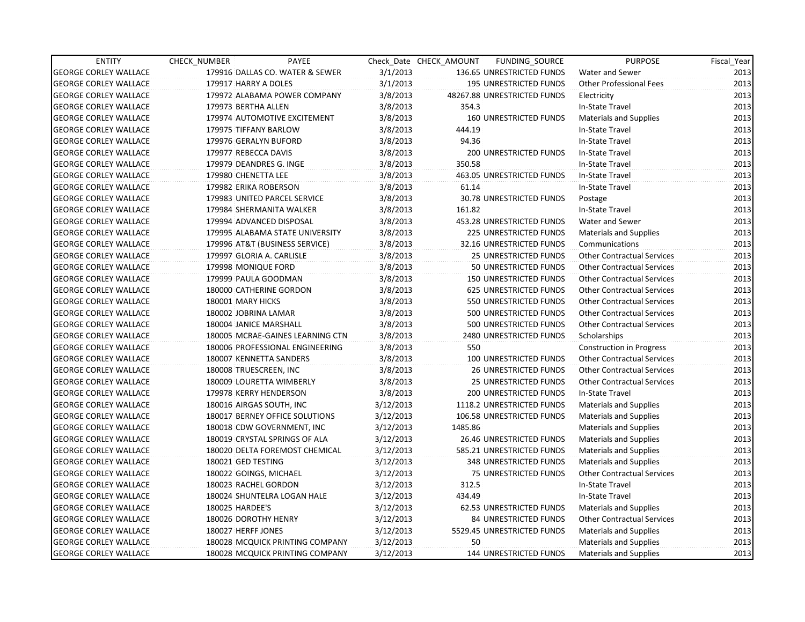| <b>ENTITY</b>                | CHECK_NUMBER        | PAYEE                            |           | Check Date CHECK AMOUNT | FUNDING SOURCE                | <b>PURPOSE</b>                    | Fiscal_Year |
|------------------------------|---------------------|----------------------------------|-----------|-------------------------|-------------------------------|-----------------------------------|-------------|
| <b>GEORGE CORLEY WALLACE</b> |                     | 179916 DALLAS CO. WATER & SEWER  | 3/1/2013  |                         | 136.65 UNRESTRICTED FUNDS     | <b>Water and Sewer</b>            | 2013        |
| <b>GEORGE CORLEY WALLACE</b> |                     | 179917 HARRY A DOLES             | 3/1/2013  |                         | 195 UNRESTRICTED FUNDS        | <b>Other Professional Fees</b>    | 2013        |
| <b>GEORGE CORLEY WALLACE</b> |                     | 179972 ALABAMA POWER COMPANY     | 3/8/2013  |                         | 48267.88 UNRESTRICTED FUNDS   | Electricity                       | 2013        |
| <b>GEORGE CORLEY WALLACE</b> | 179973 BERTHA ALLEN |                                  | 3/8/2013  | 354.3                   |                               | In-State Travel                   | 2013        |
| <b>GEORGE CORLEY WALLACE</b> |                     | 179974 AUTOMOTIVE EXCITEMENT     | 3/8/2013  |                         | <b>160 UNRESTRICTED FUNDS</b> | <b>Materials and Supplies</b>     | 2013        |
| <b>GEORGE CORLEY WALLACE</b> |                     | 179975 TIFFANY BARLOW            | 3/8/2013  | 444.19                  |                               | In-State Travel                   | 2013        |
| <b>GEORGE CORLEY WALLACE</b> |                     | 179976 GERALYN BUFORD            | 3/8/2013  | 94.36                   |                               | In-State Travel                   | 2013        |
| <b>GEORGE CORLEY WALLACE</b> |                     | 179977 REBECCA DAVIS             | 3/8/2013  |                         | 200 UNRESTRICTED FUNDS        | In-State Travel                   | 2013        |
| <b>GEORGE CORLEY WALLACE</b> |                     | 179979 DEANDRES G. INGE          | 3/8/2013  | 350.58                  |                               | In-State Travel                   | 2013        |
| <b>GEORGE CORLEY WALLACE</b> | 179980 CHENETTA LEE |                                  | 3/8/2013  |                         | 463.05 UNRESTRICTED FUNDS     | In-State Travel                   | 2013        |
| <b>GEORGE CORLEY WALLACE</b> |                     | 179982 ERIKA ROBERSON            | 3/8/2013  | 61.14                   |                               | In-State Travel                   | 2013        |
| <b>GEORGE CORLEY WALLACE</b> |                     | 179983 UNITED PARCEL SERVICE     | 3/8/2013  |                         | 30.78 UNRESTRICTED FUNDS      | Postage                           | 2013        |
| <b>GEORGE CORLEY WALLACE</b> |                     | 179984 SHERMANITA WALKER         | 3/8/2013  | 161.82                  |                               | In-State Travel                   | 2013        |
| <b>GEORGE CORLEY WALLACE</b> |                     | 179994 ADVANCED DISPOSAL         | 3/8/2013  |                         | 453.28 UNRESTRICTED FUNDS     | Water and Sewer                   | 2013        |
| <b>GEORGE CORLEY WALLACE</b> |                     | 179995 ALABAMA STATE UNIVERSITY  | 3/8/2013  |                         | 225 UNRESTRICTED FUNDS        | <b>Materials and Supplies</b>     | 2013        |
| <b>GEORGE CORLEY WALLACE</b> |                     | 179996 AT&T (BUSINESS SERVICE)   | 3/8/2013  |                         | 32.16 UNRESTRICTED FUNDS      | Communications                    | 2013        |
| <b>GEORGE CORLEY WALLACE</b> |                     | 179997 GLORIA A. CARLISLE        | 3/8/2013  |                         | 25 UNRESTRICTED FUNDS         | <b>Other Contractual Services</b> | 2013        |
| <b>GEORGE CORLEY WALLACE</b> |                     | 179998 MONIQUE FORD              | 3/8/2013  |                         | 50 UNRESTRICTED FUNDS         | <b>Other Contractual Services</b> | 2013        |
| <b>GEORGE CORLEY WALLACE</b> |                     | 179999 PAULA GOODMAN             | 3/8/2013  |                         | <b>150 UNRESTRICTED FUNDS</b> | <b>Other Contractual Services</b> | 2013        |
| <b>GEORGE CORLEY WALLACE</b> |                     | 180000 CATHERINE GORDON          | 3/8/2013  |                         | 625 UNRESTRICTED FUNDS        | <b>Other Contractual Services</b> | 2013        |
| <b>GEORGE CORLEY WALLACE</b> | 180001 MARY HICKS   |                                  | 3/8/2013  |                         | 550 UNRESTRICTED FUNDS        | <b>Other Contractual Services</b> | 2013        |
| <b>GEORGE CORLEY WALLACE</b> |                     | 180002 JOBRINA LAMAR             | 3/8/2013  |                         | 500 UNRESTRICTED FUNDS        | <b>Other Contractual Services</b> | 2013        |
| <b>GEORGE CORLEY WALLACE</b> |                     | 180004 JANICE MARSHALL           | 3/8/2013  |                         | 500 UNRESTRICTED FUNDS        | <b>Other Contractual Services</b> | 2013        |
| <b>GEORGE CORLEY WALLACE</b> |                     | 180005 MCRAE-GAINES LEARNING CTN | 3/8/2013  |                         | 2480 UNRESTRICTED FUNDS       | Scholarships                      | 2013        |
| <b>GEORGE CORLEY WALLACE</b> |                     | 180006 PROFESSIONAL ENGINEERING  | 3/8/2013  | 550                     |                               | <b>Construction in Progress</b>   | 2013        |
| <b>GEORGE CORLEY WALLACE</b> |                     | 180007 KENNETTA SANDERS          | 3/8/2013  |                         | 100 UNRESTRICTED FUNDS        | <b>Other Contractual Services</b> | 2013        |
| <b>GEORGE CORLEY WALLACE</b> |                     | 180008 TRUESCREEN, INC           | 3/8/2013  |                         | <b>26 UNRESTRICTED FUNDS</b>  | <b>Other Contractual Services</b> | 2013        |
| <b>GEORGE CORLEY WALLACE</b> |                     | 180009 LOURETTA WIMBERLY         | 3/8/2013  |                         | 25 UNRESTRICTED FUNDS         | <b>Other Contractual Services</b> | 2013        |
| <b>GEORGE CORLEY WALLACE</b> |                     | 179978 KERRY HENDERSON           | 3/8/2013  |                         | 200 UNRESTRICTED FUNDS        | In-State Travel                   | 2013        |
| <b>GEORGE CORLEY WALLACE</b> |                     | 180016 AIRGAS SOUTH, INC         | 3/12/2013 |                         | 1118.2 UNRESTRICTED FUNDS     | <b>Materials and Supplies</b>     | 2013        |
| <b>GEORGE CORLEY WALLACE</b> |                     | 180017 BERNEY OFFICE SOLUTIONS   | 3/12/2013 |                         | 106.58 UNRESTRICTED FUNDS     | <b>Materials and Supplies</b>     | 2013        |
| <b>GEORGE CORLEY WALLACE</b> |                     | 180018 CDW GOVERNMENT, INC       | 3/12/2013 | 1485.86                 |                               | <b>Materials and Supplies</b>     | 2013        |
| <b>GEORGE CORLEY WALLACE</b> |                     | 180019 CRYSTAL SPRINGS OF ALA    | 3/12/2013 |                         | 26.46 UNRESTRICTED FUNDS      | <b>Materials and Supplies</b>     | 2013        |
| <b>GEORGE CORLEY WALLACE</b> |                     | 180020 DELTA FOREMOST CHEMICAL   | 3/12/2013 |                         | 585.21 UNRESTRICTED FUNDS     | <b>Materials and Supplies</b>     | 2013        |
| <b>GEORGE CORLEY WALLACE</b> | 180021 GED TESTING  |                                  | 3/12/2013 |                         | 348 UNRESTRICTED FUNDS        | <b>Materials and Supplies</b>     | 2013        |
| <b>GEORGE CORLEY WALLACE</b> |                     | 180022 GOINGS, MICHAEL           | 3/12/2013 |                         | 75 UNRESTRICTED FUNDS         | <b>Other Contractual Services</b> | 2013        |
| <b>GEORGE CORLEY WALLACE</b> |                     | 180023 RACHEL GORDON             | 3/12/2013 | 312.5                   |                               | In-State Travel                   | 2013        |
| <b>GEORGE CORLEY WALLACE</b> |                     | 180024 SHUNTELRA LOGAN HALE      | 3/12/2013 | 434.49                  |                               | In-State Travel                   | 2013        |
| <b>GEORGE CORLEY WALLACE</b> | 180025 HARDEE'S     |                                  | 3/12/2013 |                         | 62.53 UNRESTRICTED FUNDS      | Materials and Supplies            | 2013        |
| <b>GEORGE CORLEY WALLACE</b> |                     | 180026 DOROTHY HENRY             | 3/12/2013 |                         | 84 UNRESTRICTED FUNDS         | <b>Other Contractual Services</b> | 2013        |
| <b>GEORGE CORLEY WALLACE</b> | 180027 HERFF JONES  |                                  | 3/12/2013 |                         | 5529.45 UNRESTRICTED FUNDS    | <b>Materials and Supplies</b>     | 2013        |
| <b>GEORGE CORLEY WALLACE</b> |                     | 180028 MCQUICK PRINTING COMPANY  | 3/12/2013 | 50                      |                               | <b>Materials and Supplies</b>     | 2013        |
| <b>GEORGE CORLEY WALLACE</b> |                     | 180028 MCQUICK PRINTING COMPANY  | 3/12/2013 |                         | 144 UNRESTRICTED FUNDS        | Materials and Supplies            | 2013        |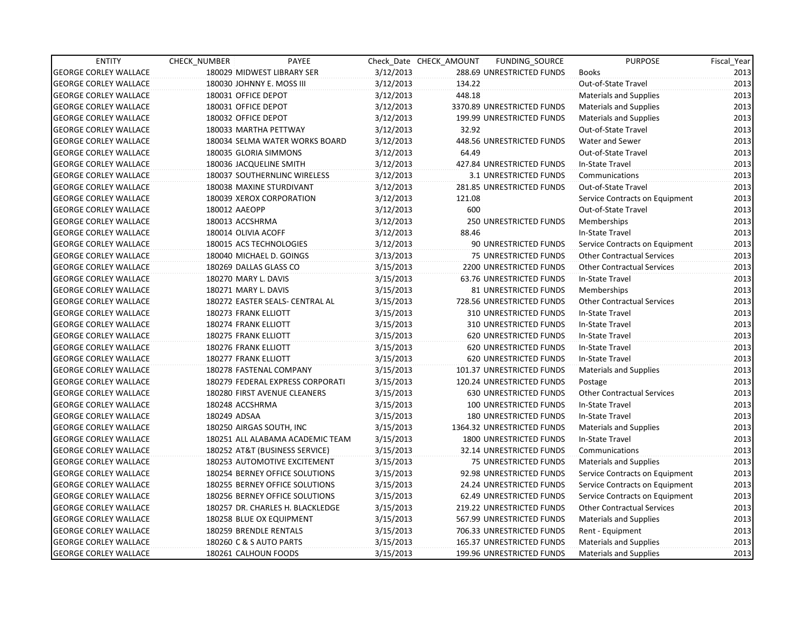| <b>ENTITY</b>                | CHECK_NUMBER              | PAYEE                            |           | Check Date CHECK AMOUNT | FUNDING_SOURCE                | <b>PURPOSE</b>                    | Fiscal_Year |
|------------------------------|---------------------------|----------------------------------|-----------|-------------------------|-------------------------------|-----------------------------------|-------------|
| <b>GEORGE CORLEY WALLACE</b> |                           | 180029 MIDWEST LIBRARY SER       | 3/12/2013 |                         | 288.69 UNRESTRICTED FUNDS     | <b>Books</b>                      | 2013        |
| <b>GEORGE CORLEY WALLACE</b> | 180030 JOHNNY E. MOSS III |                                  | 3/12/2013 | 134.22                  |                               | Out-of-State Travel               | 2013        |
| <b>GEORGE CORLEY WALLACE</b> | 180031 OFFICE DEPOT       |                                  | 3/12/2013 | 448.18                  |                               | <b>Materials and Supplies</b>     | 2013        |
| <b>GEORGE CORLEY WALLACE</b> | 180031 OFFICE DEPOT       |                                  | 3/12/2013 |                         | 3370.89 UNRESTRICTED FUNDS    | Materials and Supplies            | 2013        |
| <b>GEORGE CORLEY WALLACE</b> | 180032 OFFICE DEPOT       |                                  | 3/12/2013 |                         | 199.99 UNRESTRICTED FUNDS     | <b>Materials and Supplies</b>     | 2013        |
| <b>GEORGE CORLEY WALLACE</b> | 180033 MARTHA PETTWAY     |                                  | 3/12/2013 | 32.92                   |                               | Out-of-State Travel               | 2013        |
| <b>GEORGE CORLEY WALLACE</b> |                           | 180034 SELMA WATER WORKS BOARD   | 3/12/2013 |                         | 448.56 UNRESTRICTED FUNDS     | Water and Sewer                   | 2013        |
| <b>GEORGE CORLEY WALLACE</b> | 180035 GLORIA SIMMONS     |                                  | 3/12/2013 | 64.49                   |                               | Out-of-State Travel               | 2013        |
| <b>GEORGE CORLEY WALLACE</b> | 180036 JACQUELINE SMITH   |                                  | 3/12/2013 |                         | 427.84 UNRESTRICTED FUNDS     | In-State Travel                   | 2013        |
| <b>GEORGE CORLEY WALLACE</b> |                           | 180037 SOUTHERNLINC WIRELESS     | 3/12/2013 |                         | 3.1 UNRESTRICTED FUNDS        | Communications                    | 2013        |
| <b>GEORGE CORLEY WALLACE</b> | 180038 MAXINE STURDIVANT  |                                  | 3/12/2013 |                         | 281.85 UNRESTRICTED FUNDS     | Out-of-State Travel               | 2013        |
| <b>GEORGE CORLEY WALLACE</b> |                           | 180039 XEROX CORPORATION         | 3/12/2013 | 121.08                  |                               | Service Contracts on Equipment    | 2013        |
| <b>GEORGE CORLEY WALLACE</b> | 180012 AAEOPP             |                                  | 3/12/2013 | 600                     |                               | Out-of-State Travel               | 2013        |
| <b>GEORGE CORLEY WALLACE</b> | 180013 ACCSHRMA           |                                  | 3/12/2013 |                         | <b>250 UNRESTRICTED FUNDS</b> | Memberships                       | 2013        |
| <b>GEORGE CORLEY WALLACE</b> | 180014 OLIVIA ACOFF       |                                  | 3/12/2013 | 88.46                   |                               | In-State Travel                   | 2013        |
| <b>GEORGE CORLEY WALLACE</b> | 180015 ACS TECHNOLOGIES   |                                  | 3/12/2013 |                         | 90 UNRESTRICTED FUNDS         | Service Contracts on Equipment    | 2013        |
| <b>GEORGE CORLEY WALLACE</b> | 180040 MICHAEL D. GOINGS  |                                  | 3/13/2013 |                         | 75 UNRESTRICTED FUNDS         | <b>Other Contractual Services</b> | 2013        |
| <b>GEORGE CORLEY WALLACE</b> | 180269 DALLAS GLASS CO    |                                  | 3/15/2013 |                         | 2200 UNRESTRICTED FUNDS       | <b>Other Contractual Services</b> | 2013        |
| <b>GEORGE CORLEY WALLACE</b> | 180270 MARY L. DAVIS      |                                  | 3/15/2013 |                         | 63.76 UNRESTRICTED FUNDS      | In-State Travel                   | 2013        |
| <b>GEORGE CORLEY WALLACE</b> | 180271 MARY L. DAVIS      |                                  | 3/15/2013 |                         | 81 UNRESTRICTED FUNDS         | Memberships                       | 2013        |
| <b>GEORGE CORLEY WALLACE</b> |                           | 180272 EASTER SEALS- CENTRAL AL  | 3/15/2013 |                         | 728.56 UNRESTRICTED FUNDS     | <b>Other Contractual Services</b> | 2013        |
| <b>GEORGE CORLEY WALLACE</b> | 180273 FRANK ELLIOTT      |                                  | 3/15/2013 |                         | 310 UNRESTRICTED FUNDS        | In-State Travel                   | 2013        |
| <b>GEORGE CORLEY WALLACE</b> | 180274 FRANK ELLIOTT      |                                  | 3/15/2013 |                         | 310 UNRESTRICTED FUNDS        | In-State Travel                   | 2013        |
| <b>GEORGE CORLEY WALLACE</b> | 180275 FRANK ELLIOTT      |                                  | 3/15/2013 |                         | 620 UNRESTRICTED FUNDS        | In-State Travel                   | 2013        |
| <b>GEORGE CORLEY WALLACE</b> | 180276 FRANK ELLIOTT      |                                  | 3/15/2013 |                         | 620 UNRESTRICTED FUNDS        | In-State Travel                   | 2013        |
| <b>GEORGE CORLEY WALLACE</b> | 180277 FRANK ELLIOTT      |                                  | 3/15/2013 |                         | <b>620 UNRESTRICTED FUNDS</b> | In-State Travel                   | 2013        |
| <b>GEORGE CORLEY WALLACE</b> | 180278 FASTENAL COMPANY   |                                  | 3/15/2013 |                         | 101.37 UNRESTRICTED FUNDS     | <b>Materials and Supplies</b>     | 2013        |
| <b>GEORGE CORLEY WALLACE</b> |                           | 180279 FEDERAL EXPRESS CORPORATI | 3/15/2013 |                         | 120.24 UNRESTRICTED FUNDS     | Postage                           | 2013        |
| <b>GEORGE CORLEY WALLACE</b> |                           | 180280 FIRST AVENUE CLEANERS     | 3/15/2013 |                         | 630 UNRESTRICTED FUNDS        | <b>Other Contractual Services</b> | 2013        |
| <b>GEORGE CORLEY WALLACE</b> | 180248 ACCSHRMA           |                                  | 3/15/2013 |                         | 100 UNRESTRICTED FUNDS        | In-State Travel                   | 2013        |
| <b>GEORGE CORLEY WALLACE</b> | 180249 ADSAA              |                                  | 3/15/2013 |                         | 180 UNRESTRICTED FUNDS        | In-State Travel                   | 2013        |
| <b>GEORGE CORLEY WALLACE</b> | 180250 AIRGAS SOUTH, INC  |                                  | 3/15/2013 |                         | 1364.32 UNRESTRICTED FUNDS    | Materials and Supplies            | 2013        |
| <b>GEORGE CORLEY WALLACE</b> |                           | 180251 ALL ALABAMA ACADEMIC TEAM | 3/15/2013 |                         | 1800 UNRESTRICTED FUNDS       | In-State Travel                   | 2013        |
| <b>GEORGE CORLEY WALLACE</b> |                           | 180252 AT&T (BUSINESS SERVICE)   | 3/15/2013 |                         | 32.14 UNRESTRICTED FUNDS      | Communications                    | 2013        |
| <b>GEORGE CORLEY WALLACE</b> |                           | 180253 AUTOMOTIVE EXCITEMENT     | 3/15/2013 |                         | 75 UNRESTRICTED FUNDS         | Materials and Supplies            | 2013        |
| <b>GEORGE CORLEY WALLACE</b> |                           | 180254 BERNEY OFFICE SOLUTIONS   | 3/15/2013 |                         | 92.98 UNRESTRICTED FUNDS      | Service Contracts on Equipment    | 2013        |
| <b>GEORGE CORLEY WALLACE</b> |                           | 180255 BERNEY OFFICE SOLUTIONS   | 3/15/2013 |                         | 24.24 UNRESTRICTED FUNDS      | Service Contracts on Equipment    | 2013        |
| <b>GEORGE CORLEY WALLACE</b> |                           | 180256 BERNEY OFFICE SOLUTIONS   | 3/15/2013 |                         | 62.49 UNRESTRICTED FUNDS      | Service Contracts on Equipment    | 2013        |
| <b>GEORGE CORLEY WALLACE</b> |                           | 180257 DR. CHARLES H. BLACKLEDGE | 3/15/2013 |                         | 219.22 UNRESTRICTED FUNDS     | <b>Other Contractual Services</b> | 2013        |
| <b>GEORGE CORLEY WALLACE</b> | 180258 BLUE OX EQUIPMENT  |                                  | 3/15/2013 |                         | 567.99 UNRESTRICTED FUNDS     | Materials and Supplies            | 2013        |
| <b>GEORGE CORLEY WALLACE</b> | 180259 BRENDLE RENTALS    |                                  | 3/15/2013 |                         | 706.33 UNRESTRICTED FUNDS     | Rent - Equipment                  | 2013        |
| <b>GEORGE CORLEY WALLACE</b> | 180260 C & S AUTO PARTS   |                                  | 3/15/2013 |                         | 165.37 UNRESTRICTED FUNDS     | Materials and Supplies            | 2013        |
| <b>GEORGE CORLEY WALLACE</b> | 180261 CALHOUN FOODS      |                                  | 3/15/2013 |                         | 199.96 UNRESTRICTED FUNDS     | Materials and Supplies            | 2013        |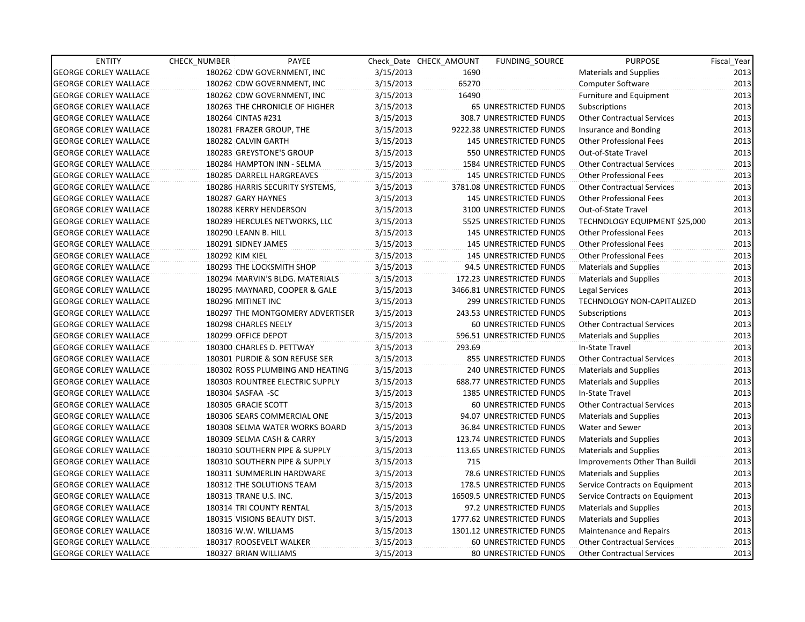| <b>ENTITY</b>                | <b>CHECK NUMBER</b>    | PAYEE                            |           | Check Date CHECK AMOUNT | FUNDING SOURCE                  | <b>PURPOSE</b>                    | Fiscal Year |
|------------------------------|------------------------|----------------------------------|-----------|-------------------------|---------------------------------|-----------------------------------|-------------|
| <b>GEORGE CORLEY WALLACE</b> |                        | 180262 CDW GOVERNMENT, INC       | 3/15/2013 | 1690                    |                                 | <b>Materials and Supplies</b>     | 2013        |
| <b>GEORGE CORLEY WALLACE</b> |                        | 180262 CDW GOVERNMENT, INC       | 3/15/2013 | 65270                   |                                 | Computer Software                 | 2013        |
| <b>GEORGE CORLEY WALLACE</b> |                        | 180262 CDW GOVERNMENT, INC       | 3/15/2013 | 16490                   |                                 | <b>Furniture and Equipment</b>    | 2013        |
| <b>GEORGE CORLEY WALLACE</b> |                        | 180263 THE CHRONICLE OF HIGHER   | 3/15/2013 |                         | <b>65 UNRESTRICTED FUNDS</b>    | Subscriptions                     | 2013        |
| <b>GEORGE CORLEY WALLACE</b> | 180264 CINTAS #231     |                                  | 3/15/2013 |                         | 308.7 UNRESTRICTED FUNDS        | <b>Other Contractual Services</b> | 2013        |
| <b>GEORGE CORLEY WALLACE</b> |                        | 180281 FRAZER GROUP, THE         | 3/15/2013 |                         | 9222.38 UNRESTRICTED FUNDS      | Insurance and Bonding             | 2013        |
| <b>GEORGE CORLEY WALLACE</b> | 180282 CALVIN GARTH    |                                  | 3/15/2013 |                         | <b>145 UNRESTRICTED FUNDS</b>   | <b>Other Professional Fees</b>    | 2013        |
| <b>GEORGE CORLEY WALLACE</b> |                        | 180283 GREYSTONE'S GROUP         | 3/15/2013 |                         | 550 UNRESTRICTED FUNDS          | Out-of-State Travel               | 2013        |
| <b>GEORGE CORLEY WALLACE</b> |                        | 180284 HAMPTON INN - SELMA       | 3/15/2013 |                         | 1584 UNRESTRICTED FUNDS         | <b>Other Contractual Services</b> | 2013        |
| <b>GEORGE CORLEY WALLACE</b> |                        | 180285 DARRELL HARGREAVES        | 3/15/2013 |                         | <b>145 UNRESTRICTED FUNDS</b>   | <b>Other Professional Fees</b>    | 2013        |
| <b>GEORGE CORLEY WALLACE</b> |                        | 180286 HARRIS SECURITY SYSTEMS,  | 3/15/2013 |                         | 3781.08 UNRESTRICTED FUNDS      | <b>Other Contractual Services</b> | 2013        |
| <b>GEORGE CORLEY WALLACE</b> | 180287 GARY HAYNES     |                                  | 3/15/2013 |                         | <b>145 UNRESTRICTED FUNDS</b>   | <b>Other Professional Fees</b>    | 2013        |
| <b>GEORGE CORLEY WALLACE</b> | 180288 KERRY HENDERSON |                                  | 3/15/2013 |                         | 3100 UNRESTRICTED FUNDS         | Out-of-State Travel               | 2013        |
| <b>GEORGE CORLEY WALLACE</b> |                        | 180289 HERCULES NETWORKS, LLC    | 3/15/2013 |                         | 5525 UNRESTRICTED FUNDS         | TECHNOLOGY EQUIPMENT \$25,000     | 2013        |
| <b>GEORGE CORLEY WALLACE</b> | 180290 LEANN B. HILL   |                                  | 3/15/2013 |                         | <b>145 UNRESTRICTED FUNDS</b>   | <b>Other Professional Fees</b>    | 2013        |
| <b>GEORGE CORLEY WALLACE</b> | 180291 SIDNEY JAMES    |                                  | 3/15/2013 |                         | 145 UNRESTRICTED FUNDS          | <b>Other Professional Fees</b>    | 2013        |
| <b>GEORGE CORLEY WALLACE</b> | 180292 KIM KIEL        |                                  | 3/15/2013 |                         | <b>145 UNRESTRICTED FUNDS</b>   | <b>Other Professional Fees</b>    | 2013        |
| <b>GEORGE CORLEY WALLACE</b> |                        | 180293 THE LOCKSMITH SHOP        | 3/15/2013 |                         | 94.5 UNRESTRICTED FUNDS         | Materials and Supplies            | 2013        |
| <b>GEORGE CORLEY WALLACE</b> |                        | 180294 MARVIN'S BLDG. MATERIALS  | 3/15/2013 |                         | 172.23 UNRESTRICTED FUNDS       | Materials and Supplies            | 2013        |
| <b>GEORGE CORLEY WALLACE</b> |                        | 180295 MAYNARD, COOPER & GALE    | 3/15/2013 |                         | 3466.81 UNRESTRICTED FUNDS      | Legal Services                    | 2013        |
| <b>GEORGE CORLEY WALLACE</b> | 180296 MITINET INC     |                                  | 3/15/2013 |                         | 299 UNRESTRICTED FUNDS          | <b>TECHNOLOGY NON-CAPITALIZED</b> | 2013        |
| <b>GEORGE CORLEY WALLACE</b> |                        | 180297 THE MONTGOMERY ADVERTISER | 3/15/2013 |                         | 243.53 UNRESTRICTED FUNDS       | Subscriptions                     | 2013        |
| <b>GEORGE CORLEY WALLACE</b> | 180298 CHARLES NEELY   |                                  | 3/15/2013 |                         | 60 UNRESTRICTED FUNDS           | <b>Other Contractual Services</b> | 2013        |
| <b>GEORGE CORLEY WALLACE</b> | 180299 OFFICE DEPOT    |                                  | 3/15/2013 |                         | 596.51 UNRESTRICTED FUNDS       | <b>Materials and Supplies</b>     | 2013        |
| <b>GEORGE CORLEY WALLACE</b> |                        | 180300 CHARLES D. PETTWAY        | 3/15/2013 | 293.69                  |                                 | In-State Travel                   | 2013        |
| <b>GEORGE CORLEY WALLACE</b> |                        | 180301 PURDIE & SON REFUSE SER   | 3/15/2013 |                         | 855 UNRESTRICTED FUNDS          | <b>Other Contractual Services</b> | 2013        |
| <b>GEORGE CORLEY WALLACE</b> |                        | 180302 ROSS PLUMBING AND HEATING | 3/15/2013 |                         | 240 UNRESTRICTED FUNDS          | <b>Materials and Supplies</b>     | 2013        |
| <b>GEORGE CORLEY WALLACE</b> |                        | 180303 ROUNTREE ELECTRIC SUPPLY  | 3/15/2013 |                         | 688.77 UNRESTRICTED FUNDS       | <b>Materials and Supplies</b>     | 2013        |
| <b>GEORGE CORLEY WALLACE</b> | 180304 SASFAA -SC      |                                  | 3/15/2013 |                         | <b>1385 UNRESTRICTED FUNDS</b>  | In-State Travel                   | 2013        |
| <b>GEORGE CORLEY WALLACE</b> | 180305 GRACIE SCOTT    |                                  | 3/15/2013 |                         | 60 UNRESTRICTED FUNDS           | <b>Other Contractual Services</b> | 2013        |
| <b>GEORGE CORLEY WALLACE</b> |                        | 180306 SEARS COMMERCIAL ONE      | 3/15/2013 |                         | 94.07 UNRESTRICTED FUNDS        | Materials and Supplies            | 2013        |
| <b>GEORGE CORLEY WALLACE</b> |                        | 180308 SELMA WATER WORKS BOARD   | 3/15/2013 |                         | <b>36.84 UNRESTRICTED FUNDS</b> | <b>Water and Sewer</b>            | 2013        |
| <b>GEORGE CORLEY WALLACE</b> |                        | 180309 SELMA CASH & CARRY        | 3/15/2013 |                         | 123.74 UNRESTRICTED FUNDS       | <b>Materials and Supplies</b>     | 2013        |
| <b>GEORGE CORLEY WALLACE</b> |                        | 180310 SOUTHERN PIPE & SUPPLY    | 3/15/2013 |                         | 113.65 UNRESTRICTED FUNDS       | Materials and Supplies            | 2013        |
| <b>GEORGE CORLEY WALLACE</b> |                        | 180310 SOUTHERN PIPE & SUPPLY    | 3/15/2013 | 715                     |                                 | Improvements Other Than Buildi    | 2013        |
| <b>GEORGE CORLEY WALLACE</b> |                        | 180311 SUMMERLIN HARDWARE        | 3/15/2013 |                         | 78.6 UNRESTRICTED FUNDS         | <b>Materials and Supplies</b>     | 2013        |
| <b>GEORGE CORLEY WALLACE</b> |                        | 180312 THE SOLUTIONS TEAM        | 3/15/2013 |                         | 178.5 UNRESTRICTED FUNDS        | Service Contracts on Equipment    | 2013        |
| <b>GEORGE CORLEY WALLACE</b> | 180313 TRANE U.S. INC. |                                  | 3/15/2013 |                         | 16509.5 UNRESTRICTED FUNDS      | Service Contracts on Equipment    | 2013        |
| <b>GEORGE CORLEY WALLACE</b> |                        | 180314 TRI COUNTY RENTAL         | 3/15/2013 |                         | 97.2 UNRESTRICTED FUNDS         | Materials and Supplies            | 2013        |
| <b>GEORGE CORLEY WALLACE</b> |                        | 180315 VISIONS BEAUTY DIST.      | 3/15/2013 |                         | 1777.62 UNRESTRICTED FUNDS      | Materials and Supplies            | 2013        |
| <b>GEORGE CORLEY WALLACE</b> | 180316 W.W. WILLIAMS   |                                  | 3/15/2013 |                         | 1301.12 UNRESTRICTED FUNDS      | Maintenance and Repairs           | 2013        |
| <b>GEORGE CORLEY WALLACE</b> |                        | 180317 ROOSEVELT WALKER          | 3/15/2013 |                         | 60 UNRESTRICTED FUNDS           | <b>Other Contractual Services</b> | 2013        |
| <b>GEORGE CORLEY WALLACE</b> | 180327 BRIAN WILLIAMS  |                                  | 3/15/2013 |                         | <b>80 UNRESTRICTED FUNDS</b>    | <b>Other Contractual Services</b> | 2013        |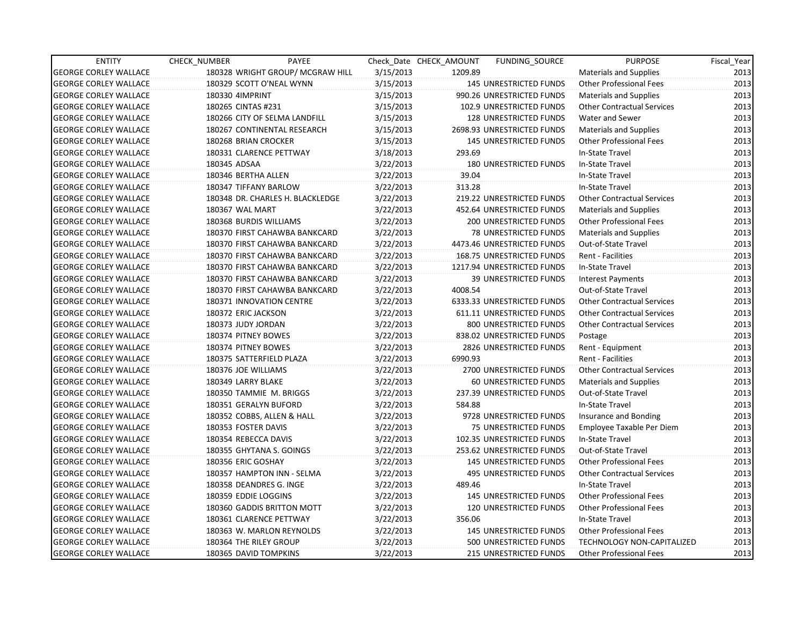| <b>ENTITY</b>                | CHECK_NUMBER         | PAYEE                            |           | Check Date CHECK AMOUNT | <b>FUNDING SOURCE</b>            | <b>PURPOSE</b>                    | Fiscal_Year |
|------------------------------|----------------------|----------------------------------|-----------|-------------------------|----------------------------------|-----------------------------------|-------------|
| <b>GEORGE CORLEY WALLACE</b> |                      | 180328 WRIGHT GROUP/ MCGRAW HILL | 3/15/2013 | 1209.89                 |                                  | <b>Materials and Supplies</b>     | 2013        |
| <b>GEORGE CORLEY WALLACE</b> |                      | 180329 SCOTT O'NEAL WYNN         | 3/15/2013 |                         | 145 UNRESTRICTED FUNDS           | <b>Other Professional Fees</b>    | 2013        |
| <b>GEORGE CORLEY WALLACE</b> | 180330 4IMPRINT      |                                  | 3/15/2013 |                         | 990.26 UNRESTRICTED FUNDS        | <b>Materials and Supplies</b>     | 2013        |
| <b>GEORGE CORLEY WALLACE</b> | 180265 CINTAS #231   |                                  | 3/15/2013 |                         | 102.9 UNRESTRICTED FUNDS         | <b>Other Contractual Services</b> | 2013        |
| <b>GEORGE CORLEY WALLACE</b> |                      | 180266 CITY OF SELMA LANDFILL    | 3/15/2013 |                         | 128 UNRESTRICTED FUNDS           | Water and Sewer                   | 2013        |
| <b>GEORGE CORLEY WALLACE</b> |                      | 180267 CONTINENTAL RESEARCH      | 3/15/2013 |                         | 2698.93 UNRESTRICTED FUNDS       | <b>Materials and Supplies</b>     | 2013        |
| <b>GEORGE CORLEY WALLACE</b> | 180268 BRIAN CROCKER |                                  | 3/15/2013 |                         | <b>145 UNRESTRICTED FUNDS</b>    | <b>Other Professional Fees</b>    | 2013        |
| <b>GEORGE CORLEY WALLACE</b> |                      | 180331 CLARENCE PETTWAY          | 3/18/2013 | 293.69                  |                                  | In-State Travel                   | 2013        |
| <b>GEORGE CORLEY WALLACE</b> | 180345 ADSAA         |                                  | 3/22/2013 |                         | 180 UNRESTRICTED FUNDS           | In-State Travel                   | 2013        |
| <b>GEORGE CORLEY WALLACE</b> | 180346 BERTHA ALLEN  |                                  | 3/22/2013 | 39.04                   |                                  | In-State Travel                   | 2013        |
| <b>GEORGE CORLEY WALLACE</b> |                      | 180347 TIFFANY BARLOW            | 3/22/2013 | 313.28                  |                                  | In-State Travel                   | 2013        |
| <b>GEORGE CORLEY WALLACE</b> |                      | 180348 DR. CHARLES H. BLACKLEDGE | 3/22/2013 |                         | 219.22 UNRESTRICTED FUNDS        | <b>Other Contractual Services</b> | 2013        |
| <b>GEORGE CORLEY WALLACE</b> | 180367 WAL MART      |                                  | 3/22/2013 |                         | 452.64 UNRESTRICTED FUNDS        | <b>Materials and Supplies</b>     | 2013        |
| <b>GEORGE CORLEY WALLACE</b> |                      | 180368 BURDIS WILLIAMS           | 3/22/2013 |                         | 200 UNRESTRICTED FUNDS           | <b>Other Professional Fees</b>    | 2013        |
| <b>GEORGE CORLEY WALLACE</b> |                      | 180370 FIRST CAHAWBA BANKCARD    | 3/22/2013 |                         | 78 UNRESTRICTED FUNDS            | <b>Materials and Supplies</b>     | 2013        |
| <b>GEORGE CORLEY WALLACE</b> |                      | 180370 FIRST CAHAWBA BANKCARD    | 3/22/2013 |                         | 4473.46 UNRESTRICTED FUNDS       | Out-of-State Travel               | 2013        |
| <b>GEORGE CORLEY WALLACE</b> |                      | 180370 FIRST CAHAWBA BANKCARD    | 3/22/2013 |                         | <b>168.75 UNRESTRICTED FUNDS</b> | <b>Rent - Facilities</b>          | 2013        |
| <b>GEORGE CORLEY WALLACE</b> |                      | 180370 FIRST CAHAWBA BANKCARD    | 3/22/2013 |                         | 1217.94 UNRESTRICTED FUNDS       | In-State Travel                   | 2013        |
| <b>GEORGE CORLEY WALLACE</b> |                      | 180370 FIRST CAHAWBA BANKCARD    | 3/22/2013 |                         | 39 UNRESTRICTED FUNDS            | <b>Interest Payments</b>          | 2013        |
| <b>GEORGE CORLEY WALLACE</b> |                      | 180370 FIRST CAHAWBA BANKCARD    | 3/22/2013 | 4008.54                 |                                  | Out-of-State Travel               | 2013        |
| <b>GEORGE CORLEY WALLACE</b> |                      | 180371 INNOVATION CENTRE         | 3/22/2013 |                         | 6333.33 UNRESTRICTED FUNDS       | <b>Other Contractual Services</b> | 2013        |
| <b>GEORGE CORLEY WALLACE</b> | 180372 ERIC JACKSON  |                                  | 3/22/2013 |                         | 611.11 UNRESTRICTED FUNDS        | <b>Other Contractual Services</b> | 2013        |
| <b>GEORGE CORLEY WALLACE</b> | 180373 JUDY JORDAN   |                                  | 3/22/2013 |                         | 800 UNRESTRICTED FUNDS           | <b>Other Contractual Services</b> | 2013        |
| <b>GEORGE CORLEY WALLACE</b> | 180374 PITNEY BOWES  |                                  | 3/22/2013 |                         | 838.02 UNRESTRICTED FUNDS        | Postage                           | 2013        |
| <b>GEORGE CORLEY WALLACE</b> | 180374 PITNEY BOWES  |                                  | 3/22/2013 |                         | 2826 UNRESTRICTED FUNDS          | Rent - Equipment                  | 2013        |
| <b>GEORGE CORLEY WALLACE</b> |                      | 180375 SATTERFIELD PLAZA         | 3/22/2013 | 6990.93                 |                                  | Rent - Facilities                 | 2013        |
| <b>GEORGE CORLEY WALLACE</b> | 180376 JOE WILLIAMS  |                                  | 3/22/2013 |                         | 2700 UNRESTRICTED FUNDS          | Other Contractual Services        | 2013        |
| <b>GEORGE CORLEY WALLACE</b> | 180349 LARRY BLAKE   |                                  | 3/22/2013 |                         | 60 UNRESTRICTED FUNDS            | <b>Materials and Supplies</b>     | 2013        |
| <b>GEORGE CORLEY WALLACE</b> |                      | 180350 TAMMIE M. BRIGGS          | 3/22/2013 |                         | 237.39 UNRESTRICTED FUNDS        | Out-of-State Travel               | 2013        |
| <b>GEORGE CORLEY WALLACE</b> |                      | 180351 GERALYN BUFORD            | 3/22/2013 | 584.88                  |                                  | In-State Travel                   | 2013        |
| <b>GEORGE CORLEY WALLACE</b> |                      | 180352 COBBS, ALLEN & HALL       | 3/22/2013 |                         | 9728 UNRESTRICTED FUNDS          | Insurance and Bonding             | 2013        |
| <b>GEORGE CORLEY WALLACE</b> | 180353 FOSTER DAVIS  |                                  | 3/22/2013 |                         | 75 UNRESTRICTED FUNDS            | Employee Taxable Per Diem         | 2013        |
| <b>GEORGE CORLEY WALLACE</b> | 180354 REBECCA DAVIS |                                  | 3/22/2013 |                         | 102.35 UNRESTRICTED FUNDS        | In-State Travel                   | 2013        |
| <b>GEORGE CORLEY WALLACE</b> |                      | 180355 GHYTANA S. GOINGS         | 3/22/2013 |                         | 253.62 UNRESTRICTED FUNDS        | Out-of-State Travel               | 2013        |
| <b>GEORGE CORLEY WALLACE</b> | 180356 ERIC GOSHAY   |                                  | 3/22/2013 |                         | <b>145 UNRESTRICTED FUNDS</b>    | <b>Other Professional Fees</b>    | 2013        |
| <b>GEORGE CORLEY WALLACE</b> |                      | 180357 HAMPTON INN - SELMA       | 3/22/2013 |                         | <b>495 UNRESTRICTED FUNDS</b>    | <b>Other Contractual Services</b> | 2013        |
| <b>GEORGE CORLEY WALLACE</b> |                      | 180358 DEANDRES G. INGE          | 3/22/2013 | 489.46                  |                                  | In-State Travel                   | 2013        |
| <b>GEORGE CORLEY WALLACE</b> | 180359 EDDIE LOGGINS |                                  | 3/22/2013 |                         | <b>145 UNRESTRICTED FUNDS</b>    | <b>Other Professional Fees</b>    | 2013        |
| <b>GEORGE CORLEY WALLACE</b> |                      | 180360 GADDIS BRITTON MOTT       | 3/22/2013 |                         | 120 UNRESTRICTED FUNDS           | <b>Other Professional Fees</b>    | 2013        |
| <b>GEORGE CORLEY WALLACE</b> |                      | 180361 CLARENCE PETTWAY          | 3/22/2013 | 356.06                  |                                  | In-State Travel                   | 2013        |
| <b>GEORGE CORLEY WALLACE</b> |                      | 180363 W. MARLON REYNOLDS        | 3/22/2013 |                         | 145 UNRESTRICTED FUNDS           | <b>Other Professional Fees</b>    | 2013        |
| <b>GEORGE CORLEY WALLACE</b> |                      | 180364 THE RILEY GROUP           | 3/22/2013 |                         | 500 UNRESTRICTED FUNDS           | TECHNOLOGY NON-CAPITALIZED        | 2013        |
| <b>GEORGE CORLEY WALLACE</b> |                      | 180365 DAVID TOMPKINS            | 3/22/2013 |                         | <b>215 UNRESTRICTED FUNDS</b>    | <b>Other Professional Fees</b>    | 2013        |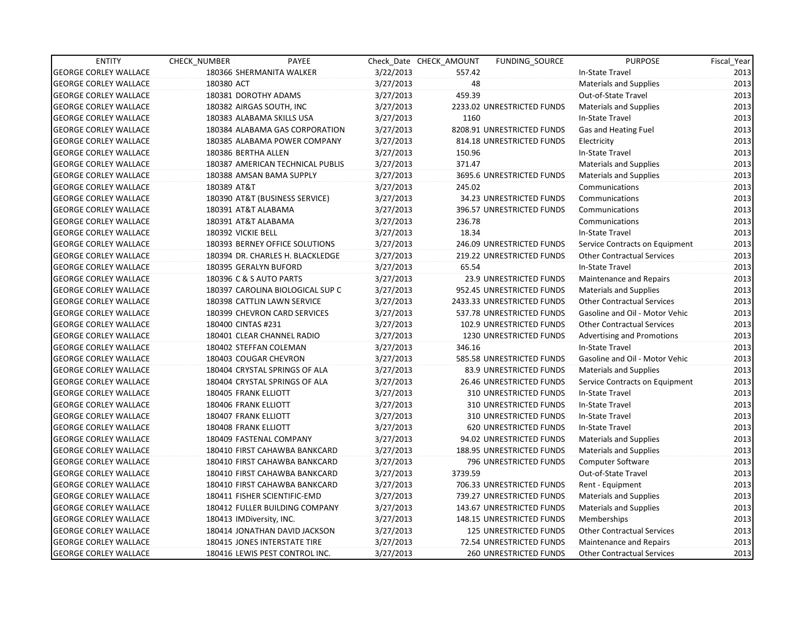| <b>ENTITY</b>                | <b>CHECK NUMBER</b>      | PAYEE                            |           | Check Date CHECK AMOUNT | FUNDING SOURCE                | <b>PURPOSE</b>                    | Fiscal Year |
|------------------------------|--------------------------|----------------------------------|-----------|-------------------------|-------------------------------|-----------------------------------|-------------|
| <b>GEORGE CORLEY WALLACE</b> |                          | 180366 SHERMANITA WALKER         | 3/22/2013 | 557.42                  |                               | In-State Travel                   | 2013        |
| <b>GEORGE CORLEY WALLACE</b> | 180380 ACT               |                                  | 3/27/2013 | 48                      |                               | Materials and Supplies            | 2013        |
| <b>GEORGE CORLEY WALLACE</b> | 180381 DOROTHY ADAMS     |                                  | 3/27/2013 | 459.39                  |                               | Out-of-State Travel               | 2013        |
| <b>GEORGE CORLEY WALLACE</b> |                          | 180382 AIRGAS SOUTH, INC         | 3/27/2013 |                         | 2233.02 UNRESTRICTED FUNDS    | <b>Materials and Supplies</b>     | 2013        |
| <b>GEORGE CORLEY WALLACE</b> |                          | 180383 ALABAMA SKILLS USA        | 3/27/2013 | 1160                    |                               | In-State Travel                   | 2013        |
| <b>GEORGE CORLEY WALLACE</b> |                          | 180384 ALABAMA GAS CORPORATION   | 3/27/2013 |                         | 8208.91 UNRESTRICTED FUNDS    | Gas and Heating Fuel              | 2013        |
| <b>GEORGE CORLEY WALLACE</b> |                          | 180385 ALABAMA POWER COMPANY     | 3/27/2013 |                         | 814.18 UNRESTRICTED FUNDS     | Electricity                       | 2013        |
| <b>GEORGE CORLEY WALLACE</b> | 180386 BERTHA ALLEN      |                                  | 3/27/2013 | 150.96                  |                               | In-State Travel                   | 2013        |
| <b>GEORGE CORLEY WALLACE</b> |                          | 180387 AMERICAN TECHNICAL PUBLIS | 3/27/2013 | 371.47                  |                               | Materials and Supplies            | 2013        |
| <b>GEORGE CORLEY WALLACE</b> |                          | 180388 AMSAN BAMA SUPPLY         | 3/27/2013 |                         | 3695.6 UNRESTRICTED FUNDS     | <b>Materials and Supplies</b>     | 2013        |
| <b>GEORGE CORLEY WALLACE</b> | 180389 AT&T              |                                  | 3/27/2013 | 245.02                  |                               | Communications                    | 2013        |
| <b>GEORGE CORLEY WALLACE</b> |                          | 180390 AT&T (BUSINESS SERVICE)   | 3/27/2013 |                         | 34.23 UNRESTRICTED FUNDS      | Communications                    | 2013        |
| <b>GEORGE CORLEY WALLACE</b> | 180391 AT&T ALABAMA      |                                  | 3/27/2013 |                         | 396.57 UNRESTRICTED FUNDS     | Communications                    | 2013        |
| <b>GEORGE CORLEY WALLACE</b> | 180391 AT&T ALABAMA      |                                  | 3/27/2013 | 236.78                  |                               | Communications                    | 2013        |
| <b>GEORGE CORLEY WALLACE</b> | 180392 VICKIE BELL       |                                  | 3/27/2013 | 18.34                   |                               | In-State Travel                   | 2013        |
| <b>GEORGE CORLEY WALLACE</b> |                          | 180393 BERNEY OFFICE SOLUTIONS   | 3/27/2013 |                         | 246.09 UNRESTRICTED FUNDS     | Service Contracts on Equipment    | 2013        |
| <b>GEORGE CORLEY WALLACE</b> |                          | 180394 DR. CHARLES H. BLACKLEDGE | 3/27/2013 |                         | 219.22 UNRESTRICTED FUNDS     | <b>Other Contractual Services</b> | 2013        |
| <b>GEORGE CORLEY WALLACE</b> | 180395 GERALYN BUFORD    |                                  | 3/27/2013 | 65.54                   |                               | In-State Travel                   | 2013        |
| <b>GEORGE CORLEY WALLACE</b> |                          | 180396 C & S AUTO PARTS          | 3/27/2013 |                         | 23.9 UNRESTRICTED FUNDS       | Maintenance and Repairs           | 2013        |
| <b>GEORGE CORLEY WALLACE</b> |                          | 180397 CAROLINA BIOLOGICAL SUP C | 3/27/2013 |                         | 952.45 UNRESTRICTED FUNDS     | <b>Materials and Supplies</b>     | 2013        |
| <b>GEORGE CORLEY WALLACE</b> |                          | 180398 CATTLIN LAWN SERVICE      | 3/27/2013 |                         | 2433.33 UNRESTRICTED FUNDS    | <b>Other Contractual Services</b> | 2013        |
| <b>GEORGE CORLEY WALLACE</b> |                          | 180399 CHEVRON CARD SERVICES     | 3/27/2013 |                         | 537.78 UNRESTRICTED FUNDS     | Gasoline and Oil - Motor Vehic    | 2013        |
| <b>GEORGE CORLEY WALLACE</b> | 180400 CINTAS #231       |                                  | 3/27/2013 |                         | 102.9 UNRESTRICTED FUNDS      | <b>Other Contractual Services</b> | 2013        |
| <b>GEORGE CORLEY WALLACE</b> |                          | 180401 CLEAR CHANNEL RADIO       | 3/27/2013 |                         | 1230 UNRESTRICTED FUNDS       | <b>Advertising and Promotions</b> | 2013        |
| <b>GEORGE CORLEY WALLACE</b> |                          | 180402 STEFFAN COLEMAN           | 3/27/2013 | 346.16                  |                               | In-State Travel                   | 2013        |
| <b>GEORGE CORLEY WALLACE</b> |                          | 180403 COUGAR CHEVRON            | 3/27/2013 |                         | 585.58 UNRESTRICTED FUNDS     | Gasoline and Oil - Motor Vehic    | 2013        |
| <b>GEORGE CORLEY WALLACE</b> |                          | 180404 CRYSTAL SPRINGS OF ALA    | 3/27/2013 |                         | 83.9 UNRESTRICTED FUNDS       | <b>Materials and Supplies</b>     | 2013        |
| <b>GEORGE CORLEY WALLACE</b> |                          | 180404 CRYSTAL SPRINGS OF ALA    | 3/27/2013 |                         | 26.46 UNRESTRICTED FUNDS      | Service Contracts on Equipment    | 2013        |
| <b>GEORGE CORLEY WALLACE</b> | 180405 FRANK ELLIOTT     |                                  | 3/27/2013 |                         | <b>310 UNRESTRICTED FUNDS</b> | In-State Travel                   | 2013        |
| <b>GEORGE CORLEY WALLACE</b> | 180406 FRANK ELLIOTT     |                                  | 3/27/2013 |                         | 310 UNRESTRICTED FUNDS        | In-State Travel                   | 2013        |
| <b>GEORGE CORLEY WALLACE</b> | 180407 FRANK ELLIOTT     |                                  | 3/27/2013 |                         | 310 UNRESTRICTED FUNDS        | In-State Travel                   | 2013        |
| <b>GEORGE CORLEY WALLACE</b> | 180408 FRANK ELLIOTT     |                                  | 3/27/2013 |                         | 620 UNRESTRICTED FUNDS        | In-State Travel                   | 2013        |
| <b>GEORGE CORLEY WALLACE</b> |                          | 180409 FASTENAL COMPANY          | 3/27/2013 |                         | 94.02 UNRESTRICTED FUNDS      | <b>Materials and Supplies</b>     | 2013        |
| <b>GEORGE CORLEY WALLACE</b> |                          | 180410 FIRST CAHAWBA BANKCARD    | 3/27/2013 |                         | 188.95 UNRESTRICTED FUNDS     | Materials and Supplies            | 2013        |
| <b>GEORGE CORLEY WALLACE</b> |                          | 180410 FIRST CAHAWBA BANKCARD    | 3/27/2013 |                         | 796 UNRESTRICTED FUNDS        | Computer Software                 | 2013        |
| <b>GEORGE CORLEY WALLACE</b> |                          | 180410 FIRST CAHAWBA BANKCARD    | 3/27/2013 | 3739.59                 |                               | Out-of-State Travel               | 2013        |
| <b>GEORGE CORLEY WALLACE</b> |                          | 180410 FIRST CAHAWBA BANKCARD    | 3/27/2013 |                         | 706.33 UNRESTRICTED FUNDS     | Rent - Equipment                  | 2013        |
| <b>GEORGE CORLEY WALLACE</b> |                          | 180411 FISHER SCIENTIFIC-EMD     | 3/27/2013 |                         | 739.27 UNRESTRICTED FUNDS     | Materials and Supplies            | 2013        |
| <b>GEORGE CORLEY WALLACE</b> |                          | 180412 FULLER BUILDING COMPANY   | 3/27/2013 |                         | 143.67 UNRESTRICTED FUNDS     | Materials and Supplies            | 2013        |
| <b>GEORGE CORLEY WALLACE</b> | 180413 IMDiversity, INC. |                                  | 3/27/2013 |                         | 148.15 UNRESTRICTED FUNDS     | Memberships                       | 2013        |
| <b>GEORGE CORLEY WALLACE</b> |                          | 180414 JONATHAN DAVID JACKSON    | 3/27/2013 |                         | 125 UNRESTRICTED FUNDS        | <b>Other Contractual Services</b> | 2013        |
| <b>GEORGE CORLEY WALLACE</b> |                          | 180415 JONES INTERSTATE TIRE     | 3/27/2013 |                         | 72.54 UNRESTRICTED FUNDS      | Maintenance and Repairs           | 2013        |
| <b>GEORGE CORLEY WALLACE</b> |                          | 180416 LEWIS PEST CONTROL INC.   | 3/27/2013 |                         | <b>260 UNRESTRICTED FUNDS</b> | <b>Other Contractual Services</b> | 2013        |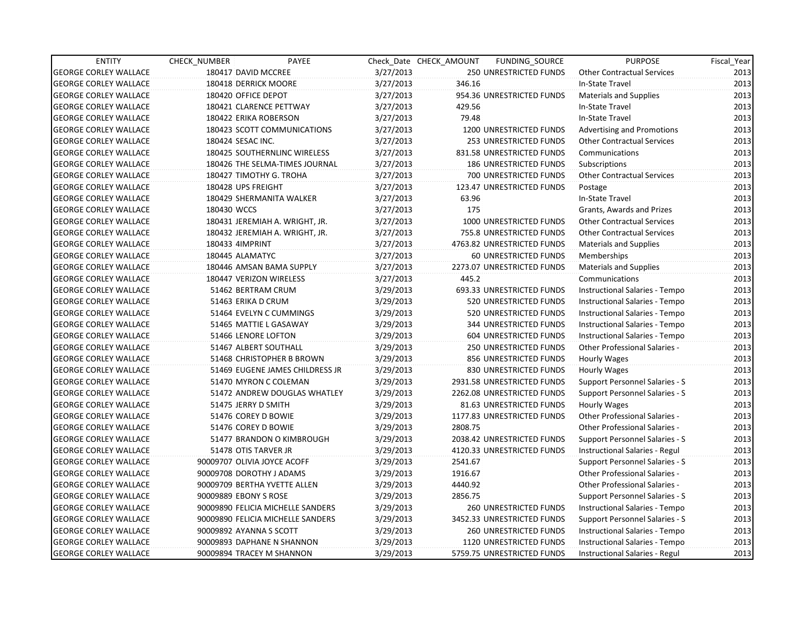| <b>ENTITY</b>                | CHECK_NUMBER          | PAYEE                             |           | Check Date CHECK AMOUNT | FUNDING_SOURCE                | <b>PURPOSE</b>                        | Fiscal_Year |
|------------------------------|-----------------------|-----------------------------------|-----------|-------------------------|-------------------------------|---------------------------------------|-------------|
| <b>GEORGE CORLEY WALLACE</b> |                       | 180417 DAVID MCCREE               | 3/27/2013 |                         | 250 UNRESTRICTED FUNDS        | <b>Other Contractual Services</b>     | 2013        |
| <b>GEORGE CORLEY WALLACE</b> |                       | 180418 DERRICK MOORE              | 3/27/2013 | 346.16                  |                               | In-State Travel                       | 2013        |
| <b>GEORGE CORLEY WALLACE</b> | 180420 OFFICE DEPOT   |                                   | 3/27/2013 |                         | 954.36 UNRESTRICTED FUNDS     | <b>Materials and Supplies</b>         | 2013        |
| <b>GEORGE CORLEY WALLACE</b> |                       | 180421 CLARENCE PETTWAY           | 3/27/2013 | 429.56                  |                               | In-State Travel                       | 2013        |
| <b>GEORGE CORLEY WALLACE</b> |                       | 180422 ERIKA ROBERSON             | 3/27/2013 | 79.48                   |                               | In-State Travel                       | 2013        |
| <b>GEORGE CORLEY WALLACE</b> |                       | 180423 SCOTT COMMUNICATIONS       | 3/27/2013 |                         | 1200 UNRESTRICTED FUNDS       | <b>Advertising and Promotions</b>     | 2013        |
| <b>GEORGE CORLEY WALLACE</b> | 180424 SESAC INC.     |                                   | 3/27/2013 |                         | 253 UNRESTRICTED FUNDS        | <b>Other Contractual Services</b>     | 2013        |
| <b>GEORGE CORLEY WALLACE</b> |                       | 180425 SOUTHERNLINC WIRELESS      | 3/27/2013 |                         | 831.58 UNRESTRICTED FUNDS     | Communications                        | 2013        |
| <b>GEORGE CORLEY WALLACE</b> |                       | 180426 THE SELMA-TIMES JOURNAL    | 3/27/2013 |                         | <b>186 UNRESTRICTED FUNDS</b> | Subscriptions                         | 2013        |
| <b>GEORGE CORLEY WALLACE</b> |                       | 180427 TIMOTHY G. TROHA           | 3/27/2013 |                         | 700 UNRESTRICTED FUNDS        | <b>Other Contractual Services</b>     | 2013        |
| <b>GEORGE CORLEY WALLACE</b> | 180428 UPS FREIGHT    |                                   | 3/27/2013 |                         | 123.47 UNRESTRICTED FUNDS     | Postage                               | 2013        |
| <b>GEORGE CORLEY WALLACE</b> |                       | 180429 SHERMANITA WALKER          | 3/27/2013 | 63.96                   |                               | In-State Travel                       | 2013        |
| <b>GEORGE CORLEY WALLACE</b> | 180430 WCCS           |                                   | 3/27/2013 | 175                     |                               | Grants, Awards and Prizes             | 2013        |
| <b>GEORGE CORLEY WALLACE</b> |                       | 180431 JEREMIAH A. WRIGHT, JR.    | 3/27/2013 |                         | 1000 UNRESTRICTED FUNDS       | <b>Other Contractual Services</b>     | 2013        |
| <b>GEORGE CORLEY WALLACE</b> |                       | 180432 JEREMIAH A. WRIGHT, JR.    | 3/27/2013 |                         | 755.8 UNRESTRICTED FUNDS      | <b>Other Contractual Services</b>     | 2013        |
| <b>GEORGE CORLEY WALLACE</b> | 180433 4IMPRINT       |                                   | 3/27/2013 |                         | 4763.82 UNRESTRICTED FUNDS    | <b>Materials and Supplies</b>         | 2013        |
| <b>GEORGE CORLEY WALLACE</b> | 180445 ALAMATYC       |                                   | 3/27/2013 |                         | 60 UNRESTRICTED FUNDS         | Memberships                           | 2013        |
| <b>GEORGE CORLEY WALLACE</b> |                       | 180446 AMSAN BAMA SUPPLY          | 3/27/2013 |                         | 2273.07 UNRESTRICTED FUNDS    | <b>Materials and Supplies</b>         | 2013        |
| <b>GEORGE CORLEY WALLACE</b> |                       | 180447 VERIZON WIRELESS           | 3/27/2013 | 445.2                   |                               | Communications                        | 2013        |
| <b>GEORGE CORLEY WALLACE</b> |                       | 51462 BERTRAM CRUM                | 3/29/2013 |                         | 693.33 UNRESTRICTED FUNDS     | Instructional Salaries - Tempo        | 2013        |
| <b>GEORGE CORLEY WALLACE</b> |                       | 51463 ERIKA D CRUM                | 3/29/2013 |                         | 520 UNRESTRICTED FUNDS        | Instructional Salaries - Tempo        | 2013        |
| <b>GEORGE CORLEY WALLACE</b> |                       | 51464 EVELYN C CUMMINGS           | 3/29/2013 |                         | 520 UNRESTRICTED FUNDS        | Instructional Salaries - Tempo        | 2013        |
| <b>GEORGE CORLEY WALLACE</b> |                       | 51465 MATTIE L GASAWAY            | 3/29/2013 |                         | 344 UNRESTRICTED FUNDS        | Instructional Salaries - Tempo        | 2013        |
| <b>GEORGE CORLEY WALLACE</b> |                       | 51466 LENORE LOFTON               | 3/29/2013 |                         | 604 UNRESTRICTED FUNDS        | Instructional Salaries - Tempo        | 2013        |
| <b>GEORGE CORLEY WALLACE</b> |                       | 51467 ALBERT SOUTHALL             | 3/29/2013 |                         | 250 UNRESTRICTED FUNDS        | <b>Other Professional Salaries -</b>  | 2013        |
| <b>GEORGE CORLEY WALLACE</b> |                       | 51468 CHRISTOPHER B BROWN         | 3/29/2013 |                         | 856 UNRESTRICTED FUNDS        | Hourly Wages                          | 2013        |
| <b>GEORGE CORLEY WALLACE</b> |                       | 51469 EUGENE JAMES CHILDRESS JR   | 3/29/2013 |                         | 830 UNRESTRICTED FUNDS        | Hourly Wages                          | 2013        |
| <b>GEORGE CORLEY WALLACE</b> |                       | 51470 MYRON C COLEMAN             | 3/29/2013 |                         | 2931.58 UNRESTRICTED FUNDS    | <b>Support Personnel Salaries - S</b> | 2013        |
| <b>GEORGE CORLEY WALLACE</b> |                       | 51472 ANDREW DOUGLAS WHATLEY      | 3/29/2013 |                         | 2262.08 UNRESTRICTED FUNDS    | Support Personnel Salaries - S        | 2013        |
| <b>GEORGE CORLEY WALLACE</b> |                       | 51475 JERRY D SMITH               | 3/29/2013 |                         | 81.63 UNRESTRICTED FUNDS      | Hourly Wages                          | 2013        |
| <b>GEORGE CORLEY WALLACE</b> |                       | 51476 COREY D BOWIE               | 3/29/2013 |                         | 1177.83 UNRESTRICTED FUNDS    | <b>Other Professional Salaries -</b>  | 2013        |
| <b>GEORGE CORLEY WALLACE</b> |                       | 51476 COREY D BOWIE               | 3/29/2013 | 2808.75                 |                               | Other Professional Salaries -         | 2013        |
| <b>GEORGE CORLEY WALLACE</b> |                       | 51477 BRANDON O KIMBROUGH         | 3/29/2013 |                         | 2038.42 UNRESTRICTED FUNDS    | Support Personnel Salaries - S        | 2013        |
| <b>GEORGE CORLEY WALLACE</b> |                       | 51478 OTIS TARVER JR              | 3/29/2013 |                         | 4120.33 UNRESTRICTED FUNDS    | Instructional Salaries - Regul        | 2013        |
| <b>GEORGE CORLEY WALLACE</b> |                       | 90009707 OLIVIA JOYCE ACOFF       | 3/29/2013 | 2541.67                 |                               | Support Personnel Salaries - S        | 2013        |
| <b>GEORGE CORLEY WALLACE</b> |                       | 90009708 DOROTHY J ADAMS          | 3/29/2013 | 1916.67                 |                               | <b>Other Professional Salaries -</b>  | 2013        |
| <b>GEORGE CORLEY WALLACE</b> |                       | 90009709 BERTHA YVETTE ALLEN      | 3/29/2013 | 4440.92                 |                               | Other Professional Salaries -         | 2013        |
| <b>GEORGE CORLEY WALLACE</b> | 90009889 EBONY S ROSE |                                   | 3/29/2013 | 2856.75                 |                               | Support Personnel Salaries - S        | 2013        |
| <b>GEORGE CORLEY WALLACE</b> |                       | 90009890 FELICIA MICHELLE SANDERS | 3/29/2013 |                         | <b>260 UNRESTRICTED FUNDS</b> | Instructional Salaries - Tempo        | 2013        |
| <b>GEORGE CORLEY WALLACE</b> |                       | 90009890 FELICIA MICHELLE SANDERS | 3/29/2013 |                         | 3452.33 UNRESTRICTED FUNDS    | Support Personnel Salaries - S        | 2013        |
| <b>GEORGE CORLEY WALLACE</b> |                       | 90009892 AYANNA S SCOTT           | 3/29/2013 |                         | <b>260 UNRESTRICTED FUNDS</b> | Instructional Salaries - Tempo        | 2013        |
| <b>GEORGE CORLEY WALLACE</b> |                       | 90009893 DAPHANE N SHANNON        | 3/29/2013 |                         | 1120 UNRESTRICTED FUNDS       | Instructional Salaries - Tempo        | 2013        |
| <b>GEORGE CORLEY WALLACE</b> |                       | 90009894 TRACEY M SHANNON         | 3/29/2013 |                         | 5759.75 UNRESTRICTED FUNDS    | Instructional Salaries - Regul        | 2013        |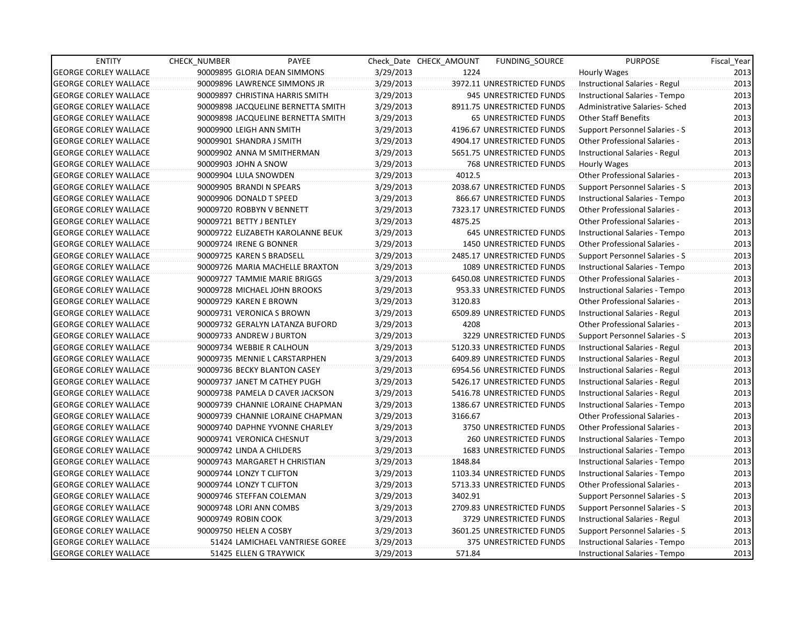| <b>ENTITY</b>                | <b>CHECK NUMBER</b> | PAYEE                              |           | Check Date CHECK AMOUNT | <b>FUNDING SOURCE</b>          | <b>PURPOSE</b>                        | Fiscal Year |
|------------------------------|---------------------|------------------------------------|-----------|-------------------------|--------------------------------|---------------------------------------|-------------|
| <b>GEORGE CORLEY WALLACE</b> |                     | 90009895 GLORIA DEAN SIMMONS       | 3/29/2013 | 1224                    |                                | <b>Hourly Wages</b>                   | 2013        |
| <b>GEORGE CORLEY WALLACE</b> |                     | 90009896 LAWRENCE SIMMONS JR       | 3/29/2013 |                         | 3972.11 UNRESTRICTED FUNDS     | Instructional Salaries - Regul        | 2013        |
| <b>GEORGE CORLEY WALLACE</b> |                     | 90009897 CHRISTINA HARRIS SMITH    | 3/29/2013 |                         | 945 UNRESTRICTED FUNDS         | Instructional Salaries - Tempo        | 2013        |
| <b>GEORGE CORLEY WALLACE</b> |                     | 90009898 JACQUELINE BERNETTA SMITH | 3/29/2013 |                         | 8911.75 UNRESTRICTED FUNDS     | Administrative Salaries- Sched        | 2013        |
| <b>GEORGE CORLEY WALLACE</b> |                     | 90009898 JACQUELINE BERNETTA SMITH | 3/29/2013 |                         | 65 UNRESTRICTED FUNDS          | <b>Other Staff Benefits</b>           | 2013        |
| <b>GEORGE CORLEY WALLACE</b> |                     | 90009900 LEIGH ANN SMITH           | 3/29/2013 |                         | 4196.67 UNRESTRICTED FUNDS     | Support Personnel Salaries - S        | 2013        |
| <b>GEORGE CORLEY WALLACE</b> |                     | 90009901 SHANDRA J SMITH           | 3/29/2013 |                         | 4904.17 UNRESTRICTED FUNDS     | Other Professional Salaries -         | 2013        |
| <b>GEORGE CORLEY WALLACE</b> |                     | 90009902 ANNA M SMITHERMAN         | 3/29/2013 |                         | 5651.75 UNRESTRICTED FUNDS     | Instructional Salaries - Regul        | 2013        |
| <b>GEORGE CORLEY WALLACE</b> |                     | 90009903 JOHN A SNOW               | 3/29/2013 |                         | 768 UNRESTRICTED FUNDS         | <b>Hourly Wages</b>                   | 2013        |
| <b>GEORGE CORLEY WALLACE</b> |                     | 90009904 LULA SNOWDEN              | 3/29/2013 | 4012.5                  |                                | Other Professional Salaries -         | 2013        |
| <b>GEORGE CORLEY WALLACE</b> |                     | 90009905 BRANDI N SPEARS           | 3/29/2013 |                         | 2038.67 UNRESTRICTED FUNDS     | Support Personnel Salaries - S        | 2013        |
| <b>GEORGE CORLEY WALLACE</b> |                     | 90009906 DONALD T SPEED            | 3/29/2013 |                         | 866.67 UNRESTRICTED FUNDS      | Instructional Salaries - Tempo        | 2013        |
| <b>GEORGE CORLEY WALLACE</b> |                     | 90009720 ROBBYN V BENNETT          | 3/29/2013 |                         | 7323.17 UNRESTRICTED FUNDS     | Other Professional Salaries -         | 2013        |
| <b>GEORGE CORLEY WALLACE</b> |                     | 90009721 BETTY J BENTLEY           | 3/29/2013 | 4875.25                 |                                | Other Professional Salaries -         | 2013        |
| <b>GEORGE CORLEY WALLACE</b> |                     | 90009722 ELIZABETH KAROLANNE BEUK  | 3/29/2013 |                         | 645 UNRESTRICTED FUNDS         | Instructional Salaries - Tempo        | 2013        |
| <b>GEORGE CORLEY WALLACE</b> |                     | 90009724 IRENE G BONNER            | 3/29/2013 |                         | 1450 UNRESTRICTED FUNDS        | Other Professional Salaries -         | 2013        |
| <b>GEORGE CORLEY WALLACE</b> |                     | 90009725 KAREN S BRADSELL          | 3/29/2013 |                         | 2485.17 UNRESTRICTED FUNDS     | Support Personnel Salaries - S        | 2013        |
| <b>GEORGE CORLEY WALLACE</b> |                     | 90009726 MARIA MACHELLE BRAXTON    | 3/29/2013 |                         | <b>1089 UNRESTRICTED FUNDS</b> | Instructional Salaries - Tempo        | 2013        |
| <b>GEORGE CORLEY WALLACE</b> |                     | 90009727 TAMMIE MARIE BRIGGS       | 3/29/2013 |                         | 6450.08 UNRESTRICTED FUNDS     | Other Professional Salaries -         | 2013        |
| <b>GEORGE CORLEY WALLACE</b> |                     | 90009728 MICHAEL JOHN BROOKS       | 3/29/2013 |                         | 953.33 UNRESTRICTED FUNDS      | Instructional Salaries - Tempo        | 2013        |
| <b>GEORGE CORLEY WALLACE</b> |                     | 90009729 KAREN E BROWN             | 3/29/2013 | 3120.83                 |                                | <b>Other Professional Salaries -</b>  | 2013        |
| <b>GEORGE CORLEY WALLACE</b> |                     | 90009731 VERONICA S BROWN          | 3/29/2013 |                         | 6509.89 UNRESTRICTED FUNDS     | Instructional Salaries - Regul        | 2013        |
| <b>GEORGE CORLEY WALLACE</b> |                     | 90009732 GERALYN LATANZA BUFORD    | 3/29/2013 | 4208                    |                                | Other Professional Salaries -         | 2013        |
| <b>GEORGE CORLEY WALLACE</b> |                     | 90009733 ANDREW J BURTON           | 3/29/2013 |                         | 3229 UNRESTRICTED FUNDS        | Support Personnel Salaries - S        | 2013        |
| <b>GEORGE CORLEY WALLACE</b> |                     | 90009734 WEBBIE R CALHOUN          | 3/29/2013 |                         | 5120.33 UNRESTRICTED FUNDS     | Instructional Salaries - Regul        | 2013        |
| <b>GEORGE CORLEY WALLACE</b> |                     | 90009735 MENNIE L CARSTARPHEN      | 3/29/2013 |                         | 6409.89 UNRESTRICTED FUNDS     | Instructional Salaries - Regul        | 2013        |
| <b>GEORGE CORLEY WALLACE</b> |                     | 90009736 BECKY BLANTON CASEY       | 3/29/2013 |                         | 6954.56 UNRESTRICTED FUNDS     | Instructional Salaries - Regul        | 2013        |
| <b>GEORGE CORLEY WALLACE</b> |                     | 90009737 JANET M CATHEY PUGH       | 3/29/2013 |                         | 5426.17 UNRESTRICTED FUNDS     | Instructional Salaries - Regul        | 2013        |
| <b>GEORGE CORLEY WALLACE</b> |                     | 90009738 PAMELA D CAVER JACKSON    | 3/29/2013 |                         | 5416.78 UNRESTRICTED FUNDS     | Instructional Salaries - Regul        | 2013        |
| <b>GEORGE CORLEY WALLACE</b> |                     | 90009739 CHANNIE LORAINE CHAPMAN   | 3/29/2013 |                         | 1386.67 UNRESTRICTED FUNDS     | Instructional Salaries - Tempo        | 2013        |
| <b>GEORGE CORLEY WALLACE</b> |                     | 90009739 CHANNIE LORAINE CHAPMAN   | 3/29/2013 | 3166.67                 |                                | <b>Other Professional Salaries -</b>  | 2013        |
| <b>GEORGE CORLEY WALLACE</b> |                     | 90009740 DAPHNE YVONNE CHARLEY     | 3/29/2013 |                         | 3750 UNRESTRICTED FUNDS        | Other Professional Salaries -         | 2013        |
| <b>GEORGE CORLEY WALLACE</b> |                     | 90009741 VERONICA CHESNUT          | 3/29/2013 |                         | <b>260 UNRESTRICTED FUNDS</b>  | Instructional Salaries - Tempo        | 2013        |
| <b>GEORGE CORLEY WALLACE</b> |                     | 90009742 LINDA A CHILDERS          | 3/29/2013 |                         | 1683 UNRESTRICTED FUNDS        | Instructional Salaries - Tempo        | 2013        |
| <b>GEORGE CORLEY WALLACE</b> |                     | 90009743 MARGARET H CHRISTIAN      | 3/29/2013 | 1848.84                 |                                | Instructional Salaries - Tempo        | 2013        |
| <b>GEORGE CORLEY WALLACE</b> |                     | 90009744 LONZY T CLIFTON           | 3/29/2013 |                         | 1103.34 UNRESTRICTED FUNDS     | Instructional Salaries - Tempo        | 2013        |
| <b>GEORGE CORLEY WALLACE</b> |                     | 90009744 LONZY T CLIFTON           | 3/29/2013 |                         | 5713.33 UNRESTRICTED FUNDS     | <b>Other Professional Salaries -</b>  | 2013        |
| <b>GEORGE CORLEY WALLACE</b> |                     | 90009746 STEFFAN COLEMAN           | 3/29/2013 | 3402.91                 |                                | <b>Support Personnel Salaries - S</b> | 2013        |
| <b>GEORGE CORLEY WALLACE</b> |                     | 90009748 LORI ANN COMBS            | 3/29/2013 |                         | 2709.83 UNRESTRICTED FUNDS     | Support Personnel Salaries - S        | 2013        |
| <b>GEORGE CORLEY WALLACE</b> | 90009749 ROBIN COOK |                                    | 3/29/2013 |                         | 3729 UNRESTRICTED FUNDS        | Instructional Salaries - Regul        | 2013        |
| <b>GEORGE CORLEY WALLACE</b> |                     | 90009750 HELEN A COSBY             | 3/29/2013 |                         | 3601.25 UNRESTRICTED FUNDS     | Support Personnel Salaries - S        | 2013        |
| <b>GEORGE CORLEY WALLACE</b> |                     | 51424 LAMICHAEL VANTRIESE GOREE    | 3/29/2013 |                         | 375 UNRESTRICTED FUNDS         | Instructional Salaries - Tempo        | 2013        |
| <b>GEORGE CORLEY WALLACE</b> |                     | 51425 ELLEN G TRAYWICK             | 3/29/2013 | 571.84                  |                                | Instructional Salaries - Tempo        | 2013        |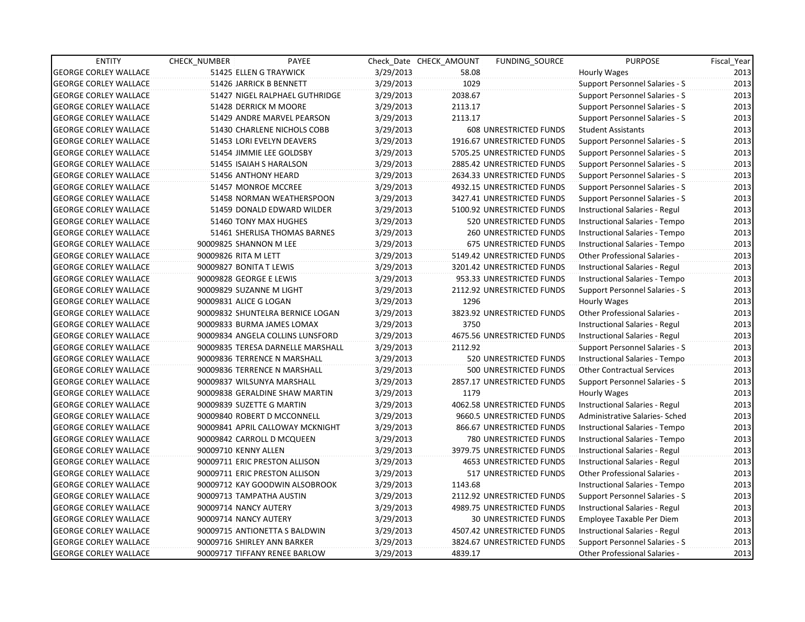| <b>ENTITY</b>                | <b>CHECK NUMBER</b>       | PAYEE                             |           | Check Date CHECK AMOUNT | <b>FUNDING SOURCE</b>          | <b>PURPOSE</b>                        | Fiscal_Year |
|------------------------------|---------------------------|-----------------------------------|-----------|-------------------------|--------------------------------|---------------------------------------|-------------|
| <b>GEORGE CORLEY WALLACE</b> |                           | 51425 ELLEN G TRAYWICK            | 3/29/2013 | 58.08                   |                                | Hourly Wages                          | 2013        |
| <b>GEORGE CORLEY WALLACE</b> |                           | 51426 JARRICK B BENNETT           | 3/29/2013 | 1029                    |                                | Support Personnel Salaries - S        | 2013        |
| <b>GEORGE CORLEY WALLACE</b> |                           | 51427 NIGEL RALPHAEL GUTHRIDGE    | 3/29/2013 | 2038.67                 |                                | Support Personnel Salaries - S        | 2013        |
| <b>GEORGE CORLEY WALLACE</b> |                           | 51428 DERRICK M MOORE             | 3/29/2013 | 2113.17                 |                                | Support Personnel Salaries - S        | 2013        |
| <b>GEORGE CORLEY WALLACE</b> |                           | 51429 ANDRE MARVEL PEARSON        | 3/29/2013 | 2113.17                 |                                | Support Personnel Salaries - S        | 2013        |
| <b>GEORGE CORLEY WALLACE</b> |                           | 51430 CHARLENE NICHOLS COBB       | 3/29/2013 |                         | 608 UNRESTRICTED FUNDS         | <b>Student Assistants</b>             | 2013        |
| <b>GEORGE CORLEY WALLACE</b> |                           | 51453 LORI EVELYN DEAVERS         | 3/29/2013 |                         | 1916.67 UNRESTRICTED FUNDS     | Support Personnel Salaries - S        | 2013        |
| <b>GEORGE CORLEY WALLACE</b> |                           | 51454 JIMMIE LEE GOLDSBY          | 3/29/2013 |                         | 5705.25 UNRESTRICTED FUNDS     | Support Personnel Salaries - S        | 2013        |
| <b>GEORGE CORLEY WALLACE</b> |                           | 51455 ISAIAH S HARALSON           | 3/29/2013 |                         | 2885.42 UNRESTRICTED FUNDS     | Support Personnel Salaries - S        | 2013        |
| <b>GEORGE CORLEY WALLACE</b> |                           | 51456 ANTHONY HEARD               | 3/29/2013 |                         | 2634.33 UNRESTRICTED FUNDS     | Support Personnel Salaries - S        | 2013        |
| <b>GEORGE CORLEY WALLACE</b> |                           | 51457 MONROE MCCREE               | 3/29/2013 |                         | 4932.15 UNRESTRICTED FUNDS     | Support Personnel Salaries - S        | 2013        |
| <b>GEORGE CORLEY WALLACE</b> |                           | 51458 NORMAN WEATHERSPOON         | 3/29/2013 |                         | 3427.41 UNRESTRICTED FUNDS     | Support Personnel Salaries - S        | 2013        |
| <b>GEORGE CORLEY WALLACE</b> |                           | 51459 DONALD EDWARD WILDER        | 3/29/2013 |                         | 5100.92 UNRESTRICTED FUNDS     | Instructional Salaries - Regul        | 2013        |
| <b>GEORGE CORLEY WALLACE</b> |                           | 51460 TONY MAX HUGHES             | 3/29/2013 |                         | 520 UNRESTRICTED FUNDS         | Instructional Salaries - Tempo        | 2013        |
| <b>GEORGE CORLEY WALLACE</b> |                           | 51461 SHERLISA THOMAS BARNES      | 3/29/2013 |                         | <b>260 UNRESTRICTED FUNDS</b>  | Instructional Salaries - Tempo        | 2013        |
| <b>GEORGE CORLEY WALLACE</b> | 90009825 SHANNON M LEE    |                                   | 3/29/2013 |                         | 675 UNRESTRICTED FUNDS         | Instructional Salaries - Tempo        | 2013        |
| <b>GEORGE CORLEY WALLACE</b> | 90009826 RITA M LETT      |                                   | 3/29/2013 |                         | 5149.42 UNRESTRICTED FUNDS     | Other Professional Salaries -         | 2013        |
| <b>GEORGE CORLEY WALLACE</b> | 90009827 BONITA T LEWIS   |                                   | 3/29/2013 |                         | 3201.42 UNRESTRICTED FUNDS     | Instructional Salaries - Regul        | 2013        |
| <b>GEORGE CORLEY WALLACE</b> | 90009828 GEORGE E LEWIS   |                                   | 3/29/2013 |                         | 953.33 UNRESTRICTED FUNDS      | Instructional Salaries - Tempo        | 2013        |
| <b>GEORGE CORLEY WALLACE</b> | 90009829 SUZANNE M LIGHT  |                                   | 3/29/2013 |                         | 2112.92 UNRESTRICTED FUNDS     | Support Personnel Salaries - S        | 2013        |
| <b>GEORGE CORLEY WALLACE</b> | 90009831 ALICE G LOGAN    |                                   | 3/29/2013 | 1296                    |                                | Hourly Wages                          | 2013        |
| <b>GEORGE CORLEY WALLACE</b> |                           | 90009832 SHUNTELRA BERNICE LOGAN  | 3/29/2013 |                         | 3823.92 UNRESTRICTED FUNDS     | Other Professional Salaries -         | 2013        |
| <b>GEORGE CORLEY WALLACE</b> |                           | 90009833 BURMA JAMES LOMAX        | 3/29/2013 | 3750                    |                                | Instructional Salaries - Regul        | 2013        |
| <b>GEORGE CORLEY WALLACE</b> |                           | 90009834 ANGELA COLLINS LUNSFORD  | 3/29/2013 |                         | 4675.56 UNRESTRICTED FUNDS     | Instructional Salaries - Regul        | 2013        |
| <b>GEORGE CORLEY WALLACE</b> |                           | 90009835 TERESA DARNELLE MARSHALL | 3/29/2013 | 2112.92                 |                                | Support Personnel Salaries - S        | 2013        |
| <b>GEORGE CORLEY WALLACE</b> |                           | 90009836 TERRENCE N MARSHALL      | 3/29/2013 |                         | 520 UNRESTRICTED FUNDS         | Instructional Salaries - Tempo        | 2013        |
| <b>GEORGE CORLEY WALLACE</b> |                           | 90009836 TERRENCE N MARSHALL      | 3/29/2013 |                         | 500 UNRESTRICTED FUNDS         | <b>Other Contractual Services</b>     | 2013        |
| <b>GEORGE CORLEY WALLACE</b> |                           | 90009837 WILSUNYA MARSHALL        | 3/29/2013 |                         | 2857.17 UNRESTRICTED FUNDS     | Support Personnel Salaries - S        | 2013        |
| <b>GEORGE CORLEY WALLACE</b> |                           | 90009838 GERALDINE SHAW MARTIN    | 3/29/2013 | 1179                    |                                | Hourly Wages                          | 2013        |
| <b>GEORGE CORLEY WALLACE</b> | 90009839 SUZETTE G MARTIN |                                   | 3/29/2013 |                         | 4062.58 UNRESTRICTED FUNDS     | Instructional Salaries - Regul        | 2013        |
| <b>GEORGE CORLEY WALLACE</b> |                           | 90009840 ROBERT D MCCONNELL       | 3/29/2013 |                         | 9660.5 UNRESTRICTED FUNDS      | Administrative Salaries- Sched        | 2013        |
| <b>GEORGE CORLEY WALLACE</b> |                           | 90009841 APRIL CALLOWAY MCKNIGHT  | 3/29/2013 |                         | 866.67 UNRESTRICTED FUNDS      | Instructional Salaries - Tempo        | 2013        |
| <b>GEORGE CORLEY WALLACE</b> |                           | 90009842 CARROLL D MCQUEEN        | 3/29/2013 |                         | <b>780 UNRESTRICTED FUNDS</b>  | Instructional Salaries - Tempo        | 2013        |
| <b>GEORGE CORLEY WALLACE</b> | 90009710 KENNY ALLEN      |                                   | 3/29/2013 |                         | 3979.75 UNRESTRICTED FUNDS     | Instructional Salaries - Regul        | 2013        |
| <b>GEORGE CORLEY WALLACE</b> |                           | 90009711 ERIC PRESTON ALLISON     | 3/29/2013 |                         | <b>4653 UNRESTRICTED FUNDS</b> | Instructional Salaries - Regul        | 2013        |
| <b>GEORGE CORLEY WALLACE</b> |                           | 90009711 ERIC PRESTON ALLISON     | 3/29/2013 |                         | 517 UNRESTRICTED FUNDS         | Other Professional Salaries -         | 2013        |
| <b>GEORGE CORLEY WALLACE</b> |                           | 90009712 KAY GOODWIN ALSOBROOK    | 3/29/2013 | 1143.68                 |                                | Instructional Salaries - Tempo        | 2013        |
| <b>GEORGE CORLEY WALLACE</b> | 90009713 TAMPATHA AUSTIN  |                                   | 3/29/2013 |                         | 2112.92 UNRESTRICTED FUNDS     | <b>Support Personnel Salaries - S</b> | 2013        |
| <b>GEORGE CORLEY WALLACE</b> | 90009714 NANCY AUTERY     |                                   | 3/29/2013 |                         | 4989.75 UNRESTRICTED FUNDS     | Instructional Salaries - Regul        | 2013        |
| <b>GEORGE CORLEY WALLACE</b> | 90009714 NANCY AUTERY     |                                   | 3/29/2013 |                         | <b>30 UNRESTRICTED FUNDS</b>   | Employee Taxable Per Diem             | 2013        |
| <b>GEORGE CORLEY WALLACE</b> |                           | 90009715 ANTIONETTA S BALDWIN     | 3/29/2013 |                         | 4507.42 UNRESTRICTED FUNDS     | Instructional Salaries - Regul        | 2013        |
| <b>GEORGE CORLEY WALLACE</b> |                           | 90009716 SHIRLEY ANN BARKER       | 3/29/2013 |                         | 3824.67 UNRESTRICTED FUNDS     | Support Personnel Salaries - S        | 2013        |
| <b>GEORGE CORLEY WALLACE</b> |                           | 90009717 TIFFANY RENEE BARLOW     | 3/29/2013 | 4839.17                 |                                | <b>Other Professional Salaries -</b>  | 2013        |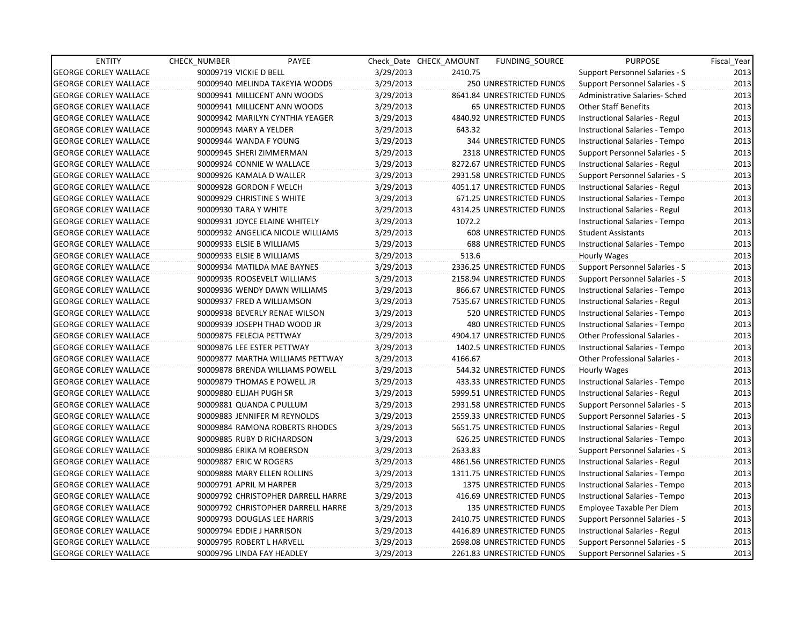| <b>ENTITY</b>                | CHECK_NUMBER            | PAYEE                              |           | Check Date CHECK AMOUNT | <b>FUNDING SOURCE</b>          | <b>PURPOSE</b>                        | Fiscal_Year |
|------------------------------|-------------------------|------------------------------------|-----------|-------------------------|--------------------------------|---------------------------------------|-------------|
| <b>GEORGE CORLEY WALLACE</b> | 90009719 VICKIE D BELL  |                                    | 3/29/2013 | 2410.75                 |                                | Support Personnel Salaries - S        | 2013        |
| <b>GEORGE CORLEY WALLACE</b> |                         | 90009940 MELINDA TAKEYIA WOODS     | 3/29/2013 |                         | 250 UNRESTRICTED FUNDS         | Support Personnel Salaries - S        | 2013        |
| <b>GEORGE CORLEY WALLACE</b> |                         | 90009941 MILLICENT ANN WOODS       | 3/29/2013 |                         | 8641.84 UNRESTRICTED FUNDS     | Administrative Salaries- Sched        | 2013        |
| <b>GEORGE CORLEY WALLACE</b> |                         | 90009941 MILLICENT ANN WOODS       | 3/29/2013 |                         | <b>65 UNRESTRICTED FUNDS</b>   | <b>Other Staff Benefits</b>           | 2013        |
| <b>GEORGE CORLEY WALLACE</b> |                         | 90009942 MARILYN CYNTHIA YEAGER    | 3/29/2013 |                         | 4840.92 UNRESTRICTED FUNDS     | Instructional Salaries - Regul        | 2013        |
| <b>GEORGE CORLEY WALLACE</b> | 90009943 MARY A YELDER  |                                    | 3/29/2013 | 643.32                  |                                | Instructional Salaries - Tempo        | 2013        |
| <b>GEORGE CORLEY WALLACE</b> |                         | 90009944 WANDA F YOUNG             | 3/29/2013 |                         | 344 UNRESTRICTED FUNDS         | Instructional Salaries - Tempo        | 2013        |
| <b>GEORGE CORLEY WALLACE</b> |                         | 90009945 SHERI ZIMMERMAN           | 3/29/2013 |                         | 2318 UNRESTRICTED FUNDS        | Support Personnel Salaries - S        | 2013        |
| <b>GEORGE CORLEY WALLACE</b> |                         | 90009924 CONNIE W WALLACE          | 3/29/2013 |                         | 8272.67 UNRESTRICTED FUNDS     | Instructional Salaries - Regul        | 2013        |
| <b>GEORGE CORLEY WALLACE</b> |                         | 90009926 KAMALA D WALLER           | 3/29/2013 |                         | 2931.58 UNRESTRICTED FUNDS     | Support Personnel Salaries - S        | 2013        |
| <b>GEORGE CORLEY WALLACE</b> |                         | 90009928 GORDON F WELCH            | 3/29/2013 |                         | 4051.17 UNRESTRICTED FUNDS     | Instructional Salaries - Regul        | 2013        |
| <b>GEORGE CORLEY WALLACE</b> |                         | 90009929 CHRISTINE S WHITE         | 3/29/2013 |                         | 671.25 UNRESTRICTED FUNDS      | Instructional Salaries - Tempo        | 2013        |
| <b>GEORGE CORLEY WALLACE</b> | 90009930 TARA Y WHITE   |                                    | 3/29/2013 |                         | 4314.25 UNRESTRICTED FUNDS     | Instructional Salaries - Regul        | 2013        |
| <b>GEORGE CORLEY WALLACE</b> |                         | 90009931 JOYCE ELAINE WHITELY      | 3/29/2013 | 1072.2                  |                                | Instructional Salaries - Tempo        | 2013        |
| <b>GEORGE CORLEY WALLACE</b> |                         | 90009932 ANGELICA NICOLE WILLIAMS  | 3/29/2013 |                         | 608 UNRESTRICTED FUNDS         | <b>Student Assistants</b>             | 2013        |
| <b>GEORGE CORLEY WALLACE</b> |                         | 90009933 ELSIE B WILLIAMS          | 3/29/2013 |                         | <b>688 UNRESTRICTED FUNDS</b>  | Instructional Salaries - Tempo        | 2013        |
| <b>GEORGE CORLEY WALLACE</b> |                         | 90009933 ELSIE B WILLIAMS          | 3/29/2013 | 513.6                   |                                | Hourly Wages                          | 2013        |
| <b>GEORGE CORLEY WALLACE</b> |                         | 90009934 MATILDA MAE BAYNES        | 3/29/2013 |                         | 2336.25 UNRESTRICTED FUNDS     | <b>Support Personnel Salaries - S</b> | 2013        |
| <b>GEORGE CORLEY WALLACE</b> |                         | 90009935 ROOSEVELT WILLIAMS        | 3/29/2013 |                         | 2158.94 UNRESTRICTED FUNDS     | Support Personnel Salaries - S        | 2013        |
| <b>GEORGE CORLEY WALLACE</b> |                         | 90009936 WENDY DAWN WILLIAMS       | 3/29/2013 |                         | 866.67 UNRESTRICTED FUNDS      | Instructional Salaries - Tempo        | 2013        |
| <b>GEORGE CORLEY WALLACE</b> |                         | 90009937 FRED A WILLIAMSON         | 3/29/2013 |                         | 7535.67 UNRESTRICTED FUNDS     | Instructional Salaries - Regul        | 2013        |
| <b>GEORGE CORLEY WALLACE</b> |                         | 90009938 BEVERLY RENAE WILSON      | 3/29/2013 |                         | 520 UNRESTRICTED FUNDS         | Instructional Salaries - Tempo        | 2013        |
| <b>GEORGE CORLEY WALLACE</b> |                         | 90009939 JOSEPH THAD WOOD JR       | 3/29/2013 |                         | 480 UNRESTRICTED FUNDS         | Instructional Salaries - Tempo        | 2013        |
| <b>GEORGE CORLEY WALLACE</b> |                         | 90009875 FELECIA PETTWAY           | 3/29/2013 |                         | 4904.17 UNRESTRICTED FUNDS     | <b>Other Professional Salaries -</b>  | 2013        |
| <b>GEORGE CORLEY WALLACE</b> |                         | 90009876 LEE ESTER PETTWAY         | 3/29/2013 |                         | 1402.5 UNRESTRICTED FUNDS      | Instructional Salaries - Tempo        | 2013        |
| <b>GEORGE CORLEY WALLACE</b> |                         | 90009877 MARTHA WILLIAMS PETTWAY   | 3/29/2013 | 4166.67                 |                                | <b>Other Professional Salaries -</b>  | 2013        |
| <b>GEORGE CORLEY WALLACE</b> |                         | 90009878 BRENDA WILLIAMS POWELL    | 3/29/2013 |                         | 544.32 UNRESTRICTED FUNDS      | Hourly Wages                          | 2013        |
| <b>GEORGE CORLEY WALLACE</b> |                         | 90009879 THOMAS E POWELL JR        | 3/29/2013 |                         | 433.33 UNRESTRICTED FUNDS      | Instructional Salaries - Tempo        | 2013        |
| <b>GEORGE CORLEY WALLACE</b> | 90009880 ELIJAH PUGH SR |                                    | 3/29/2013 |                         | 5999.51 UNRESTRICTED FUNDS     | Instructional Salaries - Regul        | 2013        |
| <b>GEORGE CORLEY WALLACE</b> |                         | 90009881 QUANDA C PULLUM           | 3/29/2013 |                         | 2931.58 UNRESTRICTED FUNDS     | Support Personnel Salaries - S        | 2013        |
| <b>GEORGE CORLEY WALLACE</b> |                         | 90009883 JENNIFER M REYNOLDS       | 3/29/2013 |                         | 2559.33 UNRESTRICTED FUNDS     | Support Personnel Salaries - S        | 2013        |
| <b>GEORGE CORLEY WALLACE</b> |                         | 90009884 RAMONA ROBERTS RHODES     | 3/29/2013 |                         | 5651.75 UNRESTRICTED FUNDS     | Instructional Salaries - Regul        | 2013        |
| <b>GEORGE CORLEY WALLACE</b> |                         | 90009885 RUBY D RICHARDSON         | 3/29/2013 |                         | 626.25 UNRESTRICTED FUNDS      | Instructional Salaries - Tempo        | 2013        |
| <b>GEORGE CORLEY WALLACE</b> |                         | 90009886 ERIKA M ROBERSON          | 3/29/2013 | 2633.83                 |                                | Support Personnel Salaries - S        | 2013        |
| <b>GEORGE CORLEY WALLACE</b> | 90009887 ERIC W ROGERS  |                                    | 3/29/2013 |                         | 4861.56 UNRESTRICTED FUNDS     | Instructional Salaries - Regul        | 2013        |
| <b>GEORGE CORLEY WALLACE</b> |                         | 90009888 MARY ELLEN ROLLINS        | 3/29/2013 |                         | 1311.75 UNRESTRICTED FUNDS     | Instructional Salaries - Tempo        | 2013        |
| <b>GEORGE CORLEY WALLACE</b> | 90009791 APRIL M HARPER |                                    | 3/29/2013 |                         | <b>1375 UNRESTRICTED FUNDS</b> | Instructional Salaries - Tempo        | 2013        |
| <b>GEORGE CORLEY WALLACE</b> |                         | 90009792 CHRISTOPHER DARRELL HARRE | 3/29/2013 |                         | 416.69 UNRESTRICTED FUNDS      | Instructional Salaries - Tempo        | 2013        |
| <b>GEORGE CORLEY WALLACE</b> |                         | 90009792 CHRISTOPHER DARRELL HARRE | 3/29/2013 |                         | 135 UNRESTRICTED FUNDS         | Employee Taxable Per Diem             | 2013        |
| <b>GEORGE CORLEY WALLACE</b> |                         | 90009793 DOUGLAS LEE HARRIS        | 3/29/2013 |                         | 2410.75 UNRESTRICTED FUNDS     | Support Personnel Salaries - S        | 2013        |
| <b>GEORGE CORLEY WALLACE</b> |                         | 90009794 EDDIE J HARRISON          | 3/29/2013 |                         | 4416.89 UNRESTRICTED FUNDS     | Instructional Salaries - Regul        | 2013        |
| <b>GEORGE CORLEY WALLACE</b> |                         | 90009795 ROBERT L HARVELL          | 3/29/2013 |                         | 2698.08 UNRESTRICTED FUNDS     | Support Personnel Salaries - S        | 2013        |
| <b>GEORGE CORLEY WALLACE</b> |                         | 90009796 LINDA FAY HEADLEY         | 3/29/2013 |                         | 2261.83 UNRESTRICTED FUNDS     | Support Personnel Salaries - S        | 2013        |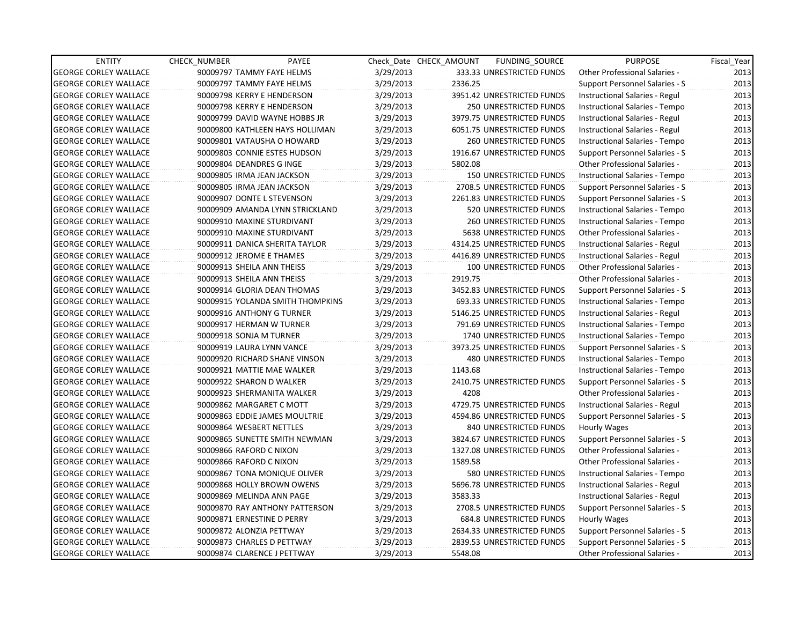| <b>ENTITY</b>                | <b>CHECK NUMBER</b>         | PAYEE                            |           | Check Date CHECK AMOUNT | FUNDING_SOURCE                | <b>PURPOSE</b>                       | Fiscal Year |
|------------------------------|-----------------------------|----------------------------------|-----------|-------------------------|-------------------------------|--------------------------------------|-------------|
| <b>GEORGE CORLEY WALLACE</b> | 90009797 TAMMY FAYE HELMS   |                                  | 3/29/2013 |                         | 333.33 UNRESTRICTED FUNDS     | Other Professional Salaries -        | 2013        |
| <b>GEORGE CORLEY WALLACE</b> | 90009797 TAMMY FAYE HELMS   |                                  | 3/29/2013 | 2336.25                 |                               | Support Personnel Salaries - S       | 2013        |
| <b>GEORGE CORLEY WALLACE</b> | 90009798 KERRY E HENDERSON  |                                  | 3/29/2013 |                         | 3951.42 UNRESTRICTED FUNDS    | Instructional Salaries - Regul       | 2013        |
| <b>GEORGE CORLEY WALLACE</b> | 90009798 KERRY E HENDERSON  |                                  | 3/29/2013 |                         | 250 UNRESTRICTED FUNDS        | Instructional Salaries - Tempo       | 2013        |
| <b>GEORGE CORLEY WALLACE</b> |                             | 90009799 DAVID WAYNE HOBBS JR    | 3/29/2013 |                         | 3979.75 UNRESTRICTED FUNDS    | Instructional Salaries - Regul       | 2013        |
| <b>GEORGE CORLEY WALLACE</b> |                             | 90009800 KATHLEEN HAYS HOLLIMAN  | 3/29/2013 |                         | 6051.75 UNRESTRICTED FUNDS    | Instructional Salaries - Regul       | 2013        |
| <b>GEORGE CORLEY WALLACE</b> | 90009801 VATAUSHA O HOWARD  |                                  | 3/29/2013 |                         | <b>260 UNRESTRICTED FUNDS</b> | Instructional Salaries - Tempo       | 2013        |
| <b>GEORGE CORLEY WALLACE</b> |                             | 90009803 CONNIE ESTES HUDSON     | 3/29/2013 |                         | 1916.67 UNRESTRICTED FUNDS    | Support Personnel Salaries - S       | 2013        |
| <b>GEORGE CORLEY WALLACE</b> | 90009804 DEANDRES G INGE    |                                  | 3/29/2013 | 5802.08                 |                               | <b>Other Professional Salaries -</b> | 2013        |
| <b>GEORGE CORLEY WALLACE</b> | 90009805 IRMA JEAN JACKSON  |                                  | 3/29/2013 |                         | 150 UNRESTRICTED FUNDS        | Instructional Salaries - Tempo       | 2013        |
| <b>GEORGE CORLEY WALLACE</b> | 90009805 IRMA JEAN JACKSON  |                                  | 3/29/2013 |                         | 2708.5 UNRESTRICTED FUNDS     | Support Personnel Salaries - S       | 2013        |
| <b>GEORGE CORLEY WALLACE</b> | 90009907 DONTE L STEVENSON  |                                  | 3/29/2013 |                         | 2261.83 UNRESTRICTED FUNDS    | Support Personnel Salaries - S       | 2013        |
| <b>GEORGE CORLEY WALLACE</b> |                             | 90009909 AMANDA LYNN STRICKLAND  | 3/29/2013 |                         | 520 UNRESTRICTED FUNDS        | Instructional Salaries - Tempo       | 2013        |
| <b>GEORGE CORLEY WALLACE</b> | 90009910 MAXINE STURDIVANT  |                                  | 3/29/2013 |                         | 260 UNRESTRICTED FUNDS        | Instructional Salaries - Tempo       | 2013        |
| <b>GEORGE CORLEY WALLACE</b> | 90009910 MAXINE STURDIVANT  |                                  | 3/29/2013 |                         | 5638 UNRESTRICTED FUNDS       | Other Professional Salaries -        | 2013        |
| <b>GEORGE CORLEY WALLACE</b> |                             | 90009911 DANICA SHERITA TAYLOR   | 3/29/2013 |                         | 4314.25 UNRESTRICTED FUNDS    | Instructional Salaries - Regul       | 2013        |
| <b>GEORGE CORLEY WALLACE</b> | 90009912 JEROME E THAMES    |                                  | 3/29/2013 |                         | 4416.89 UNRESTRICTED FUNDS    | Instructional Salaries - Regul       | 2013        |
| <b>GEORGE CORLEY WALLACE</b> | 90009913 SHEILA ANN THEISS  |                                  | 3/29/2013 |                         | 100 UNRESTRICTED FUNDS        | Other Professional Salaries -        | 2013        |
| <b>GEORGE CORLEY WALLACE</b> | 90009913 SHEILA ANN THEISS  |                                  | 3/29/2013 | 2919.75                 |                               | <b>Other Professional Salaries -</b> | 2013        |
| <b>GEORGE CORLEY WALLACE</b> | 90009914 GLORIA DEAN THOMAS |                                  | 3/29/2013 |                         | 3452.83 UNRESTRICTED FUNDS    | Support Personnel Salaries - S       | 2013        |
| <b>GEORGE CORLEY WALLACE</b> |                             | 90009915 YOLANDA SMITH THOMPKINS | 3/29/2013 |                         | 693.33 UNRESTRICTED FUNDS     | Instructional Salaries - Tempo       | 2013        |
| <b>GEORGE CORLEY WALLACE</b> | 90009916 ANTHONY G TURNER   |                                  | 3/29/2013 |                         | 5146.25 UNRESTRICTED FUNDS    | Instructional Salaries - Regul       | 2013        |
| <b>GEORGE CORLEY WALLACE</b> | 90009917 HERMAN W TURNER    |                                  | 3/29/2013 |                         | 791.69 UNRESTRICTED FUNDS     | Instructional Salaries - Tempo       | 2013        |
| <b>GEORGE CORLEY WALLACE</b> | 90009918 SONJA M TURNER     |                                  | 3/29/2013 |                         | 1740 UNRESTRICTED FUNDS       | Instructional Salaries - Tempo       | 2013        |
| <b>GEORGE CORLEY WALLACE</b> | 90009919 LAURA LYNN VANCE   |                                  | 3/29/2013 |                         | 3973.25 UNRESTRICTED FUNDS    | Support Personnel Salaries - S       | 2013        |
| <b>GEORGE CORLEY WALLACE</b> |                             | 90009920 RICHARD SHANE VINSON    | 3/29/2013 |                         | 480 UNRESTRICTED FUNDS        | Instructional Salaries - Tempo       | 2013        |
| <b>GEORGE CORLEY WALLACE</b> | 90009921 MATTIE MAE WALKER  |                                  | 3/29/2013 | 1143.68                 |                               | Instructional Salaries - Tempo       | 2013        |
| <b>GEORGE CORLEY WALLACE</b> | 90009922 SHARON D WALKER    |                                  | 3/29/2013 |                         | 2410.75 UNRESTRICTED FUNDS    | Support Personnel Salaries - S       | 2013        |
| <b>GEORGE CORLEY WALLACE</b> | 90009923 SHERMANITA WALKER  |                                  | 3/29/2013 | 4208                    |                               | Other Professional Salaries -        | 2013        |
| <b>GEORGE CORLEY WALLACE</b> | 90009862 MARGARET C MOTT    |                                  | 3/29/2013 |                         | 4729.75 UNRESTRICTED FUNDS    | Instructional Salaries - Regul       | 2013        |
| <b>GEORGE CORLEY WALLACE</b> |                             | 90009863 EDDIE JAMES MOULTRIE    | 3/29/2013 |                         | 4594.86 UNRESTRICTED FUNDS    | Support Personnel Salaries - S       | 2013        |
| <b>GEORGE CORLEY WALLACE</b> | 90009864 WESBERT NETTLES    |                                  | 3/29/2013 |                         | 840 UNRESTRICTED FUNDS        | Hourly Wages                         | 2013        |
| <b>GEORGE CORLEY WALLACE</b> |                             | 90009865 SUNETTE SMITH NEWMAN    | 3/29/2013 |                         | 3824.67 UNRESTRICTED FUNDS    | Support Personnel Salaries - S       | 2013        |
| <b>GEORGE CORLEY WALLACE</b> | 90009866 RAFORD C NIXON     |                                  | 3/29/2013 |                         | 1327.08 UNRESTRICTED FUNDS    | Other Professional Salaries -        | 2013        |
| <b>GEORGE CORLEY WALLACE</b> | 90009866 RAFORD C NIXON     |                                  | 3/29/2013 | 1589.58                 |                               | Other Professional Salaries -        | 2013        |
| <b>GEORGE CORLEY WALLACE</b> |                             | 90009867 TONA MONIQUE OLIVER     | 3/29/2013 |                         | 580 UNRESTRICTED FUNDS        | Instructional Salaries - Tempo       | 2013        |
| <b>GEORGE CORLEY WALLACE</b> | 90009868 HOLLY BROWN OWENS  |                                  | 3/29/2013 |                         | 5696.78 UNRESTRICTED FUNDS    | Instructional Salaries - Regul       | 2013        |
| <b>GEORGE CORLEY WALLACE</b> | 90009869 MELINDA ANN PAGE   |                                  | 3/29/2013 | 3583.33                 |                               | Instructional Salaries - Regul       | 2013        |
| <b>GEORGE CORLEY WALLACE</b> |                             | 90009870 RAY ANTHONY PATTERSON   | 3/29/2013 |                         | 2708.5 UNRESTRICTED FUNDS     | Support Personnel Salaries - S       | 2013        |
| <b>GEORGE CORLEY WALLACE</b> | 90009871 ERNESTINE D PERRY  |                                  | 3/29/2013 |                         | 684.8 UNRESTRICTED FUNDS      | Hourly Wages                         | 2013        |
| <b>GEORGE CORLEY WALLACE</b> | 90009872 ALONZIA PETTWAY    |                                  | 3/29/2013 |                         | 2634.33 UNRESTRICTED FUNDS    | Support Personnel Salaries - S       | 2013        |
| <b>GEORGE CORLEY WALLACE</b> | 90009873 CHARLES D PETTWAY  |                                  | 3/29/2013 |                         | 2839.53 UNRESTRICTED FUNDS    | Support Personnel Salaries - S       | 2013        |
| <b>GEORGE CORLEY WALLACE</b> | 90009874 CLARENCE J PETTWAY |                                  | 3/29/2013 | 5548.08                 |                               | <b>Other Professional Salaries -</b> | 2013        |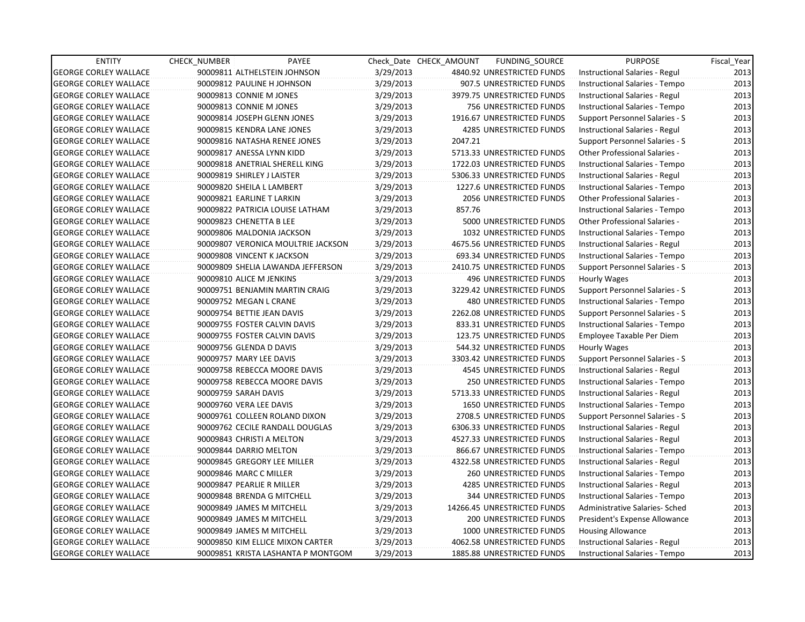| <b>ENTITY</b>                | <b>CHECK NUMBER</b>             | PAYEE                              |           | Check Date CHECK AMOUNT | FUNDING SOURCE                 | <b>PURPOSE</b>                        | Fiscal_Year |
|------------------------------|---------------------------------|------------------------------------|-----------|-------------------------|--------------------------------|---------------------------------------|-------------|
| <b>GEORGE CORLEY WALLACE</b> | 90009811 ALTHELSTEIN JOHNSON    |                                    | 3/29/2013 |                         | 4840.92 UNRESTRICTED FUNDS     | Instructional Salaries - Regul        | 2013        |
| <b>GEORGE CORLEY WALLACE</b> | 90009812 PAULINE H JOHNSON      |                                    | 3/29/2013 |                         | 907.5 UNRESTRICTED FUNDS       | Instructional Salaries - Tempo        | 2013        |
| <b>GEORGE CORLEY WALLACE</b> | 90009813 CONNIE M JONES         |                                    | 3/29/2013 |                         | 3979.75 UNRESTRICTED FUNDS     | Instructional Salaries - Regul        | 2013        |
| <b>GEORGE CORLEY WALLACE</b> | 90009813 CONNIE M JONES         |                                    | 3/29/2013 |                         | 756 UNRESTRICTED FUNDS         | Instructional Salaries - Tempo        | 2013        |
| <b>GEORGE CORLEY WALLACE</b> | 90009814 JOSEPH GLENN JONES     |                                    | 3/29/2013 |                         | 1916.67 UNRESTRICTED FUNDS     | Support Personnel Salaries - S        | 2013        |
| <b>GEORGE CORLEY WALLACE</b> | 90009815 KENDRA LANE JONES      |                                    | 3/29/2013 |                         | 4285 UNRESTRICTED FUNDS        | Instructional Salaries - Regul        | 2013        |
| <b>GEORGE CORLEY WALLACE</b> | 90009816 NATASHA RENEE JONES    |                                    | 3/29/2013 | 2047.21                 |                                | <b>Support Personnel Salaries - S</b> | 2013        |
| <b>GEORGE CORLEY WALLACE</b> | 90009817 ANESSA LYNN KIDD       |                                    | 3/29/2013 |                         | 5713.33 UNRESTRICTED FUNDS     | Other Professional Salaries -         | 2013        |
| <b>GEORGE CORLEY WALLACE</b> | 90009818 ANETRIAL SHERELL KING  |                                    | 3/29/2013 |                         | 1722.03 UNRESTRICTED FUNDS     | Instructional Salaries - Tempo        | 2013        |
| <b>GEORGE CORLEY WALLACE</b> | 90009819 SHIRLEY J LAISTER      |                                    | 3/29/2013 |                         | 5306.33 UNRESTRICTED FUNDS     | Instructional Salaries - Regul        | 2013        |
| <b>GEORGE CORLEY WALLACE</b> | 90009820 SHEILA L LAMBERT       |                                    | 3/29/2013 |                         | 1227.6 UNRESTRICTED FUNDS      | Instructional Salaries - Tempo        | 2013        |
| <b>GEORGE CORLEY WALLACE</b> | 90009821 EARLINE T LARKIN       |                                    | 3/29/2013 |                         | 2056 UNRESTRICTED FUNDS        | Other Professional Salaries -         | 2013        |
| <b>GEORGE CORLEY WALLACE</b> | 90009822 PATRICIA LOUISE LATHAM |                                    | 3/29/2013 | 857.76                  |                                | Instructional Salaries - Tempo        | 2013        |
| <b>GEORGE CORLEY WALLACE</b> | 90009823 CHENETTA B LEE         |                                    | 3/29/2013 |                         | 5000 UNRESTRICTED FUNDS        | Other Professional Salaries -         | 2013        |
| <b>GEORGE CORLEY WALLACE</b> | 90009806 MALDONIA JACKSON       |                                    | 3/29/2013 |                         | 1032 UNRESTRICTED FUNDS        | Instructional Salaries - Tempo        | 2013        |
| <b>GEORGE CORLEY WALLACE</b> |                                 | 90009807 VERONICA MOULTRIE JACKSON | 3/29/2013 |                         | 4675.56 UNRESTRICTED FUNDS     | Instructional Salaries - Regul        | 2013        |
| <b>GEORGE CORLEY WALLACE</b> | 90009808 VINCENT K JACKSON      |                                    | 3/29/2013 |                         | 693.34 UNRESTRICTED FUNDS      | Instructional Salaries - Tempo        | 2013        |
| <b>GEORGE CORLEY WALLACE</b> |                                 | 90009809 SHELIA LAWANDA JEFFERSON  | 3/29/2013 |                         | 2410.75 UNRESTRICTED FUNDS     | Support Personnel Salaries - S        | 2013        |
| <b>GEORGE CORLEY WALLACE</b> | 90009810 ALICE M JENKINS        |                                    | 3/29/2013 |                         | 496 UNRESTRICTED FUNDS         | Hourly Wages                          | 2013        |
| <b>GEORGE CORLEY WALLACE</b> | 90009751 BENJAMIN MARTIN CRAIG  |                                    | 3/29/2013 |                         | 3229.42 UNRESTRICTED FUNDS     | Support Personnel Salaries - S        | 2013        |
| <b>GEORGE CORLEY WALLACE</b> | 90009752 MEGAN L CRANE          |                                    | 3/29/2013 |                         | 480 UNRESTRICTED FUNDS         | Instructional Salaries - Tempo        | 2013        |
| <b>GEORGE CORLEY WALLACE</b> | 90009754 BETTIE JEAN DAVIS      |                                    | 3/29/2013 |                         | 2262.08 UNRESTRICTED FUNDS     | Support Personnel Salaries - S        | 2013        |
| <b>GEORGE CORLEY WALLACE</b> | 90009755 FOSTER CALVIN DAVIS    |                                    | 3/29/2013 |                         | 833.31 UNRESTRICTED FUNDS      | Instructional Salaries - Tempo        | 2013        |
| <b>GEORGE CORLEY WALLACE</b> | 90009755 FOSTER CALVIN DAVIS    |                                    | 3/29/2013 |                         | 123.75 UNRESTRICTED FUNDS      | Employee Taxable Per Diem             | 2013        |
| <b>GEORGE CORLEY WALLACE</b> | 90009756 GLENDA D DAVIS         |                                    | 3/29/2013 |                         | 544.32 UNRESTRICTED FUNDS      | Hourly Wages                          | 2013        |
| <b>GEORGE CORLEY WALLACE</b> | 90009757 MARY LEE DAVIS         |                                    | 3/29/2013 |                         | 3303.42 UNRESTRICTED FUNDS     | Support Personnel Salaries - S        | 2013        |
| <b>GEORGE CORLEY WALLACE</b> | 90009758 REBECCA MOORE DAVIS    |                                    | 3/29/2013 |                         | 4545 UNRESTRICTED FUNDS        | Instructional Salaries - Regul        | 2013        |
| <b>GEORGE CORLEY WALLACE</b> | 90009758 REBECCA MOORE DAVIS    |                                    | 3/29/2013 |                         | 250 UNRESTRICTED FUNDS         | Instructional Salaries - Tempo        | 2013        |
| <b>GEORGE CORLEY WALLACE</b> | 90009759 SARAH DAVIS            |                                    | 3/29/2013 |                         | 5713.33 UNRESTRICTED FUNDS     | Instructional Salaries - Regul        | 2013        |
| <b>GEORGE CORLEY WALLACE</b> | 90009760 VERA LEE DAVIS         |                                    | 3/29/2013 |                         | 1650 UNRESTRICTED FUNDS        | Instructional Salaries - Tempo        | 2013        |
| <b>GEORGE CORLEY WALLACE</b> | 90009761 COLLEEN ROLAND DIXON   |                                    | 3/29/2013 |                         | 2708.5 UNRESTRICTED FUNDS      | Support Personnel Salaries - S        | 2013        |
| <b>GEORGE CORLEY WALLACE</b> |                                 | 90009762 CECILE RANDALL DOUGLAS    | 3/29/2013 |                         | 6306.33 UNRESTRICTED FUNDS     | Instructional Salaries - Regul        | 2013        |
| <b>GEORGE CORLEY WALLACE</b> | 90009843 CHRISTI A MELTON       |                                    | 3/29/2013 |                         | 4527.33 UNRESTRICTED FUNDS     | Instructional Salaries - Regul        | 2013        |
| <b>GEORGE CORLEY WALLACE</b> | 90009844 DARRIO MELTON          |                                    | 3/29/2013 |                         | 866.67 UNRESTRICTED FUNDS      | Instructional Salaries - Tempo        | 2013        |
| <b>GEORGE CORLEY WALLACE</b> | 90009845 GREGORY LEE MILLER     |                                    | 3/29/2013 |                         | 4322.58 UNRESTRICTED FUNDS     | Instructional Salaries - Regul        | 2013        |
| <b>GEORGE CORLEY WALLACE</b> | 90009846 MARC C MILLER          |                                    | 3/29/2013 |                         | <b>260 UNRESTRICTED FUNDS</b>  | Instructional Salaries - Tempo        | 2013        |
| <b>GEORGE CORLEY WALLACE</b> | 90009847 PEARLIE R MILLER       |                                    | 3/29/2013 |                         | <b>4285 UNRESTRICTED FUNDS</b> | Instructional Salaries - Regul        | 2013        |
| <b>GEORGE CORLEY WALLACE</b> | 90009848 BRENDA G MITCHELL      |                                    | 3/29/2013 |                         | 344 UNRESTRICTED FUNDS         | Instructional Salaries - Tempo        | 2013        |
| <b>GEORGE CORLEY WALLACE</b> | 90009849 JAMES M MITCHELL       |                                    | 3/29/2013 |                         | 14266.45 UNRESTRICTED FUNDS    | Administrative Salaries- Sched        | 2013        |
| <b>GEORGE CORLEY WALLACE</b> | 90009849 JAMES M MITCHELL       |                                    | 3/29/2013 |                         | 200 UNRESTRICTED FUNDS         | President's Expense Allowance         | 2013        |
| <b>GEORGE CORLEY WALLACE</b> | 90009849 JAMES M MITCHELL       |                                    | 3/29/2013 |                         | 1000 UNRESTRICTED FUNDS        | <b>Housing Allowance</b>              | 2013        |
| <b>GEORGE CORLEY WALLACE</b> |                                 | 90009850 KIM ELLICE MIXON CARTER   | 3/29/2013 |                         | 4062.58 UNRESTRICTED FUNDS     | Instructional Salaries - Regul        | 2013        |
| <b>GEORGE CORLEY WALLACE</b> |                                 | 90009851 KRISTA LASHANTA P MONTGOM | 3/29/2013 |                         | 1885.88 UNRESTRICTED FUNDS     | Instructional Salaries - Tempo        | 2013        |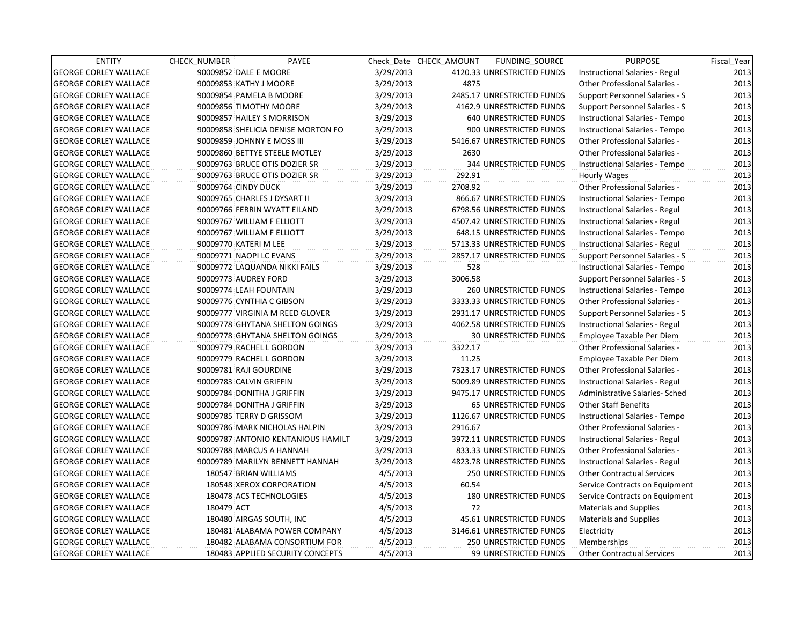| <b>ENTITY</b>                | <b>CHECK NUMBER</b>           | PAYEE                              |           | Check Date CHECK AMOUNT | FUNDING_SOURCE                | <b>PURPOSE</b>                       | Fiscal_Year |
|------------------------------|-------------------------------|------------------------------------|-----------|-------------------------|-------------------------------|--------------------------------------|-------------|
| <b>GEORGE CORLEY WALLACE</b> | 90009852 DALE E MOORE         |                                    | 3/29/2013 |                         | 4120.33 UNRESTRICTED FUNDS    | Instructional Salaries - Regul       | 2013        |
| <b>GEORGE CORLEY WALLACE</b> | 90009853 KATHY J MOORE        |                                    | 3/29/2013 | 4875                    |                               | Other Professional Salaries -        | 2013        |
| <b>GEORGE CORLEY WALLACE</b> | 90009854 PAMELA B MOORE       |                                    | 3/29/2013 |                         | 2485.17 UNRESTRICTED FUNDS    | Support Personnel Salaries - S       | 2013        |
| <b>GEORGE CORLEY WALLACE</b> | 90009856 TIMOTHY MOORE        |                                    | 3/29/2013 |                         | 4162.9 UNRESTRICTED FUNDS     | Support Personnel Salaries - S       | 2013        |
| <b>GEORGE CORLEY WALLACE</b> | 90009857 HAILEY S MORRISON    |                                    | 3/29/2013 |                         | 640 UNRESTRICTED FUNDS        | Instructional Salaries - Tempo       | 2013        |
| <b>GEORGE CORLEY WALLACE</b> |                               | 90009858 SHELICIA DENISE MORTON FO | 3/29/2013 |                         | 900 UNRESTRICTED FUNDS        | Instructional Salaries - Tempo       | 2013        |
| <b>GEORGE CORLEY WALLACE</b> | 90009859 JOHNNY E MOSS III    |                                    | 3/29/2013 |                         | 5416.67 UNRESTRICTED FUNDS    | <b>Other Professional Salaries -</b> | 2013        |
| <b>GEORGE CORLEY WALLACE</b> |                               | 90009860 BETTYE STEELE MOTLEY      | 3/29/2013 | 2630                    |                               | Other Professional Salaries -        | 2013        |
| <b>GEORGE CORLEY WALLACE</b> | 90009763 BRUCE OTIS DOZIER SR |                                    | 3/29/2013 |                         | 344 UNRESTRICTED FUNDS        | Instructional Salaries - Tempo       | 2013        |
| <b>GEORGE CORLEY WALLACE</b> | 90009763 BRUCE OTIS DOZIER SR |                                    | 3/29/2013 | 292.91                  |                               | Hourly Wages                         | 2013        |
| <b>GEORGE CORLEY WALLACE</b> | 90009764 CINDY DUCK           |                                    | 3/29/2013 | 2708.92                 |                               | Other Professional Salaries -        | 2013        |
| <b>GEORGE CORLEY WALLACE</b> | 90009765 CHARLES J DYSART II  |                                    | 3/29/2013 |                         | 866.67 UNRESTRICTED FUNDS     | Instructional Salaries - Tempo       | 2013        |
| <b>GEORGE CORLEY WALLACE</b> | 90009766 FERRIN WYATT EILAND  |                                    | 3/29/2013 |                         | 6798.56 UNRESTRICTED FUNDS    | Instructional Salaries - Regul       | 2013        |
| <b>GEORGE CORLEY WALLACE</b> | 90009767 WILLIAM F ELLIOTT    |                                    | 3/29/2013 |                         | 4507.42 UNRESTRICTED FUNDS    | Instructional Salaries - Regul       | 2013        |
| <b>GEORGE CORLEY WALLACE</b> | 90009767 WILLIAM F ELLIOTT    |                                    | 3/29/2013 |                         | 648.15 UNRESTRICTED FUNDS     | Instructional Salaries - Tempo       | 2013        |
| <b>GEORGE CORLEY WALLACE</b> | 90009770 KATERI M LEE         |                                    | 3/29/2013 |                         | 5713.33 UNRESTRICTED FUNDS    | Instructional Salaries - Regul       | 2013        |
| <b>GEORGE CORLEY WALLACE</b> | 90009771 NAOPI LC EVANS       |                                    | 3/29/2013 |                         | 2857.17 UNRESTRICTED FUNDS    | Support Personnel Salaries - S       | 2013        |
| <b>GEORGE CORLEY WALLACE</b> | 90009772 LAQUANDA NIKKI FAILS |                                    | 3/29/2013 | 528                     |                               | Instructional Salaries - Tempo       | 2013        |
| <b>GEORGE CORLEY WALLACE</b> | 90009773 AUDREY FORD          |                                    | 3/29/2013 | 3006.58                 |                               | Support Personnel Salaries - S       | 2013        |
| <b>GEORGE CORLEY WALLACE</b> | 90009774 LEAH FOUNTAIN        |                                    | 3/29/2013 |                         | 260 UNRESTRICTED FUNDS        | Instructional Salaries - Tempo       | 2013        |
| <b>GEORGE CORLEY WALLACE</b> | 90009776 CYNTHIA C GIBSON     |                                    | 3/29/2013 |                         | 3333.33 UNRESTRICTED FUNDS    | Other Professional Salaries -        | 2013        |
| <b>GEORGE CORLEY WALLACE</b> |                               | 90009777 VIRGINIA M REED GLOVER    | 3/29/2013 |                         | 2931.17 UNRESTRICTED FUNDS    | Support Personnel Salaries - S       | 2013        |
| <b>GEORGE CORLEY WALLACE</b> |                               | 90009778 GHYTANA SHELTON GOINGS    | 3/29/2013 |                         | 4062.58 UNRESTRICTED FUNDS    | Instructional Salaries - Regul       | 2013        |
| <b>GEORGE CORLEY WALLACE</b> |                               | 90009778 GHYTANA SHELTON GOINGS    | 3/29/2013 |                         | <b>30 UNRESTRICTED FUNDS</b>  | Employee Taxable Per Diem            | 2013        |
| <b>GEORGE CORLEY WALLACE</b> | 90009779 RACHEL L GORDON      |                                    | 3/29/2013 | 3322.17                 |                               | <b>Other Professional Salaries -</b> | 2013        |
| <b>GEORGE CORLEY WALLACE</b> | 90009779 RACHEL L GORDON      |                                    | 3/29/2013 | 11.25                   |                               | Employee Taxable Per Diem            | 2013        |
| <b>GEORGE CORLEY WALLACE</b> | 90009781 RAJI GOURDINE        |                                    | 3/29/2013 |                         | 7323.17 UNRESTRICTED FUNDS    | Other Professional Salaries -        | 2013        |
| <b>GEORGE CORLEY WALLACE</b> | 90009783 CALVIN GRIFFIN       |                                    | 3/29/2013 |                         | 5009.89 UNRESTRICTED FUNDS    | Instructional Salaries - Regul       | 2013        |
| <b>GEORGE CORLEY WALLACE</b> | 90009784 DONITHA J GRIFFIN    |                                    | 3/29/2013 |                         | 9475.17 UNRESTRICTED FUNDS    | Administrative Salaries- Sched       | 2013        |
| <b>GEORGE CORLEY WALLACE</b> | 90009784 DONITHA J GRIFFIN    |                                    | 3/29/2013 |                         | <b>65 UNRESTRICTED FUNDS</b>  | Other Staff Benefits                 | 2013        |
| <b>GEORGE CORLEY WALLACE</b> | 90009785 TERRY D GRISSOM      |                                    | 3/29/2013 |                         | 1126.67 UNRESTRICTED FUNDS    | Instructional Salaries - Tempo       | 2013        |
| <b>GEORGE CORLEY WALLACE</b> |                               | 90009786 MARK NICHOLAS HALPIN      | 3/29/2013 | 2916.67                 |                               | Other Professional Salaries -        | 2013        |
| <b>GEORGE CORLEY WALLACE</b> |                               | 90009787 ANTONIO KENTANIOUS HAMILT | 3/29/2013 |                         | 3972.11 UNRESTRICTED FUNDS    | Instructional Salaries - Regul       | 2013        |
| <b>GEORGE CORLEY WALLACE</b> | 90009788 MARCUS A HANNAH      |                                    | 3/29/2013 |                         | 833.33 UNRESTRICTED FUNDS     | Other Professional Salaries -        | 2013        |
| <b>GEORGE CORLEY WALLACE</b> |                               | 90009789 MARILYN BENNETT HANNAH    | 3/29/2013 |                         | 4823.78 UNRESTRICTED FUNDS    | Instructional Salaries - Regul       | 2013        |
| <b>GEORGE CORLEY WALLACE</b> | 180547 BRIAN WILLIAMS         |                                    | 4/5/2013  |                         | <b>250 UNRESTRICTED FUNDS</b> | <b>Other Contractual Services</b>    | 2013        |
| <b>GEORGE CORLEY WALLACE</b> |                               | 180548 XEROX CORPORATION           | 4/5/2013  | 60.54                   |                               | Service Contracts on Equipment       | 2013        |
| <b>GEORGE CORLEY WALLACE</b> | 180478 ACS TECHNOLOGIES       |                                    | 4/5/2013  |                         | 180 UNRESTRICTED FUNDS        | Service Contracts on Equipment       | 2013        |
| <b>GEORGE CORLEY WALLACE</b> | 180479 ACT                    |                                    | 4/5/2013  | 72                      |                               | <b>Materials and Supplies</b>        | 2013        |
| <b>GEORGE CORLEY WALLACE</b> | 180480 AIRGAS SOUTH, INC      |                                    | 4/5/2013  |                         | 45.61 UNRESTRICTED FUNDS      | <b>Materials and Supplies</b>        | 2013        |
| <b>GEORGE CORLEY WALLACE</b> |                               | 180481 ALABAMA POWER COMPANY       | 4/5/2013  |                         | 3146.61 UNRESTRICTED FUNDS    | Electricity                          | 2013        |
| <b>GEORGE CORLEY WALLACE</b> |                               | 180482 ALABAMA CONSORTIUM FOR      | 4/5/2013  |                         | 250 UNRESTRICTED FUNDS        | Memberships                          | 2013        |
| <b>GEORGE CORLEY WALLACE</b> |                               | 180483 APPLIED SECURITY CONCEPTS   | 4/5/2013  |                         | 99 UNRESTRICTED FUNDS         | <b>Other Contractual Services</b>    | 2013        |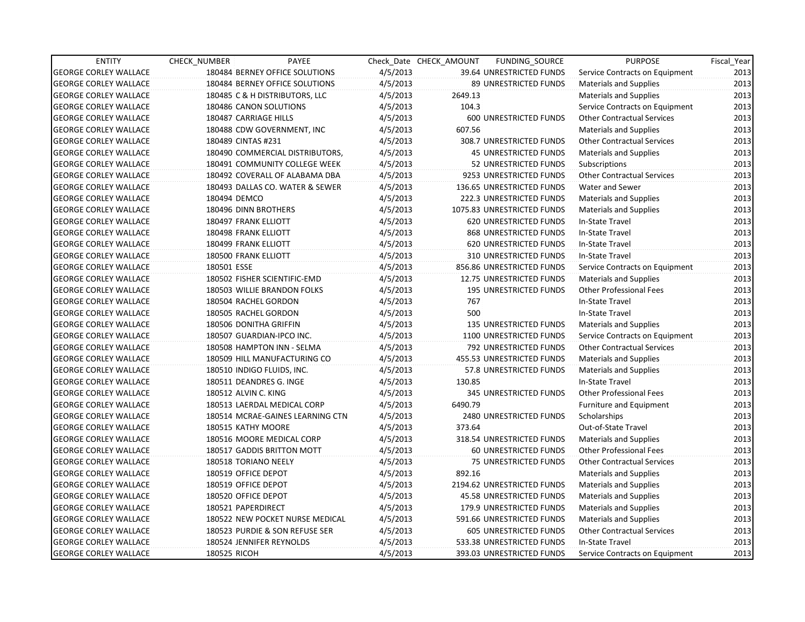| <b>ENTITY</b>                | CHECK NUMBER               | PAYEE                            |          | Check Date CHECK AMOUNT | FUNDING_SOURCE                  | <b>PURPOSE</b>                    | Fiscal_Year |
|------------------------------|----------------------------|----------------------------------|----------|-------------------------|---------------------------------|-----------------------------------|-------------|
| <b>GEORGE CORLEY WALLACE</b> |                            | 180484 BERNEY OFFICE SOLUTIONS   | 4/5/2013 |                         | 39.64 UNRESTRICTED FUNDS        | Service Contracts on Equipment    | 2013        |
| <b>GEORGE CORLEY WALLACE</b> |                            | 180484 BERNEY OFFICE SOLUTIONS   | 4/5/2013 |                         | 89 UNRESTRICTED FUNDS           | Materials and Supplies            | 2013        |
| <b>GEORGE CORLEY WALLACE</b> |                            | 180485 C & H DISTRIBUTORS, LLC   | 4/5/2013 | 2649.13                 |                                 | <b>Materials and Supplies</b>     | 2013        |
| <b>GEORGE CORLEY WALLACE</b> | 180486 CANON SOLUTIONS     |                                  | 4/5/2013 | 104.3                   |                                 | Service Contracts on Equipment    | 2013        |
| <b>GEORGE CORLEY WALLACE</b> | 180487 CARRIAGE HILLS      |                                  | 4/5/2013 |                         | 600 UNRESTRICTED FUNDS          | <b>Other Contractual Services</b> | 2013        |
| <b>GEORGE CORLEY WALLACE</b> |                            | 180488 CDW GOVERNMENT, INC       | 4/5/2013 | 607.56                  |                                 | <b>Materials and Supplies</b>     | 2013        |
| <b>GEORGE CORLEY WALLACE</b> | 180489 CINTAS #231         |                                  | 4/5/2013 |                         | 308.7 UNRESTRICTED FUNDS        | <b>Other Contractual Services</b> | 2013        |
| <b>GEORGE CORLEY WALLACE</b> |                            | 180490 COMMERCIAL DISTRIBUTORS,  | 4/5/2013 |                         | <b>45 UNRESTRICTED FUNDS</b>    | <b>Materials and Supplies</b>     | 2013        |
| <b>GEORGE CORLEY WALLACE</b> |                            | 180491 COMMUNITY COLLEGE WEEK    | 4/5/2013 |                         | 52 UNRESTRICTED FUNDS           | Subscriptions                     | 2013        |
| <b>GEORGE CORLEY WALLACE</b> |                            | 180492 COVERALL OF ALABAMA DBA   | 4/5/2013 |                         | 9253 UNRESTRICTED FUNDS         | <b>Other Contractual Services</b> | 2013        |
| <b>GEORGE CORLEY WALLACE</b> |                            | 180493 DALLAS CO. WATER & SEWER  | 4/5/2013 |                         | 136.65 UNRESTRICTED FUNDS       | Water and Sewer                   | 2013        |
| <b>GEORGE CORLEY WALLACE</b> | 180494 DEMCO               |                                  | 4/5/2013 |                         | 222.3 UNRESTRICTED FUNDS        | <b>Materials and Supplies</b>     | 2013        |
| <b>GEORGE CORLEY WALLACE</b> | 180496 DINN BROTHERS       |                                  | 4/5/2013 |                         | 1075.83 UNRESTRICTED FUNDS      | Materials and Supplies            | 2013        |
| <b>GEORGE CORLEY WALLACE</b> | 180497 FRANK ELLIOTT       |                                  | 4/5/2013 |                         | 620 UNRESTRICTED FUNDS          | In-State Travel                   | 2013        |
| <b>GEORGE CORLEY WALLACE</b> | 180498 FRANK ELLIOTT       |                                  | 4/5/2013 |                         | 868 UNRESTRICTED FUNDS          | In-State Travel                   | 2013        |
| <b>GEORGE CORLEY WALLACE</b> | 180499 FRANK ELLIOTT       |                                  | 4/5/2013 |                         | <b>620 UNRESTRICTED FUNDS</b>   | In-State Travel                   | 2013        |
| <b>GEORGE CORLEY WALLACE</b> | 180500 FRANK ELLIOTT       |                                  | 4/5/2013 |                         | 310 UNRESTRICTED FUNDS          | In-State Travel                   | 2013        |
| <b>GEORGE CORLEY WALLACE</b> | 180501 ESSE                |                                  | 4/5/2013 |                         | 856.86 UNRESTRICTED FUNDS       | Service Contracts on Equipment    | 2013        |
| <b>GEORGE CORLEY WALLACE</b> |                            | 180502 FISHER SCIENTIFIC-EMD     | 4/5/2013 |                         | 12.75 UNRESTRICTED FUNDS        | <b>Materials and Supplies</b>     | 2013        |
| <b>GEORGE CORLEY WALLACE</b> |                            | 180503 WILLIE BRANDON FOLKS      | 4/5/2013 |                         | <b>195 UNRESTRICTED FUNDS</b>   | <b>Other Professional Fees</b>    | 2013        |
| <b>GEORGE CORLEY WALLACE</b> | 180504 RACHEL GORDON       |                                  | 4/5/2013 | 767                     |                                 | In-State Travel                   | 2013        |
| <b>GEORGE CORLEY WALLACE</b> | 180505 RACHEL GORDON       |                                  | 4/5/2013 | 500                     |                                 | In-State Travel                   | 2013        |
| <b>GEORGE CORLEY WALLACE</b> | 180506 DONITHA GRIFFIN     |                                  | 4/5/2013 |                         | 135 UNRESTRICTED FUNDS          | Materials and Supplies            | 2013        |
| <b>GEORGE CORLEY WALLACE</b> | 180507 GUARDIAN-IPCO INC.  |                                  | 4/5/2013 |                         | 1100 UNRESTRICTED FUNDS         | Service Contracts on Equipment    | 2013        |
| <b>GEORGE CORLEY WALLACE</b> |                            | 180508 HAMPTON INN - SELMA       | 4/5/2013 |                         | 792 UNRESTRICTED FUNDS          | <b>Other Contractual Services</b> | 2013        |
| <b>GEORGE CORLEY WALLACE</b> |                            | 180509 HILL MANUFACTURING CO     | 4/5/2013 |                         | 455.53 UNRESTRICTED FUNDS       | Materials and Supplies            | 2013        |
| <b>GEORGE CORLEY WALLACE</b> | 180510 INDIGO FLUIDS, INC. |                                  | 4/5/2013 |                         | 57.8 UNRESTRICTED FUNDS         | Materials and Supplies            | 2013        |
| <b>GEORGE CORLEY WALLACE</b> | 180511 DEANDRES G. INGE    |                                  | 4/5/2013 | 130.85                  |                                 | In-State Travel                   | 2013        |
| <b>GEORGE CORLEY WALLACE</b> | 180512 ALVIN C. KING       |                                  | 4/5/2013 |                         | 345 UNRESTRICTED FUNDS          | <b>Other Professional Fees</b>    | 2013        |
| <b>GEORGE CORLEY WALLACE</b> |                            | 180513 LAERDAL MEDICAL CORP      | 4/5/2013 | 6490.79                 |                                 | Furniture and Equipment           | 2013        |
| <b>GEORGE CORLEY WALLACE</b> |                            | 180514 MCRAE-GAINES LEARNING CTN | 4/5/2013 |                         | <b>2480 UNRESTRICTED FUNDS</b>  | Scholarships                      | 2013        |
| <b>GEORGE CORLEY WALLACE</b> | 180515 KATHY MOORE         |                                  | 4/5/2013 | 373.64                  |                                 | Out-of-State Travel               | 2013        |
| <b>GEORGE CORLEY WALLACE</b> |                            | 180516 MOORE MEDICAL CORP        | 4/5/2013 |                         | 318.54 UNRESTRICTED FUNDS       | <b>Materials and Supplies</b>     | 2013        |
| <b>GEORGE CORLEY WALLACE</b> |                            | 180517 GADDIS BRITTON MOTT       | 4/5/2013 |                         | 60 UNRESTRICTED FUNDS           | <b>Other Professional Fees</b>    | 2013        |
| <b>GEORGE CORLEY WALLACE</b> | 180518 TORIANO NEELY       |                                  | 4/5/2013 |                         | 75 UNRESTRICTED FUNDS           | <b>Other Contractual Services</b> | 2013        |
| <b>GEORGE CORLEY WALLACE</b> | 180519 OFFICE DEPOT        |                                  | 4/5/2013 | 892.16                  |                                 | Materials and Supplies            | 2013        |
| <b>GEORGE CORLEY WALLACE</b> | 180519 OFFICE DEPOT        |                                  | 4/5/2013 |                         | 2194.62 UNRESTRICTED FUNDS      | <b>Materials and Supplies</b>     | 2013        |
| <b>GEORGE CORLEY WALLACE</b> | 180520 OFFICE DEPOT        |                                  | 4/5/2013 |                         | <b>45.58 UNRESTRICTED FUNDS</b> | <b>Materials and Supplies</b>     | 2013        |
| <b>GEORGE CORLEY WALLACE</b> | 180521 PAPERDIRECT         |                                  | 4/5/2013 |                         | 179.9 UNRESTRICTED FUNDS        | Materials and Supplies            | 2013        |
| <b>GEORGE CORLEY WALLACE</b> |                            | 180522 NEW POCKET NURSE MEDICAL  | 4/5/2013 |                         | 591.66 UNRESTRICTED FUNDS       | <b>Materials and Supplies</b>     | 2013        |
| <b>GEORGE CORLEY WALLACE</b> |                            | 180523 PURDIE & SON REFUSE SER   | 4/5/2013 |                         | 605 UNRESTRICTED FUNDS          | <b>Other Contractual Services</b> | 2013        |
| <b>GEORGE CORLEY WALLACE</b> | 180524 JENNIFER REYNOLDS   |                                  | 4/5/2013 |                         | 533.38 UNRESTRICTED FUNDS       | In-State Travel                   | 2013        |
| <b>GEORGE CORLEY WALLACE</b> | 180525 RICOH               |                                  | 4/5/2013 |                         | 393.03 UNRESTRICTED FUNDS       | Service Contracts on Equipment    | 2013        |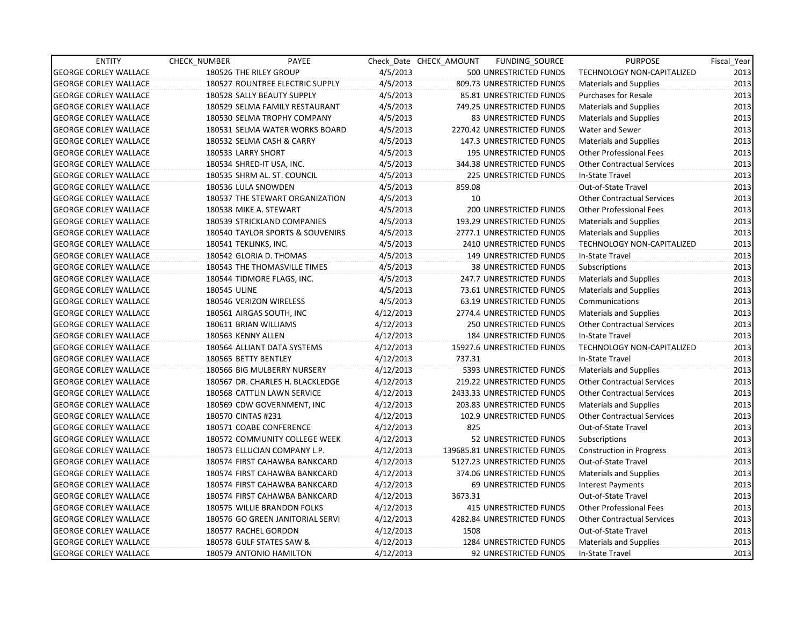| <b>ENTITY</b>                | <b>CHECK NUMBER</b>   | PAYEE                            |           | Check Date CHECK AMOUNT | FUNDING_SOURCE                | <b>PURPOSE</b>                    | Fiscal Year |
|------------------------------|-----------------------|----------------------------------|-----------|-------------------------|-------------------------------|-----------------------------------|-------------|
| <b>GEORGE CORLEY WALLACE</b> |                       | 180526 THE RILEY GROUP           | 4/5/2013  |                         | 500 UNRESTRICTED FUNDS        | TECHNOLOGY NON-CAPITALIZED        | 2013        |
| <b>GEORGE CORLEY WALLACE</b> |                       | 180527 ROUNTREE ELECTRIC SUPPLY  | 4/5/2013  |                         | 809.73 UNRESTRICTED FUNDS     | <b>Materials and Supplies</b>     | 2013        |
| <b>GEORGE CORLEY WALLACE</b> |                       | 180528 SALLY BEAUTY SUPPLY       | 4/5/2013  |                         | 85.81 UNRESTRICTED FUNDS      | <b>Purchases for Resale</b>       | 2013        |
| <b>GEORGE CORLEY WALLACE</b> |                       | 180529 SELMA FAMILY RESTAURANT   | 4/5/2013  |                         | 749.25 UNRESTRICTED FUNDS     | <b>Materials and Supplies</b>     | 2013        |
| <b>GEORGE CORLEY WALLACE</b> |                       | 180530 SELMA TROPHY COMPANY      | 4/5/2013  |                         | 83 UNRESTRICTED FUNDS         | <b>Materials and Supplies</b>     | 2013        |
| <b>GEORGE CORLEY WALLACE</b> |                       | 180531 SELMA WATER WORKS BOARD   | 4/5/2013  |                         | 2270.42 UNRESTRICTED FUNDS    | Water and Sewer                   | 2013        |
| <b>GEORGE CORLEY WALLACE</b> |                       | 180532 SELMA CASH & CARRY        | 4/5/2013  |                         | 147.3 UNRESTRICTED FUNDS      | <b>Materials and Supplies</b>     | 2013        |
| <b>GEORGE CORLEY WALLACE</b> | 180533 LARRY SHORT    |                                  | 4/5/2013  |                         | <b>195 UNRESTRICTED FUNDS</b> | <b>Other Professional Fees</b>    | 2013        |
| <b>GEORGE CORLEY WALLACE</b> |                       | 180534 SHRED-IT USA, INC.        | 4/5/2013  |                         | 344.38 UNRESTRICTED FUNDS     | <b>Other Contractual Services</b> | 2013        |
| <b>GEORGE CORLEY WALLACE</b> |                       | 180535 SHRM AL. ST. COUNCIL      | 4/5/2013  |                         | 225 UNRESTRICTED FUNDS        | In-State Travel                   | 2013        |
| <b>GEORGE CORLEY WALLACE</b> | 180536 LULA SNOWDEN   |                                  | 4/5/2013  | 859.08                  |                               | Out-of-State Travel               | 2013        |
| <b>GEORGE CORLEY WALLACE</b> |                       | 180537 THE STEWART ORGANIZATION  | 4/5/2013  | 10                      |                               | <b>Other Contractual Services</b> | 2013        |
| <b>GEORGE CORLEY WALLACE</b> |                       | 180538 MIKE A. STEWART           | 4/5/2013  |                         | 200 UNRESTRICTED FUNDS        | <b>Other Professional Fees</b>    | 2013        |
| <b>GEORGE CORLEY WALLACE</b> |                       | 180539 STRICKLAND COMPANIES      | 4/5/2013  |                         | 193.29 UNRESTRICTED FUNDS     | <b>Materials and Supplies</b>     | 2013        |
| <b>GEORGE CORLEY WALLACE</b> |                       | 180540 TAYLOR SPORTS & SOUVENIRS | 4/5/2013  |                         | 2777.1 UNRESTRICTED FUNDS     | <b>Materials and Supplies</b>     | 2013        |
| <b>GEORGE CORLEY WALLACE</b> | 180541 TEKLINKS, INC. |                                  | 4/5/2013  |                         | 2410 UNRESTRICTED FUNDS       | TECHNOLOGY NON-CAPITALIZED        | 2013        |
| <b>GEORGE CORLEY WALLACE</b> |                       | 180542 GLORIA D. THOMAS          | 4/5/2013  |                         | 149 UNRESTRICTED FUNDS        | In-State Travel                   | 2013        |
| <b>GEORGE CORLEY WALLACE</b> |                       | 180543 THE THOMASVILLE TIMES     | 4/5/2013  |                         | <b>38 UNRESTRICTED FUNDS</b>  | Subscriptions                     | 2013        |
| <b>GEORGE CORLEY WALLACE</b> |                       | 180544 TIDMORE FLAGS, INC.       | 4/5/2013  |                         | 247.7 UNRESTRICTED FUNDS      | <b>Materials and Supplies</b>     | 2013        |
| <b>GEORGE CORLEY WALLACE</b> | 180545 ULINE          |                                  | 4/5/2013  |                         | 73.61 UNRESTRICTED FUNDS      | <b>Materials and Supplies</b>     | 2013        |
| <b>GEORGE CORLEY WALLACE</b> |                       | 180546 VERIZON WIRELESS          | 4/5/2013  |                         | 63.19 UNRESTRICTED FUNDS      | Communications                    | 2013        |
| <b>GEORGE CORLEY WALLACE</b> |                       | 180561 AIRGAS SOUTH, INC         | 4/12/2013 |                         | 2774.4 UNRESTRICTED FUNDS     | <b>Materials and Supplies</b>     | 2013        |
| <b>GEORGE CORLEY WALLACE</b> | 180611 BRIAN WILLIAMS |                                  | 4/12/2013 |                         | 250 UNRESTRICTED FUNDS        | <b>Other Contractual Services</b> | 2013        |
| <b>GEORGE CORLEY WALLACE</b> | 180563 KENNY ALLEN    |                                  | 4/12/2013 |                         | 184 UNRESTRICTED FUNDS        | In-State Travel                   | 2013        |
| <b>GEORGE CORLEY WALLACE</b> |                       | 180564 ALLIANT DATA SYSTEMS      | 4/12/2013 |                         | 15927.6 UNRESTRICTED FUNDS    | TECHNOLOGY NON-CAPITALIZED        | 2013        |
| <b>GEORGE CORLEY WALLACE</b> | 180565 BETTY BENTLEY  |                                  | 4/12/2013 | 737.31                  |                               | In-State Travel                   | 2013        |
| <b>GEORGE CORLEY WALLACE</b> |                       | 180566 BIG MULBERRY NURSERY      | 4/12/2013 |                         | 5393 UNRESTRICTED FUNDS       | Materials and Supplies            | 2013        |
| <b>GEORGE CORLEY WALLACE</b> |                       | 180567 DR. CHARLES H. BLACKLEDGE | 4/12/2013 |                         | 219.22 UNRESTRICTED FUNDS     | <b>Other Contractual Services</b> | 2013        |
| <b>GEORGE CORLEY WALLACE</b> |                       | 180568 CATTLIN LAWN SERVICE      | 4/12/2013 |                         | 2433.33 UNRESTRICTED FUNDS    | <b>Other Contractual Services</b> | 2013        |
| <b>GEORGE CORLEY WALLACE</b> |                       | 180569 CDW GOVERNMENT, INC       | 4/12/2013 |                         | 203.83 UNRESTRICTED FUNDS     | <b>Materials and Supplies</b>     | 2013        |
| <b>GEORGE CORLEY WALLACE</b> | 180570 CINTAS #231    |                                  | 4/12/2013 |                         | 102.9 UNRESTRICTED FUNDS      | <b>Other Contractual Services</b> | 2013        |
| <b>GEORGE CORLEY WALLACE</b> |                       | 180571 COABE CONFERENCE          | 4/12/2013 | 825                     |                               | Out-of-State Travel               | 2013        |
| <b>GEORGE CORLEY WALLACE</b> |                       | 180572 COMMUNITY COLLEGE WEEK    | 4/12/2013 |                         | 52 UNRESTRICTED FUNDS         | Subscriptions                     | 2013        |
| <b>GEORGE CORLEY WALLACE</b> |                       | 180573 ELLUCIAN COMPANY L.P.     | 4/12/2013 |                         | 139685.81 UNRESTRICTED FUNDS  | <b>Construction in Progress</b>   | 2013        |
| <b>GEORGE CORLEY WALLACE</b> |                       | 180574 FIRST CAHAWBA BANKCARD    | 4/12/2013 |                         | 5127.23 UNRESTRICTED FUNDS    | Out-of-State Travel               | 2013        |
| <b>GEORGE CORLEY WALLACE</b> |                       | 180574 FIRST CAHAWBA BANKCARD    | 4/12/2013 |                         | 374.06 UNRESTRICTED FUNDS     | Materials and Supplies            | 2013        |
| <b>GEORGE CORLEY WALLACE</b> |                       | 180574 FIRST CAHAWBA BANKCARD    | 4/12/2013 |                         | 69 UNRESTRICTED FUNDS         | <b>Interest Payments</b>          | 2013        |
| <b>GEORGE CORLEY WALLACE</b> |                       | 180574 FIRST CAHAWBA BANKCARD    | 4/12/2013 | 3673.31                 |                               | Out-of-State Travel               | 2013        |
| <b>GEORGE CORLEY WALLACE</b> |                       | 180575 WILLIE BRANDON FOLKS      | 4/12/2013 |                         | <b>415 UNRESTRICTED FUNDS</b> | <b>Other Professional Fees</b>    | 2013        |
| <b>GEORGE CORLEY WALLACE</b> |                       | 180576 GO GREEN JANITORIAL SERVI | 4/12/2013 |                         | 4282.84 UNRESTRICTED FUNDS    | <b>Other Contractual Services</b> | 2013        |
| <b>GEORGE CORLEY WALLACE</b> |                       | 180577 RACHEL GORDON             | 4/12/2013 | 1508                    |                               | Out-of-State Travel               | 2013        |
| <b>GEORGE CORLEY WALLACE</b> |                       | 180578 GULF STATES SAW &         | 4/12/2013 |                         | 1284 UNRESTRICTED FUNDS       | <b>Materials and Supplies</b>     | 2013        |
| <b>GEORGE CORLEY WALLACE</b> |                       | 180579 ANTONIO HAMILTON          | 4/12/2013 |                         | 92 UNRESTRICTED FUNDS         | In-State Travel                   | 2013        |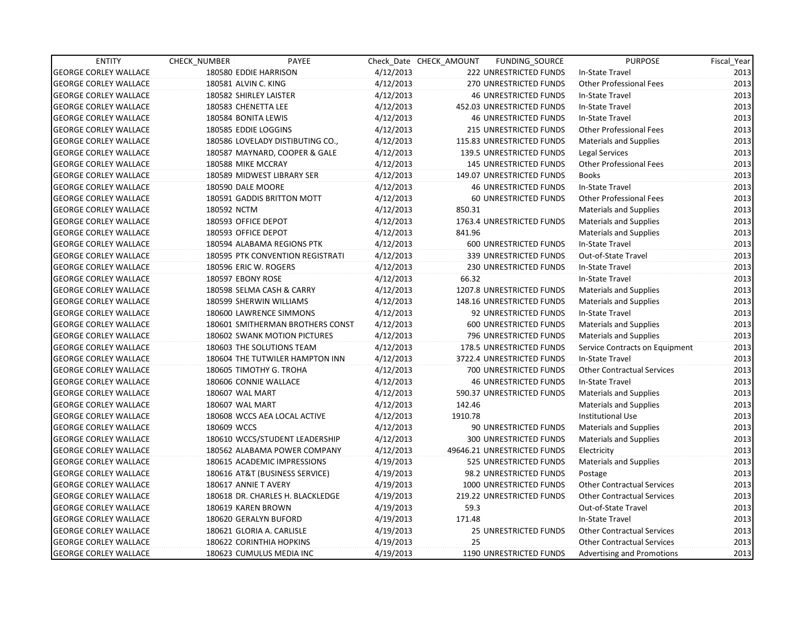| <b>ENTITY</b>                | CHECK_NUMBER         | PAYEE                            |           | Check Date CHECK AMOUNT | FUNDING SOURCE                | <b>PURPOSE</b>                    | Fiscal_Year |
|------------------------------|----------------------|----------------------------------|-----------|-------------------------|-------------------------------|-----------------------------------|-------------|
| <b>GEORGE CORLEY WALLACE</b> |                      | 180580 EDDIE HARRISON            | 4/12/2013 |                         | 222 UNRESTRICTED FUNDS        | In-State Travel                   | 2013        |
| <b>GEORGE CORLEY WALLACE</b> | 180581 ALVIN C. KING |                                  | 4/12/2013 |                         | 270 UNRESTRICTED FUNDS        | <b>Other Professional Fees</b>    | 2013        |
| <b>GEORGE CORLEY WALLACE</b> |                      | 180582 SHIRLEY LAISTER           | 4/12/2013 |                         | <b>46 UNRESTRICTED FUNDS</b>  | In-State Travel                   | 2013        |
| <b>GEORGE CORLEY WALLACE</b> | 180583 CHENETTA LEE  |                                  | 4/12/2013 |                         | 452.03 UNRESTRICTED FUNDS     | In-State Travel                   | 2013        |
| <b>GEORGE CORLEY WALLACE</b> | 180584 BONITA LEWIS  |                                  | 4/12/2013 |                         | <b>46 UNRESTRICTED FUNDS</b>  | In-State Travel                   | 2013        |
| <b>GEORGE CORLEY WALLACE</b> |                      | 180585 EDDIE LOGGINS             | 4/12/2013 |                         | 215 UNRESTRICTED FUNDS        | <b>Other Professional Fees</b>    | 2013        |
| <b>GEORGE CORLEY WALLACE</b> |                      | 180586 LOVELADY DISTIBUTING CO., | 4/12/2013 |                         | 115.83 UNRESTRICTED FUNDS     | <b>Materials and Supplies</b>     | 2013        |
| <b>GEORGE CORLEY WALLACE</b> |                      | 180587 MAYNARD, COOPER & GALE    | 4/12/2013 |                         | 139.5 UNRESTRICTED FUNDS      | Legal Services                    | 2013        |
| <b>GEORGE CORLEY WALLACE</b> | 180588 MIKE MCCRAY   |                                  | 4/12/2013 |                         | <b>145 UNRESTRICTED FUNDS</b> | <b>Other Professional Fees</b>    | 2013        |
| <b>GEORGE CORLEY WALLACE</b> |                      | 180589 MIDWEST LIBRARY SER       | 4/12/2013 |                         | 149.07 UNRESTRICTED FUNDS     | <b>Books</b>                      | 2013        |
| <b>GEORGE CORLEY WALLACE</b> | 180590 DALE MOORE    |                                  | 4/12/2013 |                         | <b>46 UNRESTRICTED FUNDS</b>  | In-State Travel                   | 2013        |
| <b>GEORGE CORLEY WALLACE</b> |                      | 180591 GADDIS BRITTON MOTT       | 4/12/2013 |                         | 60 UNRESTRICTED FUNDS         | <b>Other Professional Fees</b>    | 2013        |
| <b>GEORGE CORLEY WALLACE</b> | 180592 NCTM          |                                  | 4/12/2013 | 850.31                  |                               | <b>Materials and Supplies</b>     | 2013        |
| <b>GEORGE CORLEY WALLACE</b> | 180593 OFFICE DEPOT  |                                  | 4/12/2013 |                         | 1763.4 UNRESTRICTED FUNDS     | <b>Materials and Supplies</b>     | 2013        |
| <b>GEORGE CORLEY WALLACE</b> | 180593 OFFICE DEPOT  |                                  | 4/12/2013 | 841.96                  |                               | <b>Materials and Supplies</b>     | 2013        |
| <b>GEORGE CORLEY WALLACE</b> |                      | 180594 ALABAMA REGIONS PTK       | 4/12/2013 |                         | 600 UNRESTRICTED FUNDS        | In-State Travel                   | 2013        |
| <b>GEORGE CORLEY WALLACE</b> |                      | 180595 PTK CONVENTION REGISTRATI | 4/12/2013 |                         | 339 UNRESTRICTED FUNDS        | Out-of-State Travel               | 2013        |
| <b>GEORGE CORLEY WALLACE</b> |                      | 180596 ERIC W. ROGERS            | 4/12/2013 |                         | 230 UNRESTRICTED FUNDS        | In-State Travel                   | 2013        |
| <b>GEORGE CORLEY WALLACE</b> | 180597 EBONY ROSE    |                                  | 4/12/2013 | 66.32                   |                               | In-State Travel                   | 2013        |
| <b>GEORGE CORLEY WALLACE</b> |                      | 180598 SELMA CASH & CARRY        | 4/12/2013 |                         | 1207.8 UNRESTRICTED FUNDS     | Materials and Supplies            | 2013        |
| <b>GEORGE CORLEY WALLACE</b> |                      | 180599 SHERWIN WILLIAMS          | 4/12/2013 |                         | 148.16 UNRESTRICTED FUNDS     | <b>Materials and Supplies</b>     | 2013        |
| <b>GEORGE CORLEY WALLACE</b> |                      | 180600 LAWRENCE SIMMONS          | 4/12/2013 |                         | 92 UNRESTRICTED FUNDS         | In-State Travel                   | 2013        |
| <b>GEORGE CORLEY WALLACE</b> |                      | 180601 SMITHERMAN BROTHERS CONST | 4/12/2013 |                         | 600 UNRESTRICTED FUNDS        | <b>Materials and Supplies</b>     | 2013        |
| <b>GEORGE CORLEY WALLACE</b> |                      | 180602 SWANK MOTION PICTURES     | 4/12/2013 |                         | 796 UNRESTRICTED FUNDS        | <b>Materials and Supplies</b>     | 2013        |
| <b>GEORGE CORLEY WALLACE</b> |                      | 180603 THE SOLUTIONS TEAM        | 4/12/2013 |                         | 178.5 UNRESTRICTED FUNDS      | Service Contracts on Equipment    | 2013        |
| <b>GEORGE CORLEY WALLACE</b> |                      | 180604 THE TUTWILER HAMPTON INN  | 4/12/2013 |                         | 3722.4 UNRESTRICTED FUNDS     | In-State Travel                   | 2013        |
| <b>GEORGE CORLEY WALLACE</b> |                      | 180605 TIMOTHY G. TROHA          | 4/12/2013 |                         | 700 UNRESTRICTED FUNDS        | <b>Other Contractual Services</b> | 2013        |
| <b>GEORGE CORLEY WALLACE</b> |                      | 180606 CONNIE WALLACE            | 4/12/2013 |                         | <b>46 UNRESTRICTED FUNDS</b>  | In-State Travel                   | 2013        |
| <b>GEORGE CORLEY WALLACE</b> | 180607 WAL MART      |                                  | 4/12/2013 |                         | 590.37 UNRESTRICTED FUNDS     | <b>Materials and Supplies</b>     | 2013        |
| <b>GEORGE CORLEY WALLACE</b> | 180607 WAL MART      |                                  | 4/12/2013 | 142.46                  |                               | <b>Materials and Supplies</b>     | 2013        |
| <b>GEORGE CORLEY WALLACE</b> |                      | 180608 WCCS AEA LOCAL ACTIVE     | 4/12/2013 | 1910.78                 |                               | <b>Institutional Use</b>          | 2013        |
| <b>GEORGE CORLEY WALLACE</b> | 180609 WCCS          |                                  | 4/12/2013 |                         | 90 UNRESTRICTED FUNDS         | <b>Materials and Supplies</b>     | 2013        |
| <b>GEORGE CORLEY WALLACE</b> |                      | 180610 WCCS/STUDENT LEADERSHIP   | 4/12/2013 |                         | 300 UNRESTRICTED FUNDS        | <b>Materials and Supplies</b>     | 2013        |
| <b>GEORGE CORLEY WALLACE</b> |                      | 180562 ALABAMA POWER COMPANY     | 4/12/2013 |                         | 49646.21 UNRESTRICTED FUNDS   | Electricity                       | 2013        |
| <b>GEORGE CORLEY WALLACE</b> |                      | 180615 ACADEMIC IMPRESSIONS      | 4/19/2013 |                         | 525 UNRESTRICTED FUNDS        | <b>Materials and Supplies</b>     | 2013        |
| <b>GEORGE CORLEY WALLACE</b> |                      | 180616 AT&T (BUSINESS SERVICE)   | 4/19/2013 |                         | 98.2 UNRESTRICTED FUNDS       | Postage                           | 2013        |
| <b>GEORGE CORLEY WALLACE</b> | 180617 ANNIE T AVERY |                                  | 4/19/2013 |                         | 1000 UNRESTRICTED FUNDS       | <b>Other Contractual Services</b> | 2013        |
| <b>GEORGE CORLEY WALLACE</b> |                      | 180618 DR. CHARLES H. BLACKLEDGE | 4/19/2013 |                         | 219.22 UNRESTRICTED FUNDS     | <b>Other Contractual Services</b> | 2013        |
| <b>GEORGE CORLEY WALLACE</b> |                      | 180619 KAREN BROWN               | 4/19/2013 | 59.3                    |                               | Out-of-State Travel               | 2013        |
| <b>GEORGE CORLEY WALLACE</b> |                      | 180620 GERALYN BUFORD            | 4/19/2013 | 171.48                  |                               | In-State Travel                   | 2013        |
| <b>GEORGE CORLEY WALLACE</b> |                      | 180621 GLORIA A. CARLISLE        | 4/19/2013 |                         | 25 UNRESTRICTED FUNDS         | <b>Other Contractual Services</b> | 2013        |
| <b>GEORGE CORLEY WALLACE</b> |                      | 180622 CORINTHIA HOPKINS         | 4/19/2013 | 25                      |                               | <b>Other Contractual Services</b> | 2013        |
| <b>GEORGE CORLEY WALLACE</b> |                      | 180623 CUMULUS MEDIA INC         | 4/19/2013 |                         | 1190 UNRESTRICTED FUNDS       | Advertising and Promotions        | 2013        |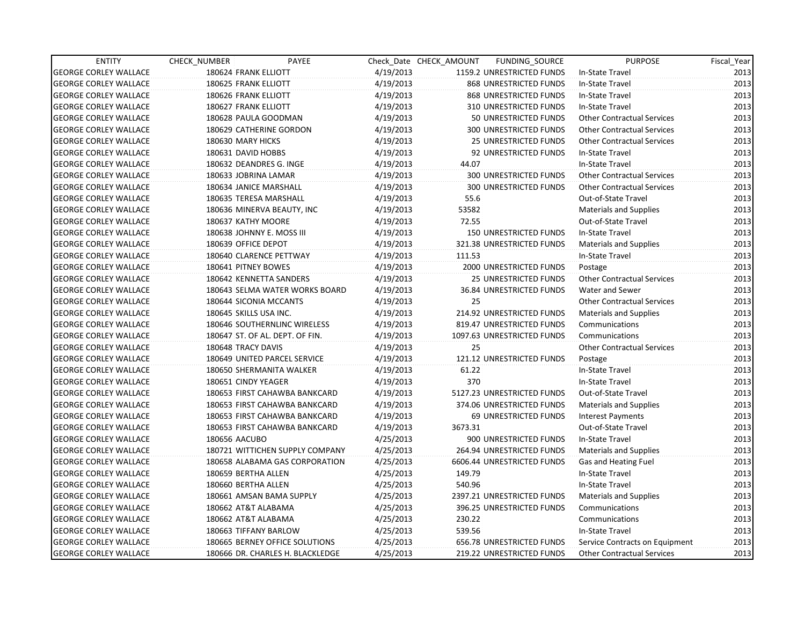| <b>ENTITY</b>                | CHECK_NUMBER           | PAYEE                            |           | Check Date CHECK AMOUNT | FUNDING SOURCE                | <b>PURPOSE</b>                    | Fiscal_Year |
|------------------------------|------------------------|----------------------------------|-----------|-------------------------|-------------------------------|-----------------------------------|-------------|
| <b>GEORGE CORLEY WALLACE</b> | 180624 FRANK ELLIOTT   |                                  | 4/19/2013 |                         | 1159.2 UNRESTRICTED FUNDS     | In-State Travel                   | 2013        |
| <b>GEORGE CORLEY WALLACE</b> | 180625 FRANK ELLIOTT   |                                  | 4/19/2013 |                         | 868 UNRESTRICTED FUNDS        | In-State Travel                   | 2013        |
| <b>GEORGE CORLEY WALLACE</b> | 180626 FRANK ELLIOTT   |                                  | 4/19/2013 |                         | 868 UNRESTRICTED FUNDS        | In-State Travel                   | 2013        |
| <b>GEORGE CORLEY WALLACE</b> | 180627 FRANK ELLIOTT   |                                  | 4/19/2013 |                         | 310 UNRESTRICTED FUNDS        | In-State Travel                   | 2013        |
| <b>GEORGE CORLEY WALLACE</b> |                        | 180628 PAULA GOODMAN             | 4/19/2013 |                         | 50 UNRESTRICTED FUNDS         | <b>Other Contractual Services</b> | 2013        |
| <b>GEORGE CORLEY WALLACE</b> |                        | 180629 CATHERINE GORDON          | 4/19/2013 |                         | <b>300 UNRESTRICTED FUNDS</b> | <b>Other Contractual Services</b> | 2013        |
| <b>GEORGE CORLEY WALLACE</b> | 180630 MARY HICKS      |                                  | 4/19/2013 |                         | <b>25 UNRESTRICTED FUNDS</b>  | <b>Other Contractual Services</b> | 2013        |
| <b>GEORGE CORLEY WALLACE</b> | 180631 DAVID HOBBS     |                                  | 4/19/2013 |                         | 92 UNRESTRICTED FUNDS         | In-State Travel                   | 2013        |
| <b>GEORGE CORLEY WALLACE</b> |                        | 180632 DEANDRES G. INGE          | 4/19/2013 | 44.07                   |                               | In-State Travel                   | 2013        |
| <b>GEORGE CORLEY WALLACE</b> |                        | 180633 JOBRINA LAMAR             | 4/19/2013 |                         | 300 UNRESTRICTED FUNDS        | <b>Other Contractual Services</b> | 2013        |
| <b>GEORGE CORLEY WALLACE</b> |                        | 180634 JANICE MARSHALL           | 4/19/2013 |                         | <b>300 UNRESTRICTED FUNDS</b> | <b>Other Contractual Services</b> | 2013        |
| <b>GEORGE CORLEY WALLACE</b> |                        | 180635 TERESA MARSHALL           | 4/19/2013 | 55.6                    |                               | Out-of-State Travel               | 2013        |
| <b>GEORGE CORLEY WALLACE</b> |                        | 180636 MINERVA BEAUTY, INC       | 4/19/2013 | 53582                   |                               | <b>Materials and Supplies</b>     | 2013        |
| <b>GEORGE CORLEY WALLACE</b> | 180637 KATHY MOORE     |                                  | 4/19/2013 | 72.55                   |                               | Out-of-State Travel               | 2013        |
| <b>GEORGE CORLEY WALLACE</b> |                        | 180638 JOHNNY E. MOSS III        | 4/19/2013 |                         | 150 UNRESTRICTED FUNDS        | In-State Travel                   | 2013        |
| <b>GEORGE CORLEY WALLACE</b> | 180639 OFFICE DEPOT    |                                  | 4/19/2013 |                         | 321.38 UNRESTRICTED FUNDS     | <b>Materials and Supplies</b>     | 2013        |
| <b>GEORGE CORLEY WALLACE</b> |                        | 180640 CLARENCE PETTWAY          | 4/19/2013 | 111.53                  |                               | In-State Travel                   | 2013        |
| <b>GEORGE CORLEY WALLACE</b> | 180641 PITNEY BOWES    |                                  | 4/19/2013 |                         | 2000 UNRESTRICTED FUNDS       | Postage                           | 2013        |
| <b>GEORGE CORLEY WALLACE</b> |                        | 180642 KENNETTA SANDERS          | 4/19/2013 |                         | <b>25 UNRESTRICTED FUNDS</b>  | <b>Other Contractual Services</b> | 2013        |
| <b>GEORGE CORLEY WALLACE</b> |                        | 180643 SELMA WATER WORKS BOARD   | 4/19/2013 |                         | 36.84 UNRESTRICTED FUNDS      | Water and Sewer                   | 2013        |
| <b>GEORGE CORLEY WALLACE</b> |                        | 180644 SICONIA MCCANTS           | 4/19/2013 | 25                      |                               | <b>Other Contractual Services</b> | 2013        |
| <b>GEORGE CORLEY WALLACE</b> | 180645 SKILLS USA INC. |                                  | 4/19/2013 |                         | 214.92 UNRESTRICTED FUNDS     | <b>Materials and Supplies</b>     | 2013        |
| <b>GEORGE CORLEY WALLACE</b> |                        | 180646 SOUTHERNLINC WIRELESS     | 4/19/2013 |                         | 819.47 UNRESTRICTED FUNDS     | Communications                    | 2013        |
| <b>GEORGE CORLEY WALLACE</b> |                        | 180647 ST. OF AL. DEPT. OF FIN.  | 4/19/2013 |                         | 1097.63 UNRESTRICTED FUNDS    | Communications                    | 2013        |
| <b>GEORGE CORLEY WALLACE</b> | 180648 TRACY DAVIS     |                                  | 4/19/2013 | 25                      |                               | <b>Other Contractual Services</b> | 2013        |
| <b>GEORGE CORLEY WALLACE</b> |                        | 180649 UNITED PARCEL SERVICE     | 4/19/2013 |                         | 121.12 UNRESTRICTED FUNDS     | Postage                           | 2013        |
| <b>GEORGE CORLEY WALLACE</b> |                        | 180650 SHERMANITA WALKER         | 4/19/2013 | 61.22                   |                               | In-State Travel                   | 2013        |
| <b>GEORGE CORLEY WALLACE</b> | 180651 CINDY YEAGER    |                                  | 4/19/2013 | 370                     |                               | In-State Travel                   | 2013        |
| <b>GEORGE CORLEY WALLACE</b> |                        | 180653 FIRST CAHAWBA BANKCARD    | 4/19/2013 |                         | 5127.23 UNRESTRICTED FUNDS    | Out-of-State Travel               | 2013        |
| <b>GEORGE CORLEY WALLACE</b> |                        | 180653 FIRST CAHAWBA BANKCARD    | 4/19/2013 |                         | 374.06 UNRESTRICTED FUNDS     | <b>Materials and Supplies</b>     | 2013        |
| <b>GEORGE CORLEY WALLACE</b> |                        | 180653 FIRST CAHAWBA BANKCARD    | 4/19/2013 |                         | 69 UNRESTRICTED FUNDS         | <b>Interest Payments</b>          | 2013        |
| <b>GEORGE CORLEY WALLACE</b> |                        | 180653 FIRST CAHAWBA BANKCARD    | 4/19/2013 | 3673.31                 |                               | Out-of-State Travel               | 2013        |
| <b>GEORGE CORLEY WALLACE</b> | 180656 AACUBO          |                                  | 4/25/2013 |                         | 900 UNRESTRICTED FUNDS        | In-State Travel                   | 2013        |
| <b>GEORGE CORLEY WALLACE</b> |                        | 180721 WITTICHEN SUPPLY COMPANY  | 4/25/2013 |                         | 264.94 UNRESTRICTED FUNDS     | <b>Materials and Supplies</b>     | 2013        |
| <b>GEORGE CORLEY WALLACE</b> |                        | 180658 ALABAMA GAS CORPORATION   | 4/25/2013 |                         | 6606.44 UNRESTRICTED FUNDS    | Gas and Heating Fuel              | 2013        |
| <b>GEORGE CORLEY WALLACE</b> | 180659 BERTHA ALLEN    |                                  | 4/25/2013 | 149.79                  |                               | In-State Travel                   | 2013        |
| <b>GEORGE CORLEY WALLACE</b> | 180660 BERTHA ALLEN    |                                  | 4/25/2013 | 540.96                  |                               | In-State Travel                   | 2013        |
| <b>GEORGE CORLEY WALLACE</b> |                        | 180661 AMSAN BAMA SUPPLY         | 4/25/2013 |                         | 2397.21 UNRESTRICTED FUNDS    | <b>Materials and Supplies</b>     | 2013        |
| <b>GEORGE CORLEY WALLACE</b> |                        | 180662 AT&T ALABAMA              | 4/25/2013 |                         | 396.25 UNRESTRICTED FUNDS     | Communications                    | 2013        |
| <b>GEORGE CORLEY WALLACE</b> |                        | 180662 AT&T ALABAMA              | 4/25/2013 | 230.22                  |                               | Communications                    | 2013        |
| <b>GEORGE CORLEY WALLACE</b> |                        | 180663 TIFFANY BARLOW            | 4/25/2013 | 539.56                  |                               | In-State Travel                   | 2013        |
| <b>GEORGE CORLEY WALLACE</b> |                        | 180665 BERNEY OFFICE SOLUTIONS   | 4/25/2013 |                         | 656.78 UNRESTRICTED FUNDS     | Service Contracts on Equipment    | 2013        |
| <b>GEORGE CORLEY WALLACE</b> |                        | 180666 DR. CHARLES H. BLACKLEDGE | 4/25/2013 |                         | 219.22 UNRESTRICTED FUNDS     | <b>Other Contractual Services</b> | 2013        |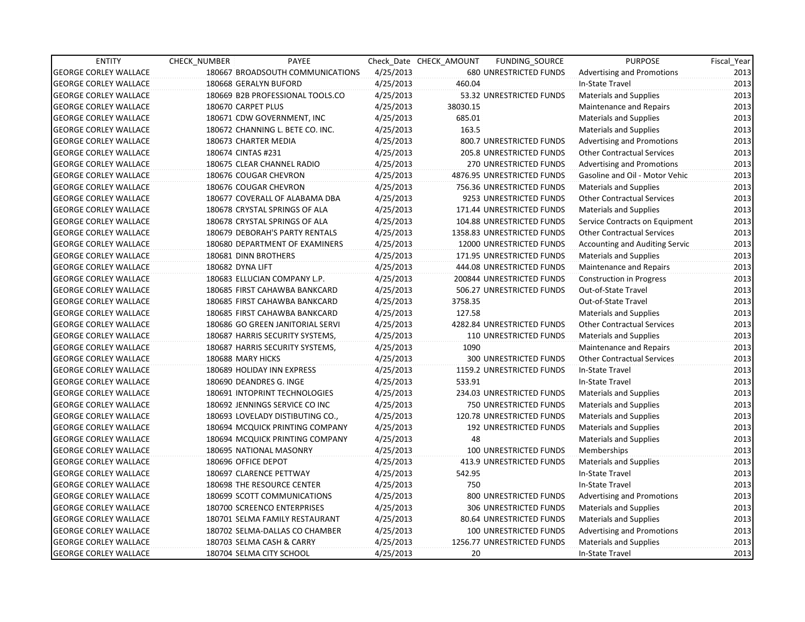| <b>ENTITY</b>                | CHECK_NUMBER | PAYEE                            |           | Check Date CHECK AMOUNT | FUNDING_SOURCE                | <b>PURPOSE</b>                    | Fiscal_Year |
|------------------------------|--------------|----------------------------------|-----------|-------------------------|-------------------------------|-----------------------------------|-------------|
| <b>GEORGE CORLEY WALLACE</b> |              | 180667 BROADSOUTH COMMUNICATIONS | 4/25/2013 |                         | 680 UNRESTRICTED FUNDS        | <b>Advertising and Promotions</b> | 2013        |
| <b>GEORGE CORLEY WALLACE</b> |              | 180668 GERALYN BUFORD            | 4/25/2013 | 460.04                  |                               | In-State Travel                   | 2013        |
| <b>GEORGE CORLEY WALLACE</b> |              | 180669 B2B PROFESSIONAL TOOLS.CO | 4/25/2013 |                         | 53.32 UNRESTRICTED FUNDS      | <b>Materials and Supplies</b>     | 2013        |
| <b>GEORGE CORLEY WALLACE</b> |              | 180670 CARPET PLUS               | 4/25/2013 | 38030.15                |                               | Maintenance and Repairs           | 2013        |
| <b>GEORGE CORLEY WALLACE</b> |              | 180671 CDW GOVERNMENT, INC       | 4/25/2013 | 685.01                  |                               | <b>Materials and Supplies</b>     | 2013        |
| <b>GEORGE CORLEY WALLACE</b> |              | 180672 CHANNING L. BETE CO. INC. | 4/25/2013 | 163.5                   |                               | <b>Materials and Supplies</b>     | 2013        |
| <b>GEORGE CORLEY WALLACE</b> |              | 180673 CHARTER MEDIA             | 4/25/2013 |                         | 800.7 UNRESTRICTED FUNDS      | <b>Advertising and Promotions</b> | 2013        |
| <b>GEORGE CORLEY WALLACE</b> |              | 180674 CINTAS #231               | 4/25/2013 |                         | 205.8 UNRESTRICTED FUNDS      | <b>Other Contractual Services</b> | 2013        |
| <b>GEORGE CORLEY WALLACE</b> |              | 180675 CLEAR CHANNEL RADIO       | 4/25/2013 |                         | <b>270 UNRESTRICTED FUNDS</b> | <b>Advertising and Promotions</b> | 2013        |
| <b>GEORGE CORLEY WALLACE</b> |              | 180676 COUGAR CHEVRON            | 4/25/2013 |                         | 4876.95 UNRESTRICTED FUNDS    | Gasoline and Oil - Motor Vehic    | 2013        |
| <b>GEORGE CORLEY WALLACE</b> |              | 180676 COUGAR CHEVRON            | 4/25/2013 |                         | 756.36 UNRESTRICTED FUNDS     | <b>Materials and Supplies</b>     | 2013        |
| <b>GEORGE CORLEY WALLACE</b> |              | 180677 COVERALL OF ALABAMA DBA   | 4/25/2013 |                         | 9253 UNRESTRICTED FUNDS       | <b>Other Contractual Services</b> | 2013        |
| <b>GEORGE CORLEY WALLACE</b> |              | 180678 CRYSTAL SPRINGS OF ALA    | 4/25/2013 |                         | 171.44 UNRESTRICTED FUNDS     | <b>Materials and Supplies</b>     | 2013        |
| <b>GEORGE CORLEY WALLACE</b> |              | 180678 CRYSTAL SPRINGS OF ALA    | 4/25/2013 |                         | 104.88 UNRESTRICTED FUNDS     | Service Contracts on Equipment    | 2013        |
| <b>GEORGE CORLEY WALLACE</b> |              | 180679 DEBORAH'S PARTY RENTALS   | 4/25/2013 |                         | 1358.83 UNRESTRICTED FUNDS    | <b>Other Contractual Services</b> | 2013        |
| <b>GEORGE CORLEY WALLACE</b> |              | 180680 DEPARTMENT OF EXAMINERS   | 4/25/2013 |                         | 12000 UNRESTRICTED FUNDS      | Accounting and Auditing Servic    | 2013        |
| <b>GEORGE CORLEY WALLACE</b> |              | 180681 DINN BROTHERS             | 4/25/2013 |                         | 171.95 UNRESTRICTED FUNDS     | <b>Materials and Supplies</b>     | 2013        |
| <b>GEORGE CORLEY WALLACE</b> |              | 180682 DYNA LIFT                 | 4/25/2013 |                         | 444.08 UNRESTRICTED FUNDS     | Maintenance and Repairs           | 2013        |
| <b>GEORGE CORLEY WALLACE</b> |              | 180683 ELLUCIAN COMPANY L.P.     | 4/25/2013 |                         | 200844 UNRESTRICTED FUNDS     | <b>Construction in Progress</b>   | 2013        |
| <b>GEORGE CORLEY WALLACE</b> |              | 180685 FIRST CAHAWBA BANKCARD    | 4/25/2013 |                         | 506.27 UNRESTRICTED FUNDS     | Out-of-State Travel               | 2013        |
| <b>GEORGE CORLEY WALLACE</b> |              | 180685 FIRST CAHAWBA BANKCARD    | 4/25/2013 | 3758.35                 |                               | Out-of-State Travel               | 2013        |
| <b>GEORGE CORLEY WALLACE</b> |              | 180685 FIRST CAHAWBA BANKCARD    | 4/25/2013 | 127.58                  |                               | <b>Materials and Supplies</b>     | 2013        |
| <b>GEORGE CORLEY WALLACE</b> |              | 180686 GO GREEN JANITORIAL SERVI | 4/25/2013 |                         | 4282.84 UNRESTRICTED FUNDS    | <b>Other Contractual Services</b> | 2013        |
| <b>GEORGE CORLEY WALLACE</b> |              | 180687 HARRIS SECURITY SYSTEMS,  | 4/25/2013 |                         | 110 UNRESTRICTED FUNDS        | <b>Materials and Supplies</b>     | 2013        |
| <b>GEORGE CORLEY WALLACE</b> |              | 180687 HARRIS SECURITY SYSTEMS,  | 4/25/2013 | 1090                    |                               | Maintenance and Repairs           | 2013        |
| <b>GEORGE CORLEY WALLACE</b> |              | 180688 MARY HICKS                | 4/25/2013 |                         | <b>300 UNRESTRICTED FUNDS</b> | <b>Other Contractual Services</b> | 2013        |
| <b>GEORGE CORLEY WALLACE</b> |              | 180689 HOLIDAY INN EXPRESS       | 4/25/2013 |                         | 1159.2 UNRESTRICTED FUNDS     | In-State Travel                   | 2013        |
| <b>GEORGE CORLEY WALLACE</b> |              | 180690 DEANDRES G. INGE          | 4/25/2013 | 533.91                  |                               | In-State Travel                   | 2013        |
| <b>GEORGE CORLEY WALLACE</b> |              | 180691 INTOPRINT TECHNOLOGIES    | 4/25/2013 |                         | 234.03 UNRESTRICTED FUNDS     | <b>Materials and Supplies</b>     | 2013        |
| <b>GEORGE CORLEY WALLACE</b> |              | 180692 JENNINGS SERVICE CO INC   | 4/25/2013 |                         | 750 UNRESTRICTED FUNDS        | <b>Materials and Supplies</b>     | 2013        |
| <b>GEORGE CORLEY WALLACE</b> |              | 180693 LOVELADY DISTIBUTING CO., | 4/25/2013 |                         | 120.78 UNRESTRICTED FUNDS     | <b>Materials and Supplies</b>     | 2013        |
| <b>GEORGE CORLEY WALLACE</b> |              | 180694 MCQUICK PRINTING COMPANY  | 4/25/2013 |                         | 192 UNRESTRICTED FUNDS        | <b>Materials and Supplies</b>     | 2013        |
| <b>GEORGE CORLEY WALLACE</b> |              | 180694 MCQUICK PRINTING COMPANY  | 4/25/2013 | 48                      |                               | <b>Materials and Supplies</b>     | 2013        |
| <b>GEORGE CORLEY WALLACE</b> |              | 180695 NATIONAL MASONRY          | 4/25/2013 |                         | 100 UNRESTRICTED FUNDS        | Memberships                       | 2013        |
| <b>GEORGE CORLEY WALLACE</b> |              | 180696 OFFICE DEPOT              | 4/25/2013 |                         | 413.9 UNRESTRICTED FUNDS      | <b>Materials and Supplies</b>     | 2013        |
| <b>GEORGE CORLEY WALLACE</b> |              | 180697 CLARENCE PETTWAY          | 4/25/2013 | 542.95                  |                               | In-State Travel                   | 2013        |
| <b>GEORGE CORLEY WALLACE</b> |              | 180698 THE RESOURCE CENTER       | 4/25/2013 | 750                     |                               | In-State Travel                   | 2013        |
| <b>GEORGE CORLEY WALLACE</b> |              | 180699 SCOTT COMMUNICATIONS      | 4/25/2013 |                         | 800 UNRESTRICTED FUNDS        | <b>Advertising and Promotions</b> | 2013        |
| <b>GEORGE CORLEY WALLACE</b> |              | 180700 SCREENCO ENTERPRISES      | 4/25/2013 |                         | 306 UNRESTRICTED FUNDS        | <b>Materials and Supplies</b>     | 2013        |
| <b>GEORGE CORLEY WALLACE</b> |              | 180701 SELMA FAMILY RESTAURANT   | 4/25/2013 |                         | 80.64 UNRESTRICTED FUNDS      | <b>Materials and Supplies</b>     | 2013        |
| <b>GEORGE CORLEY WALLACE</b> |              | 180702 SELMA-DALLAS CO CHAMBER   | 4/25/2013 |                         | 100 UNRESTRICTED FUNDS        | <b>Advertising and Promotions</b> | 2013        |
| <b>GEORGE CORLEY WALLACE</b> |              | 180703 SELMA CASH & CARRY        | 4/25/2013 |                         | 1256.77 UNRESTRICTED FUNDS    | <b>Materials and Supplies</b>     | 2013        |
| <b>GEORGE CORLEY WALLACE</b> |              | 180704 SELMA CITY SCHOOL         | 4/25/2013 | 20                      |                               | In-State Travel                   | 2013        |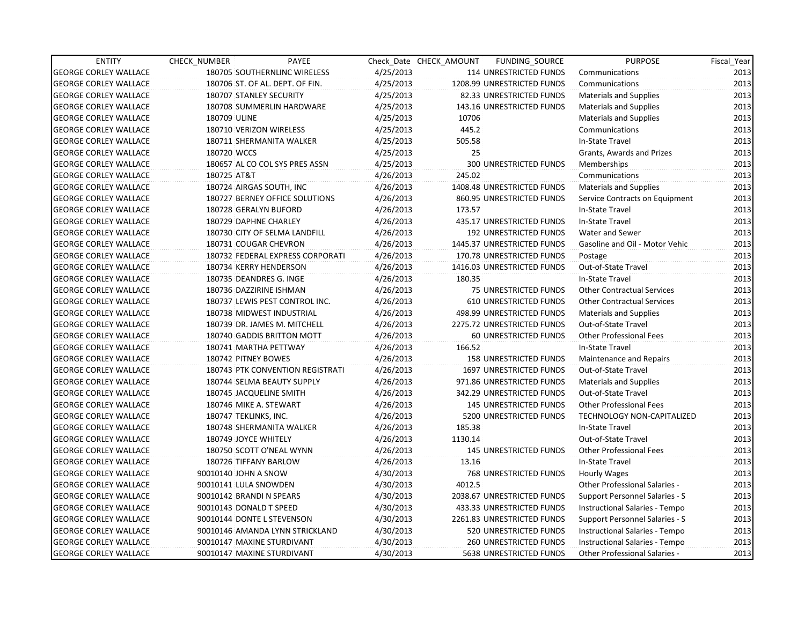| <b>ENTITY</b>                | <b>CHECK NUMBER</b>   | PAYEE                            |           | Check Date CHECK AMOUNT | FUNDING SOURCE                 | <b>PURPOSE</b>                        | Fiscal Year |
|------------------------------|-----------------------|----------------------------------|-----------|-------------------------|--------------------------------|---------------------------------------|-------------|
| <b>GEORGE CORLEY WALLACE</b> |                       | 180705 SOUTHERNLINC WIRELESS     | 4/25/2013 |                         | 114 UNRESTRICTED FUNDS         | Communications                        | 2013        |
| <b>GEORGE CORLEY WALLACE</b> |                       | 180706 ST. OF AL. DEPT. OF FIN.  | 4/25/2013 |                         | 1208.99 UNRESTRICTED FUNDS     | Communications                        | 2013        |
| <b>GEORGE CORLEY WALLACE</b> |                       | 180707 STANLEY SECURITY          | 4/25/2013 |                         | 82.33 UNRESTRICTED FUNDS       | <b>Materials and Supplies</b>         | 2013        |
| <b>GEORGE CORLEY WALLACE</b> |                       | 180708 SUMMERLIN HARDWARE        | 4/25/2013 |                         | 143.16 UNRESTRICTED FUNDS      | <b>Materials and Supplies</b>         | 2013        |
| <b>GEORGE CORLEY WALLACE</b> | 180709 ULINE          |                                  | 4/25/2013 | 10706                   |                                | <b>Materials and Supplies</b>         | 2013        |
| <b>GEORGE CORLEY WALLACE</b> |                       | 180710 VERIZON WIRELESS          | 4/25/2013 | 445.2                   |                                | Communications                        | 2013        |
| <b>GEORGE CORLEY WALLACE</b> |                       | 180711 SHERMANITA WALKER         | 4/25/2013 | 505.58                  |                                | In-State Travel                       | 2013        |
| <b>GEORGE CORLEY WALLACE</b> | 180720 WCCS           |                                  | 4/25/2013 | 25                      |                                | Grants, Awards and Prizes             | 2013        |
| <b>GEORGE CORLEY WALLACE</b> |                       | 180657 AL CO COL SYS PRES ASSN   | 4/25/2013 |                         | 300 UNRESTRICTED FUNDS         | Memberships                           | 2013        |
| <b>GEORGE CORLEY WALLACE</b> | 180725 AT&T           |                                  | 4/26/2013 | 245.02                  |                                | Communications                        | 2013        |
| <b>GEORGE CORLEY WALLACE</b> |                       | 180724 AIRGAS SOUTH, INC         | 4/26/2013 |                         | 1408.48 UNRESTRICTED FUNDS     | <b>Materials and Supplies</b>         | 2013        |
| <b>GEORGE CORLEY WALLACE</b> |                       | 180727 BERNEY OFFICE SOLUTIONS   | 4/26/2013 |                         | 860.95 UNRESTRICTED FUNDS      | Service Contracts on Equipment        | 2013        |
| <b>GEORGE CORLEY WALLACE</b> |                       | 180728 GERALYN BUFORD            | 4/26/2013 | 173.57                  |                                | In-State Travel                       | 2013        |
| <b>GEORGE CORLEY WALLACE</b> |                       | 180729 DAPHNE CHARLEY            | 4/26/2013 |                         | 435.17 UNRESTRICTED FUNDS      | In-State Travel                       | 2013        |
| <b>GEORGE CORLEY WALLACE</b> |                       | 180730 CITY OF SELMA LANDFILL    | 4/26/2013 |                         | 192 UNRESTRICTED FUNDS         | Water and Sewer                       | 2013        |
| <b>GEORGE CORLEY WALLACE</b> |                       | 180731 COUGAR CHEVRON            | 4/26/2013 |                         | 1445.37 UNRESTRICTED FUNDS     | Gasoline and Oil - Motor Vehic        | 2013        |
| <b>GEORGE CORLEY WALLACE</b> |                       | 180732 FEDERAL EXPRESS CORPORATI | 4/26/2013 |                         | 170.78 UNRESTRICTED FUNDS      | Postage                               | 2013        |
| <b>GEORGE CORLEY WALLACE</b> |                       | 180734 KERRY HENDERSON           | 4/26/2013 |                         | 1416.03 UNRESTRICTED FUNDS     | Out-of-State Travel                   | 2013        |
| <b>GEORGE CORLEY WALLACE</b> |                       | 180735 DEANDRES G. INGE          | 4/26/2013 | 180.35                  |                                | In-State Travel                       | 2013        |
| <b>GEORGE CORLEY WALLACE</b> |                       | 180736 DAZZIRINE ISHMAN          | 4/26/2013 |                         | 75 UNRESTRICTED FUNDS          | <b>Other Contractual Services</b>     | 2013        |
| <b>GEORGE CORLEY WALLACE</b> |                       | 180737 LEWIS PEST CONTROL INC.   | 4/26/2013 |                         | 610 UNRESTRICTED FUNDS         | <b>Other Contractual Services</b>     | 2013        |
| <b>GEORGE CORLEY WALLACE</b> |                       | 180738 MIDWEST INDUSTRIAL        | 4/26/2013 |                         | 498.99 UNRESTRICTED FUNDS      | <b>Materials and Supplies</b>         | 2013        |
| <b>GEORGE CORLEY WALLACE</b> |                       | 180739 DR. JAMES M. MITCHELL     | 4/26/2013 |                         | 2275.72 UNRESTRICTED FUNDS     | Out-of-State Travel                   | 2013        |
| <b>GEORGE CORLEY WALLACE</b> |                       | 180740 GADDIS BRITTON MOTT       | 4/26/2013 |                         | 60 UNRESTRICTED FUNDS          | <b>Other Professional Fees</b>        | 2013        |
| <b>GEORGE CORLEY WALLACE</b> |                       | 180741 MARTHA PETTWAY            | 4/26/2013 | 166.52                  |                                | In-State Travel                       | 2013        |
| <b>GEORGE CORLEY WALLACE</b> |                       | 180742 PITNEY BOWES              | 4/26/2013 |                         | <b>158 UNRESTRICTED FUNDS</b>  | <b>Maintenance and Repairs</b>        | 2013        |
| <b>GEORGE CORLEY WALLACE</b> |                       | 180743 PTK CONVENTION REGISTRATI | 4/26/2013 |                         | 1697 UNRESTRICTED FUNDS        | Out-of-State Travel                   | 2013        |
| <b>GEORGE CORLEY WALLACE</b> |                       | 180744 SELMA BEAUTY SUPPLY       | 4/26/2013 |                         | 971.86 UNRESTRICTED FUNDS      | <b>Materials and Supplies</b>         | 2013        |
| <b>GEORGE CORLEY WALLACE</b> |                       | 180745 JACQUELINE SMITH          | 4/26/2013 |                         | 342.29 UNRESTRICTED FUNDS      | Out-of-State Travel                   | 2013        |
| <b>GEORGE CORLEY WALLACE</b> |                       | 180746 MIKE A. STEWART           | 4/26/2013 |                         | 145 UNRESTRICTED FUNDS         | <b>Other Professional Fees</b>        | 2013        |
| <b>GEORGE CORLEY WALLACE</b> |                       | 180747 TEKLINKS, INC.            | 4/26/2013 |                         | 5200 UNRESTRICTED FUNDS        | <b>TECHNOLOGY NON-CAPITALIZED</b>     | 2013        |
| <b>GEORGE CORLEY WALLACE</b> |                       | 180748 SHERMANITA WALKER         | 4/26/2013 | 185.38                  |                                | In-State Travel                       | 2013        |
| <b>GEORGE CORLEY WALLACE</b> |                       | 180749 JOYCE WHITELY             | 4/26/2013 | 1130.14                 |                                | Out-of-State Travel                   | 2013        |
| <b>GEORGE CORLEY WALLACE</b> |                       | 180750 SCOTT O'NEAL WYNN         | 4/26/2013 |                         | <b>145 UNRESTRICTED FUNDS</b>  | <b>Other Professional Fees</b>        | 2013        |
| <b>GEORGE CORLEY WALLACE</b> |                       | 180726 TIFFANY BARLOW            | 4/26/2013 | 13.16                   |                                | In-State Travel                       | 2013        |
| <b>GEORGE CORLEY WALLACE</b> | 90010140 JOHN A SNOW  |                                  | 4/30/2013 |                         | <b>768 UNRESTRICTED FUNDS</b>  | Hourly Wages                          | 2013        |
| <b>GEORGE CORLEY WALLACE</b> | 90010141 LULA SNOWDEN |                                  | 4/30/2013 | 4012.5                  |                                | Other Professional Salaries -         | 2013        |
| <b>GEORGE CORLEY WALLACE</b> |                       | 90010142 BRANDI N SPEARS         | 4/30/2013 |                         | 2038.67 UNRESTRICTED FUNDS     | <b>Support Personnel Salaries - S</b> | 2013        |
| <b>GEORGE CORLEY WALLACE</b> |                       | 90010143 DONALD T SPEED          | 4/30/2013 |                         | 433.33 UNRESTRICTED FUNDS      | Instructional Salaries - Tempo        | 2013        |
| <b>GEORGE CORLEY WALLACE</b> |                       | 90010144 DONTE L STEVENSON       | 4/30/2013 |                         | 2261.83 UNRESTRICTED FUNDS     | Support Personnel Salaries - S        | 2013        |
| <b>GEORGE CORLEY WALLACE</b> |                       | 90010146 AMANDA LYNN STRICKLAND  | 4/30/2013 |                         | 520 UNRESTRICTED FUNDS         | Instructional Salaries - Tempo        | 2013        |
| <b>GEORGE CORLEY WALLACE</b> |                       | 90010147 MAXINE STURDIVANT       | 4/30/2013 |                         | 260 UNRESTRICTED FUNDS         | Instructional Salaries - Tempo        | 2013        |
| <b>GEORGE CORLEY WALLACE</b> |                       | 90010147 MAXINE STURDIVANT       | 4/30/2013 |                         | <b>5638 UNRESTRICTED FUNDS</b> | <b>Other Professional Salaries -</b>  | 2013        |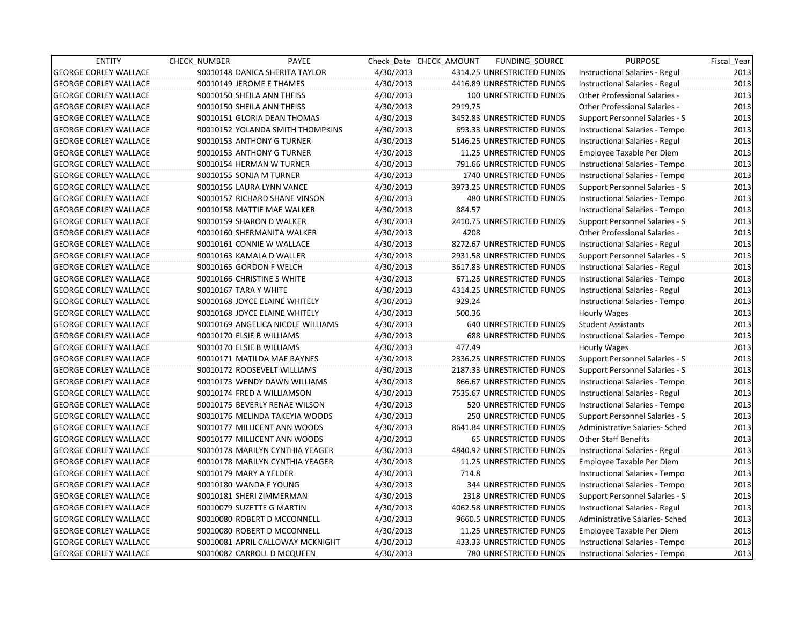| <b>ENTITY</b>                | <b>CHECK NUMBER</b>        | PAYEE                             |           | Check Date CHECK AMOUNT | FUNDING_SOURCE                | <b>PURPOSE</b>                        | Fiscal_Year |
|------------------------------|----------------------------|-----------------------------------|-----------|-------------------------|-------------------------------|---------------------------------------|-------------|
| <b>GEORGE CORLEY WALLACE</b> |                            | 90010148 DANICA SHERITA TAYLOR    | 4/30/2013 |                         | 4314.25 UNRESTRICTED FUNDS    | Instructional Salaries - Regul        | 2013        |
| <b>GEORGE CORLEY WALLACE</b> | 90010149 JEROME E THAMES   |                                   | 4/30/2013 |                         | 4416.89 UNRESTRICTED FUNDS    | Instructional Salaries - Regul        | 2013        |
| <b>GEORGE CORLEY WALLACE</b> | 90010150 SHEILA ANN THEISS |                                   | 4/30/2013 |                         | <b>100 UNRESTRICTED FUNDS</b> | Other Professional Salaries -         | 2013        |
| <b>GEORGE CORLEY WALLACE</b> | 90010150 SHEILA ANN THEISS |                                   | 4/30/2013 | 2919.75                 |                               | Other Professional Salaries -         | 2013        |
| <b>GEORGE CORLEY WALLACE</b> |                            | 90010151 GLORIA DEAN THOMAS       | 4/30/2013 |                         | 3452.83 UNRESTRICTED FUNDS    | Support Personnel Salaries - S        | 2013        |
| <b>GEORGE CORLEY WALLACE</b> |                            | 90010152 YOLANDA SMITH THOMPKINS  | 4/30/2013 |                         | 693.33 UNRESTRICTED FUNDS     | Instructional Salaries - Tempo        | 2013        |
| <b>GEORGE CORLEY WALLACE</b> | 90010153 ANTHONY G TURNER  |                                   | 4/30/2013 |                         | 5146.25 UNRESTRICTED FUNDS    | Instructional Salaries - Regul        | 2013        |
| <b>GEORGE CORLEY WALLACE</b> | 90010153 ANTHONY G TURNER  |                                   | 4/30/2013 |                         | 11.25 UNRESTRICTED FUNDS      | Employee Taxable Per Diem             | 2013        |
| <b>GEORGE CORLEY WALLACE</b> | 90010154 HERMAN W TURNER   |                                   | 4/30/2013 |                         | 791.66 UNRESTRICTED FUNDS     | Instructional Salaries - Tempo        | 2013        |
| <b>GEORGE CORLEY WALLACE</b> | 90010155 SONJA M TURNER    |                                   | 4/30/2013 |                         | 1740 UNRESTRICTED FUNDS       | Instructional Salaries - Tempo        | 2013        |
| <b>GEORGE CORLEY WALLACE</b> | 90010156 LAURA LYNN VANCE  |                                   | 4/30/2013 |                         | 3973.25 UNRESTRICTED FUNDS    | Support Personnel Salaries - S        | 2013        |
| <b>GEORGE CORLEY WALLACE</b> |                            | 90010157 RICHARD SHANE VINSON     | 4/30/2013 |                         | 480 UNRESTRICTED FUNDS        | Instructional Salaries - Tempo        | 2013        |
| <b>GEORGE CORLEY WALLACE</b> |                            | 90010158 MATTIE MAE WALKER        | 4/30/2013 | 884.57                  |                               | Instructional Salaries - Tempo        | 2013        |
| <b>GEORGE CORLEY WALLACE</b> | 90010159 SHARON D WALKER   |                                   | 4/30/2013 |                         | 2410.75 UNRESTRICTED FUNDS    | Support Personnel Salaries - S        | 2013        |
| <b>GEORGE CORLEY WALLACE</b> |                            | 90010160 SHERMANITA WALKER        | 4/30/2013 | 4208                    |                               | <b>Other Professional Salaries -</b>  | 2013        |
| <b>GEORGE CORLEY WALLACE</b> | 90010161 CONNIE W WALLACE  |                                   | 4/30/2013 |                         | 8272.67 UNRESTRICTED FUNDS    | Instructional Salaries - Regul        | 2013        |
| <b>GEORGE CORLEY WALLACE</b> | 90010163 KAMALA D WALLER   |                                   | 4/30/2013 |                         | 2931.58 UNRESTRICTED FUNDS    | Support Personnel Salaries - S        | 2013        |
| <b>GEORGE CORLEY WALLACE</b> | 90010165 GORDON F WELCH    |                                   | 4/30/2013 |                         | 3617.83 UNRESTRICTED FUNDS    | Instructional Salaries - Regul        | 2013        |
| <b>GEORGE CORLEY WALLACE</b> | 90010166 CHRISTINE S WHITE |                                   | 4/30/2013 |                         | 671.25 UNRESTRICTED FUNDS     | Instructional Salaries - Tempo        | 2013        |
| <b>GEORGE CORLEY WALLACE</b> | 90010167 TARA Y WHITE      |                                   | 4/30/2013 |                         | 4314.25 UNRESTRICTED FUNDS    | Instructional Salaries - Regul        | 2013        |
| <b>GEORGE CORLEY WALLACE</b> |                            | 90010168 JOYCE ELAINE WHITELY     | 4/30/2013 | 929.24                  |                               | Instructional Salaries - Tempo        | 2013        |
| <b>GEORGE CORLEY WALLACE</b> |                            | 90010168 JOYCE ELAINE WHITELY     | 4/30/2013 | 500.36                  |                               | Hourly Wages                          | 2013        |
| <b>GEORGE CORLEY WALLACE</b> |                            | 90010169 ANGELICA NICOLE WILLIAMS | 4/30/2013 |                         | 640 UNRESTRICTED FUNDS        | <b>Student Assistants</b>             | 2013        |
| <b>GEORGE CORLEY WALLACE</b> | 90010170 ELSIE B WILLIAMS  |                                   | 4/30/2013 |                         | <b>688 UNRESTRICTED FUNDS</b> | Instructional Salaries - Tempo        | 2013        |
| <b>GEORGE CORLEY WALLACE</b> | 90010170 ELSIE B WILLIAMS  |                                   | 4/30/2013 | 477.49                  |                               | Hourly Wages                          | 2013        |
| <b>GEORGE CORLEY WALLACE</b> |                            | 90010171 MATILDA MAE BAYNES       | 4/30/2013 |                         | 2336.25 UNRESTRICTED FUNDS    | Support Personnel Salaries - S        | 2013        |
| <b>GEORGE CORLEY WALLACE</b> |                            | 90010172 ROOSEVELT WILLIAMS       | 4/30/2013 |                         | 2187.33 UNRESTRICTED FUNDS    | Support Personnel Salaries - S        | 2013        |
| <b>GEORGE CORLEY WALLACE</b> |                            | 90010173 WENDY DAWN WILLIAMS      | 4/30/2013 |                         | 866.67 UNRESTRICTED FUNDS     | Instructional Salaries - Tempo        | 2013        |
| <b>GEORGE CORLEY WALLACE</b> | 90010174 FRED A WILLIAMSON |                                   | 4/30/2013 |                         | 7535.67 UNRESTRICTED FUNDS    | Instructional Salaries - Regul        | 2013        |
| <b>GEORGE CORLEY WALLACE</b> |                            | 90010175 BEVERLY RENAE WILSON     | 4/30/2013 |                         | 520 UNRESTRICTED FUNDS        | Instructional Salaries - Tempo        | 2013        |
| <b>GEORGE CORLEY WALLACE</b> |                            | 90010176 MELINDA TAKEYIA WOODS    | 4/30/2013 |                         | 250 UNRESTRICTED FUNDS        | Support Personnel Salaries - S        | 2013        |
| <b>GEORGE CORLEY WALLACE</b> |                            | 90010177 MILLICENT ANN WOODS      | 4/30/2013 |                         | 8641.84 UNRESTRICTED FUNDS    | Administrative Salaries- Sched        | 2013        |
| <b>GEORGE CORLEY WALLACE</b> |                            | 90010177 MILLICENT ANN WOODS      | 4/30/2013 |                         | <b>65 UNRESTRICTED FUNDS</b>  | <b>Other Staff Benefits</b>           | 2013        |
| <b>GEORGE CORLEY WALLACE</b> |                            | 90010178 MARILYN CYNTHIA YEAGER   | 4/30/2013 |                         | 4840.92 UNRESTRICTED FUNDS    | Instructional Salaries - Regul        | 2013        |
| <b>GEORGE CORLEY WALLACE</b> |                            | 90010178 MARILYN CYNTHIA YEAGER   | 4/30/2013 |                         | 11.25 UNRESTRICTED FUNDS      | Employee Taxable Per Diem             | 2013        |
| <b>GEORGE CORLEY WALLACE</b> | 90010179 MARY A YELDER     |                                   | 4/30/2013 | 714.8                   |                               | Instructional Salaries - Tempo        | 2013        |
| <b>GEORGE CORLEY WALLACE</b> | 90010180 WANDA F YOUNG     |                                   | 4/30/2013 |                         | 344 UNRESTRICTED FUNDS        | Instructional Salaries - Tempo        | 2013        |
| <b>GEORGE CORLEY WALLACE</b> | 90010181 SHERI ZIMMERMAN   |                                   | 4/30/2013 |                         | 2318 UNRESTRICTED FUNDS       | <b>Support Personnel Salaries - S</b> | 2013        |
| <b>GEORGE CORLEY WALLACE</b> | 90010079 SUZETTE G MARTIN  |                                   | 4/30/2013 |                         | 4062.58 UNRESTRICTED FUNDS    | Instructional Salaries - Regul        | 2013        |
| <b>GEORGE CORLEY WALLACE</b> |                            | 90010080 ROBERT D MCCONNELL       | 4/30/2013 |                         | 9660.5 UNRESTRICTED FUNDS     | Administrative Salaries- Sched        | 2013        |
| <b>GEORGE CORLEY WALLACE</b> |                            | 90010080 ROBERT D MCCONNELL       | 4/30/2013 |                         | 11.25 UNRESTRICTED FUNDS      | Employee Taxable Per Diem             | 2013        |
| <b>GEORGE CORLEY WALLACE</b> |                            | 90010081 APRIL CALLOWAY MCKNIGHT  | 4/30/2013 |                         | 433.33 UNRESTRICTED FUNDS     | Instructional Salaries - Tempo        | 2013        |
| <b>GEORGE CORLEY WALLACE</b> |                            | 90010082 CARROLL D MCQUEEN        | 4/30/2013 |                         | <b>780 UNRESTRICTED FUNDS</b> | Instructional Salaries - Tempo        | 2013        |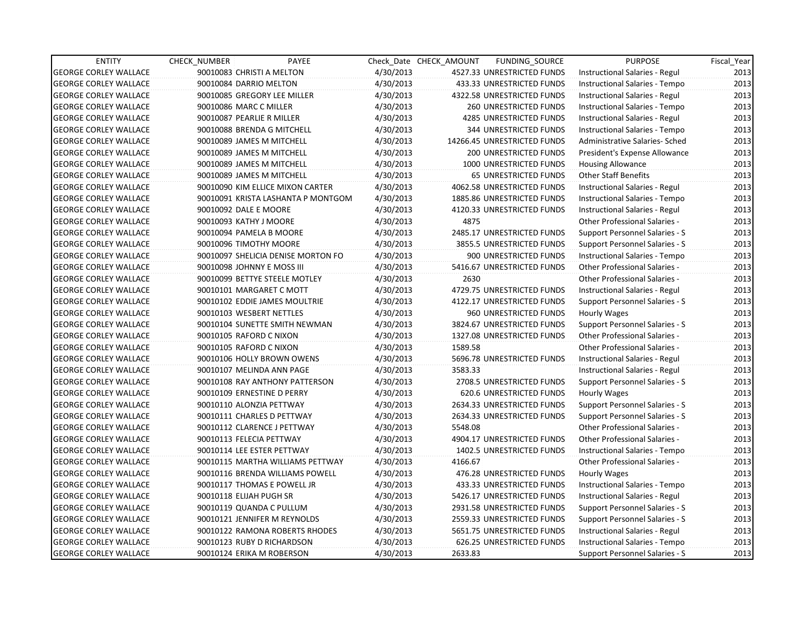| <b>ENTITY</b>                | <b>CHECK NUMBER</b>              | PAYEE                              |           | Check Date CHECK AMOUNT | FUNDING_SOURCE                | <b>PURPOSE</b>                        | Fiscal Year |
|------------------------------|----------------------------------|------------------------------------|-----------|-------------------------|-------------------------------|---------------------------------------|-------------|
| <b>GEORGE CORLEY WALLACE</b> | 90010083 CHRISTI A MELTON        |                                    | 4/30/2013 |                         | 4527.33 UNRESTRICTED FUNDS    | Instructional Salaries - Regul        | 2013        |
| <b>GEORGE CORLEY WALLACE</b> | 90010084 DARRIO MELTON           |                                    | 4/30/2013 |                         | 433.33 UNRESTRICTED FUNDS     | Instructional Salaries - Tempo        | 2013        |
| <b>GEORGE CORLEY WALLACE</b> | 90010085 GREGORY LEE MILLER      |                                    | 4/30/2013 |                         | 4322.58 UNRESTRICTED FUNDS    | Instructional Salaries - Regul        | 2013        |
| <b>GEORGE CORLEY WALLACE</b> | 90010086 MARC C MILLER           |                                    | 4/30/2013 |                         | 260 UNRESTRICTED FUNDS        | Instructional Salaries - Tempo        | 2013        |
| <b>GEORGE CORLEY WALLACE</b> | 90010087 PEARLIE R MILLER        |                                    | 4/30/2013 |                         | 4285 UNRESTRICTED FUNDS       | Instructional Salaries - Regul        | 2013        |
| <b>GEORGE CORLEY WALLACE</b> | 90010088 BRENDA G MITCHELL       |                                    | 4/30/2013 |                         | 344 UNRESTRICTED FUNDS        | Instructional Salaries - Tempo        | 2013        |
| <b>GEORGE CORLEY WALLACE</b> | 90010089 JAMES M MITCHELL        |                                    | 4/30/2013 |                         | 14266.45 UNRESTRICTED FUNDS   | Administrative Salaries- Sched        | 2013        |
| <b>GEORGE CORLEY WALLACE</b> | 90010089 JAMES M MITCHELL        |                                    | 4/30/2013 |                         | <b>200 UNRESTRICTED FUNDS</b> | President's Expense Allowance         | 2013        |
| <b>GEORGE CORLEY WALLACE</b> | 90010089 JAMES M MITCHELL        |                                    | 4/30/2013 |                         | 1000 UNRESTRICTED FUNDS       | <b>Housing Allowance</b>              | 2013        |
| <b>GEORGE CORLEY WALLACE</b> | 90010089 JAMES M MITCHELL        |                                    | 4/30/2013 |                         | <b>65 UNRESTRICTED FUNDS</b>  | <b>Other Staff Benefits</b>           | 2013        |
| <b>GEORGE CORLEY WALLACE</b> | 90010090 KIM ELLICE MIXON CARTER |                                    | 4/30/2013 |                         | 4062.58 UNRESTRICTED FUNDS    | Instructional Salaries - Regul        | 2013        |
| <b>GEORGE CORLEY WALLACE</b> |                                  | 90010091 KRISTA LASHANTA P MONTGOM | 4/30/2013 |                         | 1885.86 UNRESTRICTED FUNDS    | Instructional Salaries - Tempo        | 2013        |
| <b>GEORGE CORLEY WALLACE</b> | 90010092 DALE E MOORE            |                                    | 4/30/2013 |                         | 4120.33 UNRESTRICTED FUNDS    | Instructional Salaries - Regul        | 2013        |
| <b>GEORGE CORLEY WALLACE</b> | 90010093 KATHY J MOORE           |                                    | 4/30/2013 | 4875                    |                               | Other Professional Salaries -         | 2013        |
| <b>GEORGE CORLEY WALLACE</b> | 90010094 PAMELA B MOORE          |                                    | 4/30/2013 |                         | 2485.17 UNRESTRICTED FUNDS    | Support Personnel Salaries - S        | 2013        |
| <b>GEORGE CORLEY WALLACE</b> | 90010096 TIMOTHY MOORE           |                                    | 4/30/2013 |                         | 3855.5 UNRESTRICTED FUNDS     | Support Personnel Salaries - S        | 2013        |
| <b>GEORGE CORLEY WALLACE</b> |                                  | 90010097 SHELICIA DENISE MORTON FO | 4/30/2013 |                         | 900 UNRESTRICTED FUNDS        | Instructional Salaries - Tempo        | 2013        |
| <b>GEORGE CORLEY WALLACE</b> | 90010098 JOHNNY E MOSS III       |                                    | 4/30/2013 |                         | 5416.67 UNRESTRICTED FUNDS    | <b>Other Professional Salaries -</b>  | 2013        |
| <b>GEORGE CORLEY WALLACE</b> | 90010099 BETTYE STEELE MOTLEY    |                                    | 4/30/2013 | 2630                    |                               | <b>Other Professional Salaries -</b>  | 2013        |
| <b>GEORGE CORLEY WALLACE</b> | 90010101 MARGARET C MOTT         |                                    | 4/30/2013 |                         | 4729.75 UNRESTRICTED FUNDS    | Instructional Salaries - Regul        | 2013        |
| <b>GEORGE CORLEY WALLACE</b> | 90010102 EDDIE JAMES MOULTRIE    |                                    | 4/30/2013 |                         | 4122.17 UNRESTRICTED FUNDS    | Support Personnel Salaries - S        | 2013        |
| <b>GEORGE CORLEY WALLACE</b> | 90010103 WESBERT NETTLES         |                                    | 4/30/2013 |                         | 960 UNRESTRICTED FUNDS        | Hourly Wages                          | 2013        |
| <b>GEORGE CORLEY WALLACE</b> | 90010104 SUNETTE SMITH NEWMAN    |                                    | 4/30/2013 |                         | 3824.67 UNRESTRICTED FUNDS    | <b>Support Personnel Salaries - S</b> | 2013        |
| <b>GEORGE CORLEY WALLACE</b> | 90010105 RAFORD C NIXON          |                                    | 4/30/2013 |                         | 1327.08 UNRESTRICTED FUNDS    | Other Professional Salaries -         | 2013        |
| <b>GEORGE CORLEY WALLACE</b> | 90010105 RAFORD C NIXON          |                                    | 4/30/2013 | 1589.58                 |                               | Other Professional Salaries -         | 2013        |
| <b>GEORGE CORLEY WALLACE</b> | 90010106 HOLLY BROWN OWENS       |                                    | 4/30/2013 |                         | 5696.78 UNRESTRICTED FUNDS    | Instructional Salaries - Regul        | 2013        |
| <b>GEORGE CORLEY WALLACE</b> | 90010107 MELINDA ANN PAGE        |                                    | 4/30/2013 | 3583.33                 |                               | Instructional Salaries - Regul        | 2013        |
| <b>GEORGE CORLEY WALLACE</b> | 90010108 RAY ANTHONY PATTERSON   |                                    | 4/30/2013 |                         | 2708.5 UNRESTRICTED FUNDS     | Support Personnel Salaries - S        | 2013        |
| <b>GEORGE CORLEY WALLACE</b> | 90010109 ERNESTINE D PERRY       |                                    | 4/30/2013 |                         | 620.6 UNRESTRICTED FUNDS      | Hourly Wages                          | 2013        |
| <b>GEORGE CORLEY WALLACE</b> | 90010110 ALONZIA PETTWAY         |                                    | 4/30/2013 |                         | 2634.33 UNRESTRICTED FUNDS    | Support Personnel Salaries - S        | 2013        |
| <b>GEORGE CORLEY WALLACE</b> | 90010111 CHARLES D PETTWAY       |                                    | 4/30/2013 |                         | 2634.33 UNRESTRICTED FUNDS    | Support Personnel Salaries - S        | 2013        |
| <b>GEORGE CORLEY WALLACE</b> | 90010112 CLARENCE J PETTWAY      |                                    | 4/30/2013 | 5548.08                 |                               | Other Professional Salaries -         | 2013        |
| <b>GEORGE CORLEY WALLACE</b> | 90010113 FELECIA PETTWAY         |                                    | 4/30/2013 |                         | 4904.17 UNRESTRICTED FUNDS    | <b>Other Professional Salaries -</b>  | 2013        |
| <b>GEORGE CORLEY WALLACE</b> | 90010114 LEE ESTER PETTWAY       |                                    | 4/30/2013 |                         | 1402.5 UNRESTRICTED FUNDS     | Instructional Salaries - Tempo        | 2013        |
| <b>GEORGE CORLEY WALLACE</b> |                                  | 90010115 MARTHA WILLIAMS PETTWAY   | 4/30/2013 | 4166.67                 |                               | Other Professional Salaries -         | 2013        |
| <b>GEORGE CORLEY WALLACE</b> | 90010116 BRENDA WILLIAMS POWELL  |                                    | 4/30/2013 |                         | 476.28 UNRESTRICTED FUNDS     | <b>Hourly Wages</b>                   | 2013        |
| <b>GEORGE CORLEY WALLACE</b> | 90010117 THOMAS E POWELL JR      |                                    | 4/30/2013 |                         | 433.33 UNRESTRICTED FUNDS     | Instructional Salaries - Tempo        | 2013        |
| <b>GEORGE CORLEY WALLACE</b> | 90010118 ELIJAH PUGH SR          |                                    | 4/30/2013 |                         | 5426.17 UNRESTRICTED FUNDS    | Instructional Salaries - Regul        | 2013        |
| <b>GEORGE CORLEY WALLACE</b> | 90010119 QUANDA C PULLUM         |                                    | 4/30/2013 |                         | 2931.58 UNRESTRICTED FUNDS    | Support Personnel Salaries - S        | 2013        |
| <b>GEORGE CORLEY WALLACE</b> | 90010121 JENNIFER M REYNOLDS     |                                    | 4/30/2013 |                         | 2559.33 UNRESTRICTED FUNDS    | Support Personnel Salaries - S        | 2013        |
| <b>GEORGE CORLEY WALLACE</b> | 90010122 RAMONA ROBERTS RHODES   |                                    | 4/30/2013 |                         | 5651.75 UNRESTRICTED FUNDS    | Instructional Salaries - Regul        | 2013        |
| <b>GEORGE CORLEY WALLACE</b> | 90010123 RUBY D RICHARDSON       |                                    | 4/30/2013 |                         | 626.25 UNRESTRICTED FUNDS     | Instructional Salaries - Tempo        | 2013        |
| <b>GEORGE CORLEY WALLACE</b> | 90010124 ERIKA M ROBERSON        |                                    | 4/30/2013 | 2633.83                 |                               | Support Personnel Salaries - S        | 2013        |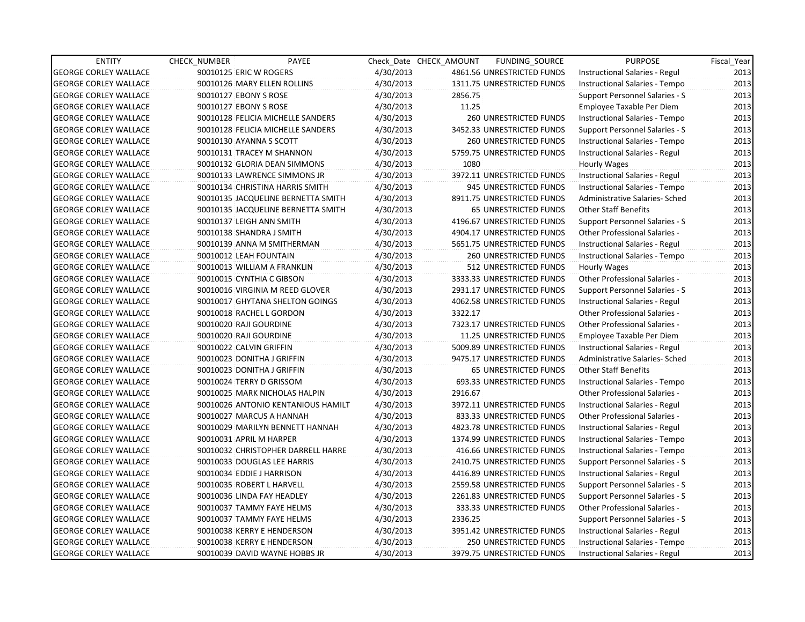| <b>ENTITY</b>                | <b>CHECK NUMBER</b> | PAYEE                              |           | Check Date CHECK AMOUNT | FUNDING SOURCE                | <b>PURPOSE</b>                        | Fiscal_Year |
|------------------------------|---------------------|------------------------------------|-----------|-------------------------|-------------------------------|---------------------------------------|-------------|
| <b>GEORGE CORLEY WALLACE</b> |                     | 90010125 ERIC W ROGERS             | 4/30/2013 |                         | 4861.56 UNRESTRICTED FUNDS    | Instructional Salaries - Regul        | 2013        |
| <b>GEORGE CORLEY WALLACE</b> |                     | 90010126 MARY ELLEN ROLLINS        | 4/30/2013 |                         | 1311.75 UNRESTRICTED FUNDS    | Instructional Salaries - Tempo        | 2013        |
| <b>GEORGE CORLEY WALLACE</b> |                     | 90010127 EBONY S ROSE              | 4/30/2013 | 2856.75                 |                               | Support Personnel Salaries - S        | 2013        |
| <b>GEORGE CORLEY WALLACE</b> |                     | 90010127 EBONY S ROSE              | 4/30/2013 | 11.25                   |                               | Employee Taxable Per Diem             | 2013        |
| <b>GEORGE CORLEY WALLACE</b> |                     | 90010128 FELICIA MICHELLE SANDERS  | 4/30/2013 |                         | <b>260 UNRESTRICTED FUNDS</b> | Instructional Salaries - Tempo        | 2013        |
| <b>GEORGE CORLEY WALLACE</b> |                     | 90010128 FELICIA MICHELLE SANDERS  | 4/30/2013 |                         | 3452.33 UNRESTRICTED FUNDS    | Support Personnel Salaries - S        | 2013        |
| GEORGE CORLEY WALLACE        |                     | 90010130 AYANNA S SCOTT            | 4/30/2013 |                         | <b>260 UNRESTRICTED FUNDS</b> | Instructional Salaries - Tempo        | 2013        |
| <b>GEORGE CORLEY WALLACE</b> |                     | 90010131 TRACEY M SHANNON          | 4/30/2013 |                         | 5759.75 UNRESTRICTED FUNDS    | Instructional Salaries - Regul        | 2013        |
| <b>GEORGE CORLEY WALLACE</b> |                     | 90010132 GLORIA DEAN SIMMONS       | 4/30/2013 | 1080                    |                               | Hourly Wages                          | 2013        |
| <b>GEORGE CORLEY WALLACE</b> |                     | 90010133 LAWRENCE SIMMONS JR       | 4/30/2013 |                         | 3972.11 UNRESTRICTED FUNDS    | Instructional Salaries - Regul        | 2013        |
| <b>GEORGE CORLEY WALLACE</b> |                     | 90010134 CHRISTINA HARRIS SMITH    | 4/30/2013 |                         | 945 UNRESTRICTED FUNDS        | Instructional Salaries - Tempo        | 2013        |
| <b>GEORGE CORLEY WALLACE</b> |                     | 90010135 JACQUELINE BERNETTA SMITH | 4/30/2013 |                         | 8911.75 UNRESTRICTED FUNDS    | Administrative Salaries- Sched        | 2013        |
| <b>GEORGE CORLEY WALLACE</b> |                     | 90010135 JACQUELINE BERNETTA SMITH | 4/30/2013 |                         | 65 UNRESTRICTED FUNDS         | <b>Other Staff Benefits</b>           | 2013        |
| <b>GEORGE CORLEY WALLACE</b> |                     | 90010137 LEIGH ANN SMITH           | 4/30/2013 |                         | 4196.67 UNRESTRICTED FUNDS    | Support Personnel Salaries - S        | 2013        |
| <b>GEORGE CORLEY WALLACE</b> |                     | 90010138 SHANDRA J SMITH           | 4/30/2013 |                         | 4904.17 UNRESTRICTED FUNDS    | <b>Other Professional Salaries -</b>  | 2013        |
| <b>GEORGE CORLEY WALLACE</b> |                     | 90010139 ANNA M SMITHERMAN         | 4/30/2013 |                         | 5651.75 UNRESTRICTED FUNDS    | Instructional Salaries - Regul        | 2013        |
| <b>GEORGE CORLEY WALLACE</b> |                     | 90010012 LEAH FOUNTAIN             | 4/30/2013 |                         | <b>260 UNRESTRICTED FUNDS</b> | Instructional Salaries - Tempo        | 2013        |
| <b>GEORGE CORLEY WALLACE</b> |                     | 90010013 WILLIAM A FRANKLIN        | 4/30/2013 |                         | 512 UNRESTRICTED FUNDS        | Hourly Wages                          | 2013        |
| <b>GEORGE CORLEY WALLACE</b> |                     | 90010015 CYNTHIA C GIBSON          | 4/30/2013 |                         | 3333.33 UNRESTRICTED FUNDS    | Other Professional Salaries -         | 2013        |
| <b>GEORGE CORLEY WALLACE</b> |                     | 90010016 VIRGINIA M REED GLOVER    | 4/30/2013 |                         | 2931.17 UNRESTRICTED FUNDS    | Support Personnel Salaries - S        | 2013        |
| <b>GEORGE CORLEY WALLACE</b> |                     | 90010017 GHYTANA SHELTON GOINGS    | 4/30/2013 |                         | 4062.58 UNRESTRICTED FUNDS    | Instructional Salaries - Regul        | 2013        |
| <b>GEORGE CORLEY WALLACE</b> |                     | 90010018 RACHEL L GORDON           | 4/30/2013 | 3322.17                 |                               | Other Professional Salaries -         | 2013        |
| <b>GEORGE CORLEY WALLACE</b> |                     | 90010020 RAJI GOURDINE             | 4/30/2013 |                         | 7323.17 UNRESTRICTED FUNDS    | <b>Other Professional Salaries -</b>  | 2013        |
| <b>GEORGE CORLEY WALLACE</b> |                     | 90010020 RAJI GOURDINE             | 4/30/2013 |                         | 11.25 UNRESTRICTED FUNDS      | Employee Taxable Per Diem             | 2013        |
| <b>GEORGE CORLEY WALLACE</b> |                     | 90010022 CALVIN GRIFFIN            | 4/30/2013 |                         | 5009.89 UNRESTRICTED FUNDS    | Instructional Salaries - Regul        | 2013        |
| <b>GEORGE CORLEY WALLACE</b> |                     | 90010023 DONITHA J GRIFFIN         | 4/30/2013 |                         | 9475.17 UNRESTRICTED FUNDS    | Administrative Salaries- Sched        | 2013        |
| <b>GEORGE CORLEY WALLACE</b> |                     | 90010023 DONITHA J GRIFFIN         | 4/30/2013 |                         | <b>65 UNRESTRICTED FUNDS</b>  | <b>Other Staff Benefits</b>           | 2013        |
| <b>GEORGE CORLEY WALLACE</b> |                     | 90010024 TERRY D GRISSOM           | 4/30/2013 |                         | 693.33 UNRESTRICTED FUNDS     | Instructional Salaries - Tempo        | 2013        |
| <b>GEORGE CORLEY WALLACE</b> |                     | 90010025 MARK NICHOLAS HALPIN      | 4/30/2013 | 2916.67                 |                               | <b>Other Professional Salaries -</b>  | 2013        |
| <b>GEORGE CORLEY WALLACE</b> |                     | 90010026 ANTONIO KENTANIOUS HAMILT | 4/30/2013 |                         | 3972.11 UNRESTRICTED FUNDS    | Instructional Salaries - Regul        | 2013        |
| <b>GEORGE CORLEY WALLACE</b> |                     | 90010027 MARCUS A HANNAH           | 4/30/2013 |                         | 833.33 UNRESTRICTED FUNDS     | <b>Other Professional Salaries -</b>  | 2013        |
| <b>GEORGE CORLEY WALLACE</b> |                     | 90010029 MARILYN BENNETT HANNAH    | 4/30/2013 |                         | 4823.78 UNRESTRICTED FUNDS    | Instructional Salaries - Regul        | 2013        |
| <b>GEORGE CORLEY WALLACE</b> |                     | 90010031 APRIL M HARPER            | 4/30/2013 |                         | 1374.99 UNRESTRICTED FUNDS    | Instructional Salaries - Tempo        | 2013        |
| <b>GEORGE CORLEY WALLACE</b> |                     | 90010032 CHRISTOPHER DARRELL HARRE | 4/30/2013 |                         | 416.66 UNRESTRICTED FUNDS     | Instructional Salaries - Tempo        | 2013        |
| <b>GEORGE CORLEY WALLACE</b> |                     | 90010033 DOUGLAS LEE HARRIS        | 4/30/2013 |                         | 2410.75 UNRESTRICTED FUNDS    | Support Personnel Salaries - S        | 2013        |
| <b>GEORGE CORLEY WALLACE</b> |                     | 90010034 EDDIE J HARRISON          | 4/30/2013 |                         | 4416.89 UNRESTRICTED FUNDS    | Instructional Salaries - Regul        | 2013        |
| <b>GEORGE CORLEY WALLACE</b> |                     | 90010035 ROBERT L HARVELL          | 4/30/2013 |                         | 2559.58 UNRESTRICTED FUNDS    | <b>Support Personnel Salaries - S</b> | 2013        |
| <b>GEORGE CORLEY WALLACE</b> |                     | 90010036 LINDA FAY HEADLEY         | 4/30/2013 |                         | 2261.83 UNRESTRICTED FUNDS    | <b>Support Personnel Salaries - S</b> | 2013        |
| <b>GEORGE CORLEY WALLACE</b> |                     | 90010037 TAMMY FAYE HELMS          | 4/30/2013 |                         | 333.33 UNRESTRICTED FUNDS     | Other Professional Salaries -         | 2013        |
| <b>GEORGE CORLEY WALLACE</b> |                     | 90010037 TAMMY FAYE HELMS          | 4/30/2013 | 2336.25                 |                               | Support Personnel Salaries - S        | 2013        |
| <b>GEORGE CORLEY WALLACE</b> |                     | 90010038 KERRY E HENDERSON         | 4/30/2013 |                         | 3951.42 UNRESTRICTED FUNDS    | Instructional Salaries - Regul        | 2013        |
| <b>GEORGE CORLEY WALLACE</b> |                     | 90010038 KERRY E HENDERSON         | 4/30/2013 |                         | 250 UNRESTRICTED FUNDS        | Instructional Salaries - Tempo        | 2013        |
| <b>GEORGE CORLEY WALLACE</b> |                     | 90010039 DAVID WAYNE HOBBS JR      | 4/30/2013 |                         | 3979.75 UNRESTRICTED FUNDS    | Instructional Salaries - Regul        | 2013        |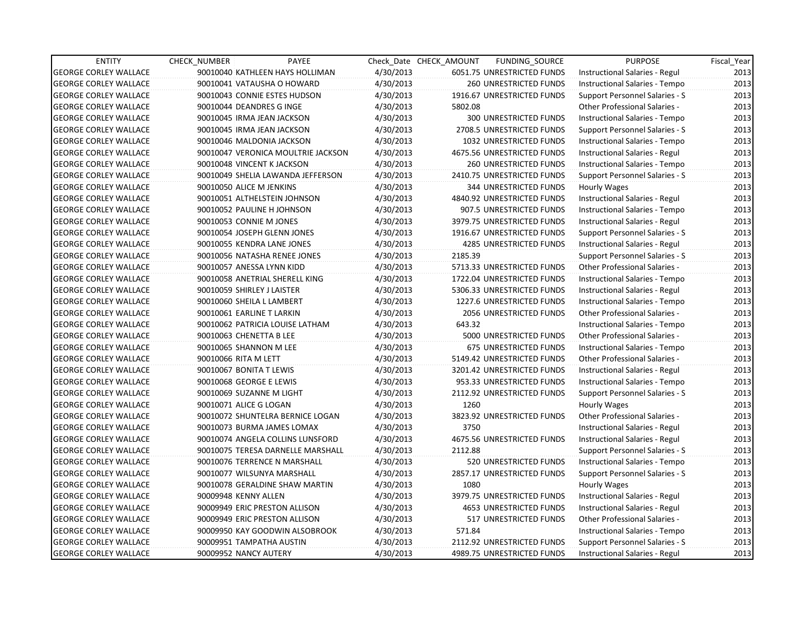| <b>ENTITY</b>                | <b>CHECK NUMBER</b>    | PAYEE                              |           | Check Date CHECK AMOUNT | FUNDING_SOURCE                 | <b>PURPOSE</b>                        | Fiscal_Year |
|------------------------------|------------------------|------------------------------------|-----------|-------------------------|--------------------------------|---------------------------------------|-------------|
| <b>GEORGE CORLEY WALLACE</b> |                        | 90010040 KATHLEEN HAYS HOLLIMAN    | 4/30/2013 |                         | 6051.75 UNRESTRICTED FUNDS     | Instructional Salaries - Regul        | 2013        |
| <b>GEORGE CORLEY WALLACE</b> |                        | 90010041 VATAUSHA O HOWARD         | 4/30/2013 |                         | 260 UNRESTRICTED FUNDS         | Instructional Salaries - Tempo        | 2013        |
| <b>GEORGE CORLEY WALLACE</b> |                        | 90010043 CONNIE ESTES HUDSON       | 4/30/2013 |                         | 1916.67 UNRESTRICTED FUNDS     | Support Personnel Salaries - S        | 2013        |
| <b>GEORGE CORLEY WALLACE</b> |                        | 90010044 DEANDRES G INGE           | 4/30/2013 | 5802.08                 |                                | <b>Other Professional Salaries -</b>  | 2013        |
| <b>GEORGE CORLEY WALLACE</b> |                        | 90010045 IRMA JEAN JACKSON         | 4/30/2013 |                         | <b>300 UNRESTRICTED FUNDS</b>  | Instructional Salaries - Tempo        | 2013        |
| <b>GEORGE CORLEY WALLACE</b> |                        | 90010045 IRMA JEAN JACKSON         | 4/30/2013 |                         | 2708.5 UNRESTRICTED FUNDS      | Support Personnel Salaries - S        | 2013        |
| <b>GEORGE CORLEY WALLACE</b> |                        | 90010046 MALDONIA JACKSON          | 4/30/2013 |                         | 1032 UNRESTRICTED FUNDS        | Instructional Salaries - Tempo        | 2013        |
| <b>GEORGE CORLEY WALLACE</b> |                        | 90010047 VERONICA MOULTRIE JACKSON | 4/30/2013 |                         | 4675.56 UNRESTRICTED FUNDS     | Instructional Salaries - Regul        | 2013        |
| <b>GEORGE CORLEY WALLACE</b> |                        | 90010048 VINCENT K JACKSON         | 4/30/2013 |                         | <b>260 UNRESTRICTED FUNDS</b>  | Instructional Salaries - Tempo        | 2013        |
| <b>GEORGE CORLEY WALLACE</b> |                        | 90010049 SHELIA LAWANDA JEFFERSON  | 4/30/2013 |                         | 2410.75 UNRESTRICTED FUNDS     | Support Personnel Salaries - S        | 2013        |
| <b>GEORGE CORLEY WALLACE</b> |                        | 90010050 ALICE M JENKINS           | 4/30/2013 |                         | <b>344 UNRESTRICTED FUNDS</b>  | Hourly Wages                          | 2013        |
| <b>GEORGE CORLEY WALLACE</b> |                        | 90010051 ALTHELSTEIN JOHNSON       | 4/30/2013 |                         | 4840.92 UNRESTRICTED FUNDS     | Instructional Salaries - Regul        | 2013        |
| <b>GEORGE CORLEY WALLACE</b> |                        | 90010052 PAULINE H JOHNSON         | 4/30/2013 |                         | 907.5 UNRESTRICTED FUNDS       | Instructional Salaries - Tempo        | 2013        |
| <b>GEORGE CORLEY WALLACE</b> |                        | 90010053 CONNIE M JONES            | 4/30/2013 |                         | 3979.75 UNRESTRICTED FUNDS     | Instructional Salaries - Regul        | 2013        |
| <b>GEORGE CORLEY WALLACE</b> |                        | 90010054 JOSEPH GLENN JONES        | 4/30/2013 |                         | 1916.67 UNRESTRICTED FUNDS     | Support Personnel Salaries - S        | 2013        |
| <b>GEORGE CORLEY WALLACE</b> |                        | 90010055 KENDRA LANE JONES         | 4/30/2013 |                         | 4285 UNRESTRICTED FUNDS        | Instructional Salaries - Regul        | 2013        |
| <b>GEORGE CORLEY WALLACE</b> |                        | 90010056 NATASHA RENEE JONES       | 4/30/2013 | 2185.39                 |                                | <b>Support Personnel Salaries - S</b> | 2013        |
| <b>GEORGE CORLEY WALLACE</b> |                        | 90010057 ANESSA LYNN KIDD          | 4/30/2013 |                         | 5713.33 UNRESTRICTED FUNDS     | <b>Other Professional Salaries -</b>  | 2013        |
| <b>GEORGE CORLEY WALLACE</b> |                        | 90010058 ANETRIAL SHERELL KING     | 4/30/2013 |                         | 1722.04 UNRESTRICTED FUNDS     | Instructional Salaries - Tempo        | 2013        |
| <b>GEORGE CORLEY WALLACE</b> |                        | 90010059 SHIRLEY J LAISTER         | 4/30/2013 |                         | 5306.33 UNRESTRICTED FUNDS     | Instructional Salaries - Regul        | 2013        |
| <b>GEORGE CORLEY WALLACE</b> |                        | 90010060 SHEILA L LAMBERT          | 4/30/2013 |                         | 1227.6 UNRESTRICTED FUNDS      | Instructional Salaries - Tempo        | 2013        |
| <b>GEORGE CORLEY WALLACE</b> |                        | 90010061 EARLINE T LARKIN          | 4/30/2013 |                         | 2056 UNRESTRICTED FUNDS        | Other Professional Salaries -         | 2013        |
| <b>GEORGE CORLEY WALLACE</b> |                        | 90010062 PATRICIA LOUISE LATHAM    | 4/30/2013 | 643.32                  |                                | Instructional Salaries - Tempo        | 2013        |
| <b>GEORGE CORLEY WALLACE</b> |                        | 90010063 CHENETTA B LEE            | 4/30/2013 |                         | 5000 UNRESTRICTED FUNDS        | <b>Other Professional Salaries -</b>  | 2013        |
| <b>GEORGE CORLEY WALLACE</b> |                        | 90010065 SHANNON M LEE             | 4/30/2013 |                         | <b>675 UNRESTRICTED FUNDS</b>  | Instructional Salaries - Tempo        | 2013        |
| <b>GEORGE CORLEY WALLACE</b> | 90010066 RITA M LETT   |                                    | 4/30/2013 |                         | 5149.42 UNRESTRICTED FUNDS     | <b>Other Professional Salaries -</b>  | 2013        |
| <b>GEORGE CORLEY WALLACE</b> |                        | 90010067 BONITA T LEWIS            | 4/30/2013 |                         | 3201.42 UNRESTRICTED FUNDS     | Instructional Salaries - Regul        | 2013        |
| <b>GEORGE CORLEY WALLACE</b> |                        | 90010068 GEORGE E LEWIS            | 4/30/2013 |                         | 953.33 UNRESTRICTED FUNDS      | Instructional Salaries - Tempo        | 2013        |
| <b>GEORGE CORLEY WALLACE</b> |                        | 90010069 SUZANNE M LIGHT           | 4/30/2013 |                         | 2112.92 UNRESTRICTED FUNDS     | Support Personnel Salaries - S        | 2013        |
| <b>GEORGE CORLEY WALLACE</b> | 90010071 ALICE G LOGAN |                                    | 4/30/2013 | 1260                    |                                | Hourly Wages                          | 2013        |
| <b>GEORGE CORLEY WALLACE</b> |                        | 90010072 SHUNTELRA BERNICE LOGAN   | 4/30/2013 |                         | 3823.92 UNRESTRICTED FUNDS     | Other Professional Salaries -         | 2013        |
| <b>GEORGE CORLEY WALLACE</b> |                        | 90010073 BURMA JAMES LOMAX         | 4/30/2013 | 3750                    |                                | Instructional Salaries - Regul        | 2013        |
| <b>GEORGE CORLEY WALLACE</b> |                        | 90010074 ANGELA COLLINS LUNSFORD   | 4/30/2013 |                         | 4675.56 UNRESTRICTED FUNDS     | Instructional Salaries - Regul        | 2013        |
| <b>GEORGE CORLEY WALLACE</b> |                        | 90010075 TERESA DARNELLE MARSHALL  | 4/30/2013 | 2112.88                 |                                | Support Personnel Salaries - S        | 2013        |
| <b>GEORGE CORLEY WALLACE</b> |                        | 90010076 TERRENCE N MARSHALL       | 4/30/2013 |                         | 520 UNRESTRICTED FUNDS         | Instructional Salaries - Tempo        | 2013        |
| <b>GEORGE CORLEY WALLACE</b> |                        | 90010077 WILSUNYA MARSHALL         | 4/30/2013 |                         | 2857.17 UNRESTRICTED FUNDS     | Support Personnel Salaries - S        | 2013        |
| <b>GEORGE CORLEY WALLACE</b> |                        | 90010078 GERALDINE SHAW MARTIN     | 4/30/2013 | 1080                    |                                | Hourly Wages                          | 2013        |
| <b>GEORGE CORLEY WALLACE</b> | 90009948 KENNY ALLEN   |                                    | 4/30/2013 |                         | 3979.75 UNRESTRICTED FUNDS     | Instructional Salaries - Regul        | 2013        |
| <b>GEORGE CORLEY WALLACE</b> |                        | 90009949 ERIC PRESTON ALLISON      | 4/30/2013 |                         | <b>4653 UNRESTRICTED FUNDS</b> | Instructional Salaries - Regul        | 2013        |
| <b>GEORGE CORLEY WALLACE</b> |                        | 90009949 ERIC PRESTON ALLISON      | 4/30/2013 |                         | 517 UNRESTRICTED FUNDS         | Other Professional Salaries -         | 2013        |
| <b>GEORGE CORLEY WALLACE</b> |                        | 90009950 KAY GOODWIN ALSOBROOK     | 4/30/2013 | 571.84                  |                                | Instructional Salaries - Tempo        | 2013        |
| <b>GEORGE CORLEY WALLACE</b> |                        | 90009951 TAMPATHA AUSTIN           | 4/30/2013 |                         | 2112.92 UNRESTRICTED FUNDS     | Support Personnel Salaries - S        | 2013        |
| <b>GEORGE CORLEY WALLACE</b> | 90009952 NANCY AUTERY  |                                    | 4/30/2013 |                         | 4989.75 UNRESTRICTED FUNDS     | Instructional Salaries - Regul        | 2013        |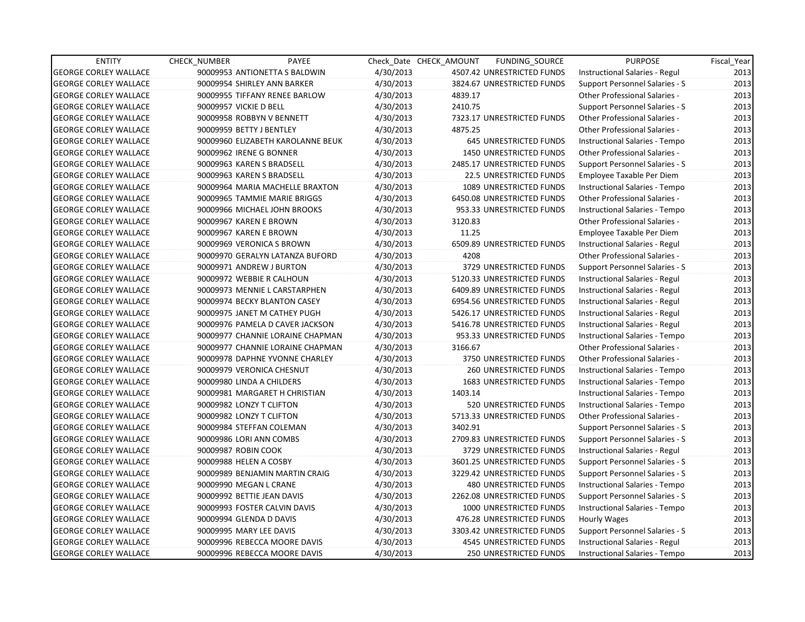| <b>ENTITY</b>                | CHECK_NUMBER             | PAYEE                             |           | Check Date CHECK AMOUNT | FUNDING_SOURCE                 | <b>PURPOSE</b>                        | Fiscal_Year |
|------------------------------|--------------------------|-----------------------------------|-----------|-------------------------|--------------------------------|---------------------------------------|-------------|
| <b>GEORGE CORLEY WALLACE</b> |                          | 90009953 ANTIONETTA S BALDWIN     | 4/30/2013 |                         | 4507.42 UNRESTRICTED FUNDS     | Instructional Salaries - Regul        | 2013        |
| <b>GEORGE CORLEY WALLACE</b> |                          | 90009954 SHIRLEY ANN BARKER       | 4/30/2013 |                         | 3824.67 UNRESTRICTED FUNDS     | Support Personnel Salaries - S        | 2013        |
| <b>GEORGE CORLEY WALLACE</b> |                          | 90009955 TIFFANY RENEE BARLOW     | 4/30/2013 | 4839.17                 |                                | <b>Other Professional Salaries -</b>  | 2013        |
| <b>GEORGE CORLEY WALLACE</b> | 90009957 VICKIE D BELL   |                                   | 4/30/2013 | 2410.75                 |                                | Support Personnel Salaries - S        | 2013        |
| <b>GEORGE CORLEY WALLACE</b> |                          | 90009958 ROBBYN V BENNETT         | 4/30/2013 |                         | 7323.17 UNRESTRICTED FUNDS     | <b>Other Professional Salaries -</b>  | 2013        |
| <b>GEORGE CORLEY WALLACE</b> | 90009959 BETTY J BENTLEY |                                   | 4/30/2013 | 4875.25                 |                                | <b>Other Professional Salaries -</b>  | 2013        |
| <b>GEORGE CORLEY WALLACE</b> |                          | 90009960 ELIZABETH KAROLANNE BEUK | 4/30/2013 |                         | 645 UNRESTRICTED FUNDS         | Instructional Salaries - Tempo        | 2013        |
| <b>GEORGE CORLEY WALLACE</b> | 90009962 IRENE G BONNER  |                                   | 4/30/2013 |                         | <b>1450 UNRESTRICTED FUNDS</b> | <b>Other Professional Salaries -</b>  | 2013        |
| <b>GEORGE CORLEY WALLACE</b> |                          | 90009963 KAREN S BRADSELL         | 4/30/2013 |                         | 2485.17 UNRESTRICTED FUNDS     | Support Personnel Salaries - S        | 2013        |
| <b>GEORGE CORLEY WALLACE</b> |                          | 90009963 KAREN S BRADSELL         | 4/30/2013 |                         | 22.5 UNRESTRICTED FUNDS        | Employee Taxable Per Diem             | 2013        |
| <b>GEORGE CORLEY WALLACE</b> |                          | 90009964 MARIA MACHELLE BRAXTON   | 4/30/2013 |                         | 1089 UNRESTRICTED FUNDS        | Instructional Salaries - Tempo        | 2013        |
| <b>GEORGE CORLEY WALLACE</b> |                          | 90009965 TAMMIE MARIE BRIGGS      | 4/30/2013 |                         | 6450.08 UNRESTRICTED FUNDS     | Other Professional Salaries -         | 2013        |
| <b>GEORGE CORLEY WALLACE</b> |                          | 90009966 MICHAEL JOHN BROOKS      | 4/30/2013 |                         | 953.33 UNRESTRICTED FUNDS      | Instructional Salaries - Tempo        | 2013        |
| <b>GEORGE CORLEY WALLACE</b> | 90009967 KAREN E BROWN   |                                   | 4/30/2013 | 3120.83                 |                                | <b>Other Professional Salaries -</b>  | 2013        |
| <b>GEORGE CORLEY WALLACE</b> | 90009967 KAREN E BROWN   |                                   | 4/30/2013 | 11.25                   |                                | Employee Taxable Per Diem             | 2013        |
| <b>GEORGE CORLEY WALLACE</b> |                          | 90009969 VERONICA S BROWN         | 4/30/2013 |                         | 6509.89 UNRESTRICTED FUNDS     | Instructional Salaries - Regul        | 2013        |
| <b>GEORGE CORLEY WALLACE</b> |                          | 90009970 GERALYN LATANZA BUFORD   | 4/30/2013 | 4208                    |                                | Other Professional Salaries -         | 2013        |
| <b>GEORGE CORLEY WALLACE</b> |                          | 90009971 ANDREW J BURTON          | 4/30/2013 |                         | 3729 UNRESTRICTED FUNDS        | <b>Support Personnel Salaries - S</b> | 2013        |
| <b>GEORGE CORLEY WALLACE</b> |                          | 90009972 WEBBIE R CALHOUN         | 4/30/2013 |                         | 5120.33 UNRESTRICTED FUNDS     | Instructional Salaries - Regul        | 2013        |
| <b>GEORGE CORLEY WALLACE</b> |                          | 90009973 MENNIE L CARSTARPHEN     | 4/30/2013 |                         | 6409.89 UNRESTRICTED FUNDS     | Instructional Salaries - Regul        | 2013        |
| <b>GEORGE CORLEY WALLACE</b> |                          | 90009974 BECKY BLANTON CASEY      | 4/30/2013 |                         | 6954.56 UNRESTRICTED FUNDS     | Instructional Salaries - Regul        | 2013        |
| <b>GEORGE CORLEY WALLACE</b> |                          | 90009975 JANET M CATHEY PUGH      | 4/30/2013 |                         | 5426.17 UNRESTRICTED FUNDS     | Instructional Salaries - Regul        | 2013        |
| <b>GEORGE CORLEY WALLACE</b> |                          | 90009976 PAMELA D CAVER JACKSON   | 4/30/2013 |                         | 5416.78 UNRESTRICTED FUNDS     | Instructional Salaries - Regul        | 2013        |
| <b>GEORGE CORLEY WALLACE</b> |                          | 90009977 CHANNIE LORAINE CHAPMAN  | 4/30/2013 |                         | 953.33 UNRESTRICTED FUNDS      | Instructional Salaries - Tempo        | 2013        |
| <b>GEORGE CORLEY WALLACE</b> |                          | 90009977 CHANNIE LORAINE CHAPMAN  | 4/30/2013 | 3166.67                 |                                | Other Professional Salaries -         | 2013        |
| <b>GEORGE CORLEY WALLACE</b> |                          | 90009978 DAPHNE YVONNE CHARLEY    | 4/30/2013 |                         | 3750 UNRESTRICTED FUNDS        | Other Professional Salaries -         | 2013        |
| <b>GEORGE CORLEY WALLACE</b> |                          | 90009979 VERONICA CHESNUT         | 4/30/2013 |                         | 260 UNRESTRICTED FUNDS         | Instructional Salaries - Tempo        | 2013        |
| <b>GEORGE CORLEY WALLACE</b> |                          | 90009980 LINDA A CHILDERS         | 4/30/2013 |                         | <b>1683 UNRESTRICTED FUNDS</b> | Instructional Salaries - Tempo        | 2013        |
| <b>GEORGE CORLEY WALLACE</b> |                          | 90009981 MARGARET H CHRISTIAN     | 4/30/2013 | 1403.14                 |                                | Instructional Salaries - Tempo        | 2013        |
| <b>GEORGE CORLEY WALLACE</b> | 90009982 LONZY T CLIFTON |                                   | 4/30/2013 |                         | 520 UNRESTRICTED FUNDS         | Instructional Salaries - Tempo        | 2013        |
| <b>GEORGE CORLEY WALLACE</b> | 90009982 LONZY T CLIFTON |                                   | 4/30/2013 |                         | 5713.33 UNRESTRICTED FUNDS     | Other Professional Salaries -         | 2013        |
| <b>GEORGE CORLEY WALLACE</b> |                          | 90009984 STEFFAN COLEMAN          | 4/30/2013 | 3402.91                 |                                | Support Personnel Salaries - S        | 2013        |
| <b>GEORGE CORLEY WALLACE</b> |                          | 90009986 LORI ANN COMBS           | 4/30/2013 |                         | 2709.83 UNRESTRICTED FUNDS     | Support Personnel Salaries - S        | 2013        |
| <b>GEORGE CORLEY WALLACE</b> | 90009987 ROBIN COOK      |                                   | 4/30/2013 |                         | 3729 UNRESTRICTED FUNDS        | Instructional Salaries - Regul        | 2013        |
| <b>GEORGE CORLEY WALLACE</b> | 90009988 HELEN A COSBY   |                                   | 4/30/2013 |                         | 3601.25 UNRESTRICTED FUNDS     | Support Personnel Salaries - S        | 2013        |
| <b>GEORGE CORLEY WALLACE</b> |                          | 90009989 BENJAMIN MARTIN CRAIG    | 4/30/2013 |                         | 3229.42 UNRESTRICTED FUNDS     | Support Personnel Salaries - S        | 2013        |
| <b>GEORGE CORLEY WALLACE</b> | 90009990 MEGAN L CRANE   |                                   | 4/30/2013 |                         | 480 UNRESTRICTED FUNDS         | Instructional Salaries - Tempo        | 2013        |
| <b>GEORGE CORLEY WALLACE</b> |                          | 90009992 BETTIE JEAN DAVIS        | 4/30/2013 |                         | 2262.08 UNRESTRICTED FUNDS     | <b>Support Personnel Salaries - S</b> | 2013        |
| <b>GEORGE CORLEY WALLACE</b> |                          | 90009993 FOSTER CALVIN DAVIS      | 4/30/2013 |                         | 1000 UNRESTRICTED FUNDS        | Instructional Salaries - Tempo        | 2013        |
| <b>GEORGE CORLEY WALLACE</b> | 90009994 GLENDA D DAVIS  |                                   | 4/30/2013 |                         | 476.28 UNRESTRICTED FUNDS      | Hourly Wages                          | 2013        |
| <b>GEORGE CORLEY WALLACE</b> | 90009995 MARY LEE DAVIS  |                                   | 4/30/2013 |                         | 3303.42 UNRESTRICTED FUNDS     | Support Personnel Salaries - S        | 2013        |
| <b>GEORGE CORLEY WALLACE</b> |                          | 90009996 REBECCA MOORE DAVIS      | 4/30/2013 |                         | 4545 UNRESTRICTED FUNDS        | Instructional Salaries - Regul        | 2013        |
| <b>GEORGE CORLEY WALLACE</b> |                          | 90009996 REBECCA MOORE DAVIS      | 4/30/2013 |                         | <b>250 UNRESTRICTED FUNDS</b>  | Instructional Salaries - Tempo        | 2013        |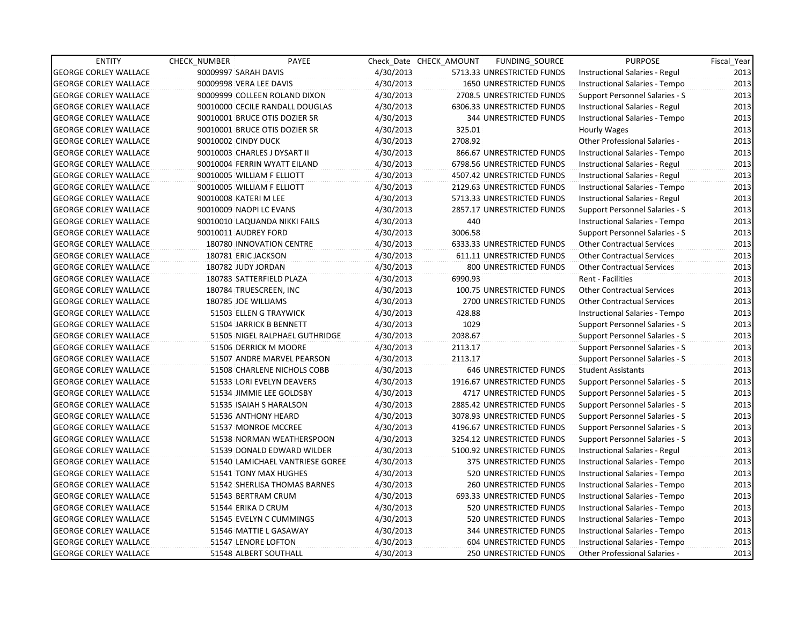| <b>ENTITY</b>                | CHECK_NUMBER          | PAYEE                           |           | Check Date CHECK AMOUNT | FUNDING_SOURCE                | <b>PURPOSE</b>                       | Fiscal_Year |
|------------------------------|-----------------------|---------------------------------|-----------|-------------------------|-------------------------------|--------------------------------------|-------------|
| <b>GEORGE CORLEY WALLACE</b> | 90009997 SARAH DAVIS  |                                 | 4/30/2013 |                         | 5713.33 UNRESTRICTED FUNDS    | Instructional Salaries - Regul       | 2013        |
| <b>GEORGE CORLEY WALLACE</b> |                       | 90009998 VERA LEE DAVIS         | 4/30/2013 |                         | 1650 UNRESTRICTED FUNDS       | Instructional Salaries - Tempo       | 2013        |
| <b>GEORGE CORLEY WALLACE</b> |                       | 90009999 COLLEEN ROLAND DIXON   | 4/30/2013 |                         | 2708.5 UNRESTRICTED FUNDS     | Support Personnel Salaries - S       | 2013        |
| <b>GEORGE CORLEY WALLACE</b> |                       | 90010000 CECILE RANDALL DOUGLAS | 4/30/2013 |                         | 6306.33 UNRESTRICTED FUNDS    | Instructional Salaries - Regul       | 2013        |
| <b>GEORGE CORLEY WALLACE</b> |                       | 90010001 BRUCE OTIS DOZIER SR   | 4/30/2013 |                         | <b>344 UNRESTRICTED FUNDS</b> | Instructional Salaries - Tempo       | 2013        |
| <b>GEORGE CORLEY WALLACE</b> |                       | 90010001 BRUCE OTIS DOZIER SR   | 4/30/2013 | 325.01                  |                               | Hourly Wages                         | 2013        |
| <b>GEORGE CORLEY WALLACE</b> | 90010002 CINDY DUCK   |                                 | 4/30/2013 | 2708.92                 |                               | <b>Other Professional Salaries -</b> | 2013        |
| <b>GEORGE CORLEY WALLACE</b> |                       | 90010003 CHARLES J DYSART II    | 4/30/2013 |                         | 866.67 UNRESTRICTED FUNDS     | Instructional Salaries - Tempo       | 2013        |
| <b>GEORGE CORLEY WALLACE</b> |                       | 90010004 FERRIN WYATT EILAND    | 4/30/2013 |                         | 6798.56 UNRESTRICTED FUNDS    | Instructional Salaries - Regul       | 2013        |
| <b>GEORGE CORLEY WALLACE</b> |                       | 90010005 WILLIAM F ELLIOTT      | 4/30/2013 |                         | 4507.42 UNRESTRICTED FUNDS    | Instructional Salaries - Regul       | 2013        |
| <b>GEORGE CORLEY WALLACE</b> |                       | 90010005 WILLIAM F ELLIOTT      | 4/30/2013 |                         | 2129.63 UNRESTRICTED FUNDS    | Instructional Salaries - Tempo       | 2013        |
| <b>GEORGE CORLEY WALLACE</b> | 90010008 KATERI M LEE |                                 | 4/30/2013 |                         | 5713.33 UNRESTRICTED FUNDS    | Instructional Salaries - Regul       | 2013        |
| <b>GEORGE CORLEY WALLACE</b> |                       | 90010009 NAOPI LC EVANS         | 4/30/2013 |                         | 2857.17 UNRESTRICTED FUNDS    | Support Personnel Salaries - S       | 2013        |
| <b>GEORGE CORLEY WALLACE</b> |                       | 90010010 LAQUANDA NIKKI FAILS   | 4/30/2013 | 440                     |                               | Instructional Salaries - Tempo       | 2013        |
| <b>GEORGE CORLEY WALLACE</b> | 90010011 AUDREY FORD  |                                 | 4/30/2013 | 3006.58                 |                               | Support Personnel Salaries - S       | 2013        |
| <b>GEORGE CORLEY WALLACE</b> |                       | 180780 INNOVATION CENTRE        | 4/30/2013 |                         | 6333.33 UNRESTRICTED FUNDS    | <b>Other Contractual Services</b>    | 2013        |
| <b>GEORGE CORLEY WALLACE</b> |                       | 180781 ERIC JACKSON             | 4/30/2013 |                         | 611.11 UNRESTRICTED FUNDS     | <b>Other Contractual Services</b>    | 2013        |
| <b>GEORGE CORLEY WALLACE</b> | 180782 JUDY JORDAN    |                                 | 4/30/2013 |                         | 800 UNRESTRICTED FUNDS        | <b>Other Contractual Services</b>    | 2013        |
| <b>GEORGE CORLEY WALLACE</b> |                       | 180783 SATTERFIELD PLAZA        | 4/30/2013 | 6990.93                 |                               | Rent - Facilities                    | 2013        |
| <b>GEORGE CORLEY WALLACE</b> |                       | 180784 TRUESCREEN, INC          | 4/30/2013 |                         | 100.75 UNRESTRICTED FUNDS     | <b>Other Contractual Services</b>    | 2013        |
| <b>GEORGE CORLEY WALLACE</b> |                       | 180785 JOE WILLIAMS             | 4/30/2013 |                         | 2700 UNRESTRICTED FUNDS       | <b>Other Contractual Services</b>    | 2013        |
| <b>GEORGE CORLEY WALLACE</b> |                       | 51503 ELLEN G TRAYWICK          | 4/30/2013 | 428.88                  |                               | Instructional Salaries - Tempo       | 2013        |
| <b>GEORGE CORLEY WALLACE</b> |                       | 51504 JARRICK B BENNETT         | 4/30/2013 | 1029                    |                               | Support Personnel Salaries - S       | 2013        |
| <b>GEORGE CORLEY WALLACE</b> |                       | 51505 NIGEL RALPHAEL GUTHRIDGE  | 4/30/2013 | 2038.67                 |                               | Support Personnel Salaries - S       | 2013        |
| <b>GEORGE CORLEY WALLACE</b> |                       | 51506 DERRICK M MOORE           | 4/30/2013 | 2113.17                 |                               | Support Personnel Salaries - S       | 2013        |
| <b>GEORGE CORLEY WALLACE</b> |                       | 51507 ANDRE MARVEL PEARSON      | 4/30/2013 | 2113.17                 |                               | Support Personnel Salaries - S       | 2013        |
| <b>GEORGE CORLEY WALLACE</b> |                       | 51508 CHARLENE NICHOLS COBB     | 4/30/2013 |                         | <b>646 UNRESTRICTED FUNDS</b> | <b>Student Assistants</b>            | 2013        |
| <b>GEORGE CORLEY WALLACE</b> |                       | 51533 LORI EVELYN DEAVERS       | 4/30/2013 |                         | 1916.67 UNRESTRICTED FUNDS    | Support Personnel Salaries - S       | 2013        |
| <b>GEORGE CORLEY WALLACE</b> |                       | 51534 JIMMIE LEE GOLDSBY        | 4/30/2013 |                         | 4717 UNRESTRICTED FUNDS       | Support Personnel Salaries - S       | 2013        |
| <b>GEORGE CORLEY WALLACE</b> |                       | 51535 ISAIAH S HARALSON         | 4/30/2013 |                         | 2885.42 UNRESTRICTED FUNDS    | Support Personnel Salaries - S       | 2013        |
| <b>GEORGE CORLEY WALLACE</b> |                       | 51536 ANTHONY HEARD             | 4/30/2013 |                         | 3078.93 UNRESTRICTED FUNDS    | Support Personnel Salaries - S       | 2013        |
| <b>GEORGE CORLEY WALLACE</b> |                       | 51537 MONROE MCCREE             | 4/30/2013 |                         | 4196.67 UNRESTRICTED FUNDS    | Support Personnel Salaries - S       | 2013        |
| <b>GEORGE CORLEY WALLACE</b> |                       | 51538 NORMAN WEATHERSPOON       | 4/30/2013 |                         | 3254.12 UNRESTRICTED FUNDS    | Support Personnel Salaries - S       | 2013        |
| <b>GEORGE CORLEY WALLACE</b> |                       | 51539 DONALD EDWARD WILDER      | 4/30/2013 |                         | 5100.92 UNRESTRICTED FUNDS    | Instructional Salaries - Regul       | 2013        |
| <b>GEORGE CORLEY WALLACE</b> |                       | 51540 LAMICHAEL VANTRIESE GOREE | 4/30/2013 |                         | 375 UNRESTRICTED FUNDS        | Instructional Salaries - Tempo       | 2013        |
| <b>GEORGE CORLEY WALLACE</b> |                       | 51541 TONY MAX HUGHES           | 4/30/2013 |                         | 520 UNRESTRICTED FUNDS        | Instructional Salaries - Tempo       | 2013        |
| <b>GEORGE CORLEY WALLACE</b> |                       | 51542 SHERLISA THOMAS BARNES    | 4/30/2013 |                         | 260 UNRESTRICTED FUNDS        | Instructional Salaries - Tempo       | 2013        |
| <b>GEORGE CORLEY WALLACE</b> |                       | 51543 BERTRAM CRUM              | 4/30/2013 |                         | 693.33 UNRESTRICTED FUNDS     | Instructional Salaries - Tempo       | 2013        |
| <b>GEORGE CORLEY WALLACE</b> |                       | 51544 ERIKA D CRUM              | 4/30/2013 |                         | 520 UNRESTRICTED FUNDS        | Instructional Salaries - Tempo       | 2013        |
| <b>GEORGE CORLEY WALLACE</b> |                       | 51545 EVELYN C CUMMINGS         | 4/30/2013 |                         | 520 UNRESTRICTED FUNDS        | Instructional Salaries - Tempo       | 2013        |
| <b>GEORGE CORLEY WALLACE</b> |                       | 51546 MATTIE L GASAWAY          | 4/30/2013 |                         | 344 UNRESTRICTED FUNDS        | Instructional Salaries - Tempo       | 2013        |
| <b>GEORGE CORLEY WALLACE</b> |                       | 51547 LENORE LOFTON             | 4/30/2013 |                         | 604 UNRESTRICTED FUNDS        | Instructional Salaries - Tempo       | 2013        |
| <b>GEORGE CORLEY WALLACE</b> |                       | 51548 ALBERT SOUTHALL           | 4/30/2013 |                         | <b>250 UNRESTRICTED FUNDS</b> | <b>Other Professional Salaries -</b> | 2013        |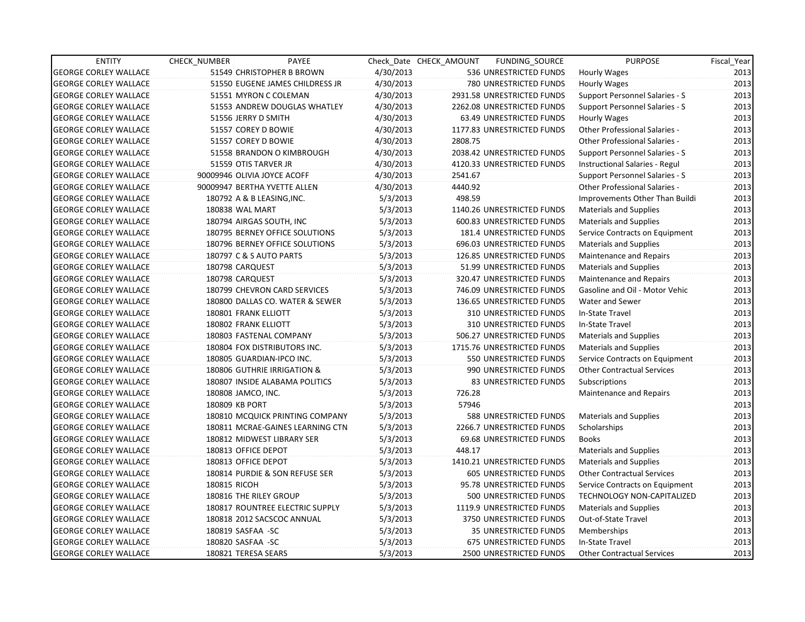| <b>ENTITY</b>                | <b>CHECK NUMBER</b>  | PAYEE                            |           | Check Date CHECK AMOUNT | FUNDING_SOURCE                 | <b>PURPOSE</b>                        | Fiscal Year |
|------------------------------|----------------------|----------------------------------|-----------|-------------------------|--------------------------------|---------------------------------------|-------------|
| <b>GEORGE CORLEY WALLACE</b> |                      | 51549 CHRISTOPHER B BROWN        | 4/30/2013 |                         | 536 UNRESTRICTED FUNDS         | <b>Hourly Wages</b>                   | 2013        |
| <b>GEORGE CORLEY WALLACE</b> |                      | 51550 EUGENE JAMES CHILDRESS JR  | 4/30/2013 |                         | 780 UNRESTRICTED FUNDS         | Hourly Wages                          | 2013        |
| <b>GEORGE CORLEY WALLACE</b> |                      | 51551 MYRON C COLEMAN            | 4/30/2013 |                         | 2931.58 UNRESTRICTED FUNDS     | <b>Support Personnel Salaries - S</b> | 2013        |
| <b>GEORGE CORLEY WALLACE</b> |                      | 51553 ANDREW DOUGLAS WHATLEY     | 4/30/2013 |                         | 2262.08 UNRESTRICTED FUNDS     | Support Personnel Salaries - S        | 2013        |
| <b>GEORGE CORLEY WALLACE</b> | 51556 JERRY D SMITH  |                                  | 4/30/2013 |                         | 63.49 UNRESTRICTED FUNDS       | Hourly Wages                          | 2013        |
| <b>GEORGE CORLEY WALLACE</b> | 51557 COREY D BOWIE  |                                  | 4/30/2013 |                         | 1177.83 UNRESTRICTED FUNDS     | <b>Other Professional Salaries -</b>  | 2013        |
| <b>GEORGE CORLEY WALLACE</b> | 51557 COREY D BOWIE  |                                  | 4/30/2013 | 2808.75                 |                                | <b>Other Professional Salaries -</b>  | 2013        |
| <b>GEORGE CORLEY WALLACE</b> |                      | 51558 BRANDON O KIMBROUGH        | 4/30/2013 |                         | 2038.42 UNRESTRICTED FUNDS     | Support Personnel Salaries - S        | 2013        |
| <b>GEORGE CORLEY WALLACE</b> | 51559 OTIS TARVER JR |                                  | 4/30/2013 |                         | 4120.33 UNRESTRICTED FUNDS     | Instructional Salaries - Regul        | 2013        |
| <b>GEORGE CORLEY WALLACE</b> |                      | 90009946 OLIVIA JOYCE ACOFF      | 4/30/2013 | 2541.67                 |                                | Support Personnel Salaries - S        | 2013        |
| <b>GEORGE CORLEY WALLACE</b> |                      | 90009947 BERTHA YVETTE ALLEN     | 4/30/2013 | 4440.92                 |                                | Other Professional Salaries -         | 2013        |
| <b>GEORGE CORLEY WALLACE</b> |                      | 180792 A & B LEASING, INC.       | 5/3/2013  | 498.59                  |                                | Improvements Other Than Buildi        | 2013        |
| <b>GEORGE CORLEY WALLACE</b> | 180838 WAL MART      |                                  | 5/3/2013  |                         | 1140.26 UNRESTRICTED FUNDS     | <b>Materials and Supplies</b>         | 2013        |
| <b>GEORGE CORLEY WALLACE</b> |                      | 180794 AIRGAS SOUTH, INC         | 5/3/2013  |                         | 600.83 UNRESTRICTED FUNDS      | <b>Materials and Supplies</b>         | 2013        |
| <b>GEORGE CORLEY WALLACE</b> |                      | 180795 BERNEY OFFICE SOLUTIONS   | 5/3/2013  |                         | 181.4 UNRESTRICTED FUNDS       | Service Contracts on Equipment        | 2013        |
| <b>GEORGE CORLEY WALLACE</b> |                      | 180796 BERNEY OFFICE SOLUTIONS   | 5/3/2013  |                         | 696.03 UNRESTRICTED FUNDS      | Materials and Supplies                | 2013        |
| <b>GEORGE CORLEY WALLACE</b> |                      | 180797 C & S AUTO PARTS          | 5/3/2013  |                         | 126.85 UNRESTRICTED FUNDS      | Maintenance and Repairs               | 2013        |
| <b>GEORGE CORLEY WALLACE</b> | 180798 CARQUEST      |                                  | 5/3/2013  |                         | 51.99 UNRESTRICTED FUNDS       | <b>Materials and Supplies</b>         | 2013        |
| <b>GEORGE CORLEY WALLACE</b> | 180798 CARQUEST      |                                  | 5/3/2013  |                         | 320.47 UNRESTRICTED FUNDS      | <b>Maintenance and Repairs</b>        | 2013        |
| <b>GEORGE CORLEY WALLACE</b> |                      | 180799 CHEVRON CARD SERVICES     | 5/3/2013  |                         | 746.09 UNRESTRICTED FUNDS      | Gasoline and Oil - Motor Vehic        | 2013        |
| <b>GEORGE CORLEY WALLACE</b> |                      | 180800 DALLAS CO. WATER & SEWER  | 5/3/2013  |                         | 136.65 UNRESTRICTED FUNDS      | Water and Sewer                       | 2013        |
| <b>GEORGE CORLEY WALLACE</b> | 180801 FRANK ELLIOTT |                                  | 5/3/2013  |                         | 310 UNRESTRICTED FUNDS         | In-State Travel                       | 2013        |
| <b>GEORGE CORLEY WALLACE</b> | 180802 FRANK ELLIOTT |                                  | 5/3/2013  |                         | 310 UNRESTRICTED FUNDS         | In-State Travel                       | 2013        |
| <b>GEORGE CORLEY WALLACE</b> |                      | 180803 FASTENAL COMPANY          | 5/3/2013  |                         | 506.27 UNRESTRICTED FUNDS      | <b>Materials and Supplies</b>         | 2013        |
| <b>GEORGE CORLEY WALLACE</b> |                      | 180804 FOX DISTRIBUTORS INC.     | 5/3/2013  |                         | 1715.76 UNRESTRICTED FUNDS     | <b>Materials and Supplies</b>         | 2013        |
| <b>GEORGE CORLEY WALLACE</b> |                      | 180805 GUARDIAN-IPCO INC.        | 5/3/2013  |                         | 550 UNRESTRICTED FUNDS         | Service Contracts on Equipment        | 2013        |
| <b>GEORGE CORLEY WALLACE</b> |                      | 180806 GUTHRIE IRRIGATION &      | 5/3/2013  |                         | 990 UNRESTRICTED FUNDS         | <b>Other Contractual Services</b>     | 2013        |
| <b>GEORGE CORLEY WALLACE</b> |                      | 180807 INSIDE ALABAMA POLITICS   | 5/3/2013  |                         | 83 UNRESTRICTED FUNDS          | Subscriptions                         | 2013        |
| <b>GEORGE CORLEY WALLACE</b> | 180808 JAMCO, INC.   |                                  | 5/3/2013  | 726.28                  |                                | Maintenance and Repairs               | 2013        |
| <b>GEORGE CORLEY WALLACE</b> | 180809 KB PORT       |                                  | 5/3/2013  | 57946                   |                                |                                       | 2013        |
| <b>GEORGE CORLEY WALLACE</b> |                      | 180810 MCQUICK PRINTING COMPANY  | 5/3/2013  |                         | 588 UNRESTRICTED FUNDS         | <b>Materials and Supplies</b>         | 2013        |
| <b>GEORGE CORLEY WALLACE</b> |                      | 180811 MCRAE-GAINES LEARNING CTN | 5/3/2013  |                         | 2266.7 UNRESTRICTED FUNDS      | Scholarships                          | 2013        |
| <b>GEORGE CORLEY WALLACE</b> |                      | 180812 MIDWEST LIBRARY SER       | 5/3/2013  |                         | 69.68 UNRESTRICTED FUNDS       | <b>Books</b>                          | 2013        |
| <b>GEORGE CORLEY WALLACE</b> | 180813 OFFICE DEPOT  |                                  | 5/3/2013  | 448.17                  |                                | <b>Materials and Supplies</b>         | 2013        |
| <b>GEORGE CORLEY WALLACE</b> | 180813 OFFICE DEPOT  |                                  | 5/3/2013  |                         | 1410.21 UNRESTRICTED FUNDS     | Materials and Supplies                | 2013        |
| <b>GEORGE CORLEY WALLACE</b> |                      | 180814 PURDIE & SON REFUSE SER   | 5/3/2013  |                         | <b>605 UNRESTRICTED FUNDS</b>  | <b>Other Contractual Services</b>     | 2013        |
| <b>GEORGE CORLEY WALLACE</b> | 180815 RICOH         |                                  | 5/3/2013  |                         | 95.78 UNRESTRICTED FUNDS       | Service Contracts on Equipment        | 2013        |
| <b>GEORGE CORLEY WALLACE</b> |                      | 180816 THE RILEY GROUP           | 5/3/2013  |                         | 500 UNRESTRICTED FUNDS         | <b>TECHNOLOGY NON-CAPITALIZED</b>     | 2013        |
| <b>GEORGE CORLEY WALLACE</b> |                      | 180817 ROUNTREE ELECTRIC SUPPLY  | 5/3/2013  |                         | 1119.9 UNRESTRICTED FUNDS      | <b>Materials and Supplies</b>         | 2013        |
| <b>GEORGE CORLEY WALLACE</b> |                      | 180818 2012 SACSCOC ANNUAL       | 5/3/2013  |                         | 3750 UNRESTRICTED FUNDS        | Out-of-State Travel                   | 2013        |
| <b>GEORGE CORLEY WALLACE</b> | 180819 SASFAA - SC   |                                  | 5/3/2013  |                         | 35 UNRESTRICTED FUNDS          | Memberships                           | 2013        |
| <b>GEORGE CORLEY WALLACE</b> | 180820 SASFAA - SC   |                                  | 5/3/2013  |                         | 675 UNRESTRICTED FUNDS         | In-State Travel                       | 2013        |
| <b>GEORGE CORLEY WALLACE</b> | 180821 TERESA SEARS  |                                  | 5/3/2013  |                         | <b>2500 UNRESTRICTED FUNDS</b> | <b>Other Contractual Services</b>     | 2013        |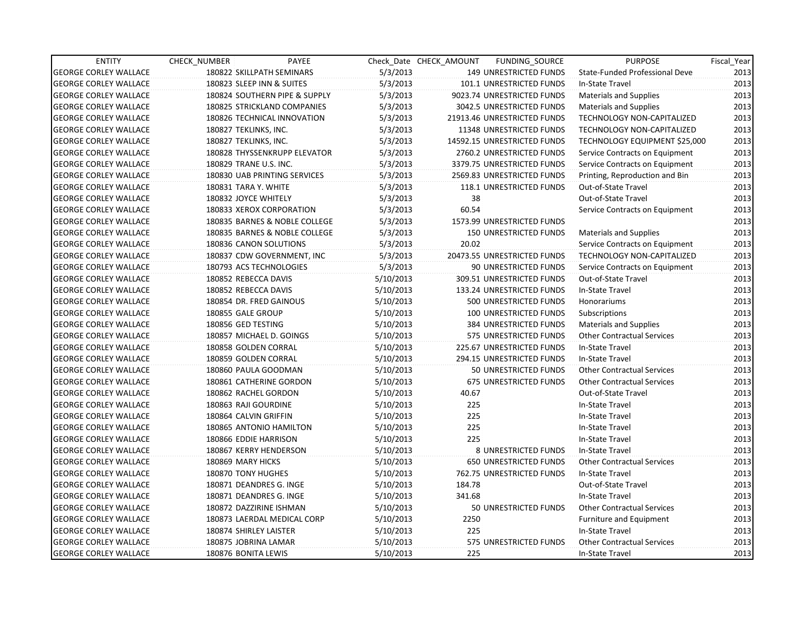| <b>ENTITY</b>                | CHECK NUMBER              | PAYEE                         |           | Check Date CHECK AMOUNT | FUNDING SOURCE                | <b>PURPOSE</b>                    | Fiscal_Year |
|------------------------------|---------------------------|-------------------------------|-----------|-------------------------|-------------------------------|-----------------------------------|-------------|
| <b>GEORGE CORLEY WALLACE</b> | 180822 SKILLPATH SEMINARS |                               | 5/3/2013  |                         | 149 UNRESTRICTED FUNDS        | State-Funded Professional Deve    | 2013        |
| <b>GEORGE CORLEY WALLACE</b> | 180823 SLEEP INN & SUITES |                               | 5/3/2013  |                         | 101.1 UNRESTRICTED FUNDS      | In-State Travel                   | 2013        |
| <b>GEORGE CORLEY WALLACE</b> |                           | 180824 SOUTHERN PIPE & SUPPLY | 5/3/2013  |                         | 9023.74 UNRESTRICTED FUNDS    | <b>Materials and Supplies</b>     | 2013        |
| <b>GEORGE CORLEY WALLACE</b> |                           | 180825 STRICKLAND COMPANIES   | 5/3/2013  |                         | 3042.5 UNRESTRICTED FUNDS     | <b>Materials and Supplies</b>     | 2013        |
| <b>GEORGE CORLEY WALLACE</b> |                           | 180826 TECHNICAL INNOVATION   | 5/3/2013  |                         | 21913.46 UNRESTRICTED FUNDS   | TECHNOLOGY NON-CAPITALIZED        | 2013        |
| <b>GEORGE CORLEY WALLACE</b> | 180827 TEKLINKS, INC.     |                               | 5/3/2013  |                         | 11348 UNRESTRICTED FUNDS      | TECHNOLOGY NON-CAPITALIZED        | 2013        |
| <b>GEORGE CORLEY WALLACE</b> | 180827 TEKLINKS, INC.     |                               | 5/3/2013  |                         | 14592.15 UNRESTRICTED FUNDS   | TECHNOLOGY EQUIPMENT \$25,000     | 2013        |
| <b>GEORGE CORLEY WALLACE</b> |                           | 180828 THYSSENKRUPP ELEVATOR  | 5/3/2013  |                         | 2760.2 UNRESTRICTED FUNDS     | Service Contracts on Equipment    | 2013        |
| <b>GEORGE CORLEY WALLACE</b> | 180829 TRANE U.S. INC.    |                               | 5/3/2013  |                         | 3379.75 UNRESTRICTED FUNDS    | Service Contracts on Equipment    | 2013        |
| <b>GEORGE CORLEY WALLACE</b> |                           | 180830 UAB PRINTING SERVICES  | 5/3/2013  |                         | 2569.83 UNRESTRICTED FUNDS    | Printing, Reproduction and Bin    | 2013        |
| <b>GEORGE CORLEY WALLACE</b> | 180831 TARA Y. WHITE      |                               | 5/3/2013  |                         | 118.1 UNRESTRICTED FUNDS      | Out-of-State Travel               | 2013        |
| <b>GEORGE CORLEY WALLACE</b> | 180832 JOYCE WHITELY      |                               | 5/3/2013  | 38                      |                               | Out-of-State Travel               | 2013        |
| <b>GEORGE CORLEY WALLACE</b> | 180833 XEROX CORPORATION  |                               | 5/3/2013  | 60.54                   |                               | Service Contracts on Equipment    | 2013        |
| <b>GEORGE CORLEY WALLACE</b> |                           | 180835 BARNES & NOBLE COLLEGE | 5/3/2013  |                         | 1573.99 UNRESTRICTED FUNDS    |                                   | 2013        |
| <b>GEORGE CORLEY WALLACE</b> |                           | 180835 BARNES & NOBLE COLLEGE | 5/3/2013  |                         | <b>150 UNRESTRICTED FUNDS</b> | <b>Materials and Supplies</b>     | 2013        |
| <b>GEORGE CORLEY WALLACE</b> | 180836 CANON SOLUTIONS    |                               | 5/3/2013  | 20.02                   |                               | Service Contracts on Equipment    | 2013        |
| <b>GEORGE CORLEY WALLACE</b> |                           | 180837 CDW GOVERNMENT, INC    | 5/3/2013  |                         | 20473.55 UNRESTRICTED FUNDS   | TECHNOLOGY NON-CAPITALIZED        | 2013        |
| <b>GEORGE CORLEY WALLACE</b> | 180793 ACS TECHNOLOGIES   |                               | 5/3/2013  |                         | 90 UNRESTRICTED FUNDS         | Service Contracts on Equipment    | 2013        |
| <b>GEORGE CORLEY WALLACE</b> | 180852 REBECCA DAVIS      |                               | 5/10/2013 |                         | 309.51 UNRESTRICTED FUNDS     | Out-of-State Travel               | 2013        |
| <b>GEORGE CORLEY WALLACE</b> | 180852 REBECCA DAVIS      |                               | 5/10/2013 |                         | 133.24 UNRESTRICTED FUNDS     | In-State Travel                   | 2013        |
| <b>GEORGE CORLEY WALLACE</b> | 180854 DR. FRED GAINOUS   |                               | 5/10/2013 |                         | 500 UNRESTRICTED FUNDS        | Honorariums                       | 2013        |
| <b>GEORGE CORLEY WALLACE</b> | 180855 GALE GROUP         |                               | 5/10/2013 |                         | 100 UNRESTRICTED FUNDS        | Subscriptions                     | 2013        |
| <b>GEORGE CORLEY WALLACE</b> | 180856 GED TESTING        |                               | 5/10/2013 |                         | 384 UNRESTRICTED FUNDS        | <b>Materials and Supplies</b>     | 2013        |
| <b>GEORGE CORLEY WALLACE</b> | 180857 MICHAEL D. GOINGS  |                               | 5/10/2013 |                         | 575 UNRESTRICTED FUNDS        | <b>Other Contractual Services</b> | 2013        |
| <b>GEORGE CORLEY WALLACE</b> | 180858 GOLDEN CORRAL      |                               | 5/10/2013 |                         | 225.67 UNRESTRICTED FUNDS     | In-State Travel                   | 2013        |
| <b>GEORGE CORLEY WALLACE</b> | 180859 GOLDEN CORRAL      |                               | 5/10/2013 |                         | 294.15 UNRESTRICTED FUNDS     | In-State Travel                   | 2013        |
| <b>GEORGE CORLEY WALLACE</b> | 180860 PAULA GOODMAN      |                               | 5/10/2013 |                         | 50 UNRESTRICTED FUNDS         | <b>Other Contractual Services</b> | 2013        |
| <b>GEORGE CORLEY WALLACE</b> | 180861 CATHERINE GORDON   |                               | 5/10/2013 |                         | <b>675 UNRESTRICTED FUNDS</b> | <b>Other Contractual Services</b> | 2013        |
| <b>GEORGE CORLEY WALLACE</b> | 180862 RACHEL GORDON      |                               | 5/10/2013 | 40.67                   |                               | Out-of-State Travel               | 2013        |
| <b>GEORGE CORLEY WALLACE</b> | 180863 RAJI GOURDINE      |                               | 5/10/2013 | 225                     |                               | In-State Travel                   | 2013        |
| <b>GEORGE CORLEY WALLACE</b> | 180864 CALVIN GRIFFIN     |                               | 5/10/2013 | 225                     |                               | In-State Travel                   | 2013        |
| <b>GEORGE CORLEY WALLACE</b> | 180865 ANTONIO HAMILTON   |                               | 5/10/2013 | 225                     |                               | In-State Travel                   | 2013        |
| <b>GEORGE CORLEY WALLACE</b> | 180866 EDDIE HARRISON     |                               | 5/10/2013 | 225                     |                               | In-State Travel                   | 2013        |
| <b>GEORGE CORLEY WALLACE</b> | 180867 KERRY HENDERSON    |                               | 5/10/2013 |                         | <b>8 UNRESTRICTED FUNDS</b>   | In-State Travel                   | 2013        |
| <b>GEORGE CORLEY WALLACE</b> | 180869 MARY HICKS         |                               | 5/10/2013 |                         | <b>650 UNRESTRICTED FUNDS</b> | <b>Other Contractual Services</b> | 2013        |
| <b>GEORGE CORLEY WALLACE</b> | 180870 TONY HUGHES        |                               | 5/10/2013 |                         | 762.75 UNRESTRICTED FUNDS     | In-State Travel                   | 2013        |
| <b>GEORGE CORLEY WALLACE</b> | 180871 DEANDRES G. INGE   |                               | 5/10/2013 | 184.78                  |                               | Out-of-State Travel               | 2013        |
| <b>GEORGE CORLEY WALLACE</b> | 180871 DEANDRES G. INGE   |                               | 5/10/2013 | 341.68                  |                               | In-State Travel                   | 2013        |
| <b>GEORGE CORLEY WALLACE</b> | 180872 DAZZIRINE ISHMAN   |                               | 5/10/2013 |                         | 50 UNRESTRICTED FUNDS         | <b>Other Contractual Services</b> | 2013        |
| <b>GEORGE CORLEY WALLACE</b> |                           | 180873 LAERDAL MEDICAL CORP   | 5/10/2013 | 2250                    |                               | Furniture and Equipment           | 2013        |
| <b>GEORGE CORLEY WALLACE</b> | 180874 SHIRLEY LAISTER    |                               | 5/10/2013 | 225                     |                               | In-State Travel                   | 2013        |
| <b>GEORGE CORLEY WALLACE</b> | 180875 JOBRINA LAMAR      |                               | 5/10/2013 |                         | 575 UNRESTRICTED FUNDS        | <b>Other Contractual Services</b> | 2013        |
| <b>GEORGE CORLEY WALLACE</b> | 180876 BONITA LEWIS       |                               | 5/10/2013 | 225                     |                               | In-State Travel                   | 2013        |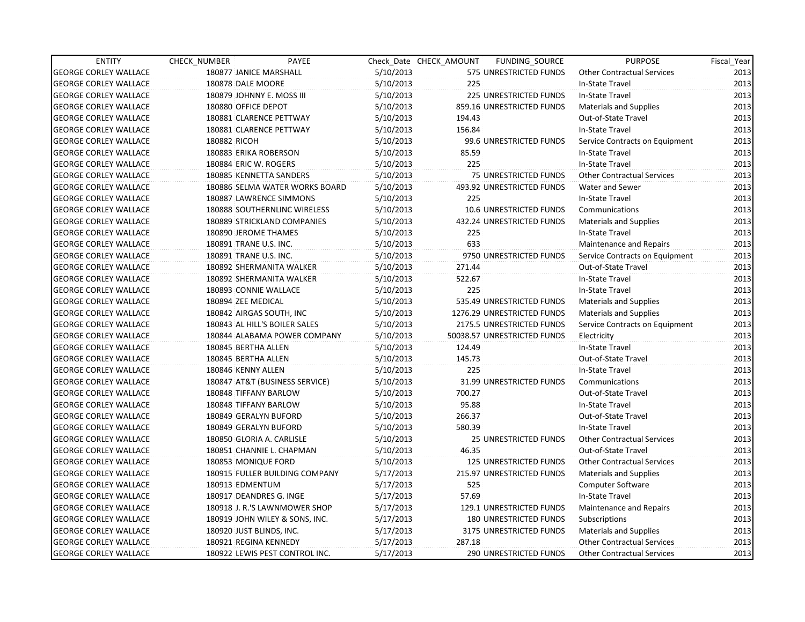| <b>ENTITY</b>                | CHECK NUMBER              | PAYEE                          |           | Check Date CHECK AMOUNT | FUNDING_SOURCE                | <b>PURPOSE</b>                    | Fiscal Year |
|------------------------------|---------------------------|--------------------------------|-----------|-------------------------|-------------------------------|-----------------------------------|-------------|
| <b>GEORGE CORLEY WALLACE</b> | 180877 JANICE MARSHALL    |                                | 5/10/2013 |                         | 575 UNRESTRICTED FUNDS        | <b>Other Contractual Services</b> | 2013        |
| <b>GEORGE CORLEY WALLACE</b> | 180878 DALE MOORE         |                                | 5/10/2013 | 225                     |                               | In-State Travel                   | 2013        |
| <b>GEORGE CORLEY WALLACE</b> | 180879 JOHNNY E. MOSS III |                                | 5/10/2013 |                         | <b>225 UNRESTRICTED FUNDS</b> | In-State Travel                   | 2013        |
| <b>GEORGE CORLEY WALLACE</b> | 180880 OFFICE DEPOT       |                                | 5/10/2013 |                         | 859.16 UNRESTRICTED FUNDS     | Materials and Supplies            | 2013        |
| <b>GEORGE CORLEY WALLACE</b> | 180881 CLARENCE PETTWAY   |                                | 5/10/2013 | 194.43                  |                               | Out-of-State Travel               | 2013        |
| <b>GEORGE CORLEY WALLACE</b> | 180881 CLARENCE PETTWAY   |                                | 5/10/2013 | 156.84                  |                               | In-State Travel                   | 2013        |
| <b>GEORGE CORLEY WALLACE</b> | 180882 RICOH              |                                | 5/10/2013 |                         | 99.6 UNRESTRICTED FUNDS       | Service Contracts on Equipment    | 2013        |
| <b>GEORGE CORLEY WALLACE</b> | 180883 ERIKA ROBERSON     |                                | 5/10/2013 | 85.59                   |                               | In-State Travel                   | 2013        |
| <b>GEORGE CORLEY WALLACE</b> | 180884 ERIC W. ROGERS     |                                | 5/10/2013 | 225                     |                               | In-State Travel                   | 2013        |
| <b>GEORGE CORLEY WALLACE</b> | 180885 KENNETTA SANDERS   |                                | 5/10/2013 |                         | 75 UNRESTRICTED FUNDS         | <b>Other Contractual Services</b> | 2013        |
| <b>GEORGE CORLEY WALLACE</b> |                           | 180886 SELMA WATER WORKS BOARD | 5/10/2013 |                         | 493.92 UNRESTRICTED FUNDS     | Water and Sewer                   | 2013        |
| <b>GEORGE CORLEY WALLACE</b> |                           | 180887 LAWRENCE SIMMONS        | 5/10/2013 | 225                     |                               | In-State Travel                   | 2013        |
| <b>GEORGE CORLEY WALLACE</b> |                           | 180888 SOUTHERNLINC WIRELESS   | 5/10/2013 |                         | 10.6 UNRESTRICTED FUNDS       | Communications                    | 2013        |
| <b>GEORGE CORLEY WALLACE</b> |                           | 180889 STRICKLAND COMPANIES    | 5/10/2013 |                         | 432.24 UNRESTRICTED FUNDS     | Materials and Supplies            | 2013        |
| <b>GEORGE CORLEY WALLACE</b> | 180890 JEROME THAMES      |                                | 5/10/2013 | 225                     |                               | In-State Travel                   | 2013        |
| <b>GEORGE CORLEY WALLACE</b> | 180891 TRANE U.S. INC.    |                                | 5/10/2013 | 633                     |                               | Maintenance and Repairs           | 2013        |
| <b>GEORGE CORLEY WALLACE</b> | 180891 TRANE U.S. INC.    |                                | 5/10/2013 |                         | 9750 UNRESTRICTED FUNDS       | Service Contracts on Equipment    | 2013        |
| <b>GEORGE CORLEY WALLACE</b> |                           | 180892 SHERMANITA WALKER       | 5/10/2013 | 271.44                  |                               | Out-of-State Travel               | 2013        |
| <b>GEORGE CORLEY WALLACE</b> |                           | 180892 SHERMANITA WALKER       | 5/10/2013 | 522.67                  |                               | In-State Travel                   | 2013        |
| <b>GEORGE CORLEY WALLACE</b> | 180893 CONNIE WALLACE     |                                | 5/10/2013 | 225                     |                               | In-State Travel                   | 2013        |
| <b>GEORGE CORLEY WALLACE</b> | 180894 ZEE MEDICAL        |                                | 5/10/2013 |                         | 535.49 UNRESTRICTED FUNDS     | <b>Materials and Supplies</b>     | 2013        |
| <b>GEORGE CORLEY WALLACE</b> | 180842 AIRGAS SOUTH, INC  |                                | 5/10/2013 |                         | 1276.29 UNRESTRICTED FUNDS    | Materials and Supplies            | 2013        |
| <b>GEORGE CORLEY WALLACE</b> |                           | 180843 AL HILL'S BOILER SALES  | 5/10/2013 |                         | 2175.5 UNRESTRICTED FUNDS     | Service Contracts on Equipment    | 2013        |
| <b>GEORGE CORLEY WALLACE</b> |                           | 180844 ALABAMA POWER COMPANY   | 5/10/2013 |                         | 50038.57 UNRESTRICTED FUNDS   | Electricity                       | 2013        |
| <b>GEORGE CORLEY WALLACE</b> | 180845 BERTHA ALLEN       |                                | 5/10/2013 | 124.49                  |                               | In-State Travel                   | 2013        |
| <b>GEORGE CORLEY WALLACE</b> | 180845 BERTHA ALLEN       |                                | 5/10/2013 | 145.73                  |                               | Out-of-State Travel               | 2013        |
| <b>GEORGE CORLEY WALLACE</b> | 180846 KENNY ALLEN        |                                | 5/10/2013 | 225                     |                               | In-State Travel                   | 2013        |
| <b>GEORGE CORLEY WALLACE</b> |                           | 180847 AT&T (BUSINESS SERVICE) | 5/10/2013 |                         | 31.99 UNRESTRICTED FUNDS      | Communications                    | 2013        |
| <b>GEORGE CORLEY WALLACE</b> | 180848 TIFFANY BARLOW     |                                | 5/10/2013 | 700.27                  |                               | Out-of-State Travel               | 2013        |
| <b>GEORGE CORLEY WALLACE</b> | 180848 TIFFANY BARLOW     |                                | 5/10/2013 | 95.88                   |                               | In-State Travel                   | 2013        |
| <b>GEORGE CORLEY WALLACE</b> | 180849 GERALYN BUFORD     |                                | 5/10/2013 | 266.37                  |                               | Out-of-State Travel               | 2013        |
| <b>GEORGE CORLEY WALLACE</b> | 180849 GERALYN BUFORD     |                                | 5/10/2013 | 580.39                  |                               | In-State Travel                   | 2013        |
| <b>GEORGE CORLEY WALLACE</b> | 180850 GLORIA A. CARLISLE |                                | 5/10/2013 |                         | 25 UNRESTRICTED FUNDS         | <b>Other Contractual Services</b> | 2013        |
| <b>GEORGE CORLEY WALLACE</b> |                           | 180851 CHANNIE L. CHAPMAN      | 5/10/2013 | 46.35                   |                               | Out-of-State Travel               | 2013        |
| <b>GEORGE CORLEY WALLACE</b> | 180853 MONIQUE FORD       |                                | 5/10/2013 |                         | <b>125 UNRESTRICTED FUNDS</b> | <b>Other Contractual Services</b> | 2013        |
| <b>GEORGE CORLEY WALLACE</b> |                           | 180915 FULLER BUILDING COMPANY | 5/17/2013 |                         | 215.97 UNRESTRICTED FUNDS     | <b>Materials and Supplies</b>     | 2013        |
| <b>GEORGE CORLEY WALLACE</b> | 180913 EDMENTUM           |                                | 5/17/2013 | 525                     |                               | <b>Computer Software</b>          | 2013        |
| <b>GEORGE CORLEY WALLACE</b> | 180917 DEANDRES G. INGE   |                                | 5/17/2013 | 57.69                   |                               | In-State Travel                   | 2013        |
| <b>GEORGE CORLEY WALLACE</b> |                           | 180918 J. R.'S LAWNMOWER SHOP  | 5/17/2013 |                         | 129.1 UNRESTRICTED FUNDS      | Maintenance and Repairs           | 2013        |
| <b>GEORGE CORLEY WALLACE</b> |                           | 180919 JOHN WILEY & SONS, INC. | 5/17/2013 |                         | 180 UNRESTRICTED FUNDS        | Subscriptions                     | 2013        |
| <b>GEORGE CORLEY WALLACE</b> | 180920 JUST BLINDS, INC.  |                                | 5/17/2013 |                         | 3175 UNRESTRICTED FUNDS       | <b>Materials and Supplies</b>     | 2013        |
| <b>GEORGE CORLEY WALLACE</b> | 180921 REGINA KENNEDY     |                                | 5/17/2013 | 287.18                  |                               | <b>Other Contractual Services</b> | 2013        |
| <b>GEORGE CORLEY WALLACE</b> |                           | 180922 LEWIS PEST CONTROL INC. | 5/17/2013 |                         | 290 UNRESTRICTED FUNDS        | <b>Other Contractual Services</b> | 2013        |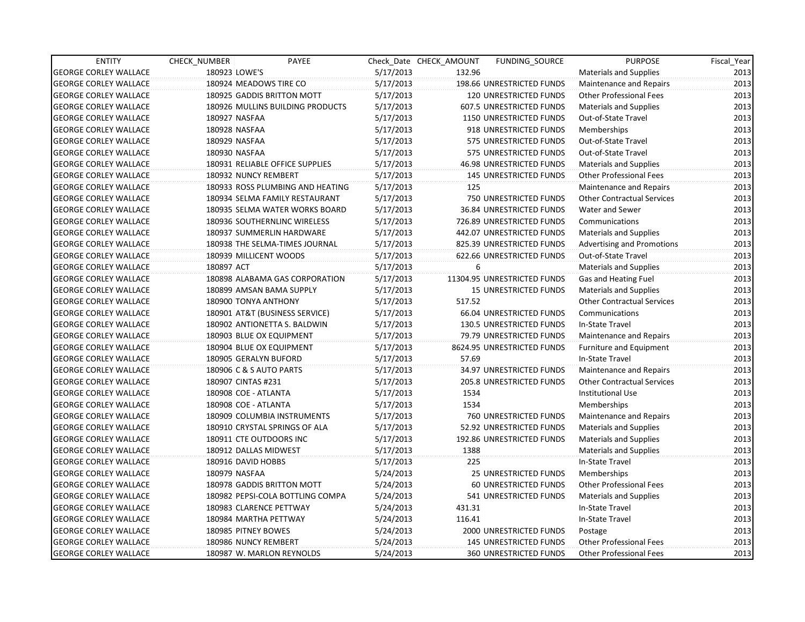| <b>ENTITY</b>                | CHECK_NUMBER               | PAYEE                            |           | Check Date CHECK AMOUNT | FUNDING SOURCE                | <b>PURPOSE</b>                    | Fiscal Year |
|------------------------------|----------------------------|----------------------------------|-----------|-------------------------|-------------------------------|-----------------------------------|-------------|
| <b>GEORGE CORLEY WALLACE</b> | 180923 LOWE'S              |                                  | 5/17/2013 | 132.96                  |                               | <b>Materials and Supplies</b>     | 2013        |
| <b>GEORGE CORLEY WALLACE</b> | 180924 MEADOWS TIRE CO     |                                  | 5/17/2013 |                         | 198.66 UNRESTRICTED FUNDS     | Maintenance and Repairs           | 2013        |
| <b>GEORGE CORLEY WALLACE</b> | 180925 GADDIS BRITTON MOTT |                                  | 5/17/2013 |                         | <b>120 UNRESTRICTED FUNDS</b> | <b>Other Professional Fees</b>    | 2013        |
| <b>GEORGE CORLEY WALLACE</b> |                            | 180926 MULLINS BUILDING PRODUCTS | 5/17/2013 |                         | 607.5 UNRESTRICTED FUNDS      | <b>Materials and Supplies</b>     | 2013        |
| <b>GEORGE CORLEY WALLACE</b> | 180927 NASFAA              |                                  | 5/17/2013 |                         | 1150 UNRESTRICTED FUNDS       | Out-of-State Travel               | 2013        |
| <b>GEORGE CORLEY WALLACE</b> | 180928 NASFAA              |                                  | 5/17/2013 |                         | 918 UNRESTRICTED FUNDS        | Memberships                       | 2013        |
| <b>GEORGE CORLEY WALLACE</b> | 180929 NASFAA              |                                  | 5/17/2013 |                         | 575 UNRESTRICTED FUNDS        | Out-of-State Travel               | 2013        |
| <b>GEORGE CORLEY WALLACE</b> | 180930 NASFAA              |                                  | 5/17/2013 |                         | 575 UNRESTRICTED FUNDS        | Out-of-State Travel               | 2013        |
| <b>GEORGE CORLEY WALLACE</b> |                            | 180931 RELIABLE OFFICE SUPPLIES  | 5/17/2013 |                         | 46.98 UNRESTRICTED FUNDS      | <b>Materials and Supplies</b>     | 2013        |
| <b>GEORGE CORLEY WALLACE</b> | 180932 NUNCY REMBERT       |                                  | 5/17/2013 |                         | <b>145 UNRESTRICTED FUNDS</b> | <b>Other Professional Fees</b>    | 2013        |
| <b>GEORGE CORLEY WALLACE</b> |                            | 180933 ROSS PLUMBING AND HEATING | 5/17/2013 | 125                     |                               | Maintenance and Repairs           | 2013        |
| <b>GEORGE CORLEY WALLACE</b> |                            | 180934 SELMA FAMILY RESTAURANT   | 5/17/2013 |                         | 750 UNRESTRICTED FUNDS        | <b>Other Contractual Services</b> | 2013        |
| <b>GEORGE CORLEY WALLACE</b> |                            | 180935 SELMA WATER WORKS BOARD   | 5/17/2013 |                         | 36.84 UNRESTRICTED FUNDS      | Water and Sewer                   | 2013        |
| <b>GEORGE CORLEY WALLACE</b> |                            | 180936 SOUTHERNLINC WIRELESS     | 5/17/2013 |                         | 726.89 UNRESTRICTED FUNDS     | Communications                    | 2013        |
| <b>GEORGE CORLEY WALLACE</b> |                            | 180937 SUMMERLIN HARDWARE        | 5/17/2013 |                         | 442.07 UNRESTRICTED FUNDS     | <b>Materials and Supplies</b>     | 2013        |
| <b>GEORGE CORLEY WALLACE</b> |                            | 180938 THE SELMA-TIMES JOURNAL   | 5/17/2013 |                         | 825.39 UNRESTRICTED FUNDS     | <b>Advertising and Promotions</b> | 2013        |
| <b>GEORGE CORLEY WALLACE</b> | 180939 MILLICENT WOODS     |                                  | 5/17/2013 |                         | 622.66 UNRESTRICTED FUNDS     | Out-of-State Travel               | 2013        |
| <b>GEORGE CORLEY WALLACE</b> | 180897 ACT                 |                                  | 5/17/2013 | 6                       |                               | <b>Materials and Supplies</b>     | 2013        |
| <b>GEORGE CORLEY WALLACE</b> |                            | 180898 ALABAMA GAS CORPORATION   | 5/17/2013 |                         | 11304.95 UNRESTRICTED FUNDS   | Gas and Heating Fuel              | 2013        |
| <b>GEORGE CORLEY WALLACE</b> | 180899 AMSAN BAMA SUPPLY   |                                  | 5/17/2013 |                         | <b>15 UNRESTRICTED FUNDS</b>  | <b>Materials and Supplies</b>     | 2013        |
| <b>GEORGE CORLEY WALLACE</b> | 180900 TONYA ANTHONY       |                                  | 5/17/2013 | 517.52                  |                               | <b>Other Contractual Services</b> | 2013        |
| <b>GEORGE CORLEY WALLACE</b> |                            | 180901 AT&T (BUSINESS SERVICE)   | 5/17/2013 |                         | 66.04 UNRESTRICTED FUNDS      | Communications                    | 2013        |
| <b>GEORGE CORLEY WALLACE</b> |                            | 180902 ANTIONETTA S. BALDWIN     | 5/17/2013 |                         | 130.5 UNRESTRICTED FUNDS      | In-State Travel                   | 2013        |
| <b>GEORGE CORLEY WALLACE</b> | 180903 BLUE OX EQUIPMENT   |                                  | 5/17/2013 |                         | 79.79 UNRESTRICTED FUNDS      | Maintenance and Repairs           | 2013        |
| <b>GEORGE CORLEY WALLACE</b> | 180904 BLUE OX EQUIPMENT   |                                  | 5/17/2013 |                         | 8624.95 UNRESTRICTED FUNDS    | <b>Furniture and Equipment</b>    | 2013        |
| <b>GEORGE CORLEY WALLACE</b> | 180905 GERALYN BUFORD      |                                  | 5/17/2013 | 57.69                   |                               | In-State Travel                   | 2013        |
| <b>GEORGE CORLEY WALLACE</b> | 180906 C & S AUTO PARTS    |                                  | 5/17/2013 |                         | 34.97 UNRESTRICTED FUNDS      | Maintenance and Repairs           | 2013        |
| <b>GEORGE CORLEY WALLACE</b> | 180907 CINTAS #231         |                                  | 5/17/2013 |                         | 205.8 UNRESTRICTED FUNDS      | <b>Other Contractual Services</b> | 2013        |
| <b>GEORGE CORLEY WALLACE</b> | 180908 COE - ATLANTA       |                                  | 5/17/2013 | 1534                    |                               | <b>Institutional Use</b>          | 2013        |
| <b>GEORGE CORLEY WALLACE</b> | 180908 COE - ATLANTA       |                                  | 5/17/2013 | 1534                    |                               | Memberships                       | 2013        |
| <b>GEORGE CORLEY WALLACE</b> |                            | 180909 COLUMBIA INSTRUMENTS      | 5/17/2013 |                         | 760 UNRESTRICTED FUNDS        | Maintenance and Repairs           | 2013        |
| <b>GEORGE CORLEY WALLACE</b> |                            | 180910 CRYSTAL SPRINGS OF ALA    | 5/17/2013 |                         | 52.92 UNRESTRICTED FUNDS      | <b>Materials and Supplies</b>     | 2013        |
| <b>GEORGE CORLEY WALLACE</b> | 180911 CTE OUTDOORS INC    |                                  | 5/17/2013 |                         | 192.86 UNRESTRICTED FUNDS     | <b>Materials and Supplies</b>     | 2013        |
| <b>GEORGE CORLEY WALLACE</b> | 180912 DALLAS MIDWEST      |                                  | 5/17/2013 | 1388                    |                               | <b>Materials and Supplies</b>     | 2013        |
| <b>GEORGE CORLEY WALLACE</b> | 180916 DAVID HOBBS         |                                  | 5/17/2013 | 225                     |                               | In-State Travel                   | 2013        |
| <b>GEORGE CORLEY WALLACE</b> | 180979 NASFAA              |                                  | 5/24/2013 |                         | <b>25 UNRESTRICTED FUNDS</b>  | Memberships                       | 2013        |
| <b>GEORGE CORLEY WALLACE</b> |                            | 180978 GADDIS BRITTON MOTT       | 5/24/2013 |                         | 60 UNRESTRICTED FUNDS         | <b>Other Professional Fees</b>    | 2013        |
| <b>GEORGE CORLEY WALLACE</b> |                            | 180982 PEPSI-COLA BOTTLING COMPA | 5/24/2013 |                         | 541 UNRESTRICTED FUNDS        | <b>Materials and Supplies</b>     | 2013        |
| <b>GEORGE CORLEY WALLACE</b> | 180983 CLARENCE PETTWAY    |                                  | 5/24/2013 | 431.31                  |                               | In-State Travel                   | 2013        |
| <b>GEORGE CORLEY WALLACE</b> | 180984 MARTHA PETTWAY      |                                  | 5/24/2013 | 116.41                  |                               | In-State Travel                   | 2013        |
| <b>GEORGE CORLEY WALLACE</b> | 180985 PITNEY BOWES        |                                  | 5/24/2013 |                         | 2000 UNRESTRICTED FUNDS       | Postage                           | 2013        |
| <b>GEORGE CORLEY WALLACE</b> | 180986 NUNCY REMBERT       |                                  | 5/24/2013 |                         | <b>145 UNRESTRICTED FUNDS</b> | <b>Other Professional Fees</b>    | 2013        |
| <b>GEORGE CORLEY WALLACE</b> | 180987 W. MARLON REYNOLDS  |                                  | 5/24/2013 |                         | <b>360 UNRESTRICTED FUNDS</b> | <b>Other Professional Fees</b>    | 2013        |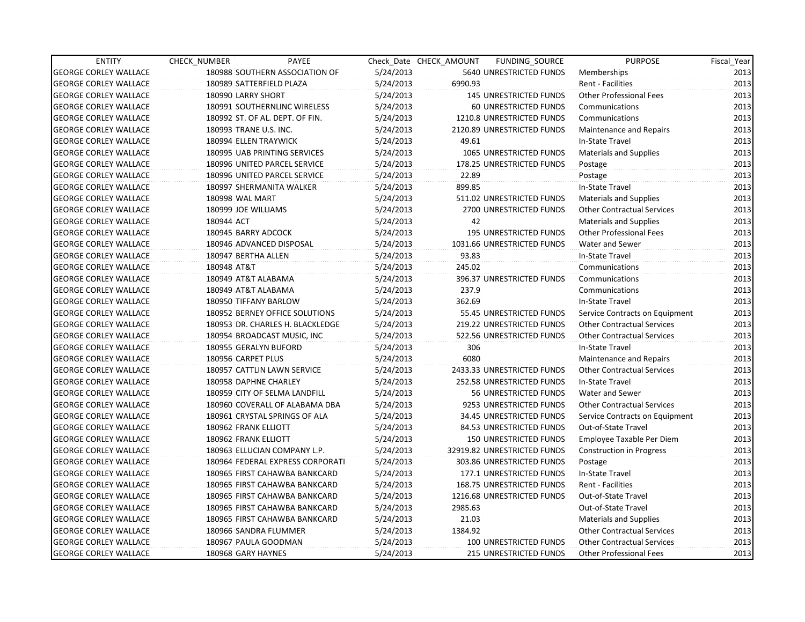| <b>ENTITY</b>                | CHECK_NUMBER       | PAYEE                            |           | Check Date CHECK AMOUNT | FUNDING_SOURCE                | <b>PURPOSE</b>                    | Fiscal_Year |
|------------------------------|--------------------|----------------------------------|-----------|-------------------------|-------------------------------|-----------------------------------|-------------|
| <b>GEORGE CORLEY WALLACE</b> |                    | 180988 SOUTHERN ASSOCIATION OF   | 5/24/2013 |                         | 5640 UNRESTRICTED FUNDS       | Memberships                       | 2013        |
| <b>GEORGE CORLEY WALLACE</b> |                    | 180989 SATTERFIELD PLAZA         | 5/24/2013 | 6990.93                 |                               | Rent - Facilities                 | 2013        |
| <b>GEORGE CORLEY WALLACE</b> | 180990 LARRY SHORT |                                  | 5/24/2013 |                         | 145 UNRESTRICTED FUNDS        | <b>Other Professional Fees</b>    | 2013        |
| <b>GEORGE CORLEY WALLACE</b> |                    | 180991 SOUTHERNLINC WIRELESS     | 5/24/2013 |                         | <b>60 UNRESTRICTED FUNDS</b>  | Communications                    | 2013        |
| <b>GEORGE CORLEY WALLACE</b> |                    | 180992 ST. OF AL. DEPT. OF FIN.  | 5/24/2013 |                         | 1210.8 UNRESTRICTED FUNDS     | Communications                    | 2013        |
| <b>GEORGE CORLEY WALLACE</b> |                    | 180993 TRANE U.S. INC.           | 5/24/2013 |                         | 2120.89 UNRESTRICTED FUNDS    | Maintenance and Repairs           | 2013        |
| <b>GEORGE CORLEY WALLACE</b> |                    | 180994 ELLEN TRAYWICK            | 5/24/2013 | 49.61                   |                               | In-State Travel                   | 2013        |
| <b>GEORGE CORLEY WALLACE</b> |                    | 180995 UAB PRINTING SERVICES     | 5/24/2013 |                         | 1065 UNRESTRICTED FUNDS       | <b>Materials and Supplies</b>     | 2013        |
| <b>GEORGE CORLEY WALLACE</b> |                    | 180996 UNITED PARCEL SERVICE     | 5/24/2013 |                         | 178.25 UNRESTRICTED FUNDS     | Postage                           | 2013        |
| <b>GEORGE CORLEY WALLACE</b> |                    | 180996 UNITED PARCEL SERVICE     | 5/24/2013 | 22.89                   |                               | Postage                           | 2013        |
| <b>GEORGE CORLEY WALLACE</b> |                    | 180997 SHERMANITA WALKER         | 5/24/2013 | 899.85                  |                               | In-State Travel                   | 2013        |
| <b>GEORGE CORLEY WALLACE</b> | 180998 WAL MART    |                                  | 5/24/2013 |                         | 511.02 UNRESTRICTED FUNDS     | <b>Materials and Supplies</b>     | 2013        |
| <b>GEORGE CORLEY WALLACE</b> |                    | 180999 JOE WILLIAMS              | 5/24/2013 |                         | 2700 UNRESTRICTED FUNDS       | <b>Other Contractual Services</b> | 2013        |
| <b>GEORGE CORLEY WALLACE</b> | 180944 ACT         |                                  | 5/24/2013 | 42                      |                               | <b>Materials and Supplies</b>     | 2013        |
| <b>GEORGE CORLEY WALLACE</b> |                    | 180945 BARRY ADCOCK              | 5/24/2013 |                         | 195 UNRESTRICTED FUNDS        | <b>Other Professional Fees</b>    | 2013        |
| <b>GEORGE CORLEY WALLACE</b> |                    | 180946 ADVANCED DISPOSAL         | 5/24/2013 |                         | 1031.66 UNRESTRICTED FUNDS    | Water and Sewer                   | 2013        |
| <b>GEORGE CORLEY WALLACE</b> |                    | 180947 BERTHA ALLEN              | 5/24/2013 | 93.83                   |                               | In-State Travel                   | 2013        |
| <b>GEORGE CORLEY WALLACE</b> | 180948 AT&T        |                                  | 5/24/2013 | 245.02                  |                               | Communications                    | 2013        |
| <b>GEORGE CORLEY WALLACE</b> |                    | 180949 AT&T ALABAMA              | 5/24/2013 |                         | 396.37 UNRESTRICTED FUNDS     | Communications                    | 2013        |
| <b>GEORGE CORLEY WALLACE</b> |                    | 180949 AT&T ALABAMA              | 5/24/2013 | 237.9                   |                               | Communications                    | 2013        |
| <b>GEORGE CORLEY WALLACE</b> |                    | 180950 TIFFANY BARLOW            | 5/24/2013 | 362.69                  |                               | In-State Travel                   | 2013        |
| <b>GEORGE CORLEY WALLACE</b> |                    | 180952 BERNEY OFFICE SOLUTIONS   | 5/24/2013 |                         | 55.45 UNRESTRICTED FUNDS      | Service Contracts on Equipment    | 2013        |
| <b>GEORGE CORLEY WALLACE</b> |                    | 180953 DR. CHARLES H. BLACKLEDGE | 5/24/2013 |                         | 219.22 UNRESTRICTED FUNDS     | <b>Other Contractual Services</b> | 2013        |
| <b>GEORGE CORLEY WALLACE</b> |                    | 180954 BROADCAST MUSIC, INC      | 5/24/2013 |                         | 522.56 UNRESTRICTED FUNDS     | <b>Other Contractual Services</b> | 2013        |
| <b>GEORGE CORLEY WALLACE</b> |                    | 180955 GERALYN BUFORD            | 5/24/2013 | 306                     |                               | In-State Travel                   | 2013        |
| <b>GEORGE CORLEY WALLACE</b> | 180956 CARPET PLUS |                                  | 5/24/2013 | 6080                    |                               | Maintenance and Repairs           | 2013        |
| <b>GEORGE CORLEY WALLACE</b> |                    | 180957 CATTLIN LAWN SERVICE      | 5/24/2013 |                         | 2433.33 UNRESTRICTED FUNDS    | <b>Other Contractual Services</b> | 2013        |
| <b>GEORGE CORLEY WALLACE</b> |                    | 180958 DAPHNE CHARLEY            | 5/24/2013 |                         | 252.58 UNRESTRICTED FUNDS     | In-State Travel                   | 2013        |
| <b>GEORGE CORLEY WALLACE</b> |                    | 180959 CITY OF SELMA LANDFILL    | 5/24/2013 |                         | 56 UNRESTRICTED FUNDS         | Water and Sewer                   | 2013        |
| <b>GEORGE CORLEY WALLACE</b> |                    | 180960 COVERALL OF ALABAMA DBA   | 5/24/2013 |                         | 9253 UNRESTRICTED FUNDS       | <b>Other Contractual Services</b> | 2013        |
| <b>GEORGE CORLEY WALLACE</b> |                    | 180961 CRYSTAL SPRINGS OF ALA    | 5/24/2013 |                         | 34.45 UNRESTRICTED FUNDS      | Service Contracts on Equipment    | 2013        |
| <b>GEORGE CORLEY WALLACE</b> |                    | 180962 FRANK ELLIOTT             | 5/24/2013 |                         | 84.53 UNRESTRICTED FUNDS      | Out-of-State Travel               | 2013        |
| <b>GEORGE CORLEY WALLACE</b> |                    | 180962 FRANK ELLIOTT             | 5/24/2013 |                         | 150 UNRESTRICTED FUNDS        | Employee Taxable Per Diem         | 2013        |
| <b>GEORGE CORLEY WALLACE</b> |                    | 180963 ELLUCIAN COMPANY L.P.     | 5/24/2013 |                         | 32919.82 UNRESTRICTED FUNDS   | Construction in Progress          | 2013        |
| <b>GEORGE CORLEY WALLACE</b> |                    | 180964 FEDERAL EXPRESS CORPORATI | 5/24/2013 |                         | 303.86 UNRESTRICTED FUNDS     | Postage                           | 2013        |
| <b>GEORGE CORLEY WALLACE</b> |                    | 180965 FIRST CAHAWBA BANKCARD    | 5/24/2013 |                         | 177.1 UNRESTRICTED FUNDS      | In-State Travel                   | 2013        |
| <b>GEORGE CORLEY WALLACE</b> |                    | 180965 FIRST CAHAWBA BANKCARD    | 5/24/2013 |                         | 168.75 UNRESTRICTED FUNDS     | Rent - Facilities                 | 2013        |
| <b>GEORGE CORLEY WALLACE</b> |                    | 180965 FIRST CAHAWBA BANKCARD    | 5/24/2013 |                         | 1216.68 UNRESTRICTED FUNDS    | Out-of-State Travel               | 2013        |
| <b>GEORGE CORLEY WALLACE</b> |                    | 180965 FIRST CAHAWBA BANKCARD    | 5/24/2013 | 2985.63                 |                               | Out-of-State Travel               | 2013        |
| <b>GEORGE CORLEY WALLACE</b> |                    | 180965 FIRST CAHAWBA BANKCARD    | 5/24/2013 | 21.03                   |                               | <b>Materials and Supplies</b>     | 2013        |
| <b>GEORGE CORLEY WALLACE</b> |                    | 180966 SANDRA FLUMMER            | 5/24/2013 | 1384.92                 |                               | <b>Other Contractual Services</b> | 2013        |
| <b>GEORGE CORLEY WALLACE</b> |                    | 180967 PAULA GOODMAN             | 5/24/2013 |                         | 100 UNRESTRICTED FUNDS        | <b>Other Contractual Services</b> | 2013        |
| <b>GEORGE CORLEY WALLACE</b> |                    | 180968 GARY HAYNES               | 5/24/2013 |                         | <b>215 UNRESTRICTED FUNDS</b> | Other Professional Fees           | 2013        |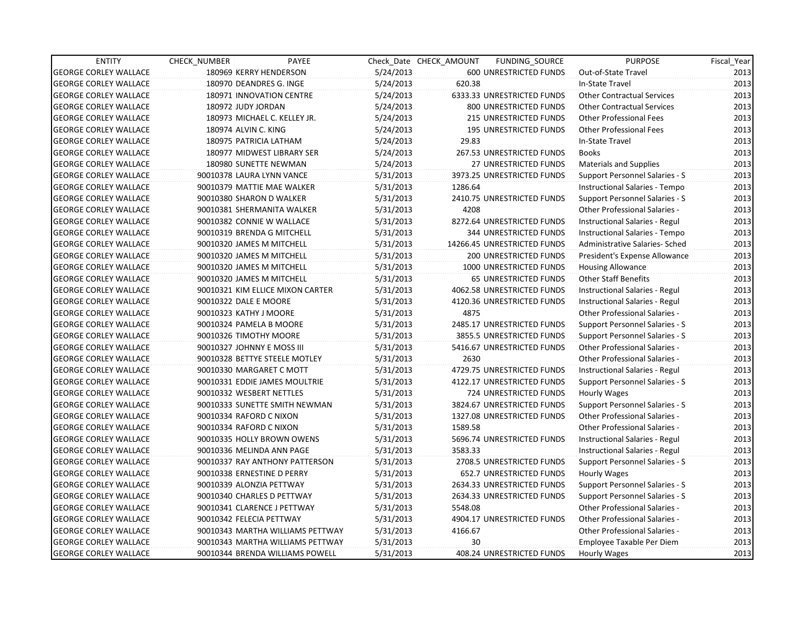| <b>ENTITY</b>                | CHECK_NUMBER               | PAYEE                            |           | Check Date CHECK AMOUNT | FUNDING_SOURCE                | <b>PURPOSE</b>                        | Fiscal_Year |
|------------------------------|----------------------------|----------------------------------|-----------|-------------------------|-------------------------------|---------------------------------------|-------------|
| <b>GEORGE CORLEY WALLACE</b> |                            | 180969 KERRY HENDERSON           | 5/24/2013 |                         | 600 UNRESTRICTED FUNDS        | Out-of-State Travel                   | 2013        |
| <b>GEORGE CORLEY WALLACE</b> |                            | 180970 DEANDRES G. INGE          | 5/24/2013 | 620.38                  |                               | In-State Travel                       | 2013        |
| <b>GEORGE CORLEY WALLACE</b> |                            | 180971 INNOVATION CENTRE         | 5/24/2013 |                         | 6333.33 UNRESTRICTED FUNDS    | <b>Other Contractual Services</b>     | 2013        |
| <b>GEORGE CORLEY WALLACE</b> | 180972 JUDY JORDAN         |                                  | 5/24/2013 |                         | 800 UNRESTRICTED FUNDS        | <b>Other Contractual Services</b>     | 2013        |
| <b>GEORGE CORLEY WALLACE</b> |                            | 180973 MICHAEL C. KELLEY JR.     | 5/24/2013 |                         | 215 UNRESTRICTED FUNDS        | <b>Other Professional Fees</b>        | 2013        |
| <b>GEORGE CORLEY WALLACE</b> | 180974 ALVIN C. KING       |                                  | 5/24/2013 |                         | <b>195 UNRESTRICTED FUNDS</b> | <b>Other Professional Fees</b>        | 2013        |
| <b>GEORGE CORLEY WALLACE</b> |                            | 180975 PATRICIA LATHAM           | 5/24/2013 | 29.83                   |                               | In-State Travel                       | 2013        |
| <b>GEORGE CORLEY WALLACE</b> |                            | 180977 MIDWEST LIBRARY SER       | 5/24/2013 |                         | 267.53 UNRESTRICTED FUNDS     | <b>Books</b>                          | 2013        |
| <b>GEORGE CORLEY WALLACE</b> |                            | 180980 SUNETTE NEWMAN            | 5/24/2013 |                         | 27 UNRESTRICTED FUNDS         | <b>Materials and Supplies</b>         | 2013        |
| <b>GEORGE CORLEY WALLACE</b> |                            | 90010378 LAURA LYNN VANCE        | 5/31/2013 |                         | 3973.25 UNRESTRICTED FUNDS    | Support Personnel Salaries - S        | 2013        |
| <b>GEORGE CORLEY WALLACE</b> |                            | 90010379 MATTIE MAE WALKER       | 5/31/2013 | 1286.64                 |                               | Instructional Salaries - Tempo        | 2013        |
| <b>GEORGE CORLEY WALLACE</b> | 90010380 SHARON D WALKER   |                                  | 5/31/2013 |                         | 2410.75 UNRESTRICTED FUNDS    | Support Personnel Salaries - S        | 2013        |
| <b>GEORGE CORLEY WALLACE</b> |                            | 90010381 SHERMANITA WALKER       | 5/31/2013 | 4208                    |                               | Other Professional Salaries -         | 2013        |
| <b>GEORGE CORLEY WALLACE</b> |                            | 90010382 CONNIE W WALLACE        | 5/31/2013 |                         | 8272.64 UNRESTRICTED FUNDS    | Instructional Salaries - Regul        | 2013        |
| <b>GEORGE CORLEY WALLACE</b> |                            | 90010319 BRENDA G MITCHELL       | 5/31/2013 |                         | <b>344 UNRESTRICTED FUNDS</b> | Instructional Salaries - Tempo        | 2013        |
| <b>GEORGE CORLEY WALLACE</b> |                            | 90010320 JAMES M MITCHELL        | 5/31/2013 |                         | 14266.45 UNRESTRICTED FUNDS   | Administrative Salaries- Sched        | 2013        |
| <b>GEORGE CORLEY WALLACE</b> |                            | 90010320 JAMES M MITCHELL        | 5/31/2013 |                         | 200 UNRESTRICTED FUNDS        | President's Expense Allowance         | 2013        |
| <b>GEORGE CORLEY WALLACE</b> |                            | 90010320 JAMES M MITCHELL        | 5/31/2013 |                         | 1000 UNRESTRICTED FUNDS       | <b>Housing Allowance</b>              | 2013        |
| <b>GEORGE CORLEY WALLACE</b> | 90010320 JAMES M MITCHELL  |                                  | 5/31/2013 |                         | <b>65 UNRESTRICTED FUNDS</b>  | <b>Other Staff Benefits</b>           | 2013        |
| <b>GEORGE CORLEY WALLACE</b> |                            | 90010321 KIM ELLICE MIXON CARTER | 5/31/2013 |                         | 4062.58 UNRESTRICTED FUNDS    | Instructional Salaries - Regul        | 2013        |
| <b>GEORGE CORLEY WALLACE</b> | 90010322 DALE E MOORE      |                                  | 5/31/2013 |                         | 4120.36 UNRESTRICTED FUNDS    | Instructional Salaries - Regul        | 2013        |
| <b>GEORGE CORLEY WALLACE</b> | 90010323 KATHY J MOORE     |                                  | 5/31/2013 | 4875                    |                               | Other Professional Salaries -         | 2013        |
| <b>GEORGE CORLEY WALLACE</b> | 90010324 PAMELA B MOORE    |                                  | 5/31/2013 |                         | 2485.17 UNRESTRICTED FUNDS    | Support Personnel Salaries - S        | 2013        |
| <b>GEORGE CORLEY WALLACE</b> | 90010326 TIMOTHY MOORE     |                                  | 5/31/2013 |                         | 3855.5 UNRESTRICTED FUNDS     | Support Personnel Salaries - S        | 2013        |
| <b>GEORGE CORLEY WALLACE</b> | 90010327 JOHNNY E MOSS III |                                  | 5/31/2013 |                         | 5416.67 UNRESTRICTED FUNDS    | <b>Other Professional Salaries -</b>  | 2013        |
| <b>GEORGE CORLEY WALLACE</b> |                            | 90010328 BETTYE STEELE MOTLEY    | 5/31/2013 | 2630                    |                               | <b>Other Professional Salaries -</b>  | 2013        |
| <b>GEORGE CORLEY WALLACE</b> |                            | 90010330 MARGARET C MOTT         | 5/31/2013 |                         | 4729.75 UNRESTRICTED FUNDS    | Instructional Salaries - Regul        | 2013        |
| <b>GEORGE CORLEY WALLACE</b> |                            | 90010331 EDDIE JAMES MOULTRIE    | 5/31/2013 |                         | 4122.17 UNRESTRICTED FUNDS    | <b>Support Personnel Salaries - S</b> | 2013        |
| <b>GEORGE CORLEY WALLACE</b> | 90010332 WESBERT NETTLES   |                                  | 5/31/2013 |                         | 724 UNRESTRICTED FUNDS        | Hourly Wages                          | 2013        |
| <b>GEORGE CORLEY WALLACE</b> |                            | 90010333 SUNETTE SMITH NEWMAN    | 5/31/2013 |                         | 3824.67 UNRESTRICTED FUNDS    | Support Personnel Salaries - S        | 2013        |
| <b>GEORGE CORLEY WALLACE</b> | 90010334 RAFORD C NIXON    |                                  | 5/31/2013 |                         | 1327.08 UNRESTRICTED FUNDS    | <b>Other Professional Salaries -</b>  | 2013        |
| <b>GEORGE CORLEY WALLACE</b> | 90010334 RAFORD C NIXON    |                                  | 5/31/2013 | 1589.58                 |                               | Other Professional Salaries -         | 2013        |
| <b>GEORGE CORLEY WALLACE</b> |                            | 90010335 HOLLY BROWN OWENS       | 5/31/2013 |                         | 5696.74 UNRESTRICTED FUNDS    | Instructional Salaries - Regul        | 2013        |
| <b>GEORGE CORLEY WALLACE</b> |                            | 90010336 MELINDA ANN PAGE        | 5/31/2013 | 3583.33                 |                               | Instructional Salaries - Regul        | 2013        |
| <b>GEORGE CORLEY WALLACE</b> |                            | 90010337 RAY ANTHONY PATTERSON   | 5/31/2013 |                         | 2708.5 UNRESTRICTED FUNDS     | Support Personnel Salaries - S        | 2013        |
| <b>GEORGE CORLEY WALLACE</b> |                            | 90010338 ERNESTINE D PERRY       | 5/31/2013 |                         | 652.7 UNRESTRICTED FUNDS      | Hourly Wages                          | 2013        |
| <b>GEORGE CORLEY WALLACE</b> | 90010339 ALONZIA PETTWAY   |                                  | 5/31/2013 |                         | 2634.33 UNRESTRICTED FUNDS    | <b>Support Personnel Salaries - S</b> | 2013        |
| <b>GEORGE CORLEY WALLACE</b> |                            | 90010340 CHARLES D PETTWAY       | 5/31/2013 |                         | 2634.33 UNRESTRICTED FUNDS    | Support Personnel Salaries - S        | 2013        |
| <b>GEORGE CORLEY WALLACE</b> |                            | 90010341 CLARENCE J PETTWAY      | 5/31/2013 | 5548.08                 |                               | Other Professional Salaries -         | 2013        |
| <b>GEORGE CORLEY WALLACE</b> | 90010342 FELECIA PETTWAY   |                                  | 5/31/2013 |                         | 4904.17 UNRESTRICTED FUNDS    | Other Professional Salaries -         | 2013        |
| <b>GEORGE CORLEY WALLACE</b> |                            | 90010343 MARTHA WILLIAMS PETTWAY | 5/31/2013 | 4166.67                 |                               | Other Professional Salaries -         | 2013        |
| <b>GEORGE CORLEY WALLACE</b> |                            | 90010343 MARTHA WILLIAMS PETTWAY | 5/31/2013 | 30                      |                               | Employee Taxable Per Diem             | 2013        |
| <b>GEORGE CORLEY WALLACE</b> |                            | 90010344 BRENDA WILLIAMS POWELL  | 5/31/2013 |                         | 408.24 UNRESTRICTED FUNDS     | Hourly Wages                          | 2013        |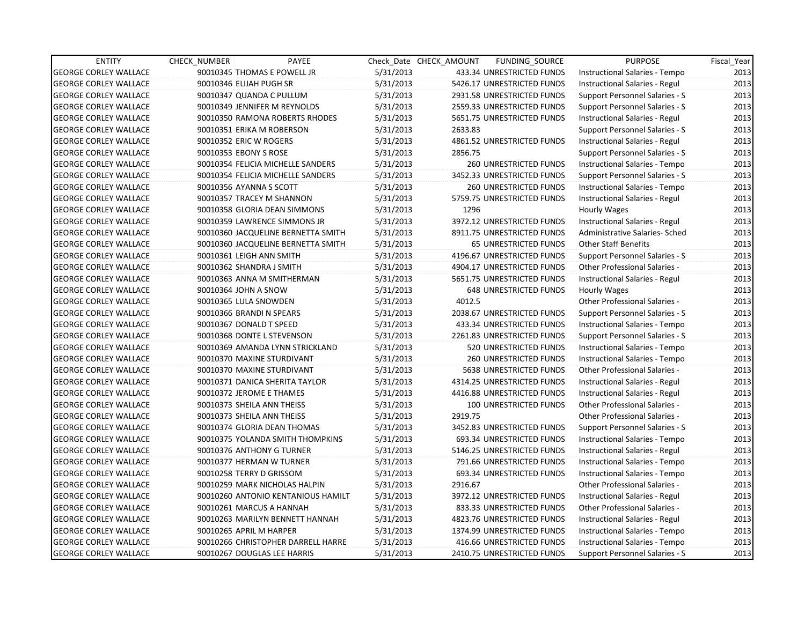| <b>ENTITY</b>                | <b>CHECK NUMBER</b>     | PAYEE                              |           | Check Date CHECK AMOUNT | FUNDING SOURCE                | <b>PURPOSE</b>                       | Fiscal_Year |
|------------------------------|-------------------------|------------------------------------|-----------|-------------------------|-------------------------------|--------------------------------------|-------------|
| <b>GEORGE CORLEY WALLACE</b> |                         | 90010345 THOMAS E POWELL JR        | 5/31/2013 |                         | 433.34 UNRESTRICTED FUNDS     | Instructional Salaries - Tempo       | 2013        |
| <b>GEORGE CORLEY WALLACE</b> | 90010346 ELIJAH PUGH SR |                                    | 5/31/2013 |                         | 5426.17 UNRESTRICTED FUNDS    | Instructional Salaries - Regul       | 2013        |
| <b>GEORGE CORLEY WALLACE</b> |                         | 90010347 QUANDA C PULLUM           | 5/31/2013 |                         | 2931.58 UNRESTRICTED FUNDS    | Support Personnel Salaries - S       | 2013        |
| <b>GEORGE CORLEY WALLACE</b> |                         | 90010349 JENNIFER M REYNOLDS       | 5/31/2013 |                         | 2559.33 UNRESTRICTED FUNDS    | Support Personnel Salaries - S       | 2013        |
| <b>GEORGE CORLEY WALLACE</b> |                         | 90010350 RAMONA ROBERTS RHODES     | 5/31/2013 |                         | 5651.75 UNRESTRICTED FUNDS    | Instructional Salaries - Regul       | 2013        |
| <b>GEORGE CORLEY WALLACE</b> |                         | 90010351 ERIKA M ROBERSON          | 5/31/2013 | 2633.83                 |                               | Support Personnel Salaries - S       | 2013        |
| <b>GEORGE CORLEY WALLACE</b> | 90010352 ERIC W ROGERS  |                                    | 5/31/2013 |                         | 4861.52 UNRESTRICTED FUNDS    | Instructional Salaries - Regul       | 2013        |
| <b>GEORGE CORLEY WALLACE</b> | 90010353 EBONY S ROSE   |                                    | 5/31/2013 | 2856.75                 |                               | Support Personnel Salaries - S       | 2013        |
| <b>GEORGE CORLEY WALLACE</b> |                         | 90010354 FELICIA MICHELLE SANDERS  | 5/31/2013 |                         | <b>260 UNRESTRICTED FUNDS</b> | Instructional Salaries - Tempo       | 2013        |
| <b>GEORGE CORLEY WALLACE</b> |                         | 90010354 FELICIA MICHELLE SANDERS  | 5/31/2013 |                         | 3452.33 UNRESTRICTED FUNDS    | Support Personnel Salaries - S       | 2013        |
| <b>GEORGE CORLEY WALLACE</b> | 90010356 AYANNA S SCOTT |                                    | 5/31/2013 |                         | <b>260 UNRESTRICTED FUNDS</b> | Instructional Salaries - Tempo       | 2013        |
| <b>GEORGE CORLEY WALLACE</b> |                         | 90010357 TRACEY M SHANNON          | 5/31/2013 |                         | 5759.75 UNRESTRICTED FUNDS    | Instructional Salaries - Regul       | 2013        |
| <b>GEORGE CORLEY WALLACE</b> |                         | 90010358 GLORIA DEAN SIMMONS       | 5/31/2013 | 1296                    |                               | Hourly Wages                         | 2013        |
| <b>GEORGE CORLEY WALLACE</b> |                         | 90010359 LAWRENCE SIMMONS JR       | 5/31/2013 |                         | 3972.12 UNRESTRICTED FUNDS    | Instructional Salaries - Regul       | 2013        |
| <b>GEORGE CORLEY WALLACE</b> |                         | 90010360 JACQUELINE BERNETTA SMITH | 5/31/2013 |                         | 8911.75 UNRESTRICTED FUNDS    | Administrative Salaries- Sched       | 2013        |
| <b>GEORGE CORLEY WALLACE</b> |                         | 90010360 JACQUELINE BERNETTA SMITH | 5/31/2013 |                         | <b>65 UNRESTRICTED FUNDS</b>  | Other Staff Benefits                 | 2013        |
| <b>GEORGE CORLEY WALLACE</b> |                         | 90010361 LEIGH ANN SMITH           | 5/31/2013 |                         | 4196.67 UNRESTRICTED FUNDS    | Support Personnel Salaries - S       | 2013        |
| <b>GEORGE CORLEY WALLACE</b> |                         | 90010362 SHANDRA J SMITH           | 5/31/2013 |                         | 4904.17 UNRESTRICTED FUNDS    | <b>Other Professional Salaries -</b> | 2013        |
| <b>GEORGE CORLEY WALLACE</b> |                         | 90010363 ANNA M SMITHERMAN         | 5/31/2013 |                         | 5651.75 UNRESTRICTED FUNDS    | Instructional Salaries - Regul       | 2013        |
| <b>GEORGE CORLEY WALLACE</b> | 90010364 JOHN A SNOW    |                                    | 5/31/2013 |                         | 648 UNRESTRICTED FUNDS        | Hourly Wages                         | 2013        |
| <b>GEORGE CORLEY WALLACE</b> | 90010365 LULA SNOWDEN   |                                    | 5/31/2013 | 4012.5                  |                               | Other Professional Salaries -        | 2013        |
| <b>GEORGE CORLEY WALLACE</b> |                         | 90010366 BRANDI N SPEARS           | 5/31/2013 |                         | 2038.67 UNRESTRICTED FUNDS    | Support Personnel Salaries - S       | 2013        |
| <b>GEORGE CORLEY WALLACE</b> | 90010367 DONALD T SPEED |                                    | 5/31/2013 |                         | 433.34 UNRESTRICTED FUNDS     | Instructional Salaries - Tempo       | 2013        |
| <b>GEORGE CORLEY WALLACE</b> |                         | 90010368 DONTE L STEVENSON         | 5/31/2013 |                         | 2261.83 UNRESTRICTED FUNDS    | Support Personnel Salaries - S       | 2013        |
| <b>GEORGE CORLEY WALLACE</b> |                         | 90010369 AMANDA LYNN STRICKLAND    | 5/31/2013 |                         | 520 UNRESTRICTED FUNDS        | Instructional Salaries - Tempo       | 2013        |
| <b>GEORGE CORLEY WALLACE</b> |                         | 90010370 MAXINE STURDIVANT         | 5/31/2013 |                         | <b>260 UNRESTRICTED FUNDS</b> | Instructional Salaries - Tempo       | 2013        |
| <b>GEORGE CORLEY WALLACE</b> |                         | 90010370 MAXINE STURDIVANT         | 5/31/2013 |                         | 5638 UNRESTRICTED FUNDS       | <b>Other Professional Salaries -</b> | 2013        |
| <b>GEORGE CORLEY WALLACE</b> |                         | 90010371 DANICA SHERITA TAYLOR     | 5/31/2013 |                         | 4314.25 UNRESTRICTED FUNDS    | Instructional Salaries - Regul       | 2013        |
| <b>GEORGE CORLEY WALLACE</b> |                         | 90010372 JEROME E THAMES           | 5/31/2013 |                         | 4416.88 UNRESTRICTED FUNDS    | Instructional Salaries - Regul       | 2013        |
| <b>GEORGE CORLEY WALLACE</b> |                         | 90010373 SHEILA ANN THEISS         | 5/31/2013 |                         | 100 UNRESTRICTED FUNDS        | Other Professional Salaries -        | 2013        |
| <b>GEORGE CORLEY WALLACE</b> |                         | 90010373 SHEILA ANN THEISS         | 5/31/2013 | 2919.75                 |                               | Other Professional Salaries -        | 2013        |
| <b>GEORGE CORLEY WALLACE</b> |                         | 90010374 GLORIA DEAN THOMAS        | 5/31/2013 |                         | 3452.83 UNRESTRICTED FUNDS    | Support Personnel Salaries - S       | 2013        |
| <b>GEORGE CORLEY WALLACE</b> |                         | 90010375 YOLANDA SMITH THOMPKINS   | 5/31/2013 |                         | 693.34 UNRESTRICTED FUNDS     | Instructional Salaries - Tempo       | 2013        |
| <b>GEORGE CORLEY WALLACE</b> |                         | 90010376 ANTHONY G TURNER          | 5/31/2013 |                         | 5146.25 UNRESTRICTED FUNDS    | Instructional Salaries - Regul       | 2013        |
| <b>GEORGE CORLEY WALLACE</b> |                         | 90010377 HERMAN W TURNER           | 5/31/2013 |                         | 791.66 UNRESTRICTED FUNDS     | Instructional Salaries - Tempo       | 2013        |
| <b>GEORGE CORLEY WALLACE</b> |                         | 90010258 TERRY D GRISSOM           | 5/31/2013 |                         | 693.34 UNRESTRICTED FUNDS     | Instructional Salaries - Tempo       | 2013        |
| <b>GEORGE CORLEY WALLACE</b> |                         | 90010259 MARK NICHOLAS HALPIN      | 5/31/2013 | 2916.67                 |                               | <b>Other Professional Salaries -</b> | 2013        |
| <b>GEORGE CORLEY WALLACE</b> |                         | 90010260 ANTONIO KENTANIOUS HAMILT | 5/31/2013 |                         | 3972.12 UNRESTRICTED FUNDS    | Instructional Salaries - Regul       | 2013        |
| <b>GEORGE CORLEY WALLACE</b> |                         | 90010261 MARCUS A HANNAH           | 5/31/2013 |                         | 833.33 UNRESTRICTED FUNDS     | Other Professional Salaries -        | 2013        |
| <b>GEORGE CORLEY WALLACE</b> |                         | 90010263 MARILYN BENNETT HANNAH    | 5/31/2013 |                         | 4823.76 UNRESTRICTED FUNDS    | Instructional Salaries - Regul       | 2013        |
| <b>GEORGE CORLEY WALLACE</b> | 90010265 APRIL M HARPER |                                    | 5/31/2013 |                         | 1374.99 UNRESTRICTED FUNDS    | Instructional Salaries - Tempo       | 2013        |
| <b>GEORGE CORLEY WALLACE</b> |                         | 90010266 CHRISTOPHER DARRELL HARRE | 5/31/2013 |                         | 416.66 UNRESTRICTED FUNDS     | Instructional Salaries - Tempo       | 2013        |
| <b>GEORGE CORLEY WALLACE</b> |                         | 90010267 DOUGLAS LEE HARRIS        | 5/31/2013 |                         | 2410.75 UNRESTRICTED FUNDS    | Support Personnel Salaries - S       | 2013        |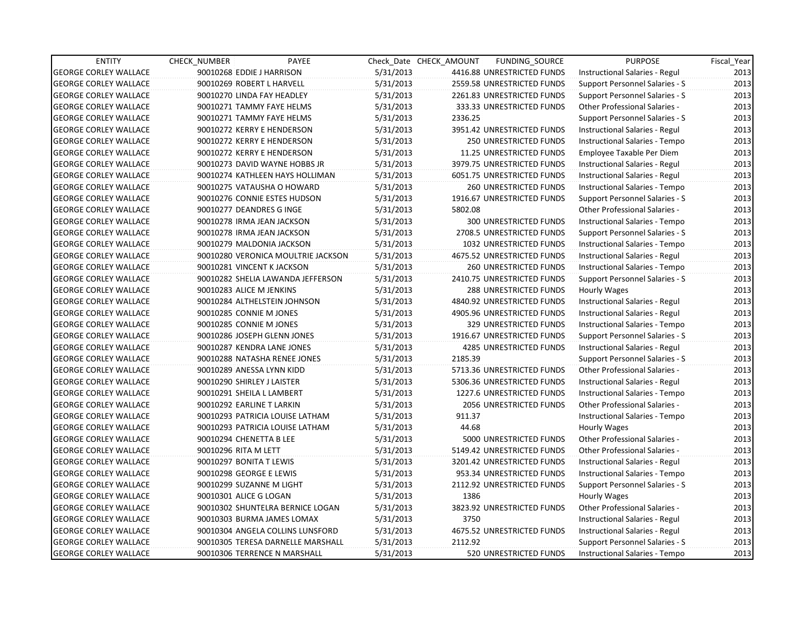| <b>ENTITY</b>                | <b>CHECK NUMBER</b>        | PAYEE                              |           | Check Date CHECK AMOUNT | FUNDING SOURCE                | <b>PURPOSE</b>                       | Fiscal_Year |
|------------------------------|----------------------------|------------------------------------|-----------|-------------------------|-------------------------------|--------------------------------------|-------------|
| <b>GEORGE CORLEY WALLACE</b> | 90010268 EDDIE J HARRISON  |                                    | 5/31/2013 |                         | 4416.88 UNRESTRICTED FUNDS    | Instructional Salaries - Regul       | 2013        |
| <b>GEORGE CORLEY WALLACE</b> |                            | 90010269 ROBERT L HARVELL          | 5/31/2013 |                         | 2559.58 UNRESTRICTED FUNDS    | Support Personnel Salaries - S       | 2013        |
| <b>GEORGE CORLEY WALLACE</b> |                            | 90010270 LINDA FAY HEADLEY         | 5/31/2013 |                         | 2261.83 UNRESTRICTED FUNDS    | Support Personnel Salaries - S       | 2013        |
| <b>GEORGE CORLEY WALLACE</b> |                            | 90010271 TAMMY FAYE HELMS          | 5/31/2013 |                         | 333.33 UNRESTRICTED FUNDS     | <b>Other Professional Salaries -</b> | 2013        |
| <b>GEORGE CORLEY WALLACE</b> |                            | 90010271 TAMMY FAYE HELMS          | 5/31/2013 | 2336.25                 |                               | Support Personnel Salaries - S       | 2013        |
| <b>GEORGE CORLEY WALLACE</b> |                            | 90010272 KERRY E HENDERSON         | 5/31/2013 |                         | 3951.42 UNRESTRICTED FUNDS    | Instructional Salaries - Regul       | 2013        |
| <b>GEORGE CORLEY WALLACE</b> |                            | 90010272 KERRY E HENDERSON         | 5/31/2013 |                         | 250 UNRESTRICTED FUNDS        | Instructional Salaries - Tempo       | 2013        |
| <b>GEORGE CORLEY WALLACE</b> |                            | 90010272 KERRY E HENDERSON         | 5/31/2013 |                         | 11.25 UNRESTRICTED FUNDS      | Employee Taxable Per Diem            | 2013        |
| <b>GEORGE CORLEY WALLACE</b> |                            | 90010273 DAVID WAYNE HOBBS JR      | 5/31/2013 |                         | 3979.75 UNRESTRICTED FUNDS    | Instructional Salaries - Regul       | 2013        |
| <b>GEORGE CORLEY WALLACE</b> |                            | 90010274 KATHLEEN HAYS HOLLIMAN    | 5/31/2013 |                         | 6051.75 UNRESTRICTED FUNDS    | Instructional Salaries - Regul       | 2013        |
| <b>GEORGE CORLEY WALLACE</b> |                            | 90010275 VATAUSHA O HOWARD         | 5/31/2013 |                         | <b>260 UNRESTRICTED FUNDS</b> | Instructional Salaries - Tempo       | 2013        |
| <b>GEORGE CORLEY WALLACE</b> |                            | 90010276 CONNIE ESTES HUDSON       | 5/31/2013 |                         | 1916.67 UNRESTRICTED FUNDS    | Support Personnel Salaries - S       | 2013        |
| <b>GEORGE CORLEY WALLACE</b> |                            | 90010277 DEANDRES G INGE           | 5/31/2013 | 5802.08                 |                               | Other Professional Salaries -        | 2013        |
| <b>GEORGE CORLEY WALLACE</b> |                            | 90010278 IRMA JEAN JACKSON         | 5/31/2013 |                         | 300 UNRESTRICTED FUNDS        | Instructional Salaries - Tempo       | 2013        |
| <b>GEORGE CORLEY WALLACE</b> |                            | 90010278 IRMA JEAN JACKSON         | 5/31/2013 |                         | 2708.5 UNRESTRICTED FUNDS     | Support Personnel Salaries - S       | 2013        |
| <b>GEORGE CORLEY WALLACE</b> |                            | 90010279 MALDONIA JACKSON          | 5/31/2013 |                         | 1032 UNRESTRICTED FUNDS       | Instructional Salaries - Tempo       | 2013        |
| <b>GEORGE CORLEY WALLACE</b> |                            | 90010280 VERONICA MOULTRIE JACKSON | 5/31/2013 |                         | 4675.52 UNRESTRICTED FUNDS    | Instructional Salaries - Regul       | 2013        |
| <b>GEORGE CORLEY WALLACE</b> |                            | 90010281 VINCENT K JACKSON         | 5/31/2013 |                         | 260 UNRESTRICTED FUNDS        | Instructional Salaries - Tempo       | 2013        |
| <b>GEORGE CORLEY WALLACE</b> |                            | 90010282 SHELIA LAWANDA JEFFERSON  | 5/31/2013 |                         | 2410.75 UNRESTRICTED FUNDS    | Support Personnel Salaries - S       | 2013        |
| <b>GEORGE CORLEY WALLACE</b> | 90010283 ALICE M JENKINS   |                                    | 5/31/2013 |                         | 288 UNRESTRICTED FUNDS        | Hourly Wages                         | 2013        |
| <b>GEORGE CORLEY WALLACE</b> |                            | 90010284 ALTHELSTEIN JOHNSON       | 5/31/2013 |                         | 4840.92 UNRESTRICTED FUNDS    | Instructional Salaries - Regul       | 2013        |
| <b>GEORGE CORLEY WALLACE</b> | 90010285 CONNIE M JONES    |                                    | 5/31/2013 |                         | 4905.96 UNRESTRICTED FUNDS    | Instructional Salaries - Regul       | 2013        |
| <b>GEORGE CORLEY WALLACE</b> | 90010285 CONNIE M JONES    |                                    | 5/31/2013 |                         | 329 UNRESTRICTED FUNDS        | Instructional Salaries - Tempo       | 2013        |
| <b>GEORGE CORLEY WALLACE</b> |                            | 90010286 JOSEPH GLENN JONES        | 5/31/2013 |                         | 1916.67 UNRESTRICTED FUNDS    | Support Personnel Salaries - S       | 2013        |
| <b>GEORGE CORLEY WALLACE</b> |                            | 90010287 KENDRA LANE JONES         | 5/31/2013 |                         | 4285 UNRESTRICTED FUNDS       | Instructional Salaries - Regul       | 2013        |
| <b>GEORGE CORLEY WALLACE</b> |                            | 90010288 NATASHA RENEE JONES       | 5/31/2013 | 2185.39                 |                               | Support Personnel Salaries - S       | 2013        |
| <b>GEORGE CORLEY WALLACE</b> |                            | 90010289 ANESSA LYNN KIDD          | 5/31/2013 |                         | 5713.36 UNRESTRICTED FUNDS    | Other Professional Salaries -        | 2013        |
| <b>GEORGE CORLEY WALLACE</b> | 90010290 SHIRLEY J LAISTER |                                    | 5/31/2013 |                         | 5306.36 UNRESTRICTED FUNDS    | Instructional Salaries - Regul       | 2013        |
| <b>GEORGE CORLEY WALLACE</b> |                            | 90010291 SHEILA L LAMBERT          | 5/31/2013 |                         | 1227.6 UNRESTRICTED FUNDS     | Instructional Salaries - Tempo       | 2013        |
| <b>GEORGE CORLEY WALLACE</b> | 90010292 EARLINE T LARKIN  |                                    | 5/31/2013 |                         | 2056 UNRESTRICTED FUNDS       | <b>Other Professional Salaries -</b> | 2013        |
| <b>GEORGE CORLEY WALLACE</b> |                            | 90010293 PATRICIA LOUISE LATHAM    | 5/31/2013 | 911.37                  |                               | Instructional Salaries - Tempo       | 2013        |
| <b>GEORGE CORLEY WALLACE</b> |                            | 90010293 PATRICIA LOUISE LATHAM    | 5/31/2013 | 44.68                   |                               | Hourly Wages                         | 2013        |
| <b>GEORGE CORLEY WALLACE</b> | 90010294 CHENETTA B LEE    |                                    | 5/31/2013 |                         | 5000 UNRESTRICTED FUNDS       | Other Professional Salaries -        | 2013        |
| <b>GEORGE CORLEY WALLACE</b> | 90010296 RITA M LETT       |                                    | 5/31/2013 |                         | 5149.42 UNRESTRICTED FUNDS    | Other Professional Salaries -        | 2013        |
| <b>GEORGE CORLEY WALLACE</b> | 90010297 BONITA T LEWIS    |                                    | 5/31/2013 |                         | 3201.42 UNRESTRICTED FUNDS    | Instructional Salaries - Regul       | 2013        |
| <b>GEORGE CORLEY WALLACE</b> | 90010298 GEORGE E LEWIS    |                                    | 5/31/2013 |                         | 953.34 UNRESTRICTED FUNDS     | Instructional Salaries - Tempo       | 2013        |
| <b>GEORGE CORLEY WALLACE</b> |                            | 90010299 SUZANNE M LIGHT           | 5/31/2013 |                         | 2112.92 UNRESTRICTED FUNDS    | Support Personnel Salaries - S       | 2013        |
| <b>GEORGE CORLEY WALLACE</b> | 90010301 ALICE G LOGAN     |                                    | 5/31/2013 | 1386                    |                               | Hourly Wages                         | 2013        |
| <b>GEORGE CORLEY WALLACE</b> |                            | 90010302 SHUNTELRA BERNICE LOGAN   | 5/31/2013 |                         | 3823.92 UNRESTRICTED FUNDS    | Other Professional Salaries -        | 2013        |
| <b>GEORGE CORLEY WALLACE</b> |                            | 90010303 BURMA JAMES LOMAX         | 5/31/2013 | 3750                    |                               | Instructional Salaries - Regul       | 2013        |
| <b>GEORGE CORLEY WALLACE</b> |                            | 90010304 ANGELA COLLINS LUNSFORD   | 5/31/2013 |                         | 4675.52 UNRESTRICTED FUNDS    | Instructional Salaries - Regul       | 2013        |
| <b>GEORGE CORLEY WALLACE</b> |                            | 90010305 TERESA DARNELLE MARSHALL  | 5/31/2013 | 2112.92                 |                               | Support Personnel Salaries - S       | 2013        |
| <b>GEORGE CORLEY WALLACE</b> |                            | 90010306 TERRENCE N MARSHALL       | 5/31/2013 |                         | 520 UNRESTRICTED FUNDS        | Instructional Salaries - Tempo       | 2013        |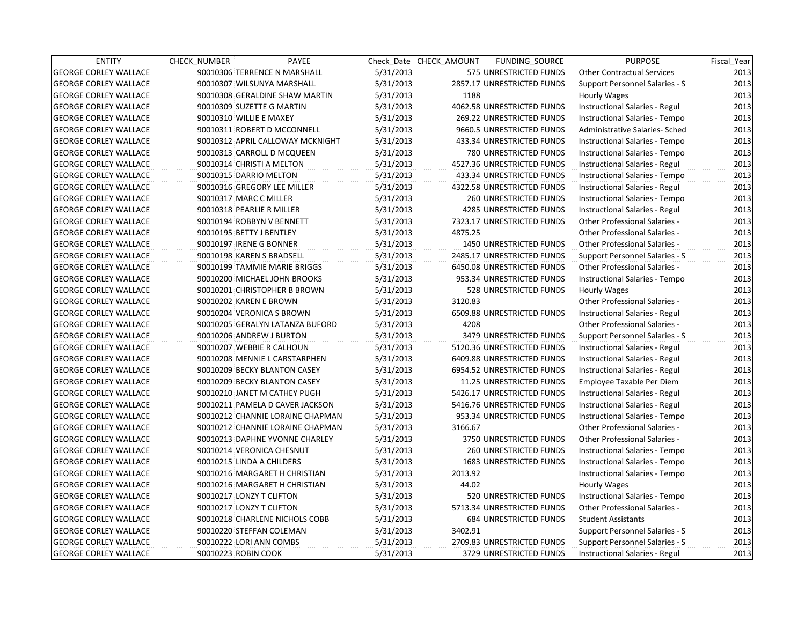| <b>ENTITY</b>                | <b>CHECK NUMBER</b>       | PAYEE                            |           | Check Date CHECK AMOUNT | FUNDING_SOURCE                 | <b>PURPOSE</b>                       | Fiscal_Year |
|------------------------------|---------------------------|----------------------------------|-----------|-------------------------|--------------------------------|--------------------------------------|-------------|
| <b>GEORGE CORLEY WALLACE</b> |                           | 90010306 TERRENCE N MARSHALL     | 5/31/2013 |                         | 575 UNRESTRICTED FUNDS         | <b>Other Contractual Services</b>    | 2013        |
| <b>GEORGE CORLEY WALLACE</b> |                           | 90010307 WILSUNYA MARSHALL       | 5/31/2013 |                         | 2857.17 UNRESTRICTED FUNDS     | Support Personnel Salaries - S       | 2013        |
| <b>GEORGE CORLEY WALLACE</b> |                           | 90010308 GERALDINE SHAW MARTIN   | 5/31/2013 | 1188                    |                                | Hourly Wages                         | 2013        |
| <b>GEORGE CORLEY WALLACE</b> |                           | 90010309 SUZETTE G MARTIN        | 5/31/2013 |                         | 4062.58 UNRESTRICTED FUNDS     | Instructional Salaries - Regul       | 2013        |
| <b>GEORGE CORLEY WALLACE</b> | 90010310 WILLIE E MAXEY   |                                  | 5/31/2013 |                         | 269.22 UNRESTRICTED FUNDS      | Instructional Salaries - Tempo       | 2013        |
| <b>GEORGE CORLEY WALLACE</b> |                           | 90010311 ROBERT D MCCONNELL      | 5/31/2013 |                         | 9660.5 UNRESTRICTED FUNDS      | Administrative Salaries- Sched       | 2013        |
| <b>GEORGE CORLEY WALLACE</b> |                           | 90010312 APRIL CALLOWAY MCKNIGHT | 5/31/2013 |                         | 433.34 UNRESTRICTED FUNDS      | Instructional Salaries - Tempo       | 2013        |
| <b>GEORGE CORLEY WALLACE</b> |                           | 90010313 CARROLL D MCQUEEN       | 5/31/2013 |                         | 780 UNRESTRICTED FUNDS         | Instructional Salaries - Tempo       | 2013        |
| <b>GEORGE CORLEY WALLACE</b> | 90010314 CHRISTI A MELTON |                                  | 5/31/2013 |                         | 4527.36 UNRESTRICTED FUNDS     | Instructional Salaries - Regul       | 2013        |
| <b>GEORGE CORLEY WALLACE</b> | 90010315 DARRIO MELTON    |                                  | 5/31/2013 |                         | 433.34 UNRESTRICTED FUNDS      | Instructional Salaries - Tempo       | 2013        |
| <b>GEORGE CORLEY WALLACE</b> |                           | 90010316 GREGORY LEE MILLER      | 5/31/2013 |                         | 4322.58 UNRESTRICTED FUNDS     | Instructional Salaries - Regul       | 2013        |
| <b>GEORGE CORLEY WALLACE</b> | 90010317 MARC C MILLER    |                                  | 5/31/2013 |                         | 260 UNRESTRICTED FUNDS         | Instructional Salaries - Tempo       | 2013        |
| <b>GEORGE CORLEY WALLACE</b> | 90010318 PEARLIE R MILLER |                                  | 5/31/2013 |                         | <b>4285 UNRESTRICTED FUNDS</b> | Instructional Salaries - Regul       | 2013        |
| <b>GEORGE CORLEY WALLACE</b> |                           | 90010194 ROBBYN V BENNETT        | 5/31/2013 |                         | 7323.17 UNRESTRICTED FUNDS     | <b>Other Professional Salaries -</b> | 2013        |
| <b>GEORGE CORLEY WALLACE</b> | 90010195 BETTY J BENTLEY  |                                  | 5/31/2013 | 4875.25                 |                                | <b>Other Professional Salaries -</b> | 2013        |
| <b>GEORGE CORLEY WALLACE</b> | 90010197 IRENE G BONNER   |                                  | 5/31/2013 |                         | <b>1450 UNRESTRICTED FUNDS</b> | Other Professional Salaries -        | 2013        |
| <b>GEORGE CORLEY WALLACE</b> | 90010198 KAREN S BRADSELL |                                  | 5/31/2013 |                         | 2485.17 UNRESTRICTED FUNDS     | Support Personnel Salaries - S       | 2013        |
| <b>GEORGE CORLEY WALLACE</b> |                           | 90010199 TAMMIE MARIE BRIGGS     | 5/31/2013 |                         | 6450.08 UNRESTRICTED FUNDS     | Other Professional Salaries -        | 2013        |
| <b>GEORGE CORLEY WALLACE</b> |                           | 90010200 MICHAEL JOHN BROOKS     | 5/31/2013 |                         | 953.34 UNRESTRICTED FUNDS      | Instructional Salaries - Tempo       | 2013        |
| <b>GEORGE CORLEY WALLACE</b> |                           | 90010201 CHRISTOPHER B BROWN     | 5/31/2013 |                         | 528 UNRESTRICTED FUNDS         | Hourly Wages                         | 2013        |
| <b>GEORGE CORLEY WALLACE</b> | 90010202 KAREN E BROWN    |                                  | 5/31/2013 | 3120.83                 |                                | Other Professional Salaries -        | 2013        |
| <b>GEORGE CORLEY WALLACE</b> |                           | 90010204 VERONICA S BROWN        | 5/31/2013 |                         | 6509.88 UNRESTRICTED FUNDS     | Instructional Salaries - Regul       | 2013        |
| <b>GEORGE CORLEY WALLACE</b> |                           | 90010205 GERALYN LATANZA BUFORD  | 5/31/2013 | 4208                    |                                | Other Professional Salaries -        | 2013        |
| <b>GEORGE CORLEY WALLACE</b> |                           | 90010206 ANDREW J BURTON         | 5/31/2013 |                         | 3479 UNRESTRICTED FUNDS        | Support Personnel Salaries - S       | 2013        |
| <b>GEORGE CORLEY WALLACE</b> |                           | 90010207 WEBBIE R CALHOUN        | 5/31/2013 |                         | 5120.36 UNRESTRICTED FUNDS     | Instructional Salaries - Regul       | 2013        |
| <b>GEORGE CORLEY WALLACE</b> |                           | 90010208 MENNIE L CARSTARPHEN    | 5/31/2013 |                         | 6409.88 UNRESTRICTED FUNDS     | Instructional Salaries - Regul       | 2013        |
| <b>GEORGE CORLEY WALLACE</b> |                           | 90010209 BECKY BLANTON CASEY     | 5/31/2013 |                         | 6954.52 UNRESTRICTED FUNDS     | Instructional Salaries - Regul       | 2013        |
| <b>GEORGE CORLEY WALLACE</b> |                           | 90010209 BECKY BLANTON CASEY     | 5/31/2013 |                         | 11.25 UNRESTRICTED FUNDS       | Employee Taxable Per Diem            | 2013        |
| <b>GEORGE CORLEY WALLACE</b> |                           | 90010210 JANET M CATHEY PUGH     | 5/31/2013 |                         | 5426.17 UNRESTRICTED FUNDS     | Instructional Salaries - Regul       | 2013        |
| <b>GEORGE CORLEY WALLACE</b> |                           | 90010211 PAMELA D CAVER JACKSON  | 5/31/2013 |                         | 5416.76 UNRESTRICTED FUNDS     | Instructional Salaries - Regul       | 2013        |
| <b>GEORGE CORLEY WALLACE</b> |                           | 90010212 CHANNIE LORAINE CHAPMAN | 5/31/2013 |                         | 953.34 UNRESTRICTED FUNDS      | Instructional Salaries - Tempo       | 2013        |
| <b>GEORGE CORLEY WALLACE</b> |                           | 90010212 CHANNIE LORAINE CHAPMAN | 5/31/2013 | 3166.67                 |                                | Other Professional Salaries -        | 2013        |
| <b>GEORGE CORLEY WALLACE</b> |                           | 90010213 DAPHNE YVONNE CHARLEY   | 5/31/2013 |                         | 3750 UNRESTRICTED FUNDS        | Other Professional Salaries -        | 2013        |
| <b>GEORGE CORLEY WALLACE</b> |                           | 90010214 VERONICA CHESNUT        | 5/31/2013 |                         | <b>260 UNRESTRICTED FUNDS</b>  | Instructional Salaries - Tempo       | 2013        |
| <b>GEORGE CORLEY WALLACE</b> | 90010215 LINDA A CHILDERS |                                  | 5/31/2013 |                         | 1683 UNRESTRICTED FUNDS        | Instructional Salaries - Tempo       | 2013        |
| <b>GEORGE CORLEY WALLACE</b> |                           | 90010216 MARGARET H CHRISTIAN    | 5/31/2013 | 2013.92                 |                                | Instructional Salaries - Tempo       | 2013        |
| <b>GEORGE CORLEY WALLACE</b> |                           | 90010216 MARGARET H CHRISTIAN    | 5/31/2013 | 44.02                   |                                | Hourly Wages                         | 2013        |
| <b>GEORGE CORLEY WALLACE</b> | 90010217 LONZY T CLIFTON  |                                  | 5/31/2013 |                         | 520 UNRESTRICTED FUNDS         | Instructional Salaries - Tempo       | 2013        |
| <b>GEORGE CORLEY WALLACE</b> | 90010217 LONZY T CLIFTON  |                                  | 5/31/2013 |                         | 5713.34 UNRESTRICTED FUNDS     | Other Professional Salaries -        | 2013        |
| <b>GEORGE CORLEY WALLACE</b> |                           | 90010218 CHARLENE NICHOLS COBB   | 5/31/2013 |                         | <b>684 UNRESTRICTED FUNDS</b>  | <b>Student Assistants</b>            | 2013        |
| <b>GEORGE CORLEY WALLACE</b> |                           | 90010220 STEFFAN COLEMAN         | 5/31/2013 | 3402.91                 |                                | Support Personnel Salaries - S       | 2013        |
| <b>GEORGE CORLEY WALLACE</b> | 90010222 LORI ANN COMBS   |                                  | 5/31/2013 |                         | 2709.83 UNRESTRICTED FUNDS     | Support Personnel Salaries - S       | 2013        |
| <b>GEORGE CORLEY WALLACE</b> | 90010223 ROBIN COOK       |                                  | 5/31/2013 |                         | 3729 UNRESTRICTED FUNDS        | Instructional Salaries - Regul       | 2013        |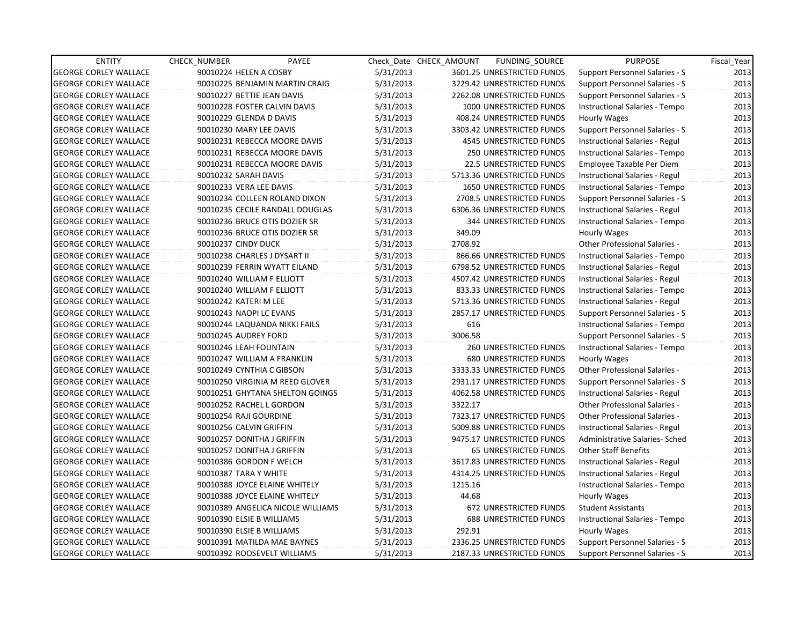| <b>ENTITY</b>                | CHECK_NUMBER            | PAYEE                             |           | Check Date CHECK AMOUNT | FUNDING_SOURCE                 | <b>PURPOSE</b>                        | Fiscal_Year |
|------------------------------|-------------------------|-----------------------------------|-----------|-------------------------|--------------------------------|---------------------------------------|-------------|
| <b>GEORGE CORLEY WALLACE</b> | 90010224 HELEN A COSBY  |                                   | 5/31/2013 |                         | 3601.25 UNRESTRICTED FUNDS     | Support Personnel Salaries - S        | 2013        |
| <b>GEORGE CORLEY WALLACE</b> |                         | 90010225 BENJAMIN MARTIN CRAIG    | 5/31/2013 |                         | 3229.42 UNRESTRICTED FUNDS     | Support Personnel Salaries - S        | 2013        |
| <b>GEORGE CORLEY WALLACE</b> |                         | 90010227 BETTIE JEAN DAVIS        | 5/31/2013 |                         | 2262.08 UNRESTRICTED FUNDS     | Support Personnel Salaries - S        | 2013        |
| <b>GEORGE CORLEY WALLACE</b> |                         | 90010228 FOSTER CALVIN DAVIS      | 5/31/2013 |                         | 1000 UNRESTRICTED FUNDS        | Instructional Salaries - Tempo        | 2013        |
| <b>GEORGE CORLEY WALLACE</b> | 90010229 GLENDA D DAVIS |                                   | 5/31/2013 |                         | 408.24 UNRESTRICTED FUNDS      | Hourly Wages                          | 2013        |
| <b>GEORGE CORLEY WALLACE</b> | 90010230 MARY LEE DAVIS |                                   | 5/31/2013 |                         | 3303.42 UNRESTRICTED FUNDS     | Support Personnel Salaries - S        | 2013        |
| <b>GEORGE CORLEY WALLACE</b> |                         | 90010231 REBECCA MOORE DAVIS      | 5/31/2013 |                         | 4545 UNRESTRICTED FUNDS        | Instructional Salaries - Regul        | 2013        |
| <b>GEORGE CORLEY WALLACE</b> |                         | 90010231 REBECCA MOORE DAVIS      | 5/31/2013 |                         | <b>250 UNRESTRICTED FUNDS</b>  | Instructional Salaries - Tempo        | 2013        |
| <b>GEORGE CORLEY WALLACE</b> |                         | 90010231 REBECCA MOORE DAVIS      | 5/31/2013 |                         | <b>22.5 UNRESTRICTED FUNDS</b> | Employee Taxable Per Diem             | 2013        |
| <b>GEORGE CORLEY WALLACE</b> | 90010232 SARAH DAVIS    |                                   | 5/31/2013 |                         | 5713.36 UNRESTRICTED FUNDS     | Instructional Salaries - Regul        | 2013        |
| <b>GEORGE CORLEY WALLACE</b> | 90010233 VERA LEE DAVIS |                                   | 5/31/2013 |                         | <b>1650 UNRESTRICTED FUNDS</b> | Instructional Salaries - Tempo        | 2013        |
| <b>GEORGE CORLEY WALLACE</b> |                         | 90010234 COLLEEN ROLAND DIXON     | 5/31/2013 |                         | 2708.5 UNRESTRICTED FUNDS      | Support Personnel Salaries - S        | 2013        |
| <b>GEORGE CORLEY WALLACE</b> |                         | 90010235 CECILE RANDALL DOUGLAS   | 5/31/2013 |                         | 6306.36 UNRESTRICTED FUNDS     | Instructional Salaries - Regul        | 2013        |
| <b>GEORGE CORLEY WALLACE</b> |                         | 90010236 BRUCE OTIS DOZIER SR     | 5/31/2013 |                         | <b>344 UNRESTRICTED FUNDS</b>  | Instructional Salaries - Tempo        | 2013        |
| <b>GEORGE CORLEY WALLACE</b> |                         | 90010236 BRUCE OTIS DOZIER SR     | 5/31/2013 | 349.09                  |                                | Hourly Wages                          | 2013        |
| <b>GEORGE CORLEY WALLACE</b> | 90010237 CINDY DUCK     |                                   | 5/31/2013 | 2708.92                 |                                | <b>Other Professional Salaries -</b>  | 2013        |
| <b>GEORGE CORLEY WALLACE</b> |                         | 90010238 CHARLES J DYSART II      | 5/31/2013 |                         | 866.66 UNRESTRICTED FUNDS      | Instructional Salaries - Tempo        | 2013        |
| <b>GEORGE CORLEY WALLACE</b> |                         | 90010239 FERRIN WYATT EILAND      | 5/31/2013 |                         | 6798.52 UNRESTRICTED FUNDS     | Instructional Salaries - Regul        | 2013        |
| <b>GEORGE CORLEY WALLACE</b> |                         | 90010240 WILLIAM F ELLIOTT        | 5/31/2013 |                         | 4507.42 UNRESTRICTED FUNDS     | Instructional Salaries - Regul        | 2013        |
| <b>GEORGE CORLEY WALLACE</b> |                         | 90010240 WILLIAM F ELLIOTT        | 5/31/2013 |                         | 833.33 UNRESTRICTED FUNDS      | Instructional Salaries - Tempo        | 2013        |
| <b>GEORGE CORLEY WALLACE</b> | 90010242 KATERI M LEE   |                                   | 5/31/2013 |                         | 5713.36 UNRESTRICTED FUNDS     | Instructional Salaries - Regul        | 2013        |
| <b>GEORGE CORLEY WALLACE</b> | 90010243 NAOPI LC EVANS |                                   | 5/31/2013 |                         | 2857.17 UNRESTRICTED FUNDS     | Support Personnel Salaries - S        | 2013        |
| <b>GEORGE CORLEY WALLACE</b> |                         | 90010244 LAQUANDA NIKKI FAILS     | 5/31/2013 | 616                     |                                | Instructional Salaries - Tempo        | 2013        |
| <b>GEORGE CORLEY WALLACE</b> | 90010245 AUDREY FORD    |                                   | 5/31/2013 | 3006.58                 |                                | Support Personnel Salaries - S        | 2013        |
| <b>GEORGE CORLEY WALLACE</b> | 90010246 LEAH FOUNTAIN  |                                   | 5/31/2013 |                         | 260 UNRESTRICTED FUNDS         | Instructional Salaries - Tempo        | 2013        |
| <b>GEORGE CORLEY WALLACE</b> |                         | 90010247 WILLIAM A FRANKLIN       | 5/31/2013 |                         | <b>680 UNRESTRICTED FUNDS</b>  | Hourly Wages                          | 2013        |
| <b>GEORGE CORLEY WALLACE</b> |                         | 90010249 CYNTHIA C GIBSON         | 5/31/2013 |                         | 3333.33 UNRESTRICTED FUNDS     | Other Professional Salaries -         | 2013        |
| <b>GEORGE CORLEY WALLACE</b> |                         | 90010250 VIRGINIA M REED GLOVER   | 5/31/2013 |                         | 2931.17 UNRESTRICTED FUNDS     | <b>Support Personnel Salaries - S</b> | 2013        |
| <b>GEORGE CORLEY WALLACE</b> |                         | 90010251 GHYTANA SHELTON GOINGS   | 5/31/2013 |                         | 4062.58 UNRESTRICTED FUNDS     | Instructional Salaries - Regul        | 2013        |
| <b>GEORGE CORLEY WALLACE</b> |                         | 90010252 RACHEL L GORDON          | 5/31/2013 | 3322.17                 |                                | <b>Other Professional Salaries -</b>  | 2013        |
| <b>GEORGE CORLEY WALLACE</b> | 90010254 RAJI GOURDINE  |                                   | 5/31/2013 |                         | 7323.17 UNRESTRICTED FUNDS     | <b>Other Professional Salaries -</b>  | 2013        |
| <b>GEORGE CORLEY WALLACE</b> | 90010256 CALVIN GRIFFIN |                                   | 5/31/2013 |                         | 5009.88 UNRESTRICTED FUNDS     | Instructional Salaries - Regul        | 2013        |
| <b>GEORGE CORLEY WALLACE</b> |                         | 90010257 DONITHA J GRIFFIN        | 5/31/2013 |                         | 9475.17 UNRESTRICTED FUNDS     | Administrative Salaries- Sched        | 2013        |
| <b>GEORGE CORLEY WALLACE</b> |                         | 90010257 DONITHA J GRIFFIN        | 5/31/2013 |                         | <b>65 UNRESTRICTED FUNDS</b>   | Other Staff Benefits                  | 2013        |
| <b>GEORGE CORLEY WALLACE</b> |                         | 90010386 GORDON F WELCH           | 5/31/2013 |                         | 3617.83 UNRESTRICTED FUNDS     | Instructional Salaries - Regul        | 2013        |
| <b>GEORGE CORLEY WALLACE</b> | 90010387 TARA Y WHITE   |                                   | 5/31/2013 |                         | 4314.25 UNRESTRICTED FUNDS     | Instructional Salaries - Regul        | 2013        |
| <b>GEORGE CORLEY WALLACE</b> |                         | 90010388 JOYCE ELAINE WHITELY     | 5/31/2013 | 1215.16                 |                                | Instructional Salaries - Tempo        | 2013        |
| <b>GEORGE CORLEY WALLACE</b> |                         | 90010388 JOYCE ELAINE WHITELY     | 5/31/2013 | 44.68                   |                                | Hourly Wages                          | 2013        |
| <b>GEORGE CORLEY WALLACE</b> |                         | 90010389 ANGELICA NICOLE WILLIAMS | 5/31/2013 |                         | 672 UNRESTRICTED FUNDS         | <b>Student Assistants</b>             | 2013        |
| <b>GEORGE CORLEY WALLACE</b> |                         | 90010390 ELSIE B WILLIAMS         | 5/31/2013 |                         | <b>688 UNRESTRICTED FUNDS</b>  | Instructional Salaries - Tempo        | 2013        |
| <b>GEORGE CORLEY WALLACE</b> |                         | 90010390 ELSIE B WILLIAMS         | 5/31/2013 | 292.91                  |                                | Hourly Wages                          | 2013        |
| <b>GEORGE CORLEY WALLACE</b> |                         | 90010391 MATILDA MAE BAYNES       | 5/31/2013 |                         | 2336.25 UNRESTRICTED FUNDS     | Support Personnel Salaries - S        | 2013        |
| <b>GEORGE CORLEY WALLACE</b> |                         | 90010392 ROOSEVELT WILLIAMS       | 5/31/2013 |                         | 2187.33 UNRESTRICTED FUNDS     | Support Personnel Salaries - S        | 2013        |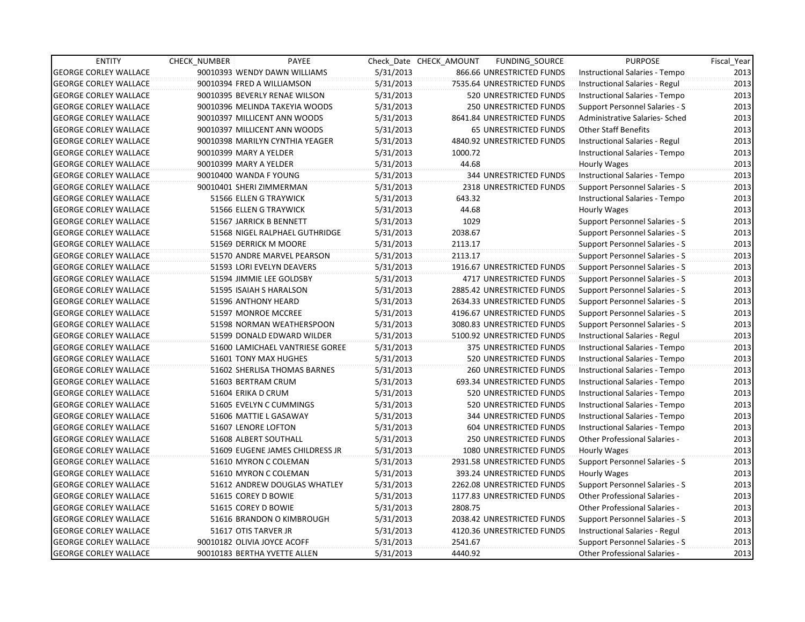| <b>ENTITY</b>                | <b>CHECK NUMBER</b>          | PAYEE                           |           | Check Date CHECK AMOUNT | FUNDING_SOURCE                | <b>PURPOSE</b>                        | Fiscal_Year |
|------------------------------|------------------------------|---------------------------------|-----------|-------------------------|-------------------------------|---------------------------------------|-------------|
| <b>GEORGE CORLEY WALLACE</b> |                              | 90010393 WENDY DAWN WILLIAMS    | 5/31/2013 |                         | 866.66 UNRESTRICTED FUNDS     | Instructional Salaries - Tempo        | 2013        |
| <b>GEORGE CORLEY WALLACE</b> | 90010394 FRED A WILLIAMSON   |                                 | 5/31/2013 |                         | 7535.64 UNRESTRICTED FUNDS    | Instructional Salaries - Regul        | 2013        |
| <b>GEORGE CORLEY WALLACE</b> |                              | 90010395 BEVERLY RENAE WILSON   | 5/31/2013 |                         | <b>520 UNRESTRICTED FUNDS</b> | Instructional Salaries - Tempo        | 2013        |
| <b>GEORGE CORLEY WALLACE</b> |                              | 90010396 MELINDA TAKEYIA WOODS  | 5/31/2013 |                         | <b>250 UNRESTRICTED FUNDS</b> | Support Personnel Salaries - S        | 2013        |
| <b>GEORGE CORLEY WALLACE</b> |                              | 90010397 MILLICENT ANN WOODS    | 5/31/2013 |                         | 8641.84 UNRESTRICTED FUNDS    | Administrative Salaries- Sched        | 2013        |
| <b>GEORGE CORLEY WALLACE</b> |                              | 90010397 MILLICENT ANN WOODS    | 5/31/2013 |                         | <b>65 UNRESTRICTED FUNDS</b>  | <b>Other Staff Benefits</b>           | 2013        |
| <b>GEORGE CORLEY WALLACE</b> |                              | 90010398 MARILYN CYNTHIA YEAGER | 5/31/2013 |                         | 4840.92 UNRESTRICTED FUNDS    | Instructional Salaries - Regul        | 2013        |
| <b>GEORGE CORLEY WALLACE</b> | 90010399 MARY A YELDER       |                                 | 5/31/2013 | 1000.72                 |                               | Instructional Salaries - Tempo        | 2013        |
| <b>GEORGE CORLEY WALLACE</b> | 90010399 MARY A YELDER       |                                 | 5/31/2013 | 44.68                   |                               | Hourly Wages                          | 2013        |
| <b>GEORGE CORLEY WALLACE</b> | 90010400 WANDA F YOUNG       |                                 | 5/31/2013 |                         | <b>344 UNRESTRICTED FUNDS</b> | Instructional Salaries - Tempo        | 2013        |
| <b>GEORGE CORLEY WALLACE</b> | 90010401 SHERI ZIMMERMAN     |                                 | 5/31/2013 |                         | 2318 UNRESTRICTED FUNDS       | Support Personnel Salaries - S        | 2013        |
| <b>GEORGE CORLEY WALLACE</b> | 51566 ELLEN G TRAYWICK       |                                 | 5/31/2013 | 643.32                  |                               | Instructional Salaries - Tempo        | 2013        |
| <b>GEORGE CORLEY WALLACE</b> | 51566 ELLEN G TRAYWICK       |                                 | 5/31/2013 | 44.68                   |                               | Hourly Wages                          | 2013        |
| <b>GEORGE CORLEY WALLACE</b> |                              | 51567 JARRICK B BENNETT         | 5/31/2013 | 1029                    |                               | Support Personnel Salaries - S        | 2013        |
| <b>GEORGE CORLEY WALLACE</b> |                              | 51568 NIGEL RALPHAEL GUTHRIDGE  | 5/31/2013 | 2038.67                 |                               | Support Personnel Salaries - S        | 2013        |
| <b>GEORGE CORLEY WALLACE</b> |                              | 51569 DERRICK M MOORE           | 5/31/2013 | 2113.17                 |                               | Support Personnel Salaries - S        | 2013        |
| <b>GEORGE CORLEY WALLACE</b> |                              | 51570 ANDRE MARVEL PEARSON      | 5/31/2013 | 2113.17                 |                               | Support Personnel Salaries - S        | 2013        |
| <b>GEORGE CORLEY WALLACE</b> |                              | 51593 LORI EVELYN DEAVERS       | 5/31/2013 |                         | 1916.67 UNRESTRICTED FUNDS    | Support Personnel Salaries - S        | 2013        |
| <b>GEORGE CORLEY WALLACE</b> |                              | 51594 JIMMIE LEE GOLDSBY        | 5/31/2013 |                         | 4717 UNRESTRICTED FUNDS       | Support Personnel Salaries - S        | 2013        |
| <b>GEORGE CORLEY WALLACE</b> |                              | 51595 ISAIAH S HARALSON         | 5/31/2013 |                         | 2885.42 UNRESTRICTED FUNDS    | Support Personnel Salaries - S        | 2013        |
| <b>GEORGE CORLEY WALLACE</b> | 51596 ANTHONY HEARD          |                                 | 5/31/2013 |                         | 2634.33 UNRESTRICTED FUNDS    | Support Personnel Salaries - S        | 2013        |
| <b>GEORGE CORLEY WALLACE</b> | 51597 MONROE MCCREE          |                                 | 5/31/2013 |                         | 4196.67 UNRESTRICTED FUNDS    | Support Personnel Salaries - S        | 2013        |
| <b>GEORGE CORLEY WALLACE</b> |                              | 51598 NORMAN WEATHERSPOON       | 5/31/2013 |                         | 3080.83 UNRESTRICTED FUNDS    | Support Personnel Salaries - S        | 2013        |
| <b>GEORGE CORLEY WALLACE</b> |                              | 51599 DONALD EDWARD WILDER      | 5/31/2013 |                         | 5100.92 UNRESTRICTED FUNDS    | Instructional Salaries - Regul        | 2013        |
| <b>GEORGE CORLEY WALLACE</b> |                              | 51600 LAMICHAEL VANTRIESE GOREE | 5/31/2013 |                         | 375 UNRESTRICTED FUNDS        | Instructional Salaries - Tempo        | 2013        |
| <b>GEORGE CORLEY WALLACE</b> |                              | 51601 TONY MAX HUGHES           | 5/31/2013 |                         | 520 UNRESTRICTED FUNDS        | Instructional Salaries - Tempo        | 2013        |
| <b>GEORGE CORLEY WALLACE</b> |                              | 51602 SHERLISA THOMAS BARNES    | 5/31/2013 |                         | <b>260 UNRESTRICTED FUNDS</b> | Instructional Salaries - Tempo        | 2013        |
| <b>GEORGE CORLEY WALLACE</b> | 51603 BERTRAM CRUM           |                                 | 5/31/2013 |                         | 693.34 UNRESTRICTED FUNDS     | Instructional Salaries - Tempo        | 2013        |
| <b>GEORGE CORLEY WALLACE</b> | 51604 ERIKA D CRUM           |                                 | 5/31/2013 |                         | 520 UNRESTRICTED FUNDS        | Instructional Salaries - Tempo        | 2013        |
| <b>GEORGE CORLEY WALLACE</b> |                              | 51605 EVELYN C CUMMINGS         | 5/31/2013 |                         | 520 UNRESTRICTED FUNDS        | Instructional Salaries - Tempo        | 2013        |
| <b>GEORGE CORLEY WALLACE</b> |                              | 51606 MATTIE L GASAWAY          | 5/31/2013 |                         | 344 UNRESTRICTED FUNDS        | Instructional Salaries - Tempo        | 2013        |
| <b>GEORGE CORLEY WALLACE</b> | 51607 LENORE LOFTON          |                                 | 5/31/2013 |                         | 604 UNRESTRICTED FUNDS        | Instructional Salaries - Tempo        | 2013        |
| <b>GEORGE CORLEY WALLACE</b> | 51608 ALBERT SOUTHALL        |                                 | 5/31/2013 |                         | 250 UNRESTRICTED FUNDS        | Other Professional Salaries -         | 2013        |
| <b>GEORGE CORLEY WALLACE</b> |                              | 51609 EUGENE JAMES CHILDRESS JR | 5/31/2013 |                         | 1080 UNRESTRICTED FUNDS       | Hourly Wages                          | 2013        |
| <b>GEORGE CORLEY WALLACE</b> |                              | 51610 MYRON C COLEMAN           | 5/31/2013 |                         | 2931.58 UNRESTRICTED FUNDS    | Support Personnel Salaries - S        | 2013        |
| <b>GEORGE CORLEY WALLACE</b> |                              | 51610 MYRON C COLEMAN           | 5/31/2013 |                         | 393.24 UNRESTRICTED FUNDS     | Hourly Wages                          | 2013        |
| <b>GEORGE CORLEY WALLACE</b> |                              | 51612 ANDREW DOUGLAS WHATLEY    | 5/31/2013 |                         | 2262.08 UNRESTRICTED FUNDS    | <b>Support Personnel Salaries - S</b> | 2013        |
| <b>GEORGE CORLEY WALLACE</b> | 51615 COREY D BOWIE          |                                 | 5/31/2013 |                         | 1177.83 UNRESTRICTED FUNDS    | Other Professional Salaries -         | 2013        |
| <b>GEORGE CORLEY WALLACE</b> | 51615 COREY D BOWIE          |                                 | 5/31/2013 | 2808.75                 |                               | <b>Other Professional Salaries -</b>  | 2013        |
| <b>GEORGE CORLEY WALLACE</b> |                              | 51616 BRANDON O KIMBROUGH       | 5/31/2013 |                         | 2038.42 UNRESTRICTED FUNDS    | Support Personnel Salaries - S        | 2013        |
| <b>GEORGE CORLEY WALLACE</b> | 51617 OTIS TARVER JR         |                                 | 5/31/2013 |                         | 4120.36 UNRESTRICTED FUNDS    | Instructional Salaries - Regul        | 2013        |
| <b>GEORGE CORLEY WALLACE</b> | 90010182 OLIVIA JOYCE ACOFF  |                                 | 5/31/2013 | 2541.67                 |                               | Support Personnel Salaries - S        | 2013        |
| <b>GEORGE CORLEY WALLACE</b> | 90010183 BERTHA YVETTE ALLEN |                                 | 5/31/2013 | 4440.92                 |                               | <b>Other Professional Salaries -</b>  | 2013        |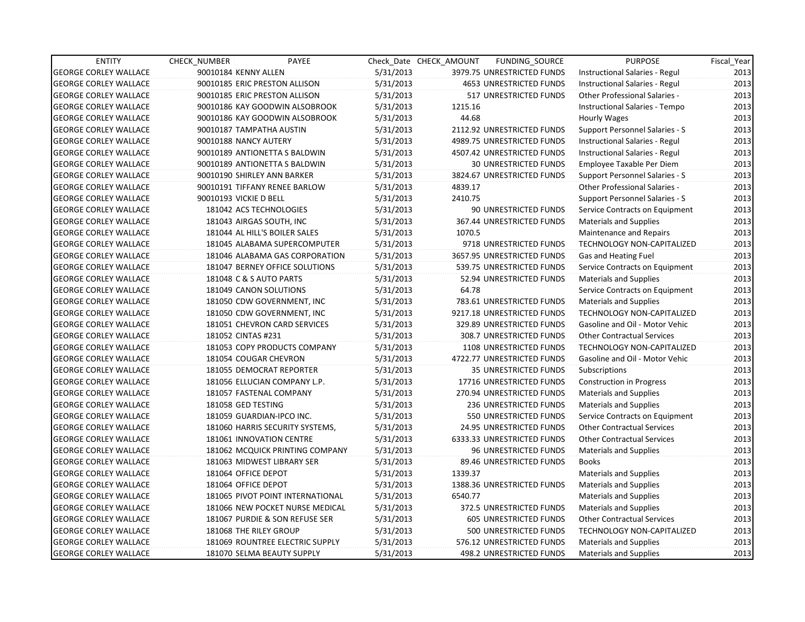| <b>ENTITY</b>                | CHECK NUMBER             | PAYEE                            |           | Check Date CHECK AMOUNT | FUNDING SOURCE                 | <b>PURPOSE</b>                    | Fiscal_Year |
|------------------------------|--------------------------|----------------------------------|-----------|-------------------------|--------------------------------|-----------------------------------|-------------|
| <b>GEORGE CORLEY WALLACE</b> | 90010184 KENNY ALLEN     |                                  | 5/31/2013 |                         | 3979.75 UNRESTRICTED FUNDS     | Instructional Salaries - Regul    | 2013        |
| <b>GEORGE CORLEY WALLACE</b> |                          | 90010185 ERIC PRESTON ALLISON    | 5/31/2013 |                         | <b>4653 UNRESTRICTED FUNDS</b> | Instructional Salaries - Regul    | 2013        |
| <b>GEORGE CORLEY WALLACE</b> |                          | 90010185 ERIC PRESTON ALLISON    | 5/31/2013 |                         | 517 UNRESTRICTED FUNDS         | Other Professional Salaries -     | 2013        |
| <b>GEORGE CORLEY WALLACE</b> |                          | 90010186 KAY GOODWIN ALSOBROOK   | 5/31/2013 | 1215.16                 |                                | Instructional Salaries - Tempo    | 2013        |
| <b>GEORGE CORLEY WALLACE</b> |                          | 90010186 KAY GOODWIN ALSOBROOK   | 5/31/2013 | 44.68                   |                                | Hourly Wages                      | 2013        |
| <b>GEORGE CORLEY WALLACE</b> | 90010187 TAMPATHA AUSTIN |                                  | 5/31/2013 |                         | 2112.92 UNRESTRICTED FUNDS     | Support Personnel Salaries - S    | 2013        |
| <b>GEORGE CORLEY WALLACE</b> | 90010188 NANCY AUTERY    |                                  | 5/31/2013 |                         | 4989.75 UNRESTRICTED FUNDS     | Instructional Salaries - Regul    | 2013        |
| <b>GEORGE CORLEY WALLACE</b> |                          | 90010189 ANTIONETTA S BALDWIN    | 5/31/2013 |                         | 4507.42 UNRESTRICTED FUNDS     | Instructional Salaries - Regul    | 2013        |
| <b>GEORGE CORLEY WALLACE</b> |                          | 90010189 ANTIONETTA S BALDWIN    | 5/31/2013 |                         | <b>30 UNRESTRICTED FUNDS</b>   | Employee Taxable Per Diem         | 2013        |
| <b>GEORGE CORLEY WALLACE</b> |                          | 90010190 SHIRLEY ANN BARKER      | 5/31/2013 |                         | 3824.67 UNRESTRICTED FUNDS     | Support Personnel Salaries - S    | 2013        |
| <b>GEORGE CORLEY WALLACE</b> |                          | 90010191 TIFFANY RENEE BARLOW    | 5/31/2013 | 4839.17                 |                                | Other Professional Salaries -     | 2013        |
| <b>GEORGE CORLEY WALLACE</b> | 90010193 VICKIE D BELL   |                                  | 5/31/2013 | 2410.75                 |                                | Support Personnel Salaries - S    | 2013        |
| <b>GEORGE CORLEY WALLACE</b> |                          | 181042 ACS TECHNOLOGIES          | 5/31/2013 |                         | 90 UNRESTRICTED FUNDS          | Service Contracts on Equipment    | 2013        |
| <b>GEORGE CORLEY WALLACE</b> |                          | 181043 AIRGAS SOUTH, INC         | 5/31/2013 |                         | 367.44 UNRESTRICTED FUNDS      | <b>Materials and Supplies</b>     | 2013        |
| <b>GEORGE CORLEY WALLACE</b> |                          | 181044 AL HILL'S BOILER SALES    | 5/31/2013 | 1070.5                  |                                | Maintenance and Repairs           | 2013        |
| <b>GEORGE CORLEY WALLACE</b> |                          | 181045 ALABAMA SUPERCOMPUTER     | 5/31/2013 |                         | 9718 UNRESTRICTED FUNDS        | <b>TECHNOLOGY NON-CAPITALIZED</b> | 2013        |
| <b>GEORGE CORLEY WALLACE</b> |                          | 181046 ALABAMA GAS CORPORATION   | 5/31/2013 |                         | 3657.95 UNRESTRICTED FUNDS     | Gas and Heating Fuel              | 2013        |
| <b>GEORGE CORLEY WALLACE</b> |                          | 181047 BERNEY OFFICE SOLUTIONS   | 5/31/2013 |                         | 539.75 UNRESTRICTED FUNDS      | Service Contracts on Equipment    | 2013        |
| <b>GEORGE CORLEY WALLACE</b> | 181048 C & S AUTO PARTS  |                                  | 5/31/2013 |                         | 52.94 UNRESTRICTED FUNDS       | Materials and Supplies            | 2013        |
| <b>GEORGE CORLEY WALLACE</b> |                          | 181049 CANON SOLUTIONS           | 5/31/2013 | 64.78                   |                                | Service Contracts on Equipment    | 2013        |
| <b>GEORGE CORLEY WALLACE</b> |                          | 181050 CDW GOVERNMENT, INC       | 5/31/2013 |                         | 783.61 UNRESTRICTED FUNDS      | <b>Materials and Supplies</b>     | 2013        |
| <b>GEORGE CORLEY WALLACE</b> |                          | 181050 CDW GOVERNMENT, INC       | 5/31/2013 |                         | 9217.18 UNRESTRICTED FUNDS     | <b>TECHNOLOGY NON-CAPITALIZED</b> | 2013        |
| <b>GEORGE CORLEY WALLACE</b> |                          | 181051 CHEVRON CARD SERVICES     | 5/31/2013 |                         | 329.89 UNRESTRICTED FUNDS      | Gasoline and Oil - Motor Vehic    | 2013        |
| <b>GEORGE CORLEY WALLACE</b> | 181052 CINTAS #231       |                                  | 5/31/2013 |                         | 308.7 UNRESTRICTED FUNDS       | <b>Other Contractual Services</b> | 2013        |
| <b>GEORGE CORLEY WALLACE</b> |                          | 181053 COPY PRODUCTS COMPANY     | 5/31/2013 |                         | 1108 UNRESTRICTED FUNDS        | TECHNOLOGY NON-CAPITALIZED        | 2013        |
| <b>GEORGE CORLEY WALLACE</b> |                          | 181054 COUGAR CHEVRON            | 5/31/2013 |                         | 4722.77 UNRESTRICTED FUNDS     | Gasoline and Oil - Motor Vehic    | 2013        |
| <b>GEORGE CORLEY WALLACE</b> |                          | 181055 DEMOCRAT REPORTER         | 5/31/2013 |                         | 35 UNRESTRICTED FUNDS          | Subscriptions                     | 2013        |
| <b>GEORGE CORLEY WALLACE</b> |                          | 181056 ELLUCIAN COMPANY L.P.     | 5/31/2013 |                         | 17716 UNRESTRICTED FUNDS       | <b>Construction in Progress</b>   | 2013        |
| <b>GEORGE CORLEY WALLACE</b> |                          | 181057 FASTENAL COMPANY          | 5/31/2013 |                         | 270.94 UNRESTRICTED FUNDS      | <b>Materials and Supplies</b>     | 2013        |
| <b>GEORGE CORLEY WALLACE</b> | 181058 GED TESTING       |                                  | 5/31/2013 |                         | 236 UNRESTRICTED FUNDS         | Materials and Supplies            | 2013        |
| <b>GEORGE CORLEY WALLACE</b> |                          | 181059 GUARDIAN-IPCO INC.        | 5/31/2013 |                         | 550 UNRESTRICTED FUNDS         | Service Contracts on Equipment    | 2013        |
| <b>GEORGE CORLEY WALLACE</b> |                          | 181060 HARRIS SECURITY SYSTEMS,  | 5/31/2013 |                         | 24.95 UNRESTRICTED FUNDS       | <b>Other Contractual Services</b> | 2013        |
| <b>GEORGE CORLEY WALLACE</b> |                          | <b>181061 INNOVATION CENTRE</b>  | 5/31/2013 |                         | 6333.33 UNRESTRICTED FUNDS     | <b>Other Contractual Services</b> | 2013        |
| <b>GEORGE CORLEY WALLACE</b> |                          | 181062 MCQUICK PRINTING COMPANY  | 5/31/2013 |                         | <b>96 UNRESTRICTED FUNDS</b>   | Materials and Supplies            | 2013        |
| <b>GEORGE CORLEY WALLACE</b> |                          | 181063 MIDWEST LIBRARY SER       | 5/31/2013 |                         | 89.46 UNRESTRICTED FUNDS       | <b>Books</b>                      | 2013        |
| <b>GEORGE CORLEY WALLACE</b> | 181064 OFFICE DEPOT      |                                  | 5/31/2013 | 1339.37                 |                                | <b>Materials and Supplies</b>     | 2013        |
| <b>GEORGE CORLEY WALLACE</b> | 181064 OFFICE DEPOT      |                                  | 5/31/2013 |                         | 1388.36 UNRESTRICTED FUNDS     | Materials and Supplies            | 2013        |
| <b>GEORGE CORLEY WALLACE</b> |                          | 181065 PIVOT POINT INTERNATIONAL | 5/31/2013 | 6540.77                 |                                | <b>Materials and Supplies</b>     | 2013        |
| <b>GEORGE CORLEY WALLACE</b> |                          | 181066 NEW POCKET NURSE MEDICAL  | 5/31/2013 |                         | 372.5 UNRESTRICTED FUNDS       | <b>Materials and Supplies</b>     | 2013        |
| <b>GEORGE CORLEY WALLACE</b> |                          | 181067 PURDIE & SON REFUSE SER   | 5/31/2013 |                         | 605 UNRESTRICTED FUNDS         | <b>Other Contractual Services</b> | 2013        |
| <b>GEORGE CORLEY WALLACE</b> | 181068 THE RILEY GROUP   |                                  | 5/31/2013 |                         | 500 UNRESTRICTED FUNDS         | TECHNOLOGY NON-CAPITALIZED        | 2013        |
| <b>GEORGE CORLEY WALLACE</b> |                          | 181069 ROUNTREE ELECTRIC SUPPLY  | 5/31/2013 |                         | 576.12 UNRESTRICTED FUNDS      | <b>Materials and Supplies</b>     | 2013        |
| <b>GEORGE CORLEY WALLACE</b> |                          | 181070 SELMA BEAUTY SUPPLY       | 5/31/2013 |                         | 498.2 UNRESTRICTED FUNDS       | Materials and Supplies            | 2013        |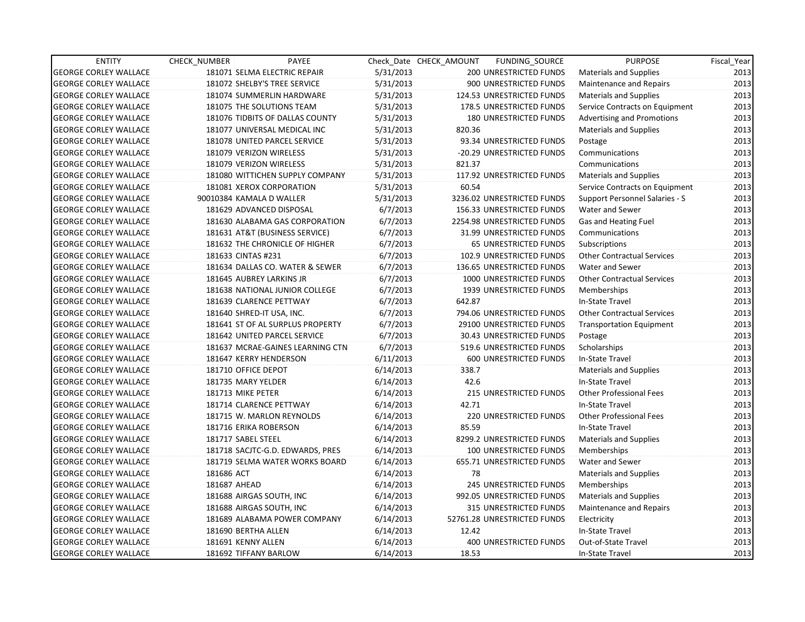| <b>ENTITY</b>                | <b>CHECK NUMBER</b> | PAYEE                            |           | Check Date CHECK AMOUNT | FUNDING_SOURCE                | <b>PURPOSE</b>                    | Fiscal Year |
|------------------------------|---------------------|----------------------------------|-----------|-------------------------|-------------------------------|-----------------------------------|-------------|
| <b>GEORGE CORLEY WALLACE</b> |                     | 181071 SELMA ELECTRIC REPAIR     | 5/31/2013 |                         | 200 UNRESTRICTED FUNDS        | Materials and Supplies            | 2013        |
| <b>GEORGE CORLEY WALLACE</b> |                     | 181072 SHELBY'S TREE SERVICE     | 5/31/2013 |                         | 900 UNRESTRICTED FUNDS        | Maintenance and Repairs           | 2013        |
| <b>GEORGE CORLEY WALLACE</b> |                     | 181074 SUMMERLIN HARDWARE        | 5/31/2013 |                         | 124.53 UNRESTRICTED FUNDS     | <b>Materials and Supplies</b>     | 2013        |
| <b>GEORGE CORLEY WALLACE</b> |                     | 181075 THE SOLUTIONS TEAM        | 5/31/2013 |                         | 178.5 UNRESTRICTED FUNDS      | Service Contracts on Equipment    | 2013        |
| <b>GEORGE CORLEY WALLACE</b> |                     | 181076 TIDBITS OF DALLAS COUNTY  | 5/31/2013 |                         | 180 UNRESTRICTED FUNDS        | <b>Advertising and Promotions</b> | 2013        |
| <b>GEORGE CORLEY WALLACE</b> |                     | 181077 UNIVERSAL MEDICAL INC     | 5/31/2013 | 820.36                  |                               | <b>Materials and Supplies</b>     | 2013        |
| <b>GEORGE CORLEY WALLACE</b> |                     | 181078 UNITED PARCEL SERVICE     | 5/31/2013 |                         | 93.34 UNRESTRICTED FUNDS      | Postage                           | 2013        |
| <b>GEORGE CORLEY WALLACE</b> |                     | 181079 VERIZON WIRELESS          | 5/31/2013 |                         | -20.29 UNRESTRICTED FUNDS     | Communications                    | 2013        |
| <b>GEORGE CORLEY WALLACE</b> |                     | 181079 VERIZON WIRELESS          | 5/31/2013 | 821.37                  |                               | Communications                    | 2013        |
| <b>GEORGE CORLEY WALLACE</b> |                     | 181080 WITTICHEN SUPPLY COMPANY  | 5/31/2013 |                         | 117.92 UNRESTRICTED FUNDS     | Materials and Supplies            | 2013        |
| <b>GEORGE CORLEY WALLACE</b> |                     | 181081 XEROX CORPORATION         | 5/31/2013 | 60.54                   |                               | Service Contracts on Equipment    | 2013        |
| <b>GEORGE CORLEY WALLACE</b> |                     | 90010384 KAMALA D WALLER         | 5/31/2013 |                         | 3236.02 UNRESTRICTED FUNDS    | Support Personnel Salaries - S    | 2013        |
| <b>GEORGE CORLEY WALLACE</b> |                     | 181629 ADVANCED DISPOSAL         | 6/7/2013  |                         | 156.33 UNRESTRICTED FUNDS     | Water and Sewer                   | 2013        |
| <b>GEORGE CORLEY WALLACE</b> |                     | 181630 ALABAMA GAS CORPORATION   | 6/7/2013  |                         | 2254.98 UNRESTRICTED FUNDS    | Gas and Heating Fuel              | 2013        |
| <b>GEORGE CORLEY WALLACE</b> |                     | 181631 AT&T (BUSINESS SERVICE)   | 6/7/2013  |                         | 31.99 UNRESTRICTED FUNDS      | Communications                    | 2013        |
| <b>GEORGE CORLEY WALLACE</b> |                     | 181632 THE CHRONICLE OF HIGHER   | 6/7/2013  |                         | 65 UNRESTRICTED FUNDS         | Subscriptions                     | 2013        |
| <b>GEORGE CORLEY WALLACE</b> | 181633 CINTAS #231  |                                  | 6/7/2013  |                         | 102.9 UNRESTRICTED FUNDS      | <b>Other Contractual Services</b> | 2013        |
| <b>GEORGE CORLEY WALLACE</b> |                     | 181634 DALLAS CO. WATER & SEWER  | 6/7/2013  |                         | 136.65 UNRESTRICTED FUNDS     | Water and Sewer                   | 2013        |
| <b>GEORGE CORLEY WALLACE</b> |                     | 181645 AUBREY LARKINS JR         | 6/7/2013  |                         | 1000 UNRESTRICTED FUNDS       | <b>Other Contractual Services</b> | 2013        |
| <b>GEORGE CORLEY WALLACE</b> |                     | 181638 NATIONAL JUNIOR COLLEGE   | 6/7/2013  |                         | 1939 UNRESTRICTED FUNDS       | Memberships                       | 2013        |
| <b>GEORGE CORLEY WALLACE</b> |                     | 181639 CLARENCE PETTWAY          | 6/7/2013  | 642.87                  |                               | In-State Travel                   | 2013        |
| <b>GEORGE CORLEY WALLACE</b> |                     | 181640 SHRED-IT USA, INC.        | 6/7/2013  |                         | 794.06 UNRESTRICTED FUNDS     | <b>Other Contractual Services</b> | 2013        |
| <b>GEORGE CORLEY WALLACE</b> |                     | 181641 ST OF AL SURPLUS PROPERTY | 6/7/2013  |                         | 29100 UNRESTRICTED FUNDS      | Transportation Equipment          | 2013        |
| <b>GEORGE CORLEY WALLACE</b> |                     | 181642 UNITED PARCEL SERVICE     | 6/7/2013  |                         | 30.43 UNRESTRICTED FUNDS      | Postage                           | 2013        |
| <b>GEORGE CORLEY WALLACE</b> |                     | 181637 MCRAE-GAINES LEARNING CTN | 6/7/2013  |                         | 519.6 UNRESTRICTED FUNDS      | Scholarships                      | 2013        |
| <b>GEORGE CORLEY WALLACE</b> |                     | 181647 KERRY HENDERSON           | 6/11/2013 |                         | 600 UNRESTRICTED FUNDS        | In-State Travel                   | 2013        |
| <b>GEORGE CORLEY WALLACE</b> | 181710 OFFICE DEPOT |                                  | 6/14/2013 | 338.7                   |                               | <b>Materials and Supplies</b>     | 2013        |
| <b>GEORGE CORLEY WALLACE</b> | 181735 MARY YELDER  |                                  | 6/14/2013 | 42.6                    |                               | In-State Travel                   | 2013        |
| <b>GEORGE CORLEY WALLACE</b> | 181713 MIKE PETER   |                                  | 6/14/2013 |                         | 215 UNRESTRICTED FUNDS        | <b>Other Professional Fees</b>    | 2013        |
| <b>GEORGE CORLEY WALLACE</b> |                     | 181714 CLARENCE PETTWAY          | 6/14/2013 | 42.71                   |                               | In-State Travel                   | 2013        |
| <b>GEORGE CORLEY WALLACE</b> |                     | 181715 W. MARLON REYNOLDS        | 6/14/2013 |                         | <b>220 UNRESTRICTED FUNDS</b> | <b>Other Professional Fees</b>    | 2013        |
| <b>GEORGE CORLEY WALLACE</b> |                     | 181716 ERIKA ROBERSON            | 6/14/2013 | 85.59                   |                               | In-State Travel                   | 2013        |
| <b>GEORGE CORLEY WALLACE</b> | 181717 SABEL STEEL  |                                  | 6/14/2013 |                         | 8299.2 UNRESTRICTED FUNDS     | <b>Materials and Supplies</b>     | 2013        |
| <b>GEORGE CORLEY WALLACE</b> |                     | 181718 SACJTC-G.D. EDWARDS, PRES | 6/14/2013 |                         | 100 UNRESTRICTED FUNDS        | Memberships                       | 2013        |
| <b>GEORGE CORLEY WALLACE</b> |                     | 181719 SELMA WATER WORKS BOARD   | 6/14/2013 |                         | 655.71 UNRESTRICTED FUNDS     | Water and Sewer                   | 2013        |
| <b>GEORGE CORLEY WALLACE</b> | 181686 ACT          |                                  | 6/14/2013 | 78                      |                               | <b>Materials and Supplies</b>     | 2013        |
| <b>GEORGE CORLEY WALLACE</b> | 181687 AHEAD        |                                  | 6/14/2013 |                         | 245 UNRESTRICTED FUNDS        | Memberships                       | 2013        |
| <b>GEORGE CORLEY WALLACE</b> |                     | 181688 AIRGAS SOUTH, INC         | 6/14/2013 |                         | 992.05 UNRESTRICTED FUNDS     | <b>Materials and Supplies</b>     | 2013        |
| <b>GEORGE CORLEY WALLACE</b> |                     | 181688 AIRGAS SOUTH, INC         | 6/14/2013 |                         | 315 UNRESTRICTED FUNDS        | Maintenance and Repairs           | 2013        |
| <b>GEORGE CORLEY WALLACE</b> |                     | 181689 ALABAMA POWER COMPANY     | 6/14/2013 |                         | 52761.28 UNRESTRICTED FUNDS   | Electricity                       | 2013        |
| <b>GEORGE CORLEY WALLACE</b> | 181690 BERTHA ALLEN |                                  | 6/14/2013 | 12.42                   |                               | In-State Travel                   | 2013        |
| <b>GEORGE CORLEY WALLACE</b> | 181691 KENNY ALLEN  |                                  | 6/14/2013 |                         | 400 UNRESTRICTED FUNDS        | Out-of-State Travel               | 2013        |
| <b>GEORGE CORLEY WALLACE</b> |                     | 181692 TIFFANY BARLOW            | 6/14/2013 | 18.53                   |                               | In-State Travel                   | 2013        |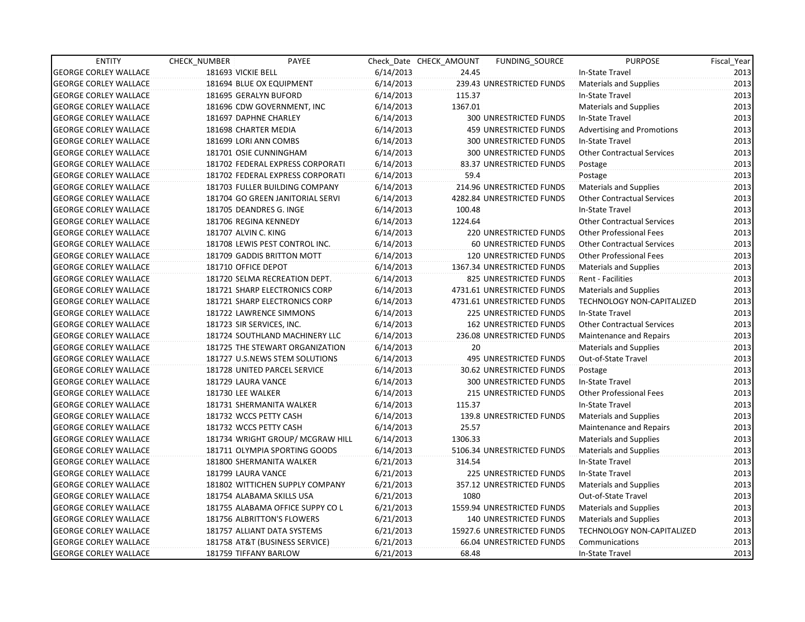| <b>ENTITY</b>                | CHECK NUMBER                   | PAYEE                            |           | Check Date CHECK AMOUNT | FUNDING_SOURCE                | <b>PURPOSE</b>                    | Fiscal_Year |
|------------------------------|--------------------------------|----------------------------------|-----------|-------------------------|-------------------------------|-----------------------------------|-------------|
| <b>GEORGE CORLEY WALLACE</b> | 181693 VICKIE BELL             |                                  | 6/14/2013 | 24.45                   |                               | In-State Travel                   | 2013        |
| <b>GEORGE CORLEY WALLACE</b> | 181694 BLUE OX EQUIPMENT       |                                  | 6/14/2013 |                         | 239.43 UNRESTRICTED FUNDS     | Materials and Supplies            | 2013        |
| <b>GEORGE CORLEY WALLACE</b> | 181695 GERALYN BUFORD          |                                  | 6/14/2013 | 115.37                  |                               | In-State Travel                   | 2013        |
| <b>GEORGE CORLEY WALLACE</b> | 181696 CDW GOVERNMENT, INC     |                                  | 6/14/2013 | 1367.01                 |                               | Materials and Supplies            | 2013        |
| <b>GEORGE CORLEY WALLACE</b> | 181697 DAPHNE CHARLEY          |                                  | 6/14/2013 |                         | <b>300 UNRESTRICTED FUNDS</b> | In-State Travel                   | 2013        |
| <b>GEORGE CORLEY WALLACE</b> | 181698 CHARTER MEDIA           |                                  | 6/14/2013 |                         | <b>459 UNRESTRICTED FUNDS</b> | Advertising and Promotions        | 2013        |
| <b>GEORGE CORLEY WALLACE</b> | 181699 LORI ANN COMBS          |                                  | 6/14/2013 |                         | <b>300 UNRESTRICTED FUNDS</b> | In-State Travel                   | 2013        |
| <b>GEORGE CORLEY WALLACE</b> | 181701 OSIE CUNNINGHAM         |                                  | 6/14/2013 |                         | <b>300 UNRESTRICTED FUNDS</b> | <b>Other Contractual Services</b> | 2013        |
| <b>GEORGE CORLEY WALLACE</b> |                                | 181702 FEDERAL EXPRESS CORPORATI | 6/14/2013 |                         | 83.37 UNRESTRICTED FUNDS      | Postage                           | 2013        |
| <b>GEORGE CORLEY WALLACE</b> |                                | 181702 FEDERAL EXPRESS CORPORATI | 6/14/2013 | 59.4                    |                               | Postage                           | 2013        |
| <b>GEORGE CORLEY WALLACE</b> |                                | 181703 FULLER BUILDING COMPANY   | 6/14/2013 |                         | 214.96 UNRESTRICTED FUNDS     | <b>Materials and Supplies</b>     | 2013        |
| <b>GEORGE CORLEY WALLACE</b> |                                | 181704 GO GREEN JANITORIAL SERVI | 6/14/2013 |                         | 4282.84 UNRESTRICTED FUNDS    | <b>Other Contractual Services</b> | 2013        |
| <b>GEORGE CORLEY WALLACE</b> | 181705 DEANDRES G. INGE        |                                  | 6/14/2013 | 100.48                  |                               | In-State Travel                   | 2013        |
| <b>GEORGE CORLEY WALLACE</b> | 181706 REGINA KENNEDY          |                                  | 6/14/2013 | 1224.64                 |                               | <b>Other Contractual Services</b> | 2013        |
| <b>GEORGE CORLEY WALLACE</b> | 181707 ALVIN C. KING           |                                  | 6/14/2013 |                         | <b>220 UNRESTRICTED FUNDS</b> | <b>Other Professional Fees</b>    | 2013        |
| <b>GEORGE CORLEY WALLACE</b> |                                | 181708 LEWIS PEST CONTROL INC.   | 6/14/2013 |                         | <b>60 UNRESTRICTED FUNDS</b>  | <b>Other Contractual Services</b> | 2013        |
| <b>GEORGE CORLEY WALLACE</b> | 181709 GADDIS BRITTON MOTT     |                                  | 6/14/2013 |                         | <b>120 UNRESTRICTED FUNDS</b> | <b>Other Professional Fees</b>    | 2013        |
| <b>GEORGE CORLEY WALLACE</b> | 181710 OFFICE DEPOT            |                                  | 6/14/2013 |                         | 1367.34 UNRESTRICTED FUNDS    | <b>Materials and Supplies</b>     | 2013        |
| <b>GEORGE CORLEY WALLACE</b> |                                | 181720 SELMA RECREATION DEPT.    | 6/14/2013 |                         | 825 UNRESTRICTED FUNDS        | Rent - Facilities                 | 2013        |
| <b>GEORGE CORLEY WALLACE</b> |                                | 181721 SHARP ELECTRONICS CORP    | 6/14/2013 |                         | 4731.61 UNRESTRICTED FUNDS    | <b>Materials and Supplies</b>     | 2013        |
| <b>GEORGE CORLEY WALLACE</b> |                                | 181721 SHARP ELECTRONICS CORP    | 6/14/2013 |                         | 4731.61 UNRESTRICTED FUNDS    | TECHNOLOGY NON-CAPITALIZED        | 2013        |
| <b>GEORGE CORLEY WALLACE</b> | 181722 LAWRENCE SIMMONS        |                                  | 6/14/2013 |                         | 225 UNRESTRICTED FUNDS        | In-State Travel                   | 2013        |
| <b>GEORGE CORLEY WALLACE</b> | 181723 SIR SERVICES, INC.      |                                  | 6/14/2013 |                         | <b>162 UNRESTRICTED FUNDS</b> | <b>Other Contractual Services</b> | 2013        |
| <b>GEORGE CORLEY WALLACE</b> |                                | 181724 SOUTHLAND MACHINERY LLC   | 6/14/2013 |                         | 236.08 UNRESTRICTED FUNDS     | Maintenance and Repairs           | 2013        |
| <b>GEORGE CORLEY WALLACE</b> |                                | 181725 THE STEWART ORGANIZATION  | 6/14/2013 | 20                      |                               | <b>Materials and Supplies</b>     | 2013        |
| <b>GEORGE CORLEY WALLACE</b> |                                | 181727 U.S.NEWS STEM SOLUTIONS   | 6/14/2013 |                         | <b>495 UNRESTRICTED FUNDS</b> | Out-of-State Travel               | 2013        |
| <b>GEORGE CORLEY WALLACE</b> | 181728 UNITED PARCEL SERVICE   |                                  | 6/14/2013 |                         | 30.62 UNRESTRICTED FUNDS      | Postage                           | 2013        |
| <b>GEORGE CORLEY WALLACE</b> | 181729 LAURA VANCE             |                                  | 6/14/2013 |                         | 300 UNRESTRICTED FUNDS        | In-State Travel                   | 2013        |
| <b>GEORGE CORLEY WALLACE</b> | 181730 LEE WALKER              |                                  | 6/14/2013 |                         | 215 UNRESTRICTED FUNDS        | <b>Other Professional Fees</b>    | 2013        |
| <b>GEORGE CORLEY WALLACE</b> | 181731 SHERMANITA WALKER       |                                  | 6/14/2013 | 115.37                  |                               | In-State Travel                   | 2013        |
| <b>GEORGE CORLEY WALLACE</b> | 181732 WCCS PETTY CASH         |                                  | 6/14/2013 |                         | 139.8 UNRESTRICTED FUNDS      | Materials and Supplies            | 2013        |
| <b>GEORGE CORLEY WALLACE</b> | 181732 WCCS PETTY CASH         |                                  | 6/14/2013 | 25.57                   |                               | Maintenance and Repairs           | 2013        |
| <b>GEORGE CORLEY WALLACE</b> |                                | 181734 WRIGHT GROUP/ MCGRAW HILL | 6/14/2013 | 1306.33                 |                               | Materials and Supplies            | 2013        |
| <b>GEORGE CORLEY WALLACE</b> |                                | 181711 OLYMPIA SPORTING GOODS    | 6/14/2013 |                         | 5106.34 UNRESTRICTED FUNDS    | Materials and Supplies            | 2013        |
| <b>GEORGE CORLEY WALLACE</b> | 181800 SHERMANITA WALKER       |                                  | 6/21/2013 | 314.54                  |                               | In-State Travel                   | 2013        |
| <b>GEORGE CORLEY WALLACE</b> | 181799 LAURA VANCE             |                                  | 6/21/2013 |                         | 225 UNRESTRICTED FUNDS        | In-State Travel                   | 2013        |
| <b>GEORGE CORLEY WALLACE</b> |                                | 181802 WITTICHEN SUPPLY COMPANY  | 6/21/2013 |                         | 357.12 UNRESTRICTED FUNDS     | Materials and Supplies            | 2013        |
| <b>GEORGE CORLEY WALLACE</b> | 181754 ALABAMA SKILLS USA      |                                  | 6/21/2013 | 1080                    |                               | Out-of-State Travel               | 2013        |
| <b>GEORGE CORLEY WALLACE</b> |                                | 181755 ALABAMA OFFICE SUPPY CO L | 6/21/2013 |                         | 1559.94 UNRESTRICTED FUNDS    | <b>Materials and Supplies</b>     | 2013        |
| <b>GEORGE CORLEY WALLACE</b> | 181756 ALBRITTON'S FLOWERS     |                                  | 6/21/2013 |                         | 140 UNRESTRICTED FUNDS        | Materials and Supplies            | 2013        |
| <b>GEORGE CORLEY WALLACE</b> | 181757 ALLIANT DATA SYSTEMS    |                                  | 6/21/2013 |                         | 15927.6 UNRESTRICTED FUNDS    | TECHNOLOGY NON-CAPITALIZED        | 2013        |
| <b>GEORGE CORLEY WALLACE</b> | 181758 AT&T (BUSINESS SERVICE) |                                  | 6/21/2013 |                         | 66.04 UNRESTRICTED FUNDS      | Communications                    | 2013        |
| <b>GEORGE CORLEY WALLACE</b> | 181759 TIFFANY BARLOW          |                                  | 6/21/2013 | 68.48                   |                               | In-State Travel                   | 2013        |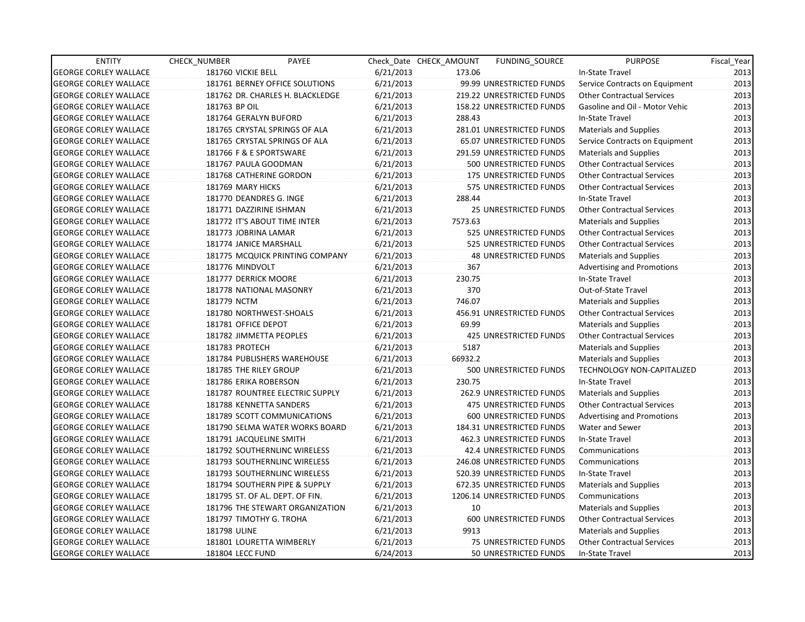| <b>ENTITY</b>                | CHECK NUMBER       | PAYEE                            |           | Check Date CHECK AMOUNT | <b>FUNDING SOURCE</b>        | <b>PURPOSE</b>                    | Fiscal_Year |
|------------------------------|--------------------|----------------------------------|-----------|-------------------------|------------------------------|-----------------------------------|-------------|
| <b>GEORGE CORLEY WALLACE</b> | 181760 VICKIE BELL |                                  | 6/21/2013 | 173.06                  |                              | In-State Travel                   | 2013        |
| <b>GEORGE CORLEY WALLACE</b> |                    | 181761 BERNEY OFFICE SOLUTIONS   | 6/21/2013 |                         | 99.99 UNRESTRICTED FUNDS     | Service Contracts on Equipment    | 2013        |
| <b>GEORGE CORLEY WALLACE</b> |                    | 181762 DR. CHARLES H. BLACKLEDGE | 6/21/2013 |                         | 219.22 UNRESTRICTED FUNDS    | <b>Other Contractual Services</b> | 2013        |
| <b>GEORGE CORLEY WALLACE</b> | 181763 BP OIL      |                                  | 6/21/2013 |                         | 158.22 UNRESTRICTED FUNDS    | Gasoline and Oil - Motor Vehic    | 2013        |
| <b>GEORGE CORLEY WALLACE</b> |                    | 181764 GERALYN BUFORD            | 6/21/2013 | 288.43                  |                              | In-State Travel                   | 2013        |
| <b>GEORGE CORLEY WALLACE</b> |                    | 181765 CRYSTAL SPRINGS OF ALA    | 6/21/2013 |                         | 281.01 UNRESTRICTED FUNDS    | <b>Materials and Supplies</b>     | 2013        |
| <b>GEORGE CORLEY WALLACE</b> |                    | 181765 CRYSTAL SPRINGS OF ALA    | 6/21/2013 |                         | 65.07 UNRESTRICTED FUNDS     | Service Contracts on Equipment    | 2013        |
| <b>GEORGE CORLEY WALLACE</b> |                    | 181766 F & E SPORTSWARE          | 6/21/2013 |                         | 291.59 UNRESTRICTED FUNDS    | <b>Materials and Supplies</b>     | 2013        |
| <b>GEORGE CORLEY WALLACE</b> |                    | 181767 PAULA GOODMAN             | 6/21/2013 |                         | 500 UNRESTRICTED FUNDS       | <b>Other Contractual Services</b> | 2013        |
| <b>GEORGE CORLEY WALLACE</b> |                    | 181768 CATHERINE GORDON          | 6/21/2013 |                         | 175 UNRESTRICTED FUNDS       | <b>Other Contractual Services</b> | 2013        |
| <b>GEORGE CORLEY WALLACE</b> | 181769 MARY HICKS  |                                  | 6/21/2013 |                         | 575 UNRESTRICTED FUNDS       | <b>Other Contractual Services</b> | 2013        |
| <b>GEORGE CORLEY WALLACE</b> |                    | 181770 DEANDRES G. INGE          | 6/21/2013 | 288.44                  |                              | In-State Travel                   | 2013        |
| <b>GEORGE CORLEY WALLACE</b> |                    | 181771 DAZZIRINE ISHMAN          | 6/21/2013 |                         | 25 UNRESTRICTED FUNDS        | <b>Other Contractual Services</b> | 2013        |
| <b>GEORGE CORLEY WALLACE</b> |                    | 181772 IT'S ABOUT TIME INTER     | 6/21/2013 | 7573.63                 |                              | Materials and Supplies            | 2013        |
| <b>GEORGE CORLEY WALLACE</b> |                    | 181773 JOBRINA LAMAR             | 6/21/2013 |                         | 525 UNRESTRICTED FUNDS       | <b>Other Contractual Services</b> | 2013        |
| <b>GEORGE CORLEY WALLACE</b> |                    | 181774 JANICE MARSHALL           | 6/21/2013 |                         | 525 UNRESTRICTED FUNDS       | <b>Other Contractual Services</b> | 2013        |
| <b>GEORGE CORLEY WALLACE</b> |                    | 181775 MCQUICK PRINTING COMPANY  | 6/21/2013 |                         | <b>48 UNRESTRICTED FUNDS</b> | <b>Materials and Supplies</b>     | 2013        |
| <b>GEORGE CORLEY WALLACE</b> | 181776 MINDVOLT    |                                  | 6/21/2013 | 367                     |                              | <b>Advertising and Promotions</b> | 2013        |
| <b>GEORGE CORLEY WALLACE</b> |                    | 181777 DERRICK MOORE             | 6/21/2013 | 230.75                  |                              | In-State Travel                   | 2013        |
| <b>GEORGE CORLEY WALLACE</b> |                    | 181778 NATIONAL MASONRY          | 6/21/2013 | 370                     |                              | Out-of-State Travel               | 2013        |
| <b>GEORGE CORLEY WALLACE</b> | 181779 NCTM        |                                  | 6/21/2013 | 746.07                  |                              | <b>Materials and Supplies</b>     | 2013        |
| <b>GEORGE CORLEY WALLACE</b> |                    | 181780 NORTHWEST-SHOALS          | 6/21/2013 |                         | 456.91 UNRESTRICTED FUNDS    | <b>Other Contractual Services</b> | 2013        |
| <b>GEORGE CORLEY WALLACE</b> |                    | 181781 OFFICE DEPOT              | 6/21/2013 | 69.99                   |                              | <b>Materials and Supplies</b>     | 2013        |
| <b>GEORGE CORLEY WALLACE</b> |                    | 181782 JIMMETTA PEOPLES          | 6/21/2013 |                         | 425 UNRESTRICTED FUNDS       | <b>Other Contractual Services</b> | 2013        |
| <b>GEORGE CORLEY WALLACE</b> | 181783 PROTECH     |                                  | 6/21/2013 | 5187                    |                              | <b>Materials and Supplies</b>     | 2013        |
| <b>GEORGE CORLEY WALLACE</b> |                    | 181784 PUBLISHERS WAREHOUSE      | 6/21/2013 | 66932.2                 |                              | <b>Materials and Supplies</b>     | 2013        |
| <b>GEORGE CORLEY WALLACE</b> |                    | 181785 THE RILEY GROUP           | 6/21/2013 |                         | 500 UNRESTRICTED FUNDS       | TECHNOLOGY NON-CAPITALIZED        | 2013        |
| <b>GEORGE CORLEY WALLACE</b> |                    | 181786 ERIKA ROBERSON            | 6/21/2013 | 230.75                  |                              | In-State Travel                   | 2013        |
| <b>GEORGE CORLEY WALLACE</b> |                    | 181787 ROUNTREE ELECTRIC SUPPLY  | 6/21/2013 |                         | 262.9 UNRESTRICTED FUNDS     | <b>Materials and Supplies</b>     | 2013        |
| <b>GEORGE CORLEY WALLACE</b> |                    | 181788 KENNETTA SANDERS          | 6/21/2013 |                         | 475 UNRESTRICTED FUNDS       | <b>Other Contractual Services</b> | 2013        |
| <b>GEORGE CORLEY WALLACE</b> |                    | 181789 SCOTT COMMUNICATIONS      | 6/21/2013 |                         | 600 UNRESTRICTED FUNDS       | <b>Advertising and Promotions</b> | 2013        |
| <b>GEORGE CORLEY WALLACE</b> |                    | 181790 SELMA WATER WORKS BOARD   | 6/21/2013 |                         | 184.31 UNRESTRICTED FUNDS    | Water and Sewer                   | 2013        |
| <b>GEORGE CORLEY WALLACE</b> |                    | 181791 JACQUELINE SMITH          | 6/21/2013 |                         | 462.3 UNRESTRICTED FUNDS     | In-State Travel                   | 2013        |
| <b>GEORGE CORLEY WALLACE</b> |                    | 181792 SOUTHERNLINC WIRELESS     | 6/21/2013 |                         | 42.4 UNRESTRICTED FUNDS      | Communications                    | 2013        |
| <b>GEORGE CORLEY WALLACE</b> |                    | 181793 SOUTHERNLINC WIRELESS     | 6/21/2013 |                         | 246.08 UNRESTRICTED FUNDS    | Communications                    | 2013        |
| <b>GEORGE CORLEY WALLACE</b> |                    | 181793 SOUTHERNLINC WIRELESS     | 6/21/2013 |                         | 520.39 UNRESTRICTED FUNDS    | In-State Travel                   | 2013        |
| <b>GEORGE CORLEY WALLACE</b> |                    | 181794 SOUTHERN PIPE & SUPPLY    | 6/21/2013 |                         | 672.35 UNRESTRICTED FUNDS    | <b>Materials and Supplies</b>     | 2013        |
| <b>GEORGE CORLEY WALLACE</b> |                    | 181795 ST. OF AL. DEPT. OF FIN.  | 6/21/2013 |                         | 1206.14 UNRESTRICTED FUNDS   | Communications                    | 2013        |
| <b>GEORGE CORLEY WALLACE</b> |                    | 181796 THE STEWART ORGANIZATION  | 6/21/2013 | 10                      |                              | <b>Materials and Supplies</b>     | 2013        |
| <b>GEORGE CORLEY WALLACE</b> |                    | 181797 TIMOTHY G. TROHA          | 6/21/2013 |                         | 600 UNRESTRICTED FUNDS       | <b>Other Contractual Services</b> | 2013        |
| <b>GEORGE CORLEY WALLACE</b> | 181798 ULINE       |                                  | 6/21/2013 | 9913                    |                              | <b>Materials and Supplies</b>     | 2013        |
| <b>GEORGE CORLEY WALLACE</b> |                    | 181801 LOURETTA WIMBERLY         | 6/21/2013 |                         | 75 UNRESTRICTED FUNDS        | <b>Other Contractual Services</b> | 2013        |
| <b>GEORGE CORLEY WALLACE</b> | 181804 LECC FUND   |                                  | 6/24/2013 |                         | 50 UNRESTRICTED FUNDS        | In-State Travel                   | 2013        |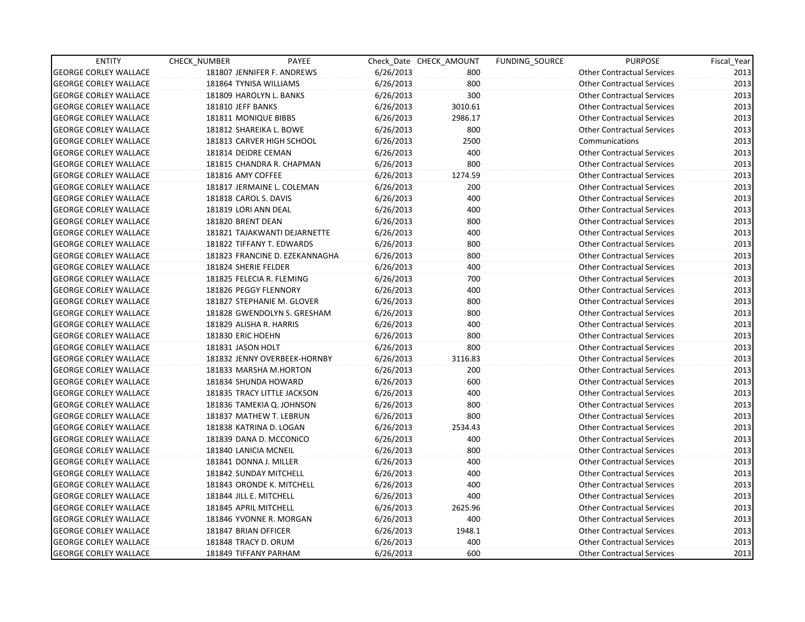| <b>ENTITY</b>                | CHECK_NUMBER              | PAYEE                          |           | Check Date CHECK AMOUNT | FUNDING SOURCE | <b>PURPOSE</b>                    | Fiscal_Year |
|------------------------------|---------------------------|--------------------------------|-----------|-------------------------|----------------|-----------------------------------|-------------|
| <b>GEORGE CORLEY WALLACE</b> |                           | 181807 JENNIFER F. ANDREWS     | 6/26/2013 | 800                     |                | <b>Other Contractual Services</b> | 2013        |
| <b>GEORGE CORLEY WALLACE</b> | 181864 TYNISA WILLIAMS    |                                | 6/26/2013 | 800                     |                | <b>Other Contractual Services</b> | 2013        |
| <b>GEORGE CORLEY WALLACE</b> | 181809 HAROLYN L. BANKS   |                                | 6/26/2013 | 300                     |                | <b>Other Contractual Services</b> | 2013        |
| <b>GEORGE CORLEY WALLACE</b> | 181810 JEFF BANKS         |                                | 6/26/2013 | 3010.61                 |                | <b>Other Contractual Services</b> | 2013        |
| <b>GEORGE CORLEY WALLACE</b> | 181811 MONIQUE BIBBS      |                                | 6/26/2013 | 2986.17                 |                | <b>Other Contractual Services</b> | 2013        |
| <b>GEORGE CORLEY WALLACE</b> | 181812 SHAREIKA L. BOWE   |                                | 6/26/2013 | 800                     |                | <b>Other Contractual Services</b> | 2013        |
| <b>GEORGE CORLEY WALLACE</b> |                           | 181813 CARVER HIGH SCHOOL      | 6/26/2013 | 2500                    |                | Communications                    | 2013        |
| <b>GEORGE CORLEY WALLACE</b> | 181814 DEIDRE CEMAN       |                                | 6/26/2013 | 400                     |                | <b>Other Contractual Services</b> | 2013        |
| <b>GEORGE CORLEY WALLACE</b> |                           | 181815 CHANDRA R. CHAPMAN      | 6/26/2013 | 800                     |                | <b>Other Contractual Services</b> | 2013        |
| <b>GEORGE CORLEY WALLACE</b> | 181816 AMY COFFEE         |                                | 6/26/2013 | 1274.59                 |                | <b>Other Contractual Services</b> | 2013        |
| <b>GEORGE CORLEY WALLACE</b> |                           | 181817 JERMAINE L. COLEMAN     | 6/26/2013 | 200                     |                | <b>Other Contractual Services</b> | 2013        |
| <b>GEORGE CORLEY WALLACE</b> | 181818 CAROL S. DAVIS     |                                | 6/26/2013 | 400                     |                | <b>Other Contractual Services</b> | 2013        |
| <b>GEORGE CORLEY WALLACE</b> | 181819 LORI ANN DEAL      |                                | 6/26/2013 | 400                     |                | <b>Other Contractual Services</b> | 2013        |
| <b>GEORGE CORLEY WALLACE</b> | 181820 BRENT DEAN         |                                | 6/26/2013 | 800                     |                | <b>Other Contractual Services</b> | 2013        |
| <b>GEORGE CORLEY WALLACE</b> |                           | 181821 TAJAKWANTI DEJARNETTE   | 6/26/2013 | 400                     |                | <b>Other Contractual Services</b> | 2013        |
| <b>GEORGE CORLEY WALLACE</b> | 181822 TIFFANY T. EDWARDS |                                | 6/26/2013 | 800                     |                | <b>Other Contractual Services</b> | 2013        |
| <b>GEORGE CORLEY WALLACE</b> |                           | 181823 FRANCINE D. EZEKANNAGHA | 6/26/2013 | 800                     |                | <b>Other Contractual Services</b> | 2013        |
| <b>GEORGE CORLEY WALLACE</b> | 181824 SHERIE FELDER      |                                | 6/26/2013 | 400                     |                | <b>Other Contractual Services</b> | 2013        |
| <b>GEORGE CORLEY WALLACE</b> | 181825 FELECIA R. FLEMING |                                | 6/26/2013 | 700                     |                | <b>Other Contractual Services</b> | 2013        |
| <b>GEORGE CORLEY WALLACE</b> | 181826 PEGGY FLENNORY     |                                | 6/26/2013 | 400                     |                | <b>Other Contractual Services</b> | 2013        |
| <b>GEORGE CORLEY WALLACE</b> |                           | 181827 STEPHANIE M. GLOVER     | 6/26/2013 | 800                     |                | <b>Other Contractual Services</b> | 2013        |
| <b>GEORGE CORLEY WALLACE</b> |                           | 181828 GWENDOLYN S. GRESHAM    | 6/26/2013 | 800                     |                | <b>Other Contractual Services</b> | 2013        |
| <b>GEORGE CORLEY WALLACE</b> | 181829 ALISHA R. HARRIS   |                                | 6/26/2013 | 400                     |                | <b>Other Contractual Services</b> | 2013        |
| <b>GEORGE CORLEY WALLACE</b> | 181830 ERIC HOEHN         |                                | 6/26/2013 | 800                     |                | <b>Other Contractual Services</b> | 2013        |
| <b>GEORGE CORLEY WALLACE</b> | 181831 JASON HOLT         |                                | 6/26/2013 | 800                     |                | <b>Other Contractual Services</b> | 2013        |
| <b>GEORGE CORLEY WALLACE</b> |                           | 181832 JENNY OVERBEEK-HORNBY   | 6/26/2013 | 3116.83                 |                | <b>Other Contractual Services</b> | 2013        |
| <b>GEORGE CORLEY WALLACE</b> | 181833 MARSHA M.HORTON    |                                | 6/26/2013 | 200                     |                | <b>Other Contractual Services</b> | 2013        |
| <b>GEORGE CORLEY WALLACE</b> | 181834 SHUNDA HOWARD      |                                | 6/26/2013 | 600                     |                | <b>Other Contractual Services</b> | 2013        |
| <b>GEORGE CORLEY WALLACE</b> |                           | 181835 TRACY LITTLE JACKSON    | 6/26/2013 | 400                     |                | <b>Other Contractual Services</b> | 2013        |
| <b>GEORGE CORLEY WALLACE</b> | 181836 TAMEKIA Q. JOHNSON |                                | 6/26/2013 | 800                     |                | <b>Other Contractual Services</b> | 2013        |
| <b>GEORGE CORLEY WALLACE</b> | 181837 MATHEW T. LEBRUN   |                                | 6/26/2013 | 800                     |                | <b>Other Contractual Services</b> | 2013        |
| <b>GEORGE CORLEY WALLACE</b> | 181838 KATRINA D. LOGAN   |                                | 6/26/2013 | 2534.43                 |                | <b>Other Contractual Services</b> | 2013        |
| <b>GEORGE CORLEY WALLACE</b> | 181839 DANA D. MCCONICO   |                                | 6/26/2013 | 400                     |                | <b>Other Contractual Services</b> | 2013        |
| <b>GEORGE CORLEY WALLACE</b> | 181840 LANICIA MCNEIL     |                                | 6/26/2013 | 800                     |                | <b>Other Contractual Services</b> | 2013        |
| <b>GEORGE CORLEY WALLACE</b> | 181841 DONNA J. MILLER    |                                | 6/26/2013 | 400                     |                | <b>Other Contractual Services</b> | 2013        |
| <b>GEORGE CORLEY WALLACE</b> | 181842 SUNDAY MITCHELL    |                                | 6/26/2013 | 400                     |                | <b>Other Contractual Services</b> | 2013        |
| <b>GEORGE CORLEY WALLACE</b> | 181843 ORONDE K. MITCHELL |                                | 6/26/2013 | 400                     |                | <b>Other Contractual Services</b> | 2013        |
| <b>GEORGE CORLEY WALLACE</b> | 181844 JILL E. MITCHELL   |                                | 6/26/2013 | 400                     |                | <b>Other Contractual Services</b> | 2013        |
| <b>GEORGE CORLEY WALLACE</b> | 181845 APRIL MITCHELL     |                                | 6/26/2013 | 2625.96                 |                | <b>Other Contractual Services</b> | 2013        |
| <b>GEORGE CORLEY WALLACE</b> | 181846 YVONNE R. MORGAN   |                                | 6/26/2013 | 400                     |                | <b>Other Contractual Services</b> | 2013        |
| <b>GEORGE CORLEY WALLACE</b> | 181847 BRIAN OFFICER      |                                | 6/26/2013 | 1948.1                  |                | <b>Other Contractual Services</b> | 2013        |
| <b>GEORGE CORLEY WALLACE</b> | 181848 TRACY D. ORUM      |                                | 6/26/2013 | 400                     |                | <b>Other Contractual Services</b> | 2013        |
| <b>GEORGE CORLEY WALLACE</b> | 181849 TIFFANY PARHAM     |                                | 6/26/2013 | 600                     |                | <b>Other Contractual Services</b> | 2013        |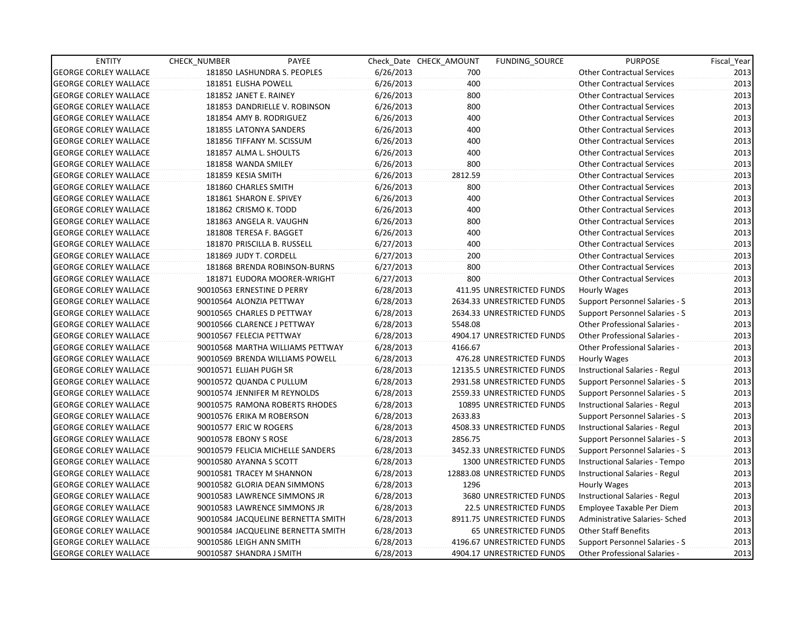| <b>ENTITY</b>                | CHECK_NUMBER                 | PAYEE                              |           | Check Date CHECK AMOUNT | FUNDING_SOURCE                 | <b>PURPOSE</b>                       | Fiscal_Year |
|------------------------------|------------------------------|------------------------------------|-----------|-------------------------|--------------------------------|--------------------------------------|-------------|
| <b>GEORGE CORLEY WALLACE</b> |                              | 181850 LASHUNDRA S. PEOPLES        | 6/26/2013 | 700                     |                                | <b>Other Contractual Services</b>    | 2013        |
| <b>GEORGE CORLEY WALLACE</b> | 181851 ELISHA POWELL         |                                    | 6/26/2013 | 400                     |                                | <b>Other Contractual Services</b>    | 2013        |
| <b>GEORGE CORLEY WALLACE</b> | 181852 JANET E. RAINEY       |                                    | 6/26/2013 | 800                     |                                | <b>Other Contractual Services</b>    | 2013        |
| <b>GEORGE CORLEY WALLACE</b> |                              | 181853 DANDRIELLE V. ROBINSON      | 6/26/2013 | 800                     |                                | <b>Other Contractual Services</b>    | 2013        |
| <b>GEORGE CORLEY WALLACE</b> | 181854 AMY B. RODRIGUEZ      |                                    | 6/26/2013 | 400                     |                                | <b>Other Contractual Services</b>    | 2013        |
| <b>GEORGE CORLEY WALLACE</b> | 181855 LATONYA SANDERS       |                                    | 6/26/2013 | 400                     |                                | <b>Other Contractual Services</b>    | 2013        |
| <b>GEORGE CORLEY WALLACE</b> | 181856 TIFFANY M. SCISSUM    |                                    | 6/26/2013 | 400                     |                                | <b>Other Contractual Services</b>    | 2013        |
| <b>GEORGE CORLEY WALLACE</b> | 181857 ALMA L. SHOULTS       |                                    | 6/26/2013 | 400                     |                                | <b>Other Contractual Services</b>    | 2013        |
| <b>GEORGE CORLEY WALLACE</b> | 181858 WANDA SMILEY          |                                    | 6/26/2013 | 800                     |                                | <b>Other Contractual Services</b>    | 2013        |
| <b>GEORGE CORLEY WALLACE</b> | 181859 KESIA SMITH           |                                    | 6/26/2013 | 2812.59                 |                                | <b>Other Contractual Services</b>    | 2013        |
| <b>GEORGE CORLEY WALLACE</b> | 181860 CHARLES SMITH         |                                    | 6/26/2013 | 800                     |                                | <b>Other Contractual Services</b>    | 2013        |
| <b>GEORGE CORLEY WALLACE</b> | 181861 SHARON E. SPIVEY      |                                    | 6/26/2013 | 400                     |                                | <b>Other Contractual Services</b>    | 2013        |
| <b>GEORGE CORLEY WALLACE</b> | 181862 CRISMO K. TODD        |                                    | 6/26/2013 | 400                     |                                | <b>Other Contractual Services</b>    | 2013        |
| <b>GEORGE CORLEY WALLACE</b> | 181863 ANGELA R. VAUGHN      |                                    | 6/26/2013 | 800                     |                                | <b>Other Contractual Services</b>    | 2013        |
| <b>GEORGE CORLEY WALLACE</b> | 181808 TERESA F. BAGGET      |                                    | 6/26/2013 | 400                     |                                | <b>Other Contractual Services</b>    | 2013        |
| <b>GEORGE CORLEY WALLACE</b> | 181870 PRISCILLA B. RUSSELL  |                                    | 6/27/2013 | 400                     |                                | <b>Other Contractual Services</b>    | 2013        |
| <b>GEORGE CORLEY WALLACE</b> | 181869 JUDY T. CORDELL       |                                    | 6/27/2013 | 200                     |                                | <b>Other Contractual Services</b>    | 2013        |
| <b>GEORGE CORLEY WALLACE</b> |                              | 181868 BRENDA ROBINSON-BURNS       | 6/27/2013 | 800                     |                                | <b>Other Contractual Services</b>    | 2013        |
| <b>GEORGE CORLEY WALLACE</b> |                              | 181871 EUDORA MOORER-WRIGHT        | 6/27/2013 | 800                     |                                | <b>Other Contractual Services</b>    | 2013        |
| <b>GEORGE CORLEY WALLACE</b> | 90010563 ERNESTINE D PERRY   |                                    | 6/28/2013 |                         | 411.95 UNRESTRICTED FUNDS      | Hourly Wages                         | 2013        |
| <b>GEORGE CORLEY WALLACE</b> | 90010564 ALONZIA PETTWAY     |                                    | 6/28/2013 |                         | 2634.33 UNRESTRICTED FUNDS     | Support Personnel Salaries - S       | 2013        |
| <b>GEORGE CORLEY WALLACE</b> | 90010565 CHARLES D PETTWAY   |                                    | 6/28/2013 |                         | 2634.33 UNRESTRICTED FUNDS     | Support Personnel Salaries - S       | 2013        |
| <b>GEORGE CORLEY WALLACE</b> | 90010566 CLARENCE J PETTWAY  |                                    | 6/28/2013 | 5548.08                 |                                | <b>Other Professional Salaries -</b> | 2013        |
| <b>GEORGE CORLEY WALLACE</b> | 90010567 FELECIA PETTWAY     |                                    | 6/28/2013 |                         | 4904.17 UNRESTRICTED FUNDS     | <b>Other Professional Salaries -</b> | 2013        |
| <b>GEORGE CORLEY WALLACE</b> |                              | 90010568 MARTHA WILLIAMS PETTWAY   | 6/28/2013 | 4166.67                 |                                | <b>Other Professional Salaries -</b> | 2013        |
| <b>GEORGE CORLEY WALLACE</b> |                              | 90010569 BRENDA WILLIAMS POWELL    | 6/28/2013 |                         | 476.28 UNRESTRICTED FUNDS      | Hourly Wages                         | 2013        |
| <b>GEORGE CORLEY WALLACE</b> | 90010571 ELIJAH PUGH SR      |                                    | 6/28/2013 |                         | 12135.5 UNRESTRICTED FUNDS     | Instructional Salaries - Regul       | 2013        |
| <b>GEORGE CORLEY WALLACE</b> | 90010572 QUANDA C PULLUM     |                                    | 6/28/2013 |                         | 2931.58 UNRESTRICTED FUNDS     | Support Personnel Salaries - S       | 2013        |
| <b>GEORGE CORLEY WALLACE</b> | 90010574 JENNIFER M REYNOLDS |                                    | 6/28/2013 |                         | 2559.33 UNRESTRICTED FUNDS     | Support Personnel Salaries - S       | 2013        |
| <b>GEORGE CORLEY WALLACE</b> |                              | 90010575 RAMONA ROBERTS RHODES     | 6/28/2013 |                         | 10895 UNRESTRICTED FUNDS       | Instructional Salaries - Regul       | 2013        |
| <b>GEORGE CORLEY WALLACE</b> | 90010576 ERIKA M ROBERSON    |                                    | 6/28/2013 | 2633.83                 |                                | Support Personnel Salaries - S       | 2013        |
| <b>GEORGE CORLEY WALLACE</b> | 90010577 ERIC W ROGERS       |                                    | 6/28/2013 |                         | 4508.33 UNRESTRICTED FUNDS     | Instructional Salaries - Regul       | 2013        |
| <b>GEORGE CORLEY WALLACE</b> | 90010578 EBONY S ROSE        |                                    | 6/28/2013 | 2856.75                 |                                | Support Personnel Salaries - S       | 2013        |
| <b>GEORGE CORLEY WALLACE</b> |                              | 90010579 FELICIA MICHELLE SANDERS  | 6/28/2013 |                         | 3452.33 UNRESTRICTED FUNDS     | Support Personnel Salaries - S       | 2013        |
| <b>GEORGE CORLEY WALLACE</b> | 90010580 AYANNA S SCOTT      |                                    | 6/28/2013 |                         | <b>1300 UNRESTRICTED FUNDS</b> | Instructional Salaries - Tempo       | 2013        |
| <b>GEORGE CORLEY WALLACE</b> | 90010581 TRACEY M SHANNON    |                                    | 6/28/2013 |                         | 12883.08 UNRESTRICTED FUNDS    | Instructional Salaries - Regul       | 2013        |
| <b>GEORGE CORLEY WALLACE</b> | 90010582 GLORIA DEAN SIMMONS |                                    | 6/28/2013 | 1296                    |                                | Hourly Wages                         | 2013        |
| <b>GEORGE CORLEY WALLACE</b> | 90010583 LAWRENCE SIMMONS JR |                                    | 6/28/2013 |                         | 3680 UNRESTRICTED FUNDS        | Instructional Salaries - Regul       | 2013        |
| <b>GEORGE CORLEY WALLACE</b> | 90010583 LAWRENCE SIMMONS JR |                                    | 6/28/2013 |                         | 22.5 UNRESTRICTED FUNDS        | Employee Taxable Per Diem            | 2013        |
| <b>GEORGE CORLEY WALLACE</b> |                              | 90010584 JACQUELINE BERNETTA SMITH | 6/28/2013 |                         | 8911.75 UNRESTRICTED FUNDS     | Administrative Salaries- Sched       | 2013        |
| <b>GEORGE CORLEY WALLACE</b> |                              | 90010584 JACQUELINE BERNETTA SMITH | 6/28/2013 |                         | 65 UNRESTRICTED FUNDS          | <b>Other Staff Benefits</b>          | 2013        |
| <b>GEORGE CORLEY WALLACE</b> | 90010586 LEIGH ANN SMITH     |                                    | 6/28/2013 |                         | 4196.67 UNRESTRICTED FUNDS     | Support Personnel Salaries - S       | 2013        |
| <b>GEORGE CORLEY WALLACE</b> | 90010587 SHANDRA J SMITH     |                                    | 6/28/2013 |                         | 4904.17 UNRESTRICTED FUNDS     | <b>Other Professional Salaries -</b> | 2013        |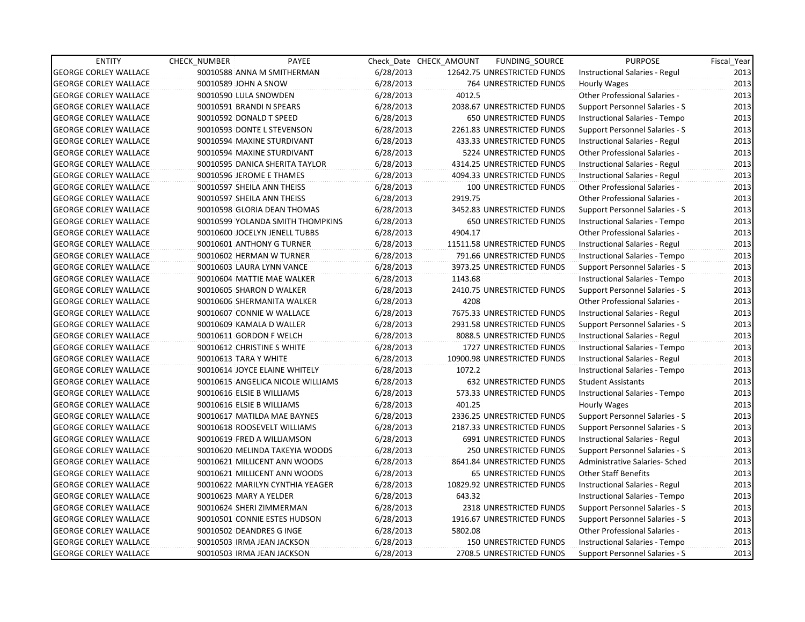| <b>ENTITY</b>                | <b>CHECK NUMBER</b> | PAYEE                             |           | Check Date CHECK AMOUNT | FUNDING SOURCE                | <b>PURPOSE</b>                        | Fiscal_Year |
|------------------------------|---------------------|-----------------------------------|-----------|-------------------------|-------------------------------|---------------------------------------|-------------|
| <b>GEORGE CORLEY WALLACE</b> |                     | 90010588 ANNA M SMITHERMAN        | 6/28/2013 |                         | 12642.75 UNRESTRICTED FUNDS   | Instructional Salaries - Regul        | 2013        |
| <b>GEORGE CORLEY WALLACE</b> |                     | 90010589 JOHN A SNOW              | 6/28/2013 |                         | 764 UNRESTRICTED FUNDS        | Hourly Wages                          | 2013        |
| <b>GEORGE CORLEY WALLACE</b> |                     | 90010590 LULA SNOWDEN             | 6/28/2013 | 4012.5                  |                               | Other Professional Salaries -         | 2013        |
| <b>GEORGE CORLEY WALLACE</b> |                     | 90010591 BRANDI N SPEARS          | 6/28/2013 |                         | 2038.67 UNRESTRICTED FUNDS    | Support Personnel Salaries - S        | 2013        |
| <b>GEORGE CORLEY WALLACE</b> |                     | 90010592 DONALD T SPEED           | 6/28/2013 |                         | 650 UNRESTRICTED FUNDS        | Instructional Salaries - Tempo        | 2013        |
| <b>GEORGE CORLEY WALLACE</b> |                     | 90010593 DONTE L STEVENSON        | 6/28/2013 |                         | 2261.83 UNRESTRICTED FUNDS    | Support Personnel Salaries - S        | 2013        |
| <b>GEORGE CORLEY WALLACE</b> |                     | 90010594 MAXINE STURDIVANT        | 6/28/2013 |                         | 433.33 UNRESTRICTED FUNDS     | Instructional Salaries - Regul        | 2013        |
| <b>GEORGE CORLEY WALLACE</b> |                     | 90010594 MAXINE STURDIVANT        | 6/28/2013 |                         | 5224 UNRESTRICTED FUNDS       | <b>Other Professional Salaries -</b>  | 2013        |
| <b>GEORGE CORLEY WALLACE</b> |                     | 90010595 DANICA SHERITA TAYLOR    | 6/28/2013 |                         | 4314.25 UNRESTRICTED FUNDS    | Instructional Salaries - Regul        | 2013        |
| <b>GEORGE CORLEY WALLACE</b> |                     | 90010596 JEROME E THAMES          | 6/28/2013 |                         | 4094.33 UNRESTRICTED FUNDS    | Instructional Salaries - Regul        | 2013        |
| <b>GEORGE CORLEY WALLACE</b> |                     | 90010597 SHEILA ANN THEISS        | 6/28/2013 |                         | 100 UNRESTRICTED FUNDS        | Other Professional Salaries -         | 2013        |
| <b>GEORGE CORLEY WALLACE</b> |                     | 90010597 SHEILA ANN THEISS        | 6/28/2013 | 2919.75                 |                               | Other Professional Salaries -         | 2013        |
| <b>GEORGE CORLEY WALLACE</b> |                     | 90010598 GLORIA DEAN THOMAS       | 6/28/2013 |                         | 3452.83 UNRESTRICTED FUNDS    | Support Personnel Salaries - S        | 2013        |
| <b>GEORGE CORLEY WALLACE</b> |                     | 90010599 YOLANDA SMITH THOMPKINS  | 6/28/2013 |                         | <b>650 UNRESTRICTED FUNDS</b> | Instructional Salaries - Tempo        | 2013        |
| <b>GEORGE CORLEY WALLACE</b> |                     | 90010600 JOCELYN JENELL TUBBS     | 6/28/2013 | 4904.17                 |                               | <b>Other Professional Salaries -</b>  | 2013        |
| <b>GEORGE CORLEY WALLACE</b> |                     | 90010601 ANTHONY G TURNER         | 6/28/2013 |                         | 11511.58 UNRESTRICTED FUNDS   | Instructional Salaries - Regul        | 2013        |
| <b>GEORGE CORLEY WALLACE</b> |                     | 90010602 HERMAN W TURNER          | 6/28/2013 |                         | 791.66 UNRESTRICTED FUNDS     | Instructional Salaries - Tempo        | 2013        |
| <b>GEORGE CORLEY WALLACE</b> |                     | 90010603 LAURA LYNN VANCE         | 6/28/2013 |                         | 3973.25 UNRESTRICTED FUNDS    | <b>Support Personnel Salaries - S</b> | 2013        |
| <b>GEORGE CORLEY WALLACE</b> |                     | 90010604 MATTIE MAE WALKER        | 6/28/2013 | 1143.68                 |                               | Instructional Salaries - Tempo        | 2013        |
| <b>GEORGE CORLEY WALLACE</b> |                     | 90010605 SHARON D WALKER          | 6/28/2013 |                         | 2410.75 UNRESTRICTED FUNDS    | Support Personnel Salaries - S        | 2013        |
| <b>GEORGE CORLEY WALLACE</b> |                     | 90010606 SHERMANITA WALKER        | 6/28/2013 | 4208                    |                               | Other Professional Salaries -         | 2013        |
| <b>GEORGE CORLEY WALLACE</b> |                     | 90010607 CONNIE W WALLACE         | 6/28/2013 |                         | 7675.33 UNRESTRICTED FUNDS    | Instructional Salaries - Regul        | 2013        |
| <b>GEORGE CORLEY WALLACE</b> |                     | 90010609 KAMALA D WALLER          | 6/28/2013 |                         | 2931.58 UNRESTRICTED FUNDS    | Support Personnel Salaries - S        | 2013        |
| <b>GEORGE CORLEY WALLACE</b> |                     | 90010611 GORDON F WELCH           | 6/28/2013 |                         | 8088.5 UNRESTRICTED FUNDS     | Instructional Salaries - Regul        | 2013        |
| <b>GEORGE CORLEY WALLACE</b> |                     | 90010612 CHRISTINE S WHITE        | 6/28/2013 |                         | 1727 UNRESTRICTED FUNDS       | Instructional Salaries - Tempo        | 2013        |
| <b>GEORGE CORLEY WALLACE</b> |                     | 90010613 TARA Y WHITE             | 6/28/2013 |                         | 10900.98 UNRESTRICTED FUNDS   | Instructional Salaries - Regul        | 2013        |
| <b>GEORGE CORLEY WALLACE</b> |                     | 90010614 JOYCE ELAINE WHITELY     | 6/28/2013 | 1072.2                  |                               | Instructional Salaries - Tempo        | 2013        |
| <b>GEORGE CORLEY WALLACE</b> |                     | 90010615 ANGELICA NICOLE WILLIAMS | 6/28/2013 |                         | 632 UNRESTRICTED FUNDS        | <b>Student Assistants</b>             | 2013        |
| <b>GEORGE CORLEY WALLACE</b> |                     | 90010616 ELSIE B WILLIAMS         | 6/28/2013 |                         | 573.33 UNRESTRICTED FUNDS     | Instructional Salaries - Tempo        | 2013        |
| <b>GEORGE CORLEY WALLACE</b> |                     | 90010616 ELSIE B WILLIAMS         | 6/28/2013 | 401.25                  |                               | Hourly Wages                          | 2013        |
| <b>GEORGE CORLEY WALLACE</b> |                     | 90010617 MATILDA MAE BAYNES       | 6/28/2013 |                         | 2336.25 UNRESTRICTED FUNDS    | <b>Support Personnel Salaries - S</b> | 2013        |
| <b>GEORGE CORLEY WALLACE</b> |                     | 90010618 ROOSEVELT WILLIAMS       | 6/28/2013 |                         | 2187.33 UNRESTRICTED FUNDS    | Support Personnel Salaries - S        | 2013        |
| <b>GEORGE CORLEY WALLACE</b> |                     | 90010619 FRED A WILLIAMSON        | 6/28/2013 |                         | 6991 UNRESTRICTED FUNDS       | Instructional Salaries - Regul        | 2013        |
| <b>GEORGE CORLEY WALLACE</b> |                     | 90010620 MELINDA TAKEYIA WOODS    | 6/28/2013 |                         | <b>250 UNRESTRICTED FUNDS</b> | Support Personnel Salaries - S        | 2013        |
| <b>GEORGE CORLEY WALLACE</b> |                     | 90010621 MILLICENT ANN WOODS      | 6/28/2013 |                         | 8641.84 UNRESTRICTED FUNDS    | Administrative Salaries- Sched        | 2013        |
| <b>GEORGE CORLEY WALLACE</b> |                     | 90010621 MILLICENT ANN WOODS      | 6/28/2013 |                         | <b>65 UNRESTRICTED FUNDS</b>  | <b>Other Staff Benefits</b>           | 2013        |
| <b>GEORGE CORLEY WALLACE</b> |                     | 90010622 MARILYN CYNTHIA YEAGER   | 6/28/2013 |                         | 10829.92 UNRESTRICTED FUNDS   | Instructional Salaries - Regul        | 2013        |
| <b>GEORGE CORLEY WALLACE</b> |                     | 90010623 MARY A YELDER            | 6/28/2013 | 643.32                  |                               | Instructional Salaries - Tempo        | 2013        |
| <b>GEORGE CORLEY WALLACE</b> |                     | 90010624 SHERI ZIMMERMAN          | 6/28/2013 |                         | 2318 UNRESTRICTED FUNDS       | Support Personnel Salaries - S        | 2013        |
| <b>GEORGE CORLEY WALLACE</b> |                     | 90010501 CONNIE ESTES HUDSON      | 6/28/2013 |                         | 1916.67 UNRESTRICTED FUNDS    | Support Personnel Salaries - S        | 2013        |
| <b>GEORGE CORLEY WALLACE</b> |                     | 90010502 DEANDRES G INGE          | 6/28/2013 | 5802.08                 |                               | Other Professional Salaries -         | 2013        |
| <b>GEORGE CORLEY WALLACE</b> |                     | 90010503 IRMA JEAN JACKSON        | 6/28/2013 |                         | <b>150 UNRESTRICTED FUNDS</b> | Instructional Salaries - Tempo        | 2013        |
| <b>GEORGE CORLEY WALLACE</b> |                     | 90010503 IRMA JEAN JACKSON        | 6/28/2013 |                         | 2708.5 UNRESTRICTED FUNDS     | Support Personnel Salaries - S        | 2013        |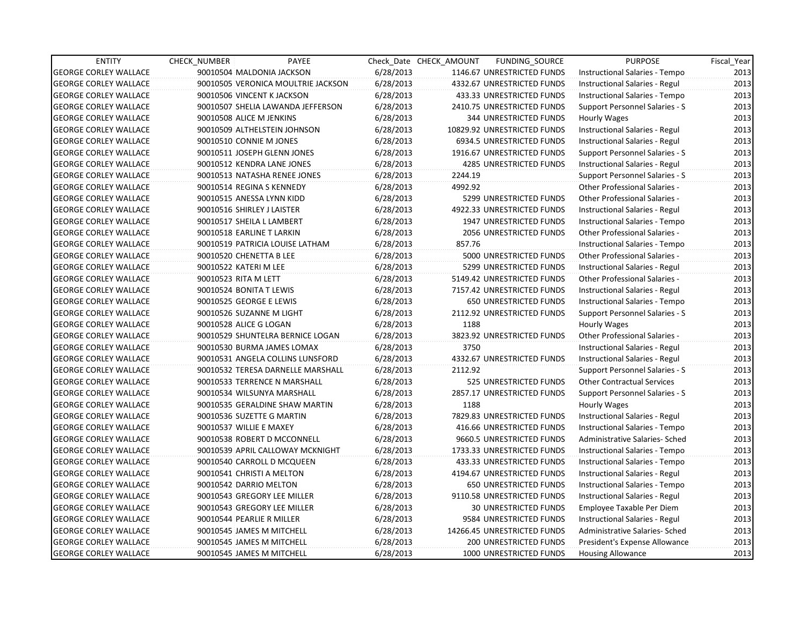| <b>ENTITY</b>                | <b>CHECK NUMBER</b>        | PAYEE                              |           | Check Date CHECK AMOUNT | FUNDING SOURCE                 | <b>PURPOSE</b>                       | Fiscal_Year |
|------------------------------|----------------------------|------------------------------------|-----------|-------------------------|--------------------------------|--------------------------------------|-------------|
| <b>GEORGE CORLEY WALLACE</b> |                            | 90010504 MALDONIA JACKSON          | 6/28/2013 |                         | 1146.67 UNRESTRICTED FUNDS     | Instructional Salaries - Tempo       | 2013        |
| <b>GEORGE CORLEY WALLACE</b> |                            | 90010505 VERONICA MOULTRIE JACKSON | 6/28/2013 |                         | 4332.67 UNRESTRICTED FUNDS     | Instructional Salaries - Regul       | 2013        |
| <b>GEORGE CORLEY WALLACE</b> |                            | 90010506 VINCENT K JACKSON         | 6/28/2013 |                         | 433.33 UNRESTRICTED FUNDS      | Instructional Salaries - Tempo       | 2013        |
| <b>GEORGE CORLEY WALLACE</b> |                            | 90010507 SHELIA LAWANDA JEFFERSON  | 6/28/2013 |                         | 2410.75 UNRESTRICTED FUNDS     | Support Personnel Salaries - S       | 2013        |
| <b>GEORGE CORLEY WALLACE</b> | 90010508 ALICE M JENKINS   |                                    | 6/28/2013 |                         | <b>344 UNRESTRICTED FUNDS</b>  | Hourly Wages                         | 2013        |
| <b>GEORGE CORLEY WALLACE</b> |                            | 90010509 ALTHELSTEIN JOHNSON       | 6/28/2013 |                         | 10829.92 UNRESTRICTED FUNDS    | Instructional Salaries - Regul       | 2013        |
| <b>GEORGE CORLEY WALLACE</b> | 90010510 CONNIE M JONES    |                                    | 6/28/2013 |                         | 6934.5 UNRESTRICTED FUNDS      | Instructional Salaries - Regul       | 2013        |
| <b>GEORGE CORLEY WALLACE</b> |                            | 90010511 JOSEPH GLENN JONES        | 6/28/2013 |                         | 1916.67 UNRESTRICTED FUNDS     | Support Personnel Salaries - S       | 2013        |
| <b>GEORGE CORLEY WALLACE</b> |                            | 90010512 KENDRA LANE JONES         | 6/28/2013 |                         | 4285 UNRESTRICTED FUNDS        | Instructional Salaries - Regul       | 2013        |
| <b>GEORGE CORLEY WALLACE</b> |                            | 90010513 NATASHA RENEE JONES       | 6/28/2013 | 2244.19                 |                                | Support Personnel Salaries - S       | 2013        |
| <b>GEORGE CORLEY WALLACE</b> |                            | 90010514 REGINA S KENNEDY          | 6/28/2013 | 4992.92                 |                                | Other Professional Salaries -        | 2013        |
| <b>GEORGE CORLEY WALLACE</b> |                            | 90010515 ANESSA LYNN KIDD          | 6/28/2013 |                         | 5299 UNRESTRICTED FUNDS        | Other Professional Salaries -        | 2013        |
| <b>GEORGE CORLEY WALLACE</b> | 90010516 SHIRLEY J LAISTER |                                    | 6/28/2013 |                         | 4922.33 UNRESTRICTED FUNDS     | Instructional Salaries - Regul       | 2013        |
| <b>GEORGE CORLEY WALLACE</b> | 90010517 SHEILA L LAMBERT  |                                    | 6/28/2013 |                         | 1947 UNRESTRICTED FUNDS        | Instructional Salaries - Tempo       | 2013        |
| <b>GEORGE CORLEY WALLACE</b> | 90010518 EARLINE T LARKIN  |                                    | 6/28/2013 |                         | 2056 UNRESTRICTED FUNDS        | <b>Other Professional Salaries -</b> | 2013        |
| <b>GEORGE CORLEY WALLACE</b> |                            | 90010519 PATRICIA LOUISE LATHAM    | 6/28/2013 | 857.76                  |                                | Instructional Salaries - Tempo       | 2013        |
| <b>GEORGE CORLEY WALLACE</b> | 90010520 CHENETTA B LEE    |                                    | 6/28/2013 |                         | 5000 UNRESTRICTED FUNDS        | Other Professional Salaries -        | 2013        |
| <b>GEORGE CORLEY WALLACE</b> | 90010522 KATERI M LEE      |                                    | 6/28/2013 |                         | 5299 UNRESTRICTED FUNDS        | Instructional Salaries - Regul       | 2013        |
| <b>GEORGE CORLEY WALLACE</b> | 90010523 RITA M LETT       |                                    | 6/28/2013 |                         | 5149.42 UNRESTRICTED FUNDS     | Other Professional Salaries -        | 2013        |
| <b>GEORGE CORLEY WALLACE</b> | 90010524 BONITA T LEWIS    |                                    | 6/28/2013 |                         | 7157.42 UNRESTRICTED FUNDS     | Instructional Salaries - Regul       | 2013        |
| <b>GEORGE CORLEY WALLACE</b> | 90010525 GEORGE E LEWIS    |                                    | 6/28/2013 |                         | 650 UNRESTRICTED FUNDS         | Instructional Salaries - Tempo       | 2013        |
| <b>GEORGE CORLEY WALLACE</b> | 90010526 SUZANNE M LIGHT   |                                    | 6/28/2013 |                         | 2112.92 UNRESTRICTED FUNDS     | Support Personnel Salaries - S       | 2013        |
| <b>GEORGE CORLEY WALLACE</b> | 90010528 ALICE G LOGAN     |                                    | 6/28/2013 | 1188                    |                                | Hourly Wages                         | 2013        |
| <b>GEORGE CORLEY WALLACE</b> |                            | 90010529 SHUNTELRA BERNICE LOGAN   | 6/28/2013 |                         | 3823.92 UNRESTRICTED FUNDS     | <b>Other Professional Salaries -</b> | 2013        |
| <b>GEORGE CORLEY WALLACE</b> |                            | 90010530 BURMA JAMES LOMAX         | 6/28/2013 | 3750                    |                                | Instructional Salaries - Regul       | 2013        |
| <b>GEORGE CORLEY WALLACE</b> |                            | 90010531 ANGELA COLLINS LUNSFORD   | 6/28/2013 |                         | 4332.67 UNRESTRICTED FUNDS     | Instructional Salaries - Regul       | 2013        |
| <b>GEORGE CORLEY WALLACE</b> |                            | 90010532 TERESA DARNELLE MARSHALL  | 6/28/2013 | 2112.92                 |                                | Support Personnel Salaries - S       | 2013        |
| <b>GEORGE CORLEY WALLACE</b> |                            | 90010533 TERRENCE N MARSHALL       | 6/28/2013 |                         | 525 UNRESTRICTED FUNDS         | <b>Other Contractual Services</b>    | 2013        |
| <b>GEORGE CORLEY WALLACE</b> |                            | 90010534 WILSUNYA MARSHALL         | 6/28/2013 |                         | 2857.17 UNRESTRICTED FUNDS     | Support Personnel Salaries - S       | 2013        |
| <b>GEORGE CORLEY WALLACE</b> |                            | 90010535 GERALDINE SHAW MARTIN     | 6/28/2013 | 1188                    |                                | Hourly Wages                         | 2013        |
| <b>GEORGE CORLEY WALLACE</b> |                            | 90010536 SUZETTE G MARTIN          | 6/28/2013 |                         | 7829.83 UNRESTRICTED FUNDS     | Instructional Salaries - Regul       | 2013        |
| <b>GEORGE CORLEY WALLACE</b> | 90010537 WILLIE E MAXEY    |                                    | 6/28/2013 |                         | 416.66 UNRESTRICTED FUNDS      | Instructional Salaries - Tempo       | 2013        |
| <b>GEORGE CORLEY WALLACE</b> |                            | 90010538 ROBERT D MCCONNELL        | 6/28/2013 |                         | 9660.5 UNRESTRICTED FUNDS      | Administrative Salaries- Sched       | 2013        |
| <b>GEORGE CORLEY WALLACE</b> |                            | 90010539 APRIL CALLOWAY MCKNIGHT   | 6/28/2013 |                         | 1733.33 UNRESTRICTED FUNDS     | Instructional Salaries - Tempo       | 2013        |
| <b>GEORGE CORLEY WALLACE</b> |                            | 90010540 CARROLL D MCQUEEN         | 6/28/2013 |                         | 433.33 UNRESTRICTED FUNDS      | Instructional Salaries - Tempo       | 2013        |
| <b>GEORGE CORLEY WALLACE</b> | 90010541 CHRISTI A MELTON  |                                    | 6/28/2013 |                         | 4194.67 UNRESTRICTED FUNDS     | Instructional Salaries - Regul       | 2013        |
| <b>GEORGE CORLEY WALLACE</b> | 90010542 DARRIO MELTON     |                                    | 6/28/2013 |                         | 650 UNRESTRICTED FUNDS         | Instructional Salaries - Tempo       | 2013        |
| <b>GEORGE CORLEY WALLACE</b> |                            | 90010543 GREGORY LEE MILLER        | 6/28/2013 |                         | 9110.58 UNRESTRICTED FUNDS     | Instructional Salaries - Regul       | 2013        |
| <b>GEORGE CORLEY WALLACE</b> |                            | 90010543 GREGORY LEE MILLER        | 6/28/2013 |                         | 30 UNRESTRICTED FUNDS          | Employee Taxable Per Diem            | 2013        |
| <b>GEORGE CORLEY WALLACE</b> | 90010544 PEARLIE R MILLER  |                                    | 6/28/2013 |                         | 9584 UNRESTRICTED FUNDS        | Instructional Salaries - Regul       | 2013        |
| <b>GEORGE CORLEY WALLACE</b> |                            | 90010545 JAMES M MITCHELL          | 6/28/2013 |                         | 14266.45 UNRESTRICTED FUNDS    | Administrative Salaries- Sched       | 2013        |
| <b>GEORGE CORLEY WALLACE</b> |                            | 90010545 JAMES M MITCHELL          | 6/28/2013 |                         | 200 UNRESTRICTED FUNDS         | President's Expense Allowance        | 2013        |
| <b>GEORGE CORLEY WALLACE</b> |                            | 90010545 JAMES M MITCHELL          | 6/28/2013 |                         | <b>1000 UNRESTRICTED FUNDS</b> | <b>Housing Allowance</b>             | 2013        |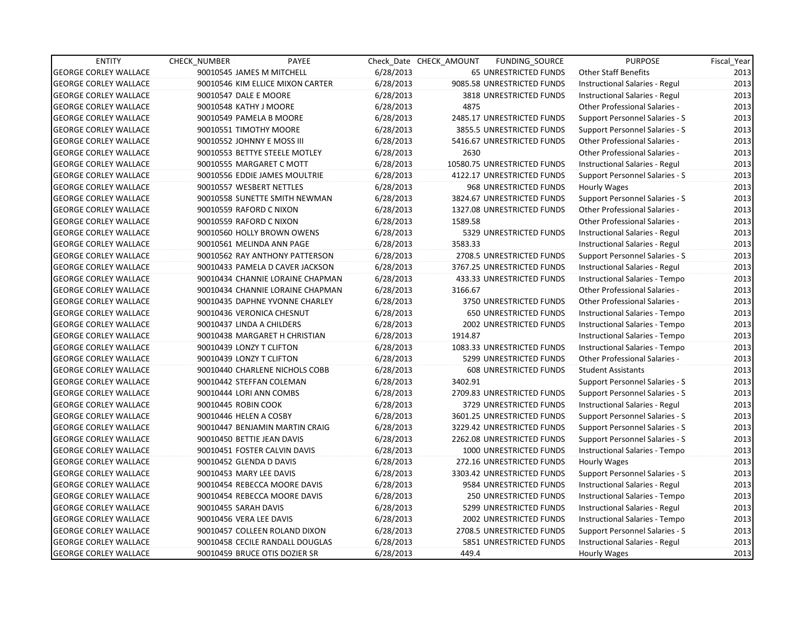| <b>ENTITY</b>                | <b>CHECK NUMBER</b>        | PAYEE                            |           | Check Date CHECK AMOUNT | FUNDING_SOURCE                 | <b>PURPOSE</b>                       | Fiscal_Year |
|------------------------------|----------------------------|----------------------------------|-----------|-------------------------|--------------------------------|--------------------------------------|-------------|
| <b>GEORGE CORLEY WALLACE</b> | 90010545 JAMES M MITCHELL  |                                  | 6/28/2013 |                         | 65 UNRESTRICTED FUNDS          | Other Staff Benefits                 | 2013        |
| <b>GEORGE CORLEY WALLACE</b> |                            | 90010546 KIM ELLICE MIXON CARTER | 6/28/2013 |                         | 9085.58 UNRESTRICTED FUNDS     | Instructional Salaries - Regul       | 2013        |
| <b>GEORGE CORLEY WALLACE</b> | 90010547 DALE E MOORE      |                                  | 6/28/2013 |                         | <b>3818 UNRESTRICTED FUNDS</b> | Instructional Salaries - Regul       | 2013        |
| <b>GEORGE CORLEY WALLACE</b> | 90010548 KATHY J MOORE     |                                  | 6/28/2013 | 4875                    |                                | Other Professional Salaries -        | 2013        |
| <b>GEORGE CORLEY WALLACE</b> | 90010549 PAMELA B MOORE    |                                  | 6/28/2013 |                         | 2485.17 UNRESTRICTED FUNDS     | Support Personnel Salaries - S       | 2013        |
| <b>GEORGE CORLEY WALLACE</b> | 90010551 TIMOTHY MOORE     |                                  | 6/28/2013 |                         | 3855.5 UNRESTRICTED FUNDS      | Support Personnel Salaries - S       | 2013        |
| <b>GEORGE CORLEY WALLACE</b> | 90010552 JOHNNY E MOSS III |                                  | 6/28/2013 |                         | 5416.67 UNRESTRICTED FUNDS     | <b>Other Professional Salaries -</b> | 2013        |
| <b>GEORGE CORLEY WALLACE</b> |                            | 90010553 BETTYE STEELE MOTLEY    | 6/28/2013 | 2630                    |                                | Other Professional Salaries -        | 2013        |
| <b>GEORGE CORLEY WALLACE</b> | 90010555 MARGARET C MOTT   |                                  | 6/28/2013 |                         | 10580.75 UNRESTRICTED FUNDS    | Instructional Salaries - Regul       | 2013        |
| <b>GEORGE CORLEY WALLACE</b> |                            | 90010556 EDDIE JAMES MOULTRIE    | 6/28/2013 |                         | 4122.17 UNRESTRICTED FUNDS     | Support Personnel Salaries - S       | 2013        |
| <b>GEORGE CORLEY WALLACE</b> | 90010557 WESBERT NETTLES   |                                  | 6/28/2013 |                         | 968 UNRESTRICTED FUNDS         | Hourly Wages                         | 2013        |
| <b>GEORGE CORLEY WALLACE</b> |                            | 90010558 SUNETTE SMITH NEWMAN    | 6/28/2013 |                         | 3824.67 UNRESTRICTED FUNDS     | Support Personnel Salaries - S       | 2013        |
| <b>GEORGE CORLEY WALLACE</b> | 90010559 RAFORD C NIXON    |                                  | 6/28/2013 |                         | 1327.08 UNRESTRICTED FUNDS     | Other Professional Salaries -        | 2013        |
| <b>GEORGE CORLEY WALLACE</b> | 90010559 RAFORD C NIXON    |                                  | 6/28/2013 | 1589.58                 |                                | <b>Other Professional Salaries -</b> | 2013        |
| <b>GEORGE CORLEY WALLACE</b> |                            | 90010560 HOLLY BROWN OWENS       | 6/28/2013 |                         | 5329 UNRESTRICTED FUNDS        | Instructional Salaries - Regul       | 2013        |
| <b>GEORGE CORLEY WALLACE</b> |                            | 90010561 MELINDA ANN PAGE        | 6/28/2013 | 3583.33                 |                                | Instructional Salaries - Regul       | 2013        |
| <b>GEORGE CORLEY WALLACE</b> |                            | 90010562 RAY ANTHONY PATTERSON   | 6/28/2013 |                         | 2708.5 UNRESTRICTED FUNDS      | Support Personnel Salaries - S       | 2013        |
| <b>GEORGE CORLEY WALLACE</b> |                            | 90010433 PAMELA D CAVER JACKSON  | 6/28/2013 |                         | 3767.25 UNRESTRICTED FUNDS     | Instructional Salaries - Regul       | 2013        |
| <b>GEORGE CORLEY WALLACE</b> |                            | 90010434 CHANNIE LORAINE CHAPMAN | 6/28/2013 |                         | 433.33 UNRESTRICTED FUNDS      | Instructional Salaries - Tempo       | 2013        |
| <b>GEORGE CORLEY WALLACE</b> |                            | 90010434 CHANNIE LORAINE CHAPMAN | 6/28/2013 | 3166.67                 |                                | <b>Other Professional Salaries -</b> | 2013        |
| <b>GEORGE CORLEY WALLACE</b> |                            | 90010435 DAPHNE YVONNE CHARLEY   | 6/28/2013 |                         | 3750 UNRESTRICTED FUNDS        | Other Professional Salaries -        | 2013        |
| <b>GEORGE CORLEY WALLACE</b> | 90010436 VERONICA CHESNUT  |                                  | 6/28/2013 |                         | <b>650 UNRESTRICTED FUNDS</b>  | Instructional Salaries - Tempo       | 2013        |
| <b>GEORGE CORLEY WALLACE</b> | 90010437 LINDA A CHILDERS  |                                  | 6/28/2013 |                         | 2002 UNRESTRICTED FUNDS        | Instructional Salaries - Tempo       | 2013        |
| <b>GEORGE CORLEY WALLACE</b> |                            | 90010438 MARGARET H CHRISTIAN    | 6/28/2013 | 1914.87                 |                                | Instructional Salaries - Tempo       | 2013        |
| <b>GEORGE CORLEY WALLACE</b> | 90010439 LONZY T CLIFTON   |                                  | 6/28/2013 |                         | 1083.33 UNRESTRICTED FUNDS     | Instructional Salaries - Tempo       | 2013        |
| <b>GEORGE CORLEY WALLACE</b> | 90010439 LONZY T CLIFTON   |                                  | 6/28/2013 |                         | 5299 UNRESTRICTED FUNDS        | <b>Other Professional Salaries -</b> | 2013        |
| <b>GEORGE CORLEY WALLACE</b> |                            | 90010440 CHARLENE NICHOLS COBB   | 6/28/2013 |                         | <b>608 UNRESTRICTED FUNDS</b>  | <b>Student Assistants</b>            | 2013        |
| <b>GEORGE CORLEY WALLACE</b> | 90010442 STEFFAN COLEMAN   |                                  | 6/28/2013 | 3402.91                 |                                | Support Personnel Salaries - S       | 2013        |
| <b>GEORGE CORLEY WALLACE</b> | 90010444 LORI ANN COMBS    |                                  | 6/28/2013 |                         | 2709.83 UNRESTRICTED FUNDS     | Support Personnel Salaries - S       | 2013        |
| <b>GEORGE CORLEY WALLACE</b> | 90010445 ROBIN COOK        |                                  | 6/28/2013 |                         | 3729 UNRESTRICTED FUNDS        | Instructional Salaries - Regul       | 2013        |
| <b>GEORGE CORLEY WALLACE</b> | 90010446 HELEN A COSBY     |                                  | 6/28/2013 |                         | 3601.25 UNRESTRICTED FUNDS     | Support Personnel Salaries - S       | 2013        |
| <b>GEORGE CORLEY WALLACE</b> |                            | 90010447 BENJAMIN MARTIN CRAIG   | 6/28/2013 |                         | 3229.42 UNRESTRICTED FUNDS     | Support Personnel Salaries - S       | 2013        |
| <b>GEORGE CORLEY WALLACE</b> | 90010450 BETTIE JEAN DAVIS |                                  | 6/28/2013 |                         | 2262.08 UNRESTRICTED FUNDS     | Support Personnel Salaries - S       | 2013        |
| <b>GEORGE CORLEY WALLACE</b> |                            | 90010451 FOSTER CALVIN DAVIS     | 6/28/2013 |                         | 1000 UNRESTRICTED FUNDS        | Instructional Salaries - Tempo       | 2013        |
| <b>GEORGE CORLEY WALLACE</b> | 90010452 GLENDA D DAVIS    |                                  | 6/28/2013 |                         | 272.16 UNRESTRICTED FUNDS      | Hourly Wages                         | 2013        |
| <b>GEORGE CORLEY WALLACE</b> | 90010453 MARY LEE DAVIS    |                                  | 6/28/2013 |                         | 3303.42 UNRESTRICTED FUNDS     | Support Personnel Salaries - S       | 2013        |
| <b>GEORGE CORLEY WALLACE</b> |                            | 90010454 REBECCA MOORE DAVIS     | 6/28/2013 |                         | 9584 UNRESTRICTED FUNDS        | Instructional Salaries - Regul       | 2013        |
| <b>GEORGE CORLEY WALLACE</b> |                            | 90010454 REBECCA MOORE DAVIS     | 6/28/2013 |                         | 250 UNRESTRICTED FUNDS         | Instructional Salaries - Tempo       | 2013        |
| <b>GEORGE CORLEY WALLACE</b> | 90010455 SARAH DAVIS       |                                  | 6/28/2013 |                         | 5299 UNRESTRICTED FUNDS        | Instructional Salaries - Regul       | 2013        |
| <b>GEORGE CORLEY WALLACE</b> | 90010456 VERA LEE DAVIS    |                                  | 6/28/2013 |                         | 2002 UNRESTRICTED FUNDS        | Instructional Salaries - Tempo       | 2013        |
| <b>GEORGE CORLEY WALLACE</b> |                            | 90010457 COLLEEN ROLAND DIXON    | 6/28/2013 |                         | 2708.5 UNRESTRICTED FUNDS      | Support Personnel Salaries - S       | 2013        |
| <b>GEORGE CORLEY WALLACE</b> |                            | 90010458 CECILE RANDALL DOUGLAS  | 6/28/2013 |                         | 5851 UNRESTRICTED FUNDS        | Instructional Salaries - Regul       | 2013        |
| <b>GEORGE CORLEY WALLACE</b> |                            | 90010459 BRUCE OTIS DOZIER SR    | 6/28/2013 | 449.4                   |                                | Hourly Wages                         | 2013        |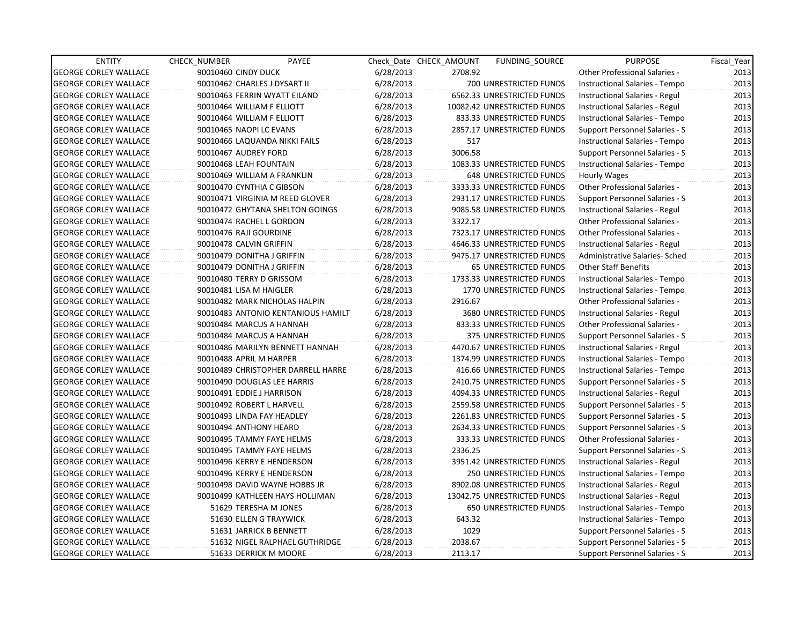| <b>ENTITY</b>                | <b>CHECK NUMBER</b>     | PAYEE                              |           | Check Date CHECK AMOUNT | <b>FUNDING SOURCE</b>         | <b>PURPOSE</b>                       | Fiscal Year |
|------------------------------|-------------------------|------------------------------------|-----------|-------------------------|-------------------------------|--------------------------------------|-------------|
| <b>GEORGE CORLEY WALLACE</b> | 90010460 CINDY DUCK     |                                    | 6/28/2013 | 2708.92                 |                               | Other Professional Salaries -        | 2013        |
| <b>GEORGE CORLEY WALLACE</b> |                         | 90010462 CHARLES J DYSART II       | 6/28/2013 |                         | 700 UNRESTRICTED FUNDS        | Instructional Salaries - Tempo       | 2013        |
| <b>GEORGE CORLEY WALLACE</b> |                         | 90010463 FERRIN WYATT EILAND       | 6/28/2013 |                         | 6562.33 UNRESTRICTED FUNDS    | Instructional Salaries - Regul       | 2013        |
| <b>GEORGE CORLEY WALLACE</b> |                         | 90010464 WILLIAM F ELLIOTT         | 6/28/2013 |                         | 10082.42 UNRESTRICTED FUNDS   | Instructional Salaries - Regul       | 2013        |
| <b>GEORGE CORLEY WALLACE</b> |                         | 90010464 WILLIAM F ELLIOTT         | 6/28/2013 |                         | 833.33 UNRESTRICTED FUNDS     | Instructional Salaries - Tempo       | 2013        |
| <b>GEORGE CORLEY WALLACE</b> |                         | 90010465 NAOPI LC EVANS            | 6/28/2013 |                         | 2857.17 UNRESTRICTED FUNDS    | Support Personnel Salaries - S       | 2013        |
| <b>GEORGE CORLEY WALLACE</b> |                         | 90010466 LAQUANDA NIKKI FAILS      | 6/28/2013 | 517                     |                               | Instructional Salaries - Tempo       | 2013        |
| <b>GEORGE CORLEY WALLACE</b> | 90010467 AUDREY FORD    |                                    | 6/28/2013 | 3006.58                 |                               | Support Personnel Salaries - S       | 2013        |
| <b>GEORGE CORLEY WALLACE</b> |                         | 90010468 LEAH FOUNTAIN             | 6/28/2013 |                         | 1083.33 UNRESTRICTED FUNDS    | Instructional Salaries - Tempo       | 2013        |
| <b>GEORGE CORLEY WALLACE</b> |                         | 90010469 WILLIAM A FRANKLIN        | 6/28/2013 |                         | <b>648 UNRESTRICTED FUNDS</b> | <b>Hourly Wages</b>                  | 2013        |
| <b>GEORGE CORLEY WALLACE</b> |                         | 90010470 CYNTHIA C GIBSON          | 6/28/2013 |                         | 3333.33 UNRESTRICTED FUNDS    | <b>Other Professional Salaries -</b> | 2013        |
| <b>GEORGE CORLEY WALLACE</b> |                         | 90010471 VIRGINIA M REED GLOVER    | 6/28/2013 |                         | 2931.17 UNRESTRICTED FUNDS    | Support Personnel Salaries - S       | 2013        |
| <b>GEORGE CORLEY WALLACE</b> |                         | 90010472 GHYTANA SHELTON GOINGS    | 6/28/2013 |                         | 9085.58 UNRESTRICTED FUNDS    | Instructional Salaries - Regul       | 2013        |
| <b>GEORGE CORLEY WALLACE</b> |                         | 90010474 RACHEL L GORDON           | 6/28/2013 | 3322.17                 |                               | Other Professional Salaries -        | 2013        |
| <b>GEORGE CORLEY WALLACE</b> | 90010476 RAJI GOURDINE  |                                    | 6/28/2013 |                         | 7323.17 UNRESTRICTED FUNDS    | <b>Other Professional Salaries -</b> | 2013        |
| <b>GEORGE CORLEY WALLACE</b> | 90010478 CALVIN GRIFFIN |                                    | 6/28/2013 |                         | 4646.33 UNRESTRICTED FUNDS    | Instructional Salaries - Regul       | 2013        |
| <b>GEORGE CORLEY WALLACE</b> |                         | 90010479 DONITHA J GRIFFIN         | 6/28/2013 |                         | 9475.17 UNRESTRICTED FUNDS    | Administrative Salaries- Sched       | 2013        |
| <b>GEORGE CORLEY WALLACE</b> |                         | 90010479 DONITHA J GRIFFIN         | 6/28/2013 |                         | <b>65 UNRESTRICTED FUNDS</b>  | <b>Other Staff Benefits</b>          | 2013        |
| <b>GEORGE CORLEY WALLACE</b> |                         | 90010480 TERRY D GRISSOM           | 6/28/2013 |                         | 1733.33 UNRESTRICTED FUNDS    | Instructional Salaries - Tempo       | 2013        |
| <b>GEORGE CORLEY WALLACE</b> |                         | 90010481 LISA M HAIGLER            | 6/28/2013 |                         | 1770 UNRESTRICTED FUNDS       | Instructional Salaries - Tempo       | 2013        |
| <b>GEORGE CORLEY WALLACE</b> |                         | 90010482 MARK NICHOLAS HALPIN      | 6/28/2013 | 2916.67                 |                               | <b>Other Professional Salaries -</b> | 2013        |
| <b>GEORGE CORLEY WALLACE</b> |                         | 90010483 ANTONIO KENTANIOUS HAMILT | 6/28/2013 |                         | 3680 UNRESTRICTED FUNDS       | Instructional Salaries - Regul       | 2013        |
| <b>GEORGE CORLEY WALLACE</b> |                         | 90010484 MARCUS A HANNAH           | 6/28/2013 |                         | 833.33 UNRESTRICTED FUNDS     | Other Professional Salaries -        | 2013        |
| <b>GEORGE CORLEY WALLACE</b> |                         | 90010484 MARCUS A HANNAH           | 6/28/2013 |                         | 375 UNRESTRICTED FUNDS        | Support Personnel Salaries - S       | 2013        |
| <b>GEORGE CORLEY WALLACE</b> |                         | 90010486 MARILYN BENNETT HANNAH    | 6/28/2013 |                         | 4470.67 UNRESTRICTED FUNDS    | Instructional Salaries - Regul       | 2013        |
| <b>GEORGE CORLEY WALLACE</b> |                         | 90010488 APRIL M HARPER            | 6/28/2013 |                         | 1374.99 UNRESTRICTED FUNDS    | Instructional Salaries - Tempo       | 2013        |
| <b>GEORGE CORLEY WALLACE</b> |                         | 90010489 CHRISTOPHER DARRELL HARRE | 6/28/2013 |                         | 416.66 UNRESTRICTED FUNDS     | Instructional Salaries - Tempo       | 2013        |
| <b>GEORGE CORLEY WALLACE</b> |                         | 90010490 DOUGLAS LEE HARRIS        | 6/28/2013 |                         | 2410.75 UNRESTRICTED FUNDS    | Support Personnel Salaries - S       | 2013        |
| <b>GEORGE CORLEY WALLACE</b> |                         | 90010491 EDDIE J HARRISON          | 6/28/2013 |                         | 4094.33 UNRESTRICTED FUNDS    | Instructional Salaries - Regul       | 2013        |
| <b>GEORGE CORLEY WALLACE</b> |                         | 90010492 ROBERT L HARVELL          | 6/28/2013 |                         | 2559.58 UNRESTRICTED FUNDS    | Support Personnel Salaries - S       | 2013        |
| <b>GEORGE CORLEY WALLACE</b> |                         | 90010493 LINDA FAY HEADLEY         | 6/28/2013 |                         | 2261.83 UNRESTRICTED FUNDS    | Support Personnel Salaries - S       | 2013        |
| <b>GEORGE CORLEY WALLACE</b> |                         | 90010494 ANTHONY HEARD             | 6/28/2013 |                         | 2634.33 UNRESTRICTED FUNDS    | Support Personnel Salaries - S       | 2013        |
| <b>GEORGE CORLEY WALLACE</b> |                         | 90010495 TAMMY FAYE HELMS          | 6/28/2013 |                         | 333.33 UNRESTRICTED FUNDS     | Other Professional Salaries -        | 2013        |
| <b>GEORGE CORLEY WALLACE</b> |                         | 90010495 TAMMY FAYE HELMS          | 6/28/2013 | 2336.25                 |                               | Support Personnel Salaries - S       | 2013        |
| <b>GEORGE CORLEY WALLACE</b> |                         | 90010496 KERRY E HENDERSON         | 6/28/2013 |                         | 3951.42 UNRESTRICTED FUNDS    | Instructional Salaries - Regul       | 2013        |
| <b>GEORGE CORLEY WALLACE</b> |                         | 90010496 KERRY E HENDERSON         | 6/28/2013 |                         | <b>250 UNRESTRICTED FUNDS</b> | Instructional Salaries - Tempo       | 2013        |
| <b>GEORGE CORLEY WALLACE</b> |                         | 90010498 DAVID WAYNE HOBBS JR      | 6/28/2013 |                         | 8902.08 UNRESTRICTED FUNDS    | Instructional Salaries - Regul       | 2013        |
| <b>GEORGE CORLEY WALLACE</b> |                         | 90010499 KATHLEEN HAYS HOLLIMAN    | 6/28/2013 |                         | 13042.75 UNRESTRICTED FUNDS   | Instructional Salaries - Regul       | 2013        |
| <b>GEORGE CORLEY WALLACE</b> |                         | 51629 TERESHA M JONES              | 6/28/2013 |                         | 650 UNRESTRICTED FUNDS        | Instructional Salaries - Tempo       | 2013        |
| <b>GEORGE CORLEY WALLACE</b> |                         | 51630 ELLEN G TRAYWICK             | 6/28/2013 | 643.32                  |                               | Instructional Salaries - Tempo       | 2013        |
| <b>GEORGE CORLEY WALLACE</b> |                         | 51631 JARRICK B BENNETT            | 6/28/2013 | 1029                    |                               | Support Personnel Salaries - S       | 2013        |
| <b>GEORGE CORLEY WALLACE</b> |                         | 51632 NIGEL RALPHAEL GUTHRIDGE     | 6/28/2013 | 2038.67                 |                               | Support Personnel Salaries - S       | 2013        |
| <b>GEORGE CORLEY WALLACE</b> |                         | 51633 DERRICK M MOORE              | 6/28/2013 | 2113.17                 |                               | Support Personnel Salaries - S       | 2013        |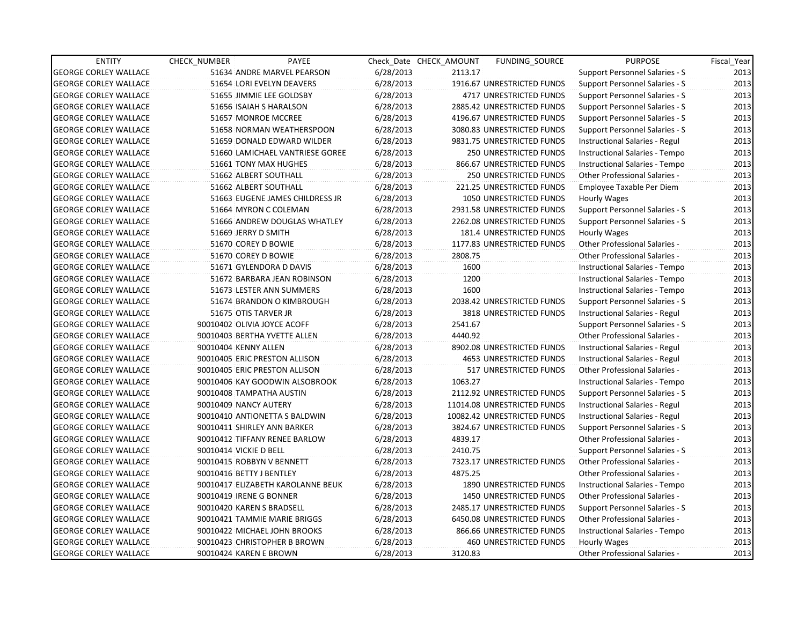| <b>ENTITY</b>                | <b>CHECK NUMBER</b> | PAYEE                             |           | Check Date CHECK AMOUNT | FUNDING_SOURCE                 | <b>PURPOSE</b>                        | Fiscal Year |
|------------------------------|---------------------|-----------------------------------|-----------|-------------------------|--------------------------------|---------------------------------------|-------------|
| <b>GEORGE CORLEY WALLACE</b> |                     | 51634 ANDRE MARVEL PEARSON        | 6/28/2013 | 2113.17                 |                                | <b>Support Personnel Salaries - S</b> | 2013        |
| <b>GEORGE CORLEY WALLACE</b> |                     | 51654 LORI EVELYN DEAVERS         | 6/28/2013 |                         | 1916.67 UNRESTRICTED FUNDS     | Support Personnel Salaries - S        | 2013        |
| <b>GEORGE CORLEY WALLACE</b> |                     | 51655 JIMMIE LEE GOLDSBY          | 6/28/2013 |                         | 4717 UNRESTRICTED FUNDS        | Support Personnel Salaries - S        | 2013        |
| <b>GEORGE CORLEY WALLACE</b> |                     | 51656 ISAIAH S HARALSON           | 6/28/2013 |                         | 2885.42 UNRESTRICTED FUNDS     | Support Personnel Salaries - S        | 2013        |
| <b>GEORGE CORLEY WALLACE</b> |                     | 51657 MONROE MCCREE               | 6/28/2013 |                         | 4196.67 UNRESTRICTED FUNDS     | Support Personnel Salaries - S        | 2013        |
| <b>GEORGE CORLEY WALLACE</b> |                     | 51658 NORMAN WEATHERSPOON         | 6/28/2013 |                         | 3080.83 UNRESTRICTED FUNDS     | Support Personnel Salaries - S        | 2013        |
| <b>GEORGE CORLEY WALLACE</b> |                     | 51659 DONALD EDWARD WILDER        | 6/28/2013 |                         | 9831.75 UNRESTRICTED FUNDS     | Instructional Salaries - Regul        | 2013        |
| <b>GEORGE CORLEY WALLACE</b> |                     | 51660 LAMICHAEL VANTRIESE GOREE   | 6/28/2013 |                         | <b>250 UNRESTRICTED FUNDS</b>  | Instructional Salaries - Tempo        | 2013        |
| <b>GEORGE CORLEY WALLACE</b> |                     | 51661 TONY MAX HUGHES             | 6/28/2013 |                         | 866.67 UNRESTRICTED FUNDS      | Instructional Salaries - Tempo        | 2013        |
| <b>GEORGE CORLEY WALLACE</b> |                     | 51662 ALBERT SOUTHALL             | 6/28/2013 |                         | 250 UNRESTRICTED FUNDS         | Other Professional Salaries -         | 2013        |
| <b>GEORGE CORLEY WALLACE</b> |                     | 51662 ALBERT SOUTHALL             | 6/28/2013 |                         | 221.25 UNRESTRICTED FUNDS      | Employee Taxable Per Diem             | 2013        |
| <b>GEORGE CORLEY WALLACE</b> |                     | 51663 EUGENE JAMES CHILDRESS JR   | 6/28/2013 |                         | 1050 UNRESTRICTED FUNDS        | Hourly Wages                          | 2013        |
| <b>GEORGE CORLEY WALLACE</b> |                     | 51664 MYRON C COLEMAN             | 6/28/2013 |                         | 2931.58 UNRESTRICTED FUNDS     | Support Personnel Salaries - S        | 2013        |
| <b>GEORGE CORLEY WALLACE</b> |                     | 51666 ANDREW DOUGLAS WHATLEY      | 6/28/2013 |                         | 2262.08 UNRESTRICTED FUNDS     | Support Personnel Salaries - S        | 2013        |
| <b>GEORGE CORLEY WALLACE</b> |                     | 51669 JERRY D SMITH               | 6/28/2013 |                         | 181.4 UNRESTRICTED FUNDS       | Hourly Wages                          | 2013        |
| <b>GEORGE CORLEY WALLACE</b> |                     | 51670 COREY D BOWIE               | 6/28/2013 |                         | 1177.83 UNRESTRICTED FUNDS     | <b>Other Professional Salaries -</b>  | 2013        |
| <b>GEORGE CORLEY WALLACE</b> |                     | 51670 COREY D BOWIE               | 6/28/2013 | 2808.75                 |                                | <b>Other Professional Salaries -</b>  | 2013        |
| <b>GEORGE CORLEY WALLACE</b> |                     | 51671 GYLENDORA D DAVIS           | 6/28/2013 | 1600                    |                                | Instructional Salaries - Tempo        | 2013        |
| <b>GEORGE CORLEY WALLACE</b> |                     | 51672 BARBARA JEAN ROBINSON       | 6/28/2013 | 1200                    |                                | Instructional Salaries - Tempo        | 2013        |
| <b>GEORGE CORLEY WALLACE</b> |                     | 51673 LESTER ANN SUMMERS          | 6/28/2013 | 1600                    |                                | Instructional Salaries - Tempo        | 2013        |
| <b>GEORGE CORLEY WALLACE</b> |                     | 51674 BRANDON O KIMBROUGH         | 6/28/2013 |                         | 2038.42 UNRESTRICTED FUNDS     | Support Personnel Salaries - S        | 2013        |
| <b>GEORGE CORLEY WALLACE</b> |                     | 51675 OTIS TARVER JR              | 6/28/2013 |                         | 3818 UNRESTRICTED FUNDS        | Instructional Salaries - Regul        | 2013        |
| <b>GEORGE CORLEY WALLACE</b> |                     | 90010402 OLIVIA JOYCE ACOFF       | 6/28/2013 | 2541.67                 |                                | <b>Support Personnel Salaries - S</b> | 2013        |
| <b>GEORGE CORLEY WALLACE</b> |                     | 90010403 BERTHA YVETTE ALLEN      | 6/28/2013 | 4440.92                 |                                | Other Professional Salaries -         | 2013        |
| <b>GEORGE CORLEY WALLACE</b> |                     | 90010404 KENNY ALLEN              | 6/28/2013 |                         | 8902.08 UNRESTRICTED FUNDS     | Instructional Salaries - Regul        | 2013        |
| <b>GEORGE CORLEY WALLACE</b> |                     | 90010405 ERIC PRESTON ALLISON     | 6/28/2013 |                         | <b>4653 UNRESTRICTED FUNDS</b> | Instructional Salaries - Regul        | 2013        |
| <b>GEORGE CORLEY WALLACE</b> |                     | 90010405 ERIC PRESTON ALLISON     | 6/28/2013 |                         | 517 UNRESTRICTED FUNDS         | Other Professional Salaries -         | 2013        |
| <b>GEORGE CORLEY WALLACE</b> |                     | 90010406 KAY GOODWIN ALSOBROOK    | 6/28/2013 | 1063.27                 |                                | Instructional Salaries - Tempo        | 2013        |
| <b>GEORGE CORLEY WALLACE</b> |                     | 90010408 TAMPATHA AUSTIN          | 6/28/2013 |                         | 2112.92 UNRESTRICTED FUNDS     | Support Personnel Salaries - S        | 2013        |
| <b>GEORGE CORLEY WALLACE</b> |                     | 90010409 NANCY AUTERY             | 6/28/2013 |                         | 11014.08 UNRESTRICTED FUNDS    | Instructional Salaries - Regul        | 2013        |
| <b>GEORGE CORLEY WALLACE</b> |                     | 90010410 ANTIONETTA S BALDWIN     | 6/28/2013 |                         | 10082.42 UNRESTRICTED FUNDS    | Instructional Salaries - Regul        | 2013        |
| <b>GEORGE CORLEY WALLACE</b> |                     | 90010411 SHIRLEY ANN BARKER       | 6/28/2013 |                         | 3824.67 UNRESTRICTED FUNDS     | Support Personnel Salaries - S        | 2013        |
| <b>GEORGE CORLEY WALLACE</b> |                     | 90010412 TIFFANY RENEE BARLOW     | 6/28/2013 | 4839.17                 |                                | <b>Other Professional Salaries -</b>  | 2013        |
| <b>GEORGE CORLEY WALLACE</b> |                     | 90010414 VICKIE D BELL            | 6/28/2013 | 2410.75                 |                                | Support Personnel Salaries - S        | 2013        |
| <b>GEORGE CORLEY WALLACE</b> |                     | 90010415 ROBBYN V BENNETT         | 6/28/2013 |                         | 7323.17 UNRESTRICTED FUNDS     | Other Professional Salaries -         | 2013        |
| <b>GEORGE CORLEY WALLACE</b> |                     | 90010416 BETTY J BENTLEY          | 6/28/2013 | 4875.25                 |                                | Other Professional Salaries -         | 2013        |
| <b>GEORGE CORLEY WALLACE</b> |                     | 90010417 ELIZABETH KAROLANNE BEUK | 6/28/2013 |                         | 1890 UNRESTRICTED FUNDS        | Instructional Salaries - Tempo        | 2013        |
| <b>GEORGE CORLEY WALLACE</b> |                     | 90010419 IRENE G BONNER           | 6/28/2013 |                         | 1450 UNRESTRICTED FUNDS        | Other Professional Salaries -         | 2013        |
| <b>GEORGE CORLEY WALLACE</b> |                     | 90010420 KAREN S BRADSELL         | 6/28/2013 |                         | 2485.17 UNRESTRICTED FUNDS     | Support Personnel Salaries - S        | 2013        |
| <b>GEORGE CORLEY WALLACE</b> |                     | 90010421 TAMMIE MARIE BRIGGS      | 6/28/2013 |                         | 6450.08 UNRESTRICTED FUNDS     | Other Professional Salaries -         | 2013        |
| <b>GEORGE CORLEY WALLACE</b> |                     | 90010422 MICHAEL JOHN BROOKS      | 6/28/2013 |                         | 866.66 UNRESTRICTED FUNDS      | Instructional Salaries - Tempo        | 2013        |
| <b>GEORGE CORLEY WALLACE</b> |                     | 90010423 CHRISTOPHER B BROWN      | 6/28/2013 |                         | <b>460 UNRESTRICTED FUNDS</b>  | Hourly Wages                          | 2013        |
| <b>GEORGE CORLEY WALLACE</b> |                     | 90010424 KAREN E BROWN            | 6/28/2013 | 3120.83                 |                                | Other Professional Salaries -         | 2013        |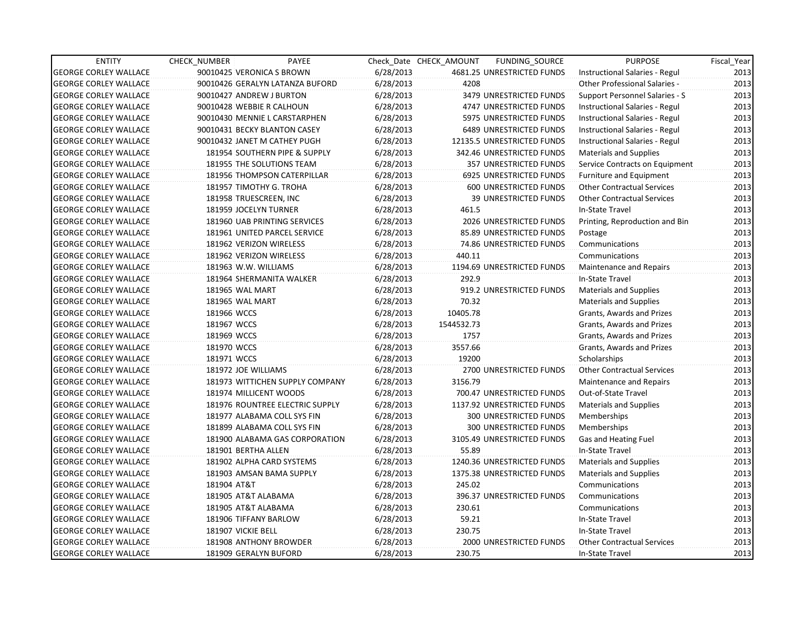| <b>ENTITY</b>                | <b>CHECK NUMBER</b>       | PAYEE                           |           | Check Date CHECK AMOUNT | FUNDING_SOURCE             | <b>PURPOSE</b>                    | Fiscal_Year |
|------------------------------|---------------------------|---------------------------------|-----------|-------------------------|----------------------------|-----------------------------------|-------------|
| <b>GEORGE CORLEY WALLACE</b> | 90010425 VERONICA S BROWN |                                 | 6/28/2013 |                         | 4681.25 UNRESTRICTED FUNDS | Instructional Salaries - Regul    | 2013        |
| <b>GEORGE CORLEY WALLACE</b> |                           | 90010426 GERALYN LATANZA BUFORD | 6/28/2013 | 4208                    |                            | Other Professional Salaries -     | 2013        |
| <b>GEORGE CORLEY WALLACE</b> | 90010427 ANDREW J BURTON  |                                 | 6/28/2013 |                         | 3479 UNRESTRICTED FUNDS    | Support Personnel Salaries - S    | 2013        |
| <b>GEORGE CORLEY WALLACE</b> | 90010428 WEBBIE R CALHOUN |                                 | 6/28/2013 |                         | 4747 UNRESTRICTED FUNDS    | Instructional Salaries - Regul    | 2013        |
| <b>GEORGE CORLEY WALLACE</b> |                           | 90010430 MENNIE L CARSTARPHEN   | 6/28/2013 |                         | 5975 UNRESTRICTED FUNDS    | Instructional Salaries - Regul    | 2013        |
| <b>GEORGE CORLEY WALLACE</b> |                           | 90010431 BECKY BLANTON CASEY    | 6/28/2013 |                         | 6489 UNRESTRICTED FUNDS    | Instructional Salaries - Regul    | 2013        |
| <b>GEORGE CORLEY WALLACE</b> |                           | 90010432 JANET M CATHEY PUGH    | 6/28/2013 |                         | 12135.5 UNRESTRICTED FUNDS | Instructional Salaries - Regul    | 2013        |
| <b>GEORGE CORLEY WALLACE</b> |                           | 181954 SOUTHERN PIPE & SUPPLY   | 6/28/2013 |                         | 342.46 UNRESTRICTED FUNDS  | <b>Materials and Supplies</b>     | 2013        |
| <b>GEORGE CORLEY WALLACE</b> |                           | 181955 THE SOLUTIONS TEAM       | 6/28/2013 |                         | 357 UNRESTRICTED FUNDS     | Service Contracts on Equipment    | 2013        |
| <b>GEORGE CORLEY WALLACE</b> |                           | 181956 THOMPSON CATERPILLAR     | 6/28/2013 |                         | 6925 UNRESTRICTED FUNDS    | Furniture and Equipment           | 2013        |
| <b>GEORGE CORLEY WALLACE</b> | 181957 TIMOTHY G. TROHA   |                                 | 6/28/2013 |                         | 600 UNRESTRICTED FUNDS     | <b>Other Contractual Services</b> | 2013        |
| <b>GEORGE CORLEY WALLACE</b> | 181958 TRUESCREEN, INC    |                                 | 6/28/2013 |                         | 39 UNRESTRICTED FUNDS      | <b>Other Contractual Services</b> | 2013        |
| <b>GEORGE CORLEY WALLACE</b> | 181959 JOCELYN TURNER     |                                 | 6/28/2013 | 461.5                   |                            | In-State Travel                   | 2013        |
| <b>GEORGE CORLEY WALLACE</b> |                           | 181960 UAB PRINTING SERVICES    | 6/28/2013 |                         | 2026 UNRESTRICTED FUNDS    | Printing, Reproduction and Bin    | 2013        |
| <b>GEORGE CORLEY WALLACE</b> |                           | 181961 UNITED PARCEL SERVICE    | 6/28/2013 |                         | 85.89 UNRESTRICTED FUNDS   | Postage                           | 2013        |
| <b>GEORGE CORLEY WALLACE</b> | 181962 VERIZON WIRELESS   |                                 | 6/28/2013 |                         | 74.86 UNRESTRICTED FUNDS   | Communications                    | 2013        |
| <b>GEORGE CORLEY WALLACE</b> | 181962 VERIZON WIRELESS   |                                 | 6/28/2013 | 440.11                  |                            | Communications                    | 2013        |
| <b>GEORGE CORLEY WALLACE</b> | 181963 W.W. WILLIAMS      |                                 | 6/28/2013 |                         | 1194.69 UNRESTRICTED FUNDS | <b>Maintenance and Repairs</b>    | 2013        |
| <b>GEORGE CORLEY WALLACE</b> |                           | 181964 SHERMANITA WALKER        | 6/28/2013 | 292.9                   |                            | In-State Travel                   | 2013        |
| <b>GEORGE CORLEY WALLACE</b> | 181965 WAL MART           |                                 | 6/28/2013 |                         | 919.2 UNRESTRICTED FUNDS   | <b>Materials and Supplies</b>     | 2013        |
| <b>GEORGE CORLEY WALLACE</b> | 181965 WAL MART           |                                 | 6/28/2013 | 70.32                   |                            | <b>Materials and Supplies</b>     | 2013        |
| <b>GEORGE CORLEY WALLACE</b> | 181966 WCCS               |                                 | 6/28/2013 | 10405.78                |                            | Grants, Awards and Prizes         | 2013        |
| <b>GEORGE CORLEY WALLACE</b> | 181967 WCCS               |                                 | 6/28/2013 | 1544532.73              |                            | Grants, Awards and Prizes         | 2013        |
| <b>GEORGE CORLEY WALLACE</b> | 181969 WCCS               |                                 | 6/28/2013 | 1757                    |                            | Grants, Awards and Prizes         | 2013        |
| <b>GEORGE CORLEY WALLACE</b> | 181970 WCCS               |                                 | 6/28/2013 | 3557.66                 |                            | Grants, Awards and Prizes         | 2013        |
| <b>GEORGE CORLEY WALLACE</b> | 181971 WCCS               |                                 | 6/28/2013 | 19200                   |                            | Scholarships                      | 2013        |
| <b>GEORGE CORLEY WALLACE</b> | 181972 JOE WILLIAMS       |                                 | 6/28/2013 |                         | 2700 UNRESTRICTED FUNDS    | <b>Other Contractual Services</b> | 2013        |
| <b>GEORGE CORLEY WALLACE</b> |                           | 181973 WITTICHEN SUPPLY COMPANY | 6/28/2013 | 3156.79                 |                            | Maintenance and Repairs           | 2013        |
| <b>GEORGE CORLEY WALLACE</b> | 181974 MILLICENT WOODS    |                                 | 6/28/2013 |                         | 700.47 UNRESTRICTED FUNDS  | Out-of-State Travel               | 2013        |
| <b>GEORGE CORLEY WALLACE</b> |                           | 181976 ROUNTREE ELECTRIC SUPPLY | 6/28/2013 |                         | 1137.92 UNRESTRICTED FUNDS | <b>Materials and Supplies</b>     | 2013        |
| <b>GEORGE CORLEY WALLACE</b> |                           | 181977 ALABAMA COLL SYS FIN     | 6/28/2013 |                         | 300 UNRESTRICTED FUNDS     | Memberships                       | 2013        |
| <b>GEORGE CORLEY WALLACE</b> |                           | 181899 ALABAMA COLL SYS FIN     | 6/28/2013 |                         | 300 UNRESTRICTED FUNDS     | Memberships                       | 2013        |
| <b>GEORGE CORLEY WALLACE</b> |                           | 181900 ALABAMA GAS CORPORATION  | 6/28/2013 |                         | 3105.49 UNRESTRICTED FUNDS | Gas and Heating Fuel              | 2013        |
| <b>GEORGE CORLEY WALLACE</b> | 181901 BERTHA ALLEN       |                                 | 6/28/2013 | 55.89                   |                            | In-State Travel                   | 2013        |
| <b>GEORGE CORLEY WALLACE</b> |                           | 181902 ALPHA CARD SYSTEMS       | 6/28/2013 |                         | 1240.36 UNRESTRICTED FUNDS | <b>Materials and Supplies</b>     | 2013        |
| <b>GEORGE CORLEY WALLACE</b> |                           | 181903 AMSAN BAMA SUPPLY        | 6/28/2013 |                         | 1375.38 UNRESTRICTED FUNDS | <b>Materials and Supplies</b>     | 2013        |
| <b>GEORGE CORLEY WALLACE</b> | 181904 AT&T               |                                 | 6/28/2013 | 245.02                  |                            | Communications                    | 2013        |
| <b>GEORGE CORLEY WALLACE</b> | 181905 AT&T ALABAMA       |                                 | 6/28/2013 |                         | 396.37 UNRESTRICTED FUNDS  | Communications                    | 2013        |
| <b>GEORGE CORLEY WALLACE</b> | 181905 AT&T ALABAMA       |                                 | 6/28/2013 | 230.61                  |                            | Communications                    | 2013        |
| <b>GEORGE CORLEY WALLACE</b> | 181906 TIFFANY BARLOW     |                                 | 6/28/2013 | 59.21                   |                            | In-State Travel                   | 2013        |
| <b>GEORGE CORLEY WALLACE</b> | 181907 VICKIE BELL        |                                 | 6/28/2013 | 230.75                  |                            | In-State Travel                   | 2013        |
| <b>GEORGE CORLEY WALLACE</b> | 181908 ANTHONY BROWDER    |                                 | 6/28/2013 |                         | 2000 UNRESTRICTED FUNDS    | <b>Other Contractual Services</b> | 2013        |
| <b>GEORGE CORLEY WALLACE</b> | 181909 GERALYN BUFORD     |                                 | 6/28/2013 | 230.75                  |                            | In-State Travel                   | 2013        |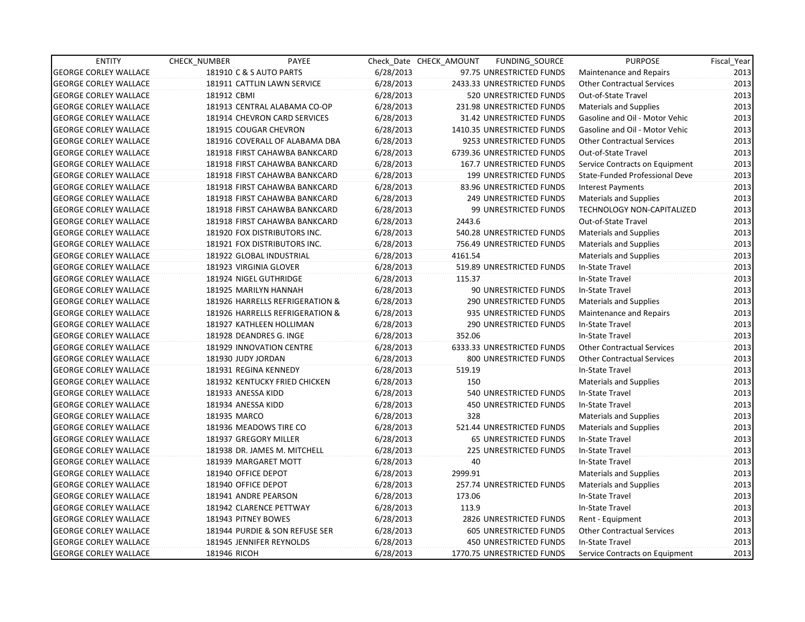| <b>ENTITY</b>                | CHECK_NUMBER        | PAYEE                           |           | Check Date CHECK AMOUNT | FUNDING_SOURCE                | <b>PURPOSE</b>                    | Fiscal_Year |
|------------------------------|---------------------|---------------------------------|-----------|-------------------------|-------------------------------|-----------------------------------|-------------|
| <b>GEORGE CORLEY WALLACE</b> |                     | 181910 C & S AUTO PARTS         | 6/28/2013 |                         | 97.75 UNRESTRICTED FUNDS      | Maintenance and Repairs           | 2013        |
| <b>GEORGE CORLEY WALLACE</b> |                     | 181911 CATTLIN LAWN SERVICE     | 6/28/2013 |                         | 2433.33 UNRESTRICTED FUNDS    | <b>Other Contractual Services</b> | 2013        |
| <b>GEORGE CORLEY WALLACE</b> | 181912 CBMI         |                                 | 6/28/2013 |                         | <b>520 UNRESTRICTED FUNDS</b> | Out-of-State Travel               | 2013        |
| <b>GEORGE CORLEY WALLACE</b> |                     | 181913 CENTRAL ALABAMA CO-OP    | 6/28/2013 |                         | 231.98 UNRESTRICTED FUNDS     | <b>Materials and Supplies</b>     | 2013        |
| <b>GEORGE CORLEY WALLACE</b> |                     | 181914 CHEVRON CARD SERVICES    | 6/28/2013 |                         | 31.42 UNRESTRICTED FUNDS      | Gasoline and Oil - Motor Vehic    | 2013        |
| <b>GEORGE CORLEY WALLACE</b> |                     | 181915 COUGAR CHEVRON           | 6/28/2013 |                         | 1410.35 UNRESTRICTED FUNDS    | Gasoline and Oil - Motor Vehic    | 2013        |
| <b>GEORGE CORLEY WALLACE</b> |                     | 181916 COVERALL OF ALABAMA DBA  | 6/28/2013 |                         | 9253 UNRESTRICTED FUNDS       | <b>Other Contractual Services</b> | 2013        |
| <b>GEORGE CORLEY WALLACE</b> |                     | 181918 FIRST CAHAWBA BANKCARD   | 6/28/2013 |                         | 6739.36 UNRESTRICTED FUNDS    | Out-of-State Travel               | 2013        |
| <b>GEORGE CORLEY WALLACE</b> |                     | 181918 FIRST CAHAWBA BANKCARD   | 6/28/2013 |                         | 167.7 UNRESTRICTED FUNDS      | Service Contracts on Equipment    | 2013        |
| <b>GEORGE CORLEY WALLACE</b> |                     | 181918 FIRST CAHAWBA BANKCARD   | 6/28/2013 |                         | 199 UNRESTRICTED FUNDS        | State-Funded Professional Deve    | 2013        |
| <b>GEORGE CORLEY WALLACE</b> |                     | 181918 FIRST CAHAWBA BANKCARD   | 6/28/2013 |                         | 83.96 UNRESTRICTED FUNDS      | <b>Interest Payments</b>          | 2013        |
| <b>GEORGE CORLEY WALLACE</b> |                     | 181918 FIRST CAHAWBA BANKCARD   | 6/28/2013 |                         | 249 UNRESTRICTED FUNDS        | <b>Materials and Supplies</b>     | 2013        |
| <b>GEORGE CORLEY WALLACE</b> |                     | 181918 FIRST CAHAWBA BANKCARD   | 6/28/2013 |                         | 99 UNRESTRICTED FUNDS         | TECHNOLOGY NON-CAPITALIZED        | 2013        |
| <b>GEORGE CORLEY WALLACE</b> |                     | 181918 FIRST CAHAWBA BANKCARD   | 6/28/2013 | 2443.6                  |                               | Out-of-State Travel               | 2013        |
| <b>GEORGE CORLEY WALLACE</b> |                     | 181920 FOX DISTRIBUTORS INC.    | 6/28/2013 |                         | 540.28 UNRESTRICTED FUNDS     | <b>Materials and Supplies</b>     | 2013        |
| <b>GEORGE CORLEY WALLACE</b> |                     | 181921 FOX DISTRIBUTORS INC.    | 6/28/2013 |                         | 756.49 UNRESTRICTED FUNDS     | <b>Materials and Supplies</b>     | 2013        |
| <b>GEORGE CORLEY WALLACE</b> |                     | 181922 GLOBAL INDUSTRIAL        | 6/28/2013 | 4161.54                 |                               | <b>Materials and Supplies</b>     | 2013        |
| <b>GEORGE CORLEY WALLACE</b> |                     | 181923 VIRGINIA GLOVER          | 6/28/2013 |                         | 519.89 UNRESTRICTED FUNDS     | In-State Travel                   | 2013        |
| <b>GEORGE CORLEY WALLACE</b> |                     | 181924 NIGEL GUTHRIDGE          | 6/28/2013 | 115.37                  |                               | In-State Travel                   | 2013        |
| <b>GEORGE CORLEY WALLACE</b> |                     | 181925 MARILYN HANNAH           | 6/28/2013 |                         | 90 UNRESTRICTED FUNDS         | In-State Travel                   | 2013        |
| <b>GEORGE CORLEY WALLACE</b> |                     | 181926 HARRELLS REFRIGERATION & | 6/28/2013 |                         | 290 UNRESTRICTED FUNDS        | <b>Materials and Supplies</b>     | 2013        |
| <b>GEORGE CORLEY WALLACE</b> |                     | 181926 HARRELLS REFRIGERATION & | 6/28/2013 |                         | 935 UNRESTRICTED FUNDS        | Maintenance and Repairs           | 2013        |
| <b>GEORGE CORLEY WALLACE</b> |                     | 181927 KATHLEEN HOLLIMAN        | 6/28/2013 |                         | 290 UNRESTRICTED FUNDS        | In-State Travel                   | 2013        |
| <b>GEORGE CORLEY WALLACE</b> |                     | 181928 DEANDRES G. INGE         | 6/28/2013 | 352.06                  |                               | In-State Travel                   | 2013        |
| <b>GEORGE CORLEY WALLACE</b> |                     | 181929 INNOVATION CENTRE        | 6/28/2013 |                         | 6333.33 UNRESTRICTED FUNDS    | <b>Other Contractual Services</b> | 2013        |
| <b>GEORGE CORLEY WALLACE</b> | 181930 JUDY JORDAN  |                                 | 6/28/2013 |                         | 800 UNRESTRICTED FUNDS        | <b>Other Contractual Services</b> | 2013        |
| <b>GEORGE CORLEY WALLACE</b> |                     | 181931 REGINA KENNEDY           | 6/28/2013 | 519.19                  |                               | In-State Travel                   | 2013        |
| <b>GEORGE CORLEY WALLACE</b> |                     | 181932 KENTUCKY FRIED CHICKEN   | 6/28/2013 | 150                     |                               | <b>Materials and Supplies</b>     | 2013        |
| <b>GEORGE CORLEY WALLACE</b> | 181933 ANESSA KIDD  |                                 | 6/28/2013 |                         | 540 UNRESTRICTED FUNDS        | In-State Travel                   | 2013        |
| <b>GEORGE CORLEY WALLACE</b> | 181934 ANESSA KIDD  |                                 | 6/28/2013 |                         | <b>450 UNRESTRICTED FUNDS</b> | In-State Travel                   | 2013        |
| <b>GEORGE CORLEY WALLACE</b> | 181935 MARCO        |                                 | 6/28/2013 | 328                     |                               | <b>Materials and Supplies</b>     | 2013        |
| <b>GEORGE CORLEY WALLACE</b> |                     | 181936 MEADOWS TIRE CO          | 6/28/2013 |                         | 521.44 UNRESTRICTED FUNDS     | <b>Materials and Supplies</b>     | 2013        |
| <b>GEORGE CORLEY WALLACE</b> |                     | 181937 GREGORY MILLER           | 6/28/2013 |                         | <b>65 UNRESTRICTED FUNDS</b>  | In-State Travel                   | 2013        |
| <b>GEORGE CORLEY WALLACE</b> |                     | 181938 DR. JAMES M. MITCHELL    | 6/28/2013 |                         | <b>225 UNRESTRICTED FUNDS</b> | In-State Travel                   | 2013        |
| <b>GEORGE CORLEY WALLACE</b> |                     | 181939 MARGARET MOTT            | 6/28/2013 | 40                      |                               | In-State Travel                   | 2013        |
| <b>GEORGE CORLEY WALLACE</b> | 181940 OFFICE DEPOT |                                 | 6/28/2013 | 2999.91                 |                               | <b>Materials and Supplies</b>     | 2013        |
| <b>GEORGE CORLEY WALLACE</b> | 181940 OFFICE DEPOT |                                 | 6/28/2013 |                         | 257.74 UNRESTRICTED FUNDS     | <b>Materials and Supplies</b>     | 2013        |
| <b>GEORGE CORLEY WALLACE</b> |                     | 181941 ANDRE PEARSON            | 6/28/2013 | 173.06                  |                               | In-State Travel                   | 2013        |
| <b>GEORGE CORLEY WALLACE</b> |                     | 181942 CLARENCE PETTWAY         | 6/28/2013 | 113.9                   |                               | In-State Travel                   | 2013        |
| <b>GEORGE CORLEY WALLACE</b> |                     | 181943 PITNEY BOWES             | 6/28/2013 |                         | 2826 UNRESTRICTED FUNDS       | Rent - Equipment                  | 2013        |
| <b>GEORGE CORLEY WALLACE</b> |                     | 181944 PURDIE & SON REFUSE SER  | 6/28/2013 |                         | 605 UNRESTRICTED FUNDS        | <b>Other Contractual Services</b> | 2013        |
| <b>GEORGE CORLEY WALLACE</b> |                     | 181945 JENNIFER REYNOLDS        | 6/28/2013 |                         | 450 UNRESTRICTED FUNDS        | In-State Travel                   | 2013        |
| <b>GEORGE CORLEY WALLACE</b> | 181946 RICOH        |                                 | 6/28/2013 |                         | 1770.75 UNRESTRICTED FUNDS    | Service Contracts on Equipment    | 2013        |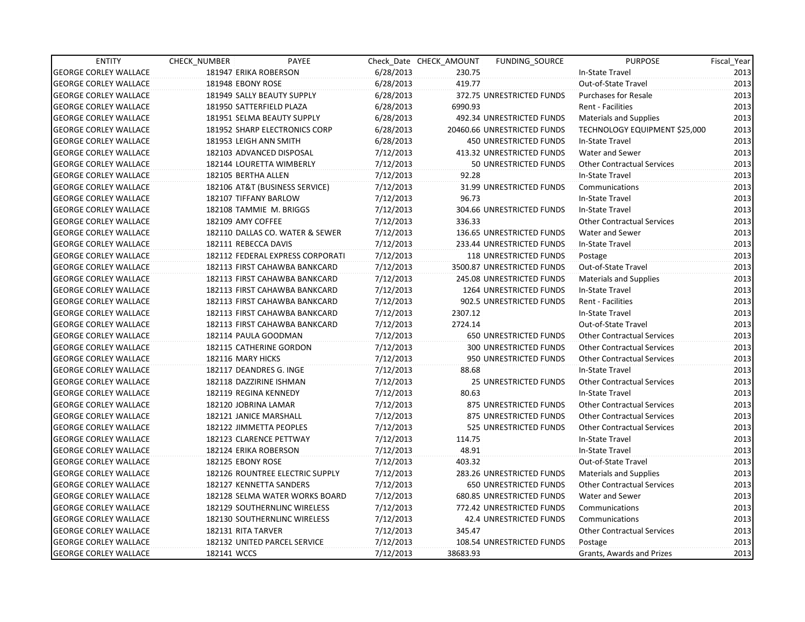| <b>ENTITY</b>                | CHECK_NUMBER       | PAYEE                            |           | Check Date CHECK AMOUNT | FUNDING_SOURCE                | <b>PURPOSE</b>                    | Fiscal_Year |
|------------------------------|--------------------|----------------------------------|-----------|-------------------------|-------------------------------|-----------------------------------|-------------|
| <b>GEORGE CORLEY WALLACE</b> |                    | 181947 ERIKA ROBERSON            | 6/28/2013 | 230.75                  |                               | In-State Travel                   | 2013        |
| <b>GEORGE CORLEY WALLACE</b> | 181948 EBONY ROSE  |                                  | 6/28/2013 | 419.77                  |                               | Out-of-State Travel               | 2013        |
| <b>GEORGE CORLEY WALLACE</b> |                    | 181949 SALLY BEAUTY SUPPLY       | 6/28/2013 |                         | 372.75 UNRESTRICTED FUNDS     | <b>Purchases for Resale</b>       | 2013        |
| <b>GEORGE CORLEY WALLACE</b> |                    | 181950 SATTERFIELD PLAZA         | 6/28/2013 | 6990.93                 |                               | <b>Rent - Facilities</b>          | 2013        |
| <b>GEORGE CORLEY WALLACE</b> |                    | 181951 SELMA BEAUTY SUPPLY       | 6/28/2013 |                         | 492.34 UNRESTRICTED FUNDS     | <b>Materials and Supplies</b>     | 2013        |
| <b>GEORGE CORLEY WALLACE</b> |                    | 181952 SHARP ELECTRONICS CORP    | 6/28/2013 |                         | 20460.66 UNRESTRICTED FUNDS   | TECHNOLOGY EQUIPMENT \$25,000     | 2013        |
| <b>GEORGE CORLEY WALLACE</b> |                    | 181953 LEIGH ANN SMITH           | 6/28/2013 |                         | <b>450 UNRESTRICTED FUNDS</b> | In-State Travel                   | 2013        |
| <b>GEORGE CORLEY WALLACE</b> |                    | 182103 ADVANCED DISPOSAL         | 7/12/2013 |                         | 413.32 UNRESTRICTED FUNDS     | Water and Sewer                   | 2013        |
| <b>GEORGE CORLEY WALLACE</b> |                    | 182144 LOURETTA WIMBERLY         | 7/12/2013 |                         | 50 UNRESTRICTED FUNDS         | <b>Other Contractual Services</b> | 2013        |
| <b>GEORGE CORLEY WALLACE</b> |                    | 182105 BERTHA ALLEN              | 7/12/2013 | 92.28                   |                               | In-State Travel                   | 2013        |
| <b>GEORGE CORLEY WALLACE</b> |                    | 182106 AT&T (BUSINESS SERVICE)   | 7/12/2013 |                         | 31.99 UNRESTRICTED FUNDS      | Communications                    | 2013        |
| <b>GEORGE CORLEY WALLACE</b> |                    | 182107 TIFFANY BARLOW            | 7/12/2013 | 96.73                   |                               | In-State Travel                   | 2013        |
| <b>GEORGE CORLEY WALLACE</b> |                    | 182108 TAMMIE M. BRIGGS          | 7/12/2013 |                         | 304.66 UNRESTRICTED FUNDS     | In-State Travel                   | 2013        |
| <b>GEORGE CORLEY WALLACE</b> | 182109 AMY COFFEE  |                                  | 7/12/2013 | 336.33                  |                               | <b>Other Contractual Services</b> | 2013        |
| <b>GEORGE CORLEY WALLACE</b> |                    | 182110 DALLAS CO. WATER & SEWER  | 7/12/2013 |                         | 136.65 UNRESTRICTED FUNDS     | <b>Water and Sewer</b>            | 2013        |
| <b>GEORGE CORLEY WALLACE</b> |                    | 182111 REBECCA DAVIS             | 7/12/2013 |                         | 233.44 UNRESTRICTED FUNDS     | In-State Travel                   | 2013        |
| <b>GEORGE CORLEY WALLACE</b> |                    | 182112 FEDERAL EXPRESS CORPORATI | 7/12/2013 |                         | 118 UNRESTRICTED FUNDS        | Postage                           | 2013        |
| <b>GEORGE CORLEY WALLACE</b> |                    | 182113 FIRST CAHAWBA BANKCARD    | 7/12/2013 |                         | 3500.87 UNRESTRICTED FUNDS    | Out-of-State Travel               | 2013        |
| <b>GEORGE CORLEY WALLACE</b> |                    | 182113 FIRST CAHAWBA BANKCARD    | 7/12/2013 |                         | 245.08 UNRESTRICTED FUNDS     | Materials and Supplies            | 2013        |
| <b>GEORGE CORLEY WALLACE</b> |                    | 182113 FIRST CAHAWBA BANKCARD    | 7/12/2013 |                         | 1264 UNRESTRICTED FUNDS       | In-State Travel                   | 2013        |
| <b>GEORGE CORLEY WALLACE</b> |                    | 182113 FIRST CAHAWBA BANKCARD    | 7/12/2013 |                         | 902.5 UNRESTRICTED FUNDS      | Rent - Facilities                 | 2013        |
| <b>GEORGE CORLEY WALLACE</b> |                    | 182113 FIRST CAHAWBA BANKCARD    | 7/12/2013 | 2307.12                 |                               | In-State Travel                   | 2013        |
| <b>GEORGE CORLEY WALLACE</b> |                    | 182113 FIRST CAHAWBA BANKCARD    | 7/12/2013 | 2724.14                 |                               | Out-of-State Travel               | 2013        |
| <b>GEORGE CORLEY WALLACE</b> |                    | 182114 PAULA GOODMAN             | 7/12/2013 |                         | 650 UNRESTRICTED FUNDS        | <b>Other Contractual Services</b> | 2013        |
| <b>GEORGE CORLEY WALLACE</b> |                    | 182115 CATHERINE GORDON          | 7/12/2013 |                         | 300 UNRESTRICTED FUNDS        | <b>Other Contractual Services</b> | 2013        |
| <b>GEORGE CORLEY WALLACE</b> | 182116 MARY HICKS  |                                  | 7/12/2013 |                         | 950 UNRESTRICTED FUNDS        | <b>Other Contractual Services</b> | 2013        |
| <b>GEORGE CORLEY WALLACE</b> |                    | 182117 DEANDRES G. INGE          | 7/12/2013 | 88.68                   |                               | In-State Travel                   | 2013        |
| <b>GEORGE CORLEY WALLACE</b> |                    | 182118 DAZZIRINE ISHMAN          | 7/12/2013 |                         | 25 UNRESTRICTED FUNDS         | <b>Other Contractual Services</b> | 2013        |
| <b>GEORGE CORLEY WALLACE</b> |                    | 182119 REGINA KENNEDY            | 7/12/2013 | 80.63                   |                               | In-State Travel                   | 2013        |
| <b>GEORGE CORLEY WALLACE</b> |                    | 182120 JOBRINA LAMAR             | 7/12/2013 |                         | 875 UNRESTRICTED FUNDS        | <b>Other Contractual Services</b> | 2013        |
| <b>GEORGE CORLEY WALLACE</b> |                    | 182121 JANICE MARSHALL           | 7/12/2013 |                         | 875 UNRESTRICTED FUNDS        | <b>Other Contractual Services</b> | 2013        |
| <b>GEORGE CORLEY WALLACE</b> |                    | 182122 JIMMETTA PEOPLES          | 7/12/2013 |                         | 525 UNRESTRICTED FUNDS        | <b>Other Contractual Services</b> | 2013        |
| <b>GEORGE CORLEY WALLACE</b> |                    | 182123 CLARENCE PETTWAY          | 7/12/2013 | 114.75                  |                               | In-State Travel                   | 2013        |
| <b>GEORGE CORLEY WALLACE</b> |                    | 182124 ERIKA ROBERSON            | 7/12/2013 | 48.91                   |                               | In-State Travel                   | 2013        |
| <b>GEORGE CORLEY WALLACE</b> | 182125 EBONY ROSE  |                                  | 7/12/2013 | 403.32                  |                               | Out-of-State Travel               | 2013        |
| <b>GEORGE CORLEY WALLACE</b> |                    | 182126 ROUNTREE ELECTRIC SUPPLY  | 7/12/2013 |                         | 283.26 UNRESTRICTED FUNDS     | Materials and Supplies            | 2013        |
| <b>GEORGE CORLEY WALLACE</b> |                    | 182127 KENNETTA SANDERS          | 7/12/2013 |                         | <b>650 UNRESTRICTED FUNDS</b> | <b>Other Contractual Services</b> | 2013        |
| <b>GEORGE CORLEY WALLACE</b> |                    | 182128 SELMA WATER WORKS BOARD   | 7/12/2013 |                         | 680.85 UNRESTRICTED FUNDS     | Water and Sewer                   | 2013        |
| <b>GEORGE CORLEY WALLACE</b> |                    | 182129 SOUTHERNLINC WIRELESS     | 7/12/2013 |                         | 772.42 UNRESTRICTED FUNDS     | Communications                    | 2013        |
| <b>GEORGE CORLEY WALLACE</b> |                    | 182130 SOUTHERNLINC WIRELESS     | 7/12/2013 |                         | 42.4 UNRESTRICTED FUNDS       | Communications                    | 2013        |
| <b>GEORGE CORLEY WALLACE</b> | 182131 RITA TARVER |                                  | 7/12/2013 | 345.47                  |                               | <b>Other Contractual Services</b> | 2013        |
| <b>GEORGE CORLEY WALLACE</b> |                    | 182132 UNITED PARCEL SERVICE     | 7/12/2013 |                         | 108.54 UNRESTRICTED FUNDS     | Postage                           | 2013        |
| <b>GEORGE CORLEY WALLACE</b> | 182141 WCCS        |                                  | 7/12/2013 | 38683.93                |                               | Grants, Awards and Prizes         | 2013        |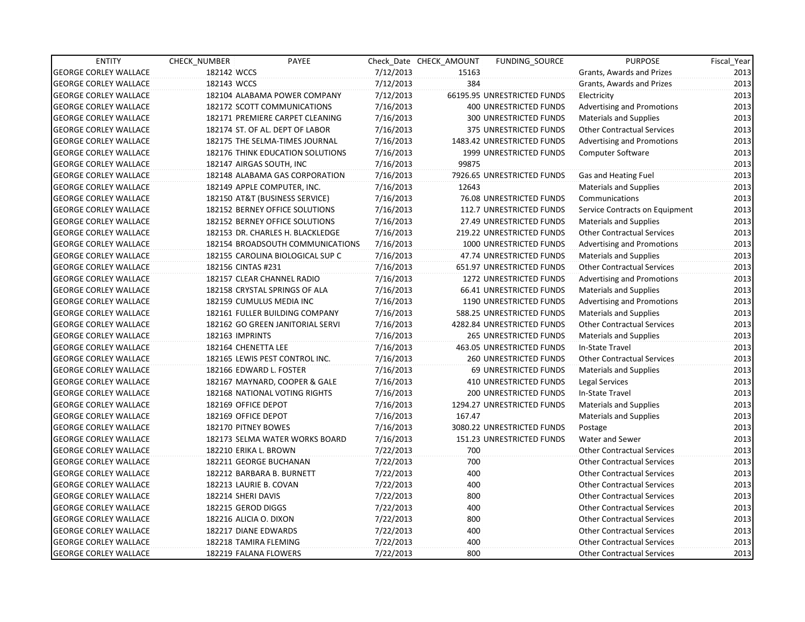| <b>ENTITY</b>                | CHECK NUMBER             | PAYEE                            |           | Check Date CHECK AMOUNT | FUNDING SOURCE                | <b>PURPOSE</b>                    | Fiscal_Year |
|------------------------------|--------------------------|----------------------------------|-----------|-------------------------|-------------------------------|-----------------------------------|-------------|
| <b>GEORGE CORLEY WALLACE</b> | 182142 WCCS              |                                  | 7/12/2013 | 15163                   |                               | Grants, Awards and Prizes         | 2013        |
| <b>GEORGE CORLEY WALLACE</b> | 182143 WCCS              |                                  | 7/12/2013 | 384                     |                               | Grants, Awards and Prizes         | 2013        |
| <b>GEORGE CORLEY WALLACE</b> |                          | 182104 ALABAMA POWER COMPANY     | 7/12/2013 |                         | 66195.95 UNRESTRICTED FUNDS   | Electricity                       | 2013        |
| <b>GEORGE CORLEY WALLACE</b> |                          | 182172 SCOTT COMMUNICATIONS      | 7/16/2013 |                         | 400 UNRESTRICTED FUNDS        | Advertising and Promotions        | 2013        |
| <b>GEORGE CORLEY WALLACE</b> |                          | 182171 PREMIERE CARPET CLEANING  | 7/16/2013 |                         | <b>300 UNRESTRICTED FUNDS</b> | <b>Materials and Supplies</b>     | 2013        |
| <b>GEORGE CORLEY WALLACE</b> |                          | 182174 ST. OF AL. DEPT OF LABOR  | 7/16/2013 |                         | 375 UNRESTRICTED FUNDS        | <b>Other Contractual Services</b> | 2013        |
| <b>GEORGE CORLEY WALLACE</b> |                          | 182175 THE SELMA-TIMES JOURNAL   | 7/16/2013 |                         | 1483.42 UNRESTRICTED FUNDS    | <b>Advertising and Promotions</b> | 2013        |
| <b>GEORGE CORLEY WALLACE</b> |                          | 182176 THINK EDUCATION SOLUTIONS | 7/16/2013 |                         | 1999 UNRESTRICTED FUNDS       | <b>Computer Software</b>          | 2013        |
| <b>GEORGE CORLEY WALLACE</b> | 182147 AIRGAS SOUTH, INC |                                  | 7/16/2013 | 99875                   |                               |                                   | 2013        |
| <b>GEORGE CORLEY WALLACE</b> |                          | 182148 ALABAMA GAS CORPORATION   | 7/16/2013 |                         | 7926.65 UNRESTRICTED FUNDS    | <b>Gas and Heating Fuel</b>       | 2013        |
| <b>GEORGE CORLEY WALLACE</b> |                          | 182149 APPLE COMPUTER, INC.      | 7/16/2013 | 12643                   |                               | <b>Materials and Supplies</b>     | 2013        |
| <b>GEORGE CORLEY WALLACE</b> |                          | 182150 AT&T (BUSINESS SERVICE)   | 7/16/2013 |                         | 76.08 UNRESTRICTED FUNDS      | Communications                    | 2013        |
| <b>GEORGE CORLEY WALLACE</b> |                          | 182152 BERNEY OFFICE SOLUTIONS   | 7/16/2013 |                         | 112.7 UNRESTRICTED FUNDS      | Service Contracts on Equipment    | 2013        |
| <b>GEORGE CORLEY WALLACE</b> |                          | 182152 BERNEY OFFICE SOLUTIONS   | 7/16/2013 |                         | 27.49 UNRESTRICTED FUNDS      | Materials and Supplies            | 2013        |
| <b>GEORGE CORLEY WALLACE</b> |                          | 182153 DR. CHARLES H. BLACKLEDGE | 7/16/2013 |                         | 219.22 UNRESTRICTED FUNDS     | <b>Other Contractual Services</b> | 2013        |
| <b>GEORGE CORLEY WALLACE</b> |                          | 182154 BROADSOUTH COMMUNICATIONS | 7/16/2013 |                         | 1000 UNRESTRICTED FUNDS       | Advertising and Promotions        | 2013        |
| <b>GEORGE CORLEY WALLACE</b> |                          | 182155 CAROLINA BIOLOGICAL SUP C | 7/16/2013 |                         | 47.74 UNRESTRICTED FUNDS      | <b>Materials and Supplies</b>     | 2013        |
| <b>GEORGE CORLEY WALLACE</b> | 182156 CINTAS #231       |                                  | 7/16/2013 |                         | 651.97 UNRESTRICTED FUNDS     | <b>Other Contractual Services</b> | 2013        |
| <b>GEORGE CORLEY WALLACE</b> |                          | 182157 CLEAR CHANNEL RADIO       | 7/16/2013 |                         | 1272 UNRESTRICTED FUNDS       | <b>Advertising and Promotions</b> | 2013        |
| <b>GEORGE CORLEY WALLACE</b> |                          | 182158 CRYSTAL SPRINGS OF ALA    | 7/16/2013 |                         | 66.41 UNRESTRICTED FUNDS      | Materials and Supplies            | 2013        |
| <b>GEORGE CORLEY WALLACE</b> |                          | 182159 CUMULUS MEDIA INC         | 7/16/2013 |                         | 1190 UNRESTRICTED FUNDS       | <b>Advertising and Promotions</b> | 2013        |
| <b>GEORGE CORLEY WALLACE</b> |                          | 182161 FULLER BUILDING COMPANY   | 7/16/2013 |                         | 588.25 UNRESTRICTED FUNDS     | <b>Materials and Supplies</b>     | 2013        |
| <b>GEORGE CORLEY WALLACE</b> |                          | 182162 GO GREEN JANITORIAL SERVI | 7/16/2013 |                         | 4282.84 UNRESTRICTED FUNDS    | <b>Other Contractual Services</b> | 2013        |
| <b>GEORGE CORLEY WALLACE</b> | 182163 IMPRINTS          |                                  | 7/16/2013 |                         | 265 UNRESTRICTED FUNDS        | <b>Materials and Supplies</b>     | 2013        |
| <b>GEORGE CORLEY WALLACE</b> | 182164 CHENETTA LEE      |                                  | 7/16/2013 |                         | 463.05 UNRESTRICTED FUNDS     | In-State Travel                   | 2013        |
| <b>GEORGE CORLEY WALLACE</b> |                          | 182165 LEWIS PEST CONTROL INC.   | 7/16/2013 |                         | <b>260 UNRESTRICTED FUNDS</b> | <b>Other Contractual Services</b> | 2013        |
| <b>GEORGE CORLEY WALLACE</b> | 182166 EDWARD L. FOSTER  |                                  | 7/16/2013 |                         | 69 UNRESTRICTED FUNDS         | <b>Materials and Supplies</b>     | 2013        |
| <b>GEORGE CORLEY WALLACE</b> |                          | 182167 MAYNARD, COOPER & GALE    | 7/16/2013 |                         | 410 UNRESTRICTED FUNDS        | Legal Services                    | 2013        |
| <b>GEORGE CORLEY WALLACE</b> |                          | 182168 NATIONAL VOTING RIGHTS    | 7/16/2013 |                         | 200 UNRESTRICTED FUNDS        | In-State Travel                   | 2013        |
| <b>GEORGE CORLEY WALLACE</b> | 182169 OFFICE DEPOT      |                                  | 7/16/2013 |                         | 1294.27 UNRESTRICTED FUNDS    | <b>Materials and Supplies</b>     | 2013        |
| <b>GEORGE CORLEY WALLACE</b> | 182169 OFFICE DEPOT      |                                  | 7/16/2013 | 167.47                  |                               | <b>Materials and Supplies</b>     | 2013        |
| <b>GEORGE CORLEY WALLACE</b> | 182170 PITNEY BOWES      |                                  | 7/16/2013 |                         | 3080.22 UNRESTRICTED FUNDS    | Postage                           | 2013        |
| <b>GEORGE CORLEY WALLACE</b> |                          | 182173 SELMA WATER WORKS BOARD   | 7/16/2013 |                         | 151.23 UNRESTRICTED FUNDS     | Water and Sewer                   | 2013        |
| <b>GEORGE CORLEY WALLACE</b> | 182210 ERIKA L. BROWN    |                                  | 7/22/2013 | 700                     |                               | <b>Other Contractual Services</b> | 2013        |
| <b>GEORGE CORLEY WALLACE</b> | 182211 GEORGE BUCHANAN   |                                  | 7/22/2013 | 700                     |                               | <b>Other Contractual Services</b> | 2013        |
| <b>GEORGE CORLEY WALLACE</b> |                          | 182212 BARBARA B. BURNETT        | 7/22/2013 | 400                     |                               | <b>Other Contractual Services</b> | 2013        |
| <b>GEORGE CORLEY WALLACE</b> | 182213 LAURIE B. COVAN   |                                  | 7/22/2013 | 400                     |                               | <b>Other Contractual Services</b> | 2013        |
| <b>GEORGE CORLEY WALLACE</b> | 182214 SHERI DAVIS       |                                  | 7/22/2013 | 800                     |                               | <b>Other Contractual Services</b> | 2013        |
| <b>GEORGE CORLEY WALLACE</b> | 182215 GEROD DIGGS       |                                  | 7/22/2013 | 400                     |                               | <b>Other Contractual Services</b> | 2013        |
| <b>GEORGE CORLEY WALLACE</b> | 182216 ALICIA O. DIXON   |                                  | 7/22/2013 | 800                     |                               | <b>Other Contractual Services</b> | 2013        |
| <b>GEORGE CORLEY WALLACE</b> | 182217 DIANE EDWARDS     |                                  | 7/22/2013 | 400                     |                               | <b>Other Contractual Services</b> | 2013        |
| <b>GEORGE CORLEY WALLACE</b> | 182218 TAMIRA FLEMING    |                                  | 7/22/2013 | 400                     |                               | <b>Other Contractual Services</b> | 2013        |
| <b>GEORGE CORLEY WALLACE</b> | 182219 FALANA FLOWERS    |                                  | 7/22/2013 | 800                     |                               | <b>Other Contractual Services</b> | 2013        |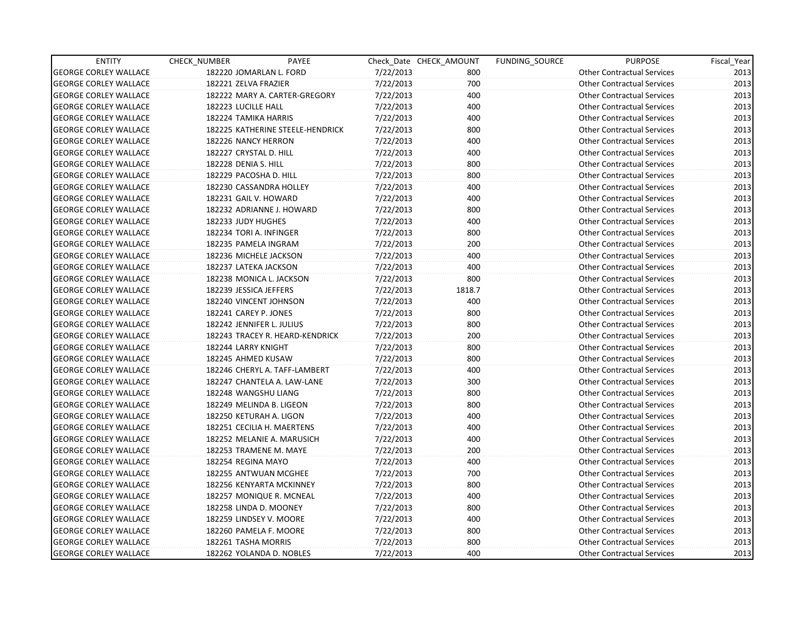| <b>ENTITY</b>                | CHECK_NUMBER               | PAYEE                            |           | Check Date CHECK AMOUNT | FUNDING SOURCE | <b>PURPOSE</b>                    | Fiscal_Year |
|------------------------------|----------------------------|----------------------------------|-----------|-------------------------|----------------|-----------------------------------|-------------|
| <b>GEORGE CORLEY WALLACE</b> | 182220 JOMARLAN L. FORD    |                                  | 7/22/2013 | 800                     |                | <b>Other Contractual Services</b> | 2013        |
| <b>GEORGE CORLEY WALLACE</b> | 182221 ZELVA FRAZIER       |                                  | 7/22/2013 | 700                     |                | <b>Other Contractual Services</b> | 2013        |
| <b>GEORGE CORLEY WALLACE</b> |                            | 182222 MARY A. CARTER-GREGORY    | 7/22/2013 | 400                     |                | <b>Other Contractual Services</b> | 2013        |
| <b>GEORGE CORLEY WALLACE</b> | 182223 LUCILLE HALL        |                                  | 7/22/2013 | 400                     |                | <b>Other Contractual Services</b> | 2013        |
| <b>GEORGE CORLEY WALLACE</b> | 182224 TAMIKA HARRIS       |                                  | 7/22/2013 | 400                     |                | <b>Other Contractual Services</b> | 2013        |
| <b>GEORGE CORLEY WALLACE</b> |                            | 182225 KATHERINE STEELE-HENDRICK | 7/22/2013 | 800                     |                | <b>Other Contractual Services</b> | 2013        |
| <b>GEORGE CORLEY WALLACE</b> | 182226 NANCY HERRON        |                                  | 7/22/2013 | 400                     |                | <b>Other Contractual Services</b> | 2013        |
| <b>GEORGE CORLEY WALLACE</b> | 182227 CRYSTAL D. HILL     |                                  | 7/22/2013 | 400                     |                | <b>Other Contractual Services</b> | 2013        |
| <b>GEORGE CORLEY WALLACE</b> | 182228 DENIA S. HILL       |                                  | 7/22/2013 | 800                     |                | <b>Other Contractual Services</b> | 2013        |
| <b>GEORGE CORLEY WALLACE</b> | 182229 PACOSHA D. HILL     |                                  | 7/22/2013 | 800                     |                | <b>Other Contractual Services</b> | 2013        |
| <b>GEORGE CORLEY WALLACE</b> | 182230 CASSANDRA HOLLEY    |                                  | 7/22/2013 | 400                     |                | <b>Other Contractual Services</b> | 2013        |
| <b>GEORGE CORLEY WALLACE</b> | 182231 GAIL V. HOWARD      |                                  | 7/22/2013 | 400                     |                | <b>Other Contractual Services</b> | 2013        |
| <b>GEORGE CORLEY WALLACE</b> | 182232 ADRIANNE J. HOWARD  |                                  | 7/22/2013 | 800                     |                | <b>Other Contractual Services</b> | 2013        |
| <b>GEORGE CORLEY WALLACE</b> | 182233 JUDY HUGHES         |                                  | 7/22/2013 | 400                     |                | <b>Other Contractual Services</b> | 2013        |
| <b>GEORGE CORLEY WALLACE</b> | 182234 TORI A. INFINGER    |                                  | 7/22/2013 | 800                     |                | <b>Other Contractual Services</b> | 2013        |
| <b>GEORGE CORLEY WALLACE</b> | 182235 PAMELA INGRAM       |                                  | 7/22/2013 | 200                     |                | <b>Other Contractual Services</b> | 2013        |
| <b>GEORGE CORLEY WALLACE</b> | 182236 MICHELE JACKSON     |                                  | 7/22/2013 | 400                     |                | <b>Other Contractual Services</b> | 2013        |
| <b>GEORGE CORLEY WALLACE</b> | 182237 LATEKA JACKSON      |                                  | 7/22/2013 | 400                     |                | <b>Other Contractual Services</b> | 2013        |
| <b>GEORGE CORLEY WALLACE</b> | 182238 MONICA L. JACKSON   |                                  | 7/22/2013 | 800                     |                | <b>Other Contractual Services</b> | 2013        |
| <b>GEORGE CORLEY WALLACE</b> | 182239 JESSICA JEFFERS     |                                  | 7/22/2013 | 1818.7                  |                | <b>Other Contractual Services</b> | 2013        |
| <b>GEORGE CORLEY WALLACE</b> | 182240 VINCENT JOHNSON     |                                  | 7/22/2013 | 400                     |                | <b>Other Contractual Services</b> | 2013        |
| <b>GEORGE CORLEY WALLACE</b> | 182241 CAREY P. JONES      |                                  | 7/22/2013 | 800                     |                | <b>Other Contractual Services</b> | 2013        |
| <b>GEORGE CORLEY WALLACE</b> | 182242 JENNIFER L. JULIUS  |                                  | 7/22/2013 | 800                     |                | <b>Other Contractual Services</b> | 2013        |
| <b>GEORGE CORLEY WALLACE</b> |                            | 182243 TRACEY R. HEARD-KENDRICK  | 7/22/2013 | 200                     |                | <b>Other Contractual Services</b> | 2013        |
| <b>GEORGE CORLEY WALLACE</b> | 182244 LARRY KNIGHT        |                                  | 7/22/2013 | 800                     |                | <b>Other Contractual Services</b> | 2013        |
| <b>GEORGE CORLEY WALLACE</b> | 182245 AHMED KUSAW         |                                  | 7/22/2013 | 800                     |                | <b>Other Contractual Services</b> | 2013        |
| <b>GEORGE CORLEY WALLACE</b> |                            | 182246 CHERYL A. TAFF-LAMBERT    | 7/22/2013 | 400                     |                | <b>Other Contractual Services</b> | 2013        |
| <b>GEORGE CORLEY WALLACE</b> |                            | 182247 CHANTELA A. LAW-LANE      | 7/22/2013 | 300                     |                | <b>Other Contractual Services</b> | 2013        |
| <b>GEORGE CORLEY WALLACE</b> | 182248 WANGSHU LIANG       |                                  | 7/22/2013 | 800                     |                | <b>Other Contractual Services</b> | 2013        |
| <b>GEORGE CORLEY WALLACE</b> | 182249 MELINDA B. LIGEON   |                                  | 7/22/2013 | 800                     |                | <b>Other Contractual Services</b> | 2013        |
| <b>GEORGE CORLEY WALLACE</b> | 182250 KETURAH A. LIGON    |                                  | 7/22/2013 | 400                     |                | <b>Other Contractual Services</b> | 2013        |
| <b>GEORGE CORLEY WALLACE</b> | 182251 CECILIA H. MAERTENS |                                  | 7/22/2013 | 400                     |                | <b>Other Contractual Services</b> | 2013        |
| <b>GEORGE CORLEY WALLACE</b> |                            | 182252 MELANIE A. MARUSICH       | 7/22/2013 | 400                     |                | <b>Other Contractual Services</b> | 2013        |
| <b>GEORGE CORLEY WALLACE</b> | 182253 TRAMENE M. MAYE     |                                  | 7/22/2013 | 200                     |                | <b>Other Contractual Services</b> | 2013        |
| <b>GEORGE CORLEY WALLACE</b> | 182254 REGINA MAYO         |                                  | 7/22/2013 | 400                     |                | <b>Other Contractual Services</b> | 2013        |
| <b>GEORGE CORLEY WALLACE</b> | 182255 ANTWUAN MCGHEE      |                                  | 7/22/2013 | 700                     |                | <b>Other Contractual Services</b> | 2013        |
| <b>GEORGE CORLEY WALLACE</b> | 182256 KENYARTA MCKINNEY   |                                  | 7/22/2013 | 800                     |                | <b>Other Contractual Services</b> | 2013        |
| <b>GEORGE CORLEY WALLACE</b> | 182257 MONIQUE R. MCNEAL   |                                  | 7/22/2013 | 400                     |                | <b>Other Contractual Services</b> | 2013        |
| <b>GEORGE CORLEY WALLACE</b> | 182258 LINDA D. MOONEY     |                                  | 7/22/2013 | 800                     |                | <b>Other Contractual Services</b> | 2013        |
| <b>GEORGE CORLEY WALLACE</b> | 182259 LINDSEY V. MOORE    |                                  | 7/22/2013 | 400                     |                | <b>Other Contractual Services</b> | 2013        |
| <b>GEORGE CORLEY WALLACE</b> | 182260 PAMELA F. MOORE     |                                  | 7/22/2013 | 800                     |                | <b>Other Contractual Services</b> | 2013        |
| <b>GEORGE CORLEY WALLACE</b> | 182261 TASHA MORRIS        |                                  | 7/22/2013 | 800                     |                | <b>Other Contractual Services</b> | 2013        |
| <b>GEORGE CORLEY WALLACE</b> | 182262 YOLANDA D. NOBLES   |                                  | 7/22/2013 | 400                     |                | <b>Other Contractual Services</b> | 2013        |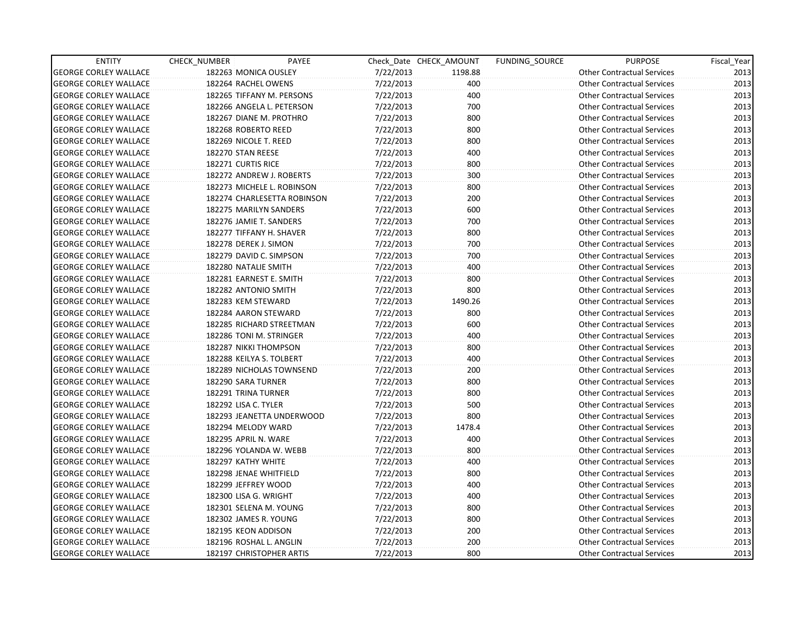| <b>ENTITY</b>                | CHECK_NUMBER             | PAYEE                       |           | Check Date CHECK AMOUNT | FUNDING SOURCE | <b>PURPOSE</b>                    | Fiscal_Year |
|------------------------------|--------------------------|-----------------------------|-----------|-------------------------|----------------|-----------------------------------|-------------|
| <b>GEORGE CORLEY WALLACE</b> | 182263 MONICA OUSLEY     |                             | 7/22/2013 | 1198.88                 |                | <b>Other Contractual Services</b> | 2013        |
| <b>GEORGE CORLEY WALLACE</b> | 182264 RACHEL OWENS      |                             | 7/22/2013 | 400                     |                | <b>Other Contractual Services</b> | 2013        |
| <b>GEORGE CORLEY WALLACE</b> |                          | 182265 TIFFANY M. PERSONS   | 7/22/2013 | 400                     |                | <b>Other Contractual Services</b> | 2013        |
| <b>GEORGE CORLEY WALLACE</b> |                          | 182266 ANGELA L. PETERSON   | 7/22/2013 | 700                     |                | <b>Other Contractual Services</b> | 2013        |
| <b>GEORGE CORLEY WALLACE</b> | 182267 DIANE M. PROTHRO  |                             | 7/22/2013 | 800                     |                | <b>Other Contractual Services</b> | 2013        |
| <b>GEORGE CORLEY WALLACE</b> | 182268 ROBERTO REED      |                             | 7/22/2013 | 800                     |                | <b>Other Contractual Services</b> | 2013        |
| <b>GEORGE CORLEY WALLACE</b> | 182269 NICOLE T. REED    |                             | 7/22/2013 | 800                     |                | <b>Other Contractual Services</b> | 2013        |
| <b>GEORGE CORLEY WALLACE</b> | 182270 STAN REESE        |                             | 7/22/2013 | 400                     |                | <b>Other Contractual Services</b> | 2013        |
| <b>GEORGE CORLEY WALLACE</b> | 182271 CURTIS RICE       |                             | 7/22/2013 | 800                     |                | <b>Other Contractual Services</b> | 2013        |
| <b>GEORGE CORLEY WALLACE</b> |                          | 182272 ANDREW J. ROBERTS    | 7/22/2013 | 300                     |                | <b>Other Contractual Services</b> | 2013        |
| <b>GEORGE CORLEY WALLACE</b> |                          | 182273 MICHELE L. ROBINSON  | 7/22/2013 | 800                     |                | <b>Other Contractual Services</b> | 2013        |
| <b>GEORGE CORLEY WALLACE</b> |                          | 182274 CHARLESETTA ROBINSON | 7/22/2013 | 200                     |                | <b>Other Contractual Services</b> | 2013        |
| <b>GEORGE CORLEY WALLACE</b> | 182275 MARILYN SANDERS   |                             | 7/22/2013 | 600                     |                | <b>Other Contractual Services</b> | 2013        |
| <b>GEORGE CORLEY WALLACE</b> | 182276 JAMIE T. SANDERS  |                             | 7/22/2013 | 700                     |                | <b>Other Contractual Services</b> | 2013        |
| <b>GEORGE CORLEY WALLACE</b> | 182277 TIFFANY H. SHAVER |                             | 7/22/2013 | 800                     |                | <b>Other Contractual Services</b> | 2013        |
| <b>GEORGE CORLEY WALLACE</b> | 182278 DEREK J. SIMON    |                             | 7/22/2013 | 700                     |                | <b>Other Contractual Services</b> | 2013        |
| <b>GEORGE CORLEY WALLACE</b> | 182279 DAVID C. SIMPSON  |                             | 7/22/2013 | 700                     |                | <b>Other Contractual Services</b> | 2013        |
| <b>GEORGE CORLEY WALLACE</b> | 182280 NATALIE SMITH     |                             | 7/22/2013 | 400                     |                | <b>Other Contractual Services</b> | 2013        |
| <b>GEORGE CORLEY WALLACE</b> | 182281 EARNEST E. SMITH  |                             | 7/22/2013 | 800                     |                | <b>Other Contractual Services</b> | 2013        |
| <b>GEORGE CORLEY WALLACE</b> | 182282 ANTONIO SMITH     |                             | 7/22/2013 | 800                     |                | <b>Other Contractual Services</b> | 2013        |
| <b>GEORGE CORLEY WALLACE</b> | 182283 KEM STEWARD       |                             | 7/22/2013 | 1490.26                 |                | <b>Other Contractual Services</b> | 2013        |
| <b>GEORGE CORLEY WALLACE</b> | 182284 AARON STEWARD     |                             | 7/22/2013 | 800                     |                | <b>Other Contractual Services</b> | 2013        |
| <b>GEORGE CORLEY WALLACE</b> |                          | 182285 RICHARD STREETMAN    | 7/22/2013 | 600                     |                | <b>Other Contractual Services</b> | 2013        |
| <b>GEORGE CORLEY WALLACE</b> | 182286 TONI M. STRINGER  |                             | 7/22/2013 | 400                     |                | <b>Other Contractual Services</b> | 2013        |
| <b>GEORGE CORLEY WALLACE</b> | 182287 NIKKI THOMPSON    |                             | 7/22/2013 | 800                     |                | <b>Other Contractual Services</b> | 2013        |
| <b>GEORGE CORLEY WALLACE</b> | 182288 KEILYA S. TOLBERT |                             | 7/22/2013 | 400                     |                | <b>Other Contractual Services</b> | 2013        |
| <b>GEORGE CORLEY WALLACE</b> |                          | 182289 NICHOLAS TOWNSEND    | 7/22/2013 | 200                     |                | <b>Other Contractual Services</b> | 2013        |
| <b>GEORGE CORLEY WALLACE</b> | 182290 SARA TURNER       |                             | 7/22/2013 | 800                     |                | <b>Other Contractual Services</b> | 2013        |
| <b>GEORGE CORLEY WALLACE</b> | 182291 TRINA TURNER      |                             | 7/22/2013 | 800                     |                | <b>Other Contractual Services</b> | 2013        |
| <b>GEORGE CORLEY WALLACE</b> | 182292 LISA C. TYLER     |                             | 7/22/2013 | 500                     |                | <b>Other Contractual Services</b> | 2013        |
| <b>GEORGE CORLEY WALLACE</b> |                          | 182293 JEANETTA UNDERWOOD   | 7/22/2013 | 800                     |                | <b>Other Contractual Services</b> | 2013        |
| <b>GEORGE CORLEY WALLACE</b> | 182294 MELODY WARD       |                             | 7/22/2013 | 1478.4                  |                | <b>Other Contractual Services</b> | 2013        |
| <b>GEORGE CORLEY WALLACE</b> | 182295 APRIL N. WARE     |                             | 7/22/2013 | 400                     |                | <b>Other Contractual Services</b> | 2013        |
| <b>GEORGE CORLEY WALLACE</b> | 182296 YOLANDA W. WEBB   |                             | 7/22/2013 | 800                     |                | <b>Other Contractual Services</b> | 2013        |
| <b>GEORGE CORLEY WALLACE</b> | 182297 KATHY WHITE       |                             | 7/22/2013 | 400                     |                | <b>Other Contractual Services</b> | 2013        |
| <b>GEORGE CORLEY WALLACE</b> | 182298 JENAE WHITFIELD   |                             | 7/22/2013 | 800                     |                | <b>Other Contractual Services</b> | 2013        |
| <b>GEORGE CORLEY WALLACE</b> | 182299 JEFFREY WOOD      |                             | 7/22/2013 | 400                     |                | <b>Other Contractual Services</b> | 2013        |
| <b>GEORGE CORLEY WALLACE</b> | 182300 LISA G. WRIGHT    |                             | 7/22/2013 | 400                     |                | <b>Other Contractual Services</b> | 2013        |
| <b>GEORGE CORLEY WALLACE</b> | 182301 SELENA M. YOUNG   |                             | 7/22/2013 | 800                     |                | <b>Other Contractual Services</b> | 2013        |
| <b>GEORGE CORLEY WALLACE</b> | 182302 JAMES R. YOUNG    |                             | 7/22/2013 | 800                     |                | <b>Other Contractual Services</b> | 2013        |
| <b>GEORGE CORLEY WALLACE</b> | 182195 KEON ADDISON      |                             | 7/22/2013 | 200                     |                | <b>Other Contractual Services</b> | 2013        |
| <b>GEORGE CORLEY WALLACE</b> | 182196 ROSHAL L. ANGLIN  |                             | 7/22/2013 | 200                     |                | <b>Other Contractual Services</b> | 2013        |
| <b>GEORGE CORLEY WALLACE</b> | 182197 CHRISTOPHER ARTIS |                             | 7/22/2013 | 800                     |                | <b>Other Contractual Services</b> | 2013        |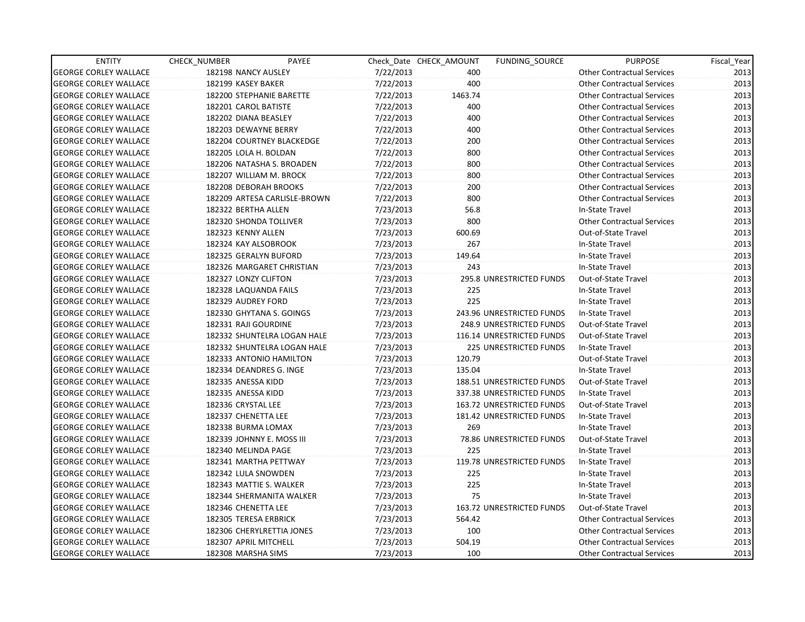| <b>ENTITY</b>                | CHECK_NUMBER              | PAYEE                        |           | Check Date CHECK AMOUNT | FUNDING SOURCE            | <b>PURPOSE</b>                    | Fiscal_Year |
|------------------------------|---------------------------|------------------------------|-----------|-------------------------|---------------------------|-----------------------------------|-------------|
| <b>GEORGE CORLEY WALLACE</b> | 182198 NANCY AUSLEY       |                              | 7/22/2013 | 400                     |                           | <b>Other Contractual Services</b> | 2013        |
| <b>GEORGE CORLEY WALLACE</b> | 182199 KASEY BAKER        |                              | 7/22/2013 | 400                     |                           | <b>Other Contractual Services</b> | 2013        |
| <b>GEORGE CORLEY WALLACE</b> | 182200 STEPHANIE BARETTE  |                              | 7/22/2013 | 1463.74                 |                           | <b>Other Contractual Services</b> | 2013        |
| <b>GEORGE CORLEY WALLACE</b> | 182201 CAROL BATISTE      |                              | 7/22/2013 | 400                     |                           | <b>Other Contractual Services</b> | 2013        |
| <b>GEORGE CORLEY WALLACE</b> | 182202 DIANA BEASLEY      |                              | 7/22/2013 | 400                     |                           | <b>Other Contractual Services</b> | 2013        |
| <b>GEORGE CORLEY WALLACE</b> | 182203 DEWAYNE BERRY      |                              | 7/22/2013 | 400                     |                           | <b>Other Contractual Services</b> | 2013        |
| <b>GEORGE CORLEY WALLACE</b> |                           | 182204 COURTNEY BLACKEDGE    | 7/22/2013 | 200                     |                           | <b>Other Contractual Services</b> | 2013        |
| <b>GEORGE CORLEY WALLACE</b> | 182205 LOLA H. BOLDAN     |                              | 7/22/2013 | 800                     |                           | <b>Other Contractual Services</b> | 2013        |
| <b>GEORGE CORLEY WALLACE</b> |                           | 182206 NATASHA S. BROADEN    | 7/22/2013 | 800                     |                           | <b>Other Contractual Services</b> | 2013        |
| <b>GEORGE CORLEY WALLACE</b> | 182207 WILLIAM M. BROCK   |                              | 7/22/2013 | 800                     |                           | <b>Other Contractual Services</b> | 2013        |
| <b>GEORGE CORLEY WALLACE</b> | 182208 DEBORAH BROOKS     |                              | 7/22/2013 | 200                     |                           | <b>Other Contractual Services</b> | 2013        |
| <b>GEORGE CORLEY WALLACE</b> |                           | 182209 ARTESA CARLISLE-BROWN | 7/22/2013 | 800                     |                           | <b>Other Contractual Services</b> | 2013        |
| <b>GEORGE CORLEY WALLACE</b> | 182322 BERTHA ALLEN       |                              | 7/23/2013 | 56.8                    |                           | In-State Travel                   | 2013        |
| <b>GEORGE CORLEY WALLACE</b> | 182320 SHONDA TOLLIVER    |                              | 7/23/2013 | 800                     |                           | <b>Other Contractual Services</b> | 2013        |
| <b>GEORGE CORLEY WALLACE</b> | 182323 KENNY ALLEN        |                              | 7/23/2013 | 600.69                  |                           | Out-of-State Travel               | 2013        |
| <b>GEORGE CORLEY WALLACE</b> | 182324 KAY ALSOBROOK      |                              | 7/23/2013 | 267                     |                           | In-State Travel                   | 2013        |
| <b>GEORGE CORLEY WALLACE</b> | 182325 GERALYN BUFORD     |                              | 7/23/2013 | 149.64                  |                           | In-State Travel                   | 2013        |
| <b>GEORGE CORLEY WALLACE</b> |                           | 182326 MARGARET CHRISTIAN    | 7/23/2013 | 243                     |                           | In-State Travel                   | 2013        |
| <b>GEORGE CORLEY WALLACE</b> | 182327 LONZY CLIFTON      |                              | 7/23/2013 |                         | 295.8 UNRESTRICTED FUNDS  | Out-of-State Travel               | 2013        |
| <b>GEORGE CORLEY WALLACE</b> | 182328 LAQUANDA FAILS     |                              | 7/23/2013 | 225                     |                           | In-State Travel                   | 2013        |
| <b>GEORGE CORLEY WALLACE</b> | 182329 AUDREY FORD        |                              | 7/23/2013 | 225                     |                           | In-State Travel                   | 2013        |
| <b>GEORGE CORLEY WALLACE</b> | 182330 GHYTANA S. GOINGS  |                              | 7/23/2013 |                         | 243.96 UNRESTRICTED FUNDS | In-State Travel                   | 2013        |
| <b>GEORGE CORLEY WALLACE</b> | 182331 RAJI GOURDINE      |                              | 7/23/2013 |                         | 248.9 UNRESTRICTED FUNDS  | Out-of-State Travel               | 2013        |
| <b>GEORGE CORLEY WALLACE</b> |                           | 182332 SHUNTELRA LOGAN HALE  | 7/23/2013 |                         | 116.14 UNRESTRICTED FUNDS | Out-of-State Travel               | 2013        |
| <b>GEORGE CORLEY WALLACE</b> |                           | 182332 SHUNTELRA LOGAN HALE  | 7/23/2013 |                         | 225 UNRESTRICTED FUNDS    | In-State Travel                   | 2013        |
| <b>GEORGE CORLEY WALLACE</b> |                           | 182333 ANTONIO HAMILTON      | 7/23/2013 | 120.79                  |                           | Out-of-State Travel               | 2013        |
| <b>GEORGE CORLEY WALLACE</b> | 182334 DEANDRES G. INGE   |                              | 7/23/2013 | 135.04                  |                           | In-State Travel                   | 2013        |
| <b>GEORGE CORLEY WALLACE</b> | 182335 ANESSA KIDD        |                              | 7/23/2013 |                         | 188.51 UNRESTRICTED FUNDS | Out-of-State Travel               | 2013        |
| <b>GEORGE CORLEY WALLACE</b> | 182335 ANESSA KIDD        |                              | 7/23/2013 |                         | 337.38 UNRESTRICTED FUNDS | In-State Travel                   | 2013        |
| <b>GEORGE CORLEY WALLACE</b> | 182336 CRYSTAL LEE        |                              | 7/23/2013 |                         | 163.72 UNRESTRICTED FUNDS | Out-of-State Travel               | 2013        |
| <b>GEORGE CORLEY WALLACE</b> | 182337 CHENETTA LEE       |                              | 7/23/2013 |                         | 181.42 UNRESTRICTED FUNDS | In-State Travel                   | 2013        |
| <b>GEORGE CORLEY WALLACE</b> | 182338 BURMA LOMAX        |                              | 7/23/2013 | 269                     |                           | In-State Travel                   | 2013        |
| <b>GEORGE CORLEY WALLACE</b> | 182339 JOHNNY E. MOSS III |                              | 7/23/2013 |                         | 78.86 UNRESTRICTED FUNDS  | Out-of-State Travel               | 2013        |
| <b>GEORGE CORLEY WALLACE</b> | 182340 MELINDA PAGE       |                              | 7/23/2013 | 225                     |                           | In-State Travel                   | 2013        |
| <b>GEORGE CORLEY WALLACE</b> | 182341 MARTHA PETTWAY     |                              | 7/23/2013 |                         | 119.78 UNRESTRICTED FUNDS | In-State Travel                   | 2013        |
| <b>GEORGE CORLEY WALLACE</b> | 182342 LULA SNOWDEN       |                              | 7/23/2013 | 225                     |                           | In-State Travel                   | 2013        |
| <b>GEORGE CORLEY WALLACE</b> | 182343 MATTIE S. WALKER   |                              | 7/23/2013 | 225                     |                           | In-State Travel                   | 2013        |
| <b>GEORGE CORLEY WALLACE</b> |                           | 182344 SHERMANITA WALKER     | 7/23/2013 | 75                      |                           | In-State Travel                   | 2013        |
| <b>GEORGE CORLEY WALLACE</b> | 182346 CHENETTA LEE       |                              | 7/23/2013 |                         | 163.72 UNRESTRICTED FUNDS | Out-of-State Travel               | 2013        |
| <b>GEORGE CORLEY WALLACE</b> | 182305 TERESA ERBRICK     |                              | 7/23/2013 | 564.42                  |                           | <b>Other Contractual Services</b> | 2013        |
| <b>GEORGE CORLEY WALLACE</b> |                           | 182306 CHERYLRETTIA JONES    | 7/23/2013 | 100                     |                           | <b>Other Contractual Services</b> | 2013        |
| <b>GEORGE CORLEY WALLACE</b> | 182307 APRIL MITCHELL     |                              | 7/23/2013 | 504.19                  |                           | <b>Other Contractual Services</b> | 2013        |
| <b>GEORGE CORLEY WALLACE</b> | 182308 MARSHA SIMS        |                              | 7/23/2013 | 100                     |                           | <b>Other Contractual Services</b> | 2013        |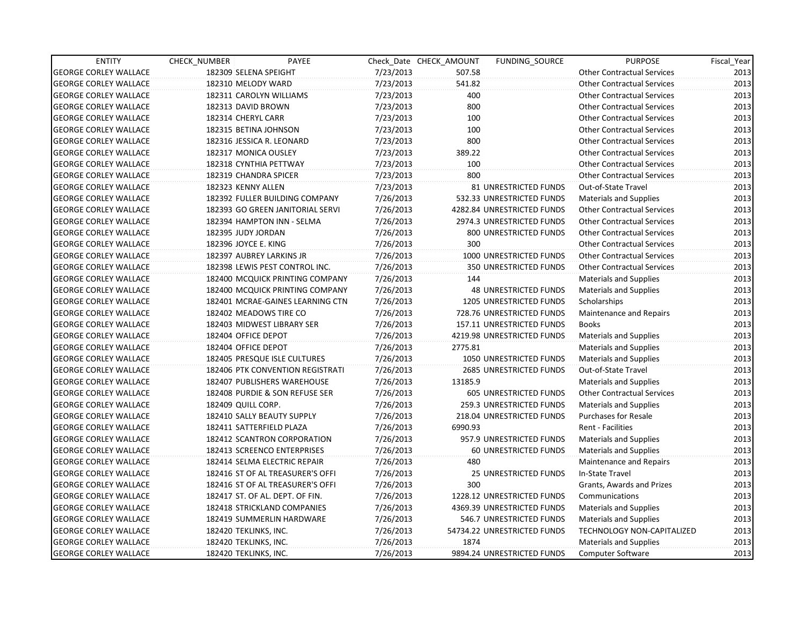| <b>ENTITY</b>                | CHECK NUMBER              | PAYEE                            |           | Check Date CHECK AMOUNT | FUNDING SOURCE                 | <b>PURPOSE</b>                    | Fiscal Year |
|------------------------------|---------------------------|----------------------------------|-----------|-------------------------|--------------------------------|-----------------------------------|-------------|
| <b>GEORGE CORLEY WALLACE</b> | 182309 SELENA SPEIGHT     |                                  | 7/23/2013 | 507.58                  |                                | <b>Other Contractual Services</b> | 2013        |
| <b>GEORGE CORLEY WALLACE</b> | 182310 MELODY WARD        |                                  | 7/23/2013 | 541.82                  |                                | <b>Other Contractual Services</b> | 2013        |
| <b>GEORGE CORLEY WALLACE</b> | 182311 CAROLYN WILLIAMS   |                                  | 7/23/2013 | 400                     |                                | <b>Other Contractual Services</b> | 2013        |
| <b>GEORGE CORLEY WALLACE</b> | 182313 DAVID BROWN        |                                  | 7/23/2013 | 800                     |                                | <b>Other Contractual Services</b> | 2013        |
| <b>GEORGE CORLEY WALLACE</b> | 182314 CHERYL CARR        |                                  | 7/23/2013 | 100                     |                                | <b>Other Contractual Services</b> | 2013        |
| <b>GEORGE CORLEY WALLACE</b> | 182315 BETINA JOHNSON     |                                  | 7/23/2013 | 100                     |                                | <b>Other Contractual Services</b> | 2013        |
| <b>GEORGE CORLEY WALLACE</b> | 182316 JESSICA R. LEONARD |                                  | 7/23/2013 | 800                     |                                | <b>Other Contractual Services</b> | 2013        |
| <b>GEORGE CORLEY WALLACE</b> | 182317 MONICA OUSLEY      |                                  | 7/23/2013 | 389.22                  |                                | <b>Other Contractual Services</b> | 2013        |
| <b>GEORGE CORLEY WALLACE</b> | 182318 CYNTHIA PETTWAY    |                                  | 7/23/2013 | 100                     |                                | <b>Other Contractual Services</b> | 2013        |
| <b>GEORGE CORLEY WALLACE</b> | 182319 CHANDRA SPICER     |                                  | 7/23/2013 | 800                     |                                | <b>Other Contractual Services</b> | 2013        |
| <b>GEORGE CORLEY WALLACE</b> | 182323 KENNY ALLEN        |                                  | 7/23/2013 |                         | 81 UNRESTRICTED FUNDS          | Out-of-State Travel               | 2013        |
| <b>GEORGE CORLEY WALLACE</b> |                           | 182392 FULLER BUILDING COMPANY   | 7/26/2013 |                         | 532.33 UNRESTRICTED FUNDS      | <b>Materials and Supplies</b>     | 2013        |
| <b>GEORGE CORLEY WALLACE</b> |                           | 182393 GO GREEN JANITORIAL SERVI | 7/26/2013 |                         | 4282.84 UNRESTRICTED FUNDS     | <b>Other Contractual Services</b> | 2013        |
| <b>GEORGE CORLEY WALLACE</b> |                           | 182394 HAMPTON INN - SELMA       | 7/26/2013 |                         | 2974.3 UNRESTRICTED FUNDS      | <b>Other Contractual Services</b> | 2013        |
| <b>GEORGE CORLEY WALLACE</b> | 182395 JUDY JORDAN        |                                  | 7/26/2013 |                         | 800 UNRESTRICTED FUNDS         | <b>Other Contractual Services</b> | 2013        |
| <b>GEORGE CORLEY WALLACE</b> | 182396 JOYCE E. KING      |                                  | 7/26/2013 | 300                     |                                | <b>Other Contractual Services</b> | 2013        |
| <b>GEORGE CORLEY WALLACE</b> | 182397 AUBREY LARKINS JR  |                                  | 7/26/2013 |                         | 1000 UNRESTRICTED FUNDS        | <b>Other Contractual Services</b> | 2013        |
| <b>GEORGE CORLEY WALLACE</b> |                           | 182398 LEWIS PEST CONTROL INC.   | 7/26/2013 |                         | 350 UNRESTRICTED FUNDS         | <b>Other Contractual Services</b> | 2013        |
| <b>GEORGE CORLEY WALLACE</b> |                           | 182400 MCQUICK PRINTING COMPANY  | 7/26/2013 | 144                     |                                | <b>Materials and Supplies</b>     | 2013        |
| <b>GEORGE CORLEY WALLACE</b> |                           | 182400 MCQUICK PRINTING COMPANY  | 7/26/2013 |                         | <b>48 UNRESTRICTED FUNDS</b>   | Materials and Supplies            | 2013        |
| <b>GEORGE CORLEY WALLACE</b> |                           | 182401 MCRAE-GAINES LEARNING CTN | 7/26/2013 |                         | 1205 UNRESTRICTED FUNDS        | Scholarships                      | 2013        |
| <b>GEORGE CORLEY WALLACE</b> | 182402 MEADOWS TIRE CO    |                                  | 7/26/2013 |                         | 728.76 UNRESTRICTED FUNDS      | Maintenance and Repairs           | 2013        |
| <b>GEORGE CORLEY WALLACE</b> |                           | 182403 MIDWEST LIBRARY SER       | 7/26/2013 |                         | 157.11 UNRESTRICTED FUNDS      | <b>Books</b>                      | 2013        |
| <b>GEORGE CORLEY WALLACE</b> | 182404 OFFICE DEPOT       |                                  | 7/26/2013 |                         | 4219.98 UNRESTRICTED FUNDS     | <b>Materials and Supplies</b>     | 2013        |
| <b>GEORGE CORLEY WALLACE</b> | 182404 OFFICE DEPOT       |                                  | 7/26/2013 | 2775.81                 |                                | <b>Materials and Supplies</b>     | 2013        |
| <b>GEORGE CORLEY WALLACE</b> |                           | 182405 PRESQUE ISLE CULTURES     | 7/26/2013 |                         | 1050 UNRESTRICTED FUNDS        | <b>Materials and Supplies</b>     | 2013        |
| <b>GEORGE CORLEY WALLACE</b> |                           | 182406 PTK CONVENTION REGISTRATI | 7/26/2013 |                         | <b>2685 UNRESTRICTED FUNDS</b> | Out-of-State Travel               | 2013        |
| <b>GEORGE CORLEY WALLACE</b> |                           | 182407 PUBLISHERS WAREHOUSE      | 7/26/2013 | 13185.9                 |                                | <b>Materials and Supplies</b>     | 2013        |
| <b>GEORGE CORLEY WALLACE</b> |                           | 182408 PURDIE & SON REFUSE SER   | 7/26/2013 |                         | 605 UNRESTRICTED FUNDS         | <b>Other Contractual Services</b> | 2013        |
| <b>GEORGE CORLEY WALLACE</b> | 182409 QUILL CORP.        |                                  | 7/26/2013 |                         | 259.3 UNRESTRICTED FUNDS       | <b>Materials and Supplies</b>     | 2013        |
| <b>GEORGE CORLEY WALLACE</b> |                           | 182410 SALLY BEAUTY SUPPLY       | 7/26/2013 |                         | 218.04 UNRESTRICTED FUNDS      | <b>Purchases for Resale</b>       | 2013        |
| <b>GEORGE CORLEY WALLACE</b> | 182411 SATTERFIELD PLAZA  |                                  | 7/26/2013 | 6990.93                 |                                | Rent - Facilities                 | 2013        |
| <b>GEORGE CORLEY WALLACE</b> |                           | 182412 SCANTRON CORPORATION      | 7/26/2013 |                         | 957.9 UNRESTRICTED FUNDS       | Materials and Supplies            | 2013        |
| <b>GEORGE CORLEY WALLACE</b> |                           | 182413 SCREENCO ENTERPRISES      | 7/26/2013 |                         | <b>60 UNRESTRICTED FUNDS</b>   | Materials and Supplies            | 2013        |
| <b>GEORGE CORLEY WALLACE</b> |                           | 182414 SELMA ELECTRIC REPAIR     | 7/26/2013 | 480                     |                                | Maintenance and Repairs           | 2013        |
| <b>GEORGE CORLEY WALLACE</b> |                           | 182416 ST OF AL TREASURER'S OFFI | 7/26/2013 |                         | <b>25 UNRESTRICTED FUNDS</b>   | In-State Travel                   | 2013        |
| <b>GEORGE CORLEY WALLACE</b> |                           | 182416 ST OF AL TREASURER'S OFFI | 7/26/2013 | 300                     |                                | Grants, Awards and Prizes         | 2013        |
| <b>GEORGE CORLEY WALLACE</b> |                           | 182417 ST. OF AL. DEPT. OF FIN.  | 7/26/2013 |                         | 1228.12 UNRESTRICTED FUNDS     | Communications                    | 2013        |
| <b>GEORGE CORLEY WALLACE</b> |                           | 182418 STRICKLAND COMPANIES      | 7/26/2013 |                         | 4369.39 UNRESTRICTED FUNDS     | Materials and Supplies            | 2013        |
| <b>GEORGE CORLEY WALLACE</b> |                           | 182419 SUMMERLIN HARDWARE        | 7/26/2013 |                         | 546.7 UNRESTRICTED FUNDS       | <b>Materials and Supplies</b>     | 2013        |
| <b>GEORGE CORLEY WALLACE</b> | 182420 TEKLINKS, INC.     |                                  | 7/26/2013 |                         | 54734.22 UNRESTRICTED FUNDS    | TECHNOLOGY NON-CAPITALIZED        | 2013        |
| <b>GEORGE CORLEY WALLACE</b> | 182420 TEKLINKS, INC.     |                                  | 7/26/2013 | 1874                    |                                | <b>Materials and Supplies</b>     | 2013        |
| <b>GEORGE CORLEY WALLACE</b> | 182420 TEKLINKS, INC.     |                                  | 7/26/2013 |                         | 9894.24 UNRESTRICTED FUNDS     | Computer Software                 | 2013        |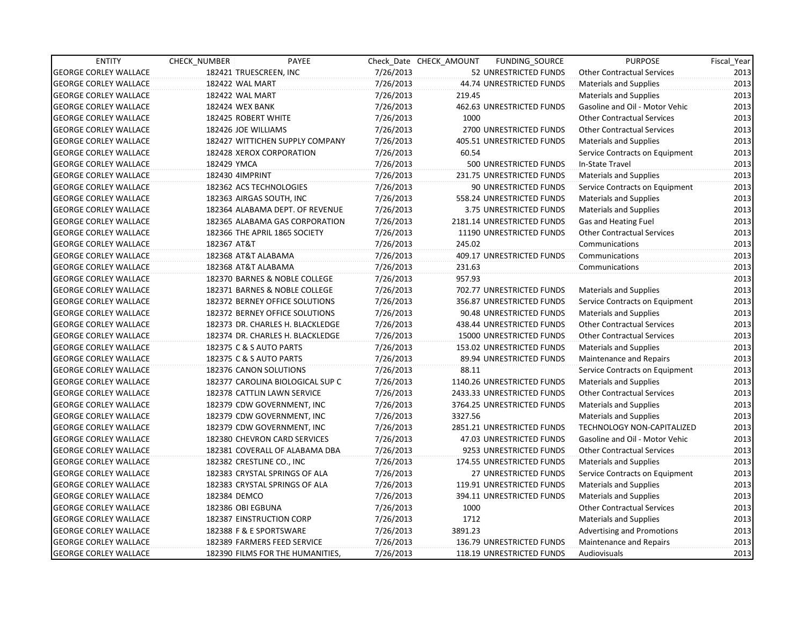| <b>ENTITY</b>                | CHECK NUMBER           | PAYEE                            |           | Check Date CHECK AMOUNT | FUNDING_SOURCE               | <b>PURPOSE</b>                    | Fiscal_Year |
|------------------------------|------------------------|----------------------------------|-----------|-------------------------|------------------------------|-----------------------------------|-------------|
| <b>GEORGE CORLEY WALLACE</b> |                        | 182421 TRUESCREEN, INC           | 7/26/2013 |                         | 52 UNRESTRICTED FUNDS        | <b>Other Contractual Services</b> | 2013        |
| <b>GEORGE CORLEY WALLACE</b> | 182422 WAL MART        |                                  | 7/26/2013 |                         | 44.74 UNRESTRICTED FUNDS     | <b>Materials and Supplies</b>     | 2013        |
| <b>GEORGE CORLEY WALLACE</b> | <b>182422 WAL MART</b> |                                  | 7/26/2013 | 219.45                  |                              | <b>Materials and Supplies</b>     | 2013        |
| <b>GEORGE CORLEY WALLACE</b> | <b>182424 WEX BANK</b> |                                  | 7/26/2013 |                         | 462.63 UNRESTRICTED FUNDS    | Gasoline and Oil - Motor Vehic    | 2013        |
| <b>GEORGE CORLEY WALLACE</b> |                        | 182425 ROBERT WHITE              | 7/26/2013 | 1000                    |                              | <b>Other Contractual Services</b> | 2013        |
| <b>GEORGE CORLEY WALLACE</b> |                        | 182426 JOE WILLIAMS              | 7/26/2013 |                         | 2700 UNRESTRICTED FUNDS      | <b>Other Contractual Services</b> | 2013        |
| <b>GEORGE CORLEY WALLACE</b> |                        | 182427 WITTICHEN SUPPLY COMPANY  | 7/26/2013 |                         | 405.51 UNRESTRICTED FUNDS    | <b>Materials and Supplies</b>     | 2013        |
| <b>GEORGE CORLEY WALLACE</b> |                        | 182428 XEROX CORPORATION         | 7/26/2013 | 60.54                   |                              | Service Contracts on Equipment    | 2013        |
| <b>GEORGE CORLEY WALLACE</b> | 182429 YMCA            |                                  | 7/26/2013 |                         | 500 UNRESTRICTED FUNDS       | In-State Travel                   | 2013        |
| <b>GEORGE CORLEY WALLACE</b> | 182430 4IMPRINT        |                                  | 7/26/2013 |                         | 231.75 UNRESTRICTED FUNDS    | <b>Materials and Supplies</b>     | 2013        |
| <b>GEORGE CORLEY WALLACE</b> |                        | 182362 ACS TECHNOLOGIES          | 7/26/2013 |                         | 90 UNRESTRICTED FUNDS        | Service Contracts on Equipment    | 2013        |
| <b>GEORGE CORLEY WALLACE</b> |                        | 182363 AIRGAS SOUTH, INC         | 7/26/2013 |                         | 558.24 UNRESTRICTED FUNDS    | <b>Materials and Supplies</b>     | 2013        |
| <b>GEORGE CORLEY WALLACE</b> |                        | 182364 ALABAMA DEPT. OF REVENUE  | 7/26/2013 |                         | 3.75 UNRESTRICTED FUNDS      | <b>Materials and Supplies</b>     | 2013        |
| <b>GEORGE CORLEY WALLACE</b> |                        | 182365 ALABAMA GAS CORPORATION   | 7/26/2013 |                         | 2181.14 UNRESTRICTED FUNDS   | Gas and Heating Fuel              | 2013        |
| <b>GEORGE CORLEY WALLACE</b> |                        | 182366 THE APRIL 1865 SOCIETY    | 7/26/2013 |                         | 11190 UNRESTRICTED FUNDS     | <b>Other Contractual Services</b> | 2013        |
| <b>GEORGE CORLEY WALLACE</b> | 182367 AT&T            |                                  | 7/26/2013 | 245.02                  |                              | Communications                    | 2013        |
| <b>GEORGE CORLEY WALLACE</b> |                        | 182368 AT&T ALABAMA              | 7/26/2013 |                         | 409.17 UNRESTRICTED FUNDS    | Communications                    | 2013        |
| <b>GEORGE CORLEY WALLACE</b> |                        | 182368 AT&T ALABAMA              | 7/26/2013 | 231.63                  |                              | Communications                    | 2013        |
| <b>GEORGE CORLEY WALLACE</b> |                        | 182370 BARNES & NOBLE COLLEGE    | 7/26/2013 | 957.93                  |                              |                                   | 2013        |
| <b>GEORGE CORLEY WALLACE</b> |                        | 182371 BARNES & NOBLE COLLEGE    | 7/26/2013 |                         | 702.77 UNRESTRICTED FUNDS    | <b>Materials and Supplies</b>     | 2013        |
| <b>GEORGE CORLEY WALLACE</b> |                        | 182372 BERNEY OFFICE SOLUTIONS   | 7/26/2013 |                         | 356.87 UNRESTRICTED FUNDS    | Service Contracts on Equipment    | 2013        |
| <b>GEORGE CORLEY WALLACE</b> |                        | 182372 BERNEY OFFICE SOLUTIONS   | 7/26/2013 |                         | 90.48 UNRESTRICTED FUNDS     | <b>Materials and Supplies</b>     | 2013        |
| <b>GEORGE CORLEY WALLACE</b> |                        | 182373 DR. CHARLES H. BLACKLEDGE | 7/26/2013 |                         | 438.44 UNRESTRICTED FUNDS    | <b>Other Contractual Services</b> | 2013        |
| <b>GEORGE CORLEY WALLACE</b> |                        | 182374 DR. CHARLES H. BLACKLEDGE | 7/26/2013 |                         | 15000 UNRESTRICTED FUNDS     | <b>Other Contractual Services</b> | 2013        |
| <b>GEORGE CORLEY WALLACE</b> |                        | 182375 C & S AUTO PARTS          | 7/26/2013 |                         | 153.02 UNRESTRICTED FUNDS    | <b>Materials and Supplies</b>     | 2013        |
| <b>GEORGE CORLEY WALLACE</b> |                        | 182375 C & S AUTO PARTS          | 7/26/2013 |                         | 89.94 UNRESTRICTED FUNDS     | Maintenance and Repairs           | 2013        |
| <b>GEORGE CORLEY WALLACE</b> |                        | 182376 CANON SOLUTIONS           | 7/26/2013 | 88.11                   |                              | Service Contracts on Equipment    | 2013        |
| <b>GEORGE CORLEY WALLACE</b> |                        | 182377 CAROLINA BIOLOGICAL SUP C | 7/26/2013 |                         | 1140.26 UNRESTRICTED FUNDS   | <b>Materials and Supplies</b>     | 2013        |
| <b>GEORGE CORLEY WALLACE</b> |                        | 182378 CATTLIN LAWN SERVICE      | 7/26/2013 |                         | 2433.33 UNRESTRICTED FUNDS   | <b>Other Contractual Services</b> | 2013        |
| <b>GEORGE CORLEY WALLACE</b> |                        | 182379 CDW GOVERNMENT, INC       | 7/26/2013 |                         | 3764.25 UNRESTRICTED FUNDS   | <b>Materials and Supplies</b>     | 2013        |
| <b>GEORGE CORLEY WALLACE</b> |                        | 182379 CDW GOVERNMENT, INC       | 7/26/2013 | 3327.56                 |                              | <b>Materials and Supplies</b>     | 2013        |
| <b>GEORGE CORLEY WALLACE</b> |                        | 182379 CDW GOVERNMENT, INC       | 7/26/2013 |                         | 2851.21 UNRESTRICTED FUNDS   | <b>TECHNOLOGY NON-CAPITALIZED</b> | 2013        |
| <b>GEORGE CORLEY WALLACE</b> |                        | 182380 CHEVRON CARD SERVICES     | 7/26/2013 |                         | 47.03 UNRESTRICTED FUNDS     | Gasoline and Oil - Motor Vehic    | 2013        |
| <b>GEORGE CORLEY WALLACE</b> |                        | 182381 COVERALL OF ALABAMA DBA   | 7/26/2013 |                         | 9253 UNRESTRICTED FUNDS      | Other Contractual Services        | 2013        |
| <b>GEORGE CORLEY WALLACE</b> |                        | 182382 CRESTLINE CO., INC        | 7/26/2013 |                         | 174.55 UNRESTRICTED FUNDS    | <b>Materials and Supplies</b>     | 2013        |
| <b>GEORGE CORLEY WALLACE</b> |                        | 182383 CRYSTAL SPRINGS OF ALA    | 7/26/2013 |                         | <b>27 UNRESTRICTED FUNDS</b> | Service Contracts on Equipment    | 2013        |
| <b>GEORGE CORLEY WALLACE</b> |                        | 182383 CRYSTAL SPRINGS OF ALA    | 7/26/2013 |                         | 119.91 UNRESTRICTED FUNDS    | <b>Materials and Supplies</b>     | 2013        |
| <b>GEORGE CORLEY WALLACE</b> | 182384 DEMCO           |                                  | 7/26/2013 |                         | 394.11 UNRESTRICTED FUNDS    | <b>Materials and Supplies</b>     | 2013        |
| <b>GEORGE CORLEY WALLACE</b> |                        | 182386 OBI EGBUNA                | 7/26/2013 | 1000                    |                              | <b>Other Contractual Services</b> | 2013        |
| <b>GEORGE CORLEY WALLACE</b> |                        | 182387 EINSTRUCTION CORP         | 7/26/2013 | 1712                    |                              | <b>Materials and Supplies</b>     | 2013        |
| <b>GEORGE CORLEY WALLACE</b> |                        | 182388 F & E SPORTSWARE          | 7/26/2013 | 3891.23                 |                              | <b>Advertising and Promotions</b> | 2013        |
| <b>GEORGE CORLEY WALLACE</b> |                        | 182389 FARMERS FEED SERVICE      | 7/26/2013 |                         | 136.79 UNRESTRICTED FUNDS    | Maintenance and Repairs           | 2013        |
| <b>GEORGE CORLEY WALLACE</b> |                        | 182390 FILMS FOR THE HUMANITIES, | 7/26/2013 |                         | 118.19 UNRESTRICTED FUNDS    | Audiovisuals                      | 2013        |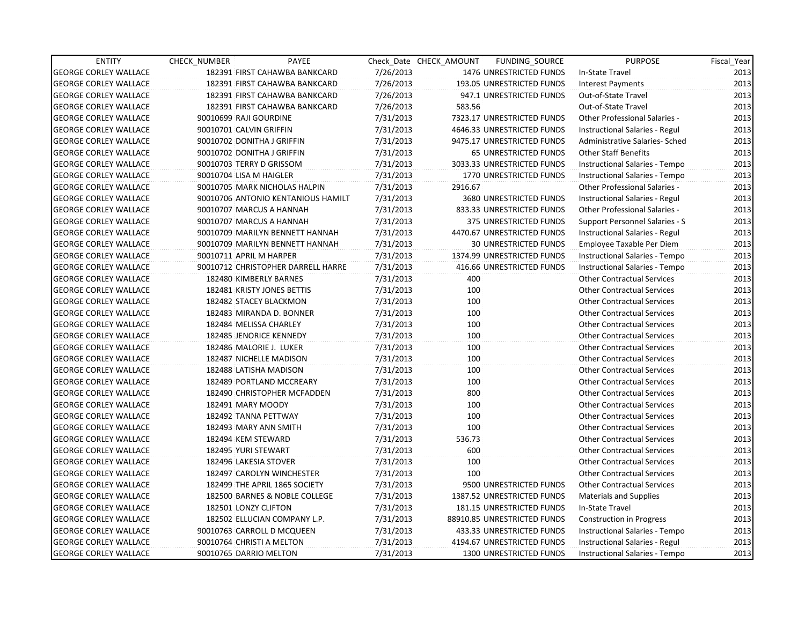| <b>ENTITY</b>                | CHECK NUMBER               | PAYEE                              |           | Check Date CHECK AMOUNT | FUNDING_SOURCE                 | <b>PURPOSE</b>                       | Fiscal_Year |
|------------------------------|----------------------------|------------------------------------|-----------|-------------------------|--------------------------------|--------------------------------------|-------------|
| <b>GEORGE CORLEY WALLACE</b> |                            | 182391 FIRST CAHAWBA BANKCARD      | 7/26/2013 |                         | 1476 UNRESTRICTED FUNDS        | In-State Travel                      | 2013        |
| <b>GEORGE CORLEY WALLACE</b> |                            | 182391 FIRST CAHAWBA BANKCARD      | 7/26/2013 |                         | 193.05 UNRESTRICTED FUNDS      | <b>Interest Payments</b>             | 2013        |
| <b>GEORGE CORLEY WALLACE</b> |                            | 182391 FIRST CAHAWBA BANKCARD      | 7/26/2013 |                         | 947.1 UNRESTRICTED FUNDS       | Out-of-State Travel                  | 2013        |
| <b>GEORGE CORLEY WALLACE</b> |                            | 182391 FIRST CAHAWBA BANKCARD      | 7/26/2013 | 583.56                  |                                | Out-of-State Travel                  | 2013        |
| <b>GEORGE CORLEY WALLACE</b> | 90010699 RAJI GOURDINE     |                                    | 7/31/2013 |                         | 7323.17 UNRESTRICTED FUNDS     | <b>Other Professional Salaries -</b> | 2013        |
| <b>GEORGE CORLEY WALLACE</b> | 90010701 CALVIN GRIFFIN    |                                    | 7/31/2013 |                         | 4646.33 UNRESTRICTED FUNDS     | Instructional Salaries - Regul       | 2013        |
| <b>GEORGE CORLEY WALLACE</b> | 90010702 DONITHA J GRIFFIN |                                    | 7/31/2013 |                         | 9475.17 UNRESTRICTED FUNDS     | Administrative Salaries- Sched       | 2013        |
| <b>GEORGE CORLEY WALLACE</b> | 90010702 DONITHA J GRIFFIN |                                    | 7/31/2013 |                         | <b>65 UNRESTRICTED FUNDS</b>   | <b>Other Staff Benefits</b>          | 2013        |
| <b>GEORGE CORLEY WALLACE</b> | 90010703 TERRY D GRISSOM   |                                    | 7/31/2013 |                         | 3033.33 UNRESTRICTED FUNDS     | Instructional Salaries - Tempo       | 2013        |
| <b>GEORGE CORLEY WALLACE</b> | 90010704 LISA M HAIGLER    |                                    | 7/31/2013 |                         | 1770 UNRESTRICTED FUNDS        | Instructional Salaries - Tempo       | 2013        |
| <b>GEORGE CORLEY WALLACE</b> |                            | 90010705 MARK NICHOLAS HALPIN      | 7/31/2013 | 2916.67                 |                                | Other Professional Salaries -        | 2013        |
| <b>GEORGE CORLEY WALLACE</b> |                            | 90010706 ANTONIO KENTANIOUS HAMILT | 7/31/2013 |                         | 3680 UNRESTRICTED FUNDS        | Instructional Salaries - Regul       | 2013        |
| <b>GEORGE CORLEY WALLACE</b> | 90010707 MARCUS A HANNAH   |                                    | 7/31/2013 |                         | 833.33 UNRESTRICTED FUNDS      | Other Professional Salaries -        | 2013        |
| <b>GEORGE CORLEY WALLACE</b> | 90010707 MARCUS A HANNAH   |                                    | 7/31/2013 |                         | 375 UNRESTRICTED FUNDS         | Support Personnel Salaries - S       | 2013        |
| <b>GEORGE CORLEY WALLACE</b> |                            | 90010709 MARILYN BENNETT HANNAH    | 7/31/2013 |                         | 4470.67 UNRESTRICTED FUNDS     | Instructional Salaries - Regul       | 2013        |
| <b>GEORGE CORLEY WALLACE</b> |                            | 90010709 MARILYN BENNETT HANNAH    | 7/31/2013 |                         | <b>30 UNRESTRICTED FUNDS</b>   | Employee Taxable Per Diem            | 2013        |
| <b>GEORGE CORLEY WALLACE</b> | 90010711 APRIL M HARPER    |                                    | 7/31/2013 |                         | 1374.99 UNRESTRICTED FUNDS     | Instructional Salaries - Tempo       | 2013        |
| <b>GEORGE CORLEY WALLACE</b> |                            | 90010712 CHRISTOPHER DARRELL HARRE | 7/31/2013 |                         | 416.66 UNRESTRICTED FUNDS      | Instructional Salaries - Tempo       | 2013        |
| <b>GEORGE CORLEY WALLACE</b> | 182480 KIMBERLY BARNES     |                                    | 7/31/2013 | 400                     |                                | <b>Other Contractual Services</b>    | 2013        |
| <b>GEORGE CORLEY WALLACE</b> |                            | 182481 KRISTY JONES BETTIS         | 7/31/2013 | 100                     |                                | <b>Other Contractual Services</b>    | 2013        |
| <b>GEORGE CORLEY WALLACE</b> |                            | 182482 STACEY BLACKMON             | 7/31/2013 | 100                     |                                | <b>Other Contractual Services</b>    | 2013        |
| <b>GEORGE CORLEY WALLACE</b> |                            | 182483 MIRANDA D. BONNER           | 7/31/2013 | 100                     |                                | <b>Other Contractual Services</b>    | 2013        |
| <b>GEORGE CORLEY WALLACE</b> | 182484 MELISSA CHARLEY     |                                    | 7/31/2013 | 100                     |                                | <b>Other Contractual Services</b>    | 2013        |
| <b>GEORGE CORLEY WALLACE</b> |                            | 182485 JENORICE KENNEDY            | 7/31/2013 | 100                     |                                | <b>Other Contractual Services</b>    | 2013        |
| <b>GEORGE CORLEY WALLACE</b> | 182486 MALORIE J. LUKER    |                                    | 7/31/2013 | 100                     |                                | <b>Other Contractual Services</b>    | 2013        |
| <b>GEORGE CORLEY WALLACE</b> |                            | 182487 NICHELLE MADISON            | 7/31/2013 | 100                     |                                | <b>Other Contractual Services</b>    | 2013        |
| <b>GEORGE CORLEY WALLACE</b> | 182488 LATISHA MADISON     |                                    | 7/31/2013 | 100                     |                                | <b>Other Contractual Services</b>    | 2013        |
| <b>GEORGE CORLEY WALLACE</b> |                            | 182489 PORTLAND MCCREARY           | 7/31/2013 | 100                     |                                | <b>Other Contractual Services</b>    | 2013        |
| <b>GEORGE CORLEY WALLACE</b> |                            | 182490 CHRISTOPHER MCFADDEN        | 7/31/2013 | 800                     |                                | <b>Other Contractual Services</b>    | 2013        |
| <b>GEORGE CORLEY WALLACE</b> | 182491 MARY MOODY          |                                    | 7/31/2013 | 100                     |                                | <b>Other Contractual Services</b>    | 2013        |
| <b>GEORGE CORLEY WALLACE</b> | 182492 TANNA PETTWAY       |                                    | 7/31/2013 | 100                     |                                | <b>Other Contractual Services</b>    | 2013        |
| <b>GEORGE CORLEY WALLACE</b> | 182493 MARY ANN SMITH      |                                    | 7/31/2013 | 100                     |                                | <b>Other Contractual Services</b>    | 2013        |
| <b>GEORGE CORLEY WALLACE</b> | 182494 KEM STEWARD         |                                    | 7/31/2013 | 536.73                  |                                | <b>Other Contractual Services</b>    | 2013        |
| <b>GEORGE CORLEY WALLACE</b> | 182495 YURI STEWART        |                                    | 7/31/2013 | 600                     |                                | <b>Other Contractual Services</b>    | 2013        |
| <b>GEORGE CORLEY WALLACE</b> | 182496 LAKESIA STOVER      |                                    | 7/31/2013 | 100                     |                                | Other Contractual Services           | 2013        |
| <b>GEORGE CORLEY WALLACE</b> |                            | 182497 CAROLYN WINCHESTER          | 7/31/2013 | 100                     |                                | <b>Other Contractual Services</b>    | 2013        |
| <b>GEORGE CORLEY WALLACE</b> |                            | 182499 THE APRIL 1865 SOCIETY      | 7/31/2013 |                         | 9500 UNRESTRICTED FUNDS        | <b>Other Contractual Services</b>    | 2013        |
| <b>GEORGE CORLEY WALLACE</b> |                            | 182500 BARNES & NOBLE COLLEGE      | 7/31/2013 |                         | 1387.52 UNRESTRICTED FUNDS     | <b>Materials and Supplies</b>        | 2013        |
| <b>GEORGE CORLEY WALLACE</b> | 182501 LONZY CLIFTON       |                                    | 7/31/2013 |                         | 181.15 UNRESTRICTED FUNDS      | In-State Travel                      | 2013        |
| <b>GEORGE CORLEY WALLACE</b> |                            | 182502 ELLUCIAN COMPANY L.P.       | 7/31/2013 |                         | 88910.85 UNRESTRICTED FUNDS    | Construction in Progress             | 2013        |
| <b>GEORGE CORLEY WALLACE</b> |                            | 90010763 CARROLL D MCQUEEN         | 7/31/2013 |                         | 433.33 UNRESTRICTED FUNDS      | Instructional Salaries - Tempo       | 2013        |
| <b>GEORGE CORLEY WALLACE</b> | 90010764 CHRISTI A MELTON  |                                    | 7/31/2013 |                         | 4194.67 UNRESTRICTED FUNDS     | Instructional Salaries - Regul       | 2013        |
| <b>GEORGE CORLEY WALLACE</b> | 90010765 DARRIO MELTON     |                                    | 7/31/2013 |                         | <b>1300 UNRESTRICTED FUNDS</b> | Instructional Salaries - Tempo       | 2013        |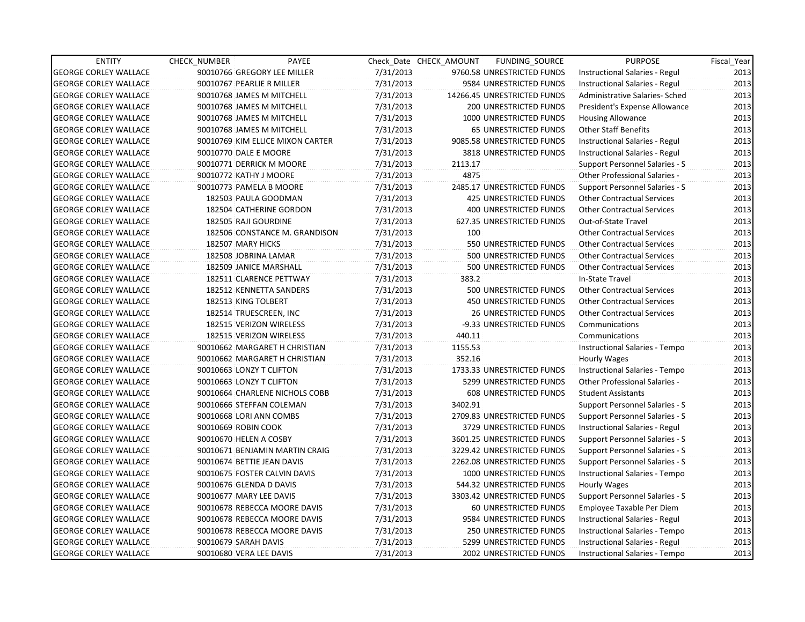| <b>ENTITY</b>                | <b>CHECK NUMBER</b>       | PAYEE                            |           | Check Date CHECK AMOUNT | FUNDING_SOURCE                 | <b>PURPOSE</b>                        | Fiscal_Year |
|------------------------------|---------------------------|----------------------------------|-----------|-------------------------|--------------------------------|---------------------------------------|-------------|
| <b>GEORGE CORLEY WALLACE</b> |                           | 90010766 GREGORY LEE MILLER      | 7/31/2013 |                         | 9760.58 UNRESTRICTED FUNDS     | Instructional Salaries - Regul        | 2013        |
| <b>GEORGE CORLEY WALLACE</b> | 90010767 PEARLIE R MILLER |                                  | 7/31/2013 |                         | 9584 UNRESTRICTED FUNDS        | Instructional Salaries - Regul        | 2013        |
| <b>GEORGE CORLEY WALLACE</b> |                           | 90010768 JAMES M MITCHELL        | 7/31/2013 |                         | 14266.45 UNRESTRICTED FUNDS    | Administrative Salaries- Sched        | 2013        |
| <b>GEORGE CORLEY WALLACE</b> |                           | 90010768 JAMES M MITCHELL        | 7/31/2013 |                         | 200 UNRESTRICTED FUNDS         | President's Expense Allowance         | 2013        |
| <b>GEORGE CORLEY WALLACE</b> |                           | 90010768 JAMES M MITCHELL        | 7/31/2013 |                         | 1000 UNRESTRICTED FUNDS        | <b>Housing Allowance</b>              | 2013        |
| <b>GEORGE CORLEY WALLACE</b> |                           | 90010768 JAMES M MITCHELL        | 7/31/2013 |                         | <b>65 UNRESTRICTED FUNDS</b>   | <b>Other Staff Benefits</b>           | 2013        |
| <b>GEORGE CORLEY WALLACE</b> |                           | 90010769 KIM ELLICE MIXON CARTER | 7/31/2013 |                         | 9085.58 UNRESTRICTED FUNDS     | Instructional Salaries - Regul        | 2013        |
| <b>GEORGE CORLEY WALLACE</b> | 90010770 DALE E MOORE     |                                  | 7/31/2013 |                         | 3818 UNRESTRICTED FUNDS        | Instructional Salaries - Regul        | 2013        |
| <b>GEORGE CORLEY WALLACE</b> |                           | 90010771 DERRICK M MOORE         | 7/31/2013 | 2113.17                 |                                | Support Personnel Salaries - S        | 2013        |
| <b>GEORGE CORLEY WALLACE</b> | 90010772 KATHY J MOORE    |                                  | 7/31/2013 | 4875                    |                                | Other Professional Salaries -         | 2013        |
| <b>GEORGE CORLEY WALLACE</b> |                           | 90010773 PAMELA B MOORE          | 7/31/2013 |                         | 2485.17 UNRESTRICTED FUNDS     | Support Personnel Salaries - S        | 2013        |
| <b>GEORGE CORLEY WALLACE</b> |                           | 182503 PAULA GOODMAN             | 7/31/2013 |                         | <b>425 UNRESTRICTED FUNDS</b>  | <b>Other Contractual Services</b>     | 2013        |
| <b>GEORGE CORLEY WALLACE</b> |                           | 182504 CATHERINE GORDON          | 7/31/2013 |                         | 400 UNRESTRICTED FUNDS         | <b>Other Contractual Services</b>     | 2013        |
| <b>GEORGE CORLEY WALLACE</b> | 182505 RAJI GOURDINE      |                                  | 7/31/2013 |                         | 627.35 UNRESTRICTED FUNDS      | Out-of-State Travel                   | 2013        |
| <b>GEORGE CORLEY WALLACE</b> |                           | 182506 CONSTANCE M. GRANDISON    | 7/31/2013 | 100                     |                                | <b>Other Contractual Services</b>     | 2013        |
| <b>GEORGE CORLEY WALLACE</b> | 182507 MARY HICKS         |                                  | 7/31/2013 |                         | 550 UNRESTRICTED FUNDS         | Other Contractual Services            | 2013        |
| <b>GEORGE CORLEY WALLACE</b> |                           | 182508 JOBRINA LAMAR             | 7/31/2013 |                         | 500 UNRESTRICTED FUNDS         | <b>Other Contractual Services</b>     | 2013        |
| <b>GEORGE CORLEY WALLACE</b> |                           | 182509 JANICE MARSHALL           | 7/31/2013 |                         | 500 UNRESTRICTED FUNDS         | <b>Other Contractual Services</b>     | 2013        |
| <b>GEORGE CORLEY WALLACE</b> |                           | 182511 CLARENCE PETTWAY          | 7/31/2013 | 383.2                   |                                | In-State Travel                       | 2013        |
| <b>GEORGE CORLEY WALLACE</b> |                           | 182512 KENNETTA SANDERS          | 7/31/2013 |                         | 500 UNRESTRICTED FUNDS         | <b>Other Contractual Services</b>     | 2013        |
| <b>GEORGE CORLEY WALLACE</b> | 182513 KING TOLBERT       |                                  | 7/31/2013 |                         | 450 UNRESTRICTED FUNDS         | <b>Other Contractual Services</b>     | 2013        |
| <b>GEORGE CORLEY WALLACE</b> |                           | 182514 TRUESCREEN, INC           | 7/31/2013 |                         | <b>26 UNRESTRICTED FUNDS</b>   | <b>Other Contractual Services</b>     | 2013        |
| <b>GEORGE CORLEY WALLACE</b> |                           | 182515 VERIZON WIRELESS          | 7/31/2013 |                         | -9.33 UNRESTRICTED FUNDS       | Communications                        | 2013        |
| <b>GEORGE CORLEY WALLACE</b> |                           | 182515 VERIZON WIRELESS          | 7/31/2013 | 440.11                  |                                | Communications                        | 2013        |
| <b>GEORGE CORLEY WALLACE</b> |                           | 90010662 MARGARET H CHRISTIAN    | 7/31/2013 | 1155.53                 |                                | Instructional Salaries - Tempo        | 2013        |
| <b>GEORGE CORLEY WALLACE</b> |                           | 90010662 MARGARET H CHRISTIAN    | 7/31/2013 | 352.16                  |                                | Hourly Wages                          | 2013        |
| <b>GEORGE CORLEY WALLACE</b> | 90010663 LONZY T CLIFTON  |                                  | 7/31/2013 |                         | 1733.33 UNRESTRICTED FUNDS     | Instructional Salaries - Tempo        | 2013        |
| <b>GEORGE CORLEY WALLACE</b> | 90010663 LONZY T CLIFTON  |                                  | 7/31/2013 |                         | 5299 UNRESTRICTED FUNDS        | <b>Other Professional Salaries -</b>  | 2013        |
| <b>GEORGE CORLEY WALLACE</b> |                           | 90010664 CHARLENE NICHOLS COBB   | 7/31/2013 |                         | 608 UNRESTRICTED FUNDS         | <b>Student Assistants</b>             | 2013        |
| <b>GEORGE CORLEY WALLACE</b> |                           | 90010666 STEFFAN COLEMAN         | 7/31/2013 | 3402.91                 |                                | Support Personnel Salaries - S        | 2013        |
| <b>GEORGE CORLEY WALLACE</b> | 90010668 LORI ANN COMBS   |                                  | 7/31/2013 |                         | 2709.83 UNRESTRICTED FUNDS     | Support Personnel Salaries - S        | 2013        |
| <b>GEORGE CORLEY WALLACE</b> | 90010669 ROBIN COOK       |                                  | 7/31/2013 |                         | 3729 UNRESTRICTED FUNDS        | Instructional Salaries - Regul        | 2013        |
| <b>GEORGE CORLEY WALLACE</b> | 90010670 HELEN A COSBY    |                                  | 7/31/2013 |                         | 3601.25 UNRESTRICTED FUNDS     | Support Personnel Salaries - S        | 2013        |
| <b>GEORGE CORLEY WALLACE</b> |                           | 90010671 BENJAMIN MARTIN CRAIG   | 7/31/2013 |                         | 3229.42 UNRESTRICTED FUNDS     | Support Personnel Salaries - S        | 2013        |
| <b>GEORGE CORLEY WALLACE</b> |                           | 90010674 BETTIE JEAN DAVIS       | 7/31/2013 |                         | 2262.08 UNRESTRICTED FUNDS     | Support Personnel Salaries - S        | 2013        |
| <b>GEORGE CORLEY WALLACE</b> |                           | 90010675 FOSTER CALVIN DAVIS     | 7/31/2013 |                         | 1000 UNRESTRICTED FUNDS        | Instructional Salaries - Tempo        | 2013        |
| <b>GEORGE CORLEY WALLACE</b> | 90010676 GLENDA D DAVIS   |                                  | 7/31/2013 |                         | 544.32 UNRESTRICTED FUNDS      | Hourly Wages                          | 2013        |
| <b>GEORGE CORLEY WALLACE</b> | 90010677 MARY LEE DAVIS   |                                  | 7/31/2013 |                         | 3303.42 UNRESTRICTED FUNDS     | <b>Support Personnel Salaries - S</b> | 2013        |
| <b>GEORGE CORLEY WALLACE</b> |                           | 90010678 REBECCA MOORE DAVIS     | 7/31/2013 |                         | 60 UNRESTRICTED FUNDS          | Employee Taxable Per Diem             | 2013        |
| <b>GEORGE CORLEY WALLACE</b> |                           | 90010678 REBECCA MOORE DAVIS     | 7/31/2013 |                         | 9584 UNRESTRICTED FUNDS        | Instructional Salaries - Regul        | 2013        |
| <b>GEORGE CORLEY WALLACE</b> |                           | 90010678 REBECCA MOORE DAVIS     | 7/31/2013 |                         | 250 UNRESTRICTED FUNDS         | Instructional Salaries - Tempo        | 2013        |
| <b>GEORGE CORLEY WALLACE</b> | 90010679 SARAH DAVIS      |                                  | 7/31/2013 |                         | 5299 UNRESTRICTED FUNDS        | Instructional Salaries - Regul        | 2013        |
| <b>GEORGE CORLEY WALLACE</b> | 90010680 VERA LEE DAVIS   |                                  | 7/31/2013 |                         | <b>2002 UNRESTRICTED FUNDS</b> | Instructional Salaries - Tempo        | 2013        |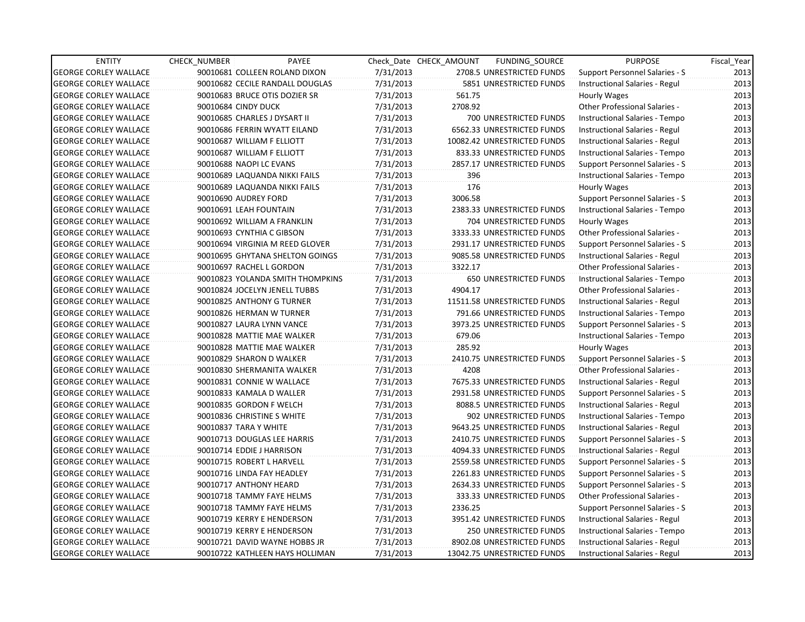| <b>ENTITY</b>                | <b>CHECK NUMBER</b>           | PAYEE                            |           | Check Date CHECK AMOUNT | FUNDING_SOURCE                | <b>PURPOSE</b>                        | Fiscal_Year |
|------------------------------|-------------------------------|----------------------------------|-----------|-------------------------|-------------------------------|---------------------------------------|-------------|
| <b>GEORGE CORLEY WALLACE</b> |                               | 90010681 COLLEEN ROLAND DIXON    | 7/31/2013 |                         | 2708.5 UNRESTRICTED FUNDS     | Support Personnel Salaries - S        | 2013        |
| <b>GEORGE CORLEY WALLACE</b> |                               | 90010682 CECILE RANDALL DOUGLAS  | 7/31/2013 |                         | 5851 UNRESTRICTED FUNDS       | Instructional Salaries - Regul        | 2013        |
| <b>GEORGE CORLEY WALLACE</b> | 90010683 BRUCE OTIS DOZIER SR |                                  | 7/31/2013 | 561.75                  |                               | Hourly Wages                          | 2013        |
| <b>GEORGE CORLEY WALLACE</b> | 90010684 CINDY DUCK           |                                  | 7/31/2013 | 2708.92                 |                               | <b>Other Professional Salaries -</b>  | 2013        |
| <b>GEORGE CORLEY WALLACE</b> | 90010685 CHARLES J DYSART II  |                                  | 7/31/2013 |                         | 700 UNRESTRICTED FUNDS        | Instructional Salaries - Tempo        | 2013        |
| <b>GEORGE CORLEY WALLACE</b> | 90010686 FERRIN WYATT EILAND  |                                  | 7/31/2013 |                         | 6562.33 UNRESTRICTED FUNDS    | Instructional Salaries - Regul        | 2013        |
| <b>GEORGE CORLEY WALLACE</b> | 90010687 WILLIAM F ELLIOTT    |                                  | 7/31/2013 |                         | 10082.42 UNRESTRICTED FUNDS   | Instructional Salaries - Regul        | 2013        |
| <b>GEORGE CORLEY WALLACE</b> | 90010687 WILLIAM F ELLIOTT    |                                  | 7/31/2013 |                         | 833.33 UNRESTRICTED FUNDS     | Instructional Salaries - Tempo        | 2013        |
| <b>GEORGE CORLEY WALLACE</b> | 90010688 NAOPI LC EVANS       |                                  | 7/31/2013 |                         | 2857.17 UNRESTRICTED FUNDS    | Support Personnel Salaries - S        | 2013        |
| <b>GEORGE CORLEY WALLACE</b> | 90010689 LAQUANDA NIKKI FAILS |                                  | 7/31/2013 | 396                     |                               | Instructional Salaries - Tempo        | 2013        |
| <b>GEORGE CORLEY WALLACE</b> | 90010689 LAQUANDA NIKKI FAILS |                                  | 7/31/2013 | 176                     |                               | Hourly Wages                          | 2013        |
| <b>GEORGE CORLEY WALLACE</b> | 90010690 AUDREY FORD          |                                  | 7/31/2013 | 3006.58                 |                               | Support Personnel Salaries - S        | 2013        |
| <b>GEORGE CORLEY WALLACE</b> | 90010691 LEAH FOUNTAIN        |                                  | 7/31/2013 |                         | 2383.33 UNRESTRICTED FUNDS    | Instructional Salaries - Tempo        | 2013        |
| <b>GEORGE CORLEY WALLACE</b> | 90010692 WILLIAM A FRANKLIN   |                                  | 7/31/2013 |                         | 704 UNRESTRICTED FUNDS        | Hourly Wages                          | 2013        |
| <b>GEORGE CORLEY WALLACE</b> | 90010693 CYNTHIA C GIBSON     |                                  | 7/31/2013 |                         | 3333.33 UNRESTRICTED FUNDS    | <b>Other Professional Salaries -</b>  | 2013        |
| <b>GEORGE CORLEY WALLACE</b> |                               | 90010694 VIRGINIA M REED GLOVER  | 7/31/2013 |                         | 2931.17 UNRESTRICTED FUNDS    | Support Personnel Salaries - S        | 2013        |
| <b>GEORGE CORLEY WALLACE</b> |                               | 90010695 GHYTANA SHELTON GOINGS  | 7/31/2013 |                         | 9085.58 UNRESTRICTED FUNDS    | Instructional Salaries - Regul        | 2013        |
| <b>GEORGE CORLEY WALLACE</b> | 90010697 RACHEL L GORDON      |                                  | 7/31/2013 | 3322.17                 |                               | Other Professional Salaries -         | 2013        |
| <b>GEORGE CORLEY WALLACE</b> |                               | 90010823 YOLANDA SMITH THOMPKINS | 7/31/2013 |                         | <b>650 UNRESTRICTED FUNDS</b> | Instructional Salaries - Tempo        | 2013        |
| <b>GEORGE CORLEY WALLACE</b> | 90010824 JOCELYN JENELL TUBBS |                                  | 7/31/2013 | 4904.17                 |                               | <b>Other Professional Salaries -</b>  | 2013        |
| <b>GEORGE CORLEY WALLACE</b> | 90010825 ANTHONY G TURNER     |                                  | 7/31/2013 |                         | 11511.58 UNRESTRICTED FUNDS   | Instructional Salaries - Regul        | 2013        |
| <b>GEORGE CORLEY WALLACE</b> | 90010826 HERMAN W TURNER      |                                  | 7/31/2013 |                         | 791.66 UNRESTRICTED FUNDS     | Instructional Salaries - Tempo        | 2013        |
| <b>GEORGE CORLEY WALLACE</b> | 90010827 LAURA LYNN VANCE     |                                  | 7/31/2013 |                         | 3973.25 UNRESTRICTED FUNDS    | <b>Support Personnel Salaries - S</b> | 2013        |
| <b>GEORGE CORLEY WALLACE</b> | 90010828 MATTIE MAE WALKER    |                                  | 7/31/2013 | 679.06                  |                               | Instructional Salaries - Tempo        | 2013        |
| <b>GEORGE CORLEY WALLACE</b> | 90010828 MATTIE MAE WALKER    |                                  | 7/31/2013 | 285.92                  |                               | Hourly Wages                          | 2013        |
| <b>GEORGE CORLEY WALLACE</b> | 90010829 SHARON D WALKER      |                                  | 7/31/2013 |                         | 2410.75 UNRESTRICTED FUNDS    | Support Personnel Salaries - S        | 2013        |
| <b>GEORGE CORLEY WALLACE</b> | 90010830 SHERMANITA WALKER    |                                  | 7/31/2013 | 4208                    |                               | Other Professional Salaries -         | 2013        |
| <b>GEORGE CORLEY WALLACE</b> | 90010831 CONNIE W WALLACE     |                                  | 7/31/2013 |                         | 7675.33 UNRESTRICTED FUNDS    | Instructional Salaries - Regul        | 2013        |
| <b>GEORGE CORLEY WALLACE</b> | 90010833 KAMALA D WALLER      |                                  | 7/31/2013 |                         | 2931.58 UNRESTRICTED FUNDS    | Support Personnel Salaries - S        | 2013        |
| <b>GEORGE CORLEY WALLACE</b> | 90010835 GORDON F WELCH       |                                  | 7/31/2013 |                         | 8088.5 UNRESTRICTED FUNDS     | Instructional Salaries - Regul        | 2013        |
| <b>GEORGE CORLEY WALLACE</b> | 90010836 CHRISTINE S WHITE    |                                  | 7/31/2013 |                         | 902 UNRESTRICTED FUNDS        | Instructional Salaries - Tempo        | 2013        |
| <b>GEORGE CORLEY WALLACE</b> | 90010837 TARA Y WHITE         |                                  | 7/31/2013 |                         | 9643.25 UNRESTRICTED FUNDS    | Instructional Salaries - Regul        | 2013        |
| <b>GEORGE CORLEY WALLACE</b> | 90010713 DOUGLAS LEE HARRIS   |                                  | 7/31/2013 |                         | 2410.75 UNRESTRICTED FUNDS    | Support Personnel Salaries - S        | 2013        |
| <b>GEORGE CORLEY WALLACE</b> | 90010714 EDDIE J HARRISON     |                                  | 7/31/2013 |                         | 4094.33 UNRESTRICTED FUNDS    | Instructional Salaries - Regul        | 2013        |
| <b>GEORGE CORLEY WALLACE</b> | 90010715 ROBERT L HARVELL     |                                  | 7/31/2013 |                         | 2559.58 UNRESTRICTED FUNDS    | Support Personnel Salaries - S        | 2013        |
| <b>GEORGE CORLEY WALLACE</b> | 90010716 LINDA FAY HEADLEY    |                                  | 7/31/2013 |                         | 2261.83 UNRESTRICTED FUNDS    | Support Personnel Salaries - S        | 2013        |
| <b>GEORGE CORLEY WALLACE</b> | 90010717 ANTHONY HEARD        |                                  | 7/31/2013 |                         | 2634.33 UNRESTRICTED FUNDS    | Support Personnel Salaries - S        | 2013        |
| <b>GEORGE CORLEY WALLACE</b> | 90010718 TAMMY FAYE HELMS     |                                  | 7/31/2013 |                         | 333.33 UNRESTRICTED FUNDS     | <b>Other Professional Salaries -</b>  | 2013        |
| <b>GEORGE CORLEY WALLACE</b> | 90010718 TAMMY FAYE HELMS     |                                  | 7/31/2013 | 2336.25                 |                               | Support Personnel Salaries - S        | 2013        |
| <b>GEORGE CORLEY WALLACE</b> | 90010719 KERRY E HENDERSON    |                                  | 7/31/2013 |                         | 3951.42 UNRESTRICTED FUNDS    | Instructional Salaries - Regul        | 2013        |
| <b>GEORGE CORLEY WALLACE</b> | 90010719 KERRY E HENDERSON    |                                  | 7/31/2013 |                         | 250 UNRESTRICTED FUNDS        | Instructional Salaries - Tempo        | 2013        |
| <b>GEORGE CORLEY WALLACE</b> |                               | 90010721 DAVID WAYNE HOBBS JR    | 7/31/2013 |                         | 8902.08 UNRESTRICTED FUNDS    | Instructional Salaries - Regul        | 2013        |
| <b>GEORGE CORLEY WALLACE</b> |                               | 90010722 KATHLEEN HAYS HOLLIMAN  | 7/31/2013 |                         | 13042.75 UNRESTRICTED FUNDS   | Instructional Salaries - Regul        | 2013        |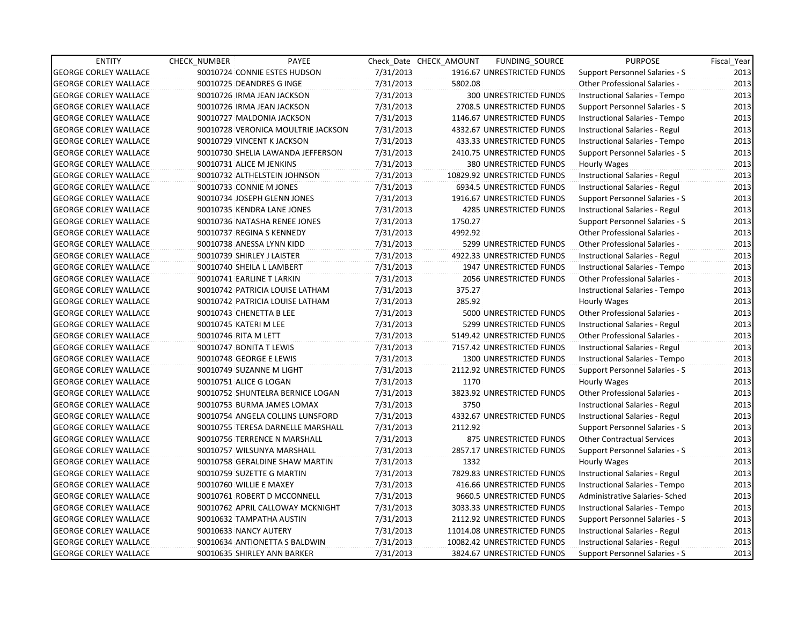| <b>ENTITY</b>                | <b>CHECK NUMBER</b>        | PAYEE                              |           | Check Date CHECK AMOUNT | FUNDING_SOURCE                 | <b>PURPOSE</b>                       | Fiscal_Year |
|------------------------------|----------------------------|------------------------------------|-----------|-------------------------|--------------------------------|--------------------------------------|-------------|
| <b>GEORGE CORLEY WALLACE</b> |                            | 90010724 CONNIE ESTES HUDSON       | 7/31/2013 |                         | 1916.67 UNRESTRICTED FUNDS     | Support Personnel Salaries - S       | 2013        |
| <b>GEORGE CORLEY WALLACE</b> | 90010725 DEANDRES G INGE   |                                    | 7/31/2013 | 5802.08                 |                                | Other Professional Salaries -        | 2013        |
| <b>GEORGE CORLEY WALLACE</b> | 90010726 IRMA JEAN JACKSON |                                    | 7/31/2013 |                         | <b>300 UNRESTRICTED FUNDS</b>  | Instructional Salaries - Tempo       | 2013        |
| <b>GEORGE CORLEY WALLACE</b> | 90010726 IRMA JEAN JACKSON |                                    | 7/31/2013 |                         | 2708.5 UNRESTRICTED FUNDS      | Support Personnel Salaries - S       | 2013        |
| <b>GEORGE CORLEY WALLACE</b> | 90010727 MALDONIA JACKSON  |                                    | 7/31/2013 |                         | 1146.67 UNRESTRICTED FUNDS     | Instructional Salaries - Tempo       | 2013        |
| <b>GEORGE CORLEY WALLACE</b> |                            | 90010728 VERONICA MOULTRIE JACKSON | 7/31/2013 |                         | 4332.67 UNRESTRICTED FUNDS     | Instructional Salaries - Regul       | 2013        |
| <b>GEORGE CORLEY WALLACE</b> | 90010729 VINCENT K JACKSON |                                    | 7/31/2013 |                         | 433.33 UNRESTRICTED FUNDS      | Instructional Salaries - Tempo       | 2013        |
| <b>GEORGE CORLEY WALLACE</b> |                            | 90010730 SHELIA LAWANDA JEFFERSON  | 7/31/2013 |                         | 2410.75 UNRESTRICTED FUNDS     | Support Personnel Salaries - S       | 2013        |
| <b>GEORGE CORLEY WALLACE</b> | 90010731 ALICE M JENKINS   |                                    | 7/31/2013 |                         | <b>380 UNRESTRICTED FUNDS</b>  | <b>Hourly Wages</b>                  | 2013        |
| <b>GEORGE CORLEY WALLACE</b> |                            | 90010732 ALTHELSTEIN JOHNSON       | 7/31/2013 |                         | 10829.92 UNRESTRICTED FUNDS    | Instructional Salaries - Regul       | 2013        |
| <b>GEORGE CORLEY WALLACE</b> | 90010733 CONNIE M JONES    |                                    | 7/31/2013 |                         | 6934.5 UNRESTRICTED FUNDS      | Instructional Salaries - Regul       | 2013        |
| <b>GEORGE CORLEY WALLACE</b> |                            | 90010734 JOSEPH GLENN JONES        | 7/31/2013 |                         | 1916.67 UNRESTRICTED FUNDS     | Support Personnel Salaries - S       | 2013        |
| <b>GEORGE CORLEY WALLACE</b> |                            | 90010735 KENDRA LANE JONES         | 7/31/2013 |                         | <b>4285 UNRESTRICTED FUNDS</b> | Instructional Salaries - Regul       | 2013        |
| <b>GEORGE CORLEY WALLACE</b> |                            | 90010736 NATASHA RENEE JONES       | 7/31/2013 | 1750.27                 |                                | Support Personnel Salaries - S       | 2013        |
| <b>GEORGE CORLEY WALLACE</b> | 90010737 REGINA S KENNEDY  |                                    | 7/31/2013 | 4992.92                 |                                | <b>Other Professional Salaries -</b> | 2013        |
| <b>GEORGE CORLEY WALLACE</b> | 90010738 ANESSA LYNN KIDD  |                                    | 7/31/2013 |                         | 5299 UNRESTRICTED FUNDS        | Other Professional Salaries -        | 2013        |
| <b>GEORGE CORLEY WALLACE</b> | 90010739 SHIRLEY J LAISTER |                                    | 7/31/2013 |                         | 4922.33 UNRESTRICTED FUNDS     | Instructional Salaries - Regul       | 2013        |
| <b>GEORGE CORLEY WALLACE</b> | 90010740 SHEILA L LAMBERT  |                                    | 7/31/2013 |                         | 1947 UNRESTRICTED FUNDS        | Instructional Salaries - Tempo       | 2013        |
| <b>GEORGE CORLEY WALLACE</b> | 90010741 EARLINE T LARKIN  |                                    | 7/31/2013 |                         | 2056 UNRESTRICTED FUNDS        | Other Professional Salaries -        | 2013        |
| <b>GEORGE CORLEY WALLACE</b> |                            | 90010742 PATRICIA LOUISE LATHAM    | 7/31/2013 | 375.27                  |                                | Instructional Salaries - Tempo       | 2013        |
| <b>GEORGE CORLEY WALLACE</b> |                            | 90010742 PATRICIA LOUISE LATHAM    | 7/31/2013 | 285.92                  |                                | Hourly Wages                         | 2013        |
| <b>GEORGE CORLEY WALLACE</b> | 90010743 CHENETTA B LEE    |                                    | 7/31/2013 |                         | 5000 UNRESTRICTED FUNDS        | Other Professional Salaries -        | 2013        |
| <b>GEORGE CORLEY WALLACE</b> | 90010745 KATERI M LEE      |                                    | 7/31/2013 |                         | 5299 UNRESTRICTED FUNDS        | Instructional Salaries - Regul       | 2013        |
| <b>GEORGE CORLEY WALLACE</b> | 90010746 RITA M LETT       |                                    | 7/31/2013 |                         | 5149.42 UNRESTRICTED FUNDS     | <b>Other Professional Salaries -</b> | 2013        |
| <b>GEORGE CORLEY WALLACE</b> | 90010747 BONITA T LEWIS    |                                    | 7/31/2013 |                         | 7157.42 UNRESTRICTED FUNDS     | Instructional Salaries - Regul       | 2013        |
| <b>GEORGE CORLEY WALLACE</b> | 90010748 GEORGE E LEWIS    |                                    | 7/31/2013 |                         | 1300 UNRESTRICTED FUNDS        | Instructional Salaries - Tempo       | 2013        |
| <b>GEORGE CORLEY WALLACE</b> | 90010749 SUZANNE M LIGHT   |                                    | 7/31/2013 |                         | 2112.92 UNRESTRICTED FUNDS     | Support Personnel Salaries - S       | 2013        |
| <b>GEORGE CORLEY WALLACE</b> | 90010751 ALICE G LOGAN     |                                    | 7/31/2013 | 1170                    |                                | Hourly Wages                         | 2013        |
| <b>GEORGE CORLEY WALLACE</b> |                            | 90010752 SHUNTELRA BERNICE LOGAN   | 7/31/2013 |                         | 3823.92 UNRESTRICTED FUNDS     | Other Professional Salaries -        | 2013        |
| <b>GEORGE CORLEY WALLACE</b> |                            | 90010753 BURMA JAMES LOMAX         | 7/31/2013 | 3750                    |                                | Instructional Salaries - Regul       | 2013        |
| <b>GEORGE CORLEY WALLACE</b> |                            | 90010754 ANGELA COLLINS LUNSFORD   | 7/31/2013 |                         | 4332.67 UNRESTRICTED FUNDS     | Instructional Salaries - Regul       | 2013        |
| <b>GEORGE CORLEY WALLACE</b> |                            | 90010755 TERESA DARNELLE MARSHALL  | 7/31/2013 | 2112.92                 |                                | Support Personnel Salaries - S       | 2013        |
| <b>GEORGE CORLEY WALLACE</b> |                            | 90010756 TERRENCE N MARSHALL       | 7/31/2013 |                         | 875 UNRESTRICTED FUNDS         | <b>Other Contractual Services</b>    | 2013        |
| <b>GEORGE CORLEY WALLACE</b> |                            | 90010757 WILSUNYA MARSHALL         | 7/31/2013 |                         | 2857.17 UNRESTRICTED FUNDS     | Support Personnel Salaries - S       | 2013        |
| <b>GEORGE CORLEY WALLACE</b> |                            | 90010758 GERALDINE SHAW MARTIN     | 7/31/2013 | 1332                    |                                | Hourly Wages                         | 2013        |
| <b>GEORGE CORLEY WALLACE</b> | 90010759 SUZETTE G MARTIN  |                                    | 7/31/2013 |                         | 7829.83 UNRESTRICTED FUNDS     | Instructional Salaries - Regul       | 2013        |
| <b>GEORGE CORLEY WALLACE</b> | 90010760 WILLIE E MAXEY    |                                    | 7/31/2013 |                         | 416.66 UNRESTRICTED FUNDS      | Instructional Salaries - Tempo       | 2013        |
| <b>GEORGE CORLEY WALLACE</b> |                            | 90010761 ROBERT D MCCONNELL        | 7/31/2013 |                         | 9660.5 UNRESTRICTED FUNDS      | Administrative Salaries- Sched       | 2013        |
| <b>GEORGE CORLEY WALLACE</b> |                            | 90010762 APRIL CALLOWAY MCKNIGHT   | 7/31/2013 |                         | 3033.33 UNRESTRICTED FUNDS     | Instructional Salaries - Tempo       | 2013        |
| <b>GEORGE CORLEY WALLACE</b> | 90010632 TAMPATHA AUSTIN   |                                    | 7/31/2013 |                         | 2112.92 UNRESTRICTED FUNDS     | Support Personnel Salaries - S       | 2013        |
| <b>GEORGE CORLEY WALLACE</b> | 90010633 NANCY AUTERY      |                                    | 7/31/2013 |                         | 11014.08 UNRESTRICTED FUNDS    | Instructional Salaries - Regul       | 2013        |
| <b>GEORGE CORLEY WALLACE</b> |                            | 90010634 ANTIONETTA S BALDWIN      | 7/31/2013 |                         | 10082.42 UNRESTRICTED FUNDS    | Instructional Salaries - Regul       | 2013        |
| <b>GEORGE CORLEY WALLACE</b> |                            | 90010635 SHIRLEY ANN BARKER        | 7/31/2013 |                         | 3824.67 UNRESTRICTED FUNDS     | Support Personnel Salaries - S       | 2013        |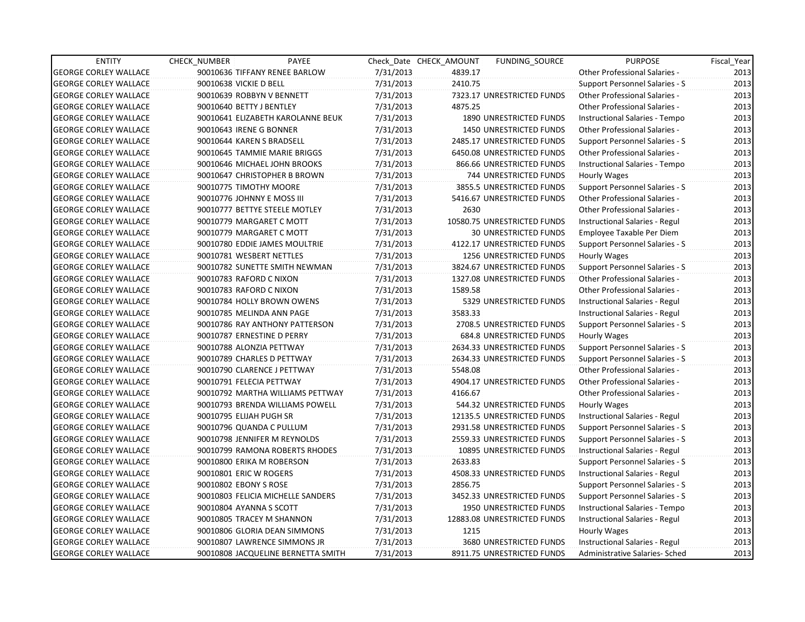| <b>ENTITY</b>                | <b>CHECK NUMBER</b>      | PAYEE                              |           | Check Date CHECK AMOUNT | FUNDING SOURCE                 | <b>PURPOSE</b>                        | Fiscal_Year |
|------------------------------|--------------------------|------------------------------------|-----------|-------------------------|--------------------------------|---------------------------------------|-------------|
| <b>GEORGE CORLEY WALLACE</b> |                          | 90010636 TIFFANY RENEE BARLOW      | 7/31/2013 | 4839.17                 |                                | <b>Other Professional Salaries -</b>  | 2013        |
| <b>GEORGE CORLEY WALLACE</b> | 90010638 VICKIE D BELL   |                                    | 7/31/2013 | 2410.75                 |                                | Support Personnel Salaries - S        | 2013        |
| <b>GEORGE CORLEY WALLACE</b> |                          | 90010639 ROBBYN V BENNETT          | 7/31/2013 |                         | 7323.17 UNRESTRICTED FUNDS     | Other Professional Salaries -         | 2013        |
| <b>GEORGE CORLEY WALLACE</b> | 90010640 BETTY J BENTLEY |                                    | 7/31/2013 | 4875.25                 |                                | <b>Other Professional Salaries -</b>  | 2013        |
| <b>GEORGE CORLEY WALLACE</b> |                          | 90010641 ELIZABETH KAROLANNE BEUK  | 7/31/2013 |                         | 1890 UNRESTRICTED FUNDS        | Instructional Salaries - Tempo        | 2013        |
| <b>GEORGE CORLEY WALLACE</b> | 90010643 IRENE G BONNER  |                                    | 7/31/2013 |                         | <b>1450 UNRESTRICTED FUNDS</b> | Other Professional Salaries -         | 2013        |
| <b>GEORGE CORLEY WALLACE</b> |                          | 90010644 KAREN S BRADSELL          | 7/31/2013 |                         | 2485.17 UNRESTRICTED FUNDS     | Support Personnel Salaries - S        | 2013        |
| <b>GEORGE CORLEY WALLACE</b> |                          | 90010645 TAMMIE MARIE BRIGGS       | 7/31/2013 |                         | 6450.08 UNRESTRICTED FUNDS     | Other Professional Salaries -         | 2013        |
| <b>GEORGE CORLEY WALLACE</b> |                          | 90010646 MICHAEL JOHN BROOKS       | 7/31/2013 |                         | 866.66 UNRESTRICTED FUNDS      | Instructional Salaries - Tempo        | 2013        |
| <b>GEORGE CORLEY WALLACE</b> |                          | 90010647 CHRISTOPHER B BROWN       | 7/31/2013 |                         | 744 UNRESTRICTED FUNDS         | <b>Hourly Wages</b>                   | 2013        |
| <b>GEORGE CORLEY WALLACE</b> |                          | 90010775 TIMOTHY MOORE             | 7/31/2013 |                         | 3855.5 UNRESTRICTED FUNDS      | Support Personnel Salaries - S        | 2013        |
| <b>GEORGE CORLEY WALLACE</b> |                          | 90010776 JOHNNY E MOSS III         | 7/31/2013 |                         | 5416.67 UNRESTRICTED FUNDS     | Other Professional Salaries -         | 2013        |
| <b>GEORGE CORLEY WALLACE</b> |                          | 90010777 BETTYE STEELE MOTLEY      | 7/31/2013 | 2630                    |                                | <b>Other Professional Salaries -</b>  | 2013        |
| <b>GEORGE CORLEY WALLACE</b> |                          | 90010779 MARGARET C MOTT           | 7/31/2013 |                         | 10580.75 UNRESTRICTED FUNDS    | Instructional Salaries - Regul        | 2013        |
| <b>GEORGE CORLEY WALLACE</b> |                          | 90010779 MARGARET C MOTT           | 7/31/2013 |                         | <b>30 UNRESTRICTED FUNDS</b>   | Employee Taxable Per Diem             | 2013        |
| <b>GEORGE CORLEY WALLACE</b> |                          | 90010780 EDDIE JAMES MOULTRIE      | 7/31/2013 |                         | 4122.17 UNRESTRICTED FUNDS     | Support Personnel Salaries - S        | 2013        |
| <b>GEORGE CORLEY WALLACE</b> |                          | 90010781 WESBERT NETTLES           | 7/31/2013 |                         | 1256 UNRESTRICTED FUNDS        | Hourly Wages                          | 2013        |
| <b>GEORGE CORLEY WALLACE</b> |                          | 90010782 SUNETTE SMITH NEWMAN      | 7/31/2013 |                         | 3824.67 UNRESTRICTED FUNDS     | <b>Support Personnel Salaries - S</b> | 2013        |
| <b>GEORGE CORLEY WALLACE</b> | 90010783 RAFORD C NIXON  |                                    | 7/31/2013 |                         | 1327.08 UNRESTRICTED FUNDS     | Other Professional Salaries -         | 2013        |
| <b>GEORGE CORLEY WALLACE</b> |                          | 90010783 RAFORD C NIXON            | 7/31/2013 | 1589.58                 |                                | <b>Other Professional Salaries -</b>  | 2013        |
| <b>GEORGE CORLEY WALLACE</b> |                          | 90010784 HOLLY BROWN OWENS         | 7/31/2013 |                         | 5329 UNRESTRICTED FUNDS        | Instructional Salaries - Regul        | 2013        |
| <b>GEORGE CORLEY WALLACE</b> |                          | 90010785 MELINDA ANN PAGE          | 7/31/2013 | 3583.33                 |                                | Instructional Salaries - Regul        | 2013        |
| <b>GEORGE CORLEY WALLACE</b> |                          | 90010786 RAY ANTHONY PATTERSON     | 7/31/2013 |                         | 2708.5 UNRESTRICTED FUNDS      | Support Personnel Salaries - S        | 2013        |
| <b>GEORGE CORLEY WALLACE</b> |                          | 90010787 ERNESTINE D PERRY         | 7/31/2013 |                         | 684.8 UNRESTRICTED FUNDS       | Hourly Wages                          | 2013        |
| <b>GEORGE CORLEY WALLACE</b> |                          | 90010788 ALONZIA PETTWAY           | 7/31/2013 |                         | 2634.33 UNRESTRICTED FUNDS     | Support Personnel Salaries - S        | 2013        |
| <b>GEORGE CORLEY WALLACE</b> |                          | 90010789 CHARLES D PETTWAY         | 7/31/2013 |                         | 2634.33 UNRESTRICTED FUNDS     | Support Personnel Salaries - S        | 2013        |
| <b>GEORGE CORLEY WALLACE</b> |                          | 90010790 CLARENCE J PETTWAY        | 7/31/2013 | 5548.08                 |                                | <b>Other Professional Salaries -</b>  | 2013        |
| <b>GEORGE CORLEY WALLACE</b> |                          | 90010791 FELECIA PETTWAY           | 7/31/2013 |                         | 4904.17 UNRESTRICTED FUNDS     | Other Professional Salaries -         | 2013        |
| <b>GEORGE CORLEY WALLACE</b> |                          | 90010792 MARTHA WILLIAMS PETTWAY   | 7/31/2013 | 4166.67                 |                                | Other Professional Salaries -         | 2013        |
| <b>GEORGE CORLEY WALLACE</b> |                          | 90010793 BRENDA WILLIAMS POWELL    | 7/31/2013 |                         | 544.32 UNRESTRICTED FUNDS      | Hourly Wages                          | 2013        |
| <b>GEORGE CORLEY WALLACE</b> | 90010795 ELIJAH PUGH SR  |                                    | 7/31/2013 |                         | 12135.5 UNRESTRICTED FUNDS     | Instructional Salaries - Regul        | 2013        |
| <b>GEORGE CORLEY WALLACE</b> |                          | 90010796 QUANDA C PULLUM           | 7/31/2013 |                         | 2931.58 UNRESTRICTED FUNDS     | Support Personnel Salaries - S        | 2013        |
| <b>GEORGE CORLEY WALLACE</b> |                          | 90010798 JENNIFER M REYNOLDS       | 7/31/2013 |                         | 2559.33 UNRESTRICTED FUNDS     | Support Personnel Salaries - S        | 2013        |
| <b>GEORGE CORLEY WALLACE</b> |                          | 90010799 RAMONA ROBERTS RHODES     | 7/31/2013 |                         | 10895 UNRESTRICTED FUNDS       | Instructional Salaries - Regul        | 2013        |
| <b>GEORGE CORLEY WALLACE</b> |                          | 90010800 ERIKA M ROBERSON          | 7/31/2013 | 2633.83                 |                                | Support Personnel Salaries - S        | 2013        |
| <b>GEORGE CORLEY WALLACE</b> | 90010801 ERIC W ROGERS   |                                    | 7/31/2013 |                         | 4508.33 UNRESTRICTED FUNDS     | Instructional Salaries - Regul        | 2013        |
| <b>GEORGE CORLEY WALLACE</b> | 90010802 EBONY S ROSE    |                                    | 7/31/2013 | 2856.75                 |                                | Support Personnel Salaries - S        | 2013        |
| <b>GEORGE CORLEY WALLACE</b> |                          | 90010803 FELICIA MICHELLE SANDERS  | 7/31/2013 |                         | 3452.33 UNRESTRICTED FUNDS     | <b>Support Personnel Salaries - S</b> | 2013        |
| <b>GEORGE CORLEY WALLACE</b> | 90010804 AYANNA S SCOTT  |                                    | 7/31/2013 |                         | 1950 UNRESTRICTED FUNDS        | Instructional Salaries - Tempo        | 2013        |
| <b>GEORGE CORLEY WALLACE</b> |                          | 90010805 TRACEY M SHANNON          | 7/31/2013 |                         | 12883.08 UNRESTRICTED FUNDS    | Instructional Salaries - Regul        | 2013        |
| <b>GEORGE CORLEY WALLACE</b> |                          | 90010806 GLORIA DEAN SIMMONS       | 7/31/2013 | 1215                    |                                | Hourly Wages                          | 2013        |
| <b>GEORGE CORLEY WALLACE</b> |                          | 90010807 LAWRENCE SIMMONS JR       | 7/31/2013 |                         | 3680 UNRESTRICTED FUNDS        | Instructional Salaries - Regul        | 2013        |
| <b>GEORGE CORLEY WALLACE</b> |                          | 90010808 JACQUELINE BERNETTA SMITH | 7/31/2013 |                         | 8911.75 UNRESTRICTED FUNDS     | Administrative Salaries- Sched        | 2013        |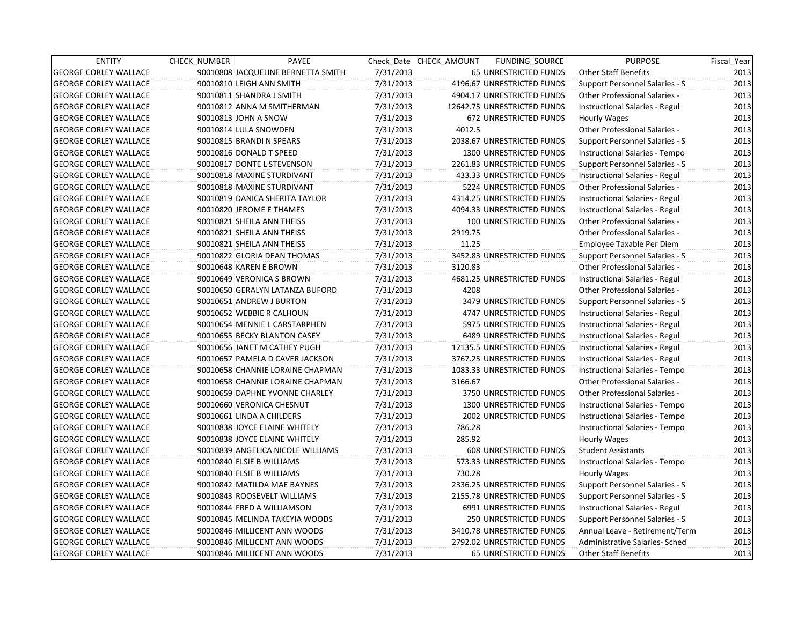| <b>ENTITY</b>                | <b>CHECK NUMBER</b> | PAYEE                              |           | Check Date CHECK AMOUNT | FUNDING SOURCE                | <b>PURPOSE</b>                        | Fiscal_Year |
|------------------------------|---------------------|------------------------------------|-----------|-------------------------|-------------------------------|---------------------------------------|-------------|
| <b>GEORGE CORLEY WALLACE</b> |                     | 90010808 JACQUELINE BERNETTA SMITH | 7/31/2013 |                         | 65 UNRESTRICTED FUNDS         | Other Staff Benefits                  | 2013        |
| <b>GEORGE CORLEY WALLACE</b> |                     | 90010810 LEIGH ANN SMITH           | 7/31/2013 |                         | 4196.67 UNRESTRICTED FUNDS    | Support Personnel Salaries - S        | 2013        |
| <b>GEORGE CORLEY WALLACE</b> |                     | 90010811 SHANDRA J SMITH           | 7/31/2013 |                         | 4904.17 UNRESTRICTED FUNDS    | <b>Other Professional Salaries -</b>  | 2013        |
| <b>GEORGE CORLEY WALLACE</b> |                     | 90010812 ANNA M SMITHERMAN         | 7/31/2013 |                         | 12642.75 UNRESTRICTED FUNDS   | Instructional Salaries - Regul        | 2013        |
| <b>GEORGE CORLEY WALLACE</b> |                     | 90010813 JOHN A SNOW               | 7/31/2013 |                         | 672 UNRESTRICTED FUNDS        | Hourly Wages                          | 2013        |
| <b>GEORGE CORLEY WALLACE</b> |                     | 90010814 LULA SNOWDEN              | 7/31/2013 | 4012.5                  |                               | Other Professional Salaries -         | 2013        |
| GEORGE CORLEY WALLACE        |                     | 90010815 BRANDI N SPEARS           | 7/31/2013 |                         | 2038.67 UNRESTRICTED FUNDS    | Support Personnel Salaries - S        | 2013        |
| <b>GEORGE CORLEY WALLACE</b> |                     | 90010816 DONALD T SPEED            | 7/31/2013 |                         | 1300 UNRESTRICTED FUNDS       | Instructional Salaries - Tempo        | 2013        |
| <b>GEORGE CORLEY WALLACE</b> |                     | 90010817 DONTE L STEVENSON         | 7/31/2013 |                         | 2261.83 UNRESTRICTED FUNDS    | Support Personnel Salaries - S        | 2013        |
| <b>GEORGE CORLEY WALLACE</b> |                     | 90010818 MAXINE STURDIVANT         | 7/31/2013 |                         | 433.33 UNRESTRICTED FUNDS     | Instructional Salaries - Regul        | 2013        |
| <b>GEORGE CORLEY WALLACE</b> |                     | 90010818 MAXINE STURDIVANT         | 7/31/2013 |                         | 5224 UNRESTRICTED FUNDS       | Other Professional Salaries -         | 2013        |
| <b>GEORGE CORLEY WALLACE</b> |                     | 90010819 DANICA SHERITA TAYLOR     | 7/31/2013 |                         | 4314.25 UNRESTRICTED FUNDS    | Instructional Salaries - Regul        | 2013        |
| <b>GEORGE CORLEY WALLACE</b> |                     | 90010820 JEROME E THAMES           | 7/31/2013 |                         | 4094.33 UNRESTRICTED FUNDS    | Instructional Salaries - Regul        | 2013        |
| <b>GEORGE CORLEY WALLACE</b> |                     | 90010821 SHEILA ANN THEISS         | 7/31/2013 |                         | <b>100 UNRESTRICTED FUNDS</b> | <b>Other Professional Salaries -</b>  | 2013        |
| <b>GEORGE CORLEY WALLACE</b> |                     | 90010821 SHEILA ANN THEISS         | 7/31/2013 | 2919.75                 |                               | <b>Other Professional Salaries -</b>  | 2013        |
| <b>GEORGE CORLEY WALLACE</b> |                     | 90010821 SHEILA ANN THEISS         | 7/31/2013 | 11.25                   |                               | Employee Taxable Per Diem             | 2013        |
| GEORGE CORLEY WALLACE        |                     | 90010822 GLORIA DEAN THOMAS        | 7/31/2013 |                         | 3452.83 UNRESTRICTED FUNDS    | Support Personnel Salaries - S        | 2013        |
| <b>GEORGE CORLEY WALLACE</b> |                     | 90010648 KAREN E BROWN             | 7/31/2013 | 3120.83                 |                               | <b>Other Professional Salaries -</b>  | 2013        |
| <b>GEORGE CORLEY WALLACE</b> |                     | 90010649 VERONICA S BROWN          | 7/31/2013 |                         | 4681.25 UNRESTRICTED FUNDS    | Instructional Salaries - Regul        | 2013        |
| <b>GEORGE CORLEY WALLACE</b> |                     | 90010650 GERALYN LATANZA BUFORD    | 7/31/2013 | 4208                    |                               | Other Professional Salaries -         | 2013        |
| <b>GEORGE CORLEY WALLACE</b> |                     | 90010651 ANDREW J BURTON           | 7/31/2013 |                         | 3479 UNRESTRICTED FUNDS       | Support Personnel Salaries - S        | 2013        |
| <b>GEORGE CORLEY WALLACE</b> |                     | 90010652 WEBBIE R CALHOUN          | 7/31/2013 |                         | 4747 UNRESTRICTED FUNDS       | Instructional Salaries - Regul        | 2013        |
| <b>GEORGE CORLEY WALLACE</b> |                     | 90010654 MENNIE L CARSTARPHEN      | 7/31/2013 |                         | 5975 UNRESTRICTED FUNDS       | Instructional Salaries - Regul        | 2013        |
| <b>GEORGE CORLEY WALLACE</b> |                     | 90010655 BECKY BLANTON CASEY       | 7/31/2013 |                         | 6489 UNRESTRICTED FUNDS       | Instructional Salaries - Regul        | 2013        |
| <b>GEORGE CORLEY WALLACE</b> |                     | 90010656 JANET M CATHEY PUGH       | 7/31/2013 |                         | 12135.5 UNRESTRICTED FUNDS    | Instructional Salaries - Regul        | 2013        |
| <b>GEORGE CORLEY WALLACE</b> |                     | 90010657 PAMELA D CAVER JACKSON    | 7/31/2013 |                         | 3767.25 UNRESTRICTED FUNDS    | Instructional Salaries - Regul        | 2013        |
| <b>GEORGE CORLEY WALLACE</b> |                     | 90010658 CHANNIE LORAINE CHAPMAN   | 7/31/2013 |                         | 1083.33 UNRESTRICTED FUNDS    | Instructional Salaries - Tempo        | 2013        |
| <b>GEORGE CORLEY WALLACE</b> |                     | 90010658 CHANNIE LORAINE CHAPMAN   | 7/31/2013 | 3166.67                 |                               | Other Professional Salaries -         | 2013        |
| <b>GEORGE CORLEY WALLACE</b> |                     | 90010659 DAPHNE YVONNE CHARLEY     | 7/31/2013 |                         | 3750 UNRESTRICTED FUNDS       | <b>Other Professional Salaries -</b>  | 2013        |
| <b>GEORGE CORLEY WALLACE</b> |                     | 90010660 VERONICA CHESNUT          | 7/31/2013 |                         | 1300 UNRESTRICTED FUNDS       | Instructional Salaries - Tempo        | 2013        |
| <b>GEORGE CORLEY WALLACE</b> |                     | 90010661 LINDA A CHILDERS          | 7/31/2013 |                         | 2002 UNRESTRICTED FUNDS       | Instructional Salaries - Tempo        | 2013        |
| <b>GEORGE CORLEY WALLACE</b> |                     | 90010838 JOYCE ELAINE WHITELY      | 7/31/2013 | 786.28                  |                               | Instructional Salaries - Tempo        | 2013        |
| <b>GEORGE CORLEY WALLACE</b> |                     | 90010838 JOYCE ELAINE WHITELY      | 7/31/2013 | 285.92                  |                               | Hourly Wages                          | 2013        |
| <b>GEORGE CORLEY WALLACE</b> |                     | 90010839 ANGELICA NICOLE WILLIAMS  | 7/31/2013 |                         | <b>608 UNRESTRICTED FUNDS</b> | <b>Student Assistants</b>             | 2013        |
| <b>GEORGE CORLEY WALLACE</b> |                     | 90010840 ELSIE B WILLIAMS          | 7/31/2013 |                         | 573.33 UNRESTRICTED FUNDS     | Instructional Salaries - Tempo        | 2013        |
| <b>GEORGE CORLEY WALLACE</b> |                     | 90010840 ELSIE B WILLIAMS          | 7/31/2013 | 730.28                  |                               | Hourly Wages                          | 2013        |
| <b>GEORGE CORLEY WALLACE</b> |                     | 90010842 MATILDA MAE BAYNES        | 7/31/2013 |                         | 2336.25 UNRESTRICTED FUNDS    | <b>Support Personnel Salaries - S</b> | 2013        |
| <b>GEORGE CORLEY WALLACE</b> |                     | 90010843 ROOSEVELT WILLIAMS        | 7/31/2013 |                         | 2155.78 UNRESTRICTED FUNDS    | <b>Support Personnel Salaries - S</b> | 2013        |
| <b>GEORGE CORLEY WALLACE</b> |                     | 90010844 FRED A WILLIAMSON         | 7/31/2013 |                         | 6991 UNRESTRICTED FUNDS       | Instructional Salaries - Regul        | 2013        |
| <b>GEORGE CORLEY WALLACE</b> |                     | 90010845 MELINDA TAKEYIA WOODS     | 7/31/2013 |                         | 250 UNRESTRICTED FUNDS        | Support Personnel Salaries - S        | 2013        |
| <b>GEORGE CORLEY WALLACE</b> |                     | 90010846 MILLICENT ANN WOODS       | 7/31/2013 |                         | 3410.78 UNRESTRICTED FUNDS    | Annual Leave - Retirement/Term        | 2013        |
| <b>GEORGE CORLEY WALLACE</b> |                     | 90010846 MILLICENT ANN WOODS       | 7/31/2013 |                         | 2792.02 UNRESTRICTED FUNDS    | Administrative Salaries- Sched        | 2013        |
| <b>GEORGE CORLEY WALLACE</b> |                     | 90010846 MILLICENT ANN WOODS       | 7/31/2013 |                         | <b>65 UNRESTRICTED FUNDS</b>  | <b>Other Staff Benefits</b>           | 2013        |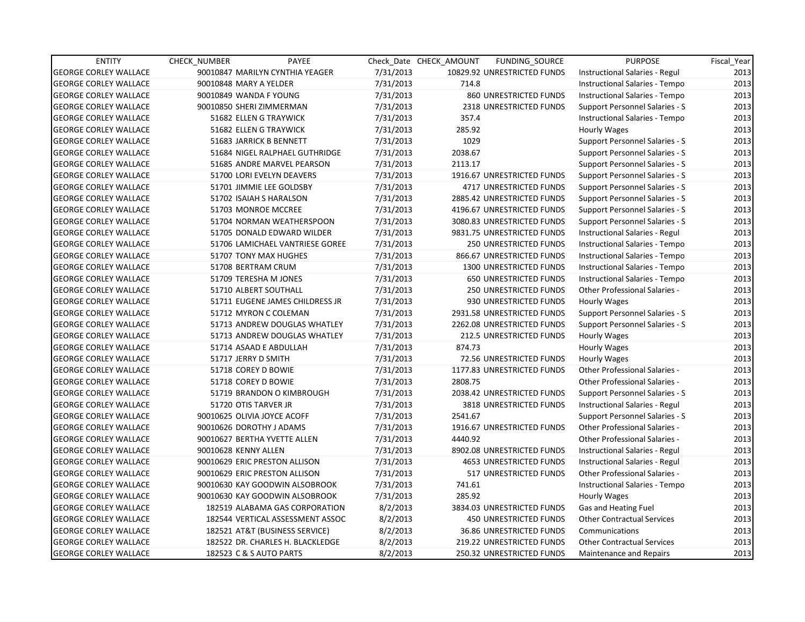| <b>ENTITY</b>                | <b>CHECK NUMBER</b>    | PAYEE                            |           | Check Date CHECK AMOUNT | FUNDING SOURCE                  | <b>PURPOSE</b>                        | Fiscal_Year |
|------------------------------|------------------------|----------------------------------|-----------|-------------------------|---------------------------------|---------------------------------------|-------------|
| <b>GEORGE CORLEY WALLACE</b> |                        | 90010847 MARILYN CYNTHIA YEAGER  | 7/31/2013 |                         | 10829.92 UNRESTRICTED FUNDS     | Instructional Salaries - Regul        | 2013        |
| <b>GEORGE CORLEY WALLACE</b> | 90010848 MARY A YELDER |                                  | 7/31/2013 | 714.8                   |                                 | Instructional Salaries - Tempo        | 2013        |
| <b>GEORGE CORLEY WALLACE</b> |                        | 90010849 WANDA F YOUNG           | 7/31/2013 |                         | 860 UNRESTRICTED FUNDS          | Instructional Salaries - Tempo        | 2013        |
| <b>GEORGE CORLEY WALLACE</b> |                        | 90010850 SHERI ZIMMERMAN         | 7/31/2013 |                         | <b>2318 UNRESTRICTED FUNDS</b>  | Support Personnel Salaries - S        | 2013        |
| <b>GEORGE CORLEY WALLACE</b> |                        | 51682 ELLEN G TRAYWICK           | 7/31/2013 | 357.4                   |                                 | Instructional Salaries - Tempo        | 2013        |
| <b>GEORGE CORLEY WALLACE</b> |                        | 51682 ELLEN G TRAYWICK           | 7/31/2013 | 285.92                  |                                 | Hourly Wages                          | 2013        |
| GEORGE CORLEY WALLACE        |                        | 51683 JARRICK B BENNETT          | 7/31/2013 | 1029                    |                                 | <b>Support Personnel Salaries - S</b> | 2013        |
| <b>GEORGE CORLEY WALLACE</b> |                        | 51684 NIGEL RALPHAEL GUTHRIDGE   | 7/31/2013 | 2038.67                 |                                 | <b>Support Personnel Salaries - S</b> | 2013        |
| <b>GEORGE CORLEY WALLACE</b> |                        | 51685 ANDRE MARVEL PEARSON       | 7/31/2013 | 2113.17                 |                                 | Support Personnel Salaries - S        | 2013        |
| <b>GEORGE CORLEY WALLACE</b> |                        | 51700 LORI EVELYN DEAVERS        | 7/31/2013 |                         | 1916.67 UNRESTRICTED FUNDS      | Support Personnel Salaries - S        | 2013        |
| <b>GEORGE CORLEY WALLACE</b> |                        | 51701 JIMMIE LEE GOLDSBY         | 7/31/2013 |                         | 4717 UNRESTRICTED FUNDS         | Support Personnel Salaries - S        | 2013        |
| <b>GEORGE CORLEY WALLACE</b> |                        | 51702 ISAIAH S HARALSON          | 7/31/2013 |                         | 2885.42 UNRESTRICTED FUNDS      | Support Personnel Salaries - S        | 2013        |
| <b>GEORGE CORLEY WALLACE</b> |                        | 51703 MONROE MCCREE              | 7/31/2013 |                         | 4196.67 UNRESTRICTED FUNDS      | Support Personnel Salaries - S        | 2013        |
| <b>GEORGE CORLEY WALLACE</b> |                        | 51704 NORMAN WEATHERSPOON        | 7/31/2013 |                         | 3080.83 UNRESTRICTED FUNDS      | Support Personnel Salaries - S        | 2013        |
| <b>GEORGE CORLEY WALLACE</b> |                        | 51705 DONALD EDWARD WILDER       | 7/31/2013 |                         | 9831.75 UNRESTRICTED FUNDS      | Instructional Salaries - Regul        | 2013        |
| <b>GEORGE CORLEY WALLACE</b> |                        | 51706 LAMICHAEL VANTRIESE GOREE  | 7/31/2013 |                         | <b>250 UNRESTRICTED FUNDS</b>   | Instructional Salaries - Tempo        | 2013        |
| GEORGE CORLEY WALLACE        |                        | 51707 TONY MAX HUGHES            | 7/31/2013 |                         | 866.67 UNRESTRICTED FUNDS       | Instructional Salaries - Tempo        | 2013        |
| <b>GEORGE CORLEY WALLACE</b> |                        | 51708 BERTRAM CRUM               | 7/31/2013 |                         | 1300 UNRESTRICTED FUNDS         | Instructional Salaries - Tempo        | 2013        |
| <b>GEORGE CORLEY WALLACE</b> |                        | 51709 TERESHA M JONES            | 7/31/2013 |                         | <b>650 UNRESTRICTED FUNDS</b>   | Instructional Salaries - Tempo        | 2013        |
| <b>GEORGE CORLEY WALLACE</b> |                        | 51710 ALBERT SOUTHALL            | 7/31/2013 |                         | 250 UNRESTRICTED FUNDS          | Other Professional Salaries -         | 2013        |
| <b>GEORGE CORLEY WALLACE</b> |                        | 51711 EUGENE JAMES CHILDRESS JR  | 7/31/2013 |                         | 930 UNRESTRICTED FUNDS          | Hourly Wages                          | 2013        |
| <b>GEORGE CORLEY WALLACE</b> |                        | 51712 MYRON C COLEMAN            | 7/31/2013 |                         | 2931.58 UNRESTRICTED FUNDS      | Support Personnel Salaries - S        | 2013        |
| <b>GEORGE CORLEY WALLACE</b> |                        | 51713 ANDREW DOUGLAS WHATLEY     | 7/31/2013 |                         | 2262.08 UNRESTRICTED FUNDS      | Support Personnel Salaries - S        | 2013        |
| <b>GEORGE CORLEY WALLACE</b> |                        | 51713 ANDREW DOUGLAS WHATLEY     | 7/31/2013 |                         | <b>212.5 UNRESTRICTED FUNDS</b> | Hourly Wages                          | 2013        |
| <b>GEORGE CORLEY WALLACE</b> |                        | 51714 ASAAD E ABDULLAH           | 7/31/2013 | 874.73                  |                                 | Hourly Wages                          | 2013        |
| <b>GEORGE CORLEY WALLACE</b> |                        | 51717 JERRY D SMITH              | 7/31/2013 |                         | 72.56 UNRESTRICTED FUNDS        | Hourly Wages                          | 2013        |
| <b>GEORGE CORLEY WALLACE</b> |                        | 51718 COREY D BOWIE              | 7/31/2013 |                         | 1177.83 UNRESTRICTED FUNDS      | Other Professional Salaries -         | 2013        |
| <b>GEORGE CORLEY WALLACE</b> |                        | 51718 COREY D BOWIE              | 7/31/2013 | 2808.75                 |                                 | Other Professional Salaries -         | 2013        |
| <b>GEORGE CORLEY WALLACE</b> |                        | 51719 BRANDON O KIMBROUGH        | 7/31/2013 |                         | 2038.42 UNRESTRICTED FUNDS      | <b>Support Personnel Salaries - S</b> | 2013        |
| <b>GEORGE CORLEY WALLACE</b> |                        | 51720 OTIS TARVER JR             | 7/31/2013 |                         | 3818 UNRESTRICTED FUNDS         | Instructional Salaries - Regul        | 2013        |
| <b>GEORGE CORLEY WALLACE</b> |                        | 90010625 OLIVIA JOYCE ACOFF      | 7/31/2013 | 2541.67                 |                                 | Support Personnel Salaries - S        | 2013        |
| <b>GEORGE CORLEY WALLACE</b> |                        | 90010626 DOROTHY J ADAMS         | 7/31/2013 |                         | 1916.67 UNRESTRICTED FUNDS      | <b>Other Professional Salaries -</b>  | 2013        |
| <b>GEORGE CORLEY WALLACE</b> |                        | 90010627 BERTHA YVETTE ALLEN     | 7/31/2013 | 4440.92                 |                                 | <b>Other Professional Salaries -</b>  | 2013        |
| <b>GEORGE CORLEY WALLACE</b> | 90010628 KENNY ALLEN   |                                  | 7/31/2013 |                         | 8902.08 UNRESTRICTED FUNDS      | Instructional Salaries - Regul        | 2013        |
| <b>GEORGE CORLEY WALLACE</b> |                        | 90010629 ERIC PRESTON ALLISON    | 7/31/2013 |                         | <b>4653 UNRESTRICTED FUNDS</b>  | Instructional Salaries - Regul        | 2013        |
| <b>GEORGE CORLEY WALLACE</b> |                        | 90010629 ERIC PRESTON ALLISON    | 7/31/2013 |                         | 517 UNRESTRICTED FUNDS          | Other Professional Salaries -         | 2013        |
| <b>GEORGE CORLEY WALLACE</b> |                        | 90010630 KAY GOODWIN ALSOBROOK   | 7/31/2013 | 741.61                  |                                 | Instructional Salaries - Tempo        | 2013        |
| <b>GEORGE CORLEY WALLACE</b> |                        | 90010630 KAY GOODWIN ALSOBROOK   | 7/31/2013 | 285.92                  |                                 | Hourly Wages                          | 2013        |
| <b>GEORGE CORLEY WALLACE</b> |                        | 182519 ALABAMA GAS CORPORATION   | 8/2/2013  |                         | 3834.03 UNRESTRICTED FUNDS      | Gas and Heating Fuel                  | 2013        |
| <b>GEORGE CORLEY WALLACE</b> |                        | 182544 VERTICAL ASSESSMENT ASSOC | 8/2/2013  |                         | <b>450 UNRESTRICTED FUNDS</b>   | <b>Other Contractual Services</b>     | 2013        |
| <b>GEORGE CORLEY WALLACE</b> |                        | 182521 AT&T (BUSINESS SERVICE)   | 8/2/2013  |                         | 36.86 UNRESTRICTED FUNDS        | Communications                        | 2013        |
| <b>GEORGE CORLEY WALLACE</b> |                        | 182522 DR. CHARLES H. BLACKLEDGE | 8/2/2013  |                         | 219.22 UNRESTRICTED FUNDS       | <b>Other Contractual Services</b>     | 2013        |
| <b>GEORGE CORLEY WALLACE</b> |                        | 182523 C & S AUTO PARTS          | 8/2/2013  |                         | 250.32 UNRESTRICTED FUNDS       | Maintenance and Repairs               | 2013        |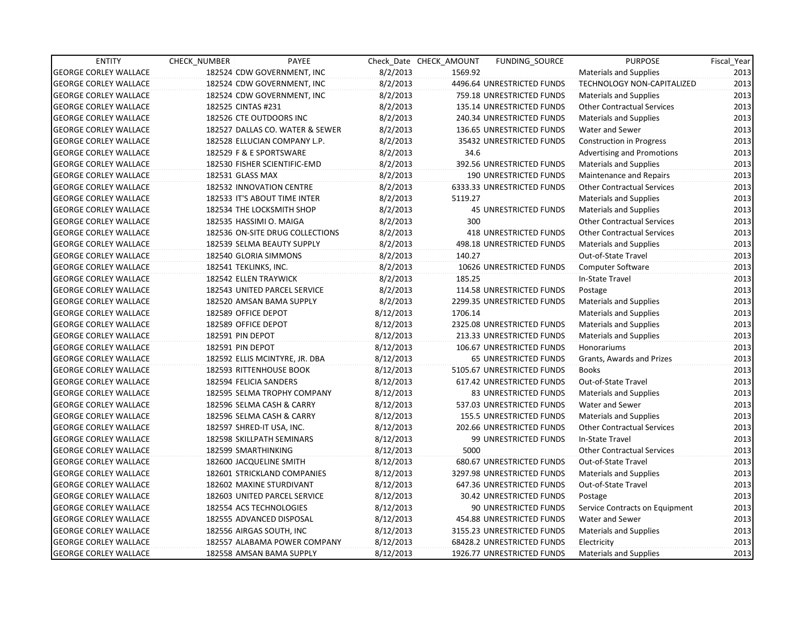| <b>ENTITY</b>                | CHECK_NUMBER              | PAYEE                           |           | Check Date CHECK AMOUNT | FUNDING SOURCE                  | <b>PURPOSE</b>                    | Fiscal Year |
|------------------------------|---------------------------|---------------------------------|-----------|-------------------------|---------------------------------|-----------------------------------|-------------|
| <b>GEORGE CORLEY WALLACE</b> |                           | 182524 CDW GOVERNMENT, INC      | 8/2/2013  | 1569.92                 |                                 | <b>Materials and Supplies</b>     | 2013        |
| <b>GEORGE CORLEY WALLACE</b> |                           | 182524 CDW GOVERNMENT, INC      | 8/2/2013  |                         | 4496.64 UNRESTRICTED FUNDS      | TECHNOLOGY NON-CAPITALIZED        | 2013        |
| <b>GEORGE CORLEY WALLACE</b> |                           | 182524 CDW GOVERNMENT, INC      | 8/2/2013  |                         | 759.18 UNRESTRICTED FUNDS       | <b>Materials and Supplies</b>     | 2013        |
| <b>GEORGE CORLEY WALLACE</b> | 182525 CINTAS #231        |                                 | 8/2/2013  |                         | 135.14 UNRESTRICTED FUNDS       | <b>Other Contractual Services</b> | 2013        |
| <b>GEORGE CORLEY WALLACE</b> | 182526 CTE OUTDOORS INC   |                                 | 8/2/2013  |                         | 240.34 UNRESTRICTED FUNDS       | <b>Materials and Supplies</b>     | 2013        |
| <b>GEORGE CORLEY WALLACE</b> |                           | 182527 DALLAS CO. WATER & SEWER | 8/2/2013  |                         | 136.65 UNRESTRICTED FUNDS       | Water and Sewer                   | 2013        |
| <b>GEORGE CORLEY WALLACE</b> |                           | 182528 ELLUCIAN COMPANY L.P.    | 8/2/2013  |                         | 35432 UNRESTRICTED FUNDS        | <b>Construction in Progress</b>   | 2013        |
| <b>GEORGE CORLEY WALLACE</b> | 182529 F & E SPORTSWARE   |                                 | 8/2/2013  | 34.6                    |                                 | <b>Advertising and Promotions</b> | 2013        |
| <b>GEORGE CORLEY WALLACE</b> |                           | 182530 FISHER SCIENTIFIC-EMD    | 8/2/2013  |                         | 392.56 UNRESTRICTED FUNDS       | Materials and Supplies            | 2013        |
| <b>GEORGE CORLEY WALLACE</b> | 182531 GLASS MAX          |                                 | 8/2/2013  |                         | 190 UNRESTRICTED FUNDS          | Maintenance and Repairs           | 2013        |
| <b>GEORGE CORLEY WALLACE</b> |                           | 182532 INNOVATION CENTRE        | 8/2/2013  |                         | 6333.33 UNRESTRICTED FUNDS      | <b>Other Contractual Services</b> | 2013        |
| <b>GEORGE CORLEY WALLACE</b> |                           | 182533 IT'S ABOUT TIME INTER    | 8/2/2013  | 5119.27                 |                                 | <b>Materials and Supplies</b>     | 2013        |
| <b>GEORGE CORLEY WALLACE</b> |                           | 182534 THE LOCKSMITH SHOP       | 8/2/2013  |                         | <b>45 UNRESTRICTED FUNDS</b>    | <b>Materials and Supplies</b>     | 2013        |
| <b>GEORGE CORLEY WALLACE</b> | 182535 HASSIMI O. MAIGA   |                                 | 8/2/2013  | 300                     |                                 | <b>Other Contractual Services</b> | 2013        |
| <b>GEORGE CORLEY WALLACE</b> |                           | 182536 ON-SITE DRUG COLLECTIONS | 8/2/2013  |                         | 418 UNRESTRICTED FUNDS          | <b>Other Contractual Services</b> | 2013        |
| <b>GEORGE CORLEY WALLACE</b> |                           | 182539 SELMA BEAUTY SUPPLY      | 8/2/2013  |                         | 498.18 UNRESTRICTED FUNDS       | <b>Materials and Supplies</b>     | 2013        |
| <b>GEORGE CORLEY WALLACE</b> | 182540 GLORIA SIMMONS     |                                 | 8/2/2013  | 140.27                  |                                 | Out-of-State Travel               | 2013        |
| <b>GEORGE CORLEY WALLACE</b> | 182541 TEKLINKS, INC.     |                                 | 8/2/2013  |                         | 10626 UNRESTRICTED FUNDS        | Computer Software                 | 2013        |
| <b>GEORGE CORLEY WALLACE</b> | 182542 ELLEN TRAYWICK     |                                 | 8/2/2013  | 185.25                  |                                 | In-State Travel                   | 2013        |
| <b>GEORGE CORLEY WALLACE</b> |                           | 182543 UNITED PARCEL SERVICE    | 8/2/2013  |                         | 114.58 UNRESTRICTED FUNDS       | Postage                           | 2013        |
| <b>GEORGE CORLEY WALLACE</b> |                           | 182520 AMSAN BAMA SUPPLY        | 8/2/2013  |                         | 2299.35 UNRESTRICTED FUNDS      | <b>Materials and Supplies</b>     | 2013        |
| <b>GEORGE CORLEY WALLACE</b> | 182589 OFFICE DEPOT       |                                 | 8/12/2013 | 1706.14                 |                                 | <b>Materials and Supplies</b>     | 2013        |
| <b>GEORGE CORLEY WALLACE</b> | 182589 OFFICE DEPOT       |                                 | 8/12/2013 |                         | 2325.08 UNRESTRICTED FUNDS      | <b>Materials and Supplies</b>     | 2013        |
| <b>GEORGE CORLEY WALLACE</b> | 182591 PIN DEPOT          |                                 | 8/12/2013 |                         | 213.33 UNRESTRICTED FUNDS       | <b>Materials and Supplies</b>     | 2013        |
| <b>GEORGE CORLEY WALLACE</b> | 182591 PIN DEPOT          |                                 | 8/12/2013 |                         | 106.67 UNRESTRICTED FUNDS       | Honorariums                       | 2013        |
| <b>GEORGE CORLEY WALLACE</b> |                           | 182592 ELLIS MCINTYRE, JR. DBA  | 8/12/2013 |                         | <b>65 UNRESTRICTED FUNDS</b>    | Grants, Awards and Prizes         | 2013        |
| <b>GEORGE CORLEY WALLACE</b> |                           | 182593 RITTENHOUSE BOOK         | 8/12/2013 |                         | 5105.67 UNRESTRICTED FUNDS      | <b>Books</b>                      | 2013        |
| <b>GEORGE CORLEY WALLACE</b> | 182594 FELICIA SANDERS    |                                 | 8/12/2013 |                         | 617.42 UNRESTRICTED FUNDS       | Out-of-State Travel               | 2013        |
| <b>GEORGE CORLEY WALLACE</b> |                           | 182595 SELMA TROPHY COMPANY     | 8/12/2013 |                         | <b>83 UNRESTRICTED FUNDS</b>    | <b>Materials and Supplies</b>     | 2013        |
| <b>GEORGE CORLEY WALLACE</b> |                           | 182596 SELMA CASH & CARRY       | 8/12/2013 |                         | 537.03 UNRESTRICTED FUNDS       | Water and Sewer                   | 2013        |
| <b>GEORGE CORLEY WALLACE</b> |                           | 182596 SELMA CASH & CARRY       | 8/12/2013 |                         | <b>155.5 UNRESTRICTED FUNDS</b> | Materials and Supplies            | 2013        |
| <b>GEORGE CORLEY WALLACE</b> | 182597 SHRED-IT USA, INC. |                                 | 8/12/2013 |                         | 202.66 UNRESTRICTED FUNDS       | <b>Other Contractual Services</b> | 2013        |
| <b>GEORGE CORLEY WALLACE</b> |                           | 182598 SKILLPATH SEMINARS       | 8/12/2013 |                         | 99 UNRESTRICTED FUNDS           | In-State Travel                   | 2013        |
| <b>GEORGE CORLEY WALLACE</b> | 182599 SMARTHINKING       |                                 | 8/12/2013 | 5000                    |                                 | <b>Other Contractual Services</b> | 2013        |
| <b>GEORGE CORLEY WALLACE</b> | 182600 JACQUELINE SMITH   |                                 | 8/12/2013 |                         | 680.67 UNRESTRICTED FUNDS       | Out-of-State Travel               | 2013        |
| <b>GEORGE CORLEY WALLACE</b> |                           | 182601 STRICKLAND COMPANIES     | 8/12/2013 |                         | 3297.98 UNRESTRICTED FUNDS      | <b>Materials and Supplies</b>     | 2013        |
| <b>GEORGE CORLEY WALLACE</b> |                           | 182602 MAXINE STURDIVANT        | 8/12/2013 |                         | 647.36 UNRESTRICTED FUNDS       | Out-of-State Travel               | 2013        |
| <b>GEORGE CORLEY WALLACE</b> |                           | 182603 UNITED PARCEL SERVICE    | 8/12/2013 |                         | 30.42 UNRESTRICTED FUNDS        | Postage                           | 2013        |
| <b>GEORGE CORLEY WALLACE</b> | 182554 ACS TECHNOLOGIES   |                                 | 8/12/2013 |                         | 90 UNRESTRICTED FUNDS           | Service Contracts on Equipment    | 2013        |
| <b>GEORGE CORLEY WALLACE</b> |                           | 182555 ADVANCED DISPOSAL        | 8/12/2013 |                         | 454.88 UNRESTRICTED FUNDS       | Water and Sewer                   | 2013        |
| <b>GEORGE CORLEY WALLACE</b> | 182556 AIRGAS SOUTH, INC  |                                 | 8/12/2013 |                         | 3155.23 UNRESTRICTED FUNDS      | Materials and Supplies            | 2013        |
| <b>GEORGE CORLEY WALLACE</b> |                           | 182557 ALABAMA POWER COMPANY    | 8/12/2013 |                         | 68428.2 UNRESTRICTED FUNDS      | Electricity                       | 2013        |
| <b>GEORGE CORLEY WALLACE</b> |                           | 182558 AMSAN BAMA SUPPLY        | 8/12/2013 |                         | 1926.77 UNRESTRICTED FUNDS      | Materials and Supplies            | 2013        |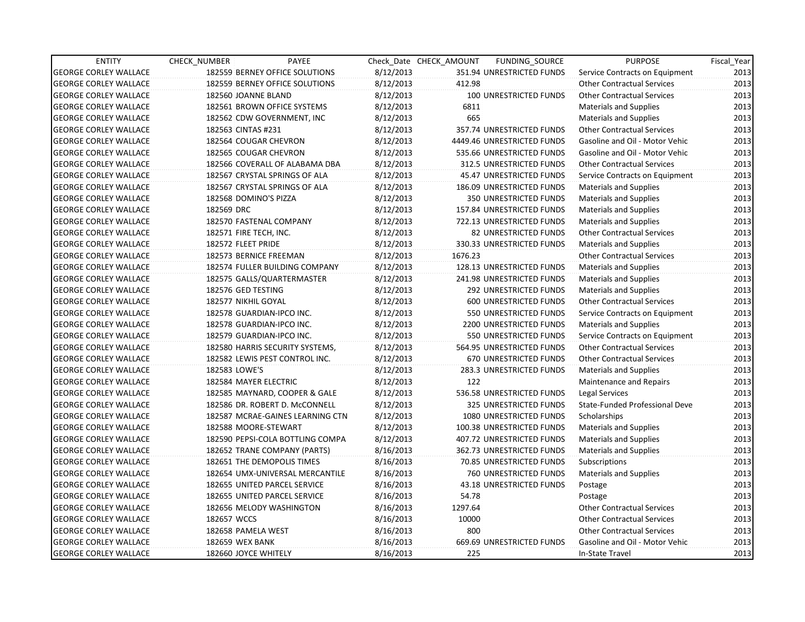| <b>ENTITY</b>                | CHECK_NUMBER           | PAYEE                            |           | Check Date CHECK AMOUNT | FUNDING_SOURCE                | <b>PURPOSE</b>                    | Fiscal_Year |
|------------------------------|------------------------|----------------------------------|-----------|-------------------------|-------------------------------|-----------------------------------|-------------|
| <b>GEORGE CORLEY WALLACE</b> |                        | 182559 BERNEY OFFICE SOLUTIONS   | 8/12/2013 |                         | 351.94 UNRESTRICTED FUNDS     | Service Contracts on Equipment    | 2013        |
| <b>GEORGE CORLEY WALLACE</b> |                        | 182559 BERNEY OFFICE SOLUTIONS   | 8/12/2013 | 412.98                  |                               | <b>Other Contractual Services</b> | 2013        |
| <b>GEORGE CORLEY WALLACE</b> | 182560 JOANNE BLAND    |                                  | 8/12/2013 |                         | <b>100 UNRESTRICTED FUNDS</b> | <b>Other Contractual Services</b> | 2013        |
| <b>GEORGE CORLEY WALLACE</b> |                        | 182561 BROWN OFFICE SYSTEMS      | 8/12/2013 | 6811                    |                               | <b>Materials and Supplies</b>     | 2013        |
| <b>GEORGE CORLEY WALLACE</b> |                        | 182562 CDW GOVERNMENT, INC       | 8/12/2013 | 665                     |                               | <b>Materials and Supplies</b>     | 2013        |
| <b>GEORGE CORLEY WALLACE</b> | 182563 CINTAS #231     |                                  | 8/12/2013 |                         | 357.74 UNRESTRICTED FUNDS     | <b>Other Contractual Services</b> | 2013        |
| <b>GEORGE CORLEY WALLACE</b> | 182564 COUGAR CHEVRON  |                                  | 8/12/2013 |                         | 4449.46 UNRESTRICTED FUNDS    | Gasoline and Oil - Motor Vehic    | 2013        |
| <b>GEORGE CORLEY WALLACE</b> | 182565 COUGAR CHEVRON  |                                  | 8/12/2013 |                         | 535.66 UNRESTRICTED FUNDS     | Gasoline and Oil - Motor Vehic    | 2013        |
| <b>GEORGE CORLEY WALLACE</b> |                        | 182566 COVERALL OF ALABAMA DBA   | 8/12/2013 |                         | 312.5 UNRESTRICTED FUNDS      | <b>Other Contractual Services</b> | 2013        |
| <b>GEORGE CORLEY WALLACE</b> |                        | 182567 CRYSTAL SPRINGS OF ALA    | 8/12/2013 |                         | 45.47 UNRESTRICTED FUNDS      | Service Contracts on Equipment    | 2013        |
| <b>GEORGE CORLEY WALLACE</b> |                        | 182567 CRYSTAL SPRINGS OF ALA    | 8/12/2013 |                         | 186.09 UNRESTRICTED FUNDS     | Materials and Supplies            | 2013        |
| <b>GEORGE CORLEY WALLACE</b> | 182568 DOMINO'S PIZZA  |                                  | 8/12/2013 |                         | 350 UNRESTRICTED FUNDS        | <b>Materials and Supplies</b>     | 2013        |
| <b>GEORGE CORLEY WALLACE</b> | 182569 DRC             |                                  | 8/12/2013 |                         | 157.84 UNRESTRICTED FUNDS     | <b>Materials and Supplies</b>     | 2013        |
| <b>GEORGE CORLEY WALLACE</b> |                        | 182570 FASTENAL COMPANY          | 8/12/2013 |                         | 722.13 UNRESTRICTED FUNDS     | Materials and Supplies            | 2013        |
| <b>GEORGE CORLEY WALLACE</b> | 182571 FIRE TECH, INC. |                                  | 8/12/2013 |                         | 82 UNRESTRICTED FUNDS         | <b>Other Contractual Services</b> | 2013        |
| <b>GEORGE CORLEY WALLACE</b> | 182572 FLEET PRIDE     |                                  | 8/12/2013 |                         | 330.33 UNRESTRICTED FUNDS     | <b>Materials and Supplies</b>     | 2013        |
| <b>GEORGE CORLEY WALLACE</b> | 182573 BERNICE FREEMAN |                                  | 8/12/2013 | 1676.23                 |                               | <b>Other Contractual Services</b> | 2013        |
| <b>GEORGE CORLEY WALLACE</b> |                        | 182574 FULLER BUILDING COMPANY   | 8/12/2013 |                         | 128.13 UNRESTRICTED FUNDS     | <b>Materials and Supplies</b>     | 2013        |
| <b>GEORGE CORLEY WALLACE</b> |                        | 182575 GALLS/QUARTERMASTER       | 8/12/2013 |                         | 241.98 UNRESTRICTED FUNDS     | Materials and Supplies            | 2013        |
| <b>GEORGE CORLEY WALLACE</b> | 182576 GED TESTING     |                                  | 8/12/2013 |                         | 292 UNRESTRICTED FUNDS        | Materials and Supplies            | 2013        |
| <b>GEORGE CORLEY WALLACE</b> | 182577 NIKHIL GOYAL    |                                  | 8/12/2013 |                         | 600 UNRESTRICTED FUNDS        | <b>Other Contractual Services</b> | 2013        |
| <b>GEORGE CORLEY WALLACE</b> |                        | 182578 GUARDIAN-IPCO INC.        | 8/12/2013 |                         | 550 UNRESTRICTED FUNDS        | Service Contracts on Equipment    | 2013        |
| <b>GEORGE CORLEY WALLACE</b> |                        | 182578 GUARDIAN-IPCO INC.        | 8/12/2013 |                         | 2200 UNRESTRICTED FUNDS       | <b>Materials and Supplies</b>     | 2013        |
| <b>GEORGE CORLEY WALLACE</b> |                        | 182579 GUARDIAN-IPCO INC.        | 8/12/2013 |                         | 550 UNRESTRICTED FUNDS        | Service Contracts on Equipment    | 2013        |
| <b>GEORGE CORLEY WALLACE</b> |                        | 182580 HARRIS SECURITY SYSTEMS,  | 8/12/2013 |                         | 564.95 UNRESTRICTED FUNDS     | <b>Other Contractual Services</b> | 2013        |
| <b>GEORGE CORLEY WALLACE</b> |                        | 182582 LEWIS PEST CONTROL INC.   | 8/12/2013 |                         | <b>670 UNRESTRICTED FUNDS</b> | <b>Other Contractual Services</b> | 2013        |
| <b>GEORGE CORLEY WALLACE</b> | 182583 LOWE'S          |                                  | 8/12/2013 |                         | 283.3 UNRESTRICTED FUNDS      | <b>Materials and Supplies</b>     | 2013        |
| <b>GEORGE CORLEY WALLACE</b> | 182584 MAYER ELECTRIC  |                                  | 8/12/2013 | 122                     |                               | Maintenance and Repairs           | 2013        |
| <b>GEORGE CORLEY WALLACE</b> |                        | 182585 MAYNARD, COOPER & GALE    | 8/12/2013 |                         | 536.58 UNRESTRICTED FUNDS     | Legal Services                    | 2013        |
| <b>GEORGE CORLEY WALLACE</b> |                        | 182586 DR. ROBERT D. McCONNELL   | 8/12/2013 |                         | 325 UNRESTRICTED FUNDS        | State-Funded Professional Deve    | 2013        |
| <b>GEORGE CORLEY WALLACE</b> |                        | 182587 MCRAE-GAINES LEARNING CTN | 8/12/2013 |                         | 1080 UNRESTRICTED FUNDS       | Scholarships                      | 2013        |
| <b>GEORGE CORLEY WALLACE</b> | 182588 MOORE-STEWART   |                                  | 8/12/2013 |                         | 100.38 UNRESTRICTED FUNDS     | <b>Materials and Supplies</b>     | 2013        |
| <b>GEORGE CORLEY WALLACE</b> |                        | 182590 PEPSI-COLA BOTTLING COMPA | 8/12/2013 |                         | 407.72 UNRESTRICTED FUNDS     | <b>Materials and Supplies</b>     | 2013        |
| <b>GEORGE CORLEY WALLACE</b> |                        | 182652 TRANE COMPANY (PARTS)     | 8/16/2013 |                         | 362.73 UNRESTRICTED FUNDS     | Materials and Supplies            | 2013        |
| <b>GEORGE CORLEY WALLACE</b> |                        | 182651 THE DEMOPOLIS TIMES       | 8/16/2013 |                         | 70.85 UNRESTRICTED FUNDS      | Subscriptions                     | 2013        |
| <b>GEORGE CORLEY WALLACE</b> |                        | 182654 UMX-UNIVERSAL MERCANTILE  | 8/16/2013 |                         | <b>760 UNRESTRICTED FUNDS</b> | <b>Materials and Supplies</b>     | 2013        |
| <b>GEORGE CORLEY WALLACE</b> |                        | 182655 UNITED PARCEL SERVICE     | 8/16/2013 |                         | 43.18 UNRESTRICTED FUNDS      | Postage                           | 2013        |
| <b>GEORGE CORLEY WALLACE</b> |                        | 182655 UNITED PARCEL SERVICE     | 8/16/2013 | 54.78                   |                               | Postage                           | 2013        |
| <b>GEORGE CORLEY WALLACE</b> |                        | 182656 MELODY WASHINGTON         | 8/16/2013 | 1297.64                 |                               | <b>Other Contractual Services</b> | 2013        |
| <b>GEORGE CORLEY WALLACE</b> | 182657 WCCS            |                                  | 8/16/2013 | 10000                   |                               | <b>Other Contractual Services</b> | 2013        |
| <b>GEORGE CORLEY WALLACE</b> | 182658 PAMELA WEST     |                                  | 8/16/2013 | 800                     |                               | <b>Other Contractual Services</b> | 2013        |
| <b>GEORGE CORLEY WALLACE</b> | 182659 WEX BANK        |                                  | 8/16/2013 |                         | 669.69 UNRESTRICTED FUNDS     | Gasoline and Oil - Motor Vehic    | 2013        |
| <b>GEORGE CORLEY WALLACE</b> | 182660 JOYCE WHITELY   |                                  | 8/16/2013 | 225                     |                               | In-State Travel                   | 2013        |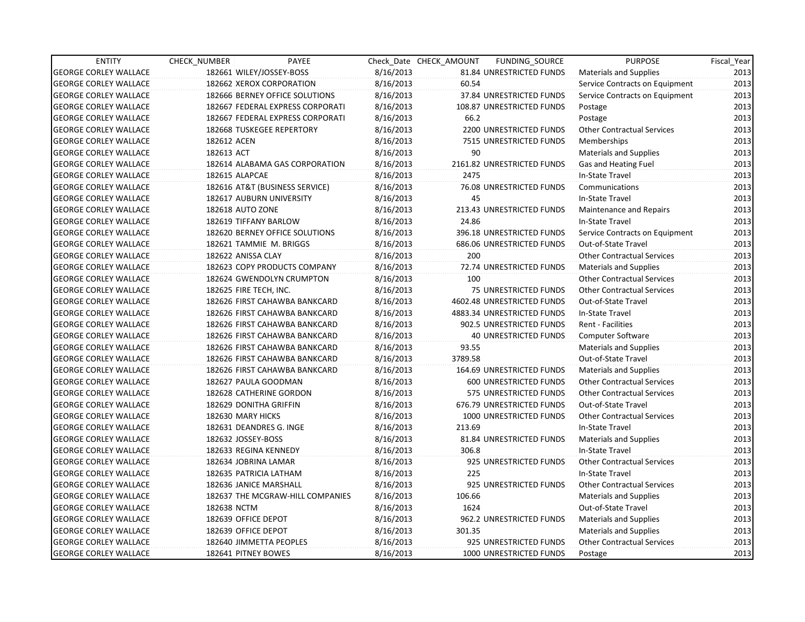| <b>ENTITY</b>                | CHECK NUMBER              | PAYEE                            |           | Check Date CHECK AMOUNT | FUNDING SOURCE               | <b>PURPOSE</b>                    | Fiscal Year |
|------------------------------|---------------------------|----------------------------------|-----------|-------------------------|------------------------------|-----------------------------------|-------------|
| <b>GEORGE CORLEY WALLACE</b> | 182661 WILEY/JOSSEY-BOSS  |                                  | 8/16/2013 |                         | 81.84 UNRESTRICTED FUNDS     | <b>Materials and Supplies</b>     | 2013        |
| <b>GEORGE CORLEY WALLACE</b> | 182662 XEROX CORPORATION  |                                  | 8/16/2013 | 60.54                   |                              | Service Contracts on Equipment    | 2013        |
| <b>GEORGE CORLEY WALLACE</b> |                           | 182666 BERNEY OFFICE SOLUTIONS   | 8/16/2013 |                         | 37.84 UNRESTRICTED FUNDS     | Service Contracts on Equipment    | 2013        |
| <b>GEORGE CORLEY WALLACE</b> |                           | 182667 FEDERAL EXPRESS CORPORATI | 8/16/2013 |                         | 108.87 UNRESTRICTED FUNDS    | Postage                           | 2013        |
| <b>GEORGE CORLEY WALLACE</b> |                           | 182667 FEDERAL EXPRESS CORPORATI | 8/16/2013 | 66.2                    |                              | Postage                           | 2013        |
| <b>GEORGE CORLEY WALLACE</b> | 182668 TUSKEGEE REPERTORY |                                  | 8/16/2013 |                         | 2200 UNRESTRICTED FUNDS      | <b>Other Contractual Services</b> | 2013        |
| <b>GEORGE CORLEY WALLACE</b> | 182612 ACEN               |                                  | 8/16/2013 |                         | 7515 UNRESTRICTED FUNDS      | Memberships                       | 2013        |
| <b>GEORGE CORLEY WALLACE</b> | 182613 ACT                |                                  | 8/16/2013 | 90                      |                              | <b>Materials and Supplies</b>     | 2013        |
| <b>GEORGE CORLEY WALLACE</b> |                           | 182614 ALABAMA GAS CORPORATION   | 8/16/2013 |                         | 2161.82 UNRESTRICTED FUNDS   | Gas and Heating Fuel              | 2013        |
| <b>GEORGE CORLEY WALLACE</b> | 182615 ALAPCAE            |                                  | 8/16/2013 | 2475                    |                              | In-State Travel                   | 2013        |
| <b>GEORGE CORLEY WALLACE</b> |                           | 182616 AT&T (BUSINESS SERVICE)   | 8/16/2013 |                         | 76.08 UNRESTRICTED FUNDS     | Communications                    | 2013        |
| <b>GEORGE CORLEY WALLACE</b> | 182617 AUBURN UNIVERSITY  |                                  | 8/16/2013 | 45                      |                              | In-State Travel                   | 2013        |
| <b>GEORGE CORLEY WALLACE</b> | 182618 AUTO ZONE          |                                  | 8/16/2013 |                         | 213.43 UNRESTRICTED FUNDS    | Maintenance and Repairs           | 2013        |
| <b>GEORGE CORLEY WALLACE</b> | 182619 TIFFANY BARLOW     |                                  | 8/16/2013 | 24.86                   |                              | In-State Travel                   | 2013        |
| <b>GEORGE CORLEY WALLACE</b> |                           | 182620 BERNEY OFFICE SOLUTIONS   | 8/16/2013 |                         | 396.18 UNRESTRICTED FUNDS    | Service Contracts on Equipment    | 2013        |
| <b>GEORGE CORLEY WALLACE</b> | 182621 TAMMIE M. BRIGGS   |                                  | 8/16/2013 |                         | 686.06 UNRESTRICTED FUNDS    | Out-of-State Travel               | 2013        |
| <b>GEORGE CORLEY WALLACE</b> | 182622 ANISSA CLAY        |                                  | 8/16/2013 | 200                     |                              | <b>Other Contractual Services</b> | 2013        |
| <b>GEORGE CORLEY WALLACE</b> |                           | 182623 COPY PRODUCTS COMPANY     | 8/16/2013 |                         | 72.74 UNRESTRICTED FUNDS     | <b>Materials and Supplies</b>     | 2013        |
| <b>GEORGE CORLEY WALLACE</b> |                           | 182624 GWENDOLYN CRUMPTON        | 8/16/2013 | 100                     |                              | <b>Other Contractual Services</b> | 2013        |
| <b>GEORGE CORLEY WALLACE</b> | 182625 FIRE TECH, INC.    |                                  | 8/16/2013 |                         | 75 UNRESTRICTED FUNDS        | <b>Other Contractual Services</b> | 2013        |
| <b>GEORGE CORLEY WALLACE</b> |                           | 182626 FIRST CAHAWBA BANKCARD    | 8/16/2013 |                         | 4602.48 UNRESTRICTED FUNDS   | Out-of-State Travel               | 2013        |
| <b>GEORGE CORLEY WALLACE</b> |                           | 182626 FIRST CAHAWBA BANKCARD    | 8/16/2013 |                         | 4883.34 UNRESTRICTED FUNDS   | In-State Travel                   | 2013        |
| <b>GEORGE CORLEY WALLACE</b> |                           | 182626 FIRST CAHAWBA BANKCARD    | 8/16/2013 |                         | 902.5 UNRESTRICTED FUNDS     | <b>Rent - Facilities</b>          | 2013        |
| <b>GEORGE CORLEY WALLACE</b> |                           | 182626 FIRST CAHAWBA BANKCARD    | 8/16/2013 |                         | <b>40 UNRESTRICTED FUNDS</b> | Computer Software                 | 2013        |
| <b>GEORGE CORLEY WALLACE</b> |                           | 182626 FIRST CAHAWBA BANKCARD    | 8/16/2013 | 93.55                   |                              | <b>Materials and Supplies</b>     | 2013        |
| <b>GEORGE CORLEY WALLACE</b> |                           | 182626 FIRST CAHAWBA BANKCARD    | 8/16/2013 | 3789.58                 |                              | Out-of-State Travel               | 2013        |
| <b>GEORGE CORLEY WALLACE</b> |                           | 182626 FIRST CAHAWBA BANKCARD    | 8/16/2013 |                         | 164.69 UNRESTRICTED FUNDS    | <b>Materials and Supplies</b>     | 2013        |
| <b>GEORGE CORLEY WALLACE</b> | 182627 PAULA GOODMAN      |                                  | 8/16/2013 |                         | 600 UNRESTRICTED FUNDS       | <b>Other Contractual Services</b> | 2013        |
| <b>GEORGE CORLEY WALLACE</b> | 182628 CATHERINE GORDON   |                                  | 8/16/2013 |                         | 575 UNRESTRICTED FUNDS       | <b>Other Contractual Services</b> | 2013        |
| <b>GEORGE CORLEY WALLACE</b> | 182629 DONITHA GRIFFIN    |                                  | 8/16/2013 |                         | 676.79 UNRESTRICTED FUNDS    | Out-of-State Travel               | 2013        |
| <b>GEORGE CORLEY WALLACE</b> | 182630 MARY HICKS         |                                  | 8/16/2013 |                         | 1000 UNRESTRICTED FUNDS      | <b>Other Contractual Services</b> | 2013        |
| <b>GEORGE CORLEY WALLACE</b> | 182631 DEANDRES G. INGE   |                                  | 8/16/2013 | 213.69                  |                              | In-State Travel                   | 2013        |
| <b>GEORGE CORLEY WALLACE</b> | 182632 JOSSEY-BOSS        |                                  | 8/16/2013 |                         | 81.84 UNRESTRICTED FUNDS     | <b>Materials and Supplies</b>     | 2013        |
| <b>GEORGE CORLEY WALLACE</b> | 182633 REGINA KENNEDY     |                                  | 8/16/2013 | 306.8                   |                              | In-State Travel                   | 2013        |
| <b>GEORGE CORLEY WALLACE</b> | 182634 JOBRINA LAMAR      |                                  | 8/16/2013 |                         | 925 UNRESTRICTED FUNDS       | <b>Other Contractual Services</b> | 2013        |
| <b>GEORGE CORLEY WALLACE</b> | 182635 PATRICIA LATHAM    |                                  | 8/16/2013 | 225                     |                              | In-State Travel                   | 2013        |
| <b>GEORGE CORLEY WALLACE</b> | 182636 JANICE MARSHALL    |                                  | 8/16/2013 |                         | 925 UNRESTRICTED FUNDS       | <b>Other Contractual Services</b> | 2013        |
| <b>GEORGE CORLEY WALLACE</b> |                           | 182637 THE MCGRAW-HILL COMPANIES | 8/16/2013 | 106.66                  |                              | <b>Materials and Supplies</b>     | 2013        |
| <b>GEORGE CORLEY WALLACE</b> | 182638 NCTM               |                                  | 8/16/2013 | 1624                    |                              | Out-of-State Travel               | 2013        |
| <b>GEORGE CORLEY WALLACE</b> | 182639 OFFICE DEPOT       |                                  | 8/16/2013 |                         | 962.2 UNRESTRICTED FUNDS     | Materials and Supplies            | 2013        |
| <b>GEORGE CORLEY WALLACE</b> | 182639 OFFICE DEPOT       |                                  | 8/16/2013 | 301.35                  |                              | <b>Materials and Supplies</b>     | 2013        |
| <b>GEORGE CORLEY WALLACE</b> | 182640 JIMMETTA PEOPLES   |                                  | 8/16/2013 |                         | 925 UNRESTRICTED FUNDS       | <b>Other Contractual Services</b> | 2013        |
| <b>GEORGE CORLEY WALLACE</b> | 182641 PITNEY BOWES       |                                  | 8/16/2013 |                         | 1000 UNRESTRICTED FUNDS      | Postage                           | 2013        |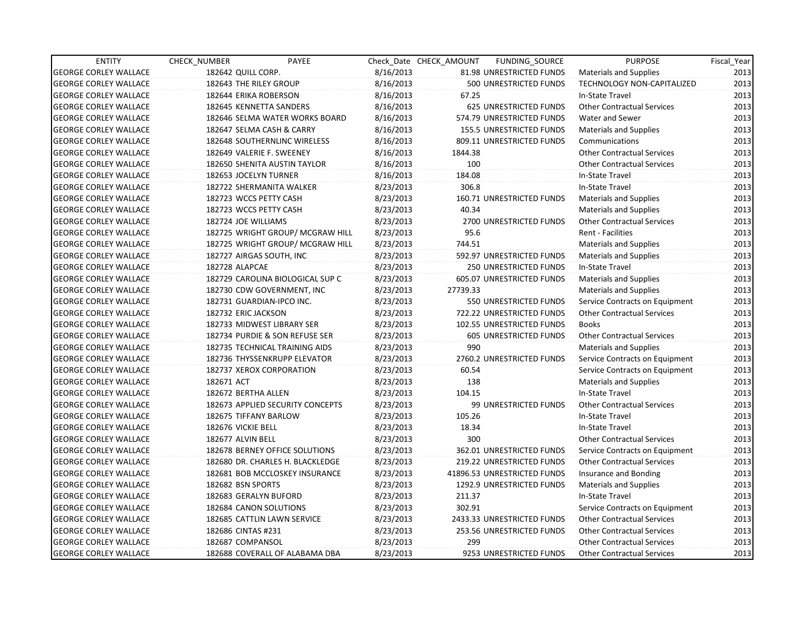| <b>ENTITY</b>                | CHECK_NUMBER               | PAYEE                            |           | Check Date CHECK AMOUNT | FUNDING_SOURCE                  | <b>PURPOSE</b>                    | Fiscal Year |
|------------------------------|----------------------------|----------------------------------|-----------|-------------------------|---------------------------------|-----------------------------------|-------------|
| <b>GEORGE CORLEY WALLACE</b> | 182642 QUILL CORP.         |                                  | 8/16/2013 |                         | 81.98 UNRESTRICTED FUNDS        | <b>Materials and Supplies</b>     | 2013        |
| <b>GEORGE CORLEY WALLACE</b> | 182643 THE RILEY GROUP     |                                  | 8/16/2013 |                         | 500 UNRESTRICTED FUNDS          | TECHNOLOGY NON-CAPITALIZED        | 2013        |
| <b>GEORGE CORLEY WALLACE</b> | 182644 ERIKA ROBERSON      |                                  | 8/16/2013 | 67.25                   |                                 | In-State Travel                   | 2013        |
| <b>GEORGE CORLEY WALLACE</b> | 182645 KENNETTA SANDERS    |                                  | 8/16/2013 |                         | 625 UNRESTRICTED FUNDS          | <b>Other Contractual Services</b> | 2013        |
| <b>GEORGE CORLEY WALLACE</b> |                            | 182646 SELMA WATER WORKS BOARD   | 8/16/2013 |                         | 574.79 UNRESTRICTED FUNDS       | <b>Water and Sewer</b>            | 2013        |
| <b>GEORGE CORLEY WALLACE</b> | 182647 SELMA CASH & CARRY  |                                  | 8/16/2013 |                         | <b>155.5 UNRESTRICTED FUNDS</b> | <b>Materials and Supplies</b>     | 2013        |
| <b>GEORGE CORLEY WALLACE</b> |                            | 182648 SOUTHERNLINC WIRELESS     | 8/16/2013 |                         | 809.11 UNRESTRICTED FUNDS       | Communications                    | 2013        |
| <b>GEORGE CORLEY WALLACE</b> | 182649 VALERIE F. SWEENEY  |                                  | 8/16/2013 | 1844.38                 |                                 | <b>Other Contractual Services</b> | 2013        |
| <b>GEORGE CORLEY WALLACE</b> |                            | 182650 SHENITA AUSTIN TAYLOR     | 8/16/2013 | 100                     |                                 | <b>Other Contractual Services</b> | 2013        |
| <b>GEORGE CORLEY WALLACE</b> | 182653 JOCELYN TURNER      |                                  | 8/16/2013 | 184.08                  |                                 | In-State Travel                   | 2013        |
| <b>GEORGE CORLEY WALLACE</b> | 182722 SHERMANITA WALKER   |                                  | 8/23/2013 | 306.8                   |                                 | In-State Travel                   | 2013        |
| <b>GEORGE CORLEY WALLACE</b> | 182723 WCCS PETTY CASH     |                                  | 8/23/2013 |                         | 160.71 UNRESTRICTED FUNDS       | <b>Materials and Supplies</b>     | 2013        |
| <b>GEORGE CORLEY WALLACE</b> | 182723 WCCS PETTY CASH     |                                  | 8/23/2013 | 40.34                   |                                 | <b>Materials and Supplies</b>     | 2013        |
| <b>GEORGE CORLEY WALLACE</b> | 182724 JOE WILLIAMS        |                                  | 8/23/2013 |                         | 2700 UNRESTRICTED FUNDS         | <b>Other Contractual Services</b> | 2013        |
| <b>GEORGE CORLEY WALLACE</b> |                            | 182725 WRIGHT GROUP/ MCGRAW HILL | 8/23/2013 | 95.6                    |                                 | Rent - Facilities                 | 2013        |
| <b>GEORGE CORLEY WALLACE</b> |                            | 182725 WRIGHT GROUP/ MCGRAW HILL | 8/23/2013 | 744.51                  |                                 | <b>Materials and Supplies</b>     | 2013        |
| <b>GEORGE CORLEY WALLACE</b> | 182727 AIRGAS SOUTH, INC   |                                  | 8/23/2013 |                         | 592.97 UNRESTRICTED FUNDS       | Materials and Supplies            | 2013        |
| <b>GEORGE CORLEY WALLACE</b> | 182728 ALAPCAE             |                                  | 8/23/2013 |                         | <b>250 UNRESTRICTED FUNDS</b>   | In-State Travel                   | 2013        |
| <b>GEORGE CORLEY WALLACE</b> |                            | 182729 CAROLINA BIOLOGICAL SUP C | 8/23/2013 |                         | 605.07 UNRESTRICTED FUNDS       | <b>Materials and Supplies</b>     | 2013        |
| <b>GEORGE CORLEY WALLACE</b> |                            | 182730 CDW GOVERNMENT, INC       | 8/23/2013 | 27739.33                |                                 | <b>Materials and Supplies</b>     | 2013        |
| <b>GEORGE CORLEY WALLACE</b> | 182731 GUARDIAN-IPCO INC.  |                                  | 8/23/2013 |                         | 550 UNRESTRICTED FUNDS          | Service Contracts on Equipment    | 2013        |
| <b>GEORGE CORLEY WALLACE</b> | 182732 ERIC JACKSON        |                                  | 8/23/2013 |                         | 722.22 UNRESTRICTED FUNDS       | <b>Other Contractual Services</b> | 2013        |
| <b>GEORGE CORLEY WALLACE</b> | 182733 MIDWEST LIBRARY SER |                                  | 8/23/2013 |                         | 102.55 UNRESTRICTED FUNDS       | <b>Books</b>                      | 2013        |
| <b>GEORGE CORLEY WALLACE</b> |                            | 182734 PURDIE & SON REFUSE SER   | 8/23/2013 |                         | 605 UNRESTRICTED FUNDS          | <b>Other Contractual Services</b> | 2013        |
| <b>GEORGE CORLEY WALLACE</b> |                            | 182735 TECHNICAL TRAINING AIDS   | 8/23/2013 | 990                     |                                 | <b>Materials and Supplies</b>     | 2013        |
| <b>GEORGE CORLEY WALLACE</b> |                            | 182736 THYSSENKRUPP ELEVATOR     | 8/23/2013 |                         | 2760.2 UNRESTRICTED FUNDS       | Service Contracts on Equipment    | 2013        |
| <b>GEORGE CORLEY WALLACE</b> | 182737 XEROX CORPORATION   |                                  | 8/23/2013 | 60.54                   |                                 | Service Contracts on Equipment    | 2013        |
| <b>GEORGE CORLEY WALLACE</b> | 182671 ACT                 |                                  | 8/23/2013 | 138                     |                                 | <b>Materials and Supplies</b>     | 2013        |
| <b>GEORGE CORLEY WALLACE</b> | 182672 BERTHA ALLEN        |                                  | 8/23/2013 | 104.15                  |                                 | In-State Travel                   | 2013        |
| <b>GEORGE CORLEY WALLACE</b> |                            | 182673 APPLIED SECURITY CONCEPTS | 8/23/2013 |                         | 99 UNRESTRICTED FUNDS           | <b>Other Contractual Services</b> | 2013        |
| <b>GEORGE CORLEY WALLACE</b> | 182675 TIFFANY BARLOW      |                                  | 8/23/2013 | 105.26                  |                                 | In-State Travel                   | 2013        |
| <b>GEORGE CORLEY WALLACE</b> | 182676 VICKIE BELL         |                                  | 8/23/2013 | 18.34                   |                                 | In-State Travel                   | 2013        |
| <b>GEORGE CORLEY WALLACE</b> | 182677 ALVIN BELL          |                                  | 8/23/2013 | 300                     |                                 | <b>Other Contractual Services</b> | 2013        |
| <b>GEORGE CORLEY WALLACE</b> |                            | 182678 BERNEY OFFICE SOLUTIONS   | 8/23/2013 |                         | 362.01 UNRESTRICTED FUNDS       | Service Contracts on Equipment    | 2013        |
| <b>GEORGE CORLEY WALLACE</b> |                            | 182680 DR. CHARLES H. BLACKLEDGE | 8/23/2013 |                         | 219.22 UNRESTRICTED FUNDS       | <b>Other Contractual Services</b> | 2013        |
| <b>GEORGE CORLEY WALLACE</b> |                            | 182681 BOB MCCLOSKEY INSURANCE   | 8/23/2013 |                         | 41896.53 UNRESTRICTED FUNDS     | Insurance and Bonding             | 2013        |
| <b>GEORGE CORLEY WALLACE</b> | 182682 BSN SPORTS          |                                  | 8/23/2013 |                         | 1292.9 UNRESTRICTED FUNDS       | Materials and Supplies            | 2013        |
| <b>GEORGE CORLEY WALLACE</b> | 182683 GERALYN BUFORD      |                                  | 8/23/2013 | 211.37                  |                                 | In-State Travel                   | 2013        |
| <b>GEORGE CORLEY WALLACE</b> | 182684 CANON SOLUTIONS     |                                  | 8/23/2013 | 302.91                  |                                 | Service Contracts on Equipment    | 2013        |
| <b>GEORGE CORLEY WALLACE</b> |                            | 182685 CATTLIN LAWN SERVICE      | 8/23/2013 |                         | 2433.33 UNRESTRICTED FUNDS      | <b>Other Contractual Services</b> | 2013        |
| <b>GEORGE CORLEY WALLACE</b> | 182686 CINTAS #231         |                                  | 8/23/2013 |                         | 253.56 UNRESTRICTED FUNDS       | <b>Other Contractual Services</b> | 2013        |
| <b>GEORGE CORLEY WALLACE</b> | 182687 COMPANSOL           |                                  | 8/23/2013 | 299                     |                                 | <b>Other Contractual Services</b> | 2013        |
| <b>GEORGE CORLEY WALLACE</b> |                            | 182688 COVERALL OF ALABAMA DBA   | 8/23/2013 |                         | 9253 UNRESTRICTED FUNDS         | <b>Other Contractual Services</b> | 2013        |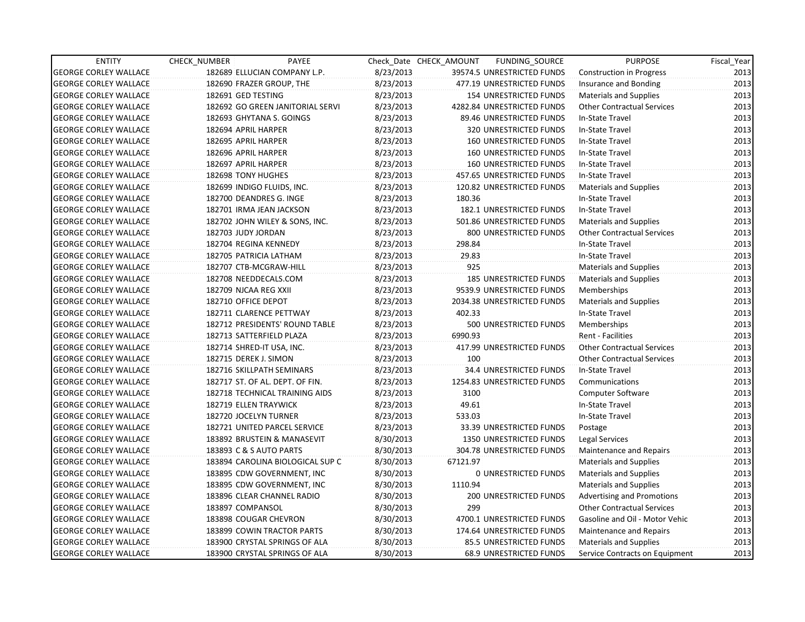| <b>ENTITY</b>                | CHECK_NUMBER               | PAYEE                            |           | Check Date CHECK AMOUNT | FUNDING_SOURCE                 | <b>PURPOSE</b>                    | Fiscal_Year |
|------------------------------|----------------------------|----------------------------------|-----------|-------------------------|--------------------------------|-----------------------------------|-------------|
| <b>GEORGE CORLEY WALLACE</b> |                            | 182689 ELLUCIAN COMPANY L.P.     | 8/23/2013 |                         | 39574.5 UNRESTRICTED FUNDS     | Construction in Progress          | 2013        |
| <b>GEORGE CORLEY WALLACE</b> | 182690 FRAZER GROUP, THE   |                                  | 8/23/2013 |                         | 477.19 UNRESTRICTED FUNDS      | Insurance and Bonding             | 2013        |
| <b>GEORGE CORLEY WALLACE</b> | 182691 GED TESTING         |                                  | 8/23/2013 |                         | 154 UNRESTRICTED FUNDS         | <b>Materials and Supplies</b>     | 2013        |
| <b>GEORGE CORLEY WALLACE</b> |                            | 182692 GO GREEN JANITORIAL SERVI | 8/23/2013 |                         | 4282.84 UNRESTRICTED FUNDS     | <b>Other Contractual Services</b> | 2013        |
| <b>GEORGE CORLEY WALLACE</b> | 182693 GHYTANA S. GOINGS   |                                  | 8/23/2013 |                         | 89.46 UNRESTRICTED FUNDS       | In-State Travel                   | 2013        |
| <b>GEORGE CORLEY WALLACE</b> | 182694 APRIL HARPER        |                                  | 8/23/2013 |                         | <b>320 UNRESTRICTED FUNDS</b>  | In-State Travel                   | 2013        |
| <b>GEORGE CORLEY WALLACE</b> | 182695 APRIL HARPER        |                                  | 8/23/2013 |                         | <b>160 UNRESTRICTED FUNDS</b>  | In-State Travel                   | 2013        |
| <b>GEORGE CORLEY WALLACE</b> | 182696 APRIL HARPER        |                                  | 8/23/2013 |                         | <b>160 UNRESTRICTED FUNDS</b>  | In-State Travel                   | 2013        |
| <b>GEORGE CORLEY WALLACE</b> | 182697 APRIL HARPER        |                                  | 8/23/2013 |                         | <b>160 UNRESTRICTED FUNDS</b>  | In-State Travel                   | 2013        |
| <b>GEORGE CORLEY WALLACE</b> | 182698 TONY HUGHES         |                                  | 8/23/2013 |                         | 457.65 UNRESTRICTED FUNDS      | In-State Travel                   | 2013        |
| <b>GEORGE CORLEY WALLACE</b> | 182699 INDIGO FLUIDS, INC. |                                  | 8/23/2013 |                         | 120.82 UNRESTRICTED FUNDS      | <b>Materials and Supplies</b>     | 2013        |
| <b>GEORGE CORLEY WALLACE</b> | 182700 DEANDRES G. INGE    |                                  | 8/23/2013 | 180.36                  |                                | In-State Travel                   | 2013        |
| <b>GEORGE CORLEY WALLACE</b> | 182701 IRMA JEAN JACKSON   |                                  | 8/23/2013 |                         | 182.1 UNRESTRICTED FUNDS       | In-State Travel                   | 2013        |
| <b>GEORGE CORLEY WALLACE</b> |                            | 182702 JOHN WILEY & SONS, INC.   | 8/23/2013 |                         | 501.86 UNRESTRICTED FUNDS      | <b>Materials and Supplies</b>     | 2013        |
| <b>GEORGE CORLEY WALLACE</b> | 182703 JUDY JORDAN         |                                  | 8/23/2013 |                         | 800 UNRESTRICTED FUNDS         | <b>Other Contractual Services</b> | 2013        |
| <b>GEORGE CORLEY WALLACE</b> | 182704 REGINA KENNEDY      |                                  | 8/23/2013 | 298.84                  |                                | In-State Travel                   | 2013        |
| <b>GEORGE CORLEY WALLACE</b> | 182705 PATRICIA LATHAM     |                                  | 8/23/2013 | 29.83                   |                                | In-State Travel                   | 2013        |
| <b>GEORGE CORLEY WALLACE</b> | 182707 CTB-MCGRAW-HILL     |                                  | 8/23/2013 | 925                     |                                | <b>Materials and Supplies</b>     | 2013        |
| <b>GEORGE CORLEY WALLACE</b> | 182708 NEEDDECALS.COM      |                                  | 8/23/2013 |                         | <b>185 UNRESTRICTED FUNDS</b>  | <b>Materials and Supplies</b>     | 2013        |
| <b>GEORGE CORLEY WALLACE</b> | 182709 NJCAA REG XXII      |                                  | 8/23/2013 |                         | 9539.9 UNRESTRICTED FUNDS      | Memberships                       | 2013        |
| <b>GEORGE CORLEY WALLACE</b> | 182710 OFFICE DEPOT        |                                  | 8/23/2013 |                         | 2034.38 UNRESTRICTED FUNDS     | <b>Materials and Supplies</b>     | 2013        |
| <b>GEORGE CORLEY WALLACE</b> | 182711 CLARENCE PETTWAY    |                                  | 8/23/2013 | 402.33                  |                                | In-State Travel                   | 2013        |
| <b>GEORGE CORLEY WALLACE</b> |                            | 182712 PRESIDENTS' ROUND TABLE   | 8/23/2013 |                         | 500 UNRESTRICTED FUNDS         | <b>Memberships</b>                | 2013        |
| <b>GEORGE CORLEY WALLACE</b> | 182713 SATTERFIELD PLAZA   |                                  | 8/23/2013 | 6990.93                 |                                | Rent - Facilities                 | 2013        |
| <b>GEORGE CORLEY WALLACE</b> | 182714 SHRED-IT USA, INC.  |                                  | 8/23/2013 |                         | 417.99 UNRESTRICTED FUNDS      | <b>Other Contractual Services</b> | 2013        |
| <b>GEORGE CORLEY WALLACE</b> | 182715 DEREK J. SIMON      |                                  | 8/23/2013 | 100                     |                                | <b>Other Contractual Services</b> | 2013        |
| <b>GEORGE CORLEY WALLACE</b> |                            | 182716 SKILLPATH SEMINARS        | 8/23/2013 |                         | <b>34.4 UNRESTRICTED FUNDS</b> | In-State Travel                   | 2013        |
| <b>GEORGE CORLEY WALLACE</b> |                            | 182717 ST. OF AL. DEPT. OF FIN.  | 8/23/2013 |                         | 1254.83 UNRESTRICTED FUNDS     | Communications                    | 2013        |
| <b>GEORGE CORLEY WALLACE</b> |                            | 182718 TECHNICAL TRAINING AIDS   | 8/23/2013 | 3100                    |                                | Computer Software                 | 2013        |
| <b>GEORGE CORLEY WALLACE</b> | 182719 ELLEN TRAYWICK      |                                  | 8/23/2013 | 49.61                   |                                | In-State Travel                   | 2013        |
| <b>GEORGE CORLEY WALLACE</b> | 182720 JOCELYN TURNER      |                                  | 8/23/2013 | 533.03                  |                                | In-State Travel                   | 2013        |
| <b>GEORGE CORLEY WALLACE</b> |                            | 182721 UNITED PARCEL SERVICE     | 8/23/2013 |                         | 33.39 UNRESTRICTED FUNDS       | Postage                           | 2013        |
| <b>GEORGE CORLEY WALLACE</b> |                            | 183892 BRUSTEIN & MANASEVIT      | 8/30/2013 |                         | 1350 UNRESTRICTED FUNDS        | Legal Services                    | 2013        |
| <b>GEORGE CORLEY WALLACE</b> | 183893 C & S AUTO PARTS    |                                  | 8/30/2013 |                         | 304.78 UNRESTRICTED FUNDS      | <b>Maintenance and Repairs</b>    | 2013        |
| <b>GEORGE CORLEY WALLACE</b> |                            | 183894 CAROLINA BIOLOGICAL SUP C | 8/30/2013 | 67121.97                |                                | <b>Materials and Supplies</b>     | 2013        |
| <b>GEORGE CORLEY WALLACE</b> |                            | 183895 CDW GOVERNMENT, INC       | 8/30/2013 |                         | <b>O UNRESTRICTED FUNDS</b>    | <b>Materials and Supplies</b>     | 2013        |
| <b>GEORGE CORLEY WALLACE</b> |                            | 183895 CDW GOVERNMENT, INC       | 8/30/2013 | 1110.94                 |                                | <b>Materials and Supplies</b>     | 2013        |
| <b>GEORGE CORLEY WALLACE</b> |                            | 183896 CLEAR CHANNEL RADIO       | 8/30/2013 |                         | 200 UNRESTRICTED FUNDS         | Advertising and Promotions        | 2013        |
| <b>GEORGE CORLEY WALLACE</b> | 183897 COMPANSOL           |                                  | 8/30/2013 | 299                     |                                | <b>Other Contractual Services</b> | 2013        |
| <b>GEORGE CORLEY WALLACE</b> | 183898 COUGAR CHEVRON      |                                  | 8/30/2013 |                         | 4700.1 UNRESTRICTED FUNDS      | Gasoline and Oil - Motor Vehic    | 2013        |
| <b>GEORGE CORLEY WALLACE</b> |                            | 183899 COWIN TRACTOR PARTS       | 8/30/2013 |                         | 174.64 UNRESTRICTED FUNDS      | Maintenance and Repairs           | 2013        |
| <b>GEORGE CORLEY WALLACE</b> |                            | 183900 CRYSTAL SPRINGS OF ALA    | 8/30/2013 |                         | 85.5 UNRESTRICTED FUNDS        | <b>Materials and Supplies</b>     | 2013        |
| <b>GEORGE CORLEY WALLACE</b> |                            | 183900 CRYSTAL SPRINGS OF ALA    | 8/30/2013 |                         | 68.9 UNRESTRICTED FUNDS        | Service Contracts on Equipment    | 2013        |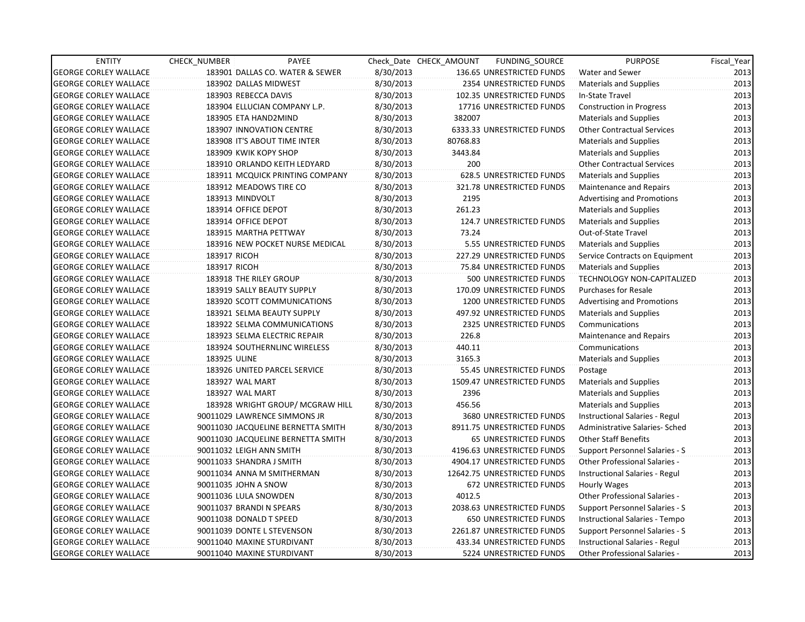| <b>ENTITY</b>                | CHECK NUMBER | PAYEE                              |           | Check Date CHECK AMOUNT | FUNDING SOURCE                 | <b>PURPOSE</b>                        | Fiscal_Year |
|------------------------------|--------------|------------------------------------|-----------|-------------------------|--------------------------------|---------------------------------------|-------------|
| <b>GEORGE CORLEY WALLACE</b> |              | 183901 DALLAS CO. WATER & SEWER    | 8/30/2013 |                         | 136.65 UNRESTRICTED FUNDS      | Water and Sewer                       | 2013        |
| <b>GEORGE CORLEY WALLACE</b> |              | 183902 DALLAS MIDWEST              | 8/30/2013 |                         | 2354 UNRESTRICTED FUNDS        | <b>Materials and Supplies</b>         | 2013        |
| <b>GEORGE CORLEY WALLACE</b> |              | 183903 REBECCA DAVIS               | 8/30/2013 |                         | 102.35 UNRESTRICTED FUNDS      | In-State Travel                       | 2013        |
| <b>GEORGE CORLEY WALLACE</b> |              | 183904 ELLUCIAN COMPANY L.P.       | 8/30/2013 |                         | 17716 UNRESTRICTED FUNDS       | Construction in Progress              | 2013        |
| <b>GEORGE CORLEY WALLACE</b> |              | 183905 ETA HAND2MIND               | 8/30/2013 | 382007                  |                                | <b>Materials and Supplies</b>         | 2013        |
| <b>GEORGE CORLEY WALLACE</b> |              | 183907 INNOVATION CENTRE           | 8/30/2013 |                         | 6333.33 UNRESTRICTED FUNDS     | <b>Other Contractual Services</b>     | 2013        |
| <b>GEORGE CORLEY WALLACE</b> |              | 183908 IT'S ABOUT TIME INTER       | 8/30/2013 | 80768.83                |                                | <b>Materials and Supplies</b>         | 2013        |
| <b>GEORGE CORLEY WALLACE</b> |              | 183909 KWIK KOPY SHOP              | 8/30/2013 | 3443.84                 |                                | <b>Materials and Supplies</b>         | 2013        |
| <b>GEORGE CORLEY WALLACE</b> |              | 183910 ORLANDO KEITH LEDYARD       | 8/30/2013 | 200                     |                                | <b>Other Contractual Services</b>     | 2013        |
| <b>GEORGE CORLEY WALLACE</b> |              | 183911 MCQUICK PRINTING COMPANY    | 8/30/2013 |                         | 628.5 UNRESTRICTED FUNDS       | <b>Materials and Supplies</b>         | 2013        |
| <b>GEORGE CORLEY WALLACE</b> |              | 183912 MEADOWS TIRE CO             | 8/30/2013 |                         | 321.78 UNRESTRICTED FUNDS      | Maintenance and Repairs               | 2013        |
| <b>GEORGE CORLEY WALLACE</b> |              | 183913 MINDVOLT                    | 8/30/2013 | 2195                    |                                | <b>Advertising and Promotions</b>     | 2013        |
| <b>GEORGE CORLEY WALLACE</b> |              | 183914 OFFICE DEPOT                | 8/30/2013 | 261.23                  |                                | <b>Materials and Supplies</b>         | 2013        |
| <b>GEORGE CORLEY WALLACE</b> |              | 183914 OFFICE DEPOT                | 8/30/2013 |                         | 124.7 UNRESTRICTED FUNDS       | <b>Materials and Supplies</b>         | 2013        |
| <b>GEORGE CORLEY WALLACE</b> |              | 183915 MARTHA PETTWAY              | 8/30/2013 | 73.24                   |                                | Out-of-State Travel                   | 2013        |
| <b>GEORGE CORLEY WALLACE</b> |              | 183916 NEW POCKET NURSE MEDICAL    | 8/30/2013 |                         | 5.55 UNRESTRICTED FUNDS        | <b>Materials and Supplies</b>         | 2013        |
| <b>GEORGE CORLEY WALLACE</b> | 183917 RICOH |                                    | 8/30/2013 |                         | 227.29 UNRESTRICTED FUNDS      | Service Contracts on Equipment        | 2013        |
| <b>GEORGE CORLEY WALLACE</b> | 183917 RICOH |                                    | 8/30/2013 |                         | 75.84 UNRESTRICTED FUNDS       | <b>Materials and Supplies</b>         | 2013        |
| <b>GEORGE CORLEY WALLACE</b> |              | 183918 THE RILEY GROUP             | 8/30/2013 |                         | 500 UNRESTRICTED FUNDS         | TECHNOLOGY NON-CAPITALIZED            | 2013        |
| <b>GEORGE CORLEY WALLACE</b> |              | 183919 SALLY BEAUTY SUPPLY         | 8/30/2013 |                         | 170.09 UNRESTRICTED FUNDS      | <b>Purchases for Resale</b>           | 2013        |
| <b>GEORGE CORLEY WALLACE</b> |              | 183920 SCOTT COMMUNICATIONS        | 8/30/2013 |                         | 1200 UNRESTRICTED FUNDS        | <b>Advertising and Promotions</b>     | 2013        |
| <b>GEORGE CORLEY WALLACE</b> |              | 183921 SELMA BEAUTY SUPPLY         | 8/30/2013 |                         | 497.92 UNRESTRICTED FUNDS      | <b>Materials and Supplies</b>         | 2013        |
| <b>GEORGE CORLEY WALLACE</b> |              | 183922 SELMA COMMUNICATIONS        | 8/30/2013 |                         | 2325 UNRESTRICTED FUNDS        | Communications                        | 2013        |
| <b>GEORGE CORLEY WALLACE</b> |              | 183923 SELMA ELECTRIC REPAIR       | 8/30/2013 | 226.8                   |                                | Maintenance and Repairs               | 2013        |
| <b>GEORGE CORLEY WALLACE</b> |              | 183924 SOUTHERNLINC WIRELESS       | 8/30/2013 | 440.11                  |                                | Communications                        | 2013        |
| <b>GEORGE CORLEY WALLACE</b> | 183925 ULINE |                                    | 8/30/2013 | 3165.3                  |                                | <b>Materials and Supplies</b>         | 2013        |
| <b>GEORGE CORLEY WALLACE</b> |              | 183926 UNITED PARCEL SERVICE       | 8/30/2013 |                         | 55.45 UNRESTRICTED FUNDS       | Postage                               | 2013        |
| <b>GEORGE CORLEY WALLACE</b> |              | 183927 WAL MART                    | 8/30/2013 |                         | 1509.47 UNRESTRICTED FUNDS     | <b>Materials and Supplies</b>         | 2013        |
| <b>GEORGE CORLEY WALLACE</b> |              | 183927 WAL MART                    | 8/30/2013 | 2396                    |                                | <b>Materials and Supplies</b>         | 2013        |
| <b>GEORGE CORLEY WALLACE</b> |              | 183928 WRIGHT GROUP/ MCGRAW HILL   | 8/30/2013 | 456.56                  |                                | <b>Materials and Supplies</b>         | 2013        |
| <b>GEORGE CORLEY WALLACE</b> |              | 90011029 LAWRENCE SIMMONS JR       | 8/30/2013 |                         | 3680 UNRESTRICTED FUNDS        | Instructional Salaries - Regul        | 2013        |
| <b>GEORGE CORLEY WALLACE</b> |              | 90011030 JACQUELINE BERNETTA SMITH | 8/30/2013 |                         | 8911.75 UNRESTRICTED FUNDS     | Administrative Salaries- Sched        | 2013        |
| <b>GEORGE CORLEY WALLACE</b> |              | 90011030 JACQUELINE BERNETTA SMITH | 8/30/2013 |                         | <b>65 UNRESTRICTED FUNDS</b>   | <b>Other Staff Benefits</b>           | 2013        |
| <b>GEORGE CORLEY WALLACE</b> |              | 90011032 LEIGH ANN SMITH           | 8/30/2013 |                         | 4196.63 UNRESTRICTED FUNDS     | Support Personnel Salaries - S        | 2013        |
| <b>GEORGE CORLEY WALLACE</b> |              | 90011033 SHANDRA J SMITH           | 8/30/2013 |                         | 4904.17 UNRESTRICTED FUNDS     | <b>Other Professional Salaries -</b>  | 2013        |
| <b>GEORGE CORLEY WALLACE</b> |              | 90011034 ANNA M SMITHERMAN         | 8/30/2013 |                         | 12642.75 UNRESTRICTED FUNDS    | Instructional Salaries - Regul        | 2013        |
| <b>GEORGE CORLEY WALLACE</b> |              | 90011035 JOHN A SNOW               | 8/30/2013 |                         | 672 UNRESTRICTED FUNDS         | Hourly Wages                          | 2013        |
| <b>GEORGE CORLEY WALLACE</b> |              | 90011036 LULA SNOWDEN              | 8/30/2013 | 4012.5                  |                                | Other Professional Salaries -         | 2013        |
| <b>GEORGE CORLEY WALLACE</b> |              | 90011037 BRANDI N SPEARS           | 8/30/2013 |                         | 2038.63 UNRESTRICTED FUNDS     | <b>Support Personnel Salaries - S</b> | 2013        |
| <b>GEORGE CORLEY WALLACE</b> |              | 90011038 DONALD T SPEED            | 8/30/2013 |                         | <b>650 UNRESTRICTED FUNDS</b>  | Instructional Salaries - Tempo        | 2013        |
| <b>GEORGE CORLEY WALLACE</b> |              | 90011039 DONTE L STEVENSON         | 8/30/2013 |                         | 2261.87 UNRESTRICTED FUNDS     | Support Personnel Salaries - S        | 2013        |
| <b>GEORGE CORLEY WALLACE</b> |              | 90011040 MAXINE STURDIVANT         | 8/30/2013 |                         | 433.34 UNRESTRICTED FUNDS      | Instructional Salaries - Regul        | 2013        |
| <b>GEORGE CORLEY WALLACE</b> |              | 90011040 MAXINE STURDIVANT         | 8/30/2013 |                         | <b>5224 UNRESTRICTED FUNDS</b> | <b>Other Professional Salaries -</b>  | 2013        |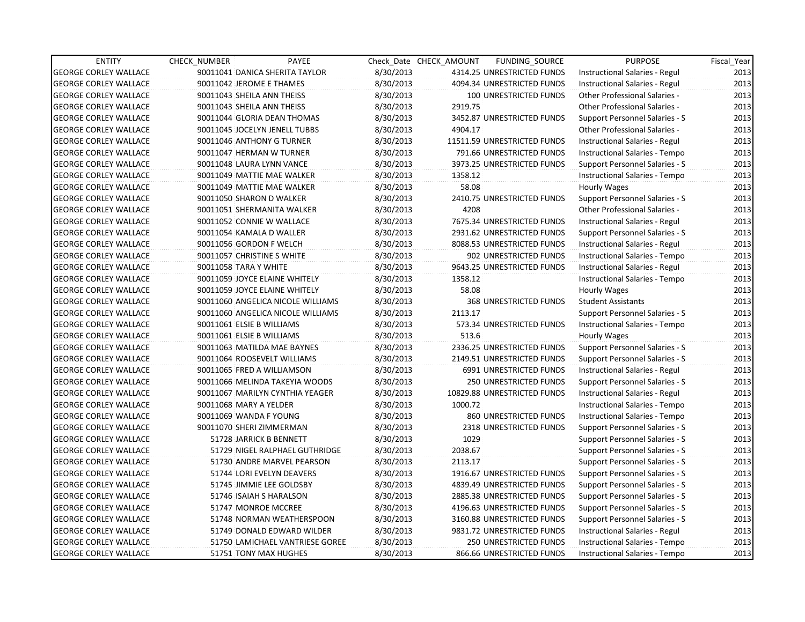| <b>ENTITY</b>                | <b>CHECK NUMBER</b>            | PAYEE                             |           | Check Date CHECK AMOUNT | FUNDING_SOURCE                | <b>PURPOSE</b>                        | Fiscal_Year |
|------------------------------|--------------------------------|-----------------------------------|-----------|-------------------------|-------------------------------|---------------------------------------|-------------|
| <b>GEORGE CORLEY WALLACE</b> | 90011041 DANICA SHERITA TAYLOR |                                   | 8/30/2013 |                         | 4314.25 UNRESTRICTED FUNDS    | Instructional Salaries - Regul        | 2013        |
| <b>GEORGE CORLEY WALLACE</b> | 90011042 JEROME E THAMES       |                                   | 8/30/2013 |                         | 4094.34 UNRESTRICTED FUNDS    | Instructional Salaries - Regul        | 2013        |
| <b>GEORGE CORLEY WALLACE</b> | 90011043 SHEILA ANN THEISS     |                                   | 8/30/2013 |                         | <b>100 UNRESTRICTED FUNDS</b> | Other Professional Salaries -         | 2013        |
| <b>GEORGE CORLEY WALLACE</b> | 90011043 SHEILA ANN THEISS     |                                   | 8/30/2013 | 2919.75                 |                               | <b>Other Professional Salaries -</b>  | 2013        |
| <b>GEORGE CORLEY WALLACE</b> | 90011044 GLORIA DEAN THOMAS    |                                   | 8/30/2013 |                         | 3452.87 UNRESTRICTED FUNDS    | Support Personnel Salaries - S        | 2013        |
| <b>GEORGE CORLEY WALLACE</b> | 90011045 JOCELYN JENELL TUBBS  |                                   | 8/30/2013 | 4904.17                 |                               | <b>Other Professional Salaries -</b>  | 2013        |
| <b>GEORGE CORLEY WALLACE</b> | 90011046 ANTHONY G TURNER      |                                   | 8/30/2013 |                         | 11511.59 UNRESTRICTED FUNDS   | Instructional Salaries - Regul        | 2013        |
| <b>GEORGE CORLEY WALLACE</b> | 90011047 HERMAN W TURNER       |                                   | 8/30/2013 |                         | 791.66 UNRESTRICTED FUNDS     | Instructional Salaries - Tempo        | 2013        |
| <b>GEORGE CORLEY WALLACE</b> | 90011048 LAURA LYNN VANCE      |                                   | 8/30/2013 |                         | 3973.25 UNRESTRICTED FUNDS    | Support Personnel Salaries - S        | 2013        |
| <b>GEORGE CORLEY WALLACE</b> | 90011049 MATTIE MAE WALKER     |                                   | 8/30/2013 | 1358.12                 |                               | Instructional Salaries - Tempo        | 2013        |
| <b>GEORGE CORLEY WALLACE</b> | 90011049 MATTIE MAE WALKER     |                                   | 8/30/2013 | 58.08                   |                               | Hourly Wages                          | 2013        |
| <b>GEORGE CORLEY WALLACE</b> | 90011050 SHARON D WALKER       |                                   | 8/30/2013 |                         | 2410.75 UNRESTRICTED FUNDS    | Support Personnel Salaries - S        | 2013        |
| <b>GEORGE CORLEY WALLACE</b> | 90011051 SHERMANITA WALKER     |                                   | 8/30/2013 | 4208                    |                               | Other Professional Salaries -         | 2013        |
| <b>GEORGE CORLEY WALLACE</b> | 90011052 CONNIE W WALLACE      |                                   | 8/30/2013 |                         | 7675.34 UNRESTRICTED FUNDS    | Instructional Salaries - Regul        | 2013        |
| <b>GEORGE CORLEY WALLACE</b> | 90011054 KAMALA D WALLER       |                                   | 8/30/2013 |                         | 2931.62 UNRESTRICTED FUNDS    | Support Personnel Salaries - S        | 2013        |
| <b>GEORGE CORLEY WALLACE</b> | 90011056 GORDON F WELCH        |                                   | 8/30/2013 |                         | 8088.53 UNRESTRICTED FUNDS    | Instructional Salaries - Regul        | 2013        |
| <b>GEORGE CORLEY WALLACE</b> | 90011057 CHRISTINE S WHITE     |                                   | 8/30/2013 |                         | 902 UNRESTRICTED FUNDS        | Instructional Salaries - Tempo        | 2013        |
| <b>GEORGE CORLEY WALLACE</b> | 90011058 TARA Y WHITE          |                                   | 8/30/2013 |                         | 9643.25 UNRESTRICTED FUNDS    | Instructional Salaries - Regul        | 2013        |
| <b>GEORGE CORLEY WALLACE</b> | 90011059 JOYCE ELAINE WHITELY  |                                   | 8/30/2013 | 1358.12                 |                               | Instructional Salaries - Tempo        | 2013        |
| <b>GEORGE CORLEY WALLACE</b> | 90011059 JOYCE ELAINE WHITELY  |                                   | 8/30/2013 | 58.08                   |                               | Hourly Wages                          | 2013        |
| <b>GEORGE CORLEY WALLACE</b> |                                | 90011060 ANGELICA NICOLE WILLIAMS | 8/30/2013 |                         | 368 UNRESTRICTED FUNDS        | <b>Student Assistants</b>             | 2013        |
| <b>GEORGE CORLEY WALLACE</b> |                                | 90011060 ANGELICA NICOLE WILLIAMS | 8/30/2013 | 2113.17                 |                               | Support Personnel Salaries - S        | 2013        |
| <b>GEORGE CORLEY WALLACE</b> | 90011061 ELSIE B WILLIAMS      |                                   | 8/30/2013 |                         | 573.34 UNRESTRICTED FUNDS     | Instructional Salaries - Tempo        | 2013        |
| <b>GEORGE CORLEY WALLACE</b> | 90011061 ELSIE B WILLIAMS      |                                   | 8/30/2013 | 513.6                   |                               | Hourly Wages                          | 2013        |
| <b>GEORGE CORLEY WALLACE</b> | 90011063 MATILDA MAE BAYNES    |                                   | 8/30/2013 |                         | 2336.25 UNRESTRICTED FUNDS    | Support Personnel Salaries - S        | 2013        |
| <b>GEORGE CORLEY WALLACE</b> | 90011064 ROOSEVELT WILLIAMS    |                                   | 8/30/2013 |                         | 2149.51 UNRESTRICTED FUNDS    | Support Personnel Salaries - S        | 2013        |
| <b>GEORGE CORLEY WALLACE</b> | 90011065 FRED A WILLIAMSON     |                                   | 8/30/2013 |                         | 6991 UNRESTRICTED FUNDS       | Instructional Salaries - Regul        | 2013        |
| <b>GEORGE CORLEY WALLACE</b> |                                | 90011066 MELINDA TAKEYIA WOODS    | 8/30/2013 |                         | 250 UNRESTRICTED FUNDS        | Support Personnel Salaries - S        | 2013        |
| <b>GEORGE CORLEY WALLACE</b> |                                | 90011067 MARILYN CYNTHIA YEAGER   | 8/30/2013 |                         | 10829.88 UNRESTRICTED FUNDS   | Instructional Salaries - Regul        | 2013        |
| <b>GEORGE CORLEY WALLACE</b> | 90011068 MARY A YELDER         |                                   | 8/30/2013 | 1000.72                 |                               | Instructional Salaries - Tempo        | 2013        |
| <b>GEORGE CORLEY WALLACE</b> | 90011069 WANDA F YOUNG         |                                   | 8/30/2013 |                         | 860 UNRESTRICTED FUNDS        | Instructional Salaries - Tempo        | 2013        |
| <b>GEORGE CORLEY WALLACE</b> | 90011070 SHERI ZIMMERMAN       |                                   | 8/30/2013 |                         | 2318 UNRESTRICTED FUNDS       | Support Personnel Salaries - S        | 2013        |
| <b>GEORGE CORLEY WALLACE</b> | 51728 JARRICK B BENNETT        |                                   | 8/30/2013 | 1029                    |                               | Support Personnel Salaries - S        | 2013        |
| <b>GEORGE CORLEY WALLACE</b> |                                | 51729 NIGEL RALPHAEL GUTHRIDGE    | 8/30/2013 | 2038.67                 |                               | Support Personnel Salaries - S        | 2013        |
| <b>GEORGE CORLEY WALLACE</b> |                                | 51730 ANDRE MARVEL PEARSON        | 8/30/2013 | 2113.17                 |                               | Support Personnel Salaries - S        | 2013        |
| <b>GEORGE CORLEY WALLACE</b> |                                | 51744 LORI EVELYN DEAVERS         | 8/30/2013 |                         | 1916.67 UNRESTRICTED FUNDS    | Support Personnel Salaries - S        | 2013        |
| <b>GEORGE CORLEY WALLACE</b> | 51745 JIMMIE LEE GOLDSBY       |                                   | 8/30/2013 |                         | 4839.49 UNRESTRICTED FUNDS    | <b>Support Personnel Salaries - S</b> | 2013        |
| <b>GEORGE CORLEY WALLACE</b> | 51746 ISAIAH S HARALSON        |                                   | 8/30/2013 |                         | 2885.38 UNRESTRICTED FUNDS    | Support Personnel Salaries - S        | 2013        |
| <b>GEORGE CORLEY WALLACE</b> | 51747 MONROE MCCREE            |                                   | 8/30/2013 |                         | 4196.63 UNRESTRICTED FUNDS    | Support Personnel Salaries - S        | 2013        |
| <b>GEORGE CORLEY WALLACE</b> |                                | 51748 NORMAN WEATHERSPOON         | 8/30/2013 |                         | 3160.88 UNRESTRICTED FUNDS    | Support Personnel Salaries - S        | 2013        |
| <b>GEORGE CORLEY WALLACE</b> |                                | 51749 DONALD EDWARD WILDER        | 8/30/2013 |                         | 9831.72 UNRESTRICTED FUNDS    | Instructional Salaries - Regul        | 2013        |
| <b>GEORGE CORLEY WALLACE</b> |                                | 51750 LAMICHAEL VANTRIESE GOREE   | 8/30/2013 |                         | <b>250 UNRESTRICTED FUNDS</b> | Instructional Salaries - Tempo        | 2013        |
| <b>GEORGE CORLEY WALLACE</b> | 51751 TONY MAX HUGHES          |                                   | 8/30/2013 |                         | 866.66 UNRESTRICTED FUNDS     | <b>Instructional Salaries - Tempo</b> | 2013        |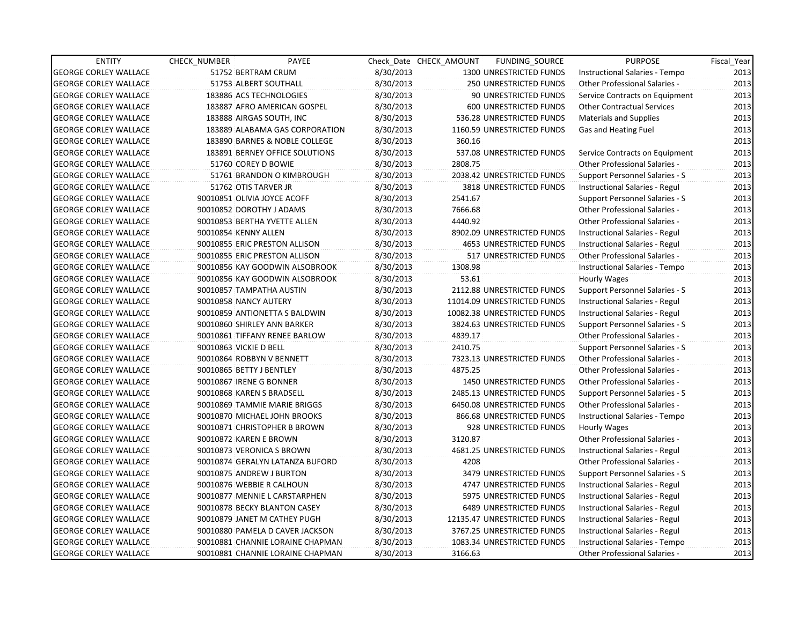| <b>ENTITY</b>                | CHECK NUMBER                | PAYEE                            |           | Check Date CHECK AMOUNT | FUNDING_SOURCE                 | <b>PURPOSE</b>                        | Fiscal Year |
|------------------------------|-----------------------------|----------------------------------|-----------|-------------------------|--------------------------------|---------------------------------------|-------------|
| <b>GEORGE CORLEY WALLACE</b> | 51752 BERTRAM CRUM          |                                  | 8/30/2013 |                         | 1300 UNRESTRICTED FUNDS        | Instructional Salaries - Tempo        | 2013        |
| <b>GEORGE CORLEY WALLACE</b> |                             | 51753 ALBERT SOUTHALL            | 8/30/2013 |                         | 250 UNRESTRICTED FUNDS         | <b>Other Professional Salaries -</b>  | 2013        |
| <b>GEORGE CORLEY WALLACE</b> |                             | 183886 ACS TECHNOLOGIES          | 8/30/2013 |                         | 90 UNRESTRICTED FUNDS          | Service Contracts on Equipment        | 2013        |
| <b>GEORGE CORLEY WALLACE</b> |                             | 183887 AFRO AMERICAN GOSPEL      | 8/30/2013 |                         | 600 UNRESTRICTED FUNDS         | <b>Other Contractual Services</b>     | 2013        |
| <b>GEORGE CORLEY WALLACE</b> | 183888 AIRGAS SOUTH, INC    |                                  | 8/30/2013 |                         | 536.28 UNRESTRICTED FUNDS      | <b>Materials and Supplies</b>         | 2013        |
| <b>GEORGE CORLEY WALLACE</b> |                             | 183889 ALABAMA GAS CORPORATION   | 8/30/2013 |                         | 1160.59 UNRESTRICTED FUNDS     | Gas and Heating Fuel                  | 2013        |
| <b>GEORGE CORLEY WALLACE</b> |                             | 183890 BARNES & NOBLE COLLEGE    | 8/30/2013 | 360.16                  |                                |                                       | 2013        |
| <b>GEORGE CORLEY WALLACE</b> |                             | 183891 BERNEY OFFICE SOLUTIONS   | 8/30/2013 |                         | 537.08 UNRESTRICTED FUNDS      | Service Contracts on Equipment        | 2013        |
| <b>GEORGE CORLEY WALLACE</b> | 51760 COREY D BOWIE         |                                  | 8/30/2013 | 2808.75                 |                                | <b>Other Professional Salaries -</b>  | 2013        |
| <b>GEORGE CORLEY WALLACE</b> |                             | 51761 BRANDON O KIMBROUGH        | 8/30/2013 |                         | 2038.42 UNRESTRICTED FUNDS     | Support Personnel Salaries - S        | 2013        |
| <b>GEORGE CORLEY WALLACE</b> | 51762 OTIS TARVER JR        |                                  | 8/30/2013 |                         | 3818 UNRESTRICTED FUNDS        | Instructional Salaries - Regul        | 2013        |
| <b>GEORGE CORLEY WALLACE</b> | 90010851 OLIVIA JOYCE ACOFF |                                  | 8/30/2013 | 2541.67                 |                                | Support Personnel Salaries - S        | 2013        |
| <b>GEORGE CORLEY WALLACE</b> | 90010852 DOROTHY J ADAMS    |                                  | 8/30/2013 | 7666.68                 |                                | <b>Other Professional Salaries -</b>  | 2013        |
| <b>GEORGE CORLEY WALLACE</b> |                             | 90010853 BERTHA YVETTE ALLEN     | 8/30/2013 | 4440.92                 |                                | <b>Other Professional Salaries -</b>  | 2013        |
| <b>GEORGE CORLEY WALLACE</b> | 90010854 KENNY ALLEN        |                                  | 8/30/2013 |                         | 8902.09 UNRESTRICTED FUNDS     | Instructional Salaries - Regul        | 2013        |
| <b>GEORGE CORLEY WALLACE</b> |                             | 90010855 ERIC PRESTON ALLISON    | 8/30/2013 |                         | 4653 UNRESTRICTED FUNDS        | Instructional Salaries - Regul        | 2013        |
| <b>GEORGE CORLEY WALLACE</b> |                             | 90010855 ERIC PRESTON ALLISON    | 8/30/2013 |                         | 517 UNRESTRICTED FUNDS         | Other Professional Salaries -         | 2013        |
| <b>GEORGE CORLEY WALLACE</b> |                             | 90010856 KAY GOODWIN ALSOBROOK   | 8/30/2013 | 1308.98                 |                                | Instructional Salaries - Tempo        | 2013        |
| <b>GEORGE CORLEY WALLACE</b> |                             | 90010856 KAY GOODWIN ALSOBROOK   | 8/30/2013 | 53.61                   |                                | Hourly Wages                          | 2013        |
| <b>GEORGE CORLEY WALLACE</b> | 90010857 TAMPATHA AUSTIN    |                                  | 8/30/2013 |                         | 2112.88 UNRESTRICTED FUNDS     | Support Personnel Salaries - S        | 2013        |
| <b>GEORGE CORLEY WALLACE</b> | 90010858 NANCY AUTERY       |                                  | 8/30/2013 |                         | 11014.09 UNRESTRICTED FUNDS    | Instructional Salaries - Regul        | 2013        |
| <b>GEORGE CORLEY WALLACE</b> |                             | 90010859 ANTIONETTA S BALDWIN    | 8/30/2013 |                         | 10082.38 UNRESTRICTED FUNDS    | Instructional Salaries - Regul        | 2013        |
| <b>GEORGE CORLEY WALLACE</b> | 90010860 SHIRLEY ANN BARKER |                                  | 8/30/2013 |                         | 3824.63 UNRESTRICTED FUNDS     | <b>Support Personnel Salaries - S</b> | 2013        |
| <b>GEORGE CORLEY WALLACE</b> |                             | 90010861 TIFFANY RENEE BARLOW    | 8/30/2013 | 4839.17                 |                                | Other Professional Salaries -         | 2013        |
| <b>GEORGE CORLEY WALLACE</b> | 90010863 VICKIE D BELL      |                                  | 8/30/2013 | 2410.75                 |                                | Support Personnel Salaries - S        | 2013        |
| <b>GEORGE CORLEY WALLACE</b> | 90010864 ROBBYN V BENNETT   |                                  | 8/30/2013 |                         | 7323.13 UNRESTRICTED FUNDS     | Other Professional Salaries -         | 2013        |
| <b>GEORGE CORLEY WALLACE</b> | 90010865 BETTY J BENTLEY    |                                  | 8/30/2013 | 4875.25                 |                                | <b>Other Professional Salaries -</b>  | 2013        |
| <b>GEORGE CORLEY WALLACE</b> | 90010867 IRENE G BONNER     |                                  | 8/30/2013 |                         | <b>1450 UNRESTRICTED FUNDS</b> | <b>Other Professional Salaries -</b>  | 2013        |
| <b>GEORGE CORLEY WALLACE</b> | 90010868 KAREN S BRADSELL   |                                  | 8/30/2013 |                         | 2485.13 UNRESTRICTED FUNDS     | Support Personnel Salaries - S        | 2013        |
| <b>GEORGE CORLEY WALLACE</b> |                             | 90010869 TAMMIE MARIE BRIGGS     | 8/30/2013 |                         | 6450.08 UNRESTRICTED FUNDS     | <b>Other Professional Salaries -</b>  | 2013        |
| <b>GEORGE CORLEY WALLACE</b> |                             | 90010870 MICHAEL JOHN BROOKS     | 8/30/2013 |                         | 866.68 UNRESTRICTED FUNDS      | Instructional Salaries - Tempo        | 2013        |
| <b>GEORGE CORLEY WALLACE</b> |                             | 90010871 CHRISTOPHER B BROWN     | 8/30/2013 |                         | 928 UNRESTRICTED FUNDS         | Hourly Wages                          | 2013        |
| <b>GEORGE CORLEY WALLACE</b> | 90010872 KAREN E BROWN      |                                  | 8/30/2013 | 3120.87                 |                                | <b>Other Professional Salaries -</b>  | 2013        |
| <b>GEORGE CORLEY WALLACE</b> | 90010873 VERONICA S BROWN   |                                  | 8/30/2013 |                         | 4681.25 UNRESTRICTED FUNDS     | Instructional Salaries - Regul        | 2013        |
| <b>GEORGE CORLEY WALLACE</b> |                             | 90010874 GERALYN LATANZA BUFORD  | 8/30/2013 | 4208                    |                                | <b>Other Professional Salaries -</b>  | 2013        |
| <b>GEORGE CORLEY WALLACE</b> | 90010875 ANDREW J BURTON    |                                  | 8/30/2013 |                         | <b>3479 UNRESTRICTED FUNDS</b> | Support Personnel Salaries - S        | 2013        |
| <b>GEORGE CORLEY WALLACE</b> | 90010876 WEBBIE R CALHOUN   |                                  | 8/30/2013 |                         | 4747 UNRESTRICTED FUNDS        | Instructional Salaries - Regul        | 2013        |
| <b>GEORGE CORLEY WALLACE</b> |                             | 90010877 MENNIE L CARSTARPHEN    | 8/30/2013 |                         | 5975 UNRESTRICTED FUNDS        | Instructional Salaries - Regul        | 2013        |
| <b>GEORGE CORLEY WALLACE</b> |                             | 90010878 BECKY BLANTON CASEY     | 8/30/2013 |                         | <b>6489 UNRESTRICTED FUNDS</b> | Instructional Salaries - Regul        | 2013        |
| <b>GEORGE CORLEY WALLACE</b> |                             | 90010879 JANET M CATHEY PUGH     | 8/30/2013 |                         | 12135.47 UNRESTRICTED FUNDS    | Instructional Salaries - Regul        | 2013        |
| <b>GEORGE CORLEY WALLACE</b> |                             | 90010880 PAMELA D CAVER JACKSON  | 8/30/2013 |                         | 3767.25 UNRESTRICTED FUNDS     | Instructional Salaries - Regul        | 2013        |
| <b>GEORGE CORLEY WALLACE</b> |                             | 90010881 CHANNIE LORAINE CHAPMAN | 8/30/2013 |                         | 1083.34 UNRESTRICTED FUNDS     | Instructional Salaries - Tempo        | 2013        |
| <b>GEORGE CORLEY WALLACE</b> |                             | 90010881 CHANNIE LORAINE CHAPMAN | 8/30/2013 | 3166.63                 |                                | <b>Other Professional Salaries -</b>  | 2013        |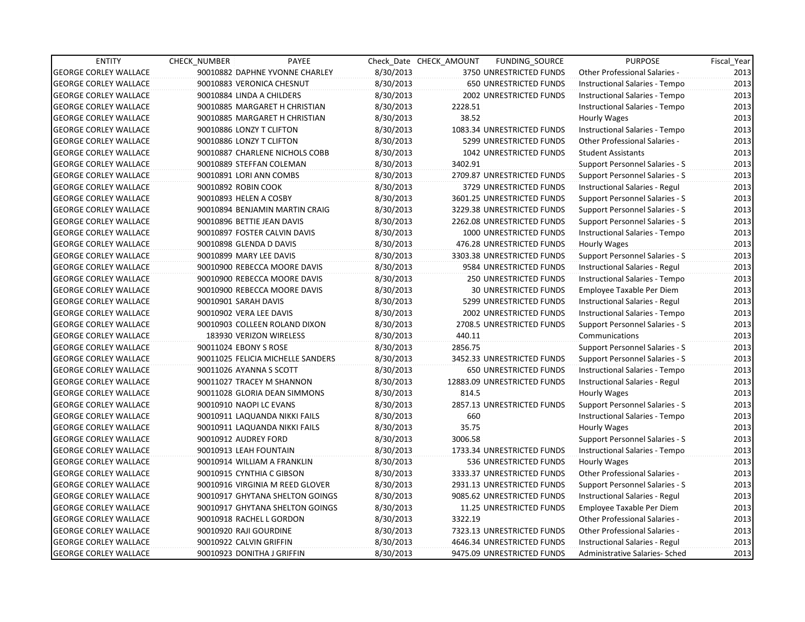| <b>ENTITY</b>                | <b>CHECK NUMBER</b>           | PAYEE                             |           | Check Date CHECK AMOUNT | FUNDING_SOURCE                 | <b>PURPOSE</b>                        | Fiscal Year |
|------------------------------|-------------------------------|-----------------------------------|-----------|-------------------------|--------------------------------|---------------------------------------|-------------|
| <b>GEORGE CORLEY WALLACE</b> |                               | 90010882 DAPHNE YVONNE CHARLEY    | 8/30/2013 |                         | 3750 UNRESTRICTED FUNDS        | <b>Other Professional Salaries -</b>  | 2013        |
| <b>GEORGE CORLEY WALLACE</b> | 90010883 VERONICA CHESNUT     |                                   | 8/30/2013 |                         | <b>650 UNRESTRICTED FUNDS</b>  | Instructional Salaries - Tempo        | 2013        |
| <b>GEORGE CORLEY WALLACE</b> | 90010884 LINDA A CHILDERS     |                                   | 8/30/2013 |                         | 2002 UNRESTRICTED FUNDS        | Instructional Salaries - Tempo        | 2013        |
| <b>GEORGE CORLEY WALLACE</b> |                               | 90010885 MARGARET H CHRISTIAN     | 8/30/2013 | 2228.51                 |                                | Instructional Salaries - Tempo        | 2013        |
| <b>GEORGE CORLEY WALLACE</b> |                               | 90010885 MARGARET H CHRISTIAN     | 8/30/2013 | 38.52                   |                                | Hourly Wages                          | 2013        |
| <b>GEORGE CORLEY WALLACE</b> | 90010886 LONZY T CLIFTON      |                                   | 8/30/2013 |                         | 1083.34 UNRESTRICTED FUNDS     | Instructional Salaries - Tempo        | 2013        |
| <b>GEORGE CORLEY WALLACE</b> | 90010886 LONZY T CLIFTON      |                                   | 8/30/2013 |                         | 5299 UNRESTRICTED FUNDS        | <b>Other Professional Salaries -</b>  | 2013        |
| <b>GEORGE CORLEY WALLACE</b> |                               | 90010887 CHARLENE NICHOLS COBB    | 8/30/2013 |                         | <b>1042 UNRESTRICTED FUNDS</b> | <b>Student Assistants</b>             | 2013        |
| <b>GEORGE CORLEY WALLACE</b> | 90010889 STEFFAN COLEMAN      |                                   | 8/30/2013 | 3402.91                 |                                | Support Personnel Salaries - S        | 2013        |
| <b>GEORGE CORLEY WALLACE</b> | 90010891 LORI ANN COMBS       |                                   | 8/30/2013 |                         | 2709.87 UNRESTRICTED FUNDS     | Support Personnel Salaries - S        | 2013        |
| <b>GEORGE CORLEY WALLACE</b> | 90010892 ROBIN COOK           |                                   | 8/30/2013 |                         | 3729 UNRESTRICTED FUNDS        | Instructional Salaries - Regul        | 2013        |
| <b>GEORGE CORLEY WALLACE</b> | 90010893 HELEN A COSBY        |                                   | 8/30/2013 |                         | 3601.25 UNRESTRICTED FUNDS     | <b>Support Personnel Salaries - S</b> | 2013        |
| <b>GEORGE CORLEY WALLACE</b> |                               | 90010894 BENJAMIN MARTIN CRAIG    | 8/30/2013 |                         | 3229.38 UNRESTRICTED FUNDS     | Support Personnel Salaries - S        | 2013        |
| <b>GEORGE CORLEY WALLACE</b> | 90010896 BETTIE JEAN DAVIS    |                                   | 8/30/2013 |                         | 2262.08 UNRESTRICTED FUNDS     | Support Personnel Salaries - S        | 2013        |
| <b>GEORGE CORLEY WALLACE</b> | 90010897 FOSTER CALVIN DAVIS  |                                   | 8/30/2013 |                         | 1000 UNRESTRICTED FUNDS        | Instructional Salaries - Tempo        | 2013        |
| <b>GEORGE CORLEY WALLACE</b> | 90010898 GLENDA D DAVIS       |                                   | 8/30/2013 |                         | 476.28 UNRESTRICTED FUNDS      | Hourly Wages                          | 2013        |
| <b>GEORGE CORLEY WALLACE</b> | 90010899 MARY LEE DAVIS       |                                   | 8/30/2013 |                         | 3303.38 UNRESTRICTED FUNDS     | Support Personnel Salaries - S        | 2013        |
| <b>GEORGE CORLEY WALLACE</b> | 90010900 REBECCA MOORE DAVIS  |                                   | 8/30/2013 |                         | 9584 UNRESTRICTED FUNDS        | Instructional Salaries - Regul        | 2013        |
| <b>GEORGE CORLEY WALLACE</b> | 90010900 REBECCA MOORE DAVIS  |                                   | 8/30/2013 |                         | <b>250 UNRESTRICTED FUNDS</b>  | Instructional Salaries - Tempo        | 2013        |
| <b>GEORGE CORLEY WALLACE</b> | 90010900 REBECCA MOORE DAVIS  |                                   | 8/30/2013 |                         | <b>30 UNRESTRICTED FUNDS</b>   | Employee Taxable Per Diem             | 2013        |
| <b>GEORGE CORLEY WALLACE</b> | 90010901 SARAH DAVIS          |                                   | 8/30/2013 |                         | 5299 UNRESTRICTED FUNDS        | Instructional Salaries - Regul        | 2013        |
| <b>GEORGE CORLEY WALLACE</b> | 90010902 VERA LEE DAVIS       |                                   | 8/30/2013 |                         | 2002 UNRESTRICTED FUNDS        | Instructional Salaries - Tempo        | 2013        |
| <b>GEORGE CORLEY WALLACE</b> |                               | 90010903 COLLEEN ROLAND DIXON     | 8/30/2013 |                         | 2708.5 UNRESTRICTED FUNDS      | <b>Support Personnel Salaries - S</b> | 2013        |
| <b>GEORGE CORLEY WALLACE</b> | 183930 VERIZON WIRELESS       |                                   | 8/30/2013 | 440.11                  |                                | Communications                        | 2013        |
| <b>GEORGE CORLEY WALLACE</b> | 90011024 EBONY S ROSE         |                                   | 8/30/2013 | 2856.75                 |                                | Support Personnel Salaries - S        | 2013        |
| <b>GEORGE CORLEY WALLACE</b> |                               | 90011025 FELICIA MICHELLE SANDERS | 8/30/2013 |                         | 3452.33 UNRESTRICTED FUNDS     | Support Personnel Salaries - S        | 2013        |
| <b>GEORGE CORLEY WALLACE</b> | 90011026 AYANNA S SCOTT       |                                   | 8/30/2013 |                         | <b>650 UNRESTRICTED FUNDS</b>  | Instructional Salaries - Tempo        | 2013        |
| <b>GEORGE CORLEY WALLACE</b> | 90011027 TRACEY M SHANNON     |                                   | 8/30/2013 |                         | 12883.09 UNRESTRICTED FUNDS    | Instructional Salaries - Regul        | 2013        |
| <b>GEORGE CORLEY WALLACE</b> | 90011028 GLORIA DEAN SIMMONS  |                                   | 8/30/2013 | 814.5                   |                                | Hourly Wages                          | 2013        |
| <b>GEORGE CORLEY WALLACE</b> | 90010910 NAOPI LC EVANS       |                                   | 8/30/2013 |                         | 2857.13 UNRESTRICTED FUNDS     | Support Personnel Salaries - S        | 2013        |
| <b>GEORGE CORLEY WALLACE</b> | 90010911 LAQUANDA NIKKI FAILS |                                   | 8/30/2013 | 660                     |                                | Instructional Salaries - Tempo        | 2013        |
| <b>GEORGE CORLEY WALLACE</b> | 90010911 LAQUANDA NIKKI FAILS |                                   | 8/30/2013 | 35.75                   |                                | Hourly Wages                          | 2013        |
| <b>GEORGE CORLEY WALLACE</b> | 90010912 AUDREY FORD          |                                   | 8/30/2013 | 3006.58                 |                                | Support Personnel Salaries - S        | 2013        |
| <b>GEORGE CORLEY WALLACE</b> | 90010913 LEAH FOUNTAIN        |                                   | 8/30/2013 |                         | 1733.34 UNRESTRICTED FUNDS     | Instructional Salaries - Tempo        | 2013        |
| <b>GEORGE CORLEY WALLACE</b> | 90010914 WILLIAM A FRANKLIN   |                                   | 8/30/2013 |                         | 536 UNRESTRICTED FUNDS         | Hourly Wages                          | 2013        |
| <b>GEORGE CORLEY WALLACE</b> | 90010915 CYNTHIA C GIBSON     |                                   | 8/30/2013 |                         | 3333.37 UNRESTRICTED FUNDS     | Other Professional Salaries -         | 2013        |
| <b>GEORGE CORLEY WALLACE</b> |                               | 90010916 VIRGINIA M REED GLOVER   | 8/30/2013 |                         | 2931.13 UNRESTRICTED FUNDS     | Support Personnel Salaries - S        | 2013        |
| <b>GEORGE CORLEY WALLACE</b> |                               | 90010917 GHYTANA SHELTON GOINGS   | 8/30/2013 |                         | 9085.62 UNRESTRICTED FUNDS     | Instructional Salaries - Regul        | 2013        |
| <b>GEORGE CORLEY WALLACE</b> |                               | 90010917 GHYTANA SHELTON GOINGS   | 8/30/2013 |                         | 11.25 UNRESTRICTED FUNDS       | Employee Taxable Per Diem             | 2013        |
| <b>GEORGE CORLEY WALLACE</b> | 90010918 RACHEL L GORDON      |                                   | 8/30/2013 | 3322.19                 |                                | Other Professional Salaries -         | 2013        |
| <b>GEORGE CORLEY WALLACE</b> | 90010920 RAJI GOURDINE        |                                   | 8/30/2013 |                         | 7323.13 UNRESTRICTED FUNDS     | <b>Other Professional Salaries -</b>  | 2013        |
| <b>GEORGE CORLEY WALLACE</b> | 90010922 CALVIN GRIFFIN       |                                   | 8/30/2013 |                         | 4646.34 UNRESTRICTED FUNDS     | Instructional Salaries - Regul        | 2013        |
| <b>GEORGE CORLEY WALLACE</b> | 90010923 DONITHA J GRIFFIN    |                                   | 8/30/2013 |                         | 9475.09 UNRESTRICTED FUNDS     | Administrative Salaries- Sched        | 2013        |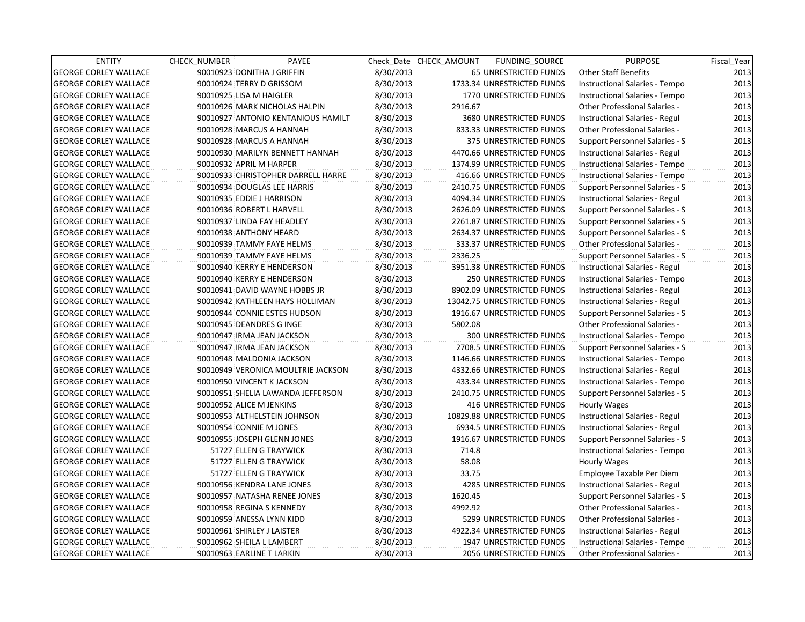| <b>ENTITY</b>                | <b>CHECK NUMBER</b>      | PAYEE                              |           | Check Date CHECK AMOUNT | FUNDING SOURCE                 | <b>PURPOSE</b>                        | Fiscal_Year |
|------------------------------|--------------------------|------------------------------------|-----------|-------------------------|--------------------------------|---------------------------------------|-------------|
| <b>GEORGE CORLEY WALLACE</b> |                          | 90010923 DONITHA J GRIFFIN         | 8/30/2013 |                         | 65 UNRESTRICTED FUNDS          | Other Staff Benefits                  | 2013        |
| <b>GEORGE CORLEY WALLACE</b> |                          | 90010924 TERRY D GRISSOM           | 8/30/2013 |                         | 1733.34 UNRESTRICTED FUNDS     | Instructional Salaries - Tempo        | 2013        |
| <b>GEORGE CORLEY WALLACE</b> | 90010925 LISA M HAIGLER  |                                    | 8/30/2013 |                         | <b>1770 UNRESTRICTED FUNDS</b> | Instructional Salaries - Tempo        | 2013        |
| <b>GEORGE CORLEY WALLACE</b> |                          | 90010926 MARK NICHOLAS HALPIN      | 8/30/2013 | 2916.67                 |                                | <b>Other Professional Salaries -</b>  | 2013        |
| <b>GEORGE CORLEY WALLACE</b> |                          | 90010927 ANTONIO KENTANIOUS HAMILT | 8/30/2013 |                         | 3680 UNRESTRICTED FUNDS        | Instructional Salaries - Regul        | 2013        |
| <b>GEORGE CORLEY WALLACE</b> |                          | 90010928 MARCUS A HANNAH           | 8/30/2013 |                         | 833.33 UNRESTRICTED FUNDS      | <b>Other Professional Salaries -</b>  | 2013        |
| GEORGE CORLEY WALLACE        |                          | 90010928 MARCUS A HANNAH           | 8/30/2013 |                         | 375 UNRESTRICTED FUNDS         | Support Personnel Salaries - S        | 2013        |
| <b>GEORGE CORLEY WALLACE</b> |                          | 90010930 MARILYN BENNETT HANNAH    | 8/30/2013 |                         | 4470.66 UNRESTRICTED FUNDS     | Instructional Salaries - Regul        | 2013        |
| <b>GEORGE CORLEY WALLACE</b> | 90010932 APRIL M HARPER  |                                    | 8/30/2013 |                         | 1374.99 UNRESTRICTED FUNDS     | Instructional Salaries - Tempo        | 2013        |
| <b>GEORGE CORLEY WALLACE</b> |                          | 90010933 CHRISTOPHER DARRELL HARRE | 8/30/2013 |                         | 416.66 UNRESTRICTED FUNDS      | Instructional Salaries - Tempo        | 2013        |
| <b>GEORGE CORLEY WALLACE</b> |                          | 90010934 DOUGLAS LEE HARRIS        | 8/30/2013 |                         | 2410.75 UNRESTRICTED FUNDS     | Support Personnel Salaries - S        | 2013        |
| <b>GEORGE CORLEY WALLACE</b> |                          | 90010935 EDDIE J HARRISON          | 8/30/2013 |                         | 4094.34 UNRESTRICTED FUNDS     | Instructional Salaries - Regul        | 2013        |
| <b>GEORGE CORLEY WALLACE</b> |                          | 90010936 ROBERT L HARVELL          | 8/30/2013 |                         | 2626.09 UNRESTRICTED FUNDS     | Support Personnel Salaries - S        | 2013        |
| <b>GEORGE CORLEY WALLACE</b> |                          | 90010937 LINDA FAY HEADLEY         | 8/30/2013 |                         | 2261.87 UNRESTRICTED FUNDS     | Support Personnel Salaries - S        | 2013        |
| <b>GEORGE CORLEY WALLACE</b> |                          | 90010938 ANTHONY HEARD             | 8/30/2013 |                         | 2634.37 UNRESTRICTED FUNDS     | Support Personnel Salaries - S        | 2013        |
| <b>GEORGE CORLEY WALLACE</b> |                          | 90010939 TAMMY FAYE HELMS          | 8/30/2013 |                         | 333.37 UNRESTRICTED FUNDS      | <b>Other Professional Salaries -</b>  | 2013        |
| GEORGE CORLEY WALLACE        |                          | 90010939 TAMMY FAYE HELMS          | 8/30/2013 | 2336.25                 |                                | Support Personnel Salaries - S        | 2013        |
| <b>GEORGE CORLEY WALLACE</b> |                          | 90010940 KERRY E HENDERSON         | 8/30/2013 |                         | 3951.38 UNRESTRICTED FUNDS     | Instructional Salaries - Regul        | 2013        |
| <b>GEORGE CORLEY WALLACE</b> |                          | 90010940 KERRY E HENDERSON         | 8/30/2013 |                         | 250 UNRESTRICTED FUNDS         | Instructional Salaries - Tempo        | 2013        |
| <b>GEORGE CORLEY WALLACE</b> |                          | 90010941 DAVID WAYNE HOBBS JR      | 8/30/2013 |                         | 8902.09 UNRESTRICTED FUNDS     | Instructional Salaries - Regul        | 2013        |
| <b>GEORGE CORLEY WALLACE</b> |                          | 90010942 KATHLEEN HAYS HOLLIMAN    | 8/30/2013 |                         | 13042.75 UNRESTRICTED FUNDS    | Instructional Salaries - Regul        | 2013        |
| <b>GEORGE CORLEY WALLACE</b> |                          | 90010944 CONNIE ESTES HUDSON       | 8/30/2013 |                         | 1916.67 UNRESTRICTED FUNDS     | Support Personnel Salaries - S        | 2013        |
| <b>GEORGE CORLEY WALLACE</b> |                          | 90010945 DEANDRES G INGE           | 8/30/2013 | 5802.08                 |                                | <b>Other Professional Salaries -</b>  | 2013        |
| <b>GEORGE CORLEY WALLACE</b> |                          | 90010947 IRMA JEAN JACKSON         | 8/30/2013 |                         | 300 UNRESTRICTED FUNDS         | Instructional Salaries - Tempo        | 2013        |
| <b>GEORGE CORLEY WALLACE</b> |                          | 90010947 IRMA JEAN JACKSON         | 8/30/2013 |                         | 2708.5 UNRESTRICTED FUNDS      | Support Personnel Salaries - S        | 2013        |
| <b>GEORGE CORLEY WALLACE</b> |                          | 90010948 MALDONIA JACKSON          | 8/30/2013 |                         | 1146.66 UNRESTRICTED FUNDS     | Instructional Salaries - Tempo        | 2013        |
| GEORGE CORLEY WALLACE        |                          | 90010949 VERONICA MOULTRIE JACKSON | 8/30/2013 |                         | 4332.66 UNRESTRICTED FUNDS     | Instructional Salaries - Regul        | 2013        |
| <b>GEORGE CORLEY WALLACE</b> |                          | 90010950 VINCENT K JACKSON         | 8/30/2013 |                         | 433.34 UNRESTRICTED FUNDS      | Instructional Salaries - Tempo        | 2013        |
| <b>GEORGE CORLEY WALLACE</b> |                          | 90010951 SHELIA LAWANDA JEFFERSON  | 8/30/2013 |                         | 2410.75 UNRESTRICTED FUNDS     | Support Personnel Salaries - S        | 2013        |
| <b>GEORGE CORLEY WALLACE</b> | 90010952 ALICE M JENKINS |                                    | 8/30/2013 |                         | 416 UNRESTRICTED FUNDS         | Hourly Wages                          | 2013        |
| <b>GEORGE CORLEY WALLACE</b> |                          | 90010953 ALTHELSTEIN JOHNSON       | 8/30/2013 |                         | 10829.88 UNRESTRICTED FUNDS    | Instructional Salaries - Regul        | 2013        |
| <b>GEORGE CORLEY WALLACE</b> |                          | 90010954 CONNIE M JONES            | 8/30/2013 |                         | 6934.5 UNRESTRICTED FUNDS      | Instructional Salaries - Regul        | 2013        |
| <b>GEORGE CORLEY WALLACE</b> |                          | 90010955 JOSEPH GLENN JONES        | 8/30/2013 |                         | 1916.67 UNRESTRICTED FUNDS     | Support Personnel Salaries - S        | 2013        |
| <b>GEORGE CORLEY WALLACE</b> |                          | 51727 ELLEN G TRAYWICK             | 8/30/2013 | 714.8                   |                                | Instructional Salaries - Tempo        | 2013        |
| <b>GEORGE CORLEY WALLACE</b> |                          | 51727 ELLEN G TRAYWICK             | 8/30/2013 | 58.08                   |                                | Hourly Wages                          | 2013        |
| <b>GEORGE CORLEY WALLACE</b> |                          | 51727 ELLEN G TRAYWICK             | 8/30/2013 | 33.75                   |                                | Employee Taxable Per Diem             | 2013        |
| <b>GEORGE CORLEY WALLACE</b> |                          | 90010956 KENDRA LANE JONES         | 8/30/2013 |                         | <b>4285 UNRESTRICTED FUNDS</b> | Instructional Salaries - Regul        | 2013        |
| <b>GEORGE CORLEY WALLACE</b> |                          | 90010957 NATASHA RENEE JONES       | 8/30/2013 | 1620.45                 |                                | <b>Support Personnel Salaries - S</b> | 2013        |
| <b>GEORGE CORLEY WALLACE</b> |                          | 90010958 REGINA S KENNEDY          | 8/30/2013 | 4992.92                 |                                | Other Professional Salaries -         | 2013        |
| <b>GEORGE CORLEY WALLACE</b> |                          | 90010959 ANESSA LYNN KIDD          | 8/30/2013 |                         | 5299 UNRESTRICTED FUNDS        | Other Professional Salaries -         | 2013        |
| <b>GEORGE CORLEY WALLACE</b> |                          | 90010961 SHIRLEY J LAISTER         | 8/30/2013 |                         | 4922.34 UNRESTRICTED FUNDS     | Instructional Salaries - Regul        | 2013        |
| <b>GEORGE CORLEY WALLACE</b> |                          | 90010962 SHEILA L LAMBERT          | 8/30/2013 |                         | 1947 UNRESTRICTED FUNDS        | Instructional Salaries - Tempo        | 2013        |
| <b>GEORGE CORLEY WALLACE</b> |                          | 90010963 EARLINE T LARKIN          | 8/30/2013 |                         | <b>2056 UNRESTRICTED FUNDS</b> | <b>Other Professional Salaries -</b>  | 2013        |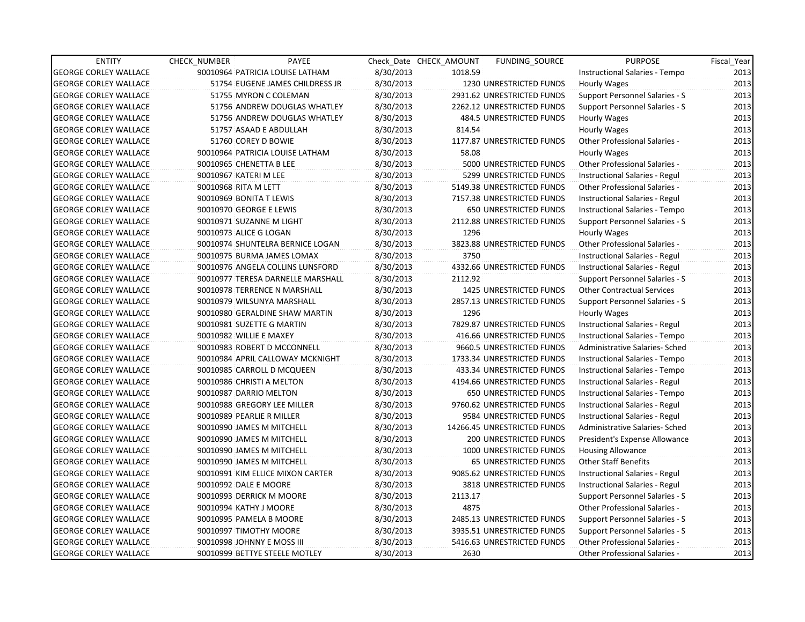| <b>ENTITY</b>                | <b>CHECK NUMBER</b>  | PAYEE                             |           | Check Date CHECK AMOUNT | <b>FUNDING SOURCE</b>          | <b>PURPOSE</b>                        | Fiscal Year |
|------------------------------|----------------------|-----------------------------------|-----------|-------------------------|--------------------------------|---------------------------------------|-------------|
| <b>GEORGE CORLEY WALLACE</b> |                      | 90010964 PATRICIA LOUISE LATHAM   | 8/30/2013 | 1018.59                 |                                | Instructional Salaries - Tempo        | 2013        |
| <b>GEORGE CORLEY WALLACE</b> |                      | 51754 EUGENE JAMES CHILDRESS JR   | 8/30/2013 |                         | 1230 UNRESTRICTED FUNDS        | <b>Hourly Wages</b>                   | 2013        |
| <b>GEORGE CORLEY WALLACE</b> |                      | 51755 MYRON C COLEMAN             | 8/30/2013 |                         | 2931.62 UNRESTRICTED FUNDS     | Support Personnel Salaries - S        | 2013        |
| <b>GEORGE CORLEY WALLACE</b> |                      | 51756 ANDREW DOUGLAS WHATLEY      | 8/30/2013 |                         | 2262.12 UNRESTRICTED FUNDS     | Support Personnel Salaries - S        | 2013        |
| <b>GEORGE CORLEY WALLACE</b> |                      | 51756 ANDREW DOUGLAS WHATLEY      | 8/30/2013 |                         | 484.5 UNRESTRICTED FUNDS       | Hourly Wages                          | 2013        |
| <b>GEORGE CORLEY WALLACE</b> |                      | 51757 ASAAD E ABDULLAH            | 8/30/2013 | 814.54                  |                                | Hourly Wages                          | 2013        |
| <b>GEORGE CORLEY WALLACE</b> |                      | 51760 COREY D BOWIE               | 8/30/2013 |                         | 1177.87 UNRESTRICTED FUNDS     | Other Professional Salaries -         | 2013        |
| <b>GEORGE CORLEY WALLACE</b> |                      | 90010964 PATRICIA LOUISE LATHAM   | 8/30/2013 | 58.08                   |                                | Hourly Wages                          | 2013        |
| <b>GEORGE CORLEY WALLACE</b> |                      | 90010965 CHENETTA B LEE           | 8/30/2013 |                         | 5000 UNRESTRICTED FUNDS        | Other Professional Salaries -         | 2013        |
| <b>GEORGE CORLEY WALLACE</b> |                      | 90010967 KATERI M LEE             | 8/30/2013 |                         | 5299 UNRESTRICTED FUNDS        | Instructional Salaries - Regul        | 2013        |
| <b>GEORGE CORLEY WALLACE</b> | 90010968 RITA M LETT |                                   | 8/30/2013 |                         | 5149.38 UNRESTRICTED FUNDS     | Other Professional Salaries -         | 2013        |
| <b>GEORGE CORLEY WALLACE</b> |                      | 90010969 BONITA T LEWIS           | 8/30/2013 |                         | 7157.38 UNRESTRICTED FUNDS     | Instructional Salaries - Regul        | 2013        |
| <b>GEORGE CORLEY WALLACE</b> |                      | 90010970 GEORGE E LEWIS           | 8/30/2013 |                         | 650 UNRESTRICTED FUNDS         | Instructional Salaries - Tempo        | 2013        |
| <b>GEORGE CORLEY WALLACE</b> |                      | 90010971 SUZANNE M LIGHT          | 8/30/2013 |                         | 2112.88 UNRESTRICTED FUNDS     | <b>Support Personnel Salaries - S</b> | 2013        |
| <b>GEORGE CORLEY WALLACE</b> |                      | 90010973 ALICE G LOGAN            | 8/30/2013 | 1296                    |                                | Hourly Wages                          | 2013        |
| <b>GEORGE CORLEY WALLACE</b> |                      | 90010974 SHUNTELRA BERNICE LOGAN  | 8/30/2013 |                         | 3823.88 UNRESTRICTED FUNDS     | Other Professional Salaries -         | 2013        |
| <b>GEORGE CORLEY WALLACE</b> |                      | 90010975 BURMA JAMES LOMAX        | 8/30/2013 | 3750                    |                                | Instructional Salaries - Regul        | 2013        |
| <b>GEORGE CORLEY WALLACE</b> |                      | 90010976 ANGELA COLLINS LUNSFORD  | 8/30/2013 |                         | 4332.66 UNRESTRICTED FUNDS     | Instructional Salaries - Regul        | 2013        |
| <b>GEORGE CORLEY WALLACE</b> |                      | 90010977 TERESA DARNELLE MARSHALL | 8/30/2013 | 2112.92                 |                                | Support Personnel Salaries - S        | 2013        |
| <b>GEORGE CORLEY WALLACE</b> |                      | 90010978 TERRENCE N MARSHALL      | 8/30/2013 |                         | <b>1425 UNRESTRICTED FUNDS</b> | Other Contractual Services            | 2013        |
| <b>GEORGE CORLEY WALLACE</b> |                      | 90010979 WILSUNYA MARSHALL        | 8/30/2013 |                         | 2857.13 UNRESTRICTED FUNDS     | Support Personnel Salaries - S        | 2013        |
| <b>GEORGE CORLEY WALLACE</b> |                      | 90010980 GERALDINE SHAW MARTIN    | 8/30/2013 | 1296                    |                                | Hourly Wages                          | 2013        |
| <b>GEORGE CORLEY WALLACE</b> |                      | 90010981 SUZETTE G MARTIN         | 8/30/2013 |                         | 7829.87 UNRESTRICTED FUNDS     | Instructional Salaries - Regul        | 2013        |
| <b>GEORGE CORLEY WALLACE</b> |                      | 90010982 WILLIE E MAXEY           | 8/30/2013 |                         | 416.66 UNRESTRICTED FUNDS      | Instructional Salaries - Tempo        | 2013        |
| <b>GEORGE CORLEY WALLACE</b> |                      | 90010983 ROBERT D MCCONNELL       | 8/30/2013 |                         | 9660.5 UNRESTRICTED FUNDS      | Administrative Salaries- Sched        | 2013        |
| <b>GEORGE CORLEY WALLACE</b> |                      | 90010984 APRIL CALLOWAY MCKNIGHT  | 8/30/2013 |                         | 1733.34 UNRESTRICTED FUNDS     | Instructional Salaries - Tempo        | 2013        |
| <b>GEORGE CORLEY WALLACE</b> |                      | 90010985 CARROLL D MCQUEEN        | 8/30/2013 |                         | 433.34 UNRESTRICTED FUNDS      | Instructional Salaries - Tempo        | 2013        |
| <b>GEORGE CORLEY WALLACE</b> |                      | 90010986 CHRISTI A MELTON         | 8/30/2013 |                         | 4194.66 UNRESTRICTED FUNDS     | Instructional Salaries - Regul        | 2013        |
| <b>GEORGE CORLEY WALLACE</b> |                      | 90010987 DARRIO MELTON            | 8/30/2013 |                         | <b>650 UNRESTRICTED FUNDS</b>  | Instructional Salaries - Tempo        | 2013        |
| <b>GEORGE CORLEY WALLACE</b> |                      | 90010988 GREGORY LEE MILLER       | 8/30/2013 |                         | 9760.62 UNRESTRICTED FUNDS     | Instructional Salaries - Regul        | 2013        |
| <b>GEORGE CORLEY WALLACE</b> |                      | 90010989 PEARLIE R MILLER         | 8/30/2013 |                         | 9584 UNRESTRICTED FUNDS        | Instructional Salaries - Regul        | 2013        |
| <b>GEORGE CORLEY WALLACE</b> |                      | 90010990 JAMES M MITCHELL         | 8/30/2013 |                         | 14266.45 UNRESTRICTED FUNDS    | Administrative Salaries- Sched        | 2013        |
| <b>GEORGE CORLEY WALLACE</b> |                      | 90010990 JAMES M MITCHELL         | 8/30/2013 |                         | <b>200 UNRESTRICTED FUNDS</b>  | President's Expense Allowance         | 2013        |
| <b>GEORGE CORLEY WALLACE</b> |                      | 90010990 JAMES M MITCHELL         | 8/30/2013 |                         | 1000 UNRESTRICTED FUNDS        | <b>Housing Allowance</b>              | 2013        |
| <b>GEORGE CORLEY WALLACE</b> |                      | 90010990 JAMES M MITCHELL         | 8/30/2013 |                         | <b>65 UNRESTRICTED FUNDS</b>   | <b>Other Staff Benefits</b>           | 2013        |
| <b>GEORGE CORLEY WALLACE</b> |                      | 90010991 KIM ELLICE MIXON CARTER  | 8/30/2013 |                         | 9085.62 UNRESTRICTED FUNDS     | Instructional Salaries - Regul        | 2013        |
| <b>GEORGE CORLEY WALLACE</b> |                      | 90010992 DALE E MOORE             | 8/30/2013 |                         | 3818 UNRESTRICTED FUNDS        | Instructional Salaries - Regul        | 2013        |
| <b>GEORGE CORLEY WALLACE</b> |                      | 90010993 DERRICK M MOORE          | 8/30/2013 | 2113.17                 |                                | Support Personnel Salaries - S        | 2013        |
| <b>GEORGE CORLEY WALLACE</b> |                      | 90010994 KATHY J MOORE            | 8/30/2013 | 4875                    |                                | Other Professional Salaries -         | 2013        |
| <b>GEORGE CORLEY WALLACE</b> |                      | 90010995 PAMELA B MOORE           | 8/30/2013 |                         | 2485.13 UNRESTRICTED FUNDS     | Support Personnel Salaries - S        | 2013        |
| <b>GEORGE CORLEY WALLACE</b> |                      | 90010997 TIMOTHY MOORE            | 8/30/2013 |                         | 3935.51 UNRESTRICTED FUNDS     | Support Personnel Salaries - S        | 2013        |
| <b>GEORGE CORLEY WALLACE</b> |                      | 90010998 JOHNNY E MOSS III        | 8/30/2013 |                         | 5416.63 UNRESTRICTED FUNDS     | Other Professional Salaries -         | 2013        |
| <b>GEORGE CORLEY WALLACE</b> |                      | 90010999 BETTYE STEELE MOTLEY     | 8/30/2013 | 2630                    |                                | <b>Other Professional Salaries -</b>  | 2013        |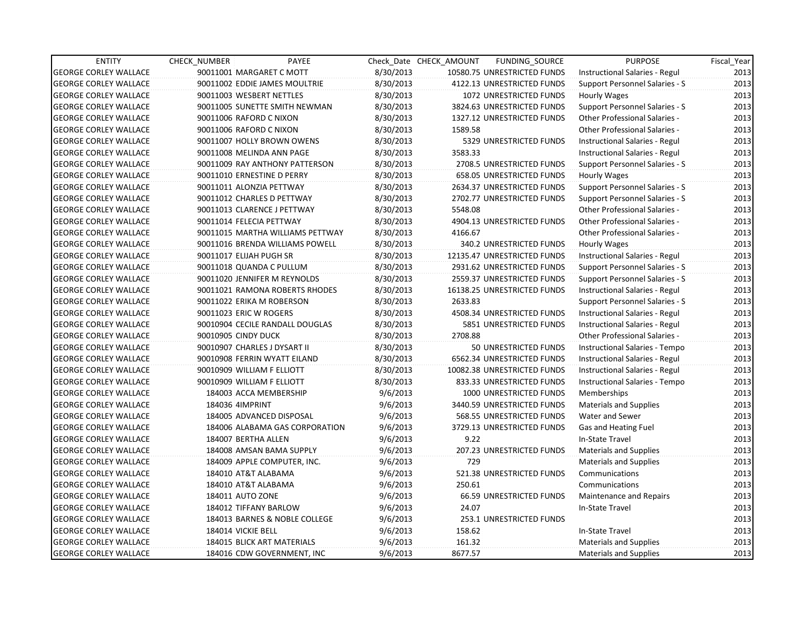| <b>ENTITY</b>                | <b>CHECK NUMBER</b>          | PAYEE                            |           | Check Date CHECK AMOUNT | FUNDING SOURCE              | <b>PURPOSE</b>                        | Fiscal_Year |
|------------------------------|------------------------------|----------------------------------|-----------|-------------------------|-----------------------------|---------------------------------------|-------------|
| <b>GEORGE CORLEY WALLACE</b> | 90011001 MARGARET C MOTT     |                                  | 8/30/2013 |                         | 10580.75 UNRESTRICTED FUNDS | Instructional Salaries - Regul        | 2013        |
| <b>GEORGE CORLEY WALLACE</b> |                              | 90011002 EDDIE JAMES MOULTRIE    | 8/30/2013 |                         | 4122.13 UNRESTRICTED FUNDS  | Support Personnel Salaries - S        | 2013        |
| <b>GEORGE CORLEY WALLACE</b> | 90011003 WESBERT NETTLES     |                                  | 8/30/2013 |                         | 1072 UNRESTRICTED FUNDS     | Hourly Wages                          | 2013        |
| <b>GEORGE CORLEY WALLACE</b> |                              | 90011005 SUNETTE SMITH NEWMAN    | 8/30/2013 |                         | 3824.63 UNRESTRICTED FUNDS  | Support Personnel Salaries - S        | 2013        |
| <b>GEORGE CORLEY WALLACE</b> | 90011006 RAFORD C NIXON      |                                  | 8/30/2013 |                         | 1327.12 UNRESTRICTED FUNDS  | <b>Other Professional Salaries -</b>  | 2013        |
| <b>GEORGE CORLEY WALLACE</b> | 90011006 RAFORD C NIXON      |                                  | 8/30/2013 | 1589.58                 |                             | <b>Other Professional Salaries -</b>  | 2013        |
| <b>GEORGE CORLEY WALLACE</b> |                              | 90011007 HOLLY BROWN OWENS       | 8/30/2013 |                         | 5329 UNRESTRICTED FUNDS     | Instructional Salaries - Regul        | 2013        |
| <b>GEORGE CORLEY WALLACE</b> | 90011008 MELINDA ANN PAGE    |                                  | 8/30/2013 | 3583.33                 |                             | Instructional Salaries - Regul        | 2013        |
| <b>GEORGE CORLEY WALLACE</b> |                              | 90011009 RAY ANTHONY PATTERSON   | 8/30/2013 |                         | 2708.5 UNRESTRICTED FUNDS   | Support Personnel Salaries - S        | 2013        |
| <b>GEORGE CORLEY WALLACE</b> | 90011010 ERNESTINE D PERRY   |                                  | 8/30/2013 |                         | 658.05 UNRESTRICTED FUNDS   | <b>Hourly Wages</b>                   | 2013        |
| <b>GEORGE CORLEY WALLACE</b> | 90011011 ALONZIA PETTWAY     |                                  | 8/30/2013 |                         | 2634.37 UNRESTRICTED FUNDS  | Support Personnel Salaries - S        | 2013        |
| <b>GEORGE CORLEY WALLACE</b> | 90011012 CHARLES D PETTWAY   |                                  | 8/30/2013 |                         | 2702.77 UNRESTRICTED FUNDS  | Support Personnel Salaries - S        | 2013        |
| <b>GEORGE CORLEY WALLACE</b> | 90011013 CLARENCE J PETTWAY  |                                  | 8/30/2013 | 5548.08                 |                             | <b>Other Professional Salaries -</b>  | 2013        |
| <b>GEORGE CORLEY WALLACE</b> | 90011014 FELECIA PETTWAY     |                                  | 8/30/2013 |                         | 4904.13 UNRESTRICTED FUNDS  | <b>Other Professional Salaries -</b>  | 2013        |
| <b>GEORGE CORLEY WALLACE</b> |                              | 90011015 MARTHA WILLIAMS PETTWAY | 8/30/2013 | 4166.67                 |                             | <b>Other Professional Salaries -</b>  | 2013        |
| <b>GEORGE CORLEY WALLACE</b> |                              | 90011016 BRENDA WILLIAMS POWELL  | 8/30/2013 |                         | 340.2 UNRESTRICTED FUNDS    | Hourly Wages                          | 2013        |
| <b>GEORGE CORLEY WALLACE</b> | 90011017 ELIJAH PUGH SR      |                                  | 8/30/2013 |                         | 12135.47 UNRESTRICTED FUNDS | <b>Instructional Salaries - Regul</b> | 2013        |
| <b>GEORGE CORLEY WALLACE</b> | 90011018 QUANDA C PULLUM     |                                  | 8/30/2013 |                         | 2931.62 UNRESTRICTED FUNDS  | <b>Support Personnel Salaries - S</b> | 2013        |
| <b>GEORGE CORLEY WALLACE</b> |                              | 90011020 JENNIFER M REYNOLDS     | 8/30/2013 |                         | 2559.37 UNRESTRICTED FUNDS  | <b>Support Personnel Salaries - S</b> | 2013        |
| <b>GEORGE CORLEY WALLACE</b> |                              | 90011021 RAMONA ROBERTS RHODES   | 8/30/2013 |                         | 16138.25 UNRESTRICTED FUNDS | Instructional Salaries - Regul        | 2013        |
| <b>GEORGE CORLEY WALLACE</b> | 90011022 ERIKA M ROBERSON    |                                  | 8/30/2013 | 2633.83                 |                             | Support Personnel Salaries - S        | 2013        |
| <b>GEORGE CORLEY WALLACE</b> | 90011023 ERIC W ROGERS       |                                  | 8/30/2013 |                         | 4508.34 UNRESTRICTED FUNDS  | Instructional Salaries - Regul        | 2013        |
| <b>GEORGE CORLEY WALLACE</b> |                              | 90010904 CECILE RANDALL DOUGLAS  | 8/30/2013 |                         | 5851 UNRESTRICTED FUNDS     | Instructional Salaries - Regul        | 2013        |
| <b>GEORGE CORLEY WALLACE</b> | 90010905 CINDY DUCK          |                                  | 8/30/2013 | 2708.88                 |                             | <b>Other Professional Salaries -</b>  | 2013        |
| <b>GEORGE CORLEY WALLACE</b> | 90010907 CHARLES J DYSART II |                                  | 8/30/2013 |                         | 50 UNRESTRICTED FUNDS       | Instructional Salaries - Tempo        | 2013        |
| <b>GEORGE CORLEY WALLACE</b> |                              | 90010908 FERRIN WYATT EILAND     | 8/30/2013 |                         | 6562.34 UNRESTRICTED FUNDS  | Instructional Salaries - Regul        | 2013        |
| <b>GEORGE CORLEY WALLACE</b> | 90010909 WILLIAM F ELLIOTT   |                                  | 8/30/2013 |                         | 10082.38 UNRESTRICTED FUNDS | Instructional Salaries - Regul        | 2013        |
| <b>GEORGE CORLEY WALLACE</b> | 90010909 WILLIAM F ELLIOTT   |                                  | 8/30/2013 |                         | 833.33 UNRESTRICTED FUNDS   | Instructional Salaries - Tempo        | 2013        |
| <b>GEORGE CORLEY WALLACE</b> | 184003 ACCA MEMBERSHIP       |                                  | 9/6/2013  |                         | 1000 UNRESTRICTED FUNDS     | Memberships                           | 2013        |
| <b>GEORGE CORLEY WALLACE</b> | 184036 4IMPRINT              |                                  | 9/6/2013  |                         | 3440.59 UNRESTRICTED FUNDS  | <b>Materials and Supplies</b>         | 2013        |
| <b>GEORGE CORLEY WALLACE</b> |                              | 184005 ADVANCED DISPOSAL         | 9/6/2013  |                         | 568.55 UNRESTRICTED FUNDS   | Water and Sewer                       | 2013        |
| <b>GEORGE CORLEY WALLACE</b> |                              | 184006 ALABAMA GAS CORPORATION   | 9/6/2013  |                         | 3729.13 UNRESTRICTED FUNDS  | Gas and Heating Fuel                  | 2013        |
| <b>GEORGE CORLEY WALLACE</b> | 184007 BERTHA ALLEN          |                                  | 9/6/2013  | 9.22                    |                             | In-State Travel                       | 2013        |
| <b>GEORGE CORLEY WALLACE</b> |                              | 184008 AMSAN BAMA SUPPLY         | 9/6/2013  |                         | 207.23 UNRESTRICTED FUNDS   | <b>Materials and Supplies</b>         | 2013        |
| <b>GEORGE CORLEY WALLACE</b> |                              | 184009 APPLE COMPUTER, INC.      | 9/6/2013  | 729                     |                             | <b>Materials and Supplies</b>         | 2013        |
| <b>GEORGE CORLEY WALLACE</b> | 184010 AT&T ALABAMA          |                                  | 9/6/2013  |                         | 521.38 UNRESTRICTED FUNDS   | Communications                        | 2013        |
| <b>GEORGE CORLEY WALLACE</b> | 184010 AT&T ALABAMA          |                                  | 9/6/2013  | 250.61                  |                             | Communications                        | 2013        |
| <b>GEORGE CORLEY WALLACE</b> | 184011 AUTO ZONE             |                                  | 9/6/2013  |                         | 66.59 UNRESTRICTED FUNDS    | <b>Maintenance and Repairs</b>        | 2013        |
| <b>GEORGE CORLEY WALLACE</b> | 184012 TIFFANY BARLOW        |                                  | 9/6/2013  | 24.07                   |                             | In-State Travel                       | 2013        |
| <b>GEORGE CORLEY WALLACE</b> |                              | 184013 BARNES & NOBLE COLLEGE    | 9/6/2013  |                         | 253.1 UNRESTRICTED FUNDS    |                                       | 2013        |
| <b>GEORGE CORLEY WALLACE</b> | 184014 VICKIE BELL           |                                  | 9/6/2013  | 158.62                  |                             | In-State Travel                       | 2013        |
| <b>GEORGE CORLEY WALLACE</b> |                              | 184015 BLICK ART MATERIALS       | 9/6/2013  | 161.32                  |                             | <b>Materials and Supplies</b>         | 2013        |
| <b>GEORGE CORLEY WALLACE</b> |                              | 184016 CDW GOVERNMENT, INC       | 9/6/2013  | 8677.57                 |                             | <b>Materials and Supplies</b>         | 2013        |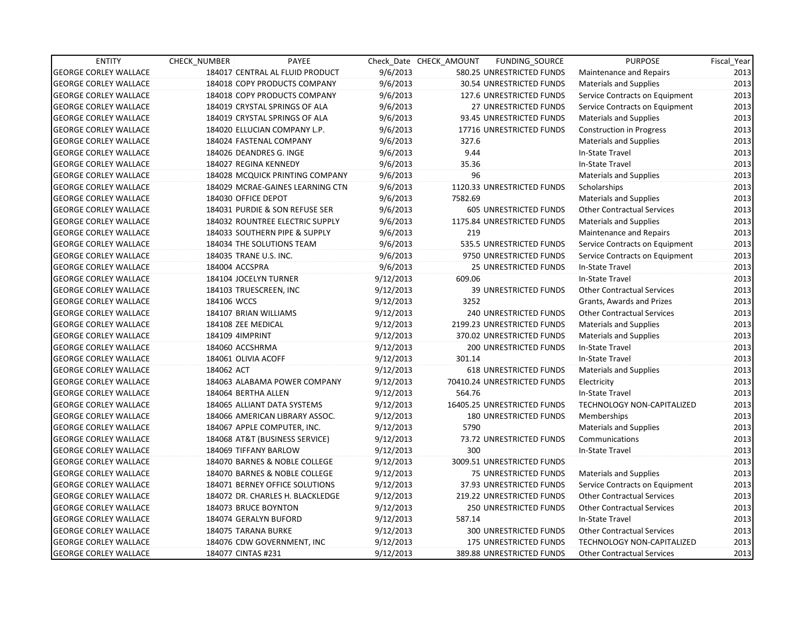| <b>ENTITY</b>                | CHECK NUMBER              | PAYEE                            |           | Check Date CHECK AMOUNT | FUNDING_SOURCE                | <b>PURPOSE</b>                    | Fiscal Year |
|------------------------------|---------------------------|----------------------------------|-----------|-------------------------|-------------------------------|-----------------------------------|-------------|
| <b>GEORGE CORLEY WALLACE</b> |                           | 184017 CENTRAL AL FLUID PRODUCT  | 9/6/2013  |                         | 580.25 UNRESTRICTED FUNDS     | Maintenance and Repairs           | 2013        |
| <b>GEORGE CORLEY WALLACE</b> |                           | 184018 COPY PRODUCTS COMPANY     | 9/6/2013  |                         | 30.54 UNRESTRICTED FUNDS      | <b>Materials and Supplies</b>     | 2013        |
| <b>GEORGE CORLEY WALLACE</b> |                           | 184018 COPY PRODUCTS COMPANY     | 9/6/2013  |                         | 127.6 UNRESTRICTED FUNDS      | Service Contracts on Equipment    | 2013        |
| <b>GEORGE CORLEY WALLACE</b> |                           | 184019 CRYSTAL SPRINGS OF ALA    | 9/6/2013  |                         | <b>27 UNRESTRICTED FUNDS</b>  | Service Contracts on Equipment    | 2013        |
| <b>GEORGE CORLEY WALLACE</b> |                           | 184019 CRYSTAL SPRINGS OF ALA    | 9/6/2013  |                         | 93.45 UNRESTRICTED FUNDS      | <b>Materials and Supplies</b>     | 2013        |
| <b>GEORGE CORLEY WALLACE</b> |                           | 184020 ELLUCIAN COMPANY L.P.     | 9/6/2013  |                         | 17716 UNRESTRICTED FUNDS      | <b>Construction in Progress</b>   | 2013        |
| <b>GEORGE CORLEY WALLACE</b> | 184024 FASTENAL COMPANY   |                                  | 9/6/2013  | 327.6                   |                               | <b>Materials and Supplies</b>     | 2013        |
| <b>GEORGE CORLEY WALLACE</b> | 184026 DEANDRES G. INGE   |                                  | 9/6/2013  | 9.44                    |                               | In-State Travel                   | 2013        |
| <b>GEORGE CORLEY WALLACE</b> | 184027 REGINA KENNEDY     |                                  | 9/6/2013  | 35.36                   |                               | In-State Travel                   | 2013        |
| <b>GEORGE CORLEY WALLACE</b> |                           | 184028 MCQUICK PRINTING COMPANY  | 9/6/2013  | 96                      |                               | <b>Materials and Supplies</b>     | 2013        |
| <b>GEORGE CORLEY WALLACE</b> |                           | 184029 MCRAE-GAINES LEARNING CTN | 9/6/2013  |                         | 1120.33 UNRESTRICTED FUNDS    | Scholarships                      | 2013        |
| <b>GEORGE CORLEY WALLACE</b> | 184030 OFFICE DEPOT       |                                  | 9/6/2013  | 7582.69                 |                               | <b>Materials and Supplies</b>     | 2013        |
| <b>GEORGE CORLEY WALLACE</b> |                           | 184031 PURDIE & SON REFUSE SER   | 9/6/2013  |                         | 605 UNRESTRICTED FUNDS        | <b>Other Contractual Services</b> | 2013        |
| <b>GEORGE CORLEY WALLACE</b> |                           | 184032 ROUNTREE ELECTRIC SUPPLY  | 9/6/2013  |                         | 1175.84 UNRESTRICTED FUNDS    | <b>Materials and Supplies</b>     | 2013        |
| <b>GEORGE CORLEY WALLACE</b> |                           | 184033 SOUTHERN PIPE & SUPPLY    | 9/6/2013  | 219                     |                               | Maintenance and Repairs           | 2013        |
| <b>GEORGE CORLEY WALLACE</b> | 184034 THE SOLUTIONS TEAM |                                  | 9/6/2013  |                         | 535.5 UNRESTRICTED FUNDS      | Service Contracts on Equipment    | 2013        |
| <b>GEORGE CORLEY WALLACE</b> | 184035 TRANE U.S. INC.    |                                  | 9/6/2013  |                         | 9750 UNRESTRICTED FUNDS       | Service Contracts on Equipment    | 2013        |
| <b>GEORGE CORLEY WALLACE</b> | 184004 ACCSPRA            |                                  | 9/6/2013  |                         | 25 UNRESTRICTED FUNDS         | In-State Travel                   | 2013        |
| <b>GEORGE CORLEY WALLACE</b> | 184104 JOCELYN TURNER     |                                  | 9/12/2013 | 609.06                  |                               | In-State Travel                   | 2013        |
| <b>GEORGE CORLEY WALLACE</b> | 184103 TRUESCREEN, INC    |                                  | 9/12/2013 |                         | <b>39 UNRESTRICTED FUNDS</b>  | <b>Other Contractual Services</b> | 2013        |
| <b>GEORGE CORLEY WALLACE</b> | 184106 WCCS               |                                  | 9/12/2013 | 3252                    |                               | Grants, Awards and Prizes         | 2013        |
| <b>GEORGE CORLEY WALLACE</b> | 184107 BRIAN WILLIAMS     |                                  | 9/12/2013 |                         | 240 UNRESTRICTED FUNDS        | <b>Other Contractual Services</b> | 2013        |
| <b>GEORGE CORLEY WALLACE</b> | 184108 ZEE MEDICAL        |                                  | 9/12/2013 |                         | 2199.23 UNRESTRICTED FUNDS    | <b>Materials and Supplies</b>     | 2013        |
| <b>GEORGE CORLEY WALLACE</b> | 184109 4IMPRINT           |                                  | 9/12/2013 |                         | 370.02 UNRESTRICTED FUNDS     | Materials and Supplies            | 2013        |
| <b>GEORGE CORLEY WALLACE</b> | 184060 ACCSHRMA           |                                  | 9/12/2013 |                         | <b>200 UNRESTRICTED FUNDS</b> | In-State Travel                   | 2013        |
| <b>GEORGE CORLEY WALLACE</b> | 184061 OLIVIA ACOFF       |                                  | 9/12/2013 | 301.14                  |                               | In-State Travel                   | 2013        |
| <b>GEORGE CORLEY WALLACE</b> | 184062 ACT                |                                  | 9/12/2013 |                         | <b>618 UNRESTRICTED FUNDS</b> | <b>Materials and Supplies</b>     | 2013        |
| <b>GEORGE CORLEY WALLACE</b> |                           | 184063 ALABAMA POWER COMPANY     | 9/12/2013 |                         | 70410.24 UNRESTRICTED FUNDS   | Electricity                       | 2013        |
| <b>GEORGE CORLEY WALLACE</b> | 184064 BERTHA ALLEN       |                                  | 9/12/2013 | 564.76                  |                               | In-State Travel                   | 2013        |
| <b>GEORGE CORLEY WALLACE</b> |                           | 184065 ALLIANT DATA SYSTEMS      | 9/12/2013 |                         | 16405.25 UNRESTRICTED FUNDS   | TECHNOLOGY NON-CAPITALIZED        | 2013        |
| <b>GEORGE CORLEY WALLACE</b> |                           | 184066 AMERICAN LIBRARY ASSOC.   | 9/12/2013 |                         | 180 UNRESTRICTED FUNDS        | Memberships                       | 2013        |
| <b>GEORGE CORLEY WALLACE</b> |                           | 184067 APPLE COMPUTER, INC.      | 9/12/2013 | 5790                    |                               | <b>Materials and Supplies</b>     | 2013        |
| <b>GEORGE CORLEY WALLACE</b> |                           | 184068 AT&T (BUSINESS SERVICE)   | 9/12/2013 |                         | 73.72 UNRESTRICTED FUNDS      | Communications                    | 2013        |
| <b>GEORGE CORLEY WALLACE</b> | 184069 TIFFANY BARLOW     |                                  | 9/12/2013 | 300                     |                               | In-State Travel                   | 2013        |
| <b>GEORGE CORLEY WALLACE</b> |                           | 184070 BARNES & NOBLE COLLEGE    | 9/12/2013 |                         | 3009.51 UNRESTRICTED FUNDS    |                                   | 2013        |
| <b>GEORGE CORLEY WALLACE</b> |                           | 184070 BARNES & NOBLE COLLEGE    | 9/12/2013 |                         | 75 UNRESTRICTED FUNDS         | <b>Materials and Supplies</b>     | 2013        |
| <b>GEORGE CORLEY WALLACE</b> |                           | 184071 BERNEY OFFICE SOLUTIONS   | 9/12/2013 |                         | 37.93 UNRESTRICTED FUNDS      | Service Contracts on Equipment    | 2013        |
| <b>GEORGE CORLEY WALLACE</b> |                           | 184072 DR. CHARLES H. BLACKLEDGE | 9/12/2013 |                         | 219.22 UNRESTRICTED FUNDS     | <b>Other Contractual Services</b> | 2013        |
| <b>GEORGE CORLEY WALLACE</b> | 184073 BRUCE BOYNTON      |                                  | 9/12/2013 |                         | 250 UNRESTRICTED FUNDS        | <b>Other Contractual Services</b> | 2013        |
| <b>GEORGE CORLEY WALLACE</b> | 184074 GERALYN BUFORD     |                                  | 9/12/2013 | 587.14                  |                               | In-State Travel                   | 2013        |
| <b>GEORGE CORLEY WALLACE</b> | 184075 TARANA BURKE       |                                  | 9/12/2013 |                         | 300 UNRESTRICTED FUNDS        | <b>Other Contractual Services</b> | 2013        |
| <b>GEORGE CORLEY WALLACE</b> |                           | 184076 CDW GOVERNMENT, INC       | 9/12/2013 |                         | 175 UNRESTRICTED FUNDS        | <b>TECHNOLOGY NON-CAPITALIZED</b> | 2013        |
| <b>GEORGE CORLEY WALLACE</b> | 184077 CINTAS #231        |                                  | 9/12/2013 |                         | 389.88 UNRESTRICTED FUNDS     | <b>Other Contractual Services</b> | 2013        |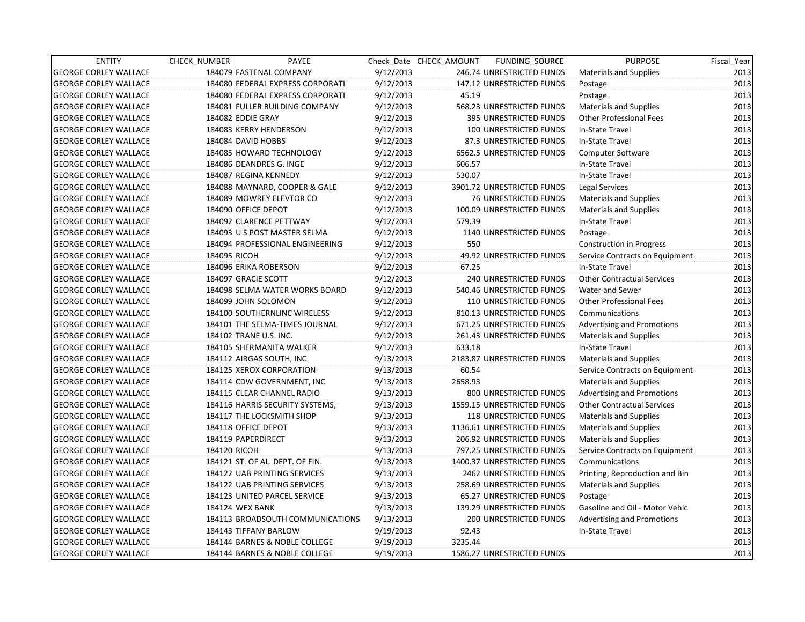| <b>ENTITY</b>                | <b>CHECK NUMBER</b>      | PAYEE                            |           | Check Date CHECK AMOUNT | FUNDING_SOURCE                | <b>PURPOSE</b>                    | Fiscal_Year |
|------------------------------|--------------------------|----------------------------------|-----------|-------------------------|-------------------------------|-----------------------------------|-------------|
| <b>GEORGE CORLEY WALLACE</b> |                          | 184079 FASTENAL COMPANY          | 9/12/2013 |                         | 246.74 UNRESTRICTED FUNDS     | Materials and Supplies            | 2013        |
| <b>GEORGE CORLEY WALLACE</b> |                          | 184080 FEDERAL EXPRESS CORPORATI | 9/12/2013 |                         | 147.12 UNRESTRICTED FUNDS     | Postage                           | 2013        |
| <b>GEORGE CORLEY WALLACE</b> |                          | 184080 FEDERAL EXPRESS CORPORATI | 9/12/2013 | 45.19                   |                               | Postage                           | 2013        |
| <b>GEORGE CORLEY WALLACE</b> |                          | 184081 FULLER BUILDING COMPANY   | 9/12/2013 |                         | 568.23 UNRESTRICTED FUNDS     | <b>Materials and Supplies</b>     | 2013        |
| <b>GEORGE CORLEY WALLACE</b> | 184082 EDDIE GRAY        |                                  | 9/12/2013 |                         | 395 UNRESTRICTED FUNDS        | <b>Other Professional Fees</b>    | 2013        |
| <b>GEORGE CORLEY WALLACE</b> | 184083 KERRY HENDERSON   |                                  | 9/12/2013 |                         | 100 UNRESTRICTED FUNDS        | In-State Travel                   | 2013        |
| <b>GEORGE CORLEY WALLACE</b> | 184084 DAVID HOBBS       |                                  | 9/12/2013 |                         | 87.3 UNRESTRICTED FUNDS       | In-State Travel                   | 2013        |
| <b>GEORGE CORLEY WALLACE</b> |                          | 184085 HOWARD TECHNOLOGY         | 9/12/2013 |                         | 6562.5 UNRESTRICTED FUNDS     | <b>Computer Software</b>          | 2013        |
| <b>GEORGE CORLEY WALLACE</b> | 184086 DEANDRES G. INGE  |                                  | 9/12/2013 | 606.57                  |                               | In-State Travel                   | 2013        |
| <b>GEORGE CORLEY WALLACE</b> | 184087 REGINA KENNEDY    |                                  | 9/12/2013 | 530.07                  |                               | In-State Travel                   | 2013        |
| <b>GEORGE CORLEY WALLACE</b> |                          | 184088 MAYNARD, COOPER & GALE    | 9/12/2013 |                         | 3901.72 UNRESTRICTED FUNDS    | Legal Services                    | 2013        |
| <b>GEORGE CORLEY WALLACE</b> |                          | 184089 MOWREY ELEVTOR CO         | 9/12/2013 |                         | <b>76 UNRESTRICTED FUNDS</b>  | <b>Materials and Supplies</b>     | 2013        |
| <b>GEORGE CORLEY WALLACE</b> | 184090 OFFICE DEPOT      |                                  | 9/12/2013 |                         | 100.09 UNRESTRICTED FUNDS     | <b>Materials and Supplies</b>     | 2013        |
| <b>GEORGE CORLEY WALLACE</b> |                          | 184092 CLARENCE PETTWAY          | 9/12/2013 | 579.39                  |                               | In-State Travel                   | 2013        |
| <b>GEORGE CORLEY WALLACE</b> |                          | 184093 U S POST MASTER SELMA     | 9/12/2013 |                         | 1140 UNRESTRICTED FUNDS       | Postage                           | 2013        |
| <b>GEORGE CORLEY WALLACE</b> |                          | 184094 PROFESSIONAL ENGINEERING  | 9/12/2013 | 550                     |                               | <b>Construction in Progress</b>   | 2013        |
| <b>GEORGE CORLEY WALLACE</b> | 184095 RICOH             |                                  | 9/12/2013 |                         | 49.92 UNRESTRICTED FUNDS      | Service Contracts on Equipment    | 2013        |
| <b>GEORGE CORLEY WALLACE</b> | 184096 ERIKA ROBERSON    |                                  | 9/12/2013 | 67.25                   |                               | In-State Travel                   | 2013        |
| <b>GEORGE CORLEY WALLACE</b> | 184097 GRACIE SCOTT      |                                  | 9/12/2013 |                         | <b>240 UNRESTRICTED FUNDS</b> | <b>Other Contractual Services</b> | 2013        |
| <b>GEORGE CORLEY WALLACE</b> |                          | 184098 SELMA WATER WORKS BOARD   | 9/12/2013 |                         | 540.46 UNRESTRICTED FUNDS     | Water and Sewer                   | 2013        |
| <b>GEORGE CORLEY WALLACE</b> | 184099 JOHN SOLOMON      |                                  | 9/12/2013 |                         | 110 UNRESTRICTED FUNDS        | <b>Other Professional Fees</b>    | 2013        |
| <b>GEORGE CORLEY WALLACE</b> |                          | 184100 SOUTHERNLINC WIRELESS     | 9/12/2013 |                         | 810.13 UNRESTRICTED FUNDS     | Communications                    | 2013        |
| <b>GEORGE CORLEY WALLACE</b> |                          | 184101 THE SELMA-TIMES JOURNAL   | 9/12/2013 |                         | 671.25 UNRESTRICTED FUNDS     | <b>Advertising and Promotions</b> | 2013        |
| <b>GEORGE CORLEY WALLACE</b> | 184102 TRANE U.S. INC.   |                                  | 9/12/2013 |                         | 261.43 UNRESTRICTED FUNDS     | <b>Materials and Supplies</b>     | 2013        |
| <b>GEORGE CORLEY WALLACE</b> |                          | 184105 SHERMANITA WALKER         | 9/12/2013 | 633.18                  |                               | In-State Travel                   | 2013        |
| <b>GEORGE CORLEY WALLACE</b> | 184112 AIRGAS SOUTH, INC |                                  | 9/13/2013 |                         | 2183.87 UNRESTRICTED FUNDS    | <b>Materials and Supplies</b>     | 2013        |
| <b>GEORGE CORLEY WALLACE</b> |                          | 184125 XEROX CORPORATION         | 9/13/2013 | 60.54                   |                               | Service Contracts on Equipment    | 2013        |
| <b>GEORGE CORLEY WALLACE</b> |                          | 184114 CDW GOVERNMENT, INC       | 9/13/2013 | 2658.93                 |                               | <b>Materials and Supplies</b>     | 2013        |
| <b>GEORGE CORLEY WALLACE</b> |                          | 184115 CLEAR CHANNEL RADIO       | 9/13/2013 |                         | 800 UNRESTRICTED FUNDS        | <b>Advertising and Promotions</b> | 2013        |
| <b>GEORGE CORLEY WALLACE</b> |                          | 184116 HARRIS SECURITY SYSTEMS,  | 9/13/2013 |                         | 1559.15 UNRESTRICTED FUNDS    | <b>Other Contractual Services</b> | 2013        |
| <b>GEORGE CORLEY WALLACE</b> |                          | 184117 THE LOCKSMITH SHOP        | 9/13/2013 |                         | 118 UNRESTRICTED FUNDS        | <b>Materials and Supplies</b>     | 2013        |
| <b>GEORGE CORLEY WALLACE</b> | 184118 OFFICE DEPOT      |                                  | 9/13/2013 |                         | 1136.61 UNRESTRICTED FUNDS    | <b>Materials and Supplies</b>     | 2013        |
| <b>GEORGE CORLEY WALLACE</b> | 184119 PAPERDIRECT       |                                  | 9/13/2013 |                         | 206.92 UNRESTRICTED FUNDS     | <b>Materials and Supplies</b>     | 2013        |
| <b>GEORGE CORLEY WALLACE</b> | 184120 RICOH             |                                  | 9/13/2013 |                         | 797.25 UNRESTRICTED FUNDS     | Service Contracts on Equipment    | 2013        |
| <b>GEORGE CORLEY WALLACE</b> |                          | 184121 ST. OF AL. DEPT. OF FIN.  | 9/13/2013 |                         | 1400.37 UNRESTRICTED FUNDS    | Communications                    | 2013        |
| <b>GEORGE CORLEY WALLACE</b> |                          | 184122 UAB PRINTING SERVICES     | 9/13/2013 |                         | 2462 UNRESTRICTED FUNDS       | Printing, Reproduction and Bin    | 2013        |
| <b>GEORGE CORLEY WALLACE</b> |                          | 184122 UAB PRINTING SERVICES     | 9/13/2013 |                         | 258.69 UNRESTRICTED FUNDS     | <b>Materials and Supplies</b>     | 2013        |
| <b>GEORGE CORLEY WALLACE</b> |                          | 184123 UNITED PARCEL SERVICE     | 9/13/2013 |                         | 65.27 UNRESTRICTED FUNDS      | Postage                           | 2013        |
| <b>GEORGE CORLEY WALLACE</b> | 184124 WEX BANK          |                                  | 9/13/2013 |                         | 139.29 UNRESTRICTED FUNDS     | Gasoline and Oil - Motor Vehic    | 2013        |
| <b>GEORGE CORLEY WALLACE</b> |                          | 184113 BROADSOUTH COMMUNICATIONS | 9/13/2013 |                         | 200 UNRESTRICTED FUNDS        | <b>Advertising and Promotions</b> | 2013        |
| <b>GEORGE CORLEY WALLACE</b> | 184143 TIFFANY BARLOW    |                                  | 9/19/2013 | 92.43                   |                               | In-State Travel                   | 2013        |
| <b>GEORGE CORLEY WALLACE</b> |                          | 184144 BARNES & NOBLE COLLEGE    | 9/19/2013 | 3235.44                 |                               |                                   | 2013        |
| <b>GEORGE CORLEY WALLACE</b> |                          | 184144 BARNES & NOBLE COLLEGE    | 9/19/2013 |                         | 1586.27 UNRESTRICTED FUNDS    |                                   | 2013        |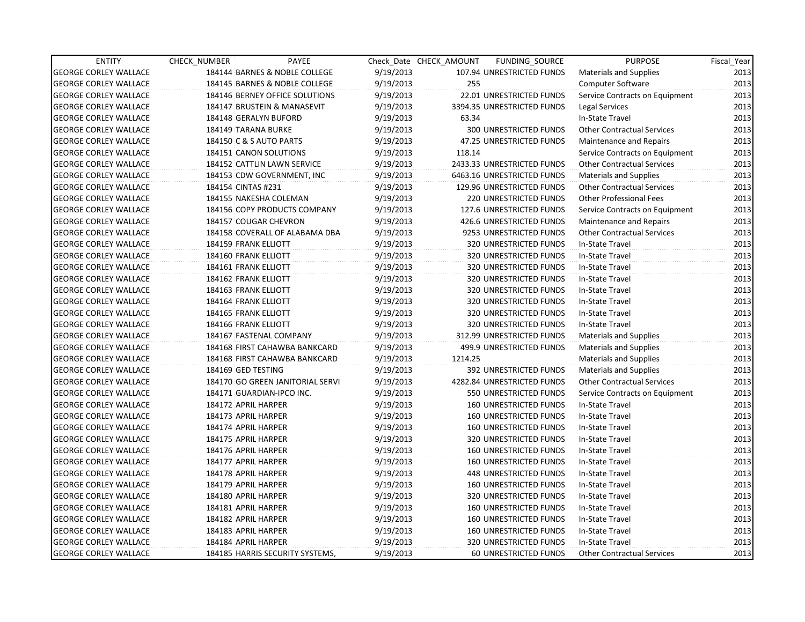| <b>ENTITY</b>                | CHECK_NUMBER                | PAYEE                            |           | Check Date CHECK AMOUNT | FUNDING_SOURCE                | <b>PURPOSE</b>                    | Fiscal_Year |
|------------------------------|-----------------------------|----------------------------------|-----------|-------------------------|-------------------------------|-----------------------------------|-------------|
| <b>GEORGE CORLEY WALLACE</b> |                             | 184144 BARNES & NOBLE COLLEGE    | 9/19/2013 |                         | 107.94 UNRESTRICTED FUNDS     | <b>Materials and Supplies</b>     | 2013        |
| <b>GEORGE CORLEY WALLACE</b> |                             | 184145 BARNES & NOBLE COLLEGE    | 9/19/2013 | 255                     |                               | Computer Software                 | 2013        |
| <b>GEORGE CORLEY WALLACE</b> |                             | 184146 BERNEY OFFICE SOLUTIONS   | 9/19/2013 |                         | 22.01 UNRESTRICTED FUNDS      | Service Contracts on Equipment    | 2013        |
| <b>GEORGE CORLEY WALLACE</b> |                             | 184147 BRUSTEIN & MANASEVIT      | 9/19/2013 |                         | 3394.35 UNRESTRICTED FUNDS    | Legal Services                    | 2013        |
| <b>GEORGE CORLEY WALLACE</b> | 184148 GERALYN BUFORD       |                                  | 9/19/2013 | 63.34                   |                               | In-State Travel                   | 2013        |
| <b>GEORGE CORLEY WALLACE</b> | 184149 TARANA BURKE         |                                  | 9/19/2013 |                         | 300 UNRESTRICTED FUNDS        | <b>Other Contractual Services</b> | 2013        |
| <b>GEORGE CORLEY WALLACE</b> | 184150 C & S AUTO PARTS     |                                  | 9/19/2013 |                         | 47.25 UNRESTRICTED FUNDS      | Maintenance and Repairs           | 2013        |
| <b>GEORGE CORLEY WALLACE</b> | 184151 CANON SOLUTIONS      |                                  | 9/19/2013 | 118.14                  |                               | Service Contracts on Equipment    | 2013        |
| <b>GEORGE CORLEY WALLACE</b> |                             | 184152 CATTLIN LAWN SERVICE      | 9/19/2013 |                         | 2433.33 UNRESTRICTED FUNDS    | <b>Other Contractual Services</b> | 2013        |
| <b>GEORGE CORLEY WALLACE</b> |                             | 184153 CDW GOVERNMENT, INC       | 9/19/2013 |                         | 6463.16 UNRESTRICTED FUNDS    | <b>Materials and Supplies</b>     | 2013        |
| <b>GEORGE CORLEY WALLACE</b> | 184154 CINTAS #231          |                                  | 9/19/2013 |                         | 129.96 UNRESTRICTED FUNDS     | Other Contractual Services        | 2013        |
| <b>GEORGE CORLEY WALLACE</b> |                             | 184155 NAKESHA COLEMAN           | 9/19/2013 |                         | 220 UNRESTRICTED FUNDS        | <b>Other Professional Fees</b>    | 2013        |
| <b>GEORGE CORLEY WALLACE</b> |                             | 184156 COPY PRODUCTS COMPANY     | 9/19/2013 |                         | 127.6 UNRESTRICTED FUNDS      | Service Contracts on Equipment    | 2013        |
| <b>GEORGE CORLEY WALLACE</b> | 184157 COUGAR CHEVRON       |                                  | 9/19/2013 |                         | 426.6 UNRESTRICTED FUNDS      | Maintenance and Repairs           | 2013        |
| <b>GEORGE CORLEY WALLACE</b> |                             | 184158 COVERALL OF ALABAMA DBA   | 9/19/2013 |                         | 9253 UNRESTRICTED FUNDS       | <b>Other Contractual Services</b> | 2013        |
| <b>GEORGE CORLEY WALLACE</b> | <b>184159 FRANK ELLIOTT</b> |                                  | 9/19/2013 |                         | <b>320 UNRESTRICTED FUNDS</b> | In-State Travel                   | 2013        |
| <b>GEORGE CORLEY WALLACE</b> | 184160 FRANK ELLIOTT        |                                  | 9/19/2013 |                         | 320 UNRESTRICTED FUNDS        | In-State Travel                   | 2013        |
| <b>GEORGE CORLEY WALLACE</b> | 184161 FRANK ELLIOTT        |                                  | 9/19/2013 |                         | 320 UNRESTRICTED FUNDS        | In-State Travel                   | 2013        |
| <b>GEORGE CORLEY WALLACE</b> | 184162 FRANK ELLIOTT        |                                  | 9/19/2013 |                         | 320 UNRESTRICTED FUNDS        | In-State Travel                   | 2013        |
| <b>GEORGE CORLEY WALLACE</b> | 184163 FRANK ELLIOTT        |                                  | 9/19/2013 |                         | 320 UNRESTRICTED FUNDS        | In-State Travel                   | 2013        |
| <b>GEORGE CORLEY WALLACE</b> | 184164 FRANK ELLIOTT        |                                  | 9/19/2013 |                         | 320 UNRESTRICTED FUNDS        | In-State Travel                   | 2013        |
| <b>GEORGE CORLEY WALLACE</b> | 184165 FRANK ELLIOTT        |                                  | 9/19/2013 |                         | 320 UNRESTRICTED FUNDS        | In-State Travel                   | 2013        |
| <b>GEORGE CORLEY WALLACE</b> | 184166 FRANK ELLIOTT        |                                  | 9/19/2013 |                         | 320 UNRESTRICTED FUNDS        | In-State Travel                   | 2013        |
| <b>GEORGE CORLEY WALLACE</b> |                             | 184167 FASTENAL COMPANY          | 9/19/2013 |                         | 312.99 UNRESTRICTED FUNDS     | <b>Materials and Supplies</b>     | 2013        |
| <b>GEORGE CORLEY WALLACE</b> |                             | 184168 FIRST CAHAWBA BANKCARD    | 9/19/2013 |                         | 499.9 UNRESTRICTED FUNDS      | <b>Materials and Supplies</b>     | 2013        |
| <b>GEORGE CORLEY WALLACE</b> |                             | 184168 FIRST CAHAWBA BANKCARD    | 9/19/2013 | 1214.25                 |                               | <b>Materials and Supplies</b>     | 2013        |
| <b>GEORGE CORLEY WALLACE</b> | 184169 GED TESTING          |                                  | 9/19/2013 |                         | 392 UNRESTRICTED FUNDS        | Materials and Supplies            | 2013        |
| <b>GEORGE CORLEY WALLACE</b> |                             | 184170 GO GREEN JANITORIAL SERVI | 9/19/2013 |                         | 4282.84 UNRESTRICTED FUNDS    | <b>Other Contractual Services</b> | 2013        |
| <b>GEORGE CORLEY WALLACE</b> |                             | 184171 GUARDIAN-IPCO INC.        | 9/19/2013 |                         | 550 UNRESTRICTED FUNDS        | Service Contracts on Equipment    | 2013        |
| <b>GEORGE CORLEY WALLACE</b> | 184172 APRIL HARPER         |                                  | 9/19/2013 |                         | 160 UNRESTRICTED FUNDS        | In-State Travel                   | 2013        |
| <b>GEORGE CORLEY WALLACE</b> | 184173 APRIL HARPER         |                                  | 9/19/2013 |                         | 160 UNRESTRICTED FUNDS        | In-State Travel                   | 2013        |
| <b>GEORGE CORLEY WALLACE</b> | 184174 APRIL HARPER         |                                  | 9/19/2013 |                         | 160 UNRESTRICTED FUNDS        | In-State Travel                   | 2013        |
| <b>GEORGE CORLEY WALLACE</b> | 184175 APRIL HARPER         |                                  | 9/19/2013 |                         | 320 UNRESTRICTED FUNDS        | In-State Travel                   | 2013        |
| <b>GEORGE CORLEY WALLACE</b> | 184176 APRIL HARPER         |                                  | 9/19/2013 |                         | <b>160 UNRESTRICTED FUNDS</b> | In-State Travel                   | 2013        |
| <b>GEORGE CORLEY WALLACE</b> | 184177 APRIL HARPER         |                                  | 9/19/2013 |                         | <b>160 UNRESTRICTED FUNDS</b> | In-State Travel                   | 2013        |
| <b>GEORGE CORLEY WALLACE</b> | 184178 APRIL HARPER         |                                  | 9/19/2013 |                         | <b>448 UNRESTRICTED FUNDS</b> | In-State Travel                   | 2013        |
| <b>GEORGE CORLEY WALLACE</b> | 184179 APRIL HARPER         |                                  | 9/19/2013 |                         | <b>160 UNRESTRICTED FUNDS</b> | In-State Travel                   | 2013        |
| <b>GEORGE CORLEY WALLACE</b> | 184180 APRIL HARPER         |                                  | 9/19/2013 |                         | 320 UNRESTRICTED FUNDS        | In-State Travel                   | 2013        |
| <b>GEORGE CORLEY WALLACE</b> | 184181 APRIL HARPER         |                                  | 9/19/2013 |                         | 160 UNRESTRICTED FUNDS        | In-State Travel                   | 2013        |
| <b>GEORGE CORLEY WALLACE</b> | 184182 APRIL HARPER         |                                  | 9/19/2013 |                         | 160 UNRESTRICTED FUNDS        | In-State Travel                   | 2013        |
| <b>GEORGE CORLEY WALLACE</b> | 184183 APRIL HARPER         |                                  | 9/19/2013 |                         | 160 UNRESTRICTED FUNDS        | In-State Travel                   | 2013        |
| <b>GEORGE CORLEY WALLACE</b> | 184184 APRIL HARPER         |                                  | 9/19/2013 |                         | 320 UNRESTRICTED FUNDS        | In-State Travel                   | 2013        |
| <b>GEORGE CORLEY WALLACE</b> |                             | 184185 HARRIS SECURITY SYSTEMS,  | 9/19/2013 |                         | <b>60 UNRESTRICTED FUNDS</b>  | <b>Other Contractual Services</b> | 2013        |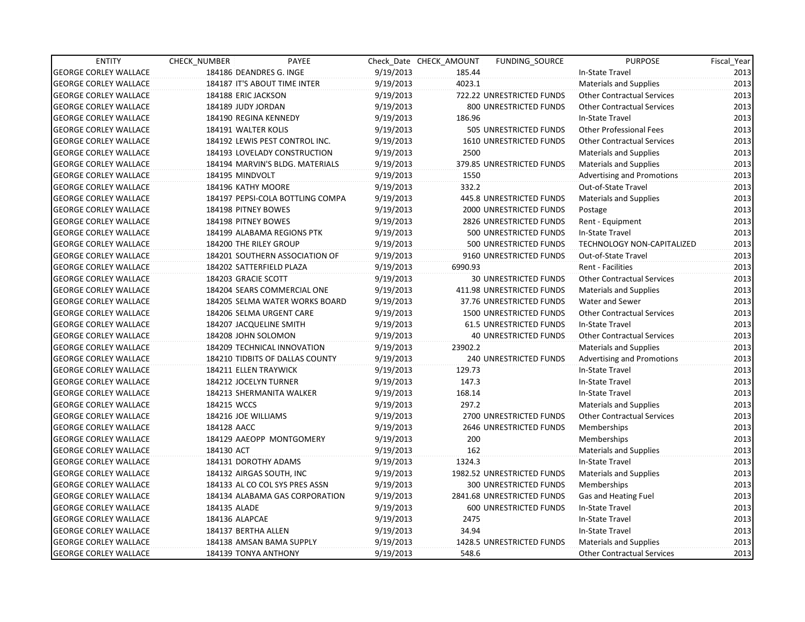| <b>ENTITY</b>                | CHECK_NUMBER            | PAYEE                            |           | Check Date CHECK AMOUNT | FUNDING SOURCE                 | <b>PURPOSE</b>                    | Fiscal Year |
|------------------------------|-------------------------|----------------------------------|-----------|-------------------------|--------------------------------|-----------------------------------|-------------|
| <b>GEORGE CORLEY WALLACE</b> | 184186 DEANDRES G. INGE |                                  | 9/19/2013 | 185.44                  |                                | In-State Travel                   | 2013        |
| <b>GEORGE CORLEY WALLACE</b> |                         | 184187 IT'S ABOUT TIME INTER     | 9/19/2013 | 4023.1                  |                                | Materials and Supplies            | 2013        |
| <b>GEORGE CORLEY WALLACE</b> | 184188 ERIC JACKSON     |                                  | 9/19/2013 |                         | 722.22 UNRESTRICTED FUNDS      | <b>Other Contractual Services</b> | 2013        |
| <b>GEORGE CORLEY WALLACE</b> | 184189 JUDY JORDAN      |                                  | 9/19/2013 |                         | 800 UNRESTRICTED FUNDS         | <b>Other Contractual Services</b> | 2013        |
| <b>GEORGE CORLEY WALLACE</b> | 184190 REGINA KENNEDY   |                                  | 9/19/2013 | 186.96                  |                                | In-State Travel                   | 2013        |
| <b>GEORGE CORLEY WALLACE</b> | 184191 WALTER KOLIS     |                                  | 9/19/2013 |                         | 505 UNRESTRICTED FUNDS         | <b>Other Professional Fees</b>    | 2013        |
| <b>GEORGE CORLEY WALLACE</b> |                         | 184192 LEWIS PEST CONTROL INC.   | 9/19/2013 |                         | 1610 UNRESTRICTED FUNDS        | <b>Other Contractual Services</b> | 2013        |
| <b>GEORGE CORLEY WALLACE</b> |                         | 184193 LOVELADY CONSTRUCTION     | 9/19/2013 | 2500                    |                                | <b>Materials and Supplies</b>     | 2013        |
| <b>GEORGE CORLEY WALLACE</b> |                         | 184194 MARVIN'S BLDG. MATERIALS  | 9/19/2013 |                         | 379.85 UNRESTRICTED FUNDS      | Materials and Supplies            | 2013        |
| <b>GEORGE CORLEY WALLACE</b> | 184195 MINDVOLT         |                                  | 9/19/2013 | 1550                    |                                | <b>Advertising and Promotions</b> | 2013        |
| <b>GEORGE CORLEY WALLACE</b> | 184196 KATHY MOORE      |                                  | 9/19/2013 | 332.2                   |                                | Out-of-State Travel               | 2013        |
| <b>GEORGE CORLEY WALLACE</b> |                         | 184197 PEPSI-COLA BOTTLING COMPA | 9/19/2013 |                         | 445.8 UNRESTRICTED FUNDS       | <b>Materials and Supplies</b>     | 2013        |
| <b>GEORGE CORLEY WALLACE</b> | 184198 PITNEY BOWES     |                                  | 9/19/2013 |                         | 2000 UNRESTRICTED FUNDS        | Postage                           | 2013        |
| <b>GEORGE CORLEY WALLACE</b> | 184198 PITNEY BOWES     |                                  | 9/19/2013 |                         | 2826 UNRESTRICTED FUNDS        | Rent - Equipment                  | 2013        |
| <b>GEORGE CORLEY WALLACE</b> |                         | 184199 ALABAMA REGIONS PTK       | 9/19/2013 |                         | 500 UNRESTRICTED FUNDS         | In-State Travel                   | 2013        |
| <b>GEORGE CORLEY WALLACE</b> | 184200 THE RILEY GROUP  |                                  | 9/19/2013 |                         | 500 UNRESTRICTED FUNDS         | <b>TECHNOLOGY NON-CAPITALIZED</b> | 2013        |
| <b>GEORGE CORLEY WALLACE</b> |                         | 184201 SOUTHERN ASSOCIATION OF   | 9/19/2013 |                         | 9160 UNRESTRICTED FUNDS        | Out-of-State Travel               | 2013        |
| <b>GEORGE CORLEY WALLACE</b> |                         | 184202 SATTERFIELD PLAZA         | 9/19/2013 | 6990.93                 |                                | <b>Rent - Facilities</b>          | 2013        |
| <b>GEORGE CORLEY WALLACE</b> | 184203 GRACIE SCOTT     |                                  | 9/19/2013 |                         | <b>30 UNRESTRICTED FUNDS</b>   | <b>Other Contractual Services</b> | 2013        |
| <b>GEORGE CORLEY WALLACE</b> |                         | 184204 SEARS COMMERCIAL ONE      | 9/19/2013 |                         | 411.98 UNRESTRICTED FUNDS      | Materials and Supplies            | 2013        |
| <b>GEORGE CORLEY WALLACE</b> |                         | 184205 SELMA WATER WORKS BOARD   | 9/19/2013 |                         | 37.76 UNRESTRICTED FUNDS       | Water and Sewer                   | 2013        |
| <b>GEORGE CORLEY WALLACE</b> |                         | 184206 SELMA URGENT CARE         | 9/19/2013 |                         | 1500 UNRESTRICTED FUNDS        | <b>Other Contractual Services</b> | 2013        |
| <b>GEORGE CORLEY WALLACE</b> | 184207 JACQUELINE SMITH |                                  | 9/19/2013 |                         | <b>61.5 UNRESTRICTED FUNDS</b> | In-State Travel                   | 2013        |
| <b>GEORGE CORLEY WALLACE</b> | 184208 JOHN SOLOMON     |                                  | 9/19/2013 |                         | <b>40 UNRESTRICTED FUNDS</b>   | <b>Other Contractual Services</b> | 2013        |
| <b>GEORGE CORLEY WALLACE</b> |                         | 184209 TECHNICAL INNOVATION      | 9/19/2013 | 23902.2                 |                                | <b>Materials and Supplies</b>     | 2013        |
| <b>GEORGE CORLEY WALLACE</b> |                         | 184210 TIDBITS OF DALLAS COUNTY  | 9/19/2013 |                         | 240 UNRESTRICTED FUNDS         | <b>Advertising and Promotions</b> | 2013        |
| <b>GEORGE CORLEY WALLACE</b> | 184211 ELLEN TRAYWICK   |                                  | 9/19/2013 | 129.73                  |                                | In-State Travel                   | 2013        |
| <b>GEORGE CORLEY WALLACE</b> | 184212 JOCELYN TURNER   |                                  | 9/19/2013 | 147.3                   |                                | In-State Travel                   | 2013        |
| <b>GEORGE CORLEY WALLACE</b> |                         | 184213 SHERMANITA WALKER         | 9/19/2013 | 168.14                  |                                | In-State Travel                   | 2013        |
| <b>GEORGE CORLEY WALLACE</b> | 184215 WCCS             |                                  | 9/19/2013 | 297.2                   |                                | <b>Materials and Supplies</b>     | 2013        |
| <b>GEORGE CORLEY WALLACE</b> | 184216 JOE WILLIAMS     |                                  | 9/19/2013 |                         | 2700 UNRESTRICTED FUNDS        | <b>Other Contractual Services</b> | 2013        |
| <b>GEORGE CORLEY WALLACE</b> | 184128 AACC             |                                  | 9/19/2013 |                         | 2646 UNRESTRICTED FUNDS        | Memberships                       | 2013        |
| <b>GEORGE CORLEY WALLACE</b> |                         | 184129 AAEOPP MONTGOMERY         | 9/19/2013 | 200                     |                                | Memberships                       | 2013        |
| <b>GEORGE CORLEY WALLACE</b> | 184130 ACT              |                                  | 9/19/2013 | 162                     |                                | Materials and Supplies            | 2013        |
| <b>GEORGE CORLEY WALLACE</b> | 184131 DOROTHY ADAMS    |                                  | 9/19/2013 | 1324.3                  |                                | In-State Travel                   | 2013        |
| <b>GEORGE CORLEY WALLACE</b> |                         | 184132 AIRGAS SOUTH, INC         | 9/19/2013 |                         | 1982.52 UNRESTRICTED FUNDS     | Materials and Supplies            | 2013        |
| <b>GEORGE CORLEY WALLACE</b> |                         | 184133 AL CO COL SYS PRES ASSN   | 9/19/2013 |                         | 300 UNRESTRICTED FUNDS         | Memberships                       | 2013        |
| <b>GEORGE CORLEY WALLACE</b> |                         | 184134 ALABAMA GAS CORPORATION   | 9/19/2013 |                         | 2841.68 UNRESTRICTED FUNDS     | Gas and Heating Fuel              | 2013        |
| <b>GEORGE CORLEY WALLACE</b> | 184135 ALADE            |                                  | 9/19/2013 |                         | 600 UNRESTRICTED FUNDS         | In-State Travel                   | 2013        |
| <b>GEORGE CORLEY WALLACE</b> | 184136 ALAPCAE          |                                  | 9/19/2013 | 2475                    |                                | In-State Travel                   | 2013        |
| <b>GEORGE CORLEY WALLACE</b> | 184137 BERTHA ALLEN     |                                  | 9/19/2013 | 34.94                   |                                | In-State Travel                   | 2013        |
| <b>GEORGE CORLEY WALLACE</b> |                         | 184138 AMSAN BAMA SUPPLY         | 9/19/2013 |                         | 1428.5 UNRESTRICTED FUNDS      | Materials and Supplies            | 2013        |
| <b>GEORGE CORLEY WALLACE</b> | 184139 TONYA ANTHONY    |                                  | 9/19/2013 | 548.6                   |                                | <b>Other Contractual Services</b> | 2013        |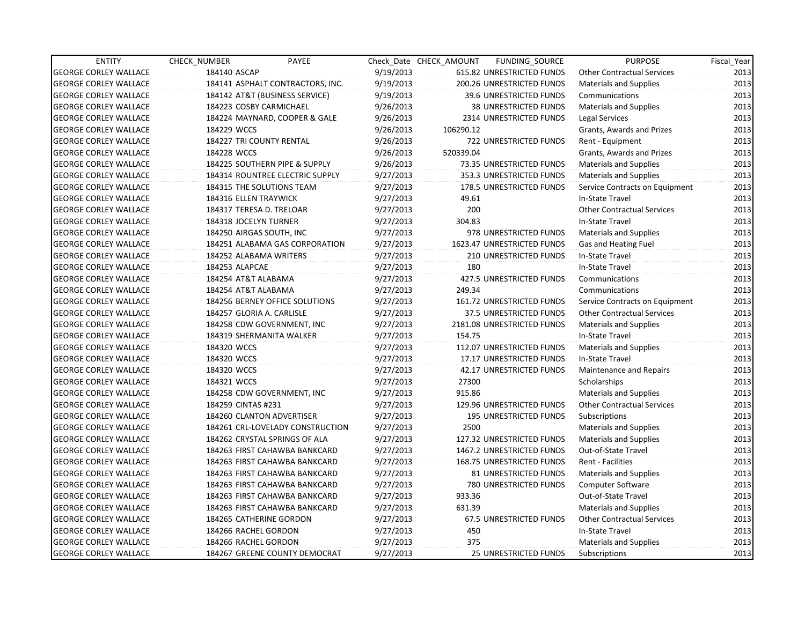| <b>ENTITY</b>                | CHECK NUMBER              | PAYEE                            |           | Check Date CHECK AMOUNT | FUNDING_SOURCE               | <b>PURPOSE</b>                    | Fiscal_Year |
|------------------------------|---------------------------|----------------------------------|-----------|-------------------------|------------------------------|-----------------------------------|-------------|
| <b>GEORGE CORLEY WALLACE</b> | 184140 ASCAP              |                                  | 9/19/2013 |                         | 615.82 UNRESTRICTED FUNDS    | <b>Other Contractual Services</b> | 2013        |
| <b>GEORGE CORLEY WALLACE</b> |                           | 184141 ASPHALT CONTRACTORS, INC. | 9/19/2013 |                         | 200.26 UNRESTRICTED FUNDS    | <b>Materials and Supplies</b>     | 2013        |
| <b>GEORGE CORLEY WALLACE</b> |                           | 184142 AT&T (BUSINESS SERVICE)   | 9/19/2013 |                         | 39.6 UNRESTRICTED FUNDS      | Communications                    | 2013        |
| <b>GEORGE CORLEY WALLACE</b> | 184223 COSBY CARMICHAEL   |                                  | 9/26/2013 |                         | <b>38 UNRESTRICTED FUNDS</b> | <b>Materials and Supplies</b>     | 2013        |
| <b>GEORGE CORLEY WALLACE</b> |                           | 184224 MAYNARD, COOPER & GALE    | 9/26/2013 |                         | 2314 UNRESTRICTED FUNDS      | Legal Services                    | 2013        |
| <b>GEORGE CORLEY WALLACE</b> | 184229 WCCS               |                                  | 9/26/2013 | 106290.12               |                              | Grants, Awards and Prizes         | 2013        |
| <b>GEORGE CORLEY WALLACE</b> | 184227 TRI COUNTY RENTAL  |                                  | 9/26/2013 |                         | 722 UNRESTRICTED FUNDS       | Rent - Equipment                  | 2013        |
| <b>GEORGE CORLEY WALLACE</b> | 184228 WCCS               |                                  | 9/26/2013 | 520339.04               |                              | Grants, Awards and Prizes         | 2013        |
| <b>GEORGE CORLEY WALLACE</b> |                           | 184225 SOUTHERN PIPE & SUPPLY    | 9/26/2013 |                         | 73.35 UNRESTRICTED FUNDS     | Materials and Supplies            | 2013        |
| <b>GEORGE CORLEY WALLACE</b> |                           | 184314 ROUNTREE ELECTRIC SUPPLY  | 9/27/2013 |                         | 353.3 UNRESTRICTED FUNDS     | Materials and Supplies            | 2013        |
| <b>GEORGE CORLEY WALLACE</b> | 184315 THE SOLUTIONS TEAM |                                  | 9/27/2013 |                         | 178.5 UNRESTRICTED FUNDS     | Service Contracts on Equipment    | 2013        |
| <b>GEORGE CORLEY WALLACE</b> | 184316 ELLEN TRAYWICK     |                                  | 9/27/2013 | 49.61                   |                              | In-State Travel                   | 2013        |
| <b>GEORGE CORLEY WALLACE</b> | 184317 TERESA D. TRELOAR  |                                  | 9/27/2013 | 200                     |                              | <b>Other Contractual Services</b> | 2013        |
| <b>GEORGE CORLEY WALLACE</b> | 184318 JOCELYN TURNER     |                                  | 9/27/2013 | 304.83                  |                              | In-State Travel                   | 2013        |
| <b>GEORGE CORLEY WALLACE</b> | 184250 AIRGAS SOUTH, INC  |                                  | 9/27/2013 |                         | 978 UNRESTRICTED FUNDS       | <b>Materials and Supplies</b>     | 2013        |
| <b>GEORGE CORLEY WALLACE</b> |                           | 184251 ALABAMA GAS CORPORATION   | 9/27/2013 |                         | 1623.47 UNRESTRICTED FUNDS   | Gas and Heating Fuel              | 2013        |
| <b>GEORGE CORLEY WALLACE</b> | 184252 ALABAMA WRITERS    |                                  | 9/27/2013 |                         | 210 UNRESTRICTED FUNDS       | In-State Travel                   | 2013        |
| <b>GEORGE CORLEY WALLACE</b> | 184253 ALAPCAE            |                                  | 9/27/2013 | 180                     |                              | In-State Travel                   | 2013        |
| <b>GEORGE CORLEY WALLACE</b> | 184254 AT&T ALABAMA       |                                  | 9/27/2013 |                         | 427.5 UNRESTRICTED FUNDS     | Communications                    | 2013        |
| <b>GEORGE CORLEY WALLACE</b> | 184254 AT&T ALABAMA       |                                  | 9/27/2013 | 249.34                  |                              | Communications                    | 2013        |
| <b>GEORGE CORLEY WALLACE</b> |                           | 184256 BERNEY OFFICE SOLUTIONS   | 9/27/2013 |                         | 161.72 UNRESTRICTED FUNDS    | Service Contracts on Equipment    | 2013        |
| <b>GEORGE CORLEY WALLACE</b> | 184257 GLORIA A. CARLISLE |                                  | 9/27/2013 |                         | 37.5 UNRESTRICTED FUNDS      | <b>Other Contractual Services</b> | 2013        |
| <b>GEORGE CORLEY WALLACE</b> |                           | 184258 CDW GOVERNMENT, INC       | 9/27/2013 |                         | 2181.08 UNRESTRICTED FUNDS   | <b>Materials and Supplies</b>     | 2013        |
| <b>GEORGE CORLEY WALLACE</b> | 184319 SHERMANITA WALKER  |                                  | 9/27/2013 | 154.75                  |                              | In-State Travel                   | 2013        |
| <b>GEORGE CORLEY WALLACE</b> | 184320 WCCS               |                                  | 9/27/2013 |                         | 112.07 UNRESTRICTED FUNDS    | <b>Materials and Supplies</b>     | 2013        |
| <b>GEORGE CORLEY WALLACE</b> | 184320 WCCS               |                                  | 9/27/2013 |                         | 17.17 UNRESTRICTED FUNDS     | In-State Travel                   | 2013        |
| <b>GEORGE CORLEY WALLACE</b> | 184320 WCCS               |                                  | 9/27/2013 |                         | 42.17 UNRESTRICTED FUNDS     | Maintenance and Repairs           | 2013        |
| <b>GEORGE CORLEY WALLACE</b> | 184321 WCCS               |                                  | 9/27/2013 | 27300                   |                              | Scholarships                      | 2013        |
| <b>GEORGE CORLEY WALLACE</b> |                           | 184258 CDW GOVERNMENT, INC       | 9/27/2013 | 915.86                  |                              | <b>Materials and Supplies</b>     | 2013        |
| <b>GEORGE CORLEY WALLACE</b> | 184259 CINTAS #231        |                                  | 9/27/2013 |                         | 129.96 UNRESTRICTED FUNDS    | <b>Other Contractual Services</b> | 2013        |
| <b>GEORGE CORLEY WALLACE</b> | 184260 CLANTON ADVERTISER |                                  | 9/27/2013 |                         | 195 UNRESTRICTED FUNDS       | Subscriptions                     | 2013        |
| <b>GEORGE CORLEY WALLACE</b> |                           | 184261 CRL-LOVELADY CONSTRUCTION | 9/27/2013 | 2500                    |                              | <b>Materials and Supplies</b>     | 2013        |
| <b>GEORGE CORLEY WALLACE</b> |                           | 184262 CRYSTAL SPRINGS OF ALA    | 9/27/2013 |                         | 127.32 UNRESTRICTED FUNDS    | <b>Materials and Supplies</b>     | 2013        |
| <b>GEORGE CORLEY WALLACE</b> |                           | 184263 FIRST CAHAWBA BANKCARD    | 9/27/2013 |                         | 1467.2 UNRESTRICTED FUNDS    | Out-of-State Travel               | 2013        |
| <b>GEORGE CORLEY WALLACE</b> |                           | 184263 FIRST CAHAWBA BANKCARD    | 9/27/2013 |                         | 168.75 UNRESTRICTED FUNDS    | Rent - Facilities                 | 2013        |
| <b>GEORGE CORLEY WALLACE</b> |                           | 184263 FIRST CAHAWBA BANKCARD    | 9/27/2013 |                         | 81 UNRESTRICTED FUNDS        | Materials and Supplies            | 2013        |
| <b>GEORGE CORLEY WALLACE</b> |                           | 184263 FIRST CAHAWBA BANKCARD    | 9/27/2013 |                         | 780 UNRESTRICTED FUNDS       | <b>Computer Software</b>          | 2013        |
| <b>GEORGE CORLEY WALLACE</b> |                           | 184263 FIRST CAHAWBA BANKCARD    | 9/27/2013 | 933.36                  |                              | Out-of-State Travel               | 2013        |
| <b>GEORGE CORLEY WALLACE</b> |                           | 184263 FIRST CAHAWBA BANKCARD    | 9/27/2013 | 631.39                  |                              | <b>Materials and Supplies</b>     | 2013        |
| <b>GEORGE CORLEY WALLACE</b> | 184265 CATHERINE GORDON   |                                  | 9/27/2013 |                         | 67.5 UNRESTRICTED FUNDS      | <b>Other Contractual Services</b> | 2013        |
| <b>GEORGE CORLEY WALLACE</b> | 184266 RACHEL GORDON      |                                  | 9/27/2013 | 450                     |                              | In-State Travel                   | 2013        |
| <b>GEORGE CORLEY WALLACE</b> | 184266 RACHEL GORDON      |                                  | 9/27/2013 | 375                     |                              | <b>Materials and Supplies</b>     | 2013        |
| <b>GEORGE CORLEY WALLACE</b> |                           | 184267 GREENE COUNTY DEMOCRAT    | 9/27/2013 |                         | 25 UNRESTRICTED FUNDS        | Subscriptions                     | 2013        |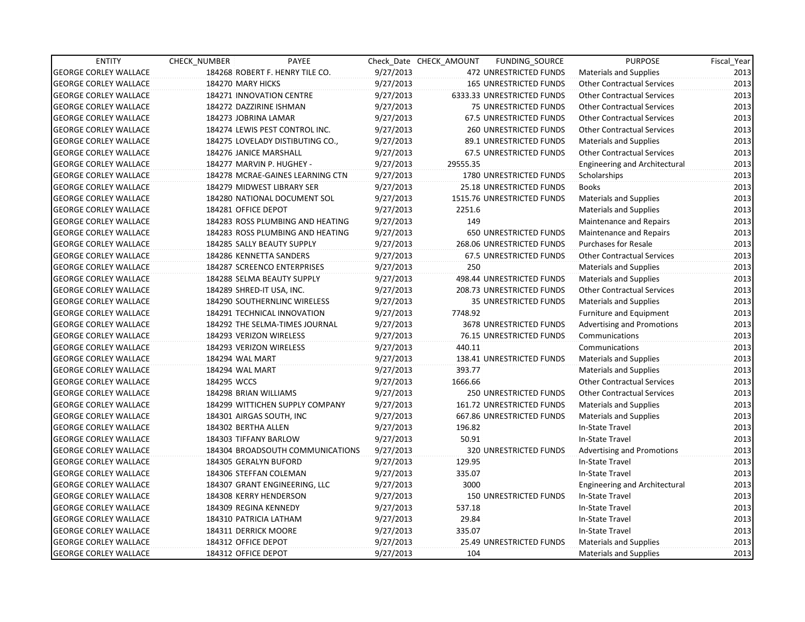| <b>ENTITY</b>                | <b>CHECK NUMBER</b> | PAYEE                            |           | Check Date CHECK AMOUNT | FUNDING_SOURCE                 | <b>PURPOSE</b>                       | Fiscal Year |
|------------------------------|---------------------|----------------------------------|-----------|-------------------------|--------------------------------|--------------------------------------|-------------|
| <b>GEORGE CORLEY WALLACE</b> |                     | 184268 ROBERT F. HENRY TILE CO.  | 9/27/2013 |                         | 472 UNRESTRICTED FUNDS         | Materials and Supplies               | 2013        |
| <b>GEORGE CORLEY WALLACE</b> | 184270 MARY HICKS   |                                  | 9/27/2013 |                         | <b>165 UNRESTRICTED FUNDS</b>  | Other Contractual Services           | 2013        |
| <b>GEORGE CORLEY WALLACE</b> |                     | 184271 INNOVATION CENTRE         | 9/27/2013 |                         | 6333.33 UNRESTRICTED FUNDS     | <b>Other Contractual Services</b>    | 2013        |
| <b>GEORGE CORLEY WALLACE</b> |                     | 184272 DAZZIRINE ISHMAN          | 9/27/2013 |                         | 75 UNRESTRICTED FUNDS          | <b>Other Contractual Services</b>    | 2013        |
| <b>GEORGE CORLEY WALLACE</b> |                     | 184273 JOBRINA LAMAR             | 9/27/2013 |                         | 67.5 UNRESTRICTED FUNDS        | <b>Other Contractual Services</b>    | 2013        |
| <b>GEORGE CORLEY WALLACE</b> |                     | 184274 LEWIS PEST CONTROL INC.   | 9/27/2013 |                         | <b>260 UNRESTRICTED FUNDS</b>  | <b>Other Contractual Services</b>    | 2013        |
| <b>GEORGE CORLEY WALLACE</b> |                     | 184275 LOVELADY DISTIBUTING CO., | 9/27/2013 |                         | 89.1 UNRESTRICTED FUNDS        | <b>Materials and Supplies</b>        | 2013        |
| <b>GEORGE CORLEY WALLACE</b> |                     | 184276 JANICE MARSHALL           | 9/27/2013 |                         | <b>67.5 UNRESTRICTED FUNDS</b> | <b>Other Contractual Services</b>    | 2013        |
| <b>GEORGE CORLEY WALLACE</b> |                     | 184277 MARVIN P. HUGHEY -        | 9/27/2013 | 29555.35                |                                | <b>Engineering and Architectural</b> | 2013        |
| <b>GEORGE CORLEY WALLACE</b> |                     | 184278 MCRAE-GAINES LEARNING CTN | 9/27/2013 |                         | 1780 UNRESTRICTED FUNDS        | Scholarships                         | 2013        |
| <b>GEORGE CORLEY WALLACE</b> |                     | 184279 MIDWEST LIBRARY SER       | 9/27/2013 |                         | 25.18 UNRESTRICTED FUNDS       | <b>Books</b>                         | 2013        |
| <b>GEORGE CORLEY WALLACE</b> |                     | 184280 NATIONAL DOCUMENT SOL     | 9/27/2013 |                         | 1515.76 UNRESTRICTED FUNDS     | <b>Materials and Supplies</b>        | 2013        |
| <b>GEORGE CORLEY WALLACE</b> | 184281 OFFICE DEPOT |                                  | 9/27/2013 | 2251.6                  |                                | <b>Materials and Supplies</b>        | 2013        |
| <b>GEORGE CORLEY WALLACE</b> |                     | 184283 ROSS PLUMBING AND HEATING | 9/27/2013 | 149                     |                                | Maintenance and Repairs              | 2013        |
| <b>GEORGE CORLEY WALLACE</b> |                     | 184283 ROSS PLUMBING AND HEATING | 9/27/2013 |                         | 650 UNRESTRICTED FUNDS         | Maintenance and Repairs              | 2013        |
| <b>GEORGE CORLEY WALLACE</b> |                     | 184285 SALLY BEAUTY SUPPLY       | 9/27/2013 |                         | 268.06 UNRESTRICTED FUNDS      | <b>Purchases for Resale</b>          | 2013        |
| <b>GEORGE CORLEY WALLACE</b> |                     | 184286 KENNETTA SANDERS          | 9/27/2013 |                         | <b>67.5 UNRESTRICTED FUNDS</b> | <b>Other Contractual Services</b>    | 2013        |
| <b>GEORGE CORLEY WALLACE</b> |                     | 184287 SCREENCO ENTERPRISES      | 9/27/2013 | 250                     |                                | <b>Materials and Supplies</b>        | 2013        |
| <b>GEORGE CORLEY WALLACE</b> |                     | 184288 SELMA BEAUTY SUPPLY       | 9/27/2013 |                         | 498.44 UNRESTRICTED FUNDS      | <b>Materials and Supplies</b>        | 2013        |
| <b>GEORGE CORLEY WALLACE</b> |                     | 184289 SHRED-IT USA, INC.        | 9/27/2013 |                         | 208.73 UNRESTRICTED FUNDS      | <b>Other Contractual Services</b>    | 2013        |
| <b>GEORGE CORLEY WALLACE</b> |                     | 184290 SOUTHERNLINC WIRELESS     | 9/27/2013 |                         | <b>35 UNRESTRICTED FUNDS</b>   | <b>Materials and Supplies</b>        | 2013        |
| <b>GEORGE CORLEY WALLACE</b> |                     | 184291 TECHNICAL INNOVATION      | 9/27/2013 | 7748.92                 |                                | <b>Furniture and Equipment</b>       | 2013        |
| <b>GEORGE CORLEY WALLACE</b> |                     | 184292 THE SELMA-TIMES JOURNAL   | 9/27/2013 |                         | 3678 UNRESTRICTED FUNDS        | <b>Advertising and Promotions</b>    | 2013        |
| <b>GEORGE CORLEY WALLACE</b> |                     | 184293 VERIZON WIRELESS          | 9/27/2013 |                         | 76.15 UNRESTRICTED FUNDS       | Communications                       | 2013        |
| <b>GEORGE CORLEY WALLACE</b> |                     | 184293 VERIZON WIRELESS          | 9/27/2013 | 440.11                  |                                | Communications                       | 2013        |
| <b>GEORGE CORLEY WALLACE</b> | 184294 WAL MART     |                                  | 9/27/2013 |                         | 138.41 UNRESTRICTED FUNDS      | <b>Materials and Supplies</b>        | 2013        |
| <b>GEORGE CORLEY WALLACE</b> | 184294 WAL MART     |                                  | 9/27/2013 | 393.77                  |                                | <b>Materials and Supplies</b>        | 2013        |
| <b>GEORGE CORLEY WALLACE</b> | 184295 WCCS         |                                  | 9/27/2013 | 1666.66                 |                                | <b>Other Contractual Services</b>    | 2013        |
| <b>GEORGE CORLEY WALLACE</b> |                     | 184298 BRIAN WILLIAMS            | 9/27/2013 |                         | 250 UNRESTRICTED FUNDS         | <b>Other Contractual Services</b>    | 2013        |
| <b>GEORGE CORLEY WALLACE</b> |                     | 184299 WITTICHEN SUPPLY COMPANY  | 9/27/2013 |                         | 161.72 UNRESTRICTED FUNDS      | <b>Materials and Supplies</b>        | 2013        |
| <b>GEORGE CORLEY WALLACE</b> |                     | 184301 AIRGAS SOUTH, INC         | 9/27/2013 |                         | 667.86 UNRESTRICTED FUNDS      | <b>Materials and Supplies</b>        | 2013        |
| <b>GEORGE CORLEY WALLACE</b> | 184302 BERTHA ALLEN |                                  | 9/27/2013 | 196.82                  |                                | In-State Travel                      | 2013        |
| <b>GEORGE CORLEY WALLACE</b> |                     | 184303 TIFFANY BARLOW            | 9/27/2013 | 50.91                   |                                | In-State Travel                      | 2013        |
| <b>GEORGE CORLEY WALLACE</b> |                     | 184304 BROADSOUTH COMMUNICATIONS | 9/27/2013 |                         | 320 UNRESTRICTED FUNDS         | <b>Advertising and Promotions</b>    | 2013        |
| <b>GEORGE CORLEY WALLACE</b> |                     | 184305 GERALYN BUFORD            | 9/27/2013 | 129.95                  |                                | In-State Travel                      | 2013        |
| <b>GEORGE CORLEY WALLACE</b> |                     | 184306 STEFFAN COLEMAN           | 9/27/2013 | 335.07                  |                                | In-State Travel                      | 2013        |
| <b>GEORGE CORLEY WALLACE</b> |                     | 184307 GRANT ENGINEERING, LLC    | 9/27/2013 | 3000                    |                                | <b>Engineering and Architectural</b> | 2013        |
| <b>GEORGE CORLEY WALLACE</b> |                     | 184308 KERRY HENDERSON           | 9/27/2013 |                         | <b>150 UNRESTRICTED FUNDS</b>  | In-State Travel                      | 2013        |
| <b>GEORGE CORLEY WALLACE</b> |                     | 184309 REGINA KENNEDY            | 9/27/2013 | 537.18                  |                                | In-State Travel                      | 2013        |
| <b>GEORGE CORLEY WALLACE</b> |                     | 184310 PATRICIA LATHAM           | 9/27/2013 | 29.84                   |                                | In-State Travel                      | 2013        |
| <b>GEORGE CORLEY WALLACE</b> |                     | 184311 DERRICK MOORE             | 9/27/2013 | 335.07                  |                                | In-State Travel                      | 2013        |
| <b>GEORGE CORLEY WALLACE</b> | 184312 OFFICE DEPOT |                                  | 9/27/2013 |                         | 25.49 UNRESTRICTED FUNDS       | <b>Materials and Supplies</b>        | 2013        |
| <b>GEORGE CORLEY WALLACE</b> | 184312 OFFICE DEPOT |                                  | 9/27/2013 | 104                     |                                | <b>Materials and Supplies</b>        | 2013        |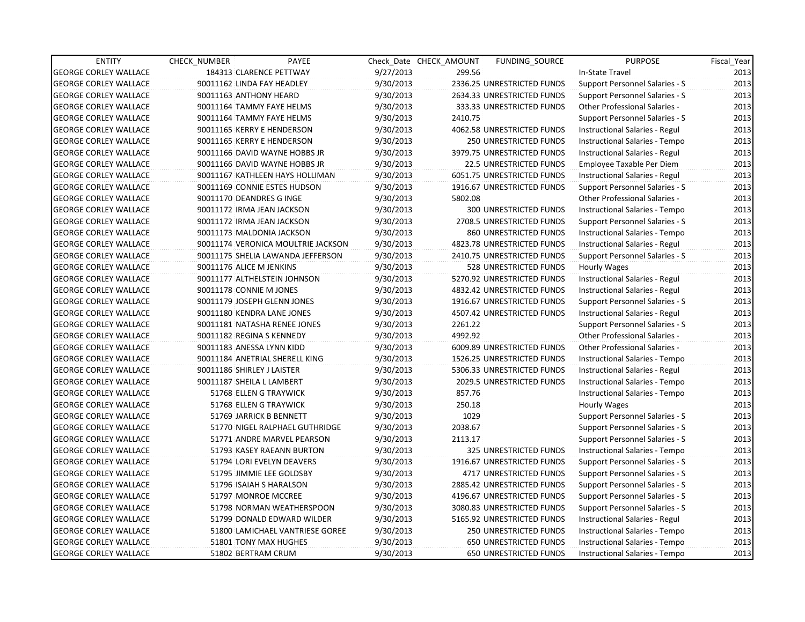| <b>ENTITY</b>                | <b>CHECK NUMBER</b>             | PAYEE                              |           | Check Date CHECK AMOUNT | <b>FUNDING SOURCE</b>            | <b>PURPOSE</b>                        | Fiscal Year |
|------------------------------|---------------------------------|------------------------------------|-----------|-------------------------|----------------------------------|---------------------------------------|-------------|
| <b>GEORGE CORLEY WALLACE</b> | 184313 CLARENCE PETTWAY         |                                    | 9/27/2013 | 299.56                  |                                  | In-State Travel                       | 2013        |
| <b>GEORGE CORLEY WALLACE</b> | 90011162 LINDA FAY HEADLEY      |                                    | 9/30/2013 |                         | 2336.25 UNRESTRICTED FUNDS       | Support Personnel Salaries - S        | 2013        |
| <b>GEORGE CORLEY WALLACE</b> | 90011163 ANTHONY HEARD          |                                    | 9/30/2013 |                         | 2634.33 UNRESTRICTED FUNDS       | Support Personnel Salaries - S        | 2013        |
| <b>GEORGE CORLEY WALLACE</b> | 90011164 TAMMY FAYE HELMS       |                                    | 9/30/2013 |                         | 333.33 UNRESTRICTED FUNDS        | <b>Other Professional Salaries -</b>  | 2013        |
| <b>GEORGE CORLEY WALLACE</b> | 90011164 TAMMY FAYE HELMS       |                                    | 9/30/2013 | 2410.75                 |                                  | Support Personnel Salaries - S        | 2013        |
| <b>GEORGE CORLEY WALLACE</b> | 90011165 KERRY E HENDERSON      |                                    | 9/30/2013 |                         | 4062.58 UNRESTRICTED FUNDS       | Instructional Salaries - Regul        | 2013        |
| <b>GEORGE CORLEY WALLACE</b> | 90011165 KERRY E HENDERSON      |                                    | 9/30/2013 |                         | 250 UNRESTRICTED FUNDS           | Instructional Salaries - Tempo        | 2013        |
| <b>GEORGE CORLEY WALLACE</b> | 90011166 DAVID WAYNE HOBBS JR   |                                    | 9/30/2013 |                         | 3979.75 UNRESTRICTED FUNDS       | Instructional Salaries - Regul        | 2013        |
| <b>GEORGE CORLEY WALLACE</b> | 90011166 DAVID WAYNE HOBBS JR   |                                    | 9/30/2013 |                         | 22.5 UNRESTRICTED FUNDS          | Employee Taxable Per Diem             | 2013        |
| <b>GEORGE CORLEY WALLACE</b> | 90011167 KATHLEEN HAYS HOLLIMAN |                                    | 9/30/2013 |                         | 6051.75 UNRESTRICTED FUNDS       | Instructional Salaries - Regul        | 2013        |
| <b>GEORGE CORLEY WALLACE</b> | 90011169 CONNIE ESTES HUDSON    |                                    | 9/30/2013 |                         | 1916.67 UNRESTRICTED FUNDS       | Support Personnel Salaries - S        | 2013        |
| <b>GEORGE CORLEY WALLACE</b> | 90011170 DEANDRES G INGE        |                                    | 9/30/2013 | 5802.08                 |                                  | <b>Other Professional Salaries -</b>  | 2013        |
| <b>GEORGE CORLEY WALLACE</b> | 90011172 IRMA JEAN JACKSON      |                                    | 9/30/2013 |                         | 300 UNRESTRICTED FUNDS           | <b>Instructional Salaries - Tempo</b> | 2013        |
| <b>GEORGE CORLEY WALLACE</b> | 90011172 IRMA JEAN JACKSON      |                                    | 9/30/2013 |                         | 2708.5 UNRESTRICTED FUNDS        | <b>Support Personnel Salaries - S</b> | 2013        |
| <b>GEORGE CORLEY WALLACE</b> | 90011173 MALDONIA JACKSON       |                                    | 9/30/2013 |                         | 860 UNRESTRICTED FUNDS           | Instructional Salaries - Tempo        | 2013        |
| <b>GEORGE CORLEY WALLACE</b> |                                 | 90011174 VERONICA MOULTRIE JACKSON | 9/30/2013 |                         | 4823.78 UNRESTRICTED FUNDS       | Instructional Salaries - Regul        | 2013        |
| <b>GEORGE CORLEY WALLACE</b> |                                 | 90011175 SHELIA LAWANDA JEFFERSON  | 9/30/2013 |                         | 2410.75 UNRESTRICTED FUNDS       | Support Personnel Salaries - S        | 2013        |
| <b>GEORGE CORLEY WALLACE</b> | 90011176 ALICE M JENKINS        |                                    | 9/30/2013 |                         | <b>528 UNRESTRICTED FUNDS</b>    | Hourly Wages                          | 2013        |
| <b>GEORGE CORLEY WALLACE</b> | 90011177 ALTHELSTEIN JOHNSON    |                                    | 9/30/2013 |                         | 5270.92 UNRESTRICTED FUNDS       | Instructional Salaries - Regul        | 2013        |
| <b>GEORGE CORLEY WALLACE</b> | 90011178 CONNIE M JONES         |                                    | 9/30/2013 |                         | 4832.42 UNRESTRICTED FUNDS       | Instructional Salaries - Regul        | 2013        |
| <b>GEORGE CORLEY WALLACE</b> | 90011179 JOSEPH GLENN JONES     |                                    | 9/30/2013 |                         | 1916.67 UNRESTRICTED FUNDS       | <b>Support Personnel Salaries - S</b> | 2013        |
| <b>GEORGE CORLEY WALLACE</b> | 90011180 KENDRA LANE JONES      |                                    | 9/30/2013 |                         | 4507.42 UNRESTRICTED FUNDS       | Instructional Salaries - Regul        | 2013        |
| <b>GEORGE CORLEY WALLACE</b> | 90011181 NATASHA RENEE JONES    |                                    | 9/30/2013 | 2261.22                 |                                  | <b>Support Personnel Salaries - S</b> | 2013        |
| <b>GEORGE CORLEY WALLACE</b> | 90011182 REGINA S KENNEDY       |                                    | 9/30/2013 | 4992.92                 |                                  | Other Professional Salaries -         | 2013        |
| <b>GEORGE CORLEY WALLACE</b> | 90011183 ANESSA LYNN KIDD       |                                    | 9/30/2013 |                         | 6009.89 UNRESTRICTED FUNDS       | Other Professional Salaries -         | 2013        |
| <b>GEORGE CORLEY WALLACE</b> | 90011184 ANETRIAL SHERELL KING  |                                    | 9/30/2013 |                         | 1526.25 UNRESTRICTED FUNDS       | Instructional Salaries - Tempo        | 2013        |
| <b>GEORGE CORLEY WALLACE</b> | 90011186 SHIRLEY J LAISTER      |                                    | 9/30/2013 |                         | 5306.33 UNRESTRICTED FUNDS       | Instructional Salaries - Regul        | 2013        |
| <b>GEORGE CORLEY WALLACE</b> | 90011187 SHEILA L LAMBERT       |                                    | 9/30/2013 |                         | <b>2029.5 UNRESTRICTED FUNDS</b> | Instructional Salaries - Tempo        | 2013        |
| <b>GEORGE CORLEY WALLACE</b> | 51768 ELLEN G TRAYWICK          |                                    | 9/30/2013 | 857.76                  |                                  | Instructional Salaries - Tempo        | 2013        |
| <b>GEORGE CORLEY WALLACE</b> | 51768 ELLEN G TRAYWICK          |                                    | 9/30/2013 | 250.18                  |                                  | Hourly Wages                          | 2013        |
| <b>GEORGE CORLEY WALLACE</b> | 51769 JARRICK B BENNETT         |                                    | 9/30/2013 | 1029                    |                                  | Support Personnel Salaries - S        | 2013        |
| <b>GEORGE CORLEY WALLACE</b> |                                 | 51770 NIGEL RALPHAEL GUTHRIDGE     | 9/30/2013 | 2038.67                 |                                  | Support Personnel Salaries - S        | 2013        |
| <b>GEORGE CORLEY WALLACE</b> |                                 | 51771 ANDRE MARVEL PEARSON         | 9/30/2013 | 2113.17                 |                                  | Support Personnel Salaries - S        | 2013        |
| <b>GEORGE CORLEY WALLACE</b> | 51793 KASEY RAEANN BURTON       |                                    | 9/30/2013 |                         | 325 UNRESTRICTED FUNDS           | Instructional Salaries - Tempo        | 2013        |
| <b>GEORGE CORLEY WALLACE</b> | 51794 LORI EVELYN DEAVERS       |                                    | 9/30/2013 |                         | 1916.67 UNRESTRICTED FUNDS       | Support Personnel Salaries - S        | 2013        |
| <b>GEORGE CORLEY WALLACE</b> | 51795 JIMMIE LEE GOLDSBY        |                                    | 9/30/2013 |                         | 4717 UNRESTRICTED FUNDS          | Support Personnel Salaries - S        | 2013        |
| <b>GEORGE CORLEY WALLACE</b> | 51796 ISAIAH S HARALSON         |                                    | 9/30/2013 |                         | 2885.42 UNRESTRICTED FUNDS       | Support Personnel Salaries - S        | 2013        |
| <b>GEORGE CORLEY WALLACE</b> | 51797 MONROE MCCREE             |                                    | 9/30/2013 |                         | 4196.67 UNRESTRICTED FUNDS       | Support Personnel Salaries - S        | 2013        |
| <b>GEORGE CORLEY WALLACE</b> |                                 | 51798 NORMAN WEATHERSPOON          | 9/30/2013 |                         | 3080.83 UNRESTRICTED FUNDS       | Support Personnel Salaries - S        | 2013        |
| <b>GEORGE CORLEY WALLACE</b> |                                 | 51799 DONALD EDWARD WILDER         | 9/30/2013 |                         | 5165.92 UNRESTRICTED FUNDS       | Instructional Salaries - Regul        | 2013        |
| <b>GEORGE CORLEY WALLACE</b> |                                 | 51800 LAMICHAEL VANTRIESE GOREE    | 9/30/2013 |                         | 250 UNRESTRICTED FUNDS           | Instructional Salaries - Tempo        | 2013        |
| <b>GEORGE CORLEY WALLACE</b> | 51801 TONY MAX HUGHES           |                                    | 9/30/2013 |                         | 650 UNRESTRICTED FUNDS           | Instructional Salaries - Tempo        | 2013        |
| <b>GEORGE CORLEY WALLACE</b> | 51802 BERTRAM CRUM              |                                    | 9/30/2013 |                         | <b>650 UNRESTRICTED FUNDS</b>    | Instructional Salaries - Tempo        | 2013        |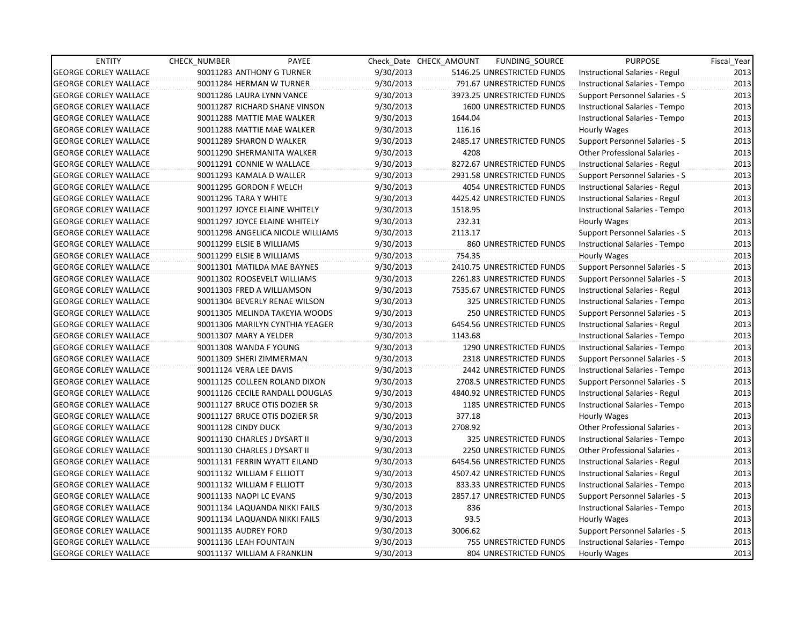| <b>ENTITY</b>                | <b>CHECK NUMBER</b>          | PAYEE                             |           | Check Date CHECK AMOUNT | FUNDING_SOURCE                 | <b>PURPOSE</b>                        | Fiscal_Year |
|------------------------------|------------------------------|-----------------------------------|-----------|-------------------------|--------------------------------|---------------------------------------|-------------|
| <b>GEORGE CORLEY WALLACE</b> | 90011283 ANTHONY G TURNER    |                                   | 9/30/2013 |                         | 5146.25 UNRESTRICTED FUNDS     | Instructional Salaries - Regul        | 2013        |
| <b>GEORGE CORLEY WALLACE</b> | 90011284 HERMAN W TURNER     |                                   | 9/30/2013 |                         | 791.67 UNRESTRICTED FUNDS      | Instructional Salaries - Tempo        | 2013        |
| <b>GEORGE CORLEY WALLACE</b> | 90011286 LAURA LYNN VANCE    |                                   | 9/30/2013 |                         | 3973.25 UNRESTRICTED FUNDS     | Support Personnel Salaries - S        | 2013        |
| <b>GEORGE CORLEY WALLACE</b> |                              | 90011287 RICHARD SHANE VINSON     | 9/30/2013 |                         | <b>1600 UNRESTRICTED FUNDS</b> | Instructional Salaries - Tempo        | 2013        |
| <b>GEORGE CORLEY WALLACE</b> |                              | 90011288 MATTIE MAE WALKER        | 9/30/2013 | 1644.04                 |                                | Instructional Salaries - Tempo        | 2013        |
| <b>GEORGE CORLEY WALLACE</b> |                              | 90011288 MATTIE MAE WALKER        | 9/30/2013 | 116.16                  |                                | Hourly Wages                          | 2013        |
| <b>GEORGE CORLEY WALLACE</b> | 90011289 SHARON D WALKER     |                                   | 9/30/2013 |                         | 2485.17 UNRESTRICTED FUNDS     | <b>Support Personnel Salaries - S</b> | 2013        |
| <b>GEORGE CORLEY WALLACE</b> |                              | 90011290 SHERMANITA WALKER        | 9/30/2013 | 4208                    |                                | Other Professional Salaries -         | 2013        |
| <b>GEORGE CORLEY WALLACE</b> | 90011291 CONNIE W WALLACE    |                                   | 9/30/2013 |                         | 8272.67 UNRESTRICTED FUNDS     | Instructional Salaries - Regul        | 2013        |
| <b>GEORGE CORLEY WALLACE</b> | 90011293 KAMALA D WALLER     |                                   | 9/30/2013 |                         | 2931.58 UNRESTRICTED FUNDS     | Support Personnel Salaries - S        | 2013        |
| <b>GEORGE CORLEY WALLACE</b> | 90011295 GORDON F WELCH      |                                   | 9/30/2013 |                         | 4054 UNRESTRICTED FUNDS        | Instructional Salaries - Regul        | 2013        |
| <b>GEORGE CORLEY WALLACE</b> | 90011296 TARA Y WHITE        |                                   | 9/30/2013 |                         | 4425.42 UNRESTRICTED FUNDS     | Instructional Salaries - Regul        | 2013        |
| <b>GEORGE CORLEY WALLACE</b> |                              | 90011297 JOYCE ELAINE WHITELY     | 9/30/2013 | 1518.95                 |                                | Instructional Salaries - Tempo        | 2013        |
| <b>GEORGE CORLEY WALLACE</b> |                              | 90011297 JOYCE ELAINE WHITELY     | 9/30/2013 | 232.31                  |                                | Hourly Wages                          | 2013        |
| <b>GEORGE CORLEY WALLACE</b> |                              | 90011298 ANGELICA NICOLE WILLIAMS | 9/30/2013 | 2113.17                 |                                | Support Personnel Salaries - S        | 2013        |
| <b>GEORGE CORLEY WALLACE</b> | 90011299 ELSIE B WILLIAMS    |                                   | 9/30/2013 |                         | 860 UNRESTRICTED FUNDS         | Instructional Salaries - Tempo        | 2013        |
| <b>GEORGE CORLEY WALLACE</b> | 90011299 ELSIE B WILLIAMS    |                                   | 9/30/2013 | 754.35                  |                                | Hourly Wages                          | 2013        |
| <b>GEORGE CORLEY WALLACE</b> |                              | 90011301 MATILDA MAE BAYNES       | 9/30/2013 |                         | 2410.75 UNRESTRICTED FUNDS     | <b>Support Personnel Salaries - S</b> | 2013        |
| <b>GEORGE CORLEY WALLACE</b> |                              | 90011302 ROOSEVELT WILLIAMS       | 9/30/2013 |                         | 2261.83 UNRESTRICTED FUNDS     | Support Personnel Salaries - S        | 2013        |
| <b>GEORGE CORLEY WALLACE</b> | 90011303 FRED A WILLIAMSON   |                                   | 9/30/2013 |                         | 7535.67 UNRESTRICTED FUNDS     | Instructional Salaries - Regul        | 2013        |
| <b>GEORGE CORLEY WALLACE</b> |                              | 90011304 BEVERLY RENAE WILSON     | 9/30/2013 |                         | 325 UNRESTRICTED FUNDS         | Instructional Salaries - Tempo        | 2013        |
| <b>GEORGE CORLEY WALLACE</b> |                              | 90011305 MELINDA TAKEYIA WOODS    | 9/30/2013 |                         | 250 UNRESTRICTED FUNDS         | Support Personnel Salaries - S        | 2013        |
| <b>GEORGE CORLEY WALLACE</b> |                              | 90011306 MARILYN CYNTHIA YEAGER   | 9/30/2013 |                         | 6454.56 UNRESTRICTED FUNDS     | Instructional Salaries - Regul        | 2013        |
| <b>GEORGE CORLEY WALLACE</b> | 90011307 MARY A YELDER       |                                   | 9/30/2013 | 1143.68                 |                                | Instructional Salaries - Tempo        | 2013        |
| <b>GEORGE CORLEY WALLACE</b> | 90011308 WANDA F YOUNG       |                                   | 9/30/2013 |                         | 1290 UNRESTRICTED FUNDS        | Instructional Salaries - Tempo        | 2013        |
| <b>GEORGE CORLEY WALLACE</b> | 90011309 SHERI ZIMMERMAN     |                                   | 9/30/2013 |                         | 2318 UNRESTRICTED FUNDS        | Support Personnel Salaries - S        | 2013        |
| <b>GEORGE CORLEY WALLACE</b> | 90011124 VERA LEE DAVIS      |                                   | 9/30/2013 |                         | 2442 UNRESTRICTED FUNDS        | Instructional Salaries - Tempo        | 2013        |
| <b>GEORGE CORLEY WALLACE</b> |                              | 90011125 COLLEEN ROLAND DIXON     | 9/30/2013 |                         | 2708.5 UNRESTRICTED FUNDS      | Support Personnel Salaries - S        | 2013        |
| <b>GEORGE CORLEY WALLACE</b> |                              | 90011126 CECILE RANDALL DOUGLAS   | 9/30/2013 |                         | 4840.92 UNRESTRICTED FUNDS     | Instructional Salaries - Regul        | 2013        |
| <b>GEORGE CORLEY WALLACE</b> |                              | 90011127 BRUCE OTIS DOZIER SR     | 9/30/2013 |                         | 1185 UNRESTRICTED FUNDS        | Instructional Salaries - Tempo        | 2013        |
| <b>GEORGE CORLEY WALLACE</b> |                              | 90011127 BRUCE OTIS DOZIER SR     | 9/30/2013 | 377.18                  |                                | Hourly Wages                          | 2013        |
| <b>GEORGE CORLEY WALLACE</b> | 90011128 CINDY DUCK          |                                   | 9/30/2013 | 2708.92                 |                                | Other Professional Salaries -         | 2013        |
| <b>GEORGE CORLEY WALLACE</b> | 90011130 CHARLES J DYSART II |                                   | 9/30/2013 |                         | 325 UNRESTRICTED FUNDS         | Instructional Salaries - Tempo        | 2013        |
| <b>GEORGE CORLEY WALLACE</b> | 90011130 CHARLES J DYSART II |                                   | 9/30/2013 |                         | 2250 UNRESTRICTED FUNDS        | Other Professional Salaries -         | 2013        |
| <b>GEORGE CORLEY WALLACE</b> |                              | 90011131 FERRIN WYATT EILAND      | 9/30/2013 |                         | 6454.56 UNRESTRICTED FUNDS     | Instructional Salaries - Regul        | 2013        |
| <b>GEORGE CORLEY WALLACE</b> | 90011132 WILLIAM F ELLIOTT   |                                   | 9/30/2013 |                         | 4507.42 UNRESTRICTED FUNDS     | Instructional Salaries - Regul        | 2013        |
| <b>GEORGE CORLEY WALLACE</b> | 90011132 WILLIAM F ELLIOTT   |                                   | 9/30/2013 |                         | 833.33 UNRESTRICTED FUNDS      | Instructional Salaries - Tempo        | 2013        |
| <b>GEORGE CORLEY WALLACE</b> | 90011133 NAOPI LC EVANS      |                                   | 9/30/2013 |                         | 2857.17 UNRESTRICTED FUNDS     | <b>Support Personnel Salaries - S</b> | 2013        |
| <b>GEORGE CORLEY WALLACE</b> |                              | 90011134 LAQUANDA NIKKI FAILS     | 9/30/2013 | 836                     |                                | Instructional Salaries - Tempo        | 2013        |
| <b>GEORGE CORLEY WALLACE</b> |                              | 90011134 LAQUANDA NIKKI FAILS     | 9/30/2013 | 93.5                    |                                | Hourly Wages                          | 2013        |
| <b>GEORGE CORLEY WALLACE</b> | 90011135 AUDREY FORD         |                                   | 9/30/2013 | 3006.62                 |                                | Support Personnel Salaries - S        | 2013        |
| <b>GEORGE CORLEY WALLACE</b> | 90011136 LEAH FOUNTAIN       |                                   | 9/30/2013 |                         | 755 UNRESTRICTED FUNDS         | Instructional Salaries - Tempo        | 2013        |
| <b>GEORGE CORLEY WALLACE</b> | 90011137 WILLIAM A FRANKLIN  |                                   | 9/30/2013 |                         | <b>804 UNRESTRICTED FUNDS</b>  | Hourly Wages                          | 2013        |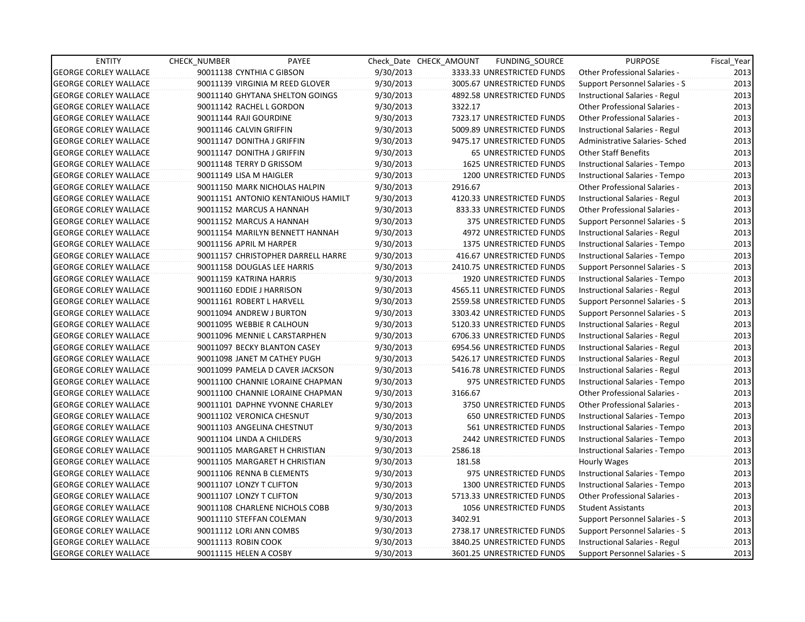| <b>ENTITY</b>                | CHECK_NUMBER                 | PAYEE                              |           | Check Date CHECK AMOUNT | FUNDING SOURCE                 | <b>PURPOSE</b>                       | Fiscal_Year |
|------------------------------|------------------------------|------------------------------------|-----------|-------------------------|--------------------------------|--------------------------------------|-------------|
| <b>GEORGE CORLEY WALLACE</b> | 90011138 CYNTHIA C GIBSON    |                                    | 9/30/2013 |                         | 3333.33 UNRESTRICTED FUNDS     | Other Professional Salaries -        | 2013        |
| <b>GEORGE CORLEY WALLACE</b> |                              | 90011139 VIRGINIA M REED GLOVER    | 9/30/2013 |                         | 3005.67 UNRESTRICTED FUNDS     | Support Personnel Salaries - S       | 2013        |
| <b>GEORGE CORLEY WALLACE</b> |                              | 90011140 GHYTANA SHELTON GOINGS    | 9/30/2013 |                         | 4892.58 UNRESTRICTED FUNDS     | Instructional Salaries - Regul       | 2013        |
| <b>GEORGE CORLEY WALLACE</b> | 90011142 RACHEL L GORDON     |                                    | 9/30/2013 | 3322.17                 |                                | Other Professional Salaries -        | 2013        |
| <b>GEORGE CORLEY WALLACE</b> | 90011144 RAJI GOURDINE       |                                    | 9/30/2013 |                         | 7323.17 UNRESTRICTED FUNDS     | <b>Other Professional Salaries -</b> | 2013        |
| <b>GEORGE CORLEY WALLACE</b> | 90011146 CALVIN GRIFFIN      |                                    | 9/30/2013 |                         | 5009.89 UNRESTRICTED FUNDS     | Instructional Salaries - Regul       | 2013        |
| <b>GEORGE CORLEY WALLACE</b> | 90011147 DONITHA J GRIFFIN   |                                    | 9/30/2013 |                         | 9475.17 UNRESTRICTED FUNDS     | Administrative Salaries- Sched       | 2013        |
| <b>GEORGE CORLEY WALLACE</b> | 90011147 DONITHA J GRIFFIN   |                                    | 9/30/2013 |                         | <b>65 UNRESTRICTED FUNDS</b>   | <b>Other Staff Benefits</b>          | 2013        |
| <b>GEORGE CORLEY WALLACE</b> | 90011148 TERRY D GRISSOM     |                                    | 9/30/2013 |                         | <b>1625 UNRESTRICTED FUNDS</b> | Instructional Salaries - Tempo       | 2013        |
| <b>GEORGE CORLEY WALLACE</b> | 90011149 LISA M HAIGLER      |                                    | 9/30/2013 |                         | 1200 UNRESTRICTED FUNDS        | Instructional Salaries - Tempo       | 2013        |
| <b>GEORGE CORLEY WALLACE</b> |                              | 90011150 MARK NICHOLAS HALPIN      | 9/30/2013 | 2916.67                 |                                | Other Professional Salaries -        | 2013        |
| <b>GEORGE CORLEY WALLACE</b> |                              | 90011151 ANTONIO KENTANIOUS HAMILT | 9/30/2013 |                         | 4120.33 UNRESTRICTED FUNDS     | Instructional Salaries - Regul       | 2013        |
| <b>GEORGE CORLEY WALLACE</b> | 90011152 MARCUS A HANNAH     |                                    | 9/30/2013 |                         | 833.33 UNRESTRICTED FUNDS      | Other Professional Salaries -        | 2013        |
| <b>GEORGE CORLEY WALLACE</b> | 90011152 MARCUS A HANNAH     |                                    | 9/30/2013 |                         | 375 UNRESTRICTED FUNDS         | Support Personnel Salaries - S       | 2013        |
| <b>GEORGE CORLEY WALLACE</b> |                              | 90011154 MARILYN BENNETT HANNAH    | 9/30/2013 |                         | 4972 UNRESTRICTED FUNDS        | Instructional Salaries - Regul       | 2013        |
| <b>GEORGE CORLEY WALLACE</b> | 90011156 APRIL M HARPER      |                                    | 9/30/2013 |                         | <b>1375 UNRESTRICTED FUNDS</b> | Instructional Salaries - Tempo       | 2013        |
| <b>GEORGE CORLEY WALLACE</b> |                              | 90011157 CHRISTOPHER DARRELL HARRE | 9/30/2013 |                         | 416.67 UNRESTRICTED FUNDS      | Instructional Salaries - Tempo       | 2013        |
| <b>GEORGE CORLEY WALLACE</b> | 90011158 DOUGLAS LEE HARRIS  |                                    | 9/30/2013 |                         | 2410.75 UNRESTRICTED FUNDS     | Support Personnel Salaries - S       | 2013        |
| <b>GEORGE CORLEY WALLACE</b> | 90011159 KATRINA HARRIS      |                                    | 9/30/2013 |                         | 1920 UNRESTRICTED FUNDS        | Instructional Salaries - Tempo       | 2013        |
| <b>GEORGE CORLEY WALLACE</b> | 90011160 EDDIE J HARRISON    |                                    | 9/30/2013 |                         | 4565.11 UNRESTRICTED FUNDS     | Instructional Salaries - Regul       | 2013        |
| <b>GEORGE CORLEY WALLACE</b> | 90011161 ROBERT L HARVELL    |                                    | 9/30/2013 |                         | 2559.58 UNRESTRICTED FUNDS     | Support Personnel Salaries - S       | 2013        |
| <b>GEORGE CORLEY WALLACE</b> | 90011094 ANDREW J BURTON     |                                    | 9/30/2013 |                         | 3303.42 UNRESTRICTED FUNDS     | Support Personnel Salaries - S       | 2013        |
| <b>GEORGE CORLEY WALLACE</b> | 90011095 WEBBIE R CALHOUN    |                                    | 9/30/2013 |                         | 5120.33 UNRESTRICTED FUNDS     | Instructional Salaries - Regul       | 2013        |
| <b>GEORGE CORLEY WALLACE</b> |                              | 90011096 MENNIE L CARSTARPHEN      | 9/30/2013 |                         | 6706.33 UNRESTRICTED FUNDS     | Instructional Salaries - Regul       | 2013        |
| <b>GEORGE CORLEY WALLACE</b> | 90011097 BECKY BLANTON CASEY |                                    | 9/30/2013 |                         | 6954.56 UNRESTRICTED FUNDS     | Instructional Salaries - Regul       | 2013        |
| <b>GEORGE CORLEY WALLACE</b> | 90011098 JANET M CATHEY PUGH |                                    | 9/30/2013 |                         | 5426.17 UNRESTRICTED FUNDS     | Instructional Salaries - Regul       | 2013        |
| <b>GEORGE CORLEY WALLACE</b> |                              | 90011099 PAMELA D CAVER JACKSON    | 9/30/2013 |                         | 5416.78 UNRESTRICTED FUNDS     | Instructional Salaries - Regul       | 2013        |
| <b>GEORGE CORLEY WALLACE</b> |                              | 90011100 CHANNIE LORAINE CHAPMAN   | 9/30/2013 |                         | 975 UNRESTRICTED FUNDS         | Instructional Salaries - Tempo       | 2013        |
| <b>GEORGE CORLEY WALLACE</b> |                              | 90011100 CHANNIE LORAINE CHAPMAN   | 9/30/2013 | 3166.67                 |                                | <b>Other Professional Salaries -</b> | 2013        |
| <b>GEORGE CORLEY WALLACE</b> |                              | 90011101 DAPHNE YVONNE CHARLEY     | 9/30/2013 |                         | 3750 UNRESTRICTED FUNDS        | Other Professional Salaries -        | 2013        |
| <b>GEORGE CORLEY WALLACE</b> | 90011102 VERONICA CHESNUT    |                                    | 9/30/2013 |                         | 650 UNRESTRICTED FUNDS         | Instructional Salaries - Tempo       | 2013        |
| <b>GEORGE CORLEY WALLACE</b> | 90011103 ANGELINA CHESTNUT   |                                    | 9/30/2013 |                         | 561 UNRESTRICTED FUNDS         | Instructional Salaries - Tempo       | 2013        |
| <b>GEORGE CORLEY WALLACE</b> | 90011104 LINDA A CHILDERS    |                                    | 9/30/2013 |                         | 2442 UNRESTRICTED FUNDS        | Instructional Salaries - Tempo       | 2013        |
| <b>GEORGE CORLEY WALLACE</b> |                              | 90011105 MARGARET H CHRISTIAN      | 9/30/2013 | 2586.18                 |                                | Instructional Salaries - Tempo       | 2013        |
| <b>GEORGE CORLEY WALLACE</b> |                              | 90011105 MARGARET H CHRISTIAN      | 9/30/2013 | 181.58                  |                                | Hourly Wages                         | 2013        |
| <b>GEORGE CORLEY WALLACE</b> | 90011106 RENNA B CLEMENTS    |                                    | 9/30/2013 |                         | 975 UNRESTRICTED FUNDS         | Instructional Salaries - Tempo       | 2013        |
| <b>GEORGE CORLEY WALLACE</b> | 90011107 LONZY T CLIFTON     |                                    | 9/30/2013 |                         | 1300 UNRESTRICTED FUNDS        | Instructional Salaries - Tempo       | 2013        |
| <b>GEORGE CORLEY WALLACE</b> | 90011107 LONZY T CLIFTON     |                                    | 9/30/2013 |                         | 5713.33 UNRESTRICTED FUNDS     | <b>Other Professional Salaries -</b> | 2013        |
| <b>GEORGE CORLEY WALLACE</b> |                              | 90011108 CHARLENE NICHOLS COBB     | 9/30/2013 |                         | 1056 UNRESTRICTED FUNDS        | <b>Student Assistants</b>            | 2013        |
| <b>GEORGE CORLEY WALLACE</b> | 90011110 STEFFAN COLEMAN     |                                    | 9/30/2013 | 3402.91                 |                                | Support Personnel Salaries - S       | 2013        |
| <b>GEORGE CORLEY WALLACE</b> | 90011112 LORI ANN COMBS      |                                    | 9/30/2013 |                         | 2738.17 UNRESTRICTED FUNDS     | Support Personnel Salaries - S       | 2013        |
| <b>GEORGE CORLEY WALLACE</b> | 90011113 ROBIN COOK          |                                    | 9/30/2013 |                         | 3840.25 UNRESTRICTED FUNDS     | Instructional Salaries - Regul       | 2013        |
| <b>GEORGE CORLEY WALLACE</b> | 90011115 HELEN A COSBY       |                                    | 9/30/2013 |                         | 3601.25 UNRESTRICTED FUNDS     | Support Personnel Salaries - S       | 2013        |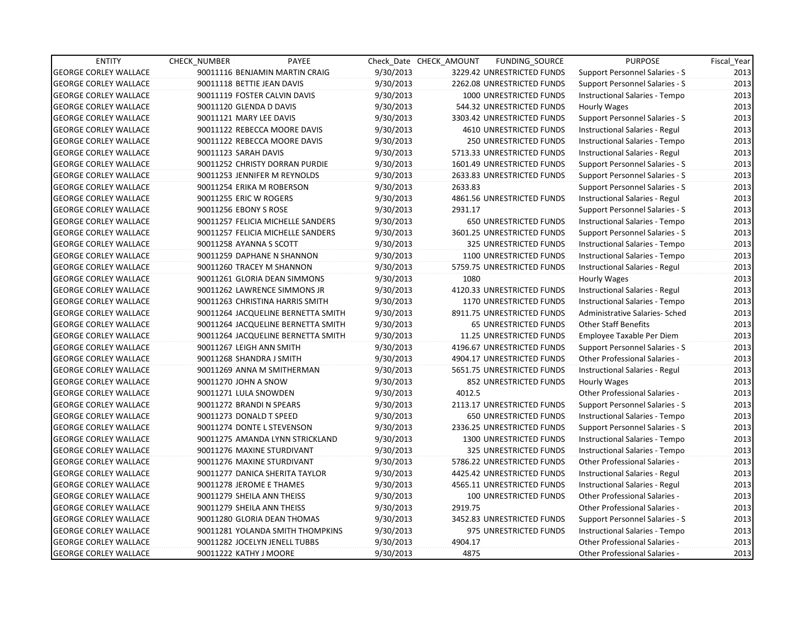| <b>ENTITY</b>                | <b>CHECK NUMBER</b>            | PAYEE                              |           | Check Date CHECK AMOUNT | FUNDING_SOURCE                 | <b>PURPOSE</b>                       | Fiscal_Year |
|------------------------------|--------------------------------|------------------------------------|-----------|-------------------------|--------------------------------|--------------------------------------|-------------|
| <b>GEORGE CORLEY WALLACE</b> |                                | 90011116 BENJAMIN MARTIN CRAIG     | 9/30/2013 |                         | 3229.42 UNRESTRICTED FUNDS     | Support Personnel Salaries - S       | 2013        |
| <b>GEORGE CORLEY WALLACE</b> | 90011118 BETTIE JEAN DAVIS     |                                    | 9/30/2013 |                         | 2262.08 UNRESTRICTED FUNDS     | Support Personnel Salaries - S       | 2013        |
| <b>GEORGE CORLEY WALLACE</b> | 90011119 FOSTER CALVIN DAVIS   |                                    | 9/30/2013 |                         | 1000 UNRESTRICTED FUNDS        | Instructional Salaries - Tempo       | 2013        |
| <b>GEORGE CORLEY WALLACE</b> | 90011120 GLENDA D DAVIS        |                                    | 9/30/2013 |                         | 544.32 UNRESTRICTED FUNDS      | Hourly Wages                         | 2013        |
| <b>GEORGE CORLEY WALLACE</b> | 90011121 MARY LEE DAVIS        |                                    | 9/30/2013 |                         | 3303.42 UNRESTRICTED FUNDS     | Support Personnel Salaries - S       | 2013        |
| <b>GEORGE CORLEY WALLACE</b> | 90011122 REBECCA MOORE DAVIS   |                                    | 9/30/2013 |                         | <b>4610 UNRESTRICTED FUNDS</b> | Instructional Salaries - Regul       | 2013        |
| <b>GEORGE CORLEY WALLACE</b> | 90011122 REBECCA MOORE DAVIS   |                                    | 9/30/2013 |                         | 250 UNRESTRICTED FUNDS         | Instructional Salaries - Tempo       | 2013        |
| <b>GEORGE CORLEY WALLACE</b> | 90011123 SARAH DAVIS           |                                    | 9/30/2013 |                         | 5713.33 UNRESTRICTED FUNDS     | Instructional Salaries - Regul       | 2013        |
| <b>GEORGE CORLEY WALLACE</b> |                                | 90011252 CHRISTY DORRAN PURDIE     | 9/30/2013 |                         | 1601.49 UNRESTRICTED FUNDS     | Support Personnel Salaries - S       | 2013        |
| <b>GEORGE CORLEY WALLACE</b> | 90011253 JENNIFER M REYNOLDS   |                                    | 9/30/2013 |                         | 2633.83 UNRESTRICTED FUNDS     | Support Personnel Salaries - S       | 2013        |
| <b>GEORGE CORLEY WALLACE</b> | 90011254 ERIKA M ROBERSON      |                                    | 9/30/2013 | 2633.83                 |                                | Support Personnel Salaries - S       | 2013        |
| <b>GEORGE CORLEY WALLACE</b> | 90011255 ERIC W ROGERS         |                                    | 9/30/2013 |                         | 4861.56 UNRESTRICTED FUNDS     | Instructional Salaries - Regul       | 2013        |
| <b>GEORGE CORLEY WALLACE</b> | 90011256 EBONY S ROSE          |                                    | 9/30/2013 | 2931.17                 |                                | Support Personnel Salaries - S       | 2013        |
| <b>GEORGE CORLEY WALLACE</b> |                                | 90011257 FELICIA MICHELLE SANDERS  | 9/30/2013 |                         | <b>650 UNRESTRICTED FUNDS</b>  | Instructional Salaries - Tempo       | 2013        |
| <b>GEORGE CORLEY WALLACE</b> |                                | 90011257 FELICIA MICHELLE SANDERS  | 9/30/2013 |                         | 3601.25 UNRESTRICTED FUNDS     | Support Personnel Salaries - S       | 2013        |
| <b>GEORGE CORLEY WALLACE</b> | 90011258 AYANNA S SCOTT        |                                    | 9/30/2013 |                         | 325 UNRESTRICTED FUNDS         | Instructional Salaries - Tempo       | 2013        |
| <b>GEORGE CORLEY WALLACE</b> | 90011259 DAPHANE N SHANNON     |                                    | 9/30/2013 |                         | 1100 UNRESTRICTED FUNDS        | Instructional Salaries - Tempo       | 2013        |
| <b>GEORGE CORLEY WALLACE</b> | 90011260 TRACEY M SHANNON      |                                    | 9/30/2013 |                         | 5759.75 UNRESTRICTED FUNDS     | Instructional Salaries - Regul       | 2013        |
| <b>GEORGE CORLEY WALLACE</b> | 90011261 GLORIA DEAN SIMMONS   |                                    | 9/30/2013 | 1080                    |                                | Hourly Wages                         | 2013        |
| <b>GEORGE CORLEY WALLACE</b> | 90011262 LAWRENCE SIMMONS JR   |                                    | 9/30/2013 |                         | 4120.33 UNRESTRICTED FUNDS     | Instructional Salaries - Regul       | 2013        |
| <b>GEORGE CORLEY WALLACE</b> |                                | 90011263 CHRISTINA HARRIS SMITH    | 9/30/2013 |                         | 1170 UNRESTRICTED FUNDS        | Instructional Salaries - Tempo       | 2013        |
| <b>GEORGE CORLEY WALLACE</b> |                                | 90011264 JACQUELINE BERNETTA SMITH | 9/30/2013 |                         | 8911.75 UNRESTRICTED FUNDS     | Administrative Salaries- Sched       | 2013        |
| <b>GEORGE CORLEY WALLACE</b> |                                | 90011264 JACQUELINE BERNETTA SMITH | 9/30/2013 |                         | 65 UNRESTRICTED FUNDS          | <b>Other Staff Benefits</b>          | 2013        |
| <b>GEORGE CORLEY WALLACE</b> |                                | 90011264 JACQUELINE BERNETTA SMITH | 9/30/2013 |                         | 11.25 UNRESTRICTED FUNDS       | Employee Taxable Per Diem            | 2013        |
| <b>GEORGE CORLEY WALLACE</b> | 90011267 LEIGH ANN SMITH       |                                    | 9/30/2013 |                         | 4196.67 UNRESTRICTED FUNDS     | Support Personnel Salaries - S       | 2013        |
| <b>GEORGE CORLEY WALLACE</b> | 90011268 SHANDRA J SMITH       |                                    | 9/30/2013 |                         | 4904.17 UNRESTRICTED FUNDS     | Other Professional Salaries -        | 2013        |
| <b>GEORGE CORLEY WALLACE</b> | 90011269 ANNA M SMITHERMAN     |                                    | 9/30/2013 |                         | 5651.75 UNRESTRICTED FUNDS     | Instructional Salaries - Regul       | 2013        |
| <b>GEORGE CORLEY WALLACE</b> | 90011270 JOHN A SNOW           |                                    | 9/30/2013 |                         | 852 UNRESTRICTED FUNDS         | Hourly Wages                         | 2013        |
| <b>GEORGE CORLEY WALLACE</b> | 90011271 LULA SNOWDEN          |                                    | 9/30/2013 | 4012.5                  |                                | Other Professional Salaries -        | 2013        |
| <b>GEORGE CORLEY WALLACE</b> | 90011272 BRANDI N SPEARS       |                                    | 9/30/2013 |                         | 2113.17 UNRESTRICTED FUNDS     | Support Personnel Salaries - S       | 2013        |
| <b>GEORGE CORLEY WALLACE</b> | 90011273 DONALD T SPEED        |                                    | 9/30/2013 |                         | 650 UNRESTRICTED FUNDS         | Instructional Salaries - Tempo       | 2013        |
| <b>GEORGE CORLEY WALLACE</b> | 90011274 DONTE L STEVENSON     |                                    | 9/30/2013 |                         | 2336.25 UNRESTRICTED FUNDS     | Support Personnel Salaries - S       | 2013        |
| <b>GEORGE CORLEY WALLACE</b> |                                | 90011275 AMANDA LYNN STRICKLAND    | 9/30/2013 |                         | 1300 UNRESTRICTED FUNDS        | Instructional Salaries - Tempo       | 2013        |
| <b>GEORGE CORLEY WALLACE</b> | 90011276 MAXINE STURDIVANT     |                                    | 9/30/2013 |                         | 325 UNRESTRICTED FUNDS         | Instructional Salaries - Tempo       | 2013        |
| <b>GEORGE CORLEY WALLACE</b> | 90011276 MAXINE STURDIVANT     |                                    | 9/30/2013 |                         | 5786.22 UNRESTRICTED FUNDS     | <b>Other Professional Salaries -</b> | 2013        |
| <b>GEORGE CORLEY WALLACE</b> | 90011277 DANICA SHERITA TAYLOR |                                    | 9/30/2013 |                         | 4425.42 UNRESTRICTED FUNDS     | Instructional Salaries - Regul       | 2013        |
| <b>GEORGE CORLEY WALLACE</b> | 90011278 JEROME E THAMES       |                                    | 9/30/2013 |                         | 4565.11 UNRESTRICTED FUNDS     | Instructional Salaries - Regul       | 2013        |
| <b>GEORGE CORLEY WALLACE</b> | 90011279 SHEILA ANN THEISS     |                                    | 9/30/2013 |                         | 100 UNRESTRICTED FUNDS         | Other Professional Salaries -        | 2013        |
| <b>GEORGE CORLEY WALLACE</b> | 90011279 SHEILA ANN THEISS     |                                    | 9/30/2013 | 2919.75                 |                                | Other Professional Salaries -        | 2013        |
| <b>GEORGE CORLEY WALLACE</b> | 90011280 GLORIA DEAN THOMAS    |                                    | 9/30/2013 |                         | 3452.83 UNRESTRICTED FUNDS     | Support Personnel Salaries - S       | 2013        |
| <b>GEORGE CORLEY WALLACE</b> |                                | 90011281 YOLANDA SMITH THOMPKINS   | 9/30/2013 |                         | 975 UNRESTRICTED FUNDS         | Instructional Salaries - Tempo       | 2013        |
| <b>GEORGE CORLEY WALLACE</b> | 90011282 JOCELYN JENELL TUBBS  |                                    | 9/30/2013 | 4904.17                 |                                | <b>Other Professional Salaries -</b> | 2013        |
| <b>GEORGE CORLEY WALLACE</b> | 90011222 KATHY J MOORE         |                                    | 9/30/2013 | 4875                    |                                | <b>Other Professional Salaries -</b> | 2013        |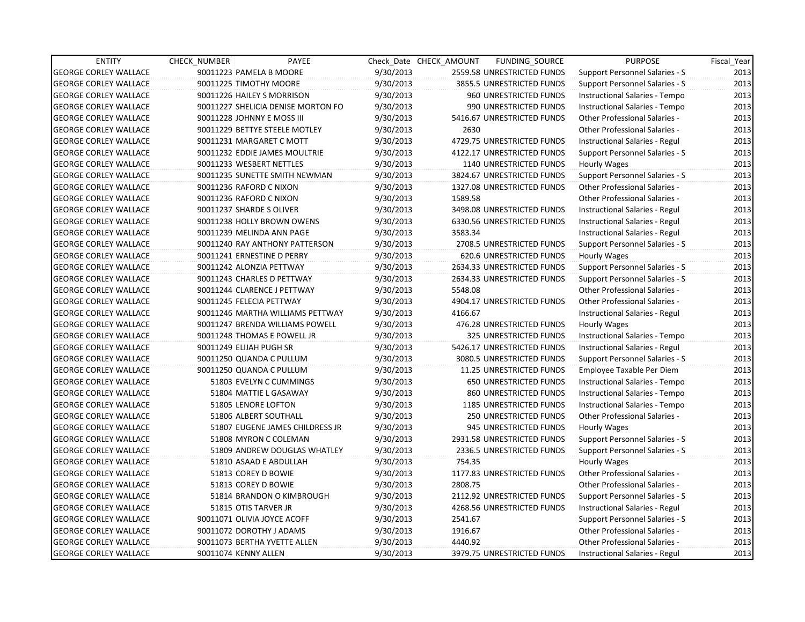| <b>ENTITY</b>                | CHECK_NUMBER                 | PAYEE                              |           | Check Date CHECK AMOUNT | FUNDING SOURCE             | <b>PURPOSE</b>                        | Fiscal_Year |
|------------------------------|------------------------------|------------------------------------|-----------|-------------------------|----------------------------|---------------------------------------|-------------|
| <b>GEORGE CORLEY WALLACE</b> | 90011223 PAMELA B MOORE      |                                    | 9/30/2013 |                         | 2559.58 UNRESTRICTED FUNDS | Support Personnel Salaries - S        | 2013        |
| <b>GEORGE CORLEY WALLACE</b> | 90011225 TIMOTHY MOORE       |                                    | 9/30/2013 |                         | 3855.5 UNRESTRICTED FUNDS  | Support Personnel Salaries - S        | 2013        |
| <b>GEORGE CORLEY WALLACE</b> | 90011226 HAILEY S MORRISON   |                                    | 9/30/2013 |                         | 960 UNRESTRICTED FUNDS     | Instructional Salaries - Tempo        | 2013        |
| <b>GEORGE CORLEY WALLACE</b> |                              | 90011227 SHELICIA DENISE MORTON FO | 9/30/2013 |                         | 990 UNRESTRICTED FUNDS     | Instructional Salaries - Tempo        | 2013        |
| <b>GEORGE CORLEY WALLACE</b> | 90011228 JOHNNY E MOSS III   |                                    | 9/30/2013 |                         | 5416.67 UNRESTRICTED FUNDS | <b>Other Professional Salaries -</b>  | 2013        |
| <b>GEORGE CORLEY WALLACE</b> |                              | 90011229 BETTYE STEELE MOTLEY      | 9/30/2013 | 2630                    |                            | <b>Other Professional Salaries -</b>  | 2013        |
| <b>GEORGE CORLEY WALLACE</b> | 90011231 MARGARET C MOTT     |                                    | 9/30/2013 |                         | 4729.75 UNRESTRICTED FUNDS | Instructional Salaries - Regul        | 2013        |
| <b>GEORGE CORLEY WALLACE</b> |                              | 90011232 EDDIE JAMES MOULTRIE      | 9/30/2013 |                         | 4122.17 UNRESTRICTED FUNDS | <b>Support Personnel Salaries - S</b> | 2013        |
| <b>GEORGE CORLEY WALLACE</b> | 90011233 WESBERT NETTLES     |                                    | 9/30/2013 |                         | 1140 UNRESTRICTED FUNDS    | <b>Hourly Wages</b>                   | 2013        |
| <b>GEORGE CORLEY WALLACE</b> |                              | 90011235 SUNETTE SMITH NEWMAN      | 9/30/2013 |                         | 3824.67 UNRESTRICTED FUNDS | Support Personnel Salaries - S        | 2013        |
| <b>GEORGE CORLEY WALLACE</b> | 90011236 RAFORD C NIXON      |                                    | 9/30/2013 |                         | 1327.08 UNRESTRICTED FUNDS | Other Professional Salaries -         | 2013        |
| <b>GEORGE CORLEY WALLACE</b> | 90011236 RAFORD C NIXON      |                                    | 9/30/2013 | 1589.58                 |                            | <b>Other Professional Salaries -</b>  | 2013        |
| <b>GEORGE CORLEY WALLACE</b> | 90011237 SHARDE S OLIVER     |                                    | 9/30/2013 |                         | 3498.08 UNRESTRICTED FUNDS | Instructional Salaries - Regul        | 2013        |
| <b>GEORGE CORLEY WALLACE</b> | 90011238 HOLLY BROWN OWENS   |                                    | 9/30/2013 |                         | 6330.56 UNRESTRICTED FUNDS | Instructional Salaries - Regul        | 2013        |
| <b>GEORGE CORLEY WALLACE</b> | 90011239 MELINDA ANN PAGE    |                                    | 9/30/2013 | 3583.34                 |                            | Instructional Salaries - Regul        | 2013        |
| <b>GEORGE CORLEY WALLACE</b> |                              | 90011240 RAY ANTHONY PATTERSON     | 9/30/2013 |                         | 2708.5 UNRESTRICTED FUNDS  | Support Personnel Salaries - S        | 2013        |
| <b>GEORGE CORLEY WALLACE</b> | 90011241 ERNESTINE D PERRY   |                                    | 9/30/2013 |                         | 620.6 UNRESTRICTED FUNDS   | Hourly Wages                          | 2013        |
| <b>GEORGE CORLEY WALLACE</b> | 90011242 ALONZIA PETTWAY     |                                    | 9/30/2013 |                         | 2634.33 UNRESTRICTED FUNDS | <b>Support Personnel Salaries - S</b> | 2013        |
| <b>GEORGE CORLEY WALLACE</b> | 90011243 CHARLES D PETTWAY   |                                    | 9/30/2013 |                         | 2634.33 UNRESTRICTED FUNDS | Support Personnel Salaries - S        | 2013        |
| <b>GEORGE CORLEY WALLACE</b> | 90011244 CLARENCE J PETTWAY  |                                    | 9/30/2013 | 5548.08                 |                            | <b>Other Professional Salaries -</b>  | 2013        |
| <b>GEORGE CORLEY WALLACE</b> | 90011245 FELECIA PETTWAY     |                                    | 9/30/2013 |                         | 4904.17 UNRESTRICTED FUNDS | <b>Other Professional Salaries -</b>  | 2013        |
| <b>GEORGE CORLEY WALLACE</b> |                              | 90011246 MARTHA WILLIAMS PETTWAY   | 9/30/2013 | 4166.67                 |                            | Instructional Salaries - Regul        | 2013        |
| <b>GEORGE CORLEY WALLACE</b> |                              | 90011247 BRENDA WILLIAMS POWELL    | 9/30/2013 |                         | 476.28 UNRESTRICTED FUNDS  | Hourly Wages                          | 2013        |
| <b>GEORGE CORLEY WALLACE</b> | 90011248 THOMAS E POWELL JR  |                                    | 9/30/2013 |                         | 325 UNRESTRICTED FUNDS     | Instructional Salaries - Tempo        | 2013        |
| <b>GEORGE CORLEY WALLACE</b> | 90011249 ELIJAH PUGH SR      |                                    | 9/30/2013 |                         | 5426.17 UNRESTRICTED FUNDS | Instructional Salaries - Regul        | 2013        |
| <b>GEORGE CORLEY WALLACE</b> | 90011250 QUANDA C PULLUM     |                                    | 9/30/2013 |                         | 3080.5 UNRESTRICTED FUNDS  | Support Personnel Salaries - S        | 2013        |
| <b>GEORGE CORLEY WALLACE</b> | 90011250 QUANDA C PULLUM     |                                    | 9/30/2013 |                         | 11.25 UNRESTRICTED FUNDS   | Employee Taxable Per Diem             | 2013        |
| <b>GEORGE CORLEY WALLACE</b> |                              | 51803 EVELYN C CUMMINGS            | 9/30/2013 |                         | 650 UNRESTRICTED FUNDS     | Instructional Salaries - Tempo        | 2013        |
| <b>GEORGE CORLEY WALLACE</b> |                              | 51804 MATTIE L GASAWAY             | 9/30/2013 |                         | 860 UNRESTRICTED FUNDS     | Instructional Salaries - Tempo        | 2013        |
| <b>GEORGE CORLEY WALLACE</b> | 51805 LENORE LOFTON          |                                    | 9/30/2013 |                         | 1185 UNRESTRICTED FUNDS    | Instructional Salaries - Tempo        | 2013        |
| <b>GEORGE CORLEY WALLACE</b> | 51806 ALBERT SOUTHALL        |                                    | 9/30/2013 |                         | 250 UNRESTRICTED FUNDS     | Other Professional Salaries -         | 2013        |
| <b>GEORGE CORLEY WALLACE</b> |                              | 51807 EUGENE JAMES CHILDRESS JR    | 9/30/2013 |                         | 945 UNRESTRICTED FUNDS     | Hourly Wages                          | 2013        |
| <b>GEORGE CORLEY WALLACE</b> |                              | 51808 MYRON C COLEMAN              | 9/30/2013 |                         | 2931.58 UNRESTRICTED FUNDS | Support Personnel Salaries - S        | 2013        |
| <b>GEORGE CORLEY WALLACE</b> |                              | 51809 ANDREW DOUGLAS WHATLEY       | 9/30/2013 |                         | 2336.5 UNRESTRICTED FUNDS  | Support Personnel Salaries - S        | 2013        |
| <b>GEORGE CORLEY WALLACE</b> | 51810 ASAAD E ABDULLAH       |                                    | 9/30/2013 | 754.35                  |                            | Hourly Wages                          | 2013        |
| <b>GEORGE CORLEY WALLACE</b> | 51813 COREY D BOWIE          |                                    | 9/30/2013 |                         | 1177.83 UNRESTRICTED FUNDS | <b>Other Professional Salaries -</b>  | 2013        |
| <b>GEORGE CORLEY WALLACE</b> | 51813 COREY D BOWIE          |                                    | 9/30/2013 | 2808.75                 |                            | Other Professional Salaries -         | 2013        |
| <b>GEORGE CORLEY WALLACE</b> |                              | 51814 BRANDON O KIMBROUGH          | 9/30/2013 |                         | 2112.92 UNRESTRICTED FUNDS | <b>Support Personnel Salaries - S</b> | 2013        |
| <b>GEORGE CORLEY WALLACE</b> | 51815 OTIS TARVER JR         |                                    | 9/30/2013 |                         | 4268.56 UNRESTRICTED FUNDS | Instructional Salaries - Regul        | 2013        |
| <b>GEORGE CORLEY WALLACE</b> | 90011071 OLIVIA JOYCE ACOFF  |                                    | 9/30/2013 | 2541.67                 |                            | Support Personnel Salaries - S        | 2013        |
| <b>GEORGE CORLEY WALLACE</b> | 90011072 DOROTHY J ADAMS     |                                    | 9/30/2013 | 1916.67                 |                            | Other Professional Salaries -         | 2013        |
| <b>GEORGE CORLEY WALLACE</b> | 90011073 BERTHA YVETTE ALLEN |                                    | 9/30/2013 | 4440.92                 |                            | <b>Other Professional Salaries -</b>  | 2013        |
| <b>GEORGE CORLEY WALLACE</b> | 90011074 KENNY ALLEN         |                                    | 9/30/2013 |                         | 3979.75 UNRESTRICTED FUNDS | Instructional Salaries - Regul        | 2013        |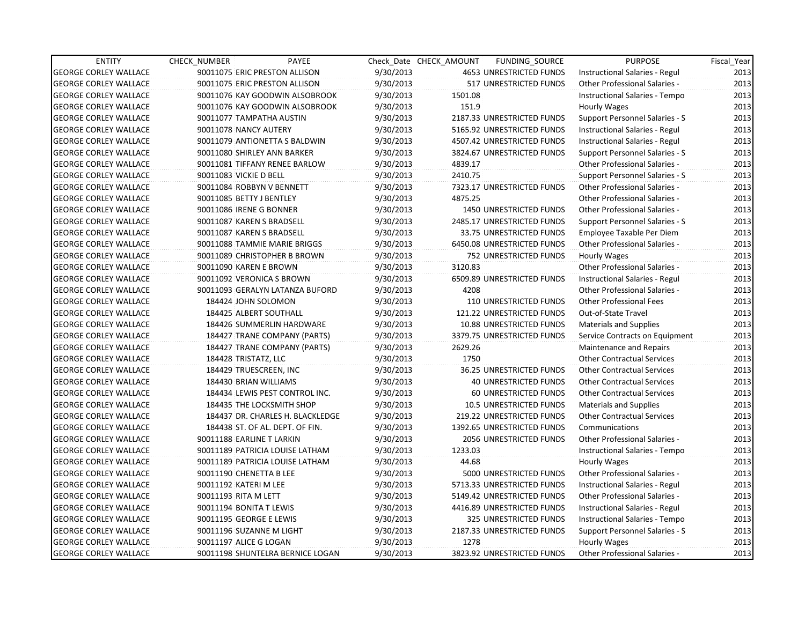| <b>ENTITY</b>                | <b>CHECK NUMBER</b>           | PAYEE                            |           | Check Date CHECK AMOUNT | FUNDING_SOURCE               | <b>PURPOSE</b>                        | Fiscal_Year |
|------------------------------|-------------------------------|----------------------------------|-----------|-------------------------|------------------------------|---------------------------------------|-------------|
| <b>GEORGE CORLEY WALLACE</b> | 90011075 ERIC PRESTON ALLISON |                                  | 9/30/2013 |                         | 4653 UNRESTRICTED FUNDS      | Instructional Salaries - Regul        | 2013        |
| <b>GEORGE CORLEY WALLACE</b> | 90011075 ERIC PRESTON ALLISON |                                  | 9/30/2013 |                         | 517 UNRESTRICTED FUNDS       | <b>Other Professional Salaries -</b>  | 2013        |
| <b>GEORGE CORLEY WALLACE</b> |                               | 90011076 KAY GOODWIN ALSOBROOK   | 9/30/2013 | 1501.08                 |                              | Instructional Salaries - Tempo        | 2013        |
| <b>GEORGE CORLEY WALLACE</b> |                               | 90011076 KAY GOODWIN ALSOBROOK   | 9/30/2013 | 151.9                   |                              | Hourly Wages                          | 2013        |
| <b>GEORGE CORLEY WALLACE</b> | 90011077 TAMPATHA AUSTIN      |                                  | 9/30/2013 |                         | 2187.33 UNRESTRICTED FUNDS   | Support Personnel Salaries - S        | 2013        |
| <b>GEORGE CORLEY WALLACE</b> | 90011078 NANCY AUTERY         |                                  | 9/30/2013 |                         | 5165.92 UNRESTRICTED FUNDS   | Instructional Salaries - Regul        | 2013        |
| <b>GEORGE CORLEY WALLACE</b> |                               | 90011079 ANTIONETTA S BALDWIN    | 9/30/2013 |                         | 4507.42 UNRESTRICTED FUNDS   | Instructional Salaries - Regul        | 2013        |
| <b>GEORGE CORLEY WALLACE</b> | 90011080 SHIRLEY ANN BARKER   |                                  | 9/30/2013 |                         | 3824.67 UNRESTRICTED FUNDS   | Support Personnel Salaries - S        | 2013        |
| <b>GEORGE CORLEY WALLACE</b> |                               | 90011081 TIFFANY RENEE BARLOW    | 9/30/2013 | 4839.17                 |                              | <b>Other Professional Salaries -</b>  | 2013        |
| <b>GEORGE CORLEY WALLACE</b> | 90011083 VICKIE D BELL        |                                  | 9/30/2013 | 2410.75                 |                              | Support Personnel Salaries - S        | 2013        |
| <b>GEORGE CORLEY WALLACE</b> | 90011084 ROBBYN V BENNETT     |                                  | 9/30/2013 |                         | 7323.17 UNRESTRICTED FUNDS   | <b>Other Professional Salaries -</b>  | 2013        |
| <b>GEORGE CORLEY WALLACE</b> | 90011085 BETTY J BENTLEY      |                                  | 9/30/2013 | 4875.25                 |                              | <b>Other Professional Salaries -</b>  | 2013        |
| <b>GEORGE CORLEY WALLACE</b> | 90011086 IRENE G BONNER       |                                  | 9/30/2013 |                         | 1450 UNRESTRICTED FUNDS      | Other Professional Salaries -         | 2013        |
| <b>GEORGE CORLEY WALLACE</b> | 90011087 KAREN S BRADSELL     |                                  | 9/30/2013 |                         | 2485.17 UNRESTRICTED FUNDS   | Support Personnel Salaries - S        | 2013        |
| <b>GEORGE CORLEY WALLACE</b> | 90011087 KAREN S BRADSELL     |                                  | 9/30/2013 |                         | 33.75 UNRESTRICTED FUNDS     | Employee Taxable Per Diem             | 2013        |
| <b>GEORGE CORLEY WALLACE</b> |                               | 90011088 TAMMIE MARIE BRIGGS     | 9/30/2013 |                         | 6450.08 UNRESTRICTED FUNDS   | <b>Other Professional Salaries -</b>  | 2013        |
| <b>GEORGE CORLEY WALLACE</b> |                               | 90011089 CHRISTOPHER B BROWN     | 9/30/2013 |                         | 752 UNRESTRICTED FUNDS       | Hourly Wages                          | 2013        |
| <b>GEORGE CORLEY WALLACE</b> | 90011090 KAREN E BROWN        |                                  | 9/30/2013 | 3120.83                 |                              | Other Professional Salaries -         | 2013        |
| <b>GEORGE CORLEY WALLACE</b> | 90011092 VERONICA S BROWN     |                                  | 9/30/2013 |                         | 6509.89 UNRESTRICTED FUNDS   | <b>Instructional Salaries - Regul</b> | 2013        |
| <b>GEORGE CORLEY WALLACE</b> |                               | 90011093 GERALYN LATANZA BUFORD  | 9/30/2013 | 4208                    |                              | <b>Other Professional Salaries -</b>  | 2013        |
| <b>GEORGE CORLEY WALLACE</b> | 184424 JOHN SOLOMON           |                                  | 9/30/2013 |                         | 110 UNRESTRICTED FUNDS       | <b>Other Professional Fees</b>        | 2013        |
| <b>GEORGE CORLEY WALLACE</b> | 184425 ALBERT SOUTHALL        |                                  | 9/30/2013 |                         | 121.22 UNRESTRICTED FUNDS    | Out-of-State Travel                   | 2013        |
| <b>GEORGE CORLEY WALLACE</b> |                               | 184426 SUMMERLIN HARDWARE        | 9/30/2013 |                         | 10.88 UNRESTRICTED FUNDS     | <b>Materials and Supplies</b>         | 2013        |
| <b>GEORGE CORLEY WALLACE</b> |                               | 184427 TRANE COMPANY (PARTS)     | 9/30/2013 |                         | 3379.75 UNRESTRICTED FUNDS   | Service Contracts on Equipment        | 2013        |
| <b>GEORGE CORLEY WALLACE</b> |                               | 184427 TRANE COMPANY (PARTS)     | 9/30/2013 | 2629.26                 |                              | Maintenance and Repairs               | 2013        |
| <b>GEORGE CORLEY WALLACE</b> | 184428 TRISTATZ, LLC          |                                  | 9/30/2013 | 1750                    |                              | <b>Other Contractual Services</b>     | 2013        |
| <b>GEORGE CORLEY WALLACE</b> | 184429 TRUESCREEN, INC        |                                  | 9/30/2013 |                         | 36.25 UNRESTRICTED FUNDS     | <b>Other Contractual Services</b>     | 2013        |
| <b>GEORGE CORLEY WALLACE</b> | 184430 BRIAN WILLIAMS         |                                  | 9/30/2013 |                         | <b>40 UNRESTRICTED FUNDS</b> | <b>Other Contractual Services</b>     | 2013        |
| <b>GEORGE CORLEY WALLACE</b> |                               | 184434 LEWIS PEST CONTROL INC.   | 9/30/2013 |                         | 60 UNRESTRICTED FUNDS        | <b>Other Contractual Services</b>     | 2013        |
| <b>GEORGE CORLEY WALLACE</b> |                               | 184435 THE LOCKSMITH SHOP        | 9/30/2013 |                         | 10.5 UNRESTRICTED FUNDS      | <b>Materials and Supplies</b>         | 2013        |
| <b>GEORGE CORLEY WALLACE</b> |                               | 184437 DR. CHARLES H. BLACKLEDGE | 9/30/2013 |                         | 219.22 UNRESTRICTED FUNDS    | <b>Other Contractual Services</b>     | 2013        |
| <b>GEORGE CORLEY WALLACE</b> |                               | 184438 ST. OF AL. DEPT. OF FIN.  | 9/30/2013 |                         | 1392.65 UNRESTRICTED FUNDS   | Communications                        | 2013        |
| <b>GEORGE CORLEY WALLACE</b> | 90011188 EARLINE T LARKIN     |                                  | 9/30/2013 |                         | 2056 UNRESTRICTED FUNDS      | Other Professional Salaries -         | 2013        |
| <b>GEORGE CORLEY WALLACE</b> |                               | 90011189 PATRICIA LOUISE LATHAM  | 9/30/2013 | 1233.03                 |                              | Instructional Salaries - Tempo        | 2013        |
| <b>GEORGE CORLEY WALLACE</b> |                               | 90011189 PATRICIA LOUISE LATHAM  | 9/30/2013 | 44.68                   |                              | Hourly Wages                          | 2013        |
| <b>GEORGE CORLEY WALLACE</b> | 90011190 CHENETTA B LEE       |                                  | 9/30/2013 |                         | 5000 UNRESTRICTED FUNDS      | <b>Other Professional Salaries -</b>  | 2013        |
| <b>GEORGE CORLEY WALLACE</b> | 90011192 KATERI M LEE         |                                  | 9/30/2013 |                         | 5713.33 UNRESTRICTED FUNDS   | Instructional Salaries - Regul        | 2013        |
| <b>GEORGE CORLEY WALLACE</b> | 90011193 RITA M LETT          |                                  | 9/30/2013 |                         | 5149.42 UNRESTRICTED FUNDS   | Other Professional Salaries -         | 2013        |
| <b>GEORGE CORLEY WALLACE</b> | 90011194 BONITA T LEWIS       |                                  | 9/30/2013 |                         | 4416.89 UNRESTRICTED FUNDS   | Instructional Salaries - Regul        | 2013        |
| <b>GEORGE CORLEY WALLACE</b> | 90011195 GEORGE E LEWIS       |                                  | 9/30/2013 |                         | 325 UNRESTRICTED FUNDS       | Instructional Salaries - Tempo        | 2013        |
| <b>GEORGE CORLEY WALLACE</b> | 90011196 SUZANNE M LIGHT      |                                  | 9/30/2013 |                         | 2187.33 UNRESTRICTED FUNDS   | Support Personnel Salaries - S        | 2013        |
| <b>GEORGE CORLEY WALLACE</b> | 90011197 ALICE G LOGAN        |                                  | 9/30/2013 | 1278                    |                              | Hourly Wages                          | 2013        |
| <b>GEORGE CORLEY WALLACE</b> |                               | 90011198 SHUNTELRA BERNICE LOGAN | 9/30/2013 |                         | 3823.92 UNRESTRICTED FUNDS   | Other Professional Salaries -         | 2013        |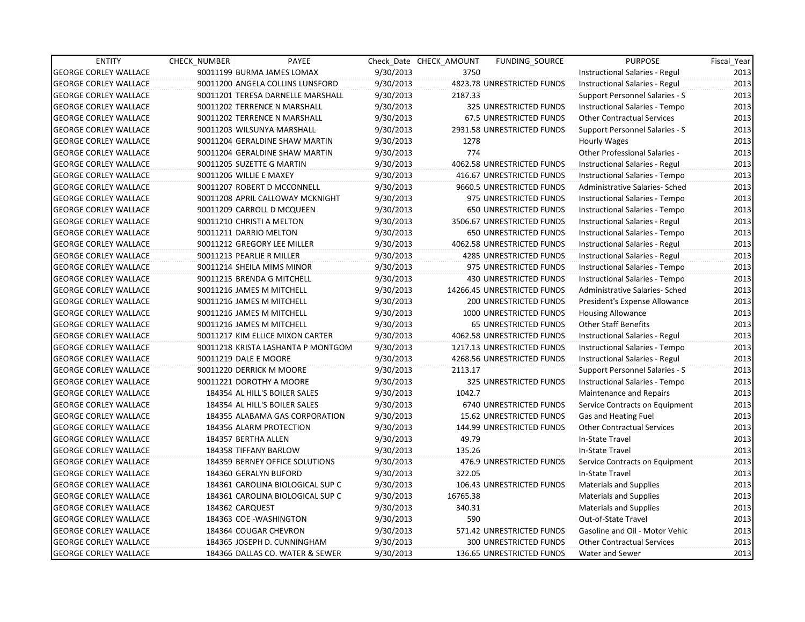| <b>ENTITY</b>                | <b>CHECK NUMBER</b>         | PAYEE                              |           | Check Date CHECK AMOUNT | <b>FUNDING SOURCE</b>           | <b>PURPOSE</b>                    | Fiscal_Year |
|------------------------------|-----------------------------|------------------------------------|-----------|-------------------------|---------------------------------|-----------------------------------|-------------|
| <b>GEORGE CORLEY WALLACE</b> |                             | 90011199 BURMA JAMES LOMAX         | 9/30/2013 | 3750                    |                                 | Instructional Salaries - Regul    | 2013        |
| <b>GEORGE CORLEY WALLACE</b> |                             | 90011200 ANGELA COLLINS LUNSFORD   | 9/30/2013 |                         | 4823.78 UNRESTRICTED FUNDS      | Instructional Salaries - Regul    | 2013        |
| <b>GEORGE CORLEY WALLACE</b> |                             | 90011201 TERESA DARNELLE MARSHALL  | 9/30/2013 | 2187.33                 |                                 | Support Personnel Salaries - S    | 2013        |
| <b>GEORGE CORLEY WALLACE</b> |                             | 90011202 TERRENCE N MARSHALL       | 9/30/2013 |                         | 325 UNRESTRICTED FUNDS          | Instructional Salaries - Tempo    | 2013        |
| <b>GEORGE CORLEY WALLACE</b> |                             | 90011202 TERRENCE N MARSHALL       | 9/30/2013 |                         | 67.5 UNRESTRICTED FUNDS         | <b>Other Contractual Services</b> | 2013        |
| <b>GEORGE CORLEY WALLACE</b> |                             | 90011203 WILSUNYA MARSHALL         | 9/30/2013 |                         | 2931.58 UNRESTRICTED FUNDS      | Support Personnel Salaries - S    | 2013        |
| <b>GEORGE CORLEY WALLACE</b> |                             | 90011204 GERALDINE SHAW MARTIN     | 9/30/2013 | 1278                    |                                 | Hourly Wages                      | 2013        |
| <b>GEORGE CORLEY WALLACE</b> |                             | 90011204 GERALDINE SHAW MARTIN     | 9/30/2013 | 774                     |                                 | Other Professional Salaries -     | 2013        |
| <b>GEORGE CORLEY WALLACE</b> | 90011205 SUZETTE G MARTIN   |                                    | 9/30/2013 |                         | 4062.58 UNRESTRICTED FUNDS      | Instructional Salaries - Regul    | 2013        |
| <b>GEORGE CORLEY WALLACE</b> | 90011206 WILLIE E MAXEY     |                                    | 9/30/2013 |                         | 416.67 UNRESTRICTED FUNDS       | Instructional Salaries - Tempo    | 2013        |
| <b>GEORGE CORLEY WALLACE</b> |                             | 90011207 ROBERT D MCCONNELL        | 9/30/2013 |                         | 9660.5 UNRESTRICTED FUNDS       | Administrative Salaries- Sched    | 2013        |
| <b>GEORGE CORLEY WALLACE</b> |                             | 90011208 APRIL CALLOWAY MCKNIGHT   | 9/30/2013 |                         | 975 UNRESTRICTED FUNDS          | Instructional Salaries - Tempo    | 2013        |
| <b>GEORGE CORLEY WALLACE</b> | 90011209 CARROLL D MCQUEEN  |                                    | 9/30/2013 |                         | 650 UNRESTRICTED FUNDS          | Instructional Salaries - Tempo    | 2013        |
| <b>GEORGE CORLEY WALLACE</b> | 90011210 CHRISTI A MELTON   |                                    | 9/30/2013 |                         | 3506.67 UNRESTRICTED FUNDS      | Instructional Salaries - Regul    | 2013        |
| <b>GEORGE CORLEY WALLACE</b> | 90011211 DARRIO MELTON      |                                    | 9/30/2013 |                         | 650 UNRESTRICTED FUNDS          | Instructional Salaries - Tempo    | 2013        |
| <b>GEORGE CORLEY WALLACE</b> | 90011212 GREGORY LEE MILLER |                                    | 9/30/2013 |                         | 4062.58 UNRESTRICTED FUNDS      | Instructional Salaries - Regul    | 2013        |
| <b>GEORGE CORLEY WALLACE</b> | 90011213 PEARLIE R MILLER   |                                    | 9/30/2013 |                         | 4285 UNRESTRICTED FUNDS         | Instructional Salaries - Regul    | 2013        |
| <b>GEORGE CORLEY WALLACE</b> | 90011214 SHEILA MIMS MINOR  |                                    | 9/30/2013 |                         | 975 UNRESTRICTED FUNDS          | Instructional Salaries - Tempo    | 2013        |
| <b>GEORGE CORLEY WALLACE</b> | 90011215 BRENDA G MITCHELL  |                                    | 9/30/2013 |                         | <b>430 UNRESTRICTED FUNDS</b>   | Instructional Salaries - Tempo    | 2013        |
| <b>GEORGE CORLEY WALLACE</b> | 90011216 JAMES M MITCHELL   |                                    | 9/30/2013 |                         | 14266.45 UNRESTRICTED FUNDS     | Administrative Salaries- Sched    | 2013        |
| <b>GEORGE CORLEY WALLACE</b> | 90011216 JAMES M MITCHELL   |                                    | 9/30/2013 |                         | 200 UNRESTRICTED FUNDS          | President's Expense Allowance     | 2013        |
| <b>GEORGE CORLEY WALLACE</b> | 90011216 JAMES M MITCHELL   |                                    | 9/30/2013 |                         | 1000 UNRESTRICTED FUNDS         | <b>Housing Allowance</b>          | 2013        |
| <b>GEORGE CORLEY WALLACE</b> | 90011216 JAMES M MITCHELL   |                                    | 9/30/2013 |                         | <b>65 UNRESTRICTED FUNDS</b>    | <b>Other Staff Benefits</b>       | 2013        |
| <b>GEORGE CORLEY WALLACE</b> |                             | 90011217 KIM ELLICE MIXON CARTER   | 9/30/2013 |                         | 4062.58 UNRESTRICTED FUNDS      | Instructional Salaries - Regul    | 2013        |
| <b>GEORGE CORLEY WALLACE</b> |                             | 90011218 KRISTA LASHANTA P MONTGOM | 9/30/2013 |                         | 1217.13 UNRESTRICTED FUNDS      | Instructional Salaries - Tempo    | 2013        |
| <b>GEORGE CORLEY WALLACE</b> | 90011219 DALE E MOORE       |                                    | 9/30/2013 |                         | 4268.56 UNRESTRICTED FUNDS      | Instructional Salaries - Regul    | 2013        |
| <b>GEORGE CORLEY WALLACE</b> | 90011220 DERRICK M MOORE    |                                    | 9/30/2013 | 2113.17                 |                                 | Support Personnel Salaries - S    | 2013        |
| <b>GEORGE CORLEY WALLACE</b> | 90011221 DOROTHY A MOORE    |                                    | 9/30/2013 |                         | 325 UNRESTRICTED FUNDS          | Instructional Salaries - Tempo    | 2013        |
| <b>GEORGE CORLEY WALLACE</b> |                             | 184354 AL HILL'S BOILER SALES      | 9/30/2013 | 1042.7                  |                                 | Maintenance and Repairs           | 2013        |
| <b>GEORGE CORLEY WALLACE</b> |                             | 184354 AL HILL'S BOILER SALES      | 9/30/2013 |                         | 6740 UNRESTRICTED FUNDS         | Service Contracts on Equipment    | 2013        |
| <b>GEORGE CORLEY WALLACE</b> |                             | 184355 ALABAMA GAS CORPORATION     | 9/30/2013 |                         | <b>15.62 UNRESTRICTED FUNDS</b> | Gas and Heating Fuel              | 2013        |
| <b>GEORGE CORLEY WALLACE</b> |                             | 184356 ALARM PROTECTION            | 9/30/2013 |                         | 144.99 UNRESTRICTED FUNDS       | <b>Other Contractual Services</b> | 2013        |
| <b>GEORGE CORLEY WALLACE</b> | 184357 BERTHA ALLEN         |                                    | 9/30/2013 | 49.79                   |                                 | In-State Travel                   | 2013        |
| <b>GEORGE CORLEY WALLACE</b> | 184358 TIFFANY BARLOW       |                                    | 9/30/2013 | 135.26                  |                                 | In-State Travel                   | 2013        |
| <b>GEORGE CORLEY WALLACE</b> |                             | 184359 BERNEY OFFICE SOLUTIONS     | 9/30/2013 |                         | 476.9 UNRESTRICTED FUNDS        | Service Contracts on Equipment    | 2013        |
| <b>GEORGE CORLEY WALLACE</b> | 184360 GERALYN BUFORD       |                                    | 9/30/2013 | 322.05                  |                                 | In-State Travel                   | 2013        |
| <b>GEORGE CORLEY WALLACE</b> |                             | 184361 CAROLINA BIOLOGICAL SUP C   | 9/30/2013 |                         | 106.43 UNRESTRICTED FUNDS       | Materials and Supplies            | 2013        |
| <b>GEORGE CORLEY WALLACE</b> |                             | 184361 CAROLINA BIOLOGICAL SUP C   | 9/30/2013 | 16765.38                |                                 | <b>Materials and Supplies</b>     | 2013        |
| <b>GEORGE CORLEY WALLACE</b> | 184362 CARQUEST             |                                    | 9/30/2013 | 340.31                  |                                 | <b>Materials and Supplies</b>     | 2013        |
| <b>GEORGE CORLEY WALLACE</b> | 184363 COE - WASHINGTON     |                                    | 9/30/2013 | 590                     |                                 | Out-of-State Travel               | 2013        |
| <b>GEORGE CORLEY WALLACE</b> | 184364 COUGAR CHEVRON       |                                    | 9/30/2013 |                         | 571.42 UNRESTRICTED FUNDS       | Gasoline and Oil - Motor Vehic    | 2013        |
| <b>GEORGE CORLEY WALLACE</b> |                             | 184365 JOSEPH D. CUNNINGHAM        | 9/30/2013 |                         | <b>300 UNRESTRICTED FUNDS</b>   | <b>Other Contractual Services</b> | 2013        |
| <b>GEORGE CORLEY WALLACE</b> |                             | 184366 DALLAS CO. WATER & SEWER    | 9/30/2013 |                         | 136.65 UNRESTRICTED FUNDS       | Water and Sewer                   | 2013        |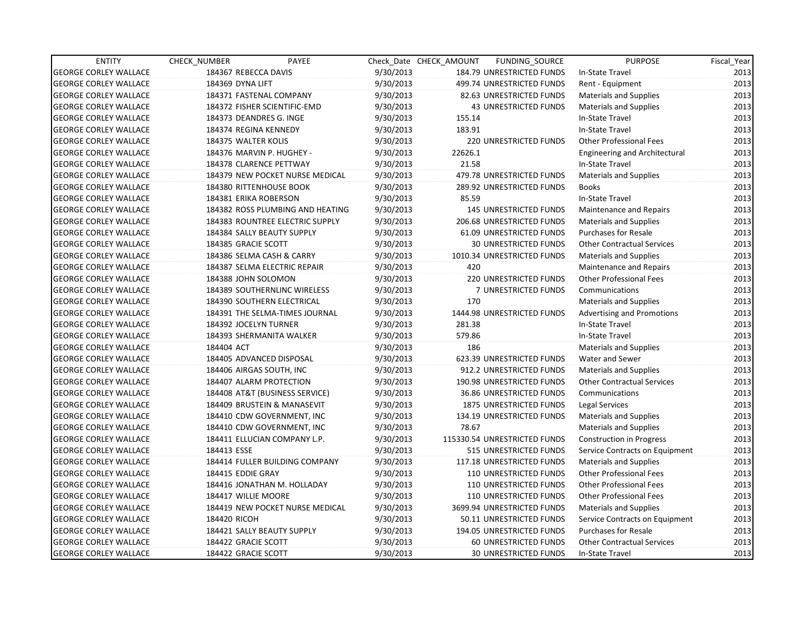| <b>ENTITY</b>                | CHECK NUMBER         | PAYEE                            |           | Check Date CHECK AMOUNT | FUNDING_SOURCE                | <b>PURPOSE</b>                       | Fiscal_Year |
|------------------------------|----------------------|----------------------------------|-----------|-------------------------|-------------------------------|--------------------------------------|-------------|
| <b>GEORGE CORLEY WALLACE</b> | 184367 REBECCA DAVIS |                                  | 9/30/2013 |                         | 184.79 UNRESTRICTED FUNDS     | In-State Travel                      | 2013        |
| <b>GEORGE CORLEY WALLACE</b> | 184369 DYNA LIFT     |                                  | 9/30/2013 |                         | 499.74 UNRESTRICTED FUNDS     | Rent - Equipment                     | 2013        |
| <b>GEORGE CORLEY WALLACE</b> |                      | 184371 FASTENAL COMPANY          | 9/30/2013 |                         | 82.63 UNRESTRICTED FUNDS      | Materials and Supplies               | 2013        |
| <b>GEORGE CORLEY WALLACE</b> |                      | 184372 FISHER SCIENTIFIC-EMD     | 9/30/2013 |                         | <b>43 UNRESTRICTED FUNDS</b>  | Materials and Supplies               | 2013        |
| <b>GEORGE CORLEY WALLACE</b> |                      | 184373 DEANDRES G. INGE          | 9/30/2013 | 155.14                  |                               | In-State Travel                      | 2013        |
| <b>GEORGE CORLEY WALLACE</b> |                      | 184374 REGINA KENNEDY            | 9/30/2013 | 183.91                  |                               | In-State Travel                      | 2013        |
| <b>GEORGE CORLEY WALLACE</b> | 184375 WALTER KOLIS  |                                  | 9/30/2013 |                         | <b>220 UNRESTRICTED FUNDS</b> | <b>Other Professional Fees</b>       | 2013        |
| <b>GEORGE CORLEY WALLACE</b> |                      | 184376 MARVIN P. HUGHEY -        | 9/30/2013 | 22626.1                 |                               | <b>Engineering and Architectural</b> | 2013        |
| <b>GEORGE CORLEY WALLACE</b> |                      | 184378 CLARENCE PETTWAY          | 9/30/2013 | 21.58                   |                               | In-State Travel                      | 2013        |
| <b>GEORGE CORLEY WALLACE</b> |                      | 184379 NEW POCKET NURSE MEDICAL  | 9/30/2013 |                         | 479.78 UNRESTRICTED FUNDS     | <b>Materials and Supplies</b>        | 2013        |
| <b>GEORGE CORLEY WALLACE</b> |                      | 184380 RITTENHOUSE BOOK          | 9/30/2013 |                         | 289.92 UNRESTRICTED FUNDS     | <b>Books</b>                         | 2013        |
| <b>GEORGE CORLEY WALLACE</b> |                      | 184381 ERIKA ROBERSON            | 9/30/2013 | 85.59                   |                               | In-State Travel                      | 2013        |
| <b>GEORGE CORLEY WALLACE</b> |                      | 184382 ROSS PLUMBING AND HEATING | 9/30/2013 |                         | 145 UNRESTRICTED FUNDS        | Maintenance and Repairs              | 2013        |
| <b>GEORGE CORLEY WALLACE</b> |                      | 184383 ROUNTREE ELECTRIC SUPPLY  | 9/30/2013 |                         | 206.68 UNRESTRICTED FUNDS     | Materials and Supplies               | 2013        |
| <b>GEORGE CORLEY WALLACE</b> |                      | 184384 SALLY BEAUTY SUPPLY       | 9/30/2013 |                         | 61.09 UNRESTRICTED FUNDS      | <b>Purchases for Resale</b>          | 2013        |
| <b>GEORGE CORLEY WALLACE</b> | 184385 GRACIE SCOTT  |                                  | 9/30/2013 |                         | <b>30 UNRESTRICTED FUNDS</b>  | <b>Other Contractual Services</b>    | 2013        |
| <b>GEORGE CORLEY WALLACE</b> |                      | 184386 SELMA CASH & CARRY        | 9/30/2013 |                         | 1010.34 UNRESTRICTED FUNDS    | Materials and Supplies               | 2013        |
| <b>GEORGE CORLEY WALLACE</b> |                      | 184387 SELMA ELECTRIC REPAIR     | 9/30/2013 | 420                     |                               | Maintenance and Repairs              | 2013        |
| <b>GEORGE CORLEY WALLACE</b> |                      | 184388 JOHN SOLOMON              | 9/30/2013 |                         | <b>220 UNRESTRICTED FUNDS</b> | <b>Other Professional Fees</b>       | 2013        |
| <b>GEORGE CORLEY WALLACE</b> |                      | 184389 SOUTHERNLINC WIRELESS     | 9/30/2013 |                         | <b>7 UNRESTRICTED FUNDS</b>   | Communications                       | 2013        |
| <b>GEORGE CORLEY WALLACE</b> |                      | 184390 SOUTHERN ELECTRICAL       | 9/30/2013 | 170                     |                               | Materials and Supplies               | 2013        |
| <b>GEORGE CORLEY WALLACE</b> |                      | 184391 THE SELMA-TIMES JOURNAL   | 9/30/2013 |                         | 1444.98 UNRESTRICTED FUNDS    | <b>Advertising and Promotions</b>    | 2013        |
| <b>GEORGE CORLEY WALLACE</b> |                      | 184392 JOCELYN TURNER            | 9/30/2013 | 281.38                  |                               | In-State Travel                      | 2013        |
| <b>GEORGE CORLEY WALLACE</b> |                      | 184393 SHERMANITA WALKER         | 9/30/2013 | 579.86                  |                               | In-State Travel                      | 2013        |
| <b>GEORGE CORLEY WALLACE</b> | 184404 ACT           |                                  | 9/30/2013 | 186                     |                               | <b>Materials and Supplies</b>        | 2013        |
| <b>GEORGE CORLEY WALLACE</b> |                      | 184405 ADVANCED DISPOSAL         | 9/30/2013 |                         | 623.39 UNRESTRICTED FUNDS     | Water and Sewer                      | 2013        |
| <b>GEORGE CORLEY WALLACE</b> |                      | 184406 AIRGAS SOUTH, INC         | 9/30/2013 |                         | 912.2 UNRESTRICTED FUNDS      | Materials and Supplies               | 2013        |
| <b>GEORGE CORLEY WALLACE</b> |                      | 184407 ALARM PROTECTION          | 9/30/2013 |                         | 190.98 UNRESTRICTED FUNDS     | <b>Other Contractual Services</b>    | 2013        |
| <b>GEORGE CORLEY WALLACE</b> |                      | 184408 AT&T (BUSINESS SERVICE)   | 9/30/2013 |                         | 36.86 UNRESTRICTED FUNDS      | Communications                       | 2013        |
| <b>GEORGE CORLEY WALLACE</b> |                      | 184409 BRUSTEIN & MANASEVIT      | 9/30/2013 |                         | 1875 UNRESTRICTED FUNDS       | Legal Services                       | 2013        |
| <b>GEORGE CORLEY WALLACE</b> |                      | 184410 CDW GOVERNMENT, INC       | 9/30/2013 |                         | 134.19 UNRESTRICTED FUNDS     | Materials and Supplies               | 2013        |
| <b>GEORGE CORLEY WALLACE</b> |                      | 184410 CDW GOVERNMENT, INC       | 9/30/2013 | 78.67                   |                               | <b>Materials and Supplies</b>        | 2013        |
| <b>GEORGE CORLEY WALLACE</b> |                      | 184411 ELLUCIAN COMPANY L.P.     | 9/30/2013 |                         | 115330.54 UNRESTRICTED FUNDS  | <b>Construction in Progress</b>      | 2013        |
| <b>GEORGE CORLEY WALLACE</b> | 184413 ESSE          |                                  | 9/30/2013 |                         | 515 UNRESTRICTED FUNDS        | Service Contracts on Equipment       | 2013        |
| <b>GEORGE CORLEY WALLACE</b> |                      | 184414 FULLER BUILDING COMPANY   | 9/30/2013 |                         | 117.18 UNRESTRICTED FUNDS     | Materials and Supplies               | 2013        |
| <b>GEORGE CORLEY WALLACE</b> | 184415 EDDIE GRAY    |                                  | 9/30/2013 |                         | <b>110 UNRESTRICTED FUNDS</b> | <b>Other Professional Fees</b>       | 2013        |
| <b>GEORGE CORLEY WALLACE</b> |                      | 184416 JONATHAN M. HOLLADAY      | 9/30/2013 |                         | <b>110 UNRESTRICTED FUNDS</b> | <b>Other Professional Fees</b>       | 2013        |
| <b>GEORGE CORLEY WALLACE</b> | 184417 WILLIE MOORE  |                                  | 9/30/2013 |                         | 110 UNRESTRICTED FUNDS        | <b>Other Professional Fees</b>       | 2013        |
| <b>GEORGE CORLEY WALLACE</b> |                      | 184419 NEW POCKET NURSE MEDICAL  | 9/30/2013 |                         | 3699.94 UNRESTRICTED FUNDS    | <b>Materials and Supplies</b>        | 2013        |
| <b>GEORGE CORLEY WALLACE</b> | 184420 RICOH         |                                  | 9/30/2013 |                         | 50.11 UNRESTRICTED FUNDS      | Service Contracts on Equipment       | 2013        |
| <b>GEORGE CORLEY WALLACE</b> |                      | 184421 SALLY BEAUTY SUPPLY       | 9/30/2013 |                         | 194.05 UNRESTRICTED FUNDS     | <b>Purchases for Resale</b>          | 2013        |
| <b>GEORGE CORLEY WALLACE</b> | 184422 GRACIE SCOTT  |                                  | 9/30/2013 |                         | 60 UNRESTRICTED FUNDS         | <b>Other Contractual Services</b>    | 2013        |
| <b>GEORGE CORLEY WALLACE</b> | 184422 GRACIE SCOTT  |                                  | 9/30/2013 |                         | <b>30 UNRESTRICTED FUNDS</b>  | In-State Travel                      | 2013        |